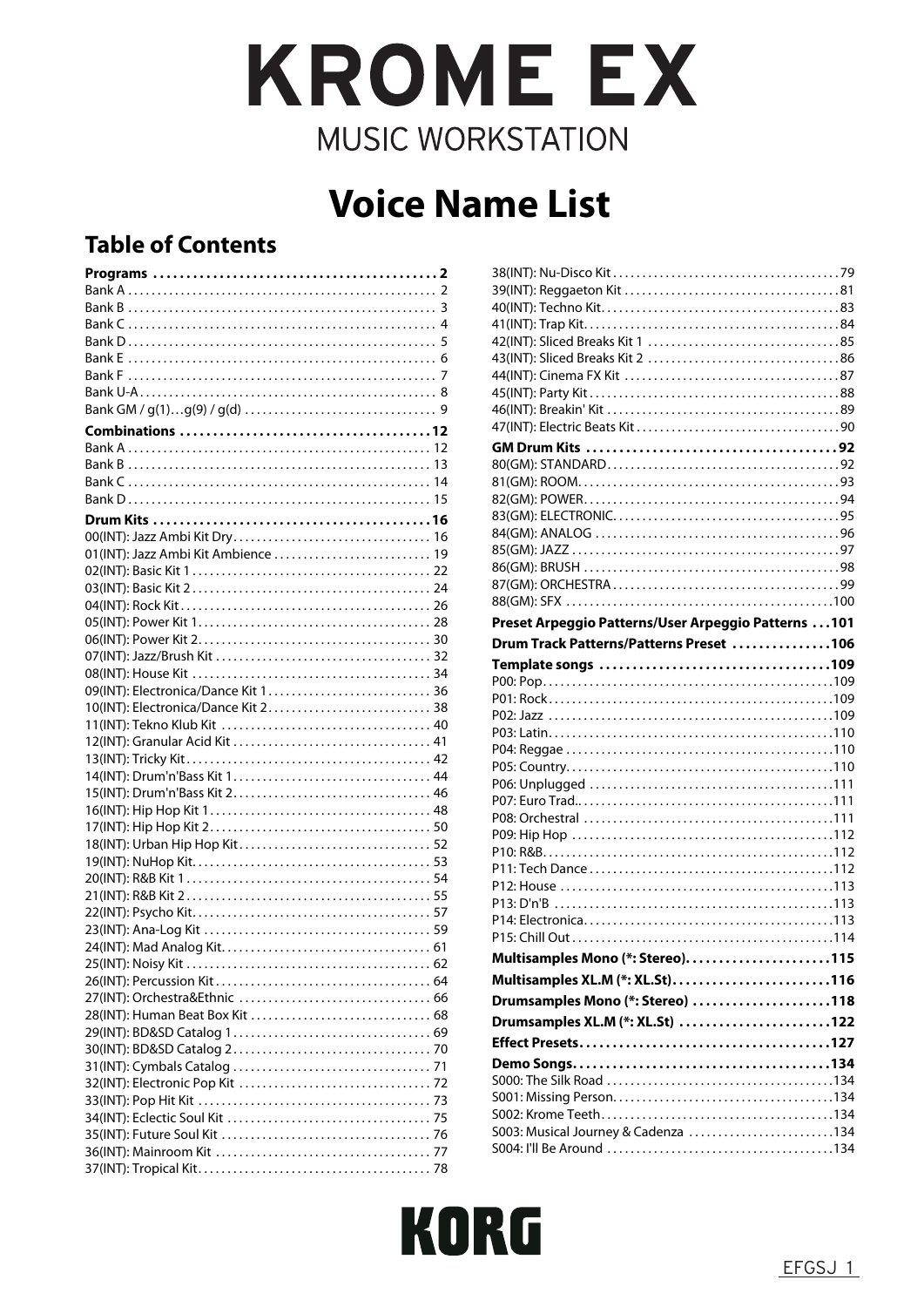# **KROME EX MUSIC WORKSTATION**

# **Voice Name List**

# **Table of Contents**

| 01(INT): Jazz Ambi Kit Ambience  19 |
|-------------------------------------|
|                                     |
|                                     |
|                                     |
|                                     |
|                                     |
|                                     |
|                                     |
| 09(INT): Electronica/Dance Kit 1 36 |
| 10(INT): Electronica/Dance Kit 2 38 |
|                                     |
|                                     |
|                                     |
|                                     |
|                                     |
|                                     |
|                                     |
|                                     |
|                                     |
|                                     |
|                                     |
|                                     |
|                                     |
|                                     |
|                                     |
|                                     |
|                                     |
|                                     |
|                                     |
|                                     |
|                                     |
|                                     |
|                                     |
|                                     |
|                                     |
|                                     |
|                                     |

| Preset Arpeggio Patterns/User Arpeggio Patterns  101 |  |
|------------------------------------------------------|--|
| Drum Track Patterns/Patterns Preset 106              |  |
|                                                      |  |
|                                                      |  |
|                                                      |  |
|                                                      |  |
|                                                      |  |
|                                                      |  |
|                                                      |  |
|                                                      |  |
|                                                      |  |
|                                                      |  |
|                                                      |  |
|                                                      |  |
|                                                      |  |
|                                                      |  |
|                                                      |  |
|                                                      |  |
|                                                      |  |
|                                                      |  |
| Multisamples Mono (*: Stereo)115                     |  |
| Multisamples XL.M (*: XL.St)116                      |  |
|                                                      |  |
|                                                      |  |
| Drumsamples Mono (*: Stereo) 118                     |  |
| Drumsamples XL.M (*: XL.St) 122                      |  |
|                                                      |  |
|                                                      |  |
|                                                      |  |
|                                                      |  |
|                                                      |  |
| S003: Musical Journey & Cadenza 134                  |  |

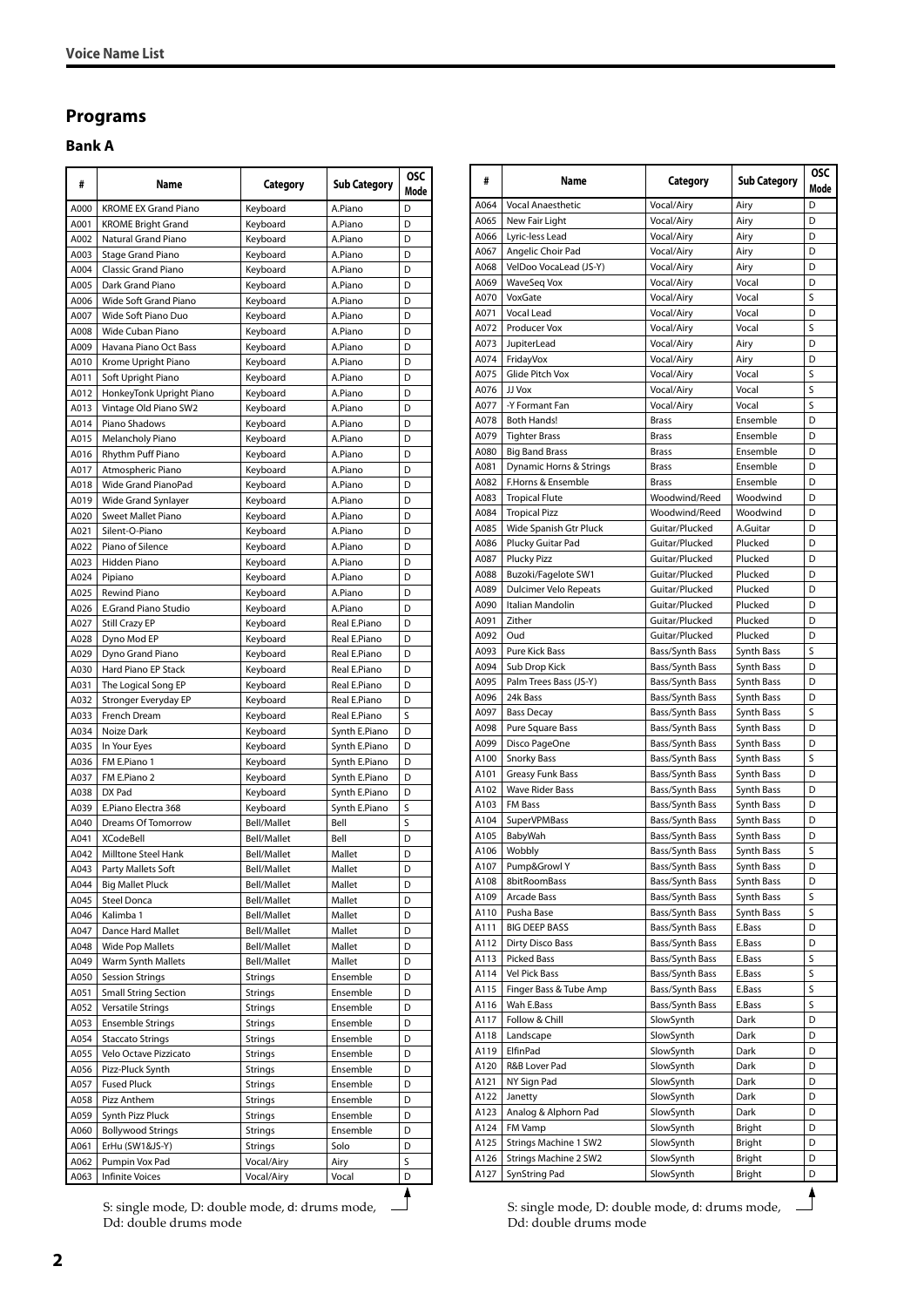## <span id="page-1-0"></span>**Programs**

#### <span id="page-1-1"></span>**Bank A**

| #            | Name                                            | Category                   | <b>Sub Category</b> | <b>OSC</b> |
|--------------|-------------------------------------------------|----------------------------|---------------------|------------|
| A000         | <b>KROME EX Grand Piano</b>                     | Keyboard                   | A.Piano             | Mode<br>D  |
| A001         | <b>KROME Bright Grand</b>                       | Keyboard                   | A.Piano             | D          |
| A002         | Natural Grand Piano                             | Keyboard                   | A.Piano             | D          |
| A003         | Stage Grand Piano                               | Keyboard                   | A.Piano             | D          |
| A004         | <b>Classic Grand Piano</b>                      | Keyboard                   | A.Piano             | D          |
| A005         | Dark Grand Piano                                | Keyboard                   | A.Piano             | D          |
| A006         | Wide Soft Grand Piano                           | Keyboard                   | A.Piano             | D          |
| A007         | Wide Soft Piano Duo                             | Keyboard                   | A.Piano             | D          |
| A008         | Wide Cuban Piano                                | Keyboard                   | A.Piano             | D          |
| A009         | Havana Piano Oct Bass                           | Keyboard                   | A.Piano             | D          |
| A010         | Krome Upright Piano                             | Keyboard                   | A.Piano             | D          |
| A011         | Soft Upright Piano                              | Keyboard                   | A.Piano             | D          |
| A012         | HonkeyTonk Upright Piano                        | Keyboard                   | A.Piano             | D          |
| A013         | Vintage Old Piano SW2                           | Keyboard                   | A.Piano             | D          |
| A014         | Piano Shadows                                   | Keyboard                   | A.Piano             | D          |
| A015         | Melancholy Piano                                | Keyboard                   | A.Piano             | D          |
| A016         | Rhythm Puff Piano                               | Keyboard                   | A.Piano<br>A.Piano  | D<br>D     |
| A017         | Atmospheric Piano<br><b>Wide Grand PianoPad</b> | Keyboard                   | A.Piano             | D          |
| A018<br>A019 | Wide Grand Synlayer                             | Keyboard<br>Keyboard       | A.Piano             | D          |
| A020         | Sweet Mallet Piano                              | Keyboard                   | A.Piano             | D          |
| A021         | Silent-O-Piano                                  | Keyboard                   | A.Piano             | D          |
| A022         | Piano of Silence                                | Keyboard                   | A.Piano             | D          |
| A023         | <b>Hidden Piano</b>                             | Keyboard                   | A.Piano             | D          |
| A024         | Pipiano                                         | Keyboard                   | A.Piano             | D          |
| A025         | Rewind Piano                                    | Keyboard                   | A.Piano             | D          |
| A026         | <b>E.Grand Piano Studio</b>                     | Keyboard                   | A.Piano             | D          |
| A027         | Still Crazy EP                                  | Keyboard                   | Real E.Piano        | D          |
| A028         | Dyno Mod EP                                     | Keyboard                   | Real E.Piano        | D          |
| A029         | Dyno Grand Piano                                | Keyboard                   | Real E.Piano        | D          |
| A030         | Hard Piano EP Stack                             | Keyboard                   | Real E.Piano        | D          |
| A031         | The Logical Song EP                             | Keyboard                   | Real E.Piano        | D          |
| A032         | Stronger Everyday EP                            | Keyboard                   | Real E.Piano        | D          |
| A033         | French Dream                                    | Keyboard                   | Real E.Piano        | S          |
| A034         | Noize Dark                                      | Keyboard                   | Synth E.Piano       | D          |
| A035         | In Your Eyes                                    | Keyboard                   | Synth E.Piano       | D          |
| A036         | FM E.Piano 1                                    | Keyboard                   | Synth E.Piano       | D          |
| A037         | FM E.Piano 2                                    | Keyboard                   | Synth E.Piano       | D          |
| A038<br>A039 | DX Pad                                          | Keyboard                   | Synth E.Piano       | D<br>S     |
| A040         | E.Piano Electra 368<br>Dreams Of Tomorrow       | Keyboard                   | Synth E.Piano       | S          |
| A041         | <b>XCodeBell</b>                                | Bell/Mallet<br>Bell/Mallet | Bell<br>Bell        | D          |
| A042         | <b>Milltone Steel Hank</b>                      | Bell/Mallet                | Mallet              | D          |
| A043         | Party Mallets Soft                              | Bell/Mallet                | Mallet              | υ          |
| A044         | <b>Big Mallet Pluck</b>                         | Bell/Mallet                | Mallet              | D          |
| A045         | <b>Steel Donca</b>                              | Bell/Mallet                | Mallet              | D          |
| A046         | Kalimba 1                                       | Bell/Mallet                | Mallet              | D          |
| A047         | Dance Hard Mallet                               | Bell/Mallet                | Mallet              | D          |
| A048         | <b>Wide Pop Mallets</b>                         | Bell/Mallet                | Mallet              | D          |
| A049         | <b>Warm Synth Mallets</b>                       | <b>Bell/Mallet</b>         | Mallet              | D          |
| A050         | <b>Session Strings</b>                          | Strings                    | Ensemble            | D          |
| A051         | <b>Small String Section</b>                     | Strings                    | Ensemble            | D          |
| A052         | <b>Versatile Strings</b>                        | Strings                    | Ensemble            | D          |
| A053         | <b>Ensemble Strings</b>                         | Strings                    | Ensemble            | D          |
| A054         | <b>Staccato Strings</b>                         | <b>Strings</b>             | Ensemble            | D          |
| A055         | Velo Octave Pizzicato                           | <b>Strings</b>             | Ensemble            | D          |
| A056         | Pizz-Pluck Synth                                | <b>Strings</b>             | Ensemble            | D          |
| A057         | <b>Fused Pluck</b>                              | Strings                    | Ensemble            | D          |
| A058         | Pizz Anthem                                     | Strings                    | Ensemble            | D          |
| A059         | Synth Pizz Pluck                                | <b>Strings</b>             | Ensemble            | D          |
| A060         | <b>Bollywood Strings</b>                        | Strings                    | Ensemble            | D          |
| A061<br>A062 | ErHu (SW1&JS-Y)<br>Pumpin Vox Pad               | Strings<br>Vocal/Airy      | Solo<br>Airy        | D<br>S     |
| A063         |                                                 |                            | Vocal               | D          |
|              | Infinite Voices                                 | Vocal/Airy                 |                     |            |

S: single mode, D: double mode, d: drums mode, Dd: double drums mode

| #            | Name                               | Category                           | <b>Sub Category</b>      | <b>OSC</b><br>Mode |
|--------------|------------------------------------|------------------------------------|--------------------------|--------------------|
| A064         | Vocal Anaesthetic                  | Vocal/Airy                         | Airy                     | D                  |
| A065         | New Fair Light                     | Vocal/Airy                         | Airy                     | D                  |
| A066         | Lyric-less Lead                    | Vocal/Airy                         | Airy                     | D                  |
| A067         | Angelic Choir Pad                  | Vocal/Airy                         | Airy                     | D                  |
| A068<br>A069 | VelDoo VocaLead (JS-Y)             | Vocal/Airy                         | Airy                     | D<br>D             |
| A070         | <b>WaveSeq Vox</b><br>VoxGate      | Vocal/Airy<br>Vocal/Airy           | Vocal<br>Vocal           | S                  |
| A071         | Vocal Lead                         | Vocal/Airy                         | Vocal                    | D                  |
| A072         | <b>Producer Vox</b>                | Vocal/Airy                         | Vocal                    | S                  |
| A073         | JupiterLead                        | Vocal/Airy                         | Airy                     | D                  |
| A074         | FridayVox                          | Vocal/Airy                         | Airy                     | D                  |
| A075         | Glide Pitch Vox                    | Vocal/Airy                         | Vocal                    | S                  |
| A076         | JJ Vox                             | Vocal/Airy                         | Vocal                    | S                  |
| A077         | -Y Formant Fan                     | Vocal/Airy                         | Vocal                    | S                  |
| A078         | <b>Both Hands!</b>                 | <b>Brass</b>                       | Ensemble                 | D                  |
| A079         | <b>Tighter Brass</b>               | Brass                              | Ensemble                 | D                  |
| A080         | <b>Big Band Brass</b>              | <b>Brass</b>                       | Ensemble                 | D                  |
| A081         | Dynamic Horns & Strings            | <b>Brass</b>                       | Ensemble                 | D                  |
| A082         | F.Horns & Ensemble                 | <b>Brass</b>                       | Ensemble                 | D                  |
| A083         | <b>Tropical Flute</b>              | Woodwind/Reed                      | Woodwind                 | D                  |
| A084         | <b>Tropical Pizz</b>               | Woodwind/Reed                      | Woodwind                 | D                  |
| A085         | Wide Spanish Gtr Pluck             | Guitar/Plucked                     | A.Guitar                 | D                  |
| A086         | Plucky Guitar Pad                  | Guitar/Plucked                     | Plucked                  | D                  |
| A087         | <b>Plucky Pizz</b>                 | Guitar/Plucked                     | Plucked                  | D                  |
| A088         | Buzoki/Fagelote SW1                | Guitar/Plucked                     | Plucked                  | D                  |
| A089         | Dulcimer Velo Repeats              | Guitar/Plucked                     | Plucked                  | D                  |
| A090         | Italian Mandolin<br>Zither         | Guitar/Plucked<br>Guitar/Plucked   | Plucked                  | D<br>D             |
| A091<br>A092 | Oud                                | Guitar/Plucked                     | Plucked<br>Plucked       | D                  |
| A093         | Pure Kick Bass                     | Bass/Synth Bass                    | Synth Bass               | S                  |
| A094         | Sub Drop Kick                      | Bass/Synth Bass                    | Synth Bass               | D                  |
| A095         | Palm Trees Bass (JS-Y)             | Bass/Synth Bass                    | Synth Bass               | D                  |
| A096         | 24k Bass                           | Bass/Synth Bass                    | Synth Bass               | D                  |
| A097         | <b>Bass Decay</b>                  | Bass/Synth Bass                    | Synth Bass               | S                  |
| A098         | Pure Square Bass                   | Bass/Synth Bass                    | Synth Bass               | D                  |
| A099         | Disco PageOne                      | Bass/Synth Bass                    | Synth Bass               | D                  |
| A100         | <b>Snorky Bass</b>                 | Bass/Synth Bass                    | Synth Bass               | S                  |
| A101         | <b>Greasy Funk Bass</b>            | Bass/Synth Bass                    | <b>Synth Bass</b>        | D                  |
| A102         | <b>Wave Rider Bass</b>             | Bass/Synth Bass                    | Synth Bass               | D                  |
| A103         | <b>FM Bass</b>                     | Bass/Synth Bass                    | Synth Bass               | D                  |
| A104         | <b>SuperVPMBass</b>                | Bass/Synth Bass                    | Synth Bass               | D                  |
| A105         | BabyWah                            | Bass/Synth Bass                    | Synth Bass               | D                  |
| A106         | Wobbly                             | Bass/Synth Bass                    | Synth Bass               | S                  |
| A107         | Pump&Growl Y                       | Bass/Synth Bass                    | Synth Bass               | D                  |
| A108         | 8bitRoomBass                       | Bass/Synth Bass                    | Synth Bass               | D                  |
| A109         | Arcade Bass                        | Bass/Synth Bass                    | Synth Bass<br>Synth Bass | S                  |
| A110<br>A111 | Pusha Base<br><b>BIG DEEP BASS</b> | Bass/Synth Bass<br>Bass/Synth Bass | E.Bass                   | S<br>D             |
| A112         | Dirty Disco Bass                   | Bass/Synth Bass                    | E.Bass                   | D                  |
| A113         | <b>Picked Bass</b>                 | Bass/Synth Bass                    | E.Bass                   | S                  |
| A114         | Vel Pick Bass                      | Bass/Synth Bass                    | E.Bass                   | S                  |
| A115         | Finger Bass & Tube Amp             | Bass/Synth Bass                    | E.Bass                   | S                  |
| A116         | Wah E.Bass                         | Bass/Synth Bass                    | E.Bass                   | S                  |
| A117         | Follow & Chill                     | SlowSynth                          | Dark                     | D                  |
| A118         | Landscape                          | SlowSynth                          | Dark                     | D                  |
| A119         | ElfinPad                           | SlowSynth                          | Dark                     | D                  |
| A120         | R&B Lover Pad                      | SlowSynth                          | Dark                     | D                  |
| A121         | NY Sign Pad                        | SlowSynth                          | Dark                     | D                  |
| A122         | Janetty                            | SlowSynth                          | Dark                     | D                  |
| A123         | Analog & Alphorn Pad               | SlowSynth                          | Dark                     | D                  |
| A124         | FM Vamp                            | SlowSynth                          | Bright                   | D                  |
| A125         | Strings Machine 1 SW2              | SlowSynth                          | Bright                   | D                  |
| A126         | Strings Machine 2 SW2              | SlowSynth                          | Bright                   | D                  |
| A127         | SynString Pad                      | SlowSynth                          | Bright                   | D                  |

S: single mode, D: double mode, d: drums mode, Dd: double drums mode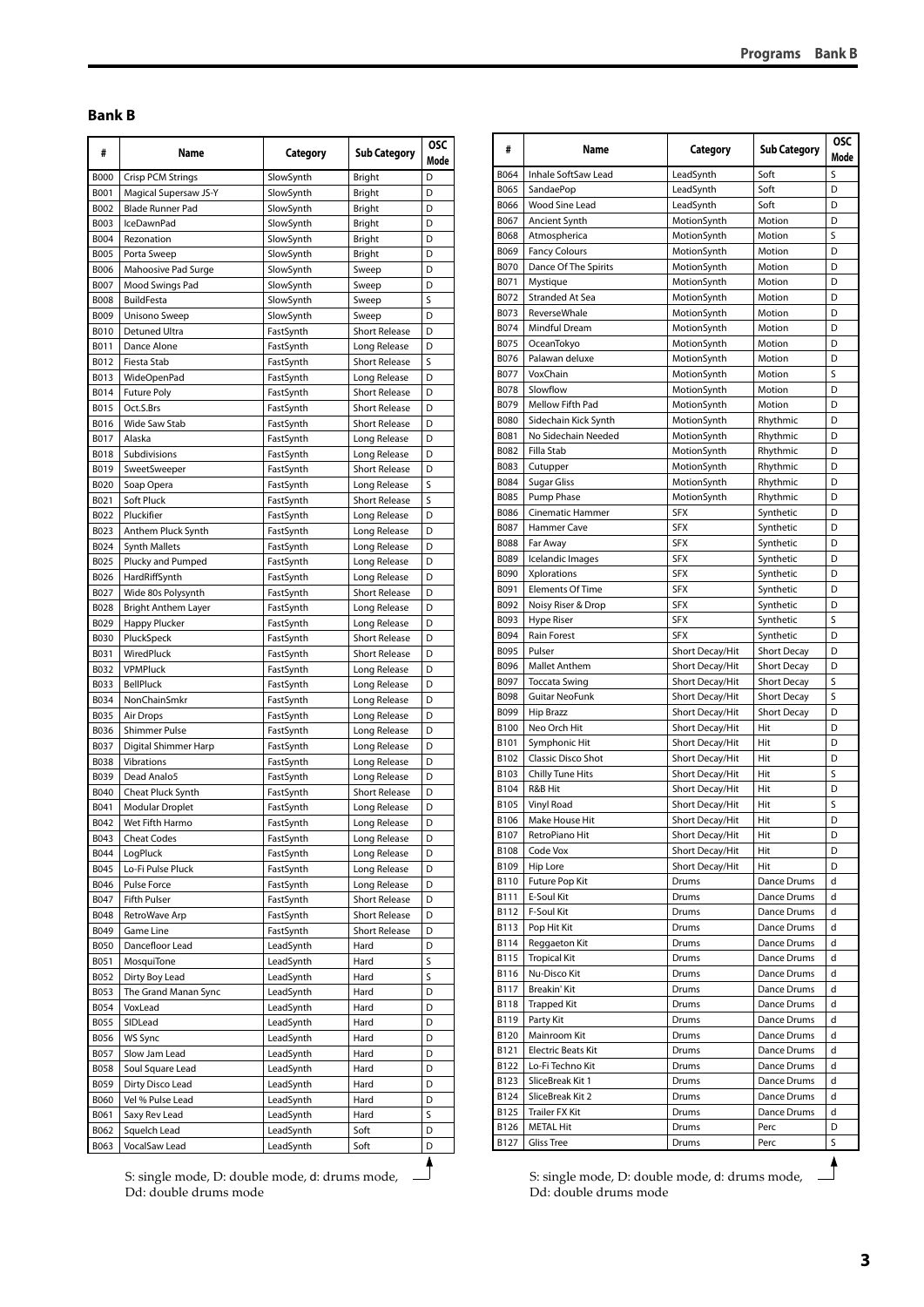#### <span id="page-2-0"></span>**Bank B**

| #                   | Name                                 | Category               | <b>Sub Category</b>                  | <b>OSC</b><br>Mode |
|---------------------|--------------------------------------|------------------------|--------------------------------------|--------------------|
| <b>B000</b>         | <b>Crisp PCM Strings</b>             | SlowSynth              | Bright                               | D                  |
| B001                | <b>Magical Supersaw JS-Y</b>         | SlowSynth              | <b>Bright</b>                        | D                  |
| B002                | <b>Blade Runner Pad</b>              | SlowSynth              | Bright                               | D                  |
| B003                | IceDawnPad                           | SlowSynth              | Bright                               | D                  |
| B004                | Rezonation                           | SlowSynth              | Bright                               | D                  |
| B005                | Porta Sweep                          | SlowSynth              | Bright                               | D                  |
| B006                | Mahoosive Pad Surge                  | SlowSynth              | Sweep                                | D                  |
| B007<br><b>B008</b> | Mood Swings Pad<br><b>BuildFesta</b> | SlowSynth<br>SlowSynth | Sweep<br>Sweep                       | D<br>S             |
| <b>B009</b>         | Unisono Sweep                        | SlowSynth              | Sweep                                | D                  |
| <b>B010</b>         | Detuned Ultra                        | FastSynth              | <b>Short Release</b>                 | D                  |
| B011                | Dance Alone                          | FastSynth              | Long Release                         | D                  |
| B012                | Fiesta Stab                          | FastSynth              | <b>Short Release</b>                 | S                  |
| B013                | WideOpenPad                          | FastSynth              | Long Release                         | D                  |
| B014                | <b>Future Poly</b>                   | FastSynth              | <b>Short Release</b>                 | D                  |
| B015                | Oct.S.Brs                            | FastSynth              | <b>Short Release</b>                 | D                  |
| B016                | Wide Saw Stab                        | FastSynth              | <b>Short Release</b>                 | D                  |
| B017                | Alaska                               | FastSynth              | Long Release                         | D                  |
| <b>B018</b>         | Subdivisions                         | FastSynth              | Long Release                         | D                  |
| B019                | SweetSweeper                         | FastSynth              | <b>Short Release</b>                 | D                  |
| B020                | Soap Opera                           | FastSynth              | Long Release                         | S                  |
| B021                | Soft Pluck                           | FastSynth              | <b>Short Release</b>                 | S                  |
| B022                | Pluckifier                           | FastSynth              | Long Release                         | D                  |
| B023                | Anthem Pluck Synth                   | FastSynth              | Long Release                         | D                  |
| B024                | <b>Synth Mallets</b>                 | FastSynth              | Long Release                         | D                  |
| B025                | Plucky and Pumped                    | FastSynth              | Long Release                         | D                  |
| B026                | HardRiffSynth                        | FastSynth              | Long Release                         | D                  |
| B027                | Wide 80s Polysynth                   | FastSynth              | <b>Short Release</b>                 | D                  |
| <b>B028</b><br>B029 | <b>Bright Anthem Layer</b>           | FastSynth              | Long Release                         | D<br>D             |
| B030                | Happy Plucker<br>PluckSpeck          | FastSynth              | Long Release<br><b>Short Release</b> | D                  |
| B031                | WiredPluck                           | FastSynth<br>FastSynth | <b>Short Release</b>                 | D                  |
| B032                | <b>VPMPluck</b>                      | FastSynth              | Long Release                         | D                  |
| B033                | BellPluck                            | FastSynth              | Long Release                         | D                  |
| B034                | NonChainSmkr                         | FastSynth              | Long Release                         | D                  |
| B035                | Air Drops                            | FastSynth              | Long Release                         | D                  |
| B036                | <b>Shimmer Pulse</b>                 | FastSynth              | Long Release                         | D                  |
| B037                | Digital Shimmer Harp                 | FastSynth              | Long Release                         | D                  |
| B038                | Vibrations                           | FastSynth              | Long Release                         | D                  |
| B039                | Dead Analo5                          | FastSynth              | Long Release                         | D                  |
| B040                | Cheat Pluck Synth                    | FastSynth              | <b>Short Release</b>                 | D                  |
| B041                | Modular Droplet                      | FastSynth              | Long Release                         | D                  |
| B042                | Wet Fifth Harmo                      | FastSynth              | Long Release                         | D                  |
| B043                | <b>Cheat Codes</b>                   | FastSynth              | Long Release                         | D                  |
| B044                | LogPluck                             | FastSynth              | Long Release                         | D                  |
| B045                | Lo-Fi Pulse Pluck                    | FastSynth              | Long Release                         | D                  |
| B046                | Pulse Force                          | FastSynth              | Long Release                         | D                  |
| B047                | Fifth Pulser                         | FastSynth              | <b>Short Release</b>                 | D                  |
| <b>B048</b>         | RetroWave Arp                        | FastSynth              | <b>Short Release</b>                 | D                  |
| B049                | Game Line                            | FastSynth              | Short Release                        | D                  |
| B050                | Dancefloor Lead<br>MosquiTone        | LeadSynth<br>LeadSynth | Hard                                 | D<br>S             |
| B051<br>B052        | Dirty Boy Lead                       | LeadSynth              | Hard<br>Hard                         | S                  |
| B053                | The Grand Manan Sync                 | LeadSynth              | Hard                                 | D                  |
| B054                | VoxLead                              | LeadSynth              | Hard                                 | D                  |
| B055                | SIDLead                              | LeadSynth              | Hard                                 | D                  |
| B056                | WS Sync                              | LeadSynth              | Hard                                 | D                  |
| B057                | Slow Jam Lead                        | LeadSynth              | Hard                                 | D                  |
| B058                | Soul Square Lead                     | LeadSynth              | Hard                                 | D                  |
| B059                | Dirty Disco Lead                     | LeadSynth              | Hard                                 | D                  |
| <b>B060</b>         | Vel % Pulse Lead                     | LeadSynth              | Hard                                 | D                  |
| B061                | Saxy Rev Lead                        | LeadSynth              | Hard                                 | S                  |
| B062                | Squelch Lead                         | LeadSynth              | Soft                                 | D                  |
| B063                | VocalSaw Lead                        | LeadSynth              | Soft                                 | D                  |

| #                   |                              |                          |                        |        |
|---------------------|------------------------------|--------------------------|------------------------|--------|
|                     | Name                         | Category                 | <b>Sub Category</b>    | Mode   |
| B064                | Inhale SoftSaw Lead          | LeadSynth                | Soft                   | S      |
| B065                | SandaePop                    | LeadSynth                | Soft                   | D      |
| B066                | Wood Sine Lead               | LeadSynth                | Soft                   | D      |
| B067                | Ancient Synth                | MotionSynth              | Motion                 | D      |
| <b>B068</b>         | Atmospherica                 | MotionSynth              | Motion                 | S      |
| B069                | <b>Fancy Colours</b>         | MotionSynth              | Motion                 | D      |
| <b>B070</b>         | Dance Of The Spirits         | MotionSynth              | Motion                 | D      |
| B071                | Mystique                     | MotionSynth              | Motion                 | D      |
| B072                | Stranded At Sea              | MotionSynth              | Motion                 | D      |
| B073                | ReverseWhale                 | MotionSynth              | Motion                 | D      |
| <b>B074</b>         | Mindful Dream                | MotionSynth              | Motion                 | D      |
| <b>B075</b>         | OceanTokyo                   | MotionSynth              | Motion                 | D      |
| B076                | Palawan deluxe               | MotionSynth              | Motion                 | D      |
| <b>B077</b>         | VoxChain                     | MotionSynth              | Motion                 | S      |
| <b>B078</b>         | Slowflow                     | MotionSynth              | Motion                 | D      |
| B079                | Mellow Fifth Pad             | MotionSynth              | Motion                 | D      |
| <b>B080</b>         | Sidechain Kick Synth         | MotionSynth              | Rhythmic               | D      |
| B081                | No Sidechain Needed          | MotionSynth              | Rhythmic               | D      |
| B082                | Filla Stab                   | MotionSynth              | Rhythmic               | D      |
| <b>B083</b>         | Cutupper                     | MotionSynth              | Rhythmic               | D      |
| B084                | Sugar Gliss                  | MotionSynth              | Rhythmic               | D      |
| <b>B085</b>         | Pump Phase                   | MotionSynth              | Rhythmic               | D      |
| <b>B086</b>         | Cinematic Hammer             | <b>SFX</b>               | Synthetic              | D      |
| <b>B087</b>         | <b>Hammer Cave</b>           | <b>SFX</b>               | Synthetic              | D      |
| <b>B088</b>         |                              | <b>SFX</b>               |                        | D      |
| B089                | Far Away<br>Icelandic Images | <b>SFX</b>               | Synthetic<br>Synthetic | D      |
|                     | Xplorations                  |                          |                        |        |
| <b>B090</b><br>B091 |                              | <b>SFX</b><br><b>SFX</b> | Synthetic              | D<br>D |
| B092                | <b>Elements Of Time</b>      |                          | Synthetic              |        |
|                     | Noisy Riser & Drop           | <b>SFX</b>               | Synthetic              | D      |
| B093                | <b>Hype Riser</b>            | <b>SFX</b>               | Synthetic              | S      |
| B094                | <b>Rain Forest</b>           | <b>SFX</b>               | Synthetic              | D      |
| B095                | Pulser                       | Short Decay/Hit          | <b>Short Decay</b>     | D      |
| B096                | <b>Mallet Anthem</b>         | Short Decay/Hit          | <b>Short Decay</b>     | D      |
| B097                | Toccata Swing                | Short Decay/Hit          | <b>Short Decay</b>     | S      |
| <b>B098</b>         | <b>Guitar NeoFunk</b>        | Short Decay/Hit          | <b>Short Decay</b>     | S      |
| B099                | <b>Hip Brazz</b>             | Short Decay/Hit          | <b>Short Decay</b>     | D      |
| <b>B100</b>         | Neo Orch Hit                 | Short Decay/Hit          | Hit                    | D      |
| B101                | Symphonic Hit                | Short Decay/Hit          | Hit<br>Hit             | D      |
| B102                | <b>Classic Disco Shot</b>    | Short Decay/Hit          |                        | D      |
| B103                | <b>Chilly Tune Hits</b>      | Short Decay/Hit          | Hit                    | S      |
| B104                | R&B Hit                      | Short Decay/Hit          | Hit                    | D      |
| B105                | Vinyl Road                   | Short Decay/Hit          | Hit                    | S      |
| B106                | Make House Hit               | Short Decay/Hit          | Hit                    | D      |
| B107                | RetroPiano Hit               | Short Decay/Hit          | Hit                    | D      |
| B108                | Code Vox                     | Short Decay/Hit          | Hit                    | D      |
| B109                | Hip Lore                     | Short Decay/Hit          | Hit                    | D      |
| B110                | Future Pop Kit               | Drums                    | Dance Drums            | d      |
| B111                | E-Soul Kit                   | Drums                    | Dance Drums            | d      |
| B112                | F-Soul Kit                   | Drums                    | Dance Drums            | d      |
| B113                | Pop Hit Kit                  | Drums                    | Dance Drums            | d      |
| B114                | Reggaeton Kit                | Drums                    | Dance Drums            | d      |
| B115                | <b>Tropical Kit</b>          | Drums                    | Dance Drums            | d      |
| B116                | Nu-Disco Kit                 | Drums                    | Dance Drums            | d      |
| B117                | Breakin' Kit                 | Drums                    | Dance Drums            | d      |
| <b>B118</b>         | <b>Trapped Kit</b>           | Drums                    | Dance Drums            | d      |
| B119                | Party Kit                    | Drums                    | Dance Drums            | d      |
| B120                | Mainroom Kit                 | Drums                    | Dance Drums            | d      |
| B121                | Electric Beats Kit           | Drums                    | Dance Drums            | d      |
| B122                | Lo-Fi Techno Kit             | Drums                    | Dance Drums            | d      |
| B123                | SliceBreak Kit 1             | Drums                    | Dance Drums            | d      |
| B124                | SliceBreak Kit 2             | Drums                    | Dance Drums            | d      |
| B125                | Trailer FX Kit               | Drums                    | Dance Drums            | d      |
| B126                | <b>METAL Hit</b>             | Drums                    | Perc                   | D      |
| B127                | <b>Gliss Tree</b>            | Drums                    | Perc                   | S      |

S: single mode, D: double mode, d: drums mode, Dd: double drums mode

S: single mode, D: double mode, d: drums mode, Dd: double drums mode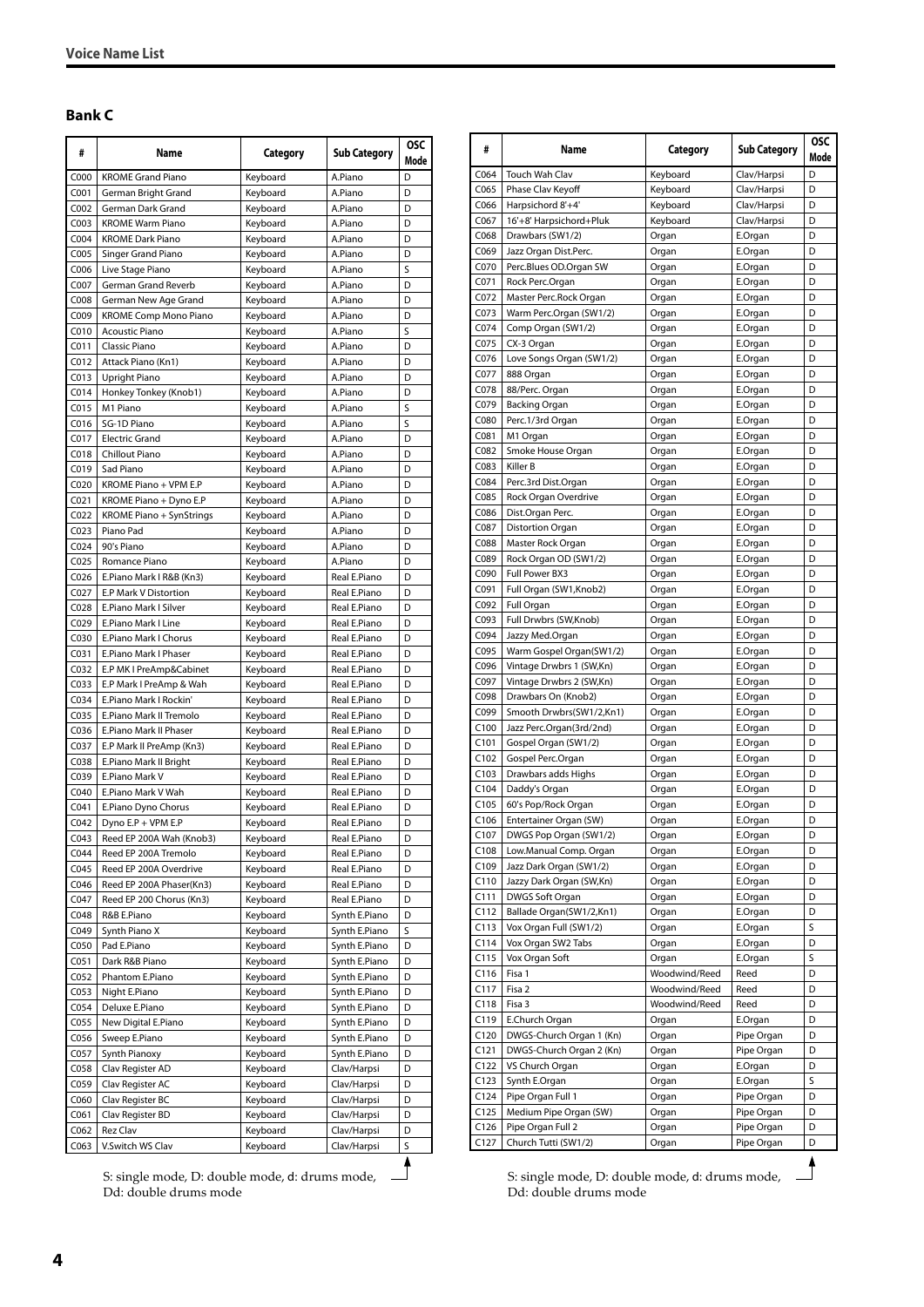#### <span id="page-3-0"></span>**Bank C**

| #                | Name                                         | Category             | <b>Sub Category</b>            | <b>OSC</b><br>Mode |
|------------------|----------------------------------------------|----------------------|--------------------------------|--------------------|
| C000             | <b>KROME Grand Piano</b>                     | Keyboard             | A.Piano                        | D                  |
| C001             | German Bright Grand                          | Keyboard             | A.Piano                        | D                  |
| C <sub>002</sub> | German Dark Grand                            | Keyboard             | A.Piano                        | D                  |
| C003             | <b>KROME Warm Piano</b>                      | Keyboard             | A.Piano                        | D                  |
| C <sub>004</sub> | <b>KROME Dark Piano</b>                      | Keyboard             | A.Piano                        | D                  |
| C005             | Singer Grand Piano                           | Keyboard             | A.Piano                        | D                  |
| C006             | Live Stage Piano                             | Keyboard             | A.Piano                        | S<br>D             |
| C007<br>C008     | German Grand Reverb<br>German New Age Grand  | Keyboard<br>Keyboard | A.Piano<br>A.Piano             | D                  |
| C009             | <b>KROME Comp Mono Piano</b>                 | Keyboard             | A.Piano                        | D                  |
| C010             | <b>Acoustic Piano</b>                        | Keyboard             | A.Piano                        | S                  |
| CO11             | Classic Piano                                | Keyboard             | A.Piano                        | D                  |
| C012             | Attack Piano (Kn1)                           | Keyboard             | A.Piano                        | D                  |
| C013             | Upright Piano                                | Keyboard             | A.Piano                        | D                  |
| C <sub>014</sub> | Honkey Tonkey (Knob1)                        | Keyboard             | A.Piano                        | D                  |
| C015             | M1 Piano                                     | Keyboard             | A.Piano                        | S                  |
| C016             | SG-1D Piano                                  | Keyboard             | A.Piano                        | S                  |
| C017             | <b>Electric Grand</b>                        | Keyboard             | A.Piano                        | D                  |
| C018             | Chillout Piano                               | Keyboard             | A.Piano                        | D                  |
| C019             | Sad Piano                                    | Keyboard             | A.Piano                        | D                  |
| CO <sub>20</sub> | KROME Piano + VPM E.P                        | Keyboard             | A.Piano                        | D                  |
| CO <sub>21</sub> | KROME Piano + Dyno E.P                       | Keyboard             | A.Piano                        | D                  |
| CO <sub>22</sub> | KROME Piano + SynStrings                     | Keyboard             | A.Piano                        | D                  |
| CO <sub>23</sub> | Piano Pad                                    | Keyboard             | A.Piano                        | D                  |
| CO <sub>24</sub> | 90's Piano                                   | Keyboard             | A.Piano                        | D                  |
| C <sub>025</sub> | Romance Piano                                | Keyboard             | A.Piano                        | D                  |
| C <sub>026</sub> | E.Piano Mark I R&B (Kn3)                     | Keyboard             | Real E.Piano                   | D                  |
| C027             | E.P Mark V Distortion                        | Keyboard             | Real E.Piano                   | D                  |
| C028             | E.Piano Mark I Silver                        | Keyboard             | Real E.Piano                   | D                  |
| C029<br>C030     | E.Piano Mark I Line<br>E.Piano Mark I Chorus | Keyboard             | Real E.Piano<br>Real E.Piano   | D<br>D             |
| CO <sub>31</sub> | E.Piano Mark I Phaser                        | Keyboard<br>Keyboard | Real E.Piano                   | D                  |
| C032             | E.P MK I PreAmp&Cabinet                      | Keyboard             | Real E.Piano                   | D                  |
| C033             | E.P Mark I PreAmp & Wah                      | Keyboard             | Real E.Piano                   | D                  |
| C034             | E.Piano Mark I Rockin'                       | Keyboard             | Real E.Piano                   | D                  |
| C035             | E.Piano Mark II Tremolo                      | Keyboard             | Real E.Piano                   | D                  |
| C036             | E.Piano Mark II Phaser                       | Keyboard             | Real E.Piano                   | D                  |
| C037             | E.P Mark II PreAmp (Kn3)                     | Keyboard             | Real E.Piano                   | D                  |
| C038             | E.Piano Mark II Bright                       | Keyboard             | Real E.Piano                   | D                  |
| C039             | E.Piano Mark V                               | Keyboard             | Real E.Piano                   | D                  |
| CO <sub>40</sub> | E.Piano Mark V Wah                           | Keyboard             | Real E.Piano                   | D                  |
| C041             | E.Piano Dyno Chorus                          | Keyboard             | Real E.Piano                   | D                  |
| CO <sub>42</sub> | Dyno E.P + VPM E.P                           | Keyboard             | Real E.Piano                   | D                  |
| C043             | Reed EP 200A Wah (Knob3)                     | Keyboard             | Real E.Piano                   | D                  |
| C044             | Reed EP 200A Tremolo                         | Keyboard             | Real E.Piano                   | D                  |
| C045             | Reed EP 200A Overdrive                       | Keyboard             | Real E.Piano                   | D                  |
| C046             | Reed EP 200A Phaser(Kn3)                     | Keyboard             | Real E.Piano                   | D                  |
| C047             | Reed EP 200 Chorus (Kn3)                     | Keyboard             | Real E.Piano                   | D                  |
| C048             | R&B E.Piano                                  | Keyboard             | Synth E.Piano                  | D                  |
| C049             | Synth Piano X                                | Keyboard             | Synth E.Piano                  | S                  |
| C050             | Pad E.Piano                                  | Keyboard             | Synth E.Piano                  | D                  |
| C <sub>051</sub> | Dark R&B Piano                               | Keyboard             | Synth E.Piano                  | D                  |
| C052             | Phantom E.Piano<br>Night E.Piano             | Keyboard<br>Keyboard | Synth E.Piano<br>Synth E.Piano | D<br>D             |
| C053<br>C054     | Deluxe E.Piano                               | Keyboard             | Synth E.Piano                  | D                  |
| C055             | New Digital E.Piano                          | Keyboard             | Synth E.Piano                  | D                  |
| C056             | Sweep E.Piano                                | Keyboard             | Synth E.Piano                  | D                  |
| C057             | Synth Pianoxy                                | Keyboard             | Synth E.Piano                  | D                  |
| C058             | Clav Register AD                             | Keyboard             | Clav/Harpsi                    | D                  |
| C059             | Clav Register AC                             | Keyboard             | Clav/Harpsi                    | D                  |
| C060             | Clav Register BC                             | Keyboard             | Clav/Harpsi                    | D                  |
| C061             | Clav Register BD                             | Keyboard             | Clav/Harpsi                    | D                  |
| C062             | Rez Clav                                     | Keyboard             | Clav/Harpsi                    | D                  |
| C063             | V.Switch WS Clav                             | Keyboard             | Clav/Harpsi                    | S                  |
|                  |                                              |                      |                                |                    |

S: single mode, D: double mode, d: drums mode, Dd: double drums mode

| #                | Name                     | Category      | <b>Sub Category</b> | <b>OSC</b><br>Mode |
|------------------|--------------------------|---------------|---------------------|--------------------|
| C064             | Touch Wah Clav           | Keyboard      | Clav/Harpsi         | D                  |
| C065             | Phase Clav Keyoff        | Keyboard      | Clav/Harpsi         | D                  |
| C066             | Harpsichord 8'+4'        | Keyboard      | Clav/Harpsi         | D                  |
| C067             | 16'+8' Harpsichord+Pluk  | Keyboard      | Clav/Harpsi         | D                  |
| C068             | Drawbars (SW1/2)         | Organ         | E.Organ             | D                  |
| C069             | Jazz Organ Dist.Perc.    | Organ         | E.Organ             | D                  |
| C070             | Perc.Blues OD.Organ SW   | Organ         | E.Organ             | D                  |
| C071             | Rock Perc.Organ          | Organ         | E.Organ             | D                  |
| C072             | Master Perc.Rock Organ   | Organ         | E.Organ             | D                  |
| C073             | Warm Perc.Organ (SW1/2)  | Organ         | E.Organ             | D                  |
| C074             | Comp Organ (SW1/2)       | Organ         | E.Organ             | D                  |
| C075             | CX-3 Organ               | Organ         | E.Organ             | D                  |
| C076             | Love Songs Organ (SW1/2) | Organ         | E.Organ             | D                  |
| C077             | 888 Organ                | Organ         | E.Organ             | D                  |
| C078             | 88/Perc. Organ           | Organ         | E.Organ             | D                  |
| C079             | <b>Backing Organ</b>     | Organ         | E.Organ             | D                  |
| C080             | Perc.1/3rd Organ         | Organ         | E.Organ             | D                  |
| C081             | M1 Organ                 | Organ         | E.Organ             | D                  |
| C082             | Smoke House Organ        | Organ         | E.Organ             | D                  |
| C083             | Killer B                 | Organ         | E.Organ             | D                  |
| C084             | Perc.3rd Dist.Organ      | Organ         | E.Organ             | D                  |
| C085             | Rock Organ Overdrive     | Organ         | E.Organ             | D                  |
| C086             | Dist.Organ Perc.         | Organ         | E.Organ             | D                  |
| C087             | <b>Distortion Organ</b>  | Organ         | E.Organ             | D                  |
| C088             | Master Rock Organ        | Organ         | E.Organ             | D                  |
| C089             | Rock Organ OD (SW1/2)    | Organ         | E.Organ             | D                  |
| C090             | Full Power BX3           | Organ         | E.Organ             | D                  |
| C091             | Full Organ (SW1,Knob2)   | Organ         | E.Organ             | D                  |
| C092             | Full Organ               | Organ         | E.Organ             | D                  |
| C093             | Full Drwbrs (SW,Knob)    | Organ         | E.Organ             | D                  |
| C094             | Jazzy Med.Organ          | Organ         | E.Organ             | D                  |
| C095             | Warm Gospel Organ(SW1/2) | Organ         | E.Organ             | D                  |
| C096             | Vintage Drwbrs 1 (SW,Kn) | Organ         | E.Organ             | D                  |
| C097             | Vintage Drwbrs 2 (SW,Kn) | Organ         | E.Organ             | D                  |
| C098             | Drawbars On (Knob2)      | Organ         | E.Organ             | D                  |
| C099             | Smooth Drwbrs(SW1/2,Kn1) | Organ         | E.Organ             | D                  |
| C <sub>100</sub> | Jazz Perc.Organ(3rd/2nd) | Organ         | E.Organ             | D                  |
| C101             | Gospel Organ (SW1/2)     | Organ         | E.Organ             | D                  |
| C <sub>102</sub> | Gospel Perc.Organ        | Organ         | E.Organ             | D                  |
| C <sub>103</sub> | Drawbars adds Highs      | Organ         | E.Organ             | D                  |
| C104             | Daddy's Organ            | Organ         | E.Organ             | D                  |
| C <sub>105</sub> | 60's Pop/Rock Organ      | Organ         | E.Organ             | D                  |
| C <sub>106</sub> | Entertainer Organ (SW)   | Organ         | E.Organ             | D                  |
| C107             | DWGS Pop Organ (SW1/2)   | Organ         | E.Organ             | D                  |
| C108             | Low.Manual Comp. Organ   | Organ         | E.Organ             | D                  |
| C109             | Jazz Dark Organ (SW1/2)  | Organ         | E.Organ             | D                  |
| C110             | Jazzy Dark Organ (SW,Kn) | Organ         | E.Organ             | D                  |
| C111             | DWGS Soft Organ          | Organ         | E.Organ             | D                  |
| C112             | Ballade Organ(SW1/2,Kn1) | Organ         | E.Organ             | D                  |
| C113             | Vox Organ Full (SW1/2)   | Organ         | E.Organ             | S                  |
| C114             | Vox Organ SW2 Tabs       | Organ         | E.Organ             | D                  |
| C115             | Vox Organ Soft           | Organ         | E.Organ             | S                  |
| C116             | Fisa 1                   | Woodwind/Reed | Reed                | D                  |
| C117             | Fisa 2                   | Woodwind/Reed | Reed                | D                  |
| C118             | Fisa 3                   | Woodwind/Reed | Reed                | D                  |
| C119             | E.Church Organ           | Organ         | E.Organ             | D                  |
| C120             | DWGS-Church Organ 1 (Kn) | Organ         | Pipe Organ          | D                  |
| C121             | DWGS-Church Organ 2 (Kn) | Organ         | Pipe Organ          | D                  |
| C122             | VS Church Organ          | Organ         | E.Organ             | D                  |
| C123             | Synth E.Organ            | Organ         | E.Organ             | S                  |
| C124             | Pipe Organ Full 1        | Organ         | Pipe Organ          | D                  |
| C125             | Medium Pipe Organ (SW)   | Organ         | Pipe Organ          | D                  |
| C126             | Pipe Organ Full 2        | Organ         | Pipe Organ          | D                  |
| C127             | Church Tutti (SW1/2)     | Organ         | Pipe Organ          | D                  |

S: single mode, D: double mode, d: drums mode, Dd: double drums mode

**4**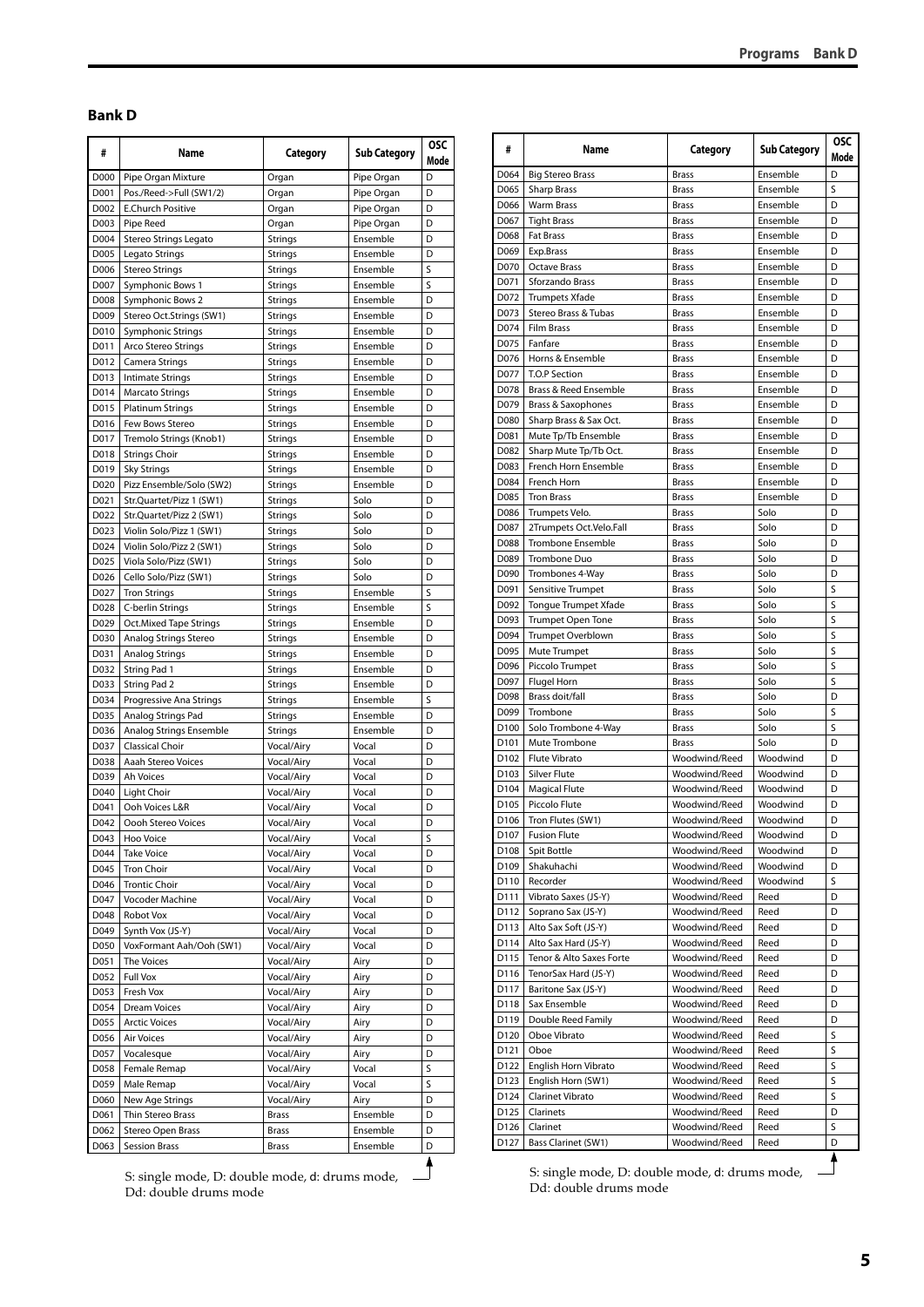#### <span id="page-4-0"></span>**Bank D**

| #            | Name                                      | Category       | Sub Category         | <b>OSC</b><br>Mode |
|--------------|-------------------------------------------|----------------|----------------------|--------------------|
| D000         | Pipe Organ Mixture                        | Organ          | Pipe Organ           | D                  |
| D001         | Pos./Reed->Full (SW1/2)                   | Organ          | Pipe Organ           | D                  |
| D002         | <b>E.Church Positive</b>                  | Organ          | Pipe Organ           | D                  |
| D003         | Pipe Reed                                 | Organ          | Pipe Organ           | D                  |
| D004         | Stereo Strings Legato                     | <b>Strings</b> | Ensemble             | D                  |
| D005         | Legato Strings                            | Strings        | Ensemble             | D                  |
| D006         | Stereo Strings                            | <b>Strings</b> | Ensemble             | S                  |
| D007         | Symphonic Bows 1                          | Strings        | Ensemble             | Ś                  |
| D008         | Symphonic Bows 2                          | <b>Strings</b> | Ensemble             | D                  |
| D009         | Stereo Oct.Strings (SW1)                  | Strings        | Ensemble             | D                  |
| D010         | <b>Symphonic Strings</b>                  | Strings        | Ensemble             | D                  |
| D011         | Arco Stereo Strings                       | <b>Strings</b> | Ensemble             | D                  |
| D012         | Camera Strings                            | Strings        | Ensemble             | D                  |
| D013         | <b>Intimate Strings</b>                   | Strings        | Ensemble             | D                  |
| D014         | <b>Marcato Strings</b>                    | Strings        | Ensemble             | D                  |
| D015         | <b>Platinum Strings</b>                   | Strings        | Ensemble             | D                  |
| D016         | Few Bows Stereo                           | Strings        | Ensemble             | D                  |
| D017         | Tremolo Strings (Knob1)                   | Strings        | Ensemble             | D                  |
| D018         | <b>Strings Choir</b>                      | Strings        | Ensemble             | D                  |
| D019         | <b>Sky Strings</b>                        | <b>Strings</b> | Ensemble             | D                  |
| D020         | Pizz Ensemble/Solo (SW2)                  | Strings        | Ensemble             | D                  |
| D021         | Str.Quartet/Pizz 1 (SW1)                  | Strings        | Solo                 | D                  |
| D022         | Str.Quartet/Pizz 2 (SW1)                  | Strings        | Solo                 | D                  |
| D023         | Violin Solo/Pizz 1 (SW1)                  | Strings        | Solo                 | D                  |
| D024         | Violin Solo/Pizz 2 (SW1)                  | <b>Strings</b> | Solo                 | D                  |
| D025         | Viola Solo/Pizz (SW1)                     | Strings        | Solo                 | D                  |
|              |                                           |                |                      | D                  |
| D026         | Cello Solo/Pizz (SW1)                     | Strings        | Solo                 | S                  |
| D027         | <b>Tron Strings</b>                       | Strings        | Ensemble             |                    |
| D028         | C-berlin Strings                          | <b>Strings</b> | Ensemble             | S                  |
| D029         | Oct.Mixed Tape Strings                    | <b>Strings</b> | Ensemble             | D                  |
| D030         | Analog Strings Stereo                     | Strings        | Ensemble             | D                  |
| D031         | <b>Analog Strings</b>                     | Strings        | Ensemble             | D                  |
| D032         | String Pad 1                              | Strings        | Ensemble             | D                  |
| D033         | String Pad 2                              | Strings        | Ensemble             | D                  |
| D034         | Progressive Ana Strings                   | <b>Strings</b> | Ensemble             | S                  |
| D035         | Analog Strings Pad                        | Strings        | Ensemble             | D                  |
| D036         | Analog Strings Ensemble                   | Strings        | Ensemble             | D                  |
| D037         | Classical Choir                           | Vocal/Airy     | Vocal                | D                  |
| D038         | Aaah Stereo Voices                        | Vocal/Airy     | Vocal                | D                  |
| D039         | Ah Voices                                 | Vocal/Airy     | Vocal                | D                  |
| D040         | Light Choir                               | Vocal/Airy     | Vocal                | D                  |
| D041         | Ooh Voices L&R                            | Vocal/Airy     | Vocal                | D                  |
| D042         | Oooh Stereo Voices                        | Vocal/Airy     | Vocal                | D                  |
| D043         | Hoo Voice                                 | Vocal/Airy     | Vocal                | S                  |
| D044         | <b>Take Voice</b>                         | Vocal/Airy     | Vocal                | D                  |
| D045         | <b>Tron Choir</b>                         | Vocal/Airy     | Vocal                | D                  |
| D046         | <b>Trontic Choir</b>                      | Vocal/Airy     | Vocal                | D                  |
| D047         | Vocoder Machine                           | Vocal/Airy     | Vocal                | D                  |
| D048         | Robot Vox                                 | Vocal/Airy     | Vocal                | D                  |
| D049         | Synth Vox (JS-Y)                          | Vocal/Airy     | Vocal                | D                  |
| D050         | VoxFormant Aah/Ooh (SW1)                  | Vocal/Airy     | Vocal                | D                  |
| D051         | The Voices                                | Vocal/Airy     | Airy                 | D                  |
| D052         | Full Vox                                  | Vocal/Airy     | Airy                 | D                  |
| D053         | Fresh Vox                                 | Vocal/Airy     | Airy                 | D                  |
| D054         | <b>Dream Voices</b>                       | Vocal/Airy     | Airy                 | D                  |
| D055         | <b>Arctic Voices</b>                      | Vocal/Airy     | Airy                 | D                  |
| D056         | Air Voices                                | Vocal/Airy     | Airy                 | D                  |
| D057         | Vocalesque                                | Vocal/Airy     | Airy                 | D                  |
| D058         | Female Remap                              | Vocal/Airy     | Vocal                | S                  |
| D059         |                                           |                | Vocal                | S                  |
|              | Male Remap                                | Vocal/Airy     |                      |                    |
| D060         | New Age Strings                           | Vocal/Airy     | Airy                 | D                  |
|              | Thin Stereo Brass                         | <b>Brass</b>   | Ensemble             | D                  |
| D061         |                                           |                |                      |                    |
| D062<br>D063 | Stereo Open Brass<br><b>Session Brass</b> | Brass<br>Brass | Ensemble<br>Ensemble | D<br>D             |

| S: single mode, D: double mode, d: drums mode, |  |
|------------------------------------------------|--|
| Dd: double drums mode                          |  |

| #                        | Name                                             | Category                       | <b>Sub Category</b>  | <b>OSC</b><br>Mode |
|--------------------------|--------------------------------------------------|--------------------------------|----------------------|--------------------|
| D064                     | <b>Big Stereo Brass</b>                          | <b>Brass</b>                   | Ensemble             | D                  |
| D065                     | <b>Sharp Brass</b>                               | <b>Brass</b>                   | Ensemble             | S                  |
| D066                     | <b>Warm Brass</b>                                | <b>Brass</b>                   | Ensemble             | D                  |
| D067                     | <b>Tight Brass</b>                               | <b>Brass</b>                   | Ensemble             | D                  |
| D068                     | <b>Fat Brass</b>                                 | <b>Brass</b>                   | Ensemble             | D                  |
| D069                     | Exp.Brass                                        | <b>Brass</b>                   | Ensemble             | D                  |
| D070                     | Octave Brass                                     | <b>Brass</b>                   | Ensemble             | D                  |
| D071                     | Sforzando Brass                                  | <b>Brass</b>                   | Ensemble             | D                  |
| D072                     | <b>Trumpets Xfade</b>                            | <b>Brass</b>                   | Ensemble             | D                  |
| D073                     | Stereo Brass & Tubas                             | <b>Brass</b>                   | Ensemble             | D                  |
| D074                     | <b>Film Brass</b>                                | <b>Brass</b>                   | Ensemble             | D                  |
| D075                     | Fanfare                                          | <b>Brass</b>                   | Ensemble             | D                  |
| D076                     | Horns & Ensemble                                 | <b>Brass</b>                   | Ensemble             | D                  |
| D077                     | T.O.P Section                                    | <b>Brass</b>                   | Ensemble             | D                  |
| D078                     | Brass & Reed Ensemble                            | <b>Brass</b>                   | Ensemble             | D                  |
| D079                     | <b>Brass &amp; Saxophones</b>                    | <b>Brass</b>                   | Ensemble             | D                  |
| D080                     | Sharp Brass & Sax Oct.                           | <b>Brass</b>                   | Ensemble             | D                  |
| D081                     | Mute Tp/Tb Ensemble                              | <b>Brass</b>                   | Ensemble             | D                  |
| D082                     | Sharp Mute Tp/Tb Oct.                            | <b>Brass</b>                   | Ensemble             | D                  |
| D083                     | French Horn Ensemble                             | <b>Brass</b>                   | Ensemble             | D                  |
| D084                     | French Horn                                      | <b>Brass</b>                   | Ensemble             | D                  |
| D085                     | <b>Tron Brass</b>                                | <b>Brass</b>                   | Ensemble             | D                  |
| D086                     | Trumpets Velo.                                   | <b>Brass</b>                   | Solo                 | D                  |
| D087                     | 2Trumpets Oct.Velo.Fall                          | <b>Brass</b>                   | Solo                 | D                  |
| D088                     | <b>Trombone Ensemble</b>                         | <b>Brass</b>                   | Solo                 | D                  |
| D089                     | Trombone Duo                                     | <b>Brass</b>                   | Solo                 | D                  |
| D090                     | Trombones 4-Way                                  | <b>Brass</b>                   | Solo                 | D                  |
| D091                     | Sensitive Trumpet                                | <b>Brass</b>                   | Solo                 | S                  |
| D092                     | Tongue Trumpet Xfade                             | <b>Brass</b>                   | Solo                 | S                  |
| D093                     | Trumpet Open Tone                                | <b>Brass</b>                   | Solo                 | S                  |
| D094                     | Trumpet Overblown                                | <b>Brass</b>                   | Solo                 | S                  |
| D095                     | Mute Trumpet                                     | <b>Brass</b>                   | Solo                 | S                  |
| D096                     | Piccolo Trumpet                                  | <b>Brass</b>                   | Solo                 | S                  |
| D097                     | Flugel Horn                                      | <b>Brass</b>                   | Solo                 | S                  |
| D098                     | Brass doit/fall                                  | <b>Brass</b>                   | Solo                 | D                  |
| D099                     | Trombone                                         | <b>Brass</b>                   | Solo                 | S                  |
| D100                     | Solo Trombone 4-Way<br>Mute Trombone             | <b>Brass</b>                   | Solo                 | S                  |
| D <sub>101</sub><br>D102 | Flute Vibrato                                    | <b>Brass</b>                   | Solo<br>Woodwind     | D<br>D             |
|                          |                                                  | Woodwind/Reed                  |                      |                    |
| D103                     | <b>Silver Flute</b>                              | Woodwind/Reed                  | Woodwind             | D<br>D             |
| D104                     | <b>Magical Flute</b>                             | Woodwind/Reed                  | Woodwind             |                    |
| D105                     | Piccolo Flute<br>Tron Flutes (SW1)               | Woodwind/Reed<br>Woodwind/Reed | Woodwind<br>Woodwind | D                  |
| D106                     |                                                  |                                |                      | D                  |
| D107                     | <b>Fusion Flute</b>                              | Woodwind/Reed                  | Woodwind             | D                  |
| D108                     | Spit Bottle                                      | Woodwind/Reed                  | Woodwind             | D                  |
| D109                     | Shakuhachi                                       | Woodwind/Reed                  | Woodwind             | D                  |
| D110                     | Recorder                                         | Woodwind/Reed                  | Woodwind             | S                  |
| D111                     | Vibrato Saxes (JS-Y)                             | Woodwind/Reed                  | Reed                 | D                  |
| D112                     | Soprano Sax (JS-Y)                               | Woodwind/Reed                  | Reed                 | D                  |
| D113                     | Alto Sax Soft (JS-Y)                             | Woodwind/Reed                  | Reed                 | D                  |
| D114                     | Alto Sax Hard (JS-Y)                             | Woodwind/Reed                  | Reed                 | D                  |
| D115                     | Tenor & Alto Saxes Forte<br>TenorSax Hard (JS-Y) | Woodwind/Reed                  | Reed                 | D                  |
| D116                     |                                                  | Woodwind/Reed                  | Reed                 | D                  |
| D117                     | Baritone Sax (JS-Y)                              | Woodwind/Reed                  | Reed                 | D                  |
| D118                     | Sax Ensemble                                     | Woodwind/Reed<br>Woodwind/Reed | Reed                 | D                  |
| D119                     | Double Reed Family                               |                                | Reed                 | D                  |
| D120                     | Oboe Vibrato                                     | Woodwind/Reed                  | Reed                 | S                  |
| D121                     | Oboe                                             | Woodwind/Reed                  | Reed                 | S                  |
| D122                     | English Horn Vibrato                             | Woodwind/Reed                  | Reed                 | S                  |
| D123                     | English Horn (SW1)                               | Woodwind/Reed                  | Reed                 | S                  |
| D124                     | Clarinet Vibrato                                 | Woodwind/Reed                  | Reed                 | S                  |
| D125                     | Clarinets                                        | Woodwind/Reed                  | Reed                 | D                  |
| D126                     | Clarinet                                         | Woodwind/Reed                  | Reed                 | S                  |
| D127                     | Bass Clarinet (SW1)                              | Woodwind/Reed                  | Reed                 | D                  |
|                          | S: single mode, D: double mode, d: drums mode,   |                                |                      |                    |

S: single mode, D: double mode, d: drums mode, J. Dd: double drums mode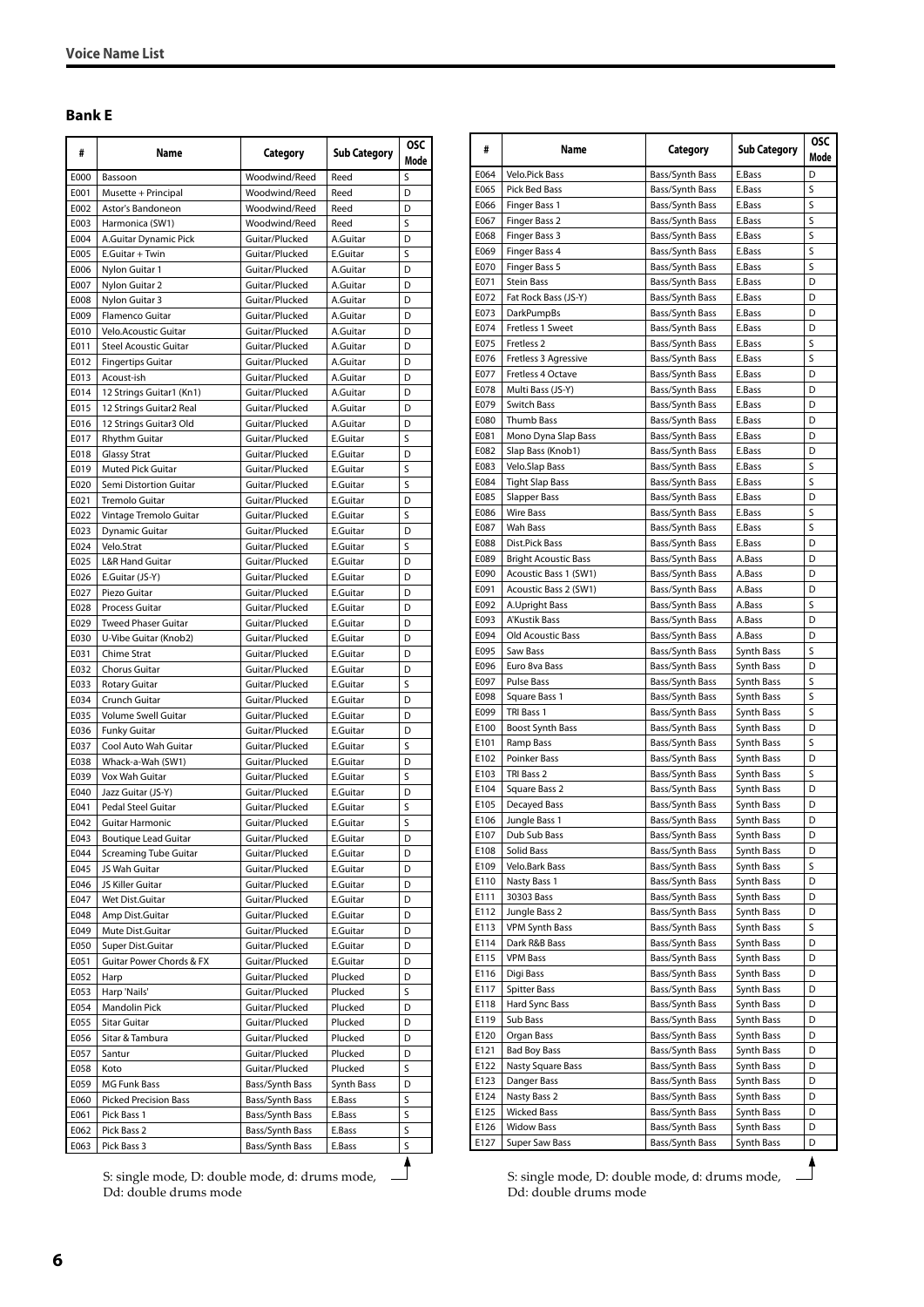#### <span id="page-5-0"></span>**Bank E**

| #            | Name                                        | Category                         | <b>Sub Category</b>  | <b>OSC</b><br>Mode |
|--------------|---------------------------------------------|----------------------------------|----------------------|--------------------|
| E000         | Bassoon                                     | Woodwind/Reed                    | Reed                 | S                  |
| E001         | Musette + Principal                         | Woodwind/Reed                    | Reed                 | D                  |
| E002         | Astor's Bandoneon                           | Woodwind/Reed                    | Reed                 | D                  |
| E003         | Harmonica (SW1)                             | Woodwind/Reed                    | Reed                 | S                  |
| E004         | A.Guitar Dynamic Pick                       | Guitar/Plucked                   | A.Guitar             | D                  |
| E005         | E.Guitar + Twin                             | Guitar/Plucked                   | E.Guitar             | S                  |
| E006         | Nylon Guitar 1                              | Guitar/Plucked                   | A.Guitar             | D                  |
| E007         | Nylon Guitar 2                              | Guitar/Plucked                   | A.Guitar             | D                  |
| E008<br>E009 | Nylon Guitar 3<br>Flamenco Guitar           | Guitar/Plucked<br>Guitar/Plucked | A.Guitar<br>A.Guitar | D<br>D             |
| E010         | <b>Velo.Acoustic Guitar</b>                 | Guitar/Plucked                   | A.Guitar             | D                  |
| E011         | Steel Acoustic Guitar                       | Guitar/Plucked                   | A.Guitar             | D                  |
| E012         | <b>Fingertips Guitar</b>                    | Guitar/Plucked                   | A.Guitar             | D                  |
| E013         | Acoust-ish                                  | Guitar/Plucked                   | A.Guitar             | D                  |
| E014         | 12 Strings Guitar1 (Kn1)                    | Guitar/Plucked                   | A.Guitar             | D                  |
| E015         | 12 Strings Guitar2 Real                     | Guitar/Plucked                   | A.Guitar             | D                  |
| E016         | 12 Strings Guitar3 Old                      | Guitar/Plucked                   | A.Guitar             | D                  |
| E017         | <b>Rhythm Guitar</b>                        | Guitar/Plucked                   | E.Guitar             | S                  |
| E018         | <b>Glassy Strat</b>                         | Guitar/Plucked                   | E.Guitar             | D                  |
| E019         | Muted Pick Guitar                           | Guitar/Plucked                   | E.Guitar             | S                  |
| E020         | Semi Distortion Guitar                      | Guitar/Plucked                   | E.Guitar             | S                  |
| E021         | Tremolo Guitar                              | Guitar/Plucked                   | E.Guitar             | D                  |
| E022         | Vintage Tremolo Guitar                      | Guitar/Plucked                   | E.Guitar             | S                  |
| E023         | <b>Dynamic Guitar</b>                       | Guitar/Plucked                   | E.Guitar             | D                  |
| E024         | Velo.Strat                                  | Guitar/Plucked                   | E.Guitar             | S                  |
| E025         | <b>L&amp;R Hand Guitar</b>                  | Guitar/Plucked                   | E.Guitar             | D                  |
| E026         | E.Guitar (JS-Y)                             | Guitar/Plucked                   | E.Guitar             | D                  |
| E027         | Piezo Guitar                                | Guitar/Plucked                   | E.Guitar             | D                  |
| E028         | Process Guitar                              | Guitar/Plucked                   | E.Guitar             | D                  |
| E029         | <b>Tweed Phaser Guitar</b>                  | Guitar/Plucked                   | E.Guitar             | D                  |
| E030         | U-Vibe Guitar (Knob2)                       | Guitar/Plucked                   | E.Guitar             | D                  |
| E031         | Chime Strat                                 | Guitar/Plucked                   | E.Guitar             | D                  |
| E032         | Chorus Guitar                               | Guitar/Plucked                   | E.Guitar             | D                  |
| E033         | <b>Rotary Guitar</b>                        | Guitar/Plucked                   | E.Guitar             | S                  |
| E034         | Crunch Guitar                               | Guitar/Plucked                   | E.Guitar             | D                  |
| E035         | Volume Swell Guitar                         | Guitar/Plucked                   | E.Guitar             | D                  |
| E036<br>E037 | <b>Funky Guitar</b><br>Cool Auto Wah Guitar | Guitar/Plucked<br>Guitar/Plucked | E.Guitar             | D<br>S             |
| E038         | Whack-a-Wah (SW1)                           | Guitar/Plucked                   | E.Guitar<br>E.Guitar | D                  |
| E039         | Vox Wah Guitar                              | Guitar/Plucked                   | E.Guitar             | S                  |
| E040         | Jazz Guitar (JS-Y)                          | Guitar/Plucked                   | E.Guitar             | D                  |
| E041         | Pedal Steel Guitar                          | Guitar/Plucked                   | E.Guitar             | S                  |
| E042         | <b>Guitar Harmonic</b>                      | Guitar/Plucked                   | E.Guitar             | S                  |
| E043         | <b>Boutique Lead Guitar</b>                 | Guitar/Plucked                   | E.Guitar             | D                  |
| E044         | Screaming Tube Guitar                       | Guitar/Plucked                   | E.Guitar             | D                  |
| E045         | JS Wah Guitar                               | Guitar/Plucked                   | E.Guitar             | D                  |
| E046         | JS Killer Guitar                            | Guitar/Plucked                   | E.Guitar             | D                  |
| E047         | Wet Dist.Guitar                             | Guitar/Plucked                   | E.Guitar             | D                  |
| E048         | Amp Dist.Guitar                             | Guitar/Plucked                   | E.Guitar             | D                  |
| E049         | Mute Dist.Guitar                            | Guitar/Plucked                   | E.Guitar             | D                  |
| E050         | Super Dist.Guitar                           | Guitar/Plucked                   | E.Guitar             | D                  |
| E051         | Guitar Power Chords & FX                    | Guitar/Plucked                   | E.Guitar             | D                  |
| E052         | Harp                                        | Guitar/Plucked                   | Plucked              | D                  |
| E053         | Harp 'Nails'                                | Guitar/Plucked                   | Plucked              | S                  |
| E054         | Mandolin Pick                               | Guitar/Plucked                   | Plucked              | D                  |
| E055         | Sitar Guitar                                | Guitar/Plucked                   | Plucked              | D                  |
| E056         | Sitar & Tambura                             | Guitar/Plucked                   | Plucked              | D                  |
| E057         | Santur                                      | Guitar/Plucked                   | Plucked              | D                  |
| E058         | Koto                                        | Guitar/Plucked                   | Plucked              | S                  |
| E059         | <b>MG Funk Bass</b>                         | Bass/Synth Bass                  | Synth Bass           | D                  |
| E060         | <b>Picked Precision Bass</b>                | Bass/Synth Bass                  | E.Bass               | S                  |
| E061         | Pick Bass 1                                 | Bass/Synth Bass                  | E.Bass               | S                  |
| E062         | Pick Bass 2                                 | Bass/Synth Bass                  | E.Bass               | S                  |
| E063         | Pick Bass 3                                 | Bass/Synth Bass                  | E.Bass               | S                  |

S: single mode, D: double mode, d: drums mode, Dd: double drums mode

| #            | Name<br>Category                          |                                    | <b>Sub Category</b>      | <b>OSC</b><br>Mode |
|--------------|-------------------------------------------|------------------------------------|--------------------------|--------------------|
| E064         | Velo.Pick Bass                            | Bass/Synth Bass                    | E.Bass                   | D                  |
| E065         | Pick Bed Bass                             | Bass/Synth Bass                    | E.Bass                   | S                  |
| E066         | Finger Bass 1                             | Bass/Synth Bass                    | E.Bass                   | S                  |
| E067         | Finger Bass 2                             | Bass/Synth Bass                    | E.Bass                   | S                  |
| E068         | Finger Bass 3                             | Bass/Synth Bass                    | E.Bass                   | S                  |
| E069         | Finger Bass 4                             | Bass/Synth Bass                    | E.Bass                   | S                  |
| E070         | Finger Bass 5                             | Bass/Synth Bass                    | E.Bass                   | S                  |
| E071         | Stein Bass                                | Bass/Synth Bass                    | E.Bass                   | D                  |
| E072         | Fat Rock Bass (JS-Y)                      | Bass/Synth Bass                    | E.Bass                   | D                  |
| E073<br>E074 | <b>DarkPumpBs</b>                         | Bass/Synth Bass                    | E.Bass<br>E.Bass         | D<br>D             |
| E075         | Fretless 1 Sweet<br>Fretless <sub>2</sub> | Bass/Synth Bass<br>Bass/Synth Bass | E.Bass                   | S                  |
| E076         | Fretless 3 Agressive                      | Bass/Synth Bass                    | E.Bass                   | S                  |
| E077         | Fretless 4 Octave                         | Bass/Synth Bass                    | E.Bass                   | D                  |
| E078         | Multi Bass (JS-Y)                         | Bass/Synth Bass                    | E.Bass                   | D                  |
| E079         | Switch Bass                               | Bass/Synth Bass                    | E.Bass                   | D                  |
| E080         | Thumb Bass                                | Bass/Synth Bass                    | E.Bass                   | D                  |
| E081         | Mono Dyna Slap Bass                       | Bass/Synth Bass                    | E.Bass                   | D                  |
| E082         | Slap Bass (Knob1)                         | Bass/Synth Bass                    | E.Bass                   | D                  |
| E083         | Velo.Slap Bass                            | Bass/Synth Bass                    | E.Bass                   | S                  |
| E084         | <b>Tight Slap Bass</b>                    | Bass/Synth Bass                    | E.Bass                   | S                  |
| E085         | <b>Slapper Bass</b>                       | Bass/Synth Bass                    | E.Bass                   | D                  |
| E086         | <b>Wire Bass</b>                          | Bass/Synth Bass                    | E.Bass                   | S                  |
| E087         | Wah Bass                                  | Bass/Synth Bass                    | E.Bass                   | S                  |
| E088         | Dist.Pick Bass                            | Bass/Synth Bass                    | E.Bass                   | D                  |
| E089         | <b>Bright Acoustic Bass</b>               | Bass/Synth Bass                    | A.Bass                   | D                  |
| E090         | Acoustic Bass 1 (SW1)                     | Bass/Synth Bass                    | A.Bass                   | D                  |
| E091         | Acoustic Bass 2 (SW1)                     | Bass/Synth Bass                    | A.Bass                   | D                  |
| E092         | A.Upright Bass                            | Bass/Synth Bass                    | A.Bass                   | S                  |
| E093         | A'Kustik Bass                             | Bass/Synth Bass                    | A.Bass                   | D                  |
| E094         | <b>Old Acoustic Bass</b>                  | Bass/Synth Bass                    | A.Bass                   | D                  |
| E095         | Saw Bass                                  | Bass/Synth Bass                    | Synth Bass               | S                  |
| E096<br>E097 | Euro 8va Bass<br><b>Pulse Bass</b>        | Bass/Synth Bass                    | Synth Bass<br>Synth Bass | D<br>S             |
| E098         | Square Bass 1                             | Bass/Synth Bass<br>Bass/Synth Bass | Synth Bass               | S                  |
| E099         | TRI Bass 1                                | Bass/Synth Bass                    | Synth Bass               | S                  |
| E100         | <b>Boost Synth Bass</b>                   | Bass/Synth Bass                    | Synth Bass               | D                  |
| E101         | Ramp Bass                                 | Bass/Synth Bass                    | Synth Bass               | S                  |
| E102         | Poinker Bass                              | Bass/Synth Bass                    | Synth Bass               | D                  |
| E103         | TRI Bass 2                                | Bass/Synth Bass                    | Synth Bass               | S                  |
| E104         | Square Bass 2                             | Bass/Synth Bass                    | Synth Bass               | D                  |
| E105         | Decayed Bass                              | Bass/Synth Bass                    | Synth Bass               | D                  |
| E106         | Jungle Bass 1                             | Bass/Synth Bass                    | Synth Bass               | D                  |
| E107         | Dub Sub Bass                              | Bass/Synth Bass                    | Synth Bass               | D                  |
| E108         | Solid Bass                                | Bass/Synth Bass                    | Synth Bass               | D                  |
| E109         | Velo.Bark Bass                            | Bass/Synth Bass                    | Synth Bass               | S                  |
| E110         | Nasty Bass 1                              | Bass/Synth Bass                    | Synth Bass               | D                  |
| E111         | 30303 Bass                                | Bass/Synth Bass                    | Synth Bass               | D                  |
| E112         | Jungle Bass 2                             | Bass/Synth Bass                    | Synth Bass               | D                  |
| E113         | <b>VPM Synth Bass</b>                     | Bass/Synth Bass                    | Synth Bass               | S                  |
| E114         | Dark R&B Bass                             | Bass/Synth Bass                    | Synth Bass               | D                  |
| E115         | <b>VPM Bass</b>                           | Bass/Synth Bass                    | Synth Bass               | D                  |
| E116         | Digi Bass                                 | Bass/Synth Bass                    | Synth Bass               | D                  |
| E117         | <b>Spitter Bass</b>                       | Bass/Synth Bass                    | Synth Bass               | D                  |
| E118         | Hard Sync Bass                            | Bass/Synth Bass                    | Synth Bass               | D                  |
| E119         | Sub Bass                                  | Bass/Synth Bass                    | Synth Bass               | D                  |
| E120<br>E121 | Organ Bass<br><b>Bad Boy Bass</b>         | Bass/Synth Bass<br>Bass/Synth Bass | Synth Bass<br>Synth Bass | D<br>D             |
| E122         | Nasty Square Bass                         | Bass/Synth Bass                    | Synth Bass               | D                  |
| E123         | Danger Bass                               | Bass/Synth Bass                    | Synth Bass               | D                  |
| E124         | Nasty Bass 2                              | Bass/Synth Bass                    | Synth Bass               | D                  |
| E125         | <b>Wicked Bass</b>                        | Bass/Synth Bass                    | Synth Bass               | D                  |
| E126         | <b>Widow Bass</b>                         | Bass/Synth Bass                    | Synth Bass               | D                  |
| E127         | Super Saw Bass                            | Bass/Synth Bass                    | Synth Bass               | D                  |

S: single mode, D: double mode, d: drums mode, Dd: double drums mode

**6**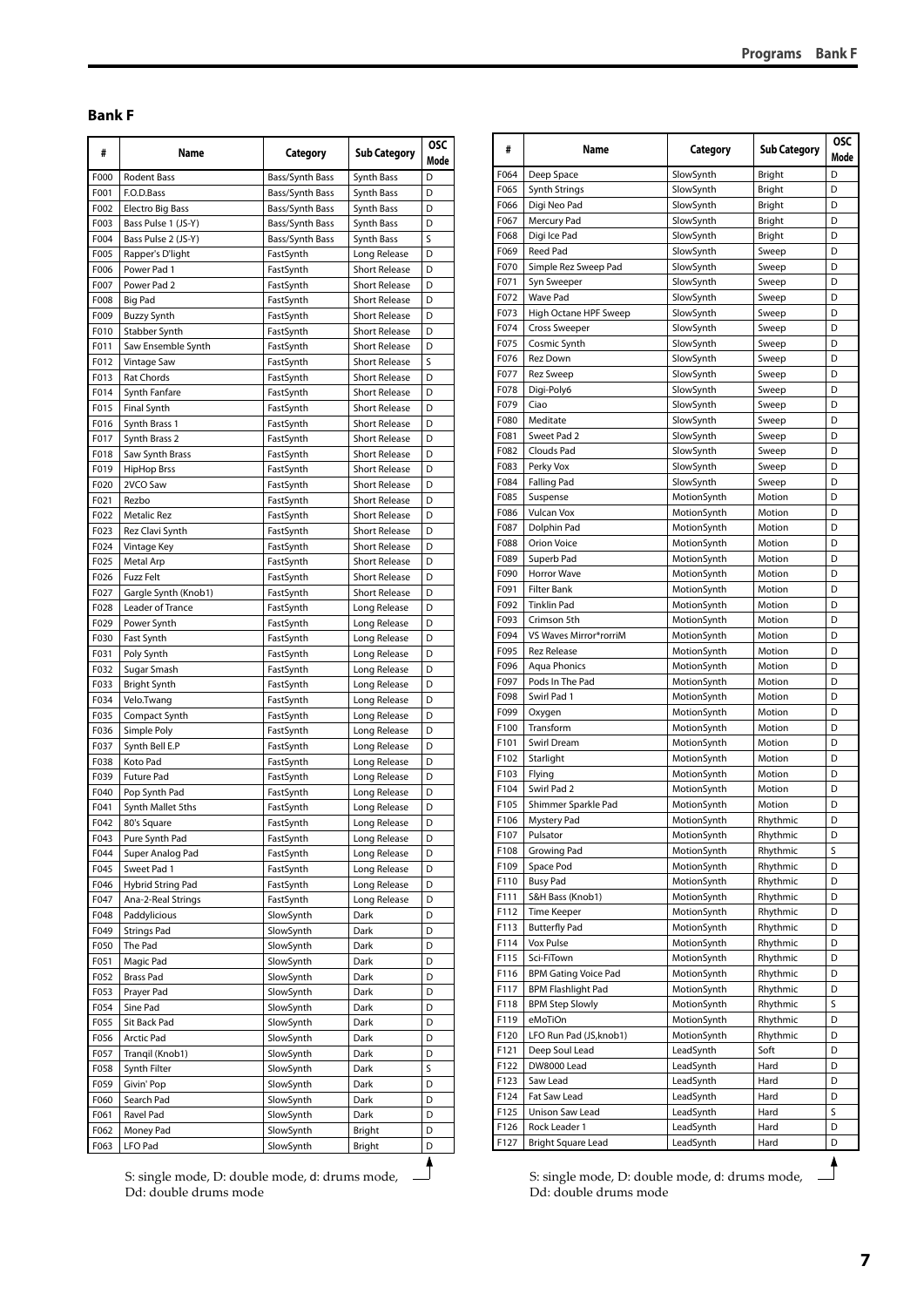#### <span id="page-6-0"></span>**Bank F**

| #            | Name                             | Category               | <b>Sub Category</b>                          |        |
|--------------|----------------------------------|------------------------|----------------------------------------------|--------|
| F000         | Rodent Bass                      | Bass/Synth Bass        | Synth Bass                                   | D      |
| F001         | F.O.D.Bass                       | Bass/Synth Bass        | Synth Bass                                   | D      |
| F002         | <b>Electro Big Bass</b>          | Bass/Synth Bass        | Synth Bass                                   | D      |
| F003         | Bass Pulse 1 (JS-Y)              | Bass/Synth Bass        | Synth Bass                                   | D      |
| F004         | Bass Pulse 2 (JS-Y)              | Bass/Synth Bass        | Synth Bass                                   | S      |
| F005         | Rapper's D'light                 | FastSynth              | Long Release                                 | D      |
| F006         | Power Pad 1                      | FastSynth              | <b>Short Release</b>                         | D<br>D |
| F007<br>F008 | Power Pad 2<br><b>Big Pad</b>    | FastSynth<br>FastSynth | <b>Short Release</b><br><b>Short Release</b> | D      |
| F009         | <b>Buzzy Synth</b>               | FastSynth              | <b>Short Release</b>                         | D      |
| F010         | Stabber Synth                    | FastSynth              | <b>Short Release</b>                         | D      |
| F011         | Saw Ensemble Synth               | FastSynth              | <b>Short Release</b>                         | D      |
| F012         | Vintage Saw                      | FastSynth              | <b>Short Release</b>                         | S      |
| F013         | <b>Rat Chords</b>                | FastSynth              | <b>Short Release</b>                         | D      |
| F014         | Synth Fanfare                    | FastSynth              | <b>Short Release</b>                         | D      |
| F015         | <b>Final Synth</b>               | FastSynth              | <b>Short Release</b>                         | D      |
| F016         | Synth Brass 1                    | FastSynth              | <b>Short Release</b>                         | D      |
| F017         | Synth Brass 2                    | FastSynth              | <b>Short Release</b>                         | D      |
| F018         | Saw Synth Brass                  | FastSynth              | <b>Short Release</b>                         | D      |
| F019         | <b>HipHop Brss</b>               | FastSynth              | <b>Short Release</b>                         | D      |
| F020         | 2VCO Saw                         | FastSynth              | <b>Short Release</b>                         | D      |
| F021         | Rezbo                            | FastSynth              | <b>Short Release</b>                         | D      |
| F022         | Metalic Rez                      | FastSynth              | <b>Short Release</b>                         | D      |
| F023         | Rez Clavi Synth                  | FastSynth              | <b>Short Release</b>                         | D      |
| F024         | Vintage Key                      | FastSynth              | <b>Short Release</b>                         | D      |
| F025         | Metal Arp                        | FastSynth              | <b>Short Release</b>                         | D      |
| F026         | <b>Fuzz Felt</b>                 | FastSynth              | <b>Short Release</b>                         | D      |
| F027<br>F028 | Gargle Synth (Knob1)             | FastSynth              | <b>Short Release</b>                         | D<br>D |
| F029         | Leader of Trance<br>Power Synth  | FastSynth<br>FastSynth | Long Release<br>Long Release                 | D      |
| F030         | Fast Synth                       | FastSynth              | Long Release                                 | D      |
| F031         | Poly Synth                       | FastSynth              | Long Release                                 | D      |
| F032         | Sugar Smash                      | FastSynth              | Long Release                                 | D      |
| F033         | Bright Synth                     | FastSynth              | Long Release                                 | D      |
| F034         | Velo.Twang                       | FastSynth              | Long Release                                 | D      |
| F035         | Compact Synth                    | FastSynth              | Long Release                                 | D      |
| F036         | Simple Poly                      | FastSynth              | Long Release                                 | D      |
| F037         | Synth Bell E.P                   | FastSynth              | Long Release                                 | D      |
| F038         | Koto Pad                         | FastSynth              | Long Release                                 | D      |
| F039         | <b>Future Pad</b>                | FastSynth              | Long Release                                 | D      |
| F040         | Pop Synth Pad                    | FastSynth              | Long Release                                 | D      |
| F041         | Synth Mallet 5ths                | FastSynth              | Long Release                                 | D      |
| F042         | 80's Square                      | FastSynth              | Long Release                                 | D      |
| F043         | Pure Synth Pad                   | FastSynth              | Long Release                                 | D      |
| F044         | Super Analog Pad                 | FastSynth              | Long Release                                 | D      |
| F045<br>F046 | Sweet Pad 1<br>Hybrid String Pad | FastSynth              | Long Release<br>Long Release                 | D<br>D |
| F047         | Ana-2-Real Strings               | FastSynth<br>FastSynth | Long Release                                 | D      |
| F048         | Paddylicious                     | SlowSynth              | Dark                                         | D      |
| F049         | <b>Strings Pad</b>               | SlowSynth              | Dark                                         | D      |
| F050         | The Pad                          | SlowSynth              | Dark                                         | D      |
| F051         | Magic Pad                        | SlowSynth              | Dark                                         | D      |
| F052         | <b>Brass Pad</b>                 | SlowSynth              | Dark                                         | D      |
| F053         | Prayer Pad                       | SlowSynth              | Dark                                         | D      |
| F054         | Sine Pad                         | SlowSynth              | Dark                                         | D      |
| F055         | Sit Back Pad                     | SlowSynth              | Dark                                         | D      |
| F056         | Arctic Pad                       | SlowSynth              | Dark                                         | D      |
| F057         | Tranqil (Knob1)                  | SlowSynth              | Dark                                         | D      |
| F058         | Synth Filter                     | SlowSynth              | Dark                                         | S      |
| F059         | Givin' Pop                       | SlowSynth              | Dark                                         | D      |
| F060         | Search Pad                       | SlowSynth              | Dark                                         | D      |
| F061         | Ravel Pad                        | SlowSynth              | Dark                                         | D      |
| F062         | Money Pad                        | SlowSynth              | Bright                                       | D      |
| F063         | LFO Pad                          | SlowSynth              | Bright                                       | D      |

| #    | Name                        | Category    | <b>Sub Category</b> | OSC       |
|------|-----------------------------|-------------|---------------------|-----------|
| F064 | Deep Space                  | SlowSynth   |                     | Mode<br>D |
| F065 | <b>Synth Strings</b>        | SlowSynth   | Bright<br>Bright    | D         |
| F066 | Digi Neo Pad                | SlowSynth   | Bright              | D         |
| F067 | Mercury Pad                 | SlowSynth   | Bright              | D         |
| F068 | Digi Ice Pad                | SlowSynth   | Bright              | D         |
| F069 | Reed Pad                    | SlowSynth   | Sweep               | D         |
| F070 | Simple Rez Sweep Pad        | SlowSynth   | Sweep               | D         |
| F071 | Syn Sweeper                 | SlowSynth   | Sweep               | D         |
| F072 | <b>Wave Pad</b>             | SlowSynth   | Sweep               | D         |
| F073 | High Octane HPF Sweep       | SlowSynth   | Sweep               | D         |
| F074 | <b>Cross Sweeper</b>        | SlowSynth   | Sweep               | D         |
| F075 | Cosmic Synth                | SlowSynth   | Sweep               | D         |
| F076 | Rez Down                    | SlowSynth   | Sweep               | D         |
| F077 | Rez Sweep                   | SlowSynth   | Sweep               | D         |
| F078 | Digi-Poly6                  | SlowSynth   | Sweep               | D         |
| F079 | Ciao                        | SlowSynth   | Sweep               | D         |
| F080 | Meditate                    | SlowSynth   | Sweep               | D         |
| F081 | Sweet Pad 2                 | SlowSynth   | Sweep               | D         |
| F082 | Clouds Pad                  | SlowSynth   | Sweep               | D         |
| F083 | Perky Vox                   | SlowSynth   | Sweep               | D         |
| F084 | <b>Falling Pad</b>          | SlowSynth   | Sweep               | D         |
| F085 | Suspense                    | MotionSynth | Motion              | D         |
| F086 | <b>Vulcan Vox</b>           | MotionSynth | Motion              | D         |
| F087 | Dolphin Pad                 | MotionSynth | Motion              | D         |
| F088 | Orion Voice                 |             |                     | D         |
|      |                             | MotionSynth | Motion              | D         |
| F089 | Superb Pad                  | MotionSynth | Motion              | D         |
| F090 | Horror Wave                 | MotionSynth | Motion              |           |
| F091 | Filter Bank                 | MotionSynth | Motion              | D         |
| F092 | <b>Tinklin Pad</b>          | MotionSynth | Motion              | D         |
| F093 | Crimson 5th                 | MotionSynth | Motion              | D         |
| F094 | VS Waves Mirror*rorriM      | MotionSynth | Motion              | D         |
| F095 | <b>Rez Release</b>          | MotionSynth | Motion              | D         |
| F096 | <b>Aqua Phonics</b>         | MotionSynth | Motion              | D         |
| F097 | Pods In The Pad             | MotionSynth | Motion              | D         |
| F098 | Swirl Pad 1                 | MotionSynth | Motion              | D         |
| F099 | Oxygen                      | MotionSynth | Motion              | D         |
| F100 | Transform                   | MotionSynth | Motion              | D         |
| F101 | Swirl Dream                 | MotionSynth | Motion              | D         |
| F102 | Starlight                   | MotionSynth | Motion              | D         |
| F103 | Flying                      | MotionSynth | Motion              | D         |
| F104 | Swirl Pad 2                 | MotionSynth | Motion              | D         |
| F105 | Shimmer Sparkle Pad         | MotionSynth | Motion              | D         |
| F106 | Mystery Pad                 | MotionSynth | Rhythmic            | D         |
|      | F107 Pulsator               | MotionSynth | Rhythmic            | D         |
| F108 | Growing Pad                 | MotionSynth | Rhythmic            | S         |
| F109 | Space Pod                   | MotionSynth | Rhythmic            | D         |
| F110 | <b>Busy Pad</b>             | MotionSynth | Rhythmic            | D         |
| F111 | S&H Bass (Knob1)            | MotionSynth | Rhythmic            | D         |
| F112 | Time Keeper                 | MotionSynth | Rhythmic            | D         |
| F113 | <b>Butterfly Pad</b>        | MotionSynth | Rhythmic            | D         |
| F114 | Vox Pulse                   | MotionSynth | Rhythmic            | D         |
| F115 | Sci-FiTown                  | MotionSynth | Rhythmic            | D         |
| F116 | <b>BPM Gating Voice Pad</b> | MotionSynth | Rhythmic            | D         |
| F117 | <b>BPM Flashlight Pad</b>   | MotionSynth | Rhythmic            | D         |
| F118 | <b>BPM Step Slowly</b>      | MotionSynth | Rhythmic            | S         |
| F119 | eMoTiOn                     | MotionSynth | Rhythmic            | D         |
| F120 | LFO Run Pad (JS, knob1)     | MotionSynth | Rhythmic            | D         |
| F121 | Deep Soul Lead              | LeadSynth   | Soft                | D         |
| F122 | DW8000 Lead                 | LeadSynth   | Hard                | D         |
| F123 | Saw Lead                    | LeadSynth   | Hard                | D         |
| F124 | Fat Saw Lead                | LeadSynth   | Hard                | D         |
| F125 | Unison Saw Lead             | LeadSynth   | Hard                | S         |
| F126 | Rock Leader 1               | LeadSynth   | Hard                | D         |
|      |                             |             |                     |           |

S: single mode, D: double mode, d: drums mode, Dd: double drums mode

S: single mode, D: double mode, d: drums mode, Dd: double drums mode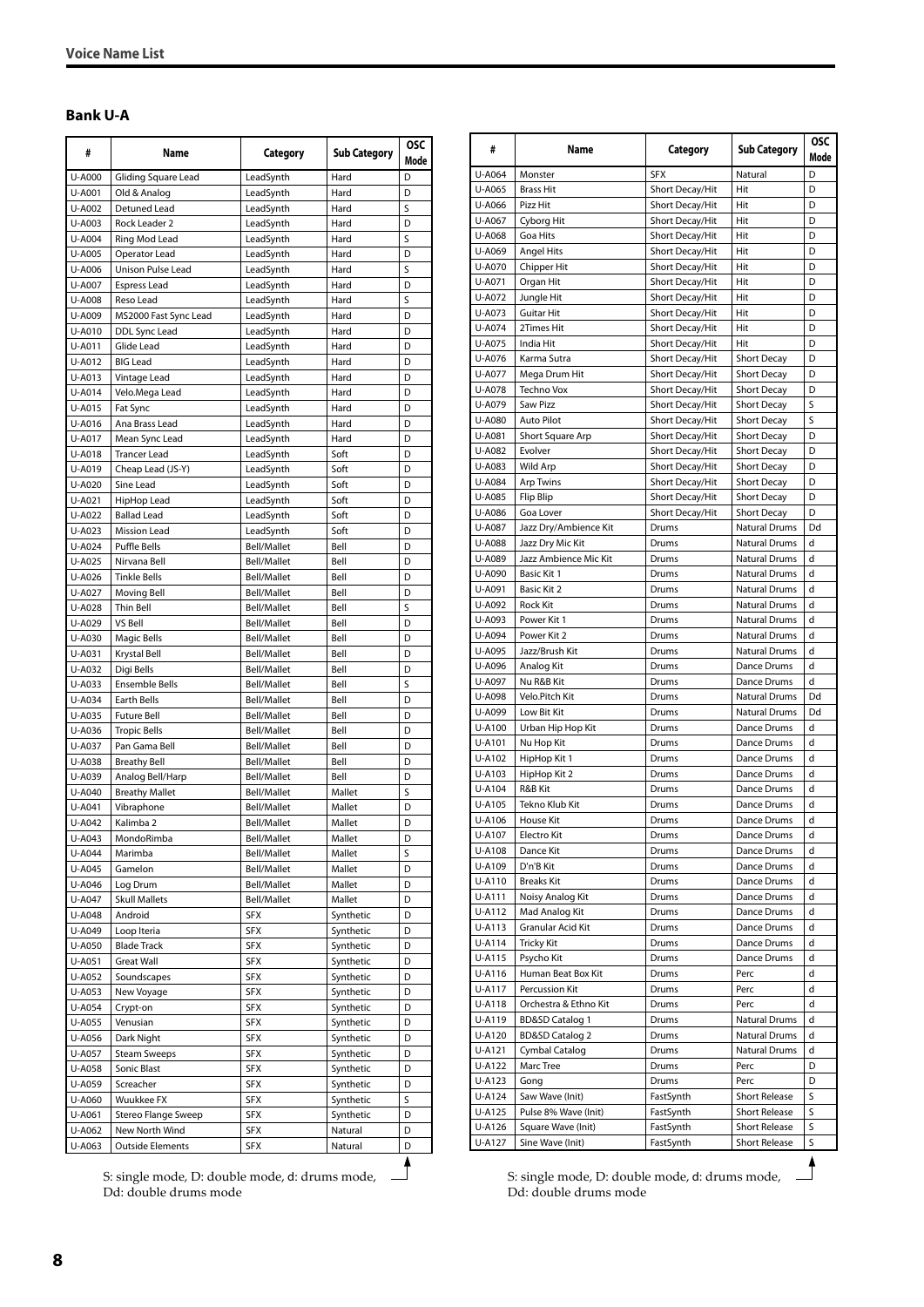#### <span id="page-7-0"></span>**Bank U-A**

| #                | Name                                | Category                   | <b>Sub Category</b>    | <b>OSC</b><br>Mode |
|------------------|-------------------------------------|----------------------------|------------------------|--------------------|
| U-A000           | Gliding Square Lead                 | LeadSynth                  | Hard                   | D                  |
| U-A001           | Old & Analog                        | LeadSynth                  | Hard                   | D                  |
| U-A002           | Detuned Lead                        | LeadSynth                  | Hard                   | S                  |
| U-A003           | Rock Leader 2                       | LeadSynth                  | Hard                   | D                  |
| U-A004           | Ring Mod Lead                       | LeadSynth                  | Hard                   | S                  |
| U-A005           | Operator Lead                       | LeadSynth                  | Hard                   | D                  |
| U-A006           | Unison Pulse Lead                   | LeadSynth                  | Hard                   | S                  |
| U-A007<br>U-A008 | <b>Espress Lead</b><br>Reso Lead    | LeadSynth                  | Hard<br>Hard           | D<br>S             |
| U-A009           | MS2000 Fast Sync Lead               | LeadSynth<br>LeadSynth     | Hard                   | D                  |
| U-A010           | <b>DDL Sync Lead</b>                | LeadSynth                  | Hard                   | D                  |
| U-A011           | Glide Lead                          | LeadSynth                  | Hard                   | D                  |
| U-A012           | <b>BIG Lead</b>                     | LeadSynth                  | Hard                   | D                  |
| U-A013           | Vintage Lead                        | LeadSynth                  | Hard                   | D                  |
| U-A014           | Velo.Mega Lead                      | LeadSynth                  | Hard                   | D                  |
| U-A015           | Fat Sync                            | LeadSynth                  | Hard                   | D                  |
| U-A016           | Ana Brass Lead                      | LeadSynth                  | Hard                   | D                  |
| U-A017           | Mean Sync Lead                      | LeadSynth                  | Hard                   | D                  |
| U-A018           | <b>Trancer Lead</b>                 | LeadSynth                  | Soft                   | D                  |
| U-A019           | Cheap Lead (JS-Y)                   | LeadSynth                  | Soft                   | D                  |
| U-A020           | Sine Lead                           | LeadSynth                  | Soft                   | D                  |
| U-A021           | HipHop Lead                         | LeadSynth                  | Soft                   | D                  |
| U-A022           | <b>Ballad Lead</b>                  | LeadSynth                  | Soft                   | D                  |
| U-A023           | <b>Mission Lead</b>                 | LeadSynth                  | Soft                   | D                  |
| U-A024           | <b>Puffle Bells</b>                 | Bell/Mallet                | Bell                   | D                  |
| U-A025           | Nirvana Bell                        | Bell/Mallet                | Bell                   | D                  |
| U-A026           | <b>Tinkle Bells</b>                 | <b>Bell/Mallet</b>         | Bell                   | D                  |
| U-A027           | <b>Moving Bell</b>                  | Bell/Mallet                | Bell                   | D                  |
| U-A028           | Thin Bell                           | Bell/Mallet                | Bell                   | S                  |
| U-A029           | VS Bell                             | Bell/Mallet                | Bell                   | D                  |
| U-A030           | Magic Bells                         | Bell/Mallet                | Bell                   | D                  |
| U-A031<br>U-A032 | <b>Krystal Bell</b>                 | Bell/Mallet<br>Bell/Mallet | Bell<br>Bell           | D<br>D             |
| U-A033           | Digi Bells<br><b>Ensemble Bells</b> | Bell/Mallet                | Bell                   | S                  |
| U-A034           | Earth Bells                         | Bell/Mallet                | Bell                   | D                  |
| U-A035           | <b>Future Bell</b>                  | Bell/Mallet                | Bell                   | D                  |
| U-A036           | <b>Tropic Bells</b>                 | Bell/Mallet                | Bell                   | D                  |
| U-A037           | Pan Gama Bell                       | Bell/Mallet                | Bell                   | D                  |
| U-A038           | <b>Breathy Bell</b>                 | Bell/Mallet                | Bell                   | D                  |
| U-A039           | Analog Bell/Harp                    | Bell/Mallet                | Bell                   | D                  |
| U-A040           | <b>Breathy Mallet</b>               | Bell/Mallet                | Mallet                 | S                  |
| U-A041           | Vibraphone                          | Bell/Mallet                | Mallet                 | D                  |
| U-A042           | Kalimba 2                           | Bell/Mallet                | Mallet                 | D                  |
| U-A043           | MondoRimba                          | Bell/Mallet                | Mallet                 | D                  |
| U-A044           | Marimba                             | Bell/Mallet                | Mallet                 | S                  |
| U-A045           | Gamelon                             | Bell/Mallet                | Mallet                 | D                  |
| U-A046           | Log Drum                            | Bell/Mallet                | Mallet                 | D                  |
| U-A047           | <b>Skull Mallets</b>                | Bell/Mallet                | Mallet                 | D                  |
| U-A048           | Android                             | SFX                        | Synthetic              | D                  |
| U-A049           | Loop Iteria                         | SFX                        | Synthetic              | D                  |
| U-A050           | <b>Blade Track</b>                  | SFX                        | Synthetic              | D                  |
| U-A051           | <b>Great Wall</b>                   | SFX                        | Synthetic              | D                  |
| U-A052           | Soundscapes                         | SFX                        | Synthetic<br>Synthetic | D<br>D             |
| U-A053<br>U-A054 | New Voyage<br>Crypt-on              | SFX<br>SFX                 |                        | D                  |
| U-A055           | Venusian                            | SFX                        | Synthetic              | D                  |
| U-A056           | Dark Night                          | <b>SFX</b>                 | Synthetic<br>Synthetic | D                  |
| U-A057           | <b>Steam Sweeps</b>                 | SFX                        | Synthetic              | D                  |
| U-A058           | Sonic Blast                         | <b>SFX</b>                 | Synthetic              | D                  |
| U-A059           | Screacher                           | SFX                        | Synthetic              | D                  |
| U-A060           | Wuukkee FX                          | <b>SFX</b>                 | Synthetic              | S                  |
| U-A061           | Stereo Flange Sweep                 | SFX                        | Synthetic              | D                  |
| U-A062           | New North Wind                      | SFX                        | Natural                | D                  |
| U-A063           | <b>Outside Elements</b>             | SFX                        | Natural                | D                  |
|                  |                                     |                            |                        |                    |

S: single mode, D: double mode, d: drums mode, Dd: double drums mode

| #      | Name                       | Category        | <b>Sub Category</b>  | <b>OSC</b><br>Mode |
|--------|----------------------------|-----------------|----------------------|--------------------|
| U-A064 | Monster                    | <b>SFX</b>      | Natural              | D                  |
| U-A065 | <b>Brass Hit</b>           | Short Decay/Hit | Hit                  | D                  |
| U-A066 | Pizz Hit                   | Short Decay/Hit | Hit                  | D                  |
| U-A067 | Cyborg Hit                 | Short Decay/Hit | Hit                  | D                  |
| U-A068 | Goa Hits                   | Short Decay/Hit | Hit                  | D                  |
| U-A069 | <b>Angel Hits</b>          | Short Decay/Hit | Hit                  | D                  |
| U-A070 | Chipper Hit                | Short Decay/Hit | Hit                  | D                  |
| U-A071 | Organ Hit                  | Short Decay/Hit | Hit                  | D                  |
| U-A072 | Jungle Hit                 | Short Decay/Hit | Hit                  | D                  |
| U-A073 | <b>Guitar Hit</b>          | Short Decay/Hit | Hit                  | D                  |
| U-A074 | 2Times Hit                 | Short Decay/Hit | Hit                  | D                  |
| U-A075 | India Hit                  | Short Decay/Hit | Hit                  | D                  |
| U-A076 | Karma Sutra                | Short Decay/Hit | <b>Short Decay</b>   | D                  |
| U-A077 | Mega Drum Hit              | Short Decay/Hit | <b>Short Decay</b>   | D                  |
| U-A078 | Techno Vox                 | Short Decay/Hit | <b>Short Decay</b>   | D                  |
| U-A079 | Saw Pizz                   | Short Decay/Hit | <b>Short Decay</b>   | S                  |
| U-A080 | <b>Auto Pilot</b>          | Short Decay/Hit | <b>Short Decay</b>   | S                  |
| U-A081 | Short Square Arp           | Short Decay/Hit | <b>Short Decay</b>   | D                  |
| U-A082 | Evolver                    | Short Decay/Hit | <b>Short Decay</b>   | D                  |
| U-A083 | Wild Arp                   | Short Decay/Hit | <b>Short Decay</b>   | D                  |
| U-A084 | <b>Arp Twins</b>           | Short Decay/Hit | <b>Short Decay</b>   | D                  |
| U-A085 | Flip Blip                  | Short Decay/Hit | <b>Short Decay</b>   | D                  |
| U-A086 | Goa Lover                  | Short Decay/Hit | <b>Short Decay</b>   | D                  |
| U-A087 | Jazz Dry/Ambience Kit      | Drums           | <b>Natural Drums</b> | Dd                 |
| U-A088 | Jazz Dry Mic Kit           | Drums           | <b>Natural Drums</b> | d                  |
| U-A089 | Jazz Ambience Mic Kit      | Drums           | <b>Natural Drums</b> | d                  |
| U-A090 | Basic Kit 1                | Drums           | <b>Natural Drums</b> | d                  |
| U-A091 | <b>Basic Kit 2</b>         | Drums           | <b>Natural Drums</b> | d                  |
| U-A092 | <b>Rock Kit</b>            | Drums           | <b>Natural Drums</b> | d                  |
| U-A093 | Power Kit 1                | Drums           | <b>Natural Drums</b> | d                  |
| U-A094 | Power Kit 2                | Drums           | <b>Natural Drums</b> | d                  |
| U-A095 | Jazz/Brush Kit             | Drums           | <b>Natural Drums</b> | d                  |
| U-A096 | Analog Kit                 | Drums           | Dance Drums          | d                  |
| U-A097 | Nu R&B Kit                 | Drums           | Dance Drums          | d                  |
| U-A098 | Velo.Pitch Kit             | Drums           | Natural Drums        | Dd                 |
| U-A099 | Low Bit Kit                | Drums           | <b>Natural Drums</b> | Dd                 |
| U-A100 | Urban Hip Hop Kit          | Drums           | Dance Drums          | d                  |
| U-A101 | Nu Hop Kit                 | Drums           | Dance Drums          | d                  |
| U-A102 | HipHop Kit 1               | Drums           | Dance Drums          | d                  |
| U-A103 | HipHop Kit 2               | Drums           | Dance Drums          | d                  |
| U-A104 | <b>R&amp;B Kit</b>         | Drums           | Dance Drums          | d                  |
| U-A105 | Tekno Klub Kit             | Drums           | Dance Drums          | d                  |
| U-A106 | House Kit                  | Drums           | Dance Drums          | d                  |
| U-A107 | Electro Kit                | Drums           | Dance Drums          | d                  |
| U-A108 | Dance Kit                  | Drums           | Dance Drums          | d                  |
| U-A109 | D'n'B Kit                  | Drums           | Dance Drums          | d                  |
| U-A110 | <b>Breaks Kit</b>          | Drums           | Dance Drums          | d                  |
| U-A111 | Noisy Analog Kit           | Drums           | Dance Drums          | d                  |
| U-A112 | Mad Analog Kit             | Drums           | Dance Drums          | d                  |
| U-A113 | Granular Acid Kit          | Drums           | Dance Drums          | d                  |
| U-A114 | <b>Tricky Kit</b>          | Drums           | Dance Drums          | d                  |
| U-A115 | Psycho Kit                 | Drums           | Dance Drums          | d                  |
| U-A116 | Human Beat Box Kit         | Drums           | Perc                 | d                  |
| U-A117 | Percussion Kit             | Drums           | Perc                 | d                  |
| U-A118 | Orchestra & Ethno Kit      | Drums           | Perc                 | d                  |
| U-A119 | <b>BD&amp;SD Catalog 1</b> | Drums           | <b>Natural Drums</b> | d                  |
| U-A120 | <b>BD&amp;SD Catalog 2</b> | Drums           | Natural Drums        | d                  |
| U-A121 | Cymbal Catalog             | Drums           | Natural Drums        | d                  |
| U-A122 | Marc Tree                  | Drums           | Perc                 | D                  |
| U-A123 | Gong                       | Drums           | Perc                 | D                  |
| U-A124 | Saw Wave (Init)            | FastSynth       | <b>Short Release</b> | S                  |
| U-A125 | Pulse 8% Wave (Init)       | FastSynth       | <b>Short Release</b> | S                  |
| U-A126 | Square Wave (Init)         | FastSynth       | <b>Short Release</b> | S                  |
| U-A127 | Sine Wave (Init)           | FastSynth       | Short Release        | S                  |

S: single mode, D: double mode, d: drums mode, Dd: double drums mode

**8**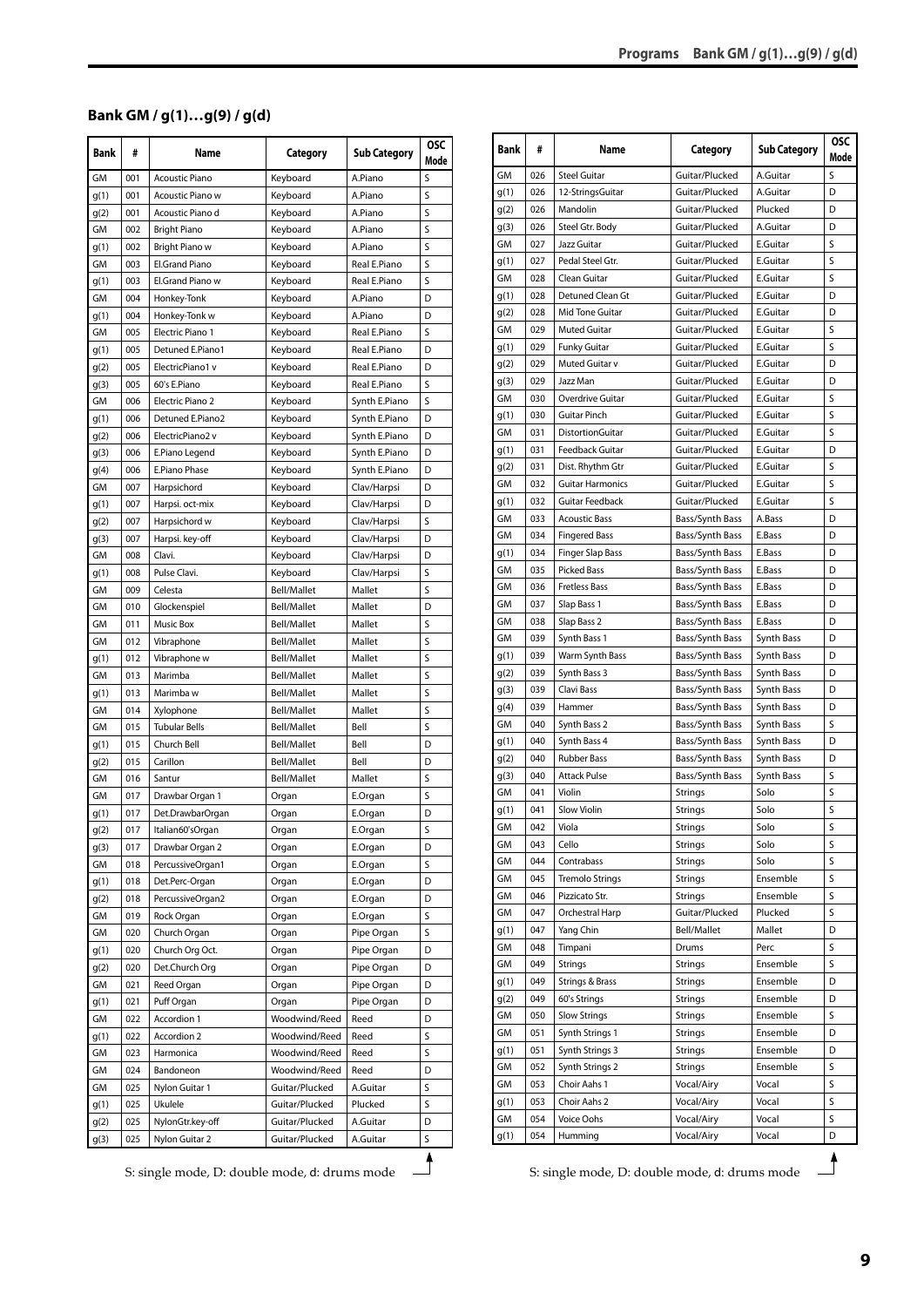#### <span id="page-8-0"></span>**Bank GM / g(1)…g(9) / g(d)**

| <b>Bank</b>  | #   | Name                  | Category           | <b>Sub Category</b> | <b>OSC</b><br>Mode |
|--------------|-----|-----------------------|--------------------|---------------------|--------------------|
| GM           | 001 | <b>Acoustic Piano</b> | Kevboard           | A.Piano             | S                  |
| g(1)         | 001 | Acoustic Piano w      | Keyboard           | A.Piano             | S                  |
| g(2)         | 001 | Acoustic Piano d      | Keyboard           | A.Piano             | S                  |
| GM           | 002 | <b>Bright Piano</b>   | Keyboard           | A.Piano             | S                  |
| g(1)         | 002 | Bright Piano w        | Keyboard           | A.Piano             | S                  |
| GM           | 003 | El.Grand Piano        | Keyboard           | Real E.Piano        | S                  |
| g(1)         | 003 | El.Grand Piano w      | Keyboard           | Real E.Piano        | S                  |
| GM           | 004 | Honkey-Tonk           | Keyboard           | A.Piano             | D                  |
| g(1)         | 004 | Honkey-Tonk w         | Keyboard           | A.Piano             | D                  |
| GМ           | 005 | Electric Piano 1      | Keyboard           | Real E.Piano        | S                  |
| g(1)         | 005 | Detuned E.Piano1      | Keyboard           | Real E.Piano        | D                  |
| g(2)         | 005 | ElectricPiano1 v      | Keyboard           | Real E.Piano        | D                  |
| g(3)         | 005 | 60's E.Piano          | Keyboard           | Real E.Piano        | S                  |
| GM           | 006 | Electric Piano 2      | Keyboard           | Synth E.Piano       | S                  |
| g(1)         | 006 | Detuned E.Piano2      | Keyboard           | Synth E.Piano       | D                  |
| g(2)         | 006 | ElectricPiano2 v      | Keyboard           | Synth E.Piano       | D                  |
| q(3)         | 006 | E.Piano Legend        | Keyboard           | Synth E.Piano       | D                  |
| g(4)         | 006 | E.Piano Phase         | Keyboard           | Synth E.Piano       | D                  |
| GM           | 007 | Harpsichord           | Keyboard           | Clav/Harpsi         | D                  |
|              | 007 | Harpsi. oct-mix       | Keyboard           | Clav/Harpsi         | D                  |
| g(1)<br>g(2) | 007 | Harpsichord w         | Keyboard           | Clav/Harpsi         | S                  |
|              |     |                       |                    |                     | D                  |
| g(3)         | 007 | Harpsi. key-off       | Keyboard           | Clav/Harpsi         |                    |
| GМ           | 008 | Clavi.                | Keyboard           | Clav/Harpsi         | D                  |
| g(1)         | 008 | Pulse Clavi.          | Keyboard           | Clav/Harpsi         | S                  |
| GM           | 009 | Celesta               | <b>Bell/Mallet</b> | Mallet              | S                  |
| GМ           | 010 | Glockenspiel          | <b>Bell/Mallet</b> | Mallet              | D                  |
| GM           | 011 | <b>Music Box</b>      | Bell/Mallet        | Mallet              | S                  |
| GM           | 012 | Vibraphone            | <b>Bell/Mallet</b> | Mallet              | S                  |
| g(1)         | 012 | Vibraphone w          | <b>Bell/Mallet</b> | Mallet              | S                  |
| GM           | 013 | Marimba               | Bell/Mallet        | Mallet              | S                  |
| g(1)         | 013 | Marimba w             | <b>Bell/Mallet</b> | Mallet              | S                  |
| GМ           | 014 | Xylophone             | <b>Bell/Mallet</b> | Mallet              | S                  |
| GM           | 015 | <b>Tubular Bells</b>  | <b>Bell/Mallet</b> | Bell                | S                  |
| g(1)         | 015 | Church Bell           | <b>Bell/Mallet</b> | Bell                | D                  |
| g(2)         | 015 | Carillon              | <b>Bell/Mallet</b> | Bell                | D                  |
| GM           | 016 | Santur                | Bell/Mallet        | Mallet              | S                  |
| GM           | 017 | Drawbar Organ 1       | Organ              | E.Organ             | S                  |
| g(1)         | 017 | Det.DrawbarOrgan      | Organ              | E.Organ             | D                  |
| g(2)         | 017 | Italian60'sOrgan      | Organ              | E.Organ             | S                  |
| g(3)         | 017 | Drawbar Organ 2       | Organ              | E.Organ             | D                  |
| GМ           | 018 | PercussiveOrgan1      | Organ              | E.Organ             | S                  |
| g(1)         | 018 | Det.Perc-Organ        | Organ              | E.Organ             | D                  |
| g(2)         | 018 | PercussiveOrgan2      | Organ              | E.Organ             | D                  |
| GM           | 019 | Rock Organ            | Organ              | E.Organ             | S                  |
| GМ           | 020 | Church Organ          | Organ              | Pipe Organ          | S                  |
| g(1)         | 020 | Church Org Oct.       | Organ              | Pipe Organ          | D                  |
| g(2)         | 020 | Det.Church Org        | Organ              | Pipe Organ          | D                  |
| GМ           | 021 | Reed Organ            | Organ              | Pipe Organ          | D                  |
| g(1)         | 021 | Puff Organ            | Organ              | Pipe Organ          | D                  |
| GM           | 022 | Accordion 1           | Woodwind/Reed      | Reed                | D                  |
| g(1)         | 022 | Accordion 2           | Woodwind/Reed      | Reed                | S                  |
| GМ           | 023 | Harmonica             | Woodwind/Reed      | Reed                | S                  |
| GM           | 024 | Bandoneon             | Woodwind/Reed      | Reed                | D                  |
| GМ           | 025 | Nylon Guitar 1        | Guitar/Plucked     | A.Guitar            | S                  |
| g(1)         | 025 | Ukulele               | Guitar/Plucked     | Plucked             | S                  |
| g(2)         | 025 | NylonGtr.key-off      | Guitar/Plucked     | A.Guitar            | D                  |
| g(3)         | 025 | Nylon Guitar 2        | Guitar/Plucked     | A.Guitar            | S                  |
|              |     |                       |                    |                     |                    |

|            | #   | Name                    | Category           | <b>Sub Category</b> | <b>OSC</b><br>Mode |
|------------|-----|-------------------------|--------------------|---------------------|--------------------|
| GM         | 026 | <b>Steel Guitar</b>     | Guitar/Plucked     | A.Guitar            | S                  |
| g(1)       | 026 | 12-StringsGuitar        | Guitar/Plucked     | A.Guitar            | D                  |
| g(2)       | 026 | Mandolin                | Guitar/Plucked     | Plucked             | D                  |
| g(3)       | 026 | Steel Gtr. Body         | Guitar/Plucked     | A.Guitar            | D                  |
| GМ         | 027 | Jazz Guitar             | Guitar/Plucked     | E.Guitar            | S                  |
| g(1)       | 027 | Pedal Steel Gtr.        | Guitar/Plucked     | E.Guitar            | S                  |
| GМ         | 028 | Clean Guitar            | Guitar/Plucked     | E.Guitar            | S                  |
| g(1)       | 028 | Detuned Clean Gt        | Guitar/Plucked     | E.Guitar            | D                  |
| g(2)       | 028 | Mid Tone Guitar         | Guitar/Plucked     | E.Guitar            | D                  |
| GM         | 029 | <b>Muted Guitar</b>     | Guitar/Plucked     | E.Guitar            | S                  |
| g(1)       | 029 | <b>Funky Guitar</b>     | Guitar/Plucked     | E.Guitar            | S                  |
| g(2)       | 029 | Muted Guitar v          | Guitar/Plucked     | E.Guitar            | D                  |
| g(3)       | 029 | Jazz Man                | Guitar/Plucked     | E.Guitar            | D                  |
| GМ         | 030 | Overdrive Guitar        | Guitar/Plucked     | E.Guitar            | S                  |
| g(1)       | 030 | Guitar Pinch            | Guitar/Plucked     | E.Guitar            | S                  |
| GМ         | 031 | DistortionGuitar        | Guitar/Plucked     | E.Guitar            | S                  |
| g(1)       | 031 | Feedback Guitar         | Guitar/Plucked     | E.Guitar            | D                  |
|            | 031 | Dist. Rhythm Gtr        | Guitar/Plucked     | E.Guitar            | S                  |
| g(2)<br>GM | 032 | <b>Guitar Harmonics</b> | Guitar/Plucked     | E.Guitar            | S                  |
|            | 032 | <b>Guitar Feedback</b>  | Guitar/Plucked     | E.Guitar            | S                  |
| g(1)       |     |                         |                    |                     |                    |
| GM         | 033 | <b>Acoustic Bass</b>    | Bass/Synth Bass    | A.Bass              | D                  |
| GМ         | 034 | <b>Fingered Bass</b>    | Bass/Synth Bass    | E.Bass              | D                  |
| g(1)       | 034 | <b>Finger Slap Bass</b> | Bass/Synth Bass    | E.Bass              | D                  |
| GM         | 035 | <b>Picked Bass</b>      | Bass/Synth Bass    | E.Bass              | D                  |
| GМ         | 036 | <b>Fretless Bass</b>    | Bass/Synth Bass    | E.Bass              | D                  |
| GM         | 037 | Slap Bass 1             | Bass/Synth Bass    | E.Bass              | D                  |
| GМ         | 038 | Slap Bass 2             | Bass/Synth Bass    | E.Bass              | D                  |
| GМ         | 039 | Synth Bass 1            | Bass/Synth Bass    | Synth Bass          | D                  |
| g(1)       | 039 | Warm Synth Bass         | Bass/Synth Bass    | Synth Bass          | D                  |
| g(2)       | 039 | Synth Bass 3            | Bass/Synth Bass    | Synth Bass          | D                  |
| g(3)       | 039 | Clavi Bass              | Bass/Synth Bass    | Synth Bass          | D                  |
| g(4)       | 039 | Hammer                  | Bass/Synth Bass    | Synth Bass          | D                  |
| GМ         | 040 | Synth Bass 2            | Bass/Synth Bass    | Synth Bass          | S                  |
| g(1)       | 040 | Synth Bass 4            | Bass/Synth Bass    | Synth Bass          | D                  |
| g(2)       | 040 | <b>Rubber Bass</b>      | Bass/Synth Bass    | Synth Bass          | D                  |
| g(3)       | 040 | <b>Attack Pulse</b>     | Bass/Synth Bass    | Synth Bass          | S                  |
| GМ         | 041 | Violin                  | Strings            | Solo                | S                  |
| g(1)       | 041 | Slow Violin             | Strings            | Solo                | S                  |
| GМ         | 042 | Viola                   | Strings            | Solo                | S                  |
| GM         | 043 | Cello                   | Strings            | Solo                | S                  |
| GМ         | 044 | Contrabass              | <b>Strings</b>     | Solo                | S                  |
| GМ         | 045 | <b>Tremolo Strings</b>  | Strings            | Ensemble            | S                  |
| GM         | 046 | Pizzicato Str.          | Strings            | Ensemble            | S                  |
| GМ         | 047 | Orchestral Harp         | Guitar/Plucked     | Plucked             | S                  |
| g(1)       | 047 | Yang Chin               | <b>Bell/Mallet</b> | Mallet              | D                  |
| GM         | 048 | Timpani                 | Drums              | Perc                | S                  |
| GМ         | 049 | Strings                 | Strings            | Ensemble            | S                  |
| g(1)       | 049 | Strings & Brass         | Strings            | Ensemble            | D                  |
| g(2)       | 049 | 60's Strings            | Strings            | Ensemble            | D                  |
| GM         | 050 | <b>Slow Strings</b>     | <b>Strings</b>     | Ensemble            | S                  |
| GМ         | 051 | Synth Strings 1         | Strings            | Ensemble            | D                  |
| g(1)       | 051 | Synth Strings 3         | Strings            | Ensemble            | D                  |
| GМ         | 052 | Synth Strings 2         | Strings            | Ensemble            | S                  |
| GМ         | 053 | Choir Aahs 1            | Vocal/Airy         | Vocal               | S                  |
| g(1)       | 053 | Choir Aahs 2            | Vocal/Airy         | Vocal               | S                  |
| GM         | 054 | Voice Oohs              | Vocal/Airy         | Vocal               | S                  |
|            |     |                         | Vocal/Airy         |                     |                    |
| g(1)       | 054 | Humming                 |                    | Vocal               | D                  |

S: single mode, D: double mode, d: drums mode<br>
S: single mode, D: double mode, d: drums mode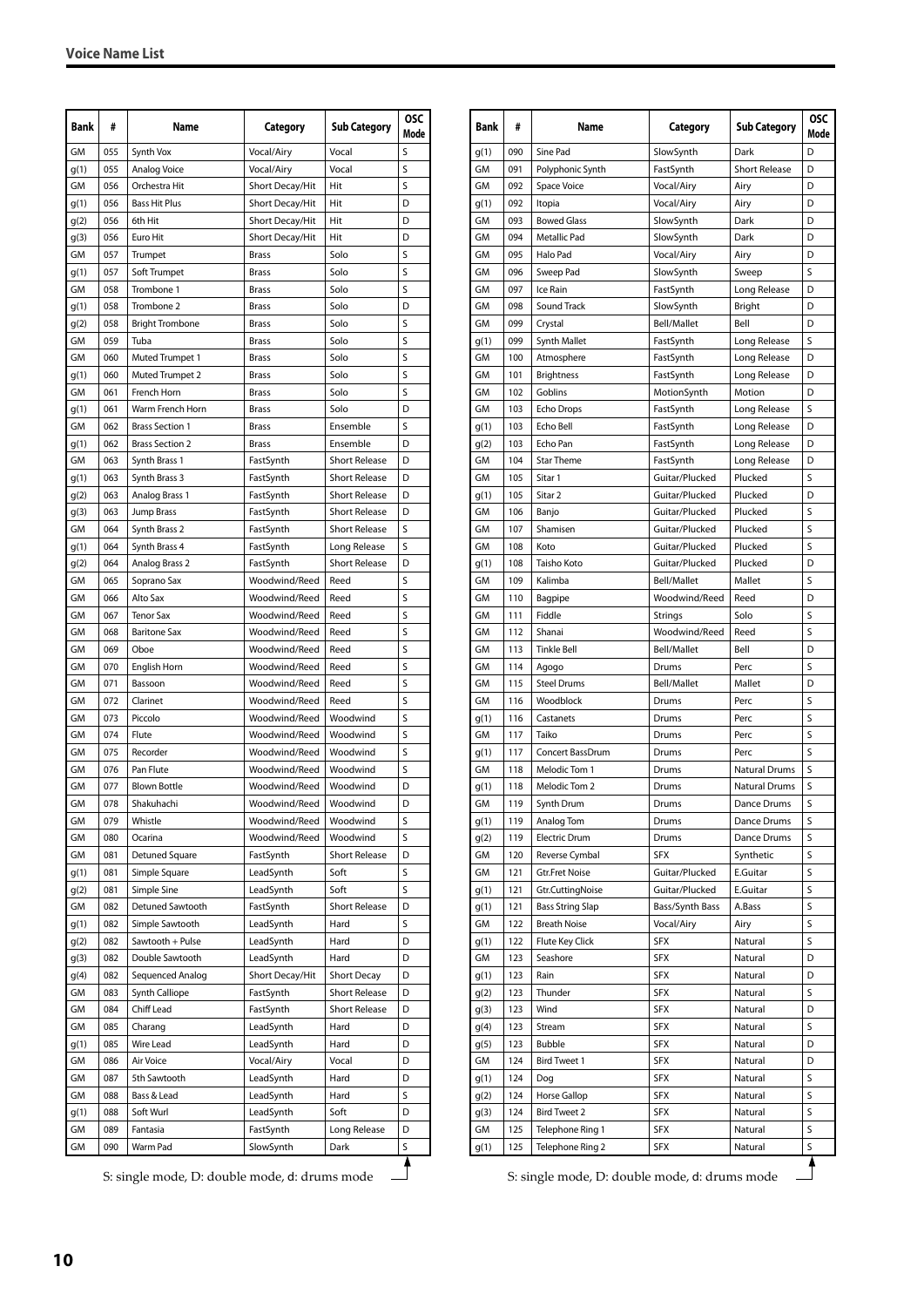| GM<br>Synth Vox<br>S<br>055<br>Vocal/Airy<br>Vocal<br>055<br>Analog Voice<br>Vocal/Airy<br>Vocal<br>S<br>g(1)<br>GM<br>S<br>056<br>Orchestra Hit<br>Short Decay/Hit<br>Hit<br>056<br><b>Bass Hit Plus</b><br>Short Decay/Hit<br>Hit<br>D<br>g(1)<br>056<br>Hit<br>6th Hit<br>Short Decay/Hit<br>D<br>g(2)<br>056<br>Euro Hit<br>Short Decay/Hit<br>Hit<br>D<br>g(3)<br>GM<br>Solo<br>S<br>057<br>Trumpet<br><b>Brass</b><br>S<br>g(1)<br>057<br>Soft Trumpet<br>Solo<br>Brass<br>GM<br>S<br>058<br>Trombone 1<br>Solo<br>Brass<br>058<br>D<br>g(1)<br>Trombone 2<br><b>Brass</b><br>Solo<br>S<br>058<br><b>Bright Trombone</b><br>Solo<br>g(2)<br>Brass<br>059<br>S<br>GM<br>Tuba<br>Solo<br>Brass<br>S<br>GM<br>060<br>Muted Trumpet 1<br>Solo<br>Brass<br>S<br>060<br>Muted Trumpet 2<br>Solo<br>g(1)<br>Brass<br>GM<br>061<br>S<br>French Horn<br>Solo<br>Brass<br>061<br>Warm French Horn<br>D<br>g(1)<br><b>Brass</b><br>Solo<br>S<br>GM<br>062<br><b>Brass Section 1</b><br><b>Brass</b><br>Ensemble<br><b>Brass Section 2</b><br>Ensemble<br>062<br>D<br>g(1)<br>Brass<br>GM<br>Synth Brass 1<br><b>Short Release</b><br>063<br>FastSynth<br>D<br>063<br>Synth Brass 3<br>FastSynth<br><b>Short Release</b><br>D<br>g(1)<br><b>Short Release</b><br>g(2)<br>063<br>Analog Brass 1<br>FastSynth<br>D<br>063<br>Jump Brass<br>FastSynth<br><b>Short Release</b><br>g(3)<br>D<br><b>Short Release</b><br>S<br>GM<br>064<br>Synth Brass 2<br>FastSynth<br>S<br>064<br>Synth Brass 4<br>FastSynth<br>Long Release<br>g(1)<br>064<br>Analog Brass 2<br>FastSynth<br><b>Short Release</b><br>D<br>g(2)<br>Woodwind/Reed<br>S<br>GМ<br>065<br>Soprano Sax<br>Reed<br>GM<br>S<br>066<br>Alto Sax<br>Woodwind/Reed<br>Reed<br>GM<br>S<br>067<br><b>Tenor Sax</b><br>Woodwind/Reed<br>Reed<br>GM<br><b>Baritone Sax</b><br>Woodwind/Reed<br>S<br>068<br>Reed<br>S<br>GM<br>069<br>Woodwind/Reed<br>Oboe<br>Reed<br>Woodwind/Reed<br>S<br>GM<br>070<br>English Horn<br>Reed<br>S<br>GM<br>071<br>Woodwind/Reed<br>Reed<br>Bassoon<br>S<br>GM<br>072<br>Clarinet<br>Woodwind/Reed<br>Reed<br>GM<br>S<br>073<br>Piccolo<br>Woodwind/Reed<br>Woodwind<br>074<br>S<br>GM<br>Flute<br>Woodwind/Reed<br>Woodwind<br>S<br>GM<br>075<br>Recorder<br>Woodwind/Reed<br>Woodwind<br>GM<br>076<br>Woodwind/Reed<br>Woodwind<br>S<br>Pan Flute<br>GМ<br>077<br>Woodwind/Reed<br>Woodwind<br>D<br><b>Blown Bottle</b><br>GM<br>078<br>Shakuhachi<br>Woodwind/Reed<br>Woodwind<br>D<br>GM<br>079<br>Whistle<br>Woodwind/Reed<br>Woodwind<br>S<br>GM<br>Woodwind/Reed<br>Woodwind<br>S<br>080<br>Ocarina<br>GM<br>Detuned Square<br>FastSynth<br><b>Short Release</b><br>D<br>081<br>081<br>Simple Square<br>LeadSynth<br>Soft<br>S<br>q(1)<br>S<br>g(2)<br>081<br>Simple Sine<br>LeadSynth<br>Soft<br>GM<br>082<br>Detuned Sawtooth<br>FastSynth<br><b>Short Release</b><br>D<br>S<br>082<br>Simple Sawtooth<br>LeadSynth<br>g(1)<br>Hard<br>LeadSynth<br>g(2)<br>082<br>Sawtooth + Pulse<br>Hard<br>D<br>082<br>Double Sawtooth<br>LeadSynth<br>D<br>g(3)<br>Hard<br>Short Decay/Hit<br><b>Short Decay</b><br>082<br>Sequenced Analog<br>D<br>g(4)<br>GM<br>Synth Calliope<br>FastSynth<br><b>Short Release</b><br>083<br>D<br>GM<br>084<br>Chiff Lead<br>FastSynth<br><b>Short Release</b><br>D<br>GМ<br>085<br>Charang<br>LeadSynth<br>Hard<br>D<br>085<br>Wire Lead<br>LeadSynth<br>g(1)<br>Hard<br>D<br>GM<br>086<br>Air Voice<br>Vocal/Airy<br>Vocal<br>D<br>LeadSynth<br>GМ<br>087<br>5th Sawtooth<br>Hard<br>D<br>GM<br>088<br>Bass & Lead<br>LeadSynth<br>Hard<br>S<br>Soft Wurl<br>088<br>LeadSynth<br>Soft<br>D<br>g(1)<br>Long Release<br>D<br>GМ<br>089<br>Fantasia<br>FastSynth<br>GM<br>090<br>Warm Pad<br>SlowSynth<br>S<br>Dark | Bank | # | Name | Category | <b>Sub Category</b> | <b>OSC</b><br>Mode |
|------------------------------------------------------------------------------------------------------------------------------------------------------------------------------------------------------------------------------------------------------------------------------------------------------------------------------------------------------------------------------------------------------------------------------------------------------------------------------------------------------------------------------------------------------------------------------------------------------------------------------------------------------------------------------------------------------------------------------------------------------------------------------------------------------------------------------------------------------------------------------------------------------------------------------------------------------------------------------------------------------------------------------------------------------------------------------------------------------------------------------------------------------------------------------------------------------------------------------------------------------------------------------------------------------------------------------------------------------------------------------------------------------------------------------------------------------------------------------------------------------------------------------------------------------------------------------------------------------------------------------------------------------------------------------------------------------------------------------------------------------------------------------------------------------------------------------------------------------------------------------------------------------------------------------------------------------------------------------------------------------------------------------------------------------------------------------------------------------------------------------------------------------------------------------------------------------------------------------------------------------------------------------------------------------------------------------------------------------------------------------------------------------------------------------------------------------------------------------------------------------------------------------------------------------------------------------------------------------------------------------------------------------------------------------------------------------------------------------------------------------------------------------------------------------------------------------------------------------------------------------------------------------------------------------------------------------------------------------------------------------------------------------------------------------------------------------------------------------------------------------------------------------------------------------------------------------------------------------------------------------------------------------------------------------------------------------------------------------------------------------------------------------------------------------------------------------------------------------------------------------------------------------------------------------------------------------------------------------------------------------------------------------------------------------------------------------------------------------|------|---|------|----------|---------------------|--------------------|
|                                                                                                                                                                                                                                                                                                                                                                                                                                                                                                                                                                                                                                                                                                                                                                                                                                                                                                                                                                                                                                                                                                                                                                                                                                                                                                                                                                                                                                                                                                                                                                                                                                                                                                                                                                                                                                                                                                                                                                                                                                                                                                                                                                                                                                                                                                                                                                                                                                                                                                                                                                                                                                                                                                                                                                                                                                                                                                                                                                                                                                                                                                                                                                                                                                                                                                                                                                                                                                                                                                                                                                                                                                                                                                                              |      |   |      |          |                     |                    |
|                                                                                                                                                                                                                                                                                                                                                                                                                                                                                                                                                                                                                                                                                                                                                                                                                                                                                                                                                                                                                                                                                                                                                                                                                                                                                                                                                                                                                                                                                                                                                                                                                                                                                                                                                                                                                                                                                                                                                                                                                                                                                                                                                                                                                                                                                                                                                                                                                                                                                                                                                                                                                                                                                                                                                                                                                                                                                                                                                                                                                                                                                                                                                                                                                                                                                                                                                                                                                                                                                                                                                                                                                                                                                                                              |      |   |      |          |                     |                    |
|                                                                                                                                                                                                                                                                                                                                                                                                                                                                                                                                                                                                                                                                                                                                                                                                                                                                                                                                                                                                                                                                                                                                                                                                                                                                                                                                                                                                                                                                                                                                                                                                                                                                                                                                                                                                                                                                                                                                                                                                                                                                                                                                                                                                                                                                                                                                                                                                                                                                                                                                                                                                                                                                                                                                                                                                                                                                                                                                                                                                                                                                                                                                                                                                                                                                                                                                                                                                                                                                                                                                                                                                                                                                                                                              |      |   |      |          |                     |                    |
|                                                                                                                                                                                                                                                                                                                                                                                                                                                                                                                                                                                                                                                                                                                                                                                                                                                                                                                                                                                                                                                                                                                                                                                                                                                                                                                                                                                                                                                                                                                                                                                                                                                                                                                                                                                                                                                                                                                                                                                                                                                                                                                                                                                                                                                                                                                                                                                                                                                                                                                                                                                                                                                                                                                                                                                                                                                                                                                                                                                                                                                                                                                                                                                                                                                                                                                                                                                                                                                                                                                                                                                                                                                                                                                              |      |   |      |          |                     |                    |
|                                                                                                                                                                                                                                                                                                                                                                                                                                                                                                                                                                                                                                                                                                                                                                                                                                                                                                                                                                                                                                                                                                                                                                                                                                                                                                                                                                                                                                                                                                                                                                                                                                                                                                                                                                                                                                                                                                                                                                                                                                                                                                                                                                                                                                                                                                                                                                                                                                                                                                                                                                                                                                                                                                                                                                                                                                                                                                                                                                                                                                                                                                                                                                                                                                                                                                                                                                                                                                                                                                                                                                                                                                                                                                                              |      |   |      |          |                     |                    |
|                                                                                                                                                                                                                                                                                                                                                                                                                                                                                                                                                                                                                                                                                                                                                                                                                                                                                                                                                                                                                                                                                                                                                                                                                                                                                                                                                                                                                                                                                                                                                                                                                                                                                                                                                                                                                                                                                                                                                                                                                                                                                                                                                                                                                                                                                                                                                                                                                                                                                                                                                                                                                                                                                                                                                                                                                                                                                                                                                                                                                                                                                                                                                                                                                                                                                                                                                                                                                                                                                                                                                                                                                                                                                                                              |      |   |      |          |                     |                    |
|                                                                                                                                                                                                                                                                                                                                                                                                                                                                                                                                                                                                                                                                                                                                                                                                                                                                                                                                                                                                                                                                                                                                                                                                                                                                                                                                                                                                                                                                                                                                                                                                                                                                                                                                                                                                                                                                                                                                                                                                                                                                                                                                                                                                                                                                                                                                                                                                                                                                                                                                                                                                                                                                                                                                                                                                                                                                                                                                                                                                                                                                                                                                                                                                                                                                                                                                                                                                                                                                                                                                                                                                                                                                                                                              |      |   |      |          |                     |                    |
|                                                                                                                                                                                                                                                                                                                                                                                                                                                                                                                                                                                                                                                                                                                                                                                                                                                                                                                                                                                                                                                                                                                                                                                                                                                                                                                                                                                                                                                                                                                                                                                                                                                                                                                                                                                                                                                                                                                                                                                                                                                                                                                                                                                                                                                                                                                                                                                                                                                                                                                                                                                                                                                                                                                                                                                                                                                                                                                                                                                                                                                                                                                                                                                                                                                                                                                                                                                                                                                                                                                                                                                                                                                                                                                              |      |   |      |          |                     |                    |
|                                                                                                                                                                                                                                                                                                                                                                                                                                                                                                                                                                                                                                                                                                                                                                                                                                                                                                                                                                                                                                                                                                                                                                                                                                                                                                                                                                                                                                                                                                                                                                                                                                                                                                                                                                                                                                                                                                                                                                                                                                                                                                                                                                                                                                                                                                                                                                                                                                                                                                                                                                                                                                                                                                                                                                                                                                                                                                                                                                                                                                                                                                                                                                                                                                                                                                                                                                                                                                                                                                                                                                                                                                                                                                                              |      |   |      |          |                     |                    |
|                                                                                                                                                                                                                                                                                                                                                                                                                                                                                                                                                                                                                                                                                                                                                                                                                                                                                                                                                                                                                                                                                                                                                                                                                                                                                                                                                                                                                                                                                                                                                                                                                                                                                                                                                                                                                                                                                                                                                                                                                                                                                                                                                                                                                                                                                                                                                                                                                                                                                                                                                                                                                                                                                                                                                                                                                                                                                                                                                                                                                                                                                                                                                                                                                                                                                                                                                                                                                                                                                                                                                                                                                                                                                                                              |      |   |      |          |                     |                    |
|                                                                                                                                                                                                                                                                                                                                                                                                                                                                                                                                                                                                                                                                                                                                                                                                                                                                                                                                                                                                                                                                                                                                                                                                                                                                                                                                                                                                                                                                                                                                                                                                                                                                                                                                                                                                                                                                                                                                                                                                                                                                                                                                                                                                                                                                                                                                                                                                                                                                                                                                                                                                                                                                                                                                                                                                                                                                                                                                                                                                                                                                                                                                                                                                                                                                                                                                                                                                                                                                                                                                                                                                                                                                                                                              |      |   |      |          |                     |                    |
|                                                                                                                                                                                                                                                                                                                                                                                                                                                                                                                                                                                                                                                                                                                                                                                                                                                                                                                                                                                                                                                                                                                                                                                                                                                                                                                                                                                                                                                                                                                                                                                                                                                                                                                                                                                                                                                                                                                                                                                                                                                                                                                                                                                                                                                                                                                                                                                                                                                                                                                                                                                                                                                                                                                                                                                                                                                                                                                                                                                                                                                                                                                                                                                                                                                                                                                                                                                                                                                                                                                                                                                                                                                                                                                              |      |   |      |          |                     |                    |
|                                                                                                                                                                                                                                                                                                                                                                                                                                                                                                                                                                                                                                                                                                                                                                                                                                                                                                                                                                                                                                                                                                                                                                                                                                                                                                                                                                                                                                                                                                                                                                                                                                                                                                                                                                                                                                                                                                                                                                                                                                                                                                                                                                                                                                                                                                                                                                                                                                                                                                                                                                                                                                                                                                                                                                                                                                                                                                                                                                                                                                                                                                                                                                                                                                                                                                                                                                                                                                                                                                                                                                                                                                                                                                                              |      |   |      |          |                     |                    |
|                                                                                                                                                                                                                                                                                                                                                                                                                                                                                                                                                                                                                                                                                                                                                                                                                                                                                                                                                                                                                                                                                                                                                                                                                                                                                                                                                                                                                                                                                                                                                                                                                                                                                                                                                                                                                                                                                                                                                                                                                                                                                                                                                                                                                                                                                                                                                                                                                                                                                                                                                                                                                                                                                                                                                                                                                                                                                                                                                                                                                                                                                                                                                                                                                                                                                                                                                                                                                                                                                                                                                                                                                                                                                                                              |      |   |      |          |                     |                    |
|                                                                                                                                                                                                                                                                                                                                                                                                                                                                                                                                                                                                                                                                                                                                                                                                                                                                                                                                                                                                                                                                                                                                                                                                                                                                                                                                                                                                                                                                                                                                                                                                                                                                                                                                                                                                                                                                                                                                                                                                                                                                                                                                                                                                                                                                                                                                                                                                                                                                                                                                                                                                                                                                                                                                                                                                                                                                                                                                                                                                                                                                                                                                                                                                                                                                                                                                                                                                                                                                                                                                                                                                                                                                                                                              |      |   |      |          |                     |                    |
|                                                                                                                                                                                                                                                                                                                                                                                                                                                                                                                                                                                                                                                                                                                                                                                                                                                                                                                                                                                                                                                                                                                                                                                                                                                                                                                                                                                                                                                                                                                                                                                                                                                                                                                                                                                                                                                                                                                                                                                                                                                                                                                                                                                                                                                                                                                                                                                                                                                                                                                                                                                                                                                                                                                                                                                                                                                                                                                                                                                                                                                                                                                                                                                                                                                                                                                                                                                                                                                                                                                                                                                                                                                                                                                              |      |   |      |          |                     |                    |
|                                                                                                                                                                                                                                                                                                                                                                                                                                                                                                                                                                                                                                                                                                                                                                                                                                                                                                                                                                                                                                                                                                                                                                                                                                                                                                                                                                                                                                                                                                                                                                                                                                                                                                                                                                                                                                                                                                                                                                                                                                                                                                                                                                                                                                                                                                                                                                                                                                                                                                                                                                                                                                                                                                                                                                                                                                                                                                                                                                                                                                                                                                                                                                                                                                                                                                                                                                                                                                                                                                                                                                                                                                                                                                                              |      |   |      |          |                     |                    |
|                                                                                                                                                                                                                                                                                                                                                                                                                                                                                                                                                                                                                                                                                                                                                                                                                                                                                                                                                                                                                                                                                                                                                                                                                                                                                                                                                                                                                                                                                                                                                                                                                                                                                                                                                                                                                                                                                                                                                                                                                                                                                                                                                                                                                                                                                                                                                                                                                                                                                                                                                                                                                                                                                                                                                                                                                                                                                                                                                                                                                                                                                                                                                                                                                                                                                                                                                                                                                                                                                                                                                                                                                                                                                                                              |      |   |      |          |                     |                    |
|                                                                                                                                                                                                                                                                                                                                                                                                                                                                                                                                                                                                                                                                                                                                                                                                                                                                                                                                                                                                                                                                                                                                                                                                                                                                                                                                                                                                                                                                                                                                                                                                                                                                                                                                                                                                                                                                                                                                                                                                                                                                                                                                                                                                                                                                                                                                                                                                                                                                                                                                                                                                                                                                                                                                                                                                                                                                                                                                                                                                                                                                                                                                                                                                                                                                                                                                                                                                                                                                                                                                                                                                                                                                                                                              |      |   |      |          |                     |                    |
|                                                                                                                                                                                                                                                                                                                                                                                                                                                                                                                                                                                                                                                                                                                                                                                                                                                                                                                                                                                                                                                                                                                                                                                                                                                                                                                                                                                                                                                                                                                                                                                                                                                                                                                                                                                                                                                                                                                                                                                                                                                                                                                                                                                                                                                                                                                                                                                                                                                                                                                                                                                                                                                                                                                                                                                                                                                                                                                                                                                                                                                                                                                                                                                                                                                                                                                                                                                                                                                                                                                                                                                                                                                                                                                              |      |   |      |          |                     |                    |
|                                                                                                                                                                                                                                                                                                                                                                                                                                                                                                                                                                                                                                                                                                                                                                                                                                                                                                                                                                                                                                                                                                                                                                                                                                                                                                                                                                                                                                                                                                                                                                                                                                                                                                                                                                                                                                                                                                                                                                                                                                                                                                                                                                                                                                                                                                                                                                                                                                                                                                                                                                                                                                                                                                                                                                                                                                                                                                                                                                                                                                                                                                                                                                                                                                                                                                                                                                                                                                                                                                                                                                                                                                                                                                                              |      |   |      |          |                     |                    |
|                                                                                                                                                                                                                                                                                                                                                                                                                                                                                                                                                                                                                                                                                                                                                                                                                                                                                                                                                                                                                                                                                                                                                                                                                                                                                                                                                                                                                                                                                                                                                                                                                                                                                                                                                                                                                                                                                                                                                                                                                                                                                                                                                                                                                                                                                                                                                                                                                                                                                                                                                                                                                                                                                                                                                                                                                                                                                                                                                                                                                                                                                                                                                                                                                                                                                                                                                                                                                                                                                                                                                                                                                                                                                                                              |      |   |      |          |                     |                    |
|                                                                                                                                                                                                                                                                                                                                                                                                                                                                                                                                                                                                                                                                                                                                                                                                                                                                                                                                                                                                                                                                                                                                                                                                                                                                                                                                                                                                                                                                                                                                                                                                                                                                                                                                                                                                                                                                                                                                                                                                                                                                                                                                                                                                                                                                                                                                                                                                                                                                                                                                                                                                                                                                                                                                                                                                                                                                                                                                                                                                                                                                                                                                                                                                                                                                                                                                                                                                                                                                                                                                                                                                                                                                                                                              |      |   |      |          |                     |                    |
|                                                                                                                                                                                                                                                                                                                                                                                                                                                                                                                                                                                                                                                                                                                                                                                                                                                                                                                                                                                                                                                                                                                                                                                                                                                                                                                                                                                                                                                                                                                                                                                                                                                                                                                                                                                                                                                                                                                                                                                                                                                                                                                                                                                                                                                                                                                                                                                                                                                                                                                                                                                                                                                                                                                                                                                                                                                                                                                                                                                                                                                                                                                                                                                                                                                                                                                                                                                                                                                                                                                                                                                                                                                                                                                              |      |   |      |          |                     |                    |
|                                                                                                                                                                                                                                                                                                                                                                                                                                                                                                                                                                                                                                                                                                                                                                                                                                                                                                                                                                                                                                                                                                                                                                                                                                                                                                                                                                                                                                                                                                                                                                                                                                                                                                                                                                                                                                                                                                                                                                                                                                                                                                                                                                                                                                                                                                                                                                                                                                                                                                                                                                                                                                                                                                                                                                                                                                                                                                                                                                                                                                                                                                                                                                                                                                                                                                                                                                                                                                                                                                                                                                                                                                                                                                                              |      |   |      |          |                     |                    |
|                                                                                                                                                                                                                                                                                                                                                                                                                                                                                                                                                                                                                                                                                                                                                                                                                                                                                                                                                                                                                                                                                                                                                                                                                                                                                                                                                                                                                                                                                                                                                                                                                                                                                                                                                                                                                                                                                                                                                                                                                                                                                                                                                                                                                                                                                                                                                                                                                                                                                                                                                                                                                                                                                                                                                                                                                                                                                                                                                                                                                                                                                                                                                                                                                                                                                                                                                                                                                                                                                                                                                                                                                                                                                                                              |      |   |      |          |                     |                    |
|                                                                                                                                                                                                                                                                                                                                                                                                                                                                                                                                                                                                                                                                                                                                                                                                                                                                                                                                                                                                                                                                                                                                                                                                                                                                                                                                                                                                                                                                                                                                                                                                                                                                                                                                                                                                                                                                                                                                                                                                                                                                                                                                                                                                                                                                                                                                                                                                                                                                                                                                                                                                                                                                                                                                                                                                                                                                                                                                                                                                                                                                                                                                                                                                                                                                                                                                                                                                                                                                                                                                                                                                                                                                                                                              |      |   |      |          |                     |                    |
|                                                                                                                                                                                                                                                                                                                                                                                                                                                                                                                                                                                                                                                                                                                                                                                                                                                                                                                                                                                                                                                                                                                                                                                                                                                                                                                                                                                                                                                                                                                                                                                                                                                                                                                                                                                                                                                                                                                                                                                                                                                                                                                                                                                                                                                                                                                                                                                                                                                                                                                                                                                                                                                                                                                                                                                                                                                                                                                                                                                                                                                                                                                                                                                                                                                                                                                                                                                                                                                                                                                                                                                                                                                                                                                              |      |   |      |          |                     |                    |
|                                                                                                                                                                                                                                                                                                                                                                                                                                                                                                                                                                                                                                                                                                                                                                                                                                                                                                                                                                                                                                                                                                                                                                                                                                                                                                                                                                                                                                                                                                                                                                                                                                                                                                                                                                                                                                                                                                                                                                                                                                                                                                                                                                                                                                                                                                                                                                                                                                                                                                                                                                                                                                                                                                                                                                                                                                                                                                                                                                                                                                                                                                                                                                                                                                                                                                                                                                                                                                                                                                                                                                                                                                                                                                                              |      |   |      |          |                     |                    |
|                                                                                                                                                                                                                                                                                                                                                                                                                                                                                                                                                                                                                                                                                                                                                                                                                                                                                                                                                                                                                                                                                                                                                                                                                                                                                                                                                                                                                                                                                                                                                                                                                                                                                                                                                                                                                                                                                                                                                                                                                                                                                                                                                                                                                                                                                                                                                                                                                                                                                                                                                                                                                                                                                                                                                                                                                                                                                                                                                                                                                                                                                                                                                                                                                                                                                                                                                                                                                                                                                                                                                                                                                                                                                                                              |      |   |      |          |                     |                    |
|                                                                                                                                                                                                                                                                                                                                                                                                                                                                                                                                                                                                                                                                                                                                                                                                                                                                                                                                                                                                                                                                                                                                                                                                                                                                                                                                                                                                                                                                                                                                                                                                                                                                                                                                                                                                                                                                                                                                                                                                                                                                                                                                                                                                                                                                                                                                                                                                                                                                                                                                                                                                                                                                                                                                                                                                                                                                                                                                                                                                                                                                                                                                                                                                                                                                                                                                                                                                                                                                                                                                                                                                                                                                                                                              |      |   |      |          |                     |                    |
|                                                                                                                                                                                                                                                                                                                                                                                                                                                                                                                                                                                                                                                                                                                                                                                                                                                                                                                                                                                                                                                                                                                                                                                                                                                                                                                                                                                                                                                                                                                                                                                                                                                                                                                                                                                                                                                                                                                                                                                                                                                                                                                                                                                                                                                                                                                                                                                                                                                                                                                                                                                                                                                                                                                                                                                                                                                                                                                                                                                                                                                                                                                                                                                                                                                                                                                                                                                                                                                                                                                                                                                                                                                                                                                              |      |   |      |          |                     |                    |
|                                                                                                                                                                                                                                                                                                                                                                                                                                                                                                                                                                                                                                                                                                                                                                                                                                                                                                                                                                                                                                                                                                                                                                                                                                                                                                                                                                                                                                                                                                                                                                                                                                                                                                                                                                                                                                                                                                                                                                                                                                                                                                                                                                                                                                                                                                                                                                                                                                                                                                                                                                                                                                                                                                                                                                                                                                                                                                                                                                                                                                                                                                                                                                                                                                                                                                                                                                                                                                                                                                                                                                                                                                                                                                                              |      |   |      |          |                     |                    |
|                                                                                                                                                                                                                                                                                                                                                                                                                                                                                                                                                                                                                                                                                                                                                                                                                                                                                                                                                                                                                                                                                                                                                                                                                                                                                                                                                                                                                                                                                                                                                                                                                                                                                                                                                                                                                                                                                                                                                                                                                                                                                                                                                                                                                                                                                                                                                                                                                                                                                                                                                                                                                                                                                                                                                                                                                                                                                                                                                                                                                                                                                                                                                                                                                                                                                                                                                                                                                                                                                                                                                                                                                                                                                                                              |      |   |      |          |                     |                    |
|                                                                                                                                                                                                                                                                                                                                                                                                                                                                                                                                                                                                                                                                                                                                                                                                                                                                                                                                                                                                                                                                                                                                                                                                                                                                                                                                                                                                                                                                                                                                                                                                                                                                                                                                                                                                                                                                                                                                                                                                                                                                                                                                                                                                                                                                                                                                                                                                                                                                                                                                                                                                                                                                                                                                                                                                                                                                                                                                                                                                                                                                                                                                                                                                                                                                                                                                                                                                                                                                                                                                                                                                                                                                                                                              |      |   |      |          |                     |                    |
|                                                                                                                                                                                                                                                                                                                                                                                                                                                                                                                                                                                                                                                                                                                                                                                                                                                                                                                                                                                                                                                                                                                                                                                                                                                                                                                                                                                                                                                                                                                                                                                                                                                                                                                                                                                                                                                                                                                                                                                                                                                                                                                                                                                                                                                                                                                                                                                                                                                                                                                                                                                                                                                                                                                                                                                                                                                                                                                                                                                                                                                                                                                                                                                                                                                                                                                                                                                                                                                                                                                                                                                                                                                                                                                              |      |   |      |          |                     |                    |
|                                                                                                                                                                                                                                                                                                                                                                                                                                                                                                                                                                                                                                                                                                                                                                                                                                                                                                                                                                                                                                                                                                                                                                                                                                                                                                                                                                                                                                                                                                                                                                                                                                                                                                                                                                                                                                                                                                                                                                                                                                                                                                                                                                                                                                                                                                                                                                                                                                                                                                                                                                                                                                                                                                                                                                                                                                                                                                                                                                                                                                                                                                                                                                                                                                                                                                                                                                                                                                                                                                                                                                                                                                                                                                                              |      |   |      |          |                     |                    |
|                                                                                                                                                                                                                                                                                                                                                                                                                                                                                                                                                                                                                                                                                                                                                                                                                                                                                                                                                                                                                                                                                                                                                                                                                                                                                                                                                                                                                                                                                                                                                                                                                                                                                                                                                                                                                                                                                                                                                                                                                                                                                                                                                                                                                                                                                                                                                                                                                                                                                                                                                                                                                                                                                                                                                                                                                                                                                                                                                                                                                                                                                                                                                                                                                                                                                                                                                                                                                                                                                                                                                                                                                                                                                                                              |      |   |      |          |                     |                    |
|                                                                                                                                                                                                                                                                                                                                                                                                                                                                                                                                                                                                                                                                                                                                                                                                                                                                                                                                                                                                                                                                                                                                                                                                                                                                                                                                                                                                                                                                                                                                                                                                                                                                                                                                                                                                                                                                                                                                                                                                                                                                                                                                                                                                                                                                                                                                                                                                                                                                                                                                                                                                                                                                                                                                                                                                                                                                                                                                                                                                                                                                                                                                                                                                                                                                                                                                                                                                                                                                                                                                                                                                                                                                                                                              |      |   |      |          |                     |                    |
|                                                                                                                                                                                                                                                                                                                                                                                                                                                                                                                                                                                                                                                                                                                                                                                                                                                                                                                                                                                                                                                                                                                                                                                                                                                                                                                                                                                                                                                                                                                                                                                                                                                                                                                                                                                                                                                                                                                                                                                                                                                                                                                                                                                                                                                                                                                                                                                                                                                                                                                                                                                                                                                                                                                                                                                                                                                                                                                                                                                                                                                                                                                                                                                                                                                                                                                                                                                                                                                                                                                                                                                                                                                                                                                              |      |   |      |          |                     |                    |
|                                                                                                                                                                                                                                                                                                                                                                                                                                                                                                                                                                                                                                                                                                                                                                                                                                                                                                                                                                                                                                                                                                                                                                                                                                                                                                                                                                                                                                                                                                                                                                                                                                                                                                                                                                                                                                                                                                                                                                                                                                                                                                                                                                                                                                                                                                                                                                                                                                                                                                                                                                                                                                                                                                                                                                                                                                                                                                                                                                                                                                                                                                                                                                                                                                                                                                                                                                                                                                                                                                                                                                                                                                                                                                                              |      |   |      |          |                     |                    |
|                                                                                                                                                                                                                                                                                                                                                                                                                                                                                                                                                                                                                                                                                                                                                                                                                                                                                                                                                                                                                                                                                                                                                                                                                                                                                                                                                                                                                                                                                                                                                                                                                                                                                                                                                                                                                                                                                                                                                                                                                                                                                                                                                                                                                                                                                                                                                                                                                                                                                                                                                                                                                                                                                                                                                                                                                                                                                                                                                                                                                                                                                                                                                                                                                                                                                                                                                                                                                                                                                                                                                                                                                                                                                                                              |      |   |      |          |                     |                    |
|                                                                                                                                                                                                                                                                                                                                                                                                                                                                                                                                                                                                                                                                                                                                                                                                                                                                                                                                                                                                                                                                                                                                                                                                                                                                                                                                                                                                                                                                                                                                                                                                                                                                                                                                                                                                                                                                                                                                                                                                                                                                                                                                                                                                                                                                                                                                                                                                                                                                                                                                                                                                                                                                                                                                                                                                                                                                                                                                                                                                                                                                                                                                                                                                                                                                                                                                                                                                                                                                                                                                                                                                                                                                                                                              |      |   |      |          |                     |                    |
|                                                                                                                                                                                                                                                                                                                                                                                                                                                                                                                                                                                                                                                                                                                                                                                                                                                                                                                                                                                                                                                                                                                                                                                                                                                                                                                                                                                                                                                                                                                                                                                                                                                                                                                                                                                                                                                                                                                                                                                                                                                                                                                                                                                                                                                                                                                                                                                                                                                                                                                                                                                                                                                                                                                                                                                                                                                                                                                                                                                                                                                                                                                                                                                                                                                                                                                                                                                                                                                                                                                                                                                                                                                                                                                              |      |   |      |          |                     |                    |
|                                                                                                                                                                                                                                                                                                                                                                                                                                                                                                                                                                                                                                                                                                                                                                                                                                                                                                                                                                                                                                                                                                                                                                                                                                                                                                                                                                                                                                                                                                                                                                                                                                                                                                                                                                                                                                                                                                                                                                                                                                                                                                                                                                                                                                                                                                                                                                                                                                                                                                                                                                                                                                                                                                                                                                                                                                                                                                                                                                                                                                                                                                                                                                                                                                                                                                                                                                                                                                                                                                                                                                                                                                                                                                                              |      |   |      |          |                     |                    |
|                                                                                                                                                                                                                                                                                                                                                                                                                                                                                                                                                                                                                                                                                                                                                                                                                                                                                                                                                                                                                                                                                                                                                                                                                                                                                                                                                                                                                                                                                                                                                                                                                                                                                                                                                                                                                                                                                                                                                                                                                                                                                                                                                                                                                                                                                                                                                                                                                                                                                                                                                                                                                                                                                                                                                                                                                                                                                                                                                                                                                                                                                                                                                                                                                                                                                                                                                                                                                                                                                                                                                                                                                                                                                                                              |      |   |      |          |                     |                    |
|                                                                                                                                                                                                                                                                                                                                                                                                                                                                                                                                                                                                                                                                                                                                                                                                                                                                                                                                                                                                                                                                                                                                                                                                                                                                                                                                                                                                                                                                                                                                                                                                                                                                                                                                                                                                                                                                                                                                                                                                                                                                                                                                                                                                                                                                                                                                                                                                                                                                                                                                                                                                                                                                                                                                                                                                                                                                                                                                                                                                                                                                                                                                                                                                                                                                                                                                                                                                                                                                                                                                                                                                                                                                                                                              |      |   |      |          |                     |                    |
|                                                                                                                                                                                                                                                                                                                                                                                                                                                                                                                                                                                                                                                                                                                                                                                                                                                                                                                                                                                                                                                                                                                                                                                                                                                                                                                                                                                                                                                                                                                                                                                                                                                                                                                                                                                                                                                                                                                                                                                                                                                                                                                                                                                                                                                                                                                                                                                                                                                                                                                                                                                                                                                                                                                                                                                                                                                                                                                                                                                                                                                                                                                                                                                                                                                                                                                                                                                                                                                                                                                                                                                                                                                                                                                              |      |   |      |          |                     |                    |
|                                                                                                                                                                                                                                                                                                                                                                                                                                                                                                                                                                                                                                                                                                                                                                                                                                                                                                                                                                                                                                                                                                                                                                                                                                                                                                                                                                                                                                                                                                                                                                                                                                                                                                                                                                                                                                                                                                                                                                                                                                                                                                                                                                                                                                                                                                                                                                                                                                                                                                                                                                                                                                                                                                                                                                                                                                                                                                                                                                                                                                                                                                                                                                                                                                                                                                                                                                                                                                                                                                                                                                                                                                                                                                                              |      |   |      |          |                     |                    |
|                                                                                                                                                                                                                                                                                                                                                                                                                                                                                                                                                                                                                                                                                                                                                                                                                                                                                                                                                                                                                                                                                                                                                                                                                                                                                                                                                                                                                                                                                                                                                                                                                                                                                                                                                                                                                                                                                                                                                                                                                                                                                                                                                                                                                                                                                                                                                                                                                                                                                                                                                                                                                                                                                                                                                                                                                                                                                                                                                                                                                                                                                                                                                                                                                                                                                                                                                                                                                                                                                                                                                                                                                                                                                                                              |      |   |      |          |                     |                    |
|                                                                                                                                                                                                                                                                                                                                                                                                                                                                                                                                                                                                                                                                                                                                                                                                                                                                                                                                                                                                                                                                                                                                                                                                                                                                                                                                                                                                                                                                                                                                                                                                                                                                                                                                                                                                                                                                                                                                                                                                                                                                                                                                                                                                                                                                                                                                                                                                                                                                                                                                                                                                                                                                                                                                                                                                                                                                                                                                                                                                                                                                                                                                                                                                                                                                                                                                                                                                                                                                                                                                                                                                                                                                                                                              |      |   |      |          |                     |                    |
|                                                                                                                                                                                                                                                                                                                                                                                                                                                                                                                                                                                                                                                                                                                                                                                                                                                                                                                                                                                                                                                                                                                                                                                                                                                                                                                                                                                                                                                                                                                                                                                                                                                                                                                                                                                                                                                                                                                                                                                                                                                                                                                                                                                                                                                                                                                                                                                                                                                                                                                                                                                                                                                                                                                                                                                                                                                                                                                                                                                                                                                                                                                                                                                                                                                                                                                                                                                                                                                                                                                                                                                                                                                                                                                              |      |   |      |          |                     |                    |
|                                                                                                                                                                                                                                                                                                                                                                                                                                                                                                                                                                                                                                                                                                                                                                                                                                                                                                                                                                                                                                                                                                                                                                                                                                                                                                                                                                                                                                                                                                                                                                                                                                                                                                                                                                                                                                                                                                                                                                                                                                                                                                                                                                                                                                                                                                                                                                                                                                                                                                                                                                                                                                                                                                                                                                                                                                                                                                                                                                                                                                                                                                                                                                                                                                                                                                                                                                                                                                                                                                                                                                                                                                                                                                                              |      |   |      |          |                     |                    |
|                                                                                                                                                                                                                                                                                                                                                                                                                                                                                                                                                                                                                                                                                                                                                                                                                                                                                                                                                                                                                                                                                                                                                                                                                                                                                                                                                                                                                                                                                                                                                                                                                                                                                                                                                                                                                                                                                                                                                                                                                                                                                                                                                                                                                                                                                                                                                                                                                                                                                                                                                                                                                                                                                                                                                                                                                                                                                                                                                                                                                                                                                                                                                                                                                                                                                                                                                                                                                                                                                                                                                                                                                                                                                                                              |      |   |      |          |                     |                    |
|                                                                                                                                                                                                                                                                                                                                                                                                                                                                                                                                                                                                                                                                                                                                                                                                                                                                                                                                                                                                                                                                                                                                                                                                                                                                                                                                                                                                                                                                                                                                                                                                                                                                                                                                                                                                                                                                                                                                                                                                                                                                                                                                                                                                                                                                                                                                                                                                                                                                                                                                                                                                                                                                                                                                                                                                                                                                                                                                                                                                                                                                                                                                                                                                                                                                                                                                                                                                                                                                                                                                                                                                                                                                                                                              |      |   |      |          |                     |                    |
|                                                                                                                                                                                                                                                                                                                                                                                                                                                                                                                                                                                                                                                                                                                                                                                                                                                                                                                                                                                                                                                                                                                                                                                                                                                                                                                                                                                                                                                                                                                                                                                                                                                                                                                                                                                                                                                                                                                                                                                                                                                                                                                                                                                                                                                                                                                                                                                                                                                                                                                                                                                                                                                                                                                                                                                                                                                                                                                                                                                                                                                                                                                                                                                                                                                                                                                                                                                                                                                                                                                                                                                                                                                                                                                              |      |   |      |          |                     |                    |
|                                                                                                                                                                                                                                                                                                                                                                                                                                                                                                                                                                                                                                                                                                                                                                                                                                                                                                                                                                                                                                                                                                                                                                                                                                                                                                                                                                                                                                                                                                                                                                                                                                                                                                                                                                                                                                                                                                                                                                                                                                                                                                                                                                                                                                                                                                                                                                                                                                                                                                                                                                                                                                                                                                                                                                                                                                                                                                                                                                                                                                                                                                                                                                                                                                                                                                                                                                                                                                                                                                                                                                                                                                                                                                                              |      |   |      |          |                     |                    |
|                                                                                                                                                                                                                                                                                                                                                                                                                                                                                                                                                                                                                                                                                                                                                                                                                                                                                                                                                                                                                                                                                                                                                                                                                                                                                                                                                                                                                                                                                                                                                                                                                                                                                                                                                                                                                                                                                                                                                                                                                                                                                                                                                                                                                                                                                                                                                                                                                                                                                                                                                                                                                                                                                                                                                                                                                                                                                                                                                                                                                                                                                                                                                                                                                                                                                                                                                                                                                                                                                                                                                                                                                                                                                                                              |      |   |      |          |                     |                    |

S: single mode, D: double mode, d: drums mode <br>S: single mode, D: double mode, d: drums mode

| Bank | #   | Name                    | Category           | <b>Sub Category</b>  | <b>OSC</b><br>Mode |
|------|-----|-------------------------|--------------------|----------------------|--------------------|
| g(1) | 090 | Sine Pad                | SlowSynth          | Dark                 | D                  |
| GМ   | 091 | Polyphonic Synth        | FastSynth          | <b>Short Release</b> | D                  |
| GM   | 092 | Space Voice             | Vocal/Airy         | Airy                 | D                  |
| g(1) | 092 | Itopia                  | Vocal/Airy         | Airy                 | D                  |
| GМ   | 093 | <b>Bowed Glass</b>      | SlowSynth          | Dark                 | D                  |
| GМ   | 094 | Metallic Pad            | SlowSynth          | Dark                 | D                  |
| GМ   | 095 | Halo Pad                | Vocal/Airy         | Airy                 | D                  |
| GM   | 096 | Sweep Pad               | SlowSynth          | Sweep                | S                  |
| GМ   | 097 | Ice Rain                | FastSynth          | Long Release         | D                  |
| GМ   | 098 | Sound Track             | SlowSynth          | Bright               | D                  |
| GМ   | 099 | Crystal                 | <b>Bell/Mallet</b> | Bell                 | D                  |
| g(1) | 099 | <b>Synth Mallet</b>     | FastSynth          | Long Release         | S                  |
| GM   | 100 | Atmosphere              | FastSynth          | Long Release         | D                  |
| GМ   | 101 | <b>Brightness</b>       | FastSynth          | Long Release         | D                  |
| GМ   | 102 | Goblins                 | MotionSynth        | Motion               | D                  |
| GM   | 103 | <b>Echo Drops</b>       | FastSynth          | Long Release         | S                  |
| g(1) | 103 | Echo Bell               | FastSynth          | Long Release         | D                  |
| g(2) | 103 | Echo Pan                | FastSynth          | Long Release         | D                  |
| GМ   | 104 | <b>Star Theme</b>       | FastSynth          | Long Release         | D                  |
| GМ   | 105 | Sitar 1                 | Guitar/Plucked     | Plucked              | S                  |
| g(1) | 105 | Sitar <sub>2</sub>      | Guitar/Plucked     | Plucked              | D                  |
| GМ   | 106 | Banjo                   | Guitar/Plucked     | Plucked              | S                  |
| GМ   | 107 | Shamisen                | Guitar/Plucked     | Plucked              | S                  |
| GМ   | 108 | Koto                    | Guitar/Plucked     | Plucked              | S                  |
| g(1) | 108 | Taisho Koto             | Guitar/Plucked     | Plucked              | D                  |
| GМ   | 109 | Kalimba                 | Bell/Mallet        | Mallet               | S                  |
| GМ   | 110 | Bagpipe                 | Woodwind/Reed      | Reed                 | D                  |
| GМ   | 111 | Fiddle                  | Strings            | Solo                 | S                  |
| GМ   | 112 | Shanai                  | Woodwind/Reed      | Reed                 | S                  |
| GМ   | 113 | <b>Tinkle Bell</b>      | Bell/Mallet        | Bell                 | D                  |
| GМ   | 114 | Agogo                   | Drums              | Perc                 | S                  |
| GM   | 115 | <b>Steel Drums</b>      | Bell/Mallet        | Mallet               | D                  |
| GМ   | 116 | Woodblock               | Drums              | Perc                 | S                  |
| g(1) | 116 | Castanets               | Drums              | Perc                 | S                  |
| GM   | 117 | Taiko                   | Drums              | Perc                 | S                  |
| g(1) | 117 | Concert BassDrum        | Drums              | Perc                 | S                  |
| GM   | 118 | Melodic Tom 1           | Drums              | <b>Natural Drums</b> | S                  |
| g(1) | 118 | Melodic Tom 2           | Drums              | <b>Natural Drums</b> | S                  |
| GM   | 119 | Synth Drum              | Drums              | Dance Drums          | S                  |
| g(1) | 119 | Analog Tom              | Drums              | Dance Drums          | S                  |
| g(2) | 119 | Electric Drum           | Drums              | Dance Drums          | S                  |
| GM   | 120 | Reverse Cymbal          | SFX                | Synthetic            | S                  |
| GM   | 121 | <b>Gtr.Fret Noise</b>   | Guitar/Plucked     | E.Guitar             | S                  |
| g(1) | 121 | Gtr.CuttingNoise        | Guitar/Plucked     | E.Guitar             | S                  |
| g(1) | 121 | <b>Bass String Slap</b> | Bass/Synth Bass    | A.Bass               | S                  |
| GМ   | 122 | <b>Breath Noise</b>     | Vocal/Airy         | Airy                 | S                  |
| g(1) | 122 | Flute Key Click         | SFX                | Natural              | S                  |
| GM   | 123 | Seashore                | SFX                | Natural              | D                  |
| g(1) | 123 | Rain                    | SFX                | Natural              | D                  |
| g(2) | 123 | Thunder                 | SFX                | Natural              | S                  |
| g(3) | 123 | Wind                    | SFX                | Natural              | D                  |
| g(4) | 123 | Stream                  | <b>SFX</b>         | Natural              | S                  |
| g(5) | 123 | Bubble                  | <b>SFX</b>         | Natural              | D                  |
| GM   | 124 | <b>Bird Tweet 1</b>     | <b>SFX</b>         | Natural              | D                  |
| g(1) | 124 | Dog                     | SFX                | Natural              | S                  |
| g(2) | 124 | Horse Gallop            | <b>SFX</b>         | Natural              | S                  |
| g(3) | 124 | Bird Tweet 2            | SFX                | Natural              | S                  |
| GM   | 125 | Telephone Ring 1        | SFX                | Natural              | S                  |
| g(1) | 125 | Telephone Ring 2        | <b>SFX</b>         | Natural              | S                  |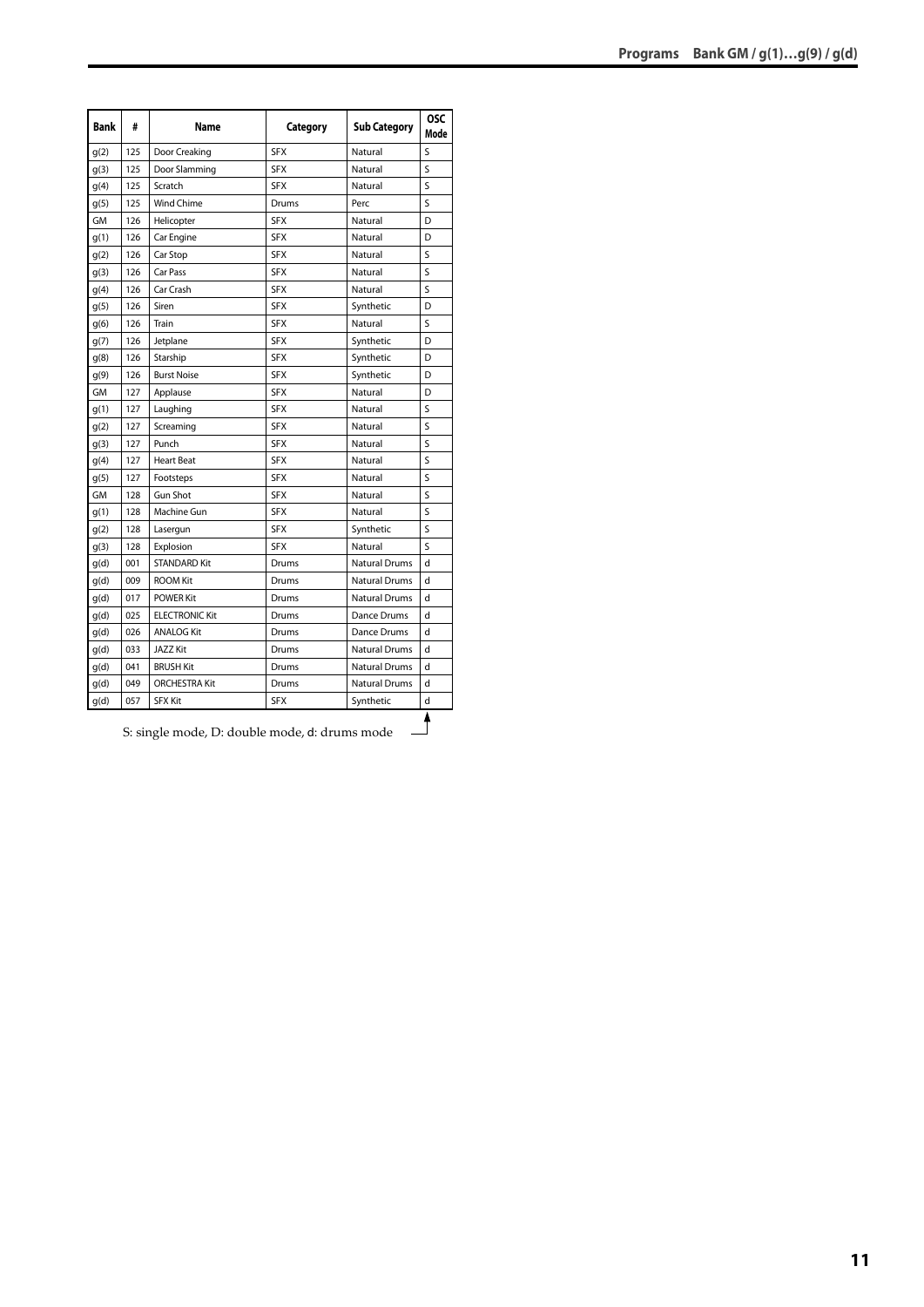| <b>Bank</b> | #   | Name                  | Category   | <b>Sub Category</b>  | <b>OSC</b><br>Mode      |
|-------------|-----|-----------------------|------------|----------------------|-------------------------|
| q(2)        | 125 | Door Creaking         | <b>SFX</b> | Natural              | S                       |
| q(3)        | 125 | Door Slamming         | <b>SFX</b> | Natural              | S                       |
| q(4)        | 125 | Scratch               | <b>SFX</b> | Natural              | S                       |
| g(5)        | 125 | <b>Wind Chime</b>     | Drums      | Perc                 | S                       |
| GM          | 126 | Helicopter            | <b>SFX</b> | Natural              | D                       |
| g(1)        | 126 | Car Engine            | <b>SFX</b> | Natural              | D                       |
| g(2)        | 126 | Car Stop              | <b>SFX</b> | Natural              | S                       |
| g(3)        | 126 | Car Pass              | <b>SFX</b> | Natural              | S                       |
| g(4)        | 126 | Car Crash             | <b>SFX</b> | Natural              | $\overline{\mathsf{S}}$ |
| g(5)        | 126 | Siren                 | <b>SFX</b> | Synthetic            | D                       |
| g(6)        | 126 | Train                 | <b>SFX</b> | Natural              | S                       |
| g(7)        | 126 | Jetplane              | <b>SFX</b> | Synthetic            | D                       |
| g(8)        | 126 | Starship              | <b>SFX</b> | Synthetic            | D                       |
| g(9)        | 126 | <b>Burst Noise</b>    | <b>SFX</b> | Synthetic            | D                       |
| GM          | 127 | Applause              | <b>SFX</b> | Natural              | D                       |
| g(1)        | 127 | Laughing              | <b>SFX</b> | Natural              | S                       |
| g(2)        | 127 | Screaming             | <b>SFX</b> | Natural              | Ś                       |
| g(3)        | 127 | Punch                 | <b>SFX</b> | Natural              | Ś                       |
| g(4)        | 127 | <b>Heart Beat</b>     | <b>SFX</b> | Natural              | S                       |
| g(5)        | 127 | Footsteps             | <b>SFX</b> | Natural              | S                       |
| GМ          | 128 | <b>Gun Shot</b>       | <b>SFX</b> | Natural              | S                       |
| q(1)        | 128 | Machine Gun           | <b>SFX</b> | Natural              | S                       |
| q(2)        | 128 | Lasergun              | <b>SFX</b> | Synthetic            | S                       |
| q(3)        | 128 | Explosion             | <b>SFX</b> | Natural              | S                       |
| g(d)        | 001 | <b>STANDARD Kit</b>   | Drums      | <b>Natural Drums</b> | d                       |
| q(d)        | 009 | <b>ROOM Kit</b>       | Drums      | <b>Natural Drums</b> | d                       |
| g(d)        | 017 | <b>POWER Kit</b>      | Drums      | <b>Natural Drums</b> | d                       |
| q(d)        | 025 | <b>ELECTRONIC Kit</b> | Drums      | Dance Drums          | d                       |
| g(d)        | 026 | <b>ANALOG Kit</b>     | Drums      | Dance Drums          | d                       |
| q(d)        | 033 | <b>JAZZ Kit</b>       | Drums      | <b>Natural Drums</b> | d                       |
| q(d)        | 041 | <b>BRUSH Kit</b>      | Drums      | <b>Natural Drums</b> | d                       |
| q(d)        | 049 | <b>ORCHESTRA Kit</b>  | Drums      | <b>Natural Drums</b> | d                       |
| q(d)        | 057 | <b>SFX Kit</b>        | <b>SFX</b> | Synthetic            | d                       |
|             |     |                       |            |                      |                         |

S: single mode, D: double mode, d: drums mode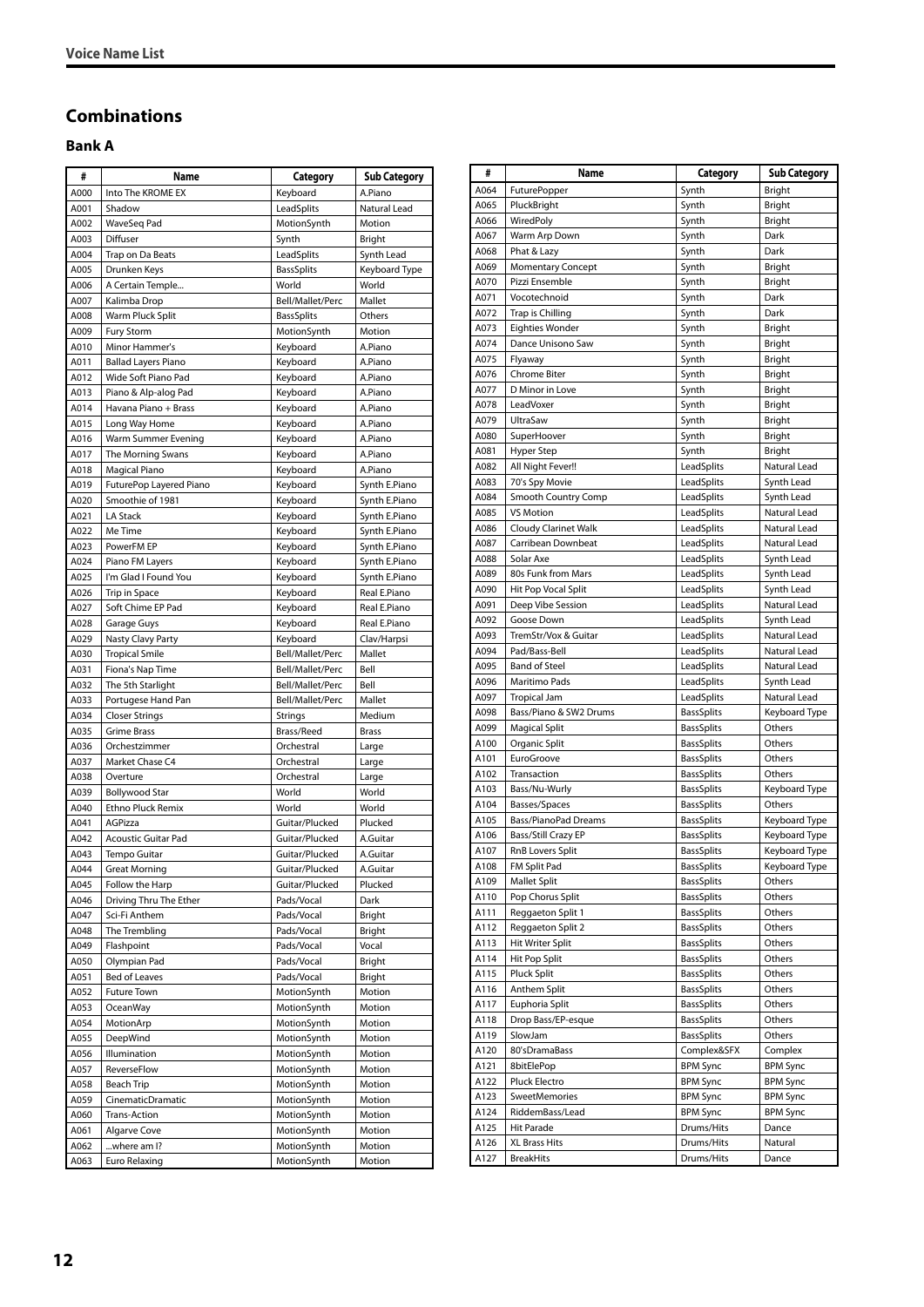#### <span id="page-11-0"></span>**Combinations**

#### <span id="page-11-1"></span>**Bank A**

| #            | Name                               | Category                   | Sub Category                   |
|--------------|------------------------------------|----------------------------|--------------------------------|
| A000         | Into The KROME EX                  | Keyboard                   | A.Piano                        |
| A001         | Shadow                             | LeadSplits                 | Natural Lead                   |
| A002         | WaveSeg Pad                        | MotionSynth                | Motion                         |
| A003         | Diffuser                           | Synth                      | Bright                         |
| A004         | Trap on Da Beats                   | LeadSplits                 | Synth Lead                     |
| A005         | Drunken Keys                       | <b>BassSplits</b>          | Keyboard Type                  |
| A006         | A Certain Temple                   | World                      | World                          |
| A007         | Kalimba Drop                       | Bell/Mallet/Perc           | Mallet                         |
| A008         | Warm Pluck Split                   | <b>BassSplits</b>          | Others                         |
| A009         | <b>Fury Storm</b>                  | MotionSynth                | Motion                         |
| A010         | Minor Hammer's                     | Keyboard                   | A.Piano                        |
| A011         | <b>Ballad Layers Piano</b>         | Keyboard                   | A.Piano                        |
| A012         | Wide Soft Piano Pad                | Keyboard                   | A.Piano                        |
| A013         | Piano & Alp-alog Pad               | Keyboard                   | A.Piano                        |
| A014         | Havana Piano + Brass               | Keyboard                   | A.Piano                        |
| A015         | Long Way Home                      | Keyboard                   | A.Piano<br>A.Piano             |
| A016<br>A017 | Warm Summer Evening                | Keyboard                   | A.Piano                        |
| A018         | The Morning Swans<br>Magical Piano | Keyboard<br>Keyboard       | A.Piano                        |
| A019         | FuturePop Layered Piano            |                            |                                |
| A020         | Smoothie of 1981                   | Keyboard<br>Keyboard       | Synth E.Piano<br>Synth E.Piano |
| A021         | <b>LA Stack</b>                    | Keyboard                   | Synth E.Piano                  |
| A022         | Me Time                            | Keyboard                   | Synth E.Piano                  |
| A023         | PowerFM EP                         | Keyboard                   | Synth E.Piano                  |
| A024         | Piano FM Layers                    | Keyboard                   | Synth E.Piano                  |
| A025         | I'm Glad I Found You               | Keyboard                   | Synth E.Piano                  |
| A026         | Trip in Space                      | Keyboard                   | Real E.Piano                   |
| A027         | Soft Chime EP Pad                  | Keyboard                   | Real E.Piano                   |
| A028         | Garage Guys                        | Keyboard                   | Real E.Piano                   |
| A029         | Nasty Clavy Party                  | Keyboard                   | Clav/Harpsi                    |
| A030         | <b>Tropical Smile</b>              | Bell/Mallet/Perc           | Mallet                         |
| A031         | Fiona's Nap Time                   | Bell/Mallet/Perc           | Bell                           |
| A032         | The 5th Starlight                  | Bell/Mallet/Perc           | Bell                           |
| A033         | Portugese Hand Pan                 | Bell/Mallet/Perc           | Mallet                         |
| A034         | <b>Closer Strings</b>              | <b>Strings</b>             | Medium                         |
| A035         | <b>Grime Brass</b>                 | Brass/Reed                 | <b>Brass</b>                   |
| A036         | Orchestzimmer                      | Orchestral                 | Large                          |
| A037         | Market Chase C4                    | Orchestral                 | Large                          |
| A038         | Overture                           | Orchestral                 | Large                          |
| A039         | <b>Bollywood Star</b>              | World                      | World                          |
| A040         | Ethno Pluck Remix                  | World                      | World                          |
| A041         | AGPizza                            | Guitar/Plucked             | Plucked                        |
| A042         | Acoustic Guitar Pad                | Guitar/Plucked             | A.Guitar                       |
| A043         | Tempo Guitar                       | Guitar/Plucked             | A.Guitar                       |
| A044         | <b>Great Morning</b>               | Guitar/Plucked             | A.Guitar                       |
| A045         | Follow the Harp                    | Guitar/Plucked             | Plucked                        |
| A046         | Driving Thru The Ether             | Pads/Vocal                 | Dark                           |
| A047         | Sci-Fi Anthem                      | Pads/Vocal                 | Bright                         |
| A048         | The Trembling                      | Pads/Vocal                 | Bright                         |
| A049         | Flashpoint                         | Pads/Vocal                 | Vocal                          |
| A050         | Olympian Pad                       | Pads/Vocal                 | Bright                         |
| A051         | Bed of Leaves                      | Pads/Vocal                 | Bright                         |
| A052         | <b>Future Town</b>                 | MotionSynth                | Motion                         |
| A053         | OceanWay                           | MotionSynth                | Motion                         |
| A054         | MotionArp                          | MotionSynth                | Motion                         |
| A055         | DeepWind                           | MotionSynth                | Motion                         |
| A056         | Illumination                       | MotionSynth                | Motion                         |
| A057<br>A058 | ReverseFlow                        | MotionSynth<br>MotionSynth | Motion<br>Motion               |
| A059         | Beach Trip<br>CinematicDramatic    | MotionSynth                | Motion                         |
| A060         | Trans-Action                       | MotionSynth                | Motion                         |
| A061         | Algarve Cove                       | MotionSynth                | Motion                         |
| A062         | where am I?                        | MotionSynth                | Motion                         |
| A063         | Euro Relaxing                      | MotionSynth                | Motion                         |
|              |                                    |                            |                                |

| #            | Name                                  | Category                       | <b>Sub Category</b>          |
|--------------|---------------------------------------|--------------------------------|------------------------------|
| A064         | <b>FuturePopper</b>                   | Synth                          | Bright                       |
| A065         | PluckBright                           | Synth                          | <b>Bright</b>                |
| A066         | WiredPoly                             | Synth                          | Bright                       |
| A067         | Warm Arp Down                         | Synth                          | Dark                         |
| A068         | Phat & Lazy                           | Synth                          | Dark                         |
| A069         | <b>Momentary Concept</b>              | Synth                          | Bright                       |
| A070         | Pizzi Ensemble                        | Synth                          | Bright                       |
| A071         | Vocotechnoid                          | Synth                          | Dark                         |
| A072         | Trap is Chilling                      | Synth                          | Dark                         |
| A073         | <b>Eighties Wonder</b>                | Synth                          | Bright                       |
| A074         | Dance Unisono Saw                     | Synth                          | Bright                       |
| A075         | Flyaway                               | Synth                          | Bright                       |
| A076         | <b>Chrome Biter</b>                   | Synth                          | <b>Bright</b>                |
| A077         | D Minor in Love                       | Synth                          | Bright                       |
| A078         | LeadVoxer                             | Synth                          | <b>Bright</b>                |
| A079         | UltraSaw                              | Synth                          | Bright                       |
| A080         | SuperHoover                           | Synth                          | Bright                       |
| A081         | Hyper Step                            | Synth                          | Bright                       |
| A082         | All Night Fever!!                     | LeadSplits                     | Natural Lead                 |
| A083         | 70's Spy Movie                        | LeadSplits                     | Synth Lead                   |
| A084         | Smooth Country Comp                   | LeadSplits                     | Synth Lead                   |
| A085         | <b>VS Motion</b>                      | LeadSplits                     | Natural Lead                 |
| A086         | <b>Cloudy Clarinet Walk</b>           | LeadSplits                     | Natural Lead                 |
| A087         | Carribean Downbeat                    | LeadSplits                     | Natural Lead                 |
| A088         | Solar Axe                             | LeadSplits                     | Synth Lead                   |
| A089         | 80s Funk from Mars                    | LeadSplits                     | Synth Lead                   |
| A090         | Hit Pop Vocal Split                   | LeadSplits                     | Synth Lead                   |
| A091         | Deep Vibe Session                     | LeadSplits                     | Natural Lead                 |
| A092         | Goose Down                            | LeadSplits                     | Synth Lead                   |
| A093<br>A094 | TremStr/Vox & Guitar<br>Pad/Bass-Bell | LeadSplits                     | Natural Lead<br>Natural Lead |
| A095         | <b>Band of Steel</b>                  | LeadSplits<br>LeadSplits       | Natural Lead                 |
| A096         | Maritimo Pads                         | LeadSplits                     | Synth Lead                   |
| A097         | <b>Tropical Jam</b>                   | LeadSplits                     | Natural Lead                 |
| A098         | Bass/Piano & SW2 Drums                | <b>BassSplits</b>              | Keyboard Type                |
| A099         | <b>Magical Split</b>                  | <b>BassSplits</b>              | Others                       |
| A100         | Organic Split                         | <b>BassSplits</b>              | Others                       |
| A101         | EuroGroove                            | <b>BassSplits</b>              | Others                       |
| A102         | Transaction                           | <b>BassSplits</b>              | Others                       |
| A103         | Bass/Nu-Wurly                         | <b>BassSplits</b>              | Keyboard Type                |
| A104         | Basses/Spaces                         | <b>BassSplits</b>              | Others                       |
| A105         | Bass/PianoPad Dreams                  | <b>BassSplits</b>              | Keyboard Type                |
| A106         | Bass/Still Crazy EP                   | <b>BassSplits</b>              | Keyboard Type                |
| A107         | RnB Lovers Split                      | <b>BassSplits</b>              | Keyboard Type                |
| A108         | FM Split Pad                          | <b>BassSplits</b>              | Keyboard Type                |
| A109         | <b>Mallet Split</b>                   | BassSplits                     | Others                       |
| A110         | Pop Chorus Split                      | <b>BassSplits</b>              | Others                       |
| A111         | Reggaeton Split 1                     | <b>BassSplits</b>              | Others                       |
| A112         | Reggaeton Split 2                     | <b>BassSplits</b>              | Others                       |
| A113         | Hit Writer Split                      | <b>BassSplits</b>              | Others                       |
| A114         | Hit Pop Split                         | <b>BassSplits</b>              | Others                       |
| A115         | Pluck Split                           | <b>BassSplits</b>              | Others                       |
| A116         | Anthem Split                          | <b>BassSplits</b>              | Others                       |
| A117         | Euphoria Split                        | <b>BassSplits</b>              | Others                       |
| A118         | Drop Bass/EP-esque                    | <b>BassSplits</b>              | Others                       |
| A119         | SlowJam                               | <b>BassSplits</b>              | Others                       |
| A120         | 80'sDramaBass                         | Complex&SFX<br><b>BPM Sync</b> | Complex                      |
| A121         | 8bitElePop                            | <b>BPM Sync</b>                | <b>BPM Sync</b>              |
| A122<br>A123 | Pluck Electro<br>SweetMemories        | <b>BPM Sync</b>                | BPM Sync<br><b>BPM Sync</b>  |
| A124         | RiddemBass/Lead                       | <b>BPM Sync</b>                | <b>BPM Sync</b>              |
| A125         | Hit Parade                            | Drums/Hits                     | Dance                        |
| A126         | <b>XL Brass Hits</b>                  | Drums/Hits                     | Natural                      |
| A127         | <b>BreakHits</b>                      | Drums/Hits                     | Dance                        |
|              |                                       |                                |                              |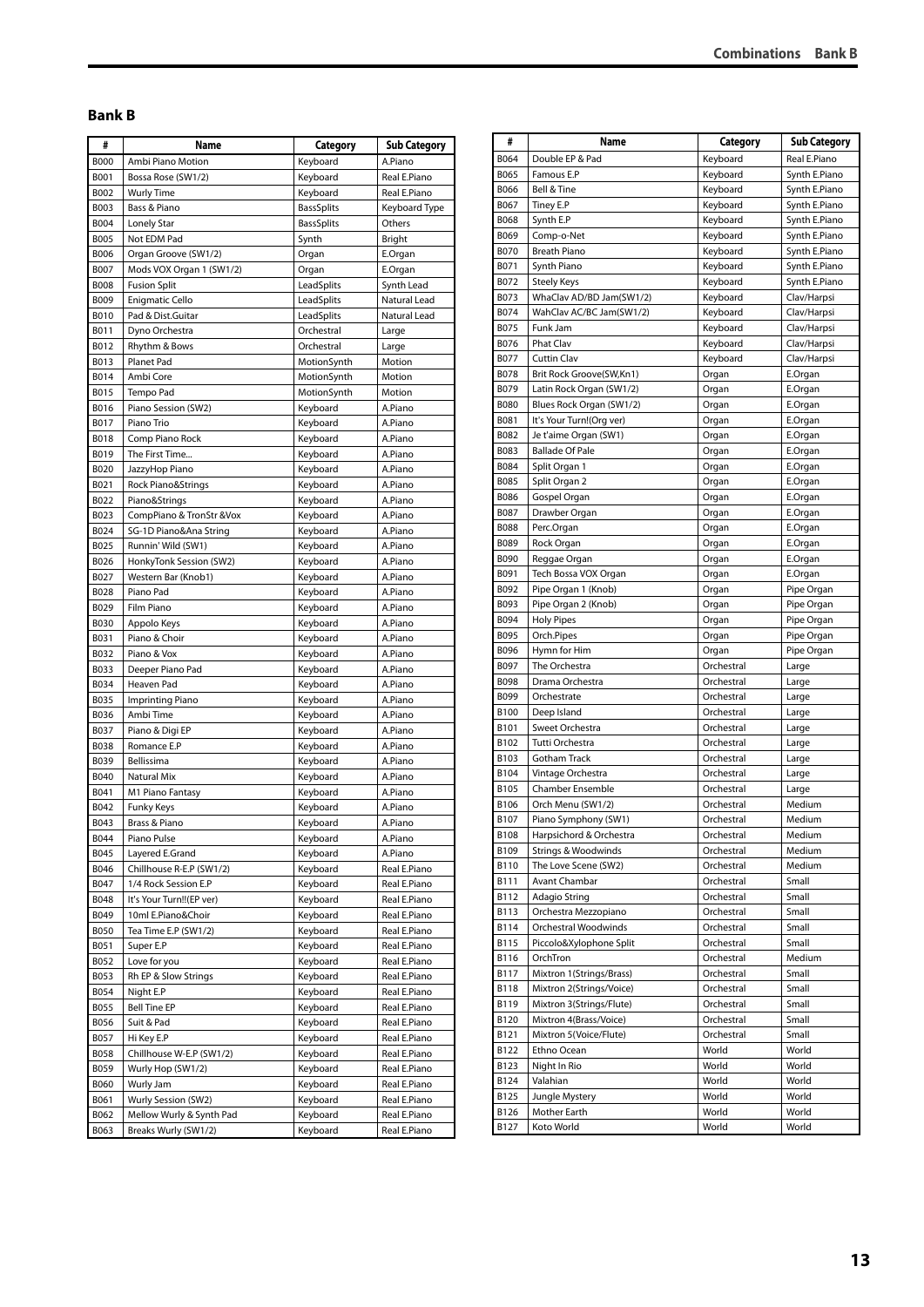### <span id="page-12-0"></span>**Bank B**

| #           | Name                      | Category          | Sub Category  |
|-------------|---------------------------|-------------------|---------------|
| <b>B000</b> | Ambi Piano Motion         | Keyboard          | A.Piano       |
| B001        | Bossa Rose (SW1/2)        | Keyboard          | Real E.Piano  |
| B002        | <b>Wurly Time</b>         | Keyboard          | Real E.Piano  |
| B003        | Bass & Piano              | <b>BassSplits</b> | Keyboard Type |
| B004        | Lonely Star               | <b>BassSplits</b> | Others        |
| <b>B005</b> | Not EDM Pad               | Synth             | <b>Bright</b> |
| <b>B006</b> | Organ Groove (SW1/2)      | Organ             | E.Organ       |
| B007        | Mods VOX Organ 1 (SW1/2)  | Organ             | E.Organ       |
| <b>B008</b> | <b>Fusion Split</b>       | LeadSplits        | Synth Lead    |
| B009        | <b>Enigmatic Cello</b>    | LeadSplits        | Natural Lead  |
| <b>B010</b> | Pad & Dist.Guitar         | LeadSplits        | Natural Lead  |
| B011        | Dyno Orchestra            | Orchestral        | Large         |
| B012        | Rhythm & Bows             | Orchestral        | Large         |
| B013        | Planet Pad                | MotionSynth       | Motion        |
| B014        | Ambi Core                 | MotionSynth       | Motion        |
| B015        | Tempo Pad                 | MotionSynth       | Motion        |
| B016        | Piano Session (SW2)       | Keyboard          | A.Piano       |
| B017        | Piano Trio                | Keyboard          | A.Piano       |
| <b>B018</b> | Comp Piano Rock           | Keyboard          | A.Piano       |
| B019        | The First Time            | Keyboard          | A.Piano       |
| B020        | JazzyHop Piano            | Keyboard          | A.Piano       |
| B021        | Rock Piano&Strings        | Keyboard          | A.Piano       |
| B022        | Piano&Strings             | Keyboard          | A.Piano       |
| B023        | CompPiano & TronStr & Vox | Keyboard          | A.Piano       |
| B024        | SG-1D Piano&Ana String    | Keyboard          | A.Piano       |
| B025        | Runnin' Wild (SW1)        | Keyboard          | A.Piano       |
| B026        | HonkyTonk Session (SW2)   | Keyboard          | A.Piano       |
| B027        | Western Bar (Knob1)       | Keyboard          | A.Piano       |
| B028        | Piano Pad                 | Keyboard          | A.Piano       |
| B029        | Film Piano                | Keyboard          | A.Piano       |
| <b>B030</b> | Appolo Keys               | Keyboard          | A.Piano       |
| B031        | Piano & Choir             | Keyboard          | A.Piano       |
| B032        | Piano & Vox               | Keyboard          | A.Piano       |
| B033        | Deeper Piano Pad          | Keyboard          | A.Piano       |
| B034        | Heaven Pad                | Keyboard          | A.Piano       |
| B035        | <b>Imprinting Piano</b>   | Keyboard          | A.Piano       |
| B036        | Ambi Time                 | Keyboard          | A.Piano       |
| B037        | Piano & Digi EP           | Keyboard          | A.Piano       |
| <b>B038</b> | Romance E.P               | Keyboard          | A.Piano       |
| B039        | Bellissima                | Keyboard          | A.Piano       |
| B040        | Natural Mix               | Keyboard          | A.Piano       |
| B041        | M1 Piano Fantasy          | Keyboard          | A.Piano       |
| B042        | <b>Funky Keys</b>         | Keyboard          | A.Piano       |
| B043        | Brass & Piano             | Keyboard          | A.Piano       |
| B044        | Piano Pulse               | Keyboard          | A.Piano       |
| B045        | Layered E.Grand           | Keyboard          | A.Piano       |
| B046        | Chillhouse R-E.P (SW1/2)  | Keyboard          | Real E.Piano  |
| B047        | 1/4 Rock Session E.P      | Keyboard          | Real E.Piano  |
| B048        | It's Your Turn!!(EP ver)  | Keyboard          | Real E.Piano  |
| B049        | 10ml E.Piano&Choir        | Keyboard          | Real E.Piano  |
| B050        | Tea Time E.P (SW1/2)      | Keyboard          | Real E.Piano  |
| B051        | Super E.P                 | Keyboard          | Real E.Piano  |
| B052        | Love for you              | Keyboard          | Real E.Piano  |
| B053        | Rh EP & Slow Strings      | Keyboard          | Real E.Piano  |
| B054        | Night E.P                 | Keyboard          | Real E.Piano  |
| B055        | Bell Tine EP              | Keyboard          | Real E.Piano  |
| B056        | Suit & Pad                | Keyboard          | Real E.Piano  |
| B057        | Hi Key E.P                | Keyboard          | Real E.Piano  |
| B058        | Chillhouse W-E.P (SW1/2)  | Keyboard          | Real E.Piano  |
| B059        | Wurly Hop (SW1/2)         | Keyboard          | Real E.Piano  |
| <b>B060</b> | Wurly Jam                 | Keyboard          | Real E.Piano  |
|             |                           | Keyboard          | Real E.Piano  |
| B061        | Wurly Session (SW2)       |                   |               |
| B062        | Mellow Wurly & Synth Pad  | Keyboard          | Real E.Piano  |

| <b>Combinations Bank B</b> |  |
|----------------------------|--|
|                            |  |
|                            |  |
|                            |  |

| Double EP & Pad<br>Keyboard<br>B064<br>Real E.Piano<br>Famous E.P<br>B065<br>Keyboard<br>Synth E.Piano<br>B066<br>Bell & Tine<br>Keyboard<br>Synth E.Piano<br>B067<br>Tiney E.P<br>Keyboard<br>Synth E.Piano<br><b>B068</b><br>Synth E.P<br>Synth E.Piano<br>Keyboard<br>B069<br>Comp-o-Net<br>Keyboard<br>Synth E.Piano<br><b>B070</b><br><b>Breath Piano</b><br>Keyboard<br>Synth E.Piano<br>B071<br>Synth Piano<br>Keyboard<br>Synth E.Piano<br>B072<br><b>Steely Keys</b><br>Keyboard<br>Synth E.Piano<br>WhaClav AD/BD Jam(SW1/2)<br>B073<br>Keyboard<br>Clav/Harpsi<br>B074<br>WahClav AC/BC Jam(SW1/2)<br>Keyboard<br>Clav/Harpsi<br>B075<br>Funk Jam<br>Keyboard<br>Clav/Harpsi<br>B076<br><b>Phat Clav</b><br>Keyboard<br>Clav/Harpsi<br>B077<br><b>Cuttin Clav</b><br>Keyboard<br>Clav/Harpsi<br><b>B078</b><br>Brit Rock Groove(SW,Kn1)<br>Organ<br>E.Organ<br>B079<br>Latin Rock Organ (SW1/2)<br>E.Organ<br>Organ<br><b>B080</b><br>Blues Rock Organ (SW1/2)<br>E.Organ<br>Organ<br>B081<br>It's Your Turn!(Org ver)<br>E.Organ<br>Organ<br>B082<br>Je t'aime Organ (SW1)<br>E.Organ<br>Organ<br>B083<br><b>Ballade Of Pale</b><br>Organ<br>E.Organ<br><b>B084</b><br>Split Organ 1<br>E.Organ<br>Organ<br><b>B085</b><br>Split Organ 2<br>Organ<br>E.Organ<br><b>B086</b><br>Gospel Organ<br>Organ<br>E.Organ<br>B087<br>Drawber Organ<br>E.Organ<br>Organ<br><b>B088</b><br>Perc.Organ<br>E.Organ<br>Organ<br>B089<br>Rock Organ<br>E.Organ<br>Organ<br><b>B090</b><br>Reggae Organ<br>Organ<br>E.Organ<br>B091<br>Tech Bossa VOX Organ<br>E.Organ<br>Organ<br>B092<br>Pipe Organ 1 (Knob)<br>Organ<br>Pipe Organ<br>B093<br>Pipe Organ 2 (Knob)<br>Pipe Organ<br>Organ<br>B094<br><b>Holy Pipes</b><br>Organ<br>Pipe Organ<br>B095<br>Orch.Pipes<br>Organ<br>Pipe Organ<br>B096<br>Hymn for Him<br>Pipe Organ<br>Organ<br>B097<br>The Orchestra<br>Orchestral<br>Large<br><b>B098</b><br>Drama Orchestra<br>Orchestral<br>Large<br>B099<br>Orchestrate<br>Orchestral<br>Large<br><b>B100</b><br>Deep Island<br>Orchestral<br>Large<br>B101<br>Sweet Orchestra<br>Orchestral<br>Large<br>B102<br>Tutti Orchestra<br>Orchestral<br>Large<br>B103<br>Gotham Track<br>Orchestral<br>Large<br>B104<br>Vintage Orchestra<br>Orchestral<br>Large<br>B105<br>Chamber Ensemble<br>Orchestral<br>Large<br>B106<br>Orch Menu (SW1/2)<br>Orchestral<br>Medium<br>B107<br>Piano Symphony (SW1)<br>Orchestral<br>Medium<br>Harpsichord & Orchestra<br>B108<br>Orchestral<br>Medium<br><b>Strings &amp; Woodwinds</b><br>B109<br>Orchestral<br>Medium<br>The Love Scene (SW2)<br>B110<br>Orchestral<br>Medium<br>Avant Chambar<br>B111<br>Orchestral<br>Small<br>Adagio String<br>Orchestral<br>Small<br>B112<br>Orchestra Mezzopiano<br>B113<br>Orchestral<br>Small<br>B114<br>Orchestral Woodwinds<br>Orchestral<br>Small<br>Piccolo&Xylophone Split<br>B115<br>Orchestral<br>Small<br>Orchestral<br>B116<br>OrchTron<br>Medium<br>Mixtron 1(Strings/Brass)<br>Orchestral<br>B117<br>Small<br>Mixtron 2(Strings/Voice)<br>B118<br>Orchestral<br>Small<br>B119<br>Mixtron 3(Strings/Flute)<br>Orchestral<br>Small<br>B120<br>Mixtron 4(Brass/Voice)<br>Orchestral<br>Small<br>Mixtron 5(Voice/Flute)<br>B121<br>Orchestral<br>Small<br>Ethno Ocean<br>World<br>B122<br>World<br>B123<br>World<br>World<br>Night In Rio<br>Valahian<br>World<br>World<br>B124<br>World<br>World<br>B125<br>Jungle Mystery<br>Mother Earth<br>B126<br>World<br>World<br>Koto World<br>World<br>World<br>B127 | # | Name | Category | <b>Sub Category</b> |
|----------------------------------------------------------------------------------------------------------------------------------------------------------------------------------------------------------------------------------------------------------------------------------------------------------------------------------------------------------------------------------------------------------------------------------------------------------------------------------------------------------------------------------------------------------------------------------------------------------------------------------------------------------------------------------------------------------------------------------------------------------------------------------------------------------------------------------------------------------------------------------------------------------------------------------------------------------------------------------------------------------------------------------------------------------------------------------------------------------------------------------------------------------------------------------------------------------------------------------------------------------------------------------------------------------------------------------------------------------------------------------------------------------------------------------------------------------------------------------------------------------------------------------------------------------------------------------------------------------------------------------------------------------------------------------------------------------------------------------------------------------------------------------------------------------------------------------------------------------------------------------------------------------------------------------------------------------------------------------------------------------------------------------------------------------------------------------------------------------------------------------------------------------------------------------------------------------------------------------------------------------------------------------------------------------------------------------------------------------------------------------------------------------------------------------------------------------------------------------------------------------------------------------------------------------------------------------------------------------------------------------------------------------------------------------------------------------------------------------------------------------------------------------------------------------------------------------------------------------------------------------------------------------------------------------------------------------------------------------------------------------------------------------------------------------------------------------------------------------------------------------------------------------------------------------------------------------------------------------------------------------------------------------------------------------------------------------------------------------------------------------------------------------------------------------------------------------------------------------------------|---|------|----------|---------------------|
|                                                                                                                                                                                                                                                                                                                                                                                                                                                                                                                                                                                                                                                                                                                                                                                                                                                                                                                                                                                                                                                                                                                                                                                                                                                                                                                                                                                                                                                                                                                                                                                                                                                                                                                                                                                                                                                                                                                                                                                                                                                                                                                                                                                                                                                                                                                                                                                                                                                                                                                                                                                                                                                                                                                                                                                                                                                                                                                                                                                                                                                                                                                                                                                                                                                                                                                                                                                                                                                                                              |   |      |          |                     |
|                                                                                                                                                                                                                                                                                                                                                                                                                                                                                                                                                                                                                                                                                                                                                                                                                                                                                                                                                                                                                                                                                                                                                                                                                                                                                                                                                                                                                                                                                                                                                                                                                                                                                                                                                                                                                                                                                                                                                                                                                                                                                                                                                                                                                                                                                                                                                                                                                                                                                                                                                                                                                                                                                                                                                                                                                                                                                                                                                                                                                                                                                                                                                                                                                                                                                                                                                                                                                                                                                              |   |      |          |                     |
|                                                                                                                                                                                                                                                                                                                                                                                                                                                                                                                                                                                                                                                                                                                                                                                                                                                                                                                                                                                                                                                                                                                                                                                                                                                                                                                                                                                                                                                                                                                                                                                                                                                                                                                                                                                                                                                                                                                                                                                                                                                                                                                                                                                                                                                                                                                                                                                                                                                                                                                                                                                                                                                                                                                                                                                                                                                                                                                                                                                                                                                                                                                                                                                                                                                                                                                                                                                                                                                                                              |   |      |          |                     |
|                                                                                                                                                                                                                                                                                                                                                                                                                                                                                                                                                                                                                                                                                                                                                                                                                                                                                                                                                                                                                                                                                                                                                                                                                                                                                                                                                                                                                                                                                                                                                                                                                                                                                                                                                                                                                                                                                                                                                                                                                                                                                                                                                                                                                                                                                                                                                                                                                                                                                                                                                                                                                                                                                                                                                                                                                                                                                                                                                                                                                                                                                                                                                                                                                                                                                                                                                                                                                                                                                              |   |      |          |                     |
|                                                                                                                                                                                                                                                                                                                                                                                                                                                                                                                                                                                                                                                                                                                                                                                                                                                                                                                                                                                                                                                                                                                                                                                                                                                                                                                                                                                                                                                                                                                                                                                                                                                                                                                                                                                                                                                                                                                                                                                                                                                                                                                                                                                                                                                                                                                                                                                                                                                                                                                                                                                                                                                                                                                                                                                                                                                                                                                                                                                                                                                                                                                                                                                                                                                                                                                                                                                                                                                                                              |   |      |          |                     |
|                                                                                                                                                                                                                                                                                                                                                                                                                                                                                                                                                                                                                                                                                                                                                                                                                                                                                                                                                                                                                                                                                                                                                                                                                                                                                                                                                                                                                                                                                                                                                                                                                                                                                                                                                                                                                                                                                                                                                                                                                                                                                                                                                                                                                                                                                                                                                                                                                                                                                                                                                                                                                                                                                                                                                                                                                                                                                                                                                                                                                                                                                                                                                                                                                                                                                                                                                                                                                                                                                              |   |      |          |                     |
|                                                                                                                                                                                                                                                                                                                                                                                                                                                                                                                                                                                                                                                                                                                                                                                                                                                                                                                                                                                                                                                                                                                                                                                                                                                                                                                                                                                                                                                                                                                                                                                                                                                                                                                                                                                                                                                                                                                                                                                                                                                                                                                                                                                                                                                                                                                                                                                                                                                                                                                                                                                                                                                                                                                                                                                                                                                                                                                                                                                                                                                                                                                                                                                                                                                                                                                                                                                                                                                                                              |   |      |          |                     |
|                                                                                                                                                                                                                                                                                                                                                                                                                                                                                                                                                                                                                                                                                                                                                                                                                                                                                                                                                                                                                                                                                                                                                                                                                                                                                                                                                                                                                                                                                                                                                                                                                                                                                                                                                                                                                                                                                                                                                                                                                                                                                                                                                                                                                                                                                                                                                                                                                                                                                                                                                                                                                                                                                                                                                                                                                                                                                                                                                                                                                                                                                                                                                                                                                                                                                                                                                                                                                                                                                              |   |      |          |                     |
|                                                                                                                                                                                                                                                                                                                                                                                                                                                                                                                                                                                                                                                                                                                                                                                                                                                                                                                                                                                                                                                                                                                                                                                                                                                                                                                                                                                                                                                                                                                                                                                                                                                                                                                                                                                                                                                                                                                                                                                                                                                                                                                                                                                                                                                                                                                                                                                                                                                                                                                                                                                                                                                                                                                                                                                                                                                                                                                                                                                                                                                                                                                                                                                                                                                                                                                                                                                                                                                                                              |   |      |          |                     |
|                                                                                                                                                                                                                                                                                                                                                                                                                                                                                                                                                                                                                                                                                                                                                                                                                                                                                                                                                                                                                                                                                                                                                                                                                                                                                                                                                                                                                                                                                                                                                                                                                                                                                                                                                                                                                                                                                                                                                                                                                                                                                                                                                                                                                                                                                                                                                                                                                                                                                                                                                                                                                                                                                                                                                                                                                                                                                                                                                                                                                                                                                                                                                                                                                                                                                                                                                                                                                                                                                              |   |      |          |                     |
|                                                                                                                                                                                                                                                                                                                                                                                                                                                                                                                                                                                                                                                                                                                                                                                                                                                                                                                                                                                                                                                                                                                                                                                                                                                                                                                                                                                                                                                                                                                                                                                                                                                                                                                                                                                                                                                                                                                                                                                                                                                                                                                                                                                                                                                                                                                                                                                                                                                                                                                                                                                                                                                                                                                                                                                                                                                                                                                                                                                                                                                                                                                                                                                                                                                                                                                                                                                                                                                                                              |   |      |          |                     |
|                                                                                                                                                                                                                                                                                                                                                                                                                                                                                                                                                                                                                                                                                                                                                                                                                                                                                                                                                                                                                                                                                                                                                                                                                                                                                                                                                                                                                                                                                                                                                                                                                                                                                                                                                                                                                                                                                                                                                                                                                                                                                                                                                                                                                                                                                                                                                                                                                                                                                                                                                                                                                                                                                                                                                                                                                                                                                                                                                                                                                                                                                                                                                                                                                                                                                                                                                                                                                                                                                              |   |      |          |                     |
|                                                                                                                                                                                                                                                                                                                                                                                                                                                                                                                                                                                                                                                                                                                                                                                                                                                                                                                                                                                                                                                                                                                                                                                                                                                                                                                                                                                                                                                                                                                                                                                                                                                                                                                                                                                                                                                                                                                                                                                                                                                                                                                                                                                                                                                                                                                                                                                                                                                                                                                                                                                                                                                                                                                                                                                                                                                                                                                                                                                                                                                                                                                                                                                                                                                                                                                                                                                                                                                                                              |   |      |          |                     |
|                                                                                                                                                                                                                                                                                                                                                                                                                                                                                                                                                                                                                                                                                                                                                                                                                                                                                                                                                                                                                                                                                                                                                                                                                                                                                                                                                                                                                                                                                                                                                                                                                                                                                                                                                                                                                                                                                                                                                                                                                                                                                                                                                                                                                                                                                                                                                                                                                                                                                                                                                                                                                                                                                                                                                                                                                                                                                                                                                                                                                                                                                                                                                                                                                                                                                                                                                                                                                                                                                              |   |      |          |                     |
|                                                                                                                                                                                                                                                                                                                                                                                                                                                                                                                                                                                                                                                                                                                                                                                                                                                                                                                                                                                                                                                                                                                                                                                                                                                                                                                                                                                                                                                                                                                                                                                                                                                                                                                                                                                                                                                                                                                                                                                                                                                                                                                                                                                                                                                                                                                                                                                                                                                                                                                                                                                                                                                                                                                                                                                                                                                                                                                                                                                                                                                                                                                                                                                                                                                                                                                                                                                                                                                                                              |   |      |          |                     |
|                                                                                                                                                                                                                                                                                                                                                                                                                                                                                                                                                                                                                                                                                                                                                                                                                                                                                                                                                                                                                                                                                                                                                                                                                                                                                                                                                                                                                                                                                                                                                                                                                                                                                                                                                                                                                                                                                                                                                                                                                                                                                                                                                                                                                                                                                                                                                                                                                                                                                                                                                                                                                                                                                                                                                                                                                                                                                                                                                                                                                                                                                                                                                                                                                                                                                                                                                                                                                                                                                              |   |      |          |                     |
|                                                                                                                                                                                                                                                                                                                                                                                                                                                                                                                                                                                                                                                                                                                                                                                                                                                                                                                                                                                                                                                                                                                                                                                                                                                                                                                                                                                                                                                                                                                                                                                                                                                                                                                                                                                                                                                                                                                                                                                                                                                                                                                                                                                                                                                                                                                                                                                                                                                                                                                                                                                                                                                                                                                                                                                                                                                                                                                                                                                                                                                                                                                                                                                                                                                                                                                                                                                                                                                                                              |   |      |          |                     |
|                                                                                                                                                                                                                                                                                                                                                                                                                                                                                                                                                                                                                                                                                                                                                                                                                                                                                                                                                                                                                                                                                                                                                                                                                                                                                                                                                                                                                                                                                                                                                                                                                                                                                                                                                                                                                                                                                                                                                                                                                                                                                                                                                                                                                                                                                                                                                                                                                                                                                                                                                                                                                                                                                                                                                                                                                                                                                                                                                                                                                                                                                                                                                                                                                                                                                                                                                                                                                                                                                              |   |      |          |                     |
|                                                                                                                                                                                                                                                                                                                                                                                                                                                                                                                                                                                                                                                                                                                                                                                                                                                                                                                                                                                                                                                                                                                                                                                                                                                                                                                                                                                                                                                                                                                                                                                                                                                                                                                                                                                                                                                                                                                                                                                                                                                                                                                                                                                                                                                                                                                                                                                                                                                                                                                                                                                                                                                                                                                                                                                                                                                                                                                                                                                                                                                                                                                                                                                                                                                                                                                                                                                                                                                                                              |   |      |          |                     |
|                                                                                                                                                                                                                                                                                                                                                                                                                                                                                                                                                                                                                                                                                                                                                                                                                                                                                                                                                                                                                                                                                                                                                                                                                                                                                                                                                                                                                                                                                                                                                                                                                                                                                                                                                                                                                                                                                                                                                                                                                                                                                                                                                                                                                                                                                                                                                                                                                                                                                                                                                                                                                                                                                                                                                                                                                                                                                                                                                                                                                                                                                                                                                                                                                                                                                                                                                                                                                                                                                              |   |      |          |                     |
|                                                                                                                                                                                                                                                                                                                                                                                                                                                                                                                                                                                                                                                                                                                                                                                                                                                                                                                                                                                                                                                                                                                                                                                                                                                                                                                                                                                                                                                                                                                                                                                                                                                                                                                                                                                                                                                                                                                                                                                                                                                                                                                                                                                                                                                                                                                                                                                                                                                                                                                                                                                                                                                                                                                                                                                                                                                                                                                                                                                                                                                                                                                                                                                                                                                                                                                                                                                                                                                                                              |   |      |          |                     |
|                                                                                                                                                                                                                                                                                                                                                                                                                                                                                                                                                                                                                                                                                                                                                                                                                                                                                                                                                                                                                                                                                                                                                                                                                                                                                                                                                                                                                                                                                                                                                                                                                                                                                                                                                                                                                                                                                                                                                                                                                                                                                                                                                                                                                                                                                                                                                                                                                                                                                                                                                                                                                                                                                                                                                                                                                                                                                                                                                                                                                                                                                                                                                                                                                                                                                                                                                                                                                                                                                              |   |      |          |                     |
|                                                                                                                                                                                                                                                                                                                                                                                                                                                                                                                                                                                                                                                                                                                                                                                                                                                                                                                                                                                                                                                                                                                                                                                                                                                                                                                                                                                                                                                                                                                                                                                                                                                                                                                                                                                                                                                                                                                                                                                                                                                                                                                                                                                                                                                                                                                                                                                                                                                                                                                                                                                                                                                                                                                                                                                                                                                                                                                                                                                                                                                                                                                                                                                                                                                                                                                                                                                                                                                                                              |   |      |          |                     |
|                                                                                                                                                                                                                                                                                                                                                                                                                                                                                                                                                                                                                                                                                                                                                                                                                                                                                                                                                                                                                                                                                                                                                                                                                                                                                                                                                                                                                                                                                                                                                                                                                                                                                                                                                                                                                                                                                                                                                                                                                                                                                                                                                                                                                                                                                                                                                                                                                                                                                                                                                                                                                                                                                                                                                                                                                                                                                                                                                                                                                                                                                                                                                                                                                                                                                                                                                                                                                                                                                              |   |      |          |                     |
|                                                                                                                                                                                                                                                                                                                                                                                                                                                                                                                                                                                                                                                                                                                                                                                                                                                                                                                                                                                                                                                                                                                                                                                                                                                                                                                                                                                                                                                                                                                                                                                                                                                                                                                                                                                                                                                                                                                                                                                                                                                                                                                                                                                                                                                                                                                                                                                                                                                                                                                                                                                                                                                                                                                                                                                                                                                                                                                                                                                                                                                                                                                                                                                                                                                                                                                                                                                                                                                                                              |   |      |          |                     |
|                                                                                                                                                                                                                                                                                                                                                                                                                                                                                                                                                                                                                                                                                                                                                                                                                                                                                                                                                                                                                                                                                                                                                                                                                                                                                                                                                                                                                                                                                                                                                                                                                                                                                                                                                                                                                                                                                                                                                                                                                                                                                                                                                                                                                                                                                                                                                                                                                                                                                                                                                                                                                                                                                                                                                                                                                                                                                                                                                                                                                                                                                                                                                                                                                                                                                                                                                                                                                                                                                              |   |      |          |                     |
|                                                                                                                                                                                                                                                                                                                                                                                                                                                                                                                                                                                                                                                                                                                                                                                                                                                                                                                                                                                                                                                                                                                                                                                                                                                                                                                                                                                                                                                                                                                                                                                                                                                                                                                                                                                                                                                                                                                                                                                                                                                                                                                                                                                                                                                                                                                                                                                                                                                                                                                                                                                                                                                                                                                                                                                                                                                                                                                                                                                                                                                                                                                                                                                                                                                                                                                                                                                                                                                                                              |   |      |          |                     |
|                                                                                                                                                                                                                                                                                                                                                                                                                                                                                                                                                                                                                                                                                                                                                                                                                                                                                                                                                                                                                                                                                                                                                                                                                                                                                                                                                                                                                                                                                                                                                                                                                                                                                                                                                                                                                                                                                                                                                                                                                                                                                                                                                                                                                                                                                                                                                                                                                                                                                                                                                                                                                                                                                                                                                                                                                                                                                                                                                                                                                                                                                                                                                                                                                                                                                                                                                                                                                                                                                              |   |      |          |                     |
|                                                                                                                                                                                                                                                                                                                                                                                                                                                                                                                                                                                                                                                                                                                                                                                                                                                                                                                                                                                                                                                                                                                                                                                                                                                                                                                                                                                                                                                                                                                                                                                                                                                                                                                                                                                                                                                                                                                                                                                                                                                                                                                                                                                                                                                                                                                                                                                                                                                                                                                                                                                                                                                                                                                                                                                                                                                                                                                                                                                                                                                                                                                                                                                                                                                                                                                                                                                                                                                                                              |   |      |          |                     |
|                                                                                                                                                                                                                                                                                                                                                                                                                                                                                                                                                                                                                                                                                                                                                                                                                                                                                                                                                                                                                                                                                                                                                                                                                                                                                                                                                                                                                                                                                                                                                                                                                                                                                                                                                                                                                                                                                                                                                                                                                                                                                                                                                                                                                                                                                                                                                                                                                                                                                                                                                                                                                                                                                                                                                                                                                                                                                                                                                                                                                                                                                                                                                                                                                                                                                                                                                                                                                                                                                              |   |      |          |                     |
|                                                                                                                                                                                                                                                                                                                                                                                                                                                                                                                                                                                                                                                                                                                                                                                                                                                                                                                                                                                                                                                                                                                                                                                                                                                                                                                                                                                                                                                                                                                                                                                                                                                                                                                                                                                                                                                                                                                                                                                                                                                                                                                                                                                                                                                                                                                                                                                                                                                                                                                                                                                                                                                                                                                                                                                                                                                                                                                                                                                                                                                                                                                                                                                                                                                                                                                                                                                                                                                                                              |   |      |          |                     |
|                                                                                                                                                                                                                                                                                                                                                                                                                                                                                                                                                                                                                                                                                                                                                                                                                                                                                                                                                                                                                                                                                                                                                                                                                                                                                                                                                                                                                                                                                                                                                                                                                                                                                                                                                                                                                                                                                                                                                                                                                                                                                                                                                                                                                                                                                                                                                                                                                                                                                                                                                                                                                                                                                                                                                                                                                                                                                                                                                                                                                                                                                                                                                                                                                                                                                                                                                                                                                                                                                              |   |      |          |                     |
|                                                                                                                                                                                                                                                                                                                                                                                                                                                                                                                                                                                                                                                                                                                                                                                                                                                                                                                                                                                                                                                                                                                                                                                                                                                                                                                                                                                                                                                                                                                                                                                                                                                                                                                                                                                                                                                                                                                                                                                                                                                                                                                                                                                                                                                                                                                                                                                                                                                                                                                                                                                                                                                                                                                                                                                                                                                                                                                                                                                                                                                                                                                                                                                                                                                                                                                                                                                                                                                                                              |   |      |          |                     |
|                                                                                                                                                                                                                                                                                                                                                                                                                                                                                                                                                                                                                                                                                                                                                                                                                                                                                                                                                                                                                                                                                                                                                                                                                                                                                                                                                                                                                                                                                                                                                                                                                                                                                                                                                                                                                                                                                                                                                                                                                                                                                                                                                                                                                                                                                                                                                                                                                                                                                                                                                                                                                                                                                                                                                                                                                                                                                                                                                                                                                                                                                                                                                                                                                                                                                                                                                                                                                                                                                              |   |      |          |                     |
|                                                                                                                                                                                                                                                                                                                                                                                                                                                                                                                                                                                                                                                                                                                                                                                                                                                                                                                                                                                                                                                                                                                                                                                                                                                                                                                                                                                                                                                                                                                                                                                                                                                                                                                                                                                                                                                                                                                                                                                                                                                                                                                                                                                                                                                                                                                                                                                                                                                                                                                                                                                                                                                                                                                                                                                                                                                                                                                                                                                                                                                                                                                                                                                                                                                                                                                                                                                                                                                                                              |   |      |          |                     |
|                                                                                                                                                                                                                                                                                                                                                                                                                                                                                                                                                                                                                                                                                                                                                                                                                                                                                                                                                                                                                                                                                                                                                                                                                                                                                                                                                                                                                                                                                                                                                                                                                                                                                                                                                                                                                                                                                                                                                                                                                                                                                                                                                                                                                                                                                                                                                                                                                                                                                                                                                                                                                                                                                                                                                                                                                                                                                                                                                                                                                                                                                                                                                                                                                                                                                                                                                                                                                                                                                              |   |      |          |                     |
|                                                                                                                                                                                                                                                                                                                                                                                                                                                                                                                                                                                                                                                                                                                                                                                                                                                                                                                                                                                                                                                                                                                                                                                                                                                                                                                                                                                                                                                                                                                                                                                                                                                                                                                                                                                                                                                                                                                                                                                                                                                                                                                                                                                                                                                                                                                                                                                                                                                                                                                                                                                                                                                                                                                                                                                                                                                                                                                                                                                                                                                                                                                                                                                                                                                                                                                                                                                                                                                                                              |   |      |          |                     |
|                                                                                                                                                                                                                                                                                                                                                                                                                                                                                                                                                                                                                                                                                                                                                                                                                                                                                                                                                                                                                                                                                                                                                                                                                                                                                                                                                                                                                                                                                                                                                                                                                                                                                                                                                                                                                                                                                                                                                                                                                                                                                                                                                                                                                                                                                                                                                                                                                                                                                                                                                                                                                                                                                                                                                                                                                                                                                                                                                                                                                                                                                                                                                                                                                                                                                                                                                                                                                                                                                              |   |      |          |                     |
|                                                                                                                                                                                                                                                                                                                                                                                                                                                                                                                                                                                                                                                                                                                                                                                                                                                                                                                                                                                                                                                                                                                                                                                                                                                                                                                                                                                                                                                                                                                                                                                                                                                                                                                                                                                                                                                                                                                                                                                                                                                                                                                                                                                                                                                                                                                                                                                                                                                                                                                                                                                                                                                                                                                                                                                                                                                                                                                                                                                                                                                                                                                                                                                                                                                                                                                                                                                                                                                                                              |   |      |          |                     |
|                                                                                                                                                                                                                                                                                                                                                                                                                                                                                                                                                                                                                                                                                                                                                                                                                                                                                                                                                                                                                                                                                                                                                                                                                                                                                                                                                                                                                                                                                                                                                                                                                                                                                                                                                                                                                                                                                                                                                                                                                                                                                                                                                                                                                                                                                                                                                                                                                                                                                                                                                                                                                                                                                                                                                                                                                                                                                                                                                                                                                                                                                                                                                                                                                                                                                                                                                                                                                                                                                              |   |      |          |                     |
|                                                                                                                                                                                                                                                                                                                                                                                                                                                                                                                                                                                                                                                                                                                                                                                                                                                                                                                                                                                                                                                                                                                                                                                                                                                                                                                                                                                                                                                                                                                                                                                                                                                                                                                                                                                                                                                                                                                                                                                                                                                                                                                                                                                                                                                                                                                                                                                                                                                                                                                                                                                                                                                                                                                                                                                                                                                                                                                                                                                                                                                                                                                                                                                                                                                                                                                                                                                                                                                                                              |   |      |          |                     |
|                                                                                                                                                                                                                                                                                                                                                                                                                                                                                                                                                                                                                                                                                                                                                                                                                                                                                                                                                                                                                                                                                                                                                                                                                                                                                                                                                                                                                                                                                                                                                                                                                                                                                                                                                                                                                                                                                                                                                                                                                                                                                                                                                                                                                                                                                                                                                                                                                                                                                                                                                                                                                                                                                                                                                                                                                                                                                                                                                                                                                                                                                                                                                                                                                                                                                                                                                                                                                                                                                              |   |      |          |                     |
|                                                                                                                                                                                                                                                                                                                                                                                                                                                                                                                                                                                                                                                                                                                                                                                                                                                                                                                                                                                                                                                                                                                                                                                                                                                                                                                                                                                                                                                                                                                                                                                                                                                                                                                                                                                                                                                                                                                                                                                                                                                                                                                                                                                                                                                                                                                                                                                                                                                                                                                                                                                                                                                                                                                                                                                                                                                                                                                                                                                                                                                                                                                                                                                                                                                                                                                                                                                                                                                                                              |   |      |          |                     |
|                                                                                                                                                                                                                                                                                                                                                                                                                                                                                                                                                                                                                                                                                                                                                                                                                                                                                                                                                                                                                                                                                                                                                                                                                                                                                                                                                                                                                                                                                                                                                                                                                                                                                                                                                                                                                                                                                                                                                                                                                                                                                                                                                                                                                                                                                                                                                                                                                                                                                                                                                                                                                                                                                                                                                                                                                                                                                                                                                                                                                                                                                                                                                                                                                                                                                                                                                                                                                                                                                              |   |      |          |                     |
|                                                                                                                                                                                                                                                                                                                                                                                                                                                                                                                                                                                                                                                                                                                                                                                                                                                                                                                                                                                                                                                                                                                                                                                                                                                                                                                                                                                                                                                                                                                                                                                                                                                                                                                                                                                                                                                                                                                                                                                                                                                                                                                                                                                                                                                                                                                                                                                                                                                                                                                                                                                                                                                                                                                                                                                                                                                                                                                                                                                                                                                                                                                                                                                                                                                                                                                                                                                                                                                                                              |   |      |          |                     |
|                                                                                                                                                                                                                                                                                                                                                                                                                                                                                                                                                                                                                                                                                                                                                                                                                                                                                                                                                                                                                                                                                                                                                                                                                                                                                                                                                                                                                                                                                                                                                                                                                                                                                                                                                                                                                                                                                                                                                                                                                                                                                                                                                                                                                                                                                                                                                                                                                                                                                                                                                                                                                                                                                                                                                                                                                                                                                                                                                                                                                                                                                                                                                                                                                                                                                                                                                                                                                                                                                              |   |      |          |                     |
|                                                                                                                                                                                                                                                                                                                                                                                                                                                                                                                                                                                                                                                                                                                                                                                                                                                                                                                                                                                                                                                                                                                                                                                                                                                                                                                                                                                                                                                                                                                                                                                                                                                                                                                                                                                                                                                                                                                                                                                                                                                                                                                                                                                                                                                                                                                                                                                                                                                                                                                                                                                                                                                                                                                                                                                                                                                                                                                                                                                                                                                                                                                                                                                                                                                                                                                                                                                                                                                                                              |   |      |          |                     |
|                                                                                                                                                                                                                                                                                                                                                                                                                                                                                                                                                                                                                                                                                                                                                                                                                                                                                                                                                                                                                                                                                                                                                                                                                                                                                                                                                                                                                                                                                                                                                                                                                                                                                                                                                                                                                                                                                                                                                                                                                                                                                                                                                                                                                                                                                                                                                                                                                                                                                                                                                                                                                                                                                                                                                                                                                                                                                                                                                                                                                                                                                                                                                                                                                                                                                                                                                                                                                                                                                              |   |      |          |                     |
|                                                                                                                                                                                                                                                                                                                                                                                                                                                                                                                                                                                                                                                                                                                                                                                                                                                                                                                                                                                                                                                                                                                                                                                                                                                                                                                                                                                                                                                                                                                                                                                                                                                                                                                                                                                                                                                                                                                                                                                                                                                                                                                                                                                                                                                                                                                                                                                                                                                                                                                                                                                                                                                                                                                                                                                                                                                                                                                                                                                                                                                                                                                                                                                                                                                                                                                                                                                                                                                                                              |   |      |          |                     |
|                                                                                                                                                                                                                                                                                                                                                                                                                                                                                                                                                                                                                                                                                                                                                                                                                                                                                                                                                                                                                                                                                                                                                                                                                                                                                                                                                                                                                                                                                                                                                                                                                                                                                                                                                                                                                                                                                                                                                                                                                                                                                                                                                                                                                                                                                                                                                                                                                                                                                                                                                                                                                                                                                                                                                                                                                                                                                                                                                                                                                                                                                                                                                                                                                                                                                                                                                                                                                                                                                              |   |      |          |                     |
|                                                                                                                                                                                                                                                                                                                                                                                                                                                                                                                                                                                                                                                                                                                                                                                                                                                                                                                                                                                                                                                                                                                                                                                                                                                                                                                                                                                                                                                                                                                                                                                                                                                                                                                                                                                                                                                                                                                                                                                                                                                                                                                                                                                                                                                                                                                                                                                                                                                                                                                                                                                                                                                                                                                                                                                                                                                                                                                                                                                                                                                                                                                                                                                                                                                                                                                                                                                                                                                                                              |   |      |          |                     |
|                                                                                                                                                                                                                                                                                                                                                                                                                                                                                                                                                                                                                                                                                                                                                                                                                                                                                                                                                                                                                                                                                                                                                                                                                                                                                                                                                                                                                                                                                                                                                                                                                                                                                                                                                                                                                                                                                                                                                                                                                                                                                                                                                                                                                                                                                                                                                                                                                                                                                                                                                                                                                                                                                                                                                                                                                                                                                                                                                                                                                                                                                                                                                                                                                                                                                                                                                                                                                                                                                              |   |      |          |                     |
|                                                                                                                                                                                                                                                                                                                                                                                                                                                                                                                                                                                                                                                                                                                                                                                                                                                                                                                                                                                                                                                                                                                                                                                                                                                                                                                                                                                                                                                                                                                                                                                                                                                                                                                                                                                                                                                                                                                                                                                                                                                                                                                                                                                                                                                                                                                                                                                                                                                                                                                                                                                                                                                                                                                                                                                                                                                                                                                                                                                                                                                                                                                                                                                                                                                                                                                                                                                                                                                                                              |   |      |          |                     |
|                                                                                                                                                                                                                                                                                                                                                                                                                                                                                                                                                                                                                                                                                                                                                                                                                                                                                                                                                                                                                                                                                                                                                                                                                                                                                                                                                                                                                                                                                                                                                                                                                                                                                                                                                                                                                                                                                                                                                                                                                                                                                                                                                                                                                                                                                                                                                                                                                                                                                                                                                                                                                                                                                                                                                                                                                                                                                                                                                                                                                                                                                                                                                                                                                                                                                                                                                                                                                                                                                              |   |      |          |                     |
|                                                                                                                                                                                                                                                                                                                                                                                                                                                                                                                                                                                                                                                                                                                                                                                                                                                                                                                                                                                                                                                                                                                                                                                                                                                                                                                                                                                                                                                                                                                                                                                                                                                                                                                                                                                                                                                                                                                                                                                                                                                                                                                                                                                                                                                                                                                                                                                                                                                                                                                                                                                                                                                                                                                                                                                                                                                                                                                                                                                                                                                                                                                                                                                                                                                                                                                                                                                                                                                                                              |   |      |          |                     |
|                                                                                                                                                                                                                                                                                                                                                                                                                                                                                                                                                                                                                                                                                                                                                                                                                                                                                                                                                                                                                                                                                                                                                                                                                                                                                                                                                                                                                                                                                                                                                                                                                                                                                                                                                                                                                                                                                                                                                                                                                                                                                                                                                                                                                                                                                                                                                                                                                                                                                                                                                                                                                                                                                                                                                                                                                                                                                                                                                                                                                                                                                                                                                                                                                                                                                                                                                                                                                                                                                              |   |      |          |                     |
|                                                                                                                                                                                                                                                                                                                                                                                                                                                                                                                                                                                                                                                                                                                                                                                                                                                                                                                                                                                                                                                                                                                                                                                                                                                                                                                                                                                                                                                                                                                                                                                                                                                                                                                                                                                                                                                                                                                                                                                                                                                                                                                                                                                                                                                                                                                                                                                                                                                                                                                                                                                                                                                                                                                                                                                                                                                                                                                                                                                                                                                                                                                                                                                                                                                                                                                                                                                                                                                                                              |   |      |          |                     |
|                                                                                                                                                                                                                                                                                                                                                                                                                                                                                                                                                                                                                                                                                                                                                                                                                                                                                                                                                                                                                                                                                                                                                                                                                                                                                                                                                                                                                                                                                                                                                                                                                                                                                                                                                                                                                                                                                                                                                                                                                                                                                                                                                                                                                                                                                                                                                                                                                                                                                                                                                                                                                                                                                                                                                                                                                                                                                                                                                                                                                                                                                                                                                                                                                                                                                                                                                                                                                                                                                              |   |      |          |                     |
|                                                                                                                                                                                                                                                                                                                                                                                                                                                                                                                                                                                                                                                                                                                                                                                                                                                                                                                                                                                                                                                                                                                                                                                                                                                                                                                                                                                                                                                                                                                                                                                                                                                                                                                                                                                                                                                                                                                                                                                                                                                                                                                                                                                                                                                                                                                                                                                                                                                                                                                                                                                                                                                                                                                                                                                                                                                                                                                                                                                                                                                                                                                                                                                                                                                                                                                                                                                                                                                                                              |   |      |          |                     |
|                                                                                                                                                                                                                                                                                                                                                                                                                                                                                                                                                                                                                                                                                                                                                                                                                                                                                                                                                                                                                                                                                                                                                                                                                                                                                                                                                                                                                                                                                                                                                                                                                                                                                                                                                                                                                                                                                                                                                                                                                                                                                                                                                                                                                                                                                                                                                                                                                                                                                                                                                                                                                                                                                                                                                                                                                                                                                                                                                                                                                                                                                                                                                                                                                                                                                                                                                                                                                                                                                              |   |      |          |                     |
|                                                                                                                                                                                                                                                                                                                                                                                                                                                                                                                                                                                                                                                                                                                                                                                                                                                                                                                                                                                                                                                                                                                                                                                                                                                                                                                                                                                                                                                                                                                                                                                                                                                                                                                                                                                                                                                                                                                                                                                                                                                                                                                                                                                                                                                                                                                                                                                                                                                                                                                                                                                                                                                                                                                                                                                                                                                                                                                                                                                                                                                                                                                                                                                                                                                                                                                                                                                                                                                                                              |   |      |          |                     |
|                                                                                                                                                                                                                                                                                                                                                                                                                                                                                                                                                                                                                                                                                                                                                                                                                                                                                                                                                                                                                                                                                                                                                                                                                                                                                                                                                                                                                                                                                                                                                                                                                                                                                                                                                                                                                                                                                                                                                                                                                                                                                                                                                                                                                                                                                                                                                                                                                                                                                                                                                                                                                                                                                                                                                                                                                                                                                                                                                                                                                                                                                                                                                                                                                                                                                                                                                                                                                                                                                              |   |      |          |                     |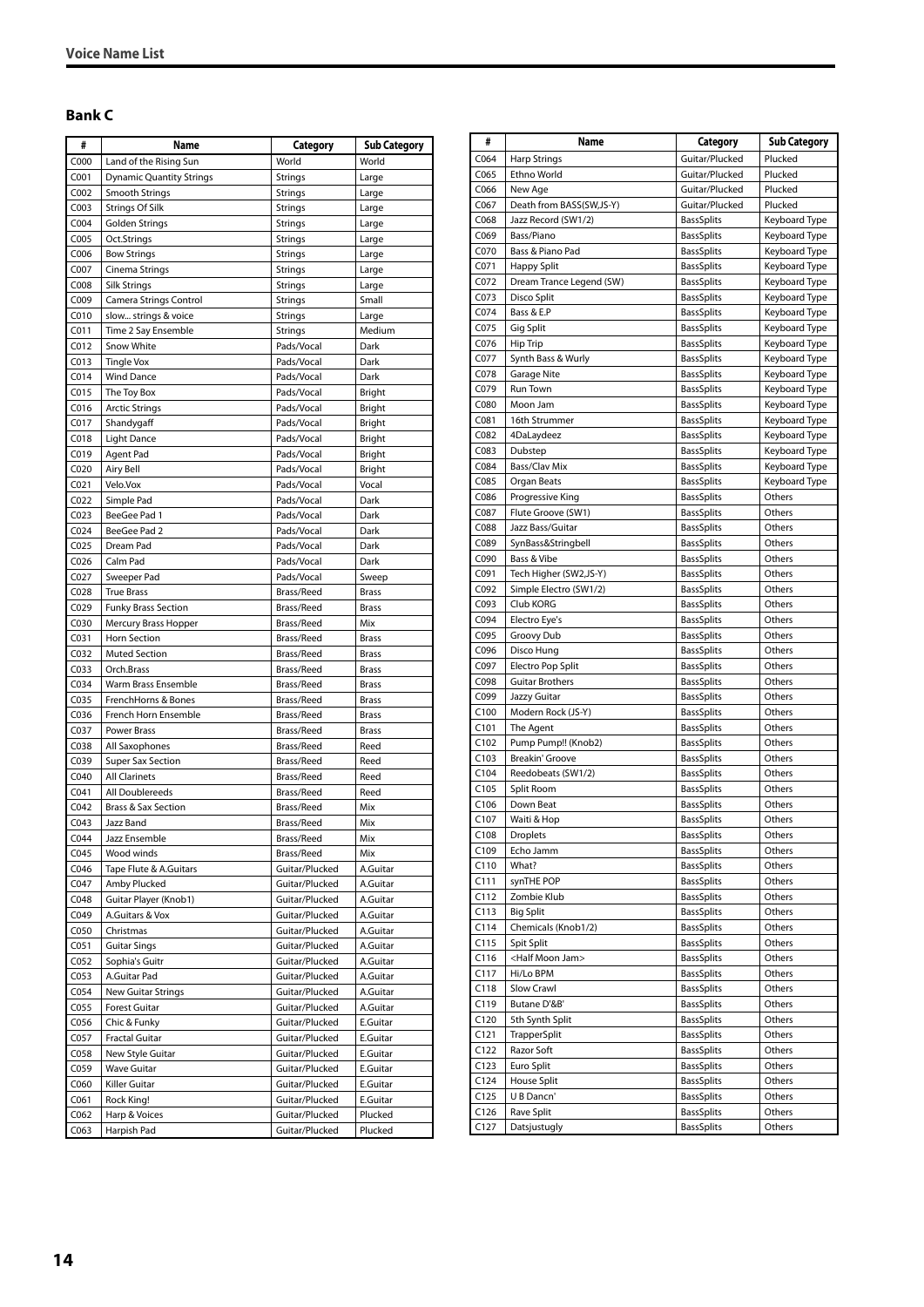#### <span id="page-13-0"></span>**Bank C**

| #                | Name                            | Category                         | <b>Sub Category</b>  |
|------------------|---------------------------------|----------------------------------|----------------------|
| C000             | Land of the Rising Sun          | World                            | World                |
| C <sub>001</sub> | <b>Dynamic Quantity Strings</b> | <b>Strings</b>                   | Large                |
| C002             | Smooth Strings                  | <b>Strings</b>                   | Large                |
| C003             | Strings Of Silk                 | Strings                          | Large                |
| C <sub>004</sub> | Golden Strings                  | <b>Strings</b>                   | Large                |
| C005             | Oct.Strings                     | Strings                          | Large                |
| C006             | <b>Bow Strings</b>              | <b>Strings</b>                   | Large                |
| C007             | Cinema Strings                  | Strings                          | Large                |
| C008             | Silk Strings                    | Strings                          | Large                |
| C009             | Camera Strings Control          | Strings                          | Small                |
| C010             | slow strings & voice            | <b>Strings</b>                   | Large                |
| C011             | Time 2 Say Ensemble             | <b>Strings</b>                   | Medium               |
| C012             | Snow White                      | Pads/Vocal                       | Dark                 |
| CO13             | <b>Tingle Vox</b>               | Pads/Vocal                       | Dark                 |
| CO14             | <b>Wind Dance</b>               | Pads/Vocal                       | Dark                 |
| C015             | The Toy Box                     | Pads/Vocal                       | Bright               |
| C016<br>C017     | <b>Arctic Strings</b>           | Pads/Vocal<br>Pads/Vocal         | Bright               |
| C018             | Shandygaff                      | Pads/Vocal                       | Bright               |
| C019             | <b>Light Dance</b><br>Agent Pad | Pads/Vocal                       | Bright<br>Bright     |
| C020             | Airy Bell                       | Pads/Vocal                       | Bright               |
| CO <sub>21</sub> | Velo.Vox                        | Pads/Vocal                       | Vocal                |
| C022             | Simple Pad                      | Pads/Vocal                       | Dark                 |
| C023             | BeeGee Pad 1                    | Pads/Vocal                       | Dark                 |
| CO <sub>24</sub> | BeeGee Pad 2                    | Pads/Vocal                       | Dark                 |
| C025             | Dream Pad                       | Pads/Vocal                       | Dark                 |
| C026             | Calm Pad                        | Pads/Vocal                       | Dark                 |
| C027             | Sweeper Pad                     | Pads/Vocal                       | Sweep                |
| C028             | <b>True Brass</b>               | Brass/Reed                       | <b>Brass</b>         |
| C029             | <b>Funky Brass Section</b>      | Brass/Reed                       | <b>Brass</b>         |
| C030             | Mercury Brass Hopper            | Brass/Reed                       | Mix                  |
| C031             | Horn Section                    | Brass/Reed                       | <b>Brass</b>         |
| C032             | <b>Muted Section</b>            | Brass/Reed                       | <b>Brass</b>         |
| C033             | Orch.Brass                      | Brass/Reed                       | Brass                |
| C034             | Warm Brass Ensemble             | Brass/Reed                       | <b>Brass</b>         |
| C035             | FrenchHorns & Bones             | Brass/Reed                       | <b>Brass</b>         |
| C036             | French Horn Ensemble            | Brass/Reed                       | <b>Brass</b>         |
| C037             | <b>Power Brass</b>              | Brass/Reed                       | <b>Brass</b>         |
| C038             | All Saxophones                  | Brass/Reed                       | Reed                 |
| C039             | <b>Super Sax Section</b>        | Brass/Reed                       | Reed                 |
| C040             | <b>All Clarinets</b>            | Brass/Reed                       | Reed                 |
| CO <sub>41</sub> | All Doublereeds                 | Brass/Reed                       | Reed                 |
| CO <sub>42</sub> | <b>Brass &amp; Sax Section</b>  | Brass/Reed                       | Mix                  |
| CO <sub>43</sub> | Jazz Band                       | Brass/Reed                       | Mix                  |
| C044             | Jazz Ensemble                   | Brass/Reed                       | Mix                  |
| C045             | Wood winds                      | Brass/Reed                       | Mix                  |
| C046             | Tape Flute & A.Guitars          | Guitar/Plucked                   | A.Guitar             |
| C047             | Amby Plucked                    | Guitar/Plucked                   | A.Guitar             |
| C048             | Guitar Player (Knob1)           | Guitar/Plucked                   | A.Guitar             |
| C049             | A.Guitars & Vox                 | Guitar/Plucked                   | A.Guitar             |
| C050             | Christmas                       | Guitar/Plucked                   | A.Guitar             |
| C051             | <b>Guitar Sings</b>             | Guitar/Plucked                   | A.Guitar             |
| C <sub>052</sub> | Sophia's Guitr                  | Guitar/Plucked                   | A.Guitar             |
| C053             | A.Guitar Pad                    | Guitar/Plucked                   | A.Guitar             |
| C054             | <b>New Guitar Strings</b>       | Guitar/Plucked                   | A.Guitar             |
| C055             | <b>Forest Guitar</b>            | Guitar/Plucked                   | A.Guitar             |
| C056             | Chic & Funky                    | Guitar/Plucked                   | E.Guitar             |
| C057<br>C058     | <b>Fractal Guitar</b>           | Guitar/Plucked                   | E.Guitar<br>E.Guitar |
| C059             | New Style Guitar<br>Wave Guitar | Guitar/Plucked<br>Guitar/Plucked |                      |
| C060             | Killer Guitar                   | Guitar/Plucked                   | E.Guitar<br>E.Guitar |
| C061             | Rock King!                      | Guitar/Plucked                   | E.Guitar             |
| C062             | Harp & Voices                   | Guitar/Plucked                   | Plucked              |
| C063             | Harpish Pad                     | Guitar/Plucked                   | Plucked              |
|                  |                                 |                                  |                      |

| #                | Name                                | Category                               | <b>Sub Category</b>            |  |
|------------------|-------------------------------------|----------------------------------------|--------------------------------|--|
| C064             | <b>Harp Strings</b>                 | Guitar/Plucked                         | Plucked                        |  |
| C065             | Ethno World                         | Guitar/Plucked                         | Plucked                        |  |
| C066             | New Age                             | Guitar/Plucked                         | Plucked                        |  |
| C067             | Death from BASS(SW,JS-Y)            | Guitar/Plucked                         | Plucked                        |  |
| C068             | Jazz Record (SW1/2)                 | <b>BassSplits</b>                      | Keyboard Type                  |  |
| C069             | Bass/Piano                          | <b>BassSplits</b>                      | Keyboard Type                  |  |
| C070             | Bass & Piano Pad                    | <b>BassSplits</b>                      | Keyboard Type                  |  |
| C071             | <b>Happy Split</b>                  | <b>BassSplits</b>                      | Keyboard Type                  |  |
| C072             | Dream Trance Legend (SW)            | <b>BassSplits</b>                      | Keyboard Type                  |  |
| C073<br>C074     | Disco Split                         | <b>BassSplits</b>                      | Keyboard Type                  |  |
| C075             | Bass & E.P                          | <b>BassSplits</b><br><b>BassSplits</b> | Keyboard Type                  |  |
| C076             | Gig Split<br>Hip Trip               | <b>BassSplits</b>                      | Keyboard Type<br>Keyboard Type |  |
| C077             | Synth Bass & Wurly                  | <b>BassSplits</b>                      | Keyboard Type                  |  |
| C078             | Garage Nite                         | <b>BassSplits</b>                      | Keyboard Type                  |  |
| C079             | Run Town                            | <b>BassSplits</b>                      | Keyboard Type                  |  |
| C080             | Moon Jam                            | <b>BassSplits</b>                      | Keyboard Type                  |  |
| C081             | 16th Strummer                       | <b>BassSplits</b>                      | Keyboard Type                  |  |
| C082             | 4DaLaydeez                          | <b>BassSplits</b>                      | Keyboard Type                  |  |
| C083             | Dubstep                             | <b>BassSplits</b>                      | Keyboard Type                  |  |
| C084             | Bass/Clav Mix                       | <b>BassSplits</b>                      | Keyboard Type                  |  |
| C085             | Organ Beats                         | <b>BassSplits</b>                      | Keyboard Type                  |  |
| C086             | Progressive King                    | <b>BassSplits</b>                      | Others                         |  |
| C087             | Flute Groove (SW1)                  | <b>BassSplits</b>                      | Others                         |  |
| C088             | Jazz Bass/Guitar                    | <b>BassSplits</b>                      | Others                         |  |
| C089             | SynBass&Stringbell                  | <b>BassSplits</b>                      | Others                         |  |
| C090<br>C091     | Bass & Vibe                         | <b>BassSplits</b>                      | Others                         |  |
| C092             | Tech Higher (SW2,JS-Y)              | <b>BassSplits</b><br><b>BassSplits</b> | Others<br>Others               |  |
| C093             | Simple Electro (SW1/2)<br>Club KORG | <b>BassSplits</b>                      | Others                         |  |
| C094             | Electro Eye's                       | <b>BassSplits</b>                      | Others                         |  |
| C095             | Groovy Dub                          | <b>BassSplits</b>                      | Others                         |  |
| C096             | Disco Hung                          | <b>BassSplits</b>                      | Others                         |  |
| C097             | Electro Pop Split                   | <b>BassSplits</b>                      | Others                         |  |
| C098             | <b>Guitar Brothers</b>              | <b>BassSplits</b>                      | Others                         |  |
| C099             | Jazzy Guitar                        | <b>BassSplits</b>                      | Others                         |  |
| C100             | Modern Rock (JS-Y)                  | <b>BassSplits</b>                      | Others                         |  |
| C <sub>101</sub> | The Agent                           | <b>BassSplits</b>                      | Others                         |  |
| C <sub>102</sub> | Pump Pump!! (Knob2)                 | <b>BassSplits</b>                      | Others                         |  |
| C103             | Breakin' Groove                     | <b>BassSplits</b>                      | Others                         |  |
| C104<br>C105     | Reedobeats (SW1/2)                  | <b>BassSplits</b>                      | Others                         |  |
| C <sub>106</sub> | Split Room<br>Down Beat             | <b>BassSplits</b><br><b>BassSplits</b> | Others<br>Others               |  |
| C <sub>107</sub> | Waiti & Hop                         | <b>BassSplits</b>                      | Others                         |  |
| C108             | <b>Droplets</b>                     | <b>BassSplits</b>                      | Others                         |  |
| C109             | Echo Jamm                           | <b>BassSplits</b>                      | Others                         |  |
| C110             | What?                               | <b>BassSplits</b>                      | Others                         |  |
| C111             | synTHE POP                          | <b>BassSplits</b>                      | Others                         |  |
| C112             | Zombie Klub                         | <b>BassSplits</b>                      | Others                         |  |
| C113             | <b>Big Split</b>                    | <b>BassSplits</b>                      | Others                         |  |
| C114             | Chemicals (Knob1/2)                 | <b>BassSplits</b>                      | Others                         |  |
| C115             | Spit Split                          | <b>BassSplits</b>                      | Others                         |  |
| C116             | <half jam="" moon=""></half>        | <b>BassSplits</b>                      | Others                         |  |
| C117             | Hi/Lo BPM                           | <b>BassSplits</b>                      | Others                         |  |
| C118             | Slow Crawl                          | <b>BassSplits</b>                      | Others                         |  |
| C119             | Butane D'&B'                        | <b>BassSplits</b>                      | Others                         |  |
| C120<br>C121     | 5th Synth Split                     | <b>BassSplits</b>                      | Others                         |  |
| C122             | TrapperSplit<br>Razor Soft          | <b>BassSplits</b><br><b>BassSplits</b> | Others<br>Others               |  |
| C123             | Euro Split                          | <b>BassSplits</b>                      | Others                         |  |
| C124             | House Split                         | <b>BassSplits</b>                      | Others                         |  |
| C125             | U B Dancn'                          | <b>BassSplits</b>                      | Others                         |  |
| C126             | Rave Split                          | <b>BassSplits</b>                      | Others                         |  |
| C127             | Datsjustugly                        | BassSplits                             | Others                         |  |
|                  |                                     |                                        |                                |  |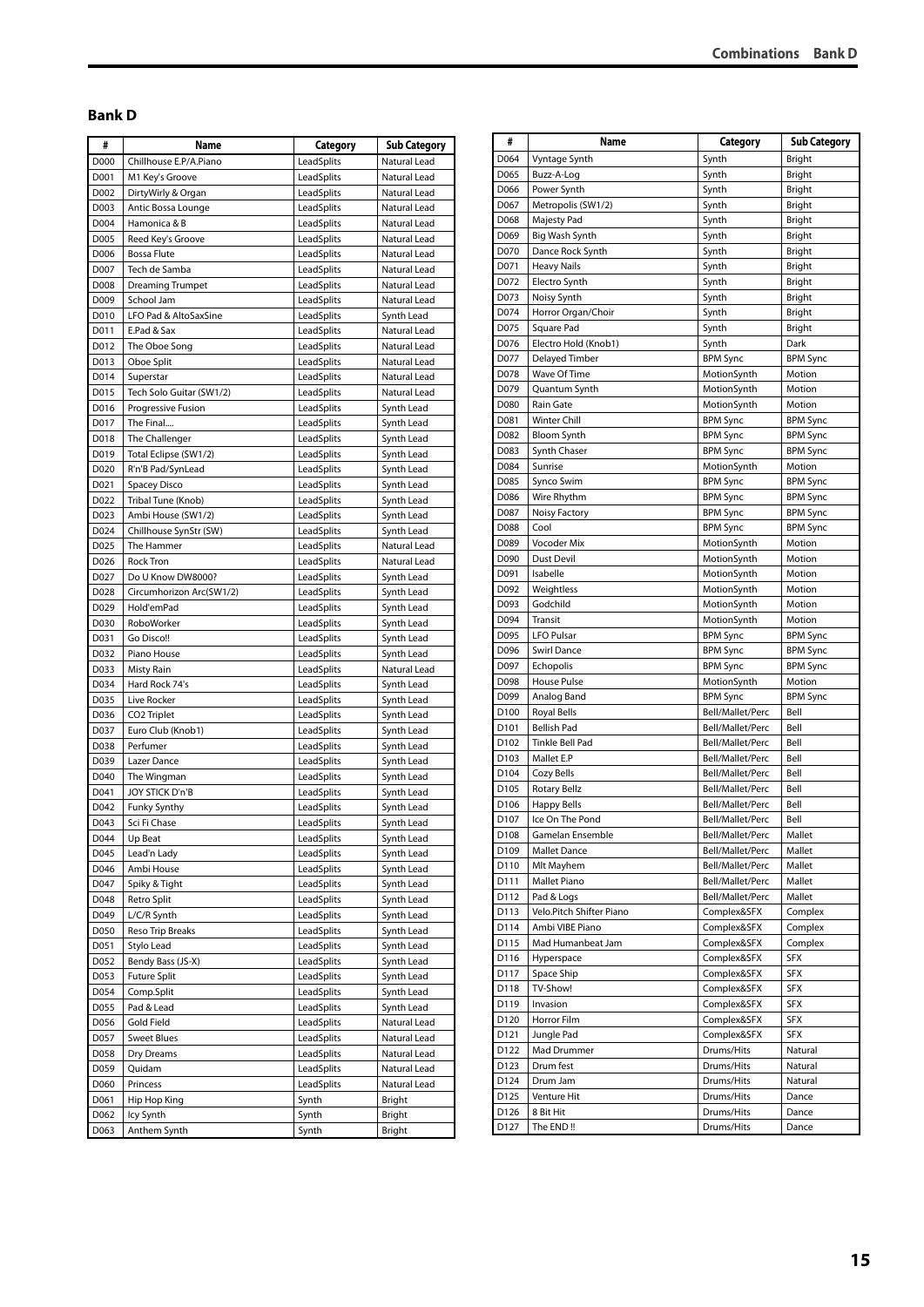#### **Combinations Bank D**

#### <span id="page-14-0"></span>**Bank D**

| #    | Name                     | Category   | <b>Sub Category</b> |
|------|--------------------------|------------|---------------------|
| D000 | Chillhouse E.P/A.Piano   | LeadSplits | Natural Lead        |
| D001 | M1 Key's Groove          | LeadSplits | Natural Lead        |
| D002 | DirtyWirly & Organ       | LeadSplits | Natural Lead        |
| D003 | Antic Bossa Lounge       | LeadSplits | Natural Lead        |
| D004 | Hamonica & B             | LeadSplits | Natural Lead        |
| D005 | Reed Key's Groove        | LeadSplits | Natural Lead        |
| D006 | <b>Bossa Flute</b>       | LeadSplits | Natural Lead        |
| D007 | Tech de Samba            | LeadSplits | Natural Lead        |
| D008 | <b>Dreaming Trumpet</b>  | LeadSplits | Natural Lead        |
| D009 | School Jam               | LeadSplits | Natural Lead        |
| D010 | LFO Pad & AltoSaxSine    | LeadSplits | Synth Lead          |
| D011 | E.Pad & Sax              | LeadSplits | Natural Lead        |
| D012 | The Oboe Song            | LeadSplits | Natural Lead        |
| D013 | Oboe Split               | LeadSplits | Natural Lead        |
| D014 | Superstar                | LeadSplits | Natural Lead        |
| D015 | Tech Solo Guitar (SW1/2) | LeadSplits | Natural Lead        |
| D016 | Progressive Fusion       | LeadSplits | Synth Lead          |
| D017 | The Final                | LeadSplits | Synth Lead          |
| D018 | The Challenger           | LeadSplits | Synth Lead          |
| D019 | Total Eclipse (SW1/2)    | LeadSplits | Synth Lead          |
| D020 | R'n'B Pad/SynLead        | LeadSplits | Synth Lead          |
| D021 | Spacey Disco             | LeadSplits | Synth Lead          |
| D022 | Tribal Tune (Knob)       | LeadSplits | Synth Lead          |
| D023 | Ambi House (SW1/2)       | LeadSplits | Synth Lead          |
| D024 | Chillhouse SynStr (SW)   | LeadSplits | Synth Lead          |
| D025 | The Hammer               | LeadSplits | Natural Lead        |
| D026 | Rock Tron                | LeadSplits | Natural Lead        |
| D027 | Do U Know DW8000?        | LeadSplits | Synth Lead          |
| D028 | Circumhorizon Arc(SW1/2) | LeadSplits | Synth Lead          |
| D029 | Hold'emPad               | LeadSplits | Synth Lead          |
| D030 | RoboWorker               | LeadSplits | Synth Lead          |
| D031 | Go Disco!!               | LeadSplits | Synth Lead          |
| D032 | Piano House              | LeadSplits | Synth Lead          |
| D033 | <b>Misty Rain</b>        | LeadSplits | Natural Lead        |
| D034 | Hard Rock 74's           | LeadSplits | Synth Lead          |
| D035 | Live Rocker              | LeadSplits | Synth Lead          |
| D036 | CO <sub>2</sub> Triplet  | LeadSplits | Synth Lead          |
| D037 | Euro Club (Knob1)        | LeadSplits | Synth Lead          |
| D038 | Perfumer                 | LeadSplits | Synth Lead          |
| D039 | Lazer Dance              | LeadSplits | Synth Lead          |
| D040 | The Wingman              | LeadSplits | Synth Lead          |
| D041 | JOY STICK D'n'B          | LeadSplits | Synth Lead          |
| D042 | Funky Synthy             | LeadSplits | Synth Lead          |
| D043 | Sci Fi Chase             | LeadSplits | Synth Lead          |
| D044 | Up Beat                  | LeadSplits | Synth Lead          |
| D045 | Lead'n Lady              | LeadSplits | Synth Lead          |
| D046 | Ambi House               | LeadSplits | Synth Lead          |
| D047 | Spiky & Tight            | LeadSplits | Synth Lead          |
| D048 | Retro Split              | LeadSplits | Synth Lead          |
| D049 | L/C/R Synth              | LeadSplits | Synth Lead          |
| D050 | Reso Trip Breaks         | LeadSplits | Synth Lead          |
| D051 | Stylo Lead               | LeadSplits | Synth Lead          |
| D052 | Bendy Bass (JS-X)        | LeadSplits | Synth Lead          |
| D053 | <b>Future Split</b>      | LeadSplits | Synth Lead          |
| D054 | Comp.Split               | LeadSplits | Synth Lead          |
| D055 | Pad & Lead               | LeadSplits | Synth Lead          |
| D056 | Gold Field               | LeadSplits | Natural Lead        |
| D057 | <b>Sweet Blues</b>       | LeadSplits | Natural Lead        |
| D058 | Dry Dreams               | LeadSplits | Natural Lead        |
| D059 | Quidam                   | LeadSplits | Natural Lead        |
| D060 | Princess                 | LeadSplits | Natural Lead        |
| D061 | Hip Hop King             | Synth      | Bright              |
| D062 | Icy Synth                | Synth      | Bright              |
| D063 | Anthem Synth             | Synth      | Bright              |
|      |                          |            |                     |

| #                | Name                                   | Category                             | <b>Sub Category</b> |
|------------------|----------------------------------------|--------------------------------------|---------------------|
| D064             | Vyntage Synth                          | Synth                                | Bright              |
| D065             | Buzz-A-Log                             | Synth                                | Bright              |
| D066             | Power Synth                            | Synth                                | Bright              |
| D067             | Metropolis (SW1/2)                     | Synth                                | <b>Bright</b>       |
| D068             | Majesty Pad                            | Synth                                | Bright              |
| D069             | Big Wash Synth                         | Synth                                | Bright              |
| D070             | Dance Rock Synth                       | Synth                                | Bright              |
| D071             | <b>Heavy Nails</b>                     | Synth                                | Bright              |
| D072             | Electro Synth                          | Synth                                | Bright              |
| D073             | Noisy Synth                            | Synth                                | Bright              |
| D074             | Horror Organ/Choir                     | Synth                                | Bright              |
| D075             | Square Pad                             | Synth                                | Bright              |
| D076             | Electro Hold (Knob1)                   | Synth                                | Dark                |
| D077             | Delayed Timber                         | <b>BPM Sync</b>                      | <b>BPM Sync</b>     |
| D078             | Wave Of Time                           | MotionSynth                          | Motion              |
| D079             | Quantum Synth                          | MotionSynth                          | Motion              |
| D080             | Rain Gate                              | MotionSynth                          | Motion              |
| D081             | Winter Chill                           | <b>BPM Sync</b>                      | <b>BPM Sync</b>     |
| D082             | <b>Bloom Synth</b>                     | <b>BPM Sync</b>                      | <b>BPM Sync</b>     |
| D083             | Synth Chaser                           | <b>BPM Sync</b>                      | <b>BPM Sync</b>     |
| D084             | Sunrise                                | MotionSynth                          | Motion              |
| D085             | Synco Swim                             | <b>BPM Sync</b>                      | <b>BPM Sync</b>     |
| D086             | Wire Rhythm                            | <b>BPM Sync</b>                      | <b>BPM Sync</b>     |
| D087             | Noisy Factory                          | <b>BPM Sync</b>                      | <b>BPM Sync</b>     |
| D088             | Cool                                   | <b>BPM Sync</b>                      | <b>BPM Sync</b>     |
| D089             | Vocoder Mix                            | MotionSynth                          | Motion              |
| D090             | Dust Devil                             | MotionSynth                          | Motion              |
| D091             | Isabelle                               | MotionSynth                          | Motion              |
| D092             | Weightless                             | MotionSynth                          | Motion              |
| D093             | Godchild                               | MotionSynth                          | Motion              |
| D094             | Transit                                | MotionSynth                          | Motion              |
| D095             | <b>LFO Pulsar</b>                      | BPM Sync                             | BPM Sync            |
| D096             | <b>Swirl Dance</b>                     | <b>BPM Sync</b>                      | <b>BPM Sync</b>     |
| D097             | Echopolis                              | <b>BPM Sync</b>                      | <b>BPM Sync</b>     |
| D098             | House Pulse                            | MotionSynth                          | Motion              |
| D099             | Analog Band                            | <b>BPM Sync</b>                      | <b>BPM Sync</b>     |
| D <sub>100</sub> | <b>Royal Bells</b>                     | Bell/Mallet/Perc                     | Bell                |
| D <sub>101</sub> | <b>Bellish Pad</b>                     | Bell/Mallet/Perc                     | Bell                |
| D <sub>102</sub> | <b>Tinkle Bell Pad</b>                 | Bell/Mallet/Perc                     | Bell                |
| D <sub>103</sub> | Mallet E.P                             | Bell/Mallet/Perc                     | Bell                |
| D104             | Cozy Bells                             | Bell/Mallet/Perc                     | Bell                |
| D105             | <b>Rotary Bellz</b>                    | Bell/Mallet/Perc                     | Bell                |
| D106             | <b>Happy Bells</b>                     | Bell/Mallet/Perc                     | Bell                |
| D107             | Ice On The Pond                        | Bell/Mallet/Perc                     | Bell                |
| D108             | Gamelan Ensemble                       | Bell/Mallet/Perc                     | Mallet              |
| D109             | <b>Mallet Dance</b><br>Mlt Mayhem      | Bell/Mallet/Perc                     | Mallet              |
| D110<br>D111     | Mallet Piano                           | Bell/Mallet/Perc<br>Bell/Mallet/Perc | Mallet<br>Mallet    |
| D112             |                                        |                                      | Mallet              |
| D113             | Pad & Logs<br>Velo.Pitch Shifter Piano | Bell/Mallet/Perc<br>Complex&SFX      | Complex             |
| D114             | Ambi VIBE Piano                        | Complex&SFX                          | Complex             |
| D115             | Mad Humanbeat Jam                      | Complex&SFX                          | Complex             |
| D116             | Hyperspace                             | Complex&SFX                          | SFX                 |
| D117             | Space Ship                             | Complex&SFX                          | <b>SFX</b>          |
| D118             | TV-Show!                               | Complex&SFX                          | SFX                 |
| D119             | Invasion                               | Complex&SFX                          | <b>SFX</b>          |
| D120             | Horror Film                            | Complex&SFX                          | <b>SFX</b>          |
| D121             | Jungle Pad                             | Complex&SFX                          | <b>SFX</b>          |
| D122             | Mad Drummer                            | Drums/Hits                           | Natural             |
| D123             | Drum fest                              | Drums/Hits                           | Natural             |
| D124             | Drum Jam                               | Drums/Hits                           | Natural             |
| D125             | Venture Hit                            | Drums/Hits                           | Dance               |
| D126             | 8 Bit Hit                              | Drums/Hits                           | Dance               |
| D127             | The END !!                             | Drums/Hits                           | Dance               |
|                  |                                        |                                      |                     |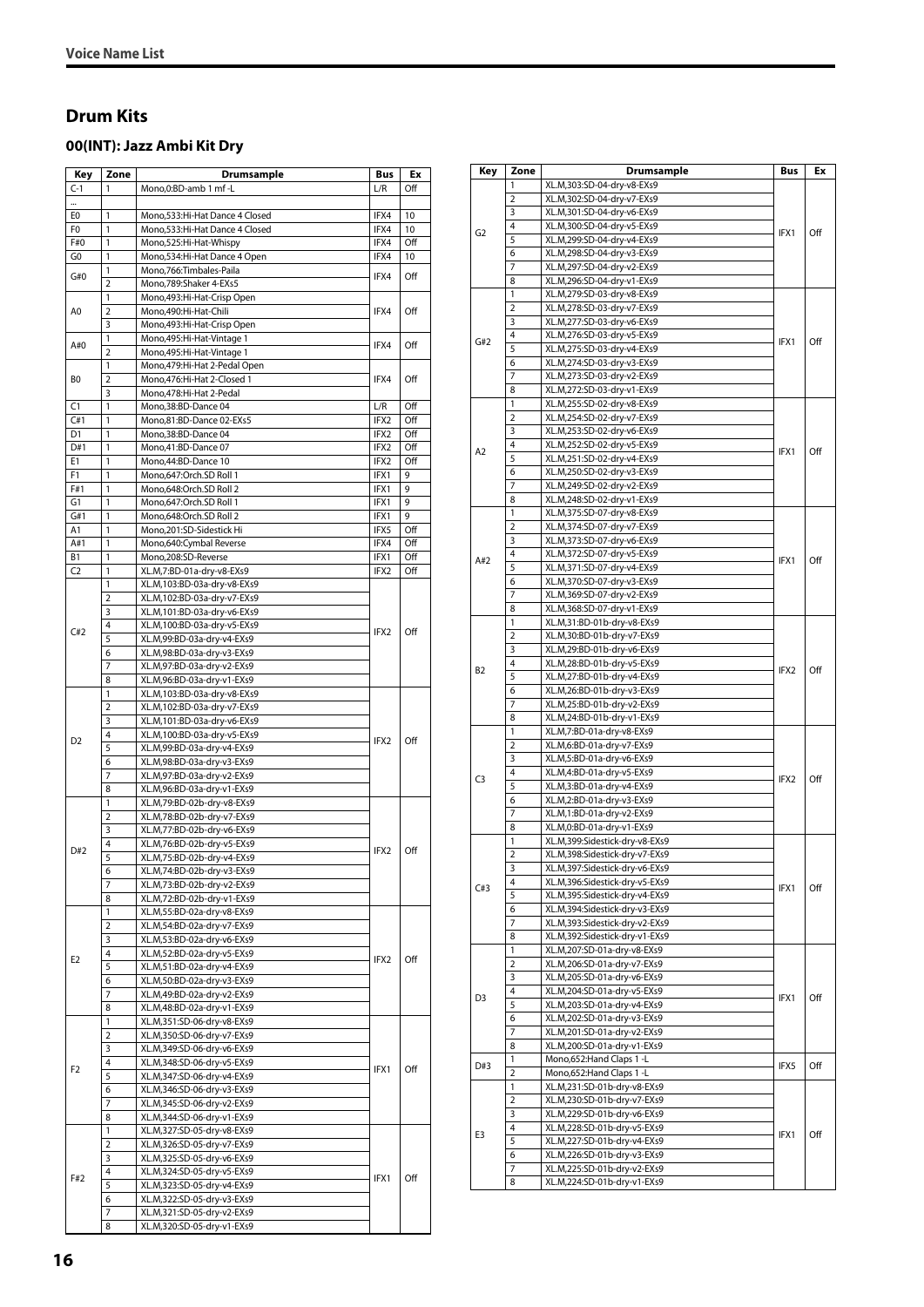#### <span id="page-15-0"></span>**Drum Kits**

 $\overline{a}$ 

#### <span id="page-15-1"></span>**00(INT): Jazz Ambi Kit Dry**

| Key            | Zone           | Drumsample                     | Bus                                                                                                                                                                 | Еx  |
|----------------|----------------|--------------------------------|---------------------------------------------------------------------------------------------------------------------------------------------------------------------|-----|
| $C-1$          | 1              | Mono,0:BD-amb 1 mf -L          | L/R                                                                                                                                                                 | Off |
|                |                |                                |                                                                                                                                                                     |     |
| E0             | 1              | Mono,533:Hi-Hat Dance 4 Closed | IFX4                                                                                                                                                                | 10  |
| F0             | 1              | Mono,533:Hi-Hat Dance 4 Closed | IFX4                                                                                                                                                                | 10  |
| F#0            | 1              | Mono,525:Hi-Hat-Whispy         | IFX4                                                                                                                                                                | Off |
| G0             | 1              | Mono, 534: Hi-Hat Dance 4 Open | IFX4                                                                                                                                                                | 10  |
|                | 1              | Mono, 766: Timbales-Paila      |                                                                                                                                                                     |     |
| G#0            | $\overline{2}$ | Mono,789:Shaker 4-EXs5         |                                                                                                                                                                     | Off |
|                | 1              | Mono, 493: Hi-Hat-Crisp Open   |                                                                                                                                                                     |     |
| A0             | $\overline{2}$ | Mono,490:Hi-Hat-Chili          | IFX4                                                                                                                                                                | Off |
|                | 3              | Mono, 493: Hi-Hat-Crisp Open   |                                                                                                                                                                     |     |
|                | 1              | Mono, 495: Hi-Hat-Vintage 1    |                                                                                                                                                                     |     |
| A#0            | $\overline{2}$ | Mono, 495: Hi-Hat-Vintage 1    |                                                                                                                                                                     | Off |
|                | 1              | Mono, 479: Hi-Hat 2-Pedal Open |                                                                                                                                                                     |     |
| B0             | $\overline{2}$ | Mono, 476: Hi-Hat 2-Closed 1   | IFX4                                                                                                                                                                | Off |
|                | 3              | Mono, 478: Hi-Hat 2-Pedal      | IFX4<br>IFX4<br>L/R<br>IFX2<br>IFX2<br>IFX2<br>IFX2<br>IFX1<br>IFX1<br>IFX1<br>IFX1<br>IFX5<br>IFX4<br>IFX1<br>IFX2<br>IFX2<br>IFX2<br>IFX2<br>IFX2<br>IFX1<br>IFX1 |     |
| C1             | $\mathbf{1}$   | Mono, 38: BD-Dance 04          |                                                                                                                                                                     | Off |
| C#1            | 1              | Mono,81:BD-Dance 02-EXs5       |                                                                                                                                                                     | Off |
| D1             | 1              | Mono, 38: BD-Dance 04          |                                                                                                                                                                     | Off |
| D#1            | 1              | Mono,41:BD-Dance 07            |                                                                                                                                                                     | Off |
| E1             | 1              | Mono, 44: BD-Dance 10          |                                                                                                                                                                     | Off |
| F1             | 1              | Mono,647:Orch.SD Roll 1        |                                                                                                                                                                     | 9   |
| F#1            | 1              | Mono,648:Orch.SD Roll 2        |                                                                                                                                                                     | 9   |
| G1             | 1              | Mono,647:Orch.SD Roll 1        |                                                                                                                                                                     | 9   |
| G#1            | 1              | Mono,648:Orch.SD Roll 2        |                                                                                                                                                                     | 9   |
| A1             | 1              | Mono,201:SD-Sidestick Hi       |                                                                                                                                                                     | Off |
| A#1            | 1              | Mono,640:Cymbal Reverse        |                                                                                                                                                                     | Off |
| В1             | 1              | Mono,208:SD-Reverse            |                                                                                                                                                                     | Off |
| C <sub>2</sub> | 1              | XL.M,7:BD-01a-dry-v8-EXs9      |                                                                                                                                                                     | Off |
|                | 1              | XL.M,103:BD-03a-dry-v8-EXs9    |                                                                                                                                                                     |     |
|                |                |                                |                                                                                                                                                                     |     |
|                | 2              | XL.M,102:BD-03a-dry-v7-EXs9    |                                                                                                                                                                     |     |
|                | 3              | XL.M,101:BD-03a-dry-v6-EXs9    |                                                                                                                                                                     |     |
| C#2            | 4              | XL.M,100:BD-03a-dry-v5-EXs9    |                                                                                                                                                                     | Off |
|                | 5              | XL.M,99:BD-03a-dry-v4-EXs9     |                                                                                                                                                                     |     |
|                | 6              | XL.M,98:BD-03a-dry-v3-EXs9     |                                                                                                                                                                     |     |
|                | 7              | XL.M,97:BD-03a-dry-v2-EXs9     |                                                                                                                                                                     |     |
|                | 8              | XL.M,96:BD-03a-dry-v1-EXs9     |                                                                                                                                                                     |     |
|                | 1              | XL.M,103:BD-03a-dry-v8-EXs9    |                                                                                                                                                                     |     |
|                | 2              | XL.M,102:BD-03a-dry-v7-EXs9    |                                                                                                                                                                     |     |
|                | 3              | XL.M,101:BD-03a-dry-v6-EXs9    |                                                                                                                                                                     | Off |
| D <sub>2</sub> | 4              | XL.M,100:BD-03a-dry-v5-EXs9    |                                                                                                                                                                     |     |
|                | 5              | XL.M,99:BD-03a-dry-v4-EXs9     |                                                                                                                                                                     |     |
|                | 6              | XL.M,98:BD-03a-dry-v3-EXs9     |                                                                                                                                                                     |     |
|                | 7              | XL.M,97:BD-03a-dry-v2-EXs9     |                                                                                                                                                                     |     |
|                | 8              | XL.M,96:BD-03a-dry-v1-EXs9     |                                                                                                                                                                     |     |
|                | 1              | XL.M,79:BD-02b-dry-v8-EXs9     |                                                                                                                                                                     |     |
|                | $\overline{2}$ | XL.M,78:BD-02b-dry-v7-EXs9     |                                                                                                                                                                     |     |
|                | 3              | XL.M,77:BD-02b-dry-v6-EXs9     |                                                                                                                                                                     |     |
| D#2            | 4              | XL.M,76:BD-02b-dry-v5-EXs9     |                                                                                                                                                                     | Off |
|                | 5              | XL.M,75:BD-02b-dry-v4-EXs9     |                                                                                                                                                                     |     |
|                | 6              | XL.M,74:BD-02b-dry-v3-EXs9     |                                                                                                                                                                     |     |
|                | 7              | XL.M,73:BD-02b-dry-v2-EXs9     |                                                                                                                                                                     |     |
|                | 8              | XL.M,72:BD-02b-dry-v1-EXs9     |                                                                                                                                                                     |     |
|                | 1              | XL.M,55:BD-02a-dry-v8-EXs9     |                                                                                                                                                                     |     |
|                | 2              | XL.M,54:BD-02a-dry-v7-EXs9     |                                                                                                                                                                     |     |
|                | 3              | XL.M,53:BD-02a-dry-v6-EXs9     |                                                                                                                                                                     |     |
|                | 4              | XL.M,52:BD-02a-dry-v5-EXs9     |                                                                                                                                                                     |     |
| E <sub>2</sub> | 5              | XL.M,51:BD-02a-dry-v4-EXs9     |                                                                                                                                                                     | Off |
|                | 6              | XL.M,50:BD-02a-dry-v3-EXs9     |                                                                                                                                                                     |     |
|                | 7              | XL.M,49:BD-02a-dry-v2-EXs9     |                                                                                                                                                                     |     |
|                | 8              | XL.M,48:BD-02a-dry-v1-EXs9     |                                                                                                                                                                     |     |
|                | 1              | XL.M,351:SD-06-dry-v8-EXs9     |                                                                                                                                                                     |     |
|                | 2              | XL.M,350:SD-06-dry-v7-EXs9     |                                                                                                                                                                     |     |
|                | 3              | XL.M,349:SD-06-dry-v6-EXs9     |                                                                                                                                                                     |     |
|                |                |                                |                                                                                                                                                                     |     |
| F2             | 4              | XL.M,348:SD-06-dry-v5-EXs9     |                                                                                                                                                                     | Off |
|                | 5              | XL.M,347:SD-06-dry-v4-EXs9     |                                                                                                                                                                     |     |
|                | 6              | XL.M,346:SD-06-dry-v3-EXs9     |                                                                                                                                                                     |     |
|                | 7              | XL.M,345:SD-06-dry-v2-EXs9     |                                                                                                                                                                     |     |
|                | 8              | XL.M,344:SD-06-dry-v1-EXs9     |                                                                                                                                                                     |     |
|                | 1              | XL.M,327:SD-05-dry-v8-EXs9     |                                                                                                                                                                     |     |
|                | 2              | XL.M,326:SD-05-dry-v7-EXs9     |                                                                                                                                                                     |     |
|                | 3              | XL.M,325:SD-05-dry-v6-EXs9     |                                                                                                                                                                     |     |
| F#2            | 4              | XL.M,324:SD-05-dry-v5-EXs9     |                                                                                                                                                                     | Off |
|                | 5              | XL.M,323:SD-05-dry-v4-EXs9     |                                                                                                                                                                     |     |
|                | 6              | XL.M,322:SD-05-dry-v3-EXs9     |                                                                                                                                                                     |     |
|                | 7              | XL.M,321:SD-05-dry-v2-EXs9     |                                                                                                                                                                     |     |
|                | 8              | XL.M,320:SD-05-dry-v1-EXs9     |                                                                                                                                                                     |     |

| Key            | Zone           | <b>Drumsample</b>                                          | Bus              | Ex  |
|----------------|----------------|------------------------------------------------------------|------------------|-----|
|                | 1              | XL.M,303:SD-04-dry-v8-EXs9                                 |                  |     |
|                | 2              | XL.M,302:SD-04-dry-v7-EXs9                                 |                  |     |
|                | 3              | XL.M,301:SD-04-dry-v6-EXs9                                 |                  |     |
| G <sub>2</sub> | 4              | XL.M,300:SD-04-dry-v5-EXs9                                 | IFX1             | Off |
|                | 5              | XL.M,299:SD-04-dry-v4-EXs9                                 |                  |     |
|                | 6              | XL.M,298:SD-04-dry-v3-EXs9                                 |                  |     |
|                | 7              | XL.M,297:SD-04-dry-v2-EXs9                                 |                  |     |
|                | 8              | XL.M,296:SD-04-dry-v1-EXs9                                 |                  |     |
|                | 1              | XL.M,279:SD-03-dry-v8-EXs9                                 |                  |     |
|                | 2<br>3         | XL.M,278:SD-03-dry-v7-EXs9<br>XL.M,277:SD-03-dry-v6-EXs9   |                  |     |
|                | 4              | XL.M,276:SD-03-dry-v5-EXs9                                 |                  |     |
| G#2            | 5              | XL.M,275:SD-03-dry-v4-EXs9                                 | IFX1             | Off |
|                | 6              | XL.M,274:SD-03-dry-v3-EXs9                                 |                  |     |
|                | 7              | XL.M,273:SD-03-dry-v2-EXs9                                 |                  |     |
|                | 8              | XL.M,272:SD-03-dry-v1-EXs9                                 |                  |     |
|                | 1              | XL.M,255:SD-02-dry-v8-EXs9                                 |                  |     |
|                | $\overline{2}$ | XL.M,254:SD-02-dry-v7-EXs9                                 |                  |     |
|                | 3              | XL.M,253:SD-02-dry-v6-EXs9                                 |                  |     |
| A <sub>2</sub> | 4              | XL.M,252:SD-02-dry-v5-EXs9                                 | IFX1             | Off |
|                | 5              | XL.M,251:SD-02-dry-v4-EXs9                                 |                  |     |
|                | 6              | XL.M,250:SD-02-dry-v3-EXs9                                 |                  |     |
|                | 7              | XL.M,249:SD-02-dry-v2-EXs9                                 |                  |     |
|                | 8              | XL.M,248:SD-02-dry-v1-EXs9                                 |                  |     |
|                | 1              | XL.M,375:SD-07-dry-v8-EXs9                                 |                  |     |
|                | $\overline{2}$ | XL.M,374:SD-07-dry-v7-EXs9                                 |                  |     |
|                | 3              | XL.M,373:SD-07-dry-v6-EXs9                                 |                  |     |
| A#2            | 4<br>5         | XL.M,372:SD-07-dry-v5-EXs9<br>XL.M,371:SD-07-dry-v4-EXs9   | IFX1             | Off |
|                | 6              | XL.M,370:SD-07-dry-v3-EXs9                                 |                  |     |
|                | 7              | XL.M,369:SD-07-dry-v2-EXs9                                 |                  |     |
|                | 8              | XL.M,368:SD-07-dry-v1-EXs9                                 |                  |     |
|                | 1              | XL.M,31:BD-01b-dry-v8-EXs9                                 |                  |     |
|                | $\overline{2}$ | XL.M,30:BD-01b-dry-v7-EXs9                                 |                  |     |
|                | 3              | XL.M,29:BD-01b-dry-v6-EXs9                                 |                  |     |
| B <sub>2</sub> | 4              | XL.M,28:BD-01b-dry-v5-EXs9                                 | IFX <sub>2</sub> | Off |
|                | 5              | XL.M,27:BD-01b-dry-v4-EXs9                                 |                  |     |
|                | 6              | XL.M,26:BD-01b-dry-v3-EXs9                                 |                  |     |
|                | 7              | XL.M,25:BD-01b-dry-v2-EXs9                                 |                  |     |
|                | 8              | XL.M,24:BD-01b-dry-v1-EXs9                                 |                  |     |
|                | 1              | XL.M,7:BD-01a-dry-v8-EXs9                                  |                  |     |
|                | 2              | XL.M,6:BD-01a-dry-v7-EXs9                                  |                  |     |
|                | 3              | XL.M,5:BD-01a-dry-v6-EXs9                                  |                  |     |
| C3             | 4<br>5         | XL.M,4:BD-01a-dry-v5-EXs9<br>XL.M,3:BD-01a-dry-v4-EXs9     | IFX2             | Off |
|                | 6              | XL.M,2:BD-01a-dry-v3-EXs9                                  |                  |     |
|                | 7              | XL.M,1:BD-01a-dry-v2-EXs9                                  |                  |     |
|                | 8              | XL.M,0:BD-01a-dry-v1-EXs9                                  |                  |     |
|                | 1              | XL.M,399:Sidestick-dry-v8-EXs9                             |                  |     |
|                | <b>C</b>       | XL.M,398:Sidestick-dry-v7-EXs9                             |                  |     |
|                | 3              | XL.M,397:Sidestick-dry-v6-EXs9                             |                  |     |
| C#3            | 4              | XL.M,396:Sidestick-dry-v5-EXs9                             | IFX1             | Off |
|                | 5              | XL.M,395:Sidestick-dry-v4-EXs9                             |                  |     |
|                | 6              | XL.M,394:Sidestick-dry-v3-EXs9                             |                  |     |
|                | 7              | XL.M,393:Sidestick-dry-v2-EXs9                             |                  |     |
|                | 8              | XL.M,392:Sidestick-dry-v1-EXs9                             |                  |     |
|                | 1              | XL.M,207:SD-01a-dry-v8-EXs9                                |                  |     |
|                | 2              | XL.M,206:SD-01a-dry-v7-EXs9                                |                  |     |
|                | 3<br>4         | XL.M,205:SD-01a-dry-v6-EXs9                                |                  |     |
| D3             | 5              | XL.M,204:SD-01a-dry-v5-EXs9<br>XL.M,203:SD-01a-dry-v4-EXs9 | IFX1             | Off |
|                | 6              | XL.M,202:SD-01a-dry-v3-EXs9                                |                  |     |
|                | 7              | XL.M,201:SD-01a-dry-v2-EXs9                                |                  |     |
|                | 8              | XL.M,200:SD-01a-dry-v1-EXs9                                |                  |     |
|                | 1              | Mono, 652: Hand Claps 1 - L                                |                  |     |
| D#3            | 2              | Mono,652: Hand Claps 1 - L                                 | IFX5             | Off |
|                | 1              | XL.M,231:SD-01b-dry-v8-EXs9                                |                  |     |
|                | 2              | XL.M,230:SD-01b-dry-v7-EXs9                                |                  |     |
|                | 3              | XL.M,229:SD-01b-dry-v6-EXs9                                |                  |     |
| E3             | 4              | XL.M,228:SD-01b-dry-v5-EXs9                                | IFX1             | Off |
|                | 5              | XL.M,227:SD-01b-dry-v4-EXs9                                |                  |     |
|                | 6              | XL.M,226:SD-01b-dry-v3-EXs9                                |                  |     |
|                | 7              | XL.M,225:SD-01b-dry-v2-EXs9                                |                  |     |
|                | 8              | XL.M,224:SD-01b-dry-v1-EXs9                                |                  |     |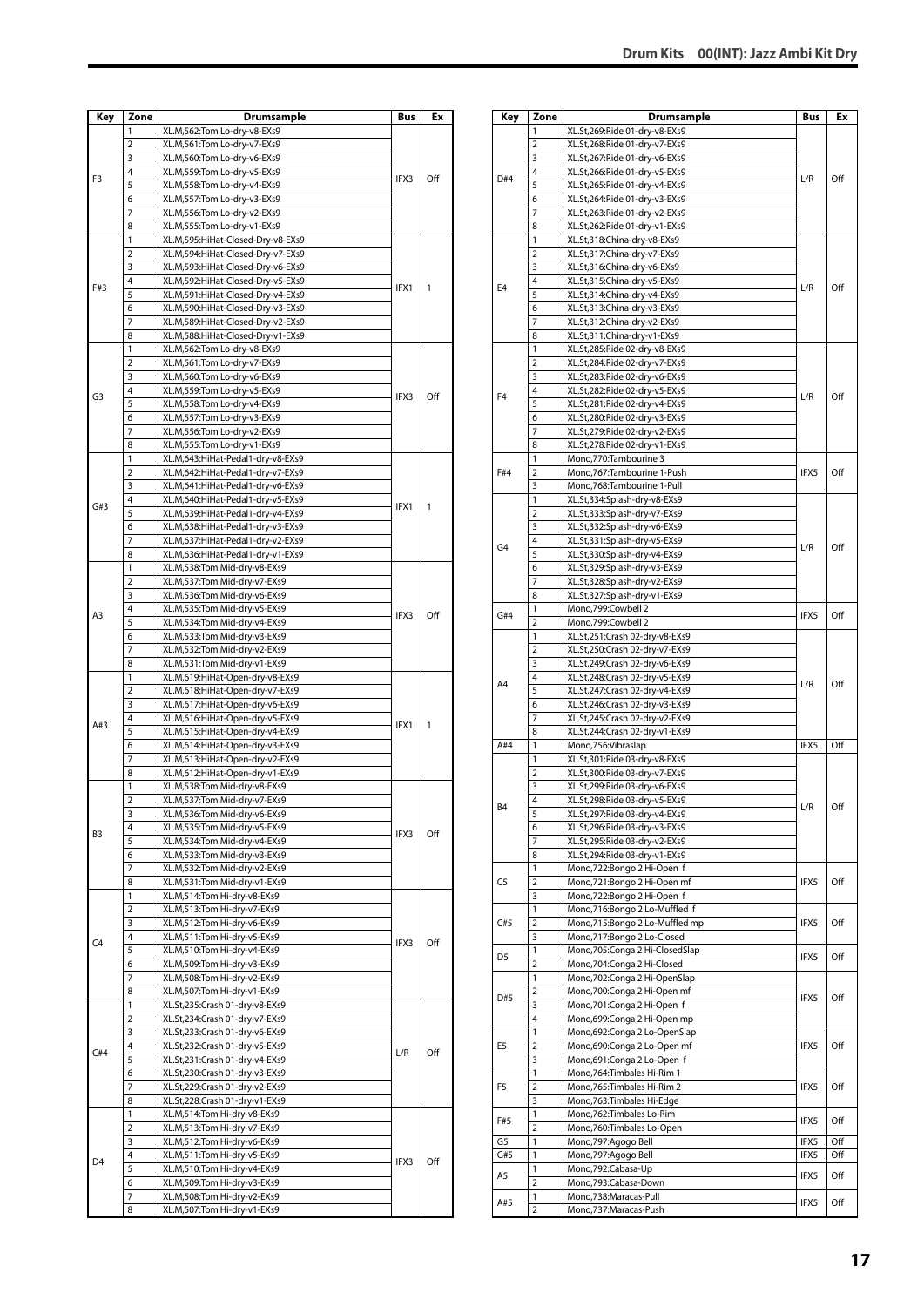| Key            | Zone                | <b>Drumsample</b>                                                      | Bus  | Ex  |
|----------------|---------------------|------------------------------------------------------------------------|------|-----|
|                | 1                   | XL.M,562:Tom Lo-dry-v8-EXs9                                            |      |     |
|                | $\overline{2}$      | XL.M,561:Tom Lo-dry-v7-EXs9                                            |      |     |
|                | 3                   | XL.M,560:Tom Lo-dry-v6-EXs9                                            |      |     |
| F3             | 4                   | XL.M,559:Tom Lo-dry-v5-EXs9                                            | IFX3 | Off |
|                | 5                   | XL.M,558:Tom Lo-dry-v4-EXs9                                            |      |     |
|                | 6                   | XL.M,557:Tom Lo-dry-v3-EXs9                                            |      |     |
|                | 7                   | XL.M,556:Tom Lo-dry-v2-EXs9                                            |      |     |
|                | 8                   | XL.M,555:Tom Lo-dry-v1-EXs9                                            |      |     |
|                | 1<br>$\overline{2}$ | XL.M,595:HiHat-Closed-Dry-v8-EXs9<br>XL.M,594:HiHat-Closed-Dry-v7-EXs9 |      |     |
|                | 3                   | XL.M,593:HiHat-Closed-Dry-v6-EXs9                                      |      |     |
|                | 4                   | XL.M,592:HiHat-Closed-Dry-v5-EXs9                                      |      |     |
| F#3            | 5                   | XL.M,591:HiHat-Closed-Dry-v4-EXs9                                      | IFX1 | 1   |
|                | 6                   | XL.M,590:HiHat-Closed-Dry-v3-EXs9                                      |      |     |
|                | 7                   | XL.M,589:HiHat-Closed-Dry-v2-EXs9                                      |      |     |
|                | 8                   | XL.M,588:HiHat-Closed-Dry-v1-EXs9                                      |      |     |
|                | 1                   | XL.M,562:Tom Lo-dry-v8-EXs9                                            |      |     |
|                | $\overline{2}$      | XL.M,561:Tom Lo-dry-v7-EXs9                                            |      |     |
|                | 3                   | XL.M,560:Tom Lo-dry-v6-EXs9                                            |      |     |
| G3             | 4                   | XL.M,559:Tom Lo-dry-v5-EXs9                                            | IFX3 | Off |
|                | 5                   | XL.M,558:Tom Lo-dry-v4-EXs9                                            |      |     |
|                | 6                   | XL.M,557:Tom Lo-dry-v3-EXs9                                            |      |     |
|                | 7                   | XL.M,556:Tom Lo-dry-v2-EXs9                                            |      |     |
|                | 8<br>1              | XL.M,555:Tom Lo-dry-v1-EXs9                                            |      |     |
|                | $\overline{2}$      | XL.M,643:HiHat-Pedal1-dry-v8-EXs9<br>XL.M,642:HiHat-Pedal1-dry-v7-EXs9 |      |     |
|                | 3                   | XL.M,641:HiHat-Pedal1-dry-v6-EXs9                                      |      |     |
|                | 4                   | XL.M,640:HiHat-Pedal1-dry-v5-EXs9                                      |      |     |
| G#3            | 5                   | XL.M,639:HiHat-Pedal1-dry-v4-EXs9                                      | IFX1 | 1   |
|                | 6                   | XL.M,638:HiHat-Pedal1-dry-v3-EXs9                                      |      |     |
|                | 7                   | XL.M,637:HiHat-Pedal1-dry-v2-EXs9                                      |      |     |
|                | 8                   | XL.M,636:HiHat-Pedal1-dry-v1-EXs9                                      |      |     |
|                | 1                   | XL.M,538:Tom Mid-dry-v8-EXs9                                           |      |     |
|                | 2                   | XL.M,537:Tom Mid-dry-v7-EXs9                                           |      |     |
|                | 3                   | XL.M,536:Tom Mid-dry-v6-EXs9                                           |      |     |
| A3             | 4                   | XL.M,535:Tom Mid-dry-v5-EXs9                                           | IFX3 | Off |
|                | 5                   | XL.M,534:Tom Mid-dry-v4-EXs9                                           |      |     |
|                | 6                   | XL.M,533:Tom Mid-dry-v3-EXs9                                           |      |     |
|                | 7                   | XL.M,532:Tom Mid-dry-v2-EXs9                                           |      |     |
|                | 8                   | XL.M,531:Tom Mid-dry-v1-EXs9                                           |      |     |
|                | 1<br>2              | XL.M,619:HiHat-Open-dry-v8-EXs9<br>XL.M,618:HiHat-Open-dry-v7-EXs9     |      |     |
|                | 3                   | XL.M,617:HiHat-Open-dry-v6-EXs9                                        |      |     |
|                | 4                   | XL.M,616:HiHat-Open-dry-v5-EXs9                                        |      |     |
| A#3            | 5                   | XL.M,615:HiHat-Open-dry-v4-EXs9                                        | IFX1 | 1   |
|                | 6                   | XL.M,614:HiHat-Open-dry-v3-EXs9                                        |      |     |
|                | 7                   | XL.M,613:HiHat-Open-dry-v2-EXs9                                        |      |     |
|                | 8                   | XL.M,612:HiHat-Open-dry-v1-EXs9                                        |      |     |
|                | 1                   | XL.M,538:Tom Mid-dry-v8-EXs9                                           |      |     |
|                | $\overline{2}$      | XL.M,537:Tom Mid-dry-v7-EXs9                                           |      |     |
|                | 3                   | XL.M,536:Tom Mid-dry-v6-EXs9                                           |      |     |
| B3             | 4                   | XL.M,535:Tom Mid-dry-v5-EXs9                                           | IFX3 | Off |
|                | 5                   | XL.M,534:Tom Mid-dry-v4-EXs9                                           |      |     |
|                | 6                   | XL.M,533:Tom Mid-dry-v3-EXs9                                           |      |     |
|                | 7<br>8              | XL.M,532:Tom Mid-dry-v2-EXs9                                           |      |     |
|                | 1                   | XL.M,531:Tom Mid-dry-v1-EXs9<br>XL.M,514:Tom Hi-dry-v8-EXs9            |      |     |
|                | 2                   | XL.M,513:Tom Hi-dry-v7-EXs9                                            |      |     |
|                | 3                   | XL.M,512:Tom Hi-dry-v6-EXs9                                            |      |     |
|                | 4                   | XL.M,511:Tom Hi-dry-v5-EXs9                                            |      |     |
| C4             | 5                   | XL.M,510:Tom Hi-dry-v4-EXs9                                            | IFX3 | Off |
|                | 6                   | XL.M,509:Tom Hi-dry-v3-EXs9                                            |      |     |
|                | 7                   | XL.M,508:Tom Hi-dry-v2-EXs9                                            |      |     |
|                | 8                   | XL.M,507:Tom Hi-dry-v1-EXs9                                            |      |     |
|                | 1                   | XL.St,235:Crash 01-dry-v8-EXs9                                         |      |     |
|                | 2                   | XL.St,234:Crash 01-dry-v7-EXs9                                         |      |     |
|                | 3                   | XL.St,233:Crash 01-dry-v6-EXs9                                         |      |     |
| C#4            | 4                   | XL.St,232:Crash 01-dry-v5-EXs9                                         | L/R  | Off |
|                | 5                   | XL.St,231:Crash 01-dry-v4-EXs9                                         |      |     |
|                | 6                   | XL.St,230:Crash 01-dry-v3-EXs9                                         |      |     |
|                | 7<br>8              | XL.St,229:Crash 01-dry-v2-EXs9<br>XL.St,228:Crash 01-dry-v1-EXs9       |      |     |
|                | 1                   | XL.M,514:Tom Hi-dry-v8-EXs9                                            |      |     |
|                | 2                   | XL.M,513:Tom Hi-dry-v7-EXs9                                            |      |     |
|                | 3                   | XL.M,512:Tom Hi-dry-v6-EXs9                                            |      |     |
|                | 4                   | XL.M,511:Tom Hi-dry-v5-EXs9                                            |      |     |
| D <sub>4</sub> | 5                   | XL.M,510:Tom Hi-dry-v4-EXs9                                            | IFX3 | Off |
|                | 6                   | XL.M,509:Tom Hi-dry-v3-EXs9                                            |      |     |
|                | 7                   | XL.M,508:Tom Hi-dry-v2-EXs9                                            |      |     |
|                | 8                   | XL.M,507:Tom Hi-dry-v1-EXs9                                            |      |     |

| Key            | Zone                | Drumsample                                                       | Bus  | Ex  |
|----------------|---------------------|------------------------------------------------------------------|------|-----|
|                | 1                   | XL.St,269:Ride 01-dry-v8-EXs9                                    |      |     |
|                | 2                   | XL.St,268:Ride 01-dry-v7-EXs9                                    |      |     |
|                | 3                   | XL.St,267:Ride 01-dry-v6-EXs9                                    |      |     |
| D#4            | 4                   | XL.St,266:Ride 01-dry-v5-EXs9                                    | L/R  | Off |
|                | 5                   | XL.St,265:Ride 01-dry-v4-EXs9                                    |      |     |
|                | 6                   | XL.St,264:Ride 01-dry-v3-EXs9                                    |      |     |
|                | 7                   | XL.St,263:Ride 01-dry-v2-EXs9                                    |      |     |
|                | 8                   | XL.St,262:Ride 01-dry-v1-EXs9                                    |      |     |
|                | 1                   | XL.St,318:China-dry-v8-EXs9                                      |      |     |
|                | 2                   | XL.St,317:China-dry-v7-EXs9                                      |      |     |
|                | 3                   | XL.St,316:China-dry-v6-EXs9                                      |      |     |
| E4             | 4                   | XL.St,315:China-dry-v5-EXs9                                      | L/R  | Off |
|                | 5                   | XL.St,314:China-dry-v4-EXs9                                      |      |     |
|                | 6                   | XL.St,313:China-dry-v3-EXs9                                      |      |     |
|                | 7<br>8              | XL.St,312:China-dry-v2-EXs9<br>XL.St,311:China-dry-v1-EXs9       |      |     |
|                | 1                   | XL.St,285:Ride 02-dry-v8-EXs9                                    |      |     |
|                | $\overline{2}$      | XL.St,284:Ride 02-dry-v7-EXs9                                    |      |     |
|                | 3                   | XL.St,283:Ride 02-dry-v6-EXs9                                    |      |     |
|                | 4                   | XL.St,282:Ride 02-dry-v5-EXs9                                    |      |     |
| F4             | 5                   | XL.St,281:Ride 02-dry-v4-EXs9                                    | L/R  | Off |
|                | 6                   | XL.St,280:Ride 02-dry-v3-EXs9                                    |      |     |
|                | 7                   | XL.St,279:Ride 02-dry-v2-EXs9                                    |      |     |
|                | 8                   | XL.St,278:Ride 02-dry-v1-EXs9                                    |      |     |
|                | 1                   | Mono,770:Tambourine 3                                            |      |     |
| F#4            | 2                   | Mono,767:Tambourine 1-Push                                       | IFX5 | Off |
|                | 3                   | Mono,768:Tambourine 1-Pull                                       |      |     |
|                | 1                   | XL.St,334:Splash-dry-v8-EXs9                                     |      |     |
|                | $\overline{2}$      | XL.St,333:Splash-dry-v7-EXs9                                     |      |     |
|                | 3                   | XL.St,332:Splash-dry-v6-EXs9                                     |      |     |
| G4             | 4                   | XL.St,331:Splash-dry-v5-EXs9                                     | L/R  | Off |
|                | 5                   | XL.St,330:Splash-dry-v4-EXs9                                     |      |     |
|                | 6                   | XL.St,329:Splash-dry-v3-EXs9                                     |      |     |
|                | 7                   | XL.St,328:Splash-dry-v2-EXs9                                     |      |     |
|                | 8                   | XL.St,327:Splash-dry-v1-EXs9                                     |      |     |
| G#4            | 1                   | Mono,799:Cowbell 2                                               | IFX5 | Off |
|                | $\overline{2}$      | Mono,799:Cowbell 2                                               |      |     |
|                | 1                   | XL.St,251:Crash 02-dry-v8-EXs9                                   |      |     |
|                | 2                   | XL.St,250:Crash 02-dry-v7-EXs9                                   |      |     |
|                | 3<br>4              | XL.St,249:Crash 02-dry-v6-EXs9                                   |      |     |
| A4             | 5                   | XL.St,248:Crash 02-dry-v5-EXs9<br>XL.St,247:Crash 02-dry-v4-EXs9 | L/R  | Off |
|                | 6                   | XL.St,246:Crash 02-dry-v3-EXs9                                   |      |     |
|                | 7                   | XL.St,245:Crash 02-dry-v2-EXs9                                   |      |     |
|                | 8                   | XL.St,244:Crash 02-dry-v1-EXs9                                   |      |     |
| A#4            | 1                   | Mono,756: Vibraslap                                              | IFX5 | Off |
|                | 1                   | XL.St,301:Ride 03-dry-v8-EXs9                                    |      |     |
|                | $\overline{2}$      | XL.St,300:Ride 03-dry-v7-EXs9                                    |      |     |
|                | 3                   | XL.St,299:Ride 03-dry-v6-EXs9                                    |      |     |
|                | 4                   | XL.St,298:Ride 03-dry-v5-EXs9                                    |      |     |
| Β4             | 5                   | XL.St,297:Ride 03-dry-v4-EXs9                                    | L/R  | Off |
|                | 6                   | XL.St,296:Ride 03-dry-v3-EXs9                                    |      |     |
|                | 7                   | XL.St,295:Ride 03-dry-v2-EXs9                                    |      |     |
|                | 8                   | XL.St,294:Ride 03-dry-v1-EXs9                                    |      |     |
|                | 1                   | Mono,722:Bongo 2 Hi-Open f                                       |      |     |
| C5             | $\overline{2}$      | Mono,721:Bongo 2 Hi-Open mf                                      | IFX5 | Off |
|                | 3                   | Mono,722:Bongo 2 Hi-Open f                                       |      |     |
|                | 1                   | Mono,716:Bongo 2 Lo-Muffled f                                    |      |     |
| C#5            | 2                   | Mono,715:Bongo 2 Lo-Muffled mp                                   | IFX5 | Off |
|                | 3                   | Mono,717:Bongo 2 Lo-Closed                                       |      |     |
| D <sub>5</sub> | 1                   | Mono, 705: Conga 2 Hi-Closed Slap                                | IFX5 | Off |
|                | $\overline{2}$      | Mono,704:Conga 2 Hi-Closed                                       |      |     |
|                | $\mathbf{1}$        | Mono,702:Conga 2 Hi-OpenSlap                                     |      |     |
| D#5            | $\overline{2}$<br>3 | Mono, 700: Conga 2 Hi-Open mf                                    | IFX5 | Off |
|                | 4                   | Mono,701:Conga 2 Hi-Open f                                       |      |     |
|                | 1                   | Mono,699:Conga 2 Hi-Open mp                                      |      |     |
| E5             | $\overline{2}$      | Mono,692:Conga 2 Lo-OpenSlap<br>Mono,690:Conga 2 Lo-Open mf      | IFX5 | Off |
|                | 3                   | Mono,691:Conga 2 Lo-Open f                                       |      |     |
|                | $\mathbf{1}$        | Mono, 764: Timbales Hi-Rim 1                                     |      |     |
| F5             | $\overline{2}$      | Mono, 765: Timbales Hi-Rim 2                                     | IFX5 | Off |
|                | 3                   | Mono, 763: Timbales Hi-Edge                                      |      |     |
|                | 1                   | Mono, 762: Timbales Lo-Rim                                       |      |     |
| F#5            | 2                   | Mono,760:Timbales Lo-Open                                        | IFX5 | Off |
| G5             | 1                   | Mono, 797: Agogo Bell                                            | IFX5 | Off |
| G#5            | 1                   | Mono, 797: Agogo Bell                                            | IFX5 | Off |
|                | 1                   | Mono,792:Cabasa-Up                                               |      |     |
| A5             | $\overline{2}$      | Mono,793:Cabasa-Down                                             | IFX5 | Off |
|                | 1                   | Mono,738:Maracas-Pull                                            |      |     |
| A#5            | 2                   | Mono,737: Maracas-Push                                           | IFX5 | Off |
|                |                     |                                                                  |      |     |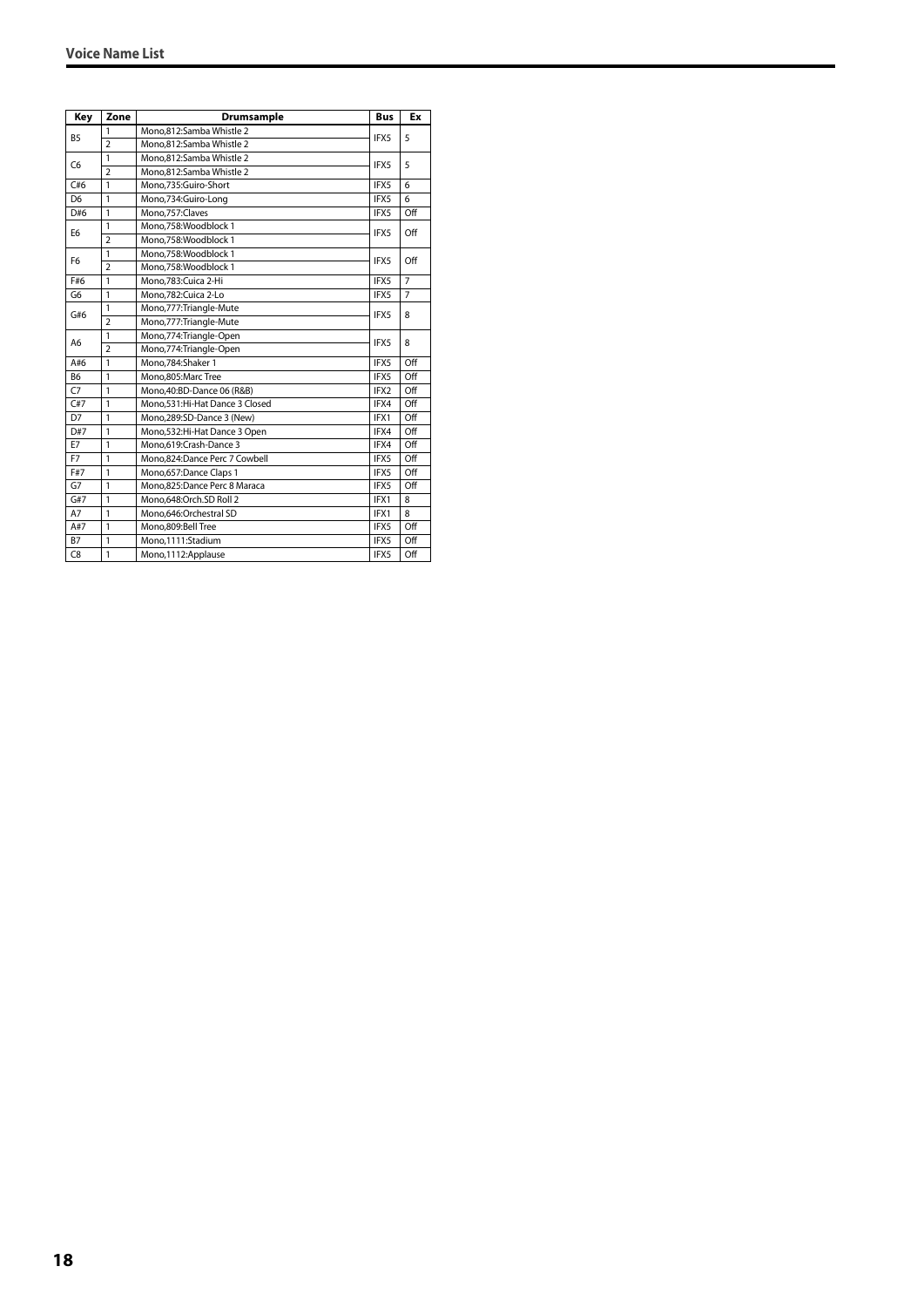| Key            | Zone           | <b>Drumsample</b>              | <b>Bus</b> | Ex             |
|----------------|----------------|--------------------------------|------------|----------------|
|                | 1              | Mono,812:Samba Whistle 2       |            |                |
| B <sub>5</sub> | $\overline{2}$ | Mono.812:Samba Whistle 2       | IFX5       | 5              |
|                | $\mathbf{1}$   | Mono,812:Samba Whistle 2       |            |                |
| C <sub>6</sub> | $\overline{2}$ | Mono.812:Samba Whistle 2       | IFX5       | 5              |
| C#6            | $\mathbf{1}$   | Mono.735:Guiro-Short           | IFX5       | 6              |
| D <sub>6</sub> | $\mathbf{1}$   | Mono,734:Guiro-Long            | IFX5       | 6              |
| D#6            | $\mathbf{1}$   | Mono.757:Claves                | IFX5       | Off            |
| E <sub>6</sub> | $\mathbf{1}$   | Mono.758:Woodblock 1           | IFX5       | Off            |
|                | $\overline{2}$ | Mono.758:Woodblock 1           |            |                |
|                | $\mathbf{1}$   | Mono.758:Woodblock 1           |            | Off            |
| F <sub>6</sub> | $\overline{2}$ | Mono.758:Woodblock 1           | IFX5       |                |
| F#6            | $\mathbf{1}$   | Mono.783:Cuica 2-Hi            | IFX5       | $\overline{7}$ |
| G <sub>6</sub> | 1              | Mono,782:Cuica 2-Lo            | IFX5       | $\overline{7}$ |
|                | $\mathbf{1}$   | Mono, 777: Triangle-Mute       | IFX5       | 8              |
| G#6            | $\overline{2}$ | Mono, 777: Triangle-Mute       |            |                |
|                | $\mathbf{1}$   | Mono, 774: Triangle-Open       | IFX5<br>8  |                |
| A <sub>6</sub> | $\overline{2}$ | Mono, 774: Triangle-Open       |            |                |
| A#6            | $\mathbf{1}$   | Mono,784:Shaker 1              | IFX5       | Off            |
| B <sub>6</sub> | $\mathbf{1}$   | Mono.805:Marc Tree             | IFX5       | Off            |
| C7             | $\mathbf{1}$   | Mono.40:BD-Dance 06 (R&B)      | IFX2       | Off            |
| C#7            | $\mathbf{1}$   | Mono.531:Hi-Hat Dance 3 Closed | IFX4       | Off            |
| D7             | $\mathbf{1}$   | Mono.289:SD-Dance 3 (New)      | IFX1       | Off            |
| D#7            | $\mathbf{1}$   | Mono,532:Hi-Hat Dance 3 Open   | IFX4       | Off            |
| E7             | 1              | Mono.619:Crash-Dance 3         | IFX4       | Off            |
| F7             | $\mathbf{1}$   | Mono,824:Dance Perc 7 Cowbell  | IFX5       | Off            |
| F#7            | $\mathbf{1}$   | Mono, 657: Dance Claps 1       | IFX5       | Off            |
| G7             | $\mathbf{1}$   | Mono,825:Dance Perc 8 Maraca   | IFX5       | Off            |
| G#7            | $\mathbf{1}$   | Mono.648:Orch.SD Roll 2        | IFX1       | 8              |
| A7             | $\mathbf{1}$   | Mono,646:Orchestral SD         | IFX1       | 8              |
| A#7            | $\mathbf{1}$   | Mono,809:Bell Tree             | IFX5       | Off            |
| <b>B7</b>      | $\mathbf{1}$   | Mono,1111:Stadium              | IFX5       | Off            |
| C <sub>8</sub> | $\mathbf{1}$   | Mono, 1112: Applause           | IFX5       | Off            |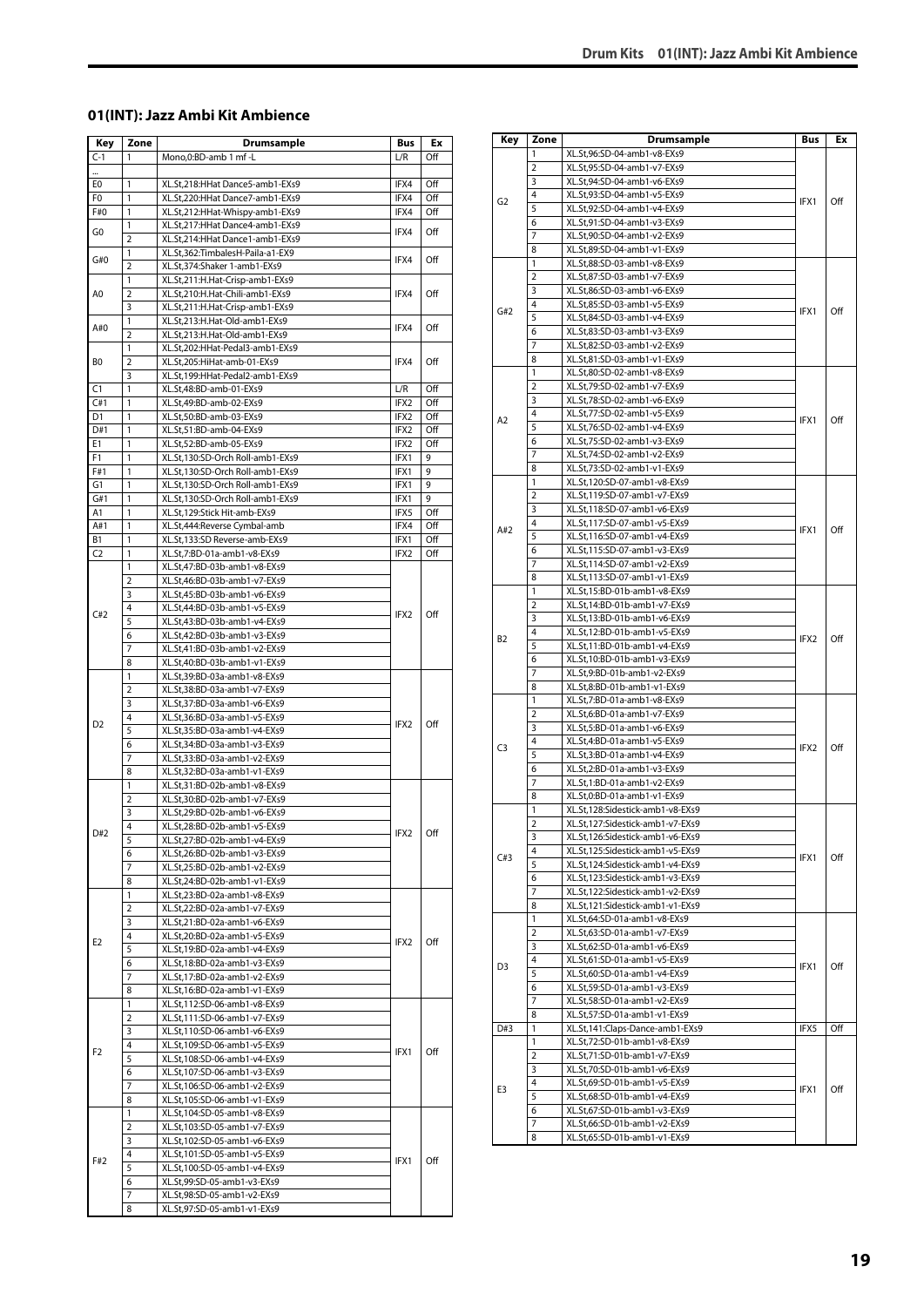#### <span id="page-18-0"></span>**01(INT): Jazz Ambi Kit Ambience**

| Key            | Zone           | <b>Drumsample</b>                                            | Bus              | Ex  |
|----------------|----------------|--------------------------------------------------------------|------------------|-----|
| $C-1$          | 1              | Mono,0:BD-amb 1 mf -L                                        | L/R              | Off |
|                |                |                                                              |                  |     |
| E0             | 1              | XL.St,218:HHat Dance5-amb1-EXs9                              | IFX4             | Off |
| F0             | 1              | XL.St,220:HHat Dance7-amb1-EXs9                              | IFX4             | Off |
| F#0            | 1              | XL.St,212:HHat-Whispy-amb1-EXs9                              | IFX4             | Off |
|                | 1              | XL.St,217:HHat Dance4-amb1-EXs9                              |                  |     |
| G0             | $\overline{2}$ | XL.St,214:HHat Dance1-amb1-EXs9                              | IFX4             | Off |
|                | 1              | XL.St,362:TimbalesH-Paila-a1-EX9                             |                  |     |
| G#0            | $\overline{2}$ | XL.St,374:Shaker 1-amb1-EXs9                                 | IFX4             | Off |
|                | 1              | XL.St,211:H.Hat-Crisp-amb1-EXs9                              |                  |     |
| A0             | $\overline{2}$ | XL.St,210:H.Hat-Chili-amb1-EXs9                              | IFX4             | Off |
|                | 3              | XL.St,211:H.Hat-Crisp-amb1-EXs9                              |                  |     |
|                | 1              | XL.St,213:H.Hat-Old-amb1-EXs9                                |                  |     |
| A#0            | $\overline{2}$ | XL.St,213:H.Hat-Old-amb1-EXs9                                | IFX4             | Off |
|                | 1              | XL.St,202:HHat-Pedal3-amb1-EXs9                              |                  |     |
| BO             | $\overline{2}$ | XL.St,205:HiHat-amb-01-EXs9                                  | IFX4             | Off |
|                | 3              | XL.St,199:HHat-Pedal2-amb1-EXs9                              |                  |     |
| C1             | 1              | XL.St,48:BD-amb-01-EXs9                                      | L/R              | Off |
| C#1            | 1              | XL.St,49:BD-amb-02-EXs9                                      | IFX2             | Off |
| D1             | 1              | XL.St,50:BD-amb-03-EXs9                                      | IFX2             | Off |
| D#1            | 1              | XL.St,51:BD-amb-04-EXs9                                      | IFX2             | Off |
| E1             | 1              | XL.St,52:BD-amb-05-EXs9                                      | IFX2             | Off |
| F1             | 1              | XL.St,130:SD-Orch Roll-amb1-EXs9                             | IFX1             | 9   |
| F#1            | 1              | XL.St,130:SD-Orch Roll-amb1-EXs9                             | IFX1             | 9   |
| G1             | 1              | XL.St,130:SD-Orch Roll-amb1-EXs9                             | IFX1             | 9   |
| G#1            | 1              | XL.St,130:SD-Orch Roll-amb1-EXs9                             | IFX1             | 9   |
| Α1             | 1              | XL.St,129:Stick Hit-amb-EXs9                                 | IFX5             | Off |
| A#1            | 1              | XL.St,444:Reverse Cymbal-amb                                 | IFX4             | Off |
| В1             | 1              | XL.St,133:SD Reverse-amb-EXs9                                | IFX1             | Off |
| C <sub>2</sub> | 1              | XL.St,7:BD-01a-amb1-v8-EXs9                                  | IFX2             | Off |
|                | 1              | XL.St,47:BD-03b-amb1-v8-EXs9                                 |                  |     |
| C#2            | $\overline{2}$ | XL.St,46:BD-03b-amb1-v7-EXs9                                 |                  |     |
|                | 3              |                                                              |                  |     |
|                | 4              | XL.St,45:BD-03b-amb1-v6-EXs9                                 | IFX <sub>2</sub> |     |
|                | 5              | XL.St,44:BD-03b-amb1-v5-EXs9                                 |                  | Off |
|                |                | XL.St,43:BD-03b-amb1-v4-EXs9                                 |                  |     |
|                | 6              | XL.St,42:BD-03b-amb1-v3-EXs9                                 |                  |     |
|                | 7              | XL.St,41:BD-03b-amb1-v2-EXs9                                 |                  |     |
|                | 8              | XL.St,40:BD-03b-amb1-v1-EXs9                                 |                  |     |
|                | 1              | XL.St,39:BD-03a-amb1-v8-EXs9                                 | IFX2             | Off |
|                | 2              | XL.St,38:BD-03a-amb1-v7-EXs9                                 |                  |     |
|                | 3              | XL.St,37:BD-03a-amb1-v6-EXs9                                 |                  |     |
| D <sub>2</sub> | 4              | XL.St,36:BD-03a-amb1-v5-EXs9                                 |                  |     |
|                | 5              | XL.St,35:BD-03a-amb1-v4-EXs9                                 |                  |     |
|                | 6              | XL.St,34:BD-03a-amb1-v3-EXs9                                 |                  |     |
|                | 7              | XL.St,33:BD-03a-amb1-v2-EXs9                                 |                  |     |
|                | 8              | XL.St,32:BD-03a-amb1-v1-EXs9                                 |                  |     |
|                | 1              | XL.St,31:BD-02b-amb1-v8-EXs9                                 |                  |     |
|                | 2              | XL.St,30:BD-02b-amb1-v7-EXs9                                 |                  |     |
|                | 3              | XL.St,29:BD-02b-amb1-v6-EXs9                                 |                  |     |
| D#2            | 4              | XL.St.28:BD-02b-amb1-v5-EXs9                                 | IFX2             | Off |
|                | 5              | XL.St,27:BD-02b-amb1-v4-EXs9                                 |                  |     |
|                | 6              | XL.St,26:BD-02b-amb1-v3-EXs9                                 |                  |     |
|                | 7              | XL.St,25:BD-02b-amb1-v2-EXs9                                 |                  |     |
|                | 8              | XL.St,24:BD-02b-amb1-v1-EXs9                                 |                  |     |
|                | 1              | XL.St,23:BD-02a-amb1-v8-EXs9                                 |                  |     |
|                | $\overline{2}$ | XL.St,22:BD-02a-amb1-v7-EXs9                                 |                  |     |
|                | 3              | XL.St,21:BD-02a-amb1-v6-EXs9                                 |                  |     |
|                | 4              | XL.St,20:BD-02a-amb1-v5-EXs9                                 | IFX2             | Off |
| E2             | 5              | XL.St,19:BD-02a-amb1-v4-EXs9                                 |                  |     |
|                | 6              | XL.St,18:BD-02a-amb1-v3-EXs9                                 |                  |     |
|                | 7              | XL.St,17:BD-02a-amb1-v2-EXs9                                 |                  |     |
|                | 8              | XL.St,16:BD-02a-amb1-v1-EXs9                                 |                  |     |
|                | 1              | XL.St,112:SD-06-amb1-v8-EXs9                                 |                  |     |
|                | $\overline{2}$ | XL.St,111:SD-06-amb1-v7-EXs9                                 |                  |     |
|                | 3              | XL.St,110:SD-06-amb1-v6-EXs9                                 |                  |     |
|                | 4              | XL.St,109:SD-06-amb1-v5-EXs9                                 |                  |     |
| F2             | 5              | XL.St,108:SD-06-amb1-v4-EXs9                                 | IFX1             | Off |
|                | 6              | XL.St,107:SD-06-amb1-v3-EXs9                                 |                  |     |
|                | 7              | XL.St,106:SD-06-amb1-v2-EXs9                                 |                  |     |
|                | 8              | XL.St,105:SD-06-amb1-v1-EXs9                                 |                  |     |
|                | $\mathbf{1}$   | XL.St,104:SD-05-amb1-v8-EXs9                                 |                  |     |
|                | 2              | XL.St,103:SD-05-amb1-v7-EXs9                                 |                  |     |
|                | 3              | XL.St,102:SD-05-amb1-v6-EXs9                                 |                  |     |
|                |                |                                                              |                  |     |
| F#2            | 4<br>5         | XL.St,101:SD-05-amb1-v5-EXs9<br>XL.St,100:SD-05-amb1-v4-EXs9 | IFX1             | Off |
|                |                |                                                              |                  |     |
|                | 6              | XL.St,99:SD-05-amb1-v3-EXs9                                  |                  |     |
|                | 7              | XL.St,98:SD-05-amb1-v2-EXs9                                  |                  |     |
|                | 8              | XL.St,97:SD-05-amb1-v1-EXs9                                  |                  |     |

| Key            | Zone   | <b>Drumsample</b>                                                    | Bus  | Ex  |
|----------------|--------|----------------------------------------------------------------------|------|-----|
|                | 1      | XL.St,96:SD-04-amb1-v8-EXs9                                          |      |     |
|                | 2      | XL.St,95:SD-04-amb1-v7-EXs9                                          |      |     |
|                | 3      | XL.St,94:SD-04-amb1-v6-EXs9                                          |      |     |
| G <sub>2</sub> | 4      | XL.St,93:SD-04-amb1-v5-EXs9                                          | IFX1 | Off |
|                | 5<br>6 | XL.St,92:SD-04-amb1-v4-EXs9<br>XL.St,91:SD-04-amb1-v3-EXs9           |      |     |
|                | 7      | XL.St,90:SD-04-amb1-v2-EXs9                                          |      |     |
|                | 8      | XL.St,89:SD-04-amb1-v1-EXs9                                          |      |     |
|                | 1      | XL.St,88:SD-03-amb1-v8-EXs9                                          |      |     |
|                | 2      | XL.St,87:SD-03-amb1-v7-EXs9                                          |      |     |
|                | 3      | XL.St,86:SD-03-amb1-v6-EXs9                                          |      |     |
| G#2            | 4      | XL.St,85:SD-03-amb1-v5-EXs9                                          | IFX1 | Off |
|                | 5      | XL.St,84:SD-03-amb1-v4-EXs9                                          |      |     |
|                | 6<br>7 | XL.St,83:SD-03-amb1-v3-EXs9<br>XL.St,82:SD-03-amb1-v2-EXs9           |      |     |
|                | 8      | XL.St,81:SD-03-amb1-v1-EXs9                                          |      |     |
|                | 1      | XL.St,80:SD-02-amb1-v8-EXs9                                          |      |     |
|                | 2      | XL.St,79:SD-02-amb1-v7-EXs9                                          |      |     |
|                | 3      | XL.St,78:SD-02-amb1-v6-EXs9                                          |      |     |
| A2             | 4      | XL.St,77:SD-02-amb1-v5-EXs9                                          | IFX1 | Off |
|                | 5      | XL.St,76:SD-02-amb1-v4-EXs9                                          |      |     |
|                | 6      | XL.St,75:SD-02-amb1-v3-EXs9                                          |      |     |
|                | 7      | XL.St,74:SD-02-amb1-v2-EXs9                                          |      |     |
|                | 8<br>1 | XL.St,73:SD-02-amb1-v1-EXs9<br>XL.St,120:SD-07-amb1-v8-EXs9          |      |     |
|                | 2      | XL.St,119:SD-07-amb1-v7-EXs9                                         |      |     |
|                | 3      | XL.St,118:SD-07-amb1-v6-EXs9                                         |      |     |
|                | 4      | XL.St,117:SD-07-amb1-v5-EXs9                                         |      |     |
| A#2            | 5      | XL.St,116:SD-07-amb1-v4-EXs9                                         | IFX1 | Off |
|                | 6      | XL.St,115:SD-07-amb1-v3-EXs9                                         |      |     |
|                | 7      | XL.St,114:SD-07-amb1-v2-EXs9                                         |      |     |
|                | 8      | XL.St,113:SD-07-amb1-v1-EXs9                                         |      |     |
|                | 1      | XL.St,15:BD-01b-amb1-v8-EXs9                                         |      |     |
|                | 2<br>3 | XL.St,14:BD-01b-amb1-v7-EXs9                                         |      |     |
|                | 4      | XL.St,13:BD-01b-amb1-v6-EXs9<br>XL.St,12:BD-01b-amb1-v5-EXs9         |      |     |
| B2             | 5      | XL.St,11:BD-01b-amb1-v4-EXs9                                         | IFX2 | Off |
|                | 6      | XL.St,10:BD-01b-amb1-v3-EXs9                                         |      |     |
|                | 7      | XL.St,9:BD-01b-amb1-v2-EXs9                                          |      |     |
|                | 8      | XL.St,8:BD-01b-amb1-v1-EXs9                                          |      |     |
|                | 1      | XL.St,7:BD-01a-amb1-v8-EXs9                                          |      |     |
|                | 2      | XL.St,6:BD-01a-amb1-v7-EXs9                                          |      |     |
|                | 3<br>4 | XL.St,5:BD-01a-amb1-v6-EXs9<br>XL.St,4:BD-01a-amb1-v5-EXs9           |      |     |
| C3             | 5      | XL.St,3:BD-01a-amb1-v4-EXs9                                          | IFX2 | Off |
|                | 6      | XL.St,2:BD-01a-amb1-v3-EXs9                                          |      |     |
|                | 7      | XL.St,1:BD-01a-amb1-v2-EXs9                                          |      |     |
|                | 8      | XL.St,0:BD-01a-amb1-v1-EXs9                                          |      |     |
|                | 1      | XL.St,128:Sidestick-amb1-v8-EXs9                                     |      |     |
|                | 2      | XL.St.127:Sidestick-amb1-v7-EXs9                                     |      |     |
|                | 3      | XL.St,126:Sidestick-amb1-v6-EXs9                                     |      |     |
| C#3            | 4      | XL.St,125:Sidestick-amb1-v5-EXs9                                     | IFX1 | Off |
|                | 5<br>6 | XL.St,124:Sidestick-amb1-v4-EXs9<br>XL.St,123:Sidestick-amb1-v3-EXs9 |      |     |
|                | 7      | XL.St,122:Sidestick-amb1-v2-EXs9                                     |      |     |
|                | 8      | XL.St,121:Sidestick-amb1-v1-EXs9                                     |      |     |
|                | 1      | XL.St,64:SD-01a-amb1-v8-EXs9                                         |      |     |
|                | 2      | XL.St,63:SD-01a-amb1-v7-EXs9                                         |      |     |
|                | 3      | XL.St,62:SD-01a-amb1-v6-EXs9                                         |      |     |
| D3             | 4      | XL.St,61:SD-01a-amb1-v5-EXs9                                         | IFX1 | Off |
|                | 5      | XL.St,60:SD-01a-amb1-v4-EXs9                                         |      |     |
|                | 6      | XL.St,59:SD-01a-amb1-v3-EXs9                                         |      |     |
|                | 7      | XL.St,58:SD-01a-amb1-v2-EXs9                                         |      |     |
| D#3            | 8<br>1 | XL.St,57:SD-01a-amb1-v1-EXs9<br>XL.St,141:Claps-Dance-amb1-EXs9      | IFX5 | Off |
|                | 1      | XL.St,72:SD-01b-amb1-v8-EXs9                                         |      |     |
|                | 2      | XL.St,71:SD-01b-amb1-v7-EXs9                                         |      |     |
|                | 3      | XL.St,70:SD-01b-amb1-v6-EXs9                                         |      |     |
|                | 4      | XL.St,69:SD-01b-amb1-v5-EXs9                                         | IFX1 |     |
| E3             | 5      | XL.St,68:SD-01b-amb1-v4-EXs9                                         |      | Off |
|                | 6      | XL.St,67:SD-01b-amb1-v3-EXs9                                         |      |     |
|                | 7      | XL.St,66:SD-01b-amb1-v2-EXs9                                         |      |     |
|                | 8      | XL.St,65:SD-01b-amb1-v1-EXs9                                         |      |     |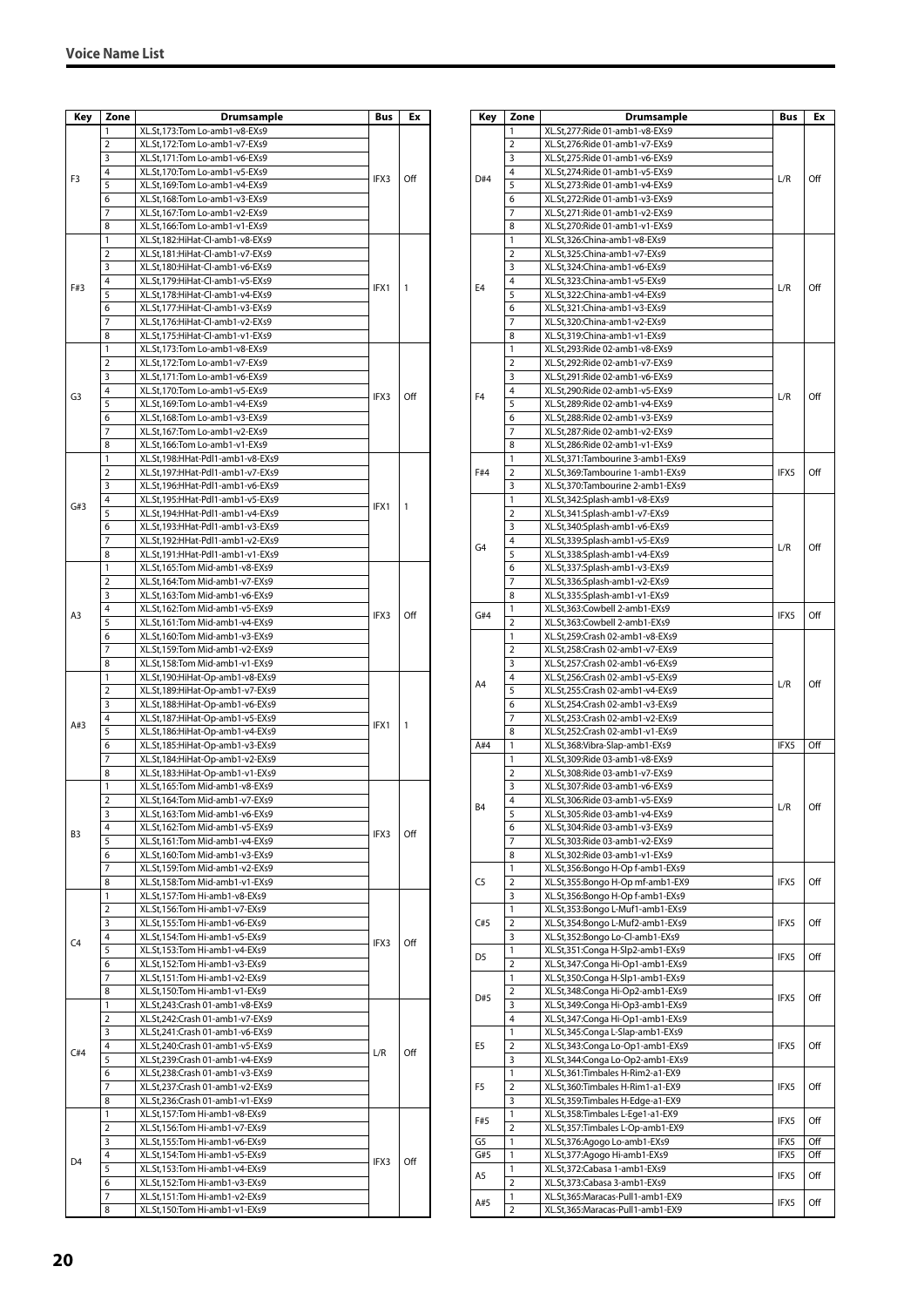| Key            | Zone           | Drumsample                                                         | Bus  | Ex  |
|----------------|----------------|--------------------------------------------------------------------|------|-----|
|                | 1              | XL.St,173:Tom Lo-amb1-v8-EXs9                                      |      |     |
|                | 2              | XL.St,172:Tom Lo-amb1-v7-EXs9                                      |      |     |
|                | 3              | XL.St,171:Tom Lo-amb1-v6-EXs9                                      |      |     |
| F3             | 4              | XL.St,170:Tom Lo-amb1-v5-EXs9                                      | IFX3 | Off |
|                | 5              | XL.St,169:Tom Lo-amb1-v4-EXs9                                      |      |     |
|                | 6              | XL.St,168:Tom Lo-amb1-v3-EXs9                                      |      |     |
|                | 7              | XL.St,167:Tom Lo-amb1-v2-EXs9                                      |      |     |
|                | 8              | XL.St,166:Tom Lo-amb1-v1-EXs9                                      |      |     |
|                | 1              | XL.St,182:HiHat-Cl-amb1-v8-EXs9                                    |      |     |
|                | $\overline{2}$ | XL.St,181:HiHat-Cl-amb1-v7-EXs9                                    |      |     |
|                | 3              | XL.St,180:HiHat-Cl-amb1-v6-EXs9                                    |      |     |
| F#3            | 4<br>5         | XL.St,179:HiHat-Cl-amb1-v5-EXs9<br>XL.St,178:HiHat-Cl-amb1-v4-EXs9 | IFX1 | 1   |
|                | 6              | XL.St,177:HiHat-Cl-amb1-v3-EXs9                                    |      |     |
|                | 7              | XL.St,176:HiHat-Cl-amb1-v2-EXs9                                    |      |     |
|                | 8              | XL.St,175:HiHat-Cl-amb1-v1-EXs9                                    |      |     |
|                | 1              | XL.St,173:Tom Lo-amb1-v8-EXs9                                      |      |     |
|                | 2              | XL.St,172:Tom Lo-amb1-v7-EXs9                                      |      |     |
|                | 3              | XL.St,171:Tom Lo-amb1-v6-EXs9                                      |      |     |
|                | 4              | XL.St,170:Tom Lo-amb1-v5-EXs9                                      |      |     |
| G3             | 5              | XL.St,169:Tom Lo-amb1-v4-EXs9                                      | IFX3 | Off |
|                | 6              | XL.St,168:Tom Lo-amb1-v3-EXs9                                      |      |     |
|                | 7              | XL.St,167:Tom Lo-amb1-v2-EXs9                                      |      |     |
|                | 8              | XL.St,166:Tom Lo-amb1-v1-EXs9                                      |      |     |
|                | 1              | XL.St,198:HHat-Pdl1-amb1-v8-EXs9                                   |      |     |
|                | 2              | XL.St,197:HHat-Pdl1-amb1-v7-EXs9                                   |      |     |
|                | 3              | XL.St,196:HHat-Pdl1-amb1-v6-EXs9                                   |      |     |
| G#3            | 4              | XL.St,195:HHat-Pdl1-amb1-v5-EXs9                                   | IFX1 | 1   |
|                | 5              | XL.St,194:HHat-Pdl1-amb1-v4-EXs9                                   |      |     |
|                | 6              | XL.St,193:HHat-Pdl1-amb1-v3-EXs9                                   |      |     |
|                | 7              | XL.St,192:HHat-Pdl1-amb1-v2-EXs9                                   |      |     |
|                | 8              | XL.St,191:HHat-Pdl1-amb1-v1-EXs9                                   |      |     |
|                | 1              | XL.St,165:Tom Mid-amb1-v8-EXs9                                     |      |     |
|                | 2              | XL.St,164:Tom Mid-amb1-v7-EXs9                                     |      |     |
|                | 3<br>4         | XL.St,163:Tom Mid-amb1-v6-EXs9                                     |      |     |
| A3             | 5              | XL.St,162:Tom Mid-amb1-v5-EXs9                                     | IFX3 | Off |
|                | 6              | XL.St,161:Tom Mid-amb1-v4-EXs9<br>XL.St,160:Tom Mid-amb1-v3-EXs9   |      |     |
|                | 7              | XL.St,159:Tom Mid-amb1-v2-EXs9                                     |      |     |
|                | 8              | XL.St,158:Tom Mid-amb1-v1-EXs9                                     |      |     |
|                | 1              | XL.St,190:HiHat-Op-amb1-v8-EXs9                                    |      |     |
|                | $\overline{2}$ | XL.St,189:HiHat-Op-amb1-v7-EXs9                                    |      |     |
|                | 3              | XL.St,188:HiHat-Op-amb1-v6-EXs9                                    |      |     |
|                | 4              | XL.St,187:HiHat-Op-amb1-v5-EXs9                                    |      |     |
| A#3            | 5              | XL.St,186:HiHat-Op-amb1-v4-EXs9                                    | IFX1 | 1   |
|                | 6              | XL.St,185:HiHat-Op-amb1-v3-EXs9                                    |      |     |
|                | 7              | XL.St,184:HiHat-Op-amb1-v2-EXs9                                    |      |     |
|                | 8              | XL.St,183:HiHat-Op-amb1-v1-EXs9                                    |      |     |
|                | 1              | XL.St,165:Tom Mid-amb1-v8-EXs9                                     |      |     |
|                | $\overline{2}$ | XL.St,164:Tom Mid-amb1-v7-EXs9                                     |      |     |
|                | 3              | XL.St,163:Tom Mid-amb1-v6-EXs9                                     |      |     |
| B <sub>3</sub> | 4              | XL.St,162:Tom Mid-amb1-v5-EXs9                                     | IFX3 | Off |
|                | 5              | XL.St,161:Tom Mid-amb1-v4-EXs9                                     |      |     |
|                | 6              | XL.St,160:Tom Mid-amb1-v3-EXs9                                     |      |     |
|                | 7              | XL.St,159:Tom Mid-amb1-v2-EXs9                                     |      |     |
|                | 8              | XL.St,158:Tom Mid-amb1-v1-EXs9                                     |      |     |
|                | 1<br>2         | XL.St,157:Tom Hi-amb1-v8-EXs9<br>XL.St,156:Tom Hi-amb1-v7-EXs9     |      |     |
|                | 3              | XL.St,155:Tom Hi-amb1-v6-EXs9                                      |      |     |
|                | 4              | XL.St,154:Tom Hi-amb1-v5-EXs9                                      |      |     |
| C <sub>4</sub> | 5              | XL.St,153:Tom Hi-amb1-v4-EXs9                                      | IFX3 | Off |
|                | 6              | XL.St,152:Tom Hi-amb1-v3-EXs9                                      |      |     |
|                | 7              | XL.St,151:Tom Hi-amb1-v2-EXs9                                      |      |     |
|                | 8              | XL.St,150:Tom Hi-amb1-v1-EXs9                                      |      |     |
|                | 1              | XL.St,243:Crash 01-amb1-v8-EXs9                                    |      |     |
|                | $\overline{2}$ | XL.St,242:Crash 01-amb1-v7-EXs9                                    |      |     |
|                | 3              | XL.St,241:Crash 01-amb1-v6-EXs9                                    |      |     |
| C#4            | 4              | XL.St,240:Crash 01-amb1-v5-EXs9                                    | L/R  | Off |
|                | 5              | XL.St,239:Crash 01-amb1-v4-EXs9                                    |      |     |
|                | 6              | XL.St,238:Crash 01-amb1-v3-EXs9                                    |      |     |
|                | 7              | XL.St,237:Crash 01-amb1-v2-EXs9                                    |      |     |
|                | 8              | XL.St,236:Crash 01-amb1-v1-EXs9                                    |      |     |
|                | 1              | XL.St,157:Tom Hi-amb1-v8-EXs9                                      |      |     |
|                | $\overline{2}$ | XL.St,156:Tom Hi-amb1-v7-EXs9                                      |      |     |
|                | 3              | XL.St,155:Tom Hi-amb1-v6-EXs9                                      |      |     |
| D <sub>4</sub> | 4              | XL.St,154:Tom Hi-amb1-v5-EXs9                                      | IFX3 | Off |
|                | 5              | XL.St,153:Tom Hi-amb1-v4-EXs9                                      |      |     |
|                | 6              | XL.St,152:Tom Hi-amb1-v3-EXs9                                      |      |     |
|                | 7<br>8         | XL.St,151:Tom Hi-amb1-v2-EXs9                                      |      |     |
|                |                | XL.St,150:Tom Hi-amb1-v1-EXs9                                      |      |     |

| Key            | Zone                | Drumsample                                                          | Bus  | Ex  |
|----------------|---------------------|---------------------------------------------------------------------|------|-----|
|                | 1                   | XL.St,277:Ride 01-amb1-v8-EXs9                                      |      |     |
|                | 2                   | XL.St,276:Ride 01-amb1-v7-EXs9                                      |      |     |
|                | 3                   | XL.St,275:Ride 01-amb1-v6-EXs9                                      |      |     |
| D#4            | 4                   | XL.St,274:Ride 01-amb1-v5-EXs9                                      | L/R  | Off |
|                | 5                   | XL.St,273:Ride 01-amb1-v4-EXs9                                      |      |     |
|                | 6                   | XL.St,272:Ride 01-amb1-v3-EXs9                                      |      |     |
|                | 7                   | XL.St,271:Ride 01-amb1-v2-EXs9                                      |      |     |
|                | 8                   | XL.St,270:Ride 01-amb1-v1-EXs9                                      |      |     |
|                | 1<br>$\overline{2}$ | XL.St,326:China-amb1-v8-EXs9                                        |      |     |
|                | 3                   | XL.St,325:China-amb1-v7-EXs9<br>XL.St,324:China-amb1-v6-EXs9        |      |     |
|                | 4                   | XL.St,323:China-amb1-v5-EXs9                                        |      |     |
| E4             | 5                   | XL.St,322:China-amb1-v4-EXs9                                        | L/R  | Off |
|                | 6                   | XL.St,321:China-amb1-v3-EXs9                                        |      |     |
|                | 7                   | XL.St,320:China-amb1-v2-EXs9                                        |      |     |
|                | 8                   | XL.St,319:China-amb1-v1-EXs9                                        |      |     |
|                | 1                   | XL.St,293:Ride 02-amb1-v8-EXs9                                      |      |     |
|                | 2                   | XL.St,292:Ride 02-amb1-v7-EXs9                                      |      |     |
|                | 3                   | XL.St,291:Ride 02-amb1-v6-EXs9                                      |      |     |
| F4             | 4                   | XL.St,290:Ride 02-amb1-v5-EXs9                                      | L/R  | Off |
|                | 5                   | XL.St,289:Ride 02-amb1-v4-EXs9                                      |      |     |
|                | 6                   | XL.St,288:Ride 02-amb1-v3-EXs9                                      |      |     |
|                | 7                   | XL.St,287:Ride 02-amb1-v2-EXs9                                      |      |     |
|                | 8                   | XL.St,286:Ride 02-amb1-v1-EXs9                                      |      |     |
|                | 1                   | XL.St,371:Tambourine 3-amb1-EXs9                                    |      |     |
| F#4            | $\overline{2}$      | XL.St,369:Tambourine 1-amb1-EXs9                                    | IFX5 | Off |
|                | 3                   | XL.St,370:Tambourine 2-amb1-EXs9                                    |      |     |
|                | 1                   | XL.St,342:Splash-amb1-v8-EXs9                                       |      |     |
|                | 2                   | XL.St,341:Splash-amb1-v7-EXs9                                       |      |     |
|                | 3                   | XL.St,340:Splash-amb1-v6-EXs9                                       |      |     |
| G4             | 4                   | XL.St,339:Splash-amb1-v5-EXs9                                       | L/R  | Off |
|                | 5                   | XL.St,338:Splash-amb1-v4-EXs9                                       |      |     |
|                | 6<br>7              | XL.St,337:Splash-amb1-v3-EXs9                                       |      |     |
|                | 8                   | XL.St,336:Splash-amb1-v2-EXs9<br>XL.St,335:Splash-amb1-v1-EXs9      |      |     |
|                | 1                   | XL.St,363:Cowbell 2-amb1-EXs9                                       |      |     |
| G#4            | 2                   | XL.St,363:Cowbell 2-amb1-EXs9                                       | IFX5 | Off |
|                | 1                   | XL.St,259:Crash 02-amb1-v8-EXs9                                     |      |     |
|                | $\overline{2}$      | XL.St,258:Crash 02-amb1-v7-EXs9                                     | L/R  |     |
|                | 3                   | XL.St,257:Crash 02-amb1-v6-EXs9                                     |      |     |
|                | 4                   | XL.St,256:Crash 02-amb1-v5-EXs9                                     |      |     |
| A4             | 5                   | XL.St,255:Crash 02-amb1-v4-EXs9                                     |      | Off |
|                | 6                   | XL.St,254:Crash 02-amb1-v3-EXs9                                     |      |     |
|                | 7                   | XL.St,253:Crash 02-amb1-v2-EXs9                                     |      |     |
|                | 8                   | XL.St,252:Crash 02-amb1-v1-EXs9                                     |      |     |
| A#4            | 1                   | XL.St,368:Vibra-Slap-amb1-EXs9                                      | IFX5 | Off |
|                | 1                   | XL.St,309:Ride 03-amb1-v8-EXs9                                      |      |     |
|                | 2                   | XL.St,308:Ride 03-amb1-v7-EXs9                                      |      |     |
|                | 3                   | XL.St,307:Ride 03-amb1-v6-EXs9                                      |      |     |
| B4             | 4                   | XL.St,306:Ride 03-amb1-v5-EXs9                                      | L/R  | Off |
|                | 5                   | XL.St,305:Ride 03-amb1-v4-EXs9                                      |      |     |
|                | 6                   | XL.St,304:Ride 03-amb1-v3-EXs9                                      |      |     |
|                | 7                   | XL.St,303:Ride 03-amb1-v2-EXs9                                      |      |     |
|                | 8                   | XL.St,302:Ride 03-amb1-v1-EXs9                                      |      |     |
|                | $\mathbbm{1}$       | XL.St,356:Bongo H-Op f-amb1-EXs9                                    |      |     |
| C <sub>5</sub> | $\overline{2}$      | XL.St,355:Bongo H-Op mf-amb1-EX9                                    | IFX5 | Off |
|                | 3                   | XL.St,356:Bongo H-Op f-amb1-EXs9                                    |      |     |
| C#5            | 1<br>$\overline{2}$ | XL.St,353:Bongo L-Muf1-amb1-EXs9                                    |      | Off |
|                | 3                   | XL.St,354:Bongo L-Muf2-amb1-EXs9<br>XL.St,352:Bongo Lo-Cl-amb1-EXs9 | IFX5 |     |
|                | 1                   | XL.St,351:Conga H-Slp2-amb1-EXs9                                    |      |     |
| D <sub>5</sub> | $\overline{2}$      | XL.St,347:Conga Hi-Op1-amb1-EXs9                                    | IFX5 | Off |
|                | 1                   | XL.St,350:Conga H-Slp1-amb1-EXs9                                    |      |     |
|                | 2                   | XL.St,348:Conga Hi-Op2-amb1-EXs9                                    |      |     |
| D#5            | 3                   | XL.St,349:Conga Hi-Op3-amb1-EXs9                                    | IFX5 | Off |
|                | 4                   | XL.St,347:Conga Hi-Op1-amb1-EXs9                                    |      |     |
|                | 1                   | XL.St,345:Conga L-Slap-amb1-EXs9                                    |      |     |
| E5             | 2                   | XL.St,343:Conga Lo-Op1-amb1-EXs9                                    | IFX5 | Off |
|                | 3                   | XL.St,344:Conga Lo-Op2-amb1-EXs9                                    |      |     |
|                | $\mathbbm{1}$       | XL.St,361:Timbales H-Rim2-a1-EX9                                    |      |     |
| F5             | $\overline{2}$      | XL.St,360:Timbales H-Rim1-a1-EX9                                    | IFX5 | Off |
|                | 3                   | XL.St,359:Timbales H-Edge-a1-EX9                                    |      |     |
|                | 1                   | XL.St,358:Timbales L-Ege1-a1-EX9                                    |      |     |
| F#5            | $\overline{2}$      | XL.St,357:Timbales L-Op-amb1-EX9                                    | IFX5 | Off |
| G5             | 1                   | XL.St,376:Agogo Lo-amb1-EXs9                                        | IFX5 | Off |
| G#5            | 1                   | XL.St,377:Agogo Hi-amb1-EXs9                                        | IFX5 | Off |
| A5             | 1                   | XL.St,372:Cabasa 1-amb1-EXs9                                        | IFX5 | Off |
|                | $\overline{2}$      | XL.St,373:Cabasa 3-amb1-EXs9                                        |      |     |
| A#5            | 1                   | XL.St,365:Maracas-Pull1-amb1-EX9                                    | IFX5 | Off |
|                | $\overline{2}$      | XL.St,365:Maracas-Pull1-amb1-EX9                                    |      |     |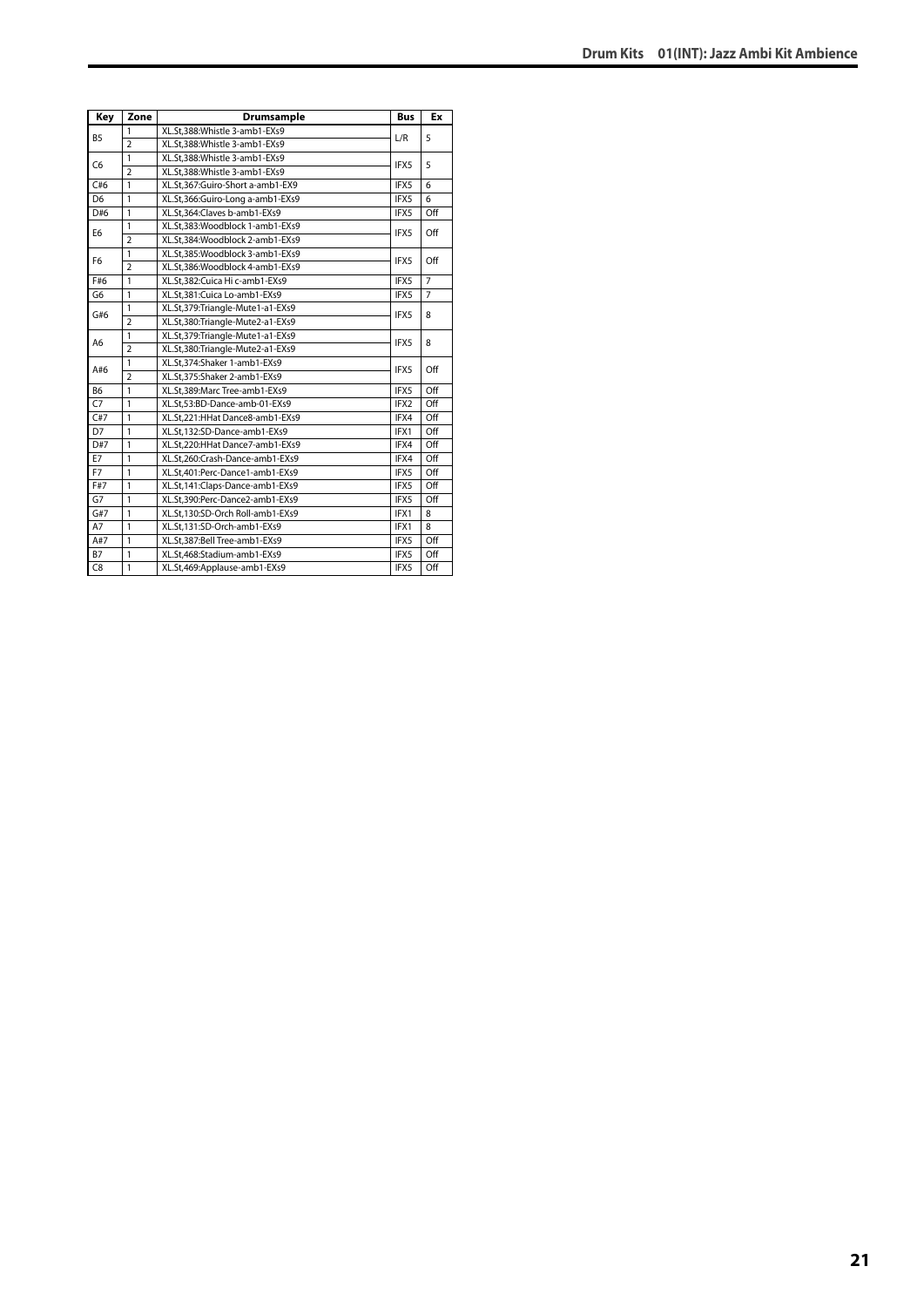| Key            | Zone           | <b>Drumsample</b>                | <b>Bus</b> | Ex             |
|----------------|----------------|----------------------------------|------------|----------------|
|                | 1              | XL.St,388:Whistle 3-amb1-EXs9    |            |                |
| <b>B5</b>      | $\overline{2}$ | XL.St.388:Whistle 3-amb1-EXs9    | L/R        | 5              |
|                | $\mathbf{1}$   | XL.St.388:Whistle 3-amb1-EXs9    |            |                |
| C <sub>6</sub> | $\overline{2}$ | XL.St,388:Whistle 3-amb1-EXs9    | IFX5       | 5              |
| C#6            | $\mathbf{1}$   | XL.St.367:Guiro-Short a-amb1-EX9 | IFX5       | 6              |
| D <sub>6</sub> | $\mathbf{1}$   | XL.St,366:Guiro-Long a-amb1-EXs9 | IFX5       | 6              |
| D#6            | $\mathbf{1}$   | XL.St,364:Claves b-amb1-EXs9     | IFX5       | Off            |
| E <sub>6</sub> | $\mathbf{1}$   | XL.St.383:Woodblock 1-amb1-EXs9  | IFX5       | Off            |
|                | $\overline{2}$ | XL.St.384:Woodblock 2-amb1-EXs9  |            |                |
|                | $\mathbf{1}$   | XL.St,385:Woodblock 3-amb1-EXs9  |            |                |
| F <sub>6</sub> | $\overline{2}$ | XL.St.386:Woodblock 4-amb1-EXs9  | IFX5       | Off            |
| F#6            | $\mathbf{1}$   | XL.St.382:Cuica Hi c-amb1-EXs9   | IFX5       | $\overline{7}$ |
| G <sub>6</sub> | $\overline{1}$ | XL.St,381:Cuica Lo-amb1-EXs9     | IFX5       | $\overline{7}$ |
|                | $\mathbf{1}$   | XL.St,379:Triangle-Mute1-a1-EXs9 | IFX5       | 8              |
| G#6            | $\overline{2}$ | XL.St,380:Triangle-Mute2-a1-EXs9 |            |                |
|                | $\mathbf{1}$   | XL.St,379:Triangle-Mute1-a1-EXs9 | IFX5       | 8              |
| A <sub>6</sub> | $\overline{2}$ | XL.St,380:Triangle-Mute2-a1-EXs9 |            |                |
|                | $\mathbf{1}$   | XL.St,374:Shaker 1-amb1-EXs9     | IFX5       | Off            |
| A#6            | $\overline{2}$ | XL.St.375:Shaker 2-amb1-EXs9     |            |                |
| <b>B6</b>      | $\mathbf{1}$   | XL.St,389:Marc Tree-amb1-EXs9    | IFX5       | Off            |
| C7             | $\mathbf{1}$   | XL.St,53:BD-Dance-amb-01-EXs9    | IFX2       | Off            |
| C#7            | $\mathbf{1}$   | XL.St.221:HHat Dance8-amb1-EXs9  | IFX4       | Off            |
| D7             | $\mathbf{1}$   | XL.St,132:SD-Dance-amb1-EXs9     | IFX1       | Off            |
| D#7            | $\mathbf{1}$   | XL.St.220:HHat Dance7-amb1-EXs9  | IFX4       | Off            |
| E7             | $\mathbf{1}$   | XL.St.260:Crash-Dance-amb1-EXs9  | IFX4       | Off            |
| F7             | $\mathbf{1}$   | XL.St,401:Perc-Dance1-amb1-EXs9  | IFX5       | Off            |
| F#7            | $\mathbf{1}$   | XL.St,141:Claps-Dance-amb1-EXs9  | IFX5       | Off            |
| G7             | $\mathbf{1}$   | XL.St,390:Perc-Dance2-amb1-EXs9  | IFX5       | Off            |
| G#7            | $\mathbf{1}$   | XL.St.130:SD-Orch Roll-amb1-EXs9 | IFX1       | 8              |
| A7             | $\mathbf{1}$   | XL.St,131:SD-Orch-amb1-EXs9      | IFX1       | 8              |
| A#7            | $\mathbf{1}$   | XL.St,387:Bell Tree-amb1-EXs9    | IFX5       | Off            |
| <b>B7</b>      | 1              | XL.St,468:Stadium-amb1-EXs9      | IFX5       | Off            |
| C8             | $\mathbf{1}$   | XL.St,469:Applause-amb1-EXs9     | IFX5       | Off            |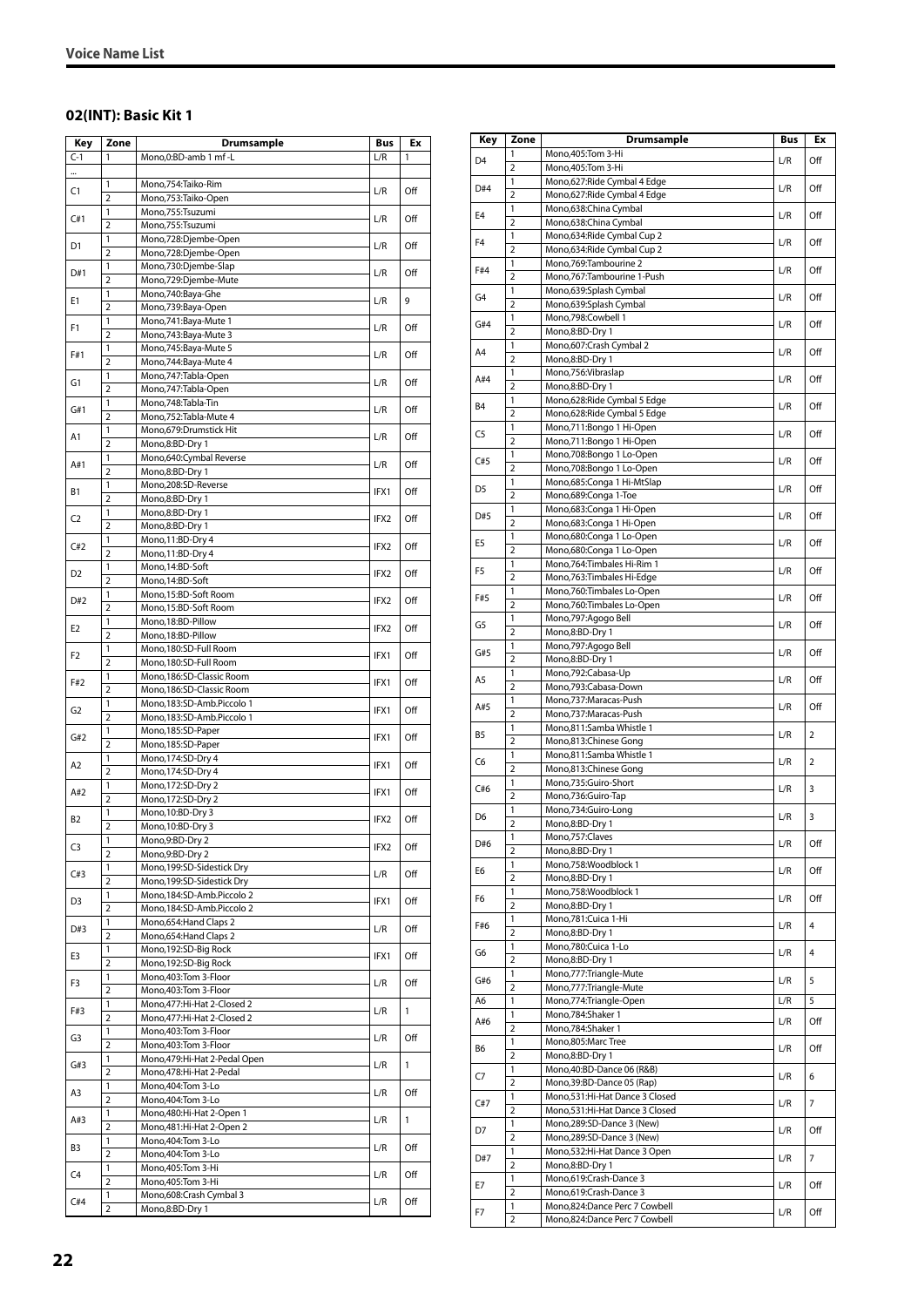#### <span id="page-21-0"></span>**02(INT): Basic Kit 1**

| Key            | Zone                    | Drumsample                                       | Bus              | Ex  |
|----------------|-------------------------|--------------------------------------------------|------------------|-----|
| $C-1$          | 1                       | Mono, 0:BD-amb 1 mf-L                            | L/R              | 1   |
|                |                         |                                                  |                  |     |
| C1             | 1                       | Mono,754:Taiko-Rim                               | L/R              | Off |
|                | $\overline{2}$          | Mono,753:Taiko-Open                              |                  |     |
| C#1            | 1                       | Mono,755:Tsuzumi                                 | L/R              | Off |
|                | $\overline{2}$          | Mono,755:Tsuzumi                                 |                  |     |
| D1             | 1                       | Mono,728:Djembe-Open                             | L/R              | Off |
|                | 2<br>1                  | Mono,728:Djembe-Open                             |                  |     |
| D#1            | $\overline{2}$          | Mono,730:Djembe-Slap<br>Mono,729:Djembe-Mute     | L/R              | Off |
|                | 1                       | Mono,740:Baya-Ghe                                |                  |     |
| E1             | $\overline{2}$          | Mono,739:Baya-Open                               | L/R              | 9   |
|                | 1                       | Mono, 741: Baya-Mute 1                           |                  |     |
| F <sub>1</sub> | 2                       | Mono, 743: Baya-Mute 3                           | L/R              | Off |
|                | 1                       | Mono, 745: Baya-Mute 5                           |                  |     |
| F#1            | $\overline{2}$          | Mono, 744: Baya-Mute 4                           | L/R              | Off |
|                | 1                       | Mono, 747: Tabla-Open                            |                  | Off |
| G1             | $\overline{2}$          | Mono, 747: Tabla-Open                            | L/R              |     |
| G#1            | 1                       | Mono, 748: Tabla-Tin                             | L/R              | Off |
|                | $\overline{2}$          | Mono, 752: Tabla-Mute 4                          |                  |     |
| A1             | 1                       | Mono,679:Drumstick Hit                           | L/R              | Off |
|                | $\overline{2}$          | Mono,8:BD-Dry 1                                  |                  |     |
| A#1            | 1                       | Mono,640:Cymbal Reverse                          | L/R              | Off |
|                | $\overline{2}$          | Mono,8:BD-Dry 1                                  |                  |     |
| <b>B1</b>      | 1<br>$\overline{2}$     | Mono,208:SD-Reverse                              | IFX1             | Off |
|                | 1                       | Mono,8:BD-Dry 1<br>Mono,8:BD-Dry 1               |                  |     |
| C <sub>2</sub> | $\overline{2}$          | Mono,8:BD-Dry 1                                  | IFX2             | Off |
|                | 1                       | Mono, 11:BD-Dry 4                                |                  |     |
| C#2            | 2                       | Mono, 11:BD-Dry 4                                | IFX2             | Off |
|                | 1                       | Mono, 14:BD-Soft                                 |                  |     |
| D <sub>2</sub> | $\overline{2}$          | Mono, 14:BD-Soft                                 | IFX2             | Off |
|                | 1                       | Mono,15:BD-Soft Room                             |                  |     |
| D#2            | $\overline{2}$          | Mono,15:BD-Soft Room                             | IFX2             | Off |
| E <sub>2</sub> | 1                       | Mono, 18:BD-Pillow                               | IFX <sub>2</sub> | Off |
|                | $\overline{2}$          | Mono, 18:BD-Pillow                               |                  |     |
| F2             | 1                       | Mono,180:SD-Full Room                            | IFX1             | Off |
|                | 2                       | Mono,180:SD-Full Room                            |                  |     |
| F#2            | 1                       | Mono, 186: SD-Classic Room                       | IFX1             | Off |
|                | $\overline{2}$          | Mono, 186: SD-Classic Room                       |                  |     |
| G2             | 1                       | Mono,183:SD-Amb.Piccolo 1                        | IFX1             | Off |
|                | $\overline{2}$          | Mono,183:SD-Amb.Piccolo 1                        |                  |     |
| G#2            | 1<br>$\overline{2}$     | Mono, 185: SD-Paper                              | IFX1             | Off |
|                | 1                       | Mono, 185:SD-Paper<br>Mono, 174: SD-Dry 4        |                  |     |
| A2             | $\overline{2}$          | Mono, 174:SD-Dry 4                               | IFX1             | Off |
|                | 1                       | Mono, 172: SD-Dry 2                              |                  |     |
| A#2            | $\overline{2}$          | Mono, 172: SD-Dry 2                              | IFX1             | Off |
|                | 1                       | Mono, 10:BD-Dry 3                                |                  |     |
| <b>B2</b>      | $\overline{2}$          | Mono, 10:BD-Dry 3                                | IFX2             | Off |
|                | 1                       | Mono,9:BD-Dry 2                                  |                  |     |
| C3             | 2                       | Mono,9:BD-Dry 2                                  | IFX2             | Off |
| C#3            | 1                       | Mono, 199: SD-Sidestick Dry                      | L/R              | Off |
|                | 2                       | Mono, 199: SD-Sidestick Dry                      |                  |     |
| D <sub>3</sub> | 1                       | Mono, 184: SD-Amb. Piccolo 2                     | IFX1             | Off |
|                | 2                       | Mono, 184: SD-Amb. Piccolo 2                     |                  |     |
| D#3            | 1<br>$\overline{2}$     | Mono, 654: Hand Claps 2                          | L/R              | Off |
|                | 1                       | Mono,654: Hand Claps 2<br>Mono, 192: SD-Big Rock |                  |     |
| E3             | 2                       | Mono, 192: SD-Big Rock                           | IFX1             | Off |
|                | 1                       | Mono, 403: Tom 3-Floor                           |                  |     |
| F3             | 2                       | Mono, 403: Tom 3-Floor                           | L/R              | Off |
|                | 1                       | Mono, 477: Hi-Hat 2-Closed 2                     |                  |     |
| F#3            | 2                       | Mono, 477: Hi-Hat 2-Closed 2                     | L/R              | 1   |
|                | 1                       | Mono, 403: Tom 3-Floor                           |                  | Off |
| G3             | $\overline{2}$          | Mono, 403: Tom 3-Floor                           | L/R              |     |
| G#3            | 1                       | Mono, 479: Hi-Hat 2-Pedal Open                   | L/R              | 1   |
|                | 2                       | Mono, 478: Hi-Hat 2-Pedal                        |                  |     |
| A3             | 1                       | Mono, 404: Tom 3-Lo                              | L/R              | Off |
|                | $\overline{\mathbf{2}}$ | Mono, 404: Tom 3-Lo                              |                  |     |
| A#3            | 1                       | Mono, 480: Hi-Hat 2-Open 1                       | L/R              | 1   |
|                | 2                       | Mono, 481: Hi-Hat 2-Open 2                       |                  |     |
| B3             | 1                       | Mono, 404: Tom 3-Lo                              | L/R              | Off |
|                | 2<br>1                  | Mono,404:Tom 3-Lo<br>Mono,405:Tom 3-Hi           |                  |     |
| C4             | 2                       | Mono,405:Tom 3-Hi                                | L/R              | Off |
|                | 1                       | Mono,608:Crash Cymbal 3                          |                  |     |
| C#4            | $\overline{\mathbf{2}}$ | Mono,8:BD-Dry 1                                  | L/R              | Off |

| Key            | Zone                | <b>Drumsample</b>                                          | Bus | Ex  |
|----------------|---------------------|------------------------------------------------------------|-----|-----|
|                | 1                   | Mono, 405: Tom 3-Hi                                        |     |     |
| D <sub>4</sub> | $\overline{2}$      | Mono, 405: Tom 3-Hi                                        | L/R | Off |
| D#4            | 1                   | Mono,627: Ride Cymbal 4 Edge                               | L/R | Off |
|                | $\overline{2}$      | Mono,627: Ride Cymbal 4 Edge                               |     |     |
| E <sub>4</sub> | 1                   | Mono,638:China Cymbal                                      | L/R | Off |
|                | $\overline{2}$      | Mono,638:China Cymbal                                      |     |     |
| F <sub>4</sub> | 1<br>2              | Mono,634: Ride Cymbal Cup 2<br>Mono,634: Ride Cymbal Cup 2 | L/R | Off |
|                | 1                   | Mono, 769: Tambourine 2                                    |     |     |
| F#4            | $\overline{2}$      | Mono,767:Tambourine 1-Push                                 | L/R | Off |
|                | 1                   | Mono,639:Splash Cymbal                                     |     |     |
| G <sub>4</sub> | 2                   | Mono,639:Splash Cymbal                                     | L/R | Off |
| G#4            | 1                   | Mono,798:Cowbell 1                                         | L/R | Off |
|                | $\overline{2}$      | Mono,8:BD-Dry 1                                            |     |     |
| A4             | 1                   | Mono,607:Crash Cymbal 2                                    | L/R | Off |
|                | 2                   | Mono,8:BD-Dry 1                                            |     |     |
| A#4            | 1<br>$\overline{2}$ | Mono,756:Vibraslap                                         | L/R | Off |
|                | 1                   | Mono,8:BD-Dry 1<br>Mono,628: Ride Cymbal 5 Edge            |     |     |
| Β4             | $\overline{2}$      | Mono,628: Ride Cymbal 5 Edge                               | L/R | Off |
|                | 1                   | Mono,711:Bongo 1 Hi-Open                                   |     |     |
| C5             | $\overline{2}$      | Mono,711:Bongo 1 Hi-Open                                   | L/R | Off |
|                | 1                   | Mono,708:Bongo 1 Lo-Open                                   |     |     |
| C#5            | 2                   | Mono,708:Bongo 1 Lo-Open                                   | L/R | Off |
| D <sub>5</sub> | 1                   | Mono,685:Conga 1 Hi-MtSlap                                 | L/R | Off |
|                | $\overline{2}$      | Mono,689:Conga 1-Toe                                       |     |     |
| D#5            | 1                   | Mono,683:Conga 1 Hi-Open                                   | L/R | Off |
|                | $\overline{2}$      | Mono,683:Conga 1 Hi-Open                                   |     |     |
| E <sub>5</sub> | 1                   | Mono,680:Conga 1 Lo-Open                                   | L/R | Off |
|                | $\overline{2}$      | Mono,680:Conga 1 Lo-Open                                   |     |     |
| F <sub>5</sub> | 1                   | Mono, 764: Timbales Hi-Rim 1                               | L/R | Off |
|                | $\overline{2}$<br>1 | Mono, 763: Timbales Hi-Edge<br>Mono,760:Timbales Lo-Open   |     |     |
| F#5            | $\overline{2}$      | Mono, 760: Timbales Lo-Open                                | L/R | Off |
|                | 1                   | Mono,797:Agogo Bell                                        |     |     |
| G5             | 2                   | Mono,8:BD-Dry 1                                            | L/R | Off |
|                | 1                   | Mono,797:Agogo Bell                                        |     |     |
| G#5            | 2                   | Mono,8:BD-Dry 1                                            | L/R | Off |
|                | 1                   | Mono,792:Cabasa-Up                                         |     |     |
| A <sub>5</sub> | $\overline{2}$      | Mono,793:Cabasa-Down                                       | L/R | Off |
| A#5            | 1                   | Mono,737:Maracas-Push                                      | L/R | Off |
|                | 2                   | Mono,737:Maracas-Push                                      |     |     |
| B <sub>5</sub> | 1                   | Mono,811:Samba Whistle 1                                   | L/R | 2   |
|                | $\overline{2}$      | Mono,813:Chinese Gong                                      |     |     |
| C6             | 1<br>2              | Mono,811:Samba Whistle 1<br>Mono,813:Chinese Gong          | L/R | 2   |
|                | 1                   | Mono,735:Guiro-Short                                       |     |     |
| C#6            | $\overline{2}$      | Mono,736:Guiro-Tap                                         | L/R | 3   |
|                | 1                   | Mono,734:Guiro-Long                                        |     |     |
| D6             | 2                   | Mono,8:BD-Dry 1                                            | L/R | 3   |
| D#6            | 1                   | Mono,757:Claves                                            | L/R | Off |
|                | $\overline{2}$      | Mono,8:BD-Dry 1                                            |     |     |
| E6             | 1                   | Mono,758:Woodblock 1                                       | L/R | Off |
|                | $\overline{2}$      | Mono,8:BD-Dry 1                                            |     |     |
| F6             | 1                   | Mono,758:Woodblock 1                                       | L/R | Off |
|                | $\overline{2}$<br>1 | Mono,8:BD-Dry 1<br>Mono,781:Cuica 1-Hi                     |     |     |
| F#6            | $\overline{2}$      | Mono,8:BD-Dry 1                                            | L/R | 4   |
|                | 1                   | Mono,780:Cuica 1-Lo                                        |     |     |
| G6             | $\overline{2}$      | Mono,8:BD-Dry 1                                            | L/R | 4   |
|                | 1                   | Mono,777: Triangle-Mute                                    |     |     |
| G#6            | $\overline{2}$      | Mono,777: Triangle-Mute                                    | L/R | 5   |
| A6             | 1                   | Mono,774:Triangle-Open                                     | L/R | 5   |
| A#6            | 1                   | Mono,784:Shaker 1                                          | L/R | Off |
|                | 2                   | Mono,784:Shaker 1                                          |     |     |
| В6             | 1                   | Mono,805:Marc Tree                                         | L/R | Off |
|                | $\overline{2}$      | Mono,8:BD-Dry 1                                            |     |     |
| C7             | 1<br>$\overline{2}$ | Mono, 40: BD-Dance 06 (R&B)<br>Mono, 39: BD-Dance 05 (Rap) | L/R | 6   |
|                | 1                   | Mono,531:Hi-Hat Dance 3 Closed                             |     |     |
| C#7            | $\overline{2}$      | Mono,531:Hi-Hat Dance 3 Closed                             | L/R | 7   |
|                | 1                   | Mono,289:SD-Dance 3 (New)                                  |     |     |
| D7             | $\overline{2}$      | Mono,289:SD-Dance 3 (New)                                  | L/R | Off |
|                | 1                   | Mono,532:Hi-Hat Dance 3 Open                               | L/R | 7   |
| D#7            | $\overline{2}$      | Mono,8:BD-Dry 1                                            |     |     |
| E7             | 1                   | Mono,619:Crash-Dance 3                                     | L/R | Off |
|                | $\overline{2}$      | Mono,619:Crash-Dance 3                                     |     |     |
| F7             | 1                   | Mono,824:Dance Perc 7 Cowbell                              | L/R | Off |
|                | $\overline{2}$      | Mono,824:Dance Perc 7 Cowbell                              |     |     |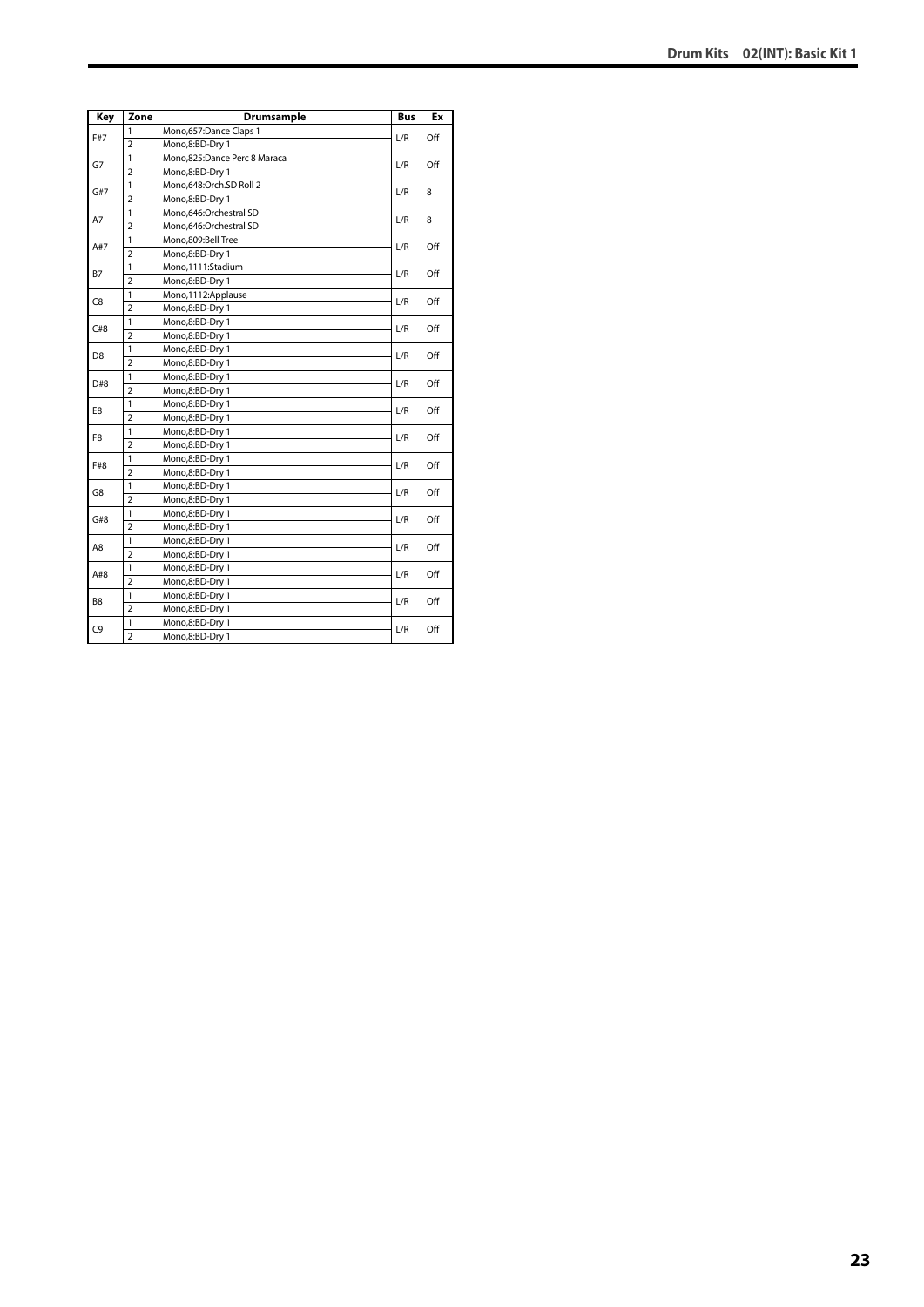| Key            | Zone           | <b>Drumsample</b>            | <b>Bus</b> | Ex  |
|----------------|----------------|------------------------------|------------|-----|
| F#7            | 1              | Mono,657:Dance Claps 1       | L/R        | Off |
|                | $\overline{2}$ | Mono,8:BD-Dry 1              |            |     |
| G7             | $\mathbf{1}$   | Mono,825:Dance Perc 8 Maraca | L/R        | Off |
|                | $\overline{2}$ | Mono,8:BD-Dry 1              |            |     |
| G#7            | 1              | Mono,648:Orch.SD Roll 2      | L/R        | 8   |
|                | $\overline{2}$ | Mono,8:BD-Dry 1              |            |     |
| A7             | $\mathbf{1}$   | Mono,646:Orchestral SD       | L/R        | 8   |
|                | $\overline{2}$ | Mono,646:Orchestral SD       |            |     |
| A#7            | $\mathbf{1}$   | Mono,809:Bell Tree           | L/R        | Off |
|                | $\overline{2}$ | Mono,8:BD-Dry 1              |            |     |
| <b>B7</b>      | 1              | Mono.1111:Stadium            | L/R        | Off |
|                | $\overline{2}$ | Mono,8:BD-Dry 1              |            |     |
| C <sub>8</sub> | 1              | Mono,1112:Applause           | L/R        | Off |
|                | $\overline{2}$ | Mono,8:BD-Dry 1              |            |     |
| C#8            | $\mathbf{1}$   | Mono,8:BD-Dry 1              |            | Off |
|                | $\overline{2}$ | Mono,8:BD-Dry 1              | L/R        |     |
| D <sub>8</sub> | $\mathbf{1}$   | Mono,8:BD-Dry 1              | L/R        | Off |
|                | $\overline{2}$ | Mono,8:BD-Dry 1              |            |     |
| D#8            | 1              | Mono,8:BD-Dry 1              | L/R        | Off |
|                | $\overline{2}$ | Mono,8:BD-Dry 1              |            |     |
| E8             | 1              | Mono,8:BD-Dry 1              | L/R        | Off |
|                | $\overline{2}$ | Mono,8:BD-Dry 1              |            |     |
| F8             | 1              | Mono,8:BD-Dry 1              | L/R        | Off |
|                | $\overline{2}$ | Mono,8:BD-Dry 1              |            |     |
| F#8            | $\overline{1}$ | Mono,8:BD-Dry 1              | L/R        | Off |
|                | $\overline{2}$ | Mono,8:BD-Dry 1              |            |     |
| G8             | $\mathbf{1}$   | Mono,8:BD-Dry 1              | L/R        | Off |
|                | $\overline{2}$ | Mono,8:BD-Dry 1              |            |     |
| G#8            | $\mathbf{1}$   | Mono,8:BD-Dry 1              | L/R        | Off |
|                | $\overline{a}$ | Mono,8:BD-Dry 1              |            |     |
|                | 1              | Mono,8:BD-Dry 1              | L/R        |     |
| A8             | $\overline{2}$ | Mono,8:BD-Dry 1              |            | Off |
|                | $\mathbf{1}$   | Mono,8:BD-Dry 1              |            |     |
| A#8            | $\overline{2}$ | Mono,8:BD-Dry 1              | L/R        | Off |
|                | $\mathbf{1}$   | Mono,8:BD-Dry 1              |            |     |
| B <sub>8</sub> | $\overline{2}$ | Mono,8:BD-Dry 1              | L/R        | Off |
|                | $\mathbf{1}$   | Mono,8:BD-Dry 1              |            |     |
| C <sub>9</sub> | $\overline{2}$ | Mono,8:BD-Dry 1              | L/R        | Off |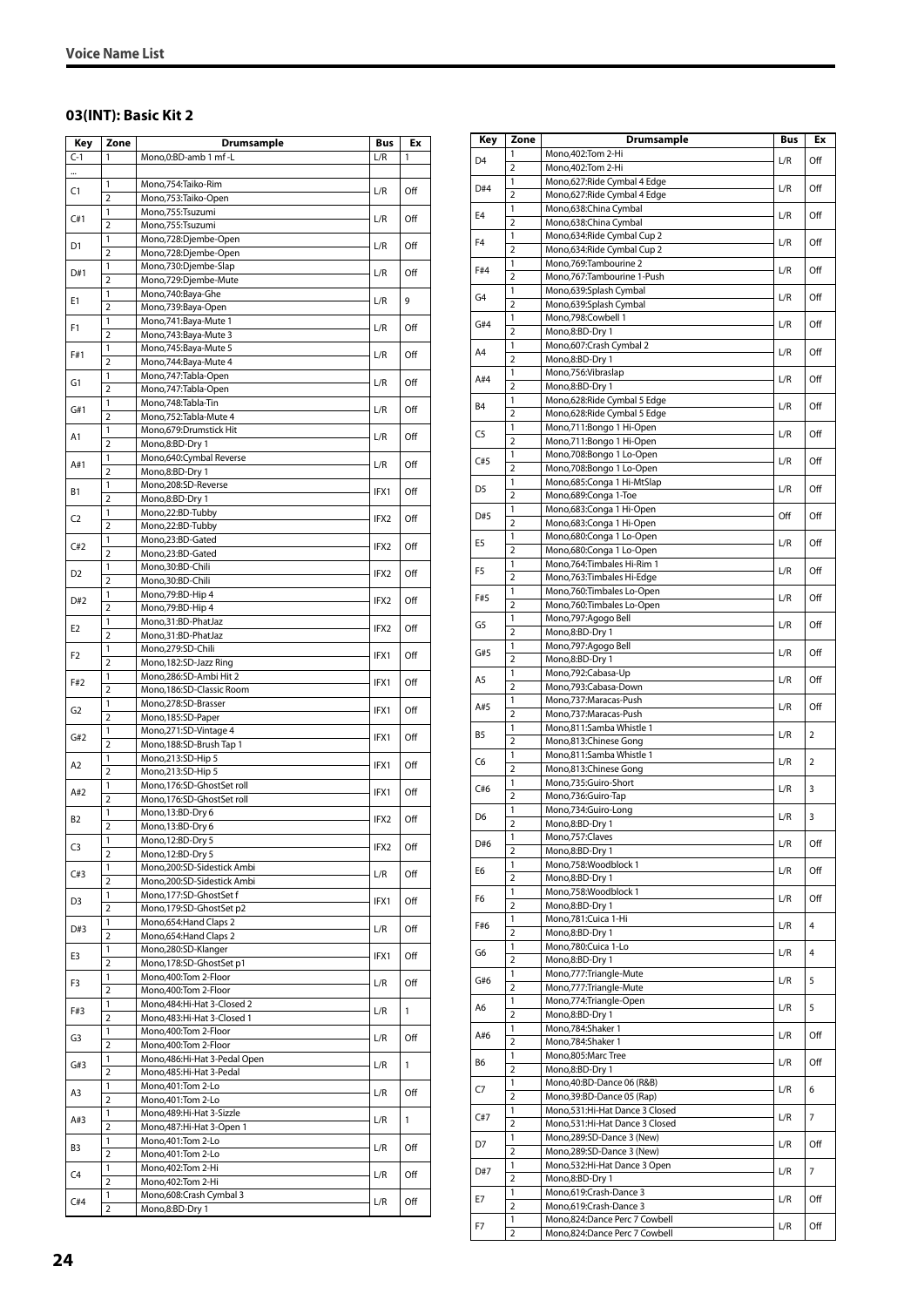#### <span id="page-23-0"></span>**03(INT): Basic Kit 2**

| Key            | Zone                           | Drumsample                                         | Bus  | Ex  |
|----------------|--------------------------------|----------------------------------------------------|------|-----|
| $C-1$          | 1                              | Mono,0:BD-amb 1 mf -L                              | L/R  | 1   |
|                |                                |                                                    |      |     |
| C1             | 1                              | Mono, 754: Taiko-Rim                               | L/R  | Off |
|                | $\overline{2}$                 | Mono, 753: Taiko-Open                              |      |     |
| C#1            | 1                              | Mono,755:Tsuzumi                                   | L/R  | Off |
|                | 2                              | Mono,755:Tsuzumi                                   |      |     |
| D1             | $\mathbf{1}$<br>$\overline{2}$ | Mono,728:Djembe-Open<br>Mono,728:Djembe-Open       | L/R  | Off |
|                | 1                              | Mono,730:Djembe-Slap                               |      |     |
| D#1            | 2                              | Mono,729:Djembe-Mute                               | L/R  | Off |
|                | 1                              | Mono,740:Baya-Ghe                                  |      |     |
| Ε1             | $\overline{2}$                 | Mono,739:Baya-Open                                 | L/R  | 9   |
|                | 1                              | Mono, 741: Baya-Mute 1                             |      |     |
| F1             | $\overline{2}$                 | Mono, 743: Baya-Mute 3                             | L/R  | Off |
| F#1            | 1                              | Mono,745:Baya-Mute 5                               | L/R  | Off |
|                | $\overline{2}$                 | Mono, 744: Baya-Mute 4                             |      |     |
| G1             | 1                              | Mono, 747: Tabla-Open                              | L/R  | Off |
|                | $\overline{2}$                 | Mono, 747: Tabla-Open                              |      |     |
| G#1            | 1                              | Mono, 748: Tabla-Tin                               | L/R  | Off |
|                | $\overline{2}$                 | Mono, 752: Tabla-Mute 4                            |      |     |
| A1             | 1                              | Mono, 679: Drumstick Hit                           | L/R  | Off |
|                | $\overline{2}$<br>1            | Mono,8:BD-Dry 1                                    |      |     |
| A#1            | $\overline{2}$                 | Mono,640:Cymbal Reverse<br>Mono,8:BD-Dry 1         | L/R  | Off |
|                | 1                              | Mono,208:SD-Reverse                                |      |     |
| В1             | $\overline{2}$                 | Mono,8:BD-Dry 1                                    | IFX1 | Off |
|                | 1                              | Mono,22:BD-Tubby                                   |      |     |
| C2             | $\overline{2}$                 | Mono,22:BD-Tubby                                   | IFX2 | Off |
|                | 1                              | Mono,23:BD-Gated                                   |      |     |
| C#2            | $\overline{2}$                 | Mono,23:BD-Gated                                   | IFX2 | Off |
|                | 1                              | Mono,30:BD-Chili                                   |      |     |
| D2             | 2                              | Mono,30:BD-Chili                                   | IFX2 | Off |
| D#2            | 1                              | Mono, 79: BD-Hip 4                                 | IFX2 | Off |
|                | $\overline{2}$                 | Mono, 79: BD-Hip 4                                 |      |     |
| E2             | 1                              | Mono,31:BD-PhatJaz                                 | IFX2 | Off |
|                | 2                              | Mono,31:BD-PhatJaz                                 |      |     |
| F2             | $\mathbf{1}$                   | Mono,279:SD-Chili                                  | IFX1 | Off |
|                | $\overline{2}$                 | Mono, 182: SD-Jazz Ring                            |      |     |
| F#2            | 1                              | Mono,286:SD-Ambi Hit 2                             | IFX1 | Off |
|                | 2                              | Mono, 186: SD-Classic Room                         |      |     |
| G2             | 1<br>$\overline{2}$            | Mono,278:SD-Brasser<br>Mono, 185: SD-Paper         | IFX1 | Off |
|                | 1                              | Mono,271:SD-Vintage 4                              |      |     |
| G#2            | $\overline{2}$                 | Mono, 188: SD-Brush Tap 1                          | IFX1 | Off |
|                | 1                              | Mono,213:SD-Hip 5                                  |      |     |
| Α2             | $\overline{2}$                 | Mono, 213: SD-Hip 5                                | IFX1 | Off |
|                | 1                              | Mono, 176: SD-Ghost Set roll                       |      |     |
| A#2            | $\overline{2}$                 | Mono, 176:SD-GhostSet roll                         | IFX1 | Off |
|                | $\mathbf{1}$                   | Mono, 13:BD-Dry 6                                  |      |     |
| <b>B2</b>      | $\overline{2}$                 | Mono, 13:BD-Dry 6                                  | IFX2 | Off |
| C <sub>3</sub> | 1                              | Mono, 12:BD-Dry 5                                  | IFX2 | Off |
|                | $\overline{2}$                 | Mono, 12:BD-Dry 5                                  |      |     |
| C#3            | 1                              | Mono,200:SD-Sidestick Ambi                         | L/R  | Off |
|                | 2                              | Mono,200:SD-Sidestick Ambi                         |      |     |
| D3             | 1<br>$\overline{2}$            | Mono, 177:SD-GhostSet f                            | IFX1 | Off |
|                |                                | Mono,179:SD-GhostSet p2                            |      |     |
| D#3            | $\mathbf{1}$<br>2              | Mono, 654: Hand Claps 2<br>Mono, 654: Hand Claps 2 | L/R  | Off |
|                | 1                              | Mono,280:SD-Klanger                                |      |     |
| E3             | $\overline{2}$                 | Mono, 178:SD-GhostSet p1                           | IFX1 | Off |
|                | 1                              | Mono, 400: Tom 2-Floor                             |      |     |
| F3             | 2                              | Mono, 400: Tom 2-Floor                             | L/R  | Off |
|                | 1                              | Mono, 484: Hi-Hat 3-Closed 2                       |      |     |
| F#3            | $\overline{2}$                 | Mono, 483: Hi-Hat 3-Closed 1                       | L/R  | 1   |
|                | 1                              | Mono, 400: Tom 2-Floor                             |      |     |
| G3             | 2                              | Mono, 400: Tom 2-Floor                             | L/R  | Off |
| G#3            | 1                              | Mono, 486: Hi-Hat 3-Pedal Open                     | L/R  | 1   |
|                | $\overline{2}$                 | Mono, 485: Hi-Hat 3-Pedal                          |      |     |
| A3             | $\mathbf{1}$                   | Mono, 401: Tom 2-Lo                                | L/R  | Off |
|                | 2                              | Mono, 401: Tom 2-Lo                                |      |     |
| A#3            | 1                              | Mono, 489: Hi-Hat 3-Sizzle                         | L/R  | 1   |
|                | $\overline{2}$                 | Mono, 487: Hi-Hat 3-Open 1                         |      |     |
| B3             | 1                              | Mono, 401: Tom 2-Lo                                | L/R  | Off |
|                | 2<br>1                         | Mono, 401: Tom 2-Lo<br>Mono, 402: Tom 2-Hi         |      |     |
| C4             | $\overline{2}$                 | Mono, 402: Tom 2-Hi                                | L/R  | Off |
|                | 1                              | Mono,608:Crash Cymbal 3                            |      |     |
| C#4            | 2                              | Mono,8:BD-Dry 1                                    | L/R  | Off |

| Key            | Zone                | <b>Drumsample</b>                                           | Bus | Еx                      |
|----------------|---------------------|-------------------------------------------------------------|-----|-------------------------|
| D <sub>4</sub> | 1                   | Mono, 402: Tom 2-Hi                                         | L/R | Off                     |
|                | $\overline{2}$      | Mono, 402: Tom 2-Hi                                         |     |                         |
| D#4            | 1                   | Mono,627: Ride Cymbal 4 Edge                                | L/R | Off                     |
|                | $\overline{2}$<br>1 | Mono,627: Ride Cymbal 4 Edge                                |     |                         |
| E <sub>4</sub> | $\overline{2}$      | Mono,638:China Cymbal<br>Mono,638:China Cymbal              | L/R | Off                     |
|                | 1                   | Mono,634: Ride Cymbal Cup 2                                 |     |                         |
| F <sub>4</sub> | $\overline{2}$      | Mono,634: Ride Cymbal Cup 2                                 | L/R | Off                     |
| F#4            | 1                   | Mono,769:Tambourine 2                                       | L/R | Off                     |
|                | $\overline{2}$      | Mono,767:Tambourine 1-Push                                  |     |                         |
| G4             | 1                   | Mono,639:Splash Cymbal                                      | L/R | Off                     |
|                | $\overline{2}$<br>1 | Mono,639:Splash Cymbal<br>Mono,798:Cowbell 1                |     |                         |
| G#4            | $\overline{2}$      | Mono,8:BD-Dry 1                                             | L/R | Off                     |
|                | 1                   | Mono, 607: Crash Cymbal 2                                   |     | Off                     |
| A4             | $\overline{2}$      | Mono,8:BD-Dry 1                                             | L/R |                         |
| A#4            | 1                   | Mono,756:Vibraslap                                          | L/R | Off                     |
|                | 2                   | Mono,8:BD-Dry 1                                             |     |                         |
| B4             | 1<br>$\overline{2}$ | Mono,628:Ride Cymbal 5 Edge<br>Mono,628: Ride Cymbal 5 Edge | L/R | Off                     |
|                | 1                   | Mono,711:Bongo 1 Hi-Open                                    |     |                         |
| C5             | $\overline{2}$      | Mono,711:Bongo 1 Hi-Open                                    | L/R | Off                     |
|                | 1                   | Mono,708:Bongo 1 Lo-Open                                    |     |                         |
| C#5            | $\overline{2}$      | Mono,708:Bongo 1 Lo-Open                                    | L/R | Off                     |
| D <sub>5</sub> | 1                   | Mono,685:Conga 1 Hi-MtSlap                                  | L/R | Off                     |
|                | $\overline{2}$      | Mono,689:Conga 1-Toe                                        |     |                         |
| D#5            | 1<br>$\overline{2}$ | Mono,683:Conga 1 Hi-Open<br>Mono,683:Conga 1 Hi-Open        | Off | Off                     |
|                | 1                   | Mono,680:Conga 1 Lo-Open                                    |     |                         |
| E <sub>5</sub> | $\overline{2}$      | Mono,680:Conga 1 Lo-Open                                    | L/R | Off                     |
| F <sub>5</sub> | 1                   | Mono, 764: Timbales Hi-Rim 1                                | L/R | Off                     |
|                | $\overline{2}$      | Mono,763:Timbales Hi-Edge                                   |     |                         |
| F#5            | 1                   | Mono, 760: Timbales Lo-Open                                 | L/R | Off                     |
|                | $\overline{2}$<br>1 | Mono, 760: Timbales Lo-Open<br>Mono,797:Agogo Bell          |     |                         |
| G5             | $\overline{2}$      | Mono,8:BD-Dry 1                                             | L/R | Off                     |
|                | 1                   | Mono,797:Agogo Bell                                         |     |                         |
| G#5            | $\overline{2}$      | Mono,8:BD-Dry 1                                             | L/R | Off                     |
| A <sub>5</sub> | 1                   | Mono,792:Cabasa-Up                                          | L/R | Off                     |
|                | $\overline{2}$      | Mono,793:Cabasa-Down                                        |     |                         |
| A#5            | 1<br>$\overline{2}$ | Mono,737:Maracas-Push<br>Mono,737:Maracas-Push              | L/R | Off                     |
|                | 1                   | Mono,811:Samba Whistle 1                                    |     |                         |
| B <sub>5</sub> | $\overline{2}$      | Mono,813:Chinese Gong                                       | L/R | $\overline{2}$          |
| C <sub>6</sub> | 1                   | Mono,811:Samba Whistle 1                                    | L/R | 2                       |
|                | $\overline{2}$      | Mono,813:Chinese Gong                                       |     |                         |
| C#6            | 1<br>2              | Mono,735:Guiro-Short                                        | L/R | 3                       |
|                | 1                   | Mono,736:Guiro-Tap<br>Mono,734:Guiro-Long                   |     |                         |
| D <sub>6</sub> | 2                   | Mono,8:BD-Dry 1                                             | L/R | 3                       |
|                | $\mathbf{1}$        | Mono,757:Claves                                             |     |                         |
| D#6            | $\overline{2}$      | Mono,8:BD-Dry 1                                             | L/R | Off                     |
| E6             | 1                   | Mono,758:Woodblock 1                                        | L/R | Off                     |
|                | $\overline{2}$      | Mono,8:BD-Dry 1                                             |     |                         |
| F6             | 1<br>$\overline{2}$ | Mono,758:Woodblock 1<br>Mono,8:BD-Dry 1                     | L/R | Off                     |
|                | 1                   | Mono,781:Cuica 1-Hi                                         |     |                         |
| F#6            | $\overline{2}$      | Mono,8:BD-Dry 1                                             | L/R | $\overline{4}$          |
| G6             | 1                   | Mono,780:Cuica 1-Lo                                         | L/R | 4                       |
|                | $\overline{2}$      | Mono,8:BD-Dry 1                                             |     |                         |
| G#6            | 1<br>$\overline{2}$ | Mono,777: Triangle-Mute<br>Mono,777:Triangle-Mute           | L/R | 5                       |
|                | 1                   | Mono,774: Triangle-Open                                     |     |                         |
| A6             | $\overline{2}$      | Mono,8:BD-Dry 1                                             | L/R | 5                       |
|                | 1                   | Mono,784:Shaker 1                                           |     |                         |
| A#6            | $\overline{2}$      | Mono,784:Shaker 1                                           | L/R | Off                     |
| В6             | 1                   | Mono,805:Marc Tree                                          | L/R | Off                     |
|                | $\overline{2}$<br>1 | Mono,8:BD-Dry 1                                             |     |                         |
| C7             | $\overline{2}$      | Mono, 40: BD-Dance 06 (R&B)<br>Mono, 39: BD-Dance 05 (Rap)  | L/R | 6                       |
|                | 1                   | Mono,531:Hi-Hat Dance 3 Closed                              |     |                         |
| C#7            | 2                   | Mono,531:Hi-Hat Dance 3 Closed                              | L/R | $\overline{\mathbf{z}}$ |
| D7             | 1                   | Mono,289:SD-Dance 3 (New)                                   | L/R | Off                     |
|                | $\overline{2}$      | Mono,289:SD-Dance 3 (New)                                   |     |                         |
| D#7            | 1<br>$\overline{2}$ | Mono,532:Hi-Hat Dance 3 Open                                | L/R | 7                       |
|                | 1                   | Mono,8:BD-Dry 1<br>Mono,619:Crash-Dance 3                   |     |                         |
| E7             | $\overline{2}$      | Mono,619:Crash-Dance 3                                      | L/R | Off                     |
|                | 1                   | Mono,824:Dance Perc 7 Cowbell                               |     |                         |
| F7             | $\overline{2}$      | Mono,824:Dance Perc 7 Cowbell                               | L/R | Off                     |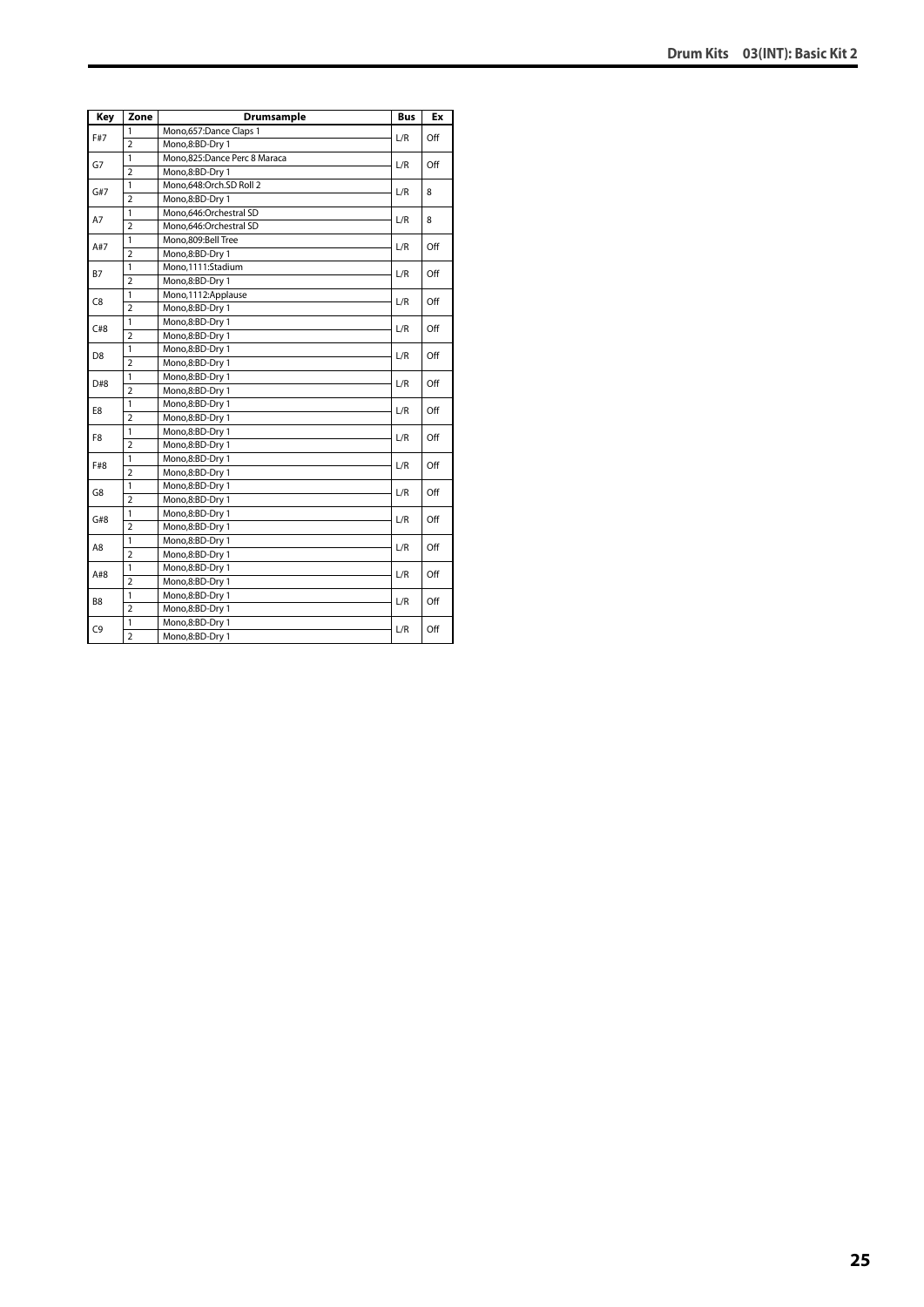| Key            | Zone           | Drumsample                   | <b>Bus</b> | Ex  |
|----------------|----------------|------------------------------|------------|-----|
|                | 1              | Mono,657:Dance Claps 1       |            |     |
| F#7            | $\overline{2}$ | Mono,8:BD-Dry 1              | L/R        | Off |
|                | 1              | Mono,825:Dance Perc 8 Maraca |            |     |
| G7             | $\overline{2}$ | Mono,8:BD-Dry 1              | L/R        | Off |
| G#7            | 1              | Mono,648:Orch.SD Roll 2      | L/R        | 8   |
|                | $\overline{a}$ | Mono,8:BD-Dry 1              |            |     |
| A7             | $\mathbf{1}$   | Mono,646:Orchestral SD       | L/R        | 8   |
|                | $\overline{2}$ | Mono,646:Orchestral SD       |            |     |
|                | 1              | Mono,809:Bell Tree           | L/R        | Off |
| A#7            | $\overline{2}$ | Mono,8:BD-Dry 1              |            |     |
| B7             | 1              | Mono,1111:Stadium            |            | Off |
|                | $\overline{2}$ | Mono,8:BD-Dry 1              | L/R        |     |
|                | 1              | Mono, 1112: Applause         |            |     |
| C8             | $\overline{2}$ | Mono,8:BD-Dry 1              | L/R        | Off |
|                | 1              | Mono,8:BD-Dry 1              |            | Off |
| C#8            | $\overline{2}$ | Mono,8:BD-Dry 1              | L/R        |     |
|                | 1              | Mono,8:BD-Dry 1              | L/R        | Off |
| D <sub>8</sub> | $\overline{2}$ | Mono,8:BD-Dry 1              |            |     |
| D#8            | $\overline{1}$ | Mono,8:BD-Dry 1              | L/R        | Off |
|                | $\overline{2}$ | Mono,8:BD-Dry 1              |            |     |
| E8             | 1              | Mono,8:BD-Dry 1              | L/R        | Off |
|                | $\overline{2}$ | Mono,8:BD-Dry 1              |            |     |
| F8             | 1              | Mono,8:BD-Dry 1              | L/R        |     |
|                | $\overline{2}$ | Mono,8:BD-Dry 1              |            | Off |
| F#8            | $\mathbf{1}$   | Mono,8:BD-Dry 1              | L/R        | Off |
|                | $\overline{2}$ | Mono,8:BD-Dry 1              |            |     |
| G8             | 1              | Mono,8:BD-Dry 1              | L/R        | Off |
|                | $\overline{2}$ | Mono,8:BD-Dry 1              |            |     |
| G#8            | 1              | Mono,8:BD-Dry 1              | L/R        | Off |
|                | $\overline{2}$ | Mono,8:BD-Dry 1              |            |     |
| A8             | 1              | Mono,8:BD-Dry 1              | L/R        | Off |
|                | $\overline{2}$ | Mono,8:BD-Dry 1              |            |     |
| A#8            | 1              | Mono,8:BD-Dry 1              | L/R        | Off |
|                | $\overline{a}$ | Mono,8:BD-Dry 1              |            |     |
| B8             | 1              | Mono,8:BD-Dry 1              |            | Off |
|                | $\overline{2}$ | Mono,8:BD-Dry 1              | L/R        |     |
| C <sub>9</sub> | 1              | Mono,8:BD-Dry 1              | L/R        | Off |
|                | $\overline{2}$ | Mono,8:BD-Dry 1              |            |     |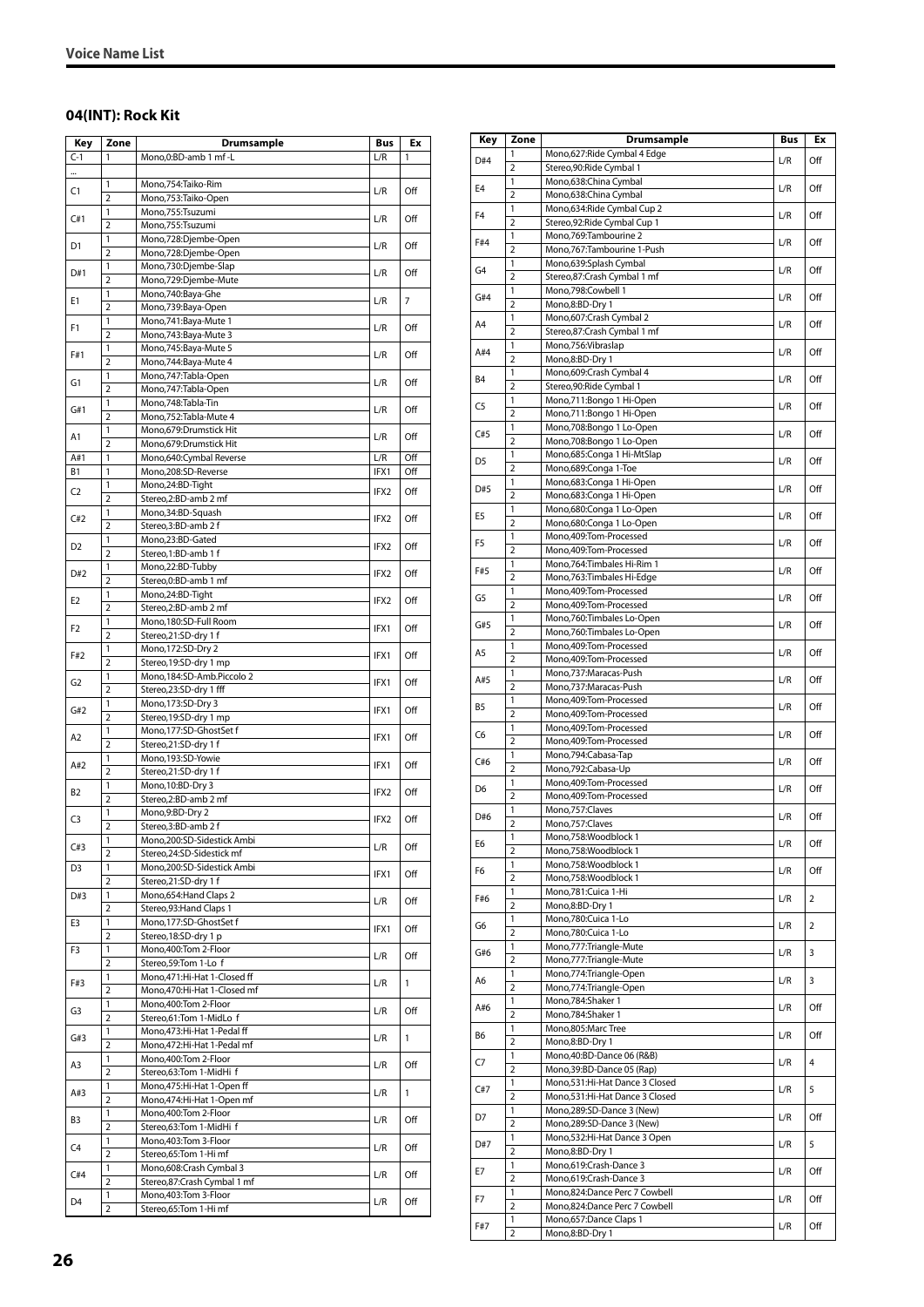#### <span id="page-25-0"></span>**04(INT): Rock Kit**

| Key            | Zone                | Drumsample                                             | Bus              | Ex             |
|----------------|---------------------|--------------------------------------------------------|------------------|----------------|
| $C-1$          | 1                   | Mono, 0: BD-amb 1 mf - L                               | L/R              | 1              |
|                |                     |                                                        |                  |                |
| C1             | 1                   | Mono,754:Taiko-Rim                                     | L/R              | Off            |
|                | $\overline{2}$      | Mono, 753: Taiko-Open                                  |                  |                |
| C#1            | 1                   | Mono,755:Tsuzumi                                       | L/R              | Off            |
|                | 2                   | Mono,755:Tsuzumi<br>Mono,728:Djembe-Open               |                  |                |
| D1             | 1<br>$\overline{2}$ | Mono,728:Djembe-Open                                   | L/R              | Off            |
|                | 1                   | Mono,730:Djembe-Slap                                   |                  |                |
| D#1            | $\overline{2}$      | Mono,729:Djembe-Mute                                   | L/R              | Off            |
|                | 1                   | Mono,740:Baya-Ghe                                      |                  |                |
| E1             | $\overline{2}$      | Mono,739:Baya-Open                                     | L/R              | $\overline{7}$ |
| F1             | 1                   | Mono, 741: Baya-Mute 1                                 |                  |                |
|                | $\overline{2}$      | Mono, 743: Baya-Mute 3                                 | L/R              | Off            |
| F#1            | 1                   | Mono, 745: Baya-Mute 5                                 | L/R              | Off            |
|                | $\overline{2}$      | Mono, 744: Baya-Mute 4                                 |                  |                |
| G1             | 1                   | Mono, 747: Tabla-Open                                  | L/R              | Off            |
|                | $\overline{2}$      | Mono, 747: Tabla-Open                                  |                  |                |
| G#1            | 1                   | Mono, 748: Tabla-Tin                                   | L/R              | Off            |
|                | $\overline{2}$<br>1 | Mono, 752: Tabla-Mute 4<br>Mono,679:Drumstick Hit      |                  |                |
| A1             | $\overline{2}$      | Mono, 679: Drumstick Hit                               | L/R              | Off            |
| A#1            | 1                   | Mono,640:Cymbal Reverse                                | L/R              | Off            |
| В1             | 1                   | Mono,208:SD-Reverse                                    | IFX1             | Off            |
|                | 1                   | Mono,24:BD-Tight                                       |                  |                |
| C <sub>2</sub> | $\overline{2}$      | Stereo,2:BD-amb 2 mf                                   | IFX2             | Off            |
| C#2            | 1                   | Mono, 34: BD-Squash                                    | IFX2             | Off            |
|                | 2                   | Stereo,3:BD-amb 2 f                                    |                  |                |
| D <sub>2</sub> | 1                   | Mono,23:BD-Gated                                       | IFX2             | Off            |
|                | $\overline{2}$      | Stereo,1:BD-amb 1 f                                    |                  |                |
| D#2            | 1                   | Mono,22:BD-Tubby                                       | IFX2             | Off            |
|                | 2                   | Stereo,0:BD-amb 1 mf                                   |                  |                |
| E2             | $\mathbf{1}$        | Mono,24:BD-Tight                                       | IFX <sub>2</sub> | Off            |
|                | $\overline{2}$      | Stereo,2:BD-amb 2 mf                                   |                  |                |
| F2             | 1                   | Mono, 180:SD-Full Room                                 | IFX1             | Off            |
|                | $\overline{2}$<br>1 | Stereo,21:SD-dry 1 f<br>Mono, 172:SD-Dry 2             |                  |                |
| F#2            | $\overline{2}$      | Stereo, 19:SD-dry 1 mp                                 | IFX1             | Off            |
|                | 1                   | Mono, 184: SD-Amb. Piccolo 2                           |                  |                |
| G2             | $\overline{2}$      | Stereo,23:SD-dry 1 fff                                 | IFX1             | Off            |
|                | 1                   | Mono, 173:SD-Dry 3                                     |                  |                |
| G#2            | $\overline{2}$      | Stereo, 19:SD-dry 1 mp                                 | IFX1             | Off            |
|                | 1                   | Mono,177:SD-GhostSet f                                 |                  | Off            |
| Α2             | $\overline{2}$      | Stereo,21:SD-dry 1 f                                   | IFX1             |                |
| A#2            | 1                   | Mono, 193: SD-Yowie                                    | IFX1             | Off            |
|                | $\overline{2}$      | Stereo,21:SD-dry 1 f                                   |                  |                |
| <b>B2</b>      | 1                   | Mono, 10:BD-Dry 3                                      | IFX2             | Off            |
|                | $\overline{2}$      | Stereo,2:BD-amb 2 mf                                   |                  |                |
| C <sub>3</sub> | 1<br>$\overline{2}$ | Mono, 9:BD-Dry 2                                       | IFX2             | Off            |
|                | 1                   | Stereo,3:BD-amb 2 f<br>Mono,200:SD-Sidestick Ambi      |                  |                |
| C#3            | $\overline{2}$      | Stereo,24:SD-Sidestick mf                              | L/R              | Off            |
| D3             | $\mathbf{1}$        | Mono,200:SD-Sidestick Ambi                             |                  |                |
|                | 2                   | Stereo,21:SD-dry 1 f                                   | IFX1             | Off            |
| D#3            | 1                   | Mono, 654: Hand Claps 2                                |                  |                |
|                | $\overline{2}$      | Stereo, 93: Hand Claps 1                               | L/R              | Off            |
| E3             | $\mathbf{1}$        | Mono, 177: SD-Ghost Set f                              | IFX1             | Off            |
|                | 2                   | Stereo, 18:SD-dry 1 p                                  |                  |                |
| F3             | 1                   | Mono, 400: Tom 2-Floor                                 | L/R              | Off            |
|                | 2                   | Stereo, 59: Tom 1-Lo f                                 |                  |                |
| F#3            | $\mathbf{1}$        | Mono, 471: Hi-Hat 1-Closed ff                          | L/R              | $\mathbf{1}$   |
|                | 2                   | Mono, 470: Hi-Hat 1-Closed mf                          |                  |                |
| G3             | 1                   | Mono, 400: Tom 2-Floor                                 | L/R              | Off            |
|                | $\overline{2}$      | Stereo,61:Tom 1-MidLo f                                |                  |                |
| G#3            | $\mathbf{1}$        | Mono, 473: Hi-Hat 1-Pedal ff                           | L/R              | $\mathbf{1}$   |
|                | 2<br>1              | Mono, 472: Hi-Hat 1-Pedal mf<br>Mono, 400: Tom 2-Floor |                  |                |
| A3             | $\overline{2}$      | Stereo,63:Tom 1-MidHi f                                | L/R              | Off            |
|                | 1                   | Mono, 475: Hi-Hat 1-Open ff                            |                  |                |
| A#3            | 2                   | Mono, 474: Hi-Hat 1-Open mf                            | L/R              | $\mathbf{1}$   |
|                | 1                   | Mono, 400: Tom 2-Floor                                 |                  |                |
| B3             | $\overline{2}$      | Stereo,63:Tom 1-MidHi f                                | L/R              | Off            |
|                | 1                   | Mono, 403: Tom 3-Floor                                 |                  |                |
| C4             | 2                   | Stereo,65:Tom 1-Hi mf                                  | L/R              | Off            |
|                | 1                   | Mono, 608: Crash Cymbal 3                              |                  |                |
| C#4            | $\overline{2}$      | Stereo,87:Crash Cymbal 1 mf                            | L/R              | Off            |
| D4             | 1                   | Mono, 403: Tom 3-Floor                                 |                  |                |
|                | $\overline{2}$      | Stereo,65:Tom 1-Hi mf                                  | L/R              | Off            |

| Key            | Zone                | Drumsample                                                   | <b>Bus</b> | Еx             |
|----------------|---------------------|--------------------------------------------------------------|------------|----------------|
|                | 1                   | Mono,627: Ride Cymbal 4 Edge                                 |            |                |
| D#4            | $\overline{2}$      | Stereo, 90: Ride Cymbal 1                                    | L/R        | Off            |
| E4             | 1                   | Mono,638:China Cymbal                                        | L/R        | Off            |
|                | $\overline{2}$      | Mono,638:China Cymbal                                        |            |                |
| F <sub>4</sub> | 1<br>$\overline{2}$ | Mono,634: Ride Cymbal Cup 2<br>Stereo, 92: Ride Cymbal Cup 1 | L/R        | Off            |
|                | 1                   | Mono, 769: Tambourine 2                                      |            |                |
| F#4            | 2                   | Mono,767:Tambourine 1-Push                                   | L/R        | Off            |
| G4             | 1                   | Mono,639:Splash Cymbal                                       | L/R        |                |
|                | $\overline{2}$      | Stereo,87:Crash Cymbal 1 mf                                  |            | Off            |
| G#4            | 1                   | Mono,798:Cowbell 1                                           | L/R        | Off            |
|                | 2<br>1              | Mono,8:BD-Dry 1<br>Mono, 607: Crash Cymbal 2                 |            |                |
| A <sub>4</sub> | $\overline{2}$      | Stereo,87:Crash Cymbal 1 mf                                  | L/R        | Off            |
|                | $\mathbf{1}$        | Mono,756:Vibraslap                                           |            |                |
| A#4            | $\overline{2}$      | Mono,8:BD-Dry 1                                              | L/R        | Off            |
| B4             | 1                   | Mono,609:Crash Cymbal 4                                      | L/R        | Off            |
|                | $\overline{2}$      | Stereo, 90: Ride Cymbal 1                                    |            |                |
| C5             | 1                   | Mono,711:Bongo 1 Hi-Open                                     | L/R        | Off            |
|                | $\overline{2}$<br>1 | Mono,711:Bongo 1 Hi-Open<br>Mono,708:Bongo 1 Lo-Open         |            |                |
| C#5            | $\overline{2}$      | Mono,708:Bongo 1 Lo-Open                                     | L/R        | Off            |
|                | 1                   | Mono,685:Conga 1 Hi-MtSlap                                   |            |                |
| D <sub>5</sub> | $\overline{2}$      | Mono,689:Conga 1-Toe                                         | L/R        | Off            |
| D#5            | 1                   | Mono,683:Conga 1 Hi-Open                                     | L/R        | Off            |
|                | $\overline{2}$      | Mono,683:Conga 1 Hi-Open                                     |            |                |
| E5             | 1                   | Mono,680:Conga 1 Lo-Open                                     | L/R        | Off            |
|                | $\overline{2}$<br>1 | Mono,680:Conga 1 Lo-Open                                     |            |                |
| F <sub>5</sub> | $\overline{2}$      | Mono,409:Tom-Processed<br>Mono,409:Tom-Processed             | L/R        | Off            |
|                | 1                   | Mono, 764: Timbales Hi-Rim 1                                 |            |                |
| F#5            | $\overline{2}$      | Mono, 763: Timbales Hi-Edge                                  | L/R        | Off            |
| G5             | 1                   | Mono,409:Tom-Processed                                       | L/R        | Off            |
|                | $\overline{2}$      | Mono,409:Tom-Processed                                       |            |                |
| G#5            | 1                   | Mono, 760: Timbales Lo-Open                                  | L/R        | Off            |
|                | $\overline{2}$<br>1 | Mono,760:Timbales Lo-Open<br>Mono,409:Tom-Processed          |            |                |
| A5             | 2                   | Mono,409:Tom-Processed                                       | L/R        | Off            |
|                | 1                   | Mono,737:Maracas-Push                                        |            |                |
| A#5            | $\overline{2}$      | Mono,737:Maracas-Push                                        | L/R        | Off            |
| B <sub>5</sub> | 1                   | Mono,409:Tom-Processed                                       | L/R        | Off            |
|                | 2                   | Mono,409:Tom-Processed                                       |            |                |
| C6             | 1<br>$\overline{2}$ | Mono,409:Tom-Processed<br>Mono,409:Tom-Processed             | L/R        | Off            |
|                | 1                   | Mono,794:Cabasa-Tap                                          |            |                |
| C#6            | $\overline{2}$      | Mono,792:Cabasa-Up                                           | L/R        | Off            |
| D <sub>6</sub> | 1                   | Mono,409:Tom-Processed                                       | L/R        | Off            |
|                | $\overline{2}$      | Mono,409:Tom-Processed                                       |            |                |
| D#6            | 1                   | Mono,757:Claves                                              | L/R        | Off            |
|                | $\overline{2}$<br>1 | Mono, 757: Claves<br>Mono,758:Woodblock 1                    |            |                |
| E6             | $\overline{2}$      | Mono,758:Woodblock 1                                         | L/R        | Off            |
|                | 1                   | Mono,758:Woodblock 1                                         |            |                |
| F6             | 2                   | Mono,758:Woodblock 1                                         | L/R        | Off            |
| F#6            | 1                   | Mono,781: Cuica 1-Hi                                         | L/R        | $\overline{2}$ |
|                | $\overline{2}$      | Mono,8:BD-Dry 1                                              |            |                |
| G6             | 1<br>$\overline{2}$ | Mono,780:Cuica 1-Lo<br>Mono,780:Cuica 1-Lo                   | L/R        | $\overline{2}$ |
|                | 1                   | Mono,777: Triangle-Mute                                      |            |                |
| G#6            | $\overline{2}$      | Mono,777: Triangle-Mute                                      | L/R        | 3              |
| A6             | 1                   | Mono, 774: Triangle-Open                                     |            | 3              |
|                | $\overline{2}$      | Mono,774:Triangle-Open                                       | L/R        |                |
| A#6            | 1                   | Mono,784:Shaker 1                                            | L/R        | Off            |
|                | $\overline{2}$      | Mono,784:Shaker 1                                            |            |                |
| B6             | 1<br>2              | Mono,805:Marc Tree<br>Mono,8:BD-Dry 1                        | L/R        | Off            |
|                | 1                   | Mono, 40: BD-Dance 06 (R&B)                                  |            |                |
| C7             | $\overline{2}$      | Mono, 39: BD-Dance 05 (Rap)                                  | L/R        | 4              |
| C#7            | 1                   | Mono,531:Hi-Hat Dance 3 Closed                               | L/R        | 5              |
|                | 2                   | Mono,531:Hi-Hat Dance 3 Closed                               |            |                |
| D7             | 1                   | Mono,289:SD-Dance 3 (New)                                    | L/R        | Off            |
|                | $\overline{2}$<br>1 | Mono,289:SD-Dance 3 (New)<br>Mono,532:Hi-Hat Dance 3 Open    |            |                |
| D#7            | $\overline{2}$      | Mono,8:BD-Dry 1                                              | L/R        | 5              |
|                | $\mathbf{1}$        | Mono,619:Crash-Dance 3                                       |            |                |
| E7             | $\overline{2}$      | Mono,619:Crash-Dance 3                                       | L/R        | Off            |
| F7             | 1                   | Mono,824:Dance Perc 7 Cowbell                                | L/R        | Off            |
|                | $\overline{2}$      | Mono,824:Dance Perc 7 Cowbell                                |            |                |
| F#7            | 1<br>2              | Mono, 657: Dance Claps 1<br>Mono,8:BD-Dry 1                  | L/R        | Off            |
|                |                     |                                                              |            |                |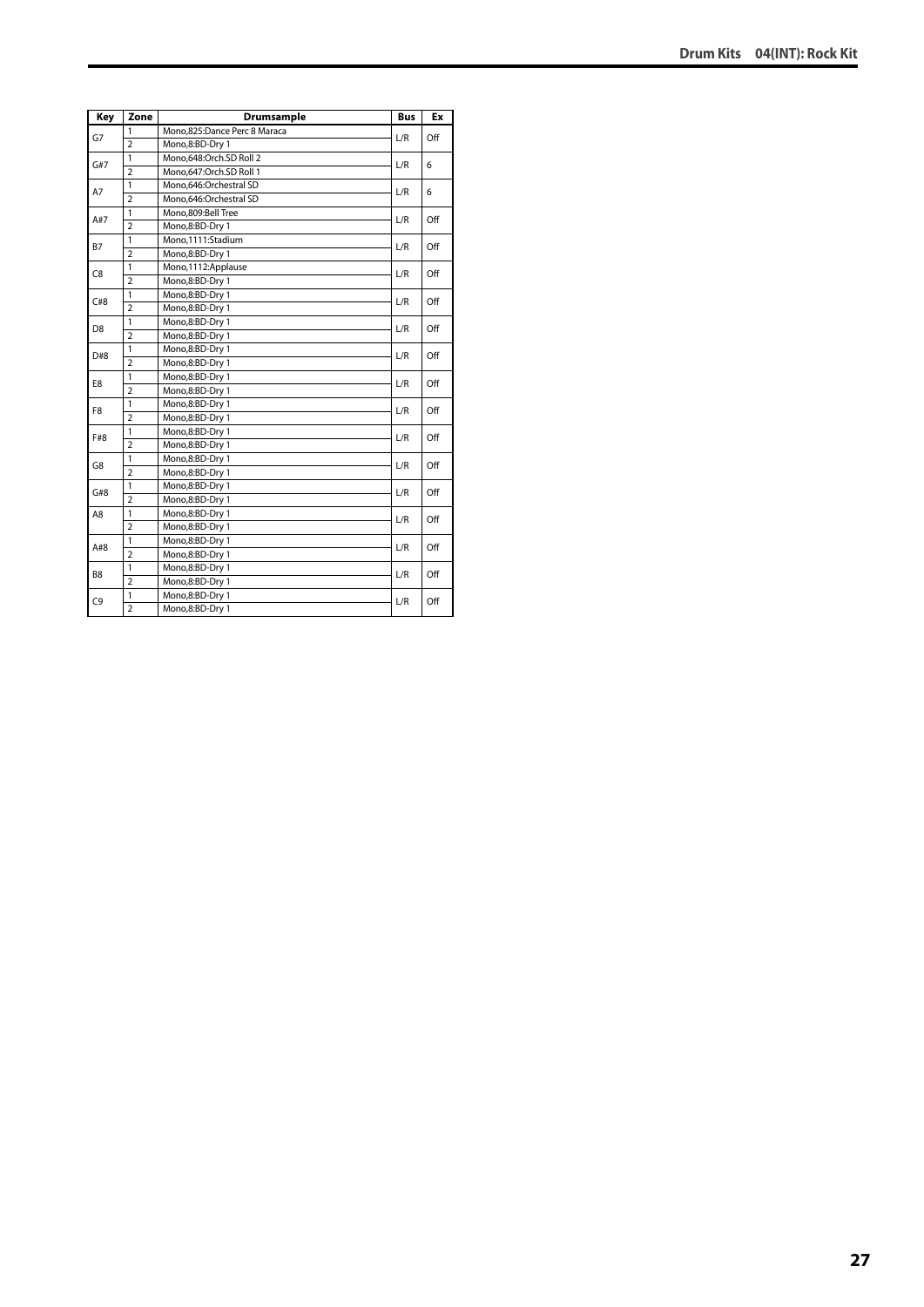| Key            | Zone           | Drumsample                   | <b>Bus</b> | Ex  |
|----------------|----------------|------------------------------|------------|-----|
| G7             | 1              | Mono,825:Dance Perc 8 Maraca | L/R        | Off |
|                | $\overline{2}$ | Mono,8:BD-Dry 1              |            |     |
|                | 1              | Mono,648:Orch.SD Roll 2      |            |     |
| G#7            | $\overline{2}$ | Mono.647:Orch.SD Roll 1      | L/R        | 6   |
| A7             | 1              | Mono,646:Orchestral SD       | L/R        | 6   |
|                | $\overline{2}$ | Mono,646:Orchestral SD       |            |     |
| A#7            | 1              | Mono.809:Bell Tree           | L/R        | Off |
|                | $\overline{2}$ | Mono,8:BD-Dry 1              |            |     |
| <b>B7</b>      | $\mathbf{1}$   | Mono,1111:Stadium            | L/R        | Off |
|                | $\overline{2}$ | Mono,8:BD-Dry 1              |            |     |
| C <sub>8</sub> | $\mathbf{1}$   | Mono,1112:Applause           | L/R        | Off |
|                | $\overline{2}$ | Mono,8:BD-Dry 1              |            |     |
| C#8            | $\mathbf{1}$   | Mono,8:BD-Dry 1              | L/R        | Off |
|                | $\overline{2}$ | Mono,8:BD-Dry 1              |            |     |
| D <sub>8</sub> | 1              | Mono,8:BD-Dry 1              | L/R        | Off |
|                | $\overline{2}$ | Mono,8:BD-Dry 1              |            |     |
| D#8            | 1              | Mono,8:BD-Dry 1              | L/R        | Off |
|                | $\overline{2}$ | Mono,8:BD-Dry 1              |            |     |
| E8             | 1              | Mono,8:BD-Dry 1              | L/R        | Off |
|                | $\overline{2}$ | Mono,8:BD-Dry 1              |            |     |
| F8             | $\mathbf{1}$   | Mono,8:BD-Dry 1              | L/R        | Off |
|                | $\overline{2}$ | Mono,8:BD-Dry 1              |            |     |
| F#8            | $\mathbf{1}$   | Mono,8:BD-Dry 1              | L/R        | Off |
|                | $\overline{2}$ | Mono,8:BD-Dry 1              |            |     |
| G8             | 1              | Mono,8:BD-Dry 1              | L/R        | Off |
|                | $\overline{2}$ | Mono,8:BD-Dry 1              |            |     |
| G#8            | 1              | Mono,8:BD-Dry 1              | L/R        | Off |
|                | $\overline{2}$ | Mono,8:BD-Dry 1              |            |     |
| A8             | 1              | Mono,8:BD-Dry 1              | L/R        | Off |
|                | $\overline{2}$ | Mono,8:BD-Dry 1              |            |     |
| A#8            | 1              | Mono,8:BD-Dry 1              | L/R        | Off |
|                | $\overline{2}$ | Mono,8:BD-Dry 1              |            |     |
| B8             | 1              | Mono,8:BD-Dry 1              |            |     |
|                | $\overline{2}$ | Mono,8:BD-Dry 1              | L/R        | Off |
| C <sub>9</sub> | 1              | Mono,8:BD-Dry 1              | L/R        | Off |
|                | $\overline{2}$ | Mono,8:BD-Dry 1              |            |     |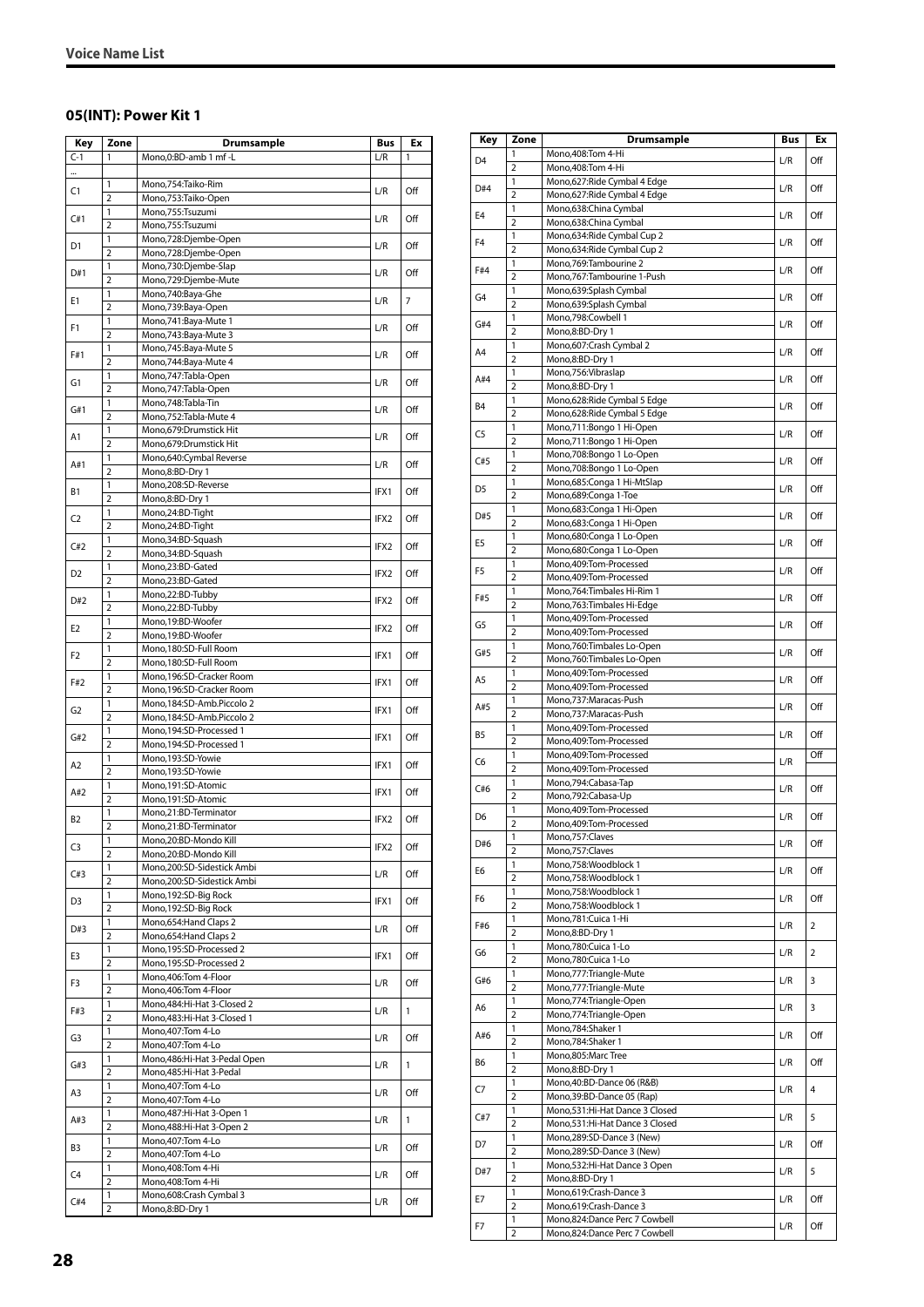#### <span id="page-27-0"></span>**05(INT): Power Kit 1**

| Key            | Zone                    | Drumsample                                            | Bus              | Ex  |
|----------------|-------------------------|-------------------------------------------------------|------------------|-----|
| $C-1$          | 1                       | Mono,0:BD-amb 1 mf-L                                  | L/R              | 1   |
|                |                         |                                                       |                  |     |
| C1             | 1                       | Mono,754:Taiko-Rim                                    | L/R              | Off |
|                | $\overline{2}$          | Mono,753:Taiko-Open                                   |                  |     |
| C#1            | 1<br>$\overline{2}$     | Mono,755:Tsuzumi<br>Mono,755:Tsuzumi                  | L/R              | Off |
|                | 1                       | Mono,728:Djembe-Open                                  |                  |     |
| D1             | $\overline{2}$          | Mono,728:Djembe-Open                                  | L/R              | Off |
|                | 1                       | Mono,730:Djembe-Slap                                  |                  |     |
| D#1            | $\overline{2}$          | Mono,729:Djembe-Mute                                  | L/R              | Off |
| Ε1             | 1                       | Mono,740:Baya-Ghe                                     | L/R              | 7   |
|                | $\overline{2}$          | Mono,739:Baya-Open                                    |                  |     |
| F1             | 1<br>$\overline{2}$     | Mono,741:Baya-Mute 1                                  | L/R              | Off |
|                | 1                       | Mono,743:Baya-Mute 3<br>Mono,745:Baya-Mute 5          |                  |     |
| F#1            | $\overline{2}$          | Mono, 744: Baya-Mute 4                                | L/R              | Off |
|                | 1                       | Mono,747:Tabla-Open                                   |                  |     |
| G1             | $\overline{2}$          | Mono,747:Tabla-Open                                   | L/R              | Off |
| G#1            | 1                       | Mono,748:Tabla-Tin                                    | L/R              | Off |
|                | $\overline{2}$          | Mono,752:Tabla-Mute 4                                 |                  |     |
| A1             | 1                       | Mono,679:Drumstick Hit                                | L/R              | Off |
|                | $\overline{2}$<br>1     | Mono,679:Drumstick Hit<br>Mono,640:Cymbal Reverse     |                  |     |
| A#1            | $\overline{2}$          | Mono,8:BD-Dry 1                                       | L/R              | Off |
|                | 1                       | Mono,208:SD-Reverse                                   |                  |     |
| В1             | $\overline{2}$          | Mono,8:BD-Dry 1                                       | IFX1             | Off |
| C <sub>2</sub> | 1                       | Mono,24:BD-Tight                                      | IFX2             | Off |
|                | $\overline{2}$          | Mono,24:BD-Tight                                      |                  |     |
| C#2            | 1                       | Mono, 34: BD-Squash                                   | IFX2             | Off |
|                | 2                       | Mono, 34: BD-Squash                                   |                  |     |
| D2             | 1<br>$\overline{2}$     | Mono,23:BD-Gated                                      | IFX2             | Off |
|                | 1                       | Mono,23:BD-Gated<br>Mono,22:BD-Tubby                  |                  |     |
| D#2            | 2                       | Mono,22:BD-Tubby                                      | IFX2             | Off |
|                | 1                       | Mono,19:BD-Woofer                                     |                  |     |
| E <sub>2</sub> | $\overline{2}$          | Mono,19:BD-Woofer                                     | IFX <sub>2</sub> | Off |
| F2             | 1                       | Mono,180:SD-Full Room                                 | IFX1             | Off |
|                | $\overline{2}$          | Mono,180:SD-Full Room                                 |                  |     |
| F#2            | 1<br>$\overline{2}$     | Mono,196:SD-Cracker Room                              | IFX1             | Off |
|                | 1                       | Mono,196:SD-Cracker Room<br>Mono,184:SD-Amb.Piccolo 2 |                  |     |
| G2             | $\overline{2}$          | Mono,184:SD-Amb.Piccolo 2                             | IFX1             | Off |
|                | 1                       | Mono,194:SD-Processed 1                               |                  |     |
| G#2            | $\overline{2}$          | Mono,194:SD-Processed 1                               | IFX1             | Off |
| A2             | 1                       | Mono,193:SD-Yowie                                     | IFX1             | Off |
|                | $\overline{2}$          | Mono,193:SD-Yowie                                     |                  |     |
| A#2            | 1<br>$\overline{2}$     | Mono,191:SD-Atomic                                    | IFX1             | Off |
|                | 1                       | Mono,191:SD-Atomic<br>Mono,21:BD-Terminator           |                  |     |
| <b>B2</b>      | $\overline{2}$          | Mono,21:BD-Terminator                                 | IFX2             | Off |
|                | 1                       | Mono,20:BD-Mondo Kill                                 |                  |     |
| C <sub>3</sub> | 2                       | Mono,20:BD-Mondo Kill                                 | IFX2             | Off |
| C#3            | 1                       | Mono,200:SD-Sidestick Ambi                            | L/R              | Off |
|                | $\overline{\mathbf{c}}$ | Mono,200:SD-Sidestick Ambi                            |                  |     |
| D3             | 1                       | Mono,192:SD-Big Rock                                  | IFX1             | Off |
|                | $\overline{2}$<br>1     | Mono,192:SD-Big Rock<br>Mono, 654: Hand Claps 2       |                  |     |
| D#3            | $\overline{2}$          | Mono,654: Hand Claps 2                                | L/R              | Off |
|                | 1                       | Mono,195:SD-Processed 2                               |                  |     |
| E3             | 2                       | Mono, 195:SD-Processed 2                              | IFX1             | Off |
| F3             | 1                       | Mono,406:Tom 4-Floor                                  | L/R              | Off |
|                | $\overline{2}$          | Mono,406:Tom 4-Floor                                  |                  |     |
| F#3            | 1                       | Mono, 484: Hi-Hat 3-Closed 2                          | L/R              | 1   |
|                | 2                       | Mono, 483: Hi-Hat 3-Closed 1                          |                  |     |
| G3             | 1<br>$\overline{2}$     | Mono, 407: Tom 4-Lo<br>Mono, 407: Tom 4-Lo            | L/R              | Off |
|                | 1                       | Mono, 486: Hi-Hat 3-Pedal Open                        |                  |     |
| G#3            | 2                       | Mono, 485: Hi-Hat 3-Pedal                             | L/R              | 1   |
|                | 1                       | Mono, 407: Tom 4-Lo                                   |                  | Off |
| A3             | $\overline{2}$          | Mono, 407: Tom 4-Lo                                   | L/R              |     |
| A#3            | 1                       | Mono, 487: Hi-Hat 3-Open 1                            | L/R              | 1   |
|                | $\overline{2}$          | Mono, 488: Hi-Hat 3-Open 2                            |                  |     |
| B3             | 1<br>$\overline{2}$     | Mono, 407: Tom 4-Lo<br>Mono, 407: Tom 4-Lo            | L/R              | Off |
|                | 1                       | Mono, 408: Tom 4-Hi                                   |                  |     |
| C4             | $\overline{2}$          | Mono, 408: Tom 4-Hi                                   | L/R              | Off |
|                | 1                       | Mono,608:Crash Cymbal 3                               |                  |     |
| C#4            | $\overline{2}$          | Mono,8:BD-Dry 1                                       | L/R              | Off |

| Key            | Zone                    | <b>Drumsample</b>                                          | Bus | Ex             |
|----------------|-------------------------|------------------------------------------------------------|-----|----------------|
| D <sub>4</sub> | 1                       | Mono, 408: Tom 4-Hi                                        | L/R | Off            |
|                | $\overline{2}$          | Mono, 408: Tom 4-Hi                                        |     |                |
| D#4            | 1                       | Mono,627: Ride Cymbal 4 Edge                               | L/R | Off            |
|                | 2                       | Mono,627: Ride Cymbal 4 Edge                               |     |                |
| E4             | 1<br>$\overline{2}$     | Mono,638:China Cymbal<br>Mono,638:China Cymbal             | L/R | Off            |
|                | 1                       | Mono, 634: Ride Cymbal Cup 2                               |     |                |
| F <sub>4</sub> | $\overline{2}$          | Mono, 634: Ride Cymbal Cup 2                               | L/R | Off            |
| F#4            | 1                       | Mono, 769: Tambourine 2                                    | L/R | Off            |
|                | $\overline{2}$          | Mono, 767: Tambourine 1-Push                               |     |                |
| G4             | 1                       | Mono,639:Splash Cymbal                                     | L/R | Off            |
|                | 2<br>1                  | Mono,639:Splash Cymbal<br>Mono, 798: Cowbell 1             |     |                |
| G#4            | $\overline{2}$          | Mono,8:BD-Dry 1                                            | L/R | Off            |
|                | 1                       | Mono,607:Crash Cymbal 2                                    |     |                |
| A4             | $\overline{2}$          | Mono,8:BD-Dry 1                                            | L/R | Off            |
| A#4            | 1                       | Mono, 756: Vibraslap                                       | L/R | Off            |
|                | $\overline{2}$          | Mono,8:BD-Dry 1                                            |     |                |
| B4             | 1                       | Mono,628: Ride Cymbal 5 Edge                               | L/R | Off            |
|                | $\overline{2}$<br>1     | Mono,628: Ride Cymbal 5 Edge<br>Mono,711:Bongo 1 Hi-Open   |     |                |
| C <sub>5</sub> | $\overline{2}$          | Mono,711:Bongo 1 Hi-Open                                   | L/R | Off            |
|                | 1                       | Mono,708:Bongo 1 Lo-Open                                   |     |                |
| C#5            | $\overline{2}$          | Mono,708:Bongo 1 Lo-Open                                   | L/R | Off            |
| D <sub>5</sub> | $\mathbf{1}$            | Mono,685:Conga 1 Hi-MtSlap                                 | L/R | Off            |
|                | $\overline{2}$          | Mono,689:Conga 1-Toe                                       |     |                |
| D#5            | 1                       | Mono,683:Conga 1 Hi-Open                                   | L/R | Off            |
|                | $\overline{2}$<br>1     | Mono,683:Conga 1 Hi-Open<br>Mono,680:Conga 1 Lo-Open       |     |                |
| E5             | $\overline{2}$          | Mono,680:Conga 1 Lo-Open                                   | L/R | Off            |
|                | 1                       | Mono, 409: Tom-Processed                                   |     |                |
| F5             | $\overline{2}$          | Mono,409:Tom-Processed                                     | L/R | Off            |
| F#5            | 1                       | Mono, 764: Timbales Hi-Rim 1                               | L/R | Off            |
|                | $\overline{2}$          | Mono, 763: Timbales Hi-Edge                                |     |                |
| G5             | 1                       | Mono, 409: Tom-Processed                                   | L/R | Off            |
|                | $\overline{2}$          | Mono, 409: Tom-Processed                                   |     |                |
| G#5            | 1<br>$\overline{2}$     | Mono, 760: Timbales Lo-Open<br>Mono, 760: Timbales Lo-Open | L/R | Off            |
|                | 1                       | Mono, 409: Tom-Processed                                   |     |                |
| A5             | $\overline{2}$          | Mono, 409: Tom-Processed                                   | L/R | Off            |
| A#5            | 1                       | Mono, 737: Maracas-Push                                    | L/R | Off            |
|                | 2                       | Mono,737: Maracas-Push                                     |     |                |
| B5             | 1                       | Mono, 409: Tom-Processed                                   | L/R | Off            |
|                | $\overline{2}$          | Mono, 409: Tom-Processed                                   |     |                |
| C6             | 1<br>$\overline{2}$     | Mono,409:Tom-Processed<br>Mono, 409: Tom-Processed         | L/R | Off            |
|                | 1                       | Mono, 794: Cabasa-Tap                                      |     |                |
| C#6            | $\overline{2}$          | Mono, 792: Cabasa-Up                                       | L/R | Off            |
| D6             | 1                       | Mono,409:Tom-Processed                                     | L/R | Off            |
|                | $\overline{2}$          | Mono.409:Tom-Processed                                     |     |                |
| D#6            | 1                       | Mono, 757: Claves                                          | L/R | Off            |
|                | $\overline{2}$<br>1     | Mono,757:Claves<br>Mono,758:Woodblock 1                    |     |                |
| E6             | $\overline{2}$          | Mono,758:Woodblock 1                                       | L/R | Off            |
|                | $\mathbf{1}$            | Mono,758:Woodblock 1                                       |     |                |
| F6             | $\overline{\mathbf{c}}$ | Mono,758:Woodblock 1                                       | L/R | Off            |
| F#6            | 1                       | Mono,781:Cuica 1-Hi                                        | L/R | $\overline{2}$ |
|                | $\overline{2}$          | Mono,8:BD-Dry 1                                            |     |                |
| G6             | 1                       | Mono,780:Cuica 1-Lo                                        | L/R | $\overline{2}$ |
|                | $\overline{2}$          | Mono,780:Cuica 1-Lo                                        |     |                |
| G#6            | 1<br>$\overline{2}$     | Mono, 777: Triangle-Mute<br>Mono, 777: Triangle-Mute       | L/R | 3              |
|                | 1                       | Mono, 774: Triangle-Open                                   |     |                |
| A6             | $\overline{2}$          | Mono, 774: Triangle-Open                                   | L/R | 3              |
| A#6            | 1                       | Mono,784:Shaker 1                                          | L/R | Off            |
|                | $\overline{2}$          | Mono, 784: Shaker 1                                        |     |                |
| B6             | 1                       | Mono,805:Marc Tree                                         | L/R | Off            |
|                | $\overline{2}$<br>1     | Mono,8:BD-Dry 1<br>Mono, 40: BD-Dance 06 (R&B)             |     |                |
| C7             | $\overline{2}$          | Mono, 39: BD-Dance 05 (Rap)                                | L/R | 4              |
|                | $\mathbf{1}$            | Mono,531:Hi-Hat Dance 3 Closed                             |     |                |
| C#7            | $\overline{2}$          | Mono,531:Hi-Hat Dance 3 Closed                             | L/R | 5              |
| D7             | 1                       | Mono,289:SD-Dance 3 (New)                                  | L/R | Off            |
|                | 2                       | Mono,289:SD-Dance 3 (New)                                  |     |                |
| D#7            | 1                       | Mono, 532: Hi-Hat Dance 3 Open                             | L/R | 5              |
|                | $\overline{2}$          | Mono,8:BD-Dry 1                                            |     |                |
| E7             | 1<br>$\overline{2}$     | Mono,619:Crash-Dance 3<br>Mono,619:Crash-Dance 3           | L/R | Off            |
|                | 1                       | Mono,824:Dance Perc 7 Cowbell                              |     |                |
| F7             | $\overline{2}$          | Mono,824:Dance Perc 7 Cowbell                              | L/R | Off            |
|                |                         |                                                            |     |                |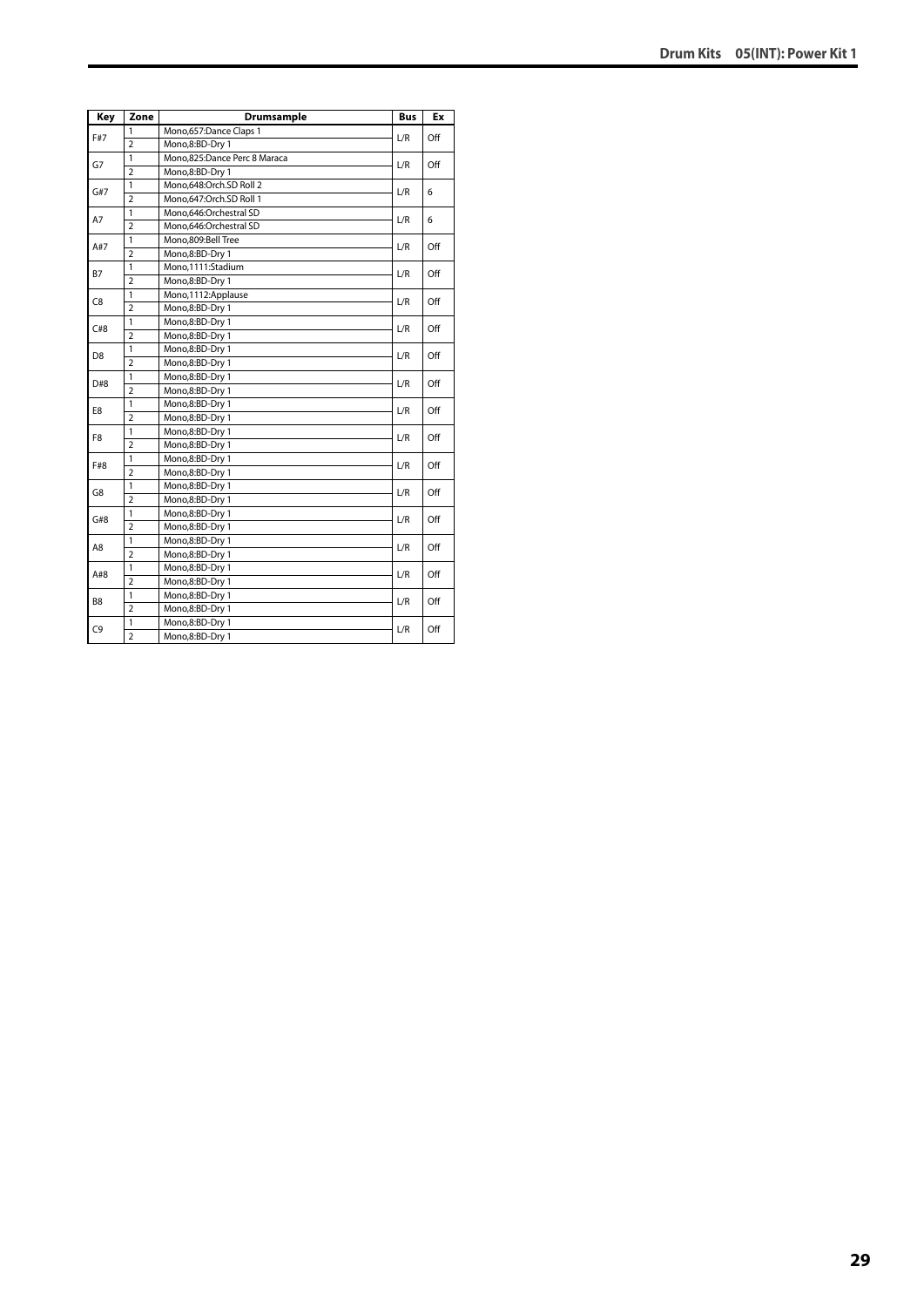| Key            | Zone           | Drumsample                   | <b>Bus</b> | Ex  |
|----------------|----------------|------------------------------|------------|-----|
| F#7            | 1              | Mono, 657: Dance Claps 1     | L/R        | Off |
|                | $\overline{2}$ | Mono,8:BD-Dry 1              |            |     |
| G7             | $\mathbf{1}$   | Mono,825:Dance Perc 8 Maraca | L/R        | Off |
|                | $\overline{2}$ | Mono,8:BD-Dry 1              |            |     |
| G#7            | $\overline{1}$ | Mono,648:Orch.SD Roll 2      | L/R        | 6   |
|                | $\overline{2}$ | Mono,647:Orch.SD Roll 1      |            |     |
| A7             | $\mathbf{1}$   | Mono.646:Orchestral SD       | L/R        | 6   |
|                | $\overline{2}$ | Mono,646:Orchestral SD       |            |     |
| A#7            | $\mathbf{1}$   | Mono,809:Bell Tree           | L/R        | Off |
|                | $\overline{2}$ | Mono,8:BD-Dry 1              |            |     |
| <b>B7</b>      | $\mathbf{1}$   | Mono,1111:Stadium            | L/R        | Off |
|                | $\overline{2}$ | Mono,8:BD-Dry 1              |            |     |
| C <sub>8</sub> | 1              | Mono, 1112: Applause         | L/R        | Off |
|                | $\overline{2}$ | Mono,8:BD-Dry 1              |            |     |
| C#8            | $\mathbf{1}$   | Mono,8:BD-Dry 1              | L/R        | Off |
|                | $\overline{2}$ | Mono,8:BD-Dry 1              |            |     |
| D8             | 1              | Mono,8:BD-Dry 1              | L/R        | Off |
|                | $\overline{2}$ | Mono,8:BD-Dry 1              |            |     |
| D#8            | $\mathbf{1}$   | Mono,8:BD-Dry 1              | L/R        | Off |
|                | $\overline{2}$ | Mono,8:BD-Dry 1              |            |     |
| E8             | $\mathbf{1}$   | Mono,8:BD-Dry 1              | L/R        | Off |
|                | $\overline{2}$ | Mono,8:BD-Dry 1              |            |     |
| F8             | 1              | Mono,8:BD-Dry 1              | L/R        | Off |
|                | $\overline{2}$ | Mono,8:BD-Dry 1              |            |     |
| F#8            | $\mathbf{1}$   | Mono,8:BD-Dry 1              | L/R        | Off |
|                | $\overline{2}$ | Mono,8:BD-Dry 1              |            |     |
| G8             | $\mathbf{1}$   | Mono,8:BD-Dry 1              | L/R        | Off |
|                | $\overline{2}$ | Mono,8:BD-Dry 1              |            |     |
| G#8            | $\mathbf{1}$   | Mono,8:BD-Dry 1              | L/R        | Off |
|                | $\overline{2}$ | Mono,8:BD-Dry 1              |            |     |
|                | $\mathbf{1}$   | Mono,8:BD-Dry 1              | L/R        | Off |
| A8             | $\overline{2}$ | Mono,8:BD-Dry 1              |            |     |
|                | $\mathbf{1}$   | Mono,8:BD-Dry 1              | L/R        |     |
| A#8            | $\overline{2}$ | Mono,8:BD-Dry 1              |            | Off |
|                | $\mathbf{1}$   | Mono,8:BD-Dry 1              |            |     |
| B8             | $\overline{2}$ | Mono,8:BD-Dry 1              | L/R        | Off |
|                | 1              | Mono,8:BD-Dry 1              |            |     |
| C9             | $\overline{2}$ | Mono,8:BD-Dry 1              | L/R        | Off |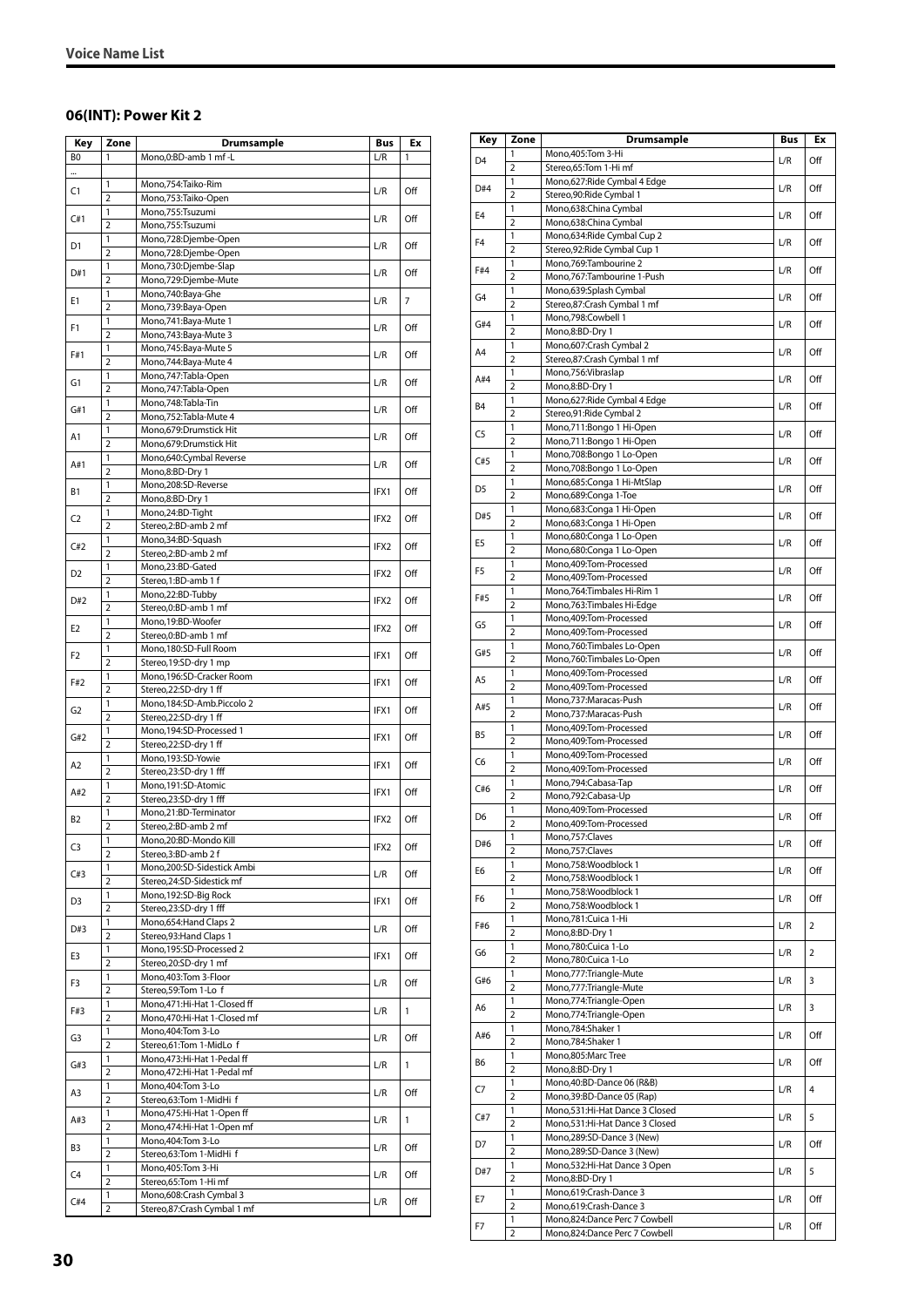#### <span id="page-29-0"></span>**06(INT): Power Kit 2**

| Key            | Zone                | Drumsample                                              | Bus              | Ex             |
|----------------|---------------------|---------------------------------------------------------|------------------|----------------|
| BO             | 1                   | Mono,0:BD-amb 1 mf-L                                    | L/R              | 1              |
|                |                     |                                                         |                  |                |
| C1             | 1                   | Mono,754:Taiko-Rim                                      | L/R              | Off            |
|                | 2                   | Mono, 753: Taiko-Open                                   |                  |                |
| C#1            | 1                   | Mono,755:Tsuzumi                                        | L/R              | Off            |
|                | $\overline{2}$      | Mono,755:Tsuzumi                                        |                  |                |
| D1             | 1                   | Mono,728:Djembe-Open                                    | L/R              | Off            |
|                | $\overline{2}$      | Mono,728:Djembe-Open                                    |                  |                |
| D#1            | $\mathbf{1}$        | Mono,730:Djembe-Slap                                    | L/R              | Off            |
|                | $\overline{2}$      | Mono,729:Djembe-Mute                                    |                  |                |
| Ε1             | 1<br>$\overline{2}$ | Mono,740:Baya-Ghe<br>Mono,739:Baya-Open                 | L/R              | $\overline{7}$ |
|                | 1                   | Mono, 741: Baya-Mute 1                                  |                  |                |
| F1             | $\overline{2}$      | Mono, 743: Baya-Mute 3                                  | L/R              | Off            |
|                | 1                   | Mono, 745: Baya-Mute 5                                  |                  |                |
| F#1            | $\overline{2}$      | Mono, 744: Baya-Mute 4                                  | L/R              | Off            |
|                | 1                   | Mono, 747: Tabla-Open                                   |                  |                |
| G1             | $\overline{2}$      | Mono, 747: Tabla-Open                                   | L/R              | Off            |
| G#1            | 1                   | Mono,748:Tabla-Tin                                      | L/R              | Off            |
|                | $\overline{2}$      | Mono, 752: Tabla-Mute 4                                 |                  |                |
| A1             | $\mathbf{1}$        | Mono,679:Drumstick Hit                                  | L/R              | Off            |
|                | $\overline{2}$      | Mono,679:Drumstick Hit                                  |                  |                |
| A#1            | 1                   | Mono,640:Cymbal Reverse                                 | L/R              | Off            |
|                | $\overline{2}$      | Mono,8:BD-Dry 1                                         |                  |                |
| <b>B1</b>      | 1                   | Mono,208:SD-Reverse                                     | IFX1             | Off            |
|                | $\overline{2}$<br>1 | Mono,8:BD-Dry 1<br>Mono,24:BD-Tight                     |                  |                |
| C <sub>2</sub> | $\overline{2}$      | Stereo,2:BD-amb 2 mf                                    | IFX2             | Off            |
|                | 1                   | Mono, 34: BD-Squash                                     |                  |                |
| C#2            | 2                   | Stereo,2:BD-amb 2 mf                                    | IFX2             | Off            |
|                | $\mathbf{1}$        | Mono,23:BD-Gated                                        |                  |                |
| D2             | $\overline{2}$      | Stereo,1:BD-amb 1 f                                     | IFX2             | Off            |
|                | 1                   | Mono,22:BD-Tubby                                        | IFX2             | Off            |
| D#2            | 2                   | Stereo,0:BD-amb 1 mf                                    |                  |                |
| E <sub>2</sub> | $\mathbf{1}$        | Mono, 19:BD-Woofer                                      | IFX <sub>2</sub> | Off            |
|                | $\overline{2}$      | Stereo,0:BD-amb 1 mf                                    |                  |                |
| F2             | 1                   | Mono, 180:SD-Full Room                                  | IFX1             | Off            |
|                | 2                   | Stereo,19:SD-dry 1 mp                                   |                  |                |
| F#2            | 1<br>$\overline{2}$ | Mono, 196: SD-Cracker Room                              | IFX1             | Off            |
|                | 1                   | Stereo,22:SD-dry 1 ff<br>Mono, 184: SD-Amb. Piccolo 2   |                  |                |
| G2             | $\overline{2}$      | Stereo,22:SD-dry 1 ff                                   | IFX1             | Off            |
|                | 1                   | Mono, 194: SD-Processed 1                               |                  |                |
| G#2            | $\overline{2}$      | Stereo,22:SD-dry 1 ff                                   | IFX1             | Off            |
|                | 1                   | Mono, 193: SD-Yowie                                     |                  |                |
| A2             | $\overline{2}$      | Stereo,23:SD-dry 1 fff                                  | IFX1             | Off            |
| A#2            | 1                   | Mono, 191:SD-Atomic                                     | IFX1             | Off            |
|                | $\overline{2}$      | Stereo,23:SD-dry 1 fff                                  |                  |                |
| <b>B2</b>      | 1                   | Mono,21:BD-Terminator                                   | IFX2             | Off            |
|                | $\overline{2}$      | Stereo,2:BD-amb 2 mf                                    |                  |                |
| C <sub>3</sub> | $\mathbf{1}$        | Mono,20:BD-Mondo Kill                                   | IFX2             | Off            |
|                | 2                   | Stereo, 3:BD-amb 2 f                                    |                  |                |
| C#3            | 1<br>$\overline{2}$ | Mono,200:SD-Sidestick Ambi<br>Stereo,24:SD-Sidestick mf | L/R              | Off            |
|                | $\mathbf{1}$        | Mono, 192: SD-Big Rock                                  |                  |                |
| D3             | 2                   | Stereo,23:SD-dry 1 fff                                  | IFX1             | Off            |
|                | 1                   | Mono, 654: Hand Claps 2                                 |                  |                |
| D#3            | $\overline{2}$      | Stereo, 93: Hand Claps 1                                | L/R              | Off            |
|                | 1                   | Mono, 195: SD-Processed 2                               |                  |                |
| E3             | 2                   | Stereo,20:SD-dry 1 mf                                   | IFX1             | Off            |
| F3             | 1                   | Mono, 403: Tom 3-Floor                                  | L/R              | Off            |
|                | 2                   | Stereo, 59: Tom 1-Lo f                                  |                  |                |
| F#3            | $\mathbf{1}$        | Mono, 471: Hi-Hat 1-Closed ff                           | L/R              | $\mathbf{1}$   |
|                | $\overline{2}$      | Mono, 470: Hi-Hat 1-Closed mf                           |                  |                |
| G3             | 1<br>$\overline{2}$ | Mono, 404: Tom 3-Lo                                     | L/R              | Off            |
|                | $\mathbf{1}$        | Stereo,61:Tom 1-MidLo f<br>Mono, 473: Hi-Hat 1-Pedal ff |                  |                |
| G#3            | 2                   | Mono, 472: Hi-Hat 1-Pedal mf                            | L/R              | 1              |
|                | 1                   | Mono, 404: Tom 3-Lo                                     |                  |                |
| A3             | $\overline{2}$      | Stereo,63:Tom 1-MidHi f                                 | L/R              | Off            |
|                | 1                   | Mono, 475: Hi-Hat 1-Open ff                             |                  |                |
| A#3            | 2                   | Mono, 474: Hi-Hat 1-Open mf                             | L/R              | 1              |
|                | 1                   | Mono, 404: Tom 3-Lo                                     | L/R              | Off            |
| B3             | $\overline{2}$      | Stereo,63:Tom 1-MidHi f                                 |                  |                |
| C4             | 1                   | Mono, 405: Tom 3-Hi                                     | L/R              | Off            |
|                | 2                   | Stereo,65:Tom 1-Hi mf                                   |                  |                |
| C#4            | 1                   | Mono, 608: Crash Cymbal 3                               | L/R              | Off            |
|                | $\overline{2}$      | Stereo,87:Crash Cymbal 1 mf                             |                  |                |

| Key            | Zone                           | Drumsample                                             | <b>Bus</b> | Еx             |
|----------------|--------------------------------|--------------------------------------------------------|------------|----------------|
|                | 1                              | Mono, 405: Tom 3-Hi                                    |            |                |
| D4             | $\overline{2}$                 | Stereo,65:Tom 1-Hi mf                                  | L/R        | Off            |
| D#4            | 1                              | Mono,627: Ride Cymbal 4 Edge                           | L/R        | Off            |
|                | $\overline{2}$                 | Stereo, 90: Ride Cymbal 1                              |            |                |
| E <sub>4</sub> | 1<br>$\overline{2}$            | Mono,638:China Cymbal<br>Mono,638:China Cymbal         | L/R        | Off            |
|                | 1                              | Mono,634: Ride Cymbal Cup 2                            |            |                |
| F <sub>4</sub> | 2                              | Stereo, 92: Ride Cymbal Cup 1                          | L/R        | Off            |
| F#4            | 1                              | Mono, 769: Tambourine 2                                | L/R        |                |
|                | $\overline{2}$                 | Mono,767:Tambourine 1-Push                             |            | Off            |
| G <sub>4</sub> | 1                              | Mono,639:Splash Cymbal                                 | L/R        | Off            |
|                | 2<br>1                         | Stereo,87:Crash Cymbal 1 mf<br>Mono,798:Cowbell 1      |            |                |
| G#4            | $\overline{2}$                 | Mono,8:BD-Dry 1                                        | L/R        | Off            |
|                | $\mathbf{1}$                   | Mono,607:Crash Cymbal 2                                |            |                |
| A4             | $\overline{2}$                 | Stereo,87:Crash Cymbal 1 mf                            | L/R        | Off            |
| A#4            | 1                              | Mono,756:Vibraslap                                     | L/R        | Off            |
|                | $\overline{2}$                 | Mono,8:BD-Dry 1                                        |            |                |
| B4             | 1                              | Mono,627: Ride Cymbal 4 Edge                           | L/R        | Off            |
|                | $\overline{2}$<br>1            | Stereo,91:Ride Cymbal 2                                |            |                |
| C5             | $\overline{2}$                 | Mono,711:Bongo 1 Hi-Open<br>Mono,711:Bongo 1 Hi-Open   | L/R        | Off            |
|                | 1                              | Mono,708:Bongo 1 Lo-Open                               |            |                |
| C#5            | $\overline{2}$                 | Mono,708:Bongo 1 Lo-Open                               | L/R        | Off            |
| D <sub>5</sub> | 1                              | Mono,685:Conga 1 Hi-MtSlap                             | L/R        | Off            |
|                | $\overline{2}$                 | Mono,689:Conga 1-Toe                                   |            |                |
| D#5            | 1                              | Mono,683:Conga 1 Hi-Open                               | L/R        | Off            |
|                | $\overline{2}$                 | Mono,683:Conga 1 Hi-Open                               |            |                |
| E <sub>5</sub> | 1<br>$\overline{2}$            | Mono,680:Conga 1 Lo-Open<br>Mono,680:Conga 1 Lo-Open   | L/R        | Off            |
|                | 1                              | Mono,409:Tom-Processed                                 |            |                |
| F5             | $\overline{2}$                 | Mono,409:Tom-Processed                                 | L/R        | Off            |
|                | 1                              | Mono, 764: Timbales Hi-Rim 1                           |            |                |
| F#5            | $\overline{2}$                 | Mono,763:Timbales Hi-Edge                              | L/R        | Off            |
| G5             | 1                              | Mono,409:Tom-Processed                                 | L/R        | Off            |
|                | $\overline{2}$                 | Mono,409:Tom-Processed                                 |            |                |
| G#5            | 1<br>2                         | Mono,760:Timbales Lo-Open<br>Mono,760:Timbales Lo-Open | L/R        | Off            |
|                | 1                              | Mono,409:Tom-Processed                                 |            |                |
| A5             | $\overline{2}$                 | Mono,409:Tom-Processed                                 | L/R        | Off            |
| A#5            | 1                              | Mono,737: Maracas-Push                                 | L/R        | Off            |
|                | 2                              | Mono,737:Maracas-Push                                  |            |                |
| B <sub>5</sub> | 1                              | Mono,409:Tom-Processed                                 | L/R        | Off            |
|                | $\overline{2}$                 | Mono,409:Tom-Processed                                 |            |                |
| C6             | $\mathbf{1}$<br>$\overline{2}$ | Mono,409:Tom-Processed<br>Mono,409:Tom-Processed       | L/R        | Off            |
|                | 1                              | Mono,794:Cabasa-Tap                                    |            |                |
| C#6            | $\overline{2}$                 | Mono,792:Cabasa-Up                                     | L/R        | Off            |
| D <sub>6</sub> | 1                              | Mono,409:Tom-Processed                                 | L/R        | Off            |
|                | $\overline{2}$                 | Mono,409:Tom-Processed                                 |            |                |
| D#6            | 1                              | Mono,757:Claves                                        | L/R        | Off            |
|                | $\overline{2}$<br>1            | Mono,757:Claves<br>Mono,758:Woodblock 1                |            |                |
| E6             | $\overline{2}$                 | Mono,758:Woodblock 1                                   | L/R        | Off            |
|                | 1                              | Mono,758:Woodblock 1                                   |            |                |
| F6             | $\overline{2}$                 | Mono,758:Woodblock 1                                   | L/R        | Off            |
| F#6            | 1                              | Mono,781:Cuica 1-Hi                                    | L/R        | $\overline{2}$ |
|                | $\overline{2}$                 | Mono,8:BD-Dry 1                                        |            |                |
| G6             | 1                              | Mono,780:Cuica 1-Lo                                    | L/R        | 2              |
|                | $\overline{2}$<br>1            | Mono,780:Cuica 1-Lo<br>Mono,777: Triangle-Mute         |            |                |
| G#6            | $\overline{2}$                 | Mono,777: Triangle-Mute                                | L/R        | 3              |
|                | 1                              | Mono,774:Triangle-Open                                 |            |                |
| A6             | $\overline{2}$                 | Mono,774:Triangle-Open                                 | L/R        | 3              |
| A#6            | 1                              | Mono,784:Shaker 1                                      | L/R        | Off            |
|                | 2                              | Mono,784:Shaker 1                                      |            |                |
| В6             | 1<br>$\overline{2}$            | Mono,805:Marc Tree<br>Mono,8:BD-Dry 1                  | L/R        | Off            |
|                | 1                              | Mono, 40: BD-Dance 06 (R&B)                            |            |                |
| C7             | 2                              | Mono, 39: BD-Dance 05 (Rap)                            | L/R        | 4              |
| C#7            | 1                              | Mono,531:Hi-Hat Dance 3 Closed                         | L/R        | 5              |
|                | $\overline{2}$                 | Mono,531:Hi-Hat Dance 3 Closed                         |            |                |
| D7             | 1                              | Mono,289:SD-Dance 3 (New)                              | L/R        | Off            |
|                | 2<br>$\mathbf{1}$              | Mono,289:SD-Dance 3 (New)                              |            |                |
| D#7            | $\overline{2}$                 | Mono,532:Hi-Hat Dance 3 Open<br>Mono,8:BD-Dry 1        | L/R        | 5              |
|                | 1                              | Mono,619:Crash-Dance 3                                 |            |                |
| E7             | $\overline{2}$                 | Mono,619:Crash-Dance 3                                 | L/R        | Off            |
| F7             | 1                              | Mono,824:Dance Perc 7 Cowbell                          | L/R        | Off            |
|                | 2                              | Mono,824:Dance Perc 7 Cowbell                          |            |                |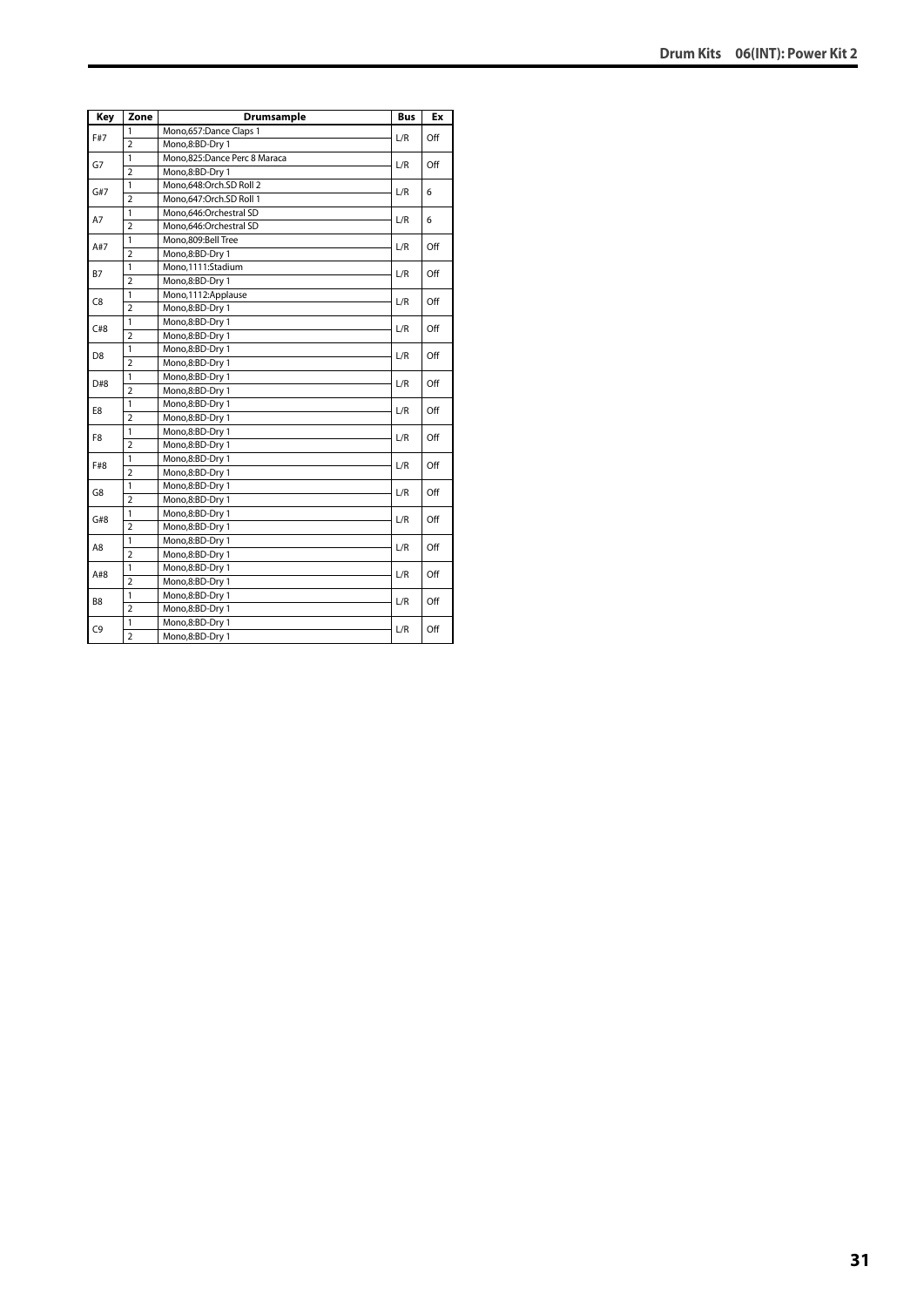| Key            | Zone           | Drumsample                   | <b>Bus</b> | Ex  |
|----------------|----------------|------------------------------|------------|-----|
| F#7            | 1              | Mono,657:Dance Claps 1       | L/R        | Off |
|                | $\overline{2}$ | Mono,8:BD-Dry 1              |            |     |
| G7             | 1              | Mono,825:Dance Perc 8 Maraca | L/R        | Off |
|                | $\overline{2}$ | Mono,8:BD-Dry 1              |            |     |
| G#7            | $\mathbf{1}$   | Mono,648:Orch.SD Roll 2      | L/R        |     |
|                | $\overline{2}$ | Mono,647:Orch.SD Roll 1      |            | 6   |
| A7             | 1              | Mono,646:Orchestral SD       | L/R        | 6   |
|                | $\overline{2}$ | Mono,646:Orchestral SD       |            |     |
| A#7            | 1              | Mono,809:Bell Tree           | L/R        | Off |
|                | $\overline{2}$ | Mono,8:BD-Dry 1              |            |     |
| <b>B7</b>      | 1              | Mono,1111:Stadium            | L/R        | Off |
|                | $\overline{2}$ | Mono,8:BD-Dry 1              |            |     |
| C <sub>8</sub> | 1              | Mono,1112:Applause           | L/R        | Off |
|                | $\overline{2}$ | Mono,8:BD-Dry 1              |            |     |
| C#8            | $\mathbf{1}$   | Mono,8:BD-Dry 1              |            | Off |
|                | $\overline{a}$ | Mono,8:BD-Dry 1              | L/R        |     |
|                | $\mathbf{1}$   | Mono,8:BD-Dry 1              | L/R        | Off |
| D <sub>8</sub> | $\overline{2}$ | Mono,8:BD-Dry 1              |            |     |
| D#8            | $\overline{1}$ | Mono,8:BD-Dry 1              | L/R        | Off |
|                | $\overline{2}$ | Mono,8:BD-Dry 1              |            |     |
| E8             | 1              | Mono,8:BD-Dry 1              | L/R        | Off |
|                | $\overline{2}$ | Mono,8:BD-Dry 1              |            |     |
| F8             | 1              | Mono,8:BD-Dry 1              | L/R        | Off |
|                | $\overline{2}$ | Mono,8:BD-Dry 1              |            |     |
|                | $\mathbf{1}$   | Mono,8:BD-Dry 1              |            |     |
| F#8            | $\overline{2}$ | Mono,8:BD-Dry 1              | L/R        | Off |
| G8             | $\mathbf{1}$   | Mono,8:BD-Dry 1              | L/R        |     |
|                | $\overline{2}$ | Mono,8:BD-Dry 1              |            | Off |
| G#8            | $\mathbf{1}$   | Mono,8:BD-Dry 1              | L/R        | Off |
|                | $\overline{a}$ | Mono,8:BD-Dry 1              |            |     |
| A8             | 1              | Mono,8:BD-Dry 1              | L/R        | Off |
|                | $\overline{2}$ | Mono,8:BD-Dry 1              |            |     |
| A#8            | 1              | Mono,8:BD-Dry 1              |            | Off |
|                | $\overline{2}$ | Mono,8:BD-Dry 1              | L/R        |     |
| B8             | 1              | Mono,8:BD-Dry 1              |            | Off |
|                | $\overline{2}$ | Mono,8:BD-Dry 1              | L/R        |     |
| C <sub>9</sub> | $\mathbf{1}$   | Mono,8:BD-Dry 1              | L/R        | Off |
|                | $\overline{2}$ | Mono,8:BD-Dry 1              |            |     |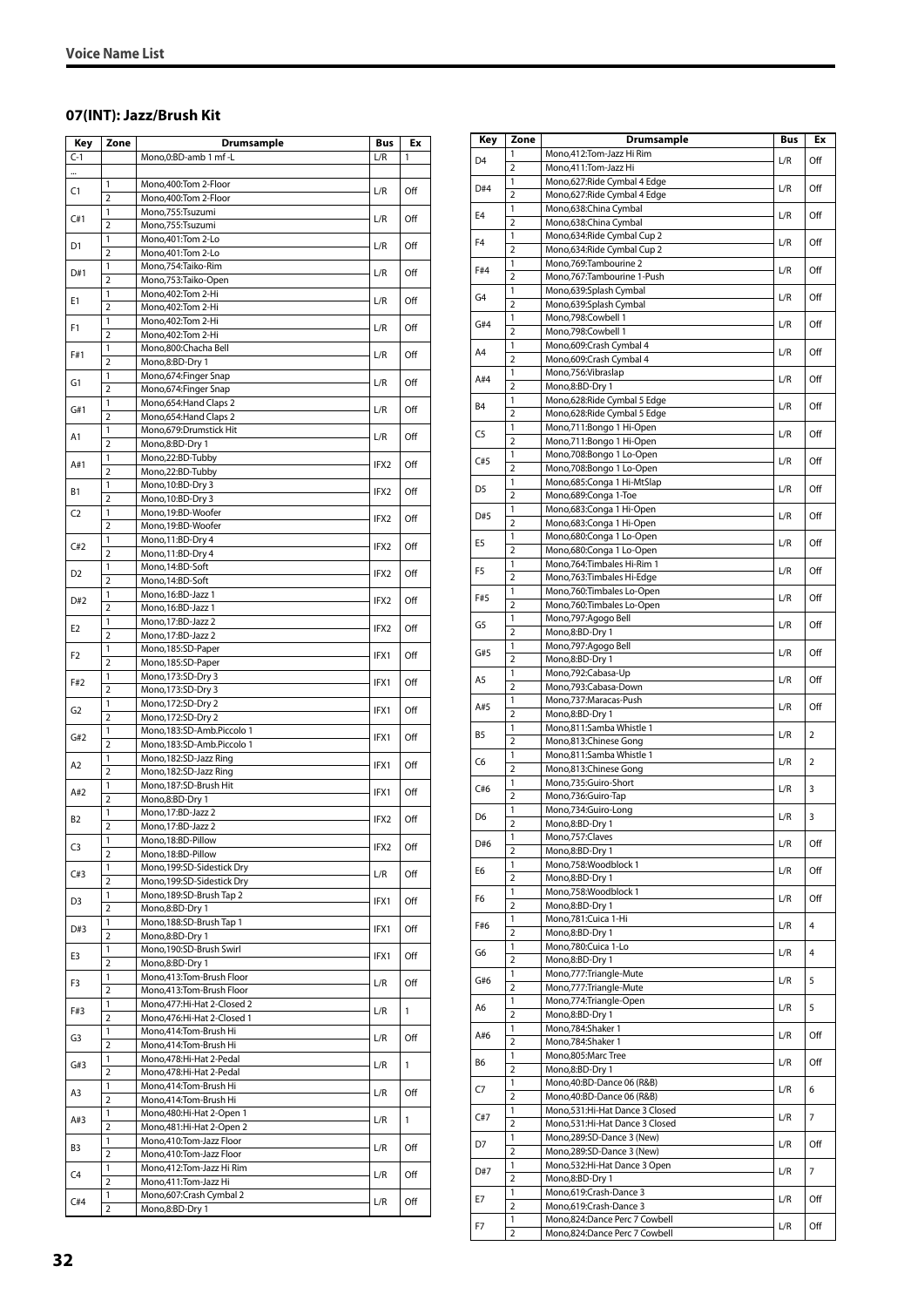#### <span id="page-31-0"></span>**07(INT): Jazz/Brush Kit**

| $C-1$<br>L/R<br>Mono,0:BD-amb 1 mf -L<br><br>Mono, 400: Tom 2-Floor<br>1<br>C1<br>L/R<br>$\overline{2}$<br>Mono, 400: Tom 2-Floor<br>1<br>Mono,755:Tsuzumi<br>C#1<br>L/R<br>$\overline{2}$<br>Mono,755:Tsuzumi<br>1<br>Mono, 401: Tom 2-Lo<br>D1<br>L/R<br>$\overline{2}$<br>Mono, 401: Tom 2-Lo<br>1<br>Mono,754:Taiko-Rim<br>D#1<br>L/R<br>$\overline{2}$<br>Mono, 753: Taiko-Open<br>1<br>Mono, 402: Tom 2-Hi<br>E1<br>L/R<br>2<br>Mono, 402: Tom 2-Hi<br>1<br>Mono, 402: Tom 2-Hi<br>F1<br>L/R<br>$\overline{2}$<br>Mono, 402: Tom 2-Hi<br>1<br>Mono,800:Chacha Bell<br>L/R<br>F#1<br>$\overline{2}$<br>Mono,8:BD-Dry 1<br>Mono, 674: Finger Snap<br>1<br>G1<br>L/R<br>$\overline{2}$<br>Mono,674:Finger Snap<br>1<br>Mono, 654: Hand Claps 2<br>G#1<br>L/R<br>$\overline{2}$<br>Mono, 654: Hand Claps 2<br>1<br>Mono,679:Drumstick Hit<br>A1<br>L/R<br>$\overline{2}$<br>Mono,8:BD-Dry 1<br>1<br>Mono,22:BD-Tubby<br>A#1<br>IFX2<br>$\overline{2}$<br>Mono,22:BD-Tubby<br>1<br>Mono, 10:BD-Dry 3<br>IFX2<br><b>B1</b><br>$\overline{2}$<br>Mono, 10:BD-Dry 3<br>1<br>Mono, 19:BD-Woofer<br>C <sub>2</sub><br>IFX2<br>$\overline{2}$<br>Mono, 19:BD-Woofer<br>Mono, 11:BD-Dry 4<br>1<br>C#2<br>IFX2<br>$\overline{2}$<br>Mono, 11:BD-Dry 4<br>1<br>Mono, 14:BD-Soft<br>D2<br>IFX2<br>Mono, 14:BD-Soft<br>2<br>$\mathbf{1}$<br>Mono, 16:BD-Jazz 1<br>D#2<br>IFX2<br>$\overline{2}$<br>Mono, 16:BD-Jazz 1<br>1<br>Mono, 17:BD-Jazz 2<br>IFX2<br>E2<br>$\overline{2}$<br>Mono, 17:BD-Jazz 2<br>1<br>Mono, 185:SD-Paper<br>F2<br>IFX1<br>$\overline{2}$<br>Mono, 185:SD-Paper<br>1<br>Mono, 173:SD-Dry 3<br>F#2<br>IFX1<br>$\overline{2}$<br>Mono, 173: SD-Dry 3<br>1<br>Mono, 172:SD-Dry 2<br>G2<br>IFX1<br>$\overline{2}$<br>Mono, 172: SD-Dry 2<br>1<br>Mono,183:SD-Amb.Piccolo 1<br>G#2<br>IFX1<br>$\overline{2}$<br>Mono,183:SD-Amb.Piccolo 1<br>1<br>Mono, 182: SD-Jazz Ring<br>A2<br>IFX1<br>$\overline{2}$<br>Mono, 182: SD-Jazz Ring<br>Mono, 187: SD-Brush Hit<br>1<br>A#2<br>IFX1<br>$\overline{2}$<br>Mono,8:BD-Dry 1<br>1<br>Mono, 17:BD-Jazz 2<br><b>B2</b><br>IFX2<br>$\overline{2}$<br>Mono, 17:BD-Jazz 2<br>Mono, 18:BD-Pillow<br>1<br>IFX2<br>C3<br>$\overline{2}$<br>Mono, 18:BD-Pillow<br>Mono, 199: SD-Sidestick Dry<br>1<br>L/R<br>C#3<br>2<br>Mono, 199: SD-Sidestick Dry<br>1<br>Mono, 189: SD-Brush Tap 2<br>D3<br>IFX1<br>2<br>Mono,8:BD-Dry 1<br>1<br>Mono, 188: SD-Brush Tap 1<br>D#3<br>IFX1<br>Mono,8:BD-Dry 1<br>2<br>Mono, 190: SD-Brush Swirl<br>1<br>E3<br>IFX1<br>2<br>Mono,8:BD-Dry 1<br>$\mathbf{1}$<br>Mono,413:Tom-Brush Floor<br>L/R<br>F3<br>Mono,413:Tom-Brush Floor<br>2<br>1<br>Mono, 477: Hi-Hat 2-Closed 2<br>F#3<br>L/R<br>$\overline{2}$<br>Mono, 476: Hi-Hat 2-Closed 1<br>$\mathbf{1}$<br>Mono, 414: Tom-Brush Hi<br>G3<br>L/R<br>Mono,414:Tom-Brush Hi<br>2<br>1<br>Mono, 478: Hi-Hat 2-Pedal<br>L/R<br>G#3<br>$\overline{2}$<br>Mono, 478: Hi-Hat 2-Pedal<br>$\mathbf{1}$<br>Mono,414:Tom-Brush Hi<br>L/R<br>A3<br>2<br>Mono,414:Tom-Brush Hi<br>1<br>Mono, 480: Hi-Hat 2-Open 1<br>A#3<br>L/R<br>$\overline{2}$<br>Mono, 481: Hi-Hat 2-Open 2<br>1<br>Mono, 410: Tom-Jazz Floor<br>B3<br>L/R<br>2<br>Mono,410:Tom-Jazz Floor<br>Mono, 412: Tom-Jazz Hi Rim<br>1<br>C4<br>L/R<br>$\overline{2}$<br>Mono, 411: Tom-Jazz Hi<br>Mono,607:Crash Cymbal 2<br>1 | Key | Zone | Drumsample | Bus | Ex  |
|---------------------------------------------------------------------------------------------------------------------------------------------------------------------------------------------------------------------------------------------------------------------------------------------------------------------------------------------------------------------------------------------------------------------------------------------------------------------------------------------------------------------------------------------------------------------------------------------------------------------------------------------------------------------------------------------------------------------------------------------------------------------------------------------------------------------------------------------------------------------------------------------------------------------------------------------------------------------------------------------------------------------------------------------------------------------------------------------------------------------------------------------------------------------------------------------------------------------------------------------------------------------------------------------------------------------------------------------------------------------------------------------------------------------------------------------------------------------------------------------------------------------------------------------------------------------------------------------------------------------------------------------------------------------------------------------------------------------------------------------------------------------------------------------------------------------------------------------------------------------------------------------------------------------------------------------------------------------------------------------------------------------------------------------------------------------------------------------------------------------------------------------------------------------------------------------------------------------------------------------------------------------------------------------------------------------------------------------------------------------------------------------------------------------------------------------------------------------------------------------------------------------------------------------------------------------------------------------------------------------------------------------------------------------------------------------------------------------------------------------------------------------------------------------------------------------------------------------------------------------------------------------------------------------------------------------------------------------------------------------------------------------------------------------------------------------------------------------------------------------------------------------------------------------------------------------------------------------------------------------------------------------------------------------------------------|-----|------|------------|-----|-----|
|                                                                                                                                                                                                                                                                                                                                                                                                                                                                                                                                                                                                                                                                                                                                                                                                                                                                                                                                                                                                                                                                                                                                                                                                                                                                                                                                                                                                                                                                                                                                                                                                                                                                                                                                                                                                                                                                                                                                                                                                                                                                                                                                                                                                                                                                                                                                                                                                                                                                                                                                                                                                                                                                                                                                                                                                                                                                                                                                                                                                                                                                                                                                                                                                                                                                                                               |     |      |            |     | 1   |
|                                                                                                                                                                                                                                                                                                                                                                                                                                                                                                                                                                                                                                                                                                                                                                                                                                                                                                                                                                                                                                                                                                                                                                                                                                                                                                                                                                                                                                                                                                                                                                                                                                                                                                                                                                                                                                                                                                                                                                                                                                                                                                                                                                                                                                                                                                                                                                                                                                                                                                                                                                                                                                                                                                                                                                                                                                                                                                                                                                                                                                                                                                                                                                                                                                                                                                               |     |      |            |     |     |
|                                                                                                                                                                                                                                                                                                                                                                                                                                                                                                                                                                                                                                                                                                                                                                                                                                                                                                                                                                                                                                                                                                                                                                                                                                                                                                                                                                                                                                                                                                                                                                                                                                                                                                                                                                                                                                                                                                                                                                                                                                                                                                                                                                                                                                                                                                                                                                                                                                                                                                                                                                                                                                                                                                                                                                                                                                                                                                                                                                                                                                                                                                                                                                                                                                                                                                               |     |      |            |     | Off |
|                                                                                                                                                                                                                                                                                                                                                                                                                                                                                                                                                                                                                                                                                                                                                                                                                                                                                                                                                                                                                                                                                                                                                                                                                                                                                                                                                                                                                                                                                                                                                                                                                                                                                                                                                                                                                                                                                                                                                                                                                                                                                                                                                                                                                                                                                                                                                                                                                                                                                                                                                                                                                                                                                                                                                                                                                                                                                                                                                                                                                                                                                                                                                                                                                                                                                                               |     |      |            |     |     |
|                                                                                                                                                                                                                                                                                                                                                                                                                                                                                                                                                                                                                                                                                                                                                                                                                                                                                                                                                                                                                                                                                                                                                                                                                                                                                                                                                                                                                                                                                                                                                                                                                                                                                                                                                                                                                                                                                                                                                                                                                                                                                                                                                                                                                                                                                                                                                                                                                                                                                                                                                                                                                                                                                                                                                                                                                                                                                                                                                                                                                                                                                                                                                                                                                                                                                                               |     |      |            |     | Off |
|                                                                                                                                                                                                                                                                                                                                                                                                                                                                                                                                                                                                                                                                                                                                                                                                                                                                                                                                                                                                                                                                                                                                                                                                                                                                                                                                                                                                                                                                                                                                                                                                                                                                                                                                                                                                                                                                                                                                                                                                                                                                                                                                                                                                                                                                                                                                                                                                                                                                                                                                                                                                                                                                                                                                                                                                                                                                                                                                                                                                                                                                                                                                                                                                                                                                                                               |     |      |            |     |     |
|                                                                                                                                                                                                                                                                                                                                                                                                                                                                                                                                                                                                                                                                                                                                                                                                                                                                                                                                                                                                                                                                                                                                                                                                                                                                                                                                                                                                                                                                                                                                                                                                                                                                                                                                                                                                                                                                                                                                                                                                                                                                                                                                                                                                                                                                                                                                                                                                                                                                                                                                                                                                                                                                                                                                                                                                                                                                                                                                                                                                                                                                                                                                                                                                                                                                                                               |     |      |            |     | Off |
|                                                                                                                                                                                                                                                                                                                                                                                                                                                                                                                                                                                                                                                                                                                                                                                                                                                                                                                                                                                                                                                                                                                                                                                                                                                                                                                                                                                                                                                                                                                                                                                                                                                                                                                                                                                                                                                                                                                                                                                                                                                                                                                                                                                                                                                                                                                                                                                                                                                                                                                                                                                                                                                                                                                                                                                                                                                                                                                                                                                                                                                                                                                                                                                                                                                                                                               |     |      |            |     |     |
|                                                                                                                                                                                                                                                                                                                                                                                                                                                                                                                                                                                                                                                                                                                                                                                                                                                                                                                                                                                                                                                                                                                                                                                                                                                                                                                                                                                                                                                                                                                                                                                                                                                                                                                                                                                                                                                                                                                                                                                                                                                                                                                                                                                                                                                                                                                                                                                                                                                                                                                                                                                                                                                                                                                                                                                                                                                                                                                                                                                                                                                                                                                                                                                                                                                                                                               |     |      |            |     | Off |
|                                                                                                                                                                                                                                                                                                                                                                                                                                                                                                                                                                                                                                                                                                                                                                                                                                                                                                                                                                                                                                                                                                                                                                                                                                                                                                                                                                                                                                                                                                                                                                                                                                                                                                                                                                                                                                                                                                                                                                                                                                                                                                                                                                                                                                                                                                                                                                                                                                                                                                                                                                                                                                                                                                                                                                                                                                                                                                                                                                                                                                                                                                                                                                                                                                                                                                               |     |      |            |     |     |
|                                                                                                                                                                                                                                                                                                                                                                                                                                                                                                                                                                                                                                                                                                                                                                                                                                                                                                                                                                                                                                                                                                                                                                                                                                                                                                                                                                                                                                                                                                                                                                                                                                                                                                                                                                                                                                                                                                                                                                                                                                                                                                                                                                                                                                                                                                                                                                                                                                                                                                                                                                                                                                                                                                                                                                                                                                                                                                                                                                                                                                                                                                                                                                                                                                                                                                               |     |      |            |     | Off |
|                                                                                                                                                                                                                                                                                                                                                                                                                                                                                                                                                                                                                                                                                                                                                                                                                                                                                                                                                                                                                                                                                                                                                                                                                                                                                                                                                                                                                                                                                                                                                                                                                                                                                                                                                                                                                                                                                                                                                                                                                                                                                                                                                                                                                                                                                                                                                                                                                                                                                                                                                                                                                                                                                                                                                                                                                                                                                                                                                                                                                                                                                                                                                                                                                                                                                                               |     |      |            |     | Off |
|                                                                                                                                                                                                                                                                                                                                                                                                                                                                                                                                                                                                                                                                                                                                                                                                                                                                                                                                                                                                                                                                                                                                                                                                                                                                                                                                                                                                                                                                                                                                                                                                                                                                                                                                                                                                                                                                                                                                                                                                                                                                                                                                                                                                                                                                                                                                                                                                                                                                                                                                                                                                                                                                                                                                                                                                                                                                                                                                                                                                                                                                                                                                                                                                                                                                                                               |     |      |            |     |     |
|                                                                                                                                                                                                                                                                                                                                                                                                                                                                                                                                                                                                                                                                                                                                                                                                                                                                                                                                                                                                                                                                                                                                                                                                                                                                                                                                                                                                                                                                                                                                                                                                                                                                                                                                                                                                                                                                                                                                                                                                                                                                                                                                                                                                                                                                                                                                                                                                                                                                                                                                                                                                                                                                                                                                                                                                                                                                                                                                                                                                                                                                                                                                                                                                                                                                                                               |     |      |            |     | Off |
|                                                                                                                                                                                                                                                                                                                                                                                                                                                                                                                                                                                                                                                                                                                                                                                                                                                                                                                                                                                                                                                                                                                                                                                                                                                                                                                                                                                                                                                                                                                                                                                                                                                                                                                                                                                                                                                                                                                                                                                                                                                                                                                                                                                                                                                                                                                                                                                                                                                                                                                                                                                                                                                                                                                                                                                                                                                                                                                                                                                                                                                                                                                                                                                                                                                                                                               |     |      |            |     |     |
|                                                                                                                                                                                                                                                                                                                                                                                                                                                                                                                                                                                                                                                                                                                                                                                                                                                                                                                                                                                                                                                                                                                                                                                                                                                                                                                                                                                                                                                                                                                                                                                                                                                                                                                                                                                                                                                                                                                                                                                                                                                                                                                                                                                                                                                                                                                                                                                                                                                                                                                                                                                                                                                                                                                                                                                                                                                                                                                                                                                                                                                                                                                                                                                                                                                                                                               |     |      |            |     | Off |
|                                                                                                                                                                                                                                                                                                                                                                                                                                                                                                                                                                                                                                                                                                                                                                                                                                                                                                                                                                                                                                                                                                                                                                                                                                                                                                                                                                                                                                                                                                                                                                                                                                                                                                                                                                                                                                                                                                                                                                                                                                                                                                                                                                                                                                                                                                                                                                                                                                                                                                                                                                                                                                                                                                                                                                                                                                                                                                                                                                                                                                                                                                                                                                                                                                                                                                               |     |      |            |     |     |
|                                                                                                                                                                                                                                                                                                                                                                                                                                                                                                                                                                                                                                                                                                                                                                                                                                                                                                                                                                                                                                                                                                                                                                                                                                                                                                                                                                                                                                                                                                                                                                                                                                                                                                                                                                                                                                                                                                                                                                                                                                                                                                                                                                                                                                                                                                                                                                                                                                                                                                                                                                                                                                                                                                                                                                                                                                                                                                                                                                                                                                                                                                                                                                                                                                                                                                               |     |      |            |     | Off |
|                                                                                                                                                                                                                                                                                                                                                                                                                                                                                                                                                                                                                                                                                                                                                                                                                                                                                                                                                                                                                                                                                                                                                                                                                                                                                                                                                                                                                                                                                                                                                                                                                                                                                                                                                                                                                                                                                                                                                                                                                                                                                                                                                                                                                                                                                                                                                                                                                                                                                                                                                                                                                                                                                                                                                                                                                                                                                                                                                                                                                                                                                                                                                                                                                                                                                                               |     |      |            |     |     |
|                                                                                                                                                                                                                                                                                                                                                                                                                                                                                                                                                                                                                                                                                                                                                                                                                                                                                                                                                                                                                                                                                                                                                                                                                                                                                                                                                                                                                                                                                                                                                                                                                                                                                                                                                                                                                                                                                                                                                                                                                                                                                                                                                                                                                                                                                                                                                                                                                                                                                                                                                                                                                                                                                                                                                                                                                                                                                                                                                                                                                                                                                                                                                                                                                                                                                                               |     |      |            |     | Off |
|                                                                                                                                                                                                                                                                                                                                                                                                                                                                                                                                                                                                                                                                                                                                                                                                                                                                                                                                                                                                                                                                                                                                                                                                                                                                                                                                                                                                                                                                                                                                                                                                                                                                                                                                                                                                                                                                                                                                                                                                                                                                                                                                                                                                                                                                                                                                                                                                                                                                                                                                                                                                                                                                                                                                                                                                                                                                                                                                                                                                                                                                                                                                                                                                                                                                                                               |     |      |            |     |     |
|                                                                                                                                                                                                                                                                                                                                                                                                                                                                                                                                                                                                                                                                                                                                                                                                                                                                                                                                                                                                                                                                                                                                                                                                                                                                                                                                                                                                                                                                                                                                                                                                                                                                                                                                                                                                                                                                                                                                                                                                                                                                                                                                                                                                                                                                                                                                                                                                                                                                                                                                                                                                                                                                                                                                                                                                                                                                                                                                                                                                                                                                                                                                                                                                                                                                                                               |     |      |            |     | Off |
|                                                                                                                                                                                                                                                                                                                                                                                                                                                                                                                                                                                                                                                                                                                                                                                                                                                                                                                                                                                                                                                                                                                                                                                                                                                                                                                                                                                                                                                                                                                                                                                                                                                                                                                                                                                                                                                                                                                                                                                                                                                                                                                                                                                                                                                                                                                                                                                                                                                                                                                                                                                                                                                                                                                                                                                                                                                                                                                                                                                                                                                                                                                                                                                                                                                                                                               |     |      |            |     |     |
|                                                                                                                                                                                                                                                                                                                                                                                                                                                                                                                                                                                                                                                                                                                                                                                                                                                                                                                                                                                                                                                                                                                                                                                                                                                                                                                                                                                                                                                                                                                                                                                                                                                                                                                                                                                                                                                                                                                                                                                                                                                                                                                                                                                                                                                                                                                                                                                                                                                                                                                                                                                                                                                                                                                                                                                                                                                                                                                                                                                                                                                                                                                                                                                                                                                                                                               |     |      |            |     | Off |
|                                                                                                                                                                                                                                                                                                                                                                                                                                                                                                                                                                                                                                                                                                                                                                                                                                                                                                                                                                                                                                                                                                                                                                                                                                                                                                                                                                                                                                                                                                                                                                                                                                                                                                                                                                                                                                                                                                                                                                                                                                                                                                                                                                                                                                                                                                                                                                                                                                                                                                                                                                                                                                                                                                                                                                                                                                                                                                                                                                                                                                                                                                                                                                                                                                                                                                               |     |      |            |     |     |
|                                                                                                                                                                                                                                                                                                                                                                                                                                                                                                                                                                                                                                                                                                                                                                                                                                                                                                                                                                                                                                                                                                                                                                                                                                                                                                                                                                                                                                                                                                                                                                                                                                                                                                                                                                                                                                                                                                                                                                                                                                                                                                                                                                                                                                                                                                                                                                                                                                                                                                                                                                                                                                                                                                                                                                                                                                                                                                                                                                                                                                                                                                                                                                                                                                                                                                               |     |      |            |     | Off |
|                                                                                                                                                                                                                                                                                                                                                                                                                                                                                                                                                                                                                                                                                                                                                                                                                                                                                                                                                                                                                                                                                                                                                                                                                                                                                                                                                                                                                                                                                                                                                                                                                                                                                                                                                                                                                                                                                                                                                                                                                                                                                                                                                                                                                                                                                                                                                                                                                                                                                                                                                                                                                                                                                                                                                                                                                                                                                                                                                                                                                                                                                                                                                                                                                                                                                                               |     |      |            |     |     |
|                                                                                                                                                                                                                                                                                                                                                                                                                                                                                                                                                                                                                                                                                                                                                                                                                                                                                                                                                                                                                                                                                                                                                                                                                                                                                                                                                                                                                                                                                                                                                                                                                                                                                                                                                                                                                                                                                                                                                                                                                                                                                                                                                                                                                                                                                                                                                                                                                                                                                                                                                                                                                                                                                                                                                                                                                                                                                                                                                                                                                                                                                                                                                                                                                                                                                                               |     |      |            |     | Off |
|                                                                                                                                                                                                                                                                                                                                                                                                                                                                                                                                                                                                                                                                                                                                                                                                                                                                                                                                                                                                                                                                                                                                                                                                                                                                                                                                                                                                                                                                                                                                                                                                                                                                                                                                                                                                                                                                                                                                                                                                                                                                                                                                                                                                                                                                                                                                                                                                                                                                                                                                                                                                                                                                                                                                                                                                                                                                                                                                                                                                                                                                                                                                                                                                                                                                                                               |     |      |            |     | Off |
|                                                                                                                                                                                                                                                                                                                                                                                                                                                                                                                                                                                                                                                                                                                                                                                                                                                                                                                                                                                                                                                                                                                                                                                                                                                                                                                                                                                                                                                                                                                                                                                                                                                                                                                                                                                                                                                                                                                                                                                                                                                                                                                                                                                                                                                                                                                                                                                                                                                                                                                                                                                                                                                                                                                                                                                                                                                                                                                                                                                                                                                                                                                                                                                                                                                                                                               |     |      |            |     |     |
|                                                                                                                                                                                                                                                                                                                                                                                                                                                                                                                                                                                                                                                                                                                                                                                                                                                                                                                                                                                                                                                                                                                                                                                                                                                                                                                                                                                                                                                                                                                                                                                                                                                                                                                                                                                                                                                                                                                                                                                                                                                                                                                                                                                                                                                                                                                                                                                                                                                                                                                                                                                                                                                                                                                                                                                                                                                                                                                                                                                                                                                                                                                                                                                                                                                                                                               |     |      |            |     | Off |
|                                                                                                                                                                                                                                                                                                                                                                                                                                                                                                                                                                                                                                                                                                                                                                                                                                                                                                                                                                                                                                                                                                                                                                                                                                                                                                                                                                                                                                                                                                                                                                                                                                                                                                                                                                                                                                                                                                                                                                                                                                                                                                                                                                                                                                                                                                                                                                                                                                                                                                                                                                                                                                                                                                                                                                                                                                                                                                                                                                                                                                                                                                                                                                                                                                                                                                               |     |      |            |     |     |
|                                                                                                                                                                                                                                                                                                                                                                                                                                                                                                                                                                                                                                                                                                                                                                                                                                                                                                                                                                                                                                                                                                                                                                                                                                                                                                                                                                                                                                                                                                                                                                                                                                                                                                                                                                                                                                                                                                                                                                                                                                                                                                                                                                                                                                                                                                                                                                                                                                                                                                                                                                                                                                                                                                                                                                                                                                                                                                                                                                                                                                                                                                                                                                                                                                                                                                               |     |      |            |     | Off |
|                                                                                                                                                                                                                                                                                                                                                                                                                                                                                                                                                                                                                                                                                                                                                                                                                                                                                                                                                                                                                                                                                                                                                                                                                                                                                                                                                                                                                                                                                                                                                                                                                                                                                                                                                                                                                                                                                                                                                                                                                                                                                                                                                                                                                                                                                                                                                                                                                                                                                                                                                                                                                                                                                                                                                                                                                                                                                                                                                                                                                                                                                                                                                                                                                                                                                                               |     |      |            |     |     |
|                                                                                                                                                                                                                                                                                                                                                                                                                                                                                                                                                                                                                                                                                                                                                                                                                                                                                                                                                                                                                                                                                                                                                                                                                                                                                                                                                                                                                                                                                                                                                                                                                                                                                                                                                                                                                                                                                                                                                                                                                                                                                                                                                                                                                                                                                                                                                                                                                                                                                                                                                                                                                                                                                                                                                                                                                                                                                                                                                                                                                                                                                                                                                                                                                                                                                                               |     |      |            |     | Off |
|                                                                                                                                                                                                                                                                                                                                                                                                                                                                                                                                                                                                                                                                                                                                                                                                                                                                                                                                                                                                                                                                                                                                                                                                                                                                                                                                                                                                                                                                                                                                                                                                                                                                                                                                                                                                                                                                                                                                                                                                                                                                                                                                                                                                                                                                                                                                                                                                                                                                                                                                                                                                                                                                                                                                                                                                                                                                                                                                                                                                                                                                                                                                                                                                                                                                                                               |     |      |            |     |     |
|                                                                                                                                                                                                                                                                                                                                                                                                                                                                                                                                                                                                                                                                                                                                                                                                                                                                                                                                                                                                                                                                                                                                                                                                                                                                                                                                                                                                                                                                                                                                                                                                                                                                                                                                                                                                                                                                                                                                                                                                                                                                                                                                                                                                                                                                                                                                                                                                                                                                                                                                                                                                                                                                                                                                                                                                                                                                                                                                                                                                                                                                                                                                                                                                                                                                                                               |     |      |            |     | Off |
|                                                                                                                                                                                                                                                                                                                                                                                                                                                                                                                                                                                                                                                                                                                                                                                                                                                                                                                                                                                                                                                                                                                                                                                                                                                                                                                                                                                                                                                                                                                                                                                                                                                                                                                                                                                                                                                                                                                                                                                                                                                                                                                                                                                                                                                                                                                                                                                                                                                                                                                                                                                                                                                                                                                                                                                                                                                                                                                                                                                                                                                                                                                                                                                                                                                                                                               |     |      |            |     |     |
|                                                                                                                                                                                                                                                                                                                                                                                                                                                                                                                                                                                                                                                                                                                                                                                                                                                                                                                                                                                                                                                                                                                                                                                                                                                                                                                                                                                                                                                                                                                                                                                                                                                                                                                                                                                                                                                                                                                                                                                                                                                                                                                                                                                                                                                                                                                                                                                                                                                                                                                                                                                                                                                                                                                                                                                                                                                                                                                                                                                                                                                                                                                                                                                                                                                                                                               |     |      |            |     | Off |
|                                                                                                                                                                                                                                                                                                                                                                                                                                                                                                                                                                                                                                                                                                                                                                                                                                                                                                                                                                                                                                                                                                                                                                                                                                                                                                                                                                                                                                                                                                                                                                                                                                                                                                                                                                                                                                                                                                                                                                                                                                                                                                                                                                                                                                                                                                                                                                                                                                                                                                                                                                                                                                                                                                                                                                                                                                                                                                                                                                                                                                                                                                                                                                                                                                                                                                               |     |      |            |     |     |
|                                                                                                                                                                                                                                                                                                                                                                                                                                                                                                                                                                                                                                                                                                                                                                                                                                                                                                                                                                                                                                                                                                                                                                                                                                                                                                                                                                                                                                                                                                                                                                                                                                                                                                                                                                                                                                                                                                                                                                                                                                                                                                                                                                                                                                                                                                                                                                                                                                                                                                                                                                                                                                                                                                                                                                                                                                                                                                                                                                                                                                                                                                                                                                                                                                                                                                               |     |      |            |     | Off |
|                                                                                                                                                                                                                                                                                                                                                                                                                                                                                                                                                                                                                                                                                                                                                                                                                                                                                                                                                                                                                                                                                                                                                                                                                                                                                                                                                                                                                                                                                                                                                                                                                                                                                                                                                                                                                                                                                                                                                                                                                                                                                                                                                                                                                                                                                                                                                                                                                                                                                                                                                                                                                                                                                                                                                                                                                                                                                                                                                                                                                                                                                                                                                                                                                                                                                                               |     |      |            |     |     |
|                                                                                                                                                                                                                                                                                                                                                                                                                                                                                                                                                                                                                                                                                                                                                                                                                                                                                                                                                                                                                                                                                                                                                                                                                                                                                                                                                                                                                                                                                                                                                                                                                                                                                                                                                                                                                                                                                                                                                                                                                                                                                                                                                                                                                                                                                                                                                                                                                                                                                                                                                                                                                                                                                                                                                                                                                                                                                                                                                                                                                                                                                                                                                                                                                                                                                                               |     |      |            |     | Off |
|                                                                                                                                                                                                                                                                                                                                                                                                                                                                                                                                                                                                                                                                                                                                                                                                                                                                                                                                                                                                                                                                                                                                                                                                                                                                                                                                                                                                                                                                                                                                                                                                                                                                                                                                                                                                                                                                                                                                                                                                                                                                                                                                                                                                                                                                                                                                                                                                                                                                                                                                                                                                                                                                                                                                                                                                                                                                                                                                                                                                                                                                                                                                                                                                                                                                                                               |     |      |            |     |     |
|                                                                                                                                                                                                                                                                                                                                                                                                                                                                                                                                                                                                                                                                                                                                                                                                                                                                                                                                                                                                                                                                                                                                                                                                                                                                                                                                                                                                                                                                                                                                                                                                                                                                                                                                                                                                                                                                                                                                                                                                                                                                                                                                                                                                                                                                                                                                                                                                                                                                                                                                                                                                                                                                                                                                                                                                                                                                                                                                                                                                                                                                                                                                                                                                                                                                                                               |     |      |            |     | Off |
|                                                                                                                                                                                                                                                                                                                                                                                                                                                                                                                                                                                                                                                                                                                                                                                                                                                                                                                                                                                                                                                                                                                                                                                                                                                                                                                                                                                                                                                                                                                                                                                                                                                                                                                                                                                                                                                                                                                                                                                                                                                                                                                                                                                                                                                                                                                                                                                                                                                                                                                                                                                                                                                                                                                                                                                                                                                                                                                                                                                                                                                                                                                                                                                                                                                                                                               |     |      |            |     | Off |
|                                                                                                                                                                                                                                                                                                                                                                                                                                                                                                                                                                                                                                                                                                                                                                                                                                                                                                                                                                                                                                                                                                                                                                                                                                                                                                                                                                                                                                                                                                                                                                                                                                                                                                                                                                                                                                                                                                                                                                                                                                                                                                                                                                                                                                                                                                                                                                                                                                                                                                                                                                                                                                                                                                                                                                                                                                                                                                                                                                                                                                                                                                                                                                                                                                                                                                               |     |      |            |     |     |
|                                                                                                                                                                                                                                                                                                                                                                                                                                                                                                                                                                                                                                                                                                                                                                                                                                                                                                                                                                                                                                                                                                                                                                                                                                                                                                                                                                                                                                                                                                                                                                                                                                                                                                                                                                                                                                                                                                                                                                                                                                                                                                                                                                                                                                                                                                                                                                                                                                                                                                                                                                                                                                                                                                                                                                                                                                                                                                                                                                                                                                                                                                                                                                                                                                                                                                               |     |      |            |     | Off |
|                                                                                                                                                                                                                                                                                                                                                                                                                                                                                                                                                                                                                                                                                                                                                                                                                                                                                                                                                                                                                                                                                                                                                                                                                                                                                                                                                                                                                                                                                                                                                                                                                                                                                                                                                                                                                                                                                                                                                                                                                                                                                                                                                                                                                                                                                                                                                                                                                                                                                                                                                                                                                                                                                                                                                                                                                                                                                                                                                                                                                                                                                                                                                                                                                                                                                                               |     |      |            |     |     |
|                                                                                                                                                                                                                                                                                                                                                                                                                                                                                                                                                                                                                                                                                                                                                                                                                                                                                                                                                                                                                                                                                                                                                                                                                                                                                                                                                                                                                                                                                                                                                                                                                                                                                                                                                                                                                                                                                                                                                                                                                                                                                                                                                                                                                                                                                                                                                                                                                                                                                                                                                                                                                                                                                                                                                                                                                                                                                                                                                                                                                                                                                                                                                                                                                                                                                                               |     |      |            |     | Off |
|                                                                                                                                                                                                                                                                                                                                                                                                                                                                                                                                                                                                                                                                                                                                                                                                                                                                                                                                                                                                                                                                                                                                                                                                                                                                                                                                                                                                                                                                                                                                                                                                                                                                                                                                                                                                                                                                                                                                                                                                                                                                                                                                                                                                                                                                                                                                                                                                                                                                                                                                                                                                                                                                                                                                                                                                                                                                                                                                                                                                                                                                                                                                                                                                                                                                                                               |     |      |            |     |     |
|                                                                                                                                                                                                                                                                                                                                                                                                                                                                                                                                                                                                                                                                                                                                                                                                                                                                                                                                                                                                                                                                                                                                                                                                                                                                                                                                                                                                                                                                                                                                                                                                                                                                                                                                                                                                                                                                                                                                                                                                                                                                                                                                                                                                                                                                                                                                                                                                                                                                                                                                                                                                                                                                                                                                                                                                                                                                                                                                                                                                                                                                                                                                                                                                                                                                                                               |     |      |            |     | Off |
|                                                                                                                                                                                                                                                                                                                                                                                                                                                                                                                                                                                                                                                                                                                                                                                                                                                                                                                                                                                                                                                                                                                                                                                                                                                                                                                                                                                                                                                                                                                                                                                                                                                                                                                                                                                                                                                                                                                                                                                                                                                                                                                                                                                                                                                                                                                                                                                                                                                                                                                                                                                                                                                                                                                                                                                                                                                                                                                                                                                                                                                                                                                                                                                                                                                                                                               |     |      |            |     |     |
|                                                                                                                                                                                                                                                                                                                                                                                                                                                                                                                                                                                                                                                                                                                                                                                                                                                                                                                                                                                                                                                                                                                                                                                                                                                                                                                                                                                                                                                                                                                                                                                                                                                                                                                                                                                                                                                                                                                                                                                                                                                                                                                                                                                                                                                                                                                                                                                                                                                                                                                                                                                                                                                                                                                                                                                                                                                                                                                                                                                                                                                                                                                                                                                                                                                                                                               |     |      |            |     | Off |
|                                                                                                                                                                                                                                                                                                                                                                                                                                                                                                                                                                                                                                                                                                                                                                                                                                                                                                                                                                                                                                                                                                                                                                                                                                                                                                                                                                                                                                                                                                                                                                                                                                                                                                                                                                                                                                                                                                                                                                                                                                                                                                                                                                                                                                                                                                                                                                                                                                                                                                                                                                                                                                                                                                                                                                                                                                                                                                                                                                                                                                                                                                                                                                                                                                                                                                               |     |      |            |     |     |
|                                                                                                                                                                                                                                                                                                                                                                                                                                                                                                                                                                                                                                                                                                                                                                                                                                                                                                                                                                                                                                                                                                                                                                                                                                                                                                                                                                                                                                                                                                                                                                                                                                                                                                                                                                                                                                                                                                                                                                                                                                                                                                                                                                                                                                                                                                                                                                                                                                                                                                                                                                                                                                                                                                                                                                                                                                                                                                                                                                                                                                                                                                                                                                                                                                                                                                               |     |      |            |     | Off |
|                                                                                                                                                                                                                                                                                                                                                                                                                                                                                                                                                                                                                                                                                                                                                                                                                                                                                                                                                                                                                                                                                                                                                                                                                                                                                                                                                                                                                                                                                                                                                                                                                                                                                                                                                                                                                                                                                                                                                                                                                                                                                                                                                                                                                                                                                                                                                                                                                                                                                                                                                                                                                                                                                                                                                                                                                                                                                                                                                                                                                                                                                                                                                                                                                                                                                                               |     |      |            |     |     |
|                                                                                                                                                                                                                                                                                                                                                                                                                                                                                                                                                                                                                                                                                                                                                                                                                                                                                                                                                                                                                                                                                                                                                                                                                                                                                                                                                                                                                                                                                                                                                                                                                                                                                                                                                                                                                                                                                                                                                                                                                                                                                                                                                                                                                                                                                                                                                                                                                                                                                                                                                                                                                                                                                                                                                                                                                                                                                                                                                                                                                                                                                                                                                                                                                                                                                                               |     |      |            |     | Off |
|                                                                                                                                                                                                                                                                                                                                                                                                                                                                                                                                                                                                                                                                                                                                                                                                                                                                                                                                                                                                                                                                                                                                                                                                                                                                                                                                                                                                                                                                                                                                                                                                                                                                                                                                                                                                                                                                                                                                                                                                                                                                                                                                                                                                                                                                                                                                                                                                                                                                                                                                                                                                                                                                                                                                                                                                                                                                                                                                                                                                                                                                                                                                                                                                                                                                                                               |     |      |            |     |     |
|                                                                                                                                                                                                                                                                                                                                                                                                                                                                                                                                                                                                                                                                                                                                                                                                                                                                                                                                                                                                                                                                                                                                                                                                                                                                                                                                                                                                                                                                                                                                                                                                                                                                                                                                                                                                                                                                                                                                                                                                                                                                                                                                                                                                                                                                                                                                                                                                                                                                                                                                                                                                                                                                                                                                                                                                                                                                                                                                                                                                                                                                                                                                                                                                                                                                                                               |     |      |            |     | 1   |
|                                                                                                                                                                                                                                                                                                                                                                                                                                                                                                                                                                                                                                                                                                                                                                                                                                                                                                                                                                                                                                                                                                                                                                                                                                                                                                                                                                                                                                                                                                                                                                                                                                                                                                                                                                                                                                                                                                                                                                                                                                                                                                                                                                                                                                                                                                                                                                                                                                                                                                                                                                                                                                                                                                                                                                                                                                                                                                                                                                                                                                                                                                                                                                                                                                                                                                               |     |      |            |     | Off |
|                                                                                                                                                                                                                                                                                                                                                                                                                                                                                                                                                                                                                                                                                                                                                                                                                                                                                                                                                                                                                                                                                                                                                                                                                                                                                                                                                                                                                                                                                                                                                                                                                                                                                                                                                                                                                                                                                                                                                                                                                                                                                                                                                                                                                                                                                                                                                                                                                                                                                                                                                                                                                                                                                                                                                                                                                                                                                                                                                                                                                                                                                                                                                                                                                                                                                                               |     |      |            |     |     |
|                                                                                                                                                                                                                                                                                                                                                                                                                                                                                                                                                                                                                                                                                                                                                                                                                                                                                                                                                                                                                                                                                                                                                                                                                                                                                                                                                                                                                                                                                                                                                                                                                                                                                                                                                                                                                                                                                                                                                                                                                                                                                                                                                                                                                                                                                                                                                                                                                                                                                                                                                                                                                                                                                                                                                                                                                                                                                                                                                                                                                                                                                                                                                                                                                                                                                                               |     |      |            |     | 1   |
|                                                                                                                                                                                                                                                                                                                                                                                                                                                                                                                                                                                                                                                                                                                                                                                                                                                                                                                                                                                                                                                                                                                                                                                                                                                                                                                                                                                                                                                                                                                                                                                                                                                                                                                                                                                                                                                                                                                                                                                                                                                                                                                                                                                                                                                                                                                                                                                                                                                                                                                                                                                                                                                                                                                                                                                                                                                                                                                                                                                                                                                                                                                                                                                                                                                                                                               |     |      |            |     |     |
|                                                                                                                                                                                                                                                                                                                                                                                                                                                                                                                                                                                                                                                                                                                                                                                                                                                                                                                                                                                                                                                                                                                                                                                                                                                                                                                                                                                                                                                                                                                                                                                                                                                                                                                                                                                                                                                                                                                                                                                                                                                                                                                                                                                                                                                                                                                                                                                                                                                                                                                                                                                                                                                                                                                                                                                                                                                                                                                                                                                                                                                                                                                                                                                                                                                                                                               |     |      |            |     | Off |
|                                                                                                                                                                                                                                                                                                                                                                                                                                                                                                                                                                                                                                                                                                                                                                                                                                                                                                                                                                                                                                                                                                                                                                                                                                                                                                                                                                                                                                                                                                                                                                                                                                                                                                                                                                                                                                                                                                                                                                                                                                                                                                                                                                                                                                                                                                                                                                                                                                                                                                                                                                                                                                                                                                                                                                                                                                                                                                                                                                                                                                                                                                                                                                                                                                                                                                               |     |      |            |     |     |
|                                                                                                                                                                                                                                                                                                                                                                                                                                                                                                                                                                                                                                                                                                                                                                                                                                                                                                                                                                                                                                                                                                                                                                                                                                                                                                                                                                                                                                                                                                                                                                                                                                                                                                                                                                                                                                                                                                                                                                                                                                                                                                                                                                                                                                                                                                                                                                                                                                                                                                                                                                                                                                                                                                                                                                                                                                                                                                                                                                                                                                                                                                                                                                                                                                                                                                               |     |      |            |     | 1   |
|                                                                                                                                                                                                                                                                                                                                                                                                                                                                                                                                                                                                                                                                                                                                                                                                                                                                                                                                                                                                                                                                                                                                                                                                                                                                                                                                                                                                                                                                                                                                                                                                                                                                                                                                                                                                                                                                                                                                                                                                                                                                                                                                                                                                                                                                                                                                                                                                                                                                                                                                                                                                                                                                                                                                                                                                                                                                                                                                                                                                                                                                                                                                                                                                                                                                                                               |     |      |            |     |     |
|                                                                                                                                                                                                                                                                                                                                                                                                                                                                                                                                                                                                                                                                                                                                                                                                                                                                                                                                                                                                                                                                                                                                                                                                                                                                                                                                                                                                                                                                                                                                                                                                                                                                                                                                                                                                                                                                                                                                                                                                                                                                                                                                                                                                                                                                                                                                                                                                                                                                                                                                                                                                                                                                                                                                                                                                                                                                                                                                                                                                                                                                                                                                                                                                                                                                                                               |     |      |            |     | Off |
|                                                                                                                                                                                                                                                                                                                                                                                                                                                                                                                                                                                                                                                                                                                                                                                                                                                                                                                                                                                                                                                                                                                                                                                                                                                                                                                                                                                                                                                                                                                                                                                                                                                                                                                                                                                                                                                                                                                                                                                                                                                                                                                                                                                                                                                                                                                                                                                                                                                                                                                                                                                                                                                                                                                                                                                                                                                                                                                                                                                                                                                                                                                                                                                                                                                                                                               |     |      |            |     |     |
|                                                                                                                                                                                                                                                                                                                                                                                                                                                                                                                                                                                                                                                                                                                                                                                                                                                                                                                                                                                                                                                                                                                                                                                                                                                                                                                                                                                                                                                                                                                                                                                                                                                                                                                                                                                                                                                                                                                                                                                                                                                                                                                                                                                                                                                                                                                                                                                                                                                                                                                                                                                                                                                                                                                                                                                                                                                                                                                                                                                                                                                                                                                                                                                                                                                                                                               |     |      |            |     | Off |
|                                                                                                                                                                                                                                                                                                                                                                                                                                                                                                                                                                                                                                                                                                                                                                                                                                                                                                                                                                                                                                                                                                                                                                                                                                                                                                                                                                                                                                                                                                                                                                                                                                                                                                                                                                                                                                                                                                                                                                                                                                                                                                                                                                                                                                                                                                                                                                                                                                                                                                                                                                                                                                                                                                                                                                                                                                                                                                                                                                                                                                                                                                                                                                                                                                                                                                               |     |      |            |     |     |
| 2<br>Mono,8:BD-Dry 1                                                                                                                                                                                                                                                                                                                                                                                                                                                                                                                                                                                                                                                                                                                                                                                                                                                                                                                                                                                                                                                                                                                                                                                                                                                                                                                                                                                                                                                                                                                                                                                                                                                                                                                                                                                                                                                                                                                                                                                                                                                                                                                                                                                                                                                                                                                                                                                                                                                                                                                                                                                                                                                                                                                                                                                                                                                                                                                                                                                                                                                                                                                                                                                                                                                                                          | C#4 |      |            | L/R | Off |

| Key            | Zone                           | <b>Drumsample</b>                                                | Bus | Ex             |
|----------------|--------------------------------|------------------------------------------------------------------|-----|----------------|
| D <sub>4</sub> | 1                              | Mono,412:Tom-Jazz Hi Rim                                         | L/R | Off            |
|                | $\overline{2}$                 | Mono,411:Tom-Jazz Hi                                             |     |                |
| D#4            | 1                              | Mono,627: Ride Cymbal 4 Edge                                     | L/R | Off            |
|                | $\overline{2}$<br>1            | Mono,627: Ride Cymbal 4 Edge<br>Mono,638:China Cymbal            |     |                |
| E <sub>4</sub> | $\overline{2}$                 | Mono,638:China Cymbal                                            | L/R | Off            |
|                | 1                              | Mono,634:Ride Cymbal Cup 2                                       |     |                |
| F <sub>4</sub> | $\overline{2}$                 | Mono,634: Ride Cymbal Cup 2                                      | L/R | Off            |
| F#4            | 1                              | Mono, 769: Tambourine 2                                          | L/R | Off            |
|                | $\overline{2}$<br>$\mathbf{1}$ | Mono,767:Tambourine 1-Push                                       |     |                |
| G <sub>4</sub> | $\overline{2}$                 | Mono,639:Splash Cymbal<br>Mono,639:Splash Cymbal                 | L/R | Off            |
|                | 1                              | Mono,798:Cowbell 1                                               |     |                |
| G#4            | $\overline{2}$                 | Mono,798:Cowbell 1                                               | L/R | Off            |
| A4             | 1                              | Mono,609:Crash Cymbal 4                                          | L/R | Off            |
|                | $\overline{2}$                 | Mono,609:Crash Cymbal 4                                          |     |                |
| A#4            | 1<br>$\overline{2}$            | Mono,756:Vibraslap<br>Mono,8:BD-Dry 1                            | L/R | Off            |
|                | 1                              | Mono,628: Ride Cymbal 5 Edge                                     |     |                |
| B4             | $\overline{2}$                 | Mono,628: Ride Cymbal 5 Edge                                     | L/R | Off            |
| C <sub>5</sub> | 1                              | Mono,711:Bongo 1 Hi-Open                                         | L/R | Off            |
|                | $\overline{2}$                 | Mono,711:Bongo 1 Hi-Open                                         |     |                |
| C#5            | 1<br>$\overline{2}$            | Mono,708:Bongo 1 Lo-Open<br>Mono,708:Bongo 1 Lo-Open             | L/R | Off            |
|                | 1                              | Mono,685:Conga 1 Hi-MtSlap                                       |     |                |
| D <sub>5</sub> | $\overline{2}$                 | Mono,689:Conga 1-Toe                                             | L/R | Off            |
| D#5            | 1                              | Mono,683:Conga 1 Hi-Open                                         | L/R | Off            |
|                | $\overline{2}$                 | Mono,683:Conga 1 Hi-Open                                         |     |                |
| E5             | 1<br>$\overline{2}$            | Mono,680:Conga 1 Lo-Open<br>Mono,680:Conga 1 Lo-Open             | L/R | Off            |
|                | 1                              | Mono, 764: Timbales Hi-Rim 1                                     |     |                |
| F5             | $\overline{2}$                 | Mono,763:Timbales Hi-Edge                                        | L/R | Off            |
| F#5            | 1                              | Mono,760:Timbales Lo-Open                                        | L/R | Off            |
|                | $\overline{2}$                 | Mono,760:Timbales Lo-Open                                        |     |                |
| G5             | 1<br>$\overline{2}$            | Mono,797:Agogo Bell<br>Mono,8:BD-Dry 1                           | L/R | Off            |
|                | 1                              | Mono,797:Agogo Bell                                              |     |                |
| G#5            | $\overline{2}$                 | Mono,8:BD-Dry 1                                                  | L/R | Off            |
| A5             | 1                              | Mono,792:Cabasa-Up                                               | L/R | Off            |
|                | $\overline{2}$                 | Mono,793:Cabasa-Down                                             |     |                |
| A#5            | $\mathbf{1}$<br>$\overline{2}$ | Mono,737:Maracas-Push<br>Mono,8:BD-Dry 1                         | L/R | Off            |
|                | 1                              | Mono,811:Samba Whistle 1                                         |     |                |
| B5             | $\overline{2}$                 | Mono,813:Chinese Gong                                            | L/R | $\overline{2}$ |
| C6             | $\mathbf{1}$                   | Mono,811:Samba Whistle 1                                         | L/R | $\overline{2}$ |
|                | $\overline{2}$                 | Mono,813:Chinese Gong                                            |     |                |
| C#6            | 1<br>$\overline{2}$            | Mono,735:Guiro-Short<br>Mono,736:Guiro-Tap                       | L/R | 3              |
|                | 1                              | Mono,734:Guiro-Long                                              |     |                |
| D6             | $\overline{2}$                 | Mono.8:BD-Drv 1                                                  | L/R | 3              |
| D#6            | 1                              | Mono,757:Claves                                                  | L/R | Off            |
|                | $\overline{2}$<br>1            | Mono,8:BD-Dry 1                                                  |     |                |
| E6             | $\overline{2}$                 | Mono,758:Woodblock 1<br>Mono,8:BD-Dry 1                          | L/R | Off            |
|                | 1                              | Mono,758:Woodblock 1                                             |     |                |
| F6             | $\overline{2}$                 | Mono,8:BD-Dry 1                                                  | L/R | Off            |
| F#6            | 1                              | Mono,781:Cuica 1-Hi                                              | L/R | 4              |
|                | $\overline{2}$<br>1            | Mono,8:BD-Dry 1<br>Mono,780:Cuica 1-Lo                           |     |                |
| G6             | $\overline{2}$                 | Mono,8:BD-Dry 1                                                  | L/R | 4              |
|                | 1                              | Mono,777: Triangle-Mute                                          |     |                |
| G#6            | $\overline{2}$                 | Mono,777: Triangle-Mute                                          | L/R | 5              |
| A6             | 1                              | Mono,774:Triangle-Open                                           | L/R | 5              |
|                | $\overline{2}$                 | Mono,8:BD-Dry 1                                                  |     |                |
| A#6            | 1<br>2                         | Mono,784:Shaker 1<br>Mono,784:Shaker 1                           | L/R | Off            |
|                | 1                              | Mono,805:Marc Tree                                               |     |                |
| B6             | $\overline{2}$                 | Mono,8:BD-Dry 1                                                  | L/R | Off            |
| C7             | 1                              | Mono, 40: BD-Dance 06 (R&B)                                      | L/R | 6              |
|                | $\overline{2}$<br>$\mathbf{1}$ | Mono, 40: BD-Dance 06 (R&B)                                      |     |                |
| C#7            | $\overline{2}$                 | Mono,531:Hi-Hat Dance 3 Closed<br>Mono,531:Hi-Hat Dance 3 Closed | L/R | 7              |
|                | 1                              | Mono,289:SD-Dance 3 (New)                                        |     |                |
| D7             | 2                              | Mono,289:SD-Dance 3 (New)                                        | L/R | Off            |
| D#7            | 1                              | Mono,532:Hi-Hat Dance 3 Open                                     | L/R | 7              |
|                | $\overline{2}$                 | Mono,8:BD-Dry 1                                                  |     |                |
| Е7             | 1<br>$\overline{2}$            | Mono,619:Crash-Dance 3<br>Mono,619:Crash-Dance 3                 | L/R | Off            |
|                | 1                              | Mono,824:Dance Perc 7 Cowbell                                    |     |                |
| F7             | 2                              | Mono,824:Dance Perc 7 Cowbell                                    | L/R | Off            |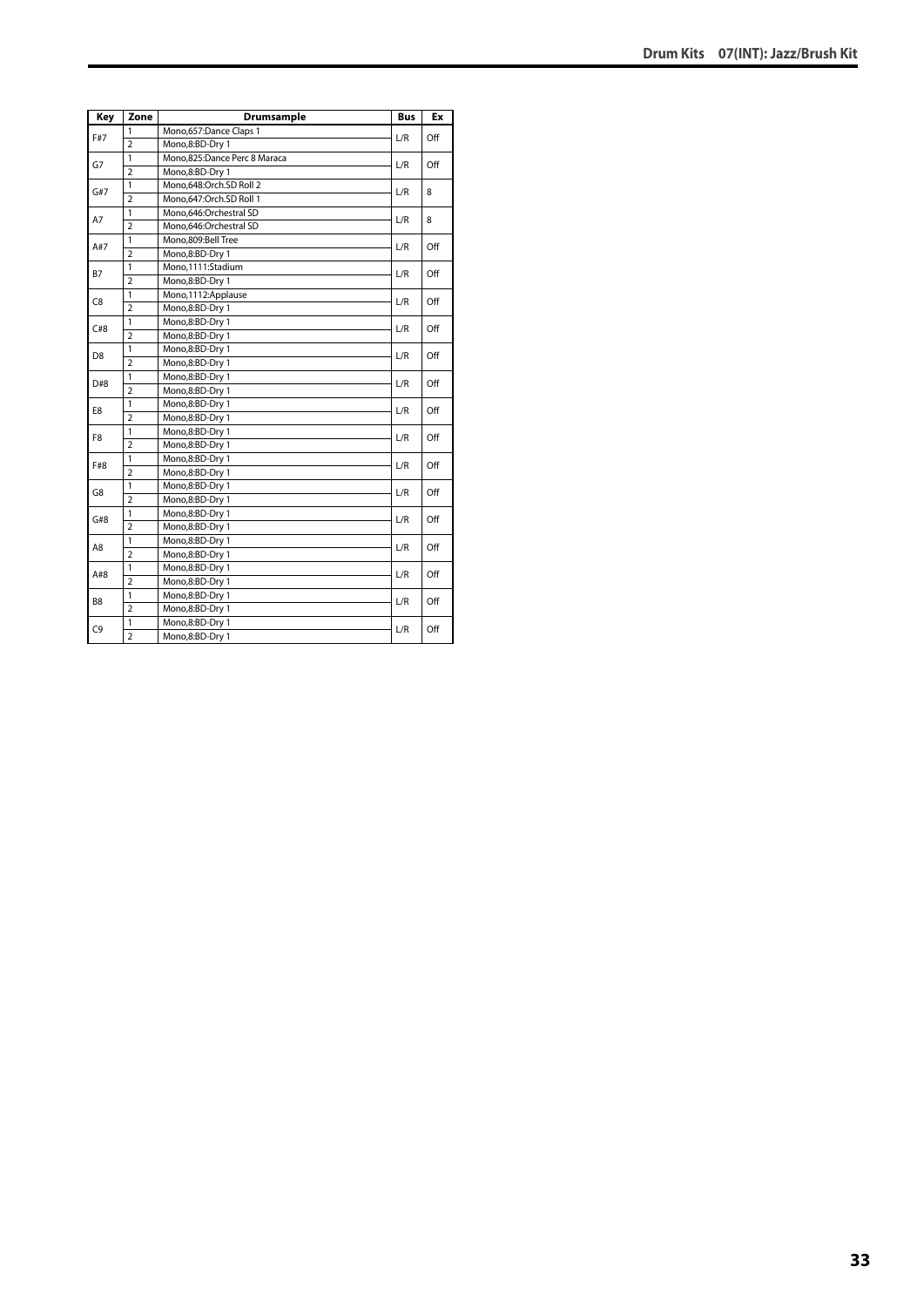| Key            | Zone           | <b>Drumsample</b>            | <b>Bus</b> | Ex  |
|----------------|----------------|------------------------------|------------|-----|
| F#7            | 1              | Mono,657:Dance Claps 1       | L/R        | Off |
|                | $\overline{2}$ | Mono,8:BD-Dry 1              |            |     |
| G7             | $\mathbf{1}$   | Mono,825:Dance Perc 8 Maraca | L/R        | Off |
|                | $\overline{2}$ | Mono,8:BD-Dry 1              |            |     |
| G#7            | 1              | Mono,648:Orch.SD Roll 2      | L/R        | 8   |
|                | $\overline{2}$ | Mono,647:Orch.SD Roll 1      |            |     |
| A7             | $\mathbf{1}$   | Mono,646:Orchestral SD       | L/R        | 8   |
|                | $\overline{2}$ | Mono,646:Orchestral SD       |            |     |
| A#7            | 1              | Mono,809:Bell Tree           | L/R        | Off |
|                | $\overline{2}$ | Mono,8:BD-Dry 1              |            |     |
| <b>B7</b>      | 1              | Mono.1111:Stadium            | L/R        | Off |
|                | $\overline{2}$ | Mono,8:BD-Dry 1              |            |     |
| C <sub>8</sub> | 1              | Mono,1112:Applause           | L/R        | Off |
|                | $\overline{2}$ | Mono,8:BD-Dry 1              |            |     |
| C#8            | $\mathbf{1}$   | Mono,8:BD-Dry 1              | L/R        | Off |
|                | $\overline{2}$ | Mono,8:BD-Dry 1              |            |     |
| D <sub>8</sub> | $\mathbf{1}$   | Mono,8:BD-Dry 1              | L/R        | Off |
|                | $\overline{2}$ | Mono,8:BD-Dry 1              |            |     |
| D#8            | 1              | Mono,8:BD-Dry 1              | L/R        | Off |
|                | $\overline{2}$ | Mono,8:BD-Dry 1              |            |     |
| E8             | 1              | Mono,8:BD-Dry 1              | L/R        | Off |
|                | $\overline{2}$ | Mono,8:BD-Dry 1              |            |     |
| F8             | $\mathbf{1}$   | Mono,8:BD-Dry 1              | L/R        | Off |
|                | $\overline{2}$ | Mono,8:BD-Dry 1              |            |     |
| F#8            | $\overline{1}$ | Mono,8:BD-Dry 1              | L/R        | Off |
|                | $\overline{2}$ | Mono,8:BD-Dry 1              |            |     |
| G8             | $\mathbf{1}$   | Mono,8:BD-Dry 1              | L/R        | Off |
|                | $\overline{2}$ | Mono,8:BD-Dry 1              |            |     |
| G#8            | $\mathbf{1}$   | Mono,8:BD-Dry 1              | L/R        | Off |
|                | $\overline{2}$ | Mono,8:BD-Dry 1              |            |     |
| A8             | 1              | Mono,8:BD-Dry 1              | L/R        | Off |
|                | $\overline{2}$ | Mono,8:BD-Dry 1              |            |     |
| A#8            | $\mathbf{1}$   | Mono,8:BD-Dry 1              | L/R        | Off |
|                | $\overline{2}$ | Mono,8:BD-Dry 1              |            |     |
| B <sub>8</sub> | $\mathbf{1}$   | Mono,8:BD-Dry 1              |            | Off |
|                | $\overline{2}$ | Mono,8:BD-Dry 1              | L/R        |     |
| C <sub>9</sub> | $\mathbf{1}$   | Mono,8:BD-Dry 1              | L/R        | Off |
|                | $\overline{2}$ | Mono,8:BD-Dry 1              |            |     |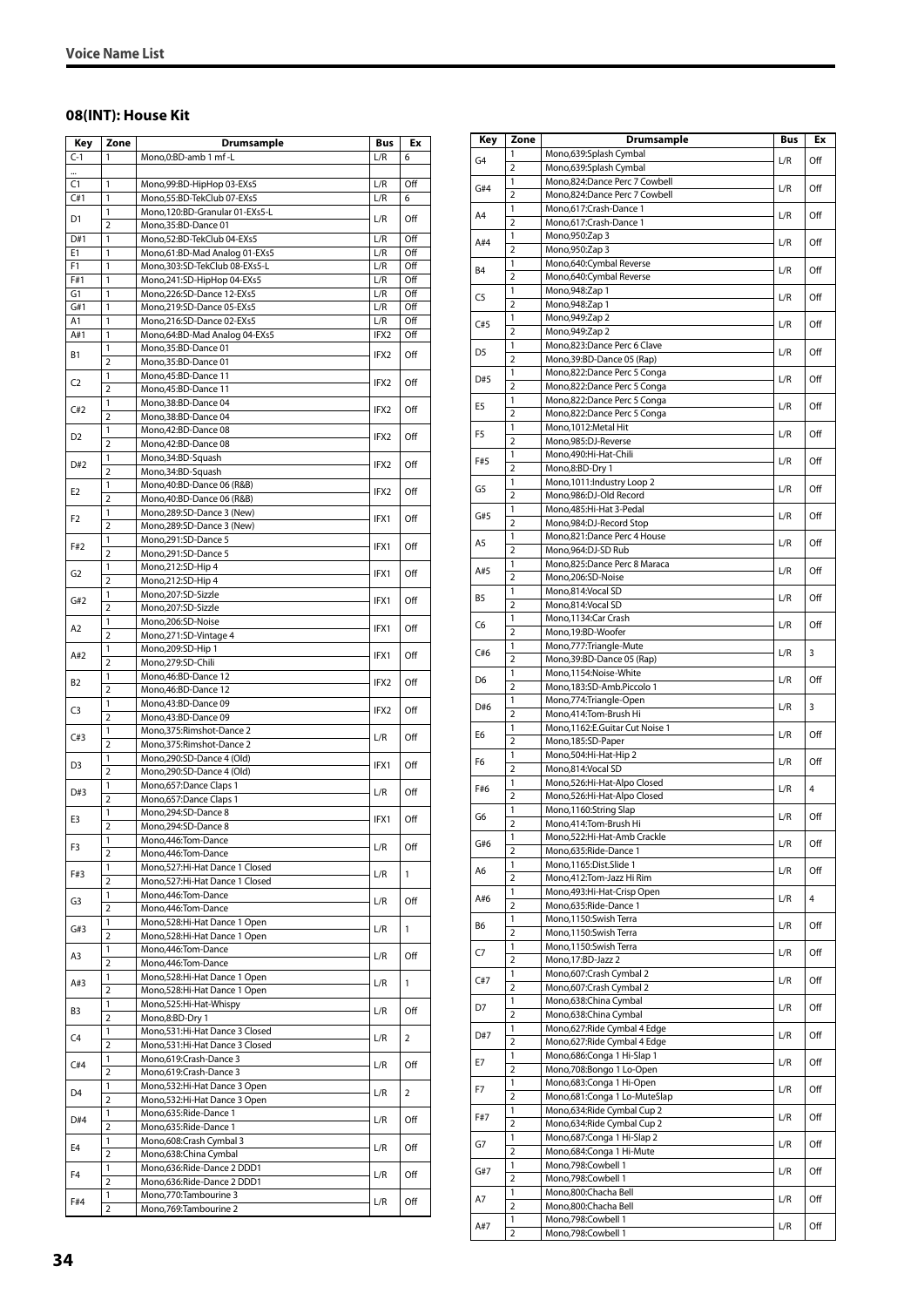#### <span id="page-33-0"></span>**08(INT): House Kit**

| Key            | Zone                | Drumsample                                          | <b>Bus</b>       | Ex  |
|----------------|---------------------|-----------------------------------------------------|------------------|-----|
| $C-1$          | 1                   | Mono.0:BD-amb 1 mf -L                               | L/R              | 6   |
|                |                     |                                                     |                  |     |
| C1             | 1                   | Mono,99:BD-HipHop 03-EXs5                           | L/R              | Off |
| C#1            | 1                   | Mono,55:BD-TekClub 07-EXs5                          | L/R              | 6   |
| D1             | 1<br>2              | Mono, 120: BD-Granular 01-EXs5-L                    | L/R              | Off |
| D#1            | 1                   | Mono, 35: BD-Dance 01<br>Mono,52:BD-TekClub 04-EXs5 | L/R              | Off |
| E1             | 1                   | Mono,61:BD-Mad Analog 01-EXs5                       | L/R              | Off |
| F1             | 1                   | Mono,303:SD-TekClub 08-EXs5-L                       | L/R              | Off |
| F#1            | 1                   | Mono,241:SD-HipHop 04-EXs5                          | L/R              | Off |
| G1             | 1                   | Mono,226:SD-Dance 12-EXs5                           | L/R              | Off |
| G#1            | 1                   | Mono,219:SD-Dance 05-EXs5                           | L/R              | Off |
| A1             | 1                   | Mono,216:SD-Dance 02-EXs5                           | L/R              | Off |
| A#1            | 1<br>1              | Mono,64:BD-Mad Analog 04-EXs5                       | IFX2             | Off |
| Β1             | 2                   | Mono,35:BD-Dance 01<br>Mono, 35: BD-Dance 01        | IFX2             | Off |
|                | 1                   | Mono,45:BD-Dance 11                                 |                  |     |
| C <sub>2</sub> | $\overline{2}$      | Mono, 45: BD-Dance 11                               | IFX2             | Off |
| C#2            | 1                   | Mono, 38: BD-Dance 04                               | IFX2             | Off |
|                | $\overline{2}$      | Mono, 38: BD-Dance 04                               |                  |     |
| D <sub>2</sub> | 1                   | Mono, 42: BD-Dance 08                               | IFX <sub>2</sub> | Off |
|                | $\overline{2}$      | Mono, 42: BD-Dance 08                               |                  |     |
| D#2            | 1<br>$\overline{2}$ | Mono, 34: BD-Squash<br>Mono, 34: BD-Squash          | IFX2             | Off |
|                | 1                   | Mono, 40: BD-Dance 06 (R&B)                         |                  |     |
| E2             | $\overline{2}$      | Mono, 40: BD-Dance 06 (R&B)                         | IFX2             | Off |
|                | 1                   | Mono,289:SD-Dance 3 (New)                           |                  |     |
| F2             | $\overline{2}$      | Mono,289:SD-Dance 3 (New)                           | IFX1             | Off |
| F#2            | 1                   | Mono,291:SD-Dance 5                                 | IFX1             | Off |
|                | $\overline{2}$      | Mono,291:SD-Dance 5                                 |                  |     |
| G2             | 1                   | Mono,212:SD-Hip 4                                   | IFX1             | Off |
|                | 2<br>1              | Mono,212:SD-Hip 4                                   |                  |     |
| G#2            | $\overline{2}$      | Mono,207:SD-Sizzle<br>Mono,207:SD-Sizzle            | IFX1             | Off |
|                | 1                   | Mono,206:SD-Noise                                   |                  |     |
| Α2             | 2                   | Mono,271:SD-Vintage 4                               | IFX1             | Off |
|                | 1                   | Mono, 209: SD-Hip 1                                 |                  | Off |
| A#2            | $\overline{2}$      | Mono,279:SD-Chili                                   | IFX1             |     |
| B2             | 1                   | Mono, 46: BD-Dance 12                               | IFX2             | Off |
|                | 2                   | Mono, 46: BD-Dance 12                               |                  |     |
| C3             | 1                   | Mono,43:BD-Dance 09                                 | IFX2             | Off |
|                | $\overline{2}$<br>1 | Mono, 43: BD-Dance 09<br>Mono, 375: Rimshot-Dance 2 |                  |     |
| C#3            | $\overline{2}$      | Mono, 375: Rimshot-Dance 2                          | L/R              | Off |
|                | 1                   | Mono,290:SD-Dance 4 (Old)                           |                  |     |
| D3             | $\overline{2}$      | Mono,290:SD-Dance 4 (Old)                           | IFX1             | Off |
| D#3            | 1                   | Mono, 657: Dance Claps 1                            | L/R              | Off |
|                | 2                   | Mono, 657: Dance Claps 1                            |                  |     |
| E3             | 1                   | Mono, 294: SD-Dance 8                               | IFX1             | Off |
|                | $\overline{2}$<br>1 | Mono, 294: SD-Dance 8<br>Mono, 446: Tom-Dance       |                  |     |
| F3             | $\overline{2}$      | Mono, 446: Tom-Dance                                | L/R              | Off |
|                | 1                   | Mono,527:Hi-Hat Dance 1 Closed                      |                  |     |
| F#3            | 2                   | Mono, 527: Hi-Hat Dance 1 Closed                    | L/R              | 1   |
| G3             | 1                   | Mono, 446: Tom-Dance                                | L/R              | Off |
|                | $\overline{2}$      | Mono, 446: Tom-Dance                                |                  |     |
| G#3            | 1                   | Mono,528:Hi-Hat Dance 1 Open                        | L/R              | 1   |
|                | 2                   | Mono, 528: Hi-Hat Dance 1 Open                      |                  |     |
| A3             | 1<br>$\overline{2}$ | Mono, 446: Tom-Dance<br>Mono, 446: Tom-Dance        | L/R              | Off |
|                | 1                   | Mono, 528: Hi-Hat Dance 1 Open                      |                  |     |
| A#3            | 2                   | Mono,528:Hi-Hat Dance 1 Open                        | L/R              | 1   |
|                | 1                   | Mono,525:Hi-Hat-Whispy                              |                  |     |
| B3             | 2                   | Mono,8:BD-Dry 1                                     | L/R              | Off |
| C4             | $\mathbf{1}$        | Mono,531:Hi-Hat Dance 3 Closed                      | L/R              | 2   |
|                | 2                   | Mono,531:Hi-Hat Dance 3 Closed                      |                  |     |
| C#4            | 1<br>$\overline{2}$ | Mono,619:Crash-Dance 3<br>Mono,619:Crash-Dance 3    | L/R              | Off |
|                | 1                   | Mono, 532: Hi-Hat Dance 3 Open                      |                  |     |
| D4             | 2                   | Mono, 532: Hi-Hat Dance 3 Open                      | L/R              | 2   |
|                | 1                   | Mono,635:Ride-Dance 1                               |                  |     |
| D#4            | $\overline{2}$      | Mono,635:Ride-Dance 1                               | L/R              | Off |
| E4             | 1                   | Mono,608:Crash Cymbal 3                             | L/R              | Off |
|                | 2                   | Mono, 638: China Cymbal                             |                  |     |
| F4             | 1                   | Mono,636:Ride-Dance 2 DDD1                          | L/R              | Off |
|                | $\overline{2}$      | Mono,636:Ride-Dance 2 DDD1                          |                  |     |
| F#4            | 1<br>2              | Mono, 770: Tambourine 3<br>Mono, 769: Tambourine 2  | L/R              | Off |
|                |                     |                                                     |                  |     |

| Key            | Zone                | Drumsample                                                     | Bus         | Ex  |
|----------------|---------------------|----------------------------------------------------------------|-------------|-----|
| G <sub>4</sub> | 1                   | Mono,639:Splash Cymbal                                         | L/R         | Off |
|                | $\overline{2}$      | Mono,639:Splash Cymbal                                         |             |     |
| G#4            | 1<br>$\overline{2}$ | Mono,824:Dance Perc 7 Cowbell<br>Mono,824:Dance Perc 7 Cowbell | L/R         | Off |
|                | 1                   | Mono,617:Crash-Dance 1                                         |             |     |
| A4             | $\overline{2}$      | Mono,617:Crash-Dance 1                                         | L/R         | Off |
| A#4            | 1                   | Mono, 950: Zap 3                                               | L/R         | Off |
|                | $\overline{2}$<br>1 | Mono, 950: Zap 3                                               |             |     |
| <b>B4</b>      | $\overline{2}$      | Mono,640:Cymbal Reverse<br>Mono,640:Cymbal Reverse             | L/R         | Off |
| C <sub>5</sub> | 1                   | Mono, 948: Zap 1                                               |             | Off |
|                | 2                   | Mono, 948: Zap 1                                               | L/R         |     |
| C#5            | 1                   | Mono, 949: Zap 2                                               | L/R         | Off |
|                | $\overline{2}$<br>1 | Mono, 949: Zap 2<br>Mono,823:Dance Perc 6 Clave                |             |     |
| D <sub>5</sub> | $\overline{2}$      | Mono, 39: BD-Dance 05 (Rap)                                    | L/R         | Off |
| D#5            | $\mathbf{1}$        | Mono,822:Dance Perc 5 Conga                                    | L/R         | Off |
|                | $\overline{2}$      | Mono,822:Dance Perc 5 Conga                                    |             |     |
| E5             | 1<br>$\overline{2}$ | Mono,822:Dance Perc 5 Conga<br>Mono,822:Dance Perc 5 Conga     | L/R         | Off |
|                | 1                   | Mono, 1012: Metal Hit                                          |             |     |
| F <sub>5</sub> | $\overline{2}$      | Mono,985:DJ-Reverse                                            | L/R         | Off |
| F#5            | 1                   | Mono,490:Hi-Hat-Chili                                          | L/R         | Off |
|                | $\overline{2}$      | Mono,8:BD-Dry 1                                                |             |     |
| G5             | 1<br>$\overline{2}$ | Mono, 1011: Industry Loop 2<br>Mono,986:DJ-Old Record          | L/R         | Off |
|                | 1                   | Mono,485:Hi-Hat 3-Pedal                                        |             |     |
| G#5            | 2                   | Mono,984:DJ-Record Stop                                        | L/R         | Off |
| A5             | 1                   | Mono,821:Dance Perc 4 House                                    | L/R         | Off |
|                | $\overline{2}$      | Mono,964:DJ-SD Rub                                             |             |     |
| A#5            | 1<br>$\overline{2}$ | Mono,825:Dance Perc 8 Maraca<br>Mono,206:SD-Noise              | L/R         | Off |
|                | 1                   | Mono,814:Vocal SD                                              |             |     |
| B5             | $\overline{2}$      | Mono,814:Vocal SD                                              | L/R         | Off |
| C <sub>6</sub> | 1                   | Mono, 1134: Car Crash                                          | L/R         | Off |
|                | $\overline{2}$      | Mono,19:BD-Woofer                                              |             |     |
| C#6            | 1<br>$\overline{2}$ | Mono,777:Triangle-Mute<br>Mono, 39: BD-Dance 05 (Rap)          | ${\sf L/R}$ | 3   |
|                | 1                   | Mono,1154:Noise-White                                          |             |     |
| D <sub>6</sub> | $\overline{2}$      | Mono,183:SD-Amb.Piccolo 1                                      | L/R         | Off |
| D#6            | 1                   | Mono,774:Triangle-Open                                         | L/R         | 3   |
|                | 2<br>1              | Mono,414:Tom-Brush Hi<br>Mono, 1162: E. Guitar Cut Noise 1     |             |     |
| E6             | $\overline{2}$      | Mono,185:SD-Paper                                              | L/R         | Off |
| F <sub>6</sub> | 1                   | Mono,504:Hi-Hat-Hip 2                                          | L/R         | Off |
|                | $\overline{2}$      | Mono,814:Vocal SD                                              |             |     |
| F#6            | 1<br>$\overline{2}$ | Mono,526:Hi-Hat-Alpo Closed                                    | L/R         | 4   |
|                | 1                   | Mono,526:Hi-Hat-Alpo Closed<br>Mono, 1160: String Slap         |             |     |
| G6             | 2                   | Mono,414:Tom-Brush Hi                                          | L/R         | Off |
| G#6            | 1                   | Mono,522:Hi-Hat-Amb Crackle                                    | L/R         | Off |
|                | $\overline{2}$      | Mono,635:Ride-Dance 1                                          |             |     |
| A6             | 1<br>$\overline{2}$ | Mono, 1165: Dist. Slide 1<br>Mono,412:Tom-Jazz Hi Rim          | L/R         | Off |
|                | 1                   | Mono, 493: Hi-Hat-Crisp Open                                   |             |     |
| A#6            | $\overline{2}$      | Mono,635:Ride-Dance 1                                          | L/R         | 4   |
| B6             | 1                   | Mono,1150:Swish Terra                                          | L/R         | Off |
|                | $\overline{2}$      | Mono,1150:Swish Terra                                          |             |     |
| C7             | 1<br>$\overline{2}$ | Mono,1150:Swish Terra<br>Mono, 17:BD-Jazz 2                    | L/R         | Off |
|                | 1                   | Mono,607:Crash Cymbal 2                                        |             |     |
| C#7            | $\overline{2}$      | Mono,607:Crash Cymbal 2                                        | L/R         | Off |
| D7             | 1                   | Mono,638:China Cymbal                                          | L/R         | Off |
|                | $\overline{2}$<br>1 | Mono,638:China Cymbal<br>Mono,627: Ride Cymbal 4 Edge          |             |     |
| D#7            | $\overline{2}$      | Mono,627: Ride Cymbal 4 Edge                                   | L/R         | Off |
|                | 1                   | Mono,686:Conga 1 Hi-Slap 1                                     |             |     |
| E7             | $\overline{2}$      | Mono,708:Bongo 1 Lo-Open                                       | L/R         | Off |
| F7             | 1                   | Mono, 683: Conga 1 Hi-Open                                     | L/R         | Off |
|                | $\overline{2}$<br>1 | Mono,681:Conga 1 Lo-MuteSlap<br>Mono,634: Ride Cymbal Cup 2    |             |     |
| F#7            | $\overline{2}$      | Mono,634:Ride Cymbal Cup 2                                     | L/R         | Off |
|                | 1                   | Mono, 687: Conga 1 Hi-Slap 2                                   |             |     |
| G7             | $\overline{2}$      | Mono,684:Conga 1 Hi-Mute                                       | L/R         | Off |
| G#7            | 1                   | Mono,798:Cowbell 1                                             | L/R         | Off |
|                | $\overline{2}$<br>1 | Mono,798:Cowbell 1<br>Mono,800:Chacha Bell                     |             |     |
| A7             | $\overline{2}$      | Mono,800:Chacha Bell                                           | L/R         | Off |
|                | 1                   | Mono,798:Cowbell 1                                             |             |     |
| A#7            | 2                   | Mono,798:Cowbell 1                                             | L/R         | Off |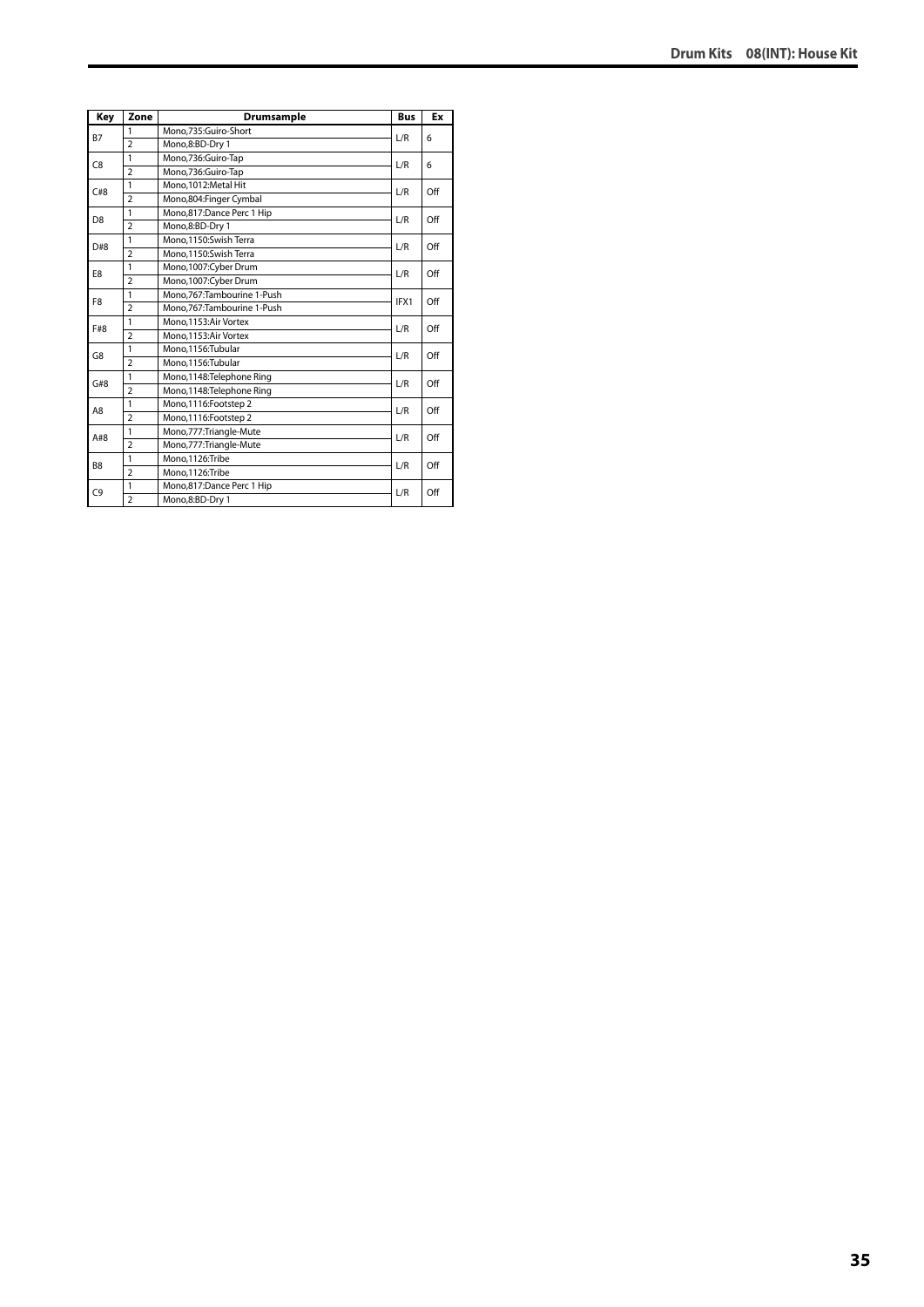| Key            | Zone           | Drumsample                   | <b>Bus</b> | Ex  |
|----------------|----------------|------------------------------|------------|-----|
| <b>B7</b>      | 1              | Mono,735:Guiro-Short         | L/R        | 6   |
|                | $\overline{2}$ | Mono,8:BD-Dry 1              |            |     |
| C <sub>8</sub> | 1              | Mono,736:Guiro-Tap           | L/R        | 6   |
|                | $\overline{2}$ | Mono,736:Guiro-Tap           |            |     |
| C#8            | 1              | Mono.1012:Metal Hit          | L/R        | Off |
|                | $\overline{2}$ | Mono,804:Finger Cymbal       |            |     |
| D <sub>8</sub> | 1              | Mono,817:Dance Perc 1 Hip    | L/R        | Off |
|                | $\overline{2}$ | Mono,8:BD-Dry 1              |            |     |
| D#8            | 1              | Mono,1150:Swish Terra        | L/R        | Off |
|                | $\overline{2}$ | Mono,1150:Swish Terra        |            |     |
| E8             | 1              | Mono,1007:Cyber Drum         | L/R        | Off |
|                | $\overline{2}$ | Mono,1007:Cyber Drum         |            |     |
| F <sub>8</sub> | 1              | Mono, 767: Tambourine 1-Push | IFX1       | Off |
|                | $\overline{2}$ | Mono.767:Tambourine 1-Push   |            |     |
| F#8            | 1              | Mono.1153:Air Vortex         | L/R        | Off |
|                | $\overline{2}$ | Mono.1153:Air Vortex         |            |     |
| G8             | 1              | Mono.1156:Tubular            | L/R        | Off |
|                | $\overline{2}$ | Mono,1156:Tubular            |            |     |
| G#8            | 1              | Mono,1148:Telephone Ring     | L/R        | Off |
|                | $\overline{2}$ | Mono,1148: Telephone Ring    |            |     |
| A8             | 1              | Mono, 1116: Footstep 2       | L/R        | Off |
|                | $\overline{2}$ | Mono, 1116: Footstep 2       |            |     |
| A#8            | 1              | Mono,777:Triangle-Mute       | L/R        | Off |
|                | $\overline{2}$ | Mono,777: Triangle-Mute      |            |     |
| B <sub>8</sub> | 1              | Mono.1126:Tribe              | L/R        | Off |
|                | $\overline{a}$ | Mono,1126:Tribe              |            |     |
| C <sub>9</sub> | 1              | Mono,817:Dance Perc 1 Hip    | L/R        | Off |
|                | $\overline{2}$ | Mono,8:BD-Dry 1              |            |     |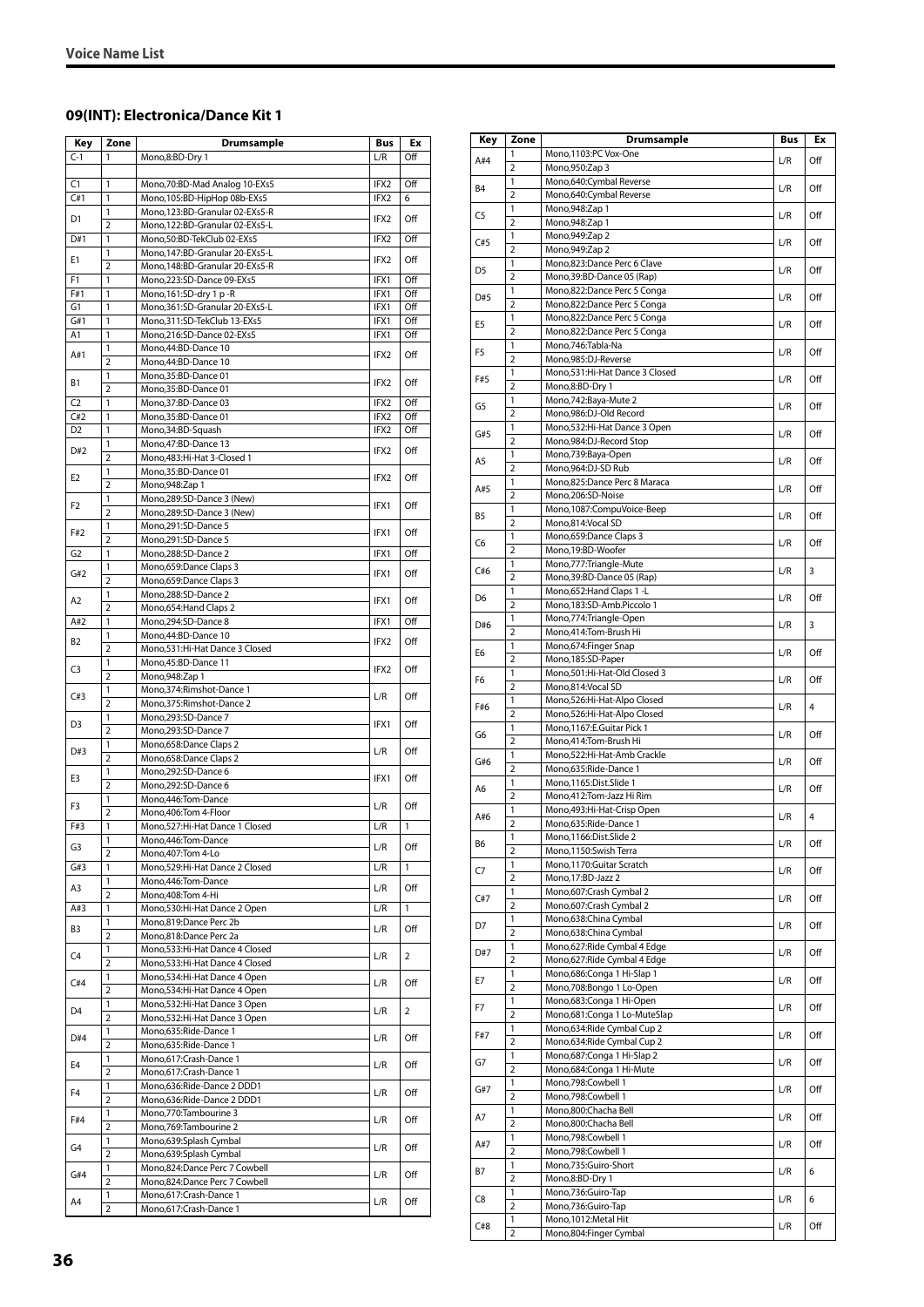#### <span id="page-35-0"></span>**09(INT): Electronica/Dance Kit 1**

| Key            | Zone                           | <b>Drumsample</b>                                                | Bus              | Ex  |
|----------------|--------------------------------|------------------------------------------------------------------|------------------|-----|
| $C-1$          | 1                              | Mono,8:BD-Dry 1                                                  | L/R              | Off |
|                |                                |                                                                  |                  |     |
| C1             | 1                              | Mono, 70: BD-Mad Analog 10-EXs5                                  | IFX2             | Off |
| C#1            | 1                              | Mono, 105:BD-HipHop 08b-EXs5                                     | IFX2             | 6   |
| D1             | $\mathbf{1}$<br>$\overline{2}$ | Mono, 123: BD-Granular 02-EXs5-R                                 | IFX <sub>2</sub> | Off |
| D#1            | 1                              | Mono, 122: BD-Granular 02-EXs5-L<br>Mono,50:BD-TekClub 02-EXs5   | IFX2             | Off |
|                | 1                              | Mono, 147: BD-Granular 20-EXs5-L                                 |                  |     |
| E1             | $\overline{2}$                 | Mono, 148: BD-Granular 20-EXs5-R                                 | IFX2             | Off |
| F <sub>1</sub> | $\mathbf{1}$                   | Mono,223:SD-Dance 09-EXs5                                        | IFX1             | Off |
| F#1            | 1                              | Mono, 161: SD-dry 1 p - R                                        | IFX1             | Off |
| G1             | 1                              | Mono, 361: SD-Granular 20-EXs5-L                                 | IFX1             | Off |
| G#1            | 1                              | Mono, 311: SD-TekClub 13-EXs5                                    | IFX1             | Off |
| A1             | 1                              | Mono,216:SD-Dance 02-EXs5<br>Mono, 44: BD-Dance 10               | IFX1             | Off |
| A#1            | 1<br>$\overline{2}$            | Mono, 44: BD-Dance 10                                            | IFX2             | Off |
|                | 1                              | Mono, 35: BD-Dance 01                                            |                  |     |
| В1             | $\overline{2}$                 | Mono, 35: BD-Dance 01                                            | IFX2             | Off |
| C <sub>2</sub> | 1                              | Mono, 37: BD-Dance 03                                            | IFX2             | Off |
| C#2            | $\mathbf{1}$                   | Mono, 35: BD-Dance 01                                            | IFX2             | Off |
| D <sub>2</sub> | 1                              | Mono, 34: BD-Squash                                              | IFX2             | Off |
| D#2            | 1                              | Mono, 47: BD-Dance 13                                            | IFX2             | Off |
|                | 2                              | Mono, 483: Hi-Hat 3-Closed 1                                     |                  |     |
| E2             | 1<br>$\overline{2}$            | Mono, 35: BD-Dance 01<br>Mono, 948: Zap 1                        | IFX2             | Off |
|                | 1                              | Mono,289:SD-Dance 3 (New)                                        |                  |     |
| F2             | $\overline{2}$                 | Mono,289:SD-Dance 3 (New)                                        | IFX1             | Off |
|                | 1                              | Mono,291:SD-Dance 5                                              |                  |     |
| F#2            | $\overline{2}$                 | Mono,291:SD-Dance 5                                              | IFX1             | Off |
| G2             | 1                              | Mono,288:SD-Dance 2                                              | IFX1             | Off |
| G#2            | 1                              | Mono, 659: Dance Claps 3                                         | IFX1             | Off |
|                | $\overline{2}$                 | Mono, 659: Dance Claps 3                                         |                  |     |
| A <sub>2</sub> | 1<br>$\overline{2}$            | Mono,288:SD-Dance 2                                              | IFX1             | Off |
| A#2            | $\mathbf{1}$                   | Mono, 654: Hand Claps 2<br>Mono,294:SD-Dance 8                   | IFX1             | Off |
|                | 1                              | Mono, 44: BD-Dance 10                                            |                  |     |
| B2             | $\overline{2}$                 | Mono,531:Hi-Hat Dance 3 Closed                                   | IFX2             | Off |
| C3             | 1                              | Mono, 45: BD-Dance 11                                            | IFX2             | Off |
|                | $\overline{2}$                 | Mono, 948: Zap 1                                                 |                  |     |
| C#3            | 1                              | Mono, 374: Rimshot-Dance 1                                       | L/R              | Off |
|                | $\overline{2}$                 | Mono, 375: Rimshot-Dance 2                                       |                  |     |
| D3             | 1<br>$\overline{2}$            | Mono,293:SD-Dance 7<br>Mono,293:SD-Dance 7                       | IFX1             | Off |
|                | 1                              | Mono, 658: Dance Claps 2                                         |                  |     |
| D#3            | 2                              | Mono, 658: Dance Claps 2                                         | L/R              | Off |
|                | 1                              | Mono,292:SD-Dance 6                                              |                  |     |
| E3             | $\overline{2}$                 | Mono,292:SD-Dance 6                                              | IFX1             | Off |
| F3             | 1                              | Mono, 446: Tom-Dance                                             | L/R              | Off |
|                | $\overline{2}$                 | Mono, 406: Tom 4-Floor                                           |                  |     |
| l<br>F#3       | 1                              | Mono,527:Hi-Hat Dance 1 Closed                                   | L/R              | 1   |
| G3             | 1<br>2                         | Mono, 446: Tom-Dance<br>Mono, 407: Tom 4-Lo                      | L/R              | Off |
| G#3            | 1                              | Mono,529:Hi-Hat Dance 2 Closed                                   | L/R              | 1   |
|                | 1                              | Mono, 446: Tom-Dance                                             |                  |     |
| A3             | $\overline{2}$                 | Mono, 408: Tom 4-Hi                                              | L/R              | Off |
| A#3            | 1                              | Mono,530:Hi-Hat Dance 2 Open                                     | L/R              | 1   |
| B3             | 1                              | Mono,819:Dance Perc 2b                                           | L/R              | Off |
|                | $\overline{2}$                 | Mono,818:Dance Perc 2a                                           |                  |     |
| C4             | 1                              | Mono, 533: Hi-Hat Dance 4 Closed                                 | L/R              | 2   |
|                | 2<br>1                         | Mono,533:Hi-Hat Dance 4 Closed<br>Mono, 534: Hi-Hat Dance 4 Open |                  |     |
| C#4            | $\overline{2}$                 | Mono, 534: Hi-Hat Dance 4 Open                                   | L/R              | Off |
|                | 1                              | Mono, 532: Hi-Hat Dance 3 Open                                   |                  |     |
| D4             | $\overline{2}$                 | Mono, 532: Hi-Hat Dance 3 Open                                   | L/R              | 2   |
| D#4            | 1                              | Mono,635:Ride-Dance 1                                            | L/R              | Off |
|                | $\overline{2}$                 | Mono,635:Ride-Dance 1                                            |                  |     |
| E4             | 1                              | Mono,617:Crash-Dance 1                                           | L/R              | Off |
|                | 2                              | Mono,617:Crash-Dance 1                                           |                  |     |
| F4             | 1<br>$\overline{2}$            | Mono,636:Ride-Dance 2 DDD1<br>Mono,636:Ride-Dance 2 DDD1         | L/R              | Off |
|                | 1                              | Mono, 770: Tambourine 3                                          |                  |     |
| F#4            | 2                              | Mono, 769: Tambourine 2                                          | L/R              | Off |
|                | 1                              | Mono,639:Splash Cymbal                                           |                  |     |
| G4             | $\overline{2}$                 | Mono,639:Splash Cymbal                                           | L/R              | Off |
| G#4            | 1                              | Mono,824:Dance Perc 7 Cowbell                                    | L/R              | Off |
|                | 2                              | Mono,824:Dance Perc 7 Cowbell                                    |                  |     |
| A4             | 1                              | Mono,617:Crash-Dance 1                                           | L/R              | Off |
|                | $\overline{2}$                 | Mono,617:Crash-Dance 1                                           |                  |     |

| Key            | Zone                | Drumsample                                                  | <b>Bus</b> | Ex             |
|----------------|---------------------|-------------------------------------------------------------|------------|----------------|
| A#4            | 1                   | Mono,1103:PC Vox-One                                        | L/R        | Off            |
|                | 2                   | Mono, 950: Zap 3                                            |            |                |
| B4             | 1                   | Mono,640:Cymbal Reverse                                     | L/R        | Off            |
|                | $\overline{2}$      | Mono,640:Cymbal Reverse                                     |            |                |
| C5             | 1<br>$\overline{2}$ | Mono, 948: Zap 1<br>Mono, 948: Zap 1                        | L/R        | Off            |
|                | 1                   | Mono, 949: Zap 2                                            |            |                |
| C#5            | $\overline{2}$      | Mono, 949: Zap 2                                            | L/R        | Off            |
|                | 1                   | Mono,823:Dance Perc 6 Clave                                 |            |                |
| D <sub>5</sub> | $\overline{2}$      | Mono, 39: BD-Dance 05 (Rap)                                 | L/R        | Off            |
| D#5            | 1                   | Mono,822:Dance Perc 5 Conga                                 | L/R        | Off            |
|                | $\overline{2}$      | Mono,822:Dance Perc 5 Conga                                 |            |                |
| E5             | 1                   | Mono,822:Dance Perc 5 Conga                                 | L/R        | Off            |
|                | $\overline{2}$      | Mono,822:Dance Perc 5 Conga                                 |            |                |
| F5             | 1<br>$\overline{2}$ | Mono, 746: Tabla-Na<br>Mono,985:DJ-Reverse                  | L/R        | Off            |
|                | 1                   | Mono,531:Hi-Hat Dance 3 Closed                              |            |                |
| F#5            | $\overline{2}$      | Mono,8:BD-Dry 1                                             | L/R        | Off            |
|                | 1                   | Mono, 742: Baya-Mute 2                                      |            |                |
| G5             | $\overline{2}$      | Mono,986:DJ-Old Record                                      | L/R        | Off            |
| G#5            | 1                   | Mono,532:Hi-Hat Dance 3 Open                                | L/R        | Off            |
|                | $\overline{2}$      | Mono,984:DJ-Record Stop                                     |            |                |
| A5             | 1                   | Mono,739:Baya-Open                                          | L/R        | Off            |
|                | $\overline{2}$      | Mono,964:DJ-SD Rub                                          |            |                |
| A#5            | 1                   | Mono,825:Dance Perc 8 Maraca                                | L/R        | Off            |
|                | 2<br>1              | Mono,206:SD-Noise<br>Mono,1087:CompuVoice-Beep              |            |                |
| B5             | $\overline{2}$      | Mono,814:Vocal SD                                           | L/R        | Off            |
|                | 1                   | Mono,659:Dance Claps 3                                      |            |                |
| C6             | $\overline{2}$      | Mono,19:BD-Woofer                                           | L/R        | Off            |
| C#6            | $\mathbf{1}$        | Mono,777:Triangle-Mute                                      | L/R        | 3              |
|                | $\overline{2}$      | Mono, 39: BD-Dance 05 (Rap)                                 |            |                |
| D6             | 1                   | Mono,652: Hand Claps 1 - L                                  | L/R        | Off            |
|                | $\overline{2}$      | Mono,183:SD-Amb.Piccolo 1                                   |            |                |
| D#6            | 1<br>$\overline{2}$ | Mono,774:Triangle-Open<br>Mono,414:Tom-Brush Hi             | L/R        | 3              |
|                | 1                   | Mono,674:Finger Snap                                        |            |                |
| E6             | $\overline{2}$      | Mono, 185: SD-Paper                                         | L/R        | Off            |
|                | 1                   | Mono,501:Hi-Hat-Old Closed 3                                |            |                |
| F <sub>6</sub> | $\overline{2}$      | Mono,814:Vocal SD                                           | L/R        | Off            |
| F#6            | 1                   | Mono,526:Hi-Hat-Alpo Closed                                 | L/R        | $\overline{4}$ |
|                | $\overline{2}$      | Mono,526:Hi-Hat-Alpo Closed                                 |            |                |
| G6             | 1                   | Mono, 1167: E. Guitar Pick 1                                | L/R        | Off            |
|                | $\overline{2}$      | Mono,414:Tom-Brush Hi                                       |            |                |
| G#6            | 1<br>$\overline{2}$ | Mono,522:Hi-Hat-Amb Crackle<br>Mono,635:Ride-Dance 1        | L/R        | Off            |
|                | 1                   | Mono,1165:Dist.Slide 1                                      |            |                |
| A6             | $\overline{2}$      | Mono,412:Tom-Jazz Hi Rim                                    | L/R        | Off            |
| A#6            | 1                   | Mono, 493: Hi-Hat-Crisp Open                                |            | $\overline{4}$ |
|                | $\overline{2}$      | Mono,635:Ride-Dance 1                                       | L/R        |                |
| B6             | 1                   | Mono,1166:Dist.Slide 2                                      | L/R        | Off            |
|                | 2                   | Mono,1150:Swish Terra                                       |            |                |
| C7             | 1                   | Mono, 1170: Guitar Scratch                                  | L/R        | Off            |
|                | $\overline{2}$<br>1 | Mono, 17: BD-Jazz 2<br>Mono,607:Crash Cymbal 2              |            |                |
| C#7            | $\overline{2}$      | Mono,607:Crash Cymbal 2                                     | L/R        | Off            |
|                | 1                   | Mono,638:China Cymbal                                       |            |                |
| D7             | $\overline{2}$      | Mono,638:China Cymbal                                       | L/R        | Off            |
|                | 1                   | Mono,627: Ride Cymbal 4 Edge                                |            |                |
| D#7            | 2                   | Mono,627: Ride Cymbal 4 Edge                                | L/R        | Off            |
| E7             | 1                   | Mono,686:Conga 1 Hi-Slap 1                                  | L/R        | Off            |
|                | $\overline{2}$      | Mono,708:Bongo 1 Lo-Open                                    |            |                |
| F7             | 1                   | Mono,683:Conga 1 Hi-Open                                    | L/R        | Off            |
|                | 2<br>1              | Mono,681:Conga 1 Lo-MuteSlap<br>Mono,634: Ride Cymbal Cup 2 |            |                |
| F#7            | 2                   | Mono,634: Ride Cymbal Cup 2                                 | L/R        | Off            |
|                | 1                   | Mono, 687: Conga 1 Hi-Slap 2                                |            |                |
| G7             | 2                   | Mono,684:Conga 1 Hi-Mute                                    | L/R        | Off            |
|                | 1                   | Mono,798:Cowbell 1                                          |            |                |
| G#7            | $\overline{2}$      | Mono,798:Cowbell 1                                          | L/R        | Off            |
| Α7             | 1                   | Mono,800:Chacha Bell                                        | L/R        | Off            |
|                | 2                   | Mono,800:Chacha Bell                                        |            |                |
| A#7            | 1                   | Mono,798:Cowbell 1                                          | L/R        | Off            |
|                | $\overline{2}$      | Mono,798:Cowbell 1                                          |            |                |
| Β7             | 1<br>2              | Mono,735:Guiro-Short<br>Mono,8:BD-Dry 1                     | L/R        | 6              |
|                | 1                   | Mono,736:Guiro-Tap                                          |            |                |
| C8             | 2                   | Mono,736:Guiro-Tap                                          | L/R        | 6              |
|                | 1                   | Mono, 1012: Metal Hit                                       |            |                |
| C#8            | $\overline{2}$      | Mono,804:Finger Cymbal                                      | L/R        | Off            |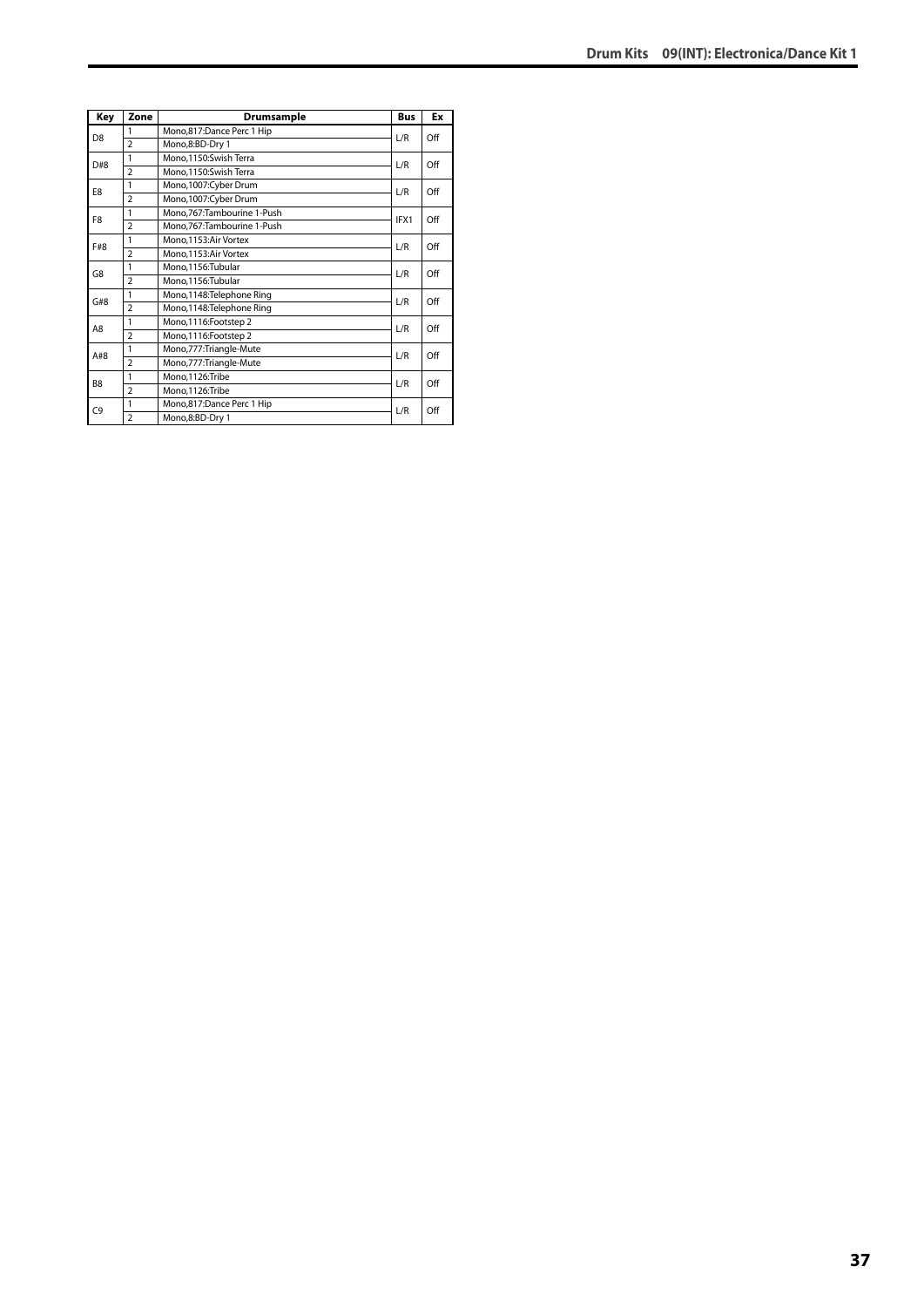| Key            | Zone           | Drumsample                 | <b>Bus</b> | Ex  |
|----------------|----------------|----------------------------|------------|-----|
| D <sub>8</sub> | 1              | Mono,817:Dance Perc 1 Hip  | L/R        | Off |
|                | $\overline{2}$ | Mono,8:BD-Dry 1            |            |     |
| D#8            | 1              | Mono,1150:Swish Terra      | L/R        | Off |
|                | $\overline{2}$ | Mono,1150:Swish Terra      |            |     |
| E8             | 1              | Mono,1007:Cyber Drum       | L/R        | Off |
|                | $\overline{2}$ | Mono, 1007: Cyber Drum     |            |     |
| F <sub>8</sub> | 1              | Mono,767:Tambourine 1-Push | IFX1       | Off |
|                | $\overline{a}$ | Mono,767:Tambourine 1-Push |            |     |
| F#8            | 1              | Mono, 1153: Air Vortex     | L/R        | Off |
|                | $\overline{2}$ | Mono, 1153: Air Vortex     |            |     |
| G8             | 1              | Mono,1156:Tubular          | L/R        | Off |
|                | $\overline{2}$ | Mono,1156:Tubular          |            |     |
| G#8            | 1              | Mono,1148: Telephone Ring  | L/R        | Off |
|                | $\overline{2}$ | Mono,1148: Telephone Ring  |            |     |
| A8             | 1              | Mono, 1116: Footstep 2     | L/R        | Off |
|                | $\overline{2}$ | Mono, 1116: Footstep 2     |            |     |
| A#8            | 1              | Mono,777:Triangle-Mute     | L/R        | Off |
|                | $\overline{2}$ | Mono,777: Triangle-Mute    |            |     |
| B <sub>8</sub> | 1              | Mono,1126:Tribe            | L/R        | Off |
|                | $\overline{2}$ | Mono,1126:Tribe            |            |     |
| C <sub>9</sub> | 1              | Mono,817:Dance Perc 1 Hip  | L/R        | Off |
|                | $\overline{a}$ | Mono,8:BD-Dry 1            |            |     |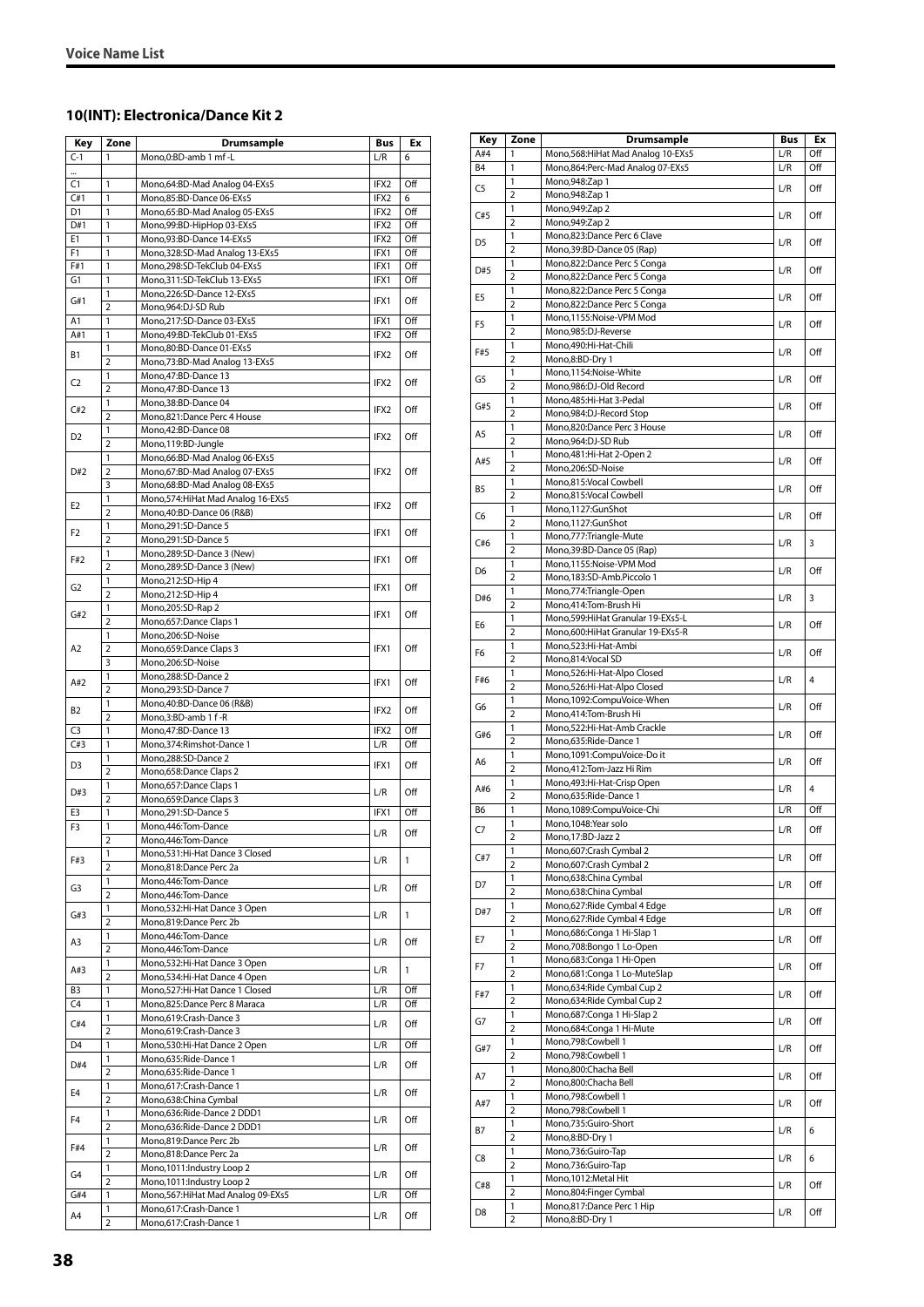### **10(INT): Electronica/Dance Kit 2**

| Key            | Zone                | Drumsample                                                     | Bus              | Ex         |
|----------------|---------------------|----------------------------------------------------------------|------------------|------------|
| $C-1$          | 1                   | Mono,0:BD-amb 1 mf -L                                          | L/R              | 6          |
|                |                     |                                                                |                  |            |
| C1             | 1                   | Mono,64:BD-Mad Analog 04-EXs5                                  | IFX2             | Off        |
| C#1            | 1                   | Mono,85:BD-Dance 06-EXs5                                       | IFX2             | 6          |
| D1             | 1                   | Mono,65:BD-Mad Analog 05-EXs5                                  | IFX2             | Off        |
| D#1<br>E1      | 1<br>1              | Mono,99:BD-HipHop 03-EXs5<br>Mono, 93: BD-Dance 14-EXs5        | IFX2<br>IFX2     | Off<br>Off |
| F <sub>1</sub> | 1                   | Mono, 328: SD-Mad Analog 13-EXs5                               | IFX1             | Off        |
| F#1            | 1                   | Mono,298:SD-TekClub 04-EXs5                                    | IFX1             | Off        |
| G1             | 1                   | Mono, 311: SD-TekClub 13-EXs5                                  | IFX1             | Off        |
|                | 1                   | Mono,226:SD-Dance 12-EXs5                                      |                  |            |
| G#1            | 2                   | Mono,964:DJ-SD Rub                                             | IFX1             | Off        |
| A1             | 1                   | Mono,217:SD-Dance 03-EXs5                                      | IFX1             | Off        |
| A#1            | 1                   | Mono,49:BD-TekClub 01-EXs5                                     | IFX2             | Off        |
| Β1             | 1                   | Mono,80:BD-Dance 01-EXs5                                       | IFX <sub>2</sub> | Off        |
|                | $\overline{2}$      | Mono, 73: BD-Mad Analog 13-EXs5                                |                  |            |
| C <sub>2</sub> | 1<br>$\overline{2}$ | Mono, 47: BD-Dance 13<br>Mono, 47: BD-Dance 13                 | IFX2             | Off        |
|                | 1                   | Mono, 38: BD-Dance 04                                          |                  |            |
| C#2            | $\overline{2}$      | Mono,821:Dance Perc 4 House                                    | IFX2             | Off        |
|                | 1                   | Mono,42:BD-Dance 08                                            |                  |            |
| D <sub>2</sub> | $\overline{2}$      | Mono,119:BD-Jungle                                             | IFX2             | Off        |
|                | 1                   | Mono,66:BD-Mad Analog 06-EXs5                                  |                  |            |
| D#2            | $\overline{2}$      | Mono,67:BD-Mad Analog 07-EXs5                                  | IFX2             | Off        |
|                | 3                   | Mono, 68: BD-Mad Analog 08-EXs5                                |                  |            |
| E <sub>2</sub> | 1                   | Mono, 574: HiHat Mad Analog 16-EXs5                            | IFX2             | Off        |
|                | $\overline{2}$      | Mono, 40: BD-Dance 06 (R&B)                                    |                  |            |
| F2             | 1                   | Mono,291:SD-Dance 5                                            | IFX1             | Off        |
|                | $\overline{2}$<br>1 | Mono,291:SD-Dance 5<br>Mono,289:SD-Dance 3 (New)               |                  |            |
| F#2            | $\overline{2}$      | Mono,289:SD-Dance 3 (New)                                      | IFX1             | Off        |
|                | 1                   | Mono,212:SD-Hip 4                                              |                  |            |
| G <sub>2</sub> | $\overline{2}$      | Mono,212:SD-Hip 4                                              | IFX1             | Off        |
|                | 1                   | Mono,205:SD-Rap 2                                              |                  |            |
| G#2            | $\overline{2}$      | Mono,657:Dance Claps 1                                         | IFX1             | Off        |
|                | 1                   | Mono,206:SD-Noise                                              |                  |            |
| A <sub>2</sub> | $\overline{2}$      | Mono,659:Dance Claps 3                                         | IFX1             | Off        |
|                | 3                   | Mono,206:SD-Noise                                              |                  |            |
| A#2            | 1                   | Mono,288:SD-Dance 2                                            | IFX1             | Off        |
|                | $\overline{2}$<br>1 | Mono,293:SD-Dance 7                                            |                  |            |
| B2             | $\overline{2}$      | Mono, 40: BD-Dance 06 (R&B)<br>Mono,3:BD-amb 1 f-R             | IFX2             | Off        |
| C <sub>3</sub> | 1                   | Mono, 47: BD-Dance 13                                          | IFX2             | Off        |
| C#3            | 1                   | Mono, 374: Rimshot-Dance 1                                     | L/R              | Off        |
|                | 1                   | Mono,288:SD-Dance 2                                            |                  |            |
| D3             | $\overline{2}$      | Mono, 658: Dance Claps 2                                       | IFX1             | Off        |
| D#3            | 1                   | Mono, 657: Dance Claps 1                                       | L/R              | Off        |
|                | $\overline{2}$      | Mono,659:Dance Claps 3                                         |                  |            |
| E3             | 1                   | Mono,291:SD-Dance 5                                            | IFX1             | Off        |
| F3             | 1                   | Mono,446:Tom-Dance                                             | L/R              | Off        |
|                | $\overline{2}$<br>1 | Mono, 446: Tom-Dance<br>Mono, 531: Hi-Hat Dance 3 Closed       |                  |            |
| F#3            | $\overline{2}$      | Mono,818:Dance Perc 2a                                         | L/R              | 1          |
|                | 1                   | Mono, 446: Tom-Dance                                           |                  |            |
| G3             | $\overline{2}$      | Mono, 446: Tom-Dance                                           | L/R              | Off        |
|                | 1                   | Mono, 532: Hi-Hat Dance 3 Open                                 |                  |            |
| G#3            | $\overline{2}$      | Mono,819:Dance Perc 2b                                         | L/R              | 1          |
| A3             | 1                   | Mono, 446: Tom-Dance                                           | L/R              | Off        |
|                | 2                   | Mono, 446: Tom-Dance                                           |                  |            |
| A#3            | 1                   | Mono, 532: Hi-Hat Dance 3 Open                                 | L/R              | 1          |
|                | 2                   | Mono, 534: Hi-Hat Dance 4 Open                                 |                  |            |
| B <sub>3</sub> | 1                   | Mono, 527: Hi-Hat Dance 1 Closed                               | L/R              | Off        |
| C4             | 1<br>1              | Mono,825:Dance Perc 8 Maraca<br>Mono, 619: Crash-Dance 3       | L/R              | Off        |
| C#4            | $\overline{2}$      | Mono,619:Crash-Dance 3                                         | L/R              | Off        |
| D4             | 1                   | Mono,530:Hi-Hat Dance 2 Open                                   | L/R              | Off        |
|                | 1                   | Mono,635:Ride-Dance 1                                          |                  |            |
| D#4            | $\overline{2}$      | Mono,635:Ride-Dance 1                                          | L/R              | Off        |
|                | 1                   | Mono,617:Crash-Dance 1                                         |                  |            |
| E4             | $\overline{2}$      | Mono,638:China Cymbal                                          | L/R              | Off        |
| F <sub>4</sub> | 1                   | Mono,636:Ride-Dance 2 DDD1                                     | L/R              | Off        |
|                | $\overline{2}$      | Mono,636:Ride-Dance 2 DDD1                                     |                  |            |
| F#4            | 1                   | Mono,819:Dance Perc 2b                                         | L/R              | Off        |
|                | $\overline{2}$      | Mono,818:Dance Perc 2a                                         |                  |            |
| G4             | 1                   | Mono, 1011: Industry Loop 2                                    | L/R              | Off        |
| G#4            | 2                   | Mono, 1011: Industry Loop 2                                    |                  | Off        |
|                | 1<br>1              | Mono, 567: Hi Hat Mad Analog 09-EXs5<br>Mono,617:Crash-Dance 1 | L/R              |            |
| A4             | $\overline{2}$      | Mono,617:Crash-Dance 1                                         | L/R              | Off        |

| Key            | Zone                    | <b>Drumsample</b>                                          | <b>Bus</b> | Ex  |
|----------------|-------------------------|------------------------------------------------------------|------------|-----|
| A#4            | 1                       | Mono,568: Hi Hat Mad Analog 10-EXs5                        | L/R        | Off |
| <b>B4</b>      | 1                       | Mono,864:Perc-Mad Analog 07-EXs5                           | L/R        | Off |
| C5             | 1<br>$\overline{2}$     | Mono, 948: Zap 1                                           | L/R        | Off |
|                | 1                       | Mono, 948: Zap 1<br>Mono, 949: Zap 2                       |            |     |
| C#5            | $\overline{2}$          | Mono, 949: Zap 2                                           | L/R        | Off |
|                | 1                       | Mono,823:Dance Perc 6 Clave                                |            |     |
| D <sub>5</sub> | $\overline{2}$          | Mono, 39: BD-Dance 05 (Rap)                                | L/R        | Off |
| D#5            | 1                       | Mono,822:Dance Perc 5 Conga                                | L/R        | Off |
|                | $\overline{2}$          | Mono,822:Dance Perc 5 Conga                                |            |     |
| E5             | 1                       | Mono,822:Dance Perc 5 Conga                                | L/R        | Off |
|                | 2<br>1                  | Mono,822:Dance Perc 5 Conga<br>Mono,1155:Noise-VPM Mod     |            |     |
| F5             | $\overline{2}$          | Mono,985:DJ-Reverse                                        | L/R        | Off |
|                | 1                       | Mono,490:Hi-Hat-Chili                                      |            |     |
| F#5            | $\overline{2}$          | Mono,8:BD-Dry 1                                            | L/R        | Off |
| G5             | 1                       | Mono,1154:Noise-White                                      | L/R        | Off |
|                | $\overline{2}$          | Mono,986:DJ-Old Record                                     |            |     |
| G#5            | 1                       | Mono, 485: Hi-Hat 3-Pedal                                  | L/R        | Off |
|                | $\overline{2}$<br>1     | Mono,984:DJ-Record Stop<br>Mono,820:Dance Perc 3 House     |            |     |
| A5             | $\overline{\mathbf{c}}$ | Mono,964:DJ-SD Rub                                         | L/R        | Off |
|                | 1                       | Mono, 481: Hi-Hat 2-Open 2                                 |            |     |
| A#5            | $\overline{2}$          | Mono,206:SD-Noise                                          | L/R        | Off |
| В5             | 1                       | Mono,815:Vocal Cowbell                                     | L/R        | Off |
|                | $\overline{2}$          | Mono,815:Vocal Cowbell                                     |            |     |
| C6             | 1                       | Mono,1127:GunShot                                          | L/R        | Off |
|                | 2                       | Mono,1127:GunShot                                          |            |     |
| C#6            | 1<br>$\overline{2}$     | Mono,777:Triangle-Mute<br>Mono, 39: BD-Dance 05 (Rap)      | L/R        | 3   |
|                | 1                       | Mono,1155:Noise-VPM Mod                                    |            |     |
| D <sub>6</sub> | 2                       | Mono,183:SD-Amb.Piccolo 1                                  | L/R        | Off |
|                | 1                       | Mono,774:Triangle-Open                                     |            |     |
| D#6            | $\overline{2}$          | Mono,414:Tom-Brush Hi                                      | L/R        | 3   |
| E6             | 1                       | Mono,599: Hi Hat Granular 19-EXs5-L                        | L/R        | Off |
|                | $\overline{2}$          | Mono,600: HiHat Granular 19-EXs5-R                         |            |     |
| F6             | 1<br>2                  | Mono,523:Hi-Hat-Ambi<br>Mono,814:Vocal SD                  | L/R        | Off |
|                | 1                       | Mono,526:Hi-Hat-Alpo Closed                                |            |     |
| F#6            | $\overline{2}$          | Mono,526:Hi-Hat-Alpo Closed                                | L/R        | 4   |
|                | 1                       | Mono,1092:CompuVoice-When                                  |            |     |
| G6             | $\overline{2}$          | Mono,414:Tom-Brush Hi                                      | L/R        | Off |
| G#6            | 1                       | Mono,522:Hi-Hat-Amb Crackle                                | L/R        | Off |
|                | $\overline{2}$          | Mono,635:Ride-Dance 1                                      |            |     |
| A6             | 1<br>2                  | Mono,1091:CompuVoice-Do it<br>Mono, 412: Tom-Jazz Hi Rim   | L/R        | Off |
|                | 1                       | Mono, 493: Hi-Hat-Crisp Open                               |            |     |
| A#6            | $\overline{2}$          | Mono,635:Ride-Dance 1                                      | L/R        | 4   |
| B6             | 1                       | Mono,1089:CompuVoice-Chi                                   | L/R        | Off |
| C7             | 1                       | Mono, 1048: Year solo                                      | L/R        | Off |
|                | $\overline{2}$          | Mono,17:BD-Jazz 2                                          |            |     |
| C#7            | 1                       | Mono,607:Crash Cymbal 2                                    | L/R        | Off |
|                | 2                       | Mono,607:Crash Cymbal 2<br>Mono,638:China Cymbal           |            |     |
| D7             | 1<br>2                  | Mono,638:China Cymbal                                      | L/R        | Off |
|                | 1                       | Mono,627: Ride Cymbal 4 Edge                               |            |     |
| D#7            | $\overline{2}$          | Mono,627: Ride Cymbal 4 Edge                               | L/R        | Off |
| Е7             | 1                       | Mono,686:Conga 1 Hi-Slap 1                                 | L/R        | Off |
|                | 2                       | Mono,708:Bongo 1 Lo-Open                                   |            |     |
| F7             | 1                       | Mono,683:Conga 1 Hi-Open                                   | L/R        | Off |
|                | 2                       | Mono,681:Conga 1 Lo-MuteSlap                               |            |     |
| F#7            | 1<br>$\overline{2}$     | Mono,634: Ride Cymbal Cup 2<br>Mono,634: Ride Cymbal Cup 2 | L/R        | Off |
|                | 1                       | Mono,687:Conga 1 Hi-Slap 2                                 |            |     |
| G7             | 2                       | Mono,684: Conga 1 Hi-Mute                                  | L/R        | Off |
| G#7            | 1                       | Mono,798:Cowbell 1                                         | L/R        | Off |
|                | $\overline{\mathbf{c}}$ | Mono,798:Cowbell 1                                         |            |     |
| Α7             | 1                       | Mono,800:Chacha Bell                                       | L/R        | Off |
|                | 2                       | Mono,800:Chacha Bell                                       |            |     |
| A#7            | 1<br>$\overline{2}$     | Mono,798:Cowbell 1<br>Mono,798:Cowbell 1                   | L/R        | Off |
|                | 1                       | Mono,735:Guiro-Short                                       |            |     |
| Β7             | 2                       | Mono,8:BD-Dry 1                                            | L/R        | 6   |
|                | 1                       | Mono,736:Guiro-Tap                                         |            |     |
| C8             | $\overline{2}$          | Mono,736:Guiro-Tap                                         | L/R        | 6   |
| C#8            | 1                       | Mono, 1012: Metal Hit                                      | L/R        | Off |
|                | $\overline{2}$          | Mono,804:Finger Cymbal                                     |            |     |
| D8             | 1<br>2                  | Mono,817:Dance Perc 1 Hip<br>Mono,8:BD-Dry 1               | L/R        | Off |
|                |                         |                                                            |            |     |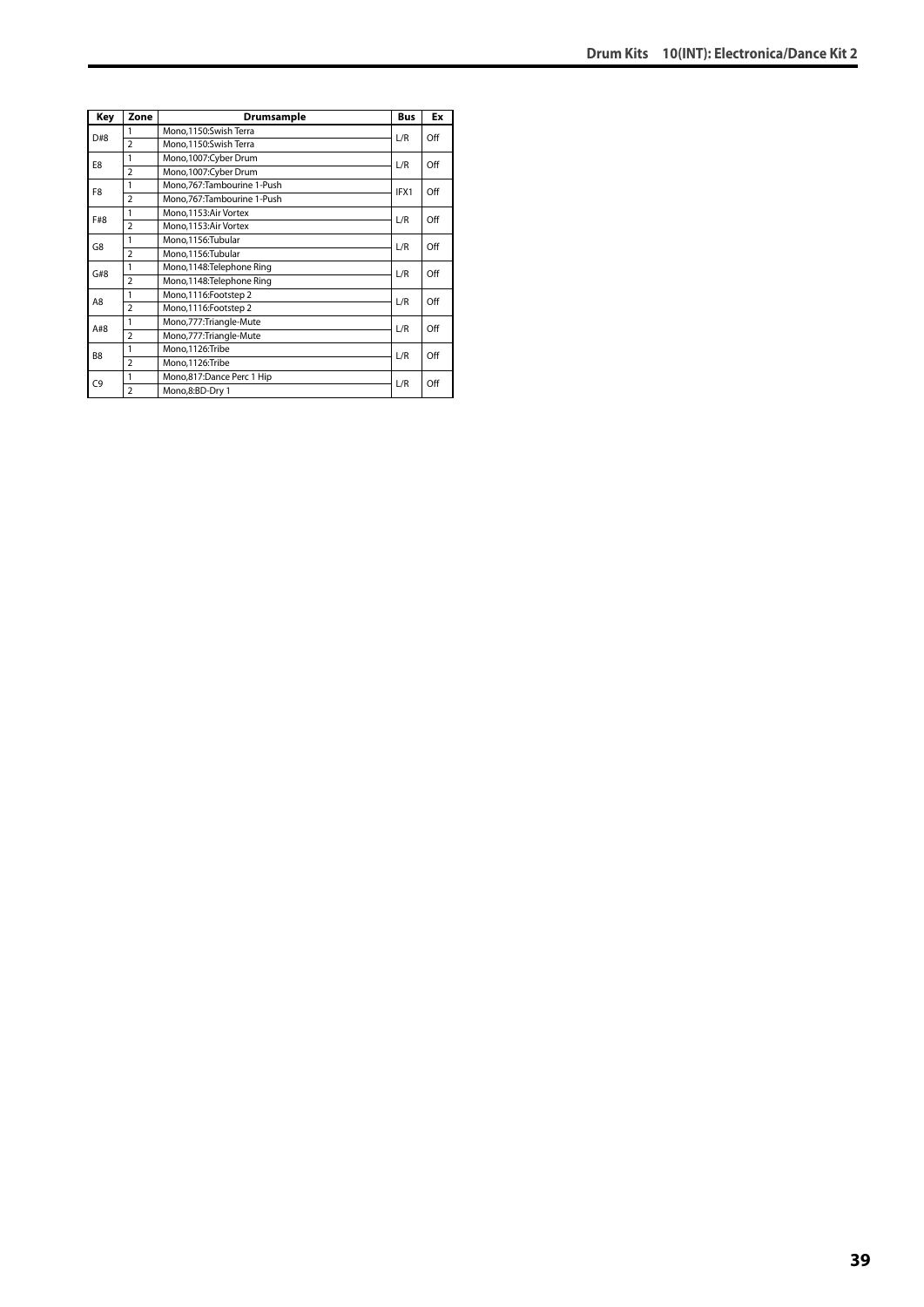| Key            | Zone           | Drumsample                 | <b>Bus</b> | Ex  |
|----------------|----------------|----------------------------|------------|-----|
| D#8            | 1              | Mono.1150:Swish Terra      | L/R        | Off |
|                | $\overline{2}$ | Mono,1150:Swish Terra      |            |     |
| E8             | 1              | Mono,1007:Cyber Drum       | L/R        | Off |
|                | $\overline{2}$ | Mono,1007:Cyber Drum       |            |     |
| F8             | 1              | Mono,767:Tambourine 1-Push | IFX1       | Off |
|                | $\overline{2}$ | Mono,767:Tambourine 1-Push |            |     |
| F#8            | 1              | Mono, 1153: Air Vortex     | L/R        | Off |
|                | $\overline{2}$ | Mono, 1153: Air Vortex     |            |     |
| G8             | 1              | Mono,1156:Tubular          | L/R        | Off |
|                | $\overline{2}$ | Mono,1156:Tubular          |            |     |
| G#8            | 1              | Mono,1148: Telephone Ring  | L/R        | Off |
|                | $\overline{2}$ | Mono,1148: Telephone Ring  |            |     |
| A8             | 1              | Mono, 1116: Footstep 2     | L/R        | Off |
|                | $\overline{2}$ | Mono, 1116: Footstep 2     |            |     |
| A#8            | 1              | Mono,777:Triangle-Mute     | L/R        | Off |
|                | $\overline{2}$ | Mono,777:Triangle-Mute     |            |     |
| B <sub>8</sub> | 1              | Mono,1126:Tribe            | L/R        | Off |
|                | $\overline{2}$ | Mono,1126:Tribe            |            |     |
| C9             | 1              | Mono,817:Dance Perc 1 Hip  | L/R        | Off |
|                | $\overline{a}$ | Mono,8:BD-Dry 1            |            |     |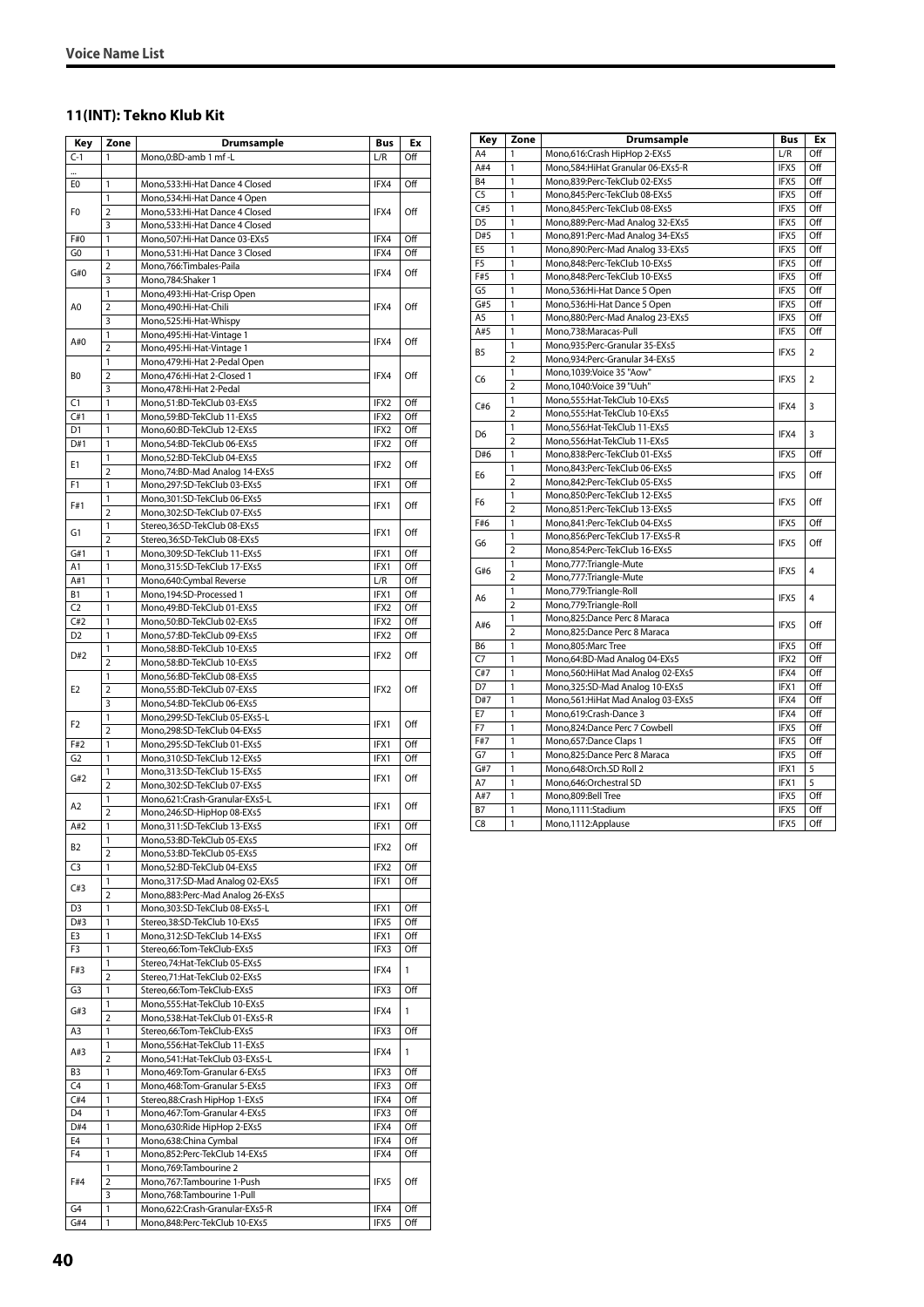#### **11(INT): Tekno Klub Kit**

| Key            | Zone                    | <b>Drumsample</b>                                                 | Bus  | Ex  |
|----------------|-------------------------|-------------------------------------------------------------------|------|-----|
| $C-1$          | 1                       | Mono,0:BD-amb 1 mf -L                                             | L/R  | Off |
|                |                         |                                                                   |      |     |
| E0             | 1                       | Mono,533:Hi-Hat Dance 4 Closed                                    | IFX4 | Off |
|                | 1                       | Mono, 534: Hi-Hat Dance 4 Open                                    |      |     |
| F0             | 2                       | Mono,533:Hi-Hat Dance 4 Closed                                    | IFX4 | Off |
| F#0            | 3<br>1                  | Mono,533:Hi-Hat Dance 4 Closed<br>Mono, 507: Hi-Hat Dance 03-EXs5 | IFX4 | Off |
| G0             | 1                       | Mono,531:Hi-Hat Dance 3 Closed                                    | IFX4 | Off |
|                | 2                       | Mono, 766: Timbales-Paila                                         |      |     |
| G#0            | 3                       | Mono,784:Shaker 1                                                 | IFX4 | Off |
|                | 1                       | Mono, 493: Hi-Hat-Crisp Open                                      |      |     |
| A <sub>0</sub> | $\overline{2}$          | Mono,490:Hi-Hat-Chili                                             | IFX4 | Off |
|                | 3                       | Mono,525:Hi-Hat-Whispy                                            |      |     |
| A#O            | 1                       | Mono, 495: Hi-Hat-Vintage 1                                       | IFX4 | Off |
|                | 2                       | Mono, 495: Hi-Hat-Vintage 1                                       |      |     |
|                | 1                       | Mono, 479: Hi-Hat 2-Pedal Open                                    |      |     |
| B <sub>0</sub> | 2<br>3                  | Mono,476:Hi-Hat 2-Closed 1<br>Mono, 478: Hi-Hat 2-Pedal           | IFX4 | Off |
| C1             | 1                       | Mono,51:BD-TekClub 03-EXs5                                        | IFX2 | Off |
| C#1            | 1                       | Mono, 59: BD-TekClub 11-EXs5                                      | IFX2 | Off |
| D1             | 1                       | Mono,60:BD-TekClub 12-EXs5                                        | IFX2 | Off |
| D#1            | 1                       | Mono,54:BD-TekClub 06-EXs5                                        | IFX2 | Off |
|                | 1                       | Mono,52:BD-TekClub 04-EXs5                                        |      |     |
| Ε1             | $\overline{2}$          | Mono, 74: BD-Mad Analog 14-EXs5                                   | IFX2 | Off |
| F1             | 1                       | Mono,297:SD-TekClub 03-EXs5                                       | IFX1 | Off |
| F#1            | 1                       | Mono, 301: SD-TekClub 06-EXs5                                     | IFX1 | Off |
|                | $\overline{2}$          | Mono,302:SD-TekClub 07-EXs5                                       |      |     |
| G1             | 1<br>2                  | Stereo,36:SD-TekClub 08-EXs5                                      | IFX1 | Off |
| G#1            | 1                       | Stereo,36:SD-TekClub 08-EXs5<br>Mono,309:SD-TekClub 11-EXs5       | IFX1 | Off |
| A1             | 1                       | Mono, 315: SD-TekClub 17-EXs5                                     | IFX1 | Off |
| A#1            | 1                       | Mono,640:Cymbal Reverse                                           | L/R  | Off |
| B1             | 1                       | Mono, 194: SD-Processed 1                                         | IFX1 | Off |
| C <sub>2</sub> | 1                       | Mono,49:BD-TekClub 01-EXs5                                        | IFX2 | Off |
| C#2            | 1                       | Mono,50:BD-TekClub 02-EXs5                                        | IFX2 | Off |
| D <sub>2</sub> | 1                       | Mono,57:BD-TekClub 09-EXs5                                        | IFX2 | Off |
| D#2            | 1                       | Mono,58:BD-TekClub 10-EXs5                                        | IFX2 | Off |
|                | $\overline{2}$          | Mono,58:BD-TekClub 10-EXs5                                        |      |     |
|                | 1                       | Mono,56:BD-TekClub 08-EXs5                                        |      |     |
| E <sub>2</sub> | 2<br>3                  | Mono,55:BD-TekClub 07-EXs5<br>Mono,54:BD-TekClub 06-EXs5          | IFX2 | Off |
|                | 1                       | Mono,299:SD-TekClub 05-EXs5-L                                     |      |     |
| F2             | $\overline{2}$          | Mono,298:SD-TekClub 04-EXs5                                       | IFX1 | Off |
| F#2            | 1                       | Mono,295:SD-TekClub 01-EXs5                                       | IFX1 | Off |
| G2             | 1                       | Mono,310:SD-TekClub 12-EXs5                                       | IFX1 | Off |
| G#2            | 1                       | Mono,313:SD-TekClub 15-EXs5                                       | IFX1 | Off |
|                | 2                       | Mono,302:SD-TekClub 07-EXs5                                       |      |     |
| A2             | 1                       | Mono,621:Crash-Granular-EXs5-L                                    | IFX1 | Off |
|                | $\overline{2}$          | Mono,246:SD-HipHop 08-EXs5                                        |      |     |
| A#2            | 1                       | Mono, 311: SD-TekClub 13-EXs5                                     | IFX1 | Off |
| B <sub>2</sub> | 1<br>$\overline{2}$     | Mono,53:BD-TekClub 05-EXs5<br>Mono,53:BD-TekClub 05-EXs5          | IFX2 | Off |
| C3             | 1                       | Mono,52:BD-TekClub 04-EXs5                                        | IFX2 | Off |
|                | 1                       | Mono, 317: SD-Mad Analog 02-EXs5                                  | IFX1 | Off |
| C#3            | 2                       | Mono,883:Perc-Mad Analog 26-EXs5                                  |      |     |
| D <sub>3</sub> | 1                       | Mono,303:SD-TekClub 08-EXs5-L                                     | IFX1 | Off |
| D#3            | $\mathbf{1}$            | Stereo, 38: SD-TekClub 10-EXs5                                    | IFX5 | Off |
| E3             | 1                       | Mono, 312: SD-TekClub 14-EXs5                                     | IFX1 | Off |
| F3             | 1                       | Stereo,66:Tom-TekClub-EXs5                                        | IFX3 | Off |
| F#3            | 1                       | Stereo,74:Hat-TekClub 05-EXs5                                     | IFX4 | 1   |
|                | $\overline{2}$          | Stereo,71:Hat-TekClub 02-EXs5                                     |      |     |
| G3             | 1                       | Stereo,66:Tom-TekClub-EXs5                                        | IFX3 | Off |
| G#3            | 1<br>2                  | Mono,555: Hat-TekClub 10-EXs5<br>Mono,538:Hat-TekClub 01-EXs5-R   | IFX4 | 1   |
| A3             | 1                       | Stereo, 66: Tom-TekClub-EXs5                                      | IFX3 | Off |
|                | 1                       | Mono,556:Hat-TekClub 11-EXs5                                      |      |     |
| A#3            | $\overline{2}$          | Mono,541:Hat-TekClub 03-EXs5-L                                    | IFX4 | 1   |
| B <sub>3</sub> | 1                       | Mono, 469: Tom-Granular 6-EXs5                                    | IFX3 | Off |
| C4             | 1                       | Mono, 468: Tom-Granular 5-EXs5                                    | IFX3 | Off |
| C#4            | 1                       | Stereo,88:Crash HipHop 1-EXs5                                     | IFX4 | Off |
| D4             | 1                       | Mono, 467: Tom-Granular 4-EXs5                                    | IFX3 | Off |
| D#4            | 1                       | Mono,630:Ride HipHop 2-EXs5                                       | IFX4 | Off |
| E4             | 1                       | Mono,638:China Cymbal                                             | IFX4 | Off |
| F4             | 1                       | Mono,852:Perc-TekClub 14-EXs5                                     | IFX4 | Off |
|                | 1                       | Mono,769:Tambourine 2                                             |      |     |
| F#4            | $\overline{\mathbf{2}}$ | Mono,767:Tambourine 1-Push                                        | IFX5 | Off |
| G4             | 3<br>1                  | Mono,768:Tambourine 1-Pull<br>Mono,622:Crash-Granular-EXs5-R      | IFX4 | Off |
| G#4            | 1                       | Mono,848:Perc-TekClub 10-EXs5                                     | IFX5 | Off |

| Key            | Zone           | <b>Drumsample</b>                   | <b>Bus</b> | Ex             |
|----------------|----------------|-------------------------------------|------------|----------------|
| A4             | 1              | Mono,616:Crash HipHop 2-EXs5        | L/R        | Off            |
| A#4            | $\mathbf{1}$   | Mono,584: Hi Hat Granular 06-EXs5-R | IFX5       | Off            |
| B <sub>4</sub> | 1              | Mono,839:Perc-TekClub 02-EXs5       | IFX5       | Off            |
| C <sub>5</sub> | 1              | Mono,845:Perc-TekClub 08-EXs5       | IFX5       | Off            |
| C#5            | $\mathbf{1}$   | Mono,845:Perc-TekClub 08-EXs5       | IFX5       | Off            |
| D <sub>5</sub> | 1              | Mono,889:Perc-Mad Analog 32-EXs5    | IFX5       | Off            |
| D#5            | $\mathbf{1}$   | Mono,891:Perc-Mad Analog 34-EXs5    | IFX5       | Off            |
| E <sub>5</sub> | 1              | Mono,890:Perc-Mad Analog 33-EXs5    | IFX5       | Off            |
| F5             | 1              | Mono,848:Perc-TekClub 10-EXs5       | IFX5       | Off            |
| F#5            | 1              | Mono,848:Perc-TekClub 10-EXs5       | IFX5       | Off            |
| G5             | $\mathbf{1}$   | Mono,536:Hi-Hat Dance 5 Open        | IFX5       | Off            |
| G#5            | $\mathbf{1}$   | Mono,536:Hi-Hat Dance 5 Open        | IFX5       | Off            |
| A <sub>5</sub> | 1              | Mono,880:Perc-Mad Analog 23-EXs5    | IFX5       | Off            |
| A#5            | $\mathbf{1}$   | Mono,738:Maracas-Pull               | IFX5       | Off            |
|                | $\mathbf{1}$   | Mono,935:Perc-Granular 35-EXs5      |            |                |
| <b>B5</b>      | $\overline{2}$ | Mono,934:Perc-Granular 34-EXs5      | IFX5       | $\overline{2}$ |
|                | 1              | Mono, 1039: Voice 35 "Aow"          |            |                |
| C6             | $\overline{2}$ | Mono, 1040: Voice 39 "Uuh"          | IFX5       | $\overline{2}$ |
|                | 1              | Mono,555: Hat-TekClub 10-EXs5       |            |                |
| C#6            | $\overline{2}$ | Mono,555: Hat-TekClub 10-EXs5       | IFX4       | 3              |
|                | 1              | Mono,556:Hat-TekClub 11-EXs5        |            |                |
| D <sub>6</sub> | $\overline{2}$ | Mono,556:Hat-TekClub 11-EXs5        | IFX4       | 3              |
| D#6            | 1              | Mono,838:Perc-TekClub 01-EXs5       | IFX5       | Off            |
|                | $\mathbf{1}$   | Mono,843:Perc-TekClub 06-EXs5       | IFX5       | Off            |
| E <sub>6</sub> | $\overline{2}$ | Mono,842:Perc-TekClub 05-EXs5       |            |                |
|                | 1              | Mono,850:Perc-TekClub 12-EXs5       |            |                |
| F <sub>6</sub> | $\overline{2}$ | Mono,851:Perc-TekClub 13-EXs5       | IFX5       | Off            |
| F#6            | 1              | Mono,841:Perc-TekClub 04-EXs5       | IFX5       | Off            |
|                | $\mathbf{1}$   | Mono,856:Perc-TekClub 17-EXs5-R     |            |                |
| G6             | $\overline{2}$ | Mono,854:Perc-TekClub 16-EXs5       | IFX5       | Off            |
|                | 1              | Mono,777: Triangle-Mute             |            |                |
| G#6            | $\overline{2}$ | Mono,777: Triangle-Mute             | IFX5       | 4              |
|                | $\mathbf{1}$   | Mono,779:Triangle-Roll              |            | $\overline{4}$ |
| A6             | $\overline{2}$ | Mono,779:Triangle-Roll              | IFX5       |                |
|                | 1              | Mono,825:Dance Perc 8 Maraca        |            |                |
| A#6            | $\overline{2}$ | Mono,825:Dance Perc 8 Maraca        | IFX5       | Off            |
| B6             | 1              | Mono,805:Marc Tree                  | IFX5       | Off            |
| C7             | $\mathbf{1}$   | Mono,64:BD-Mad Analog 04-EXs5       | IFX2       | Off            |
| C#7            | $\mathbf{1}$   | Mono, 560: HiHat Mad Analog 02-EXs5 | IFX4       | Off            |
| D7             | $\mathbf{1}$   | Mono, 325: SD-Mad Analog 10-EXs5    | IFX1       | Off            |
| D#7            | 1              | Mono, 561: HiHat Mad Analog 03-EXs5 | IFX4       | Off            |
| E7             | 1              | Mono,619:Crash-Dance 3              | IFX4       | Off            |
| F7             | 1              | Mono,824:Dance Perc 7 Cowbell       | IFX5       | Off            |
| F#7            | 1              | Mono,657:Dance Claps 1              | IFX5       | Off            |
| G7             | $\mathbf{1}$   | Mono,825:Dance Perc 8 Maraca        | IFX5       | Off            |
| G#7            | 1              | Mono,648:Orch.SD Roll 2             | IFX1       | 5              |
| A7             | 1              | Mono,646:Orchestral SD              | IFX1       | 5              |
| A#7            | 1              | Mono,809:Bell Tree                  | IFX5       | Off            |
| <b>B7</b>      | 1              | Mono,1111:Stadium                   | IFX5       | Off            |
| C <sub>8</sub> | 1              | Mono, 1112: Applause                | IFX5       | Off            |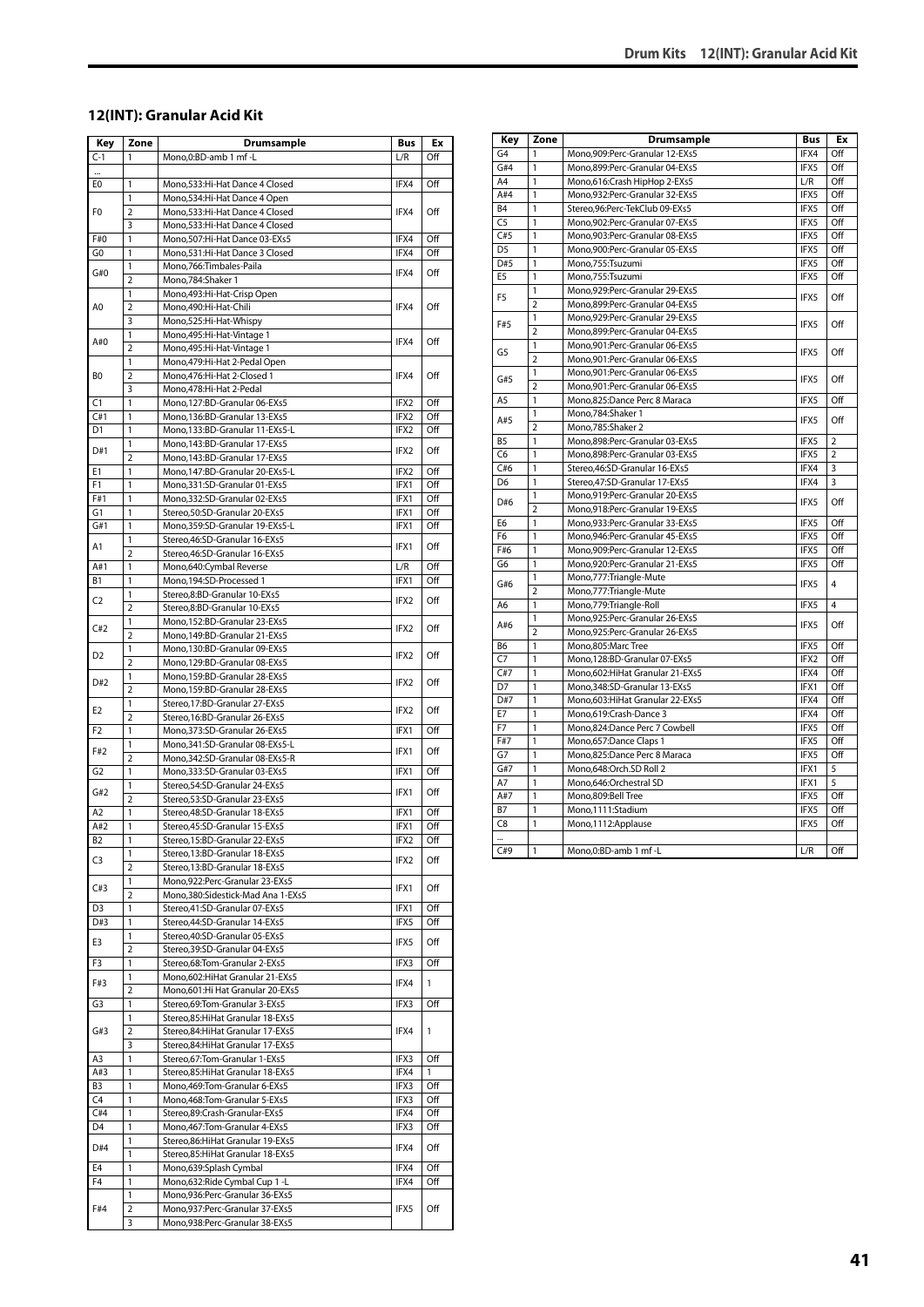#### **12(INT): Granular Acid Kit**

| Key            | Zone           | <b>Drumsample</b>                                            | Bus  | Ex  |
|----------------|----------------|--------------------------------------------------------------|------|-----|
| $C-1$          | 1              | Mono,0:BD-amb 1 mf -L                                        | L/R  | Off |
|                |                |                                                              |      |     |
| E0             | 1              | Mono,533:Hi-Hat Dance 4 Closed                               | IFX4 | Off |
|                | 1              | Mono,534:Hi-Hat Dance 4 Open                                 |      |     |
| F0             | $\overline{2}$ | Mono,533:Hi-Hat Dance 4 Closed                               | IFX4 | Off |
|                | 3              | Mono,533:Hi-Hat Dance 4 Closed                               |      |     |
| F#0            | 1              | Mono,507:Hi-Hat Dance 03-EXs5                                | IFX4 | Off |
| G <sub>0</sub> | 1              | Mono,531:Hi-Hat Dance 3 Closed                               | IFX4 | Off |
|                | 1              | Mono,766:Timbales-Paila                                      |      | Off |
| G#0            | $\overline{2}$ | Mono, 784: Shaker 1                                          | IFX4 |     |
|                | 1              | Mono, 493: Hi-Hat-Crisp Open                                 |      |     |
| A0             | $\overline{2}$ | Mono,490:Hi-Hat-Chili                                        | IFX4 | Off |
|                | 3              | Mono,525:Hi-Hat-Whispy                                       |      |     |
| A#0            | 1              | Mono, 495: Hi-Hat-Vintage 1                                  | IFX4 | Off |
|                | $\overline{2}$ | Mono, 495: Hi-Hat-Vintage 1                                  |      |     |
|                | 1              | Mono, 479: Hi-Hat 2-Pedal Open                               |      |     |
| BO             | $\overline{2}$ | Mono, 476: Hi-Hat 2-Closed 1                                 | IFX4 | Off |
|                | 3              | Mono, 478: Hi-Hat 2-Pedal                                    |      |     |
| C1             | 1              | Mono,127:BD-Granular 06-EXs5                                 | IFX2 | Off |
| C#1            | 1              | Mono,136:BD-Granular 13-EXs5                                 | IFX2 | Off |
| D1             | 1              | Mono,133:BD-Granular 11-EXs5-L                               | IFX2 | Off |
| D#1            | 1              | Mono, 143: BD-Granular 17-EXs5                               | IFX2 | Off |
|                | $\overline{2}$ | Mono, 143: BD-Granular 17-EXs5                               |      |     |
| Ε1             | 1              | Mono, 147: BD-Granular 20-EXs5-L                             | IFX2 | Off |
| F1             | 1              | Mono, 331: SD-Granular 01-EXs5                               | IFX1 | Off |
| F#1            | 1              | Mono,332:SD-Granular 02-EXs5                                 | IFX1 | Off |
| G1             | 1              | Stereo, 50: SD-Granular 20-EXs5                              | IFX1 | Off |
| G#1            | 1              | Mono,359:SD-Granular 19-EXs5-L                               | IFX1 | Off |
| A1             | 1              | Stereo, 46: SD-Granular 16-EXs5                              | IFX1 | Off |
|                | $\overline{2}$ | Stereo, 46: SD-Granular 16-EXs5                              |      | Off |
| A#1            | 1              | Mono,640:Cymbal Reverse                                      | L/R  |     |
| В1             | 1<br>1         | Mono, 194: SD-Processed 1                                    | IFX1 | Off |
| C <sub>2</sub> | $\overline{2}$ | Stereo,8:BD-Granular 10-EXs5                                 | IFX2 | Off |
|                | 1              | Stereo,8:BD-Granular 10-EXs5<br>Mono,152:BD-Granular 23-EXs5 |      |     |
| C#2            | 2              | Mono, 149: BD-Granular 21-EXs5                               | IFX2 | Off |
|                | 1              | Mono,130:BD-Granular 09-EXs5                                 |      |     |
| D <sub>2</sub> | $\overline{2}$ | Mono,129:BD-Granular 08-EXs5                                 | IFX2 | Off |
|                | 1              | Mono,159:BD-Granular 28-EXs5                                 |      |     |
| D#2            | $\overline{2}$ | Mono,159:BD-Granular 28-EXs5                                 | IFX2 | Off |
|                | $\mathbf{1}$   | Stereo, 17: BD-Granular 27-EXs5                              |      |     |
| E2             | $\overline{2}$ | Stereo, 16:BD-Granular 26-EXs5                               | IFX2 | Off |
| F2             | 1              | Mono, 373: SD-Granular 26-EXs5                               | IFX1 | Off |
|                | 1              | Mono, 341: SD-Granular 08-EXs5-L                             |      |     |
| F#2            | $\overline{2}$ | Mono, 342: SD-Granular 08-EXs5-R                             | IFX1 | Off |
| G2             | $\mathbf{1}$   | Mono, 333: SD-Granular 03-EXs5                               | IFX1 | Off |
|                | 1              | Stereo, 54: SD-Granular 24-EXs5                              |      |     |
| G#2            | $\overline{2}$ | Stereo, 53: SD-Granular 23-EXs5                              | IFX1 | Off |
| A2             | 1              | Stereo, 48: SD-Granular 18-EXs5                              | IFX1 | Off |
| A#2            | 1              | Stereo.45:SD-Granular 15-EXs5                                | IFX1 | Off |
| B2             | 1              | Stereo,15:BD-Granular 22-EXs5                                | IFX2 | Off |
| C3             | 1              | Stereo, 13:BD-Granular 18-EXs5                               | IFX2 | Off |
|                | $\overline{2}$ | Stereo, 13:BD-Granular 18-EXs5                               |      |     |
| C#3            | 1              | Mono,922:Perc-Granular 23-EXs5                               | IFX1 | Off |
|                | $\overline{2}$ | Mono, 380: Sidestick-Mad Ana 1-EXs5                          |      |     |
| D3             | $\mathbf{1}$   | Stereo, 41: SD-Granular 07-EXs5                              | IFX1 | Off |
| D#3            | 1              | Stereo, 44: SD-Granular 14-EXs5                              | IFX5 | Off |
| E3             | 1              | Stereo, 40: SD-Granular 05-EXs5                              | IFX5 | Off |
|                | $\overline{2}$ | Stereo, 39: SD-Granular 04-EXs5                              |      |     |
| F3             | 1              | Stereo, 68: Tom-Granular 2-EXs5                              | IFX3 | Off |
| F#3            | 1              | Mono, 602: Hi Hat Granular 21-EXs5                           | IFX4 | 1   |
|                | 2              | Mono,601:Hi Hat Granular 20-EXs5                             |      |     |
| G3             | 1              | Stereo,69:Tom-Granular 3-EXs5                                | IFX3 | Off |
|                | 1              | Stereo,85: Hi Hat Granular 18-EXs5                           |      |     |
| G#3            | $\overline{2}$ | Stereo,84: Hi Hat Granular 17-EXs5                           | IFX4 | 1   |
|                | 3              | Stereo,84: Hi Hat Granular 17-EXs5                           |      |     |
| A3             | 1              | Stereo,67:Tom-Granular 1-EXs5                                | IFX3 | Off |
| A#3            | 1              | Stereo,85: Hi Hat Granular 18-EXs5                           | IFX4 | 1   |
| B3             | $\mathbf{1}$   | Mono, 469: Tom-Granular 6-EXs5                               | IFX3 | Off |
| C4             | 1              | Mono, 468: Tom-Granular 5-EXs5                               | IFX3 | Off |
| C#4            | 1              | Stereo,89:Crash-Granular-EXs5                                | IFX4 | Off |
| D4             | 1              | Mono, 467: Tom-Granular 4-EXs5                               | IFX3 | Off |
| D#4            | 1              | Stereo,86:HiHat Granular 19-EXs5                             | IFX4 | Off |
|                | 1              | Stereo,85:HiHat Granular 18-EXs5                             |      |     |
| E4             | 1              | Mono,639:Splash Cymbal                                       | IFX4 | Off |
| F4             | 1              | Mono,632: Ride Cymbal Cup 1-L                                | IFX4 | Off |
|                | 1              | Mono,936:Perc-Granular 36-EXs5                               |      |     |
| F#4            | 2              | Mono,937:Perc-Granular 37-EXs5                               | IFX5 | Off |
|                | 3              | Mono,938:Perc-Granular 38-EXs5                               |      |     |

| Key                  | Zone           | <b>Drumsample</b>                 | <b>Bus</b> | Ex             |
|----------------------|----------------|-----------------------------------|------------|----------------|
| G <sub>4</sub>       | 1              | Mono, 909: Perc-Granular 12-EXs5  | IFX4       | Off            |
| G#4                  | $\mathbf{1}$   | Mono,899:Perc-Granular 04-EXs5    | IFX5       | Off            |
| A <sub>4</sub>       | 1              | Mono,616:Crash HipHop 2-EXs5      | L/R        | Off            |
| A#4                  | 1              | Mono,932:Perc-Granular 32-EXs5    | IFX5       | Off            |
| B <sub>4</sub>       | 1              | Stereo, 96: Perc-TekClub 09-EXs5  | IFX5       | Off            |
| C <sub>5</sub>       | 1              | Mono,902:Perc-Granular 07-EXs5    | IFX5       | Off            |
| C#5                  | 1              | Mono,903:Perc-Granular 08-EXs5    | IFX5       | Off            |
| D <sub>5</sub>       | 1              | Mono,900:Perc-Granular 05-EXs5    | IFX5       | Off            |
| D#5                  | 1              | Mono,755:Tsuzumi                  | IFX5       | Off            |
| E <sub>5</sub>       | 1              | Mono,755:Tsuzumi                  | IFX5       | Off            |
|                      | 1              | Mono,929:Perc-Granular 29-EXs5    |            |                |
| F <sub>5</sub>       | $\overline{2}$ | Mono,899:Perc-Granular 04-EXs5    | IFX5       | Off            |
|                      | 1              | Mono,929:Perc-Granular 29-EXs5    |            |                |
| F#5                  | $\overline{2}$ | Mono,899:Perc-Granular 04-EXs5    | IFX5       | Off            |
|                      | $\mathbf{1}$   | Mono,901:Perc-Granular 06-EXs5    |            |                |
| G5                   | $\overline{2}$ | Mono,901:Perc-Granular 06-EXs5    | IFX5       | Off            |
|                      | 1              | Mono,901:Perc-Granular 06-EXs5    |            |                |
| G#5                  | $\overline{2}$ | Mono,901:Perc-Granular 06-EXs5    | IFX5       | Off            |
| A <sub>5</sub>       | 1              | Mono,825:Dance Perc 8 Maraca      | IFX5       | Off            |
|                      | 1              | Mono,784:Shaker 1                 |            |                |
| A#5                  | $\overline{a}$ | Mono,785:Shaker 2                 | IFX5       | Off            |
| B <sub>5</sub>       | $\mathbf{1}$   | Mono,898:Perc-Granular 03-EXs5    | IFX5       | $\overline{2}$ |
| C <sub>6</sub>       | 1              | Mono,898:Perc-Granular 03-EXs5    | IFX5       | $\overline{2}$ |
| C#6                  | 1              | Stereo, 46: SD-Granular 16-EXs5   | IFX4       | 3              |
| D <sub>6</sub>       | 1              | Stereo, 47: SD-Granular 17-EXs5   | IFX4       | 3              |
|                      | 1              | Mono,919:Perc-Granular 20-EXs5    |            |                |
| D#6                  | $\overline{2}$ | Mono,918:Perc-Granular 19-EXs5    | IFX5       | Off            |
| E <sub>6</sub>       | 1              | Mono,933:Perc-Granular 33-EXs5    | IFX5       | Off            |
| F <sub>6</sub>       | 1              | Mono, 946: Perc-Granular 45-EXs5  | IFX5       | Off            |
| F#6                  | 1              | Mono,909:Perc-Granular 12-EXs5    | IFX5       | Off            |
| G6                   | 1              | Mono,920:Perc-Granular 21-EXs5    | IFX5       | Off            |
|                      | 1              | Mono,777: Triangle-Mute           |            |                |
| G#6                  | $\overline{2}$ | Mono, 777: Triangle-Mute          | IFX5       | 4              |
| A6                   | 1              | Mono,779:Triangle-Roll            | IFX5       | 4              |
|                      | 1              | Mono,925:Perc-Granular 26-EXs5    |            |                |
| A#6                  | $\overline{2}$ | Mono,925:Perc-Granular 26-EXs5    | IFX5       | Off            |
| B6                   | $\mathbf{1}$   | Mono,805:Marc Tree                | IFX5       | Off            |
| C7                   | 1              | Mono,128:BD-Granular 07-EXs5      | IFX2       | Off            |
| C#7                  | 1              | Mono,602: Hi Hat Granular 21-EXs5 | IFX4       | Off            |
| D7                   | 1              | Mono, 348: SD-Granular 13-EXs5    | IFX1       | Off            |
| D#7                  | 1              | Mono,603: Hi Hat Granular 22-EXs5 | IFX4       | Off            |
| E7                   | 1              | Mono,619:Crash-Dance 3            | IFX4       | Off            |
| F7                   | 1              | Mono,824:Dance Perc 7 Cowbell     | IFX5       | Off            |
| F#7                  | 1              | Mono,657:Dance Claps 1            | IFX5       | Off            |
| G7                   | 1              | Mono,825:Dance Perc 8 Maraca      | IFX5       | Off            |
| G#7                  | 1              | Mono,648:Orch.SD Roll 2           | IFX1       | 5              |
| A7                   | 1              | Mono,646:Orchestral SD            | IFX1       | 5              |
| A#7                  | 1              | Mono,809:Bell Tree                | IFX5       | Off            |
| <b>B7</b>            | 1              | Mono,1111:Stadium                 | IFX5       | Off            |
| C <sub>8</sub>       | 1              | Mono,1112:Applause                | IFX5       | Off            |
| $\ddot{\phantom{a}}$ |                |                                   |            |                |
| C#9                  | $\mathbf{1}$   | Mono,0:BD-amb 1 mf-L              | L/R        | Off            |
|                      |                |                                   |            |                |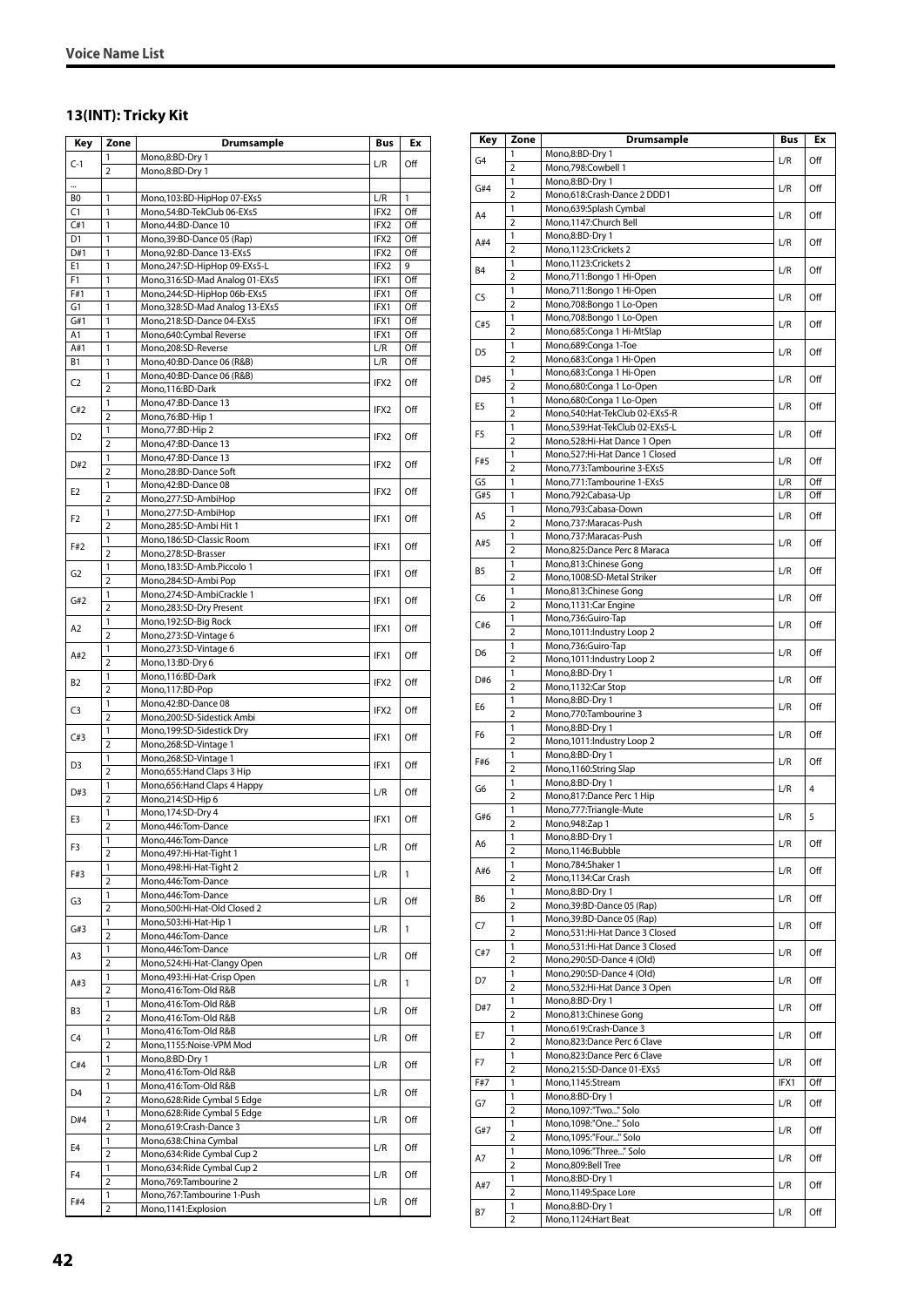# **13(INT): Tricky Kit**

| Key            | Zone                | Drumsample                                                | Bus              | Еx           |
|----------------|---------------------|-----------------------------------------------------------|------------------|--------------|
| $C-1$          | 1                   | Mono,8:BD-Dry 1                                           | L/R              | Off          |
|                | 2                   | Mono,8:BD-Dry 1                                           |                  |              |
|                |                     |                                                           |                  |              |
| B0             | 1                   | Mono, 103:BD-HipHop 07-EXs5                               | L/R<br>IFX2      | 1<br>Off     |
| C1<br>C#1      | 1<br>1              | Mono,54:BD-TekClub 06-EXs5<br>Mono, 44: BD-Dance 10       | IFX2             | Off          |
| D <sub>1</sub> | 1                   | Mono, 39: BD-Dance 05 (Rap)                               | IFX2             | Off          |
| D#1            | 1                   | Mono, 92: BD-Dance 13-EXs5                                | IFX2             | Off          |
| E1             | 1                   | Mono,247:SD-HipHop 09-EXs5-L                              | IFX2             | 9            |
| F1             | 1                   | Mono, 316: SD-Mad Analog 01-EXs5                          | IFX1             | Off          |
| F#1            | 1                   | Mono,244:SD-HipHop 06b-EXs5                               | IFX1             | Off          |
| G1             | 1                   | Mono, 328: SD-Mad Analog 13-EXs5                          | IFX1             | Off          |
| G#1<br>A1      | 1<br>1              | Mono,218:SD-Dance 04-EXs5<br>Mono,640:Cymbal Reverse      | IFX1<br>IFX1     | Off<br>Off   |
| A#1            | 1                   | Mono,208:SD-Reverse                                       | L/R              | Off          |
| <b>B1</b>      | 1                   | Mono, 40: BD-Dance 06 (R&B)                               | L/R              | Off          |
|                | 1                   | Mono, 40: BD-Dance 06 (R&B)                               |                  |              |
| C2             | $\overline{2}$      | Mono, 116:BD-Dark                                         | IFX2             | Off          |
| C#2            | 1                   | Mono, 47: BD-Dance 13                                     | IFX2             | Off          |
|                | $\overline{2}$      | Mono, 76: BD-Hip 1                                        |                  |              |
| D <sub>2</sub> | 1                   | Mono, 77: BD-Hip 2                                        | IFX2             | Off          |
|                | $\overline{2}$      | Mono, 47: BD-Dance 13                                     |                  |              |
| D#2            | 1<br>$\overline{2}$ | Mono, 47: BD-Dance 13<br>Mono,28:BD-Dance Soft            | IFX2             | Off          |
|                | 1                   | Mono, 42: BD-Dance 08                                     |                  |              |
| E2             | 2                   | Mono,277:SD-AmbiHop                                       | IFX2             | Off          |
|                | 1                   | Mono,277:SD-AmbiHop                                       |                  |              |
| F2             | $\overline{2}$      | Mono,285:SD-Ambi Hit 1                                    | IFX1             | Off          |
| F#2            | 1                   | Mono, 186: SD-Classic Room                                | IFX1             | Off          |
|                | 2                   | Mono,278:SD-Brasser                                       |                  |              |
| G2             | 1                   | Mono,183:SD-Amb.Piccolo 1                                 | IFX1             | Off          |
|                | $\overline{2}$<br>1 | Mono,284:SD-Ambi Pop<br>Mono,274:SD-AmbiCrackle 1         |                  |              |
| G#2            | $\overline{2}$      | Mono,283:SD-Dry Present                                   | IFX1             | Off          |
|                | 1                   | Mono, 192: SD-Big Rock                                    |                  |              |
| A2             | $\overline{2}$      | Mono,273:SD-Vintage 6                                     | IFX1             | Off          |
|                | 1                   | Mono,273:SD-Vintage 6                                     |                  |              |
| A#2            | $\overline{2}$      | Mono, 13:BD-Dry 6                                         | IFX1             | Off          |
| B2             | 1                   | Mono, 116:BD-Dark                                         | IFX <sub>2</sub> | Off          |
|                | $\overline{2}$      | Mono, 117: BD-Pop                                         |                  |              |
| C3             | 1                   | Mono,42:BD-Dance 08                                       | IFX2             | Off          |
|                | $\overline{2}$<br>1 | Mono,200:SD-Sidestick Ambi<br>Mono, 199: SD-Sidestick Dry |                  |              |
| C#3            | $\overline{2}$      | Mono,268:SD-Vintage 1                                     | IFX1             | Off          |
|                | 1                   | Mono,268:SD-Vintage 1                                     |                  |              |
| D <sub>3</sub> | $\overline{2}$      | Mono, 655: Hand Claps 3 Hip                               | IFX1             | Off          |
| D#3            | 1                   | Mono, 656: Hand Claps 4 Happy                             | L/R              | Off          |
|                | $\overline{2}$      | Mono,214:SD-Hip 6                                         |                  |              |
| E3             | 1                   | Mono, 174: SD-Dry 4                                       | IFX1             | Off          |
|                | $\overline{2}$<br>1 | Mono,446:Tom-Dance<br>Mono, 446: Tom-Dance                |                  |              |
| F3             | $\overline{2}$      | Mono, 497: Hi-Hat-Tight 1                                 | L/R              | Off          |
|                | 1                   | Mono, 498: Hi-Hat-Tight 2                                 |                  |              |
| F#3            | $\overline{2}$      | Mono,446:Tom-Dance                                        | L/R              | 1            |
| G3             | 1                   | Mono, 446: Tom-Dance                                      | L/R              | Off          |
|                | 2                   | Mono,500:Hi-Hat-Old Closed 2                              |                  |              |
| G#3            | 1                   | Mono,503:Hi-Hat-Hip 1                                     | L/R              | $\mathbf{1}$ |
|                | $\overline{2}$<br>1 | Mono, 446: Tom-Dance                                      |                  |              |
| A3             | $\overline{2}$      | Mono, 446: Tom-Dance<br>Mono, 524: Hi-Hat-Clangy Open     | L/R              | Off          |
|                | 1                   | Mono, 493: Hi-Hat-Crisp Open                              |                  |              |
| A#3            | $\overline{2}$      | Mono,416:Tom-Old R&B                                      | L/R              | 1            |
| B3             | 1                   | Mono,416:Tom-Old R&B                                      | L/R              | Off          |
|                | 2                   | Mono,416:Tom-Old R&B                                      |                  |              |
| C4             | 1                   | Mono,416:Tom-Old R&B                                      | L/R              | Off          |
|                | 2                   | Mono,1155:Noise-VPM Mod                                   |                  |              |
| C#4            | 1<br>2              | Mono,8:BD-Dry 1<br>Mono,416:Tom-Old R&B                   | L/R              | Off          |
|                | 1                   | Mono,416:Tom-Old R&B                                      |                  |              |
| D4             | $\overline{2}$      | Mono,628: Ride Cymbal 5 Edge                              | L/R              | Off          |
|                | 1                   | Mono,628: Ride Cymbal 5 Edge                              |                  |              |
| D#4            | $\overline{2}$      | Mono, 619: Crash-Dance 3                                  | L/R              | Off          |
| E4             | 1                   | Mono,638:China Cymbal                                     | L/R              | Off          |
|                | $\overline{2}$      | Mono, 634: Ride Cymbal Cup 2                              |                  |              |
| F <sub>4</sub> | 1                   | Mono, 634: Ride Cymbal Cup 2                              | L/R              | Off          |
|                | $\overline{2}$<br>1 | Mono, 769: Tambourine 2<br>Mono, 767: Tambourine 1-Push   |                  |              |
| F#4            | $\overline{2}$      | Mono, 1141: Explosion                                     | L/R              | Off          |

| Key            | Zone                           | Drumsample                                                    | <b>Bus</b> | Ex             |
|----------------|--------------------------------|---------------------------------------------------------------|------------|----------------|
| G4             | 1                              | Mono,8:BD-Dry 1                                               | L/R        | Off            |
|                | 2                              | Mono,798:Cowbell 1                                            |            |                |
| G#4            | 1<br>$\overline{2}$            | Mono,8:BD-Dry 1                                               | L/R        | Off            |
|                | 1                              | Mono,618:Crash-Dance 2 DDD1<br>Mono,639:Splash Cymbal         |            |                |
| A <sub>4</sub> | $\overline{2}$                 | Mono,1147:Church Bell                                         | L/R        | Off            |
|                | 1                              | Mono,8:BD-Dry 1                                               |            |                |
| A#4            | $\overline{2}$                 | Mono,1123:Crickets 2                                          | L/R        | Off            |
| <b>B4</b>      | 1                              | Mono,1123:Crickets 2                                          | L/R        | Off            |
|                | $\overline{2}$                 | Mono,711:Bongo 1 Hi-Open                                      |            |                |
| C5             | 1                              | Mono,711:Bongo 1 Hi-Open                                      | L/R        | Off            |
|                | $\overline{2}$<br>1            | Mono,708:Bongo 1 Lo-Open<br>Mono,708:Bongo 1 Lo-Open          |            |                |
| C#5            | $\overline{2}$                 | Mono,685:Conga 1 Hi-MtSlap                                    | L/R        | Off            |
| D <sub>5</sub> | 1                              | Mono,689:Conga 1-Toe                                          |            | Off            |
|                | $\overline{2}$                 | Mono,683:Conga 1 Hi-Open                                      | L/R        |                |
| D#5            | 1                              | Mono,683:Conga 1 Hi-Open                                      | L/R        | Off            |
|                | $\overline{2}$                 | Mono,680:Conga 1 Lo-Open                                      |            |                |
| E5             | 1<br>$\overline{2}$            | Mono,680:Conga 1 Lo-Open<br>Mono,540:Hat-TekClub 02-EXs5-R    | L/R        | Off            |
|                | 1                              | Mono,539:Hat-TekClub 02-EXs5-L                                |            |                |
| F5             | $\overline{2}$                 | Mono,528:Hi-Hat Dance 1 Open                                  | L/R        | Off            |
| F#5            | 1                              | Mono,527:Hi-Hat Dance 1 Closed                                |            | Off            |
|                | $\overline{2}$                 | Mono,773:Tambourine 3-EXs5                                    | L/R        |                |
| G5             | 1                              | Mono,771:Tambourine 1-EXs5                                    | L/R        | Off            |
| G#5            | 1                              | Mono,792:Cabasa-Up                                            | L/R        | Off            |
| A5             | 1<br>$\overline{2}$            | Mono,793:Cabasa-Down<br>Mono,737:Maracas-Push                 | L/R        | Off            |
|                | 1                              | Mono,737:Maracas-Push                                         |            |                |
| A#5            | 2                              | Mono,825:Dance Perc 8 Maraca                                  | L/R        | Off            |
|                | 1                              | Mono,813:Chinese Gong                                         |            |                |
| B5             | $\overline{2}$                 | Mono,1008:SD-Metal Striker                                    | L/R        | Off            |
| C <sub>6</sub> | 1                              | Mono,813:Chinese Gong                                         | L/R        | Off            |
|                | $\overline{2}$                 | Mono, 1131: Car Engine                                        |            |                |
| C#6            | $\mathbf{1}$<br>$\overline{2}$ | Mono,736:Guiro-Tap<br>Mono, 1011: Industry Loop 2             | L/R        | Off            |
|                | 1                              | Mono,736:Guiro-Tap                                            |            |                |
| D6             | $\overline{2}$                 | Mono, 1011: Industry Loop 2                                   | L/R        | Off            |
|                | 1                              | Mono,8:BD-Dry 1                                               |            |                |
| D#6            | $\overline{2}$                 | Mono, 1132: Car Stop                                          | L/R        | Off            |
| E6             | 1                              | Mono,8:BD-Dry 1                                               | L/R        | Off            |
|                | $\overline{2}$                 | Mono,770:Tambourine 3                                         |            |                |
| F6             | 1<br>$\overline{2}$            | Mono,8:BD-Dry 1<br>Mono, 1011: Industry Loop 2                | L/R        | Off            |
|                | 1                              | Mono,8:BD-Dry 1                                               |            |                |
| F#6            | $\overline{2}$                 | Mono,1160:String Slap                                         | L/R        | Off            |
| G6             | 1                              | Mono,8:BD-Dry 1                                               | L/R        | $\overline{4}$ |
|                | $\overline{2}$                 | Mono,817:Dance Perc 1 Hip                                     |            |                |
| G#6            | 1<br>$\overline{2}$            | Mono,777: Triangle-Mute<br>Mono, 948: Zap 1                   | L/R        | 5              |
|                | 1                              | Mono,8:BD-Dry 1                                               |            |                |
| A6             | $\overline{2}$                 | Mono,1146:Bubble                                              | L/R        | Off            |
|                | 1                              | Mono,784:Shaker 1                                             | L/R        | Off            |
| A#6            | $\mathbf 2$                    | Mono,1134:Car Crash                                           |            |                |
| B6             | 1                              | Mono,8:BD-Dry 1                                               | L/R        | Off            |
|                | $\overline{2}$<br>1            | Mono, 39: BD-Dance 05 (Rap)                                   |            |                |
| C7             | $\overline{2}$                 | Mono, 39: BD-Dance 05 (Rap)<br>Mono,531:Hi-Hat Dance 3 Closed | L/R        | Off            |
|                | 1                              | Mono,531:Hi-Hat Dance 3 Closed                                |            |                |
| C#7            | 2                              | Mono,290:SD-Dance 4 (Old)                                     | L/R        | Off            |
| D7             | 1                              | Mono,290:SD-Dance 4 (Old)                                     | L/R        | Off            |
|                | $\overline{2}$                 | Mono,532:Hi-Hat Dance 3 Open                                  |            |                |
| D#7            | 1                              | Mono,8:BD-Dry 1                                               | L/R        | Off            |
|                | $\overline{2}$<br>1            | Mono,813:Chinese Gong<br>Mono,619:Crash-Dance 3               |            |                |
| E7             | $\overline{2}$                 | Mono,823:Dance Perc 6 Clave                                   | L/R        | Off            |
|                | 1                              | Mono,823:Dance Perc 6 Clave                                   |            |                |
| F7             | 2                              | Mono,215:SD-Dance 01-EXs5                                     | L/R        | Off            |
| F#7            | 1                              | Mono,1145:Stream                                              | IFX1       | Off            |
| G7             | $\mathbf{1}$                   | Mono,8:BD-Dry 1                                               | L/R        | Off            |
|                | $\overline{2}$<br>1            | Mono, 1097: "Two " Solo<br>Mono,1098:"One" Solo               |            |                |
| G#7            | $\overline{2}$                 | Mono,1095:"Four" Solo                                         | L/R        | Off            |
|                | 1                              | Mono,1096:"Three" Solo                                        |            |                |
| A7             | 2                              | Mono,809:Bell Tree                                            | L/R        | Off            |
| A#7            | 1                              | Mono,8:BD-Dry 1                                               | L/R        | Off            |
|                | $\overline{2}$                 | Mono, 1149: Space Lore                                        |            |                |
| Β7             | 1<br>$\overline{\mathbf{2}}$   | Mono,8:BD-Dry 1                                               | L/R        | Off            |
|                |                                | Mono,1124: Hart Beat                                          |            |                |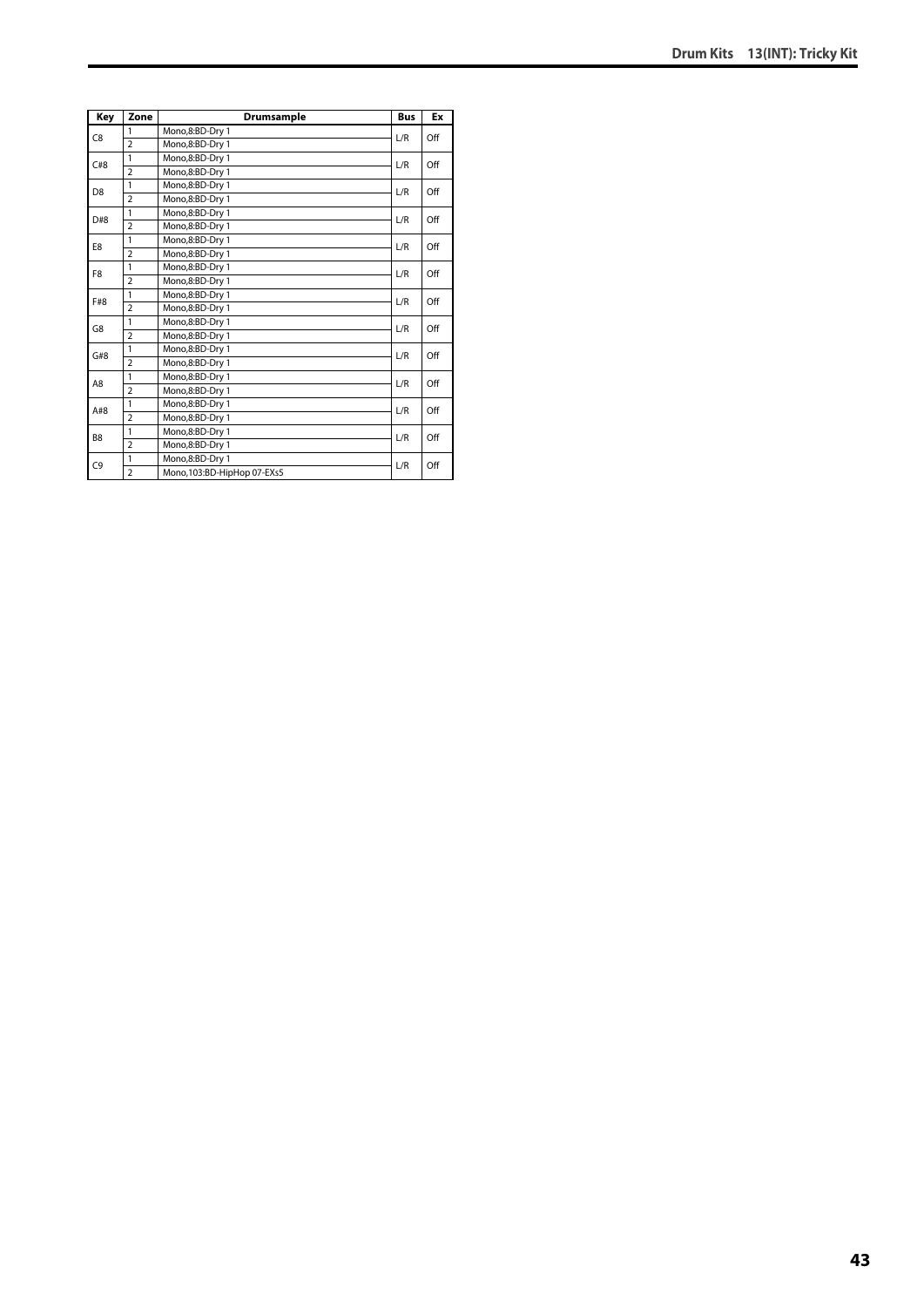| Key            | Zone           | Drumsample                 | <b>Bus</b> | Ex  |
|----------------|----------------|----------------------------|------------|-----|
| C <sub>8</sub> | 1              | Mono,8:BD-Dry 1            | L/R        | Off |
|                | $\overline{2}$ | Mono,8:BD-Dry 1            |            |     |
| C#8            | 1              | Mono,8:BD-Dry 1            | L/R        | Off |
|                | $\overline{2}$ | Mono,8:BD-Dry 1            |            |     |
| D <sub>8</sub> | 1              | Mono.8:BD-Drv 1            | L/R        | Off |
|                | $\overline{a}$ | Mono,8:BD-Dry 1            |            |     |
| D#8            | 1              | Mono,8:BD-Dry 1            | L/R        | Off |
|                | $\overline{2}$ | Mono,8:BD-Dry 1            |            |     |
| E8             | 1              | Mono,8:BD-Dry 1            | L/R        | Off |
|                | $\overline{a}$ | Mono,8:BD-Dry 1            |            |     |
| F <sub>8</sub> | 1              | Mono,8:BD-Dry 1            | L/R        | Off |
|                | $\overline{2}$ | Mono,8:BD-Dry 1            |            |     |
| F#8            | 1              | Mono,8:BD-Dry 1            | L/R        | Off |
|                | $\overline{2}$ | Mono,8:BD-Dry 1            |            |     |
| G8             | 1              | Mono,8:BD-Dry 1            | L/R        | Off |
|                | $\overline{2}$ | Mono,8:BD-Dry 1            |            |     |
| G#8            | 1              | Mono,8:BD-Dry 1            | L/R        | Off |
|                | $\overline{2}$ | Mono,8:BD-Dry 1            |            |     |
| A8             | 1              | Mono,8:BD-Dry 1            | L/R        | Off |
|                | $\overline{2}$ | Mono,8:BD-Dry 1            |            |     |
| A#8            | 1              | Mono,8:BD-Dry 1            | L/R        | Off |
|                | $\overline{2}$ | Mono.8:BD-Drv 1            |            |     |
| B <sub>8</sub> | 1              | Mono,8:BD-Dry 1            | L/R        | Off |
|                | $\overline{2}$ | Mono,8:BD-Dry 1            |            |     |
| C <sub>9</sub> | 1              | Mono,8:BD-Dry 1            | L/R        | Off |
|                | $\overline{a}$ | Mono,103:BD-HipHop 07-EXs5 |            |     |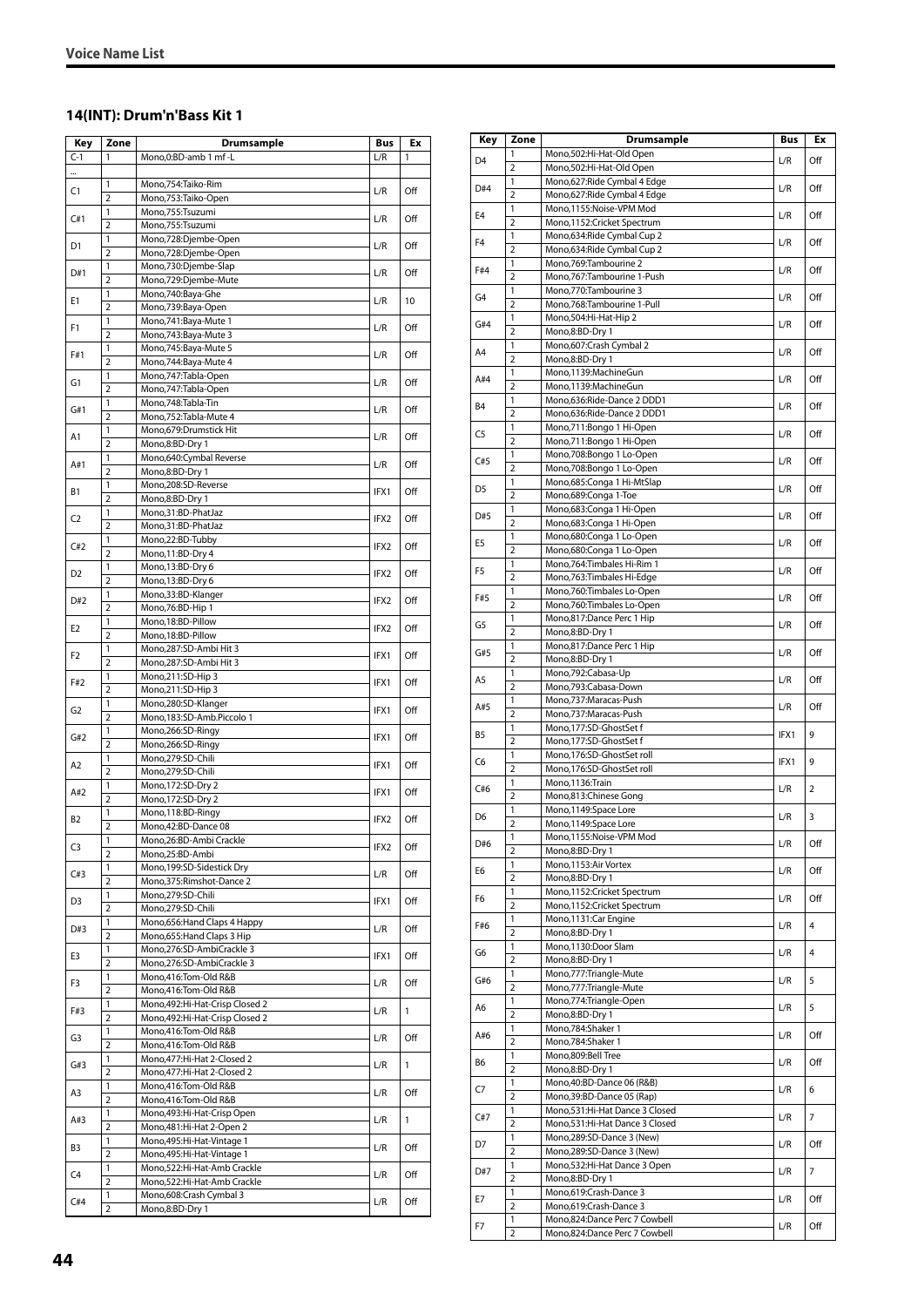#### **14(INT): Drum'n'Bass Kit 1**

| Key       | Zone                | <b>Drumsample</b>                                            | Bus  | Ex  |
|-----------|---------------------|--------------------------------------------------------------|------|-----|
| $C-1$     | 1                   | Mono,0:BD-amb 1 mf -L                                        | L/R  | 1   |
|           |                     |                                                              |      |     |
| C1        | 1                   | Mono,754:Taiko-Rim                                           | L/R  | Off |
|           | $\overline{2}$      | Mono, 753: Taiko-Open                                        |      |     |
| C#1       | 1                   | Mono,755:Tsuzumi                                             | L/R  | Off |
|           | $\overline{2}$      | Mono,755:Tsuzumi                                             |      |     |
| D1        | 1<br>$\overline{2}$ | Mono,728:Djembe-Open<br>Mono,728:Djembe-Open                 | L/R  | Off |
|           | 1                   | Mono,730:Djembe-Slap                                         |      |     |
| D#1       | $\overline{2}$      | Mono,729:Djembe-Mute                                         | L/R  | Off |
|           | 1                   | Mono,740:Baya-Ghe                                            |      |     |
| E1        | $\overline{2}$      | Mono,739:Baya-Open                                           | L/R  | 10  |
|           | 1                   | Mono, 741: Baya-Mute 1                                       |      |     |
| F1        | $\overline{2}$      | Mono, 743: Baya-Mute 3                                       | L/R  | Off |
| F#1       | 1                   | Mono, 745: Baya-Mute 5                                       | L/R  | Off |
|           | $\overline{2}$      | Mono, 744: Baya-Mute 4                                       |      |     |
| G1        | 1                   | Mono, 747: Tabla-Open                                        | L/R  | Off |
|           | $\overline{2}$      | Mono, 747: Tabla-Open                                        |      |     |
| G#1       | 1                   | Mono, 748: Tabla-Tin                                         | L/R  | Off |
|           | $\overline{2}$<br>1 | Mono, 752: Tabla-Mute 4<br>Mono, 679: Drumstick Hit          |      |     |
| A1        | $\overline{2}$      | Mono,8:BD-Dry 1                                              | L/R  | Off |
|           | 1                   | Mono,640:Cymbal Reverse                                      |      |     |
| A#1       | $\overline{2}$      | Mono,8:BD-Dry 1                                              | L/R  | Off |
|           | 1                   | Mono,208:SD-Reverse                                          |      |     |
| <b>B1</b> | $\overline{2}$      | Mono,8:BD-Dry 1                                              | IFX1 | Off |
|           | 1                   | Mono,31:BD-PhatJaz                                           |      |     |
| C2        | 2                   | Mono,31:BD-PhatJaz                                           | IFX2 | Off |
| C#2       | 1                   | Mono,22:BD-Tubby                                             | IFX2 | Off |
|           | $\overline{2}$      | Mono, 11:BD-Dry 4                                            |      |     |
| D2        | 1                   | Mono, 13:BD-Dry 6                                            | IFX2 | Off |
|           | 2                   | Mono, 13:BD-Dry 6                                            |      |     |
| D#2       | $\mathbf{1}$        | Mono, 33: BD-Klanger                                         | IFX2 | Off |
|           | $\overline{2}$      | Mono, 76: BD-Hip 1                                           |      |     |
| E2        | 1                   | Mono, 18:BD-Pillow                                           | IFX2 | Off |
|           | $\overline{2}$      | Mono, 18:BD-Pillow                                           |      |     |
| F2        | 1                   | Mono,287:SD-Ambi Hit 3                                       | IFX1 | Off |
|           | $\overline{2}$      | Mono,287:SD-Ambi Hit 3                                       |      |     |
| F#2       | 1<br>$\overline{2}$ | Mono,211:SD-Hip 3<br>Mono,211:SD-Hip 3                       | IFX1 | Off |
|           | 1                   | Mono,280:SD-Klanger                                          |      |     |
| G2        | $\overline{2}$      | Mono, 183: SD-Amb. Piccolo 1                                 | IFX1 | Off |
|           | 1                   | Mono,266:SD-Ringy                                            |      |     |
| G#2       | $\overline{2}$      | Mono,266:SD-Ringy                                            | IFX1 | Off |
|           | 1                   | Mono,279:SD-Chili                                            |      |     |
| A2        | $\overline{2}$      | Mono,279:SD-Chili                                            | IFX1 | Off |
| A#2       | 1                   | Mono, 172: SD-Dry 2                                          | IFX1 | Off |
|           | $\overline{2}$      | Mono, 172:SD-Dry 2                                           |      |     |
| <b>B2</b> | 1                   | Mono, 118:BD-Ringy                                           | IFX2 | Off |
|           | $\overline{2}$      | Mono,42:BD-Dance 08                                          |      |     |
| C3        | 1                   | Mono,26:BD-Ambi Crackle                                      | IFX2 | Off |
|           | $\overline{2}$      | Mono,25:BD-Ambi                                              |      |     |
| C#3       | $\mathbf{1}$        | Mono, 199: SD-Sidestick Dry                                  | L/R  | Off |
|           | 2<br>1              | Mono, 375: Rimshot-Dance 2<br>Mono,279:SD-Chili              |      |     |
| D3        | $\overline{2}$      | Mono,279:SD-Chili                                            | IFX1 | Off |
|           | 1                   | Mono, 656: Hand Claps 4 Happy                                |      |     |
| D#3       | 2                   | Mono, 655: Hand Claps 3 Hip                                  | L/R  | Off |
|           | 1                   | Mono,276:SD-AmbiCrackle 3                                    |      |     |
| E3        | $\overline{2}$      | Mono,276:SD-AmbiCrackle 3                                    | IFX1 | Off |
|           | $\mathbf{1}$        | Mono,416:Tom-Old R&B                                         |      |     |
| F3        | 2                   | Mono,416:Tom-Old R&B                                         | L/R  | Off |
|           | 1                   | Mono, 492: Hi-Hat-Crisp Closed 2                             |      | 1   |
| F#3       | $\overline{2}$      | Mono, 492: Hi-Hat-Crisp Closed 2                             | L/R  |     |
| G3        | $\mathbf{1}$        | Mono,416:Tom-Old R&B                                         | L/R  | Off |
|           | 2                   | Mono,416:Tom-Old R&B                                         |      |     |
| G#3       | 1                   | Mono, 477: Hi-Hat 2-Closed 2                                 | L/R  | 1   |
|           | $\overline{2}$      | Mono, 477: Hi-Hat 2-Closed 2                                 |      |     |
| A3        | $\mathbf{1}$        | Mono,416:Tom-Old R&B                                         | L/R  | Off |
|           | 2                   | Mono,416:Tom-Old R&B                                         |      |     |
| A#3       | 1                   | Mono, 493: Hi-Hat-Crisp Open                                 | L/R  | 1   |
|           | $\overline{2}$      | Mono, 481: Hi-Hat 2-Open 2                                   |      |     |
| B3        | 1                   | Mono, 495: Hi-Hat-Vintage 1                                  | L/R  | Off |
|           | 2<br>1              | Mono, 495: Hi-Hat-Vintage 1<br>Mono, 522: Hi-Hat-Amb Crackle |      |     |
| C4        | $\overline{2}$      | Mono, 522: Hi-Hat-Amb Crackle                                | L/R  | Off |
|           | 1                   | Mono,608:Crash Cymbal 3                                      |      |     |
| C#4       | 2                   | Mono,8:BD-Dry 1                                              | L/R  | Off |

| Key            | Zone                           | <b>Drumsample</b>                                       | Bus  | Ex  |
|----------------|--------------------------------|---------------------------------------------------------|------|-----|
| D <sub>4</sub> | 1                              | Mono,502:Hi-Hat-Old Open                                | L/R  | Off |
|                | $\overline{2}$                 | Mono,502:Hi-Hat-Old Open                                |      |     |
| D#4            | 1                              | Mono,627: Ride Cymbal 4 Edge                            | L/R  | Off |
|                | $\overline{2}$                 | Mono,627: Ride Cymbal 4 Edge<br>Mono,1155:Noise-VPM Mod |      |     |
| E <sub>4</sub> | 1<br>$\overline{2}$            | Mono,1152:Cricket Spectrum                              | L/R  | Off |
|                | 1                              | Mono,634: Ride Cymbal Cup 2                             |      |     |
| F <sub>4</sub> | $\overline{2}$                 | Mono,634: Ride Cymbal Cup 2                             | L/R  | Off |
|                | 1                              | Mono, 769: Tambourine 2                                 |      |     |
| F#4            | $\overline{2}$                 | Mono,767:Tambourine 1-Push                              | L/R  | Off |
| G <sub>4</sub> | $\mathbf{1}$                   | Mono.770:Tambourine 3                                   | L/R  | Off |
|                | $\overline{2}$                 | Mono,768:Tambourine 1-Pull                              |      |     |
| G#4            | 1                              | Mono,504:Hi-Hat-Hip 2                                   | L/R  | Off |
|                | $\overline{2}$                 | Mono,8:BD-Dry 1                                         |      |     |
| A4             | 1<br>$\overline{2}$            | Mono, 607: Crash Cymbal 2<br>Mono,8:BD-Dry 1            | L/R  | Off |
|                | 1                              | Mono,1139:MachineGun                                    |      |     |
| A#4            | $\overline{2}$                 | Mono,1139:MachineGun                                    | L/R  | Off |
|                | 1                              | Mono,636:Ride-Dance 2 DDD1                              |      |     |
| B4             | $\overline{2}$                 | Mono,636:Ride-Dance 2 DDD1                              | L/R  | Off |
| C <sub>5</sub> | 1                              | Mono,711:Bongo 1 Hi-Open                                | L/R  | Off |
|                | $\overline{2}$                 | Mono,711:Bongo 1 Hi-Open                                |      |     |
| C#5            | 1                              | Mono,708:Bongo 1 Lo-Open                                | L/R  | Off |
|                | $\overline{2}$<br>1            | Mono,708:Bongo 1 Lo-Open                                |      |     |
| D <sub>5</sub> | $\overline{2}$                 | Mono,685:Conga 1 Hi-MtSlap<br>Mono,689:Conga 1-Toe      | L/R  | Off |
|                | 1                              | Mono,683:Conga 1 Hi-Open                                |      |     |
| D#5            | $\overline{2}$                 | Mono,683:Conga 1 Hi-Open                                | L/R  | Off |
|                | 1                              | Mono,680:Conga 1 Lo-Open                                |      |     |
| E5             | $\overline{2}$                 | Mono,680:Conga 1 Lo-Open                                | L/R  | Off |
| F5             | 1                              | Mono, 764: Timbales Hi-Rim 1                            | L/R  | Off |
|                | $\overline{2}$                 | Mono, 763: Timbales Hi-Edge                             |      |     |
| F#5            | 1                              | Mono, 760: Timbales Lo-Open                             | L/R  | Off |
|                | $\overline{2}$<br>1            | Mono,760:Timbales Lo-Open<br>Mono,817:Dance Perc 1 Hip  |      |     |
| G5             | $\overline{2}$                 | Mono,8:BD-Dry 1                                         | L/R  | Off |
|                | 1                              | Mono,817:Dance Perc 1 Hip                               |      |     |
| G#5            | $\overline{2}$                 | Mono,8:BD-Dry 1                                         | L/R  | Off |
|                | 1                              | Mono,792:Cabasa-Up                                      |      | Off |
| A5             | $\overline{2}$                 | Mono,793:Cabasa-Down                                    | L/R  |     |
| A#5            | $\mathbf{1}$                   | Mono,737:Maracas-Push                                   | L/R  | Off |
|                | $\overline{2}$                 | Mono,737: Maracas-Push                                  |      |     |
| B5             | 1                              | Mono,177:SD-GhostSet f                                  | IFX1 | 9   |
|                | $\overline{2}$<br>$\mathbf{1}$ | Mono,177:SD-GhostSet f<br>Mono,176:SD-GhostSet roll     |      |     |
| C6             | $\overline{2}$                 | Mono,176:SD-GhostSet roll                               | IFX1 | 9   |
|                | 1                              | Mono,1136:Train                                         |      |     |
| C#6            | $\overline{2}$                 | Mono,813:Chinese Gong                                   | L/R  | 2   |
| D6             | 1                              | Mono,1149:Space Lore                                    | L/R  | 3   |
|                | $\overline{2}$                 | Mono.1149:Space Lore                                    |      |     |
| D#6            | 1                              | Mono,1155:Noise-VPM Mod                                 | L/R  | Off |
|                | $\overline{2}$                 | Mono,8:BD-Dry 1                                         |      |     |
| E6             | 1<br>$\overline{2}$            | Mono, 1153: Air Vortex                                  | L/R  | Off |
|                | 1                              | Mono,8:BD-Dry 1<br>Mono,1152:Cricket Spectrum           |      |     |
| F6             | $\overline{2}$                 | Mono,1152:Cricket Spectrum                              | L/R  | Off |
|                | 1                              | Mono,1131:Car Engine                                    |      |     |
| F#6            | $\overline{2}$                 | Mono,8:BD-Dry 1                                         | L/R  | 4   |
| G6             | 1                              | Mono,1130:Door Slam                                     | L/R  | 4   |
|                | $\overline{2}$                 | Mono,8:BD-Dry 1                                         |      |     |
| G#6            | 1                              | Mono,777: Triangle-Mute                                 | L/R  | 5   |
|                | $\overline{2}$                 | Mono,777: Triangle-Mute                                 |      |     |
| A6             | $\mathbf{1}$<br>$\overline{2}$ | Mono,774:Triangle-Open                                  | L/R  | 5   |
|                | 1                              | Mono,8:BD-Dry 1<br>Mono,784:Shaker 1                    |      |     |
| A#6            | $\overline{2}$                 | Mono,784:Shaker 1                                       | L/R  | Off |
|                | 1                              | Mono,809:Bell Tree                                      |      |     |
| B6             | $\overline{2}$                 | Mono,8:BD-Dry 1                                         | L/R  | Off |
| C7             | 1                              | Mono, 40: BD-Dance 06 (R&B)                             | L/R  | 6   |
|                | $\overline{2}$                 | Mono, 39: BD-Dance 05 (Rap)                             |      |     |
| C#7            | $\mathbf{1}$                   | Mono,531:Hi-Hat Dance 3 Closed                          | L/R  | 7   |
|                | $\overline{2}$                 | Mono,531:Hi-Hat Dance 3 Closed                          |      |     |
| D7             | 1                              | Mono,289:SD-Dance 3 (New)                               | L/R  | Off |
|                | 2<br>1                         | Mono,289:SD-Dance 3 (New)                               |      |     |
| D#7            | $\overline{2}$                 | Mono,532:Hi-Hat Dance 3 Open<br>Mono,8:BD-Dry 1         | L/R  | 7   |
|                | 1                              | Mono,619:Crash-Dance 3                                  |      |     |
| Е7             | $\overline{2}$                 | Mono,619:Crash-Dance 3                                  | L/R  | Off |
|                | 1                              | Mono,824:Dance Perc 7 Cowbell                           |      |     |
| F7             | 2                              | Mono,824:Dance Perc 7 Cowbell                           | L/R  | Off |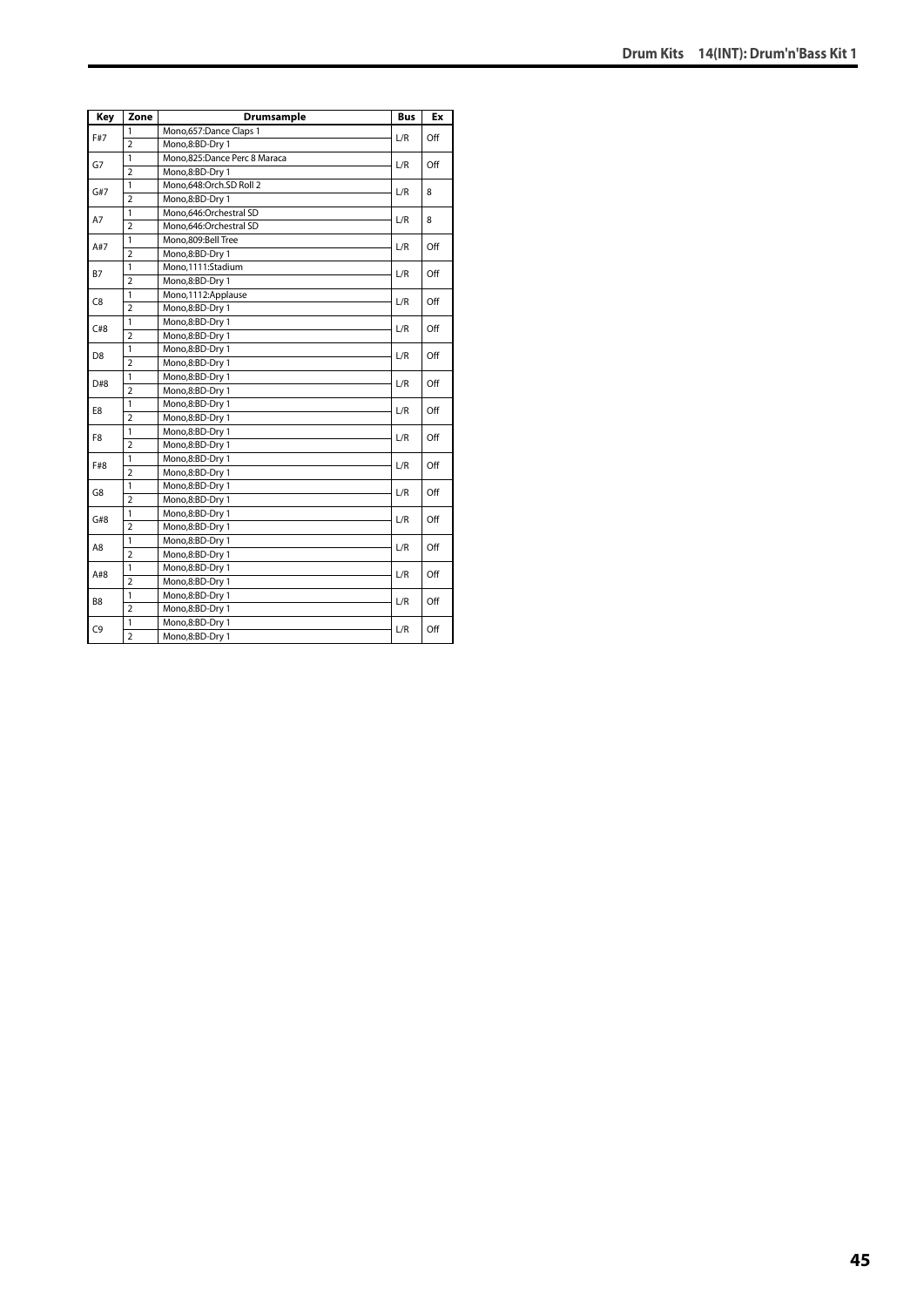| Key            | Zone           | Drumsample                   | <b>Bus</b> | Ex  |
|----------------|----------------|------------------------------|------------|-----|
| F#7            | 1              | Mono, 657: Dance Claps 1     | L/R        | Off |
|                | $\overline{2}$ | Mono,8:BD-Dry 1              |            |     |
| G7             | 1              | Mono,825:Dance Perc 8 Maraca | L/R        | Off |
|                | $\overline{2}$ | Mono,8:BD-Dry 1              |            |     |
| G#7            | $\mathbf{1}$   | Mono,648:Orch.SD Roll 2      | L/R        | 8   |
|                | $\overline{2}$ | Mono,8:BD-Dry 1              |            |     |
| A7             | 1              | Mono.646:Orchestral SD       | L/R        | 8   |
|                | $\overline{2}$ | Mono.646:Orchestral SD       |            |     |
| A#7            | 1              | Mono.809:Bell Tree           | L/R        | Off |
|                | $\overline{2}$ | Mono,8:BD-Dry 1              |            |     |
| <b>B7</b>      | 1              | Mono,1111:Stadium            | L/R        | Off |
|                | $\overline{2}$ | Mono,8:BD-Dry 1              |            |     |
| C <sub>8</sub> | 1              | Mono,1112:Applause           | L/R        | Off |
|                | $\overline{2}$ | Mono,8:BD-Dry 1              |            |     |
| C#8            | $\mathbf{1}$   | Mono,8:BD-Dry 1              | L/R        | Off |
|                | $\overline{2}$ | Mono,8:BD-Dry 1              |            |     |
|                | 1              | Mono,8:BD-Dry 1              | L/R        | Off |
| D <sub>8</sub> | $\overline{2}$ | Mono,8:BD-Dry 1              |            |     |
| D#8            | 1              | Mono,8:BD-Dry 1              | L/R        | Off |
|                | $\overline{2}$ | Mono,8:BD-Dry 1              |            |     |
| E8             | 1              | Mono,8:BD-Dry 1              | L/R        | Off |
|                | $\overline{2}$ | Mono,8:BD-Dry 1              |            |     |
| F8             | $\mathbf{1}$   | Mono,8:BD-Dry 1              | L/R        | Off |
|                | $\overline{2}$ | Mono,8:BD-Dry 1              |            |     |
| F#8            | $\mathbf{1}$   | Mono,8:BD-Dry 1              | L/R        | Off |
|                | $\overline{2}$ | Mono,8:BD-Dry 1              |            |     |
| G8             | $\mathbf{1}$   | Mono,8:BD-Dry 1              | L/R        | Off |
|                | $\overline{2}$ | Mono,8:BD-Dry 1              |            |     |
| G#8            | $\mathbf{1}$   | Mono,8:BD-Dry 1              | L/R        | Off |
|                | $\overline{2}$ | Mono,8:BD-Dry 1              |            |     |
| A8             | 1              | Mono,8:BD-Dry 1              | L/R        | Off |
|                | $\overline{2}$ | Mono,8:BD-Dry 1              |            |     |
| A#8            | 1              | Mono,8:BD-Dry 1              | L/R        | Off |
|                | $\overline{2}$ | Mono,8:BD-Dry 1              |            |     |
| B8             | 1              | Mono,8:BD-Dry 1              |            |     |
|                | $\overline{2}$ | Mono,8:BD-Dry 1              | L/R        | Off |
| C <sub>9</sub> | $\mathbf{1}$   | Mono,8:BD-Dry 1              | L/R        | Off |
|                | $\overline{2}$ | Mono,8:BD-Dry 1              |            |     |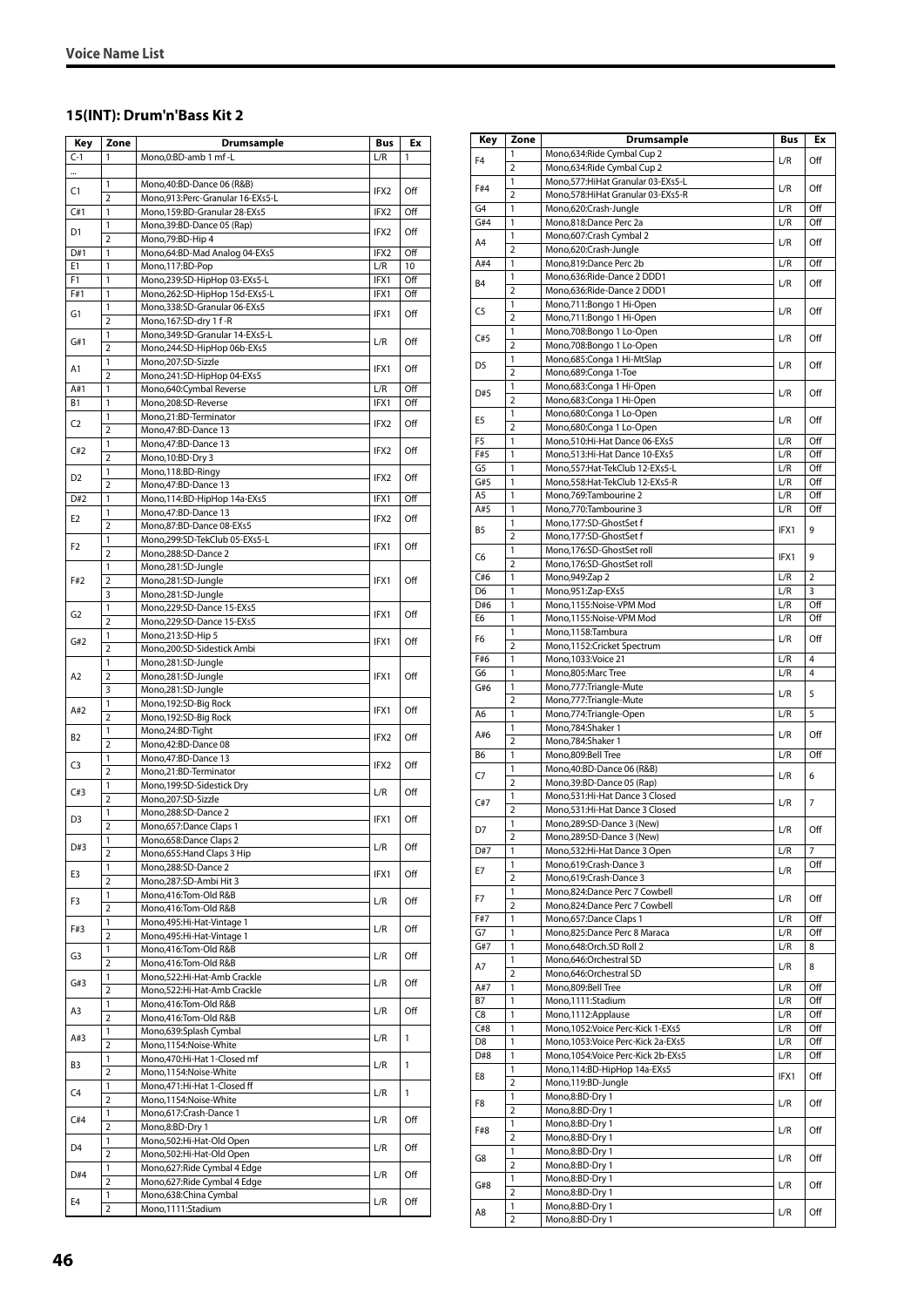#### **15(INT): Drum'n'Bass Kit 2**

| Key                   | Zone                           | Drumsample                                                       | Bus              | Ex         |
|-----------------------|--------------------------------|------------------------------------------------------------------|------------------|------------|
| $C-1$                 | 1                              | Mono, 0: BD-amb 1 mf - L                                         | L/R              | 1          |
|                       |                                |                                                                  |                  |            |
| C1                    | 1                              | Mono, 40: BD-Dance 06 (R&B)                                      | IFX2             | Off        |
| C#1                   | $\overline{2}$<br>$\mathbf{1}$ | Mono,913:Perc-Granular 16-EXs5-L<br>Mono.159:BD-Granular 28-EXs5 | IFX2             | Off        |
|                       | 1                              | Mono, 39: BD-Dance 05 (Rap)                                      |                  |            |
| D1                    | $\overline{2}$                 | Mono, 79: BD-Hip 4                                               | IFX2             | Off        |
| D#1                   | 1                              | Mono, 64: BD-Mad Analog 04-EXs5                                  | IFX2             | Off        |
| E1                    | $\mathbf{1}$                   | Mono,117:BD-Pop                                                  | L/R              | 10         |
| F <sub>1</sub><br>F#1 | 1<br>1                         | Mono,239:SD-HipHop 03-EXs5-L<br>Mono,262:SD-HipHop 15d-EXs5-L    | IFX1<br>IFX1     | Off<br>Off |
|                       | 1                              | Mono, 338: SD-Granular 06-EXs5                                   |                  |            |
| G1                    | $\overline{2}$                 | Mono,167:SD-dry 1 f-R                                            | IFX1             | Off        |
| G#1                   | 1                              | Mono, 349: SD-Granular 14-EXs5-L                                 | L/R              | Off        |
|                       | 2                              | Mono,244:SD-HipHop 06b-EXs5                                      |                  |            |
| A1                    | 1                              | Mono,207:SD-Sizzle                                               | IFX1             | Off        |
| A#1                   | $\overline{2}$<br>1            | Mono,241:SD-HipHop 04-EXs5<br>Mono,640:Cymbal Reverse            | L/R              | Off        |
| Β1                    | 1                              | Mono,208:SD-Reverse                                              | IFX1             | Off        |
|                       | 1                              | Mono,21:BD-Terminator                                            |                  |            |
| C2                    | $\overline{2}$                 | Mono,47:BD-Dance 13                                              | IFX2             | Off        |
| C#2                   | 1                              | Mono, 47: BD-Dance 13                                            | IFX2             | Off        |
|                       | 2                              | Mono, 10:BD-Dry 3                                                |                  |            |
| D2                    | 1                              | Mono, 118:BD-Ringy                                               | IFX2             | Off        |
| D#2                   | $\overline{2}$<br>1            | Mono, 47: BD-Dance 13<br>Mono, 114: BD-HipHop 14a-EXs5           | IFX1             | Off        |
|                       | 1                              | Mono, 47: BD-Dance 13                                            |                  |            |
| E <sub>2</sub>        | $\overline{2}$                 | Mono,87:BD-Dance 08-EXs5                                         | IFX <sub>2</sub> | Off        |
| F <sub>2</sub>        | 1                              | Mono,299:SD-TekClub 05-EXs5-L                                    | IFX1             | Off        |
|                       | 2                              | Mono,288:SD-Dance 2                                              |                  |            |
|                       | 1                              | Mono,281:SD-Jungle                                               |                  |            |
| F#2                   | 2<br>3                         | Mono,281:SD-Jungle<br>Mono,281:SD-Jungle                         | IFX1             | Off        |
|                       | 1                              | Mono,229:SD-Dance 15-EXs5                                        |                  |            |
| G <sub>2</sub>        | $\overline{2}$                 | Mono,229:SD-Dance 15-EXs5                                        | IFX1             | Off        |
| G#2                   | 1                              | Mono, 213: SD-Hip 5                                              | IFX1             | Off        |
|                       | $\overline{2}$                 | Mono,200:SD-Sidestick Ambi                                       |                  |            |
|                       | 1                              | Mono,281:SD-Jungle                                               |                  |            |
| A <sub>2</sub>        | $\overline{2}$<br>3            | Mono,281:SD-Jungle<br>Mono,281:SD-Jungle                         | IFX1             | Off        |
|                       | 1                              | Mono, 192: SD-Big Rock                                           |                  |            |
| A#2                   | $\overline{2}$                 | Mono, 192: SD-Big Rock                                           | IFX1             | Off        |
| B2                    | 1                              | Mono,24:BD-Tight                                                 | IFX <sub>2</sub> | Off        |
|                       | $\overline{2}$                 | Mono,42:BD-Dance 08                                              |                  |            |
| C <sub>3</sub>        | 1                              | Mono, 47: BD-Dance 13                                            | IFX2             | Off        |
|                       | $\overline{2}$<br>1            | Mono,21:BD-Terminator<br>Mono, 199: SD-Sidestick Dry             |                  |            |
| C#3                   | $\overline{2}$                 | Mono,207:SD-Sizzle                                               | L/R              | Off        |
| D <sub>3</sub>        | 1                              | Mono,288:SD-Dance 2                                              |                  | Off        |
|                       | $\overline{2}$                 | Mono,657:Dance Claps 1                                           | IFX1             |            |
| D#3                   | 1                              | Mono,658:Dance Claps 2                                           | L/R              | Off        |
|                       | 2                              | Mono,655: Hand Claps 3 Hip                                       |                  |            |
| E3                    | 1<br>$\overline{2}$            | Mono,288:SD-Dance 2<br>Mono,287:SD-Ambi Hit 3                    | IFX1             | Off        |
|                       | 1                              | Mono,416:Tom-Old R&B                                             |                  |            |
| F3                    | 2                              | Mono,416:Tom-Old R&B                                             | L/R              | Off        |
| F#3                   | 1                              | Mono, 495: Hi-Hat-Vintage 1                                      | L/R              | Off        |
|                       | $\overline{2}$                 | Mono, 495: Hi-Hat-Vintage 1                                      |                  |            |
| G3                    | 1<br>2                         | Mono,416:Tom-Old R&B<br>Mono,416:Tom-Old R&B                     | L/R              | Off        |
|                       | 1                              | Mono,522:Hi-Hat-Amb Crackle                                      |                  |            |
| G#3                   | $\overline{2}$                 | Mono, 522: Hi-Hat-Amb Crackle                                    | L/R              | Off        |
|                       | 1                              | Mono,416:Tom-Old R&B                                             | L/R              | Off        |
| A3                    | $\overline{2}$                 | Mono,416:Tom-Old R&B                                             |                  |            |
| A#3                   | 1                              | Mono,639:Splash Cymbal                                           | L/R              | 1          |
|                       | $\overline{2}$<br>1            | Mono, 1154: Noise-White<br>Mono, 470: Hi-Hat 1-Closed mf         |                  |            |
| B3                    | 2                              | Mono,1154:Noise-White                                            | L/R              | 1          |
|                       | 1                              | Mono, 471: Hi-Hat 1-Closed ff                                    |                  |            |
| C4                    | $\overline{2}$                 | Mono, 1154: Noise-White                                          | L/R              | 1          |
| C#4                   | 1                              | Mono,617:Crash-Dance 1                                           | L/R              | Off        |
|                       | 2                              | Mono,8:BD-Dry 1                                                  |                  |            |
| D4                    | 1                              | Mono,502:Hi-Hat-Old Open                                         | L/R              | Off        |
|                       | $\overline{2}$<br>1            | Mono, 502: Hi-Hat-Old Open<br>Mono,627: Ride Cymbal 4 Edge       |                  |            |
| D#4                   | 2                              | Mono,627: Ride Cymbal 4 Edge                                     | L/R              | Off        |
|                       | 1                              | Mono,638:China Cymbal                                            |                  |            |
| E4                    | $\overline{2}$                 | Mono,1111:Stadium                                                | L/R              | Off        |

| Key            | Zone           | Drumsample                                         | <b>Bus</b> | Ex             |
|----------------|----------------|----------------------------------------------------|------------|----------------|
|                | 1              | Mono,634: Ride Cymbal Cup 2                        |            |                |
| F <sub>4</sub> | $\overline{2}$ | Mono,634: Ride Cymbal Cup 2                        | L/R        | Off            |
|                | 1              | Mono,577: HiHat Granular 03-EXs5-L                 |            |                |
| F#4            | $\overline{2}$ | Mono,578: Hi Hat Granular 03-EXs5-R                | L/R        | Off            |
| G4             | 1              | Mono,620:Crash-Jungle                              | L/R        | Off            |
| G#4            | 1              | Mono,818:Dance Perc 2a                             | L/R        | Off            |
|                | 1              | Mono, 607: Crash Cymbal 2                          |            |                |
| A4             | $\overline{2}$ | Mono,620:Crash-Jungle                              | L/R        | Off            |
| A#4            | 1              | Mono,819:Dance Perc 2b                             | L/R        | Off            |
|                | 1              | Mono,636:Ride-Dance 2 DDD1                         |            |                |
| <b>B4</b>      | $\overline{2}$ | Mono,636:Ride-Dance 2 DDD1                         | L/R        | Off            |
|                | 1              | Mono,711:Bongo 1 Hi-Open                           |            |                |
| C <sub>5</sub> | $\overline{2}$ | Mono,711:Bongo 1 Hi-Open                           | L/R        | Off            |
| C#5            | 1              | Mono,708:Bongo 1 Lo-Open                           | L/R        | Off            |
|                | $\overline{2}$ | Mono,708:Bongo 1 Lo-Open                           |            |                |
| D <sub>5</sub> | 1              | Mono,685:Conga 1 Hi-MtSlap                         | L/R        | Off            |
|                | $\overline{2}$ | Mono,689:Conga 1-Toe                               |            |                |
| D#5            | 1              | Mono,683:Conga 1 Hi-Open                           | L/R        | Off            |
|                | $\overline{2}$ | Mono,683:Conga 1 Hi-Open                           |            |                |
| E <sub>5</sub> | 1              | Mono,680:Conga 1 Lo-Open                           | L/R        | Off            |
|                | $\overline{2}$ | Mono,680:Conga 1 Lo-Open                           |            |                |
| F <sub>5</sub> | 1              | Mono,510:Hi-Hat Dance 06-EXs5                      | L/R        | Off            |
| F#5            | 1              | Mono,513:Hi-Hat Dance 10-EXs5                      | L/R        | Off            |
| G5             | 1              | Mono,557:Hat-TekClub 12-EXs5-L                     | L/R        | Off            |
| G#5            | 1              | Mono,558:Hat-TekClub 12-EXs5-R                     | L/R        | Off            |
| A <sub>5</sub> | 1              | Mono, 769: Tambourine 2                            | L/R        | Off            |
| A#5            | 1              | Mono,770:Tambourine 3                              | L/R        | Off            |
| B <sub>5</sub> | 1              | Mono,177:SD-GhostSet f                             | IFX1       | 9              |
|                | $\overline{2}$ | Mono,177:SD-GhostSet f                             |            |                |
| C6             | 1              | Mono,176:SD-GhostSet roll                          | IFX1       | 9              |
|                | 2              | Mono,176:SD-GhostSet roll                          |            |                |
| C#6            | 1              | Mono, 949: Zap 2                                   | L/R        | $\overline{2}$ |
| D <sub>6</sub> | 1              | Mono,951:Zap-EXs5                                  | L/R        | 3              |
| D#6            | 1              | Mono,1155:Noise-VPM Mod                            | L/R        | Off            |
| E6             | 1<br>1         | Mono,1155:Noise-VPM Mod                            | L/R        | Off            |
| F6             | $\overline{2}$ | Mono,1158:Tambura                                  | L/R        | Off            |
| F#6            | 1              | Mono,1152:Cricket Spectrum<br>Mono, 1033: Voice 21 | L/R        | 4              |
| G6             | 1              | Mono,805:Marc Tree                                 | L/R        | 4              |
| G#6            | 1              | Mono,777: Triangle-Mute                            |            |                |
|                | $\overline{2}$ | Mono,777: Triangle-Mute                            | L/R        | 5              |
| A6             | 1              | Mono,774: Triangle-Open                            | L/R        | 5              |
|                | 1              | Mono,784:Shaker 1                                  |            |                |
| A#6            | $\overline{2}$ | Mono,784:Shaker 1                                  | L/R        | Off            |
| B6             | 1              | Mono,809:Bell Tree                                 | L/R        | Off            |
|                | 1              | Mono, 40: BD-Dance 06 (R&B)                        |            |                |
| C7             | $\overline{2}$ | Mono, 39: BD-Dance 05 (Rap)                        | L/R        | 6              |
|                | 1              | Mono,531:Hi-Hat Dance 3 Closed                     |            |                |
| C#7            | $\overline{2}$ | Mono,531:Hi-Hat Dance 3 Closed                     | L/R        | $\overline{7}$ |
|                | 1              | Mono,289:SD-Dance 3 (New)                          |            |                |
| D7             | 2              | Mono,289:SD-Dance 3 (New)                          | L/R        | Off            |
| D#7            | 1              | Mono,532:Hi-Hat Dance 3 Open                       | L/R        | $\overline{7}$ |
|                | 1              | Mono,619:Crash-Dance 3                             |            | Off            |
| E7             | 2              | Mono,619:Crash-Dance 3                             | L/R        |                |
| F7             | 1              | Mono,824:Dance Perc 7 Cowbell                      |            | Off            |
|                | $\overline{2}$ | Mono,824:Dance Perc 7 Cowbell                      | L/R        |                |
| F#7            | 1              | Mono,657:Dance Claps 1                             | L/R        | Off            |
| G7             | 1              | Mono,825:Dance Perc 8 Maraca                       | L/R        | Off            |
| G#7            | 1              | Mono,648:Orch.SD Roll 2                            | L/R        | 8              |
| Α7             | 1              | Mono,646:Orchestral SD                             | L/R        | 8              |
|                | 2              | Mono,646:Orchestral SD                             |            |                |
| A#7            | 1              | Mono,809:Bell Tree                                 | L/R        | Off            |
| <b>B7</b>      | 1              | Mono,1111:Stadium                                  | L/R        | Off            |
| C8             | 1              | Mono,1112:Applause                                 | L/R        | Off            |
| C#8            | 1              | Mono, 1052: Voice Perc-Kick 1-EXs5                 | L/R        | Off            |
| D8             | 1              | Mono, 1053: Voice Perc-Kick 2a-EXs5                | L/R        | Off            |
| D#8            | 1              | Mono, 1054: Voice Perc-Kick 2b-EXs5                | L/R        | Off            |
| E8             | 1              | Mono, 114: BD-HipHop 14a-EXs5                      | IFX1       | Off            |
|                | 2              | Mono,119:BD-Jungle                                 |            |                |
| F8             | 1              | Mono,8:BD-Dry 1                                    | L/R        | Off            |
|                | $\overline{2}$ | Mono,8:BD-Dry 1                                    |            |                |
| F#8            | 1              | Mono,8:BD-Dry 1                                    | L/R        | Off            |
|                | 2              | Mono,8:BD-Dry 1                                    |            |                |
| G8             | 1              | Mono,8:BD-Dry 1                                    | L/R        | Off            |
|                | $\overline{2}$ | Mono,8:BD-Dry 1                                    |            |                |
| G#8            | 1              | Mono,8:BD-Dry 1                                    | L/R        | Off            |
|                | $\overline{2}$ | Mono,8:BD-Dry 1                                    |            |                |
| A8             | 1              | Mono,8:BD-Dry 1                                    | L/R        | Off            |
|                | $\overline{2}$ | Mono,8:BD-Dry 1                                    |            |                |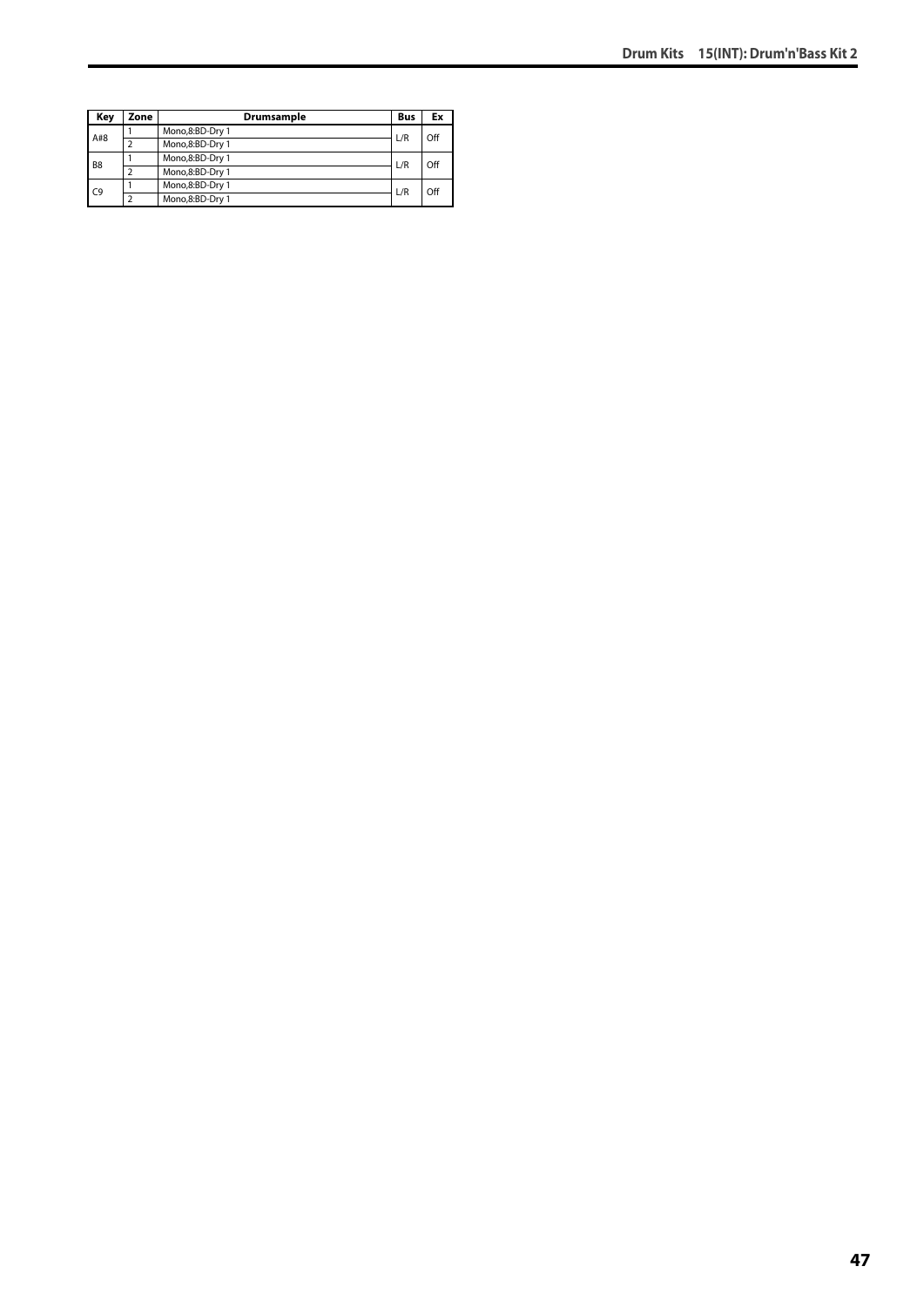| Key            | Zone | Drumsample      | <b>Bus</b> | Ex  |
|----------------|------|-----------------|------------|-----|
| A#8            |      | Mono,8:BD-Dry 1 | L/R        | Off |
|                |      | Mono,8:BD-Dry 1 |            |     |
| B <sub>8</sub> |      | Mono,8:BD-Dry 1 | L/R        | Off |
|                |      | Mono,8:BD-Dry 1 |            |     |
| C9             |      | Mono,8:BD-Dry 1 | L/R        | Off |
|                | າ    | Mono,8:BD-Dry 1 |            |     |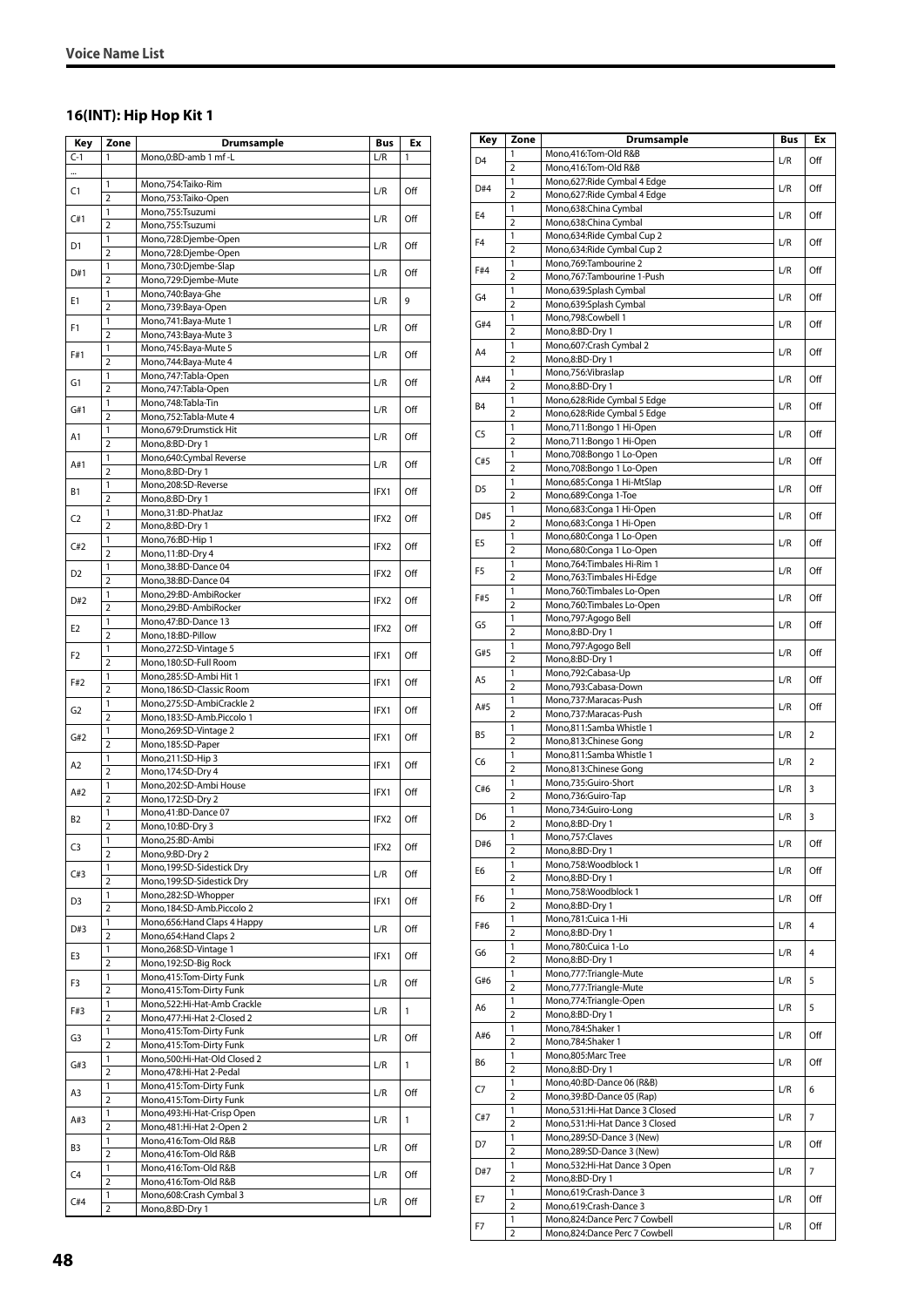# **16(INT): Hip Hop Kit 1**

| Key            | Zone                         | Drumsample                                                 | Bus              | Ex  |
|----------------|------------------------------|------------------------------------------------------------|------------------|-----|
| $C-1$          | 1                            | Mono, 0: BD-amb 1 mf - L                                   | L/R              | 1   |
|                |                              |                                                            |                  |     |
| C1             | 1                            | Mono,754:Taiko-Rim                                         | L/R              | Off |
|                | $\overline{2}$               | Mono, 753: Taiko-Open                                      |                  |     |
| C#1            | 1                            | Mono,755:Tsuzumi                                           | L/R              | Off |
|                | $\overline{2}$               | Mono,755:Tsuzumi                                           |                  |     |
| D1             | 1<br>$\overline{2}$          | Mono,728:Djembe-Open                                       | L/R              | Off |
|                | 1                            | Mono,728:Djembe-Open<br>Mono,730:Djembe-Slap               |                  |     |
| D#1            | $\overline{2}$               | Mono,729:Djembe-Mute                                       | L/R              | Off |
|                | 1                            | Mono,740:Baya-Ghe                                          |                  |     |
| E1             | $\overline{2}$               | Mono,739:Baya-Open                                         | L/R              | 9   |
|                | 1                            | Mono, 741: Baya-Mute 1                                     |                  |     |
| F1             | $\overline{2}$               | Mono, 743: Baya-Mute 3                                     | L/R              | Off |
| F#1            | 1                            | Mono, 745: Baya-Mute 5                                     | L/R              | Off |
|                | $\overline{2}$               | Mono, 744: Baya-Mute 4                                     |                  |     |
| G1             | 1                            | Mono, 747: Tabla-Open                                      | L/R              | Off |
|                | $\overline{2}$               | Mono, 747: Tabla-Open                                      |                  |     |
| G#1            | 1<br>$\overline{2}$          | Mono,748:Tabla-Tin                                         | L/R              | Off |
|                | 1                            | Mono, 752: Tabla-Mute 4                                    |                  |     |
| A1             | $\overline{2}$               | Mono, 679: Drumstick Hit<br>Mono,8:BD-Dry 1                | L/R              | Off |
|                | 1                            | Mono,640:Cymbal Reverse                                    |                  |     |
| A#1            | $\overline{2}$               | Mono,8:BD-Dry 1                                            | L/R              | Off |
|                | 1                            | Mono,208:SD-Reverse                                        |                  |     |
| <b>B1</b>      | $\overline{2}$               | Mono,8:BD-Dry 1                                            | IFX1             | Off |
|                | 1                            | Mono,31:BD-PhatJaz                                         |                  |     |
| C <sub>2</sub> | $\overline{2}$               | Mono,8:BD-Dry 1                                            | IFX <sub>2</sub> | Off |
| C#2            | 1                            | Mono,76:BD-Hip 1                                           | IFX2             | Off |
|                | 2                            | Mono, 11:BD-Dry 4                                          |                  |     |
| D <sub>2</sub> | 1                            | Mono, 38: BD-Dance 04                                      | IFX2             | Off |
|                | $\overline{2}$               | Mono, 38: BD-Dance 04                                      |                  |     |
| D#2            | 1                            | Mono,29:BD-AmbiRocker                                      | IFX2             | Off |
|                | $\overline{2}$               | Mono,29:BD-AmbiRocker                                      |                  |     |
| E <sub>2</sub> | 1                            | Mono, 47: BD-Dance 13                                      | IFX <sub>2</sub> | Off |
|                | $\overline{2}$               | Mono, 18:BD-Pillow                                         |                  |     |
| F2             | 1                            | Mono,272:SD-Vintage 5                                      | IFX1             | Off |
|                | $\overline{2}$<br>1          | Mono,180:SD-Full Room                                      |                  |     |
| F#2            | $\overline{2}$               | Mono,285:SD-Ambi Hit 1<br>Mono, 186: SD-Classic Room       | IFX1             | Off |
|                | 1                            | Mono,275:SD-AmbiCrackle 2                                  |                  |     |
| G2             | $\overline{2}$               | Mono,183:SD-Amb.Piccolo 1                                  | IFX1             | Off |
|                | 1                            | Mono,269:SD-Vintage 2                                      |                  |     |
| G#2            | $\overline{2}$               | Mono, 185: SD-Paper                                        | IFX1             | Off |
|                | 1                            | Mono,211:SD-Hip 3                                          |                  |     |
| A2             | $\overline{2}$               | Mono, 174:SD-Dry 4                                         | IFX1             | Off |
| A#2            | 1                            | Mono,202:SD-Ambi House                                     | IFX1             | Off |
|                | $\overline{2}$               | Mono, 172:SD-Dry 2                                         |                  |     |
| <b>B2</b>      | 1                            | Mono,41:BD-Dance 07                                        | IFX2             | Off |
|                | $\overline{2}$               | Mono, 10:BD-Dry 3                                          |                  |     |
| C3             | 1                            | Mono,25:BD-Ambi                                            | IFX2             | Off |
|                | 2                            | Mono,9:BD-Dry 2                                            |                  |     |
| C#3            | 1<br>$\overline{\mathbf{2}}$ | Mono, 199: SD-Sidestick Dry<br>Mono, 199: SD-Sidestick Dry | L/R              | Off |
|                | $\mathbf{1}$                 | Mono,282:SD-Whopper                                        |                  |     |
| D3             | 2                            | Mono, 184: SD-Amb. Piccolo 2                               | IFX1             | Off |
|                | 1                            | Mono, 656: Hand Claps 4 Happy                              |                  |     |
| D#3            | $\overline{2}$               | Mono, 654: Hand Claps 2                                    | L/R              | Off |
|                | 1                            | Mono,268:SD-Vintage 1                                      |                  |     |
| E3             | 2                            | Mono, 192: SD-Big Rock                                     | IFX1             | Off |
|                | 1                            | Mono,415:Tom-Dirty Funk                                    |                  |     |
| F3             | $\overline{2}$               | Mono, 415: Tom-Dirty Funk                                  | L/R              | Off |
| F#3            | $\mathbf{1}$                 | Mono,522:Hi-Hat-Amb Crackle                                | L/R              | 1   |
|                | $\overline{2}$               | Mono, 477: Hi-Hat 2-Closed 2                               |                  |     |
| G3             | 1                            | Mono, 415: Tom-Dirty Funk                                  | L/R              | Off |
|                | $\overline{2}$               | Mono,415:Tom-Dirty Funk                                    |                  |     |
| G#3            | $\mathbf{1}$                 | Mono,500:Hi-Hat-Old Closed 2                               | L/R              | 1   |
|                | $\overline{2}$               | Mono, 478: Hi-Hat 2-Pedal                                  |                  |     |
| A3             | $\mathbf{1}$                 | Mono, 415: Tom-Dirty Funk                                  | L/R              | Off |
|                | $\overline{2}$               | Mono, 415: Tom-Dirty Funk                                  |                  |     |
| A#3            | $\mathbf{1}$<br>2            | Mono, 493: Hi-Hat-Crisp Open                               | L/R              | 1   |
|                | 1                            | Mono, 481: Hi-Hat 2-Open 2<br>Mono,416:Tom-Old R&B         |                  |     |
| B3             | $\overline{2}$               | Mono,416:Tom-Old R&B                                       | L/R              | Off |
|                | 1                            | Mono,416:Tom-Old R&B                                       |                  |     |
| C4             | 2                            | Mono,416:Tom-Old R&B                                       | L/R              | Off |
|                | 1                            | Mono,608:Crash Cymbal 3                                    |                  |     |
| C#4            | $\overline{2}$               | Mono,8:BD-Dry 1                                            | L/R              | Off |

| Key            | Zone                           | Drumsample                                               | <b>Bus</b> | Ex             |
|----------------|--------------------------------|----------------------------------------------------------|------------|----------------|
| D <sub>4</sub> | 1                              | Mono,416:Tom-Old R&B                                     | L/R        | Off            |
|                | 2                              | Mono,416:Tom-Old R&B                                     |            |                |
| D#4            | 1                              | Mono,627: Ride Cymbal 4 Edge                             | L/R        | Off            |
|                | $\overline{2}$<br>1            | Mono,627: Ride Cymbal 4 Edge<br>Mono,638:China Cymbal    |            |                |
| E <sub>4</sub> | $\overline{2}$                 | Mono,638:China Cymbal                                    | L/R        | Off            |
| F <sub>4</sub> | 1                              | Mono,634: Ride Cymbal Cup 2                              | L/R        | Off            |
|                | $\overline{2}$                 | Mono,634: Ride Cymbal Cup 2                              |            |                |
| F#4            | 1                              | Mono, 769: Tambourine 2                                  | L/R        | Off            |
|                | $\overline{2}$<br>$\mathbf{1}$ | Mono,767:Tambourine 1-Push<br>Mono,639:Splash Cymbal     |            |                |
| G <sub>4</sub> | $\overline{2}$                 | Mono,639:Splash Cymbal                                   | L/R        | Off            |
|                | 1                              | Mono,798:Cowbell 1                                       |            |                |
| G#4            | $\overline{2}$                 | Mono,8:BD-Dry 1                                          | L/R        | Off            |
| A4             | 1                              | Mono,607:Crash Cymbal 2                                  | L/R        | Off            |
|                | $\overline{2}$<br>1            | Mono,8:BD-Dry 1                                          |            |                |
| A#4            | $\overline{2}$                 | Mono,756:Vibraslap<br>Mono,8:BD-Dry 1                    | L/R        | Off            |
|                | 1                              | Mono,628: Ride Cymbal 5 Edge                             |            |                |
| B4             | $\overline{2}$                 | Mono,628:Ride Cymbal 5 Edge                              | L/R        | Off            |
| C <sub>5</sub> | 1                              | Mono,711:Bongo 1 Hi-Open                                 | L/R        | Off            |
|                | $\overline{2}$                 | Mono,711:Bongo 1 Hi-Open                                 |            |                |
| C#5            | 1<br>$\overline{2}$            | Mono,708:Bongo 1 Lo-Open<br>Mono,708:Bongo 1 Lo-Open     | L/R        | Off            |
|                | 1                              | Mono,685:Conga 1 Hi-MtSlap                               |            |                |
| D <sub>5</sub> | $\overline{2}$                 | Mono,689:Conga 1-Toe                                     | L/R        | Off            |
| D#5            | 1                              | Mono,683:Conga 1 Hi-Open                                 | L/R        | Off            |
|                | $\overline{2}$                 | Mono,683:Conga 1 Hi-Open                                 |            |                |
| E <sub>5</sub> | 1                              | Mono,680:Conga 1 Lo-Open                                 | L/R        | Off            |
|                | $\overline{2}$<br>1            | Mono,680:Conga 1 Lo-Open<br>Mono, 764: Timbales Hi-Rim 1 |            |                |
| F <sub>5</sub> | $\overline{2}$                 | Mono, 763: Timbales Hi-Edge                              | L/R        | Off            |
|                | 1                              | Mono,760:Timbales Lo-Open                                |            |                |
| F#5            | $\overline{2}$                 | Mono,760:Timbales Lo-Open                                | L/R        | Off            |
| G5             | 1                              | Mono,797:Agogo Bell                                      | L/R        | Off            |
|                | $\overline{2}$                 | Mono,8:BD-Dry 1                                          |            |                |
| G#5            | 1                              | Mono,797:Agogo Bell                                      | L/R        | Off            |
|                | $\overline{2}$<br>1            | Mono,8:BD-Dry 1<br>Mono,792:Cabasa-Up                    |            |                |
| A <sub>5</sub> | $\overline{2}$                 | Mono,793:Cabasa-Down                                     | L/R        | Off            |
|                | 1                              | Mono,737:Maracas-Push                                    |            |                |
| A#5            | 2                              | Mono,737:Maracas-Push                                    | L/R        | Off            |
| B <sub>5</sub> | $\mathbf{1}$                   | Mono,811:Samba Whistle 1                                 | L/R        | 2              |
|                | $\overline{2}$                 | Mono,813:Chinese Gong                                    |            |                |
| C6             | 1<br>$\overline{2}$            | Mono,811:Samba Whistle 1<br>Mono,813:Chinese Gong        | L/R        | $\overline{2}$ |
|                | 1                              | Mono,735:Guiro-Short                                     |            |                |
| C#6            | $\overline{2}$                 | Mono,736:Guiro-Tap                                       | L/R        | 3              |
| D6             | 1                              | Mono,734:Guiro-Long                                      | L/R        | 3              |
|                | $\overline{2}$                 | Mono.8:BD-Drv 1                                          |            |                |
| D#6            | 1                              | Mono,757:Claves                                          | L/R        | Off            |
|                | $\overline{2}$                 | Mono,8:BD-Dry 1                                          |            |                |
| E6             | 1<br>$\overline{2}$            | Mono,758:Woodblock 1<br>Mono,8:BD-Dry 1                  | L/R        | Off            |
|                | 1                              | Mono,758:Woodblock 1                                     |            |                |
| F6             | $\overline{2}$                 | Mono,8:BD-Dry 1                                          | L/R        | Off            |
| F#6            | 1                              | Mono,781:Cuica 1-Hi                                      | L/R        | $\overline{4}$ |
|                | 2                              | Mono,8:BD-Dry 1                                          |            |                |
| G6             | 1                              | Mono,780:Cuica 1-Lo                                      | L/R        | 4              |
|                | $\overline{2}$<br>1            | Mono,8:BD-Dry 1<br>Mono,777: Triangle-Mute               |            |                |
| G#6            | $\overline{2}$                 | Mono,777: Triangle-Mute                                  | L/R        | 5              |
|                | 1                              | Mono,774:Triangle-Open                                   |            |                |
| A6             | $\overline{2}$                 | Mono,8:BD-Dry 1                                          | L/R        | 5              |
| A#6            | 1                              | Mono,784:Shaker 1                                        | L/R        | Off            |
|                | 2                              | Mono,784:Shaker 1                                        |            |                |
| B6             | 1<br>$\overline{2}$            | Mono,805:Marc Tree<br>Mono,8:BD-Dry 1                    | L/R        | Off            |
|                | 1                              | Mono, 40: BD-Dance 06 (R&B)                              |            |                |
| C7             | $\overline{2}$                 | Mono, 39: BD-Dance 05 (Rap)                              | L/R        | 6              |
|                | $\mathbf{1}$                   | Mono,531:Hi-Hat Dance 3 Closed                           |            |                |
| C#7            | $\overline{2}$                 | Mono,531:Hi-Hat Dance 3 Closed                           | L/R        | 7              |
| D7             | 1                              | Mono,289:SD-Dance 3 (New)                                | L/R        | Off            |
|                | 2                              | Mono,289:SD-Dance 3 (New)                                |            |                |
| D#7            | 1<br>2                         | Mono,532:Hi-Hat Dance 3 Open<br>Mono,8:BD-Dry 1          | L/R        | 7              |
|                | 1                              | Mono,619:Crash-Dance 3                                   |            |                |
| E7             | $\overline{2}$                 | Mono,619:Crash-Dance 3                                   | L/R        | Off            |
|                | 1                              | Mono,824:Dance Perc 7 Cowbell                            |            |                |
| F7             | 2                              | Mono,824:Dance Perc 7 Cowbell                            | L/R        | Off            |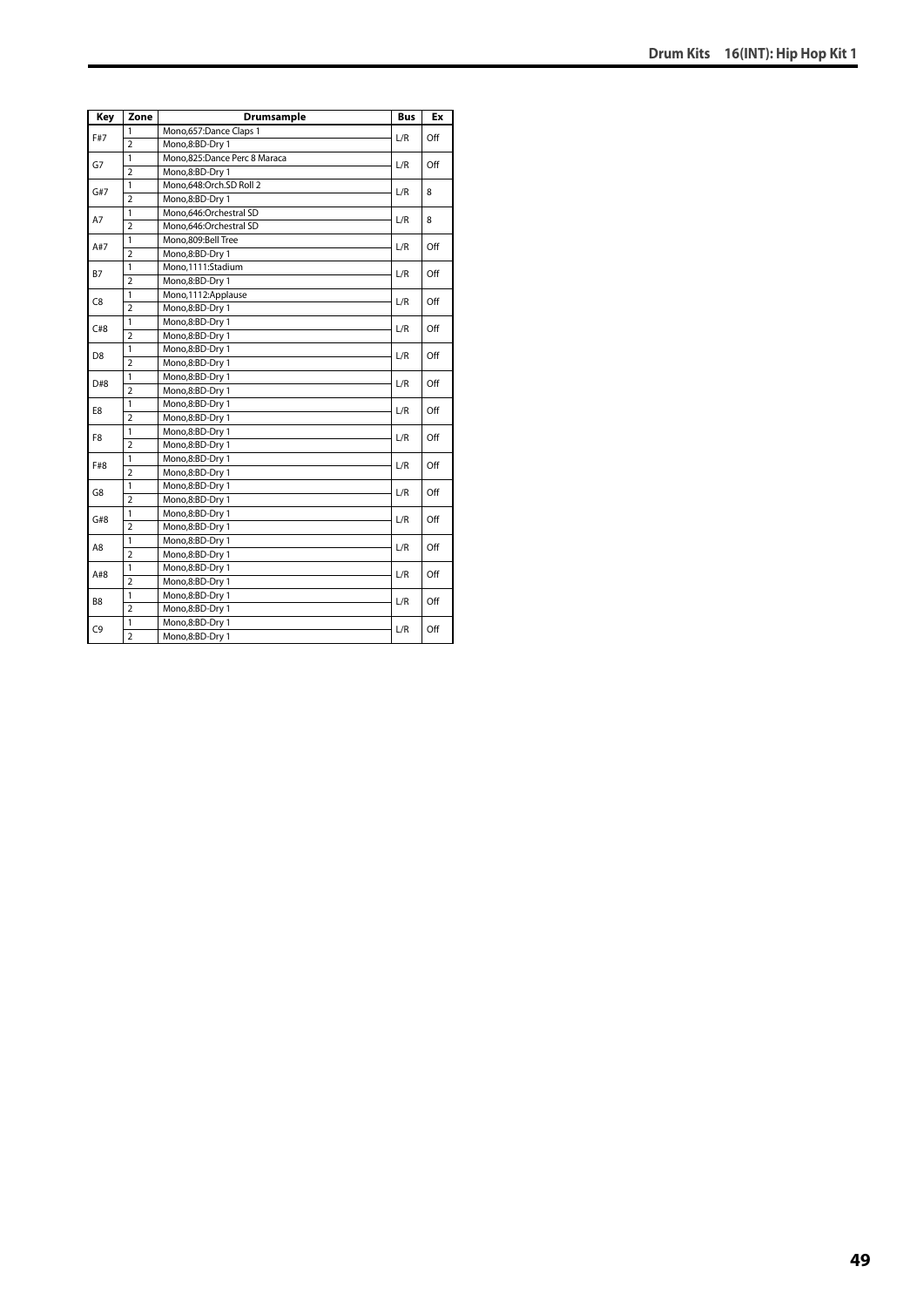| Key            | Zone           | Drumsample                   | <b>Bus</b> | Ex  |
|----------------|----------------|------------------------------|------------|-----|
| F#7            | 1              | Mono,657:Dance Claps 1       | L/R        | Off |
|                | $\overline{2}$ | Mono,8:BD-Dry 1              |            |     |
|                | 1              | Mono,825:Dance Perc 8 Maraca |            |     |
| G7             | $\overline{2}$ | Mono,8:BD-Dry 1              | L/R        | Off |
| G#7            | 1              | Mono,648:Orch.SD Roll 2      | L/R        | 8   |
|                | $\overline{2}$ | Mono,8:BD-Dry 1              |            |     |
| A7             | $\mathbf{1}$   | Mono,646:Orchestral SD       | L/R        | 8   |
|                | $\overline{2}$ | Mono,646:Orchestral SD       |            |     |
| A#7            | 1              | Mono,809:Bell Tree           | L/R        | Off |
|                | $\overline{2}$ | Mono,8:BD-Dry 1              |            |     |
| <b>B7</b>      | 1              | Mono,1111:Stadium            | L/R        | Off |
|                | $\overline{2}$ | Mono,8:BD-Dry 1              |            |     |
| C <sub>8</sub> | 1              | Mono,1112:Applause           | L/R        | Off |
|                | $\overline{2}$ | Mono,8:BD-Dry 1              |            |     |
| C#8            | 1              | Mono,8:BD-Dry 1              |            | Off |
|                | $\overline{a}$ | Mono,8:BD-Dry 1              | L/R        |     |
|                | $\mathbf{1}$   | Mono,8:BD-Dry 1              | L/R        | Off |
| D <sub>8</sub> | $\overline{2}$ | Mono,8:BD-Dry 1              |            |     |
|                | 1              | Mono,8:BD-Dry 1              | L/R        | Off |
| D#8            | $\overline{2}$ | Mono,8:BD-Dry 1              |            |     |
| E8             | 1              | Mono,8:BD-Dry 1              | L/R        | Off |
|                | $\overline{2}$ | Mono,8:BD-Dry 1              |            |     |
| F8             | 1              | Mono,8:BD-Dry 1              | L/R        | Off |
|                | $\overline{a}$ | Mono,8:BD-Dry 1              |            |     |
| F#8            | $\mathbf{1}$   | Mono,8:BD-Dry 1              | L/R        | Off |
|                | $\overline{2}$ | Mono,8:BD-Dry 1              |            |     |
| G8             | 1              | Mono,8:BD-Dry 1              | L/R        | Off |
|                | $\overline{2}$ | Mono,8:BD-Dry 1              |            |     |
| G#8            | $\mathbf{1}$   | Mono,8:BD-Dry 1              | L/R        | Off |
|                | $\overline{2}$ | Mono,8:BD-Dry 1              |            |     |
| A8             | 1              | Mono,8:BD-Dry 1              | L/R        | Off |
|                | $\overline{2}$ | Mono,8:BD-Dry 1              |            |     |
| A#8            | 1              | Mono,8:BD-Dry 1              | L/R        | Off |
|                | $\overline{a}$ | Mono,8:BD-Dry 1              |            |     |
| B <sub>8</sub> | 1              | Mono,8:BD-Dry 1              |            | Off |
|                | $\overline{2}$ | Mono,8:BD-Dry 1              | L/R        |     |
| C <sub>9</sub> | $\mathbf{1}$   | Mono,8:BD-Dry 1              | L/R        | Off |
|                | $\overline{2}$ | Mono,8:BD-Dry 1              |            |     |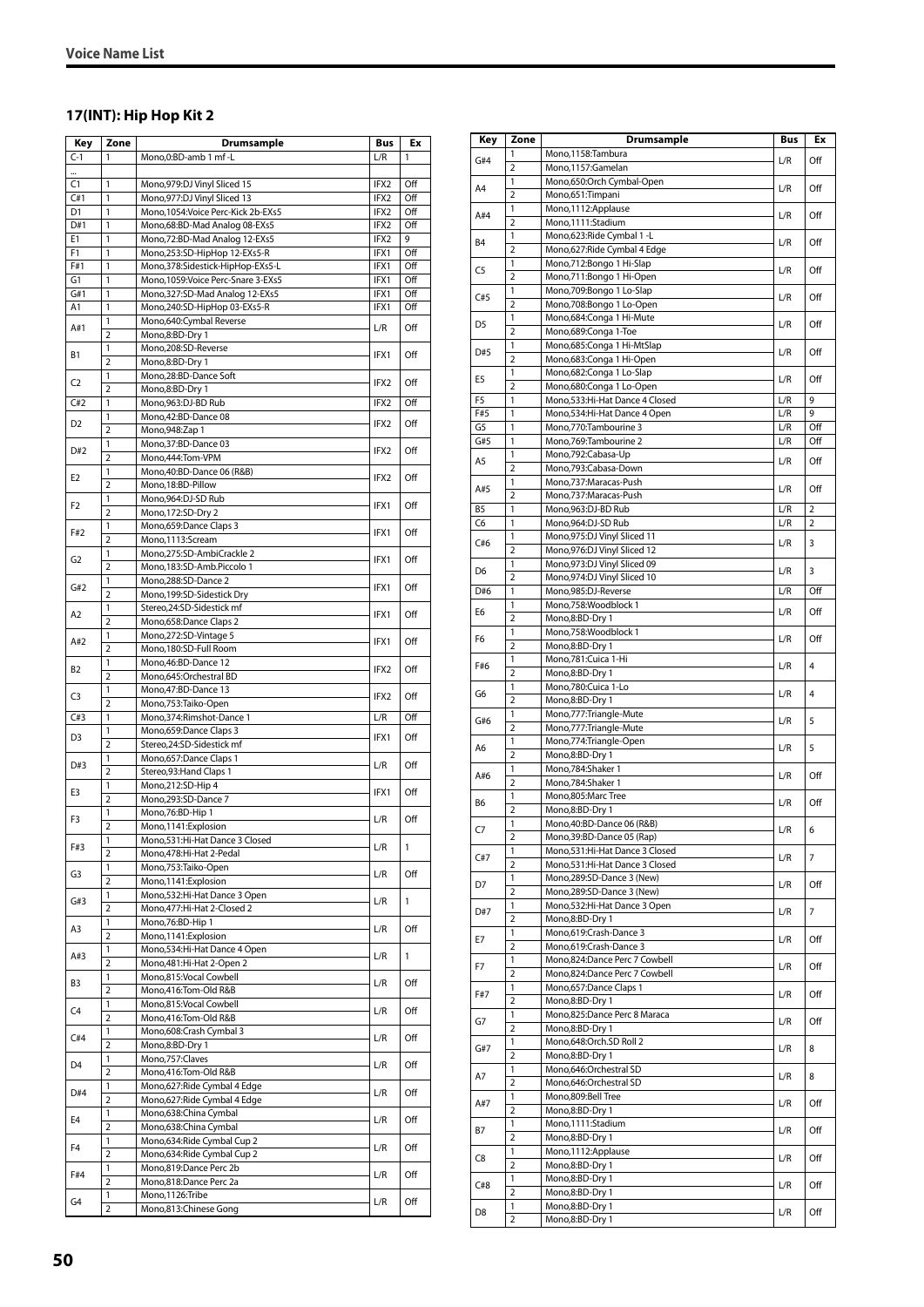# **17(INT): Hip Hop Kit 2**

| Key                   | Zone                    | Drumsample                                                         | Bus          | Ex           |
|-----------------------|-------------------------|--------------------------------------------------------------------|--------------|--------------|
| $C-1$                 | 1                       | Mono, 0:BD-amb 1 mf-L                                              | L/R          | 1            |
|                       |                         |                                                                    |              |              |
| C1                    | 1                       | Mono, 979: DJ Vinyl Sliced 15                                      | IFX2         | Off          |
| C#1                   | 1                       | Mono, 977: DJ Vinyl Sliced 13                                      | IFX2         | Off          |
| D <sub>1</sub>        | 1                       | Mono, 1054: Voice Perc-Kick 2b-EXs5                                | IFX2<br>IFX2 | Off          |
| D#1<br>E <sub>1</sub> | 1<br>1                  | Mono, 68: BD-Mad Analog 08-EXs5<br>Mono, 72: BD-Mad Analog 12-EXs5 | IFX2         | Off<br>9     |
| F1                    | 1                       | Mono,253:SD-HipHop 12-EXs5-R                                       | IFX1         | Off          |
| F#1                   | 1                       | Mono, 378: Sidestick-HipHop-EXs5-L                                 | IFX1         | Off          |
| G1                    | 1                       | Mono, 1059: Voice Perc-Snare 3-EXs5                                | IFX1         | Off          |
| G#1                   | 1                       | Mono, 327: SD-Mad Analog 12-EXs5                                   | IFX1         | Off          |
| A1                    | 1                       | Mono,240:SD-HipHop 03-EXs5-R                                       | IFX1         | Off          |
| A#1                   | 1                       | Mono,640:Cymbal Reverse                                            | L/R          | Off          |
|                       | $\overline{2}$          | Mono,8:BD-Dry 1                                                    |              |              |
| Β1                    | 1<br>$\overline{2}$     | Mono,208:SD-Reverse<br>Mono,8:BD-Dry 1                             | IFX1         | Off          |
|                       | 1                       | Mono,28:BD-Dance Soft                                              |              |              |
| C2                    | $\overline{2}$          | Mono,8:BD-Dry 1                                                    | IFX2         | Off          |
| C#2                   | 1                       | Mono,963:DJ-BD Rub                                                 | IFX2         | Off          |
| D <sub>2</sub>        | 1                       | Mono, 42: BD-Dance 08                                              | IFX2         | Off          |
|                       | 2                       | Mono, 948: Zap 1                                                   |              |              |
| D#2                   | 1                       | Mono, 37: BD-Dance 03                                              | IFX2         | Off          |
|                       | $\overline{2}$<br>1     | Mono, 444: Tom-VPM<br>Mono, 40: BD-Dance 06 (R&B)                  |              |              |
| E2                    | 2                       | Mono, 18:BD-Pillow                                                 | IFX2         | Off          |
|                       | 1                       | Mono,964:DJ-SD Rub                                                 |              |              |
| F2                    | $\overline{2}$          | Mono, 172: SD-Dry 2                                                | IFX1         | Off          |
|                       | 1                       | Mono, 659: Dance Claps 3                                           |              |              |
| F#2                   | $\overline{2}$          | Mono,1113:Scream                                                   | IFX1         | Off          |
| G2                    | 1                       | Mono,275:SD-AmbiCrackle 2                                          | IFX1         | Off          |
|                       | $\overline{2}$          | Mono,183:SD-Amb.Piccolo 1                                          |              |              |
| G#2                   | 1                       | Mono,288:SD-Dance 2                                                | IFX1         | Off          |
|                       | $\overline{2}$<br>1     | Mono, 199: SD-Sidestick Dry<br>Stereo,24:SD-Sidestick mf           |              |              |
| A2                    | $\overline{2}$          | Mono, 658: Dance Claps 2                                           | IFX1         | Off          |
|                       | 1                       | Mono,272:SD-Vintage 5                                              |              |              |
| A#2                   | $\overline{2}$          | Mono, 180: SD-Full Room                                            | IFX1         | Off          |
| B2                    | 1                       | Mono, 46: BD-Dance 12                                              | IFX2         | Off          |
|                       | $\overline{2}$          | Mono,645:Orchestral BD                                             |              |              |
| C3                    | 1                       | Mono, 47: BD-Dance 13                                              | IFX2         | Off          |
|                       | $\overline{2}$          | Mono, 753: Taiko-Open                                              |              |              |
| C#3                   | 1<br>1                  | Mono, 374: Rimshot-Dance 1<br>Mono, 659: Dance Claps 3             | L/R          | Off          |
| D3                    | $\overline{2}$          | Stereo,24:SD-Sidestick mf                                          | IFX1         | Off          |
|                       | 1                       | Mono,657:Dance Claps 1                                             |              |              |
| D#3                   | $\overline{2}$          | Stereo, 93: Hand Claps 1                                           | L/R          | Off          |
| E3                    | 1                       | Mono,212:SD-Hip 4                                                  | IFX1         | Off          |
|                       | $\overline{2}$          | Mono,293:SD-Dance 7                                                |              |              |
| F3                    | $\mathbf{1}$            | Mono, 76: BD-Hip 1                                                 | L/R          | Off          |
|                       | $\overline{2}$          | Mono,1141: Explosion                                               |              |              |
| F#3                   | 1<br>$\overline{2}$     | Mono,531:Hi-Hat Dance 3 Closed<br>Mono, 478: Hi-Hat 2-Pedal        | L/R          | 1            |
|                       | 1                       | Mono, 753: Taiko-Open                                              |              |              |
| G3                    | 2                       | Mono, 1141: Explosion                                              | L/R          | Off          |
| G#3                   | 1                       | Mono,532:Hi-Hat Dance 3 Open                                       | L/R          | 1            |
|                       | $\overline{\mathbf{c}}$ | Mono, 477: Hi-Hat 2-Closed 2                                       |              |              |
| A3                    | $\mathbf{1}$            | Mono, 76: BD-Hip 1                                                 | L/R          | Off          |
|                       | 2                       | Mono,1141: Explosion                                               |              |              |
| A#3                   | 1<br>$\overline{2}$     | Mono, 534: Hi-Hat Dance 4 Open<br>Mono, 481: Hi-Hat 2-Open 2       | L/R          | $\mathbf{1}$ |
|                       | 1                       | Mono,815:Vocal Cowbell                                             |              |              |
| B3                    | 2                       | Mono,416:Tom-Old R&B                                               | L/R          | Off          |
|                       | 1                       | Mono,815:Vocal Cowbell                                             |              |              |
| C4                    | 2                       | Mono,416:Tom-Old R&B                                               | L/R          | Off          |
| C#4                   | 1                       | Mono,608:Crash Cymbal 3                                            | L/R          | Off          |
|                       | $\overline{2}$          | Mono,8:BD-Dry 1                                                    |              |              |
| D4                    | 1                       | Mono, 757: Claves                                                  | L/R          | Off          |
|                       | $\overline{2}$<br>1     | Mono,416:Tom-Old R&B<br>Mono,627: Ride Cymbal 4 Edge               |              |              |
| D#4                   | 2                       | Mono,627: Ride Cymbal 4 Edge                                       | L/R          | Off          |
|                       | 1                       | Mono,638:China Cymbal                                              |              |              |
| E4                    | $\overline{2}$          | Mono,638:China Cymbal                                              | L/R          | Off          |
|                       | 1                       | Mono,634: Ride Cymbal Cup 2                                        |              |              |
| F4                    | 2                       | Mono,634: Ride Cymbal Cup 2                                        | L/R          | Off          |
| F#4                   | 1                       | Mono,819:Dance Perc 2b                                             | L/R          | Off          |
|                       | 2                       | Mono,818:Dance Perc 2a                                             |              |              |
| G4                    | 1                       | Mono,1126:Tribe                                                    | L/R          | Off          |
|                       | 2                       | Mono,813:Chinese Gong                                              |              |              |

| Key            | Zone                           | <b>Drumsample</b>                                              | Bus | Ex             |
|----------------|--------------------------------|----------------------------------------------------------------|-----|----------------|
|                | 1                              | Mono,1158:Tambura                                              |     |                |
| G#4            | $\overline{2}$                 | Mono,1157:Gamelan                                              | L/R | Off            |
| A <sub>4</sub> | 1                              | Mono,650:Orch Cymbal-Open                                      | L/R | Off            |
|                | $\overline{2}$<br>$\mathbf{1}$ | Mono,651:Timpani                                               |     |                |
| A#4            | $\overline{2}$                 | Mono,1112:Applause<br>Mono,1111:Stadium                        | L/R | Off            |
|                | 1                              | Mono,623:Ride Cymbal 1 -L                                      |     |                |
| B4             | $\overline{2}$                 | Mono,627: Ride Cymbal 4 Edge                                   | L/R | Off            |
| C5             | 1                              | Mono,712:Bongo 1 Hi-Slap                                       | L/R | Off            |
|                | $\overline{2}$                 | Mono,711:Bongo 1 Hi-Open                                       |     |                |
| C#5            | 1<br>$\overline{2}$            | Mono,709:Bongo 1 Lo-Slap<br>Mono, 708: Bongo 1 Lo-Open         | L/R | Off            |
|                | 1                              | Mono, 684: Conga 1 Hi-Mute                                     |     |                |
| D <sub>5</sub> | 2                              | Mono,689:Conga 1-Toe                                           | L/R | Off            |
| D#5            | 1                              | Mono,685:Conga 1 Hi-MtSlap                                     | L/R | Off            |
|                | $\overline{2}$<br>1            | Mono,683:Conga 1 Hi-Open                                       |     |                |
| E5             | $\overline{2}$                 | Mono,682:Conga 1 Lo-Slap<br>Mono,680:Conga 1 Lo-Open           | L/R | Off            |
| F <sub>5</sub> | 1                              | Mono,533:Hi-Hat Dance 4 Closed                                 | L/R | 9              |
| F#5            | $\mathbf{1}$                   | Mono,534:Hi-Hat Dance 4 Open                                   | L/R | 9              |
| G5             | 1                              | Mono,770:Tambourine 3                                          | L/R | Off            |
| G#5            | 1                              | Mono, 769: Tambourine 2                                        | L/R | Off            |
| A5             | 1<br>$\overline{2}$            | Mono,792:Cabasa-Up                                             | L/R | Off            |
|                | 1                              | Mono,793:Cabasa-Down<br>Mono,737:Maracas-Push                  |     |                |
| A#5            | $\overline{2}$                 | Mono,737:Maracas-Push                                          | L/R | Off            |
| B5             | 1                              | Mono,963:DJ-BD Rub                                             | L/R | 2              |
| C6             | 1                              | Mono,964:DJ-SD Rub                                             | L/R | $\overline{2}$ |
| C#6            | 1                              | Mono, 975: DJ Vinyl Sliced 11                                  | L/R | 3              |
|                | $\overline{2}$<br>1            | Mono, 976: DJ Vinyl Sliced 12<br>Mono, 973: DJ Vinyl Sliced 09 |     |                |
| D <sub>6</sub> | $\overline{2}$                 | Mono, 974: DJ Vinyl Sliced 10                                  | L/R | 3              |
| D#6            | 1                              | Mono,985:DJ-Reverse                                            | L/R | Off            |
| E6             | 1                              | Mono,758:Woodblock 1                                           | L/R | Off            |
|                | $\overline{2}$                 | Mono,8:BD-Dry 1                                                |     |                |
| F <sub>6</sub> | 1<br>$\overline{2}$            | Mono,758:Woodblock 1<br>Mono,8:BD-Dry 1                        | L/R | Off            |
|                | 1                              | Mono,781:Cuica 1-Hi                                            |     |                |
| F#6            | $\overline{2}$                 | Mono,8:BD-Dry 1                                                | L/R | $\overline{4}$ |
| G6             | 1                              | Mono,780:Cuica 1-Lo                                            | L/R | 4              |
|                | $\overline{2}$                 | Mono,8:BD-Dry 1                                                |     |                |
| G#6            | 1<br>$\overline{2}$            | Mono,777: Triangle-Mute<br>Mono,777:Triangle-Mute              | L/R | 5              |
|                | 1                              | Mono,774: Triangle-Open                                        |     |                |
| A6             | $\overline{2}$                 | Mono,8:BD-Dry 1                                                | L/R | 5              |
| A#6            | 1                              | Mono,784:Shaker 1                                              | L/R | Off            |
|                | $\overline{2}$                 | Mono,784:Shaker 1                                              |     |                |
| B <sub>6</sub> | 1<br>$\overline{2}$            | Mono,805:Marc Tree                                             | L/R | Off            |
|                | 1                              | Mono,8:BD-Dry 1<br>Mono,40:BD-Dance 06 (R&B)                   |     |                |
| C7             | $\overline{2}$                 | Mono, 39: BD-Dance 05 (Rap)                                    | L/R | 6              |
| C#7            | 1                              | Mono,531:Hi-Hat Dance 3 Closed                                 | L/R | 7              |
|                | 2                              | Mono,531:Hi-Hat Dance 3 Closed                                 |     |                |
| D7             | $\mathbf{1}$                   | Mono,289:SD-Dance 3 (New)                                      | L/R | Off            |
|                | $\overline{2}$<br>1            | Mono,289:SD-Dance 3 (New)<br>Mono,532:Hi-Hat Dance 3 Open      |     |                |
| D#7            | $\overline{2}$                 | Mono,8:BD-Dry 1                                                | L/R | 7              |
|                | 1                              | Mono,619:Crash-Dance 3                                         |     | Off            |
| Е7             | $\overline{2}$                 | Mono,619:Crash-Dance 3                                         | L/R |                |
| F7             | 1                              | Mono,824:Dance Perc 7 Cowbell                                  | L/R | Off            |
|                | $\overline{2}$<br>1            | Mono,824:Dance Perc 7 Cowbell<br>Mono,657:Dance Claps 1        |     |                |
| F#7            | $\overline{2}$                 | Mono,8:BD-Dry 1                                                | L/R | Off            |
|                | 1                              | Mono,825:Dance Perc 8 Maraca                                   |     | Off            |
| G7             | $\overline{2}$                 | Mono,8:BD-Dry 1                                                | L/R |                |
| G#7            | 1                              | Mono,648:Orch.SD Roll 2                                        | L/R | 8              |
|                | 2<br>1                         | Mono,8:BD-Dry 1<br>Mono,646:Orchestral SD                      |     |                |
| A7             | $\mathbf 2$                    | Mono,646:Orchestral SD                                         | L/R | 8              |
|                | 1                              | Mono,809:Bell Tree                                             |     |                |
| A#7            | $\overline{2}$                 | Mono,8:BD-Dry 1                                                | L/R | Off            |
| B7             | 1                              | Mono,1111:Stadium                                              | L/R | Off            |
|                | $\overline{2}$<br>1            | Mono,8:BD-Dry 1                                                |     |                |
| C8             | $\overline{2}$                 | Mono, 1112: Applause<br>Mono,8:BD-Dry 1                        | L/R | Off            |
|                | 1                              | Mono,8:BD-Dry 1                                                |     |                |
| C#8            | $\overline{2}$                 | Mono,8:BD-Dry 1                                                | L/R | Off            |
| D8             | 1                              | Mono,8:BD-Dry 1                                                | L/R | Off            |
|                | 2                              | Mono,8:BD-Dry 1                                                |     |                |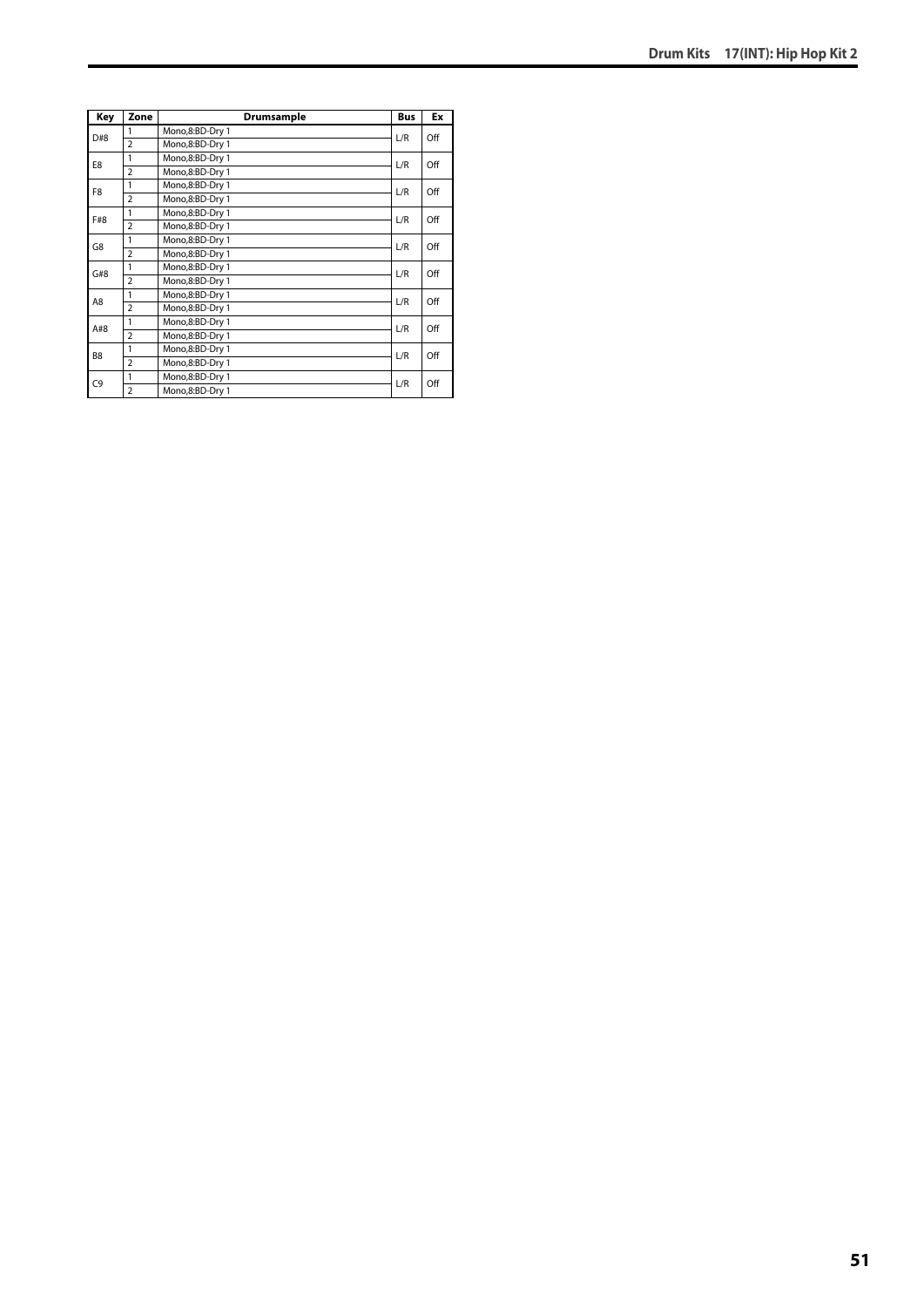| Key            | Zone           | Drumsample      | <b>Bus</b> | Ex  |
|----------------|----------------|-----------------|------------|-----|
| D#8            | 1              | Mono,8:BD-Dry 1 | L/R        | Off |
|                | $\overline{a}$ | Mono,8:BD-Dry 1 |            |     |
| E8             | 1              | Mono,8:BD-Dry 1 | L/R        | Off |
|                | $\overline{a}$ | Mono,8:BD-Dry 1 |            |     |
| F8             | 1              | Mono,8:BD-Dry 1 | L/R        | Off |
|                | $\overline{2}$ | Mono,8:BD-Dry 1 |            |     |
| F#8            | 1              | Mono,8:BD-Dry 1 | L/R        | Off |
|                | $\overline{2}$ | Mono,8:BD-Dry 1 |            |     |
| G8             | 1              | Mono,8:BD-Dry 1 | L/R        | Off |
|                | $\overline{a}$ | Mono,8:BD-Dry 1 |            |     |
| G#8            | 1              | Mono,8:BD-Dry 1 | L/R        | Off |
|                | $\overline{2}$ | Mono,8:BD-Dry 1 |            |     |
| A8             | 1              | Mono,8:BD-Dry 1 | L/R        | Off |
|                | $\overline{2}$ | Mono,8:BD-Dry 1 |            |     |
| A#8            | 1              | Mono,8:BD-Dry 1 | L/R        | Off |
|                | $\overline{2}$ | Mono,8:BD-Dry 1 |            |     |
| B <sub>8</sub> | 1              | Mono,8:BD-Dry 1 | L/R        | Off |
|                | $\overline{2}$ | Mono,8:BD-Dry 1 |            |     |
| C <sub>9</sub> | 1              | Mono,8:BD-Dry 1 | L/R        | Off |
|                | $\overline{2}$ | Mono,8:BD-Dry 1 |            |     |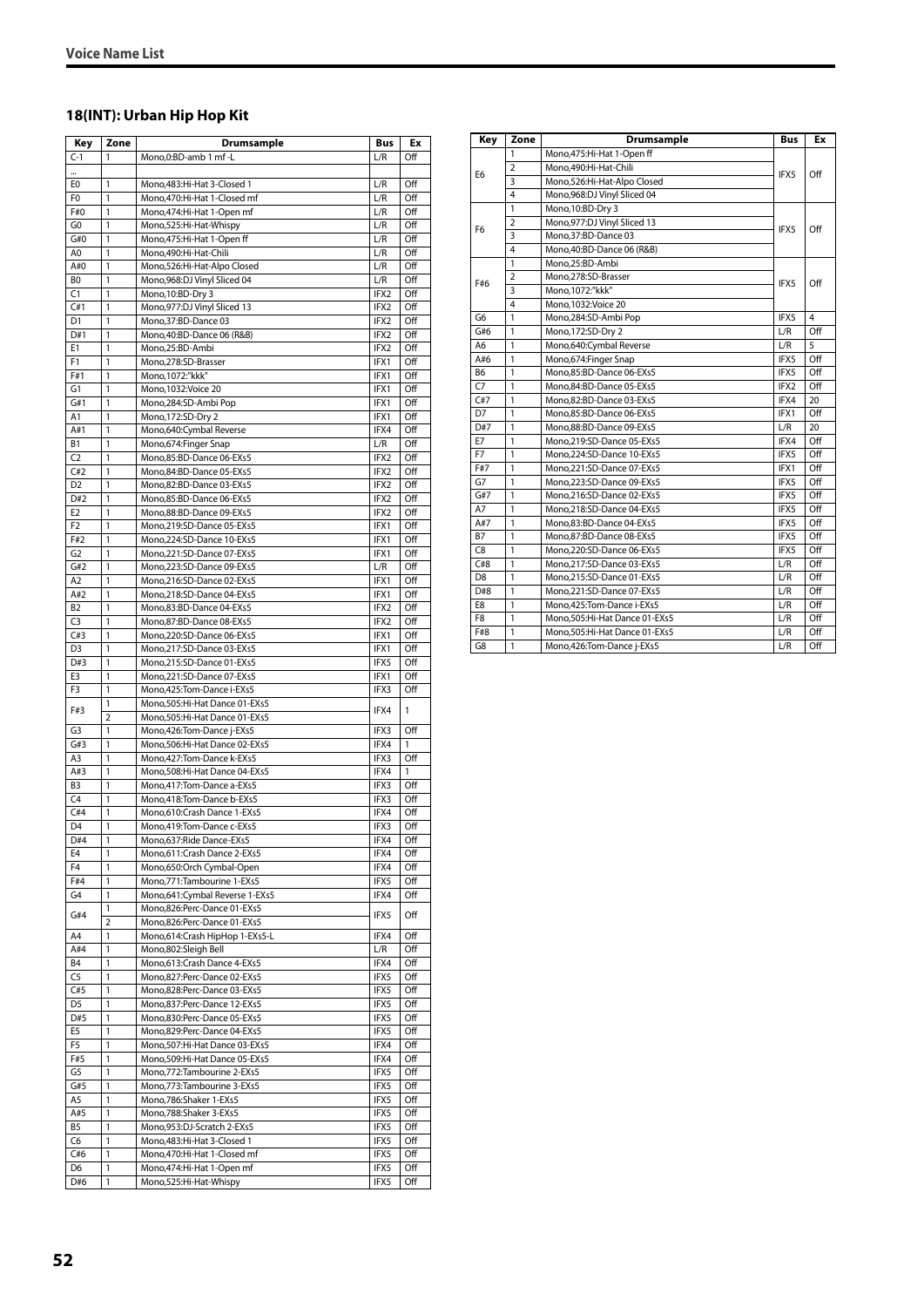# **18(INT): Urban Hip Hop Kit**

| Key                   | Zone           | Drumsample                                                    | Bus          | Еx         |
|-----------------------|----------------|---------------------------------------------------------------|--------------|------------|
| $C-1$                 | 1              | Mono.0:BD-amb 1 mf -L                                         | L/R          | Off        |
| $\cdot$               |                |                                                               |              |            |
| E0                    | 1              | Mono, 483: Hi-Hat 3-Closed 1                                  | L/R          | Off        |
| F <sub>0</sub><br>F#0 | 1<br>1         | Mono, 470: Hi-Hat 1-Closed mf                                 | L/R<br>L/R   | Off<br>Off |
| G0                    | 1              | Mono, 474: Hi-Hat 1-Open mf<br>Mono,525:Hi-Hat-Whispy         | L/R          | Off        |
| G#0                   | 1              | Mono.475:Hi-Hat 1-Open ff                                     | L/R          | Off        |
| A <sub>0</sub>        | 1              | Mono,490:Hi-Hat-Chili                                         | L/R          | Off        |
| A#0                   | 1              | Mono, 526: Hi-Hat-Alpo Closed                                 | L/R          | Off        |
| B <sub>0</sub>        | 1              | Mono, 968: DJ Vinyl Sliced 04                                 | L/R          | Off        |
| C1<br>C#1             | 1<br>1         | Mono, 10:BD-Dry 3<br>Mono, 977: DJ Vinyl Sliced 13            | IFX2<br>IFX2 | Off<br>Off |
| D <sub>1</sub>        | 1              | Mono, 37: BD-Dance 03                                         | IFX2         | Off        |
| D#1                   | 1              | Mono, 40: BD-Dance 06 (R&B)                                   | IFX2         | Off        |
| E <sub>1</sub>        | 1              | Mono,25:BD-Ambi                                               | IFX2         | Off        |
| F <sub>1</sub>        | 1              | Mono,278:SD-Brasser                                           | IFX1         | Off        |
| F#1                   | 1              | Mono, 1072:"kkk"                                              | IFX1         | Off<br>Off |
| G1<br>G#1             | 1<br>1         | Mono, 1032: Voice 20<br>Mono,284:SD-Ambi Pop                  | IFX1<br>IFX1 | Off        |
| A <sub>1</sub>        | 1              | Mono, 172: SD-Dry 2                                           | IFX1         | Off        |
| A#1                   | 1              | Mono,640:Cymbal Reverse                                       | IFX4         | Off        |
| <b>B1</b>             | 1              | Mono,674: Finger Snap                                         | L/R          | Off        |
| C <sub>2</sub>        | 1              | Mono.85:BD-Dance 06-EXs5                                      | IFX2         | Off        |
| C#2                   | 1              | Mono,84:BD-Dance 05-EXs5                                      | IFX2         | Off        |
| D <sub>2</sub><br>D#2 | 1<br>1         | Mono,82:BD-Dance 03-EXs5<br>Mono,85:BD-Dance 06-EXs5          | IFX2<br>IFX2 | Off<br>Off |
| E <sub>2</sub>        | 1              | Mono,88:BD-Dance 09-EXs5                                      | IFX2         | Off        |
| F <sub>2</sub>        | 1              | Mono,219:SD-Dance 05-EXs5                                     | IFX1         | Off        |
| F#2                   | 1              | Mono,224:SD-Dance 10-EXs5                                     | IFX1         | Off        |
| G <sub>2</sub>        | 1              | Mono,221:SD-Dance 07-EXs5                                     | IFX1         | Off        |
| G#2                   | 1              | Mono,223:SD-Dance 09-EXs5                                     | L/R          | Off        |
| A <sub>2</sub><br>A#2 | 1<br>1         | Mono,216:SD-Dance 02-EXs5<br>Mono,218:SD-Dance 04-EXs5        | IFX1<br>IFX1 | Off<br>Off |
| B <sub>2</sub>        | 1              | Mono,83:BD-Dance 04-EXs5                                      | IFX2         | Off        |
| C <sub>3</sub>        | 1              | Mono,87:BD-Dance 08-EXs5                                      | IFX2         | Off        |
| C#3                   | 1              | Mono,220:SD-Dance 06-EXs5                                     | IFX1         | Off        |
| D <sub>3</sub>        | 1              | Mono,217:SD-Dance 03-EXs5                                     | IFX1         | Off        |
| D#3                   | 1              | Mono,215:SD-Dance 01-EXs5                                     | IFX5         | Off        |
| E3<br>F3              | 1<br>1         | Mono,221:SD-Dance 07-EXs5<br>Mono, 425: Tom-Dance i-EXs5      | IFX1<br>IFX3 | Off<br>Off |
|                       | 1              | Mono, 505: Hi-Hat Dance 01-EXs5                               |              |            |
| F#3                   | 2              | Mono, 505: Hi-Hat Dance 01-EXs5                               | IFX4         | 1          |
| G <sub>3</sub>        | 1              | Mono, 426: Tom-Dance j-EXs5                                   | IFX3         | Off        |
| G#3                   | 1              | Mono,506:Hi-Hat Dance 02-EXs5                                 | IFX4         | 1          |
| A3                    | 1              | Mono, 427: Tom-Dance k-EXs5                                   | IFX3         | Off        |
| A#3<br>B <sub>3</sub> | 1<br>1         | Mono,508:Hi-Hat Dance 04-EXs5<br>Mono.417:Tom-Dance a-EXs5    | IFX4<br>IFX3 | 1<br>Off   |
| C <sub>4</sub>        | 1              | Mono, 418: Tom-Dance b-EXs5                                   | IFX3         | Off        |
| C#4                   | 1              | Mono,610:Crash Dance 1-EXs5                                   | IFX4         | Off        |
| D <sub>4</sub>        | 1              | Mono,419:Tom-Dance c-EXs5                                     | IFX3         | Off        |
| D#4                   | 1              | Mono,637: Ride Dance-EXs5                                     | IFX4         | Off        |
| E4                    | 1              | Mono,611:Crash Dance 2-EXs5                                   | IFX4         | Off        |
| F4<br>F#4             | 1<br>1         | Mono,650:Orch Cymbal-Open<br>Mono, 771: Tambourine 1-EXs5     | IFX4<br>IFX5 | Off<br>Off |
| G4                    | 1              | Mono, 641: Cymbal Reverse 1-EXs5                              | IFX4         | Off        |
|                       | 1              | Mono,826:Perc-Dance 01-EXs5                                   |              |            |
| G#4                   | $\overline{2}$ | Mono,826:Perc-Dance 01-EXs5                                   | IFX5         | Off        |
| A4                    | 1              | Mono, 614: Crash HipHop 1-EXs5-L                              | IFX4         | Off        |
| A#4                   | 1              | Mono,802:Sleigh Bell                                          | L/R<br>IFX4  | Off        |
| B4<br>C <sub>5</sub>  | 1<br>1         | Mono,613:Crash Dance 4-EXs5<br>Mono,827:Perc-Dance 02-EXs5    | IFX5         | Off<br>Off |
| C#5                   | 1              | Mono,828:Perc-Dance 03-EXs5                                   | IFX5         | Off        |
| D <sub>5</sub>        | 1              | Mono,837:Perc-Dance 12-EXs5                                   | IFX5         | Off        |
| D#5                   | 1              | Mono,830:Perc-Dance 05-EXs5                                   | IFX5         | Off        |
| E <sub>5</sub>        | 1              | Mono,829:Perc-Dance 04-EXs5                                   | IFX5         | Off        |
| F5                    | 1              | Mono, 507: Hi-Hat Dance 03-EXs5                               | IFX4         | Off        |
| F#5<br>G <sub>5</sub> | 1<br>1         | Mono,509:Hi-Hat Dance 05-EXs5<br>Mono, 772: Tambourine 2-EXs5 | IFX4<br>IFX5 | Off<br>Off |
| G#5                   | 1              | Mono, 773: Tambourine 3-EXs5                                  | IFX5         | Off        |
| A5                    | 1              | Mono,786:Shaker 1-EXs5                                        | IFX5         | Off        |
| A#5                   | 1              | Mono,788:Shaker 3-EXs5                                        | IFX5         | Off        |
| B <sub>5</sub>        | 1              | Mono, 953: DJ-Scratch 2-EXs5                                  | IFX5         | Off        |
| C6                    | 1              | Mono, 483: Hi-Hat 3-Closed 1                                  | IFX5         | Off        |
| C#6<br>D6             | 1<br>1         | Mono, 470: Hi-Hat 1-Closed mf<br>Mono, 474: Hi-Hat 1-Open mf  | IFX5<br>IFX5 | Off<br>Off |
| D#6                   | 1              | Mono,525:Hi-Hat-Whispy                                        | IFX5         | Off        |

| Key            | Zone                    | Drumsample                      | <b>Bus</b>       | Ex             |
|----------------|-------------------------|---------------------------------|------------------|----------------|
|                | 1                       | Mono, 475: Hi-Hat 1-Open ff     |                  |                |
| E6             | $\overline{2}$          | Mono,490:Hi-Hat-Chili           | IFX5             | Off            |
|                | $\overline{3}$          | Mono,526:Hi-Hat-Alpo Closed     |                  |                |
|                | $\overline{\mathbf{A}}$ | Mono, 968: DJ Vinyl Sliced 04   |                  |                |
|                | 1                       | Mono, 10:BD-Dry 3               |                  |                |
| F6             | $\overline{2}$          | Mono, 977: DJ Vinyl Sliced 13   | IFX5             | Off            |
|                | 3                       | Mono.37:BD-Dance 03             |                  |                |
|                | 4                       | Mono, 40: BD-Dance 06 (R&B)     |                  |                |
|                | 1                       | Mono,25:BD-Ambi                 |                  |                |
| F#6            | $\overline{2}$          | Mono,278:SD-Brasser             | IFX5             | Off            |
|                | 3                       | Mono, 1072:"kkk"                |                  |                |
|                | $\overline{\mathbf{A}}$ | Mono, 1032: Voice 20            |                  |                |
| G <sub>6</sub> | $\overline{1}$          | Mono,284:SD-Ambi Pop            | IFX5             | $\overline{4}$ |
| G#6            | $\mathbf{1}$            | Mono, 172: SD-Dry 2             | L/R              | Off            |
| A <sub>6</sub> | 1                       | Mono,640:Cymbal Reverse         | L/R              | 5              |
| A#6            | 1                       | Mono,674:Finger Snap            | IFX5             | Off            |
| B6             | 1                       | Mono,85:BD-Dance 06-EXs5        | IFX5             | Off            |
| C7             | 1                       | Mono.84:BD-Dance 05-EXs5        | IFX <sub>2</sub> | Off            |
| C#7            | 1                       | Mono,82:BD-Dance 03-EXs5        | IFX4             | 20             |
| D7             | 1                       | Mono,85:BD-Dance 06-EXs5        | IFX1             | Off            |
| D#7            | 1                       | Mono,88:BD-Dance 09-EXs5        | L/R              | 20             |
| E7             | 1                       | Mono,219:SD-Dance 05-EXs5       | IFX4             | Off            |
| F7             | 1                       | Mono.224:SD-Dance 10-EXs5       | IFX5             | Off            |
| F#7            | 1                       | Mono,221:SD-Dance 07-EXs5       | IFX1             | Off            |
| G7             | 1                       | Mono,223:SD-Dance 09-EXs5       | IFX5             | Off            |
| G#7            | 1                       | Mono.216:SD-Dance 02-EXs5       | IFX5             | Off            |
| A7             | $\mathbf{1}$            | Mono,218:SD-Dance 04-EXs5       | IFX5             | Off            |
| A#7            | 1                       | Mono.83:BD-Dance 04-EXs5        | IFX5             | Off            |
| <b>B7</b>      | 1                       | Mono,87:BD-Dance 08-EXs5        | IFX5             | Off            |
| C <sub>8</sub> | $\mathbf{1}$            | Mono,220:SD-Dance 06-EXs5       | IFX5             | Off            |
| C#8            | $\mathbf{1}$            | Mono,217:SD-Dance 03-EXs5       | L/R              | Off            |
| D <sub>8</sub> | 1                       | Mono.215:SD-Dance 01-EXs5       | L/R              | Off            |
| D#8            | 1                       | Mono.221:SD-Dance 07-EXs5       | L/R              | Off            |
| E8             | 1                       | Mono, 425: Tom-Dance i-EXs5     | L/R              | Off            |
| F <sub>8</sub> | 1                       | Mono.505:Hi-Hat Dance 01-EXs5   | L/R              | Off            |
| F#8            | 1                       | Mono, 505: Hi-Hat Dance 01-EXs5 | L/R              | Off            |
| G8             | 1                       | Mono, 426: Tom-Dance j-EXs5     | L/R              | Off            |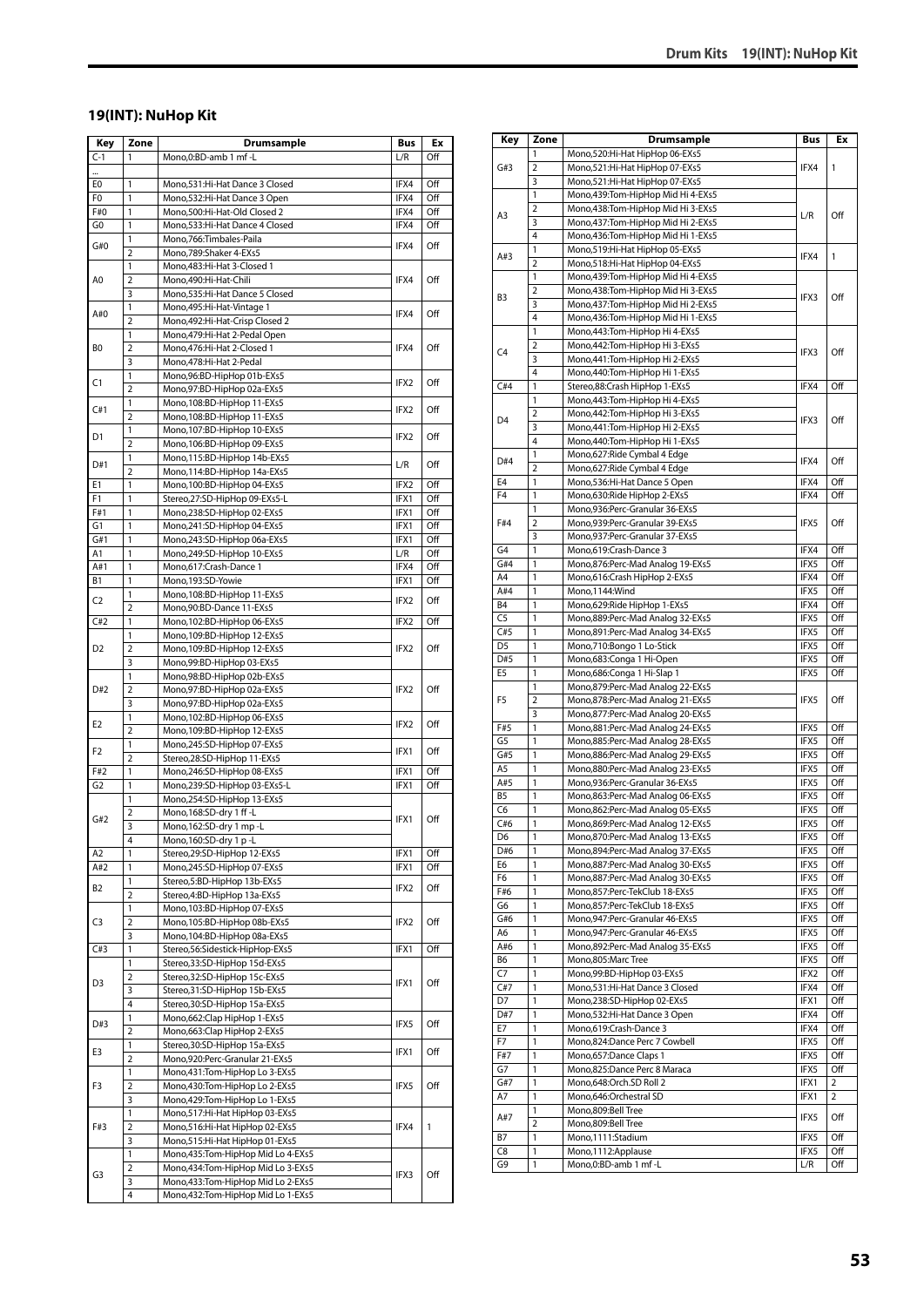#### **19(INT): NuHop Kit**

| Key            | Zone                    | <b>Drumsample</b>                                                   | Bus          | Ex         |
|----------------|-------------------------|---------------------------------------------------------------------|--------------|------------|
| $C-1$          | 1                       | Mono, 0: BD-amb 1 mf-L                                              | L/R          | Off        |
|                |                         |                                                                     |              |            |
| E0             | 1                       | Mono,531:Hi-Hat Dance 3 Closed                                      | IFX4         | Off        |
| F0             | 1                       | Mono,532:Hi-Hat Dance 3 Open                                        | IFX4         | Off        |
| F#0            | 1                       | Mono,500:Hi-Hat-Old Closed 2                                        | IFX4         | Off        |
| G <sub>0</sub> | 1<br>1                  | Mono,533:Hi-Hat Dance 4 Closed<br>Mono,766:Timbales-Paila           | IFX4         | Off        |
| G#0            | $\overline{2}$          | Mono,789:Shaker 4-EXs5                                              | IFX4         | Off        |
|                | $\mathbf{1}$            | Mono, 483: Hi-Hat 3-Closed 1                                        |              |            |
| A0             | $\overline{\mathbf{c}}$ | Mono,490:Hi-Hat-Chili                                               | IFX4         | Off        |
|                | 3                       | Mono,535:Hi-Hat Dance 5 Closed                                      |              |            |
| A#0            | $\mathbf{1}$            | Mono, 495: Hi-Hat-Vintage 1                                         | IFX4         | Off        |
|                | $\overline{2}$          | Mono, 492: Hi-Hat-Crisp Closed 2                                    |              |            |
| BO             | 1<br>$\overline{2}$     | Mono, 479: Hi-Hat 2-Pedal Open<br>Mono, 476: Hi-Hat 2-Closed 1      | IFX4         | Off        |
|                | 3                       | Mono, 478: Hi-Hat 2-Pedal                                           |              |            |
|                | 1                       | Mono, 96: BD-HipHop 01b-EXs5                                        |              |            |
| C1             | $\overline{2}$          | Mono,97:BD-HipHop 02a-EXs5                                          | IFX2         | Off        |
| C#1            | 1                       | Mono, 108: BD-HipHop 11-EXs5                                        | IFX2         | Off        |
|                | $\overline{2}$          | Mono, 108: BD-HipHop 11-EXs5                                        |              |            |
| D1             | 1                       | Mono, 107: BD-HipHop 10-EXs5                                        | IFX2         | Off        |
|                | $\overline{2}$<br>1     | Mono, 106: BD-HipHop 09-EXs5<br>Mono,115:BD-HipHop 14b-EXs5         |              |            |
| D#1            | $\overline{2}$          | Mono,114:BD-HipHop 14a-EXs5                                         | L/R          | Off        |
| E1             | 1                       | Mono, 100: BD-HipHop 04-EXs5                                        | IFX2         | Off        |
| F1             | 1                       | Stereo,27:SD-HipHop 09-EXs5-L                                       | IFX1         | Off        |
| F#1            | 1                       | Mono,238:SD-HipHop 02-EXs5                                          | IFX1         | Off        |
| G1             | $\mathbf{1}$            | Mono,241:SD-HipHop 04-EXs5                                          | IFX1         | Off        |
| G#1            | 1                       | Mono,243:SD-HipHop 06a-EXs5                                         | IFX1         | Off        |
| A1             | 1<br>1                  | Mono,249:SD-HipHop 10-EXs5                                          | L/R<br>IFX4  | Off<br>Off |
| A#1<br>Β1      | 1                       | Mono,617:Crash-Dance 1<br>Mono,193:SD-Yowie                         | IFX1         | Off        |
|                | 1                       | Mono, 108: BD-HipHop 11-EXs5                                        |              |            |
| C2             | $\overline{2}$          | Mono, 90: BD-Dance 11-EXs5                                          | IFX2         | Off        |
| C#2            | $\mathbf{1}$            | Mono,102:BD-HipHop 06-EXs5                                          | IFX2         | Off        |
| D2             | 1                       | Mono, 109: BD-HipHop 12-EXs5                                        |              |            |
|                | $\overline{2}$          | Mono, 109: BD-HipHop 12-EXs5                                        | IFX2         | Off        |
|                | 3<br>1                  | Mono,99:BD-HipHop 03-EXs5<br>Mono, 98: BD-HipHop 02b-EXs5           |              |            |
| D#2            | 2                       | Mono,97:BD-HipHop 02a-EXs5                                          | IFX2<br>IFX2 | Off        |
|                | 3                       | Mono,97:BD-HipHop 02a-EXs5                                          |              |            |
| E <sub>2</sub> | 1                       | Mono, 102: BD-HipHop 06-EXs5                                        |              | Off        |
|                | $\overline{2}$          | Mono, 109: BD-HipHop 12-EXs5                                        |              |            |
| F <sub>2</sub> | 1<br>$\overline{2}$     | Mono,245:SD-HipHop 07-EXs5<br>Stereo, 28: SD-HipHop 11-EXs5         | IFX1         | Off        |
| F#2            | 1                       | Mono,246:SD-HipHop 08-EXs5                                          | IFX1         | Off        |
| G <sub>2</sub> | 1                       | Mono,239:SD-HipHop 03-EXs5-L                                        | IFX1         | Off        |
|                | 1                       | Mono,254:SD-HipHop 13-EXs5                                          |              |            |
| G#2            | 2                       | Mono, 168: SD-dry 1 ff-L                                            | IFX1         | Off        |
|                | 3                       | Mono,162:SD-dry 1 mp-L                                              |              |            |
| A2             | 4<br>1                  | Mono,160:SD-dry 1 p-L<br>Stereo,29:SD-HipHop 12-EXs5                | IFX1         | Off        |
| A#2            | 1                       | Mono,245:SD-HipHop 07-EXs5                                          | IFX1         | Off        |
|                | 1                       | Stereo,5:BD-HipHop 13b-EXs5                                         |              |            |
| B2             | $\overline{2}$          | Stereo, 4: BD-HipHop 13a-EXs5                                       | IFX2         | Off        |
|                | 1                       | Mono, 103: BD-HipHop 07-EXs5                                        |              |            |
| C3             | $\overline{2}$          | Mono, 105: BD-HipHop 08b-EXs5                                       | IFX2         | Off        |
| C#3            | 3<br>1                  | Mono, 104: BD-HipHop 08a-EXs5<br>Stereo, 56: Sidestick-HipHop-EXs5  | IFX1         | Off        |
|                | 1                       | Stereo, 33: SD-HipHop 15d-EXs5                                      |              |            |
|                | 2                       | Stereo, 32: SD-HipHop 15c-EXs5                                      |              |            |
| D3             | 3                       | Stereo, 31: SD-HipHop 15b-EXs5                                      | IFX1         | Off        |
|                | 4                       | Stereo, 30: SD-HipHop 15a-EXs5                                      |              |            |
| D#3            | 1                       | Mono, 662: Clap HipHop 1-EXs5                                       | IFX5         | Off        |
|                | $\overline{2}$          | Mono, 663: Clap HipHop 2-EXs5                                       |              |            |
| E3             | 1<br>$\overline{2}$     | Stereo, 30: SD-HipHop 15a-EXs5<br>Mono,920:Perc-Granular 21-EXs5    | IFX1         | Off        |
|                | 1                       | Mono, 431: Tom-HipHop Lo 3-EXs5                                     |              |            |
| F3             | 2                       | Mono,430:Tom-HipHop Lo 2-EXs5                                       | IFX5         | Off        |
|                | 3                       | Mono, 429: Tom-HipHop Lo 1-EXs5                                     |              |            |
|                | 1                       | Mono,517:Hi-Hat HipHop 03-EXs5                                      |              |            |
| F#3            | $\overline{2}$          | Mono,516:Hi-Hat HipHop 02-EXs5                                      | IFX4         | 1          |
|                | 3<br>1                  | Mono,515:Hi-Hat HipHop 01-EXs5<br>Mono,435:Tom-HipHop Mid Lo 4-EXs5 |              |            |
|                | 2                       | Mono,434:Tom-HipHop Mid Lo 3-EXs5                                   |              |            |
| G3             | 3                       | Mono,433:Tom-HipHop Mid Lo 2-EXs5                                   | IFX3         | Off        |
|                | 4                       | Mono,432:Tom-HipHop Mid Lo 1-EXs5                                   |              |            |

| Key                   | Zone                | <b>Drumsample</b>                                                    | Bus          | Ex         |
|-----------------------|---------------------|----------------------------------------------------------------------|--------------|------------|
|                       | 1                   | Mono,520:Hi-Hat HipHop 06-EXs5                                       |              |            |
| G#3                   | 2                   | Mono,521:Hi-Hat HipHop 07-EXs5                                       | IFX4         | 1          |
|                       | 3                   | Mono,521:Hi-Hat HipHop 07-EXs5                                       |              |            |
|                       | 1                   | Mono,439:Tom-HipHop Mid Hi 4-EXs5                                    |              |            |
| A3                    | 2                   | Mono,438:Tom-HipHop Mid Hi 3-EXs5                                    | L/R          | Off        |
|                       | 3                   | Mono, 437: Tom-HipHop Mid Hi 2-EXs5                                  |              |            |
|                       | 4                   | Mono,436:Tom-HipHop Mid Hi 1-EXs5                                    |              |            |
| A#3                   | 1                   | Mono,519:Hi-Hat HipHop 05-EXs5                                       | IFX4         | 1          |
|                       | $\overline{2}$<br>1 | Mono,518:Hi-Hat HipHop 04-EXs5<br>Mono,439:Tom-HipHop Mid Hi 4-EXs5  |              |            |
|                       | $\overline{2}$      | Mono,438:Tom-HipHop Mid Hi 3-EXs5                                    |              |            |
| B3                    | 3                   | Mono,437:Tom-HipHop Mid Hi 2-EXs5                                    | IFX3         | Off        |
|                       | 4                   | Mono,436:Tom-HipHop Mid Hi 1-EXs5                                    |              |            |
|                       | 1                   | Mono, 443: Tom-HipHop Hi 4-EXs5                                      |              |            |
| C <sub>4</sub>        | 2                   | Mono, 442: Tom-HipHop Hi 3-EXs5                                      | IFX3         | Off        |
|                       | 3                   | Mono, 441: Tom-HipHop Hi 2-EXs5                                      |              |            |
|                       | 4                   | Mono, 440: Tom-HipHop Hi 1-EXs5                                      |              |            |
| C#4                   | 1                   | Stereo,88:Crash HipHop 1-EXs5                                        | IFX4         | Off        |
|                       | 1                   | Mono, 443: Tom-HipHop Hi 4-EXs5                                      |              |            |
| D <sub>4</sub>        | 2                   | Mono, 442: Tom-HipHop Hi 3-EXs5                                      | IFX3         | Off        |
|                       | 3<br>4              | Mono, 441: Tom-HipHop Hi 2-EXs5                                      |              |            |
|                       | 1                   | Mono, 440: Tom-HipHop Hi 1-EXs5<br>Mono,627:Ride Cymbal 4 Edge       |              |            |
| D#4                   | $\overline{2}$      | Mono,627:Ride Cymbal 4 Edge                                          | IFX4         | Off        |
| E <sub>4</sub>        | 1                   | Mono,536:Hi-Hat Dance 5 Open                                         | IFX4         | Off        |
| F <sub>4</sub>        | 1                   | Mono,630:Ride HipHop 2-EXs5                                          | IFX4         | Off        |
|                       | 1                   | Mono,936:Perc-Granular 36-EXs5                                       |              |            |
| F#4                   | 2                   | Mono,939:Perc-Granular 39-EXs5                                       | IFX5         | Off        |
|                       | 3                   | Mono,937:Perc-Granular 37-EXs5                                       |              |            |
| G4                    | 1                   | Mono,619:Crash-Dance 3                                               | IFX4         | Off        |
| G#4                   | 1                   | Mono,876:Perc-Mad Analog 19-EXs5                                     | IFX5         | Off        |
| A4                    | 1                   | Mono,616:Crash HipHop 2-EXs5                                         | IFX4         | Off        |
| A#4                   | 1                   | Mono,1144:Wind                                                       | IFX5         | Off        |
| B4                    | 1                   | Mono,629: Ride HipHop 1-EXs5                                         | IFX4         | Off        |
| C <sub>5</sub>        | 1                   | Mono,889:Perc-Mad Analog 32-EXs5                                     | IFX5         | Off        |
| C#5<br>D <sub>5</sub> | 1<br>1              | Mono,891:Perc-Mad Analog 34-EXs5<br>Mono,710:Bongo 1 Lo-Stick        | IFX5<br>IFX5 | Off<br>Off |
| D#5                   | 1                   | Mono,683:Conga 1 Hi-Open                                             | IFX5         | Off        |
| E <sub>5</sub>        | 1                   | Mono,686:Conga 1 Hi-Slap 1                                           | IFX5         | Off        |
|                       | 1                   | Mono,879:Perc-Mad Analog 22-EXs5                                     |              |            |
| F5                    | $\overline{2}$      | Mono,878:Perc-Mad Analog 21-EXs5                                     | IFX5         | Off        |
|                       | 3                   | Mono,877:Perc-Mad Analog 20-EXs5                                     |              |            |
| F#5                   | 1                   | Mono,881:Perc-Mad Analog 24-EXs5                                     | IFX5         | Off        |
| G5                    | 1                   | Mono,885:Perc-Mad Analog 28-EXs5                                     | IFX5         | Off        |
| G#5                   | 1                   | Mono,886:Perc-Mad Analog 29-EXs5                                     | IFX5         | Off        |
| A5                    | 1                   | Mono,880:Perc-Mad Analog 23-EXs5                                     | IFX5         | Off        |
| A#5                   | 1                   | Mono,936:Perc-Granular 36-EXs5                                       | IFX5         | Off        |
| B <sub>5</sub>        | 1<br>1              | Mono,863:Perc-Mad Analog 06-EXs5                                     | IFX5         | Off<br>Off |
| C6<br>C#6             | 1                   | Mono,862:Perc-Mad Analog 05-EXs5<br>Mono,869:Perc-Mad Analog 12-EXs5 | IFX5<br>IFX5 | Off        |
| D6                    | 1                   | Mono,870:Perc-Mad Analog 13-EXs5                                     | IFX5         | Off        |
| D#6                   | 1                   | Mono,894:Perc-Mad Analog 37-EXs5                                     | IFX5         | Off        |
| E6                    | 1                   | Mono,887:Perc-Mad Analog 30-EXs5                                     | IFX5         | Off        |
| F6                    | 1                   | Mono,887:Perc-Mad Analog 30-EXs5                                     | IFX5         | Off        |
| F#6                   | 1                   | Mono,857:Perc-TekClub 18-EXs5                                        | IFX5         | Off        |
| G6                    | 1                   | Mono,857:Perc-TekClub 18-EXs5                                        | IFX5         | Off        |
| G#6                   | 1                   | Mono, 947: Perc-Granular 46-EXs5                                     | IFX5         | Off        |
| A6                    | 1                   | Mono, 947: Perc-Granular 46-EXs5                                     | IFX5         | Off        |
| A#6                   | 1                   | Mono,892:Perc-Mad Analog 35-EXs5                                     | IFX5         | Off        |
| B6                    | 1                   | Mono,805:Marc Tree                                                   | IFX5         | Off<br>Off |
| C7<br>C#7             | 1<br>1              | Mono,99:BD-HipHop 03-EXs5<br>Mono,531:Hi-Hat Dance 3 Closed          | IFX2<br>IFX4 | Off        |
| D7                    | 1                   | Mono,238:SD-HipHop 02-EXs5                                           | IFX1         | Off        |
| D#7                   | 1                   | Mono,532:Hi-Hat Dance 3 Open                                         | IFX4         | Off        |
| E7                    | 1                   | Mono,619:Crash-Dance 3                                               | IFX4         | Off        |
| F7                    | 1                   | Mono,824:Dance Perc 7 Cowbell                                        | IFX5         | Off        |
| F#7                   | 1                   | Mono,657:Dance Claps 1                                               | IFX5         | Off        |
| G7                    | 1                   | Mono,825:Dance Perc 8 Maraca                                         | IFX5         | Off        |
| G#7                   | 1                   | Mono,648:Orch.SD Roll 2                                              | IFX1         | 2          |
| Α7                    | 1                   | Mono,646:Orchestral SD                                               | IFX1         | 2          |
| A#7                   | 1                   | Mono,809:Bell Tree                                                   | IFX5         | Off        |
|                       | $\overline{2}$      | Mono,809:Bell Tree                                                   |              |            |
| B7                    | 1                   | Mono, 1111: Stadium                                                  | IFX5         | Off        |
| C8                    | 1                   | Mono, 1112: Applause                                                 | IFX5         | Off        |
| G9                    | 1                   | Mono, 0: BD-amb 1 mf-L                                               | L/R          | Off        |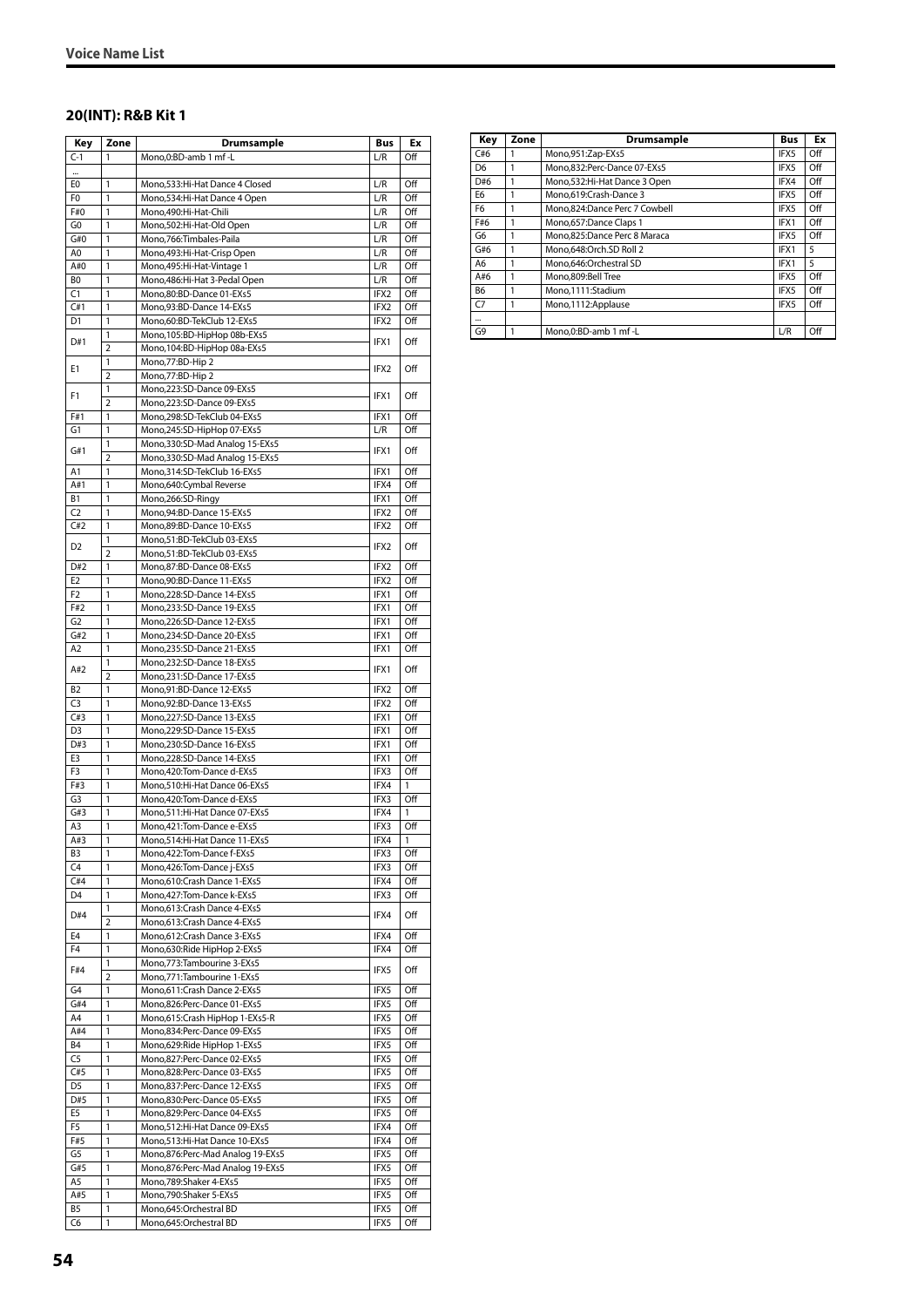#### **20(INT): R&B Kit 1**

| Key                   | Zone           | <b>Drumsample</b>                                                    | Bus          | Ex         |
|-----------------------|----------------|----------------------------------------------------------------------|--------------|------------|
| $C-1$                 | 1              | Mono,0:BD-amb 1 mf -L                                                | L/R          | Off        |
| $\cdots$              |                |                                                                      |              |            |
| E <sub>0</sub>        | 1              | Mono, 533: Hi-Hat Dance 4 Closed                                     | L/R          | Off        |
| F0<br>F#0             | 1<br>1         | Mono, 534: Hi-Hat Dance 4 Open<br>Mono,490:Hi-Hat-Chili              | L/R<br>L/R   | Off<br>Off |
| G0                    | 1              | Mono,502:Hi-Hat-Old Open                                             | L/R          | Off        |
| G#0                   | 1              | Mono, 766: Timbales-Paila                                            | L/R          | Off        |
| A <sub>0</sub>        | 1              | Mono, 493: Hi-Hat-Crisp Open                                         | L/R          | Off        |
| A#0                   | 1              | Mono, 495: Hi-Hat-Vintage 1                                          | L/R          | Off        |
| B <sub>0</sub>        | 1              | Mono, 486: Hi-Hat 3-Pedal Open                                       | L/R          | Off        |
| C1                    | 1              | Mono,80:BD-Dance 01-EXs5                                             | IFX2         | Off        |
| C#1                   | 1              | Mono,93:BD-Dance 14-EXs5                                             | IFX2         | Off        |
| D1                    | 1<br>1         | Mono,60:BD-TekClub 12-EXs5<br>Mono, 105:BD-HipHop 08b-EXs5           | IFX2         | Off        |
| D#1                   | $\overline{2}$ | Mono, 104: BD-HipHop 08a-EXs5                                        | IFX1         | Off        |
|                       | 1              | Mono, 77: BD-Hip 2                                                   |              |            |
| E1                    | 2              | Mono, 77: BD-Hip 2                                                   | IFX2         | Off        |
| F1                    | 1              | Mono,223:SD-Dance 09-EXs5                                            | IFX1         | Off        |
|                       | $\overline{2}$ | Mono,223:SD-Dance 09-EXs5                                            |              |            |
| F#1                   | 1              | Mono,298:SD-TekClub 04-EXs5                                          | IFX1         | Off        |
| G1                    | 1              | Mono,245:SD-HipHop 07-EXs5                                           | L/R          | Off        |
| G#1                   | 1<br>2         | Mono, 330: SD-Mad Analog 15-EXs5<br>Mono, 330: SD-Mad Analog 15-EXs5 | IFX1         | Off        |
| A1                    | 1              | Mono, 314: SD-TekClub 16-EXs5                                        | IFX1         | Off        |
| A#1                   | 1              | Mono,640:Cymbal Reverse                                              | IFX4         | Off        |
| <b>B1</b>             | 1              | Mono,266:SD-Ringy                                                    | IFX1         | Off        |
| C <sub>2</sub>        | 1              | Mono,94:BD-Dance 15-EXs5                                             | IFX2         | Off        |
| C#2                   | 1              | Mono,89:BD-Dance 10-EXs5                                             | IFX2         | Off        |
| D <sub>2</sub>        | 1              | Mono,51:BD-TekClub 03-EXs5                                           | IFX2         | Off        |
|                       | 2              | Mono,51:BD-TekClub 03-EXs5                                           |              |            |
| D#2<br>E <sub>2</sub> | 1              | Mono,87:BD-Dance 08-EXs5                                             | IFX2         | Off        |
| F <sub>2</sub>        | 1<br>1         | Mono, 90: BD-Dance 11-EXs5<br>Mono,228:SD-Dance 14-EXs5              | IFX2<br>IFX1 | Off<br>Off |
| F#2                   | 1              | Mono,233:SD-Dance 19-EXs5                                            | IFX1         | Off        |
| G <sub>2</sub>        | 1              | Mono,226:SD-Dance 12-EXs5                                            | IFX1         | Off        |
| G#2                   | 1              | Mono,234:SD-Dance 20-EXs5                                            | IFX1         | Off        |
| A <sub>2</sub>        | 1              | Mono,235:SD-Dance 21-EXs5                                            | IFX1         | Off        |
| A#2                   | 1              | Mono,232:SD-Dance 18-EXs5                                            | IFX1         | Off        |
|                       | 2              | Mono,231:SD-Dance 17-EXs5                                            |              |            |
| B <sub>2</sub>        | 1              | Mono,91:BD-Dance 12-EXs5                                             | IFX2         | Off        |
| C <sub>3</sub><br>C#3 | 1<br>1         | Mono,92:BD-Dance 13-EXs5<br>Mono,227:SD-Dance 13-EXs5                | IFX2<br>IFX1 | Off<br>Off |
| D <sub>3</sub>        | 1              | Mono,229:SD-Dance 15-EXs5                                            | IFX1         | Off        |
| D#3                   | 1              | Mono,230:SD-Dance 16-EXs5                                            | IFX1         | Off        |
| E3                    | 1              | Mono,228:SD-Dance 14-EXs5                                            | IFX1         | Off        |
| F3                    | 1              | Mono, 420: Tom-Dance d-EXs5                                          | IFX3         | Off        |
| F#3                   | 1              | Mono,510:Hi-Hat Dance 06-EXs5                                        | IFX4         | 1          |
| G <sub>3</sub>        | 1              | Mono, 420: Tom-Dance d-EXs5                                          | IFX3         | Off        |
| G#3<br>A3             | 1<br>1         | Mono,511:Hi-Hat Dance 07-EXs5                                        | IFX4<br>IFX3 | 1<br>Off   |
| A#3                   | 1              | Mono, 421: Tom-Dance e-EXs5<br>Mono,514:Hi-Hat Dance 11-EXs5         | IFX4         | 1          |
| B <sub>3</sub>        | 1              | Mono, 422: Tom-Dance f-EXs5                                          | IFX3         | Off        |
| C4                    | 1              | Mono, 426: Tom-Dance j-EXs5                                          | IFX3         | Off        |
| C#4                   | 1              | Mono,610:Crash Dance 1-EXs5                                          | IFX4         | Off        |
| D4                    | 1              | Mono, 427: Tom-Dance k-EXs5                                          | IFX3         | Off        |
| D#4                   | 1              | Mono,613: Crash Dance 4-EXs5                                         | IFX4         | Off        |
|                       | $\overline{2}$ | Mono, 613: Crash Dance 4-EXs5                                        |              |            |
| E4<br>F4              | 1<br>1         | Mono,612:Crash Dance 3-EXs5<br>Mono,630:Ride HipHop 2-EXs5           | IFX4<br>IFX4 | Off<br>Off |
|                       | 1              | Mono, 773: Tambourine 3-EXs5                                         |              |            |
| F#4                   | $\overline{2}$ | Mono, 771: Tambourine 1-EXs5                                         | IFX5         | Off        |
| G4                    | 1              | Mono, 611: Crash Dance 2-EXs5                                        | IFX5         | Off        |
| G#4                   | 1              | Mono,826:Perc-Dance 01-EXs5                                          | IFX5         | Off        |
| A <sub>4</sub>        | 1              | Mono,615:Crash HipHop 1-EXs5-R                                       | IFX5         | Off        |
| A#4                   | 1              | Mono,834:Perc-Dance 09-EXs5                                          | IFX5         | Off        |
| B4                    | 1              | Mono,629: Ride HipHop 1-EXs5                                         | IFX5         | Off        |
| C5<br>C#5             | 1<br>1         | Mono,827:Perc-Dance 02-EXs5<br>Mono,828:Perc-Dance 03-EXs5           | IFX5<br>IFX5 | Off<br>Off |
| D <sub>5</sub>        | 1              | Mono,837:Perc-Dance 12-EXs5                                          | IFX5         | Off        |
| D#5                   | 1              | Mono,830:Perc-Dance 05-EXs5                                          | IFX5         | Off        |
| E5                    | 1              | Mono,829:Perc-Dance 04-EXs5                                          | IFX5         | Off        |
| F <sub>5</sub>        | 1              | Mono,512:Hi-Hat Dance 09-EXs5                                        | IFX4         | Off        |
| F#5                   | 1              | Mono,513:Hi-Hat Dance 10-EXs5                                        | IFX4         | Off        |
| G5                    | 1              | Mono,876:Perc-Mad Analog 19-EXs5                                     | IFX5         | Off        |
| G#5                   | 1              | Mono,876:Perc-Mad Analog 19-EXs5                                     | IFX5         | Off        |
| A5<br>A#5             | 1<br>1         | Mono, 789: Shaker 4-EXs5<br>Mono, 790: Shaker 5-EXs5                 | IFX5<br>IFX5 | Off<br>Off |
| B5                    | 1              | Mono,645:Orchestral BD                                               | IFX5         | Off        |
| C6                    | 1              | Mono,645:Orchestral BD                                               | IFX5         | Off        |

| Key            | Zone | Drumsample                    | <b>Bus</b> | Ex  |
|----------------|------|-------------------------------|------------|-----|
| C#6            |      | Mono,951:Zap-EXs5             | IFX5       | Off |
| D <sub>6</sub> |      | Mono,832:Perc-Dance 07-EXs5   | IFX5       | Off |
| D#6            | 1    | Mono,532:Hi-Hat Dance 3 Open  | IFX4       | Off |
| E <sub>6</sub> |      | Mono.619:Crash-Dance 3        | IFX5       | Off |
| F <sub>6</sub> |      | Mono,824:Dance Perc 7 Cowbell | IFX5       | Off |
| F#6            |      | Mono,657:Dance Claps 1        | IFX1       | Off |
| G6             | 1    | Mono,825:Dance Perc 8 Maraca  | IFX5       | Off |
| G#6            |      | Mono.648:Orch.SD Roll 2       | IFX1       | 5   |
| A6             |      | Mono.646:Orchestral SD        | IFX1       | 5   |
| A#6            |      | Mono,809:Bell Tree            | IFX5       | Off |
| B6             |      | Mono,1111:Stadium             | IFX5       | Off |
| C <sub>7</sub> | 1    | Mono,1112:Applause            | IFX5       | Off |
|                |      |                               |            |     |
| G9             |      | Mono.0:BD-amb 1 mf -L         | L/R        | Off |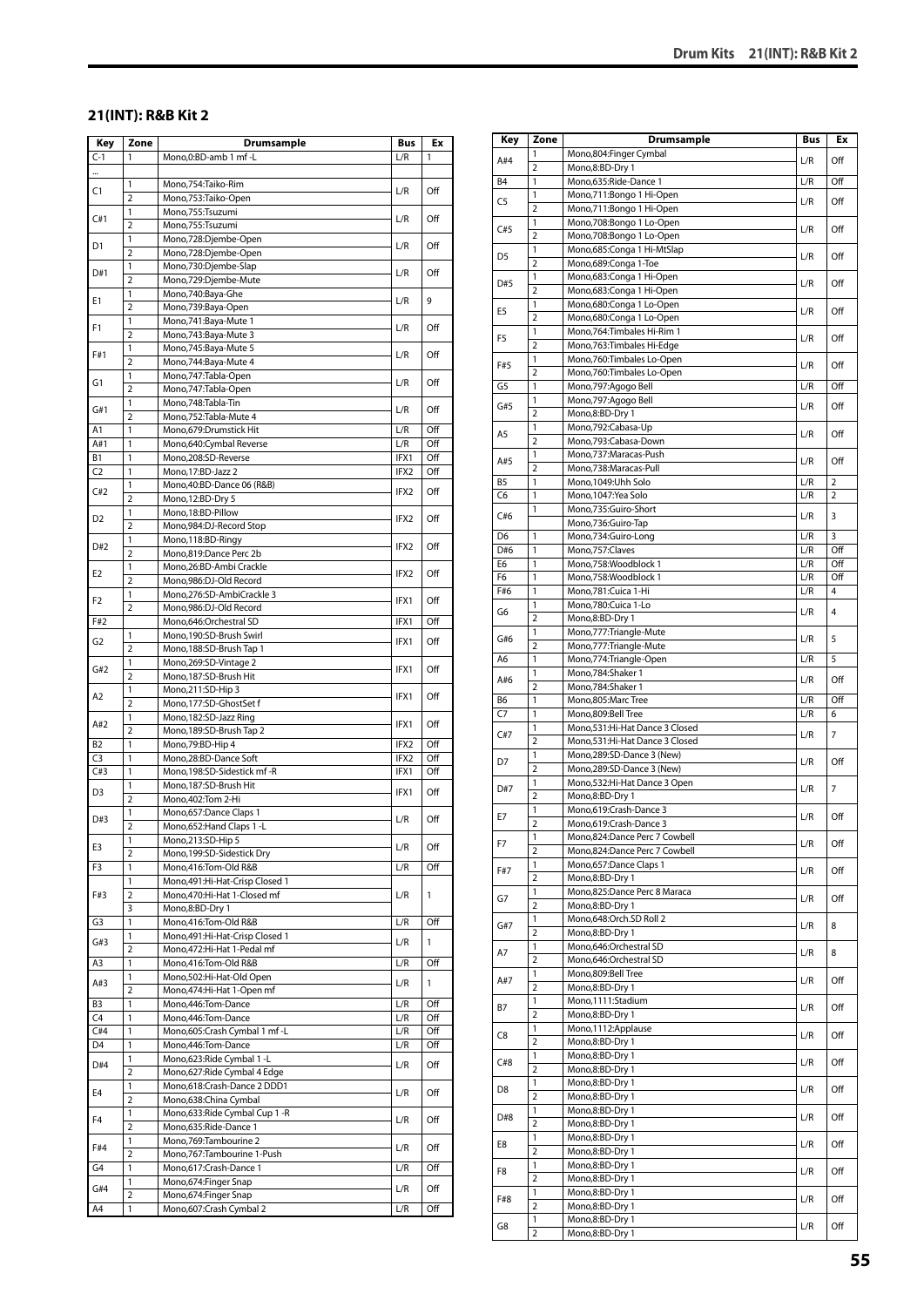#### **21(INT): R&B Kit 2**

| Key            | Zone                    | Drumsample                                                  | Bus  | Ex  |
|----------------|-------------------------|-------------------------------------------------------------|------|-----|
| $C-1$          | 1                       | Mono,0:BD-amb 1 mf -L                                       | L/R  | 1   |
|                |                         |                                                             |      |     |
| C1             | 1                       | Mono,754:Taiko-Rim                                          | L/R  | Off |
|                | $\overline{2}$          | Mono,753:Taiko-Open                                         |      |     |
| C#1            | $\mathbf{1}$            | Mono,755:Tsuzumi                                            | L/R  | Off |
|                | $\overline{2}$          | Mono,755:Tsuzumi                                            |      |     |
| D1             | 1<br>$\overline{2}$     | Mono,728:Djembe-Open<br>Mono,728:Djembe-Open                | L/R  | Off |
|                | 1                       | Mono,730:Djembe-Slap                                        |      |     |
| D#1            | $\overline{2}$          | Mono,729:Djembe-Mute                                        | L/R  | Off |
|                | 1                       | Mono,740:Baya-Ghe                                           |      |     |
| Ε1             | $\overline{2}$          | Mono,739:Baya-Open                                          | L/R  | 9   |
| F1             | 1                       | Mono, 741: Baya-Mute 1                                      | L/R  | Off |
|                | $\overline{2}$          | Mono,743:Baya-Mute 3                                        |      |     |
| F#1            | 1                       | Mono,745:Baya-Mute 5                                        | L/R  | Off |
|                | $\overline{2}$          | Mono, 744: Baya-Mute 4                                      |      |     |
| G1             | 1<br>$\overline{2}$     | Mono, 747: Tabla-Open<br>Mono, 747: Tabla-Open              | L/R  | Off |
|                | 1                       | Mono,748:Tabla-Tin                                          |      |     |
| G#1            | $\overline{2}$          | Mono,752:Tabla-Mute 4                                       | L/R  | Off |
| A1             | $\mathbf{1}$            | Mono,679:Drumstick Hit                                      | L/R  | Off |
| A#1            | 1                       | Mono,640:Cymbal Reverse                                     | L/R  | Off |
| B1             | 1                       | Mono,208:SD-Reverse                                         | IFX1 | Off |
| C <sub>2</sub> | 1                       | Mono, 17:BD-Jazz 2                                          | IFX2 | Off |
| C#2            | 1                       | Mono, 40: BD-Dance 06 (R&B)                                 | IFX2 | Off |
|                | $\overline{2}$          | Mono, 12:BD-Dry 5                                           |      |     |
| D2             | 1<br>$\overline{2}$     | Mono, 18:BD-Pillow                                          | IFX2 | Off |
|                | 1                       | Mono,984:DJ-Record Stop<br>Mono,118:BD-Ringy                |      |     |
| D#2            | 2                       | Mono,819:Dance Perc 2b                                      | IFX2 | Off |
|                | 1                       | Mono,26:BD-Ambi Crackle                                     |      |     |
| E <sub>2</sub> | $\overline{2}$          | Mono,986:DJ-Old Record                                      | IFX2 | Off |
|                | 1                       | Mono,276:SD-AmbiCrackle 3                                   |      |     |
| F <sub>2</sub> | $\overline{2}$          | Mono,986:DJ-Old Record                                      | IFX1 | Off |
| F#2            |                         | Mono,646:Orchestral SD                                      | IFX1 | Off |
| G <sub>2</sub> | 1                       | Mono, 190: SD-Brush Swirl                                   | IFX1 | Off |
|                | $\overline{2}$          | Mono, 188: SD-Brush Tap 1                                   |      |     |
| G#2            | 1<br>$\overline{2}$     | Mono,269:SD-Vintage 2<br>Mono,187:SD-Brush Hit              | IFX1 | Off |
|                | 1                       | Mono,211:SD-Hip 3                                           |      |     |
| A2             | $\overline{2}$          | Mono,177:SD-GhostSet f                                      | IFX1 | Off |
|                | 1                       | Mono, 182: SD-Jazz Ring                                     |      |     |
| A#2            | $\overline{2}$          | Mono, 189: SD-Brush Tap 2                                   | IFX1 | Off |
| B2             | 1                       | Mono,79:BD-Hip 4                                            | IFX2 | Off |
| C3             | 1                       | Mono,28:BD-Dance Soft                                       | IFX2 | Off |
| C#3            | 1                       | Mono,198:SD-Sidestick mf-R                                  | IFX1 | Off |
| D3             | 1<br>$\overline{2}$     | Mono, 187: SD-Brush Hit<br>Mono, 402: Tom 2-Hi              | IFX1 | Off |
|                | 1                       | Mono,657:Dance Claps 1                                      |      |     |
| D#3            | $\overline{\mathbf{c}}$ | Mono,652: Hand Claps 1 - L                                  | L/R  | Off |
|                | 1                       | Mono,213:SD-Hip 5                                           |      |     |
| E3             | $\overline{2}$          | Mono, 199: SD-Sidestick Dry                                 | L/R  | Off |
| F3             | 1                       | Mono,416:Tom-Old R&B                                        | L/R  | Off |
|                | 1                       | Mono, 491: Hi-Hat-Crisp Closed 1                            |      |     |
| F#3            | $\overline{\mathbf{c}}$ | Mono,470:Hi-Hat 1-Closed mf                                 | L/R  | 1   |
|                | 3                       | Mono,8:BD-Dry 1                                             |      |     |
| G3             | 1<br>1                  | Mono,416:Tom-Old R&B<br>Mono, 491: Hi-Hat-Crisp Closed 1    | L/R  | Off |
| G#3            | $\overline{2}$          | Mono, 472: Hi-Hat 1-Pedal mf                                | L/R  | 1   |
| A3             | 1                       | Mono,416:Tom-Old R&B                                        | L/R  | Off |
|                | 1                       | Mono,502:Hi-Hat-Old Open                                    |      |     |
| A#3            | $\overline{2}$          | Mono, 474: Hi-Hat 1-Open mf                                 | L/R  | 1   |
| B3             | $\mathbf{1}$            | Mono,446:Tom-Dance                                          | L/R  | Off |
| C4             | 1                       | Mono,446:Tom-Dance                                          | L/R  | Off |
| C#4            | 1                       | Mono, 605: Crash Cymbal 1 mf - L                            | L/R  | Off |
| D4             | 1                       | Mono,446:Tom-Dance                                          | L/R  | Off |
| D#4            | 1<br>$\overline{2}$     | Mono,623: Ride Cymbal 1 - L                                 | L/R  | Off |
|                | 1                       | Mono,627: Ride Cymbal 4 Edge<br>Mono,618:Crash-Dance 2 DDD1 |      |     |
| E4             | $\overline{2}$          | Mono,638:China Cymbal                                       | L/R  | Off |
|                | 1                       | Mono,633: Ride Cymbal Cup 1 - R                             |      |     |
| F4             | $\overline{2}$          | Mono,635:Ride-Dance 1                                       | L/R  | Off |
|                | 1                       | Mono, 769: Tambourine 2                                     |      |     |
| F#4            | $\overline{2}$          | Mono,767:Tambourine 1-Push                                  | L/R  | Off |
| G4             | 1                       | Mono,617:Crash-Dance 1                                      | L/R  | Off |
| G#4            | 1                       | Mono,674:Finger Snap                                        | L/R  | Off |
|                | $\overline{2}$          | Mono,674:Finger Snap                                        |      |     |
| A4             | 1                       | Mono,607:Crash Cymbal 2                                     | L/R  | Off |

| Key            | Zone                           | <b>Drumsample</b>                                                | Bus | Ex             |
|----------------|--------------------------------|------------------------------------------------------------------|-----|----------------|
| A#4            | 1                              | Mono,804:Finger Cymbal                                           | L/R | Off            |
|                | 2                              | Mono,8:BD-Dry 1                                                  |     |                |
| B <sub>4</sub> | $\mathbf{1}$                   | Mono,635:Ride-Dance 1                                            | L/R | Off            |
| C5             | 1<br>$\overline{2}$            | Mono,711:Bongo 1 Hi-Open<br>Mono,711:Bongo 1 Hi-Open             | L/R | Off            |
|                | 1                              | Mono,708:Bongo 1 Lo-Open                                         |     |                |
| C#5            | $\overline{2}$                 | Mono,708:Bongo 1 Lo-Open                                         | L/R | Off            |
| D <sub>5</sub> | 1                              | Mono,685:Conga 1 Hi-MtSlap                                       | L/R | Off            |
|                | $\overline{2}$                 | Mono,689:Conga 1-Toe                                             |     |                |
| D#5            | 1                              | Mono,683:Conga 1 Hi-Open                                         | L/R | Off            |
|                | $\overline{2}$<br>1            | Mono,683:Conga 1 Hi-Open<br>Mono,680:Conga 1 Lo-Open             |     |                |
| E <sub>5</sub> | $\overline{2}$                 | Mono,680:Conga 1 Lo-Open                                         | L/R | Off            |
|                | 1                              | Mono,764:Timbales Hi-Rim 1                                       |     |                |
| F <sub>5</sub> | 2                              | Mono, 763: Timbales Hi-Edge                                      | L/R | Off            |
| F#5            | 1                              | Mono,760:Timbales Lo-Open                                        | L/R | Off            |
|                | 2                              | Mono,760:Timbales Lo-Open                                        |     |                |
| G5             | 1                              | Mono,797:Agogo Bell                                              | L/R | Off            |
| G#5            | 1<br>$\overline{2}$            | Mono,797:Agogo Bell<br>Mono,8:BD-Dry 1                           | L/R | Off            |
|                | 1                              | Mono,792:Cabasa-Up                                               |     |                |
| A5             | $\overline{2}$                 | Mono,793:Cabasa-Down                                             | L/R | Off            |
| A#5            | 1                              | Mono,737:Maracas-Push                                            | L/R | Off            |
|                | $\overline{2}$                 | Mono,738:Maracas-Pull                                            |     |                |
| B5             | 1                              | Mono, 1049: Uhh Solo                                             | L/R | $\overline{2}$ |
| C6             | 1                              | Mono, 1047: Yea Solo                                             | L/R | 2              |
| C#6            | 1                              | Mono,735:Guiro-Short<br>Mono,736:Guiro-Tap                       | L/R | 3              |
| D6             | 1                              | Mono,734:Guiro-Long                                              | L/R | 3              |
| D#6            | 1                              | Mono,757:Claves                                                  | L/R | Off            |
| E6             | $\mathbf{1}$                   | Mono,758:Woodblock 1                                             | L/R | Off            |
| F6             | 1                              | Mono,758:Woodblock 1                                             | L/R | Off            |
| F#6            | 1                              | Mono,781:Cuica 1-Hi                                              | L/R | 4              |
| G6             | 1                              | Mono,780:Cuica 1-Lo                                              | L/R | 4              |
|                | $\overline{2}$<br>1            | Mono,8:BD-Dry 1<br>Mono,777: Triangle-Mute                       |     |                |
| G#6            | 2                              | Mono,777:Triangle-Mute                                           | L/R | 5              |
| A6             | 1                              | Mono,774:Triangle-Open                                           | L/R | 5              |
|                | 1                              | Mono, 784: Shaker 1                                              |     | Off            |
| A#6            | $\overline{2}$                 | Mono, 784: Shaker 1                                              | L/R |                |
| B6             | 1                              | Mono,805:Marc Tree                                               | L/R | Off            |
| C <sub>7</sub> | 1                              | Mono,809:Bell Tree                                               | L/R | 6              |
| C#7            | 1<br>$\overline{2}$            | Mono,531:Hi-Hat Dance 3 Closed<br>Mono,531:Hi-Hat Dance 3 Closed | L/R | 7              |
|                | 1                              | Mono,289:SD-Dance 3 (New)                                        |     |                |
| D7             | $\overline{2}$                 | Mono,289:SD-Dance 3 (New)                                        | L/R | Off            |
| D#7            | 1                              | Mono, 532: Hi-Hat Dance 3 Open                                   | L/R | $\overline{7}$ |
|                | $\overline{2}$                 | Mono,8:BD-Dry 1                                                  |     |                |
| E7             | 1                              | Mono,619:Crash-Dance 3                                           | L/R | Off            |
|                | $\overline{2}$                 | Mono,619:Crash-Dance 3                                           |     |                |
| F7             | 1<br>2                         | Mono,824:Dance Perc 7 Cowbell<br>Mono,824:Dance Perc 7 Cowbell   | L/R | Off            |
|                | 1                              | Mono,657:Dance Claps 1                                           |     |                |
| F#7            | $\overline{2}$                 | Mono,8:BD-Dry 1                                                  | L/R | Off            |
| G7             | 1                              | Mono,825:Dance Perc 8 Maraca                                     | L/R | Off            |
|                | 2                              | Mono,8:BD-Dry 1                                                  |     |                |
| G#7            | $\mathbf{1}$                   | Mono,648:Orch.SD Roll 2                                          | L/R | 8              |
|                | $\overline{2}$<br>1            | Mono,8:BD-Dry 1<br>Mono,646:Orchestral SD                        |     |                |
| Α7             | $\overline{2}$                 | Mono,646:Orchestral SD                                           | L/R | 8              |
|                | 1                              | Mono,809:Bell Tree                                               |     |                |
| A#7            | 2                              | Mono,8:BD-Dry 1                                                  | L/R | Off            |
| Β7             | 1                              | Mono,1111:Stadium                                                | L/R | Off            |
|                | 2                              | Mono,8:BD-Dry 1                                                  |     |                |
| C8             | 1                              | Mono,1112:Applause                                               | L/R | Off            |
|                | $\overline{2}$<br>1            | Mono,8:BD-Dry 1                                                  |     |                |
| C#8            | 2                              | Mono,8:BD-Dry 1<br>Mono,8:BD-Dry 1                               | L/R | Off            |
|                | 1                              | Mono,8:BD-Dry 1                                                  |     |                |
| D8             | $\overline{2}$                 | Mono,8:BD-Dry 1                                                  | L/R | Off            |
| D#8            | 1                              | Mono,8:BD-Dry 1                                                  | L/R | Off            |
|                | $\overline{2}$                 | Mono,8:BD-Dry 1                                                  |     |                |
| E8             | $\mathbf{1}$<br>$\overline{2}$ | Mono,8:BD-Dry 1                                                  | L/R | Off            |
|                | 1                              | Mono,8:BD-Dry 1<br>Mono,8:BD-Dry 1                               |     |                |
| F8             | 2                              | Mono,8:BD-Dry 1                                                  | L/R | Off            |
|                | 1                              | Mono,8:BD-Dry 1                                                  |     |                |
| F#8            | 2                              | Mono,8:BD-Dry 1                                                  | L/R | Off            |
| G8             | 1                              | Mono,8:BD-Dry 1                                                  | L/R | Off            |
|                | $\overline{2}$                 | Mono,8:BD-Dry 1                                                  |     |                |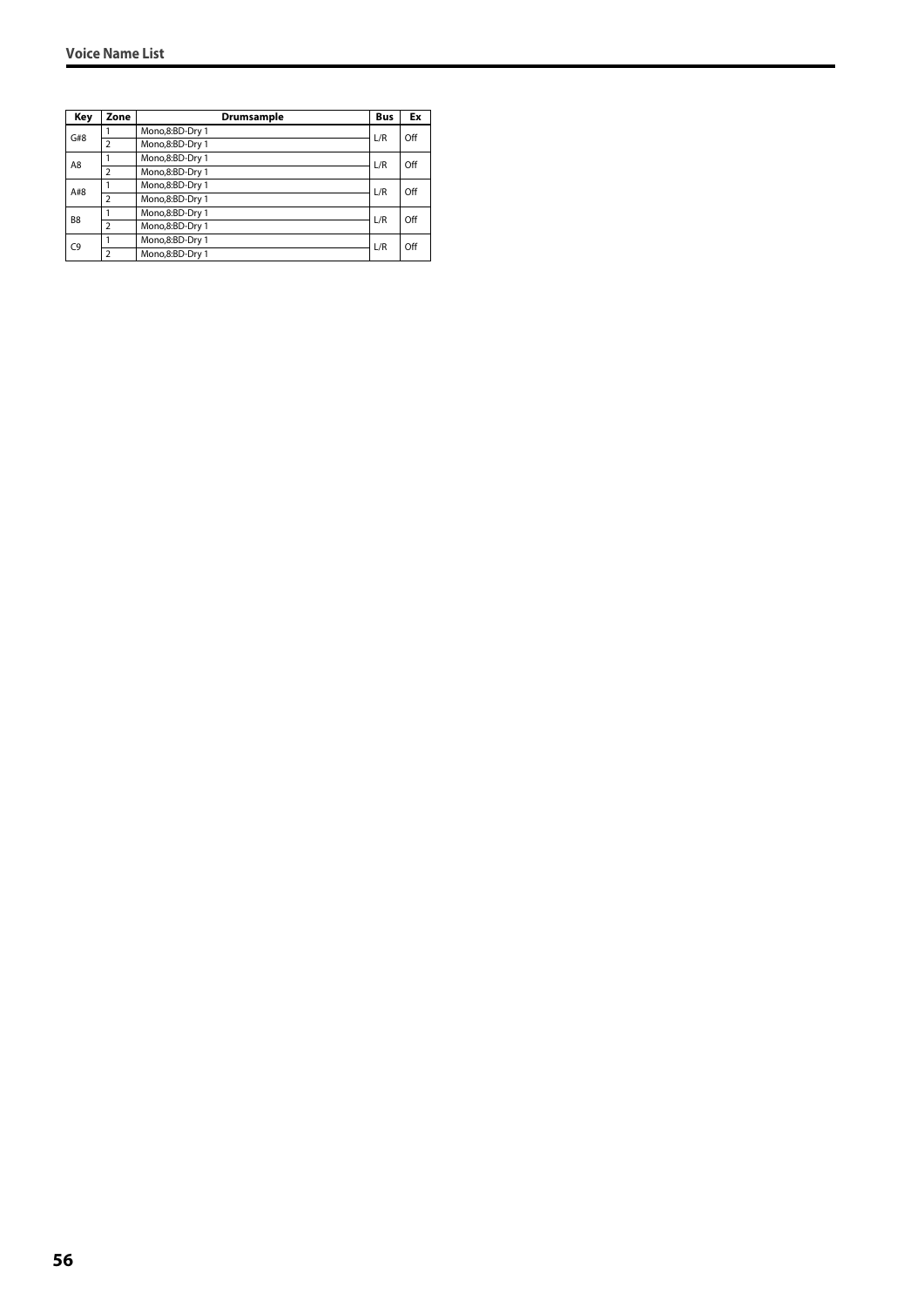| Key            | Zone                     | Drumsample      | <b>Bus</b> | Ex  |
|----------------|--------------------------|-----------------|------------|-----|
| G#8            |                          | Mono,8:BD-Dry 1 | L/R        | Off |
|                | $\overline{2}$           | Mono,8:BD-Dry 1 |            |     |
| A8             |                          | Mono,8:BD-Dry 1 | L/R        | Off |
|                | $\overline{2}$           | Mono,8:BD-Dry 1 |            |     |
| A#8            |                          | Mono,8:BD-Dry 1 | L/R        | Off |
|                | $\overline{2}$           | Mono,8:BD-Dry 1 |            |     |
| B <sub>8</sub> |                          | Mono,8:BD-Dry 1 | L/R        | Off |
|                | $\mathcal{P}$            | Mono,8:BD-Dry 1 |            |     |
| C <sub>9</sub> |                          | Mono,8:BD-Dry 1 | L/R        | Off |
|                | $\overline{\phantom{0}}$ | Mono,8:BD-Dry 1 |            |     |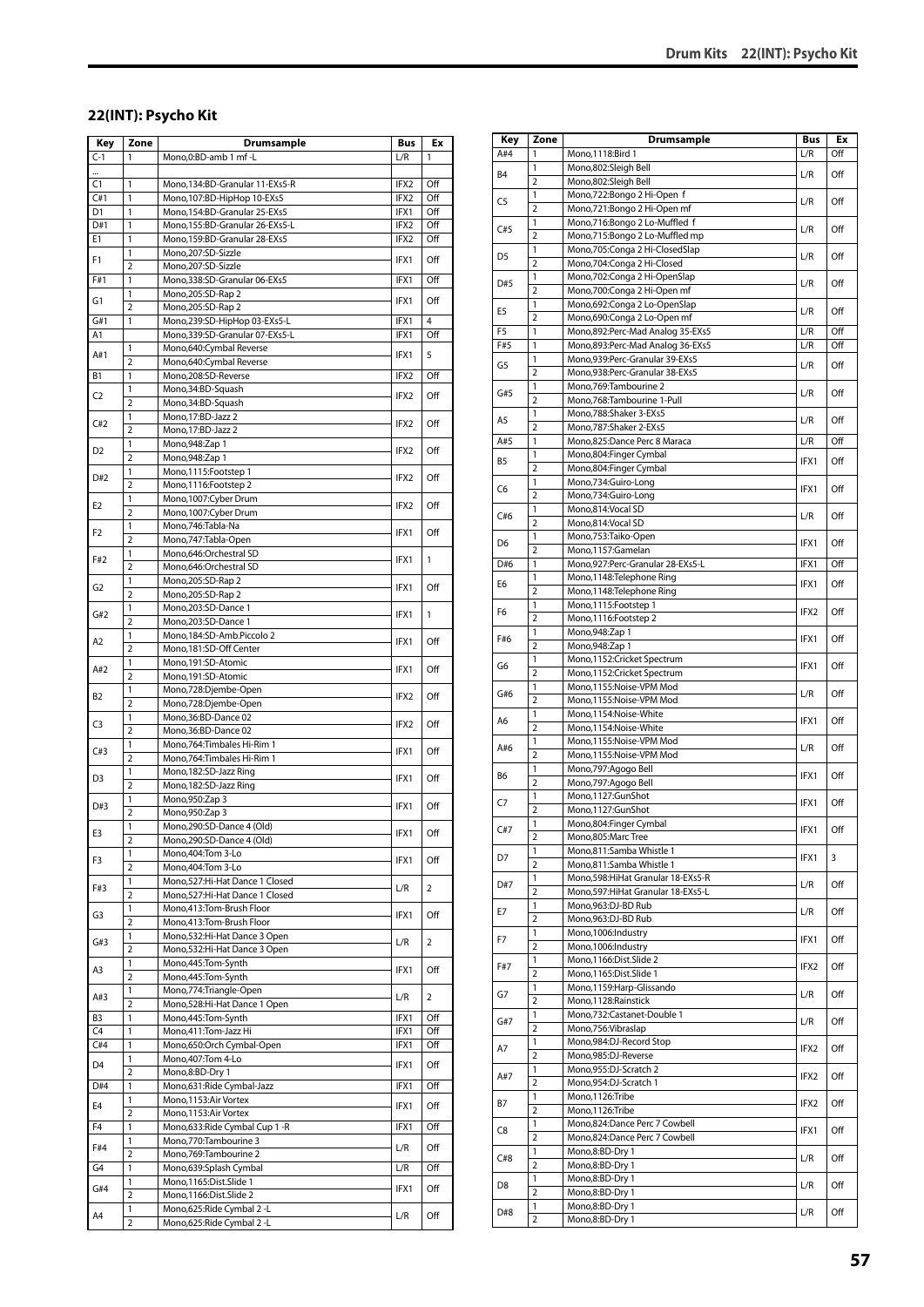#### **22(INT): Psycho Kit**

| Key            | Zone                    | Drumsample                                                     | <b>Bus</b>       | Ex                    |
|----------------|-------------------------|----------------------------------------------------------------|------------------|-----------------------|
| $C-1$          | 1                       | Mono,0:BD-amb 1 mf -L                                          | L/R              | 1                     |
|                |                         |                                                                |                  |                       |
| C1             | 1                       | Mono, 134: BD-Granular 11-EXs5-R                               | IFX2             | Off                   |
| C#1            | 1<br>1                  | Mono, 107: BD-HipHop 10-EXs5                                   | IFX2             | Off                   |
| D1<br>D#1      | 1                       | Mono,154:BD-Granular 25-EXs5<br>Mono,155:BD-Granular 26-EXs5-L | IFX1<br>IFX2     | Off<br>Off            |
| E1             | $\mathbf{1}$            | Mono,159:BD-Granular 28-EXs5                                   | IFX2             | Off                   |
|                | 1                       | Mono,207:SD-Sizzle                                             |                  |                       |
| F1             | $\overline{2}$          | Mono,207:SD-Sizzle                                             | IFX1             | Off                   |
| F#1            | 1                       | Mono,338:SD-Granular 06-EXs5                                   | IFX1             | Off                   |
| G1             | 1                       | Mono,205:SD-Rap 2                                              | IFX1             | Off                   |
|                | $\overline{2}$          | Mono,205:SD-Rap 2                                              |                  |                       |
| G#1<br>A1      | 1                       | Mono,239:SD-HipHop 03-EXs5-L<br>Mono,339:SD-Granular 07-EXs5-L | IFX1<br>IFX1     | $\overline{4}$<br>Off |
|                | 1                       | Mono,640:Cymbal Reverse                                        |                  |                       |
| A#1            | $\overline{2}$          | Mono,640:Cymbal Reverse                                        | IFX1             | 5                     |
| Β1             | 1                       | Mono,208:SD-Reverse                                            | IFX2             | Off                   |
| C2             | 1                       | Mono,34:BD-Squash                                              | IFX2             | Off                   |
|                | $\overline{2}$          | Mono,34:BD-Squash                                              |                  |                       |
| C#2            | 1<br>$\overline{2}$     | Mono, 17:BD-Jazz 2                                             | IFX2             | Off                   |
|                | $\mathbf{1}$            | Mono, 17:BD-Jazz 2<br>Mono, 948: Zap 1                         |                  |                       |
| D2             | $\overline{2}$          | Mono, 948: Zap 1                                               | IFX <sub>2</sub> | Off                   |
|                | 1                       | Mono,1115:Footstep 1                                           |                  |                       |
| D#2            | $\overline{2}$          | Mono, 1116: Footstep 2                                         | IFX2             | Off                   |
| E2             | 1                       | Mono,1007:Cyber Drum                                           | IFX2             | Off                   |
|                | $\overline{2}$          | Mono,1007:Cyber Drum                                           |                  |                       |
| F <sub>2</sub> | 1                       | Mono, 746: Tabla-Na                                            | IFX1             | Off                   |
|                | $\overline{2}$<br>1     | Mono,747:Tabla-Open<br>Mono,646:Orchestral SD                  |                  |                       |
| F#2            | $\overline{2}$          | Mono,646:Orchestral SD                                         | IFX1             | 1                     |
|                | 1                       | Mono,205:SD-Rap 2                                              |                  |                       |
| G <sub>2</sub> | $\overline{2}$          | Mono,205:SD-Rap 2                                              | IFX1             | Off                   |
| G#2            | 1                       | Mono,203:SD-Dance 1                                            | IFX1             | 1                     |
|                | $\overline{2}$          | Mono,203:SD-Dance 1                                            |                  |                       |
| A2             | 1<br>$\overline{2}$     | Mono,184:SD-Amb.Piccolo 2                                      | IFX1             | Off                   |
|                | 1                       | Mono, 181: SD-Off Center<br>Mono,191:SD-Atomic                 |                  |                       |
| A#2            | $\overline{2}$          | Mono,191:SD-Atomic                                             | IFX1             | Off                   |
|                | 1                       | Mono,728:Djembe-Open                                           |                  |                       |
| B2             | $\overline{2}$          | Mono,728:Djembe-Open                                           | IFX2             | Off                   |
| C3             | 1                       | Mono,36:BD-Dance 02                                            | IFX2             | Off                   |
|                | $\overline{2}$          | Mono,36:BD-Dance 02                                            |                  |                       |
| C#3            | 1<br>$\overline{2}$     | Mono, 764: Timbales Hi-Rim 1<br>Mono, 764: Timbales Hi-Rim 1   | IFX1             | Off                   |
|                | $\mathbf{1}$            | Mono, 182: SD-Jazz Ring                                        |                  |                       |
| D3             | $\overline{2}$          | Mono,182:SD-Jazz Ring                                          | IFX1             | Off                   |
| D#3            | 1                       | Mono, 950: Zap 3                                               | IFX1             | Off                   |
|                | $\overline{2}$          | Mono, 950: Zap 3                                               |                  |                       |
| E3             | 1                       | Mono,290:SD-Dance 4 (Old)                                      | IFX1             | Off                   |
|                | $\overline{2}$<br>1     | Mono,290:SD-Dance 4 (Old)<br>Mono, 404: Tom 3-Lo               |                  |                       |
| F3             | $\overline{2}$          | Mono, 404: Tom 3-Lo                                            | IFX1             | Off                   |
|                | 1                       | Mono,527:Hi-Hat Dance 1 Closed                                 |                  |                       |
| F#3            | $\overline{2}$          | Mono,527:Hi-Hat Dance 1 Closed                                 | L/R              | 2                     |
| G3             | 1                       | Mono,413:Tom-Brush Floor                                       | IFX1             | Off                   |
|                | $\overline{2}$          | Mono,413:Tom-Brush Floor                                       |                  |                       |
| G#3            | 1<br>2                  | Mono,532:Hi-Hat Dance 3 Open<br>Mono,532:Hi-Hat Dance 3 Open   | L/R              | 2                     |
|                | 1                       | Mono, 445: Tom-Synth                                           |                  |                       |
| A3             | $\overline{2}$          | Mono, 445: Tom-Synth                                           | IFX1             | Off                   |
|                | 1                       | Mono,774: Triangle-Open                                        | L/R              | 2                     |
| A#3            | $\overline{2}$          | Mono,528:Hi-Hat Dance 1 Open                                   |                  |                       |
| B <sub>3</sub> | 1                       | Mono, 445: Tom-Synth                                           | IFX1             | Off                   |
| C <sub>4</sub> | $\mathbf{1}$            | Mono,411:Tom-Jazz Hi                                           | IFX1             | Off                   |
| C#4            | 1<br>1                  | Mono,650:Orch Cymbal-Open<br>Mono, 407: Tom 4-Lo               | IFX1             | Off                   |
| D4             | $\overline{2}$          | Mono,8:BD-Dry 1                                                | IFX1             | Off                   |
| D#4            | 1                       | Mono,631:Ride Cymbal-Jazz                                      | IFX1             | Off                   |
| E4             | 1                       | Mono, 1153: Air Vortex                                         | IFX1             | Off                   |
|                | $\overline{\mathbf{c}}$ | Mono, 1153: Air Vortex                                         |                  |                       |
| F4             | $\mathbf{1}$            | Mono,633: Ride Cymbal Cup 1 - R                                | IFX1             | Off                   |
| F#4            | 1<br>2                  | Mono,770:Tambourine 3                                          | L/R              | Off                   |
| G4             | 1                       | Mono, 769: Tambourine 2<br>Mono,639:Splash Cymbal              | L/R              | Off                   |
|                | 1                       | Mono,1165:Dist.Slide 1                                         |                  |                       |
| G#4            | 2                       | Mono,1166:Dist.Slide 2                                         | IFX1             | Off                   |
| A4             | 1                       | Mono,625: Ride Cymbal 2 - L                                    | L/R              | Off                   |
|                | $\overline{2}$          | Mono,625: Ride Cymbal 2 - L                                    |                  |                       |

| Key            | Zone                           | Drumsample                                                  | Bus  | Ex  |
|----------------|--------------------------------|-------------------------------------------------------------|------|-----|
| A#4            | 1                              | Mono, 1118: Bird 1                                          | L/R  | Off |
| B <sub>4</sub> | $\mathbf{1}$<br>$\overline{2}$ | Mono,802:Sleigh Bell<br>Mono,802:Sleigh Bell                | L/R  | Off |
|                | $\mathbf{1}$                   | Mono,722:Bongo 2 Hi-Open f                                  |      |     |
| C5             | 2                              | Mono,721:Bongo 2 Hi-Open mf                                 | L/R  | Off |
|                | 1                              | Mono,716:Bongo 2 Lo-Muffled f                               |      |     |
| C#5            | $\overline{2}$                 | Mono,715:Bongo 2 Lo-Muffled mp                              | L/R  | Off |
| D5             | 1                              | Mono, 705: Conga 2 Hi-Closed Slap                           | L/R  | Off |
|                | $\overline{2}$                 | Mono,704:Conga 2 Hi-Closed                                  |      |     |
| D#5            | 1                              | Mono,702:Conga 2 Hi-OpenSlap                                | L/R  | Off |
|                | $\overline{2}$                 | Mono, 700: Conga 2 Hi-Open mf                               |      |     |
| E5             | 1<br>$\overline{2}$            | Mono,692:Conga 2 Lo-OpenSlap<br>Mono,690:Conga 2 Lo-Open mf | L/R  | Off |
| F <sub>5</sub> | 1                              | Mono,892:Perc-Mad Analog 35-EXs5                            | L/R  | Off |
| F#5            | 1                              | Mono,893:Perc-Mad Analog 36-EXs5                            | L/R  | Off |
|                | 1                              | Mono,939:Perc-Granular 39-EXs5                              |      |     |
| G5             | $\overline{2}$                 | Mono,938:Perc-Granular 38-EXs5                              | L/R  | Off |
| G#5            | 1                              | Mono, 769: Tambourine 2                                     | L/R  | Off |
|                | $\overline{2}$                 | Mono, 768: Tambourine 1-Pull                                |      |     |
| A5             | 1                              | Mono,788:Shaker 3-EXs5                                      | L/R  | Off |
|                | $\overline{2}$                 | Mono,787:Shaker 2-EXs5                                      |      |     |
| A#5            | 1                              | Mono,825:Dance Perc 8 Maraca                                | L/R  | Off |
| B5             | 1<br>$\overline{2}$            | Mono,804:Finger Cymbal<br>Mono,804:Finger Cymbal            | IFX1 | Off |
|                | 1                              | Mono,734:Guiro-Long                                         |      |     |
| C6             | $\overline{2}$                 | Mono,734:Guiro-Long                                         | IFX1 | Off |
|                | 1                              | Mono,814:Vocal SD                                           |      |     |
| C#6            | 2                              | Mono,814:Vocal SD                                           | L/R  | Off |
| D6             | 1                              | Mono,753:Taiko-Open                                         | IFX1 | Off |
|                | $\overline{2}$                 | Mono,1157:Gamelan                                           |      |     |
| D#6            | 1                              | Mono,927:Perc-Granular 28-EXs5-L                            | IFX1 | Off |
| E6             | 1                              | Mono,1148:Telephone Ring                                    | IFX1 | Off |
|                | $\overline{2}$<br>1            | Mono,1148:Telephone Ring<br>Mono, 1115: Footstep 1          |      |     |
| F6             | 2                              | Mono,1116:Footstep 2                                        | IFX2 | Off |
|                | 1                              | Mono, 948: Zap 1                                            |      |     |
| F#6            | $\overline{2}$                 | Mono, 948: Zap 1                                            | IFX1 | Off |
|                | 1                              | Mono,1152:Cricket Spectrum                                  |      |     |
| G6             | $\overline{2}$                 | Mono,1152:Cricket Spectrum                                  | IFX1 | Off |
| G#6            | 1                              | Mono,1155:Noise-VPM Mod                                     | L/R  | Off |
|                | $\overline{2}$                 | Mono,1155:Noise-VPM Mod                                     |      |     |
| A6             | 1                              | Mono,1154:Noise-White                                       | IFX1 | Off |
|                | 2                              | Mono,1154:Noise-White                                       |      |     |
| A#6            | 1<br>$\overline{2}$            | Mono,1155:Noise-VPM Mod<br>Mono,1155:Noise-VPM Mod          | L/R  | Off |
|                | 1                              | Mono,797:Agogo Bell                                         |      |     |
| B6             | $\overline{2}$                 | Mono,797:Agogo Bell                                         | IFX1 | Off |
|                | 1                              | Mono,1127:GunShot                                           |      |     |
| C7             | $\overline{2}$                 | Mono,1127:GunShot                                           | IFX1 | Off |
|                | 1                              | Mono,804:Finger Cymbal                                      |      | Off |
| C#7            | 2                              | Mono,805:Marc Tree                                          | IFX1 |     |
| D7             | 1                              | Mono,811:Samba Whistle 1                                    | IFX1 | 3   |
|                | 2                              | Mono,811:Samba Whistle 1                                    |      |     |
| D#7            | 1                              | Mono, 598: HiHat Granular 18-EXs5-R                         | L/R  | Off |
|                | 2<br>1                         | Mono, 597: Hi Hat Granular 18-EXs5-L<br>Mono,963:DJ-BD Rub  |      |     |
| E7             | 2                              | Mono,963:DJ-BD Rub                                          | L/R  | Off |
|                | 1                              | Mono,1006:Industry                                          |      |     |
| F7             | 2                              | Mono, 1006:Industry                                         | IFX1 | Off |
|                | 1                              | Mono,1166:Dist.Slide 2                                      |      |     |
| F#7            | 2                              | Mono,1165:Dist.Slide 1                                      | IFX2 | Off |
| G7             | 1                              | Mono,1159: Harp-Glissando                                   | L/R  | Off |
|                | $\overline{2}$                 | Mono,1128:Rainstick                                         |      |     |
| G#7            | 1                              | Mono,732:Castanet-Double 1                                  | L/R  | Off |
|                | 2                              | Mono,756: Vibraslap                                         |      |     |
| A7             | 1<br>$\overline{2}$            | Mono,984:DJ-Record Stop<br>Mono,985:DJ-Reverse              | IFX2 | Off |
|                | 1                              | Mono,955:DJ-Scratch 2                                       |      |     |
| A#7            | 2                              | Mono,954:DJ-Scratch 1                                       | IFX2 | Off |
|                | 1                              | Mono, 1126: Tribe                                           |      |     |
| B7             | 2                              | Mono,1126:Tribe                                             | IFX2 | Off |
| C8             | 1                              | Mono,824:Dance Perc 7 Cowbell                               | IFX1 | Off |
|                | 2                              | Mono,824:Dance Perc 7 Cowbell                               |      |     |
| C#8            | 1                              | Mono,8:BD-Dry 1                                             | L/R  | Off |
|                | $\overline{2}$                 | Mono,8:BD-Dry 1                                             |      |     |
| D8             | 1                              | Mono,8:BD-Dry 1                                             | L/R  | Off |
|                | $\overline{2}$<br>1            | Mono,8:BD-Dry 1<br>Mono,8:BD-Dry 1                          |      |     |
| D#8            | $\overline{2}$                 | Mono,8:BD-Dry 1                                             | L/R  | Off |
|                |                                |                                                             |      |     |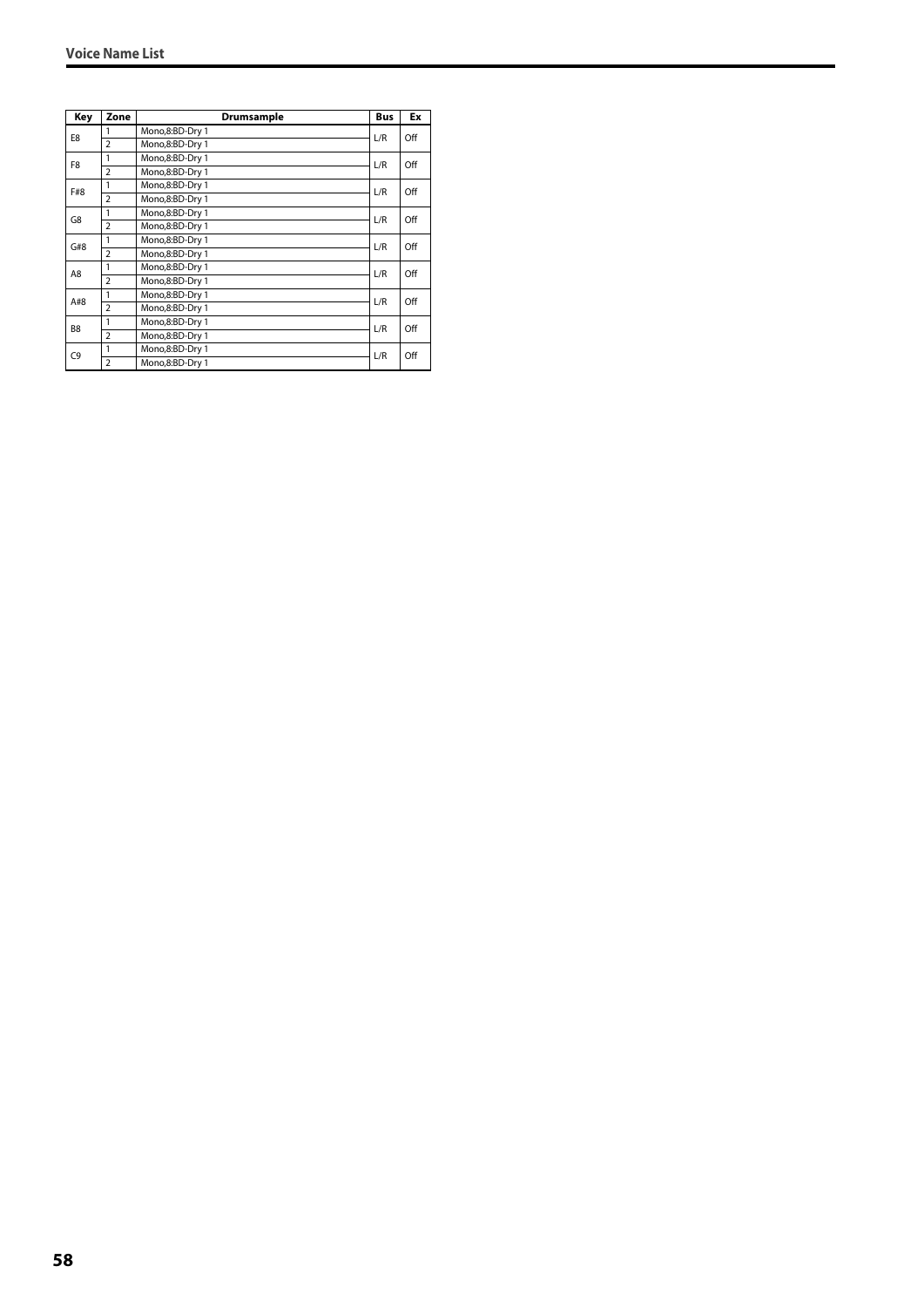| Key            | Zone           | Drumsample      | <b>Bus</b> | Ex  |
|----------------|----------------|-----------------|------------|-----|
| E8             | 1              | Mono,8:BD-Dry 1 | L/R        | Off |
|                | $\overline{2}$ | Mono,8:BD-Dry 1 |            |     |
| F8             | 1              | Mono,8:BD-Dry 1 | L/R        | Off |
|                | $\overline{2}$ | Mono,8:BD-Dry 1 |            |     |
| F#8            | 1              | Mono,8:BD-Dry 1 | L/R        | Off |
|                | $\overline{2}$ | Mono,8:BD-Dry 1 |            |     |
| G8             | 1              | Mono,8:BD-Dry 1 | L/R        | Off |
|                | $\overline{2}$ | Mono,8:BD-Dry 1 |            |     |
| G#8            | 1              | Mono,8:BD-Dry 1 | L/R        | Off |
|                | $\overline{2}$ | Mono,8:BD-Dry 1 |            |     |
| A8             | 1              | Mono,8:BD-Dry 1 | L/R        | Off |
|                | $\overline{2}$ | Mono,8:BD-Dry 1 |            |     |
| A#8            | 1              | Mono,8:BD-Dry 1 | L/R        | Off |
|                | $\overline{2}$ | Mono,8:BD-Dry 1 |            |     |
| B <sub>8</sub> | 1              | Mono,8:BD-Dry 1 | L/R        | Off |
|                | $\overline{2}$ | Mono,8:BD-Dry 1 |            |     |
| C <sub>9</sub> | 1              | Mono,8:BD-Dry 1 | L/R        | Off |
|                | $\overline{2}$ | Mono.8:BD-Drv 1 |            |     |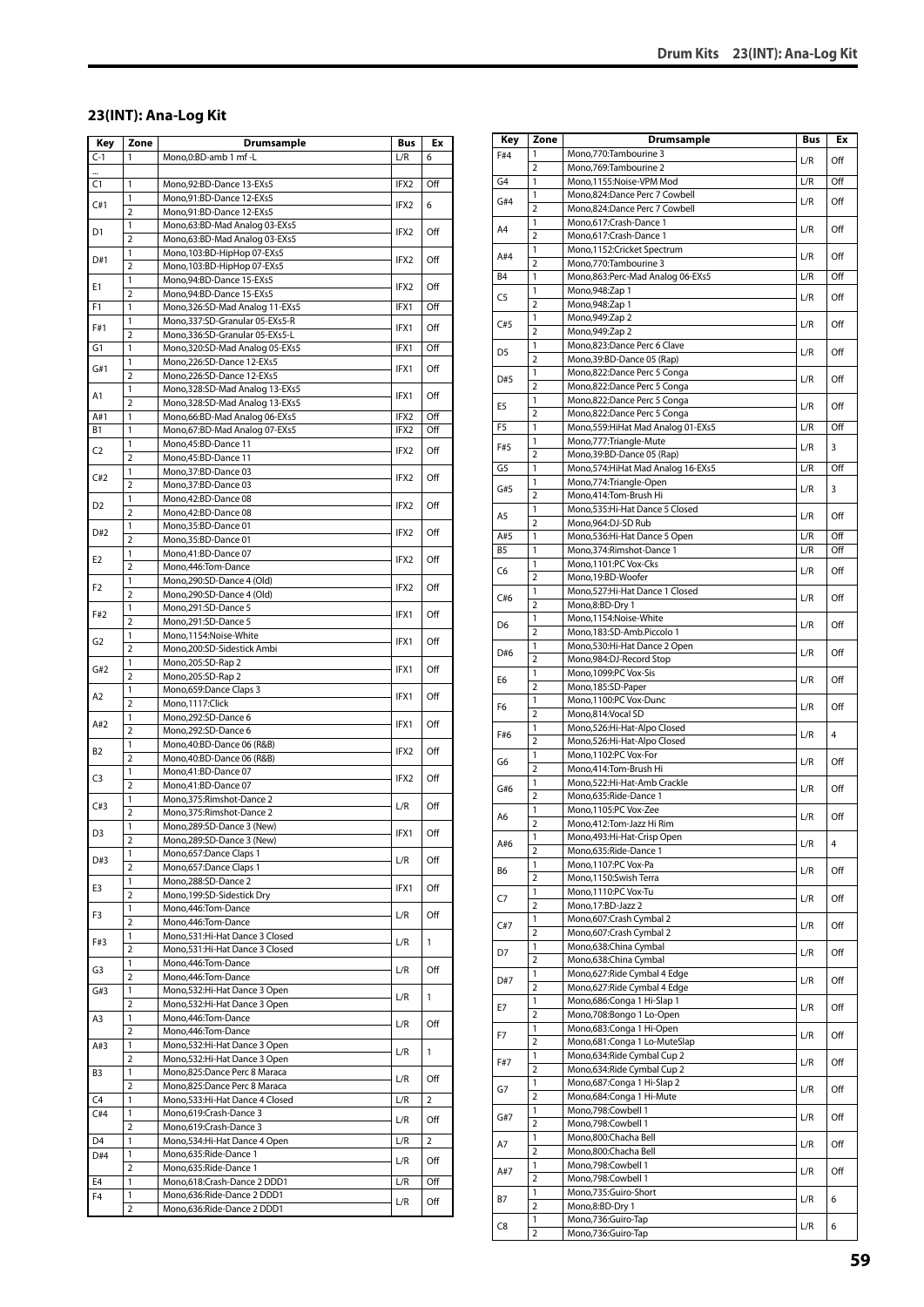#### **23(INT): Ana-Log Kit**

| Key      | Zone                    | Drumsample                                                | Bus              | Ex           |
|----------|-------------------------|-----------------------------------------------------------|------------------|--------------|
| C-1      | 1                       | Mono,0:BD-amb 1 mf -L                                     | L/R              | 6            |
|          |                         |                                                           |                  |              |
| C1       | 1                       | Mono,92:BD-Dance 13-EXs5                                  | IFX2             | Off          |
| C#1      | 1                       | Mono,91:BD-Dance 12-EXs5                                  | IFX2             | 6            |
|          | $\overline{2}$          | Mono,91:BD-Dance 12-EXs5                                  |                  |              |
| D1       | 1                       | Mono,63:BD-Mad Analog 03-EXs5                             | IFX2             | Off          |
|          | $\overline{2}$          | Mono,63:BD-Mad Analog 03-EXs5                             |                  |              |
| D#1      | 1<br>$\overline{2}$     | Mono, 103: BD-HipHop 07-EXs5                              | IFX2             | Off          |
|          | 1                       | Mono,103:BD-HipHop 07-EXs5                                |                  |              |
| Е1       | $\overline{2}$          | Mono,94:BD-Dance 15-EXs5<br>Mono, 94: BD-Dance 15-EXs5    | IFX2             | Off          |
| F1       | 1                       | Mono, 326: SD-Mad Analog 11-EXs5                          | IFX1             | Off          |
|          | 1                       | Mono,337:SD-Granular 05-EXs5-R                            |                  |              |
| F#1      | $\overline{2}$          | Mono,336:SD-Granular 05-EXs5-L                            | IFX1             | Off          |
| G1       | 1                       | Mono,320:SD-Mad Analog 05-EXs5                            | IFX1             | Off          |
| G#1      | 1                       | Mono,226:SD-Dance 12-EXs5                                 | IFX1             | Off          |
|          | $\overline{2}$          | Mono,226:SD-Dance 12-EXs5                                 |                  |              |
| A1       | 1                       | Mono,328:SD-Mad Analog 13-EXs5                            | IFX1             | Off          |
|          | 2                       | Mono, 328: SD-Mad Analog 13-EXs5                          |                  |              |
| A#1      | 1                       | Mono,66:BD-Mad Analog 06-EXs5                             | IFX2             | Off          |
| B1       | 1                       | Mono,67:BD-Mad Analog 07-EXs5                             | IFX2             | Off          |
| C2       | 1<br>$\overline{2}$     | Mono,45:BD-Dance 11<br>Mono,45:BD-Dance 11                | IFX2             | Off          |
|          | 1                       | Mono, 37: BD-Dance 03                                     |                  |              |
| C#2      | $\overline{2}$          | Mono, 37: BD-Dance 03                                     | IFX2             | Off          |
|          | 1                       | Mono,42:BD-Dance 08                                       |                  |              |
| D2       | 2                       | Mono,42:BD-Dance 08                                       | IFX <sub>2</sub> | Off          |
|          | 1                       | Mono,35:BD-Dance 01                                       |                  |              |
| D#2      | $\overline{2}$          | Mono,35:BD-Dance 01                                       | IFX2             | Off          |
| E2       | 1                       | Mono,41:BD-Dance 07                                       | IFX2             | Off          |
|          | $\overline{2}$          | Mono,446:Tom-Dance                                        |                  |              |
| F2       | 1                       | Mono,290:SD-Dance 4 (Old)                                 | IFX2             | Off          |
|          | $\overline{2}$          | Mono,290:SD-Dance 4 (Old)                                 |                  |              |
| F#2      | 1<br>$\overline{2}$     | Mono,291:SD-Dance 5                                       | IFX1             | Off          |
|          | 1                       | Mono,291:SD-Dance 5<br>Mono,1154:Noise-White              |                  |              |
| G2       | $\overline{2}$          | Mono,200:SD-Sidestick Ambi                                | IFX1             | Off          |
|          | 1                       | Mono,205:SD-Rap 2                                         |                  |              |
| G#2      | $\overline{2}$          | Mono,205:SD-Rap 2                                         | IFX1             | Off          |
|          | 1                       | Mono,659:Dance Claps 3                                    |                  |              |
| A2       | $\overline{2}$          | Mono,1117:Click                                           | IFX1             | Off          |
| A#2      | 1                       | Mono,292:SD-Dance 6                                       | IFX1             | Off          |
|          | $\overline{2}$          | Mono,292:SD-Dance 6                                       |                  |              |
| B2       | 1                       | Mono, 40: BD-Dance 06 (R&B)                               | IFX2             | Off          |
|          | $\overline{2}$          | Mono,40:BD-Dance 06 (R&B)                                 |                  |              |
| C3       | 1                       | Mono,41:BD-Dance 07                                       | IFX <sub>2</sub> | Off          |
|          | $\overline{2}$<br>1     | Mono,41:BD-Dance 07                                       |                  |              |
| C#3      | 2                       | Mono,375:Rimshot-Dance 2<br>Mono, 375: Rimshot-Dance 2    | L/R              | Off          |
|          | 1                       | Mono.289:SD-Dance 3 (New)                                 |                  |              |
| D3       | $\overline{\mathbf{c}}$ | Mono,289:SD-Dance 3 (New)                                 | IFX1             | Off          |
|          | 1                       | Mono,657:Dance Claps 1                                    |                  |              |
| D#3      | $\overline{2}$          | Mono,657:Dance Claps 1                                    | L/R              | Off          |
|          | 1                       | Mono,288:SD-Dance 2                                       |                  | Off          |
| E3       | $\overline{2}$          | Mono, 199: SD-Sidestick Dry                               | IFX1             |              |
| F3       | 1                       | Mono, 446: Tom-Dance                                      | L/R              | Off          |
|          | 2                       | Mono, 446: Tom-Dance                                      |                  |              |
| F#3      | 1                       | Mono,531:Hi-Hat Dance 3 Closed                            | L/R              | 1            |
|          | $\overline{\mathbf{c}}$ | Mono,531:Hi-Hat Dance 3 Closed                            |                  |              |
| G3       | 1                       | Mono, 446: Tom-Dance                                      | L/R              | Off          |
|          | 2<br>1                  | Mono, 446: Tom-Dance<br>Mono,532:Hi-Hat Dance 3 Open      |                  |              |
| G#3      | $\overline{2}$          | Mono,532:Hi-Hat Dance 3 Open                              | L/R              | 1            |
| A3       | 1                       | Mono, 446: Tom-Dance                                      |                  |              |
|          | 2                       | Mono, 446: Tom-Dance                                      | L/R              | Off          |
| A#3      | 1                       | Mono,532:Hi-Hat Dance 3 Open                              |                  |              |
|          | $\overline{2}$          | Mono,532:Hi-Hat Dance 3 Open                              | L/R              | $\mathbf{1}$ |
| B3       | 1                       | Mono,825:Dance Perc 8 Maraca                              | L/R              | Off          |
|          | $\overline{2}$          | Mono,825:Dance Perc 8 Maraca                              |                  |              |
| C4       | 1                       | Mono,533:Hi-Hat Dance 4 Closed                            | L/R              | 2            |
| C#4      | 1                       | Mono,619:Crash-Dance 3                                    | L/R              | Off          |
|          | 2                       | Mono,619:Crash-Dance 3                                    |                  |              |
| D4       | 1                       | Mono,534: Hi-Hat Dance 4 Open                             | L/R              | 2            |
| D#4      | $\mathbf{1}$            | Mono,635:Ride-Dance 1                                     | L/R              | Off          |
|          | 2                       | Mono,635:Ride-Dance 1                                     |                  |              |
| E4<br>F4 | 1<br>1                  | Mono,618:Crash-Dance 2 DDD1<br>Mono,636:Ride-Dance 2 DDD1 | L/R              | Off          |
|          | $\overline{2}$          | Mono,636:Ride-Dance 2 DDD1                                | L/R              | Off          |
|          |                         |                                                           |                  |              |

| Key            | Zone                | <b>Drumsample</b>                                          | <b>Bus</b> | Ex  |
|----------------|---------------------|------------------------------------------------------------|------------|-----|
| F#4            | 1                   | Mono,770:Tambourine 3                                      |            |     |
|                | 2                   | Mono, 769: Tambourine 2                                    | L/R        | Off |
| G4             | 1                   | Mono,1155:Noise-VPM Mod                                    | L/R        | Off |
| G#4            | 1                   | Mono,824:Dance Perc 7 Cowbell                              | L/R        | Off |
|                | $\overline{2}$      | Mono,824:Dance Perc 7 Cowbell                              |            |     |
| A4             | 1                   | Mono,617:Crash-Dance 1                                     | L/R        | Off |
|                | $\overline{2}$<br>1 | Mono,617:Crash-Dance 1<br>Mono,1152:Cricket Spectrum       |            |     |
| A#4            | 2                   | Mono,770:Tambourine 3                                      | L/R        | Off |
| B4             | 1                   | Mono,863:Perc-Mad Analog 06-EXs5                           | L/R        | Off |
|                | 1                   | Mono, 948: Zap 1                                           |            |     |
| C5             | 2                   | Mono, 948: Zap 1                                           | L/R        | Off |
| C#5            | $\mathbf{1}$        | Mono, 949: Zap 2                                           | L/R        | Off |
|                | $\overline{2}$      | Mono, 949: Zap 2                                           |            |     |
| D5             | $\mathbf{1}$        | Mono,823:Dance Perc 6 Clave                                | L/R        | Off |
|                | 2                   | Mono, 39: BD-Dance 05 (Rap)                                |            |     |
| D#5            | 1                   | Mono,822:Dance Perc 5 Conga                                | L/R        | Off |
|                | $\overline{2}$<br>1 | Mono,822:Dance Perc 5 Conga<br>Mono,822:Dance Perc 5 Conga |            |     |
| E5             | $\overline{2}$      | Mono,822:Dance Perc 5 Conga                                | L/R        | Off |
| F5             | 1                   | Mono,559: Hi Hat Mad Analog 01-EXs5                        | L/R        | Off |
|                | 1                   | Mono,777:Triangle-Mute                                     |            |     |
| F#5            | 2                   | Mono, 39: BD-Dance 05 (Rap)                                | L/R        | 3   |
| G5             | 1                   | Mono, 574: Hi Hat Mad Analog 16-EXs5                       | L/R        | Off |
|                | 1                   | Mono,774:Triangle-Open                                     |            |     |
| G#5            | $\overline{2}$      | Mono,414:Tom-Brush Hi                                      | L/R        | 3   |
| A5             | 1                   | Mono, 535: Hi-Hat Dance 5 Closed                           | L/R        | Off |
|                | $\overline{2}$      | Mono,964:DJ-SD Rub                                         |            |     |
| A#5            | 1                   | Mono,536:Hi-Hat Dance 5 Open                               | L/R        | Off |
| B5             | 1                   | Mono, 374: Rimshot-Dance 1                                 | L/R        | Off |
| C6             | 1                   | Mono,1101:PC Vox-Cks                                       | L/R        | Off |
|                | 2                   | Mono,19:BD-Woofer                                          |            |     |
| C#6            | 1<br>$\overline{2}$ | Mono,527:Hi-Hat Dance 1 Closed<br>Mono,8:BD-Dry 1          | L/R        | Off |
|                | 1                   | Mono,1154:Noise-White                                      |            |     |
| D6             | $\overline{2}$      | Mono,183:SD-Amb.Piccolo 1                                  | L/R        | Off |
|                | 1                   | Mono,530:Hi-Hat Dance 2 Open                               |            |     |
| D#6            | 2                   | Mono,984:DJ-Record Stop                                    | L/R        | Off |
|                | 1                   | Mono, 1099:PC Vox-Sis                                      |            |     |
| E6             | $\overline{2}$      | Mono,185:SD-Paper                                          | L/R        | Off |
| F <sub>6</sub> | 1                   | Mono,1100:PC Vox-Dunc                                      | L/R        | Off |
|                | $\overline{2}$      | Mono,814:Vocal SD                                          |            |     |
| F#6            | 1                   | Mono,526:Hi-Hat-Alpo Closed                                | L/R        | 4   |
|                | $\overline{2}$      | Mono,526:Hi-Hat-Alpo Closed                                |            |     |
| G6             | $\mathbf{1}$        | Mono, 1102:PC Vox-For                                      | L/R        | Off |
|                | 2                   | Mono,414:Tom-Brush Hi                                      |            |     |
| G#6            | 1<br>$\overline{2}$ | Mono,522:Hi-Hat-Amb Crackle<br>Mono,635:Ride-Dance 1       | L/R        | Off |
|                | 1                   | Mono,1105:PC Vox-Zee                                       |            |     |
| A6             | C                   | Mono,412:Tom-Jazz Hi Rim                                   | L/R        | Off |
|                | 1                   | Mono, 493: Hi-Hat-Crisp Open                               |            |     |
| A#6            | $\overline{2}$      | Mono,635:Ride-Dance 1                                      | L/R        | 4   |
|                | 1                   | Mono,1107:PC Vox-Pa                                        |            |     |
| B6             | $\overline{2}$      | Mono,1150:Swish Terra                                      | L/R        | Off |
| C7             | 1                   | Mono, 1110:PC Vox-Tu                                       | L/R        | Off |
|                | $\overline{2}$      | Mono, 17:BD-Jazz 2                                         |            |     |
| C#7            | 1                   | Mono,607:Crash Cymbal 2                                    | L/R        | Off |
|                | $\overline{2}$      | Mono,607:Crash Cymbal 2                                    |            |     |
| D7             | 1<br>$\overline{2}$ | Mono,638:China Cymbal<br>Mono,638:China Cymbal             | L/R        | Off |
|                | 1                   | Mono,627: Ride Cymbal 4 Edge                               |            |     |
| D#7            | 2                   | Mono,627:Ride Cymbal 4 Edge                                | L/R        | Off |
|                | 1                   | Mono,686:Conga 1 Hi-Slap 1                                 |            |     |
| E7             | $\overline{2}$      | Mono,708:Bongo 1 Lo-Open                                   | L/R        | Off |
|                | 1                   | Mono,683:Conga 1 Hi-Open                                   |            |     |
| F7             | 2                   | Mono,681:Conga 1 Lo-MuteSlap                               | L/R        | Off |
| F#7            | 1                   | Mono,634: Ride Cymbal Cup 2                                | L/R        | Off |
|                | $\overline{2}$      | Mono,634: Ride Cymbal Cup 2                                |            |     |
| G7             | 1                   | Mono,687:Conga 1 Hi-Slap 2                                 | L/R        | Off |
|                | 2                   | Mono,684:Conga 1 Hi-Mute                                   |            |     |
| G#7            | 1                   | Mono,798:Cowbell 1                                         | L/R        | Off |
|                | $\overline{2}$      | Mono,798:Cowbell 1                                         |            |     |
| A7             | 1<br>2              | Mono,800:Chacha Bell                                       | L/R        | Off |
|                | $\mathbf{1}$        | Mono,800:Chacha Bell<br>Mono,798:Cowbell 1                 |            |     |
| A#7            | 2                   | Mono,798:Cowbell 1                                         | L/R        | Off |
|                | 1                   | Mono,735:Guiro-Short                                       |            |     |
| B7             | $\overline{2}$      | Mono,8:BD-Dry 1                                            | L/R        | 6   |
|                | 1                   | Mono,736:Guiro-Tap                                         |            |     |
| C8             | 2                   | Mono,736:Guiro-Tap                                         | L/R        | 6   |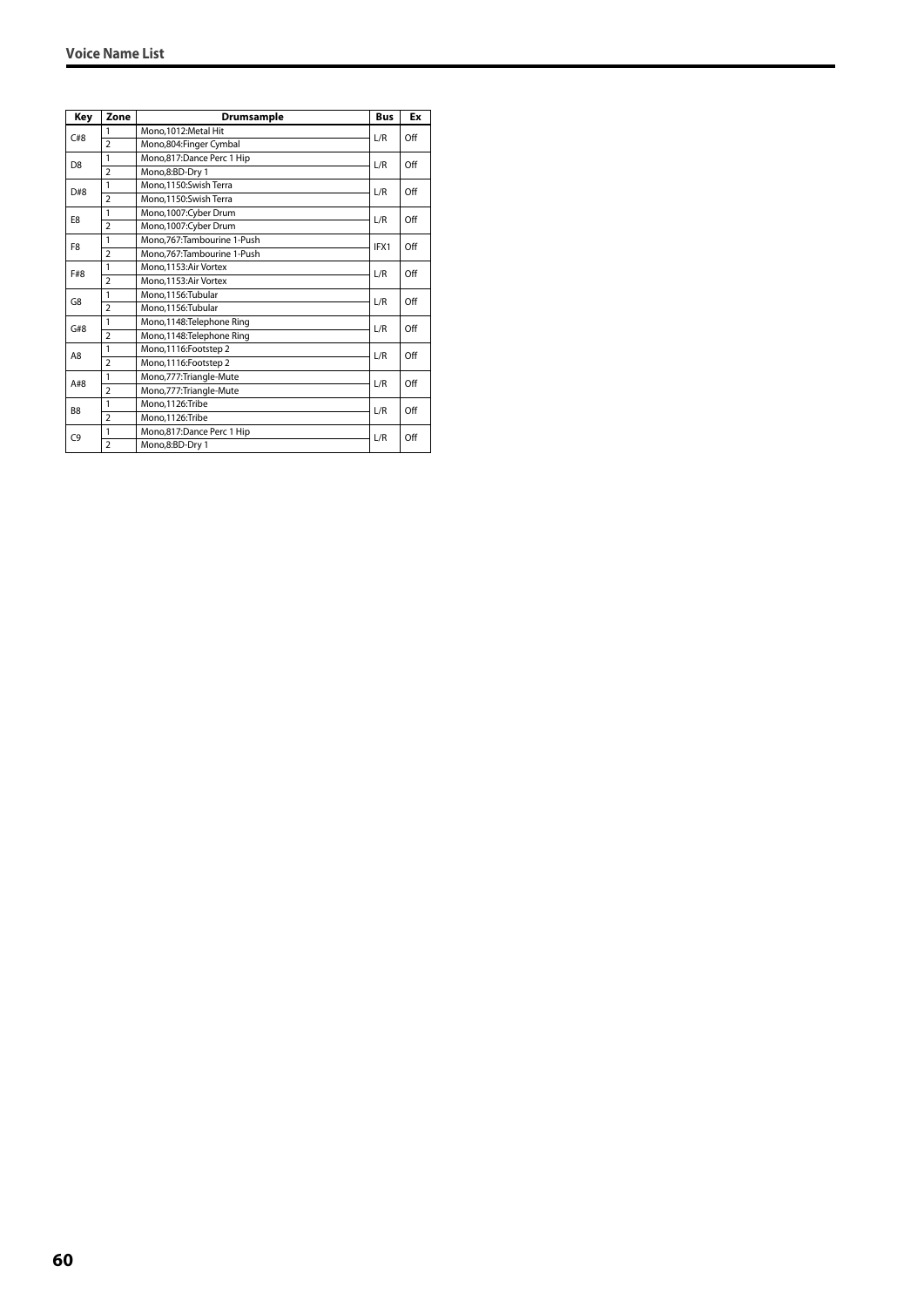| Key            | Zone           | <b>Drumsample</b>            | <b>Bus</b> | Ex  |
|----------------|----------------|------------------------------|------------|-----|
| C#8            | 1              | Mono, 1012: Metal Hit        | L/R        | Off |
|                | $\overline{2}$ | Mono,804: Finger Cymbal      |            |     |
| D <sub>8</sub> | $\mathbf{1}$   | Mono,817:Dance Perc 1 Hip    | L/R        | Off |
|                | $\overline{2}$ | Mono,8:BD-Dry 1              |            |     |
| D#8            | $\mathbf{1}$   | Mono.1150:Swish Terra        | L/R        | Off |
|                | $\overline{2}$ | Mono, 1150: Swish Terra      |            |     |
| E8             | 1              | Mono, 1007: Cyber Drum       | L/R        | Off |
|                | $\overline{2}$ | Mono, 1007: Cyber Drum       |            |     |
| F <sub>8</sub> | 1              | Mono, 767: Tambourine 1-Push | IFX1       | Off |
|                | $\overline{2}$ | Mono, 767: Tambourine 1-Push |            |     |
| F#8            | 1              | Mono.1153:Air Vortex         | L/R        | Off |
|                | $\overline{2}$ | Mono.1153:Air Vortex         |            |     |
| G8             | 1              | Mono.1156:Tubular            | L/R        | Off |
|                | $\overline{2}$ | Mono,1156:Tubular            |            |     |
| G#8            | 1              | Mono, 1148: Telephone Ring   | L/R        | Off |
|                | $\overline{2}$ | Mono,1148: Telephone Ring    |            |     |
| A8             | 1              | Mono, 1116: Footstep 2       | L/R        | Off |
|                | $\overline{2}$ | Mono, 1116: Footstep 2       |            |     |
| A#8            | 1              | Mono, 777: Triangle-Mute     | L/R        | Off |
|                | $\overline{2}$ | Mono, 777: Triangle-Mute     |            |     |
| B <sub>8</sub> | 1              | Mono,1126:Tribe              | L/R        | Off |
|                | $\overline{2}$ | Mono,1126:Tribe              |            |     |
| C <sub>9</sub> | 1              | Mono,817:Dance Perc 1 Hip    | L/R        | Off |
|                | $\overline{2}$ | Mono,8:BD-Dry 1              |            |     |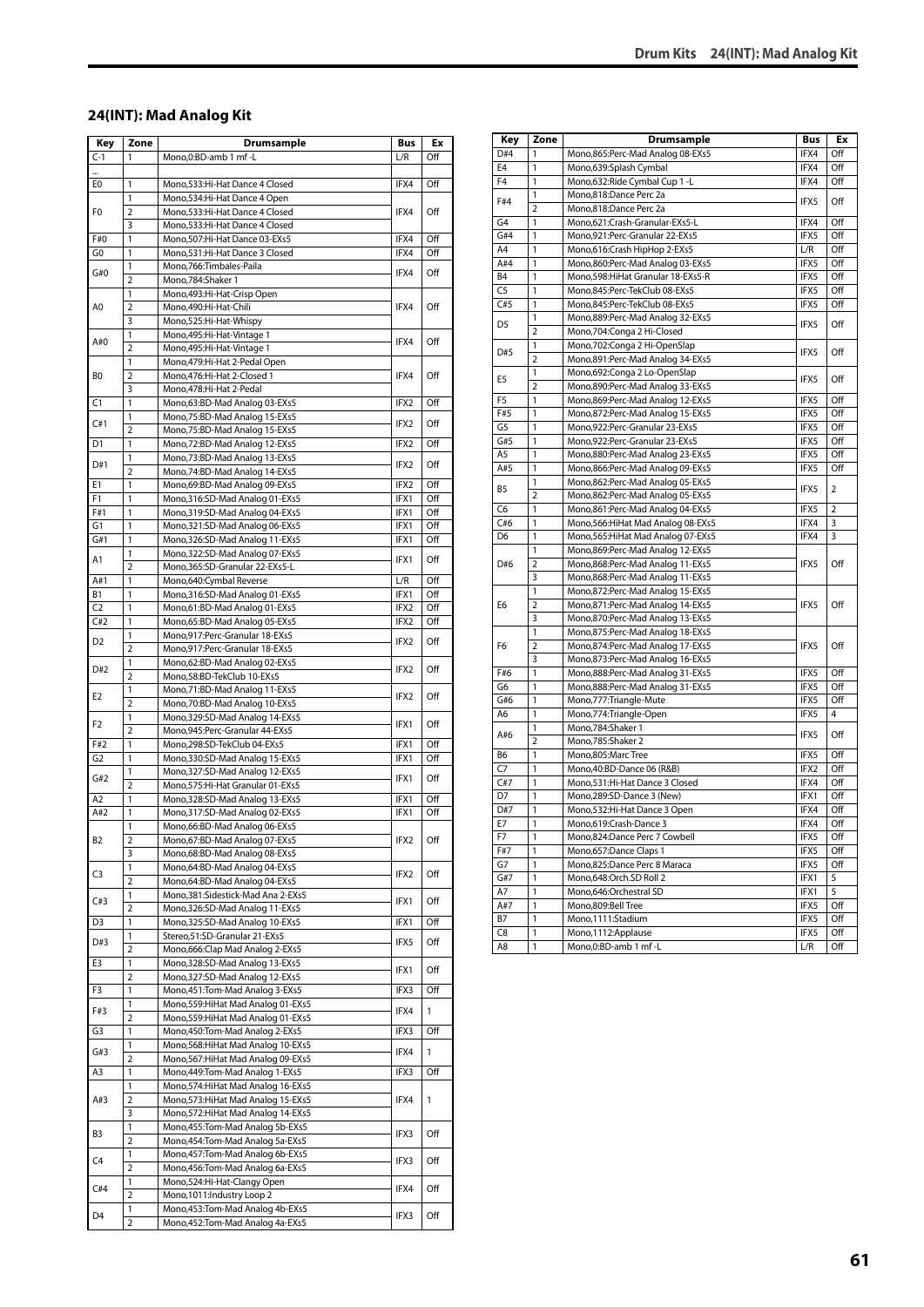#### **24(INT): Mad Analog Kit**

| Key            | Zone                         | Drumsample                                                                  | Bus  | Ex  |
|----------------|------------------------------|-----------------------------------------------------------------------------|------|-----|
| $C-1$          | 1                            | Mono,0:BD-amb 1 mf -L                                                       | L/R  | Off |
|                |                              |                                                                             |      |     |
| E0             | 1                            | Mono,533:Hi-Hat Dance 4 Closed                                              | IFX4 | Off |
|                | 1                            | Mono,534:Hi-Hat Dance 4 Open                                                |      |     |
| F <sub>0</sub> | $\overline{2}$               | Mono,533:Hi-Hat Dance 4 Closed                                              | IFX4 | Off |
| F#0            | 3<br>1                       | Mono,533:Hi-Hat Dance 4 Closed<br>Mono,507:Hi-Hat Dance 03-EXs5             | IFX4 | Off |
| G0             | 1                            | Mono,531:Hi-Hat Dance 3 Closed                                              | IFX4 | Off |
|                | 1                            | Mono,766:Timbales-Paila                                                     |      |     |
| G#0            | $\overline{2}$               | Mono,784:Shaker 1                                                           | IFX4 | Off |
|                | 1                            | Mono, 493: Hi-Hat-Crisp Open                                                |      |     |
| A0             | $\overline{2}$               | Mono,490:Hi-Hat-Chili                                                       | IFX4 | Off |
|                | 3                            | Mono,525:Hi-Hat-Whispy                                                      |      |     |
| A#0            | 1                            | Mono, 495: Hi-Hat-Vintage 1                                                 | IFX4 | Off |
|                | 2                            | Mono, 495: Hi-Hat-Vintage 1                                                 |      |     |
|                | 1                            | Mono, 479: Hi-Hat 2-Pedal Open                                              |      |     |
| BO             | $\overline{2}$               | Mono, 476: Hi-Hat 2-Closed 1                                                | IFX4 | Off |
|                | 3                            | Mono,478:Hi-Hat 2-Pedal                                                     |      |     |
| C1             | 1<br>$\mathbf{1}$            | Mono,63:BD-Mad Analog 03-EXs5<br>Mono, 75: BD-Mad Analog 15-EXs5            | IFX2 | Off |
| C#1            | $\overline{2}$               | Mono, 75: BD-Mad Analog 15-EXs5                                             | IFX2 | Off |
| D1             | 1                            | Mono,72:BD-Mad Analog 12-EXs5                                               | IFX2 | Off |
|                | 1                            | Mono,73:BD-Mad Analog 13-EXs5                                               |      |     |
| D#1            | $\overline{2}$               | Mono, 74: BD-Mad Analog 14-EXs5                                             | IFX2 | Off |
| E1             | 1                            | Mono,69:BD-Mad Analog 09-EXs5                                               | IFX2 | Off |
| F1             | 1                            | Mono, 316: SD-Mad Analog 01-EXs5                                            | IFX1 | Off |
| F#1            | 1                            | Mono, 319: SD-Mad Analog 04-EXs5                                            | IFX1 | Off |
| G1             | 1                            | Mono, 321: SD-Mad Analog 06-EXs5                                            | IFX1 | Off |
| G#1            | 1                            | Mono, 326: SD-Mad Analog 11-EXs5                                            | IFX1 | Off |
| A1             | 1                            | Mono, 322: SD-Mad Analog 07-EXs5                                            | IFX1 | Off |
|                | $\overline{2}$               | Mono,365:SD-Granular 22-EXs5-L                                              |      |     |
| A#1            | 1                            | Mono,640:Cymbal Reverse                                                     | L/R  | Off |
| В1             | 1                            | Mono, 316: SD-Mad Analog 01-EXs5                                            | IFX1 | Off |
| C <sub>2</sub> | 1                            | Mono,61:BD-Mad Analog 01-EXs5                                               | IFX2 | Off |
| C#2            | $\mathbf{1}$                 | Mono,65:BD-Mad Analog 05-EXs5                                               | IFX2 | Off |
| D2             | 1                            | Mono,917:Perc-Granular 18-EXs5                                              | IFX2 | Off |
|                | $\overline{2}$               | Mono,917:Perc-Granular 18-EXs5                                              |      |     |
| D#2            | 1<br>$\overline{2}$          | Mono,62:BD-Mad Analog 02-EXs5<br>Mono,58:BD-TekClub 10-EXs5                 | IFX2 | Off |
|                | 1                            | Mono,71:BD-Mad Analog 11-EXs5                                               |      |     |
| E2             | $\overline{2}$               | Mono, 70: BD-Mad Analog 10-EXs5                                             | IFX2 | Off |
|                | 1                            | Mono, 329: SD-Mad Analog 14-EXs5                                            |      |     |
| F2             | $\overline{2}$               | Mono,945:Perc-Granular 44-EXs5                                              | IFX1 | Off |
| F#2            | 1                            | Mono,298:SD-TekClub 04-EXs5                                                 | IFX1 | Off |
| G2             | 1                            | Mono,330:SD-Mad Analog 15-EXs5                                              | IFX1 | Off |
| G#2            | 1                            | Mono, 327: SD-Mad Analog 12-EXs5                                            | IFX1 | Off |
|                | $\overline{2}$               | Mono, 575: Hi-Hat Granular 01-EXs5                                          |      |     |
| A <sub>2</sub> | $\overline{1}$               | Mono, 328: SD-Mad Analog 13-EXs5                                            | IFX1 | Off |
| A#2            | 1                            | Mono, 317: SD-Mad Analog 02-EXs5                                            | IFX1 | Off |
|                | 1                            | Mono,66:BD-Mad Analog 06-EXs5                                               |      |     |
| B2             | $\overline{\mathbf{c}}$      | Mono,67:BD-Mad Analog 07-EXs5                                               | IFX2 | Off |
|                | 3                            | Mono,68:BD-Mad Analog 08-EXs5<br>Mono,64:BD-Mad Analog 04-EXs5              |      |     |
| C3             | 1<br>$\overline{\mathbf{c}}$ | Mono,64:BD-Mad Analog 04-EXs5                                               | IFX2 | Off |
|                | 1                            | Mono, 381: Sidestick-Mad Ana 2-EXs5                                         |      |     |
| C#3            | $\overline{2}$               | Mono, 326: SD-Mad Analog 11-EXs5                                            | IFX1 | Off |
| D3             | 1                            | Mono, 325: SD-Mad Analog 10-EXs5                                            | IFX1 | Off |
|                | 1                            | Stereo, 51: SD-Granular 21-EXs5                                             |      |     |
| D#3            | $\overline{2}$               | Mono,666:Clap Mad Analog 2-EXs5                                             | IFX5 | Off |
| E3             | 1                            | Mono, 328: SD-Mad Analog 13-EXs5                                            |      |     |
|                | 2                            | Mono, 327: SD-Mad Analog 12-EXs5                                            | IFX1 | Off |
| F3             | 1                            | Mono, 451: Tom-Mad Analog 3-EXs5                                            | IFX3 | Off |
| F#3            | 1                            | Mono, 559: HiHat Mad Analog 01-EXs5                                         | IFX4 | 1   |
|                | $\overline{2}$               | Mono, 559: HiHat Mad Analog 01-EXs5                                         |      |     |
| G3             | 1                            | Mono, 450: Tom-Mad Analog 2-EXs5                                            | IFX3 | Off |
| G#3            | $\mathbf{1}$                 | Mono, 568: HiHat Mad Analog 10-EXs5                                         | IFX4 | 1   |
|                | $\overline{2}$               | Mono, 567: HiHat Mad Analog 09-EXs5                                         |      |     |
| A3             | 1<br>1                       | Mono, 449: Tom-Mad Analog 1-EXs5<br>Mono,574: HiHat Mad Analog 16-EXs5      | IFX3 | Off |
|                | $\overline{\mathbf{c}}$      |                                                                             | IFX4 | 1   |
| A#3            | 3                            | Mono,573: Hi Hat Mad Analog 15-EXs5<br>Mono, 572: Hi Hat Mad Analog 14-EXs5 |      |     |
|                | 1                            | Mono, 455: Tom-Mad Analog 5b-EXs5                                           |      |     |
| B3             | $\overline{2}$               | Mono, 454: Tom-Mad Analog 5a-EXs5                                           | IFX3 | Off |
|                | 1                            | Mono, 457: Tom-Mad Analog 6b-EXs5                                           |      |     |
| C4             | 2                            | Mono, 456: Tom-Mad Analog 6a-EXs5                                           | IFX3 | Off |
|                | 1                            | Mono,524:Hi-Hat-Clangy Open                                                 |      |     |
| C#4            | $\overline{2}$               | Mono, 1011: Industry Loop 2                                                 | IFX4 | Off |
| D4             | 1                            | Mono, 453: Tom-Mad Analog 4b-EXs5                                           |      | Off |
|                | 2                            | Mono, 452: Tom-Mad Analog 4a-EXs5                                           | IFX3 |     |

| Key            | Zone           | Drumsample                          | Bus  | Ex             |
|----------------|----------------|-------------------------------------|------|----------------|
| D#4            | 1              | Mono,865:Perc-Mad Analog 08-EXs5    | IFX4 | Off            |
| E <sub>4</sub> | 1              | Mono,639:Splash Cymbal              | IFX4 | Off            |
| F <sub>4</sub> | 1              | Mono,632: Ride Cymbal Cup 1 - L     | IFX4 | Off            |
|                | 1              | Mono,818:Dance Perc 2a              |      |                |
| F#4            | 2              | Mono,818:Dance Perc 2a              | IFX5 | Off            |
| G4             | 1              | Mono,621:Crash-Granular-EXs5-L      | IFX4 | Off            |
| G#4            | 1              | Mono,921:Perc-Granular 22-EXs5      | IFX5 | Off            |
| A4             | 1              | Mono,616:Crash HipHop 2-EXs5        | L/R  | Off            |
| A#4            | 1              | Mono,860:Perc-Mad Analog 03-EXs5    | IFX5 | Off            |
| B <sub>4</sub> | 1              | Mono,598: Hi Hat Granular 18-EXs5-R | IFX5 | Off            |
| C <sub>5</sub> | 1              | Mono,845:Perc-TekClub 08-EXs5       | IFX5 | Off            |
| C#5            | 1              | Mono,845:Perc-TekClub 08-EXs5       | IFX5 | Off            |
|                | 1              | Mono,889:Perc-Mad Analog 32-EXs5    |      |                |
| D <sub>5</sub> | $\overline{2}$ | Mono,704:Conga 2 Hi-Closed          | IFX5 | Off            |
|                | 1              | Mono, 702: Conga 2 Hi-OpenSlap      |      |                |
| D#5            | $\overline{2}$ | Mono,891:Perc-Mad Analog 34-EXs5    | IFX5 | Off            |
|                | 1              | Mono,692:Conga 2 Lo-OpenSlap        |      |                |
| E <sub>5</sub> | $\overline{2}$ | Mono,890:Perc-Mad Analog 33-EXs5    | IFX5 | Off            |
| F <sub>5</sub> | 1              | Mono,869:Perc-Mad Analog 12-EXs5    | IFX5 | Off            |
| F#5            | 1              | Mono,872:Perc-Mad Analog 15-EXs5    | IFX5 | Off            |
| G5             | 1              | Mono,922:Perc-Granular 23-EXs5      | IFX5 | Off            |
| G#5            | 1              | Mono,922:Perc-Granular 23-EXs5      | IFX5 | Off            |
| A5             | 1              | Mono,880:Perc-Mad Analog 23-EXs5    | IFX5 | Off            |
| A#5            | 1              | Mono,866:Perc-Mad Analog 09-EXs5    | IFX5 | Off            |
|                | 1              | Mono,862:Perc-Mad Analog 05-EXs5    |      |                |
| B5             | 2              | Mono,862:Perc-Mad Analog 05-EXs5    | IFX5 | 2              |
| C <sub>6</sub> | 1              | Mono,861:Perc-Mad Analog 04-EXs5    | IFX5 | $\overline{2}$ |
| C#6            | 1              | Mono,566: Hi Hat Mad Analog 08-EXs5 | IFX4 | 3              |
| D <sub>6</sub> | 1              | Mono, 565: HiHat Mad Analog 07-EXs5 | IFX4 | 3              |
|                | 1              | Mono,869:Perc-Mad Analog 12-EXs5    | IFX5 | Off            |
| D#6            | 2              | Mono,868:Perc-Mad Analog 11-EXs5    |      |                |
|                | 3              | Mono,868:Perc-Mad Analog 11-EXs5    |      |                |
|                | 1              | Mono,872:Perc-Mad Analog 15-EXs5    |      |                |
| E6             | 2              | Mono,871:Perc-Mad Analog 14-EXs5    | IFX5 | Off            |
|                | 3              | Mono,870:Perc-Mad Analog 13-EXs5    |      |                |
|                | 1              | Mono,875:Perc-Mad Analog 18-EXs5    |      |                |
| F6             | $\overline{2}$ | Mono,874:Perc-Mad Analog 17-EXs5    | IFX5 | Off            |
|                | 3              | Mono,873: Perc-Mad Analog 16-EXs5   |      |                |
| F#6            | $\mathbf{1}$   | Mono,888:Perc-Mad Analog 31-EXs5    | IFX5 | Off            |
| G6             | 1              | Mono,888:Perc-Mad Analog 31-EXs5    | IFX5 | Off            |
| G#6            | 1              | Mono, 777: Triangle-Mute            | IFX5 | Off            |
| A6             | 1              | Mono,774: Triangle-Open             | IFX5 | 4              |
| A#6            | 1              | Mono,784:Shaker 1                   | IFX5 | Off            |
|                | $\overline{2}$ | Mono,785:Shaker 2                   |      |                |
| B6             | 1              | Mono,805:Marc Tree                  | IFX5 | Off            |
| C7             | 1              | Mono,40:BD-Dance 06 (R&B)           | IFX2 | Off            |
| C#7            | 1              | Mono,531:Hi-Hat Dance 3 Closed      | IFX4 | Off            |
| D7             | 1              | Mono,289:SD-Dance 3 (New)           | IFX1 | Off            |
| D#7            | 1              | Mono,532:Hi-Hat Dance 3 Open        | IFX4 | Off            |
| E7             | 1              | Mono.619:Crash-Dance 3              | IFX4 | Off            |
| F7             | 1              | Mono,824:Dance Perc 7 Cowbell       | IFX5 | Off            |
| F#7            | 1              | Mono,657:Dance Claps 1              | IFX5 | Off            |
| G7             | 1              | Mono,825:Dance Perc 8 Maraca        | IFX5 | Off            |
| G#7            | 1              | Mono,648:Orch.SD Roll 2             | IFX1 | 5              |
| A7             | 1              | Mono,646:Orchestral SD              | IFX1 | 5              |
| A#7            | 1              | Mono,809:Bell Tree                  | IFX5 | Off            |
| B7             | 1              | Mono,1111:Stadium                   | IFX5 | Off            |
| C8             | 1              | Mono, 1112: Applause                | IFX5 | Off            |
| A8             | 1              | Mono,0:BD-amb 1 mf-L                | L/R  | Off            |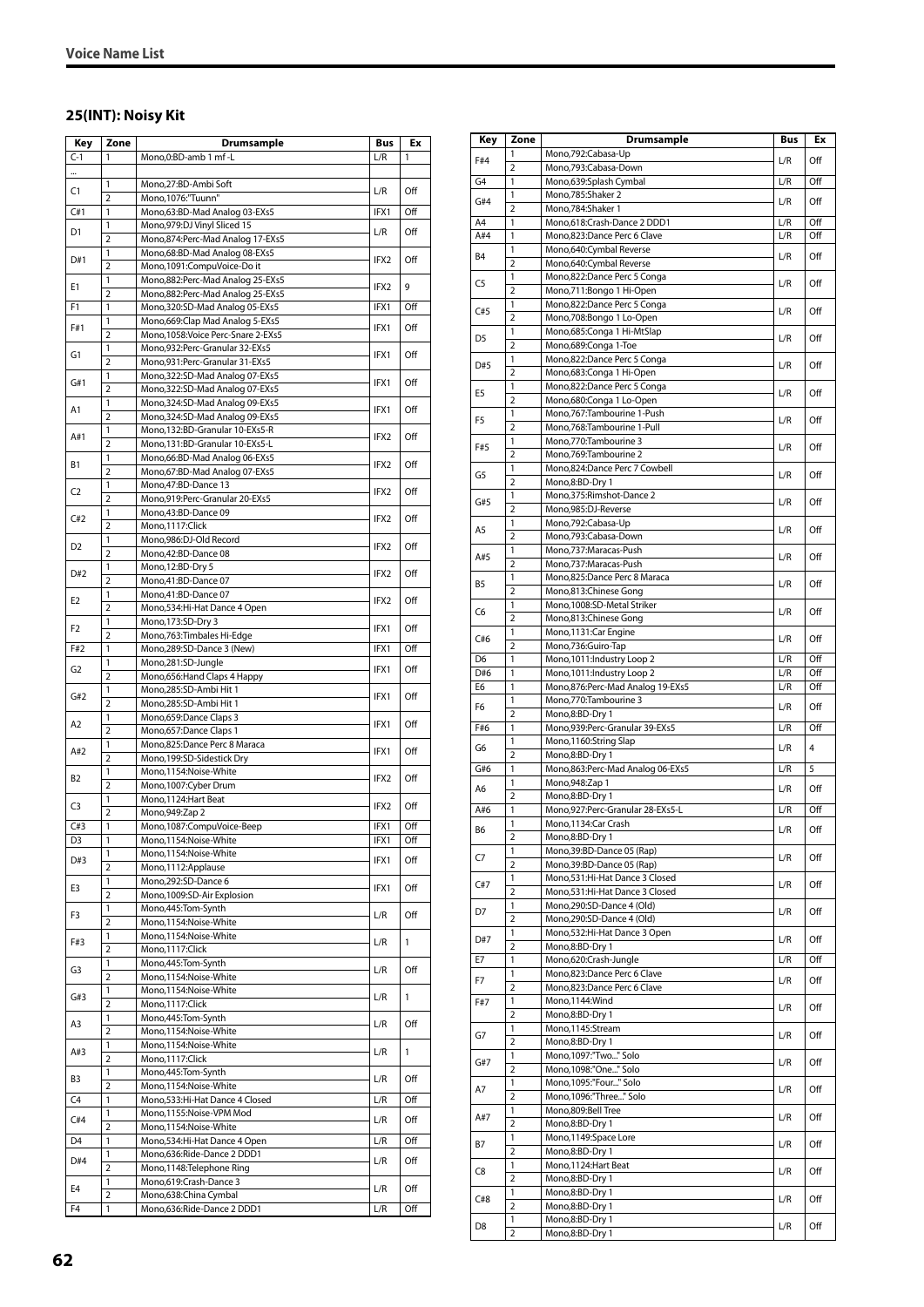#### **25(INT): Noisy Kit**

| Key            | Zone                | Drumsample                                             | Bus  | Ex  |
|----------------|---------------------|--------------------------------------------------------|------|-----|
| $C-1$          | 1                   | Mono,0:BD-amb 1 mf -L                                  | L/R  | 1   |
|                |                     |                                                        |      |     |
|                | 1                   | Mono,27:BD-Ambi Soft                                   |      |     |
| C1             | 2                   | Mono, 1076:"Tuunn"                                     | L/R  | Off |
| C#1            | 1                   | Mono,63:BD-Mad Analog 03-EXs5                          | IFX1 | Off |
|                | 1                   | Mono, 979: DJ Vinyl Sliced 15                          |      |     |
| D1             | 2                   | Mono,874:Perc-Mad Analog 17-EXs5                       | L/R  | Off |
|                | 1                   | Mono,68:BD-Mad Analog 08-EXs5                          |      |     |
| D#1            | $\overline{2}$      | Mono,1091:CompuVoice-Do it                             | IFX2 | Off |
|                | 1                   | Mono, 882: Perc-Mad Analog 25-EXs5                     |      |     |
| E1             | 2                   | Mono,882:Perc-Mad Analog 25-EXs5                       | IFX2 | 9   |
| F1             | 1                   | Mono, 320: SD-Mad Analog 05-EXs5                       | IFX1 | Off |
|                | 1                   | Mono, 669: Clap Mad Analog 5-EXs5                      |      |     |
| F#1            | 2                   | Mono, 1058: Voice Perc-Snare 2-EXs5                    | IFX1 | Off |
|                | 1                   | Mono,932:Perc-Granular 32-EXs5                         |      |     |
| G1             | $\overline{2}$      | Mono,931:Perc-Granular 31-EXs5                         | IFX1 | Off |
|                | 1                   | Mono, 322: SD-Mad Analog 07-EXs5                       |      |     |
| G#1            | 2                   | Mono, 322: SD-Mad Analog 07-EXs5                       | IFX1 | Off |
|                | 1                   | Mono, 324: SD-Mad Analog 09-EXs5                       |      |     |
| A1             | $\overline{2}$      | Mono, 324: SD-Mad Analog 09-EXs5                       | IFX1 | Off |
|                | 1                   | Mono, 132: BD-Granular 10-EXs5-R                       |      |     |
| A#1            | $\overline{2}$      | Mono, 131:BD-Granular 10-EXs5-L                        | IFX2 | Off |
|                | 1                   | Mono,66:BD-Mad Analog 06-EXs5                          |      |     |
| B1             | $\overline{2}$      | Mono,67:BD-Mad Analog 07-EXs5                          | IFX2 | Off |
|                | 1                   | Mono, 47: BD-Dance 13                                  |      |     |
| C2             | 2                   | Mono,919:Perc-Granular 20-EXs5                         | IFX2 | Off |
|                | 1                   | Mono, 43: BD-Dance 09                                  |      |     |
| C#2            | $\overline{2}$      | Mono, 1117: Click                                      | IFX2 | Off |
|                | 1                   | Mono,986:DJ-Old Record                                 |      |     |
| D <sub>2</sub> | 2                   | Mono, 42: BD-Dance 08                                  | IFX2 | Off |
|                | 1                   | Mono, 12:BD-Dry 5                                      |      |     |
| D#2            | $\overline{2}$      | Mono,41:BD-Dance 07                                    | IFX2 | Off |
| E2             | 1                   | Mono,41:BD-Dance 07                                    | IFX2 | Off |
|                | 2                   | Mono,534:Hi-Hat Dance 4 Open                           |      |     |
| F2             | 1                   | Mono, 173: SD-Dry 3                                    | IFX1 | Off |
|                | $\overline{2}$      | Mono, 763: Timbales Hi-Edge                            |      |     |
| F#2            | 1                   | Mono,289:SD-Dance 3 (New)                              | IFX1 | Off |
| G2             | 1                   | Mono,281:SD-Jungle                                     | IFX1 | Off |
|                | $\overline{2}$      | Mono, 656: Hand Claps 4 Happy                          |      |     |
| G#2            | 1                   | Mono,285:SD-Ambi Hit 1                                 | IFX1 | Off |
|                | 2                   | Mono,285:SD-Ambi Hit 1                                 |      |     |
| A2             | 1<br>$\overline{2}$ | Mono, 659: Dance Claps 3                               | IFX1 | Off |
|                | 1                   | Mono,657:Dance Claps 1<br>Mono,825:Dance Perc 8 Maraca |      |     |
| A#2            | 2                   | Mono, 199: SD-Sidestick Dry                            | IFX1 | Off |
|                | 1                   | Mono,1154:Noise-White                                  |      |     |
| B2             | $\overline{2}$      | Mono, 1007: Cyber Drum                                 | IFX2 | Off |
|                | 1                   | Mono, 1124: Hart Beat                                  |      |     |
| C3             | 2                   | Mono, 949: Zap 2                                       | IFX2 | Off |
| C#3            | 1                   | Mono,1087:CompuVoice-Beep                              | IFX1 | Off |
| D3             | $\mathbf{1}$        | Mono,1154:Noise-White                                  | IFX1 | Off |
|                | 1                   | Mono,1154:Noise-White                                  |      |     |
| D#3            | 2                   | Mono, 1112: Applause                                   | IFX1 | Off |
|                | 1                   | Mono, 292: SD-Dance 6                                  |      |     |
| E3             | $\overline{2}$      | Mono, 1009: SD-Air Explosion                           | IFX1 | Off |
|                | 1                   | Mono, 445: Tom-Synth                                   |      |     |
| F3             | 2                   | Mono,1154:Noise-White                                  | L/R  | Off |
| F#3            | 1                   | Mono,1154:Noise-White                                  | L/R  | 1   |
|                | $\overline{2}$      | Mono, 1117: Click                                      |      |     |
| G3             | 1                   | Mono, 445: Tom-Synth                                   | L/R  | Off |
|                | $\overline{2}$      | Mono,1154:Noise-White                                  |      |     |
| G#3            | 1                   | Mono,1154:Noise-White                                  | L/R  | 1   |
|                | $\overline{2}$      | Mono, 1117: Click                                      |      |     |
| A3             | 1                   | Mono, 445: Tom-Synth                                   | L/R  | Off |
|                | $\overline{2}$      | Mono,1154:Noise-White                                  |      |     |
| A#3            | 1                   | Mono,1154:Noise-White                                  | L/R  | 1   |
|                | 2                   | Mono, 1117: Click                                      |      |     |
| B3             | 1<br>$\overline{2}$ | Mono, 445: Tom-Synth<br>Mono,1154:Noise-White          | L/R  | Off |
| C4             | 1                   | Mono, 533: Hi-Hat Dance 4 Closed                       | L/R  | Off |
|                | 1                   | Mono,1155:Noise-VPM Mod                                |      |     |
| C#4            | 2                   | Mono,1154:Noise-White                                  | L/R  | Off |
| D4             | 1                   | Mono, 534: Hi-Hat Dance 4 Open                         | L/R  | Off |
|                | 1                   | Mono,636:Ride-Dance 2 DDD1                             |      |     |
| D#4            | $\overline{2}$      | Mono, 1148: Telephone Ring                             | L/R  | Off |
|                | 1                   | Mono,619:Crash-Dance 3                                 |      |     |
| E4             | $\overline{2}$      | Mono,638:China Cymbal                                  | L/R  | Off |
| F4             | 1                   | Mono,636:Ride-Dance 2 DDD1                             | L/R  | Off |

| Key            | Zone                           | <b>Drumsample</b>                                                | Bus | Ex         |
|----------------|--------------------------------|------------------------------------------------------------------|-----|------------|
| F#4            | 1                              | Mono,792:Cabasa-Up                                               | L/R | Off        |
|                | 2                              | Mono,793:Cabasa-Down                                             |     |            |
| G4             | 1<br>1                         | Mono,639:Splash Cymbal<br>Mono,785:Shaker 2                      | L/R | Off        |
| G#4            | $\overline{2}$                 | Mono,784:Shaker 1                                                | L/R | Off        |
| A4             | 1                              | Mono,618:Crash-Dance 2 DDD1                                      | L/R | Off        |
| A#4            | 1                              | Mono,823:Dance Perc 6 Clave                                      | L/R | Off        |
| B <sub>4</sub> | 1                              | Mono,640:Cymbal Reverse                                          | L/R | Off        |
|                | $\overline{2}$                 | Mono,640:Cymbal Reverse                                          |     |            |
| C <sub>5</sub> | 1                              | Mono,822:Dance Perc 5 Conga                                      | L/R | Off        |
|                | $\overline{2}$<br>1            | Mono,711:Bongo 1 Hi-Open<br>Mono,822:Dance Perc 5 Conga          |     |            |
| C#5            | $\overline{2}$                 | Mono,708:Bongo 1 Lo-Open                                         | L/R | Off        |
| D <sub>5</sub> | 1                              | Mono,685:Conga 1 Hi-MtSlap                                       |     | Off        |
|                | $\overline{2}$                 | Mono,689:Conga 1-Toe                                             | L/R |            |
| D#5            | 1                              | Mono,822:Dance Perc 5 Conga                                      | L/R | Off        |
|                | $\overline{2}$<br>1            | Mono,683:Conga 1 Hi-Open<br>Mono,822:Dance Perc 5 Conga          |     |            |
| E5             | $\overline{2}$                 | Mono,680:Conga 1 Lo-Open                                         | L/R | Off        |
|                | 1                              | Mono,767:Tambourine 1-Push                                       |     |            |
| F5             | $\overline{2}$                 | Mono,768:Tambourine 1-Pull                                       | L/R | Off        |
| F#5            | 1                              | Mono,770:Tambourine 3                                            | L/R | Off        |
|                | $\overline{2}$                 | Mono,769:Tambourine 2                                            |     |            |
| G5             | 1                              | Mono,824:Dance Perc 7 Cowbell                                    | L/R | Off        |
|                | $\overline{2}$<br>1            | Mono,8:BD-Dry 1<br>Mono, 375: Rimshot-Dance 2                    |     |            |
| G#5            | $\overline{2}$                 | Mono,985:DJ-Reverse                                              | L/R | Off        |
|                | 1                              | Mono,792:Cabasa-Up                                               |     |            |
| A5             | $\overline{2}$                 | Mono,793:Cabasa-Down                                             | L/R | Off        |
| A#5            | 1                              | Mono,737:Maracas-Push                                            | L/R | Off        |
|                | $\overline{2}$                 | Mono,737: Maracas-Push                                           |     |            |
| B5             | 1<br>$\overline{2}$            | Mono,825:Dance Perc 8 Maraca                                     | L/R | Off        |
|                | 1                              | Mono,813:Chinese Gong<br>Mono,1008:SD-Metal Striker              |     |            |
| C6             | $\overline{2}$                 | Mono,813:Chinese Gong                                            | L/R | Off        |
| C#6            | 1                              | Mono, 1131: Car Engine                                           | L/R | Off        |
|                | $\overline{2}$                 | Mono,736:Guiro-Tap                                               |     |            |
| D <sub>6</sub> | 1                              | Mono, 1011: Industry Loop 2                                      | L/R | Off        |
| D#6            | 1<br>1                         | Mono, 1011: Industry Loop 2                                      | L/R | Off<br>Off |
| E6             | 1                              | Mono,876:Perc-Mad Analog 19-EXs5<br>Mono,770:Tambourine 3        | L/R |            |
| F6             | $\overline{2}$                 | Mono,8:BD-Dry 1                                                  | L/R | Off        |
| F#6            | 1                              | Mono,939:Perc-Granular 39-EXs5                                   | L/R | Off        |
| G6             | 1                              | Mono, 1160: String Slap                                          | L/R | 4          |
|                | $\overline{2}$                 | Mono,8:BD-Dry 1                                                  |     |            |
| G#6            | $\mathbf{1}$                   | Mono,863:Perc-Mad Analog 06-EXs5                                 | L/R | 5          |
| А6             | 1<br>$\overline{2}$            | Mono, 948: Zap 1<br>Mono,8:BD-Dry 1                              | L/R | Off        |
| A#6            | 1                              | Mono,927:Perc-Granular 28-EXs5-L                                 | L/R | Off        |
|                | 1                              | Mono,1134:Car Crash                                              |     |            |
| B6             | $\overline{2}$                 | Mono,8:BD-Dry 1                                                  | L/R | Off        |
| C7             | 1                              | Mono, 39: BD-Dance 05 (Rap)                                      | L/R | Off        |
|                | 2                              | Mono, 39: BD-Dance 05 (Rap)                                      |     |            |
| C#7            | $\mathbf{1}$<br>$\overline{2}$ | Mono,531:Hi-Hat Dance 3 Closed<br>Mono,531:Hi-Hat Dance 3 Closed | L/R | Off        |
|                | 1                              | Mono,290:SD-Dance 4 (Old)                                        |     |            |
| D7             | $\mathbf 2$                    | Mono,290:SD-Dance 4 (Old)                                        | L/R | Off        |
| D#7            | 1                              | Mono,532:Hi-Hat Dance 3 Open                                     | L/R | Off        |
|                | $\overline{2}$                 | Mono,8:BD-Dry 1                                                  |     |            |
| E7             | 1                              | Mono,620:Crash-Jungle                                            | L/R | Off        |
| F7             | 1<br>$\overline{2}$            | Mono,823:Dance Perc 6 Clave<br>Mono,823:Dance Perc 6 Clave       | L/R | Off        |
| F#7            | 1                              | Mono,1144:Wind                                                   |     |            |
|                | 2                              | Mono,8:BD-Dry 1                                                  | L/R | Off        |
| G7             | 1                              | Mono,1145:Stream                                                 | L/R | Off        |
|                | $\overline{2}$                 | Mono,8:BD-Dry 1                                                  |     |            |
| G#7            | 1                              | Mono, 1097: "Two" Solo                                           | L/R | Off        |
|                | $\overline{2}$<br>$\mathbf{1}$ | Mono,1098:"One" Solo<br>Mono, 1095:"Four" Solo                   |     |            |
| А7             | $\overline{2}$                 | Mono,1096:"Three" Solo                                           | L/R | Off        |
|                | 1                              | Mono,809:Bell Tree                                               |     |            |
| A#7            | $\overline{2}$                 | Mono,8:BD-Dry 1                                                  | L/R | Off        |
| Β7             | 1                              | Mono, 1149: Space Lore                                           | L/R | Off        |
|                | $\overline{2}$                 | Mono,8:BD-Dry 1                                                  |     |            |
| C8             | 1<br>$\overline{2}$            | Mono,1124: Hart Beat                                             | L/R | Off        |
|                | 1                              | Mono,8:BD-Dry 1<br>Mono,8:BD-Dry 1                               |     |            |
| C#8            | $\overline{2}$                 | Mono,8:BD-Dry 1                                                  | L/R | Off        |
| D8             | 1                              | Mono,8:BD-Dry 1                                                  | L/R | Off        |
|                | $\overline{2}$                 | Mono,8:BD-Dry 1                                                  |     |            |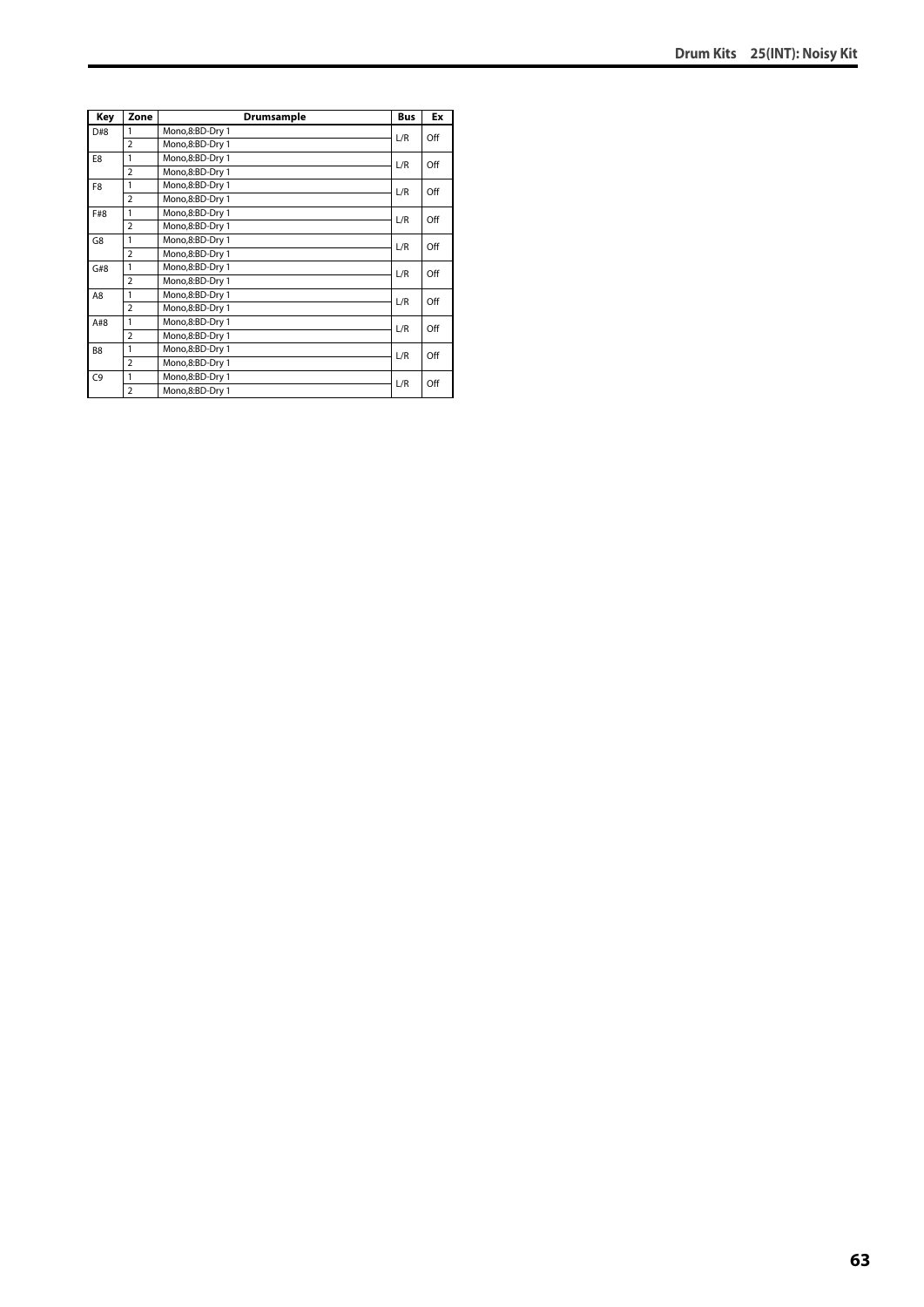| Key            | Zone           | Drumsample      | <b>Bus</b> | Ex  |
|----------------|----------------|-----------------|------------|-----|
| D#8            | 1              | Mono,8:BD-Dry 1 | L/R        | Off |
|                | $\overline{2}$ | Mono,8:BD-Dry 1 |            |     |
| E8             | 1              | Mono,8:BD-Dry 1 | L/R        | Off |
|                | $\overline{2}$ | Mono,8:BD-Dry 1 |            |     |
| F8             | 1              | Mono,8:BD-Dry 1 | L/R        | Off |
|                | $\overline{2}$ | Mono,8:BD-Dry 1 |            |     |
| F#8            | 1              | Mono,8:BD-Dry 1 | L/R        | Off |
|                | $\overline{2}$ | Mono,8:BD-Dry 1 |            |     |
| G8             | 1              | Mono,8:BD-Dry 1 | L/R        | Off |
|                | $\overline{2}$ | Mono,8:BD-Dry 1 |            |     |
| G#8            | 1              | Mono,8:BD-Dry 1 | L/R        | Off |
|                | $\overline{2}$ | Mono,8:BD-Dry 1 |            |     |
| A8             | 1              | Mono,8:BD-Dry 1 | L/R        | Off |
|                | $\overline{2}$ | Mono,8:BD-Dry 1 |            |     |
| A#8            | 1              | Mono,8:BD-Dry 1 | L/R        | Off |
|                | $\overline{2}$ | Mono,8:BD-Dry 1 |            |     |
| B <sub>8</sub> | 1              | Mono,8:BD-Dry 1 | L/R        | Off |
|                | $\overline{a}$ | Mono,8:BD-Dry 1 |            |     |
| C <sub>9</sub> | 1              | Mono,8:BD-Dry 1 |            | Off |
|                | $\overline{2}$ | Mono,8:BD-Dry 1 | L/R        |     |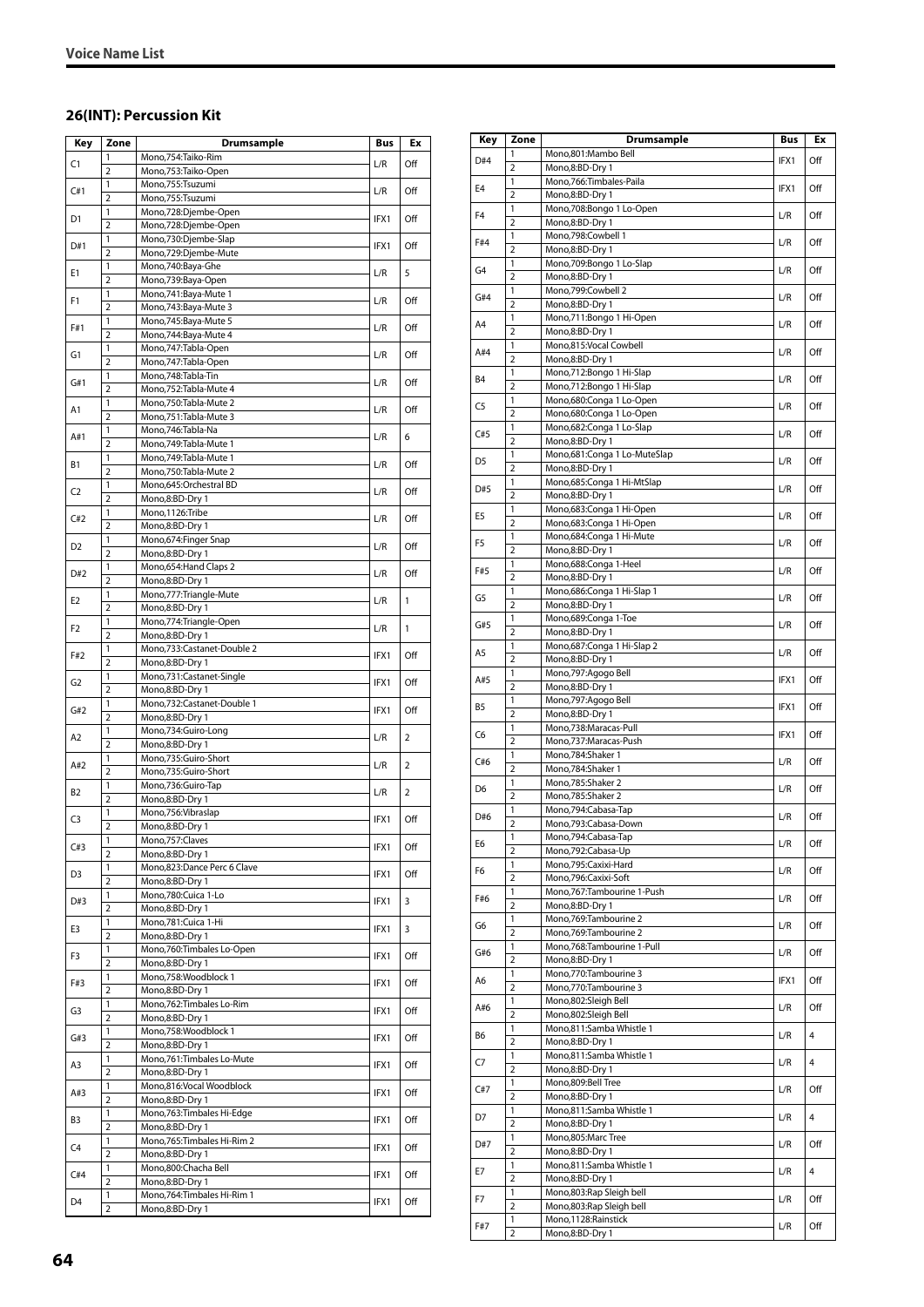#### **26(INT): Percussion Kit**

| Key            | Zone                | Drumsample                                | Bus  | Ex  |
|----------------|---------------------|-------------------------------------------|------|-----|
|                | 1                   | Mono,754:Taiko-Rim                        |      |     |
| C1             | $\overline{2}$      | Mono, 753: Taiko-Open                     | L/R  | Off |
|                | 1                   | Mono,755:Tsuzumi                          |      |     |
| C#1            | $\overline{2}$      | Mono,755:Tsuzumi                          | L/R  | Off |
| D1             | 1                   | Mono,728:Djembe-Open                      | IFX1 | Off |
|                | $\overline{2}$      | Mono,728:Djembe-Open                      |      |     |
| D#1            | 1                   | Mono,730:Djembe-Slap                      | IFX1 | Off |
|                | $\overline{2}$      | Mono,729:Djembe-Mute                      |      |     |
| E1             | 1                   | Mono,740:Baya-Ghe                         | L/R  | 5   |
|                | $\overline{2}$      | Mono,739:Baya-Open                        |      |     |
| F1             | 1                   | Mono, 741: Baya-Mute 1                    | L/R  | Off |
|                | $\overline{2}$      | Mono, 743: Baya-Mute 3                    |      |     |
| F#1            | 1                   | Mono, 745: Baya-Mute 5                    | L/R  | Off |
|                | $\overline{2}$      | Mono, 744: Baya-Mute 4                    |      |     |
| G1             | $\mathbf{1}$        | Mono, 747: Tabla-Open                     | L/R  | Off |
|                | $\overline{2}$      | Mono, 747: Tabla-Open                     |      |     |
| G#1            | 1                   | Mono, 748: Tabla-Tin                      | L/R  | Off |
|                | $\overline{2}$      | Mono, 752: Tabla-Mute 4                   |      |     |
| A1             | 1                   | Mono, 750: Tabla-Mute 2                   | L/R  | Off |
|                | $\overline{2}$      | Mono, 751: Tabla-Mute 3                   |      |     |
| A#1            | 1<br>$\overline{2}$ | Mono, 746: Tabla-Na                       | L/R  | 6   |
|                |                     | Mono, 749: Tabla-Mute 1                   |      |     |
| Β1             | 1                   | Mono, 749: Tabla-Mute 1                   | L/R  | Off |
|                | 2                   | Mono, 750: Tabla-Mute 2                   |      |     |
| C <sub>2</sub> | 1<br>$\overline{2}$ | Mono,645:Orchestral BD<br>Mono,8:BD-Dry 1 | L/R  | Off |
|                | 1                   | Mono, 1126: Tribe                         |      |     |
| C#2            | 2                   | Mono,8:BD-Dry 1                           | L/R  | Off |
|                | 1                   | Mono,674:Finger Snap                      |      |     |
| D2             | $\overline{2}$      | Mono,8:BD-Dry 1                           | L/R  | Off |
|                | 1                   | Mono,654: Hand Claps 2                    |      |     |
| D#2            | 2                   | Mono,8:BD-Dry 1                           | L/R  | Off |
|                | 1                   | Mono,777: Triangle-Mute                   |      |     |
| E2             | $\overline{2}$      | Mono,8:BD-Dry 1                           | L/R  | 1   |
|                | 1                   | Mono, 774: Triangle-Open                  |      |     |
| F2             | $\overline{2}$      | Mono,8:BD-Dry 1                           | L/R  | 1   |
|                | 1                   | Mono,733:Castanet-Double 2                |      |     |
| F#2            | $\overline{2}$      | Mono,8:BD-Dry 1                           | IFX1 | Off |
|                | 1                   | Mono,731:Castanet-Single                  |      |     |
| G2             | $\overline{2}$      | Mono,8:BD-Dry 1                           | IFX1 | Off |
|                | 1                   | Mono, 732: Castanet-Double 1              |      |     |
| G#2            | $\overline{2}$      | Mono,8:BD-Dry 1                           | IFX1 | Off |
|                | 1                   | Mono,734:Guiro-Long                       |      |     |
| A2             | $\overline{2}$      | Mono,8:BD-Dry 1                           | L/R  | 2   |
|                | 1                   | Mono,735:Guiro-Short                      |      |     |
| A#2            | $\overline{2}$      | Mono,735:Guiro-Short                      | L/R  | 2   |
|                | 1                   | Mono,736:Guiro-Tap                        |      |     |
| B2             | $\overline{2}$      | Mono,8:BD-Dry 1                           | L/R  | 2   |
|                | 1                   | Mono, 756: Vibraslap                      | IFX1 | Off |
| C3             | $\overline{2}$      | Mono,8:BD-Dry 1                           |      |     |
| C#3            | 1                   | Mono, 757: Claves                         | IFX1 | Off |
|                | $\overline{2}$      | Mono,8:BD-Dry 1                           |      |     |
| D3             | 1                   | Mono,823:Dance Perc 6 Clave               | IFX1 | Off |
|                | 2                   | Mono,8:BD-Dry 1                           |      |     |
| D#3            | 1                   | Mono,780:Cuica 1-Lo                       | IFX1 | 3   |
|                | $\overline{2}$      | Mono,8:BD-Dry 1                           |      |     |
| E3             | 1                   | Mono,781:Cuica 1-Hi                       | IFX1 | 3   |
|                | 2                   | Mono,8:BD-Dry 1                           |      |     |
| F3             | 1                   | Mono, 760: Timbales Lo-Open               | IFX1 | Off |
|                | $\overline{2}$      | Mono,8:BD-Dry 1                           |      |     |
| F#3            | 1                   | Mono,758:Woodblock 1                      | IFX1 | Off |
|                | 2                   | Mono,8:BD-Dry 1                           |      |     |
| G3             | 1                   | Mono, 762: Timbales Lo-Rim                | IFX1 | Off |
|                | $\overline{2}$      | Mono,8:BD-Dry 1                           |      |     |
| G#3            | 1                   | Mono,758:Woodblock 1                      | IFX1 | Off |
|                | 2                   | Mono,8:BD-Dry 1                           |      |     |
| A3             | 1                   | Mono, 761: Timbales Lo-Mute               | IFX1 | Off |
|                | $\overline{2}$      | Mono,8:BD-Dry 1                           |      |     |
| A#3            | 1                   | Mono,816:Vocal Woodblock                  | IFX1 | Off |
|                | 2                   | Mono,8:BD-Dry 1                           |      |     |
| B3             | 1                   | Mono, 763: Timbales Hi-Edge               | IFX1 | Off |
|                | $\overline{2}$      | Mono,8:BD-Dry 1                           |      |     |
| C4             | 1                   | Mono, 765: Timbales Hi-Rim 2              | IFX1 | Off |
|                | $\overline{2}$<br>1 | Mono,8:BD-Dry 1<br>Mono,800:Chacha Bell   |      |     |
| C#4            | $\overline{2}$      | Mono,8:BD-Dry 1                           | IFX1 | Off |
|                | 1                   | Mono, 764: Timbales Hi-Rim 1              |      |     |
| D4             | 2                   | Mono,8:BD-Dry 1                           | IFX1 | Off |
|                |                     |                                           |      |     |

| Key            | Zone                | <b>Drumsample</b>                              | Bus  | Ex  |
|----------------|---------------------|------------------------------------------------|------|-----|
| D#4            | 1                   | Mono,801:Mambo Bell                            | IFX1 | Off |
|                | $\overline{2}$      | Mono,8:BD-Dry 1                                |      |     |
| E <sub>4</sub> | 1                   | Mono,766:Timbales-Paila                        | IFX1 | Off |
|                | 2<br>1              | Mono,8:BD-Dry 1                                |      |     |
| F <sub>4</sub> | $\overline{2}$      | Mono,708:Bongo 1 Lo-Open<br>Mono,8:BD-Dry 1    | L/R  | Off |
|                | $\mathbf{1}$        | Mono,798:Cowbell 1                             |      |     |
| F#4            | $\overline{2}$      | Mono,8:BD-Dry 1                                | L/R  | Off |
|                | 1                   | Mono,709:Bongo 1 Lo-Slap                       |      |     |
| G4             | $\overline{2}$      | Mono,8:BD-Dry 1                                | L/R  | Off |
| G#4            | 1                   | Mono,799:Cowbell 2                             | L/R  | Off |
|                | $\overline{2}$      | Mono,8:BD-Dry 1                                |      |     |
| A <sub>4</sub> | 1                   | Mono,711:Bongo 1 Hi-Open                       | L/R  | Off |
|                | $\overline{2}$<br>1 | Mono,8:BD-Dry 1<br>Mono,815:Vocal Cowbell      |      |     |
| A#4            | $\overline{2}$      | Mono,8:BD-Dry 1                                | L/R  | Off |
|                | 1                   | Mono,712:Bongo 1 Hi-Slap                       |      |     |
| B4             | $\overline{2}$      | Mono,712:Bongo 1 Hi-Slap                       | L/R  | Off |
| C5             | 1                   | Mono,680:Conga 1 Lo-Open                       | L/R  | Off |
|                | $\overline{2}$      | Mono,680:Conga 1 Lo-Open                       |      |     |
| C#5            | 1                   | Mono,682:Conga 1 Lo-Slap                       | L/R  | Off |
|                | $\overline{2}$      | Mono,8:BD-Dry 1                                |      |     |
| D <sub>5</sub> | 1                   | Mono,681:Conga 1 Lo-MuteSlap                   | L/R  | Off |
|                | $\overline{2}$<br>1 | Mono,8:BD-Dry 1<br>Mono,685:Conga 1 Hi-MtSlap  |      |     |
| D#5            | $\overline{2}$      | Mono,8:BD-Dry 1                                | L/R  | Off |
|                | 1                   | Mono,683:Conga 1 Hi-Open                       |      |     |
| E5             | $\overline{2}$      | Mono,683:Conga 1 Hi-Open                       | L/R  | Off |
| F <sub>5</sub> | 1                   | Mono,684:Conga 1 Hi-Mute                       | L/R  | Off |
|                | $\overline{2}$      | Mono,8:BD-Dry 1                                |      |     |
| F#5            | 1                   | Mono,688:Conga 1-Heel                          | L/R  | Off |
|                | 2                   | Mono,8:BD-Dry 1                                |      |     |
| G5             | 1<br>$\overline{2}$ | Mono,686:Conga 1 Hi-Slap 1<br>Mono,8:BD-Dry 1  | L/R  | Off |
|                | 1                   | Mono,689:Conga 1-Toe                           |      |     |
| G#5            | 2                   | Mono,8:BD-Dry 1                                | L/R  | Off |
|                | $\mathbf{1}$        | Mono,687:Conga 1 Hi-Slap 2                     |      |     |
| A5             | $\overline{2}$      | Mono,8:BD-Dry 1                                | L/R  | Off |
| A#5            | 1                   | Mono,797:Agogo Bell                            | IFX1 | Off |
|                | $\overline{2}$      | Mono,8:BD-Dry 1                                |      |     |
| B5             | 1                   | Mono,797:Agogo Bell                            | IFX1 | Off |
|                | $\overline{2}$      | Mono,8:BD-Dry 1                                |      |     |
| C6             | 1<br>$\overline{2}$ | Mono,738:Maracas-Pull<br>Mono,737:Maracas-Push | IFX1 | Off |
|                | 1                   | Mono,784:Shaker 1                              |      |     |
| C#6            | $\overline{2}$      | Mono,784:Shaker 1                              | L/R  | Off |
|                | 1                   | Mono,785:Shaker 2                              |      |     |
| D <sub>6</sub> | $\overline{2}$      | Mono,785:Shaker 2                              | L/R  | Off |
| D#6            | 1                   | Mono,794:Cabasa-Tap                            | L/R  | Off |
|                | $\overline{2}$      | Mono,793:Cabasa-Down                           |      |     |
| E6             | 1                   | Mono, 794: Cabasa-Tap                          | L/R  | Off |
|                | $\overline{2}$      | Mono,792:Cabasa-Up<br>Mono,795:Caxixi-Hard     |      |     |
| F6             | 1<br>$\overline{2}$ | Mono,796:Caxixi-Soft                           | L/R  | Off |
|                | 1                   | Mono,767:Tambourine 1-Push                     |      |     |
| F#6            | $\overline{2}$      | Mono,8:BD-Dry 1                                | L/R  | Off |
|                | 1                   | Mono, 769: Tambourine 2                        |      |     |
| G6             | 2                   | Mono, 769: Tambourine 2                        | L/R  | Off |
| G#6            | 1                   | Mono,768:Tambourine 1-Pull                     | L/R  | Off |
|                | $\overline{2}$      | Mono,8:BD-Dry 1                                |      |     |
| A6             | 1                   | Mono,770:Tambourine 3                          | IFX1 | Off |
|                | $\overline{2}$<br>1 | Mono,770:Tambourine 3<br>Mono,802:Sleigh Bell  |      |     |
| A#6            | $\overline{2}$      | Mono,802:Sleigh Bell                           | L/R  | Off |
|                | 1                   | Mono,811:Samba Whistle 1                       |      |     |
| B6             | $\overline{2}$      | Mono,8:BD-Dry 1                                | L/R  | 4   |
|                | $\mathbf{1}$        | Mono,811:Samba Whistle 1                       |      |     |
| C7             | $\overline{2}$      | Mono,8:BD-Dry 1                                | L/R  | 4   |
| C#7            | 1                   | Mono,809:Bell Tree                             | L/R  | Off |
|                | 2                   | Mono,8:BD-Dry 1                                |      |     |
| D7             | 1                   | Mono,811:Samba Whistle 1                       | L/R  | 4   |
|                | $\overline{2}$<br>1 | Mono,8:BD-Dry 1<br>Mono,805:Marc Tree          |      |     |
| D#7            | $\overline{2}$      | Mono,8:BD-Dry 1                                | L/R  | Off |
|                | 1                   | Mono,811:Samba Whistle 1                       |      |     |
| Ε7             | $\overline{2}$      | Mono,8:BD-Dry 1                                | L/R  | 4   |
|                | 1                   | Mono,803:Rap Sleigh bell                       |      |     |
| F7             | $\overline{2}$      | Mono,803:Rap Sleigh bell                       | L/R  | Off |
| F#7            | 1                   | Mono,1128:Rainstick                            | L/R  | Off |
|                | 2                   | Mono,8:BD-Dry 1                                |      |     |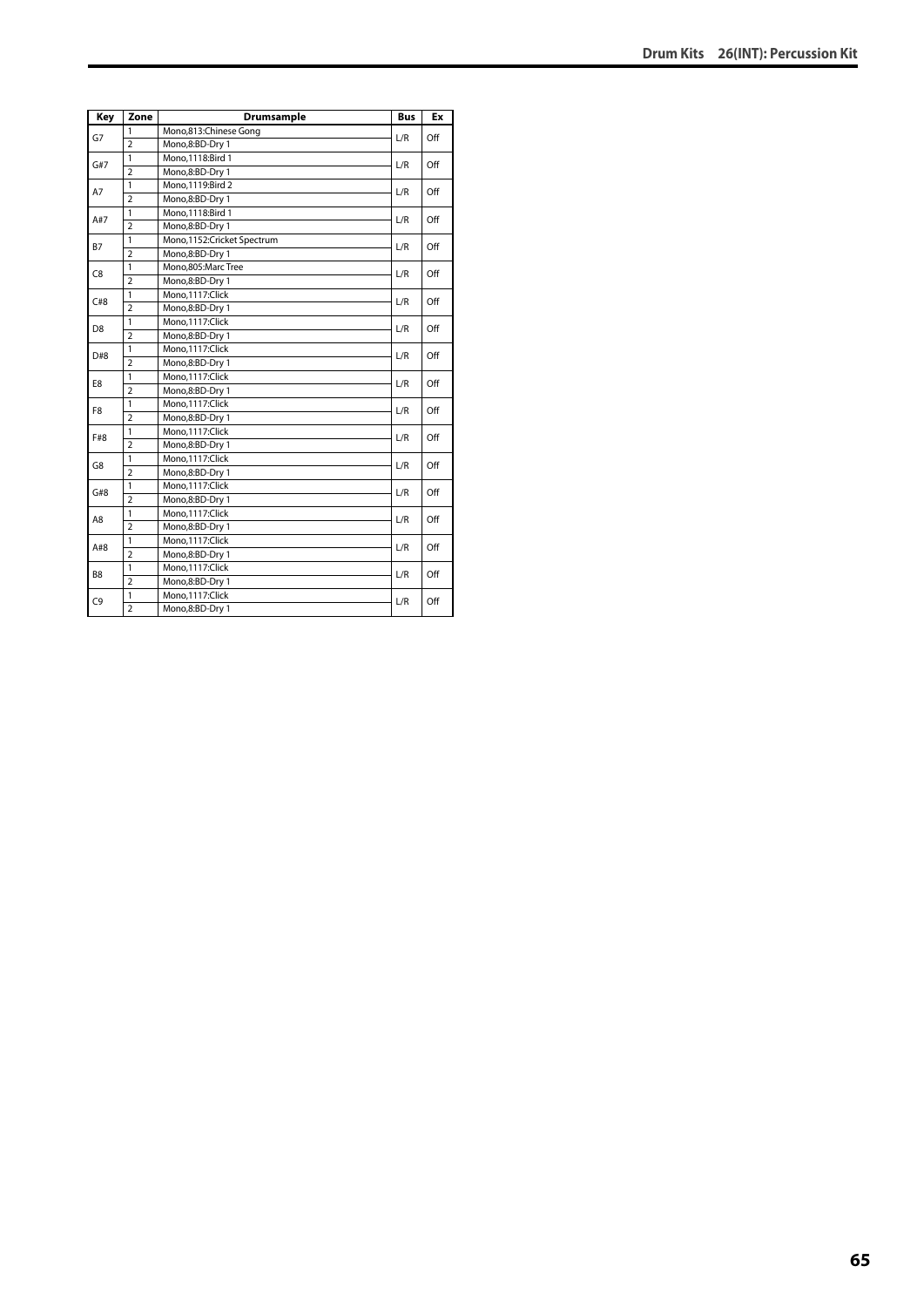| Key            | Zone           | Drumsample                 | <b>Bus</b> | Ex  |
|----------------|----------------|----------------------------|------------|-----|
| G7             | 1              | Mono,813:Chinese Gong      | L/R        | Off |
|                | $\overline{2}$ | Mono,8:BD-Dry 1            |            |     |
| G#7            | $\mathbf{1}$   | Mono, 1118: Bird 1         | L/R        | Off |
|                | $\overline{2}$ | Mono,8:BD-Dry 1            |            |     |
| A7             | 1              | Mono, 1119: Bird 2         | L/R        | Off |
|                | $\overline{2}$ | Mono,8:BD-Dry 1            |            |     |
| A#7            | $\mathbf{1}$   | Mono, 1118: Bird 1         | L/R        | Off |
|                | $\overline{2}$ | Mono,8:BD-Dry 1            |            |     |
| <b>B7</b>      | $\mathbf{1}$   | Mono,1152:Cricket Spectrum | L/R        | Off |
|                | $\overline{2}$ | Mono,8:BD-Dry 1            |            |     |
| C <sub>8</sub> | $\mathbf{1}$   | Mono,805:Marc Tree         | L/R        | Off |
|                | $\overline{2}$ | Mono,8:BD-Dry 1            |            |     |
| C#8            | $\overline{1}$ | Mono,1117:Click            | L/R        | Off |
|                | $\overline{2}$ | Mono,8:BD-Dry 1            |            |     |
| D <sub>8</sub> | $\mathbf{1}$   | Mono,1117:Click            | L/R        | Off |
|                | $\overline{2}$ | Mono,8:BD-Dry 1            |            |     |
| D#8            | $\mathbf{1}$   | Mono, 1117: Click          | L/R        | Off |
|                | $\overline{2}$ | Mono,8:BD-Dry 1            |            |     |
| E8             | $\overline{1}$ | Mono,1117:Click            | L/R        | Off |
|                | $\overline{2}$ | Mono,8:BD-Dry 1            |            |     |
| F8             | 1              | Mono,1117:Click            | L/R        | Off |
|                | $\overline{2}$ | Mono,8:BD-Dry 1            |            |     |
| F#8            | 1              | Mono, 1117: Click          | L/R        | Off |
|                | $\overline{2}$ | Mono,8:BD-Dry 1            |            |     |
| G8             | 1              | Mono,1117:Click            | L/R        | Off |
|                | $\overline{2}$ | Mono,8:BD-Dry 1            |            |     |
| G#8            | $\mathbf{1}$   | Mono,1117:Click            | L/R        | Off |
|                | $\overline{2}$ | Mono,8:BD-Dry 1            |            |     |
| A8             | $\mathbf{1}$   | Mono,1117:Click            | L/R        | Off |
|                | $\overline{2}$ | Mono,8:BD-Dry 1            |            |     |
| A#8            | $\mathbf{1}$   | Mono,1117:Click            | L/R        | Off |
|                | $\overline{2}$ | Mono,8:BD-Dry 1            |            |     |
| B <sub>8</sub> | $\mathbf{1}$   | Mono,1117:Click            |            | Off |
|                | $\overline{2}$ | Mono,8:BD-Dry 1            | L/R        |     |
| C <sub>9</sub> | $\mathbf{1}$   | Mono,1117:Click            | L/R        | Off |
|                | $\overline{2}$ | Mono,8:BD-Dry 1            |            |     |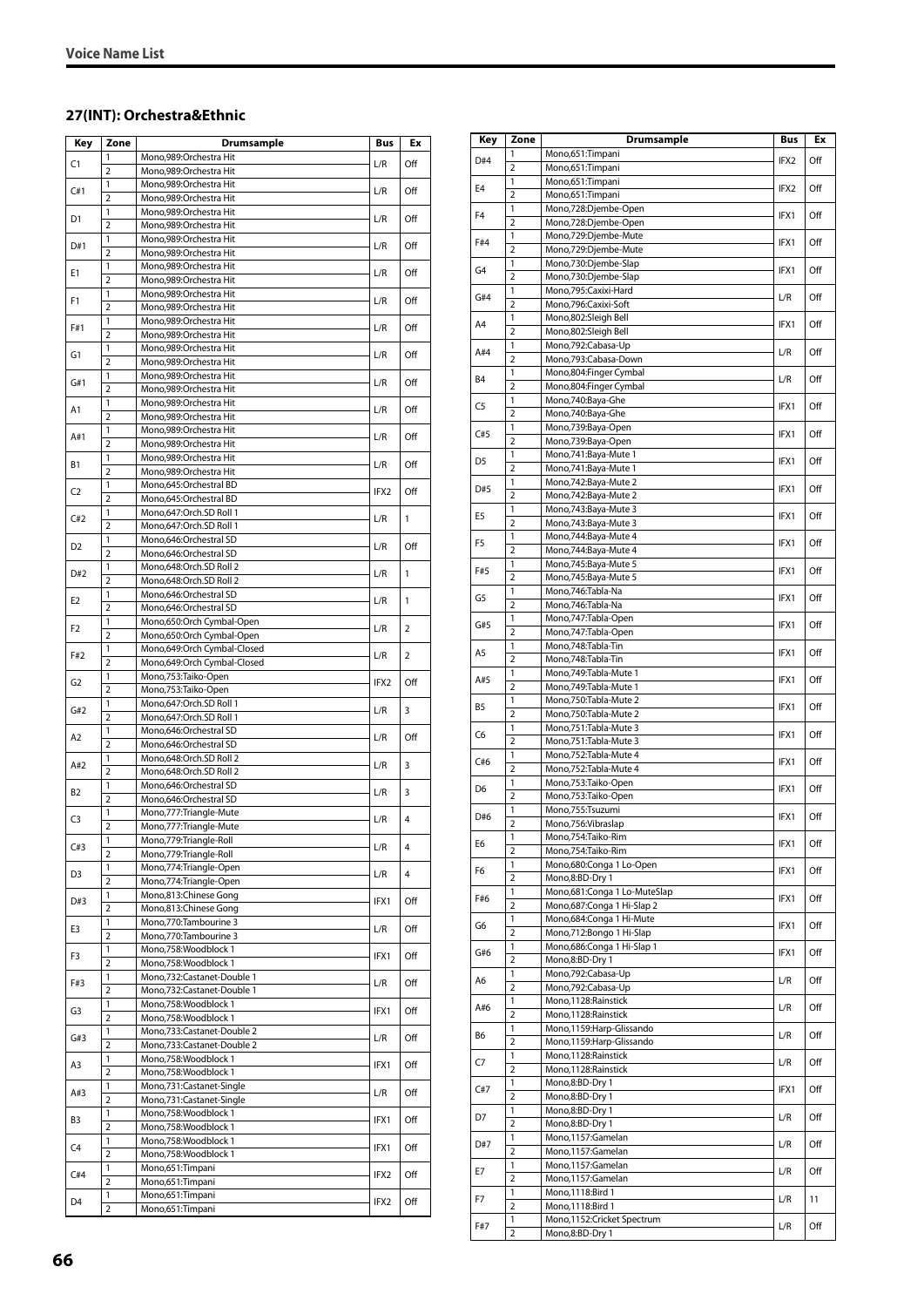### **27(INT): Orchestra&Ethnic**

| Key            | Zone                | <b>Drumsample</b>                                 | Bus  | Ex             |
|----------------|---------------------|---------------------------------------------------|------|----------------|
|                | 1                   | Mono,989:Orchestra Hit                            |      |                |
| C1             | 2                   | Mono,989:Orchestra Hit                            | L/R  | Off            |
|                | 1                   | Mono,989:Orchestra Hit                            |      |                |
| C#1            | $\overline{2}$      | Mono,989:Orchestra Hit                            | L/R  | Off            |
| D1             | 1                   | Mono,989:Orchestra Hit                            | L/R  | Off            |
|                | $\overline{2}$      | Mono,989:Orchestra Hit                            |      |                |
| D#1            | 1                   | Mono,989:Orchestra Hit                            | L/R  | Off            |
|                | $\overline{2}$      | Mono,989:Orchestra Hit                            |      |                |
| E1             | 1                   | Mono,989:Orchestra Hit                            | L/R  | Off            |
|                | $\overline{2}$      | Mono,989:Orchestra Hit                            |      |                |
| F1             | 1                   | Mono,989:Orchestra Hit                            | L/R  | Off            |
|                | $\overline{2}$      | Mono,989:Orchestra Hit                            |      |                |
| F#1            | 1                   | Mono,989:Orchestra Hit                            | L/R  | Off            |
|                | $\overline{2}$      | Mono,989:Orchestra Hit                            |      |                |
| G1             | 1                   | Mono,989:Orchestra Hit                            | L/R  | Off            |
|                | $\overline{2}$      | Mono,989:Orchestra Hit                            |      |                |
| G#1            | 1<br>$\overline{2}$ | Mono,989:Orchestra Hit                            | L/R  | Off            |
|                | 1                   | Mono,989:Orchestra Hit<br>Mono,989:Orchestra Hit  |      |                |
| A1             | $\overline{2}$      | Mono,989:Orchestra Hit                            | L/R  | Off            |
|                | 1                   | Mono,989:Orchestra Hit                            |      |                |
| A#1            | $\overline{2}$      | Mono,989:Orchestra Hit                            | L/R  | Off            |
|                | 1                   | Mono,989:Orchestra Hit                            |      |                |
| Β1             | $\overline{2}$      | Mono,989:Orchestra Hit                            | L/R  | Off            |
|                | 1                   | Mono,645:Orchestral BD                            |      |                |
| C <sub>2</sub> | $\overline{2}$      | Mono,645:Orchestral BD                            | IFX2 | Off            |
|                | 1                   | Mono,647:Orch.SD Roll 1                           |      |                |
| C#2            | 2                   | Mono,647:Orch.SD Roll 1                           | L/R  | 1              |
|                | 1                   | Mono,646:Orchestral SD                            |      |                |
| D2             | $\overline{2}$      | Mono,646:Orchestral SD                            | L/R  | Off            |
|                | 1                   | Mono,648:Orch.SD Roll 2                           |      |                |
| D#2            | $\overline{2}$      | Mono,648:Orch.SD Roll 2                           | L/R  | 1              |
| E2             | 1                   | Mono,646:Orchestral SD                            | L/R  | 1              |
|                | $\overline{2}$      | Mono,646:Orchestral SD                            |      |                |
| F2             | 1                   | Mono,650:Orch Cymbal-Open                         | L/R  | 2              |
|                | $\overline{2}$      | Mono,650:Orch Cymbal-Open                         |      |                |
| F#2            | 1                   | Mono,649:Orch Cymbal-Closed                       | L/R  | $\overline{2}$ |
|                | $\overline{2}$      | Mono,649:Orch Cymbal-Closed                       |      |                |
| G2             | 1                   | Mono,753:Taiko-Open                               | IFX2 | Off            |
|                | $\overline{2}$      | Mono,753:Taiko-Open                               |      |                |
| G#2            | 1                   | Mono,647:Orch.SD Roll 1                           | L/R  | 3              |
|                | $\overline{2}$      | Mono,647:Orch.SD Roll 1                           |      |                |
| A2             | 1                   | Mono,646:Orchestral SD                            | L/R  | Off            |
|                | 2                   | Mono,646:Orchestral SD                            |      |                |
| A#2            | 1<br>$\overline{2}$ | Mono,648:Orch.SD Roll 2                           | L/R  | 3              |
|                | 1                   | Mono,648:Orch.SD Roll 2<br>Mono,646:Orchestral SD |      |                |
| B2             | $\overline{2}$      | Mono,646:Orchestral SD                            | L/R  | 3              |
|                | 1                   | Mono,777:Triangle-Mute                            |      |                |
| C3             | $\overline{2}$      | Mono,777:Triangle-Mute                            | L/R  | 4              |
|                | 1                   | Mono,779: Triangle-Roll                           |      |                |
| C#3            | $\overline{2}$      | Mono, 779: Triangle-Roll                          | L/R  | 4              |
|                | 1                   | Mono,774: Triangle-Open                           |      |                |
| D3             | 2                   | Mono, 774: Triangle-Open                          | L/R  | 4              |
|                | 1                   | Mono,813:Chinese Gong                             |      |                |
| D#3            | 2                   | Mono,813:Chinese Gong                             | IFX1 | Off            |
| E3             | $\mathbf{1}$        | Mono, 770: Tambourine 3                           | L/R  | Off            |
|                | 2                   | Mono, 770: Tambourine 3                           |      |                |
| F3             | 1                   | Mono,758:Woodblock 1                              | IFX1 | Off            |
|                | $\overline{2}$      | Mono,758:Woodblock 1                              |      |                |
| F#3            | 1                   | Mono,732:Castanet-Double 1                        | L/R  | Off            |
|                | 2                   | Mono,732:Castanet-Double 1                        |      |                |
| G3             | 1                   | Mono,758:Woodblock 1                              | IFX1 | Off            |
|                | $\overline{2}$      | Mono,758:Woodblock 1                              |      |                |
| G#3            | $\mathbf{1}$        | Mono, 733: Castanet-Double 2                      | L/R  | Off            |
|                | $\overline{2}$      | Mono, 733: Castanet-Double 2                      |      |                |
| A3             | 1                   | Mono,758:Woodblock 1                              | IFX1 | Off            |
|                | $\overline{2}$      | Mono,758:Woodblock 1                              |      |                |
| A#3            | 1                   | Mono,731:Castanet-Single                          | L/R  | Off            |
|                | 2<br>1              | Mono,731:Castanet-Single                          |      |                |
| B3             | $\overline{2}$      | Mono,758:Woodblock 1<br>Mono,758:Woodblock 1      | IFX1 | Off            |
|                | 1                   | Mono,758:Woodblock 1                              |      |                |
| C4             | 2                   | Mono,758:Woodblock 1                              | IFX1 | Off            |
|                | 1                   | Mono,651:Timpani                                  |      |                |
| C#4            | $\overline{2}$      | Mono,651: Timpani                                 | IFX2 | Off            |
|                | 1                   | Mono,651:Timpani                                  |      |                |
| D4             | 2                   | Mono,651: Timpani                                 | IFX2 | Off            |

| Key            | Zone                           | Drumsample                                          | <b>Bus</b>       | Ex  |
|----------------|--------------------------------|-----------------------------------------------------|------------------|-----|
| D#4            | 1                              | Mono,651:Timpani                                    | IFX <sub>2</sub> | Off |
|                | 2                              | Mono,651:Timpani                                    |                  |     |
| E4             | 1                              | Mono,651:Timpani                                    | IFX2             | Off |
|                | $\overline{2}$                 | Mono,651:Timpani                                    |                  |     |
| F <sub>4</sub> | 1                              | Mono,728:Djembe-Open                                | IFX1             | Off |
|                | $\overline{2}$<br>1            | Mono,728:Djembe-Open                                |                  |     |
| F#4            | $\overline{2}$                 | Mono,729:Djembe-Mute<br>Mono,729:Djembe-Mute        | IFX1             | Off |
|                | 1                              | Mono,730:Djembe-Slap                                |                  |     |
| G4             | $\overline{2}$                 | Mono,730:Djembe-Slap                                | IFX1             | Off |
|                | 1                              | Mono,795:Caxixi-Hard                                |                  |     |
| G#4            | $\overline{2}$                 | Mono,796:Caxixi-Soft                                | L/R              | Off |
| A4             | 1                              | Mono,802:Sleigh Bell                                | IFX1             | Off |
|                | $\overline{2}$                 | Mono,802:Sleigh Bell                                |                  |     |
| A#4            | 1                              | Mono,792:Cabasa-Up                                  | L/R              | Off |
|                | $\overline{2}$                 | Mono,793:Cabasa-Down                                |                  |     |
| B4             | 1                              | Mono,804:Finger Cymbal                              | L/R              | Off |
|                | $\overline{2}$<br>1            | Mono,804:Finger Cymbal                              |                  |     |
| C5             | $\overline{2}$                 | Mono,740:Baya-Ghe<br>Mono,740:Baya-Ghe              | IFX1             | Off |
|                | 1                              | Mono,739:Baya-Open                                  |                  |     |
| C#5            | $\overline{2}$                 | Mono,739:Baya-Open                                  | IFX1             | Off |
|                | 1                              | Mono,741:Baya-Mute 1                                |                  |     |
| D <sub>5</sub> | $\overline{2}$                 | Mono, 741: Baya-Mute 1                              | IFX1             | Off |
|                | 1                              | Mono,742:Baya-Mute 2                                |                  |     |
| D#5            | 2                              | Mono, 742: Baya-Mute 2                              | IFX1             | Off |
| E5             | 1                              | Mono,743:Baya-Mute 3                                | IFX1             | Off |
|                | $\overline{2}$                 | Mono,743:Baya-Mute 3                                |                  |     |
| F5             | 1                              | Mono, 744: Baya-Mute 4                              | IFX1             | Off |
|                | $\overline{2}$                 | Mono, 744: Baya-Mute 4                              |                  |     |
| F#5            | 1<br>$\overline{2}$            | Mono, 745: Baya-Mute 5                              | IFX1             | Off |
|                | 1                              | Mono, 745: Baya-Mute 5<br>Mono, 746: Tabla-Na       |                  |     |
| G5             | $\overline{2}$                 | Mono, 746: Tabla-Na                                 | IFX1             | Off |
|                | 1                              | Mono, 747: Tabla-Open                               |                  |     |
| G#5            | $\overline{2}$                 | Mono, 747: Tabla-Open                               | IFX1             | Off |
|                | 1                              | Mono,748:Tabla-Tin                                  |                  |     |
| A5             | $\overline{2}$                 | Mono,748:Tabla-Tin                                  | IFX1             | Off |
| A#5            | 1                              | Mono,749:Tabla-Mute 1                               | IFX1             | Off |
|                | $\overline{2}$                 | Mono,749:Tabla-Mute 1                               |                  |     |
| B5             | 1                              | Mono,750:Tabla-Mute 2                               | IFX1             | Off |
|                | $\overline{2}$                 | Mono,750:Tabla-Mute 2                               |                  |     |
| C6             | 1<br>$\overline{2}$            | Mono, 751: Tabla-Mute 3<br>Mono, 751: Tabla-Mute 3  | IFX1             | Off |
|                | 1                              | Mono,752:Tabla-Mute 4                               |                  |     |
| C#6            | $\overline{2}$                 | Mono, 752: Tabla-Mute 4                             | IFX1             | Off |
|                | 1                              | Mono,753:Taiko-Open                                 |                  |     |
| D <sub>6</sub> | $\overline{2}$                 | Mono,753:Taiko-Open                                 | IFX1             | Off |
| D#6            | 1                              | Mono,755:Tsuzumi                                    | IFX1             | Off |
|                | $\overline{2}$                 | Mono,756:Vibraslap                                  |                  |     |
| E6             | 1                              | Mono,754:Taiko-Rim                                  | IFX1             | Off |
|                | $\overline{2}$                 | Mono,754:Taiko-Rim                                  |                  |     |
| F6             | $\mathbf{1}$<br>$\overline{2}$ | Mono,680:Conga 1 Lo-Open<br>Mono,8:BD-Dry 1         | IFX1             | Off |
|                | 1                              | Mono, 681: Conga 1 Lo-MuteSlap                      |                  |     |
| F#6            | $\overline{2}$                 | Mono,687:Conga 1 Hi-Slap 2                          | IFX1             | Off |
|                | 1                              | Mono,684:Conga 1 Hi-Mute                            |                  |     |
| G6             | $\overline{2}$                 | Mono,712:Bongo 1 Hi-Slap                            | IFX1             | Off |
| G#6            | 1                              | Mono,686:Conga 1 Hi-Slap 1                          | IFX1             | Off |
|                | $\overline{2}$                 | Mono,8:BD-Dry 1                                     |                  |     |
| A6             | 1                              | Mono,792:Cabasa-Up                                  | L/R              | Off |
|                | $\overline{2}$                 | Mono,792:Cabasa-Up                                  |                  |     |
| A#6            | 1                              | Mono, 1128: Rainstick                               | L/R              | Off |
|                | 2<br>1                         | Mono, 1128: Rainstick<br>Mono, 1159: Harp-Glissando |                  |     |
| В6             | 2                              | Mono, 1159: Harp-Glissando                          | L/R              | Off |
|                | 1                              | Mono,1128:Rainstick                                 |                  |     |
| C7             | 2                              | Mono, 1128: Rainstick                               | L/R              | Off |
| C#7            | 1                              | Mono,8:BD-Dry 1                                     | IFX1             | Off |
|                | $\overline{2}$                 | Mono,8:BD-Dry 1                                     |                  |     |
| D7             | 1                              | Mono,8:BD-Dry 1                                     | L/R              | Off |
|                | 2                              | Mono,8:BD-Dry 1                                     |                  |     |
| D#7            | 1                              | Mono,1157:Gamelan                                   | L/R              | Off |
|                | $\overline{2}$<br>1            | Mono,1157:Gamelan                                   |                  |     |
| Е7             | 2                              | Mono,1157:Gamelan<br>Mono,1157:Gamelan              | L/R              | Off |
|                | 1                              | Mono, 1118: Bird 1                                  |                  |     |
| F7             | $\overline{2}$                 | Mono, 1118: Bird 1                                  | L/R              | 11  |
|                | 1                              | Mono,1152:Cricket Spectrum                          |                  |     |
| F#7            | 2                              | Mono,8:BD-Dry 1                                     | ${\sf L/R}$      | Off |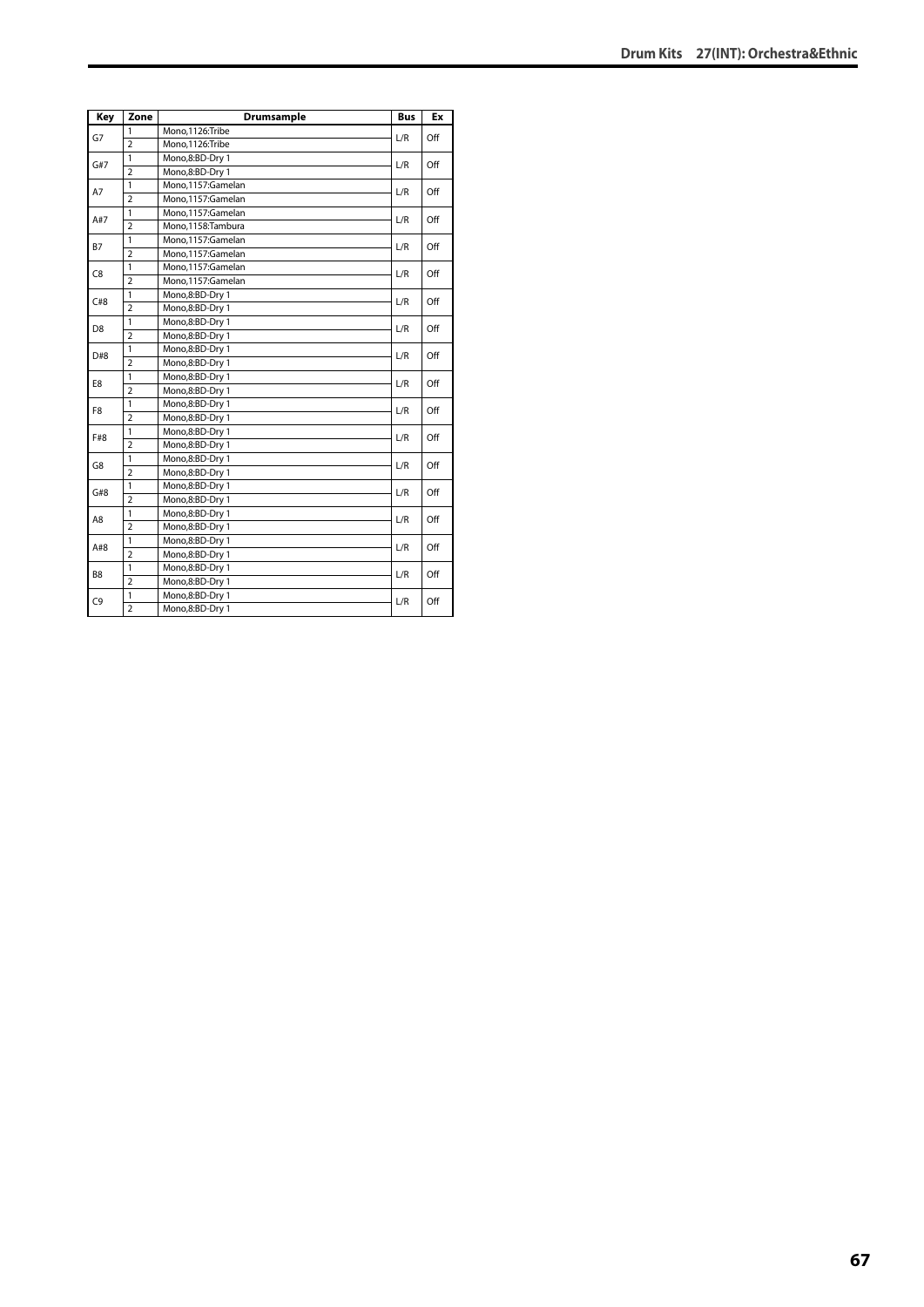| Key            | Zone           | <b>Drumsample</b> | <b>Bus</b> | Ex  |
|----------------|----------------|-------------------|------------|-----|
| G7             | 1              | Mono,1126:Tribe   | L/R        | Off |
|                | $\overline{2}$ | Mono.1126:Tribe   |            |     |
| G#7            | $\mathbf{1}$   | Mono,8:BD-Dry 1   |            | Off |
|                | $\overline{2}$ | Mono,8:BD-Dry 1   | L/R        |     |
| A7             | $\mathbf{1}$   | Mono.1157:Gamelan | L/R        | Off |
|                | $\overline{2}$ | Mono,1157:Gamelan |            |     |
| A#7            | $\mathbf{1}$   | Mono,1157:Gamelan | L/R        | Off |
|                | $\overline{2}$ | Mono,1158:Tambura |            |     |
| <b>B7</b>      | $\mathbf{1}$   | Mono,1157:Gamelan | L/R        | Off |
|                | $\overline{2}$ | Mono,1157:Gamelan |            |     |
| C8             | 1              | Mono,1157:Gamelan | L/R        | Off |
|                | $\overline{2}$ | Mono,1157:Gamelan |            |     |
| C#8            | 1              | Mono,8:BD-Dry 1   | L/R        | Off |
|                | $\overline{2}$ | Mono,8:BD-Dry 1   |            |     |
| D <sub>8</sub> | $\mathbf{1}$   | Mono,8:BD-Dry 1   | L/R        | Off |
|                | $\overline{2}$ | Mono,8:BD-Dry 1   |            |     |
| D#8            | $\mathbf{1}$   | Mono,8:BD-Dry 1   | L/R        | Off |
|                | $\overline{2}$ | Mono,8:BD-Dry 1   |            |     |
| E8             | 1              | Mono,8:BD-Dry 1   | L/R        | Off |
|                | $\overline{2}$ | Mono,8:BD-Dry 1   |            |     |
| F8             | $\mathbf{1}$   | Mono,8:BD-Dry 1   | L/R        | Off |
|                | $\overline{2}$ | Mono,8:BD-Dry 1   |            |     |
| F#8            | $\mathbf{1}$   | Mono,8:BD-Dry 1   | L/R        | Off |
|                | $\overline{2}$ | Mono,8:BD-Dry 1   |            |     |
| G8             | $\mathbf{1}$   | Mono,8:BD-Dry 1   | L/R        | Off |
|                | $\overline{2}$ | Mono,8:BD-Dry 1   |            |     |
| G#8            | $\mathbf{1}$   | Mono,8:BD-Dry 1   | L/R        | Off |
|                | $\overline{2}$ | Mono,8:BD-Dry 1   |            |     |
| A8             | $\mathbf{1}$   | Mono,8:BD-Dry 1   | L/R        | Off |
|                | $\overline{2}$ | Mono,8:BD-Dry 1   |            |     |
| A#8            | $\mathbf{1}$   | Mono,8:BD-Dry 1   | L/R        | Off |
|                | $\overline{2}$ | Mono,8:BD-Dry 1   |            |     |
| B <sub>8</sub> | 1              | Mono,8:BD-Dry 1   | L/R        | Off |
|                | $\overline{2}$ | Mono,8:BD-Dry 1   |            |     |
| C <sub>9</sub> | 1              | Mono,8:BD-Dry 1   | L/R        | Off |
|                | $\overline{2}$ | Mono,8:BD-Dry 1   |            |     |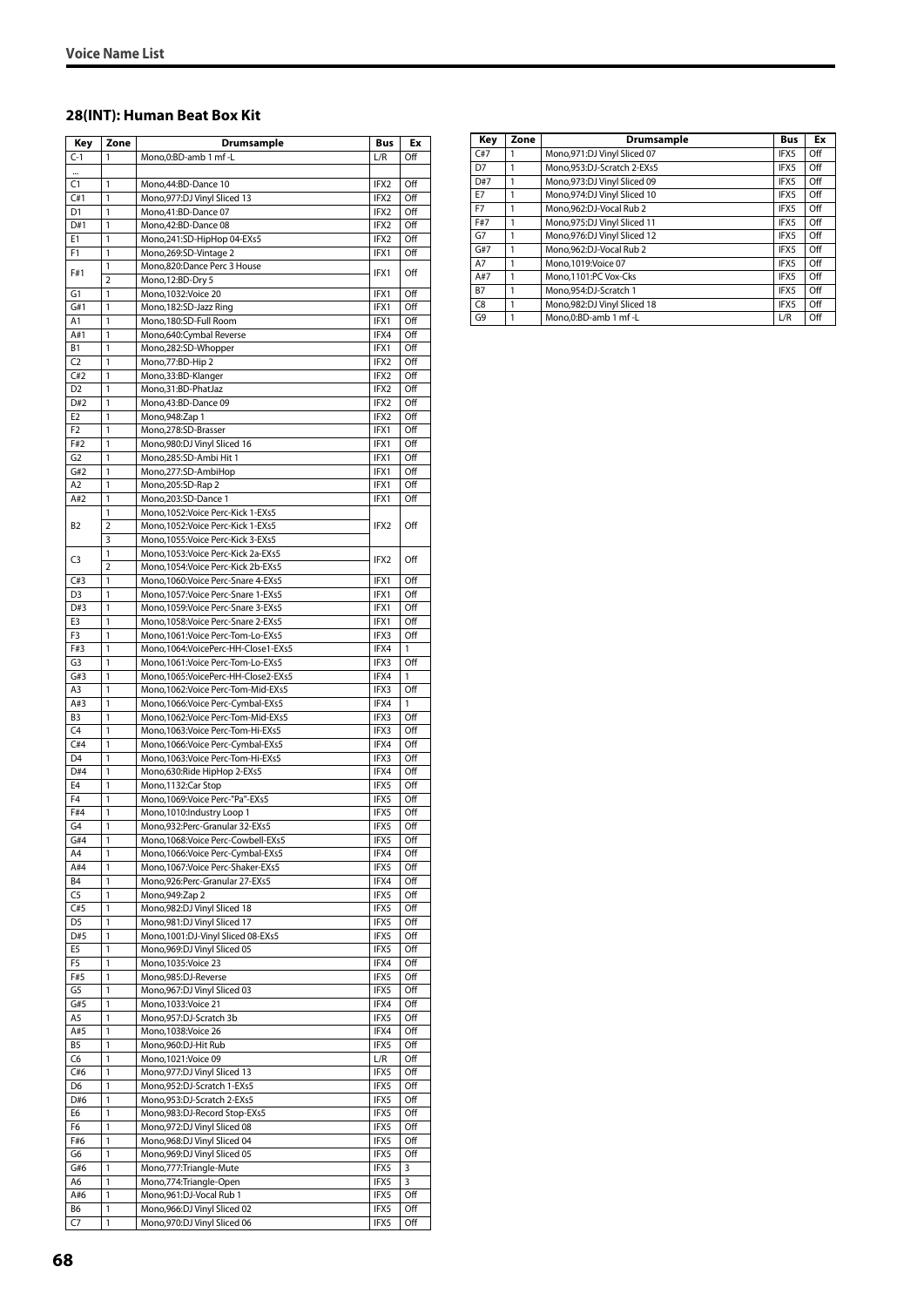### **28(INT): Human Beat Box Kit**

| Key                              | Zone              | <b>Drumsample</b>                                  | Bus              | Ex               |
|----------------------------------|-------------------|----------------------------------------------------|------------------|------------------|
| $C-1$                            | 1                 | Mono, 0: BD-amb 1 mf - L                           | L/R              | Off              |
| $\cdots$                         |                   |                                                    |                  |                  |
| C1                               | 1                 | Mono, 44: BD-Dance 10                              | IFX2             | Off              |
| C#1                              | 1                 | Mono, 977: DJ Vinyl Sliced 13                      | IFX2             | Off              |
| D <sub>1</sub>                   | 1                 | Mono,41:BD-Dance 07                                | IFX2             | Off              |
| D#1                              | 1                 | Mono, 42: BD-Dance 08                              | IFX2             | Off              |
| E1                               | 1                 | Mono,241:SD-HipHop 04-EXs5                         | IFX2             | Off              |
| F1                               | 1                 | Mono, 269: SD-Vintage 2                            | IFX1             | Off              |
| F#1                              | 1                 | Mono,820:Dance Perc 3 House                        | IFX1             | Off              |
|                                  | $\overline{2}$    | Mono, 12:BD-Dry 5                                  |                  |                  |
| G <sub>1</sub>                   | 1<br>1            | Mono, 1032: Voice 20                               | IFX1             | Off<br>Off       |
| G#1                              | 1                 | Mono, 182: SD-Jazz Ring<br>Mono, 180: SD-Full Room | IFX1<br>IFX1     | Off              |
| A1<br>A#1                        | 1                 | Mono,640:Cymbal Reverse                            | IFX4             | Off              |
| B <sub>1</sub>                   | 1                 |                                                    | IFX1             | Off              |
| C <sub>2</sub>                   | 1                 | Mono,282:SD-Whopper<br>Mono, 77: BD-Hip 2          | IFX2             | Off              |
| C#2                              | 1                 | Mono, 33: BD-Klanger                               | IFX2             | Off              |
| D <sub>2</sub>                   | 1                 | Mono,31:BD-PhatJaz                                 | IFX2             | Off              |
| D#2                              | 1                 | Mono, 43: BD-Dance 09                              | IFX2             | Off              |
| E <sub>2</sub>                   | 1                 | Mono, 948: Zap 1                                   | IFX2             | Off              |
| F <sub>2</sub>                   | 1                 | Mono,278:SD-Brasser                                | IFX1             | Off              |
| F#2                              | 1                 | Mono, 980: DJ Vinyl Sliced 16                      | IFX1             | Off              |
| G <sub>2</sub>                   | 1                 | Mono,285:SD-Ambi Hit 1                             | IFX1             | Off              |
| G#2                              | 1                 | Mono,277:SD-AmbiHop                                | IFX1             | Off              |
| A <sub>2</sub>                   | 1                 | Mono,205:SD-Rap 2                                  | IFX1             | Off              |
| A#2                              | 1                 | Mono,203:SD-Dance 1                                | IFX1             | Off              |
|                                  | 1                 | Mono, 1052: Voice Perc-Kick 1-EXs5                 |                  |                  |
| B <sub>2</sub>                   | $\overline{2}$    | Mono, 1052: Voice Perc-Kick 1-EXs5                 | IFX <sub>2</sub> | Off              |
|                                  | 3                 | Mono, 1055: Voice Perc-Kick 3-EXs5                 |                  |                  |
|                                  | 1                 | Mono, 1053: Voice Perc-Kick 2a-EXs5                |                  |                  |
| C3                               | $\overline{2}$    | Mono, 1054: Voice Perc-Kick 2b-EXs5                | IFX2             | Off              |
| C#3                              | 1                 | Mono, 1060: Voice Perc-Snare 4-EXs5                | IFX1             | Off              |
| D <sub>3</sub>                   | 1                 | Mono, 1057: Voice Perc-Snare 1-EXs5                | IFX1             | Off              |
| D#3                              | 1                 | Mono, 1059: Voice Perc-Snare 3-EXs5                | IFX1             | Off              |
| E3                               | 1                 | Mono, 1058: Voice Perc-Snare 2-EXs5                | IFX1             | Off              |
| F <sub>3</sub>                   | 1                 | Mono, 1061: Voice Perc-Tom-Lo-EXs5                 | IFX3             | Off              |
| F#3                              | 1                 | Mono,1064:VoicePerc-HH-Close1-EXs5                 | IFX4             | 1                |
| G <sub>3</sub>                   | 1                 | Mono, 1061: Voice Perc-Tom-Lo-EXs5                 | IFX3             | Off              |
| G#3                              | 1                 | Mono,1065:VoicePerc-HH-Close2-EXs5                 | IFX4             | 1                |
| A3                               | 1                 | Mono, 1062: Voice Perc-Tom-Mid-EXs5                | IFX3             | Off              |
| A#3                              | 1                 | Mono, 1066: Voice Perc-Cymbal-EXs5                 | IFX4             | 1                |
| B <sub>3</sub>                   | 1                 | Mono, 1062: Voice Perc-Tom-Mid-EXs5                | IFX3             | Off              |
| C <sub>4</sub>                   | 1                 | Mono, 1063: Voice Perc-Tom-Hi-EXs5                 | IFX3             | Off              |
| C#4                              | 1                 | Mono, 1066: Voice Perc-Cymbal-EXs5                 | IFX4             | $\overline{Off}$ |
| D <sub>4</sub>                   | 1                 | Mono, 1063: Voice Perc-Tom-Hi-EXs5                 | IFX3             | Off              |
| D#4                              | 1                 | Mono,630:Ride HipHop 2-EXs5                        | IFX4             | Off              |
| E <sub>4</sub>                   | 1                 | Mono, 1132: Car Stop                               | IFX5             | Off              |
| F4                               | 1                 | Mono, 1069: Voice Perc-"Pa"-EXs5                   | IFX5             | Off              |
| F#4                              | 1                 | Mono, 1010: Industry Loop 1                        | IFX5             | Off              |
| G <sub>4</sub>                   | $\mathbf{1}$      | Mono,932:Perc-Granular 32-EXs5                     | IFX5             | Off              |
| G#4                              | 1                 | Mono, 1068: Voice Perc-Cowbell-EXs5                | IFX5             | Off              |
| A4                               | 1                 | Mono, 1066: Voice Perc-Cymbal-EXs5                 | IFX4             | Off              |
| A#4                              | 1                 | Mono,1067: Voice Perc-Shaker-EXs5                  | IFX5             | Off              |
| B <sub>4</sub><br>C <sub>5</sub> | 1<br>$\mathbf{1}$ | Mono, 926: Perc-Granular 27-EXs5                   | IFX4<br>IFX5     | Off              |
| C#5                              | 1                 | Mono, 949: Zap 2<br>Mono, 982: DJ Vinyl Sliced 18  | IFX5             | Off<br>Off       |
| D <sub>5</sub>                   | 1                 | Mono, 981: DJ Vinyl Sliced 17                      | IFX5             | Off              |
| D#5                              | 1                 | Mono, 1001: DJ-Vinyl Sliced 08-EXs5                | IFX5             | Off              |
| E5                               | 1                 | Mono, 969: DJ Vinyl Sliced 05                      | IFX5             | Off              |
| F5                               | 1                 | Mono, 1035: Voice 23                               | IFX4             | Off              |
| F#5                              | 1                 | Mono,985:DJ-Reverse                                | IFX5             | Off              |
| G <sub>5</sub>                   | 1                 | Mono, 967: DJ Vinyl Sliced 03                      | IFX5             | Off              |
| G#5                              | $\mathbf{1}$      | Mono, 1033: Voice 21                               | IFX4             | Off              |
| A5                               | 1                 | Mono,957:DJ-Scratch 3b                             | IFX5             | Off              |
| A#5                              | 1                 | Mono, 1038: Voice 26                               | IFX4             | Off              |
| B <sub>5</sub>                   | 1                 | Mono,960:DJ-Hit Rub                                | IFX5             | Off              |
| C6                               | 1                 | Mono, 1021: Voice 09                               | L/R              | Off              |
| C#6                              | 1                 | Mono, 977: DJ Vinyl Sliced 13                      | IFX5             | Off              |
| D <sub>6</sub>                   | 1                 | Mono, 952: DJ-Scratch 1-EXs5                       | IFX5             | Off              |
| D#6                              | $\mathbf{1}$      | Mono, 953: DJ-Scratch 2-EXs5                       | IFX5             | Off              |
| E6                               | 1                 | Mono, 983: DJ-Record Stop-EXs5                     | IFX5             | Off              |
| F6                               | 1                 | Mono, 972: DJ Vinyl Sliced 08                      | IFX5             | Off              |
| F#6                              | 1                 | Mono, 968: DJ Vinyl Sliced 04                      | IFX5             | Off              |
| G6                               | 1                 | Mono, 969: DJ Vinyl Sliced 05                      | IFX5             | Off              |
| G#6                              | 1                 | Mono, 777: Triangle-Mute                           | IFX5             | 3                |
| A6                               | 1                 | Mono, 774: Triangle-Open                           | IFX5             | 3                |
| A#6                              | 1                 | Mono, 961: DJ-Vocal Rub 1                          | IFX5             | Off              |
| B6                               | 1                 | Mono, 966: DJ Vinyl Sliced 02                      | IFX5             | Off              |
| C7                               | 1                 | Mono, 970: DJ Vinyl Sliced 06                      | IFX5             | Off              |
|                                  |                   |                                                    |                  |                  |

| Key            | Zone | Drumsample                    | <b>Bus</b> | Ex  |
|----------------|------|-------------------------------|------------|-----|
| C#7            |      | Mono, 971: DJ Vinyl Sliced 07 | IFX5       | Off |
| D7             |      | Mono.953:DJ-Scratch 2-EXs5    | IFX5       | Off |
| D#7            |      | Mono, 973: DJ Vinyl Sliced 09 | IFX5       | Off |
| E7             |      | Mono, 974: DJ Vinyl Sliced 10 | IFX5       | Off |
| F7             |      | Mono.962:DJ-Vocal Rub 2       | IFX5       | Off |
| F#7            |      | Mono, 975: DJ Vinyl Sliced 11 | IFX5       | Off |
| G7             |      | Mono, 976: DJ Vinyl Sliced 12 | IFX5       | Off |
| G#7            |      | Mono,962:DJ-Vocal Rub 2       | IFX5       | Off |
| A7             | 1    | Mono.1019: Voice 07           | IFX5       | Off |
| A#7            |      | Mono.1101:PC Vox-Cks          | IFX5       | Off |
| <b>B7</b>      |      | Mono.954:DJ-Scratch 1         | IFX5       | Off |
| C <sub>8</sub> |      | Mono, 982: DJ Vinyl Sliced 18 | IFX5       | Off |
| G9             |      | Mono.0:BD-amb 1 mf -L         | L/R        | Off |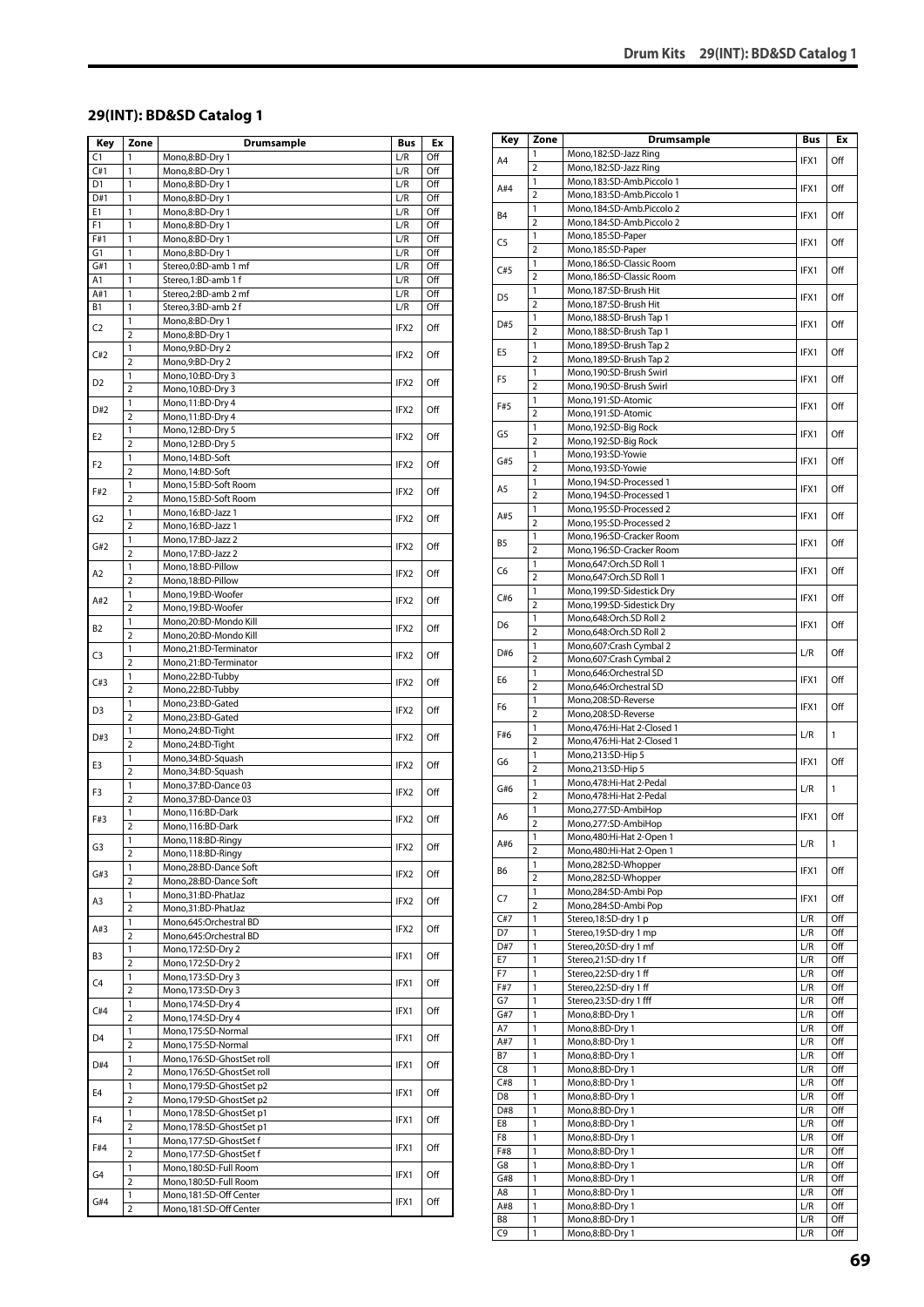#### **29(INT): BD&SD Catalog 1**

| Key            | Zone                         | <b>Drumsample</b>                                      | Bus        | Ex         |
|----------------|------------------------------|--------------------------------------------------------|------------|------------|
| C1             | 1                            | Mono,8:BD-Dry 1                                        | L/R        | Off        |
| C#1            | 1                            | Mono,8:BD-Dry 1                                        | L/R        | Off        |
| D1             | 1                            | Mono,8:BD-Dry 1                                        | L/R        | Off        |
| D#1            | 1                            | Mono,8:BD-Dry 1                                        | L/R        | Off        |
| E1             | $\mathbf{1}$                 | Mono,8:BD-Dry 1                                        | L/R        | Off        |
| F1<br>F#1      | 1<br>1                       | Mono,8:BD-Dry 1<br>Mono,8:BD-Dry 1                     | L/R<br>L/R | Off<br>Off |
| G1             | 1                            | Mono,8:BD-Dry 1                                        | L/R        | Off        |
| G#1            | 1                            | Stereo, 0: BD-amb 1 mf                                 | L/R        | Off        |
| A1             | 1                            | Stereo,1:BD-amb 1 f                                    | L/R        | Off        |
| A#1            | 1                            | Stereo,2:BD-amb 2 mf                                   | L/R        | Off        |
| B1             | $\mathbf{1}$                 | Stereo,3:BD-amb 2 f                                    | L/R        | Off        |
| C <sub>2</sub> | 1                            | Mono,8:BD-Dry 1                                        | IFX2       | Off        |
|                | $\overline{2}$<br>1          | Mono,8:BD-Dry 1<br>Mono,9:BD-Dry 2                     |            |            |
| C#2            | $\overline{2}$               | Mono, 9:BD-Dry 2                                       | IFX2       | Off        |
|                | 1                            | Mono, 10:BD-Dry 3                                      |            |            |
| D <sub>2</sub> | $\overline{2}$               | Mono, 10:BD-Dry 3                                      | IFX2       | Off        |
| D#2            | 1                            | Mono, 11:BD-Dry 4                                      | IFX2       | Off        |
|                | $\overline{2}$               | Mono, 11:BD-Dry 4                                      |            |            |
| E2             | 1                            | Mono, 12:BD-Dry 5                                      | IFX2       | Off        |
|                | $\overline{2}$<br>1          | Mono, 12:BD-Dry 5<br>Mono, 14:BD-Soft                  |            |            |
| F <sub>2</sub> | $\overline{2}$               | Mono, 14:BD-Soft                                       | IFX2       | Off        |
|                | 1                            | Mono, 15:BD-Soft Room                                  |            |            |
| F#2            | $\overline{2}$               | Mono, 15:BD-Soft Room                                  | IFX2       | Off        |
| G <sub>2</sub> | 1                            | Mono, 16: BD-Jazz 1                                    | IFX2       | Off        |
|                | $\overline{2}$               | Mono, 16:BD-Jazz 1                                     |            |            |
| G#2            | 1                            | Mono, 17:BD-Jazz 2                                     | IFX2       | Off        |
|                | 2<br>1                       | Mono, 17:BD-Jazz 2<br>Mono,18:BD-Pillow                |            |            |
| A2             | $\overline{2}$               | Mono, 18:BD-Pillow                                     | IFX2       | Off        |
|                | 1                            | Mono,19:BD-Woofer                                      |            |            |
| A#2            | $\overline{2}$               | Mono,19:BD-Woofer                                      | IFX2       | Off        |
| B2             | $\mathbf{1}$                 | Mono,20:BD-Mondo Kill                                  | IFX2       | Off        |
|                | $\overline{2}$               | Mono,20:BD-Mondo Kill                                  |            |            |
| C3             | 1                            | Mono,21:BD-Terminator                                  | IFX2       | Off        |
|                | $\overline{2}$<br>1          | Mono,21:BD-Terminator<br>Mono,22:BD-Tubby              |            |            |
| C#3            | $\overline{2}$               | Mono,22:BD-Tubby                                       | IFX2       | Off        |
|                | 1                            | Mono,23:BD-Gated                                       |            |            |
| D3             | $\overline{2}$               | Mono,23:BD-Gated                                       | IFX2       | Off        |
| D#3            | 1                            | Mono,24:BD-Tight                                       | IFX2       | Off        |
|                | $\overline{2}$               | Mono,24:BD-Tight                                       |            |            |
| E3             | 1<br>$\overline{2}$          | Mono, 34: BD-Squash<br>Mono,34:BD-Squash               | IFX2       | Off        |
|                | 1                            | Mono, 37: BD-Dance 03                                  |            |            |
| F3             | $\overline{2}$               | Mono, 37: BD-Dance 03                                  | IFX2       | Off        |
| F#3            | 1                            | Mono, 116:BD-Dark                                      | IFX2       | Off        |
|                | $\overline{2}$               | Mono, 116: BD-Dark                                     |            |            |
| G3             | 1                            | Mono,118:BD-Ringy                                      | IFX2       | Off        |
|                | $\overline{2}$               | Mono, 118: BD-Ringy<br>Mono,28:BD-Dance Soft           |            |            |
| G#3            | 1<br>$\overline{\mathbf{c}}$ | Mono,28:BD-Dance Soft                                  | IFX2       | Off        |
|                | 1                            | Mono,31:BD-PhatJaz                                     |            |            |
| A3             | 2                            | Mono,31:BD-PhatJaz                                     | IFX2       | Off        |
| A#3            | 1                            | Mono,645:Orchestral BD                                 | IFX2       | Off        |
|                | $\overline{2}$               | Mono,645:Orchestral BD                                 |            |            |
| B3             | 1                            | Mono,172:SD-Dry 2                                      | IFX1       | Off        |
|                | 2<br>1                       | Mono, 172: SD-Dry 2<br>Mono, 173: SD-Dry 3             |            |            |
| C4             | $\overline{2}$               | Mono, 173: SD-Dry 3                                    | IFX1       | Off        |
|                | 1                            | Mono, 174: SD-Dry 4                                    | IFX1       |            |
| C#4            | $\overline{2}$               | Mono, 174: SD-Dry 4                                    |            | Off        |
| D4             | 1                            | Mono,175:SD-Normal                                     | IFX1       | Off        |
|                | $\overline{2}$               | Mono,175:SD-Normal                                     |            |            |
| D#4            | 1<br>$\overline{2}$          | Mono,176:SD-GhostSet roll<br>Mono,176:SD-GhostSet roll | IFX1       | Off        |
|                | 1                            | Mono,179:SD-GhostSet p2                                |            |            |
| E4             | $\overline{\mathbf{c}}$      | Mono,179:SD-GhostSet p2                                | IFX1       | Off        |
| F4             | 1                            | Mono,178:SD-GhostSet p1                                | IFX1       | Off        |
|                | $\overline{2}$               | Mono,178:SD-GhostSet p1                                |            |            |
| F#4            | 1                            | Mono,177:SD-GhostSet f                                 | IFX1       | Off        |
|                | $\overline{2}$<br>1          | Mono,177:SD-GhostSet f<br>Mono,180:SD-Full Room        |            |            |
| G4             | $\overline{2}$               | Mono,180:SD-Full Room                                  | IFX1       | Off        |
|                | 1                            | Mono, 181: SD-Off Center                               |            |            |
| G#4            | $\overline{2}$               | Mono, 181: SD-Off Center                               | IFX1       | Off        |

| Key            | Zone                | <b>Drumsample</b>                                      | Bus        | Ex           |
|----------------|---------------------|--------------------------------------------------------|------------|--------------|
| A4             | 1                   | Mono, 182: SD-Jazz Ring                                | IFX1       | Off          |
|                | $\overline{2}$<br>1 | Mono, 182: SD-Jazz Ring                                |            |              |
| A#4            | 2                   | Mono,183:SD-Amb.Piccolo 1<br>Mono,183:SD-Amb.Piccolo 1 | IFX1       | Off          |
| B <sub>4</sub> | 1                   | Mono,184:SD-Amb.Piccolo 2                              |            | Off          |
|                | $\overline{2}$      | Mono,184:SD-Amb.Piccolo 2                              | IFX1       |              |
| C <sub>5</sub> | 1                   | Mono,185:SD-Paper                                      | IFX1       | Off          |
|                | $\overline{2}$<br>1 | Mono,185:SD-Paper<br>Mono, 186: SD-Classic Room        |            |              |
| C#5            | $\overline{2}$      | Mono, 186: SD-Classic Room                             | IFX1       | Off          |
| D5             | 1                   | Mono, 187: SD-Brush Hit                                | IFX1       | Off          |
|                | 2                   | Mono, 187: SD-Brush Hit                                |            |              |
| D#5            | 1<br>$\overline{2}$ | Mono, 188: SD-Brush Tap 1                              | IFX1       | Off          |
|                | 1                   | Mono, 188: SD-Brush Tap 1<br>Mono, 189: SD-Brush Tap 2 |            |              |
| E <sub>5</sub> | $\overline{2}$      | Mono, 189: SD-Brush Tap 2                              | IFX1       | Off          |
| F5             | 1                   | Mono,190:SD-Brush Swirl                                | IFX1       | Off          |
|                | $\overline{2}$      | Mono,190:SD-Brush Swirl                                |            |              |
| F#5            | 1<br>$\overline{2}$ | Mono,191:SD-Atomic<br>Mono,191:SD-Atomic               | IFX1       | Off          |
|                | 1                   | Mono,192:SD-Big Rock                                   |            |              |
| G5             | $\overline{2}$      | Mono,192:SD-Big Rock                                   | IFX1       | Off          |
| G#5            | 1                   | Mono,193:SD-Yowie                                      | IFX1       | Off          |
|                | $\overline{2}$      | Mono,193:SD-Yowie                                      |            |              |
| A5             | 1                   | Mono, 194: SD-Processed 1                              | IFX1       | Off          |
|                | $\overline{2}$<br>1 | Mono, 194: SD-Processed 1<br>Mono,195:SD-Processed 2   |            |              |
| A#5            | 2                   | Mono.195:SD-Processed 2                                | IFX1       | Off          |
| B5             | 1                   | Mono,196:SD-Cracker Room                               | IFX1       | Off          |
|                | $\overline{2}$      | Mono,196:SD-Cracker Room                               |            |              |
| C6             | 1<br>$\overline{2}$ | Mono,647:Orch.SD Roll 1                                | IFX1       | Off          |
|                | 1                   | Mono,647:Orch.SD Roll 1<br>Mono,199:SD-Sidestick Dry   |            |              |
| C#6            | 2                   | Mono,199:SD-Sidestick Dry                              | IFX1       | Off          |
| D6             | 1                   | Mono,648:Orch.SD Roll 2                                | IFX1       | Off          |
|                | $\overline{2}$      | Mono,648:Orch.SD Roll 2                                |            |              |
| D#6            | 1<br>2              | Mono,607:Crash Cymbal 2                                | L/R        | Off          |
|                | 1                   | Mono,607:Crash Cymbal 2<br>Mono,646:Orchestral SD      |            |              |
| E6             | $\overline{2}$      | Mono,646:Orchestral SD                                 | IFX1       | Off          |
| F6             | 1                   | Mono,208:SD-Reverse                                    | IFX1       | Off          |
|                | 2                   | Mono,208:SD-Reverse                                    |            |              |
| F#6            | 1<br>$\overline{2}$ | Mono, 476: Hi-Hat 2-Closed 1                           | L/R        | $\mathbf{1}$ |
|                | 1                   | Mono, 476: Hi-Hat 2-Closed 1<br>Mono, 213: SD-Hip 5    |            |              |
| G6             | $\overline{2}$      | Mono, 213: SD-Hip 5                                    | IFX1       | Off          |
| G#6            | 1                   | Mono,478:Hi-Hat 2-Pedal                                | L/R        | $\mathbf{1}$ |
|                | $\overline{2}$      | Mono,478:Hi-Hat 2-Pedal                                |            |              |
| A6             | 1<br>$\overline{2}$ | Mono,277:SD-AmbiHop<br>Mono.277:SD-AmbiHop             | IFX1       | Off          |
|                | 1                   | Mono, 480: Hi-Hat 2-Open 1                             |            |              |
| A#6            | $\overline{2}$      | Mono, 480: Hi-Hat 2-Open 1                             | L/R        | $\mathbf{1}$ |
| B6             | 1                   | Mono,282:SD-Whopper                                    | IFX1       | Off          |
|                | $\overline{2}$      | Mono,282:SD-Whopper                                    |            |              |
| C7             | 1<br>$\overline{2}$ | Mono,284:SD-Ambi Pop                                   | IFX1       | Off          |
| C#7            | 1                   | Mono,284:SD-Ambi Pop<br>Stereo, 18:SD-dry 1 p          | L/R        | Off          |
| D7             | 1                   | Stereo,19:SD-dry 1 mp                                  | L/R        | Off          |
| D#7            | 1                   | Stereo,20:SD-dry 1 mf                                  | L/R        | Off          |
| E7             | 1                   | Stereo,21:SD-dry 1 f                                   | L/R        | Off          |
| F7             | 1                   | Stereo,22:SD-dry 1 ff                                  | L/R        | Off          |
| F#7<br>G7      | 1<br>1              | Stereo,22:SD-dry 1 ff<br>Stereo,23:SD-dry 1 fff        | L/R<br>L/R | Off<br>Off   |
| G#7            | 1                   | Mono,8:BD-Dry 1                                        | L/R        | Off          |
| A7             | 1                   | Mono,8:BD-Dry 1                                        | L/R        | Off          |
| A#7            | 1                   | Mono,8:BD-Dry 1                                        | L/R        | Off          |
| <b>B7</b>      | 1                   | Mono,8:BD-Dry 1                                        | L/R        | Off          |
| C8<br>C#8      | 1<br>1              | Mono,8:BD-Dry 1<br>Mono,8:BD-Dry 1                     | L/R<br>L/R | Off<br>Off   |
| D8             | 1                   | Mono,8:BD-Dry 1                                        | L/R        | Off          |
| D#8            | $\mathbf{1}$        | Mono,8:BD-Dry 1                                        | L/R        | Off          |
| E8             | 1                   | Mono,8:BD-Dry 1                                        | L/R        | Off          |
| F8             | 1                   | Mono,8:BD-Dry 1                                        | L/R        | Off          |
| F#8<br>G8      | 1<br>1              | Mono,8:BD-Dry 1<br>Mono,8:BD-Dry 1                     | L/R<br>L/R | Off<br>Off   |
| G#8            | 1                   | Mono,8:BD-Dry 1                                        | L/R        | Off          |
| A8             | 1                   | Mono,8:BD-Dry 1                                        | L/R        | Off          |
| A#8            | 1                   | Mono,8:BD-Dry 1                                        | L/R        | Off          |
| B8             | 1                   | Mono,8:BD-Dry 1                                        | L/R        | Off          |
| C9             | 1                   | Mono,8:BD-Dry 1                                        | L/R        | Off          |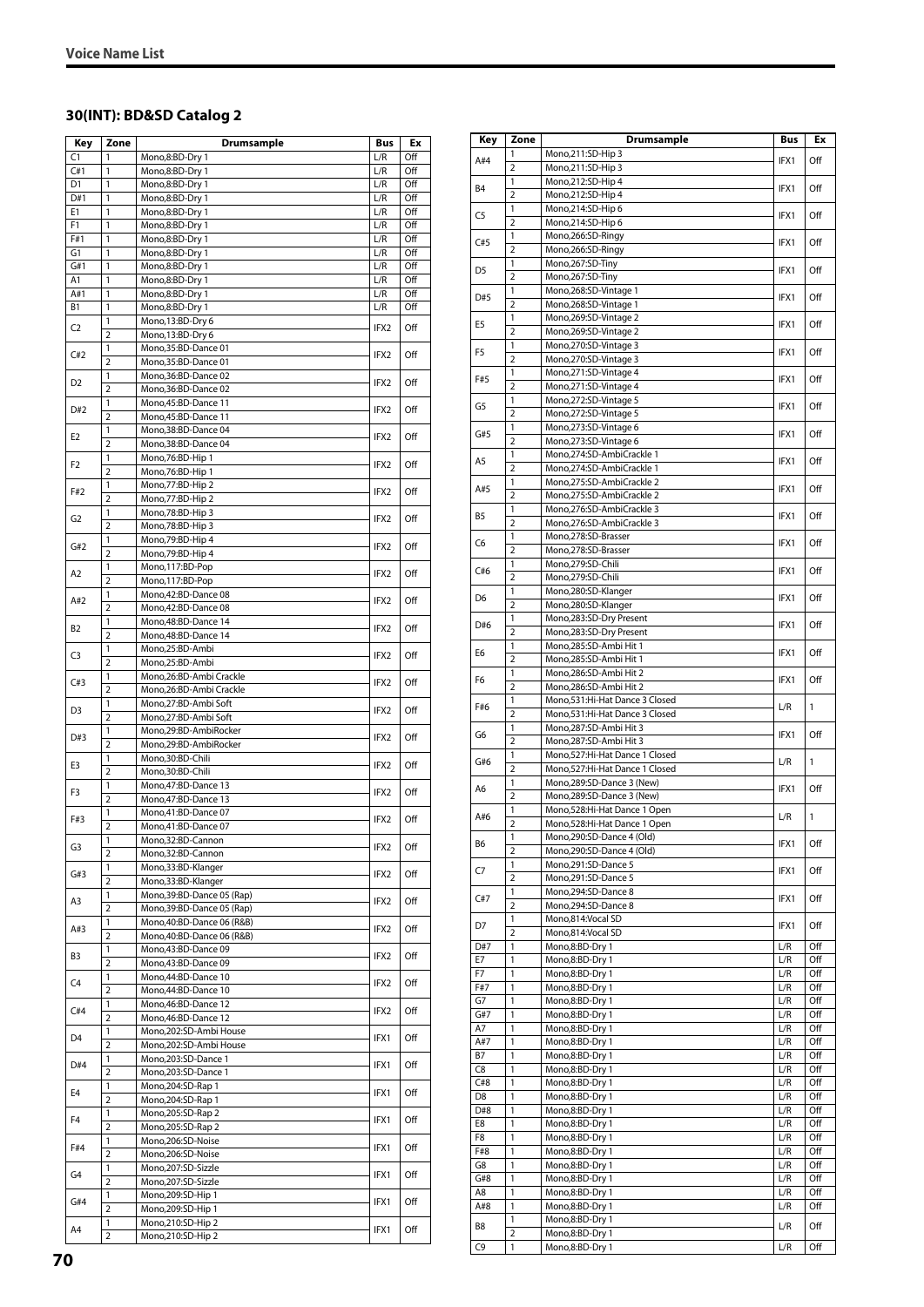# **30(INT): BD&SD Catalog 2**

| Key                   | Zone                | Drumsample                                     | Bus              | Ex         |
|-----------------------|---------------------|------------------------------------------------|------------------|------------|
| C1                    | 1                   | Mono,8:BD-Dry 1                                | L/R              | Off        |
| C#1                   | 1                   | Mono,8:BD-Dry 1                                | L/R              | Off        |
| D <sub>1</sub>        | 1                   | Mono,8:BD-Dry 1                                | L/R              | Off        |
| D#1                   | 1                   | Mono,8:BD-Dry 1                                | L/R              | Off        |
| E1                    | 1<br>$\mathbf{1}$   | Mono,8:BD-Dry 1                                | L/R              | Off        |
| F <sub>1</sub><br>F#1 | 1                   | Mono,8:BD-Dry 1<br>Mono,8:BD-Dry 1             | L/R<br>L/R       | Off<br>Off |
| G1                    | 1                   | Mono,8:BD-Dry 1                                | L/R              | Off        |
| G#1                   | 1                   | Mono,8:BD-Dry 1                                | L/R              | Off        |
| A1                    | 1                   | Mono,8:BD-Dry 1                                | L/R              | Off        |
| A#1                   | 1                   | Mono,8:BD-Dry 1                                | L/R              | Off        |
| <b>B1</b>             | 1                   | Mono,8:BD-Dry 1                                | L/R              | Off        |
| C2                    | 1                   | Mono, 13:BD-Dry 6                              | IFX2             | Off        |
|                       | $\overline{2}$<br>1 | Mono, 13:BD-Dry 6<br>Mono, 35: BD-Dance 01     |                  |            |
| C#2                   | $\overline{2}$      | Mono, 35: BD-Dance 01                          | IFX2             | Off        |
|                       | 1                   | Mono, 36: BD-Dance 02                          |                  |            |
| D <sub>2</sub>        | $\overline{2}$      | Mono, 36: BD-Dance 02                          | IFX2             | Off        |
| D#2                   | 1                   | Mono, 45: BD-Dance 11                          | IFX2             | Off        |
|                       | $\overline{2}$      | Mono,45:BD-Dance 11                            |                  |            |
| E <sub>2</sub>        | 1                   | Mono, 38: BD-Dance 04                          | IFX2             | Off        |
|                       | 2<br>1              | Mono, 38: BD-Dance 04<br>Mono,76:BD-Hip 1      |                  |            |
| F2                    | $\overline{2}$      | Mono, 76: BD-Hip 1                             | IFX2             | Off        |
|                       | 1                   | Mono, 77: BD-Hip 2                             |                  |            |
| F#2                   | 2                   | Mono, 77: BD-Hip 2                             | IFX2             | Off        |
| G2                    | 1                   | Mono, 78: BD-Hip 3                             | IFX2             | Off        |
|                       | $\overline{2}$      | Mono, 78: BD-Hip 3                             |                  |            |
| G#2                   | $\mathbf{1}$        | Mono, 79: BD-Hip 4                             | IFX2             | Off        |
|                       | $\overline{2}$<br>1 | Mono, 79: BD-Hip 4<br>Mono, 117:BD-Pop         |                  |            |
| A2                    | $\overline{2}$      | Mono,117:BD-Pop                                | IFX2             | Off        |
|                       | 1                   | Mono, 42: BD-Dance 08                          |                  |            |
| A#2                   | $\overline{2}$      | Mono, 42: BD-Dance 08                          | IFX2             | Off        |
| B2                    | 1                   | Mono, 48: BD-Dance 14                          | IFX <sub>2</sub> | Off        |
|                       | $\overline{2}$      | Mono, 48: BD-Dance 14                          |                  |            |
| C3                    | 1                   | Mono,25:BD-Ambi                                | IFX2             | Off        |
|                       | $\overline{2}$<br>1 | Mono,25:BD-Ambi<br>Mono,26:BD-Ambi Crackle     |                  |            |
| C#3                   | $\overline{2}$      | Mono, 26: BD-Ambi Crackle                      | IFX2             | Off        |
|                       | 1                   | Mono,27:BD-Ambi Soft                           |                  |            |
| D <sub>3</sub>        | $\overline{2}$      | Mono,27:BD-Ambi Soft                           | IFX2             | Off        |
| D#3                   | $\mathbf{1}$        | Mono,29:BD-AmbiRocker                          | IFX2             | Off        |
|                       | $\overline{2}$      | Mono,29:BD-AmbiRocker                          |                  |            |
| E3                    | 1                   | Mono,30:BD-Chili                               | IFX2             | Off        |
|                       | $\overline{2}$<br>1 | Mono, 30: BD-Chili<br>Mono, 47: BD-Dance 13    |                  |            |
| F3                    | $\overline{2}$      | Mono, 47: BD-Dance 13                          | IFX2             | Off        |
|                       | 1                   | Mono,41:BD-Dance 07                            |                  |            |
| F#3                   | $\overline{2}$      | Mono,41:BD-Dance 07                            | IFX2             | Off        |
| G3                    | 1                   | Mono,32:BD-Cannon                              | IFX2             | Off        |
|                       | 2                   | Mono,32:BD-Cannon                              |                  |            |
| G#3                   | 1<br>2              | Mono, 33: BD-Klanger<br>Mono, 33: BD-Klanger   | IFX2             | Off        |
|                       | 1                   | Mono, 39: BD-Dance 05 (Rap)                    |                  |            |
| A3                    | 2                   | Mono, 39: BD-Dance 05 (Rap)                    | IFX2             | Off        |
|                       | 1                   | Mono, 40: BD-Dance 06 (R&B)                    |                  |            |
| A#3                   | $\overline{2}$      | Mono, 40: BD-Dance 06 (R&B)                    | IFX2             | Off        |
| B3                    | 1                   | Mono, 43: BD-Dance 09                          | IFX2             | Off        |
|                       | 2                   | Mono,43:BD-Dance 09                            |                  |            |
| C4                    | 1<br>2              | Mono, 44: BD-Dance 10<br>Mono, 44: BD-Dance 10 | IFX2             | Off        |
|                       | 1                   | Mono, 46: BD-Dance 12                          |                  |            |
| C#4                   | 2                   | Mono, 46: BD-Dance 12                          | IFX2             | Off        |
| D4                    | 1                   | Mono,202:SD-Ambi House                         | IFX1             | Off        |
|                       | $\overline{2}$      | Mono,202:SD-Ambi House                         |                  |            |
| D#4                   | 1                   | Mono,203:SD-Dance 1                            | IFX1             | Off        |
|                       | 2<br>1              | Mono,203:SD-Dance 1<br>Mono,204:SD-Rap 1       |                  |            |
| E4                    | $\overline{2}$      | Mono, 204: SD-Rap 1                            | IFX1             | Off        |
|                       | 1                   | Mono,205:SD-Rap 2                              |                  |            |
| F <sub>4</sub>        | $\overline{2}$      | Mono,205:SD-Rap 2                              | IFX1             | Off        |
| F#4                   | 1                   | Mono,206:SD-Noise                              | IFX1             | Off        |
|                       | $\overline{2}$      | Mono,206:SD-Noise                              |                  |            |
| G4                    | 1                   | Mono,207:SD-Sizzle                             | IFX1             | Off        |
|                       | $\overline{2}$<br>1 | Mono,207:SD-Sizzle                             |                  |            |
| G#4                   | $\overline{2}$      | Mono, 209: SD-Hip 1<br>Mono, 209: SD-Hip 1     | IFX1             | Off        |
|                       | 1                   | Mono,210:SD-Hip 2                              |                  |            |
| A4                    | $\overline{2}$      | Mono,210:SD-Hip 2                              | IFX1             | Off        |

| Key            | Zone                           | Drumsample                                             | <b>Bus</b> | Ex           |
|----------------|--------------------------------|--------------------------------------------------------|------------|--------------|
| A#4            | 1                              | Mono,211:SD-Hip 3                                      | IFX1       | Off          |
|                | $\overline{2}$                 | Mono,211:SD-Hip 3                                      |            |              |
| B <sub>4</sub> | 1                              | Mono,212:SD-Hip 4                                      | IFX1       | Off          |
|                | 2                              | Mono,212:SD-Hip 4                                      |            |              |
| C5             | 1<br>$\overline{2}$            | Mono,214:SD-Hip 6<br>Mono,214:SD-Hip 6                 | IFX1       | Off          |
|                | 1                              | Mono,266:SD-Ringy                                      |            |              |
| C#5            | $\overline{2}$                 | Mono,266:SD-Ringy                                      | IFX1       | Off          |
| D <sub>5</sub> | 1                              | Mono,267:SD-Tiny                                       | IFX1       | Off          |
|                | $\overline{2}$                 | Mono,267:SD-Tiny                                       |            |              |
| D#5            | 1                              | Mono,268:SD-Vintage 1                                  | IFX1       | Off          |
|                | $\overline{2}$                 | Mono,268:SD-Vintage 1                                  |            |              |
| E5             | 1<br>$\overline{2}$            | Mono,269:SD-Vintage 2<br>Mono,269:SD-Vintage 2         | IFX1       | Off          |
|                | 1                              | Mono,270:SD-Vintage 3                                  |            |              |
| F5             | $\overline{2}$                 | Mono,270:SD-Vintage 3                                  | IFX1       | Off          |
|                | 1                              | Mono,271:SD-Vintage 4                                  |            |              |
| F#5            | $\overline{2}$                 | Mono,271:SD-Vintage 4                                  | IFX1       | Off          |
| G5             | 1                              | Mono,272:SD-Vintage 5                                  | IFX1       | Off          |
|                | $\overline{2}$                 | Mono,272:SD-Vintage 5                                  |            |              |
| G#5            | 1                              | Mono,273:SD-Vintage 6                                  | IFX1       | Off          |
|                | $\overline{2}$<br>1            | Mono,273:SD-Vintage 6                                  |            |              |
| A5             | $\overline{2}$                 | Mono,274:SD-AmbiCrackle 1<br>Mono,274:SD-AmbiCrackle 1 | IFX1       | Off          |
|                | 1                              | Mono,275:SD-AmbiCrackle 2                              |            |              |
| A#5            | $\overline{2}$                 | Mono,275:SD-AmbiCrackle 2                              | IFX1       | Off          |
|                | 1                              | Mono,276:SD-AmbiCrackle 3                              |            |              |
| B <sub>5</sub> | $\overline{2}$                 | Mono,276:SD-AmbiCrackle 3                              | IFX1       | Off          |
| C6             | 1                              | Mono,278:SD-Brasser                                    | IFX1       | Off          |
|                | $\overline{2}$                 | Mono,278:SD-Brasser                                    |            |              |
| C#6            | 1                              | Mono,279:SD-Chili                                      | IFX1       | Off          |
|                | $\overline{2}$<br>$\mathbf{1}$ | Mono,279:SD-Chili<br>Mono,280:SD-Klanger               |            |              |
| D6             | $\overline{2}$                 | Mono,280:SD-Klanger                                    | IFX1       | Off          |
|                | 1                              | Mono,283:SD-Dry Present                                |            |              |
| D#6            | $\overline{2}$                 | Mono,283:SD-Dry Present                                | IFX1       | Off          |
|                | 1                              | Mono,285:SD-Ambi Hit 1                                 |            |              |
| E6             | $\overline{2}$                 | Mono,285:SD-Ambi Hit 1                                 | IFX1       | Off          |
| F <sub>6</sub> | 1                              | Mono,286:SD-Ambi Hit 2                                 | IFX1       | Off          |
|                | $\overline{2}$                 | Mono,286:SD-Ambi Hit 2                                 |            |              |
| F#6            | 1                              | Mono,531:Hi-Hat Dance 3 Closed                         | L/R        | $\mathbf{1}$ |
|                | $\overline{2}$                 | Mono,531:Hi-Hat Dance 3 Closed                         |            |              |
| G6             | 1<br>$\overline{2}$            | Mono,287:SD-Ambi Hit 3<br>Mono,287:SD-Ambi Hit 3       | IFX1       | Off          |
|                | 1                              | Mono,527:Hi-Hat Dance 1 Closed                         |            |              |
| G#6            | $\overline{2}$                 | Mono,527:Hi-Hat Dance 1 Closed                         | L/R        | $\mathbf{1}$ |
|                | 1                              | Mono,289:SD-Dance 3 (New)                              |            |              |
| A6             | $\overline{2}$                 | Mono,289:SD-Dance 3 (New)                              | IFX1       | Off          |
| A#6            | 1                              | Mono,528:Hi-Hat Dance 1 Open                           | L/R        | 1            |
|                | $\overline{2}$                 | Mono,528:Hi-Hat Dance 1 Open                           |            |              |
| B6             | 1                              | Mono,290:SD-Dance 4 (Old)                              | IFX1       | Off          |
|                | $\overline{2}$                 | Mono,290:SD-Dance 4 (Old)                              |            |              |
| C7             | 1<br>$\overline{2}$            | Mono,291:SD-Dance 5<br>Mono,291:SD-Dance 5             | IFX1       | Off          |
|                | 1                              | Mono,294:SD-Dance 8                                    |            |              |
| C#7            | $\overline{2}$                 | Mono,294:SD-Dance 8                                    | IFX1       | Off          |
|                | 1                              | Mono,814:Vocal SD                                      |            |              |
| D7             | 2                              | Mono,814:Vocal SD                                      | IFX1       | Off          |
| D#7            | 1                              | Mono,8:BD-Dry 1                                        | L/R        | Off          |
| E7             | 1                              | Mono,8:BD-Dry 1                                        | L/R        | Off          |
| F7             | $\mathbf{1}$                   | Mono,8:BD-Dry 1                                        | L/R        | Off          |
| F#7            | 1                              | Mono,8:BD-Dry 1                                        | L/R        | Off          |
| G7<br>G#7      | $\mathbf{1}$<br>$\mathbf{1}$   | Mono,8:BD-Dry 1<br>Mono,8:BD-Dry 1                     | L/R<br>L/R | Off<br>Off   |
| A7             | 1                              | Mono,8:BD-Dry 1                                        | L/R        | Off          |
| A#7            | 1                              | Mono,8:BD-Dry 1                                        | L/R        | Off          |
| <b>B7</b>      | 1                              | Mono,8:BD-Dry 1                                        | L/R        | Off          |
| C8             | $\mathbf{1}$                   | Mono,8:BD-Dry 1                                        | L/R        | Off          |
| C#8            | 1                              | Mono,8:BD-Dry 1                                        | L/R        | Off          |
| D8             | $\mathbf{1}$                   | Mono,8:BD-Dry 1                                        | L/R        | Off          |
| D#8            | 1                              | Mono,8:BD-Dry 1                                        | L/R        | Off          |
| E8             | 1                              | Mono,8:BD-Dry 1                                        | L/R        | Off          |
| F8             | 1                              | Mono,8:BD-Dry 1                                        | L/R        | Off          |
| F#8<br>G8      | 1<br>1                         | Mono,8:BD-Dry 1<br>Mono,8:BD-Dry 1                     | L/R<br>L/R | Off<br>Off   |
| G#8            | 1                              | Mono,8:BD-Dry 1                                        | L/R        | Off          |
| A8             | 1                              | Mono,8:BD-Dry 1                                        | L/R        | Off          |
| A#8            | $\mathbf{1}$                   | Mono,8:BD-Dry 1                                        | L/R        | Off          |
|                | $\mathbf{1}$                   | Mono,8:BD-Dry 1                                        |            |              |
| B8             | $\overline{2}$                 | Mono,8:BD-Dry 1                                        | L/R        | Off          |
| C9             | 1                              | Mono,8:BD-Dry 1                                        | L/R        | Off          |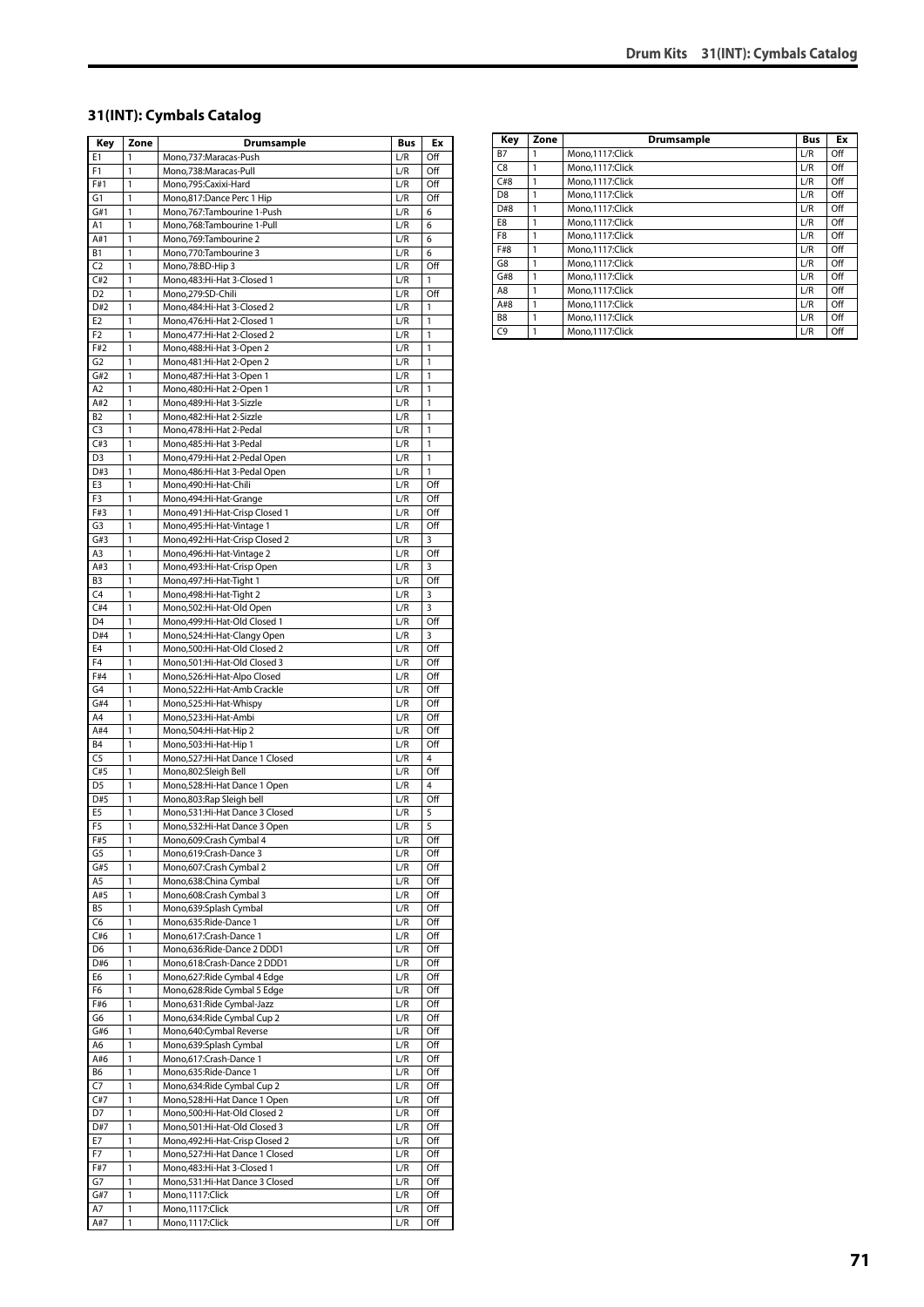#### **31(INT): Cymbals Catalog**

| Key            | Zone         | Drumsample                                              | <b>Bus</b> | Ex             |
|----------------|--------------|---------------------------------------------------------|------------|----------------|
| Ε1             | 1            | Mono,737:Maracas-Push                                   | L/R        | Off            |
| F1             | 1            | Mono,738:Maracas-Pull                                   | L/R        | Off            |
| F#1            | 1            | Mono,795:Caxixi-Hard                                    | L/R        | Off            |
| G1             | 1            | Mono,817:Dance Perc 1 Hip                               | L/R        | Off            |
| G#1            | 1            | Mono,767:Tambourine 1-Push                              | L/R        | 6              |
| Α1             | 1            | Mono,768:Tambourine 1-Pull                              | L/R        | 6              |
| A#1            | 1            | Mono, 769: Tambourine 2                                 | L/R        | 6              |
| B1             | 1            | Mono,770:Tambourine 3                                   | L/R        | 6              |
| C2             | 1            | Mono,78:BD-Hip 3                                        | L/R        | Off            |
| C#2            | 1            | Mono, 483: Hi-Hat 3-Closed 1                            | L/R        | 1              |
| D <sub>2</sub> | 1            | Mono,279:SD-Chili                                       | L/R        | Off            |
| D#2            | 1            | Mono, 484: Hi-Hat 3-Closed 2                            | L/R        | 1              |
| E <sub>2</sub> | 1            | Mono, 476: Hi-Hat 2-Closed 1                            | L/R        | 1              |
| F <sub>2</sub> | 1            | Mono, 477: Hi-Hat 2-Closed 2                            | L/R        | 1              |
| F#2            | $\mathbf{1}$ | Mono, 488: Hi-Hat 3-Open 2                              | L/R        | 1              |
| G <sub>2</sub> | 1            | Mono, 481: Hi-Hat 2-Open 2                              | L/R        | 1              |
| G#2            | 1            | Mono, 487: Hi-Hat 3-Open 1                              | L/R        | 1              |
| A <sub>2</sub> | 1            | Mono, 480: Hi-Hat 2-Open 1                              | L/R        | $\mathbf{1}$   |
| A#2            | 1            | Mono, 489: Hi-Hat 3-Sizzle                              | L/R        | 1              |
| B2             | 1            | Mono, 482: Hi-Hat 2-Sizzle                              | L/R        | 1              |
| C <sub>3</sub> | 1            | Mono, 478: Hi-Hat 2-Pedal                               | L/R        | 1              |
| C#3            | 1            | Mono, 485: Hi-Hat 3-Pedal                               | L/R        | 1              |
| D <sub>3</sub> | 1            | Mono, 479: Hi-Hat 2-Pedal Open                          | L/R        | 1              |
| D#3            | 1            | Mono, 486: Hi-Hat 3-Pedal Open<br>Mono,490:Hi-Hat-Chili | L/R        | 1              |
| E3<br>F3       | 1<br>1       | Mono, 494: Hi-Hat-Grange                                | L/R<br>L/R | Off<br>Off     |
| F#3            | 1            | Mono, 491: Hi-Hat-Crisp Closed 1                        | L/R        | Off            |
| G3             | 1            | Mono, 495: Hi-Hat-Vintage 1                             | L/R        | Off            |
| G#3            | 1            | Mono, 492: Hi-Hat-Crisp Closed 2                        | L/R        | 3              |
| A3             | 1            | Mono, 496: Hi-Hat-Vintage 2                             | L/R        | Off            |
| A#3            | 1            | Mono, 493: Hi-Hat-Crisp Open                            | L/R        | 3              |
| B <sub>3</sub> | 1            | Mono, 497: Hi-Hat-Tight 1                               | L/R        | Off            |
| C <sub>4</sub> | 1            | Mono, 498: Hi-Hat-Tight 2                               | L/R        | 3              |
| C#4            | 1            | Mono,502:Hi-Hat-Old Open                                | L/R        | 3              |
| D4             | 1            | Mono, 499: Hi-Hat-Old Closed 1                          | L/R        | Off            |
| D#4            | 1            | Mono,524:Hi-Hat-Clangy Open                             | L/R        | 3              |
| E <sub>4</sub> | 1            | Mono,500:Hi-Hat-Old Closed 2                            | L/R        | Off            |
| F <sub>4</sub> | 1            | Mono,501:Hi-Hat-Old Closed 3                            | L/R        | Off            |
| F#4            | 1            | Mono,526:Hi-Hat-Alpo Closed                             | L/R        | Off            |
| G4             | 1            | Mono,522:Hi-Hat-Amb Crackle                             | L/R        | Off            |
| G#4            | 1            | Mono,525:Hi-Hat-Whispy                                  | L/R        | Off            |
| A4             | 1            | Mono,523:Hi-Hat-Ambi                                    | L/R        | Off            |
| A#4            | 1            | Mono,504:Hi-Hat-Hip 2                                   | L/R        | Off            |
| <b>B4</b>      | 1            | Mono,503:Hi-Hat-Hip 1                                   | L/R        | Off            |
| C <sub>5</sub> | $\mathbf{1}$ | Mono,527:Hi-Hat Dance 1 Closed                          | L/R        | $\overline{4}$ |
| C#5            | $\mathbf{1}$ | Mono,802:Sleigh Bell                                    | L/R        | Off            |
| D <sub>5</sub> | 1            | Mono,528:Hi-Hat Dance 1 Open                            | L/R        | $\overline{4}$ |
| D#5            | 1            | Mono,803:Rap Sleigh bell                                | L/R        | Off            |
| E <sub>5</sub> | 1            | Mono,531:Hi-Hat Dance 3 Closed                          | L/R        | 5              |
| F <sub>5</sub> | 1            | Mono,532:Hi-Hat Dance 3 Open                            | L/R        | $\overline{5}$ |
| F#5            | 1            | Mono,609:Crash Cymbal 4                                 | L/R        | Off            |
| G5             | 1            | Mono,619:Crash-Dance 3                                  | L/R        | Off            |
| G#5            | 1            | Mono,607:Crash Cymbal 2                                 | L/R        | Off            |
| A5             | 1            | Mono,638:China Cymbal                                   | L/R        | Off            |
| A#5            | 1            | Mono,608:Crash Cymbal 3                                 | L/R        | Off            |
| B5             | 1            | Mono,639:Splash Cymbal                                  | L/R        | Off            |
| C6             | 1            | Mono,635: Ride-Dance 1                                  | L/R        | Off            |
| C#6            | 1            | Mono,617:Crash-Dance 1                                  | L/R        | Off            |
| D <sub>6</sub> | 1            | Mono,636:Ride-Dance 2 DDD1                              | L/R        | Off            |
| D#6            | 1            | Mono,618:Crash-Dance 2 DDD1                             | L/R        | Off            |
| E6             | 1            | Mono,627: Ride Cymbal 4 Edge                            | L/R        | Off            |
| F6             | 1            | Mono,628: Ride Cymbal 5 Edge                            | L/R        | Off            |
| F#6            | 1            | Mono,631:Ride Cymbal-Jazz                               | L/R        | Off            |
| G6             | 1            | Mono,634: Ride Cymbal Cup 2                             | L/R        | Off            |
| G#6            | 1            | Mono,640:Cymbal Reverse                                 | L/R        | Off            |
| A6             | 1            | Mono,639:Splash Cymbal                                  | L/R        | Off            |
| A#6            | 1            | Mono,617:Crash-Dance 1                                  | L/R        | Off            |
| B6             | 1            | Mono,635:Ride-Dance 1                                   | L/R        | Off            |
| C7             | 1            | Mono,634: Ride Cymbal Cup 2                             | L/R        | Off            |
| C#7            | 1            | Mono,528:Hi-Hat Dance 1 Open                            | L/R        | Off            |
| D7             | 1            | Mono,500:Hi-Hat-Old Closed 2                            | L/R        | Off            |
| D#7            | 1            | Mono, 501: Hi-Hat-Old Closed 3                          | L/R        | Off            |
| E7             | 1            | Mono, 492: Hi-Hat-Crisp Closed 2                        | L/R        | Off            |
| F7             | 1            | Mono,527:Hi-Hat Dance 1 Closed                          | L/R        | Off            |
| F#7            | 1            | Mono, 483: Hi-Hat 3-Closed 1                            | L/R        | Off            |
| G7             | 1            | Mono,531:Hi-Hat Dance 3 Closed                          | L/R        | Off            |
| G#7            | 1            | Mono,1117:Click                                         | L/R        | Off            |
| Α7             | 1            | Mono,1117:Click                                         | L/R        | Off            |
| A#7            | 1            | Mono,1117:Click                                         | L/R        | Off            |

| Key            | Zone | Drumsample      | <b>Bus</b> | Ex  |
|----------------|------|-----------------|------------|-----|
| <b>B7</b>      | 1    | Mono.1117:Click | L/R        | Off |
| C8             | 1    | Mono.1117:Click | L/R        | Off |
| C#8            | 1    | Mono.1117:Click | L/R        | Off |
| D <sub>8</sub> | 1    | Mono,1117:Click | L/R        | Off |
| D#8            | 1    | Mono.1117:Click | L/R        | Off |
| E8             | 1    | Mono.1117:Click | L/R        | Off |
| F8             | 1    | Mono.1117:Click | L/R        | Off |
| F#8            | 1    | Mono,1117:Click | L/R        | Off |
| G8             | 1    | Mono.1117:Click | L/R        | Off |
| G#8            | 1    | Mono.1117:Click | L/R        | Off |
| A8             | 1    | Mono.1117:Click | L/R        | Off |
| A#8            | 1    | Mono.1117:Click | L/R        | Off |
| B8             | 1    | Mono.1117:Click | L/R        | Off |
| C9             |      | Mono.1117:Click | L/R        | Off |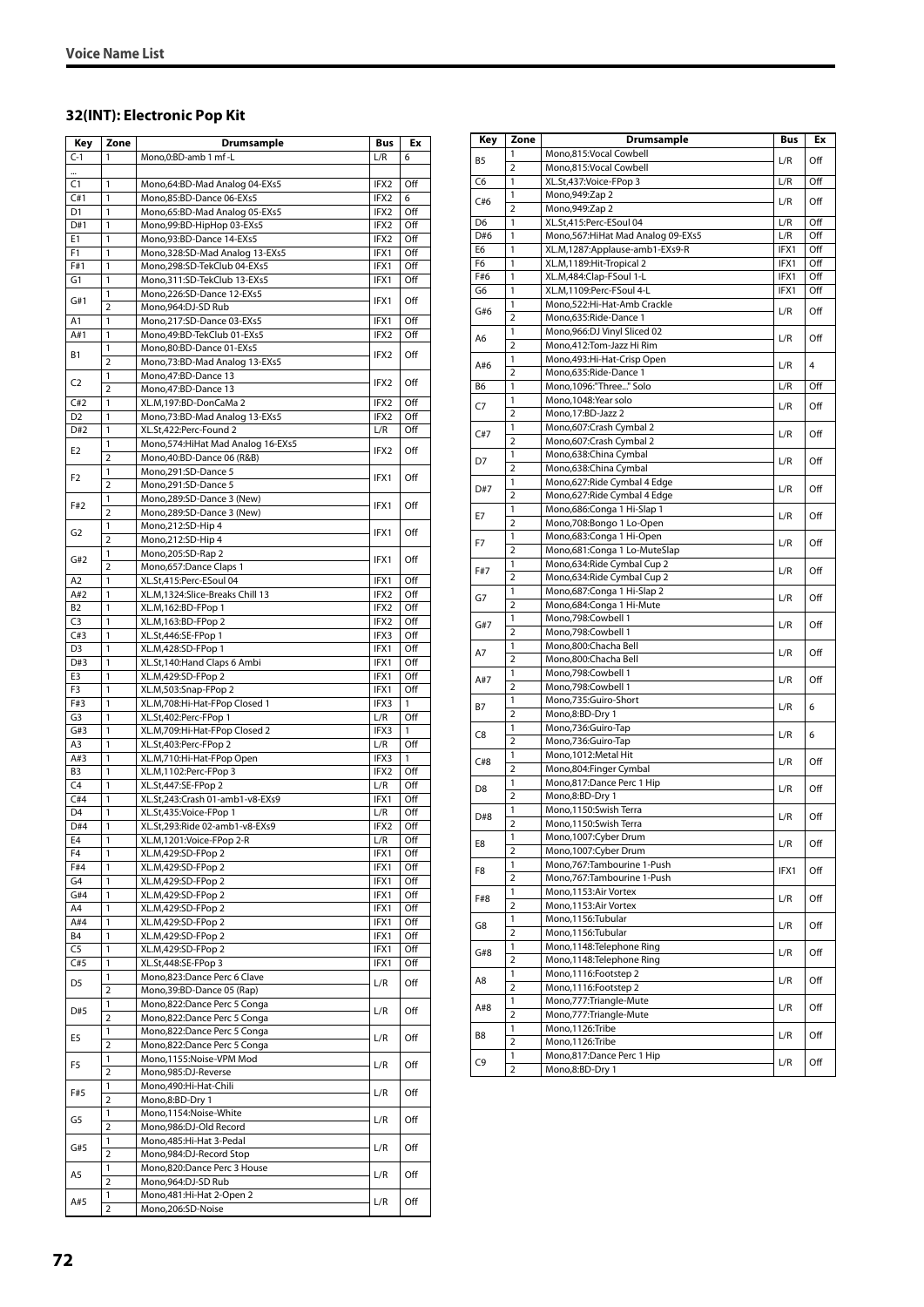# **32(INT): Electronic Pop Kit**

| Key                   | Zone                | <b>Drumsample</b>                                          | Bus          | Ex         |
|-----------------------|---------------------|------------------------------------------------------------|--------------|------------|
| $C-1$                 | 1                   | Mono,0:BD-amb 1 mf -L                                      | L/R          | 6          |
|                       |                     |                                                            |              |            |
| C1                    | 1                   | Mono,64:BD-Mad Analog 04-EXs5                              | IFX2         | Off        |
| C#1                   | 1                   | Mono,85:BD-Dance 06-EXs5                                   | IFX2         | 6          |
| D <sub>1</sub><br>D#1 | 1<br>1              | Mono,65:BD-Mad Analog 05-EXs5                              | IFX2<br>IFX2 | Off<br>Off |
| E1                    | 1                   | Mono,99:BD-HipHop 03-EXs5<br>Mono,93:BD-Dance 14-EXs5      | IFX2         | Off        |
| F <sub>1</sub>        | 1                   | Mono, 328: SD-Mad Analog 13-EXs5                           | IFX1         | Off        |
| F#1                   | 1                   | Mono,298:SD-TekClub 04-EXs5                                | IFX1         | Off        |
| G1                    | 1                   | Mono, 311: SD-TekClub 13-EXs5                              | IFX1         | Off        |
| G#1                   | 1                   | Mono,226:SD-Dance 12-EXs5                                  | IFX1         | Off        |
|                       | $\overline{2}$      | Mono,964:DJ-SD Rub                                         |              |            |
| A1                    | 1                   | Mono,217:SD-Dance 03-EXs5                                  | IFX1         | Off        |
| A#1                   | 1<br>1              | Mono,49:BD-TekClub 01-EXs5<br>Mono,80:BD-Dance 01-EXs5     | IFX2         | Off        |
| <b>B1</b>             | $\overline{2}$      | Mono, 73: BD-Mad Analog 13-EXs5                            | IFX2         | Off        |
|                       | 1                   | Mono, 47: BD-Dance 13                                      |              |            |
| C <sub>2</sub>        | $\overline{2}$      | Mono, 47: BD-Dance 13                                      | IFX2         | Off        |
| C#2                   | 1                   | XL.M,197:BD-DonCaMa 2                                      | IFX2         | Off        |
| D <sub>2</sub>        | 1                   | Mono, 73: BD-Mad Analog 13-EXs5                            | IFX2         | Off        |
| D#2                   | 1                   | XL.St,422:Perc-Found 2                                     | L/R          | Off        |
| E <sub>2</sub>        | 1                   | Mono,574: Hi Hat Mad Analog 16-EXs5                        | IFX2         | Off        |
|                       | $\overline{2}$<br>1 | Mono,40:BD-Dance 06 (R&B)<br>Mono,291:SD-Dance 5           |              |            |
| F2                    | $\overline{2}$      | Mono,291:SD-Dance 5                                        | IFX1         | Off        |
|                       | 1                   | Mono,289:SD-Dance 3 (New)                                  |              |            |
| F#2                   | $\overline{2}$      | Mono,289:SD-Dance 3 (New)                                  | IFX1         | Off        |
| G <sub>2</sub>        | 1                   | Mono,212:SD-Hip 4                                          | IFX1         | Off        |
|                       | $\overline{2}$      | Mono, 212: SD-Hip 4                                        |              |            |
| G#2                   | 1                   | Mono,205:SD-Rap 2                                          | IFX1         | Off        |
|                       | $\overline{2}$      | Mono,657:Dance Claps 1                                     |              |            |
| A2<br>A#2             | 1<br>1              | XL.St,415:Perc-ESoul 04<br>XL.M,1324:Slice-Breaks Chill 13 | IFX1<br>IFX2 | Off<br>Off |
| <b>B2</b>             | 1                   | XL.M,162:BD-FPop 1                                         | IFX2         | Off        |
| C <sub>3</sub>        | 1                   | XL.M, 163: BD-FPop 2                                       | IFX2         | Off        |
| C#3                   | 1                   | XL.St,446:SE-FPop 1                                        | IFX3         | Off        |
| D <sub>3</sub>        | 1                   | XL.M,428:SD-FPop 1                                         | IFX1         | Off        |
| D#3                   | 1                   | XL.St, 140: Hand Claps 6 Ambi                              | IFX1         | Off        |
| E3                    | 1                   | XL.M,429:SD-FPop 2                                         | IFX1         | Off        |
| F3                    | 1                   | XL.M,503:Snap-FPop 2                                       | IFX1         | Off        |
| F#3<br>G <sub>3</sub> | 1<br>1              | XL.M,708:Hi-Hat-FPop Closed 1<br>XL.St,402:Perc-FPop 1     | IFX3<br>L/R  | 1<br>Off   |
| G#3                   | 1                   | XL.M,709:Hi-Hat-FPop Closed 2                              | IFX3         | 1          |
| A <sub>3</sub>        | 1                   | XL.St,403:Perc-FPop 2                                      | L/R          | Off        |
| A#3                   | 1                   | XL.M,710:Hi-Hat-FPop Open                                  | IFX3         | 1          |
| B <sub>3</sub>        | 1                   | XL.M,1102:Perc-FPop 3                                      | IFX2         | Off        |
| C <sub>4</sub>        | 1                   | XL.St,447:SE-FPop 2                                        | L/R          | Off        |
| C#4                   | 1                   | XL.St,243:Crash 01-amb1-v8-EXs9                            | IFX1         | Off        |
| D <sub>4</sub><br>D#4 | 1<br>1              | XL.St,435:Voice-FPop 1                                     | L/R<br>IFX2  | Off<br>Off |
| E4                    | 1                   | XL.St,293:Ride 02-amb1-v8-EXs9<br>XL.M,1201:Voice-FPop 2-R | L/R          | Off        |
| F4                    | 1                   | XL.M,429:SD-FPop 2                                         | IFX1         | Off        |
| F#4                   | 1                   | XL.M,429:SD-FPop 2                                         | IFX1         | Off        |
| G4                    | 1                   | XL.M,429:SD-FPop 2                                         | IFX1         | Off        |
| G#4                   | 1                   | XL.M,429:SD-FPop 2                                         | IFX1         | Off        |
| A4                    | 1                   | XL.M,429:SD-FPop 2                                         | IFX1         | Off        |
| A#4                   | 1                   | XL.M,429:SD-FPop 2                                         | IFX1         | Off        |
| B4<br>C <sub>5</sub>  | 1<br>1              | XL.M,429:SD-FPop 2<br>XL.M,429:SD-FPop 2                   | IFX1<br>IFX1 | Off<br>Off |
| C#5                   | 1                   | XL.St,448:SE-FPop 3                                        | IFX1         | Off        |
|                       | 1                   | Mono,823:Dance Perc 6 Clave                                |              |            |
| D <sub>5</sub>        | $\overline{2}$      | Mono, 39: BD-Dance 05 (Rap)                                | L/R          | Off        |
| D#5                   | 1                   | Mono,822:Dance Perc 5 Conga                                | L/R          | Off        |
|                       | 2                   | Mono,822:Dance Perc 5 Conga                                |              |            |
| E5                    | 1                   | Mono,822:Dance Perc 5 Conga                                | L/R          | Off        |
|                       | 2<br>1              | Mono,822:Dance Perc 5 Conga                                |              |            |
| F5                    | 2                   | Mono,1155:Noise-VPM Mod<br>Mono,985:DJ-Reverse             | L/R          | Off        |
|                       | 1                   | Mono,490:Hi-Hat-Chili                                      |              |            |
| F#5                   | $\overline{2}$      | Mono,8:BD-Dry 1                                            | L/R          | Off        |
|                       | 1                   | Mono,1154:Noise-White                                      |              |            |
| G5                    | 2                   | Mono,986:DJ-Old Record                                     | L/R          | Off        |
| G#5                   | 1                   | Mono, 485: Hi-Hat 3-Pedal                                  | L/R          | Off        |
|                       | $\overline{2}$      | Mono,984:DJ-Record Stop                                    |              |            |
| A5                    | 1<br>2              | Mono,820:Dance Perc 3 House                                | L/R          | Off        |
|                       | 1                   | Mono,964:DJ-SD Rub<br>Mono, 481: Hi-Hat 2-Open 2           |              |            |
| A#5                   | $\overline{2}$      | Mono,206:SD-Noise                                          | L/R          | Off        |

| <b>Key</b>            | Zone                | Drumsample                                                     | Bus        | Ex             |
|-----------------------|---------------------|----------------------------------------------------------------|------------|----------------|
|                       | 1                   | Mono,815:Vocal Cowbell                                         |            |                |
| B5                    | $\overline{2}$      | Mono,815:Vocal Cowbell                                         | L/R        | Off            |
| C6                    | 1                   | XL.St,437:Voice-FPop 3                                         | L/R        | Off            |
| C#6                   | 1                   | Mono, 949: Zap 2                                               | L/R        | Off            |
|                       | $\overline{2}$<br>1 | Mono, 949: Zap 2                                               |            | Off            |
| D <sub>6</sub><br>D#6 | 1                   | XL.St,415:Perc-ESoul 04<br>Mono, 567: HiHat Mad Analog 09-EXs5 | L/R<br>L/R | Off            |
| E6                    | 1                   | XL.M,1287:Applause-amb1-EXs9-R                                 | IFX1       | Off            |
| F6                    | 1                   | XL.M.1189: Hit-Tropical 2                                      | IFX1       | Off            |
| F#6                   | 1                   | XL.M,484:Clap-FSoul 1-L                                        | IFX1       | Off            |
| G6                    | 1                   | XL.M,1109:Perc-FSoul 4-L                                       | IFX1       | Off            |
| G#6                   | 1                   | Mono,522:Hi-Hat-Amb Crackle                                    | L/R        | Off            |
|                       | $\overline{2}$      | Mono,635:Ride-Dance 1                                          |            |                |
| A6                    | 1<br>$\overline{2}$ | Mono,966:DJ Vinyl Sliced 02<br>Mono,412:Tom-Jazz Hi Rim        | L/R        | Off            |
|                       | 1                   | Mono, 493: Hi-Hat-Crisp Open                                   |            |                |
| A#6                   | $\overline{2}$      | Mono,635:Ride-Dance 1                                          | L/R        | $\overline{4}$ |
| B6                    | 1                   | Mono,1096:"Three" Solo                                         | L/R        | Off            |
| C7                    | 1                   | Mono, 1048: Year solo                                          | L/R        | Off            |
|                       | $\overline{2}$      | Mono, 17: BD-Jazz 2                                            |            |                |
| C#7                   | 1                   | Mono,607:Crash Cymbal 2                                        | L/R        | Off            |
|                       | $\overline{2}$      | Mono,607:Crash Cymbal 2                                        |            |                |
| D7                    | 1<br>$\overline{2}$ | Mono,638:China Cymbal<br>Mono,638:China Cymbal                 | L/R        | Off            |
|                       | 1                   | Mono,627: Ride Cymbal 4 Edge                                   |            |                |
| D#7                   | $\overline{2}$      | Mono,627:Ride Cymbal 4 Edge                                    | L/R        | Off            |
|                       | 1                   | Mono,686:Conga 1 Hi-Slap 1                                     |            |                |
| E7                    | $\overline{2}$      | Mono,708:Bongo 1 Lo-Open                                       | L/R        | Off            |
| F7                    | 1                   | Mono,683:Conga 1 Hi-Open                                       | L/R        | Off            |
|                       | $\overline{2}$      | Mono,681:Conga 1 Lo-MuteSlap                                   |            |                |
| F#7                   | 1                   | Mono,634: Ride Cymbal Cup 2                                    | L/R        | Off            |
|                       | $\overline{2}$<br>1 | Mono,634: Ride Cymbal Cup 2<br>Mono,687:Conga 1 Hi-Slap 2      |            |                |
| G7                    | $\overline{2}$      | Mono,684:Conga 1 Hi-Mute                                       | L/R        | Off            |
|                       | 1                   | Mono, 798: Cowbell 1                                           |            |                |
| G#7                   | 2                   | Mono,798:Cowbell 1                                             | L/R        | Off            |
| A7                    | 1                   | Mono,800:Chacha Bell                                           | L/R        | Off            |
|                       | 2                   | Mono,800:Chacha Bell                                           |            |                |
| A#7                   | 1                   | Mono, 798: Cowbell 1                                           | L/R        | Off            |
|                       | $\overline{2}$      | Mono,798:Cowbell 1                                             |            |                |
| <b>B7</b>             | 1<br>$\overline{2}$ | Mono,735:Guiro-Short<br>Mono,8:BD-Dry 1                        | L/R        | 6              |
|                       | 1                   | Mono,736:Guiro-Tap                                             |            |                |
| C <sub>8</sub>        | $\overline{2}$      | Mono,736:Guiro-Tap                                             | L/R        | 6              |
| C#8                   | 1                   | Mono, 1012: Metal Hit                                          | L/R        | Off            |
|                       | 2                   | Mono,804:Finger Cymbal                                         |            |                |
| D <sub>8</sub>        | 1                   | Mono,817:Dance Perc 1 Hip                                      | L/R        | Off            |
|                       | $\overline{2}$      | Mono,8:BD-Dry 1                                                |            |                |
| D#8                   | 1<br>$\overline{c}$ | Mono,1150:Swish Terra<br>Mono,1150:Swish Terra                 | L/R        | Off            |
|                       | 1                   | Mono,1007:Cyber Drum                                           |            |                |
| E8                    | $\overline{2}$      | Mono,1007:Cyber Drum                                           | L/R        | Off            |
|                       | 1                   | Mono,767:Tambourine 1-Push                                     |            | Off            |
| F8                    | 2                   | Mono,767:Tambourine 1-Push                                     | IFX1       |                |
| F#8                   | 1                   | Mono,1153:Air Vortex                                           | L/R        | Off            |
|                       | $\overline{2}$      | Mono,1153:Air Vortex                                           |            |                |
| G8                    | 1                   | Mono,1156:Tubular                                              | L/R        | Off            |
|                       | $\overline{2}$<br>1 | Mono,1156:Tubular<br>Mono, 1148: Telephone Ring                |            |                |
| G#8                   | $\overline{2}$      | Mono,1148:Telephone Ring                                       | L/R        | Off            |
|                       | 1                   | Mono, 1116: Footstep 2                                         |            |                |
| A8                    | 2                   | Mono, 1116: Footstep 2                                         | L/R        | Off            |
| A#8                   | 1                   | Mono,777: Triangle-Mute                                        | L/R        | Off            |
|                       | $\overline{2}$      | Mono,777: Triangle-Mute                                        |            |                |
| B8                    | 1                   | Mono, 1126: Tribe                                              | L/R        | Off            |
|                       | 2<br>1              | Mono,1126:Tribe<br>Mono,817:Dance Perc 1 Hip                   |            |                |
| C9                    | 2                   | Mono,8:BD-Dry 1                                                | L/R        | Off            |
|                       |                     |                                                                |            |                |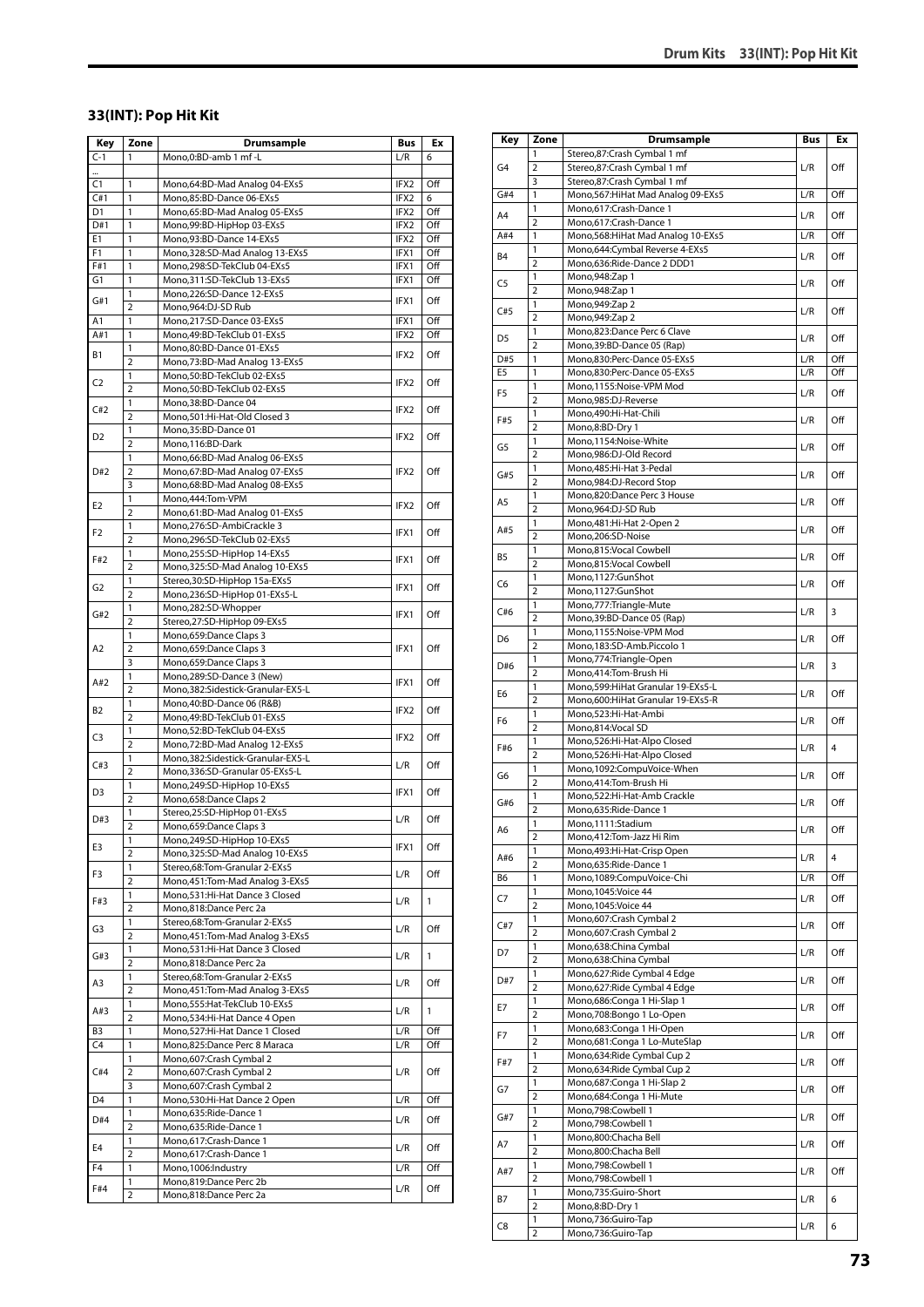#### **33(INT): Pop Hit Kit**

| Key   | Zone                | Drumsample                                                         | <b>Bus</b> | Ex  |
|-------|---------------------|--------------------------------------------------------------------|------------|-----|
| $C-1$ | 1                   | Mono,0:BD-amb 1 mf-L                                               | L/R        | 6   |
|       |                     |                                                                    |            |     |
| C1    | 1                   | Mono,64:BD-Mad Analog 04-EXs5                                      | IFX2       | Off |
| C#1   | 1                   | Mono,85:BD-Dance 06-EXs5                                           | IFX2       | 6   |
| D1    | 1                   | Mono,65:BD-Mad Analog 05-EXs5                                      | IFX2       | Off |
| D#1   | 1                   | Mono,99:BD-HipHop 03-EXs5                                          | IFX2       | Off |
| E1    | 1                   | Mono,93:BD-Dance 14-EXs5                                           | IFX2       | Off |
| F1    | 1                   | Mono,328:SD-Mad Analog 13-EXs5                                     | IFX1       | Off |
| F#1   | 1                   | Mono,298:SD-TekClub 04-EXs5                                        | IFX1       | Off |
| G1    | 1                   | Mono, 311: SD-TekClub 13-EXs5                                      | IFX1       | Off |
| G#1   | 1<br>2              | Mono,226:SD-Dance 12-EXs5<br>Mono,964:DJ-SD Rub                    | IFX1       | Off |
| A1    | 1                   | Mono,217:SD-Dance 03-EXs5                                          | IFX1       | Off |
| A#1   | 1                   | Mono,49:BD-TekClub 01-EXs5                                         | IFX2       | Off |
|       | 1                   | Mono,80:BD-Dance 01-EXs5                                           |            |     |
| В1    | $\overline{2}$      | Mono, 73: BD-Mad Analog 13-EXs5                                    | IFX2       | Off |
|       | 1                   | Mono,50:BD-TekClub 02-EXs5                                         |            |     |
| C2    | $\overline{2}$      | Mono,50:BD-TekClub 02-EXs5                                         | IFX2       | Off |
| C#2   | 1                   | Mono, 38: BD-Dance 04                                              | IFX2       | Off |
|       | 2                   | Mono, 501: Hi-Hat-Old Closed 3                                     |            |     |
| D2    | 1                   | Mono,35:BD-Dance 01                                                | IFX2       | Off |
|       | $\overline{2}$      | Mono,116:BD-Dark                                                   |            |     |
|       | 1                   | Mono,66:BD-Mad Analog 06-EXs5                                      |            |     |
| D#2   | 2                   | Mono,67:BD-Mad Analog 07-EXs5                                      | IFX2       | Off |
|       | 3                   | Mono,68:BD-Mad Analog 08-EXs5                                      |            |     |
| E2    | 1<br>$\overline{2}$ | Mono, 444: Tom-VPM<br>Mono,61:BD-Mad Analog 01-EXs5                | IFX2       | Off |
|       | 1                   | Mono,276:SD-AmbiCrackle 3                                          |            |     |
| F2    | 2                   | Mono,296:SD-TekClub 02-EXs5                                        | IFX1       | Off |
|       | 1                   | Mono,255:SD-HipHop 14-EXs5                                         |            |     |
| F#2   | $\overline{2}$      | Mono,325:SD-Mad Analog 10-EXs5                                     | IFX1       | Off |
|       | 1                   | Stereo, 30: SD-HipHop 15a-EXs5                                     |            |     |
| G2    | $\overline{2}$      | Mono,236:SD-HipHop 01-EXs5-L                                       | IFX1       | Off |
| G#2   | 1                   | Mono,282:SD-Whopper                                                | IFX1       | Off |
|       | 2                   | Stereo,27:SD-HipHop 09-EXs5                                        |            |     |
| A2    | 1                   | Mono,659:Dance Claps 3                                             |            |     |
|       | $\overline{2}$      | Mono,659:Dance Claps 3                                             | IFX1       | Off |
|       | 3                   | Mono,659:Dance Claps 3                                             |            |     |
| A#2   | 1                   | Mono,289:SD-Dance 3 (New)                                          | IFX1       | Off |
|       | 2<br>1              | Mono, 382: Sidestick-Granular-EX5-L<br>Mono,40:BD-Dance 06 (R&B)   |            |     |
| B2    | $\overline{2}$      | Mono, 49: BD-TekClub 01-EXs5                                       | IFX2       | Off |
|       | 1                   | Mono,52:BD-TekClub 04-EXs5                                         |            |     |
| C3    | 2                   | Mono,72:BD-Mad Analog 12-EXs5                                      | IFX2       | Off |
|       | 1                   | Mono, 382: Sidestick-Granular-EX5-L                                |            |     |
| C#3   | $\overline{2}$      | Mono,336:SD-Granular 05-EXs5-L                                     | L/R        | Off |
|       | 1                   | Mono,249:SD-HipHop 10-EXs5                                         |            |     |
| D3    | 2                   | Mono,658:Dance Claps 2                                             | IFX1       | Off |
| D#3   | 1                   | Stereo,25:SD-HipHop 01-EXs5                                        | L/R        | Off |
|       | $\overline{ }$      | Mono, 659: Dance Claps 3                                           |            |     |
| E3    | 1                   | Mono,249:SD-HipHop 10-EXs5                                         | IFX1       | Off |
|       | $\overline{2}$      | Mono, 325: SD-Mad Analog 10-EXs5                                   |            |     |
| F3    | 1                   | Stereo,68:Tom-Granular 2-EXs5                                      | L/R        | Off |
|       | $\overline{2}$      | Mono, 451: Tom-Mad Analog 3-EXs5<br>Mono,531:Hi-Hat Dance 3 Closed |            |     |
| F#3   | 1<br>$\overline{2}$ | Mono,818:Dance Perc 2a                                             | L/R        | 1   |
|       | 1                   | Stereo,68:Tom-Granular 2-EXs5                                      |            |     |
| G3    | 2                   | Mono, 451: Tom-Mad Analog 3-EXs5                                   | L/R        | Off |
|       | 1                   | Mono, 531: Hi-Hat Dance 3 Closed                                   |            |     |
| G#3   | $\overline{2}$      | Mono,818:Dance Perc 2a                                             | L/R        | 1   |
|       | 1                   | Stereo,68:Tom-Granular 2-EXs5                                      |            |     |
| A3    | 2                   | Mono, 451: Tom-Mad Analog 3-EXs5                                   | L/R        | Off |
| A#3   | 1                   | Mono,555: Hat-TekClub 10-EXs5                                      | L/R        | 1   |
|       | $\overline{2}$      | Mono,534:Hi-Hat Dance 4 Open                                       |            |     |
| B3    | $\mathbf{1}$        | Mono,527:Hi-Hat Dance 1 Closed                                     | L/R        | Off |
| C4    | 1                   | Mono,825:Dance Perc 8 Maraca                                       | L/R        | Off |
| C#4   | 1                   | Mono,607:Crash Cymbal 2                                            |            |     |
|       | $\overline{2}$      | Mono,607:Crash Cymbal 2                                            | L/R        | Off |
|       | 3<br>1              | Mono,607:Crash Cymbal 2                                            | L/R        |     |
| D4    | 1                   | Mono,530:Hi-Hat Dance 2 Open<br>Mono,635:Ride-Dance 1              |            | Off |
| D#4   | $\overline{2}$      | Mono,635:Ride-Dance 1                                              | L/R        | Off |
|       | 1                   | Mono,617:Crash-Dance 1                                             |            |     |
| E4    | 2                   | Mono,617:Crash-Dance 1                                             | L/R        | Off |
| F4    | $\mathbf{1}$        | Mono, 1006: Industry                                               | L/R        | Off |
| F#4   | 1                   | Mono,819:Dance Perc 2b                                             |            |     |
|       | 2                   | Mono,818:Dance Perc 2a                                             | L/R        | Off |

| Key                   | Zone                    | <b>Drumsample</b>                                                     | Bus | Ex  |
|-----------------------|-------------------------|-----------------------------------------------------------------------|-----|-----|
|                       | 1                       | Stereo,87:Crash Cymbal 1 mf                                           |     |     |
| G4                    | $\overline{2}$          | Stereo,87:Crash Cymbal 1 mf                                           | L/R | Off |
|                       | 3                       | Stereo,87:Crash Cymbal 1 mf                                           |     |     |
| G#4                   | 1                       | Mono, 567: HiHat Mad Analog 09-EXs5                                   | L/R | Off |
| A4                    | 1                       | Mono,617:Crash-Dance 1                                                | L/R | Off |
|                       | $\overline{2}$          | Mono,617:Crash-Dance 1                                                |     |     |
| A#4                   | 1<br>1                  | Mono, 568: HiHat Mad Analog 10-EXs5<br>Mono,644:Cymbal Reverse 4-EXs5 | L/R | Off |
| B4                    | 2                       | Mono,636:Ride-Dance 2 DDD1                                            | L/R | Off |
|                       | 1                       | Mono, 948: Zap 1                                                      |     |     |
| C5                    | $\overline{2}$          | Mono, 948: Zap 1                                                      | L/R | Off |
| C#5                   | 1                       | Mono, 949: Zap 2                                                      |     | Off |
|                       | $\overline{2}$          | Mono,949:Zap 2                                                        | L/R |     |
| D5                    | 1                       | Mono,823:Dance Perc 6 Clave                                           | L/R | Off |
|                       | $\overline{2}$          | Mono, 39: BD-Dance 05 (Rap)                                           |     |     |
| D#5<br>E <sub>5</sub> | 1                       | Mono,830:Perc-Dance 05-EXs5                                           | L/R | Off |
|                       | 1<br>1                  | Mono,830:Perc-Dance 05-EXs5<br>Mono,1155:Noise-VPM Mod                | L/R | Off |
| F <sub>5</sub>        | $\overline{2}$          | Mono,985:DJ-Reverse                                                   | L/R | Off |
|                       | 1                       | Mono,490:Hi-Hat-Chili                                                 |     |     |
| F#5                   | $\overline{2}$          | Mono,8:BD-Dry 1                                                       | L/R | Off |
|                       | 1                       | Mono,1154:Noise-White                                                 |     |     |
| G5                    | 2                       | Mono,986:DJ-Old Record                                                | L/R | Off |
| G#5                   | 1                       | Mono,485:Hi-Hat 3-Pedal                                               | L/R | Off |
|                       | $\overline{2}$          | Mono,984:DJ-Record Stop                                               |     |     |
| A5                    | 1                       | Mono,820:Dance Perc 3 House                                           | L/R | Off |
|                       | $\overline{2}$          | Mono,964:DJ-SD Rub                                                    |     |     |
| A#5                   | 1<br>$\overline{2}$     | Mono, 481: Hi-Hat 2-Open 2<br>Mono,206:SD-Noise                       | L/R | Off |
|                       | 1                       | Mono,815:Vocal Cowbell                                                |     |     |
| B5                    | 2                       | Mono,815:Vocal Cowbell                                                | L/R | Off |
|                       | 1                       | Mono,1127:GunShot                                                     |     |     |
| C6                    | $\overline{2}$          | Mono,1127:GunShot                                                     | L/R | Off |
| C#6                   | 1                       | Mono,777:Triangle-Mute                                                | L/R | 3   |
|                       | $\overline{2}$          | Mono, 39: BD-Dance 05 (Rap)                                           |     |     |
| D6                    | 1                       | Mono,1155:Noise-VPM Mod                                               | L/R | Off |
|                       | $\overline{2}$          | Mono,183:SD-Amb.Piccolo 1                                             |     |     |
| D#6                   | 1<br>2                  | Mono,774: Triangle-Open<br>Mono,414:Tom-Brush Hi                      | L/R | 3   |
|                       | 1                       | Mono,599: HiHat Granular 19-EXs5-L                                    |     |     |
| E6                    | $\overline{2}$          | Mono,600: HiHat Granular 19-EXs5-R                                    | L/R | Off |
|                       | 1                       | Mono,523:Hi-Hat-Ambi                                                  |     |     |
| F6                    | $\overline{2}$          | Mono,814:Vocal SD                                                     | L/R | Off |
| F#6                   | 1                       | Mono,526:Hi-Hat-Alpo Closed                                           | L/R | 4   |
|                       | $\overline{2}$          | Mono,526:Hi-Hat-Alpo Closed                                           |     |     |
| G6                    | 1                       | Mono,1092:CompuVoice-When                                             | L/R | Off |
|                       | 2<br>1                  | Mono,414:Tom-Brush Hi<br>Mono,522:Hi-Hat-Amb Crackle                  |     |     |
| G#6                   | $\overline{\mathbf{c}}$ | Mono,635:Ride-Dance 1                                                 | L/R | Off |
|                       | 1                       | Mono,1111:Stadium                                                     |     |     |
| А6                    | $\overline{2}$          | Mono, 412: Tom-Jazz Hi Rim                                            | L/R | Off |
| A#6                   | 1                       | Mono, 493: Hi-Hat-Crisp Open                                          | L/R | 4   |
|                       | $\overline{2}$          | Mono,635:Ride-Dance 1                                                 |     |     |
| B6                    | 1                       | Mono,1089:CompuVoice-Chi                                              | L/R | Off |
| C7                    | 1                       | Mono, 1045: Voice 44                                                  | L/R | Off |
|                       | $\overline{2}$<br>1     | Mono, 1045: Voice 44                                                  |     |     |
| C#7                   | $\overline{2}$          | Mono,607:Crash Cymbal 2<br>Mono,607:Crash Cymbal 2                    | L/R | Off |
|                       | 1                       | Mono,638:China Cymbal                                                 |     |     |
| D7                    | 2                       | Mono,638:China Cymbal                                                 | L/R | Off |
|                       | 1                       | Mono,627: Ride Cymbal 4 Edge                                          |     |     |
| D#7                   | $\overline{2}$          | Mono,627: Ride Cymbal 4 Edge                                          | L/R | Off |
| E7                    | 1                       | Mono,686:Conga 1 Hi-Slap 1                                            | L/R | Off |
|                       | $\overline{2}$          | Mono,708:Bongo 1 Lo-Open                                              |     |     |
| F7                    | 1                       | Mono,683:Conga 1 Hi-Open                                              | L/R | Off |
|                       | $\overline{2}$          | Mono,681: Conga 1 Lo-MuteSlap                                         |     |     |
| F#7                   | 1<br>$\overline{2}$     | Mono,634: Ride Cymbal Cup 2                                           | L/R | Off |
|                       | 1                       | Mono,634: Ride Cymbal Cup 2<br>Mono,687:Conga 1 Hi-Slap 2             |     |     |
| G7                    | 2                       | Mono,684:Conga 1 Hi-Mute                                              | L/R | Off |
|                       | 1                       | Mono,798:Cowbell 1                                                    |     |     |
| G#7                   | $\overline{2}$          | Mono, 798: Cowbell 1                                                  | L/R | Off |
| A7                    | 1                       | Mono,800:Chacha Bell                                                  |     | Off |
|                       | 2                       | Mono,800:Chacha Bell                                                  | L/R |     |
| A#7                   | 1                       | Mono,798:Cowbell 1                                                    | L/R | Off |
|                       | $\overline{2}$          | Mono,798:Cowbell 1                                                    |     |     |
| В7                    | 1<br>$\overline{2}$     | Mono,735:Guiro-Short                                                  | L/R | 6   |
|                       | 1                       | Mono,8:BD-Dry 1<br>Mono,736:Guiro-Tap                                 |     |     |
| C8                    | $\overline{2}$          | Mono,736:Guiro-Tap                                                    | L/R | 6   |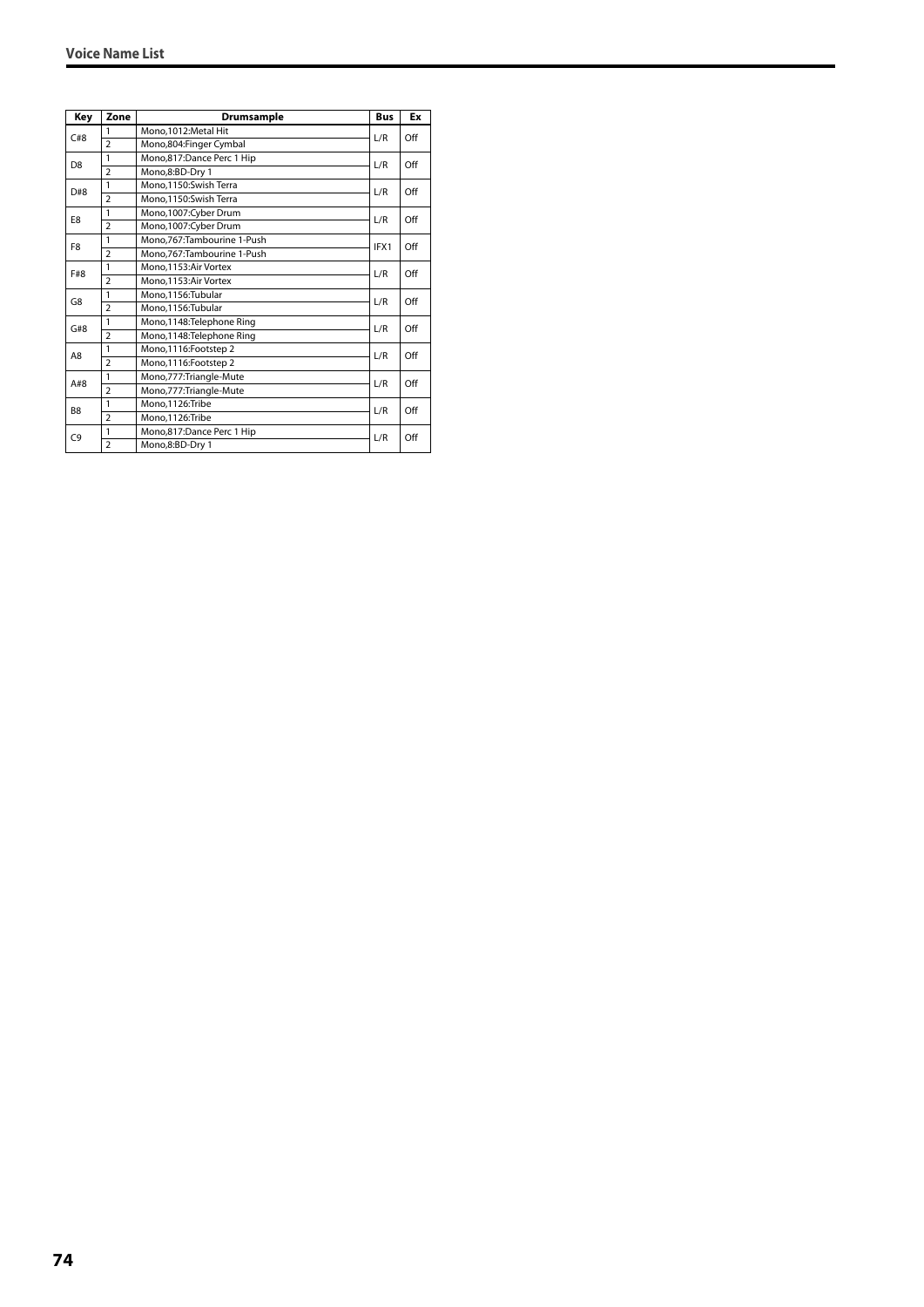| Key            | Zone           | <b>Drumsample</b>            | <b>Bus</b> | Ex  |
|----------------|----------------|------------------------------|------------|-----|
| C#8            | $\mathbf{1}$   | Mono, 1012: Metal Hit        | L/R        | Off |
|                | $\overline{2}$ | Mono,804:Finger Cymbal       |            |     |
| D <sub>8</sub> | 1              | Mono,817:Dance Perc 1 Hip    | L/R        | Off |
|                | $\overline{2}$ | Mono,8:BD-Dry 1              |            |     |
| D#8            | 1              | Mono.1150:Swish Terra        | L/R        | Off |
|                | $\overline{2}$ | Mono,1150:Swish Terra        |            |     |
| E8             | 1              | Mono,1007:Cyber Drum         | L/R        | Off |
|                | $\overline{2}$ | Mono,1007:Cyber Drum         |            |     |
| F <sub>8</sub> | 1              | Mono, 767: Tambourine 1-Push | IFX1       | Off |
|                | $\overline{2}$ | Mono, 767: Tambourine 1-Push |            |     |
| F#8            | 1              | Mono.1153:Air Vortex         | L/R        | Off |
|                | $\overline{2}$ | Mono.1153:Air Vortex         |            |     |
| G8             | 1              | Mono.1156:Tubular            | L/R        | Off |
|                | $\overline{2}$ | Mono,1156:Tubular            |            |     |
| G#8            | 1              | Mono, 1148: Telephone Ring   | L/R        | Off |
|                | $\overline{2}$ | Mono, 1148: Telephone Ring   |            |     |
| A8             | 1              | Mono,1116:Footstep 2         | L/R        | Off |
|                | $\overline{2}$ | Mono,1116:Footstep 2         |            |     |
| A#8            | 1              | Mono, 777: Triangle-Mute     | L/R        | Off |
|                | $\overline{2}$ | Mono,777:Triangle-Mute       |            |     |
| B <sub>8</sub> | 1              | Mono,1126:Tribe              | L/R        | Off |
|                | $\overline{2}$ | Mono.1126:Tribe              |            |     |
| C <sub>9</sub> | 1              | Mono,817:Dance Perc 1 Hip    | L/R        | Off |
|                | $\overline{2}$ | Mono,8:BD-Dry 1              |            |     |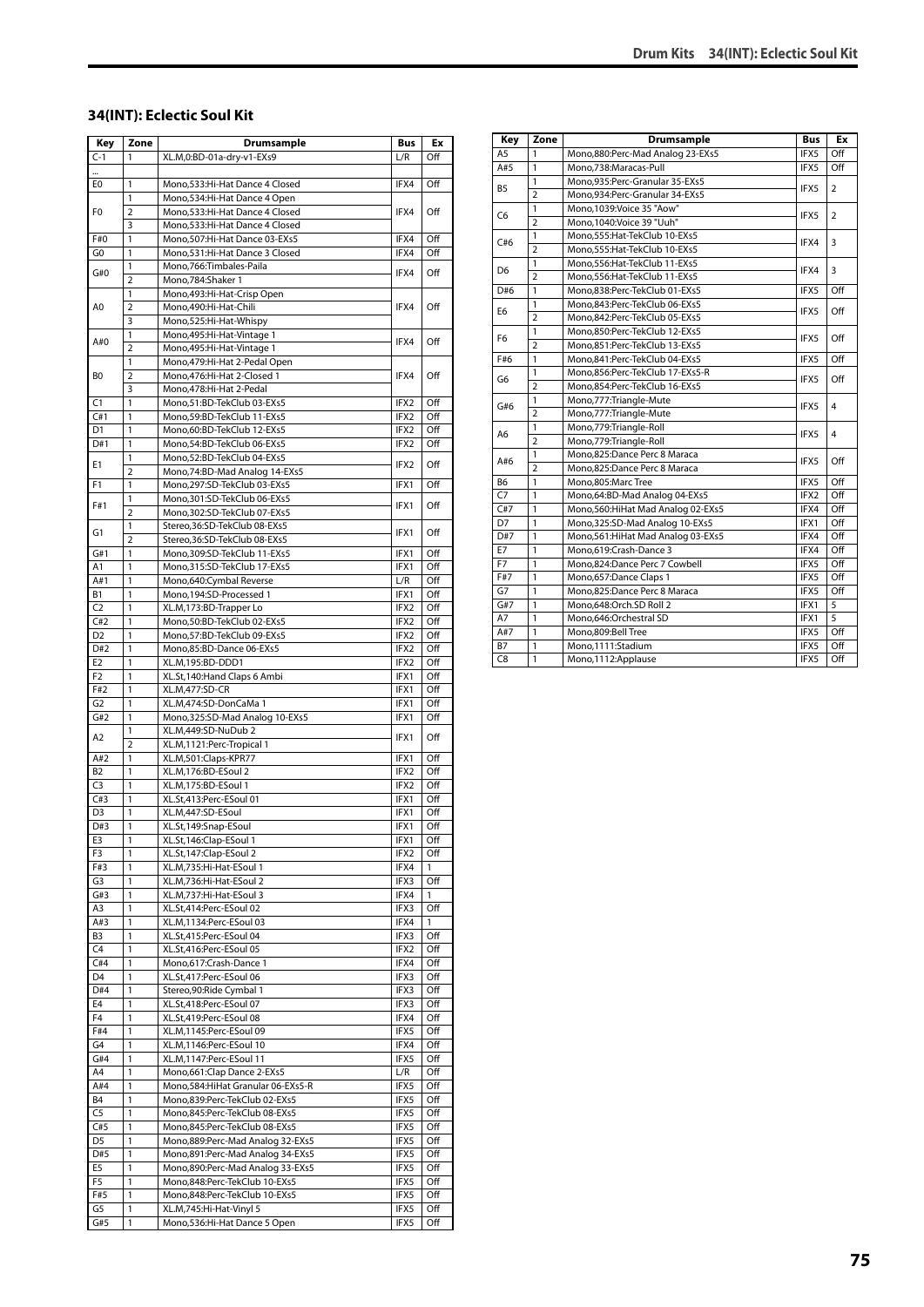#### **34(INT): Eclectic Soul Kit**

| Key            | Zone                | Drumsample                                                        | Bus         | Ex         |
|----------------|---------------------|-------------------------------------------------------------------|-------------|------------|
| $C-1$          | 1                   | XL.M,0:BD-01a-dry-v1-EXs9                                         | L/R         | Off        |
|                |                     |                                                                   |             |            |
| E0             | 1                   | Mono, 533: Hi-Hat Dance 4 Closed                                  | IFX4        | Off        |
|                | 1                   | Mono,534:Hi-Hat Dance 4 Open                                      |             |            |
| F0             | $\overline{2}$      | Mono,533:Hi-Hat Dance 4 Closed                                    | IFX4        | Off        |
|                | 3                   | Mono,533:Hi-Hat Dance 4 Closed                                    |             |            |
| F#0            | 1                   | Mono, 507: Hi-Hat Dance 03-EXs5                                   | IFX4        | Off        |
| G0             | 1                   | Mono, 531: Hi-Hat Dance 3 Closed                                  | IFX4        | Off        |
| G#0            | 1                   | Mono, 766: Timbales-Paila                                         | IFX4        | Off        |
|                | $\overline{2}$      | Mono, 784: Shaker 1                                               |             |            |
|                | 1                   | Mono, 493: Hi-Hat-Crisp Open                                      |             |            |
| A0             | $\overline{2}$      | Mono,490:Hi-Hat-Chili                                             | IFX4        | Off        |
|                | 3                   | Mono,525:Hi-Hat-Whispy                                            |             |            |
| A#0            | 1<br>$\overline{2}$ | Mono, 495: Hi-Hat-Vintage 1                                       | IFX4        | Off        |
|                | 1                   | Mono, 495: Hi-Hat-Vintage 1<br>Mono, 479: Hi-Hat 2-Pedal Open     |             |            |
| B0             | $\overline{2}$      | Mono, 476: Hi-Hat 2-Closed 1                                      | IFX4        | Off        |
|                | 3                   | Mono, 478: Hi-Hat 2-Pedal                                         |             |            |
| C1             | $\mathbf{1}$        | Mono,51:BD-TekClub 03-EXs5                                        | IFX2        | Off        |
| C#1            | $\mathbf{1}$        | Mono,59:BD-TekClub 11-EXs5                                        | IFX2        | Off        |
| D1             | 1                   | Mono,60:BD-TekClub 12-EXs5                                        | IFX2        | Off        |
| D#1            | 1                   | Mono,54:BD-TekClub 06-EXs5                                        | IFX2        | Off        |
|                | 1                   | Mono,52:BD-TekClub 04-EXs5                                        |             |            |
| E1             | $\overline{2}$      | Mono, 74: BD-Mad Analog 14-EXs5                                   | IFX2        | Off        |
| F1             | 1                   | Mono,297:SD-TekClub 03-EXs5                                       | IFX1        | Off        |
|                | 1                   | Mono, 301: SD-TekClub 06-EXs5                                     |             |            |
| F#1            | 2                   | Mono,302:SD-TekClub 07-EXs5                                       | IFX1        | Off        |
|                | 1                   | Stereo, 36: SD-TekClub 08-EXs5                                    |             |            |
| G1             | $\overline{2}$      | Stereo, 36: SD-TekClub 08-EXs5                                    | IFX1        | Off        |
| G#1            | 1                   | Mono,309:SD-TekClub 11-EXs5                                       | IFX1        | Off        |
| A1             | 1                   | Mono, 315: SD-TekClub 17-EXs5                                     | IFX1        | Off        |
| A#1            | 1                   | Mono,640:Cymbal Reverse                                           | L/R         | Off        |
| В1             | 1                   | Mono, 194: SD-Processed 1                                         | IFX1        | Off        |
| C <sub>2</sub> | 1                   | XL.M,173:BD-Trapper Lo                                            | IFX2        | Off        |
| C#2            | 1                   | Mono,50:BD-TekClub 02-EXs5                                        | IFX2        | Off        |
| D <sub>2</sub> | 1                   | Mono,57:BD-TekClub 09-EXs5                                        | IFX2        | Off        |
| D#2            | 1                   | Mono,85:BD-Dance 06-EXs5                                          | IFX2        | Off        |
| E <sub>2</sub> | 1                   | XL.M,195:BD-DDD1                                                  | IFX2        | Off        |
| F <sub>2</sub> | 1                   | XL.St, 140: Hand Claps 6 Ambi                                     | IFX1        | Off        |
| F#2            | 1                   | XL.M,477:SD-CR                                                    | IFX1        | Off        |
| G <sub>2</sub> | 1                   | XL.M,474:SD-DonCaMa 1                                             | IFX1        | Off        |
| G#2            | 1<br>1              | Mono, 325: SD-Mad Analog 10-EXs5                                  | IFX1        | Off        |
| A2             | $\overline{2}$      | XL.M,449:SD-NuDub 2                                               | IFX1        | Off        |
| A#2            | 1                   | XL.M,1121:Perc-Tropical 1<br>XL.M,501:Claps-KPR77                 | IFX1        | Off        |
| B <sub>2</sub> | $\mathbf{1}$        | XL.M,176:BD-ESoul 2                                               | IFX2        | Off        |
| C <sub>3</sub> | 1                   | XL.M,175:BD-ESoul 1                                               | IFX2        | Off        |
| C#3            | $\mathbf{1}$        | XL.St,413:Perc-ESoul 01                                           | IFX1        | Off        |
| D3             | 1                   | XL.M,447:SD-ESoul                                                 | IFX1        | Off        |
| D#3            | 1                   | XL.St,149:Snap-ESoul                                              | IFX1        | Off        |
| E3             | 1                   | XL.St,146:Clap-ESoul 1                                            | IFX1        | Off        |
| F3             | 1                   | XL.St,147:Clap-ESoul 2                                            | IFX2        | Off        |
| F#3            | 1                   | XL.M,735:Hi-Hat-ESoul 1                                           | IFX4        | 1          |
| G3             | 1                   | XL.M,736:Hi-Hat-ESoul 2                                           | IFX3        | Off        |
| G#3            | 1                   | XL.M,737:Hi-Hat-ESoul 3                                           | IFX4        | 1          |
| A3             | 1                   | XL.St,414:Perc-ESoul 02                                           | IFX3        | Off        |
| A#3            | 1                   | XL.M,1134:Perc-ESoul 03                                           | IFX4        | 1          |
| B <sub>3</sub> | 1                   | XL.St,415:Perc-ESoul 04                                           | IFX3        | Off        |
| C <sub>4</sub> | 1                   | XL.St,416:Perc-ESoul 05                                           | IFX2        | Off        |
| C#4            | 1                   | Mono,617:Crash-Dance 1                                            | IFX4        | Off        |
| D4             | 1                   | XL.St,417:Perc-ESoul 06                                           | IFX3        | Off        |
| D#4            | 1                   | Stereo, 90: Ride Cymbal 1                                         | IFX3        | Off        |
| E4             | 1                   | XL.St,418:Perc-ESoul 07                                           | IFX3        | Off        |
| F4             | 1                   | XL.St,419:Perc-ESoul 08                                           | IFX4        | Off        |
| F#4            | 1                   | XL.M,1145:Perc-ESoul 09                                           | IFX5        | Off        |
| G4<br>G#4      | 1<br>1              | XL.M,1146:Perc-ESoul 10                                           | IFX4        | Off        |
|                |                     | XL.M,1147:Perc-ESoul 11                                           | IFX5        | Off        |
| A4<br>A#4      | 1<br>1              | Mono,661:Clap Dance 2-EXs5<br>Mono,584: Hi Hat Granular 06-EXs5-R | L/R<br>IFX5 | Off<br>Off |
| Β4             | 1                   | Mono,839:Perc-TekClub 02-EXs5                                     | IFX5        | Off        |
| C5             | 1                   | Mono,845:Perc-TekClub 08-EXs5                                     | IFX5        | Off        |
| C#5            | 1                   | Mono,845:Perc-TekClub 08-EXs5                                     | IFX5        | Off        |
| D <sub>5</sub> | 1                   | Mono,889:Perc-Mad Analog 32-EXs5                                  | IFX5        | Off        |
| D#5            | 1                   | Mono,891:Perc-Mad Analog 34-EXs5                                  | IFX5        | Off        |
| E5             | 1                   | Mono,890:Perc-Mad Analog 33-EXs5                                  | IFX5        | Off        |
| F5             | 1                   | Mono,848:Perc-TekClub 10-EXs5                                     | IFX5        | Off        |
| F#5            | 1                   | Mono,848:Perc-TekClub 10-EXs5                                     | IFX5        | Off        |
| G5             | 1                   | XL.M,745:Hi-Hat-Vinyl 5                                           | IFX5        | Off        |
| G#5            | 1                   | Mono,536:Hi-Hat Dance 5 Open                                      | IFX5        | Off        |

| Key            | Zone           | Drumsample                          | <b>Bus</b>       | Ex             |
|----------------|----------------|-------------------------------------|------------------|----------------|
| A <sub>5</sub> | 1              | Mono,880:Perc-Mad Analog 23-EXs5    | IFX5             | Off            |
| A#5            | 1              | Mono,738:Maracas-Pull               | IFX5             | Off            |
|                | 1              | Mono,935:Perc-Granular 35-EXs5      |                  |                |
| <b>B5</b>      | $\overline{2}$ | Mono,934:Perc-Granular 34-EXs5      | IFX5             | $\overline{2}$ |
| C <sub>6</sub> | 1              | Mono, 1039: Voice 35 "Aow"          | IFX5             |                |
|                | $\overline{2}$ | Mono,1040:Voice 39 "Uuh"            |                  | $\overline{2}$ |
| C#6            | 1              | Mono,555: Hat-TekClub 10-EXs5       |                  |                |
|                | $\overline{a}$ | Mono,555:Hat-TekClub 10-EXs5        | IFX4             | 3              |
|                | 1              | Mono,556:Hat-TekClub 11-EXs5        |                  |                |
| D <sub>6</sub> | $\overline{2}$ | Mono.556: Hat-TekClub 11-EXs5       | IFX4             | 3              |
| D#6            | 1              | Mono.838:Perc-TekClub 01-EXs5       | IFX5             | Off            |
|                | 1              | Mono,843:Perc-TekClub 06-EXs5       |                  |                |
| E <sub>6</sub> | $\overline{2}$ | Mono,842:Perc-TekClub 05-EXs5       | IFX5             | Off            |
|                | 1              | Mono,850:Perc-TekClub 12-EXs5       |                  | Off            |
| F <sub>6</sub> | $\overline{2}$ | Mono,851:Perc-TekClub 13-EXs5       | IFX5             |                |
| F#6            | 1              | Mono,841:Perc-TekClub 04-EXs5       | IFX5             | Off            |
| G6             | 1              | Mono,856:Perc-TekClub 17-EXs5-R     |                  | Off            |
|                | $\overline{2}$ | Mono,854:Perc-TekClub 16-EXs5       | IFX5             |                |
|                | 1              | Mono,777:Triangle-Mute              |                  | 4              |
| G#6            | $\overline{2}$ | Mono,777:Triangle-Mute              | IFX5             |                |
|                | $\mathbf{1}$   | Mono,779:Triangle-Roll              |                  | 4              |
| A6             | $\overline{2}$ | Mono,779:Triangle-Roll              | IFX5             |                |
|                | 1              | Mono,825:Dance Perc 8 Maraca        |                  |                |
| A#6            | $\overline{2}$ | Mono,825:Dance Perc 8 Maraca        | IFX5             | Off            |
| B <sub>6</sub> | 1              | Mono,805:Marc Tree                  | IFX5             | Off            |
| C <sub>7</sub> | 1              | Mono,64:BD-Mad Analog 04-EXs5       | IFX <sub>2</sub> | Off            |
| C#7            | 1              | Mono,560: HiHat Mad Analog 02-EXs5  | IFX4             | Off            |
| D7             | 1              | Mono, 325: SD-Mad Analog 10-EXs5    | IFX1             | Off            |
| D#7            | 1              | Mono, 561: HiHat Mad Analog 03-EXs5 | IFX4             | Off            |
| E7             | 1              | Mono,619:Crash-Dance 3              | IFX4             | Off            |
| F7             | 1              | Mono,824:Dance Perc 7 Cowbell       | IFX5             | Off            |
| F#7            | 1              | Mono, 657: Dance Claps 1            | IFX5             | Off            |
| G7             | 1              | Mono,825:Dance Perc 8 Maraca        | IFX5             | Off            |
| G#7            | 1              | Mono,648:Orch.SD Roll 2             | IFX <sub>1</sub> | 5              |
| A7             | 1              | Mono,646:Orchestral SD              | IFX1             | 5              |
| A#7            | 1              | Mono,809:Bell Tree                  | IFX5             | Off            |
| <b>B7</b>      | $\mathbf{1}$   | Mono,1111:Stadium                   | IFX5             | Off            |
| C8             | 1              | Mono,1112:Applause                  | IFX5             | Off            |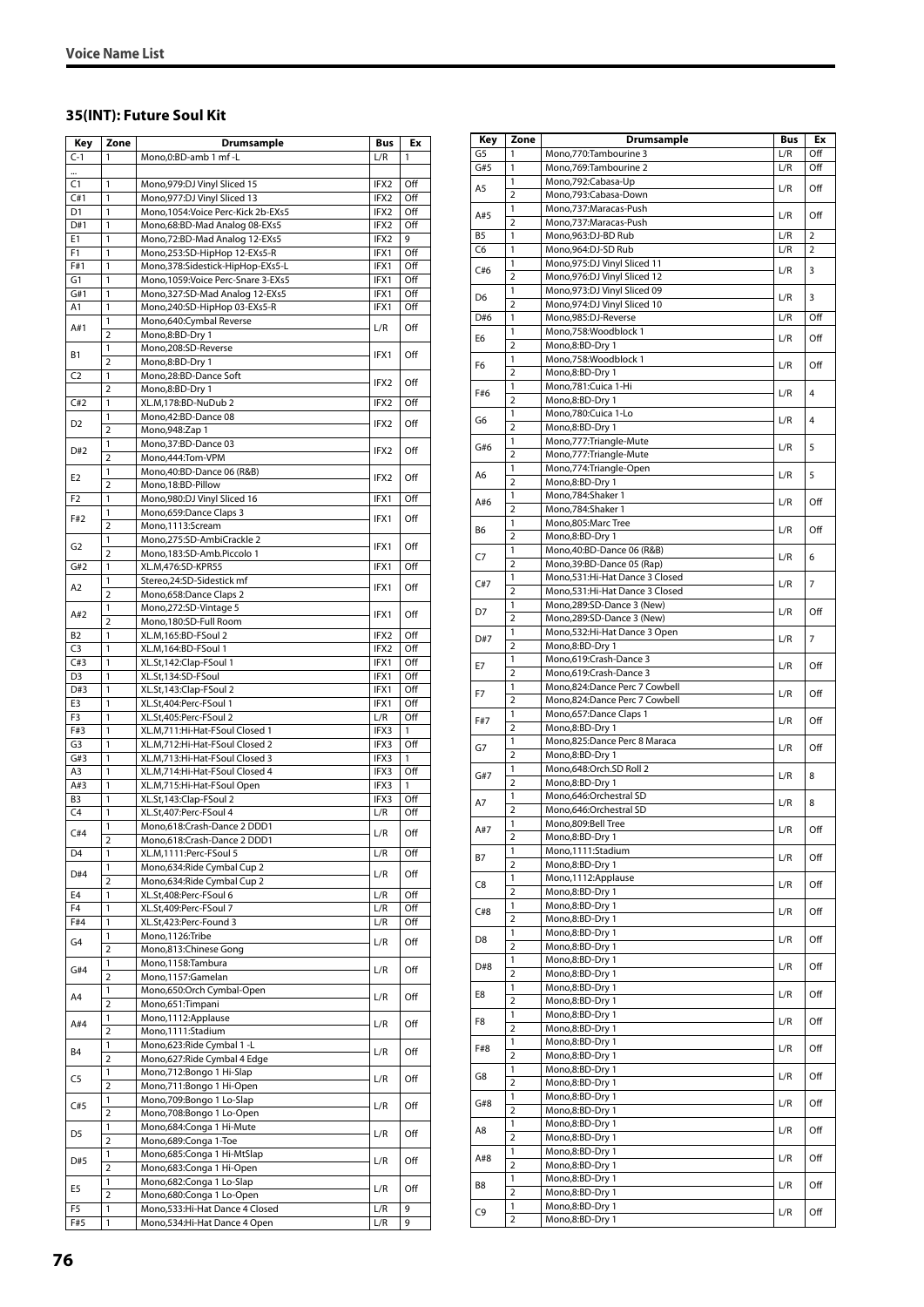#### **35(INT): Future Soul Kit**

| Key                   | Zone                | <b>Drumsample</b>                                                    | Bus              | Ex         |
|-----------------------|---------------------|----------------------------------------------------------------------|------------------|------------|
| $C-1$                 | 1                   | Mono,0:BD-amb 1 mf -L                                                | L/R              | 1          |
| $\ddotsc$             |                     |                                                                      |                  |            |
| C <sub>1</sub>        | 1                   | Mono, 979: DJ Vinyl Sliced 15                                        | IFX2             | Off        |
| C#1                   | 1                   | Mono, 977: DJ Vinyl Sliced 13                                        | IFX2             | Off        |
| D <sub>1</sub>        | 1                   | Mono, 1054: Voice Perc-Kick 2b-EXs5<br>Mono,68:BD-Mad Analog 08-EXs5 | IFX2             | Off        |
| D#1<br>E <sub>1</sub> | 1<br>1              | Mono,72:BD-Mad Analog 12-EXs5                                        | IFX2<br>IFX2     | Off<br>9   |
| F1                    | 1                   | Mono,253:SD-HipHop 12-EXs5-R                                         | IFX1             | Off        |
| F#1                   | 1                   | Mono,378:Sidestick-HipHop-EXs5-L                                     | IFX1             | Off        |
| G <sub>1</sub>        | 1                   | Mono, 1059: Voice Perc-Snare 3-EXs5                                  | IFX1             | Off        |
| G#1                   | 1                   | Mono, 327: SD-Mad Analog 12-EXs5                                     | IFX1             | Off        |
| A1                    | 1                   | Mono,240:SD-HipHop 03-EXs5-R                                         | IFX1             | Off        |
| A#1                   | 1<br>$\overline{2}$ | Mono,640:Cymbal Reverse                                              | L/R              | Off        |
|                       | 1                   | Mono,8:BD-Dry 1<br>Mono,208:SD-Reverse                               |                  |            |
| <b>B1</b>             | $\overline{2}$      | Mono,8:BD-Dry 1                                                      | IFX1             | Off        |
| C <sub>2</sub>        | 1                   | Mono,28:BD-Dance Soft                                                |                  |            |
|                       | $\overline{2}$      | Mono,8:BD-Dry 1                                                      | IFX2             | Off        |
| C#2                   | 1                   | XL.M,178:BD-NuDub 2                                                  | IFX2             | Off        |
| D <sub>2</sub>        | 1                   | Mono,42:BD-Dance 08                                                  | IFX2             | Off        |
|                       | $\overline{2}$<br>1 | Mono, 948: Zap 1<br>Mono, 37: BD-Dance 03                            |                  |            |
| D#2                   | $\overline{2}$      | Mono,444:Tom-VPM                                                     | IFX2             | Off        |
|                       | 1                   | Mono,40:BD-Dance 06 (R&B)                                            |                  |            |
| E <sub>2</sub>        | $\overline{2}$      | Mono, 18:BD-Pillow                                                   | IFX <sub>2</sub> | Off        |
| F <sub>2</sub>        | 1                   | Mono,980:DJ Vinyl Sliced 16                                          | IFX1             | Off        |
| F#2                   | 1                   | Mono,659:Dance Claps 3                                               | IFX1             | Off        |
|                       | $\overline{2}$      | Mono,1113:Scream                                                     |                  |            |
| G <sub>2</sub>        | 1                   | Mono,275:SD-AmbiCrackle 2                                            | IFX1             | Off        |
| G#2                   | $\overline{2}$<br>1 | Mono,183:SD-Amb.Piccolo 1<br>XL.M,476:SD-KPR55                       | IFX1             | Off        |
|                       | 1                   | Stereo,24:SD-Sidestick mf                                            |                  |            |
| A2                    | $\overline{2}$      | Mono,658:Dance Claps 2                                               | IFX1             | Off        |
|                       | 1                   | Mono,272:SD-Vintage 5                                                |                  |            |
| A#2                   | $\overline{2}$      | Mono,180:SD-Full Room                                                | IFX1             | Off        |
| B <sub>2</sub>        | 1                   | XL.M,165:BD-FSoul 2                                                  | IFX2             | Off        |
| C <sub>3</sub>        | 1                   | XL.M,164:BD-FSoul 1                                                  | IFX2             | Off        |
| C#3<br>D <sub>3</sub> | 1<br>1              | XL.St,142:Clap-FSoul 1                                               | IFX1             | Off        |
| D#3                   | 1                   | XL.St,134:SD-FSoul<br>XL.St,143:Clap-FSoul 2                         | IFX1<br>IFX1     | Off<br>Off |
| E3                    | 1                   | XL.St,404:Perc-FSoul 1                                               | IFX1             | Off        |
| F3                    | 1                   | XL.St,405:Perc-FSoul 2                                               | L/R              | Off        |
| F#3                   | 1                   | XL.M,711:Hi-Hat-FSoul Closed 1                                       | IFX3             | 1          |
| G <sub>3</sub>        | 1                   | XL.M,712:Hi-Hat-FSoul Closed 2                                       | IFX3             | Off        |
| G#3                   | $\mathbf{1}$        | XL.M,713:Hi-Hat-FSoul Closed 3                                       | IFX3             | 1          |
| A3                    | $\mathbf{1}$        | XL.M,714:Hi-Hat-FSoul Closed 4                                       | IFX3             | Off        |
| A#3<br>B <sub>3</sub> | 1<br>1              | XL.M,715:Hi-Hat-FSoul Open<br>XL.St,143:Clap-FSoul 2                 | IFX3<br>IFX3     | 1<br>Off   |
| C <sub>4</sub>        | 1                   | XL.St,407:Perc-FSoul 4                                               | L/R              | Off        |
|                       | 1                   | Mono.618:Crash-Dance 2 DDD1                                          |                  |            |
| C#4                   | 2                   | Mono,618:Crash-Dance 2 DDD1                                          | L/R              | Off        |
| D <sub>4</sub>        | 1                   | XL.M,1111:Perc-FSoul 5                                               | L/R              | Off        |
| D#4                   | 1                   | Mono,634: Ride Cymbal Cup 2                                          | L/R              | Off        |
|                       | $\overline{2}$      | Mono,634: Ride Cymbal Cup 2                                          |                  |            |
| E4<br>F <sub>4</sub>  | 1<br>$\mathbf{1}$   | XL.St,408:Perc-FSoul 6<br>XL.St,409:Perc-FSoul 7                     | L/R<br>L/R       | Off<br>Off |
| F#4                   | 1                   | XL.St,423:Perc-Found 3                                               | L/R              | Off        |
|                       | 1                   | Mono,1126:Tribe                                                      |                  |            |
| G4                    | 2                   | Mono,813:Chinese Gong                                                | L/R              | Off        |
| G#4                   | 1                   | Mono,1158:Tambura                                                    | L/R              | Off        |
|                       | $\overline{2}$      | Mono,1157:Gamelan                                                    |                  |            |
| A4                    | 1                   | Mono,650:Orch Cymbal-Open                                            | L/R              | Off        |
|                       | $\overline{2}$<br>1 | Mono,651:Timpani<br>Mono, 1112: Applause                             |                  |            |
| A#4                   | $\overline{2}$      | Mono,1111:Stadium                                                    | L/R              | Off        |
|                       | 1                   | Mono,623: Ride Cymbal 1 - L                                          |                  |            |
| B4                    | $\overline{2}$      | Mono,627: Ride Cymbal 4 Edge                                         | L/R              | Off        |
| C5                    | 1                   | Mono, 712: Bongo 1 Hi-Slap                                           | L/R              | Off        |
|                       | $\overline{2}$      | Mono,711:Bongo 1 Hi-Open                                             |                  |            |
| C#5                   | 1<br>$\overline{2}$ | Mono,709:Bongo 1 Lo-Slap                                             | L/R              | Off        |
|                       | 1                   | Mono,708:Bongo 1 Lo-Open<br>Mono,684:Conga 1 Hi-Mute                 |                  |            |
| D5                    | 2                   | Mono,689:Conga 1-Toe                                                 | L/R              | Off        |
|                       | 1                   | Mono,685:Conga 1 Hi-MtSlap                                           |                  |            |
| D#5                   | $\overline{2}$      | Mono,683:Conga 1 Hi-Open                                             | L/R              | Off        |
| E5                    | $\mathbf{1}$        | Mono,682:Conga 1 Lo-Slap                                             | L/R              | Off        |
|                       | $\overline{2}$      | Mono,680:Conga 1 Lo-Open                                             |                  |            |
| F5<br>F#5             | 1<br>1              | Mono,533:Hi-Hat Dance 4 Closed                                       | L/R<br>L/R       | 9<br>9     |
|                       |                     | Mono,534:Hi-Hat Dance 4 Open                                         |                  |            |

| Key            | Zone                | Drumsample                                                   | <b>Bus</b> | Еx             |
|----------------|---------------------|--------------------------------------------------------------|------------|----------------|
| G5             | 1                   | Mono,770:Tambourine 3                                        | L/R        | Off            |
| G#5            | 1                   | Mono,769:Tambourine 2                                        | L/R        | Off            |
| A5             | 1                   | Mono, 792: Cabasa-Up                                         | L/R        | Off            |
|                | $\overline{2}$<br>1 | Mono,793:Cabasa-Down                                         |            |                |
| A#5            | $\overline{2}$      | Mono,737: Maracas-Push<br>Mono,737:Maracas-Push              | L/R        | Off            |
| B <sub>5</sub> | 1                   | Mono,963:DJ-BD Rub                                           | L/R        | $\overline{2}$ |
| C6             | 1                   | Mono,964:DJ-SD Rub                                           | L/R        | $\overline{2}$ |
| C#6            | 1                   | Mono,975:DJ Vinyl Sliced 11                                  | L/R        | 3              |
|                | 2<br>1              | Mono,976:DJ Vinyl Sliced 12<br>Mono, 973: DJ Vinyl Sliced 09 |            |                |
| D <sub>6</sub> | $\overline{2}$      | Mono, 974: DJ Vinyl Sliced 10                                | L/R        | 3              |
| D#6            | 1                   | Mono,985:DJ-Reverse                                          | L/R        | Off            |
| E6             | 1                   | Mono,758:Woodblock 1                                         | L/R        | Off            |
|                | $\overline{2}$      | Mono,8:BD-Dry 1                                              |            |                |
| F <sub>6</sub> | 1<br>$\overline{2}$ | Mono,758:Woodblock 1<br>Mono,8:BD-Dry 1                      | L/R        | Off            |
|                | 1                   | Mono,781:Cuica 1-Hi                                          |            |                |
| F#6            | $\overline{2}$      | Mono,8:BD-Dry 1                                              | L/R        | $\overline{4}$ |
| G6             | 1                   | Mono,780:Cuica 1-Lo                                          | L/R        | $\overline{4}$ |
|                | $\overline{2}$      | Mono,8:BD-Dry 1                                              |            |                |
| G#6            | 1<br>$\overline{2}$ | Mono, 777: Triangle-Mute<br>Mono,777: Triangle-Mute          | L/R        | 5              |
|                | 1                   | Mono,774: Triangle-Open                                      |            |                |
| A6             | 2                   | Mono,8:BD-Dry 1                                              | L/R        | 5              |
| A#6            | 1                   | Mono,784:Shaker 1                                            | L/R        | Off            |
|                | $\overline{2}$      | Mono,784:Shaker 1<br>Mono,805:Marc Tree                      |            |                |
| B6             | 1<br>$\overline{2}$ | Mono,8:BD-Dry 1                                              | L/R        | Off            |
|                | 1                   | Mono,40:BD-Dance 06 (R&B)                                    |            |                |
| C7             | $\overline{2}$      | Mono, 39: BD-Dance 05 (Rap)                                  | L/R        | 6              |
| C#7            | 1                   | Mono,531:Hi-Hat Dance 3 Closed                               | L/R        | $\overline{7}$ |
|                | $\overline{2}$<br>1 | Mono,531:Hi-Hat Dance 3 Closed<br>Mono,289:SD-Dance 3 (New)  |            |                |
| D7             | $\overline{2}$      | Mono,289:SD-Dance 3 (New)                                    | L/R        | Off            |
|                | 1                   | Mono,532:Hi-Hat Dance 3 Open                                 |            |                |
| D#7            | $\overline{2}$      | Mono,8:BD-Dry 1                                              | L/R        | 7              |
| E7             | 1                   | Mono,619:Crash-Dance 3                                       | L/R        | Off            |
|                | $\overline{2}$<br>1 | Mono,619:Crash-Dance 3<br>Mono,824:Dance Perc 7 Cowbell      |            |                |
| F7             | $\overline{2}$      | Mono,824:Dance Perc 7 Cowbell                                | L/R        | Off            |
| F#7            | 1                   | Mono, 657: Dance Claps 1                                     | L/R        | Off            |
|                | $\overline{2}$      | Mono,8:BD-Dry 1                                              |            |                |
| G7             | 1<br>$\overline{2}$ | Mono,825:Dance Perc 8 Maraca                                 | L/R        | Off            |
|                | 1                   | Mono,8:BD-Dry 1<br>Mono,648:Orch.SD Roll 2                   |            |                |
| G#7            | $\overline{2}$      | Mono,8:BD-Dry 1                                              | L/R        | 8              |
| A7             | 1                   | Mono,646:Orchestral SD                                       | L/R        | 8              |
|                | $\overline{2}$      | Mono,646:Orchestral SD                                       |            |                |
| A#7            | 1<br>$\overline{2}$ | Mono,809:Bell Tree<br>Mono,8:BD-Dry 1                        | L/R        | Off            |
|                | 1                   | Mono,1111:Stadium                                            |            |                |
| Β7             | 2                   | Mono,8:BD-Dry 1                                              | L/R        | Off            |
| C8             | 1                   | Mono,1112:Applause                                           | L/R        | Off            |
|                | 2<br>1              | Mono,8:BD-Dry 1<br>Mono,8:BD-Dry 1                           |            |                |
| C#8            | 2                   | Mono,8:BD-Dry 1                                              | L/R        | Off            |
|                | 1                   | Mono,8:BD-Dry 1                                              |            |                |
| D8             | $\overline{2}$      | Mono,8:BD-Dry 1                                              | L/R        | Off            |
| D#8            | 1                   | Mono,8:BD-Dry 1                                              | L/R        | Off            |
|                | $\overline{2}$<br>1 | Mono,8:BD-Dry 1<br>Mono,8:BD-Dry 1                           |            |                |
| E8             | 2                   | Mono,8:BD-Dry 1                                              | L/R        | Off            |
| F8             | 1                   | Mono,8:BD-Dry 1                                              | L/R        | Off            |
|                | $\overline{2}$      | Mono,8:BD-Dry 1                                              |            |                |
| F#8            | 1<br>2              | Mono,8:BD-Dry 1                                              | L/R        | Off            |
|                | 1                   | Mono,8:BD-Dry 1<br>Mono,8:BD-Dry 1                           |            |                |
| G8             | $\overline{2}$      | Mono,8:BD-Dry 1                                              | L/R        | Off            |
| G#8            | 1                   | Mono,8:BD-Dry 1                                              | L/R        | Off            |
|                | $\overline{2}$      | Mono,8:BD-Dry 1                                              |            |                |
| A8             | 1<br>$\overline{2}$ | Mono,8:BD-Dry 1<br>Mono,8:BD-Dry 1                           | L/R        | Off            |
|                | 1                   | Mono,8:BD-Dry 1                                              |            |                |
| A#8            | $\overline{2}$      | Mono,8:BD-Dry 1                                              | L/R        | Off            |
| B8             | 1                   | Mono,8:BD-Dry 1                                              | L/R        | Off            |
|                | $\overline{2}$      | Mono,8:BD-Dry 1                                              |            |                |
| C9             | 1<br>2              | Mono,8:BD-Dry 1<br>Mono,8:BD-Dry 1                           | L/R        | Off            |
|                |                     |                                                              |            |                |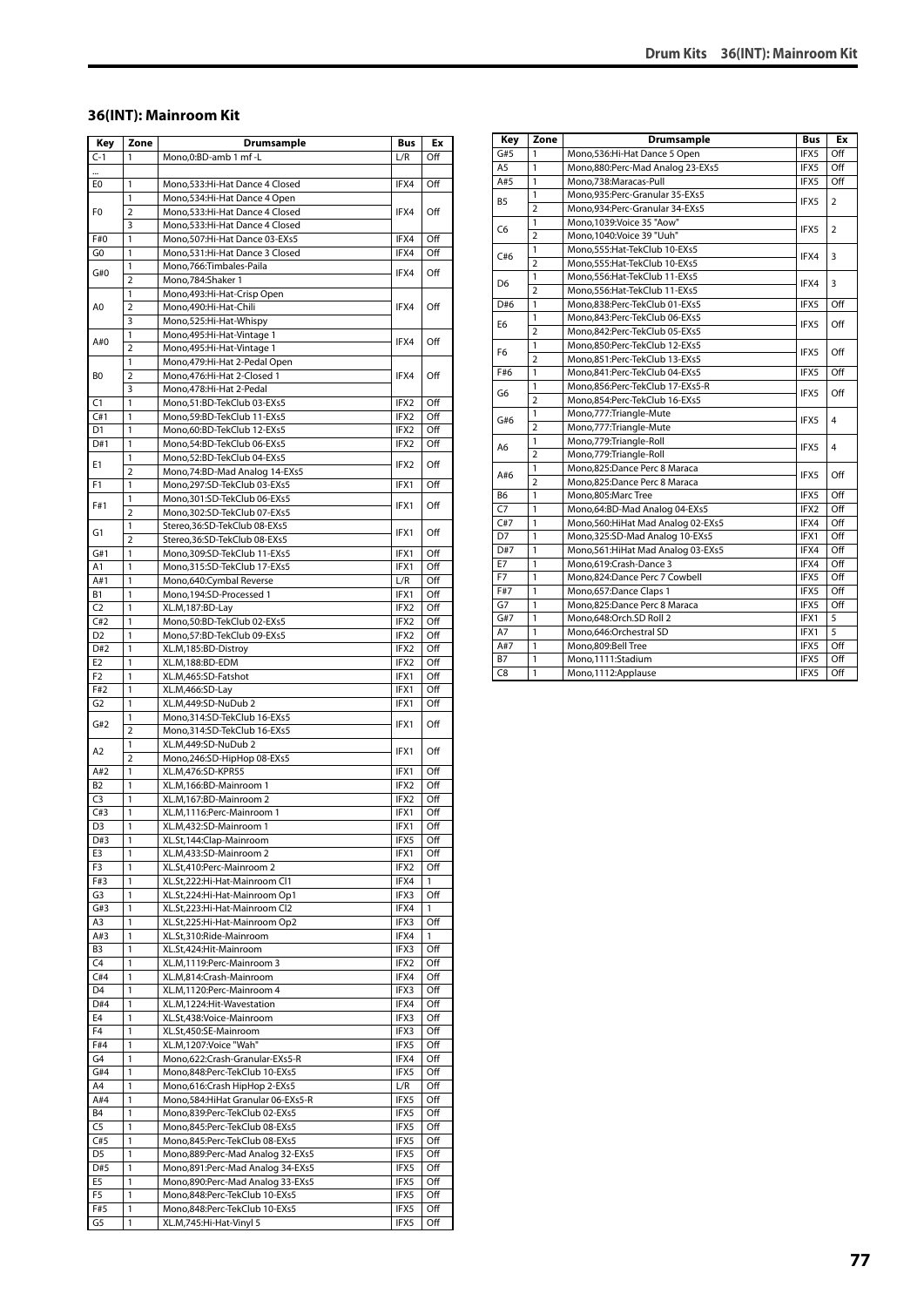#### **36(INT): Mainroom Kit**

| Key                   | Zone                | <b>Drumsample</b>                                                      | Bus          | Еx           |
|-----------------------|---------------------|------------------------------------------------------------------------|--------------|--------------|
| $C-1$                 | 1                   | Mono, 0: BD-amb 1 mf - L                                               | L/R          | Off          |
|                       |                     |                                                                        |              |              |
| E0                    | 1                   | Mono,533:Hi-Hat Dance 4 Closed                                         | IFX4         | Off          |
|                       | 1                   | Mono, 534: Hi-Hat Dance 4 Open                                         |              |              |
| F <sub>0</sub>        | $\overline{2}$      | Mono, 533: Hi-Hat Dance 4 Closed                                       | IFX4         | Off          |
|                       | 3                   | Mono, 533: Hi-Hat Dance 4 Closed                                       |              |              |
| F#0                   | $\mathbf{1}$        | Mono,507:Hi-Hat Dance 03-EXs5                                          | IFX4         | Off          |
| G <sub>0</sub>        | 1                   | Mono,531:Hi-Hat Dance 3 Closed                                         | IFX4         | Off          |
| G#0                   | 1                   | Mono, 766: Timbales-Paila                                              | IFX4         | Off          |
|                       | 2                   | Mono, 784: Shaker 1                                                    |              |              |
|                       | 1                   | Mono, 493: Hi-Hat-Crisp Open                                           |              |              |
| A0                    | 2                   | Mono,490:Hi-Hat-Chili                                                  | IFX4         | Off          |
|                       | 3                   | Mono,525:Hi-Hat-Whispy                                                 |              |              |
| A#0                   | 1                   | Mono, 495: Hi-Hat-Vintage 1                                            | IFX4         | Off          |
|                       | $\overline{2}$      | Mono, 495: Hi-Hat-Vintage 1                                            |              |              |
|                       | 1<br>$\overline{2}$ | Mono, 479: Hi-Hat 2-Pedal Open<br>Mono, 476: Hi-Hat 2-Closed 1         | IFX4         | Off          |
| B0                    | 3                   | Mono, 478: Hi-Hat 2-Pedal                                              |              |              |
| C1                    | 1                   | Mono,51:BD-TekClub 03-EXs5                                             | IFX2         | Off          |
| C#1                   | 1                   | Mono,59:BD-TekClub 11-EXs5                                             | IFX2         | Off          |
| D1                    | 1                   | Mono,60:BD-TekClub 12-EXs5                                             | IFX2         | Off          |
| D#1                   | 1                   | Mono,54:BD-TekClub 06-EXs5                                             | IFX2         | Off          |
|                       | 1                   | Mono,52:BD-TekClub 04-EXs5                                             |              |              |
| E1                    | $\overline{2}$      | Mono, 74: BD-Mad Analog 14-EXs5                                        | IFX2         | Off          |
| F1                    | 1                   | Mono,297:SD-TekClub 03-EXs5                                            | IFX1         | Off          |
|                       | 1                   | Mono, 301: SD-TekClub 06-EXs5                                          |              |              |
| F#1                   | $\overline{2}$      | Mono,302:SD-TekClub 07-EXs5                                            | IFX1         | Off          |
|                       | 1                   | Stereo,36:SD-TekClub 08-EXs5                                           |              |              |
| G1                    | 2                   | Stereo,36:SD-TekClub 08-EXs5                                           | IFX1         | Off          |
| G#1                   | 1                   | Mono,309:SD-TekClub 11-EXs5                                            | IFX1         | Off          |
| A1                    | 1                   | Mono, 315: SD-TekClub 17-EXs5                                          | IFX1         | Off          |
| A#1                   | 1                   | Mono,640:Cymbal Reverse                                                | L/R          | Off          |
| В1                    | 1                   | Mono, 194: SD-Processed 1                                              | IFX1         | Off          |
| C <sub>2</sub>        | 1                   | XL.M,187:BD-Lay                                                        | IFX2         | Off          |
| C#2                   | 1                   | Mono,50:BD-TekClub 02-EXs5                                             | IFX2         | Off          |
| D <sub>2</sub>        | 1                   | Mono,57:BD-TekClub 09-EXs5                                             | IFX2         | Off          |
| D#2                   | 1                   | XL.M, 185:BD-Distroy                                                   | IFX2         | Off          |
| E <sub>2</sub>        | 1                   | XL.M,188:BD-EDM                                                        | IFX2         | Off          |
| F <sub>2</sub>        | 1                   | XL.M,465:SD-Fatshot                                                    | IFX1         | Off          |
| F#2                   | 1                   | XL.M,466:SD-Lay                                                        | IFX1         | Off          |
| G <sub>2</sub>        | 1                   | XL.M,449:SD-NuDub 2                                                    | IFX1         | Off          |
| G#2                   | 1                   | Mono, 314: SD-TekClub 16-EXs5                                          | IFX1         | Off          |
|                       | $\overline{2}$      | Mono,314:SD-TekClub 16-EXs5                                            |              |              |
| A2                    | 1                   | XL.M,449:SD-NuDub 2                                                    | IFX1         | Off          |
| A#2                   | $\overline{2}$      | Mono,246:SD-HipHop 08-EXs5                                             |              |              |
| <b>B2</b>             | 1<br>1              | XL.M,476:SD-KPR55<br>XL.M,166:BD-Mainroom 1                            | IFX1<br>IFX2 | Off<br>Off   |
| C3                    | 1                   | XL.M,167:BD-Mainroom 2                                                 | IFX2         | Off          |
| C#3                   | 1                   | XL.M,1116:Perc-Mainroom 1                                              | IFX1         | Off          |
| D3                    | 1                   | XL.M,432:SD-Mainroom 1                                                 | IFX1         | Off          |
| D#3                   | 1                   | XL.St,144:Clap-Mainroom                                                | IFX5         | Off          |
| E3                    | 1                   | XL.M,433:SD-Mainroom 2                                                 | IFX1         | Off          |
| F3                    | 1                   | XL.St,410:Perc-Mainroom 2                                              | IFX2         | Off          |
| F#3                   | 1                   | XL.St,222:Hi-Hat-Mainroom Cl1                                          | IFX4         | 1            |
| G3                    | 1                   | XL.St,224:Hi-Hat-Mainroom Op1                                          | IFX3         | Off          |
| G#3                   | 1                   | XL.St,223:Hi-Hat-Mainroom Cl2                                          | IFX4         | 1            |
| A3                    | 1                   | XL.St,225:Hi-Hat-Mainroom Op2                                          | IFX3         | Off          |
| A#3                   | 1                   | XL.St,310:Ride-Mainroom                                                | IFX4         | $\mathbf{1}$ |
| B3                    | 1                   | XL.St,424:Hit-Mainroom                                                 | IFX3         | Off          |
| C <sub>4</sub>        | 1                   | XL.M,1119:Perc-Mainroom 3                                              | IFX2         | Off          |
| C#4                   | 1                   | XL.M,814:Crash-Mainroom                                                | IFX4         | Off          |
| D4                    | 1                   | XL.M,1120:Perc-Mainroom 4                                              | IFX3         | Off          |
| D#4                   | 1                   | XL.M,1224:Hit-Wavestation                                              | IFX4         | Off          |
| E4                    | 1                   | XL.St,438:Voice-Mainroom                                               | IFX3         | Off          |
| F <sub>4</sub>        | 1                   | XL.St,450:SE-Mainroom                                                  | IFX3         | Off          |
| F#4                   | 1                   | XL.M,1207:Voice "Wah"                                                  | IFX5         | Off          |
| G4                    | 1                   | Mono,622:Crash-Granular-EXs5-R                                         | IFX4         | Off          |
| G#4                   | 1                   | Mono,848:Perc-TekClub 10-EXs5                                          | IFX5         | Off          |
| A4                    | 1                   | Mono,616:Crash HipHop 2-EXs5                                           | L/R          | Off          |
| A#4                   | 1                   | Mono,584: HiHat Granular 06-EXs5-R                                     | IFX5         | Off          |
| <b>B4</b>             | 1                   | Mono,839:Perc-TekClub 02-EXs5                                          | IFX5         | Off          |
| C <sub>5</sub>        | 1<br>1              | Mono,845:Perc-TekClub 08-EXs5                                          | IFX5<br>IFX5 | Off<br>Off   |
| C#5                   | 1                   | Mono,845:Perc-TekClub 08-EXs5                                          |              |              |
| D <sub>5</sub><br>D#5 | 1                   | Mono,889:Perc-Mad Analog 32-EXs5<br>Mono, 891: Perc-Mad Analog 34-EXs5 | IFX5<br>IFX5 | Off<br>Off   |
| E5                    | 1                   | Mono,890:Perc-Mad Analog 33-EXs5                                       | IFX5         | Off          |
| F5                    | 1                   | Mono,848:Perc-TekClub 10-EXs5                                          | IFX5         | Off          |
| F#5                   | 1                   | Mono,848:Perc-TekClub 10-EXs5                                          | IFX5         | Off          |
| G5                    | 1                   | XL.M,745:Hi-Hat-Vinyl 5                                                | IFX5         | Off          |
|                       |                     |                                                                        |              |              |

| Key            | Zone           | <b>Drumsample</b>                    | <b>Bus</b> | Ex             |
|----------------|----------------|--------------------------------------|------------|----------------|
| G#5            | 1              | Mono,536:Hi-Hat Dance 5 Open         | IFX5       | Off            |
| A <sub>5</sub> | 1              | Mono,880:Perc-Mad Analog 23-EXs5     | IFX5       | Off            |
| A#5            | 1              | Mono,738:Maracas-Pull                | IFX5       | Off            |
| <b>B5</b>      | 1              | Mono,935:Perc-Granular 35-EXs5       | IFX5       |                |
|                | $\overline{a}$ | Mono,934:Perc-Granular 34-EXs5       |            | 2              |
| C <sub>6</sub> | 1              | Mono,1039:Voice 35 "Aow"             |            | $\overline{2}$ |
|                | $\overline{a}$ | Mono, 1040: Voice 39 "Uuh"           | IFX5       |                |
| C#6            | $\mathbf{1}$   | Mono,555: Hat-TekClub 10-EXs5        |            | 3              |
|                | $\overline{a}$ | Mono, 555: Hat-TekClub 10-EXs5       | IFX4       |                |
|                | 1              | Mono,556: Hat-TekClub 11-EXs5        |            |                |
| D6             | $\overline{a}$ | Mono,556: Hat-TekClub 11-EXs5        | IFX4       | 3              |
| D#6            | 1              | Mono,838:Perc-TekClub 01-EXs5        | IFX5       | Off            |
|                | 1              | Mono,843:Perc-TekClub 06-EXs5        |            |                |
| E <sub>6</sub> | $\overline{2}$ | Mono,842:Perc-TekClub 05-EXs5        | IFX5       | Off            |
|                | $\mathbf{1}$   | Mono,850:Perc-TekClub 12-EXs5        |            |                |
| F <sub>6</sub> | $\overline{2}$ | Mono,851:Perc-TekClub 13-EXs5        | IFX5       | Off            |
| F#6            | 1              | Mono,841:Perc-TekClub 04-EXs5        | IFX5       | Off            |
| G6             | 1              | Mono,856:Perc-TekClub 17-EXs5-R      |            |                |
|                | $\overline{a}$ | Mono,854:Perc-TekClub 16-EXs5        | IFX5       | Off            |
| G#6            | 1              | Mono,777:Triangle-Mute               |            |                |
|                | $\overline{a}$ | Mono,777: Triangle-Mute              | IFX5       | $\overline{4}$ |
|                | 1              | Mono,779:Triangle-Roll               |            |                |
| A6             | $\overline{2}$ | Mono,779:Triangle-Roll               | IFX5       | 4              |
|                | 1              | Mono,825:Dance Perc 8 Maraca         |            |                |
| A#6            | $\overline{a}$ | Mono,825:Dance Perc 8 Maraca         | IFX5       | Off            |
| B <sub>6</sub> | 1              | Mono,805:Marc Tree                   | IFX5       | Off            |
| C <sub>7</sub> | $\mathbf{1}$   | Mono,64:BD-Mad Analog 04-EXs5        | IFX2       | Off            |
| C#7            | 1              | Mono, 560: Hi Hat Mad Analog 02-EXs5 | IFX4       | Off            |
| D7             | 1              | Mono, 325: SD-Mad Analog 10-EXs5     | IFX1       | Off            |
| D#7            | 1              | Mono, 561: HiHat Mad Analog 03-EXs5  | IFX4       | Off            |
| E7             | 1              | Mono,619:Crash-Dance 3               | IFX4       | Off            |
| F7             | 1              | Mono,824:Dance Perc 7 Cowbell        | IFX5       | Off            |
| F#7            | 1              | Mono, 657: Dance Claps 1             | IFX5       | Off            |
| G7             | 1              | Mono,825:Dance Perc 8 Maraca         | IFX5       | Off            |
| G#7            | 1              | Mono,648:Orch.SD Roll 2              | IFX1       | 5              |
| A7             | 1              | Mono,646:Orchestral SD               | IFX1       | 5              |
| A#7            | 1              | Mono,809:Bell Tree                   | IFX5       | Off            |
| <b>B7</b>      | 1              | Mono,1111:Stadium                    | IFX5       | Off            |
| C8             | 1              | Mono, 1112: Applause                 | IFX5       | Off            |
|                |                |                                      |            |                |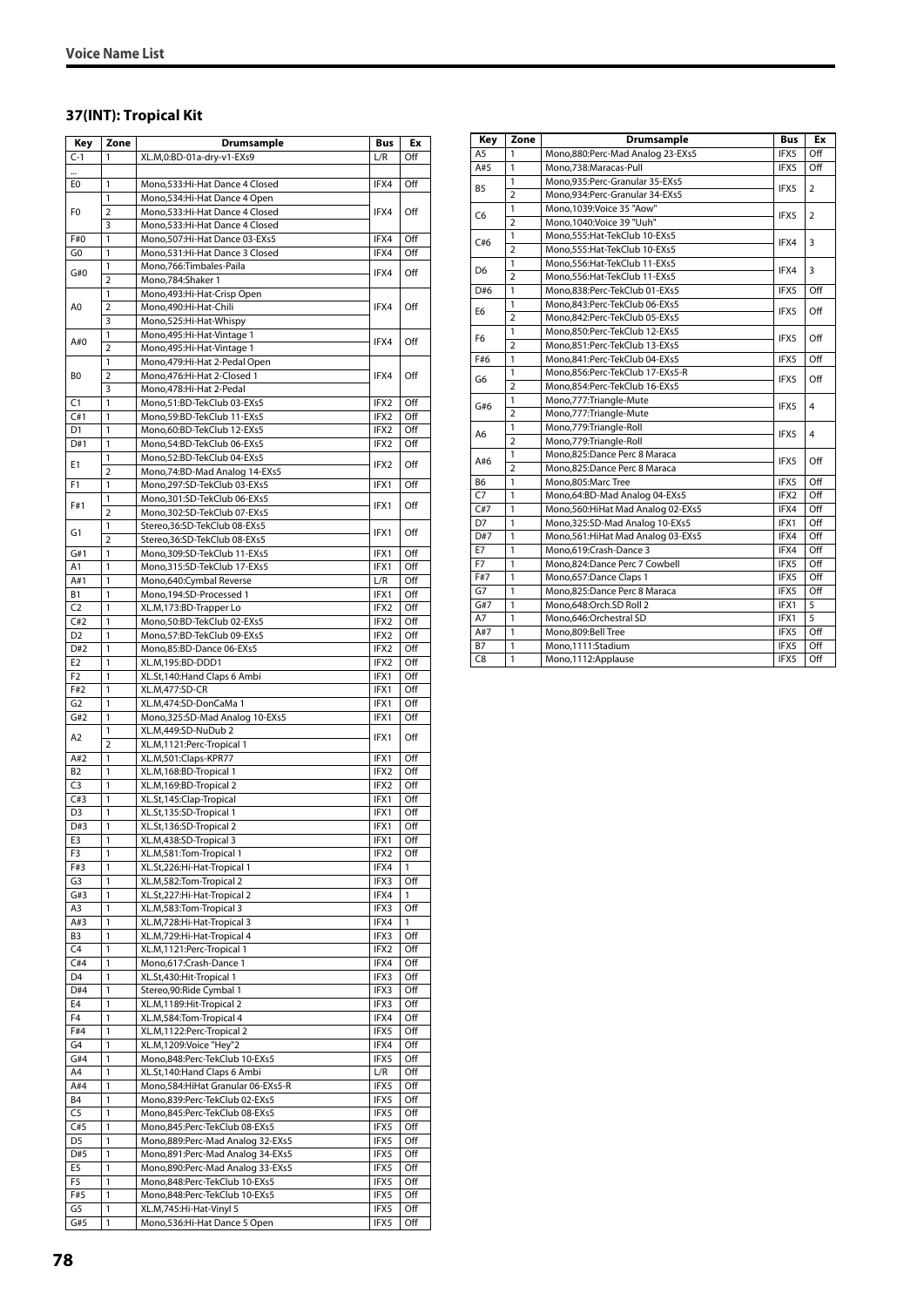## **37(INT): Tropical Kit**

| Key                   | Zone                | Drumsample                                                         | <b>Bus</b>   | Ex         |
|-----------------------|---------------------|--------------------------------------------------------------------|--------------|------------|
| $C-1$                 | 1                   | XL.M,0:BD-01a-dry-v1-EXs9                                          | L/R          | Off        |
|                       |                     |                                                                    |              |            |
| E0                    | 1                   | Mono,533:Hi-Hat Dance 4 Closed                                     | IFX4         | Off        |
|                       | 1                   | Mono,534:Hi-Hat Dance 4 Open                                       |              |            |
| F0                    | $\overline{2}$      | Mono,533:Hi-Hat Dance 4 Closed<br>Mono, 533: Hi-Hat Dance 4 Closed | IFX4         | Off        |
| F#0                   | 3<br>1              | Mono, 507: Hi-Hat Dance 03-EXs5                                    | IFX4         | Off        |
| G <sub>0</sub>        | 1                   | Mono, 531: Hi-Hat Dance 3 Closed                                   | IFX4         | Off        |
|                       | 1                   | Mono, 766: Timbales-Paila                                          |              |            |
| G#0                   | 2                   | Mono,784:Shaker 1                                                  | IFX4         | Off        |
|                       | 1                   | Mono, 493: Hi-Hat-Crisp Open                                       |              |            |
| A0                    | 2                   | Mono,490:Hi-Hat-Chili                                              | IFX4         | Off        |
|                       | 3                   | Mono,525:Hi-Hat-Whispy                                             |              |            |
| A#0                   | 1                   | Mono, 495: Hi-Hat-Vintage 1                                        | IFX4         | Off        |
|                       | $\overline{2}$<br>1 | Mono, 495: Hi-Hat-Vintage 1                                        |              |            |
| B0                    | $\overline{2}$      | Mono, 479: Hi-Hat 2-Pedal Open<br>Mono, 476: Hi-Hat 2-Closed 1     | IFX4         | Off        |
|                       | 3                   | Mono, 478: Hi-Hat 2-Pedal                                          |              |            |
| C <sub>1</sub>        | 1                   | Mono,51:BD-TekClub 03-EXs5                                         | IFX2         | Off        |
| C#1                   | 1                   | Mono,59:BD-TekClub 11-EXs5                                         | IFX2         | Off        |
| D1                    | 1                   | Mono,60:BD-TekClub 12-EXs5                                         | IFX2         | Off        |
| D#1                   | 1                   | Mono,54:BD-TekClub 06-EXs5                                         | IFX2         | Off        |
| E1                    | 1                   | Mono,52:BD-TekClub 04-EXs5                                         | IFX2         | Off        |
|                       | $\overline{2}$      | Mono, 74: BD-Mad Analog 14-EXs5                                    |              |            |
| F1                    | 1                   | Mono,297:SD-TekClub 03-EXs5                                        | IFX1         | Off        |
| F#1                   | 1<br>2              | Mono,301:SD-TekClub 06-EXs5<br>Mono,302:SD-TekClub 07-EXs5         | IFX1         | Off        |
|                       | 1                   | Stereo, 36: SD-TekClub 08-EXs5                                     |              |            |
| G1                    | $\overline{2}$      | Stereo, 36: SD-TekClub 08-EXs5                                     | IFX1         | Off        |
| G#1                   | 1                   | Mono,309:SD-TekClub 11-EXs5                                        | IFX1         | Off        |
| A1                    | 1                   | Mono,315:SD-TekClub 17-EXs5                                        | IFX1         | Off        |
| A#1                   | 1                   | Mono,640:Cymbal Reverse                                            | L/R          | Off        |
| <b>B1</b>             | 1                   | Mono, 194: SD-Processed 1                                          | IFX1         | Off        |
| C <sub>2</sub>        | 1                   | XL.M,173:BD-Trapper Lo                                             | IFX2         | Off        |
| C#2                   | 1                   | Mono,50:BD-TekClub 02-EXs5                                         | IFX2         | Off        |
| D <sub>2</sub>        | 1                   | Mono,57:BD-TekClub 09-EXs5                                         | IFX2         | Off        |
| D#2<br>E <sub>2</sub> | 1<br>1              | Mono,85:BD-Dance 06-EXs5<br>XL.M,195:BD-DDD1                       | IFX2<br>IFX2 | Off<br>Off |
| F <sub>2</sub>        | 1                   | XL.St, 140: Hand Claps 6 Ambi                                      | IFX1         | Off        |
| F#2                   | 1                   | XL.M,477:SD-CR                                                     | IFX1         | Off        |
| G <sub>2</sub>        | 1                   | XL.M,474:SD-DonCaMa 1                                              | IFX1         | Off        |
| G#2                   | 1                   | Mono,325:SD-Mad Analog 10-EXs5                                     | IFX1         | Off        |
| A2                    | 1                   | XL.M,449:SD-NuDub 2                                                | IFX1         | Off        |
|                       | $\overline{2}$      | XL.M,1121:Perc-Tropical 1                                          |              |            |
| A#2                   | 1                   | XL.M,501:Claps-KPR77                                               | IFX1         | Off        |
| B <sub>2</sub>        | 1                   | XL.M, 168:BD-Tropical 1                                            | IFX2         | Off        |
| C <sub>3</sub><br>C#3 | 1<br>1              | XL.M,169:BD-Tropical 2                                             | IFX2<br>IFX1 | Off<br>Off |
| D <sub>3</sub>        | 1                   | XL.St,145:Clap-Tropical<br>XL.St,135:SD-Tropical 1                 | IFX1         | Off        |
| D#3                   | 1                   | XL.St.136:SD-Tropical 2                                            | IFX1         | Off        |
| E3                    | 1                   | XL.M,438:SD-Tropical 3                                             | IFX1         | Off        |
| F3                    | 1                   | XL.M,581:Tom-Tropical 1                                            | IFX2         | Off        |
| F#3                   | 1                   | XL.St,226:Hi-Hat-Tropical 1                                        | IFX4         | 1          |
| G <sub>3</sub>        | 1                   | XL.M,582:Tom-Tropical 2                                            | IFX3         | Off        |
| G#3                   | 1                   | XL.St,227:Hi-Hat-Tropical 2                                        | IFX4         | 1          |
| A3                    | 1                   | XL.M,583:Tom-Tropical 3                                            | IFX3         | Off        |
| A#3                   | 1                   | XL.M,728:Hi-Hat-Tropical 3                                         | IFX4         | 1          |
| B <sub>3</sub>        | 1                   | XL.M,729:Hi-Hat-Tropical 4                                         | IFX3<br>IFX2 | Off        |
| C <sub>4</sub><br>C#4 | 1<br>1              | XL.M,1121:Perc-Tropical 1<br>Mono,617:Crash-Dance 1                | IFX4         | Off<br>Off |
| D <sub>4</sub>        | 1                   | XL.St,430:Hit-Tropical 1                                           | IFX3         | Off        |
| D#4                   | 1                   | Stereo, 90: Ride Cymbal 1                                          | IFX3         | Off        |
| E4                    | 1                   | XL.M, 1189: Hit-Tropical 2                                         | IFX3         | Off        |
| F4                    | 1                   | XL.M,584:Tom-Tropical 4                                            | IFX4         | Off        |
| F#4                   | 1                   | XL.M,1122:Perc-Tropical 2                                          | IFX5         | Off        |
| G4                    | 1                   | XL.M,1209:Voice "Hey"2                                             | IFX4         | Off        |
| G#4                   | 1                   | Mono,848:Perc-TekClub 10-EXs5                                      | IFX5         | Off        |
| A4                    | 1                   | XL.St,140:Hand Claps 6 Ambi                                        | L/R          | Off        |
| A#4                   | 1                   | Mono, 584: Hi Hat Granular 06-EXs5-R                               | IFX5         | Off        |
| B4<br>C <sub>5</sub>  | 1<br>1              | Mono,839:Perc-TekClub 02-EXs5<br>Mono,845:Perc-TekClub 08-EXs5     | IFX5<br>IFX5 | Off<br>Off |
| C#5                   | 1                   | Mono,845:Perc-TekClub 08-EXs5                                      | IFX5         | Off        |
| D <sub>5</sub>        | 1                   | Mono,889:Perc-Mad Analog 32-EXs5                                   | IFX5         | Off        |
| D#5                   | 1                   | Mono,891:Perc-Mad Analog 34-EXs5                                   | IFX5         | Off        |
| E5                    | 1                   | Mono,890:Perc-Mad Analog 33-EXs5                                   | IFX5         | Off        |
| F <sub>5</sub>        | 1                   | Mono,848:Perc-TekClub 10-EXs5                                      | IFX5         | Off        |
| F#5                   | 1                   | Mono,848:Perc-TekClub 10-EXs5                                      | IFX5         | Off        |
| G5                    | 1                   | XL.M,745:Hi-Hat-Vinyl 5                                            | IFX5         | Off        |
| G#5                   | 1                   | Mono,536:Hi-Hat Dance 5 Open                                       | IFX5         | Off        |

| Key            | Zone           | Drumsample                          | <b>Bus</b> | Ex             |
|----------------|----------------|-------------------------------------|------------|----------------|
| A5             | 1              | Mono,880:Perc-Mad Analog 23-EXs5    | IFX5       | Off            |
| A#5            | 1              | Mono,738:Maracas-Pull               | IFX5       | Off            |
| <b>B5</b>      | $\mathbf{1}$   | Mono,935:Perc-Granular 35-EXs5      |            |                |
|                | $\overline{2}$ | Mono,934:Perc-Granular 34-EXs5      | IFX5       | $\overline{2}$ |
| C <sub>6</sub> | $\mathbf{1}$   | Mono,1039:Voice 35 "Aow"            |            |                |
|                | $\overline{2}$ | Mono.1040:Voice 39 "Uuh"            | IFX5       | $\overline{2}$ |
| C#6            | $\mathbf{1}$   | Mono, 555: Hat-TekClub 10-EXs5      |            |                |
|                | $\overline{2}$ | Mono, 555: Hat-TekClub 10-EXs5      | IFX4       | 3              |
| D <sub>6</sub> | 1              | Mono, 556: Hat-TekClub 11-EXs5      |            |                |
|                | $\overline{2}$ | Mono, 556: Hat-TekClub 11-EXs5      | IFX4       | 3              |
| D#6            | $\mathbf{1}$   | Mono,838:Perc-TekClub 01-EXs5       | IFX5       | Off            |
|                | $\mathbf{1}$   | Mono,843:Perc-TekClub 06-EXs5       |            | Off            |
| E <sub>6</sub> | $\overline{2}$ | Mono,842:Perc-TekClub 05-EXs5       | IFX5       |                |
|                | $\mathbf{1}$   | Mono,850:Perc-TekClub 12-EXs5       |            |                |
| F <sub>6</sub> | $\overline{2}$ | Mono,851:Perc-TekClub 13-EXs5       | IFX5       | Off            |
| F#6            | 1              | Mono,841:Perc-TekClub 04-EXs5       | IFX5       | Off            |
| G6             | 1              | Mono,856:Perc-TekClub 17-EXs5-R     |            |                |
|                | $\overline{2}$ | Mono,854:Perc-TekClub 16-EXs5       | IFX5       | Off            |
|                | $\mathbf{1}$   | Mono,777:Triangle-Mute              |            | 4              |
| G#6            | $\overline{2}$ | Mono,777:Triangle-Mute              | IFX5       |                |
|                | $\mathbf{1}$   | Mono,779:Triangle-Roll              |            |                |
| A6             | $\overline{2}$ | Mono, 779: Triangle-Roll            | IFX5       | 4              |
|                | $\mathbf{1}$   | Mono,825:Dance Perc 8 Maraca        |            | Off            |
| A#6            | $\overline{2}$ | Mono,825:Dance Perc 8 Maraca        | IFX5       |                |
| <b>B6</b>      | 1              | Mono,805:Marc Tree                  | IFX5       | Off            |
| C <sub>7</sub> | $\mathbf{1}$   | Mono,64:BD-Mad Analog 04-EXs5       | IFX2       | Off            |
| C#7            | 1              | Mono, 560: HiHat Mad Analog 02-EXs5 | IFX4       | Off            |
| D7             | 1              | Mono, 325: SD-Mad Analog 10-EXs5    | IFX1       | Off            |
| D#7            | $\mathbf{1}$   | Mono, 561: HiHat Mad Analog 03-EXs5 | IFX4       | Off            |
| E7             | 1              | Mono,619:Crash-Dance 3              | IFX4       | Off            |
| F7             | 1              | Mono,824:Dance Perc 7 Cowbell       | IFX5       | Off            |
| F#7            | 1              | Mono,657:Dance Claps 1              | IFX5       | Off            |
| G7             | $\mathbf{1}$   | Mono,825:Dance Perc 8 Maraca        | IFX5       | Off            |
| G#7            | $\overline{1}$ | Mono,648:Orch.SD Roll 2             | IFX1       | 5              |
| A7             | $\mathbf{1}$   | Mono,646:Orchestral SD              | IFX1       | 5              |
| A#7            | 1              | Mono,809:Bell Tree                  | IFX5       | Off            |
| <b>B7</b>      | 1              | Mono,1111:Stadium                   | IFX5       | Off            |
| C8             | $\mathbf{1}$   | Mono,1112:Applause                  | IFX5       | Off            |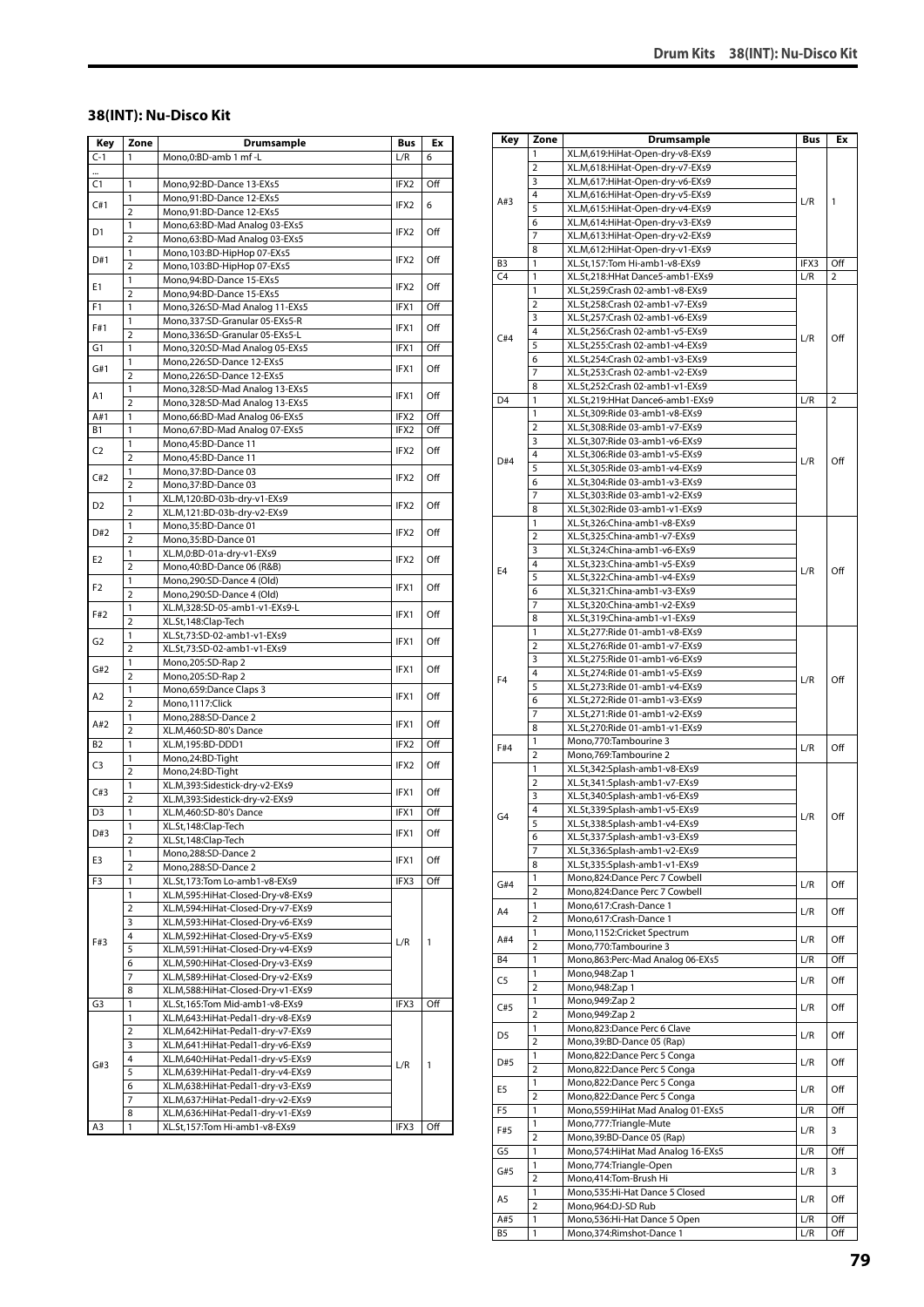#### **38(INT): Nu-Disco Kit**

| Key            | Zone                | Drumsample                                             | <b>Bus</b>       | Еx  |
|----------------|---------------------|--------------------------------------------------------|------------------|-----|
| $C-1$          | 1                   | Mono,0:BD-amb 1 mf -L                                  | L/R              | 6   |
|                |                     |                                                        |                  |     |
| C1             | 1                   | Mono,92:BD-Dance 13-EXs5                               | IFX2             | Off |
| C#1            | 1                   | Mono,91:BD-Dance 12-EXs5                               | IFX2             | 6   |
|                | $\overline{2}$      | Mono,91:BD-Dance 12-EXs5                               |                  |     |
| D1             | 1                   | Mono,63:BD-Mad Analog 03-EXs5                          | IFX2             | Off |
|                | $\overline{2}$      | Mono,63:BD-Mad Analog 03-EXs5                          |                  |     |
| D#1            | 1                   | Mono, 103: BD-HipHop 07-EXs5                           | IFX2             | Off |
|                | $\overline{2}$      | Mono, 103: BD-HipHop 07-EXs5                           |                  |     |
| Е1             | 1<br>$\overline{2}$ | Mono, 94: BD-Dance 15-EXs5<br>Mono,94:BD-Dance 15-EXs5 | IFX2             | Off |
| F1             | 1                   | Mono, 326: SD-Mad Analog 11-EXs5                       | IFX1             | Off |
|                | 1                   | Mono, 337: SD-Granular 05-EXs5-R                       |                  |     |
| F#1            | 2                   | Mono,336:SD-Granular 05-EXs5-L                         | IFX1             | Off |
| G1             | 1                   | Mono,320:SD-Mad Analog 05-EXs5                         | IFX1             | Off |
|                | 1                   | Mono,226:SD-Dance 12-EXs5                              |                  |     |
| G#1            | $\overline{2}$      | Mono,226:SD-Dance 12-EXs5                              | IFX1             | Off |
|                | 1                   | Mono, 328: SD-Mad Analog 13-EXs5                       |                  |     |
| A1             | $\overline{2}$      | Mono, 328: SD-Mad Analog 13-EXs5                       | IFX1             | Off |
| A#1            | 1                   | Mono, 66: BD-Mad Analog 06-EXs5                        | IFX2             | Off |
| В1             | 1                   | Mono,67:BD-Mad Analog 07-EXs5                          | IFX2             | Off |
|                | 1                   | Mono,45:BD-Dance 11                                    |                  |     |
| C <sub>2</sub> | 2                   | Mono,45:BD-Dance 11                                    | IFX2             | Off |
|                | 1                   | Mono, 37: BD-Dance 03                                  |                  |     |
| C#2            | $\overline{2}$      | Mono, 37: BD-Dance 03                                  | IFX2             | Off |
|                | 1                   | XL.M,120:BD-03b-dry-v1-EXs9                            |                  |     |
| D <sub>2</sub> | $\overline{2}$      | XL.M,121:BD-03b-dry-v2-EXs9                            | IFX2             | Off |
|                | 1                   | Mono,35:BD-Dance 01                                    |                  |     |
| D#2            | 2                   | Mono,35:BD-Dance 01                                    | IFX2             | Off |
|                | 1                   | XL.M,0:BD-01a-dry-v1-EXs9                              |                  |     |
| E2             | $\overline{2}$      | Mono,40:BD-Dance 06 (R&B)                              | IFX <sub>2</sub> | Off |
|                | 1                   | Mono,290:SD-Dance 4 (Old)                              |                  |     |
| F <sub>2</sub> | 2                   | Mono,290:SD-Dance 4 (Old)                              | IFX1             | Off |
|                | 1                   | XL.M,328:SD-05-amb1-v1-EXs9-L                          |                  |     |
| F#2            | $\overline{2}$      | XL.St,148:Clap-Tech                                    | IFX1             | Off |
|                | 1                   | XL.St,73:SD-02-amb1-v1-EXs9                            |                  |     |
| G2             | $\overline{2}$      | XL.St,73:SD-02-amb1-v1-EXs9                            | IFX1             | Off |
|                | 1                   | Mono,205:SD-Rap 2                                      |                  |     |
| G#2            | $\overline{2}$      | Mono,205:SD-Rap 2                                      | IFX1             | Off |
|                | 1                   | Mono, 659: Dance Claps 3                               |                  |     |
| A2             | $\overline{2}$      | Mono, 1117: Click                                      | IFX1             | Off |
|                | 1                   | Mono,288:SD-Dance 2                                    |                  |     |
| A#2            | $\overline{2}$      | XL.M,460:SD-80's Dance                                 | IFX1             | Off |
| B <sub>2</sub> | 1                   | XL.M,195:BD-DDD1                                       | IFX2             | Off |
|                | 1                   | Mono,24:BD-Tight                                       |                  |     |
| C3             | 2                   | Mono,24:BD-Tight                                       | IFX2             | Off |
|                | 1                   | XL.M,393:Sidestick-dry-v2-EXs9                         |                  | Off |
| C#3            | $\overline{2}$      | XL.M,393:Sidestick-dry-v2-EXs9                         | IFX1             |     |
| D <sub>3</sub> | 1                   | XL.M,460:SD-80's Dance                                 | IFX1             | Off |
|                | L                   | XL.St,148:Clap-Tech                                    |                  |     |
| D#3            | $\overline{2}$      | XL.St,148:Clap-Tech                                    | IFX1             | Off |
| E3             | 1                   | Mono,288:SD-Dance 2                                    |                  |     |
|                | $\overline{2}$      | Mono,288:SD-Dance 2                                    | IFX1             | Off |
| F3             | 1                   | XL.St,173:Tom Lo-amb1-v8-EXs9                          | IFX3             | Off |
|                | 1                   | XL.M,595:HiHat-Closed-Dry-v8-EXs9                      |                  |     |
|                | 2                   | XL.M,594:HiHat-Closed-Dry-v7-EXs9                      |                  |     |
|                | 3                   | XL.M,593:HiHat-Closed-Dry-v6-EXs9                      |                  |     |
| F#3            | 4                   | XL.M,592:HiHat-Closed-Dry-v5-EXs9                      | L/R              | 1   |
|                | 5                   | XL.M,591:HiHat-Closed-Dry-v4-EXs9                      |                  |     |
|                | 6                   | XL.M,590:HiHat-Closed-Dry-v3-EXs9                      |                  |     |
|                | 7                   | XL.M,589:HiHat-Closed-Dry-v2-EXs9                      |                  |     |
|                | 8                   | XL.M,588:HiHat-Closed-Dry-v1-EXs9                      |                  |     |
| G3             | 1                   | XL.St,165:Tom Mid-amb1-v8-EXs9                         | IFX3             | Off |
|                | 1                   | XL.M,643:HiHat-Pedal1-dry-v8-EXs9                      |                  |     |
|                | 2                   | XL.M,642:HiHat-Pedal1-dry-v7-EXs9                      |                  |     |
|                | 3                   | XL.M,641:HiHat-Pedal1-dry-v6-EXs9                      |                  |     |
| G#3            | 4                   | XL.M,640:HiHat-Pedal1-dry-v5-EXs9                      | L/R              | 1   |
|                | 5                   | XL.M,639:HiHat-Pedal1-dry-v4-EXs9                      |                  |     |
|                | 6                   | XL.M,638:HiHat-Pedal1-dry-v3-EXs9                      |                  |     |
|                | 7                   | XL.M,637:HiHat-Pedal1-dry-v2-EXs9                      |                  |     |
|                | 8                   | XL.M,636:HiHat-Pedal1-dry-v1-EXs9                      |                  |     |
| A3             | 1                   | XL.St,157:Tom Hi-amb1-v8-EXs9                          | IFX3             | Off |

| Key            | Zone           | <b>Drumsample</b>                                                  | Bus  | Ex  |
|----------------|----------------|--------------------------------------------------------------------|------|-----|
|                | 1              | XL.M,619:HiHat-Open-dry-v8-EXs9                                    |      |     |
|                | $\overline{2}$ | XL.M,618:HiHat-Open-dry-v7-EXs9                                    |      |     |
|                | 3              | XL.M,617:HiHat-Open-dry-v6-EXs9                                    |      |     |
|                | 4              |                                                                    |      |     |
| A#3            | 5              | XL.M,616:HiHat-Open-dry-v5-EXs9                                    | L/R  | 1   |
|                | 6              | XL.M,615:HiHat-Open-dry-v4-EXs9<br>XL.M,614:HiHat-Open-dry-v3-EXs9 |      |     |
|                | 7              |                                                                    |      |     |
|                |                | XL.M,613:HiHat-Open-dry-v2-EXs9                                    |      |     |
|                | 8              | XL.M,612:HiHat-Open-dry-v1-EXs9                                    |      |     |
| B3             | 1              | XL.St,157:Tom Hi-amb1-v8-EXs9                                      | IFX3 | Off |
| C <sub>4</sub> | 1              | XL.St,218:HHat Dance5-amb1-EXs9                                    | L/R  | 2   |
|                | 1              | XL.St,259:Crash 02-amb1-v8-EXs9                                    |      |     |
|                | 2              | XL.St,258:Crash 02-amb1-v7-EXs9                                    |      |     |
|                | 3              | XL.St,257:Crash 02-amb1-v6-EXs9                                    |      |     |
| C#4            | 4              | XL.St,256:Crash 02-amb1-v5-EXs9                                    | L/R  | Off |
|                | 5              | XL.St,255:Crash 02-amb1-v4-EXs9                                    |      |     |
|                | 6              | XL.St,254:Crash 02-amb1-v3-EXs9                                    |      |     |
|                | 7              | XL.St,253:Crash 02-amb1-v2-EXs9                                    |      |     |
|                | 8              | XL.St,252:Crash 02-amb1-v1-EXs9                                    |      |     |
| D <sub>4</sub> | 1              | XL.St,219:HHat Dance6-amb1-EXs9                                    | L/R  | 2   |
|                | 1              | XL.St,309:Ride 03-amb1-v8-EXs9                                     |      |     |
|                | $\overline{2}$ | XL.St,308:Ride 03-amb1-v7-EXs9                                     |      |     |
|                | 3              | XL.St,307:Ride 03-amb1-v6-EXs9                                     |      |     |
| D#4            | 4              | XL.St,306:Ride 03-amb1-v5-EXs9                                     | L/R  | Off |
|                | 5              | XL.St,305:Ride 03-amb1-v4-EXs9                                     |      |     |
|                | 6              | XL.St,304:Ride 03-amb1-v3-EXs9                                     |      |     |
|                | 7              | XL.St,303:Ride 03-amb1-v2-EXs9                                     |      |     |
|                | 8              | XL.St,302:Ride 03-amb1-v1-EXs9                                     |      |     |
|                | 1              | XL.St,326:China-amb1-v8-EXs9                                       |      |     |
|                | 2              | XL.St,325:China-amb1-v7-EXs9                                       |      |     |
|                | 3              | XL.St,324:China-amb1-v6-EXs9                                       |      | Off |
|                | 4              | XL.St,323:China-amb1-v5-EXs9                                       |      |     |
| E <sub>4</sub> | 5              | XL.St,322:China-amb1-v4-EXs9                                       | L/R  |     |
|                | 6              | XL.St,321:China-amb1-v3-EXs9                                       |      |     |
|                | 7              | XL.St,320:China-amb1-v2-EXs9                                       |      |     |
|                | 8              | XL.St,319:China-amb1-v1-EXs9                                       |      |     |
|                | 1              | XL.St,277:Ride 01-amb1-v8-EXs9                                     |      |     |
|                | $\overline{2}$ | XL.St,276:Ride 01-amb1-v7-EXs9                                     |      |     |
|                | 3              | XL.St,275:Ride 01-amb1-v6-EXs9                                     |      |     |
|                | 4              | XL.St,274:Ride 01-amb1-v5-EXs9                                     |      |     |
| F <sub>4</sub> | 5              | XL.St,273:Ride 01-amb1-v4-EXs9                                     | L/R  | Off |
|                | 6              | XL.St,272:Ride 01-amb1-v3-EXs9                                     |      |     |
|                | 7              | XL.St,271:Ride 01-amb1-v2-EXs9                                     |      |     |
|                | 8              | XL.St,270:Ride 01-amb1-v1-EXs9                                     |      |     |
|                | 1              | Mono,770:Tambourine 3                                              |      |     |
| F#4            | 2              | Mono, 769: Tambourine 2                                            | L/R  | Off |
|                | 1              | XL.St,342:Splash-amb1-v8-EXs9                                      |      |     |
|                | 2              | XL.St,341:Splash-amb1-v7-EXs9                                      |      |     |
|                | 3              |                                                                    |      |     |
|                | 4              | XL.St,340:Splash-amb1-v6-EXs9                                      |      |     |
| G <sub>4</sub> | 5              | XL.St,339:Splash-amb1-v5-EXs9                                      | L/R  | Off |
|                |                | XL.St,338:Splash-amb1-v4-EXs9                                      |      |     |
|                | 6<br>7         | XL.St,337:Splash-amb1-v3-EXs9                                      |      |     |
|                |                | XL.St,336:Splash-amb1-v2-EXs9                                      |      |     |
|                | 8              | XL.St,335:Splash-amb1-v1-EXs9                                      |      |     |
| G#4            | 1              | Mono,824:Dance Perc 7 Cowbell                                      | L/R  | Off |
|                | 2              | Mono,824:Dance Perc 7 Cowbell                                      |      |     |
| A4             | 1              | Mono,617:Crash-Dance 1                                             | L/R  | Off |
|                | $\overline{2}$ | Mono,617:Crash-Dance 1                                             |      |     |
| A#4            | 1              | Mono,1152:Cricket Spectrum                                         | L/R  | Off |
|                | $\overline{2}$ | Mono, 770: Tambourine 3                                            |      |     |
| B4             | 1              | Mono,863:Perc-Mad Analog 06-EXs5                                   | L/R  | Off |
| C <sub>5</sub> | 1              | Mono, 948: Zap 1                                                   | L/R  | Off |
|                | 2              | Mono, 948: Zap 1                                                   |      |     |
| C#5            | 1              | Mono, 949: Zap 2                                                   | L/R  | Off |
|                | $\overline{2}$ | Mono, 949: Zap 2                                                   |      |     |
| D <sub>5</sub> | 1              | Mono,823:Dance Perc 6 Clave                                        | L/R  | Off |
|                | $\overline{2}$ | Mono, 39: BD-Dance 05 (Rap)                                        |      |     |
| D#5            | 1              | Mono,822:Dance Perc 5 Conga                                        | L/R  | Off |
|                | $\overline{2}$ | Mono,822:Dance Perc 5 Conga                                        |      |     |
| E5             | 1              | Mono,822:Dance Perc 5 Conga                                        | L/R  | Off |
|                | 2              | Mono,822:Dance Perc 5 Conga                                        |      |     |
| F <sub>5</sub> | 1              | Mono,559: Hi Hat Mad Analog 01-EXs5                                | L/R  | Off |
| F#5            | 1              | Mono,777: Triangle-Mute                                            |      | 3   |
|                | $\overline{2}$ | Mono, 39: BD-Dance 05 (Rap)                                        | L/R  |     |
| G5             | 1              | Mono,574: HiHat Mad Analog 16-EXs5                                 | L/R  | Off |
|                | 1              | Mono,774: Triangle-Open                                            |      |     |
| G#5            | 2              | Mono,414:Tom-Brush Hi                                              | L/R  | 3   |
|                | 1              | Mono, 535: Hi-Hat Dance 5 Closed                                   |      |     |
| A5             | $\overline{2}$ | Mono,964:DJ-SD Rub                                                 | L/R  | Off |
| A#5            | $\mathbf{1}$   | Mono,536:Hi-Hat Dance 5 Open                                       | L/R  | Off |
| B5             | 1              | Mono, 374: Rimshot-Dance 1                                         | L/R  | Off |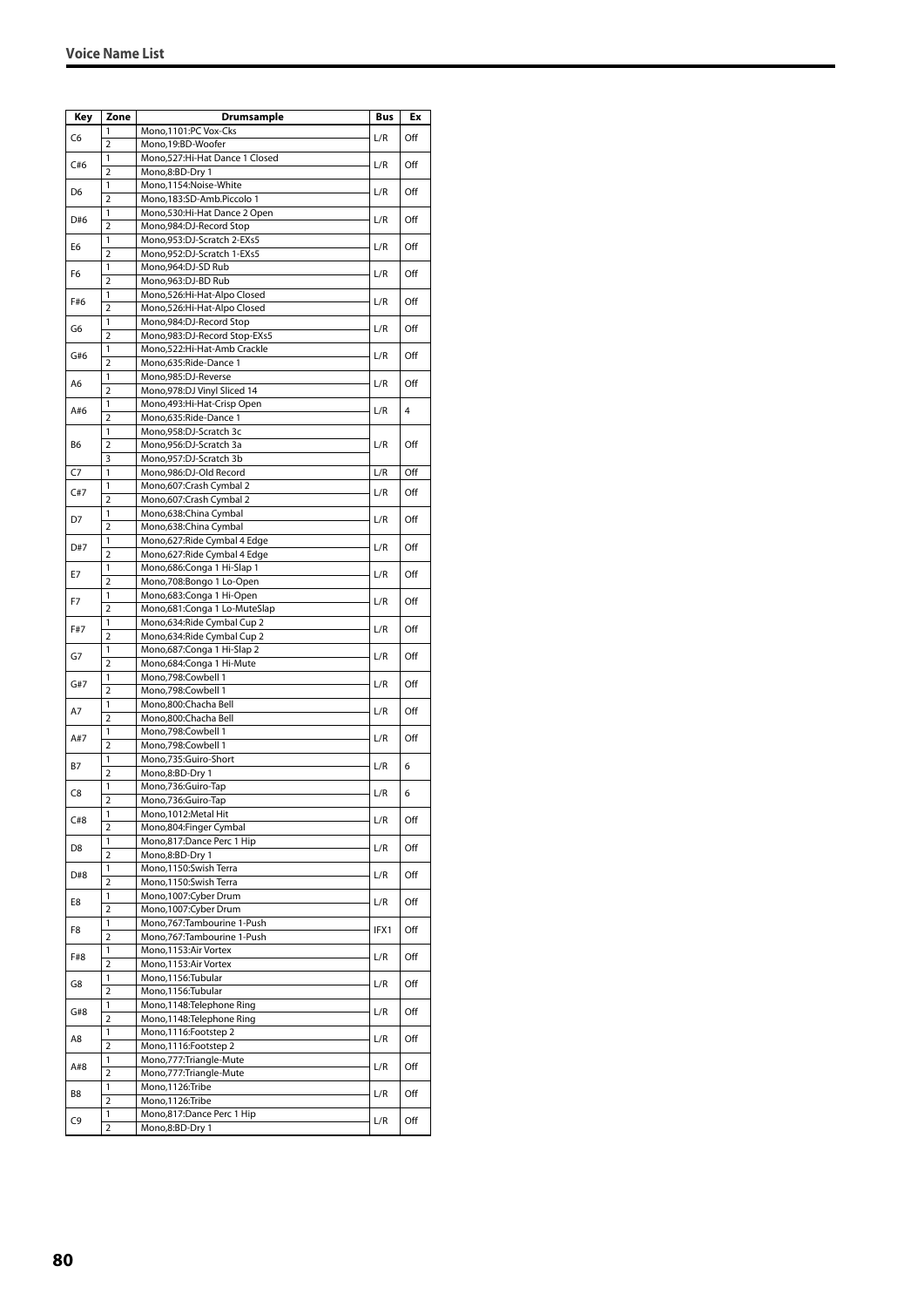| Key            | Zone                | Drumsample                                                  | Bus  | Ex  |
|----------------|---------------------|-------------------------------------------------------------|------|-----|
|                | 1                   | Mono,1101:PC Vox-Cks                                        |      |     |
| C6             | $\overline{2}$      | Mono, 19:BD-Woofer                                          | L/R  | Off |
| C#6            | 1                   | Mono, 527: Hi-Hat Dance 1 Closed                            | L/R  | Off |
|                | $\overline{2}$      | Mono,8:BD-Dry 1                                             |      |     |
| D6             | 1                   | Mono,1154:Noise-White                                       | L/R  | Off |
|                | $\overline{2}$<br>1 | Mono,183:SD-Amb.Piccolo 1<br>Mono,530:Hi-Hat Dance 2 Open   |      |     |
| D#6            | $\overline{2}$      | Mono,984:DJ-Record Stop                                     | L/R  | Off |
|                | 1                   | Mono,953:DJ-Scratch 2-EXs5                                  |      |     |
| E6             | 2                   | Mono,952:DJ-Scratch 1-EXs5                                  | L/R  | Off |
| F6             | 1                   | Mono.964:DJ-SD Rub                                          | L/R  | Off |
|                | $\overline{2}$      | Mono,963:DJ-BD Rub                                          |      |     |
| F#6            | 1                   | Mono,526:Hi-Hat-Alpo Closed                                 | L/R  | Off |
|                | $\overline{2}$      | Mono,526:Hi-Hat-Alpo Closed                                 |      |     |
| G6             | 1<br>$\overline{2}$ | Mono, 984: DJ-Record Stop                                   | L/R  | Off |
|                | 1                   | Mono,983:DJ-Record Stop-EXs5<br>Mono,522:Hi-Hat-Amb Crackle |      |     |
| G#6            | $\overline{2}$      | Mono,635:Ride-Dance 1                                       | L/R  | Off |
|                | 1                   | Mono,985:DJ-Reverse                                         |      |     |
| A6             | $\overline{2}$      | Mono, 978: DJ Vinyl Sliced 14                               | L/R  | Off |
|                | 1                   | Mono, 493: Hi-Hat-Crisp Open                                |      | 4   |
| A#6            | $\overline{2}$      | Mono,635:Ride-Dance 1                                       | L/R  |     |
|                | 1                   | Mono,958:DJ-Scratch 3c                                      |      |     |
| B6             | $\overline{2}$      | Mono,956:DJ-Scratch 3a                                      | L/R  | Off |
|                | 3                   | Mono,957:DJ-Scratch 3b                                      |      |     |
| C7             | 1                   | Mono,986:DJ-Old Record                                      | L/R  | Off |
| C#7            | 1<br>$\overline{2}$ | Mono,607:Crash Cymbal 2<br>Mono,607:Crash Cymbal 2          | L/R  | Off |
|                | 1                   | Mono,638:China Cymbal                                       |      |     |
| D7             | $\overline{2}$      | Mono,638:China Cymbal                                       | L/R  | Off |
|                | 1                   | Mono,627: Ride Cymbal 4 Edge                                |      |     |
| D#7            | $\overline{2}$      | Mono,627: Ride Cymbal 4 Edge                                | L/R  | Off |
| E7             | 1                   | Mono,686:Conga 1 Hi-Slap 1                                  | L/R  | Off |
|                | $\overline{2}$      | Mono,708:Bongo 1 Lo-Open                                    |      |     |
| F7             | 1                   | Mono,683:Conga 1 Hi-Open                                    | L/R  | Off |
|                | $\overline{2}$      | Mono,681:Conga 1 Lo-MuteSlap                                |      |     |
| F#7            | 1<br>$\overline{2}$ | Mono,634: Ride Cymbal Cup 2<br>Mono,634: Ride Cymbal Cup 2  | L/R  | Off |
|                | 1                   | Mono, 687: Conga 1 Hi-Slap 2                                |      |     |
| G7             | $\overline{2}$      | Mono,684:Conga 1 Hi-Mute                                    | L/R  | Off |
|                | 1                   | Mono,798:Cowbell 1                                          |      |     |
| G#7            | $\overline{2}$      | Mono,798:Cowbell 1                                          | L/R  | Off |
| A7             | 1                   | Mono,800:Chacha Bell                                        | L/R  | Off |
|                | $\overline{2}$      | Mono,800:Chacha Bell                                        |      |     |
| A#7            | 1                   | Mono,798:Cowbell 1                                          | L/R  | Off |
|                | $\overline{2}$      | Mono,798:Cowbell 1                                          |      |     |
| B7             | 1<br>$\overline{2}$ | Mono,735:Guiro-Short<br>Mono,8:BD-Dry 1                     | L/R  | 6   |
|                | 1                   | Mono,736:Guiro-Tap                                          |      |     |
| C8             | $\overline{2}$      | Mono,736:Guiro-Tap                                          | L/R  | 6   |
|                | 1                   | Mono, 1012: Metal Hit                                       |      |     |
| C#8            | $\overline{2}$      | Mono,804:Finger Cymbal                                      | L/R  | Off |
| D <sub>8</sub> | 1                   | Mono,817:Dance Perc 1 Hip                                   | L/R  | Off |
|                | $\overline{2}$      | Mono,8:BD-Dry 1                                             |      |     |
| D#8            | 1                   | Mono,1150:Swish Terra                                       | L/R  | Off |
|                | 2                   | Mono,1150:Swish Terra                                       |      |     |
| E8             | 1<br>$\overline{2}$ | Mono,1007:Cyber Drum<br>Mono, 1007: Cyber Drum              | L/R  | Off |
|                | 1                   | Mono,767:Tambourine 1-Push                                  |      |     |
| F8             | $\overline{2}$      | Mono,767:Tambourine 1-Push                                  | IFX1 | Off |
|                | 1                   | Mono, 1153: Air Vortex                                      |      |     |
| F#8            | $\overline{2}$      | Mono,1153:Air Vortex                                        | L/R  | Off |
| G8             | 1                   | Mono,1156:Tubular                                           | L/R  | Off |
|                | $\overline{2}$      | Mono,1156:Tubular                                           |      |     |
| G#8            | 1                   | Mono, 1148: Telephone Ring                                  | L/R  | Off |
|                | $\overline{2}$      | Mono,1148:Telephone Ring                                    |      |     |
| A8             | 1                   | Mono, 1116: Footstep 2                                      | L/R  | Off |
|                | $\overline{2}$      | Mono, 1116: Footstep 2                                      |      |     |
| A#8            | 1<br>$\overline{2}$ | Mono,777:Triangle-Mute<br>Mono,777:Triangle-Mute            | L/R  | Off |
|                | 1                   | Mono,1126:Tribe                                             |      |     |
| B8             | $\overline{2}$      | Mono, 1126: Tribe                                           | L/R  | Off |
|                | 1                   | Mono,817:Dance Perc 1 Hip                                   |      |     |
| C9             | 2                   | Mono,8:BD-Dry 1                                             | L/R  | Off |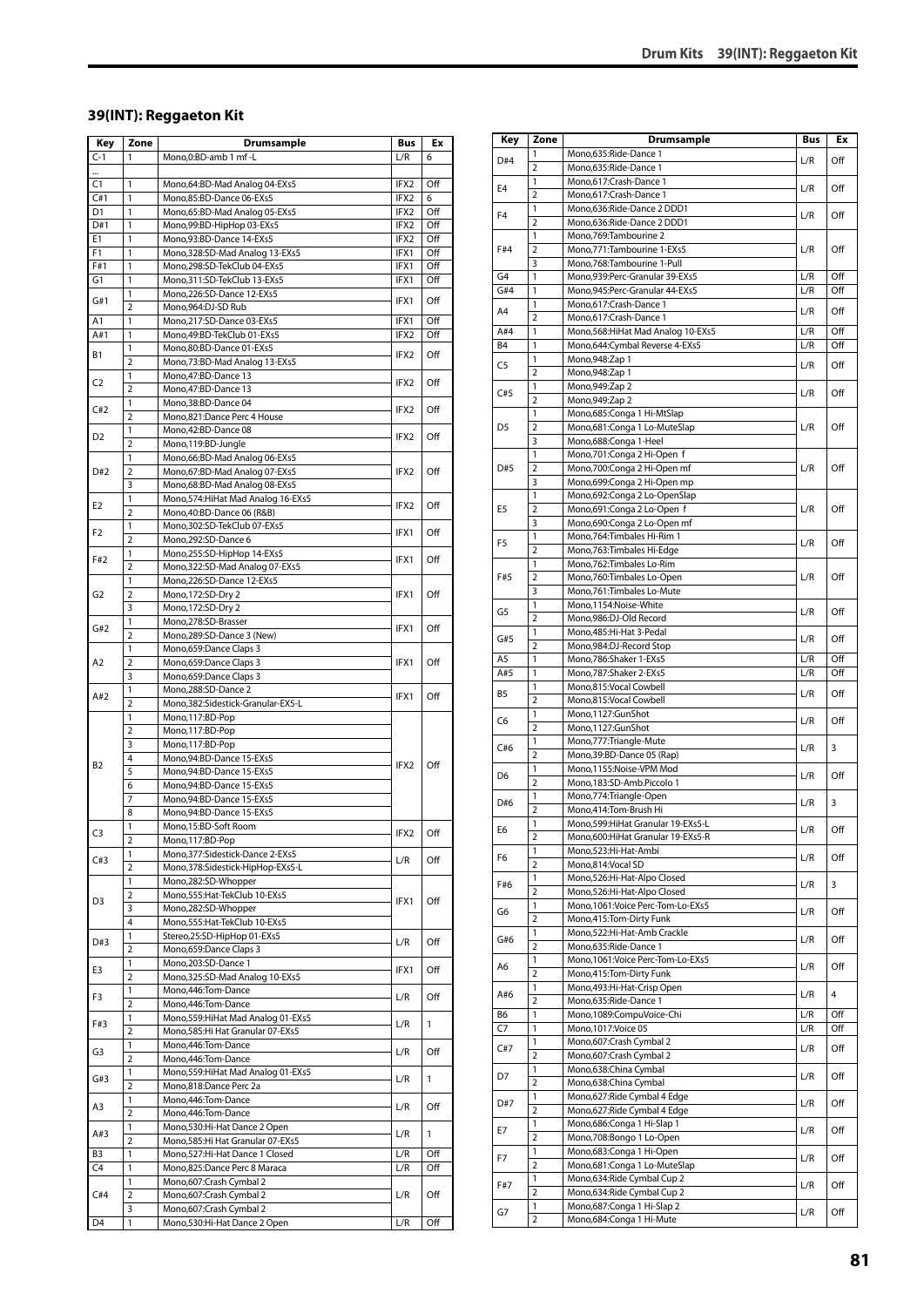#### **39(INT): Reggaeton Kit**

| Key            | Zone                                    | <b>Drumsample</b>                                                    | Bus              | Ex         |
|----------------|-----------------------------------------|----------------------------------------------------------------------|------------------|------------|
| $C-1$          | 1                                       | Mono,0:BD-amb 1 mf -L                                                | L/R              | 6          |
|                |                                         |                                                                      |                  |            |
| C1             | 1                                       | Mono,64:BD-Mad Analog 04-EXs5                                        | IFX2             | Off        |
| C#1            | 1                                       | Mono,85:BD-Dance 06-EXs5                                             | IFX2             | 6          |
| D1             | 1                                       | Mono,65:BD-Mad Analog 05-EXs5                                        | IFX2             | Off        |
| D#1<br>Е1      | 1<br>1                                  | Mono,99:BD-HipHop 03-EXs5<br>Mono,93:BD-Dance 14-EXs5                | IFX2<br>IFX2     | Off<br>Off |
| F1             | 1                                       | Mono, 328: SD-Mad Analog 13-EXs5                                     | IFX1             | Off        |
| F#1            | $\mathbf{1}$                            | Mono,298:SD-TekClub 04-EXs5                                          | IFX1             | Off        |
| G1             | 1                                       | Mono, 311: SD-TekClub 13-EXs5                                        | IFX1             | Off        |
|                | 1                                       | Mono,226:SD-Dance 12-EXs5                                            |                  |            |
| G#1            | $\overline{2}$                          | Mono,964:DJ-SD Rub                                                   | IFX1             | Off        |
| A1             | 1                                       | Mono,217:SD-Dance 03-EXs5                                            | IFX1             | Off        |
| A#1            | 1                                       | Mono,49:BD-TekClub 01-EXs5                                           | IFX2             | Off        |
| Β1             | 1                                       | Mono,80:BD-Dance 01-EXs5                                             | IFX2             | Off        |
|                | $\overline{2}$                          | Mono,73:BD-Mad Analog 13-EXs5                                        |                  |            |
| C <sub>2</sub> | 1                                       | Mono, 47: BD-Dance 13                                                | IFX2             | Off        |
|                | $\overline{2}$                          | Mono,47:BD-Dance 13                                                  |                  |            |
| C#2            | 1<br>$\overline{2}$                     | Mono,38:BD-Dance 04<br>Mono,821:Dance Perc 4 House                   | IFX2             | Off        |
|                | 1                                       | Mono, 42: BD-Dance 08                                                |                  |            |
| D2             | $\overline{2}$                          | Mono,119:BD-Jungle                                                   | IFX2             | Off        |
|                | 1                                       | Mono,66:BD-Mad Analog 06-EXs5                                        |                  |            |
| D#2            | $\overline{2}$                          | Mono,67:BD-Mad Analog 07-EXs5                                        | IFX2             | Off        |
|                | 3                                       | Mono,68:BD-Mad Analog 08-EXs5                                        |                  |            |
|                | 1                                       | Mono, 574: HiHat Mad Analog 16-EXs5                                  |                  |            |
| E2             | $\overline{2}$                          | Mono,40:BD-Dance 06 (R&B)                                            | IFX2             | Off        |
| F2             | 1                                       | Mono,302:SD-TekClub 07-EXs5                                          | IFX1             | Off        |
|                | $\overline{2}$                          | Mono,292:SD-Dance 6                                                  |                  |            |
| F#2            | 1                                       | Mono,255:SD-HipHop 14-EXs5                                           | IFX1             | Off        |
|                | $\overline{2}$                          | Mono, 322: SD-Mad Analog 07-EXs5                                     |                  |            |
|                | 1                                       | Mono,226:SD-Dance 12-EXs5                                            |                  |            |
| G2             | $\overline{2}$                          | Mono, 172: SD-Dry 2                                                  | IFX1             | Off        |
|                | 3<br>1                                  | Mono, 172: SD-Dry 2<br>Mono,278:SD-Brasser                           |                  |            |
| G#2            | $\overline{2}$                          | Mono,289:SD-Dance 3 (New)                                            | IFX1             | Off        |
|                | 1                                       | Mono,659:Dance Claps 3                                               |                  |            |
| A2             | 2                                       | Mono,659:Dance Claps 3                                               | IFX1             | Off        |
|                | 3                                       | Mono,659:Dance Claps 3                                               |                  |            |
|                | 1                                       | Mono,288:SD-Dance 2                                                  |                  |            |
| A#2            | $\overline{2}$                          | Mono, 382: Sidestick-Granular-EX5-L                                  | IFX1             | Off        |
|                | 1                                       | Mono,117:BD-Pop                                                      |                  |            |
|                | $\overline{\mathbf{c}}$                 | Mono,117:BD-Pop                                                      |                  |            |
|                | 3                                       | Mono,117:BD-Pop                                                      |                  |            |
| B <sub>2</sub> | 4                                       | Mono, 94: BD-Dance 15-EXs5                                           | IFX <sub>2</sub> | Off        |
|                | 5                                       | Mono, 94: BD-Dance 15-EXs5                                           |                  |            |
|                | 6<br>$\overline{7}$                     | Mono,94:BD-Dance 15-EXs5<br>Mono, 94: BD-Dance 15-EXs5               |                  |            |
|                | 8                                       | Mono,94:BD-Dance 15-EXs5                                             |                  |            |
|                | 1                                       | Mono,15:BD-Soft Room                                                 |                  |            |
| C3             | $\overline{2}$                          | Mono,117:BD-Pop                                                      | IFX2             | Off        |
|                | 1                                       | Mono, 377: Sidestick-Dance 2-EXs5                                    |                  |            |
| C#3            | 2                                       | Mono,378:Sidestick-HipHop-EXs5-L                                     | L/R              | Off        |
|                | 1                                       | Mono,282:SD-Whopper                                                  |                  |            |
| D3             | 2                                       | Mono,555: Hat-TekClub 10-EXs5                                        | IFX1             | Off        |
|                | 3                                       | Mono,282:SD-Whopper                                                  |                  |            |
|                | 4                                       | Mono,555: Hat-TekClub 10-EXs5                                        |                  |            |
| D#3            | $\mathbf{1}$                            | Stereo,25:SD-HipHop 01-EXs5                                          | L/R              | Off        |
|                | $\overline{2}$                          | Mono,659:Dance Claps 3                                               |                  |            |
| E3             | 1<br>2                                  | Mono,203:SD-Dance 1                                                  | IFX1             | Off        |
|                | 1                                       | Mono, 325: SD-Mad Analog 10-EXs5<br>Mono, 446: Tom-Dance             |                  |            |
| F3             | $\overline{2}$                          | Mono,446:Tom-Dance                                                   | L/R              | Off        |
|                | 1                                       | Mono,559: HiHat Mad Analog 01-EXs5                                   |                  |            |
| F#3            | $\overline{2}$                          | Mono,585:Hi Hat Granular 07-EXs5                                     | L/R              | 1          |
|                | 1                                       | Mono,446:Tom-Dance                                                   |                  |            |
| G3             | $\overline{2}$                          | Mono,446:Tom-Dance                                                   | L/R              | Off        |
| G#3            | 1                                       | Mono,559: HiHat Mad Analog 01-EXs5                                   | L/R              | 1          |
|                | $\overline{2}$                          | Mono,818:Dance Perc 2a                                               |                  |            |
| A3             | 1                                       | Mono, 446: Tom-Dance                                                 | L/R              | Off        |
|                | $\overline{2}$                          | Mono,446:Tom-Dance                                                   |                  |            |
| A#3            | 1                                       | Mono,530:Hi-Hat Dance 2 Open                                         | L/R              | 1          |
| B <sub>3</sub> | $\overline{\mathbf{c}}$<br>$\mathbf{1}$ | Mono, 585: Hi Hat Granular 07-EXs5<br>Mono,527:Hi-Hat Dance 1 Closed | L/R              | Off        |
| C4             | 1                                       | Mono,825:Dance Perc 8 Maraca                                         | L/R              | Off        |
|                | 1                                       | Mono,607:Crash Cymbal 2                                              |                  |            |
| C#4            | 2                                       | Mono,607:Crash Cymbal 2                                              | L/R              | Off        |
|                | 3                                       | Mono,607:Crash Cymbal 2                                              |                  |            |
| D4             | 1                                       | Mono,530:Hi-Hat Dance 2 Open                                         | L/R              | Off        |
|                |                                         |                                                                      |                  |            |

| Key            | Zone                | <b>Drumsample</b>                                            | Bus        | Ex             |
|----------------|---------------------|--------------------------------------------------------------|------------|----------------|
| D#4            | 1                   | Mono,635:Ride-Dance 1                                        | L/R        | Off            |
|                | 2                   | Mono,635:Ride-Dance 1                                        |            |                |
| E4             | 1                   | Mono,617:Crash-Dance 1                                       | L/R        | Off            |
|                | $\overline{2}$      | Mono,617:Crash-Dance 1                                       |            |                |
| F <sub>4</sub> | 1<br>2              | Mono,636:Ride-Dance 2 DDD1<br>Mono,636:Ride-Dance 2 DDD1     | L/R        | Off            |
|                | 1                   | Mono, 769: Tambourine 2                                      |            |                |
| F#4            | $\overline{2}$      | Mono, 771: Tambourine 1-EXs5                                 | L/R        | Off            |
|                | 3                   | Mono,768:Tambourine 1-Pull                                   |            |                |
| G4             | 1                   | Mono,939:Perc-Granular 39-EXs5                               | L/R        | Off            |
| G#4            | 1                   | Mono, 945: Perc-Granular 44-EXs5                             | L/R        | Off            |
| A4             | 1                   | Mono,617:Crash-Dance 1                                       | L/R        | Off            |
| A#4            | $\overline{2}$<br>1 | Mono,617:Crash-Dance 1<br>Mono,568: HiHat Mad Analog 10-EXs5 | L/R        | Off            |
| B4             | 1                   | Mono,644:Cymbal Reverse 4-EXs5                               | L/R        | Off            |
|                | 1                   | Mono, 948: Zap 1                                             |            |                |
| C5             | 2                   | Mono, 948: Zap 1                                             | L/R        | Off            |
| C#5            | 1                   | Mono, 949: Zap 2                                             | L/R        | Off            |
|                | 2                   | Mono, 949: Zap 2                                             |            |                |
|                | 1                   | Mono,685:Conga 1 Hi-MtSlap                                   |            |                |
| D5             | 2                   | Mono,681:Conga 1 Lo-MuteSlap                                 | L/R        | Off            |
|                | 3<br>1              | Mono,688:Conga 1-Heel<br>Mono,701:Conga 2 Hi-Open f          |            |                |
| D#5            | $\overline{2}$      | Mono,700:Conga 2 Hi-Open mf                                  | L/R        | Off            |
|                | 3                   | Mono,699:Conga 2 Hi-Open mp                                  |            |                |
|                | 1                   | Mono,692:Conga 2 Lo-OpenSlap                                 |            |                |
| E5             | 2                   | Mono,691:Conga 2 Lo-Open f                                   | L/R        | Off            |
|                | 3                   | Mono,690:Conga 2 Lo-Open mf                                  |            |                |
| F5             | $\mathbf{1}$        | Mono,764:Timbales Hi-Rim 1                                   | L/R        | Off            |
|                | 2<br>1              | Mono,763:Timbales Hi-Edge<br>Mono,762:Timbales Lo-Rim        |            |                |
| F#5            | $\overline{2}$      | Mono,760:Timbales Lo-Open                                    | L/R        | Off            |
|                | 3                   | Mono,761:Timbales Lo-Mute                                    |            |                |
|                | 1                   | Mono,1154:Noise-White                                        |            |                |
| G5             | $\overline{2}$      | Mono,986:DJ-Old Record                                       | L/R        | Off            |
| G#5            | 1                   | Mono, 485: Hi-Hat 3-Pedal                                    | L/R        | Off            |
|                | 2                   | Mono,984:DJ-Record Stop                                      |            |                |
| A5<br>A#5      | 1<br>1              | Mono,786:Shaker 1-EXs5<br>Mono,787:Shaker 2-EXs5             | L/R<br>L/R | Off<br>Off     |
|                | 1                   | Mono,815:Vocal Cowbell                                       |            |                |
| B5             | $\overline{2}$      | Mono,815:Vocal Cowbell                                       | L/R        | Off            |
|                | 1                   | Mono,1127:GunShot                                            |            |                |
| C6             | $\overline{2}$      | Mono,1127:GunShot                                            | L/R        | Off            |
| C#6            | 1                   | Mono,777:Triangle-Mute                                       | L/R        | 3              |
|                | 2                   | Mono,39:BD-Dance 05 (Rap)                                    |            |                |
| D6             | 1<br>$\overline{2}$ | Mono,1155:Noise-VPM Mod<br>Mono,183:SD-Amb.Piccolo 1         | L/R        | Off            |
|                | 1                   | Mono,774: Triangle-Open                                      |            |                |
| D#6            | 2                   | Mono,414:Tom-Brush Hi                                        | L/R        | 3              |
|                | $\mathbf{1}$        | Mono,599: Hi Hat Granular 19-EXs5-L                          |            |                |
| E6             | $\overline{2}$      | Mono,600:HiHat Granular 19-EXs5-R                            | L/R        | Off            |
| F6             | 1                   | Mono,523:Hi-Hat-Ambi                                         | L/R        | Off            |
|                | $\overline{2}$      | Mono,814:Vocal SD                                            |            |                |
| F#6            | 1<br>$\overline{2}$ | Mono,526:Hi-Hat-Alpo Closed<br>Mono,526:Hi-Hat-Alpo Closed   | L/R        | 3              |
|                | 1                   | Mono, 1061: Voice Perc-Tom-Lo-EXs5                           |            |                |
| G6             | $\overline{2}$      | Mono,415:Tom-Dirty Funk                                      | L/R        | Off            |
| G#6            | $\mathbf{1}$        | Mono,522:Hi-Hat-Amb Crackle                                  |            | Off            |
|                | $\overline{2}$      | Mono,635:Ride-Dance 1                                        | L/R        |                |
| A6             | 1                   | Mono, 1061: Voice Perc-Tom-Lo-EXs5                           | L/R        | Off            |
|                | $\overline{2}$      | Mono,415:Tom-Dirty Funk                                      |            |                |
| A#6            | 1<br>2              | Mono, 493: Hi-Hat-Crisp Open<br>Mono,635:Ride-Dance 1        | L/R        | $\overline{4}$ |
| В6             | 1                   | Mono,1089:CompuVoice-Chi                                     | L/R        | Off            |
| C7             | 1                   | Mono, 1017: Voice 05                                         | L/R        | Off            |
|                | 1                   | Mono,607:Crash Cymbal 2                                      |            | Off            |
| C#7            | $\overline{2}$      | Mono,607:Crash Cymbal 2                                      | L/R        |                |
| D7             | 1                   | Mono,638:China Cymbal                                        | L/R        | Off            |
|                | $\overline{2}$      | Mono,638:China Cymbal                                        |            |                |
| D#7            | 1<br>2              | Mono,627: Ride Cymbal 4 Edge<br>Mono,627: Ride Cymbal 4 Edge | L/R        | Off            |
|                | 1                   | Mono,686:Conga 1 Hi-Slap 1                                   |            |                |
| E7             | $\overline{2}$      | Mono,708:Bongo 1 Lo-Open                                     | L/R        | Off            |
|                | 1                   | Mono,683:Conga 1 Hi-Open                                     |            |                |
| F7             | $\overline{2}$      | Mono,681:Conga 1 Lo-MuteSlap                                 | L/R        | Off            |
| F#7            | 1                   | Mono,634: Ride Cymbal Cup 2                                  | L/R        | Off            |
|                | 2                   | Mono,634: Ride Cymbal Cup 2                                  |            |                |
| G7             | 1                   | Mono,687:Conga 1 Hi-Slap 2                                   | L/R        | Off            |
|                | 2                   | Mono,684:Conga 1 Hi-Mute                                     |            |                |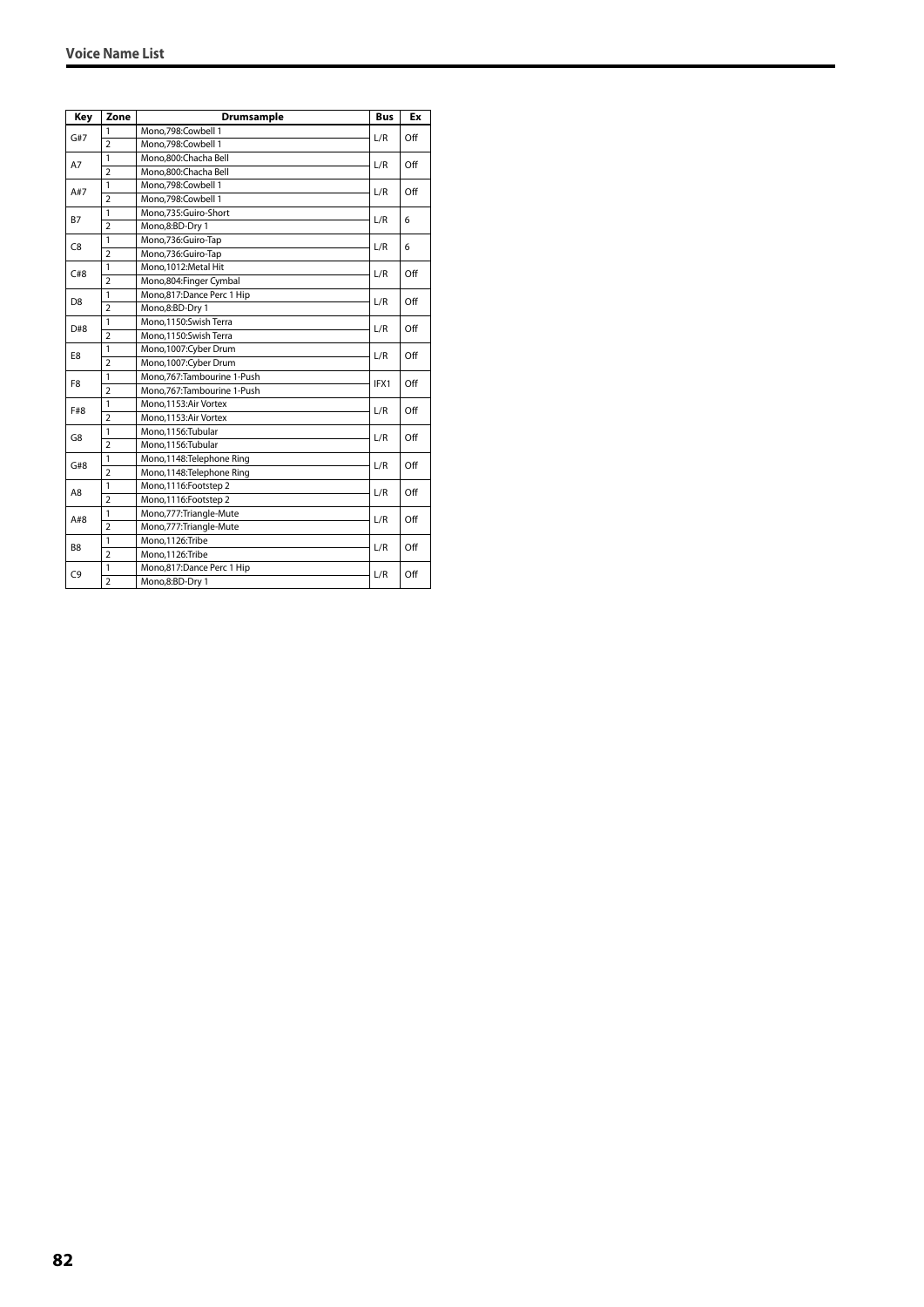| Key            | Zone                     | Drumsample                   | <b>Bus</b> | Ex  |
|----------------|--------------------------|------------------------------|------------|-----|
| G#7            | 1                        | Mono.798:Cowbell 1           | L/R        | Off |
|                | $\overline{2}$           | Mono,798:Cowbell 1           |            |     |
|                | $\mathbf{1}$             | Mono.800:Chacha Bell         | L/R        | Off |
| A7             | $\overline{\phantom{a}}$ | Mono.800:Chacha Bell         |            |     |
| A#7            | 1                        | Mono,798:Cowbell 1           | L/R        | Off |
|                | $\overline{2}$           | Mono,798:Cowbell 1           |            |     |
| <b>B7</b>      | 1                        | Mono,735:Guiro-Short         | L/R        | 6   |
|                | $\overline{2}$           | Mono,8:BD-Dry 1              |            |     |
| C <sub>8</sub> | $\mathbf{1}$             | Mono,736:Guiro-Tap           | L/R        | 6   |
|                | $\overline{2}$           | Mono,736:Guiro-Tap           |            |     |
| C#8            | 1                        | Mono, 1012: Metal Hit        | L/R        | Off |
|                | $\overline{2}$           | Mono,804:Finger Cymbal       |            |     |
| D8             | $\mathbf{1}$             | Mono,817:Dance Perc 1 Hip    | L/R        | Off |
|                | $\overline{2}$           | Mono,8:BD-Dry 1              |            |     |
| D#8            | 1                        | Mono, 1150: Swish Terra      | L/R        | Off |
|                | $\overline{2}$           | Mono, 1150: Swish Terra      |            |     |
| E8             | $\mathbf{1}$             | Mono, 1007: Cyber Drum       | L/R        | Off |
|                | $\overline{2}$           | Mono, 1007: Cyber Drum       |            |     |
| F <sub>8</sub> | 1                        | Mono, 767: Tambourine 1-Push | IFX1       | Off |
|                | $\overline{2}$           | Mono.767:Tambourine 1-Push   |            |     |
| F#8            | $\mathbf{1}$             | Mono, 1153: Air Vortex       | L/R        | Off |
|                | $\overline{2}$           | Mono, 1153: Air Vortex       |            |     |
| G8             | $\mathbf{1}$             | Mono, 1156: Tubular          | L/R        | Off |
|                | $\overline{2}$           | Mono, 1156: Tubular          |            |     |
| G#8            | 1                        | Mono, 1148: Telephone Ring   | L/R        | Off |
|                | $\overline{2}$           | Mono, 1148: Telephone Ring   |            |     |
| A8             | $\mathbf{1}$             | Mono, 1116: Footstep 2       |            | Off |
|                | $\overline{2}$           | Mono, 1116: Footstep 2       | L/R        |     |
| A#8            | $\mathbf{1}$             | Mono, 777: Triangle-Mute     | L/R        | Off |
|                | $\overline{2}$           | Mono,777:Triangle-Mute       |            |     |
|                | 1                        | Mono,1126:Tribe              | L/R        |     |
| B <sub>8</sub> | $\overline{2}$           | Mono,1126:Tribe              |            | Off |
|                | 1                        | Mono,817:Dance Perc 1 Hip    |            | Off |
| C <sub>9</sub> | $\overline{2}$           | Mono,8:BD-Dry 1              | L/R        |     |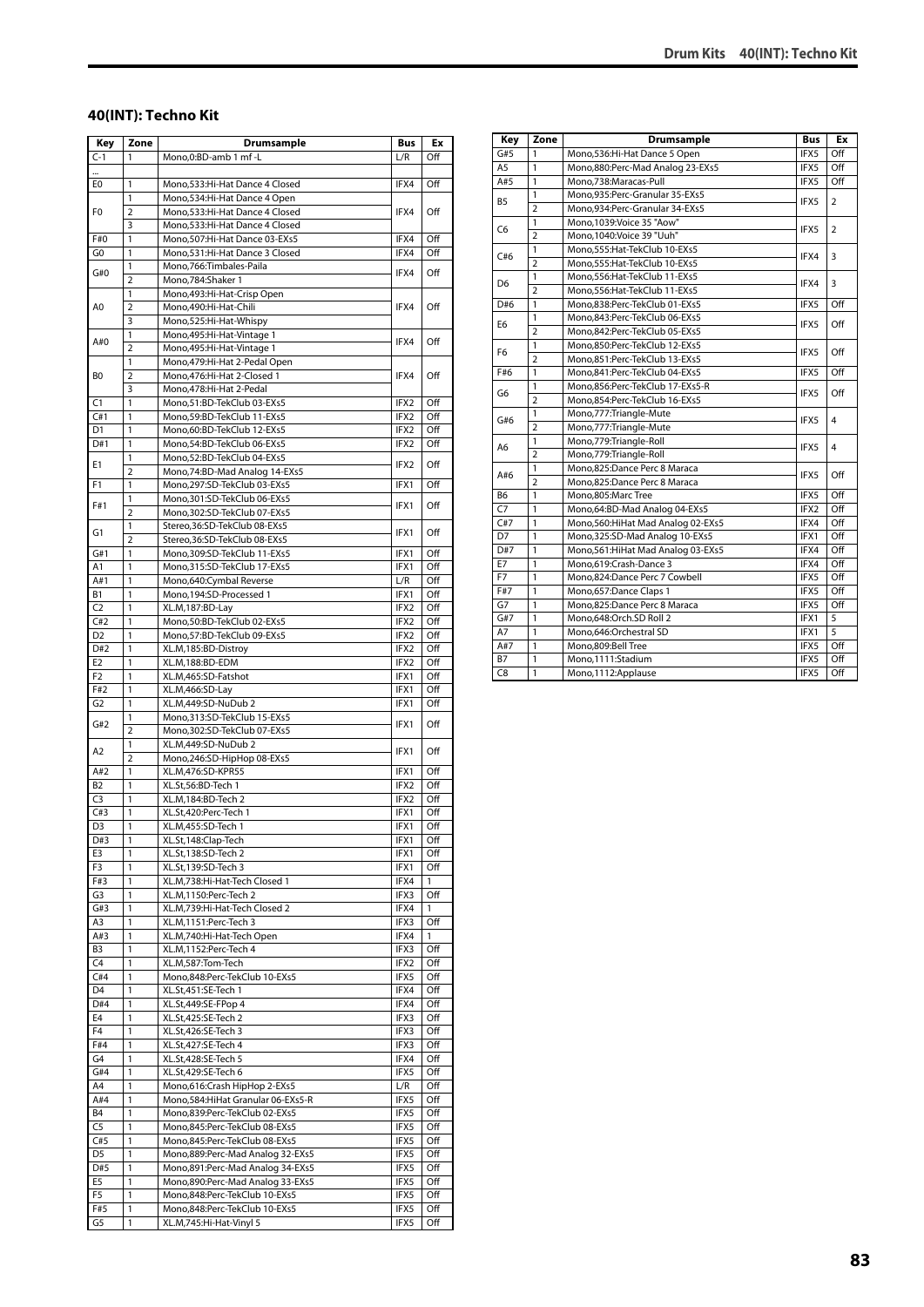#### **40(INT): Techno Kit**

| Key             | Zone                    | Drumsample                                                          | Bus          | Ex                  |
|-----------------|-------------------------|---------------------------------------------------------------------|--------------|---------------------|
| $C-1$           | 1                       | Mono, 0: BD-amb 1 mf - L                                            | L/R          | Off                 |
| ш.              |                         |                                                                     |              |                     |
| E0              | 1                       | Mono, 533: Hi-Hat Dance 4 Closed                                    | IFX4         | Off                 |
|                 | 1                       | Mono, 534: Hi-Hat Dance 4 Open                                      |              |                     |
| F0              | 2                       | Mono, 533: Hi-Hat Dance 4 Closed                                    | IFX4         | Off                 |
|                 | 3                       | Mono,533:Hi-Hat Dance 4 Closed                                      |              |                     |
| F#0             | 1                       | Mono,507:Hi-Hat Dance 03-EXs5                                       | IFX4         | Off                 |
| G0              | 1                       | Mono,531:Hi-Hat Dance 3 Closed                                      | IFX4         | Off                 |
| G#0             | 1                       | Mono,766:Timbales-Paila                                             | IFX4         | Off                 |
|                 | $\overline{2}$          | Mono, 784: Shaker 1                                                 |              |                     |
|                 | 1                       | Mono, 493: Hi-Hat-Crisp Open<br>Mono,490:Hi-Hat-Chili               |              |                     |
| A0              | 2<br>3                  | Mono,525:Hi-Hat-Whispy                                              | IFX4         | Off                 |
|                 | 1                       | Mono, 495: Hi-Hat-Vintage 1                                         |              |                     |
| A#0             | $\overline{\mathbf{c}}$ | Mono, 495: Hi-Hat-Vintage 1                                         | IFX4         | Off                 |
|                 | 1                       | Mono, 479: Hi-Hat 2-Pedal Open                                      |              |                     |
| B0              | 2                       | Mono, 476: Hi-Hat 2-Closed 1                                        | IFX4         | Off                 |
|                 | 3                       | Mono, 478: Hi-Hat 2-Pedal                                           |              |                     |
| C1              | 1                       | Mono,51:BD-TekClub 03-EXs5                                          | IFX2         | Off                 |
| C#1             | 1                       | Mono,59:BD-TekClub 11-EXs5                                          | IFX2         | Off                 |
| D1              | 1                       | Mono,60:BD-TekClub 12-EXs5                                          | IFX2         | Off                 |
| D#1             | 1                       | Mono,54:BD-TekClub 06-EXs5                                          | IFX2         | Off                 |
| Е1              | 1                       | Mono,52:BD-TekClub 04-EXs5                                          | IFX2         | Off                 |
|                 | $\overline{2}$          | Mono, 74: BD-Mad Analog 14-EXs5                                     |              |                     |
| F1              | 1                       | Mono,297:SD-TekClub 03-EXs5                                         | IFX1         | Off                 |
| F#1             | 1<br>$\overline{2}$     | Mono,301:SD-TekClub 06-EXs5                                         | IFX1         | Off                 |
|                 | 1                       | Mono,302:SD-TekClub 07-EXs5<br>Stereo, 36: SD-TekClub 08-EXs5       |              |                     |
| G1              | $\overline{2}$          | Stereo, 36: SD-TekClub 08-EXs5                                      | IFX1         | Off                 |
| G#1             | 1                       | Mono, 309: SD-TekClub 11-EXs5                                       | IFX1         | Off                 |
| A1              | 1                       | Mono,315:SD-TekClub 17-EXs5                                         | IFX1         | Off                 |
| A#1             | 1                       | Mono,640:Cymbal Reverse                                             | L/R          | Off                 |
| <b>B1</b>       | 1                       | Mono, 194: SD-Processed 1                                           | IFX1         | Off                 |
| C <sub>2</sub>  | 1                       | XL.M,187:BD-Lay                                                     | IFX2         | Off                 |
| C#2             | 1                       | Mono,50:BD-TekClub 02-EXs5                                          | IFX2         | Off                 |
| D2              | 1                       | Mono,57:BD-TekClub 09-EXs5                                          | IFX2         | Off                 |
| D#2             | 1                       | XL.M, 185:BD-Distroy                                                | IFX2         | Off                 |
| E <sub>2</sub>  | 1                       | XL.M,188:BD-EDM                                                     | IFX2         | Off                 |
| F2              | 1                       | XL.M,465:SD-Fatshot                                                 | IFX1         | Off                 |
| F#2             | 1                       | XL.M,466:SD-Lay                                                     | IFX1         | Off                 |
| G <sub>2</sub>  | 1                       | XL.M,449:SD-NuDub 2                                                 | IFX1         | Off                 |
| G#2             | 1<br>$\overline{2}$     | Mono,313:SD-TekClub 15-EXs5                                         | IFX1         | Off                 |
|                 | 1                       | Mono,302:SD-TekClub 07-EXs5<br>XL.M,449:SD-NuDub 2                  |              |                     |
| A2              | $\overline{2}$          | Mono,246:SD-HipHop 08-EXs5                                          | IFX1         | Off                 |
| A#2             | $\mathbf{1}$            | XL.M,476:SD-KPR55                                                   | IFX1         | Off                 |
| B2              | 1                       | XL.St,56:BD-Tech 1                                                  | IFX2         | Off                 |
| C <sub>3</sub>  | 1                       | XL.M,184:BD-Tech 2                                                  | IFX2         | Off                 |
| C#3             | 1                       | XL.St,420:Perc-Tech 1                                               | IFX1         | Off                 |
| $\overline{D3}$ | 1                       | XL.M.455:SD-Tech 1                                                  | IFX1         | Off                 |
| D#3             | 1                       | XL.St,148:Clap-Tech                                                 | IFX1         | Off                 |
| E3              | 1                       | XL.St,138:SD-Tech 2                                                 | IFX1         | Off                 |
| F3              | 1                       | XL.St,139:SD-Tech 3                                                 | IFX1         | Off                 |
| F#3             | 1                       | XL.M,738:Hi-Hat-Tech Closed 1                                       | IFX4         | $\mathbf{1}$<br>Off |
| G3<br>G#3       | 1<br>1                  | XL.M,1150:Perc-Tech 2<br>XL.M,739:Hi-Hat-Tech Closed 2              | IFX3<br>IFX4 | $\mathbf{1}$        |
| A3              | $\mathbf{1}$            | XL.M,1151:Perc-Tech 3                                               | IFX3         | Off                 |
| A#3             | 1                       | XL.M,740:Hi-Hat-Tech Open                                           | IFX4         | 1                   |
| B3              | 1                       | XL.M,1152:Perc-Tech 4                                               | IFX3         | Off                 |
| C4              | 1                       | XL.M,587:Tom-Tech                                                   | IFX2         | Off                 |
| C#4             | $\mathbf{1}$            | Mono,848:Perc-TekClub 10-EXs5                                       | IFX5         | Off                 |
| D4              | 1                       | XL.St,451:SE-Tech 1                                                 | IFX4         | Off                 |
| D#4             | 1                       | XL.St,449:SE-FPop 4                                                 | IFX4         | Off                 |
| E4              | 1                       | XL.St,425:SE-Tech 2                                                 | IFX3         | Off                 |
| F4              | 1                       | XL.St,426:SE-Tech 3                                                 | IFX3         | Off                 |
| F#4             | 1                       | XL.St,427:SE-Tech 4                                                 | IFX3         | Off                 |
| G4              | 1                       | XL.St,428:SE-Tech 5                                                 | IFX4         | Off                 |
| G#4<br>A4       | 1<br>1                  | XL.St,429:SE-Tech 6                                                 | IFX5         | Off                 |
| A#4             | 1                       | Mono,616:Crash HipHop 2-EXs5<br>Mono, 584: HiHat Granular 06-EXs5-R | L/R<br>IFX5  | Off<br>Off          |
| <b>B4</b>       | 1                       | Mono,839:Perc-TekClub 02-EXs5                                       | IFX5         | Off                 |
| C <sub>5</sub>  | $\mathbf{1}$            | Mono,845:Perc-TekClub 08-EXs5                                       | IFX5         | Off                 |
| C#5             | 1                       | Mono,845:Perc-TekClub 08-EXs5                                       | IFX5         | Off                 |
| D5              | 1                       | Mono,889:Perc-Mad Analog 32-EXs5                                    | IFX5         | Off                 |
| D#5             | 1                       | Mono,891:Perc-Mad Analog 34-EXs5                                    | IFX5         | Off                 |
| E5              | $\mathbf{1}$            | Mono,890:Perc-Mad Analog 33-EXs5                                    | IFX5         | Off                 |
| F5              | 1                       | Mono,848:Perc-TekClub 10-EXs5                                       | IFX5         | Off                 |
| F#5             | 1                       | Mono,848:Perc-TekClub 10-EXs5                                       | IFX5         | Off                 |
| G5              | 1                       | XL.M,745:Hi-Hat-Vinyl 5                                             | IFX5         | Off                 |

| Key            | Zone           | <b>Drumsample</b>                    | <b>Bus</b> | Ex             |
|----------------|----------------|--------------------------------------|------------|----------------|
| G#5            | 1              | Mono, 536: Hi-Hat Dance 5 Open       | IFX5       | Off            |
| A <sub>5</sub> | $\mathbf{1}$   | Mono,880:Perc-Mad Analog 23-EXs5     | IFX5       | Off            |
| A#5            | $\mathbf{1}$   | Mono.738:Maracas-Pull                | IFX5       | Off            |
| <b>B5</b>      | 1              | Mono,935:Perc-Granular 35-EXs5       |            |                |
|                | $\overline{2}$ | Mono,934:Perc-Granular 34-EXs5       | IFX5       | $\overline{2}$ |
|                | $\mathbf{1}$   | Mono, 1039: Voice 35 "Aow"           |            |                |
| C <sub>6</sub> | $\overline{a}$ | Mono, 1040: Voice 39 "Uuh"           | IFX5       | $\overline{2}$ |
|                | $\mathbf{1}$   | Mono,555: Hat-TekClub 10-EXs5        |            |                |
| C#6            | $\overline{2}$ | Mono,555: Hat-TekClub 10-EXs5        | IFX4       | 3              |
|                | 1              | Mono, 556: Hat-TekClub 11-EXs5       |            | 3              |
| D <sub>6</sub> | $\overline{2}$ | Mono,556: Hat-TekClub 11-EXs5        | IFX4       |                |
| D#6            | $\mathbf{1}$   | Mono,838:Perc-TekClub 01-EXs5        | IFX5       | Off            |
|                | 1              | Mono,843:Perc-TekClub 06-EXs5        |            |                |
| E <sub>6</sub> | $\overline{2}$ | Mono,842:Perc-TekClub 05-EXs5        | IFX5       | Off            |
|                | $\mathbf{1}$   | Mono,850:Perc-TekClub 12-EXs5        |            |                |
| F <sub>6</sub> | $\overline{2}$ | Mono,851:Perc-TekClub 13-EXs5        | IFX5       | Off            |
| F#6            | 1              | Mono,841:Perc-TekClub 04-EXs5        | IFX5       | Off            |
|                | 1              | Mono,856:Perc-TekClub 17-EXs5-R      |            | Off            |
| G6             | $\overline{2}$ | Mono,854:Perc-TekClub 16-EXs5        | IFX5       |                |
|                | 1              | Mono, 777: Triangle-Mute             |            |                |
| G#6            | $\overline{2}$ | Mono,777:Triangle-Mute               | IFX5       | 4              |
|                | $\mathbf{1}$   | Mono,779:Triangle-Roll               |            |                |
| A6             | $\overline{2}$ | Mono,779:Triangle-Roll               | IFX5       | 4              |
|                | 1              | Mono,825:Dance Perc 8 Maraca         |            |                |
| A#6            | $\overline{2}$ | Mono,825:Dance Perc 8 Maraca         | IFX5       | Off            |
| B <sub>6</sub> | 1              | Mono.805:Marc Tree                   | IFX5       | Off            |
| C <sub>7</sub> | 1              | Mono,64:BD-Mad Analog 04-EXs5        | IFX2       | Off            |
| C#7            | 1              | Mono, 560: Hi Hat Mad Analog 02-EXs5 | IFX4       | Off            |
| D7             | $\mathbf{1}$   | Mono, 325: SD-Mad Analog 10-EXs5     | IFX1       | Off            |
| D#7            | 1              | Mono, 561: HiHat Mad Analog 03-EXs5  | IFX4       | Off            |
| E7             | 1              | Mono,619:Crash-Dance 3               | IFX4       | Off            |
| F7             | 1              | Mono,824:Dance Perc 7 Cowbell        | IFX5       | Off            |
| F#7            | 1              | Mono, 657: Dance Claps 1             | IFX5       | Off            |
| G7             | 1              | Mono,825:Dance Perc 8 Maraca         | IFX5       | Off            |
| G#7            | $\mathbf{1}$   | Mono,648:Orch.SD Roll 2              | IFX1       | 5              |
| A7             | $\mathbf{1}$   | Mono,646:Orchestral SD               | IFX1       | 5              |
| A#7            | 1              | Mono.809:Bell Tree                   | IFX5       | Off            |
| <b>B7</b>      | 1              | Mono,1111:Stadium                    | IFX5       | Off            |
| C <sub>8</sub> | $\mathbf{1}$   | Mono,1112:Applause                   | IFX5       | Off            |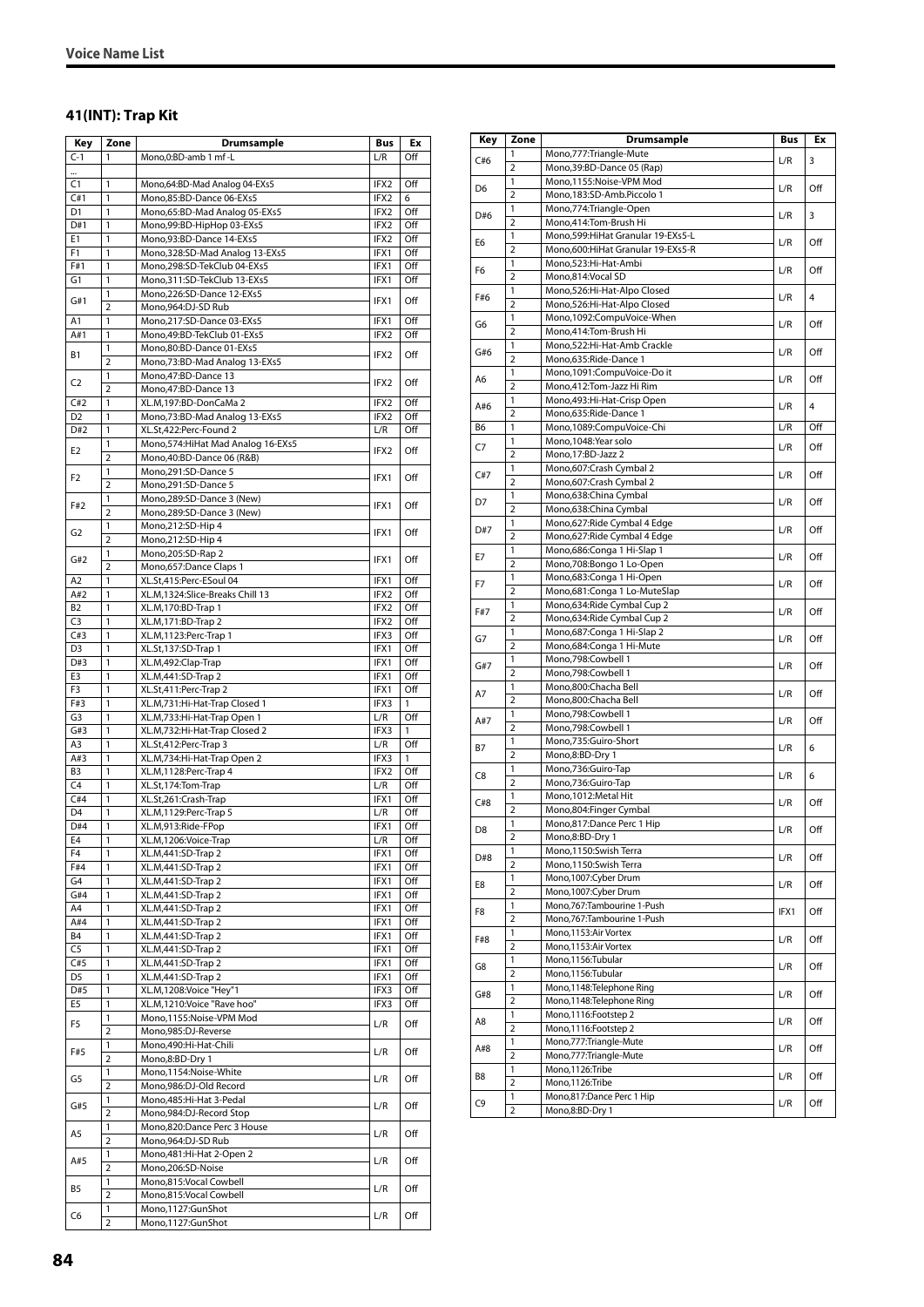#### **41(INT): Trap Kit**

| Key                              | Zone                         | Drumsample                                           | Bus          | Ex         |
|----------------------------------|------------------------------|------------------------------------------------------|--------------|------------|
| $C-1$                            | 1                            | Mono, 0: BD-amb 1 mf - L                             | L/R          | Off        |
| $\cdots$                         |                              |                                                      |              |            |
| C1                               | 1                            | Mono,64:BD-Mad Analog 04-EXs5                        | IFX2         | Off        |
| C#1                              | 1                            | Mono,85:BD-Dance 06-EXs5                             | IFX2         | 6          |
| D <sub>1</sub>                   | 1                            | Mono,65:BD-Mad Analog 05-EXs5                        | IFX2         | Off        |
| D#1                              | 1                            | Mono,99:BD-HipHop 03-EXs5                            | IFX2         | Off        |
| E1                               | 1                            | Mono,93:BD-Dance 14-EXs5                             | IFX2         | Off        |
| F <sub>1</sub>                   | 1                            | Mono, 328: SD-Mad Analog 13-EXs5                     | IFX1         | Off        |
| F#1                              | 1                            | Mono,298:SD-TekClub 04-EXs5                          | IFX1         | Off        |
| G1                               | 1                            | Mono, 311: SD-TekClub 13-EXs5                        | IFX1         | Off        |
| G#1                              | 1<br>2                       | Mono,226:SD-Dance 12-EXs5<br>Mono,964:DJ-SD Rub      | IFX1         | Off        |
| A1                               | 1                            | Mono,217:SD-Dance 03-EXs5                            | IFX1         | Off        |
| A#1                              | 1                            | Mono,49:BD-TekClub 01-EXs5                           | IFX2         | Off        |
|                                  | 1                            | Mono,80:BD-Dance 01-EXs5                             |              |            |
| <b>B1</b>                        | $\overline{2}$               | Mono, 73: BD-Mad Analog 13-EXs5                      | IFX2         | Off        |
|                                  | 1                            | Mono, 47: BD-Dance 13                                |              |            |
| C <sub>2</sub>                   | $\overline{2}$               | Mono, 47: BD-Dance 13                                | IFX2         | Off        |
| C#2                              | 1                            | XL.M,197:BD-DonCaMa 2                                | IFX2         | Off        |
| D <sub>2</sub>                   | 1                            | Mono, 73: BD-Mad Analog 13-EXs5                      | IFX2         | Off        |
| D#2                              | 1                            | XL.St,422:Perc-Found 2                               | L/R          | Off        |
| E <sub>2</sub>                   | 1                            | Mono, 574: Hi Hat Mad Analog 16-EXs5                 | IFX2         | Off        |
|                                  | $\overline{2}$               | Mono,40:BD-Dance 06 (R&B)                            |              |            |
| F2                               | 1                            | Mono,291:SD-Dance 5                                  | IFX1         | Off        |
|                                  | $\overline{2}$               | Mono,291:SD-Dance 5                                  |              |            |
| F#2                              | 1                            | Mono,289:SD-Dance 3 (New)                            | IFX1         | Off        |
|                                  | $\overline{2}$               | Mono,289:SD-Dance 3 (New)                            |              |            |
| G <sub>2</sub>                   | 1                            | Mono,212:SD-Hip 4<br>Mono, 212: SD-Hip 4             | IFX1         | Off        |
|                                  | $\overline{2}$<br>1          | Mono,205:SD-Rap 2                                    |              |            |
| G#2                              | $\overline{2}$               | Mono,657:Dance Claps 1                               | IFX1         | Off        |
| A <sub>2</sub>                   | 1                            | XL.St,415:Perc-ESoul 04                              | IFX1         | Off        |
| A#2                              | 1                            | XL.M,1324:Slice-Breaks Chill 13                      | IFX2         | Off        |
| B <sub>2</sub>                   | 1                            | XL.M,170:BD-Trap 1                                   | IFX2         | Off        |
| C <sub>3</sub>                   | 1                            | XL.M, 171:BD-Trap 2                                  | IFX2         | Off        |
| C#3                              | 1                            | XL.M, 1123: Perc-Trap 1                              | IFX3         | Off        |
| D <sub>3</sub>                   | 1                            | XL.St,137:SD-Trap 1                                  | IFX1         | Off        |
| D#3                              | 1                            | XL.M,492:Clap-Trap                                   | IFX1         | Off        |
| E3                               | 1                            | XL.M,441:SD-Trap 2                                   | IFX1         | Off        |
| F3                               | 1                            | XL.St,411:Perc-Trap 2                                | IFX1         | Off        |
| F#3                              | 1                            | XL.M,731:Hi-Hat-Trap Closed 1                        | IFX3         | 1          |
| G3                               | 1                            | XL.M,733:Hi-Hat-Trap Open 1                          | L/R          | Off        |
| G#3                              | 1                            | XL.M,732:Hi-Hat-Trap Closed 2                        | IFX3         | 1          |
| A3                               | 1                            | XL.St,412:Perc-Trap 3                                | L/R          | Off        |
| A#3                              | 1                            | XL.M,734:Hi-Hat-Trap Open 2                          | IFX3         | 1          |
| B <sub>3</sub><br>C <sub>4</sub> | 1                            | XL.M, 1128: Perc-Trap 4                              | IFX2<br>L/R  | Off<br>Off |
| C#4                              | 1<br>1                       | XL.St,174:Tom-Trap<br>XL.St,261:Crash-Trap           | IFX1         | Off        |
| D <sub>4</sub>                   | 1                            | XL.M, 1129: Perc-Trap 5                              | L/R          | Off        |
| D#4                              | 1                            | XL.M,913:Ride-FPop                                   | IFX1         | Off        |
| E4                               | 1                            | XL.M,1206:Voice-Trap                                 | L/R          | Off        |
| F4                               | 1                            | XL.M,441:SD-Trap 2                                   | IFX1         | Off        |
| F#4                              | 1                            | XL.M,441:SD-Trap 2                                   | IFX1         | Off        |
| G4                               | 1                            | XL.M,441:SD-Trap 2                                   | IFX1         | Off        |
| G#4                              | 1                            | XL.M,441:SD-Trap 2                                   | IFX1         | Off        |
| A4                               | 1                            | XL.M,441:SD-Trap 2                                   | IFX1         | Off        |
| A#4                              | 1                            | XL.M,441:SD-Trap 2                                   | IFX1         | Off        |
| B4                               | 1                            | XL.M,441:SD-Trap 2                                   | IFX1         | Off        |
| C <sub>5</sub>                   | 1                            | XL.M, 441: SD-Trap 2                                 | IFX1         | Off        |
| C#5                              | 1                            | XL.M,441:SD-Trap 2                                   | IFX1         | Off        |
| D <sub>5</sub>                   | 1                            | XL.M,441:SD-Trap 2                                   | IFX1         | Off        |
| D#5<br>E5                        | 1<br>1                       | XL.M,1208:Voice "Hey"1<br>XL.M,1210:Voice "Rave hoo" | IFX3<br>IFX3 | Off        |
|                                  | 1                            | Mono,1155:Noise-VPM Mod                              |              | Off        |
| F5                               | $\overline{2}$               | Mono,985:DJ-Reverse                                  | L/R          | Off        |
|                                  | 1                            | Mono,490:Hi-Hat-Chili                                |              |            |
| F#5                              | $\overline{\mathbf{c}}$      | Mono,8:BD-Dry 1                                      | L/R          | Off        |
|                                  | 1                            | Mono,1154:Noise-White                                |              |            |
| G5                               | $\overline{2}$               | Mono,986:DJ-Old Record                               | L/R          | Off        |
|                                  | 1                            | Mono, 485: Hi-Hat 3-Pedal                            |              |            |
| G#5                              | $\overline{2}$               | Mono,984:DJ-Record Stop                              | L/R          | Off        |
| A5                               | 1                            | Mono,820:Dance Perc 3 House                          | L/R          | Off        |
|                                  | 2                            | Mono,964:DJ-SD Rub                                   |              |            |
| A#5                              | 1                            | Mono, 481: Hi-Hat 2-Open 2                           | L/R          | Off        |
|                                  | $\overline{2}$               | Mono,206:SD-Noise                                    |              |            |
| B5                               | 1                            | Mono,815:Vocal Cowbell                               | L/R          | Off        |
|                                  | 2                            | Mono,815:Vocal Cowbell                               |              |            |
| C6                               | 1<br>$\overline{\mathbf{c}}$ | Mono,1127:GunShot                                    | L/R          | Off        |
|                                  |                              | Mono,1127:GunShot                                    |              |            |

| Key            | Zone                | Drumsample                                                   | <b>Bus</b> | Ex  |
|----------------|---------------------|--------------------------------------------------------------|------------|-----|
|                | 1                   | Mono,777: Triangle-Mute                                      |            |     |
| C#6            | $\overline{2}$      | Mono, 39: BD-Dance 05 (Rap)                                  | L/R        | 3   |
|                | 1                   | Mono,1155:Noise-VPM Mod                                      |            |     |
| D <sub>6</sub> | $\overline{2}$      | Mono,183:SD-Amb.Piccolo 1                                    | L/R        | Off |
| D#6            | 1                   | Mono,774: Triangle-Open                                      | L/R        | 3   |
|                | $\overline{2}$      | Mono,414:Tom-Brush Hi                                        |            |     |
| E6             | 1                   | Mono,599: HiHat Granular 19-EXs5-L                           | L/R        | Off |
|                | 2                   | Mono,600: Hi Hat Granular 19-EXs5-R                          |            |     |
| F6             | 1                   | Mono,523:Hi-Hat-Ambi                                         | L/R        | Off |
|                | $\overline{2}$      | Mono,814:Vocal SD                                            |            |     |
| F#6            | 1<br>2              | Mono,526:Hi-Hat-Alpo Closed<br>Mono,526:Hi-Hat-Alpo Closed   | L/R        | 4   |
|                | 1                   | Mono,1092:CompuVoice-When                                    |            |     |
| G6             | $\overline{2}$      | Mono,414:Tom-Brush Hi                                        | L/R        | Off |
|                | 1                   | Mono,522:Hi-Hat-Amb Crackle                                  |            |     |
| G#6            | $\overline{2}$      | Mono,635:Ride-Dance 1                                        | L/R        | Off |
|                | 1                   | Mono,1091:CompuVoice-Do it                                   |            |     |
| A6             | $\overline{2}$      | Mono,412:Tom-Jazz Hi Rim                                     | L/R        | Off |
| A#6            | 1                   | Mono, 493: Hi-Hat-Crisp Open                                 |            | 4   |
|                | $\overline{2}$      | Mono,635:Ride-Dance 1                                        | L/R        |     |
| В6             | 1                   | Mono, 1089: CompuVoice-Chi                                   | L/R        | Off |
| C7             | 1                   | Mono, 1048: Year solo                                        | L/R        | Off |
|                | 2                   | Mono,17:BD-Jazz 2                                            |            |     |
| C#7            | 1                   | Mono,607:Crash Cymbal 2                                      | L/R        | Off |
|                | $\overline{2}$      | Mono,607:Crash Cymbal 2                                      |            |     |
| D7             | 1                   | Mono,638:China Cymbal                                        | L/R        | Off |
|                | 2<br>1              | Mono,638:China Cymbal                                        |            |     |
| D#7            | $\overline{2}$      | Mono,627: Ride Cymbal 4 Edge<br>Mono,627: Ride Cymbal 4 Edge | L/R        | Off |
|                | 1                   | Mono,686:Conga 1 Hi-Slap 1                                   |            |     |
| E7             | $\overline{2}$      | Mono,708:Bongo 1 Lo-Open                                     | L/R        | Off |
|                | 1                   | Mono,683:Conga 1 Hi-Open                                     |            |     |
| F7             | $\overline{2}$      | Mono,681:Conga 1 Lo-MuteSlap                                 | L/R        | Off |
|                | 1                   | Mono,634: Ride Cymbal Cup 2                                  |            |     |
| F#7            | $\overline{2}$      | Mono,634: Ride Cymbal Cup 2                                  | L/R        | Off |
| G7             | 1                   | Mono, 687: Conga 1 Hi-Slap 2                                 | L/R        | Off |
|                | $\overline{2}$      | Mono,684:Conga 1 Hi-Mute                                     |            |     |
| G#7            | 1                   | Mono,798:Cowbell 1                                           | L/R        | Off |
|                | 2                   | Mono, 798: Cowbell 1                                         |            |     |
| A7             | 1                   | Mono,800:Chacha Bell                                         | L/R        | Off |
|                | $\overline{2}$      | Mono,800:Chacha Bell                                         |            |     |
| A#7            | 1<br>$\overline{2}$ | Mono, 798: Cowbell 1<br>Mono,798:Cowbell 1                   | L/R        | Off |
|                | 1                   | Mono,735:Guiro-Short                                         |            |     |
| <b>B7</b>      | $\overline{2}$      | Mono,8:BD-Dry 1                                              | L/R        | 6   |
|                | 1                   | Mono,736:Guiro-Tap                                           |            |     |
| C8             | $\overline{2}$      | Mono,736:Guiro-Tap                                           | L/R        | 6   |
|                | 1                   | Mono, 1012: Metal Hit                                        |            |     |
| C#8            | $\overline{2}$      | Mono,804:Finger Cymbal                                       | L/R        | Off |
|                | 1                   | Mono,817:Dance Perc 1 Hip                                    |            |     |
| D8             | 2                   | Mono,8:BD-Dry 1                                              | L/R        | Off |
| D#8            | 1                   | Mono, 1150: Swish Terra                                      | L/R        | Off |
|                | 2                   | Mono,1150:Swish Terra                                        |            |     |
| E8             | 1                   | Mono,1007:Cyber Drum                                         | L/R        | Off |
|                | $\overline{2}$      | Mono, 1007: Cyber Drum                                       |            |     |
| F8             | 1                   | Mono, 767: Tambourine 1-Push                                 | IFX1       | Off |
|                | 2                   | Mono,767:Tambourine 1-Push                                   |            |     |
| F#8            | 1<br>2              | Mono,1153:Air Vortex<br>Mono, 1153: Air Vortex               | L/R        | Off |
|                | 1                   | Mono, 1156: Tubular                                          |            |     |
| G8             | 2                   | Mono,1156:Tubular                                            | L/R        | Off |
|                | 1                   | Mono,1148:Telephone Ring                                     |            |     |
| G#8            | $\overline{2}$      | Mono, 1148: Telephone Ring                                   | L/R        | Off |
|                | 1                   | Mono, 1116: Footstep 2                                       |            |     |
| A8             | 2                   | Mono, 1116: Footstep 2                                       | L/R        | Off |
|                | 1                   | Mono,777: Triangle-Mute                                      |            |     |
| A#8            | $\overline{2}$      | Mono,777: Triangle-Mute                                      | L/R        | Off |
|                | 1                   | Mono,1126:Tribe                                              |            |     |
| B8             | $\overline{2}$      | Mono,1126:Tribe                                              | L/R        | Off |
| C9             | 1                   | Mono,817:Dance Perc 1 Hip                                    | L/R        | Off |
|                | $\overline{2}$      | Mono,8:BD-Dry 1                                              |            |     |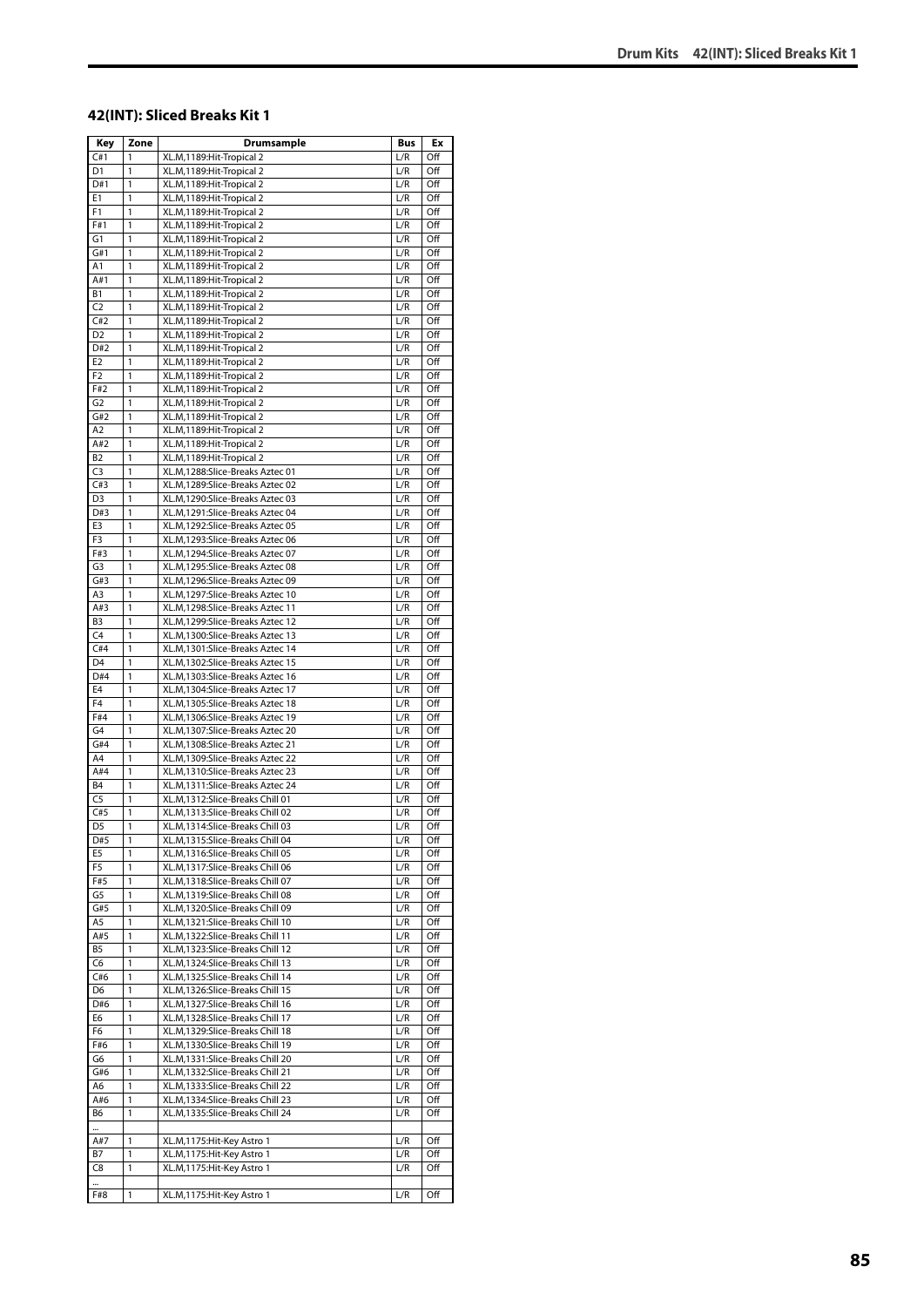#### **42(INT): Sliced Breaks Kit 1**

| Key                              | Zone              | Drumsample                                                           | Bus        | Ex         |
|----------------------------------|-------------------|----------------------------------------------------------------------|------------|------------|
| C#1                              | 1                 | XL.M, 1189: Hit-Tropical 2                                           | L/R        | Off        |
| D1                               | 1                 | XL.M, 1189: Hit-Tropical 2                                           | L/R        | Off        |
| D#1                              | 1                 | XL.M,1189:Hit-Tropical 2                                             | L/R        | Off        |
| E1                               | 1                 | XL.M, 1189: Hit-Tropical 2                                           | L/R        | Off        |
| F <sub>1</sub>                   | 1                 | XL.M,1189:Hit-Tropical 2                                             | L/R        | Off        |
| F#1                              | 1                 | XL.M, 1189: Hit-Tropical 2<br>XL.M,1189:Hit-Tropical 2               | L/R        | Off        |
| G1<br>G#1                        | 1<br>1            | XL.M,1189: Hit-Tropical 2                                            | L/R<br>L/R | Off<br>Off |
| A1                               | 1                 | XL.M,1189:Hit-Tropical 2                                             | L/R        | Off        |
| A#1                              | 1                 | XL.M, 1189: Hit-Tropical 2                                           | L/R        | Off        |
| В1                               | 1                 | XL.M,1189:Hit-Tropical 2                                             | L/R        | Off        |
| C <sub>2</sub>                   | $\mathbf{1}$      | XL.M, 1189: Hit-Tropical 2                                           | L/R        | Off        |
| C#2                              | 1                 | XL.M,1189:Hit-Tropical 2                                             | L/R        | Off        |
| D <sub>2</sub>                   | 1                 | XL.M,1189:Hit-Tropical 2                                             | L/R        | Off        |
| D#2                              | 1                 | XL.M,1189:Hit-Tropical 2                                             | L/R        | Off        |
| E <sub>2</sub><br>F <sub>2</sub> | 1<br>1            | XL.M, 1189: Hit-Tropical 2<br>XL.M,1189:Hit-Tropical 2               | L/R<br>L/R | Off<br>Off |
| F#2                              | 1                 | XL.M,1189:Hit-Tropical 2                                             | L/R        | Off        |
| G2                               | 1                 | XL.M, 1189: Hit-Tropical 2                                           | L/R        | Off        |
| G#2                              | 1                 | XL.M,1189:Hit-Tropical 2                                             | L/R        | Off        |
| A2                               | 1                 | XL.M, 1189: Hit-Tropical 2                                           | L/R        | Off        |
| A#2                              | 1                 | XL.M,1189:Hit-Tropical 2                                             | L/R        | Off        |
| <b>B2</b>                        | 1                 | XL.M,1189:Hit-Tropical 2                                             | L/R        | Off        |
| C <sub>3</sub>                   | 1                 | XL.M,1288:Slice-Breaks Aztec 01                                      | L/R        | Off        |
| C#3                              | 1                 | XL.M,1289:Slice-Breaks Aztec 02                                      | L/R        | Off        |
| D <sub>3</sub>                   | 1                 | XL.M,1290:Slice-Breaks Aztec 03                                      | L/R        | Off        |
| D#3<br>E3                        | 1<br>$\mathbf{1}$ | XL.M,1291:Slice-Breaks Aztec 04<br>XL.M, 1292: Slice-Breaks Aztec 05 | L/R<br>L/R | Off<br>Off |
| F3                               | 1                 | XL.M,1293:Slice-Breaks Aztec 06                                      | L/R        | Off        |
| F#3                              | 1                 | XL.M, 1294: Slice-Breaks Aztec 07                                    | L/R        | Off        |
| G <sub>3</sub>                   | 1                 | XL.M,1295:Slice-Breaks Aztec 08                                      | L/R        | Off        |
| G#3                              | 1                 | XL.M,1296:Slice-Breaks Aztec 09                                      | L/R        | Off        |
| A3                               | 1                 | XL.M,1297:Slice-Breaks Aztec 10                                      | L/R        | Off        |
| A#3                              | 1                 | XL.M,1298:Slice-Breaks Aztec 11                                      | L/R        | Off        |
| B <sub>3</sub>                   | 1                 | XL.M,1299:Slice-Breaks Aztec 12                                      | L/R        | Off        |
| C <sub>4</sub>                   | 1                 | XL.M,1300:Slice-Breaks Aztec 13                                      | L/R        | Off        |
| C#4<br>D <sub>4</sub>            | 1<br>1            | XL.M,1301:Slice-Breaks Aztec 14<br>XL.M,1302:Slice-Breaks Aztec 15   | L/R        | Off<br>Off |
| D#4                              | $\mathbf{1}$      | XL.M,1303:Slice-Breaks Aztec 16                                      | L/R<br>L/R | Off        |
| E4                               | 1                 | XL.M,1304:Slice-Breaks Aztec 17                                      | L/R        | Off        |
| F4                               | 1                 | XL.M,1305:Slice-Breaks Aztec 18                                      | L/R        | Off        |
| F#4                              | 1                 | XL.M,1306:Slice-Breaks Aztec 19                                      | L/R        | Off        |
| G4                               | 1                 | XL.M,1307:Slice-Breaks Aztec 20                                      | L/R        | Off        |
| G#4                              | 1                 | XL.M,1308:Slice-Breaks Aztec 21                                      | L/R        | Off        |
| A4                               | 1                 | XL.M,1309:Slice-Breaks Aztec 22                                      | L/R        | Off        |
| A#4<br><b>B4</b>                 | 1<br>1            | XL.M, 1310:Slice-Breaks Aztec 23                                     | L/R<br>L/R | Off<br>Off |
| $\overline{C}$                   | 1                 | XL.M,1311:Slice-Breaks Aztec 24<br>XL.M,1312:Slice-Breaks Chill 01   | L/R        | Off        |
| C#5                              | 1                 | XL.M,1313:Slice-Breaks Chill 02                                      | L/R        | Off        |
| D <sub>5</sub>                   | 1                 | XL.M,1314:Slice-Breaks Chill 03                                      | L/R        | Off        |
| D#5                              | 1                 | XL.M,1315:Slice-Breaks Chill 04                                      | L/R        | Off        |
| E5                               | 1                 | XL.M,1316:Slice-Breaks Chill 05                                      | L/R        | Off        |
| F5                               | 1                 | XL.M,1317:Slice-Breaks Chill 06                                      | L/R        | Off        |
| F#5                              | 1                 | XL.M,1318:Slice-Breaks Chill 07                                      | L/R        | Off        |
| G5                               | 1                 | XL.M,1319:Slice-Breaks Chill 08                                      | L/R        | Off        |
| G#5<br>A5                        | 1<br>1            | XL.M,1320:Slice-Breaks Chill 09<br>XL.M,1321:Slice-Breaks Chill 10   | L/R        | Off<br>Off |
| A#5                              | 1                 | XL.M,1322:Slice-Breaks Chill 11                                      | L/R<br>L/R | Off        |
| <b>B5</b>                        | 1                 | XL.M,1323:Slice-Breaks Chill 12                                      | L/R        | Off        |
| C6                               | 1                 | XL.M,1324:Slice-Breaks Chill 13                                      | L/R        | Off        |
| C#6                              | 1                 | XL.M,1325:Slice-Breaks Chill 14                                      | L/R        | Off        |
| D6                               | 1                 | XL.M,1326:Slice-Breaks Chill 15                                      | L/R        | Off        |
| D#6                              | 1                 | XL.M,1327:Slice-Breaks Chill 16                                      | L/R        | Off        |
| E6                               | 1                 | XL.M,1328:Slice-Breaks Chill 17                                      | L/R        | Off        |
| F6                               | 1                 | XL.M,1329:Slice-Breaks Chill 18                                      | L/R        | Off        |
| F#6<br>G6                        | 1<br>1            | XL.M,1330:Slice-Breaks Chill 19                                      | L/R<br>L/R | Off<br>Off |
| G#6                              | 1                 | XL.M,1331:Slice-Breaks Chill 20<br>XL.M,1332:Slice-Breaks Chill 21   | L/R        | Off        |
| A6                               | 1                 | XL.M,1333:Slice-Breaks Chill 22                                      | L/R        | Off        |
| A#6                              | 1                 | XL.M,1334:Slice-Breaks Chill 23                                      | L/R        | Off        |
| В6                               | 1                 | XL.M,1335:Slice-Breaks Chill 24                                      | L/R        | Off        |
|                                  |                   |                                                                      |            |            |
| A#7                              | 1                 | XL.M,1175:Hit-Key Astro 1                                            | L/R        | Off        |
| Β7                               | 1                 | XL.M,1175:Hit-Key Astro 1                                            | L/R        | Off        |
| C8                               | 1                 | XL.M,1175:Hit-Key Astro 1                                            | L/R        | Off        |
| <br>F#8                          | 1                 | XL.M,1175:Hit-Key Astro 1                                            | L/R        | Off        |
|                                  |                   |                                                                      |            |            |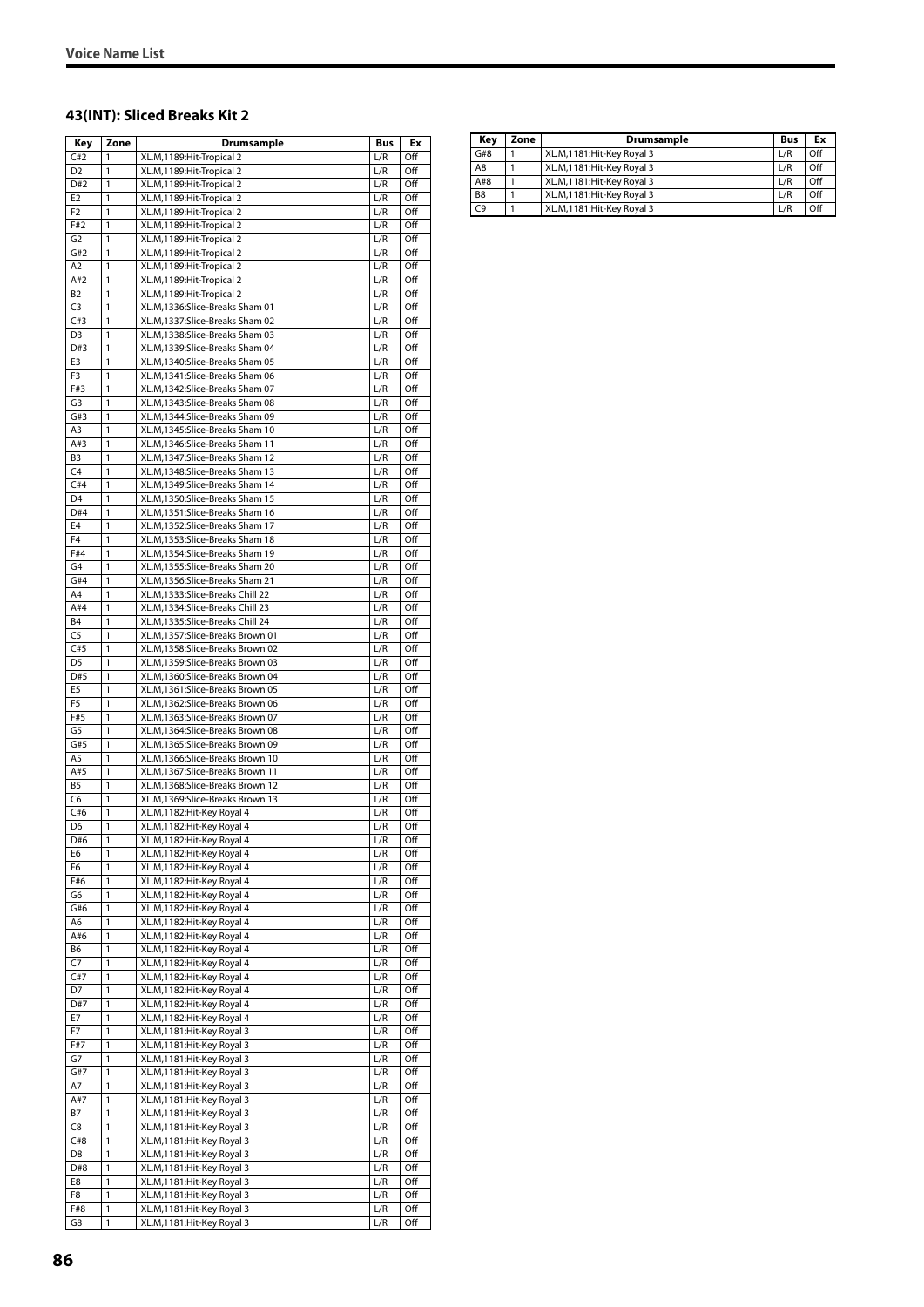#### **43(INT): Sliced Breaks Kit 2**

| Key                              | Zone               | Drumsample                                                         | <b>Bus</b> | Ex         |
|----------------------------------|--------------------|--------------------------------------------------------------------|------------|------------|
| C#2                              | 1                  | XL.M, 1189: Hit-Tropical 2                                         | L/R        | Off        |
| D <sub>2</sub>                   | 1                  | XL.M, 1189: Hit-Tropical 2                                         | L/R        | Off        |
| D#2                              | 1                  | XL.M, 1189: Hit-Tropical 2                                         | L/R        | Off        |
| E <sub>2</sub><br>F <sub>2</sub> | 1<br>1             | XL.M, 1189: Hit-Tropical 2<br>XL.M,1189:Hit-Tropical 2             | L/R<br>L/R | Off<br>Off |
| F#2                              | 1                  | XL.M, 1189: Hit-Tropical 2                                         | L/R        | Off        |
| G <sub>2</sub>                   | 1                  | XL.M,1189:Hit-Tropical 2                                           | L/R        | Off        |
| G#2                              | 1                  | XL.M,1189:Hit-Tropical 2                                           | L/R        | Off        |
| A <sub>2</sub>                   | 1                  | XL.M, 1189: Hit-Tropical 2                                         | L/R        | Off        |
| A#2                              | 1                  | XL.M, 1189: Hit-Tropical 2                                         | L/R        | Off        |
| B2                               | 1                  | XL.M, 1189: Hit-Tropical 2                                         | L/R        | Off        |
| C <sub>3</sub><br>C#3            | 1<br>1             | XL.M,1336:Slice-Breaks Sham 01                                     | L/R        | Off        |
| D <sub>3</sub>                   | 1                  | XL.M,1337:Slice-Breaks Sham 02<br>XL.M,1338:Slice-Breaks Sham 03   | L/R<br>L/R | Off<br>Off |
| D#3                              | 1                  | XL.M,1339:Slice-Breaks Sham 04                                     | L/R        | Off        |
| E3                               | $\mathbf{1}$       | XL.M,1340:Slice-Breaks Sham 05                                     | L/R        | Off        |
| F3                               | 1                  | XL.M,1341:Slice-Breaks Sham 06                                     | L/R        | Off        |
| F#3                              | 1                  | XL.M,1342:Slice-Breaks Sham 07                                     | L/R        | Off        |
| G3                               | 1                  | XL.M,1343:Slice-Breaks Sham 08                                     | L/R        | Off        |
| G#3                              | 1                  | XL.M,1344:Slice-Breaks Sham 09                                     | L/R        | Off        |
| A3<br>A#3                        | 1                  | XL.M,1345:Slice-Breaks Sham 10                                     | L/R<br>L/R | Off<br>Off |
| B <sub>3</sub>                   | 1<br>1             | XL.M,1346:Slice-Breaks Sham 11<br>XL.M,1347:Slice-Breaks Sham 12   | L/R        | Off        |
| C <sub>4</sub>                   | 1                  | XL.M,1348:Slice-Breaks Sham 13                                     | L/R        | Off        |
| C#4                              | 1                  | XL.M, 1349: Slice-Breaks Sham 14                                   | L/R        | Off        |
| D <sub>4</sub>                   | 1                  | XL.M,1350:Slice-Breaks Sham 15                                     | L/R        | Off        |
| D#4                              | 1                  | XL.M,1351:Slice-Breaks Sham 16                                     | L/R        | Off        |
| E <sub>4</sub>                   | 1                  | XL.M,1352:Slice-Breaks Sham 17                                     | L/R        | Off        |
| F4                               | $\mathbf{1}$       | XL.M,1353:Slice-Breaks Sham 18                                     | L/R        | Off        |
| F#4                              | 1                  | XL.M,1354:Slice-Breaks Sham 19                                     | L/R        | Off        |
| G4                               | $\mathbf{1}$       | XL.M,1355:Slice-Breaks Sham 20                                     | L/R        | Off        |
| G#4<br>A4                        | 1<br>1             | XL.M,1356:Slice-Breaks Sham 21<br>XL.M,1333:Slice-Breaks Chill 22  | L/R<br>L/R | Off<br>Off |
| A#4                              | 1                  | XL.M,1334:Slice-Breaks Chill 23                                    | L/R        | Off        |
| <b>B4</b>                        | 1                  | XL.M,1335:Slice-Breaks Chill 24                                    | L/R        | Off        |
| C <sub>5</sub>                   | 1                  | XL.M,1357:Slice-Breaks Brown 01                                    | L/R        | Off        |
| C#5                              | 1                  | XL.M,1358:Slice-Breaks Brown 02                                    | L/R        | Off        |
| D <sub>5</sub>                   | 1                  | XL.M,1359:Slice-Breaks Brown 03                                    | L/R        | Off        |
| D#5                              | 1                  | XL.M,1360:Slice-Breaks Brown 04                                    | L/R        | Off        |
| E <sub>5</sub>                   | 1                  | XL.M,1361:Slice-Breaks Brown 05                                    | L/R        | Off        |
| F <sub>5</sub><br>F#5            | 1<br>1             | XL.M,1362:Slice-Breaks Brown 06<br>XL.M,1363:Slice-Breaks Brown 07 | L/R<br>L/R | Off<br>Off |
| G5                               | 1                  | XL.M,1364:Slice-Breaks Brown 08                                    | L/R        | Off        |
| G#5                              | 1                  | XL.M,1365:Slice-Breaks Brown 09                                    | L/R        | Off        |
| A5                               | 1                  | XL.M,1366:Slice-Breaks Brown 10                                    | L/R        | Off        |
| A#5                              | 1                  | XL.M,1367:Slice-Breaks Brown 11                                    | L/R        | Off        |
| <b>B5</b>                        | 1                  | XL.M,1368:Slice-Breaks Brown 12                                    | L/R        | Off        |
| C6                               | $\mathbf{1}$       | XL.M,1369:Slice-Breaks Brown 13                                    | L/R        | Off        |
| C#6                              | 1                  | XL.M,1182:Hit-Key Royal 4                                          | L/R        | Off        |
| D <sub>6</sub><br>D#6            | 1<br>1             | XL.M,1182:Hit-Key Royal 4<br>XL.M,1182:Hit-Key Royal 4             | L/R<br>L/R | Off<br>Off |
| E6                               | 1                  | XL.M,1182:Hit-Key Royal 4                                          | L/R        | Off        |
| F6                               | 1                  | XL.M,1182:Hit-Key Royal 4                                          | L/R        | Off        |
| F#6                              | 1                  | XL.M,1182:Hit-Key Royal 4                                          | L/R        | Off        |
| G6                               | $\mathbf{1}$       | XL.M,1182:Hit-Key Royal 4                                          | L/R        | Off        |
| G#6                              | 1                  | XL.M,1182:Hit-Key Royal 4                                          | L/R        | Off        |
| A6                               | 1                  | XL.M,1182:Hit-Key Royal 4                                          | L/R        | Off        |
| A#6                              | 1                  | XL.M,1182:Hit-Key Royal 4                                          | L/R        | Off        |
| B6                               | 1                  | XL.M,1182:Hit-Key Royal 4<br>XL.M,1182:Hit-Key Royal 4             | L/R        | Off        |
| C7<br>C#7                        | 1<br>1             | XL.M,1182:Hit-Key Royal 4                                          | L/R<br>L/R | Off<br>Off |
| D7                               | 1                  | XL.M,1182:Hit-Key Royal 4                                          | L/R        | Off        |
| D#7                              | 1                  | XL.M,1182:Hit-Key Royal 4                                          | L/R        | Off        |
| E7                               | 1                  | XL.M,1182:Hit-Key Royal 4                                          | L/R        | Off        |
| F7                               | 1                  | XL.M,1181: Hit-Key Royal 3                                         | L/R        | Off        |
| F#7                              | 1                  | XL.M,1181:Hit-Key Royal 3                                          | L/R        | Off        |
| G7                               | 1                  | XL.M,1181:Hit-Key Royal 3                                          | L/R        | Off        |
| G#7                              | 1                  | XL.M,1181: Hit-Key Royal 3                                         | L/R        | Off        |
| Α7                               | 1<br>$\mathbbm{1}$ | XL.M,1181:Hit-Key Royal 3<br>XL.M,1181:Hit-Key Royal 3             | L/R<br>L/R | Off<br>Off |
| A#7<br>Β7                        | 1                  | XL.M,1181:Hit-Key Royal 3                                          | L/R        | Off        |
| C8                               | 1                  | XL.M,1181: Hit-Key Royal 3                                         | L/R        | Off        |
| C#8                              | 1                  | XL.M,1181:Hit-Key Royal 3                                          | L/R        | Off        |
| D <sub>8</sub>                   | 1                  | XL.M,1181:Hit-Key Royal 3                                          | L/R        | Off        |
| D#8                              | 1                  | XL.M,1181:Hit-Key Royal 3                                          | L/R        | Off        |
| E8                               | 1                  | XL.M,1181: Hit-Key Royal 3                                         | L/R        | Off        |
| F8                               | 1                  | XL.M,1181: Hit-Key Royal 3                                         | L/R        | Off        |
| F#8                              | 1                  | XL.M,1181: Hit-Key Royal 3                                         | L/R        | Off        |
| G8                               | 1                  | XL.M,1181:Hit-Key Royal 3                                          | L/R        | Off        |

| Zone | Drumsample                  | <b>Bus</b> | Ex  |
|------|-----------------------------|------------|-----|
|      | XL.M.1181: Hit-Key Royal 3  | L/R        | Off |
|      | XL.M,1181: Hit-Key Royal 3  | L/R        | Off |
|      | XL.M, 1181: Hit-Key Royal 3 | L/R        | Off |
|      | XL.M,1181: Hit-Key Royal 3  | L/R        | Off |
|      | XL.M,1181: Hit-Key Royal 3  | L/R        | Off |
|      |                             |            |     |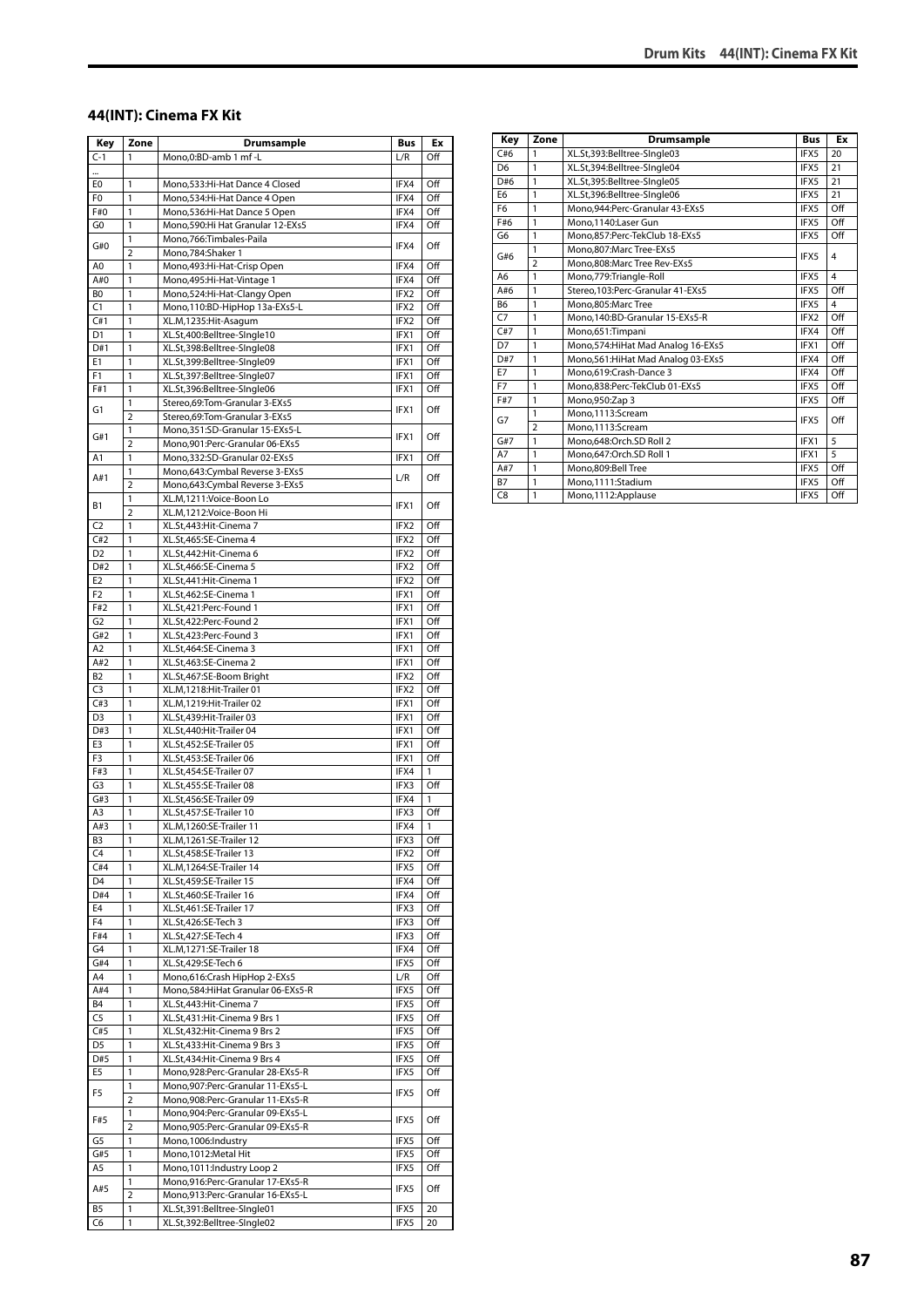#### **44(INT): Cinema FX Kit**

| Key                   | Zone                | Drumsample                                                           | <b>Bus</b>   | Ex         |
|-----------------------|---------------------|----------------------------------------------------------------------|--------------|------------|
| $C-1$                 | 1                   | Mono,0:BD-amb 1 mf-L                                                 | L/R          | Off        |
|                       |                     |                                                                      |              |            |
| E0                    | 1                   | Mono, 533: Hi-Hat Dance 4 Closed                                     | IFX4         | Off        |
| F <sub>0</sub>        | 1                   | Mono, 534: Hi-Hat Dance 4 Open                                       | IFX4         | Off        |
| F#0                   | $\mathbf{1}$        | Mono, 536: Hi-Hat Dance 5 Open                                       | IFX4         | Off<br>Off |
| G0                    | 1<br>1              | Mono, 590: Hi Hat Granular 12-EXs5<br>Mono, 766: Timbales-Paila      | IFX4         |            |
| G#0                   | $\overline{2}$      | Mono, 784: Shaker 1                                                  | IFX4         | Off        |
| A <sub>0</sub>        | $\mathbf{1}$        | Mono, 493: Hi-Hat-Crisp Open                                         | IFX4         | Off        |
| A#0                   | 1                   | Mono, 495: Hi-Hat-Vintage 1                                          | IFX4         | Off        |
| BO                    | 1                   | Mono,524:Hi-Hat-Clangy Open                                          | IFX2         | Off        |
| C1                    | 1                   | Mono, 110:BD-HipHop 13a-EXs5-L                                       | IFX2         | Off        |
| C#1                   | 1                   | XL.M,1235:Hit-Asagum                                                 | IFX2         | Off        |
| D1                    | 1                   | XL.St,400:Belltree-SIngle10                                          | IFX1         | Off        |
| D#1                   | 1<br>$\mathbf{1}$   | XL.St,398:Belltree-SIngle08                                          | IFX1         | Off<br>Off |
| E1<br>F1              | 1                   | XL.St,399:Belltree-SIngle09<br>XL.St,397:Belltree-SIngle07           | IFX1<br>IFX1 | Off        |
| F#1                   | 1                   | XL.St,396:Belltree-SIngle06                                          | IFX1         | Off        |
|                       | 1                   | Stereo,69:Tom-Granular 3-EXs5                                        |              |            |
| G1                    | $\overline{2}$      | Stereo,69:Tom-Granular 3-EXs5                                        | IFX1         | Off        |
|                       | 1                   | Mono, 351: SD-Granular 15-EXs5-L                                     | IFX1         | Off        |
| G#1                   | $\overline{2}$      | Mono, 901: Perc-Granular 06-EXs5                                     |              |            |
| A1                    | 1                   | Mono,332:SD-Granular 02-EXs5                                         | IFX1         | Off        |
| A#1                   | 1                   | Mono, 643: Cymbal Reverse 3-EXs5                                     | L/R          | Off        |
|                       | $\overline{2}$      | Mono,643:Cymbal Reverse 3-EXs5                                       |              |            |
| Β1                    | 1<br>$\overline{2}$ | XL.M,1211:Voice-Boon Lo<br>XL.M,1212:Voice-Boon Hi                   | IFX1         | Off        |
| C <sub>2</sub>        | 1                   | XL.St,443:Hit-Cinema 7                                               | IFX2         | Off        |
| C#2                   | 1                   | XL.St,465:SE-Cinema 4                                                | IFX2         | Off        |
| D <sub>2</sub>        | 1                   | XL.St,442:Hit-Cinema 6                                               | IFX2         | Off        |
| D#2                   | $\mathbf{1}$        | XL.St,466:SE-Cinema 5                                                | IFX2         | Off        |
| E <sub>2</sub>        | 1                   | XL.St,441:Hit-Cinema 1                                               | IFX2         | Off        |
| F <sub>2</sub>        | 1                   | XL.St,462:SE-Cinema 1                                                | IFX1         | Off        |
| F#2                   | 1                   | XL.St,421:Perc-Found 1                                               | IFX1         | Off        |
| G <sub>2</sub>        | 1                   | XL.St,422:Perc-Found 2                                               | IFX1         | Off        |
| G#2<br>A <sub>2</sub> | 1<br>1              | XL.St,423:Perc-Found 3<br>XL.St,464:SE-Cinema 3                      | IFX1<br>IFX1 | Off<br>Off |
| A#2                   | 1                   | XL.St,463:SE-Cinema 2                                                | IFX1         | Off        |
| B <sub>2</sub>        | 1                   | XL.St,467:SE-Boom Bright                                             | IFX2         | Off        |
| C <sub>3</sub>        | 1                   | XL.M,1218:Hit-Trailer 01                                             | IFX2         | Off        |
| C#3                   | 1                   | XL.M,1219:Hit-Trailer 02                                             | IFX1         | Off        |
| D <sub>3</sub>        | 1                   | XL.St,439:Hit-Trailer 03                                             | IFX1         | Off        |
| D#3                   | 1                   | XL.St,440:Hit-Trailer 04                                             | IFX1         | Off        |
| E3                    | 1                   | XL.St,452:SE-Trailer 05                                              | IFX1         | Off        |
| F3                    | 1                   | XL.St,453:SE-Trailer 06                                              | IFX1         | Off        |
| F#3                   | 1                   | XL.St,454:SE-Trailer 07                                              | IFX4         | 1          |
| G3<br>G#3             | 1<br>1              | XL.St,455:SE-Trailer 08<br>XL.St,456:SE-Trailer 09                   | IFX3<br>IFX4 | Off<br>1   |
| A3                    | 1                   | XL.St,457:SE-Trailer 10                                              | IFX3         | Off        |
| A#3                   | 1                   | XL.M,1260:SE-Trailer 11                                              | IFX4         | 1          |
| B3                    | 1                   | XL.M,1261:SE-Trailer 12                                              | IFX3         | Off        |
| C4                    | $\mathbf{1}$        | XL.St,458:SE-Trailer 13                                              | IFX2         | Off        |
| C#4                   | 1                   | XL.M,1264:SE-Trailer 14                                              | IFX5         | Off        |
| D <sub>4</sub>        | 1                   | XL.St,459:SE-Trailer 15                                              | IFX4         | Off        |
| D#4                   | 1                   | XL.St,460:SE-Trailer 16                                              | IFX4         | Off        |
| E4                    | 1                   | XL.St,461:SE-Trailer 17                                              | IFX3         | Off        |
| F4<br>F#4             | 1<br>1              | XL.St,426:SE-Tech 3<br>XL.St,427:SE-Tech 4                           | IFX3<br>IFX3 | Off<br>Off |
| G4                    | $\mathbf{1}$        | XL.M,1271:SE-Trailer 18                                              | IFX4         | Off        |
| G#4                   | 1                   | XL.St,429:SE-Tech 6                                                  | IFX5         | Off        |
| A4                    | 1                   | Mono,616:Crash HipHop 2-EXs5                                         | L/R          | Off        |
| A#4                   | 1                   | Mono, 584: HiHat Granular 06-EXs5-R                                  | IFX5         | Off        |
| <b>B4</b>             | 1                   | XL.St,443:Hit-Cinema 7                                               | IFX5         | Off        |
| C5                    | 1                   | XL.St,431:Hit-Cinema 9 Brs 1                                         | IFX5         | Off        |
| C#5                   | 1                   | XL.St,432:Hit-Cinema 9 Brs 2                                         | IFX5         | Off        |
| D <sub>5</sub>        | 1                   | XL.St,433: Hit-Cinema 9 Brs 3                                        | IFX5         | Off        |
| D#5                   | $\overline{1}$      | XL.St,434: Hit-Cinema 9 Brs 4                                        | IFX5         | Off        |
| E5                    | 1<br>1              | Mono,928:Perc-Granular 28-EXs5-R<br>Mono,907:Perc-Granular 11-EXs5-L | IFX5         | Off        |
| F5                    | $\overline{2}$      | Mono, 908: Perc-Granular 11-EXs5-R                                   | IFX5         | Off        |
|                       | 1                   | Mono,904:Perc-Granular 09-EXs5-L                                     |              |            |
| F#5                   | 2                   | Mono,905:Perc-Granular 09-EXs5-R                                     | IFX5         | Off        |
| G5                    | 1                   | Mono, 1006: Industry                                                 | IFX5         | Off        |
| G#5                   | 1                   | Mono, 1012: Metal Hit                                                | IFX5         | Off        |
| A5                    | 1                   | Mono, 1011: Industry Loop 2                                          | IFX5         | Off        |
| A#5                   | 1                   | Mono,916:Perc-Granular 17-EXs5-R                                     | IFX5         | Off        |
|                       | $\overline{2}$      | Mono,913:Perc-Granular 16-EXs5-L                                     |              |            |
| B5                    | $\mathbf{1}$        | XL.St,391:Belltree-SIngle01                                          | IFX5         | 20         |
| C6                    | 1                   | XL.St,392:Belltree-SIngle02                                          | IFX5         | 20         |

| Key            | Zone           | Drumsample                           | <b>Bus</b> | Ex                      |
|----------------|----------------|--------------------------------------|------------|-------------------------|
| C#6            | $\mathbf{1}$   | XL.St,393:Belltree-SIngle03          | IFX5       | 20                      |
| D <sub>6</sub> | $\mathbf{1}$   | XL.St,394:Belltree-SIngle04          | IFX5       | 21                      |
| D#6            | $\mathbf{1}$   | XL.St,395:Belltree-SIngle05          | IFX5       | 21                      |
| E <sub>6</sub> | $\mathbf{1}$   | XL.St,396:Belltree-SIngle06          | IFX5       | 21                      |
| F <sub>6</sub> | $\mathbf{1}$   | Mono, 944: Perc-Granular 43-EXs5     | IFX5       | Off                     |
| F#6            | $\mathbf{1}$   | Mono.1140:Laser Gun                  | IFX5       | Off                     |
| G <sub>6</sub> | $\mathbf{1}$   | Mono,857:Perc-TekClub 18-EXs5        | IFX5       | Off                     |
| G#6            | $\mathbf{1}$   | Mono,807:Marc Tree-EXs5              | IFX5       |                         |
|                | $\overline{2}$ | Mono.808:Marc Tree Rev-EXs5          |            | $\overline{4}$          |
| A <sub>6</sub> | $\mathbf{1}$   | Mono,779:Triangle-Roll               | IFX5       | $\overline{\mathbf{A}}$ |
| A#6            | $\mathbf{1}$   | Stereo, 103: Perc-Granular 41-EXs5   | IFX5       | Off                     |
| B <sub>6</sub> | $\mathbf{1}$   | Mono.805:Marc Tree                   | IFX5       | 4                       |
| C <sub>7</sub> | $\mathbf{1}$   | Mono, 140: BD-Granular 15-EXs5-R     | IFX2       | Off                     |
| C#7            | $\mathbf{1}$   | Mono,651:Timpani                     | IFX4       | Off                     |
| D7             | $\mathbf{1}$   | Mono, 574: Hi Hat Mad Analog 16-EXs5 | IFX1       | Off                     |
| D#7            | $\mathbf{1}$   | Mono, 561: HiHat Mad Analog 03-EXs5  | IFX4       | Off                     |
| E7             | $\mathbf{1}$   | Mono.619:Crash-Dance 3               | IFX4       | Off                     |
| F7             | $\mathbf{1}$   | Mono.838:Perc-TekClub 01-EXs5        | IFX5       | Off                     |
| F#7            | $\mathbf{1}$   | Mono, 950: Zap 3                     | IFX5       | Off                     |
|                | $\mathbf{1}$   | Mono.1113:Scream                     |            |                         |
| G7             | $\overline{2}$ | Mono,1113:Scream                     | IFX5       | Off                     |
| G#7            | $\mathbf{1}$   | Mono,648:Orch.SD Roll 2              | IFX1       | 5                       |
| A7             | $\mathbf{1}$   | Mono,647:Orch.SD Roll 1              | IFX1       | 5                       |
| A#7            | $\mathbf{1}$   | Mono.809:Bell Tree                   | IFX5       | Off                     |
| <b>B7</b>      | $\mathbf{1}$   | Mono,1111:Stadium                    | IFX5       | Off                     |
| C <sub>8</sub> | $\mathbf{1}$   | Mono,1112:Applause                   | IFX5       | Off                     |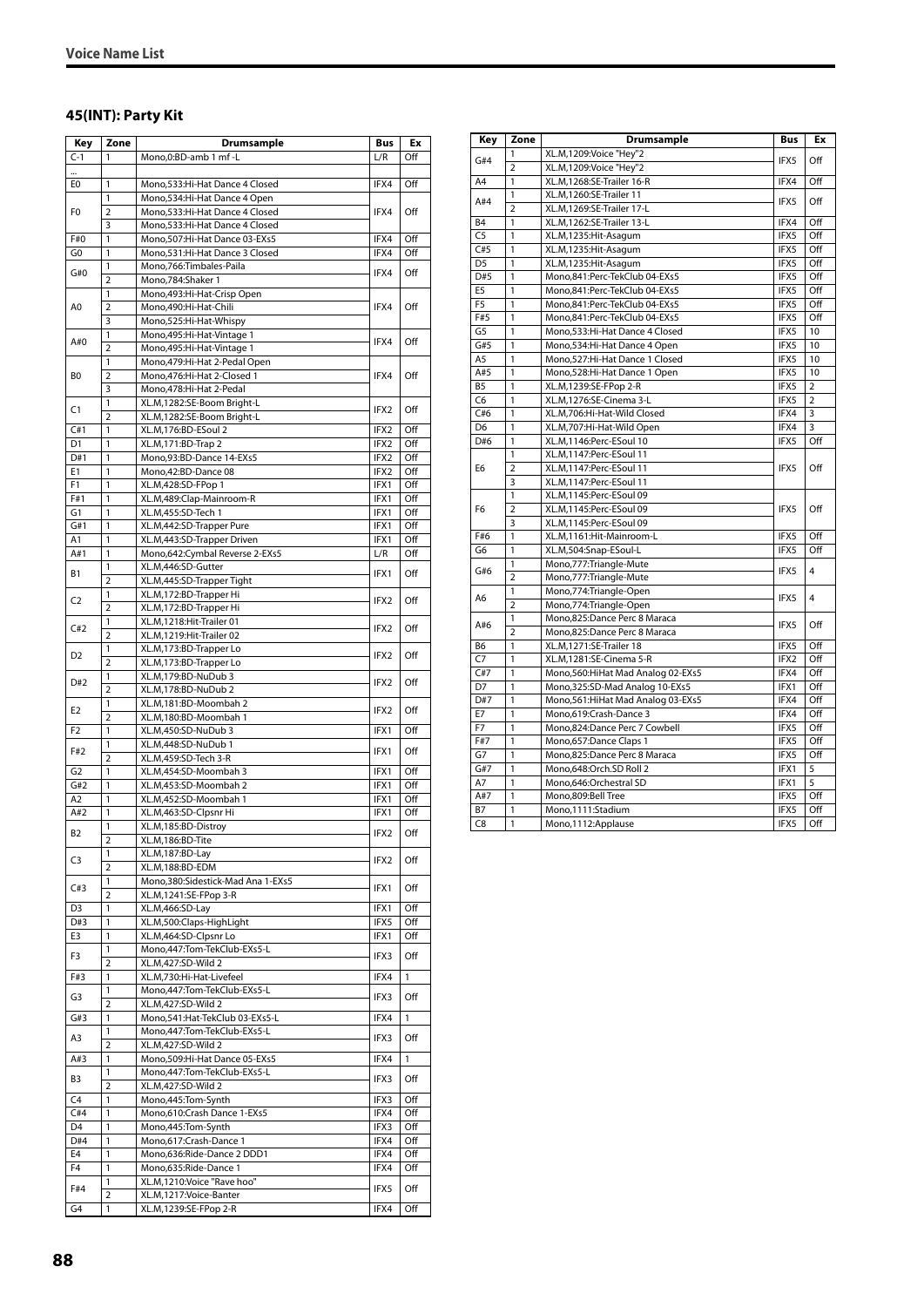#### **45(INT): Party Kit**

| Key            | Zone           | Drumsample                                         | Bus              | Ex           |
|----------------|----------------|----------------------------------------------------|------------------|--------------|
| $C-1$          | 1              | Mono.0:BD-amb 1 mf-L                               | L/R              | Off          |
|                |                |                                                    |                  |              |
| E0             | 1              | Mono,533:Hi-Hat Dance 4 Closed                     | IFX4             | Off          |
|                | 1              | Mono, 534: Hi-Hat Dance 4 Open                     |                  |              |
| F0             | $\overline{2}$ | Mono,533:Hi-Hat Dance 4 Closed                     | IFX4             | Off          |
|                | 3              | Mono,533:Hi-Hat Dance 4 Closed                     |                  |              |
| F#0            | 1              | Mono, 507: Hi-Hat Dance 03-EXs5                    | IFX4             | Off          |
| G0             | 1              | Mono,531:Hi-Hat Dance 3 Closed                     | IFX4             | Off          |
| G#0            | 1              | Mono, 766: Timbales-Paila                          | IFX4             | Off          |
|                | $\overline{2}$ | Mono,784:Shaker 1                                  |                  |              |
|                | 1              | Mono, 493: Hi-Hat-Crisp Open                       |                  |              |
| A0             | $\overline{2}$ | Mono,490:Hi-Hat-Chili                              | IFX4             | Off          |
|                | 3              | Mono,525:Hi-Hat-Whispy                             |                  |              |
| A#0            | 1              | Mono, 495: Hi-Hat-Vintage 1                        | IFX4             | Off          |
|                | $\overline{2}$ | Mono, 495: Hi-Hat-Vintage 1                        |                  |              |
|                | 1              | Mono, 479: Hi-Hat 2-Pedal Open                     |                  |              |
| B0             | $\overline{2}$ | Mono, 476: Hi-Hat 2-Closed 1                       | IFX4             | Off          |
|                | 3              | Mono, 478: Hi-Hat 2-Pedal                          |                  |              |
| C1             | 1              | XL.M,1282:SE-Boom Bright-L                         | IFX2             | Off          |
|                | $\overline{2}$ | XL.M,1282:SE-Boom Bright-L                         |                  |              |
| C#1            | 1              | XL.M,176:BD-ESoul 2                                | IFX2             | Off          |
| D <sub>1</sub> | 1              | XL.M,171:BD-Trap 2                                 | IFX2             | Off          |
| D#1            | 1              | Mono,93:BD-Dance 14-EXs5                           | IFX2             | Off          |
| E1             | 1              | Mono,42:BD-Dance 08                                | IFX2             | Off          |
| F1             | 1              | XL.M,428:SD-FPop 1                                 | IFX1             | Off          |
| F#1            | 1              | XL.M,489:Clap-Mainroom-R                           | IFX1             | Off          |
| G1             | 1              | XL.M,455:SD-Tech 1                                 | IFX1             | Off          |
| G#1            | $\mathbf{1}$   | XL.M,442:SD-Trapper Pure                           | IFX1             | Off          |
| A1             | 1              | XL.M,443:SD-Trapper Driven                         | IFX1             | Off          |
| A#1            | 1              | Mono,642:Cymbal Reverse 2-EXs5                     | L/R              | Off          |
| <b>B1</b>      | 1              | XL.M,446:SD-Gutter                                 | IFX1             | Off          |
|                | $\overline{2}$ | XL.M,445:SD-Trapper Tight                          |                  |              |
| C <sub>2</sub> | 1              | XL.M,172:BD-Trapper Hi                             | IFX2             | Off          |
|                | 2<br>1         | XL.M,172:BD-Trapper Hi<br>XL.M,1218:Hit-Trailer 01 |                  |              |
| C#2            | $\overline{2}$ |                                                    | IFX2             | Off          |
|                | 1              | XL.M,1219:Hit-Trailer 02<br>XL.M,173:BD-Trapper Lo |                  |              |
| D <sub>2</sub> | $\overline{2}$ |                                                    | IFX2             | Off          |
|                | 1              | XL.M,173:BD-Trapper Lo<br>XL.M,179:BD-NuDub 3      |                  |              |
| D#2            | $\overline{2}$ | XL.M,178:BD-NuDub 2                                | IFX <sub>2</sub> | Off          |
|                | 1              | XL.M,181:BD-Moombah 2                              |                  |              |
| E <sub>2</sub> | $\overline{2}$ | XL.M,180:BD-Moombah 1                              | IFX2             | Off          |
| F <sub>2</sub> | 1              | XL.M,450:SD-NuDub 3                                | IFX1             | Off          |
|                | 1              | XL.M,448:SD-NuDub 1                                |                  |              |
| F#2            | $\overline{2}$ | XL.M,459:SD-Tech 3-R                               | IFX1             | Off          |
| G <sub>2</sub> | 1              | XL.M,454:SD-Moombah 3                              | IFX1             | Off          |
| G#2            | 1              | XL.M.453:SD-Moombah 2                              | IFX1             | Off          |
| A <sub>2</sub> | 1              | XL.M,452:SD-Moombah 1                              | IFX1             | Off          |
| A#2            | 1              | XL.M,463:SD-Clpsnr Hi                              | IFX1             | Off          |
|                | 1              | XL.M,185:BD-Distroy                                |                  |              |
| B2             | $\overline{2}$ | XL.M,186:BD-Tite                                   | IFX2             | Off          |
|                | 1              | XL.M,187:BD-Lay                                    |                  |              |
| C3             | 2              | XL.M,188:BD-EDM                                    | IFX2             | Off          |
|                | $\mathbf{1}$   | Mono, 380: Sidestick-Mad Ana 1-EXs5                |                  |              |
| C#3            | $\overline{2}$ | XL.M,1241:SE-FPop 3-R                              | IFX1             | Off          |
| D <sub>3</sub> | 1              | XL.M,466:SD-Lay                                    | IFX1             | Off          |
| D#3            | 1              | XL.M,500:Claps-HighLight                           | IFX5             | Off          |
| E3             | 1              | XL.M,464:SD-Clpsnr Lo                              | IFX1             | Off          |
|                | 1              | Mono,447:Tom-TekClub-EXs5-L                        |                  |              |
| F3             | 2              | XL.M,427:SD-Wild 2                                 | IFX3             | Off          |
| F#3            | 1              | XL.M,730:Hi-Hat-Livefeel                           | IFX4             | $\mathbf{1}$ |
|                | 1              | Mono,447:Tom-TekClub-EXs5-L                        |                  |              |
| G3             | $\overline{2}$ | XL.M,427:SD-Wild 2                                 | IFX3             | Off          |
| G#3            | 1              | Mono,541:Hat-TekClub 03-EXs5-L                     | IFX4             | 1            |
|                | 1              | Mono,447:Tom-TekClub-EXs5-L                        |                  |              |
| A3             | $\overline{2}$ | XL.M,427:SD-Wild 2                                 | IFX3             | Off          |
| A#3            | $\mathbf{1}$   | Mono, 509: Hi-Hat Dance 05-EXs5                    | IFX4             | 1            |
|                | 1              | Mono,447:Tom-TekClub-EXs5-L                        |                  |              |
| B3             | $\overline{2}$ | XL.M,427:SD-Wild 2                                 | IFX3             | Off          |
| C <sub>4</sub> | 1              | Mono,445:Tom-Synth                                 | IFX3             | Off          |
| C#4            | 1              | Mono,610:Crash Dance 1-EXs5                        | IFX4             | Off          |
| D <sub>4</sub> | 1              | Mono,445:Tom-Synth                                 | IFX3             | Off          |
| D#4            | 1              | Mono,617:Crash-Dance 1                             | IFX4             | Off          |
| E4             | $\mathbf{1}$   | Mono,636:Ride-Dance 2 DDD1                         | IFX4             | Off          |
| F4             | $\mathbf{1}$   | Mono,635:Ride-Dance 1                              | IFX4             | Off          |
| F#4            | 1              | XL.M,1210:Voice "Rave hoo"                         | IFX5             | Off          |
|                | $\overline{2}$ | XL.M,1217:Voice-Banter                             |                  |              |
| G4             | 1              | XL.M,1239:SE-FPop 2-R                              | IFX4             | Off          |

| Key                  | Zone                | Drumsample                                         | <b>Bus</b>   | Ex             |
|----------------------|---------------------|----------------------------------------------------|--------------|----------------|
|                      | 1                   | XL.M,1209:Voice "Hey"2                             |              |                |
| G#4                  | $\overline{2}$      | XL.M,1209:Voice "Hey"2                             | IFX5         | Off            |
| A4                   | 1                   | XL.M,1268:SE-Trailer 16-R                          | IFX4         | Off            |
|                      | 1                   | XL.M,1260:SE-Trailer 11                            |              |                |
| A#4                  | $\overline{2}$      | XL.M,1269:SE-Trailer 17-L                          | IFX5         | Off            |
| <b>B4</b>            | $\mathbf{1}$        | XL.M,1262:SE-Trailer 13-L                          | IFX4         | Off            |
| $\overline{C}$       | 1                   | XL.M.1235:Hit-Asagum                               | IFX5         | Off            |
| C#5                  | 1                   | XL.M,1235:Hit-Asagum                               | IFX5         | Off            |
| D <sub>5</sub>       | 1                   | XL.M,1235:Hit-Asagum                               | IFX5         | Off            |
| D#5                  | 1                   | Mono,841:Perc-TekClub 04-EXs5                      | IFX5         | Off            |
| E5                   | $\mathbf{1}$        | Mono,841:Perc-TekClub 04-EXs5                      | IFX5         | Off            |
| F <sub>5</sub>       | $\mathbf{1}$        | Mono,841:Perc-TekClub 04-EXs5                      | IFX5         | Off            |
| F#5                  | 1                   | Mono,841:Perc-TekClub 04-EXs5                      | IFX5         | Off            |
| G <sub>5</sub>       | 1                   | Mono, 533: Hi-Hat Dance 4 Closed                   | IFX5         | 10             |
| G#5                  | 1                   | Mono, 534: Hi-Hat Dance 4 Open                     | IFX5         | 10             |
| A <sub>5</sub>       | 1                   | Mono,527:Hi-Hat Dance 1 Closed                     | IFX5         | 10             |
| A#5                  | 1                   | Mono,528:Hi-Hat Dance 1 Open                       | IFX5         | 10             |
| B <sub>5</sub>       | 1                   | XL.M,1239:SE-FPop 2-R                              | IFX5         | $\overline{2}$ |
| C6                   | 1                   | XL.M,1276:SE-Cinema 3-L                            | IFX5         | $\overline{2}$ |
| C#6                  | $\mathbf{1}$        | XL.M.706:Hi-Hat-Wild Closed                        | IFX4         | 3              |
| D <sub>6</sub>       | 1                   | XL.M,707:Hi-Hat-Wild Open                          | IFX4         | 3              |
| D#6                  | 1                   | XL.M,1146:Perc-ESoul 10                            | IFX5         | Off            |
|                      | 1                   | XL.M,1147:Perc-ESoul 11                            |              |                |
| E <sub>6</sub>       | $\overline{2}$      | XL.M,1147:Perc-ESoul 11                            | IFX5         | Off            |
|                      | 3                   | XL.M,1147:Perc-ESoul 11                            |              |                |
|                      | 1                   | XL.M,1145:Perc-ESoul 09                            | IFX5         |                |
| F <sub>6</sub>       | $\overline{2}$      | XL.M,1145:Perc-ESoul 09                            |              | Off            |
|                      | 3                   | XL.M,1145:Perc-ESoul 09                            |              |                |
| F#6                  | 1                   | XL.M,1161:Hit-Mainroom-L                           | IFX5         | Off            |
| G6                   | 1                   | XL.M,504:Snap-ESoul-L                              | IFX5         | Off            |
| G#6                  | 1                   | Mono,777:Triangle-Mute                             | IFX5         | $\overline{4}$ |
|                      | $\overline{2}$      | Mono,777:Triangle-Mute                             |              |                |
| A6                   | 1                   | Mono,774: Triangle-Open                            | IFX5         | $\overline{4}$ |
|                      | $\overline{2}$      | Mono,774:Triangle-Open                             |              |                |
| A#6                  | 1<br>$\overline{2}$ | Mono,825:Dance Perc 8 Maraca                       | IFX5         | Off            |
|                      |                     | Mono,825:Dance Perc 8 Maraca                       |              | Off            |
| B6<br>$\overline{C}$ | 1<br>$\mathbf{1}$   | XL.M,1271:SE-Trailer 18<br>XL.M,1281:SE-Cinema 5-R | IFX5<br>IFX2 | Off            |
| C#7                  | 1                   | Mono, 560: HiHat Mad Analog 02-EXs5                | IFX4         | Off            |
| D7                   | 1                   | Mono, 325: SD-Mad Analog 10-EXs5                   | IFX1         | Off            |
| D#7                  | $\mathbf{1}$        | Mono, 561: HiHat Mad Analog 03-EXs5                | IFX4         | Off            |
| E7                   | 1                   | Mono,619:Crash-Dance 3                             | IFX4         | Off            |
| F7                   | 1                   | Mono,824:Dance Perc 7 Cowbell                      | IFX5         | Off            |
| F#7                  | 1                   | Mono,657:Dance Claps 1                             | IFX5         | Off            |
| G7                   | $\mathbf{1}$        | Mono,825:Dance Perc 8 Maraca                       | IFX5         | Off            |
| G#7                  | $\mathbf{1}$        | Mono.648:Orch.SD Roll 2                            | IFX1         | 5              |
| A7                   | 1                   | Mono,646:Orchestral SD                             | IFX1         | 5              |
| A#7                  | 1                   | Mono,809:Bell Tree                                 | IFX5         | Off            |
| <b>B7</b>            | 1                   | Mono,1111:Stadium                                  | IFX5         | Off            |
| C8                   | 1                   | Mono,1112:Applause                                 | IFX5         | Off            |
|                      |                     |                                                    |              |                |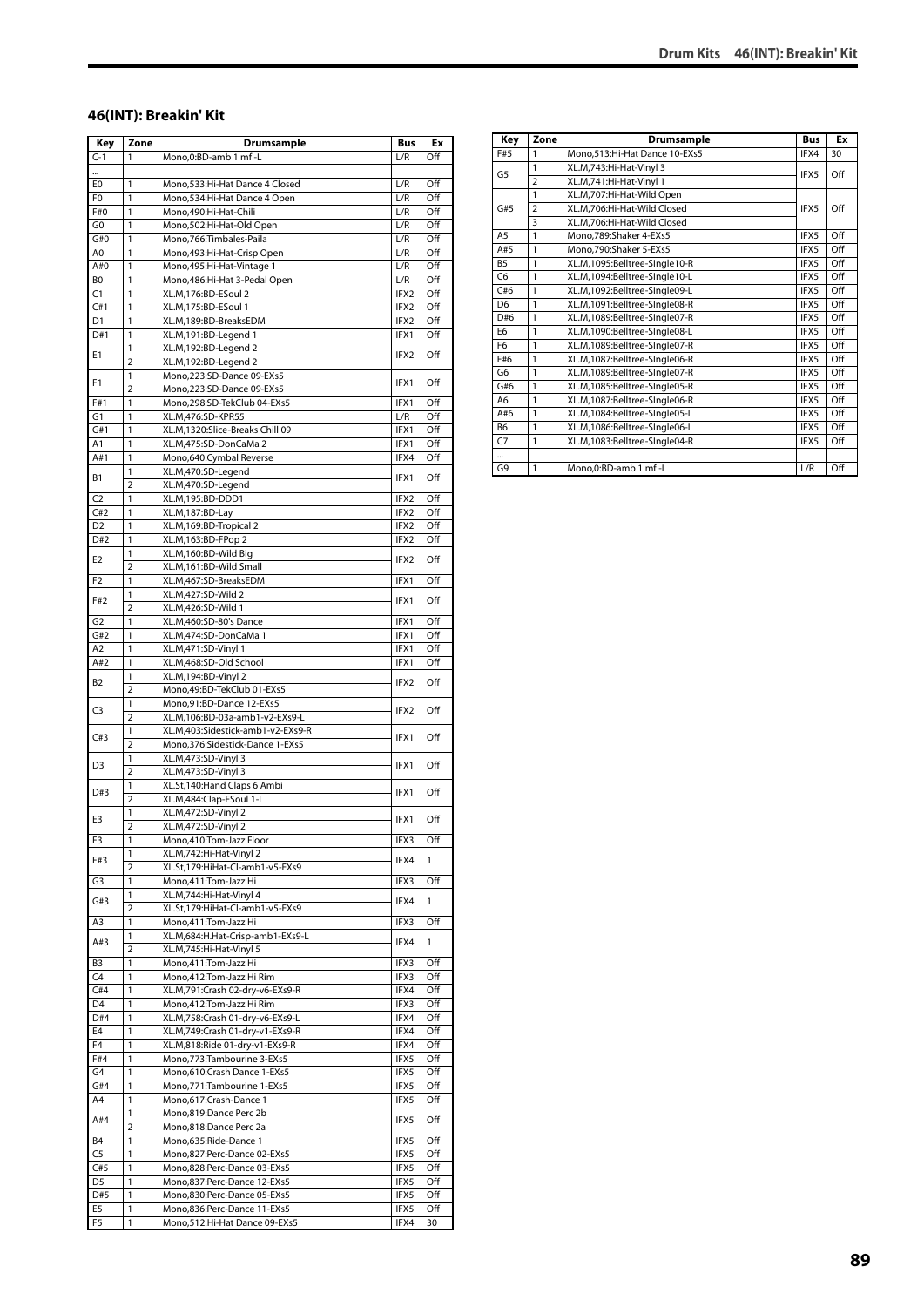#### **46(INT): Breakin' Kit**

| Key            | Zone                | Drumsample                                                 | <b>Bus</b>  | Ex         |
|----------------|---------------------|------------------------------------------------------------|-------------|------------|
| $C-1$          | 1                   | Mono,0:BD-amb 1 mf-L                                       | L/R         | Off        |
|                |                     |                                                            |             |            |
| E0             | 1                   | Mono, 533: Hi-Hat Dance 4 Closed                           | L/R         | Off        |
| F0             | 1                   | Mono, 534: Hi-Hat Dance 4 Open                             | L/R         | Off        |
| F#0            | $\mathbf{1}$        | Mono,490:Hi-Hat-Chili                                      | L/R         | Off        |
| G0             | 1                   | Mono,502:Hi-Hat-Old Open                                   | L/R         | Off        |
| G#0            | 1                   | Mono, 766: Timbales-Paila                                  | L/R         | Off        |
| A0             | 1                   | Mono, 493: Hi-Hat-Crisp Open                               | L/R         | Off        |
| A#0            | 1                   | Mono, 495: Hi-Hat-Vintage 1                                | L/R         | Off        |
| B <sub>0</sub> | 1                   | Mono, 486: Hi-Hat 3-Pedal Open                             | L/R         | Off        |
| C1             | 1                   | XL.M,176:BD-ESoul 2                                        | IFX2        | Off        |
| C#1            | 1                   | XL.M,175:BD-ESoul 1                                        | IFX2        | Off        |
| D1             | 1                   | XL.M,189:BD-BreaksEDM                                      | IFX2        | Off        |
| D#1            | 1                   | XL.M,191:BD-Legend 1                                       | IFX1        | Off        |
| E1             | 1                   | XL.M,192:BD-Legend 2                                       | IFX2        | Off        |
|                | $\overline{2}$      | XL.M,192:BD-Legend 2                                       |             |            |
| F1             | 1                   | Mono,223:SD-Dance 09-EXs5                                  | IFX1        | Off        |
|                | $\overline{2}$      | Mono,223:SD-Dance 09-EXs5                                  |             |            |
| F#1<br>G1      | 1<br>1              | Mono,298:SD-TekClub 04-EXs5<br>XL.M,476:SD-KPR55           | IFX1<br>L/R | Off<br>Off |
| G#1            | 1                   | XL.M,1320:Slice-Breaks Chill 09                            | IFX1        | Off        |
| A1             | 1                   | XL.M,475:SD-DonCaMa 2                                      | IFX1        | Off        |
| A#1            | 1                   | Mono,640:Cymbal Reverse                                    | IFX4        | Off        |
|                | 1                   | XL.M,470:SD-Legend                                         |             |            |
| <b>B1</b>      | $\overline{2}$      | XL.M,470:SD-Legend                                         | IFX1        | Off        |
| C <sub>2</sub> | 1                   | XL.M,195:BD-DDD1                                           | IFX2        | Off        |
| C#2            | 1                   | XL.M,187:BD-Lay                                            | IFX2        | Off        |
| D <sub>2</sub> | 1                   | XL.M,169:BD-Tropical 2                                     | IFX2        | Off        |
| D#2            | 1                   | XL.M, 163: BD-FPop 2                                       | IFX2        | Off        |
|                | 1                   | XL.M,160:BD-Wild Big                                       |             |            |
| E2             | $\overline{2}$      | XL.M,161:BD-Wild Small                                     | IFX2        | Off        |
| F2             | 1                   | XL.M,467:SD-BreaksEDM                                      | IFX1        | Off        |
|                | 1                   | XL.M,427:SD-Wild 2                                         |             |            |
| F#2            | $\overline{2}$      | XL.M,426:SD-Wild 1                                         | IFX1        | Off        |
| G <sub>2</sub> | 1                   | XL.M,460:SD-80's Dance                                     | IFX1        | Off        |
| G#2            | 1                   | XL.M,474:SD-DonCaMa 1                                      | IFX1        | Off        |
| A2             | 1                   | XL.M,471:SD-Vinyl 1                                        | IFX1        | Off        |
| A#2            | 1                   | XL.M,468:SD-Old School                                     | IFX1        | Off        |
| B2             | 1                   | XL.M, 194: BD-Vinyl 2                                      | IFX2        | Off        |
|                | $\overline{2}$      | Mono, 49: BD-TekClub 01-EXs5                               |             |            |
| C3             | 1                   | Mono,91:BD-Dance 12-EXs5                                   | IFX2        | Off        |
|                | $\overline{2}$      | XL.M,106:BD-03a-amb1-v2-EXs9-L                             |             |            |
| C#3            | 1                   | XL.M,403:Sidestick-amb1-v2-EXs9-R                          | IFX1        | Off        |
|                | $\overline{2}$      | Mono, 376: Sidestick-Dance 1-EXs5                          |             |            |
| D3             | 1                   | XL.M,473:SD-Vinyl 3                                        | IFX1        | Off        |
|                | $\overline{2}$      | XL.M,473:SD-Vinyl 3                                        |             |            |
| D#3            | 1                   | XL.St,140:Hand Claps 6 Ambi                                | IFX1        | Off        |
|                | $\overline{2}$      | XL.M,484:Clap-FSoul 1-L                                    |             |            |
| E3             | 1                   | XL.M,472:SD-Vinyl 2                                        | IFX1        | Off        |
|                | $\overline{2}$      | XL.M,472:SD-Vinyl 2                                        |             |            |
| F3             | 1                   | Mono,410:Tom-Jazz Floor                                    | IFX3        | Off        |
| F#3            | 1                   | XL.M,742:Hi-Hat-Vinyl 2                                    | IFX4        | 1          |
|                | $\overline{2}$<br>1 | XL.St,179:HiHat-Cl-amb1-v5-EXs9<br>Mono,411:Tom-Jazz Hi    | IFX3        | Off        |
| G3             |                     |                                                            |             |            |
| G#3            | 1<br>$\overline{2}$ | XL.M,744:Hi-Hat-Vinyl 4<br>XL.St,179:HiHat-Cl-amb1-v5-EXs9 | IFX4        | 1          |
| A3             | 1                   | Mono,411:Tom-Jazz Hi                                       | IFX3        | Off        |
|                | 1                   | XL.M,684:H.Hat-Crisp-amb1-EXs9-L                           |             |            |
| A#3            | $\overline{2}$      | XL.M,745:Hi-Hat-Vinyl 5                                    | IFX4        | 1          |
| B3             | 1                   | Mono, 411: Tom-Jazz Hi                                     | IFX3        | Off        |
| C4             | 1                   | Mono,412:Tom-Jazz Hi Rim                                   | IFX3        | Off        |
| C#4            | 1                   | XL.M,791:Crash 02-dry-v6-EXs9-R                            | IFX4        | Off        |
| D <sub>4</sub> | 1                   | Mono, 412: Tom-Jazz Hi Rim                                 | IFX3        | Off        |
| D#4            | 1                   | XL.M,758:Crash 01-dry-v6-EXs9-L                            | IFX4        | Off        |
| E4             | 1                   | XL.M,749:Crash 01-dry-v1-EXs9-R                            | IFX4        | Off        |
| F4             | 1                   | XL.M,818:Ride 01-dry-v1-EXs9-R                             | IFX4        | Off        |
| F#4            | $\overline{1}$      | Mono, 773: Tambourine 3-EXs5                               | IFX5        | Off        |
| G4             | $\mathbf{1}$        | Mono,610:Crash Dance 1-EXs5                                | IFX5        | Off        |
| G#4            | 1                   | Mono, 771: Tambourine 1-EXs5                               | IFX5        | Off        |
| A4             | 1                   | Mono,617:Crash-Dance 1                                     | IFX5        | Off        |
|                | 1                   | Mono,819:Dance Perc 2b                                     |             |            |
| A#4            | 2                   | Mono,818:Dance Perc 2a                                     | IFX5        | Off        |
| <b>B4</b>      | 1                   | Mono,635:Ride-Dance 1                                      | IFX5        | Off        |
| C <sub>5</sub> | 1                   | Mono,827:Perc-Dance 02-EXs5                                | IFX5        | Off        |
| C#5            | 1                   | Mono,828:Perc-Dance 03-EXs5                                | IFX5        | Off        |
| D5             | 1                   | Mono,837:Perc-Dance 12-EXs5                                | IFX5        | Off        |
| D#5            | 1                   | Mono,830:Perc-Dance 05-EXs5                                | IFX5        | Off        |
| E5             | 1                   | Mono,836:Perc-Dance 11-EXs5                                | IFX5        | Off        |
| F5             | 1                   | Mono,512:Hi-Hat Dance 09-EXs5                              | IFX4        | 30         |
|                |                     |                                                            |             |            |

| Key            | Zone                    | <b>Drumsample</b>               | <b>Bus</b> | Ex  |
|----------------|-------------------------|---------------------------------|------------|-----|
| F#5            | 1                       | Mono, 513: Hi-Hat Dance 10-EXs5 | IFX4       | 30  |
| G <sub>5</sub> | 1                       | XL.M,743:Hi-Hat-Vinyl 3         | IFX5       | Off |
|                | $\overline{2}$          | XL.M.741:Hi-Hat-Vinvl 1         |            |     |
|                | 1                       | XL.M,707:Hi-Hat-Wild Open       |            |     |
| G#5            | $\overline{2}$          | XL.M.706:Hi-Hat-Wild Closed     | IFX5       | Off |
|                | $\overline{\mathbf{3}}$ | XL.M,706:Hi-Hat-Wild Closed     |            |     |
| A <sub>5</sub> | $\mathbf{1}$            | Mono,789:Shaker 4-EXs5          | IFX5       | Off |
| A#5            | $\mathbf{1}$            | Mono,790:Shaker 5-EXs5          | IFX5       | Off |
| <b>B5</b>      | 1                       | XL.M,1095:Belltree-SIngle10-R   | IFX5       | Off |
| C <sub>6</sub> | 1                       | XL.M,1094:Belltree-SIngle10-L   | IFX5       | Off |
| C#6            | 1                       | XL.M,1092:Belltree-SIngle09-L   | IFX5       | Off |
| D <sub>6</sub> | 1                       | XL.M,1091:Belltree-SIngle08-R   | IFX5       | Off |
| D#6            | $\mathbf{1}$            | XL.M,1089:Belltree-SIngle07-R   | IFX5       | Off |
| E <sub>6</sub> | $\mathbf{1}$            | XL.M,1090:Belltree-SIngle08-L   | IFX5       | Off |
| F <sub>6</sub> | $\mathbf{1}$            | XL.M,1089:Belltree-SIngle07-R   | IFX5       | Off |
| F#6            | $\mathbf{1}$            | XL.M,1087:Belltree-SIngle06-R   | IFX5       | Off |
| G <sub>6</sub> | $\mathbf{1}$            | XL.M,1089:Belltree-SIngle07-R   | IFX5       | Off |
| G#6            | $\mathbf{1}$            | XL.M,1085:Belltree-SIngle05-R   | IFX5       | Off |
| A <sub>6</sub> | $\mathbf{1}$            | XL.M,1087:Belltree-SIngle06-R   | IFX5       | Off |
| A#6            | 1                       | XL.M,1084:Belltree-SIngle05-L   | IFX5       | Off |
| B <sub>6</sub> | $\mathbf{1}$            | XL.M,1086:Belltree-SIngle06-L   | IFX5       | Off |
| C <sub>7</sub> | $\mathbf{1}$            | XL.M,1083:Belltree-SIngle04-R   | IFX5       | Off |
|                |                         |                                 |            |     |
| G9             | $\mathbf{1}$            | Mono, 0: BD-amb 1 mf - L        | L/R        | Off |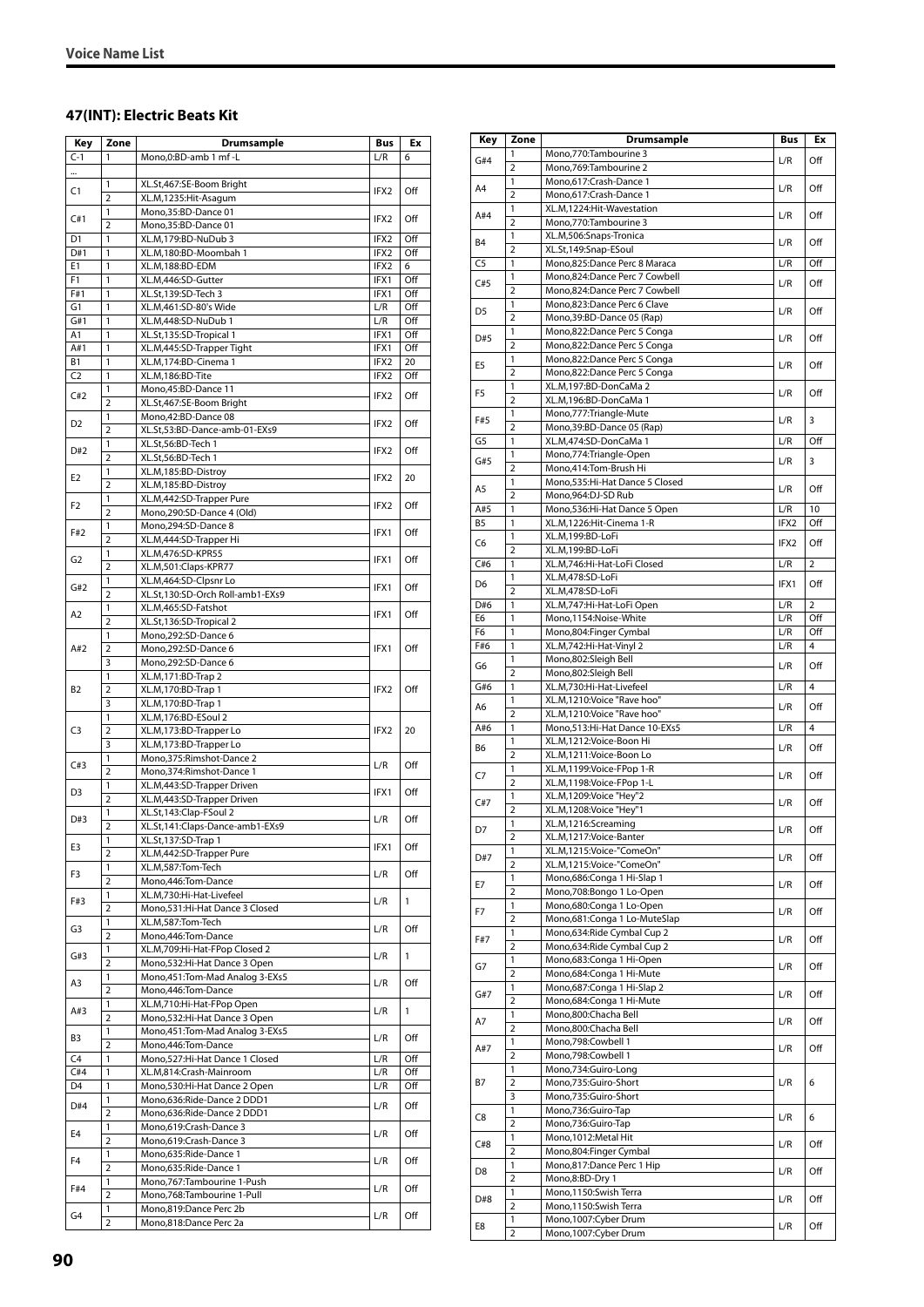#### **47(INT): Electric Beats Kit**

| Key                         | Zone                | Drumsample                                                 | <b>Bus</b>       | Ex         |
|-----------------------------|---------------------|------------------------------------------------------------|------------------|------------|
| $C-1$                       | 1                   | Mono,0:BD-amb 1 mf-L                                       | L/R              | 6          |
| $\ddotsc$                   |                     |                                                            |                  |            |
| C1                          | 1<br>$\overline{2}$ | XL.St,467:SE-Boom Bright                                   | IFX <sub>2</sub> | Off        |
|                             | 1                   | XL.M,1235:Hit-Asagum<br>Mono,35:BD-Dance 01                |                  |            |
| C#1                         | $\overline{2}$      | Mono,35:BD-Dance 01                                        | IFX <sub>2</sub> | Off        |
| D <sub>1</sub>              | 1                   | XL.M,179:BD-NuDub 3                                        | IFX2             | Off        |
| D#1                         | 1                   | XL.M,180:BD-Moombah 1                                      | IFX2             | Off        |
| E1<br>F <sub>1</sub>        | 1                   | XL.M,188:BD-EDM                                            | IFX2             | 6          |
| F#1                         | 1<br>1              | XL.M,446:SD-Gutter<br>XL.St,139:SD-Tech 3                  | IFX1<br>IFX1     | Off<br>Off |
| G1                          | 1                   | XL.M,461:SD-80's Wide                                      | L/R              | Off        |
| G#1                         | 1                   | XL.M,448:SD-NuDub 1                                        | L/R              | Off        |
| A <sub>1</sub>              | 1                   | XL.St,135:SD-Tropical 1                                    | IFX1             | Off        |
| A#1                         | 1                   | XL.M,445:SD-Trapper Tight                                  | IFX1             | Off        |
| <b>B1</b><br>C <sub>2</sub> | 1<br>1              | XL.M,174:BD-Cinema 1<br>XL.M,186:BD-Tite                   | IFX2<br>IFX2     | 20<br>Off  |
|                             | 1                   | Mono,45:BD-Dance 11                                        |                  |            |
| C#2                         | $\overline{2}$      | XL.St,467:SE-Boom Bright                                   | IFX <sub>2</sub> | Off        |
| D <sub>2</sub>              | $\mathbf{1}$        | Mono,42:BD-Dance 08                                        | IFX <sub>2</sub> | Off        |
|                             | $\overline{2}$      | XL.St,53:BD-Dance-amb-01-EXs9                              |                  |            |
| D#2                         | 1                   | XL.St,56:BD-Tech 1                                         | IFX2             | Off        |
|                             | $\overline{2}$<br>1 | XL.St,56:BD-Tech 1<br>XL.M,185:BD-Distroy                  |                  |            |
| E <sub>2</sub>              | $\overline{2}$      | XL.M,185:BD-Distroy                                        | IFX2             | 20         |
|                             | 1                   | XL.M,442:SD-Trapper Pure                                   |                  |            |
| F2                          | $\overline{2}$      | Mono,290:SD-Dance 4 (Old)                                  | IFX <sub>2</sub> | Off        |
| F#2                         | 1                   | Mono,294:SD-Dance 8                                        | IFX1             | Off        |
|                             | $\overline{2}$      | XL.M,444:SD-Trapper Hi<br>XL.M,476:SD-KPR55                |                  |            |
| G <sub>2</sub>              | 1<br>$\overline{2}$ | XL.M,501:Claps-KPR77                                       | IFX1             | Off        |
|                             | 1                   | XL.M,464:SD-Clpsnr Lo                                      |                  |            |
| G#2                         | $\overline{2}$      | XL.St,130:SD-Orch Roll-amb1-EXs9                           | IFX1             | Off        |
| A2                          | 1                   | XL.M,465:SD-Fatshot                                        | IFX1             | Off        |
|                             | $\overline{2}$      | XL.St,136:SD-Tropical 2                                    |                  |            |
| A#2                         | 1<br>$\overline{2}$ | Mono,292:SD-Dance 6<br>Mono,292:SD-Dance 6                 | IFX1             | Off        |
|                             | 3                   | Mono,292:SD-Dance 6                                        |                  |            |
|                             | $\mathbf{1}$        | XL.M,171:BD-Trap 2                                         |                  |            |
| <b>B2</b>                   | $\overline{2}$      | XL.M,170:BD-Trap 1                                         | IFX2             | Off        |
|                             | 3                   | XL.M,170:BD-Trap 1                                         |                  |            |
|                             | 1                   | XL.M,176:BD-ESoul 2                                        |                  |            |
| C3                          | $\overline{2}$<br>3 | XL.M,173:BD-Trapper Lo<br>XL.M,173:BD-Trapper Lo           | IFX <sub>2</sub> | 20         |
|                             | 1                   | Mono, 375: Rimshot-Dance 2                                 |                  |            |
| C#3                         | $\overline{2}$      | Mono.374:Rimshot-Dance 1                                   | L/R              | Off        |
| D <sub>3</sub>              | 1                   | XL.M,443:SD-Trapper Driven                                 | IFX1             | Off        |
|                             | $\overline{2}$      | XL.M,443:SD-Trapper Driven                                 |                  |            |
| D#3                         | 1<br>$\overline{2}$ | XL.St,143:Clap-FSoul 2<br>XL.St,141:Claps-Dance-amb1-EXs9  | L/R              | Off        |
|                             | 1                   | XL.St,137:SD-Trap 1                                        |                  |            |
| E3                          | 2                   | XL.M,442:SD-Trapper Pure                                   | IFX1             | Off        |
| F3                          | 1                   | XL.M,587:Tom-Tech                                          | L/R              | Off        |
|                             | $\overline{2}$      | Mono,446:Tom-Dance                                         |                  |            |
| F#3                         | 1<br>$\overline{2}$ | XL.M,730:Hi-Hat-Livefeel                                   | L/R              | 1          |
|                             | 1                   | Mono,531:Hi-Hat Dance 3 Closed<br>XL.M,587:Tom-Tech        |                  |            |
| G3                          | $\overline{2}$      | Mono,446:Tom-Dance                                         | L/R              | Off        |
| G#3                         | 1                   | XL.M,709:Hi-Hat-FPop Closed 2                              | L/R              | 1          |
|                             | 2                   | Mono,532:Hi-Hat Dance 3 Open                               |                  |            |
| A3                          | 1                   | Mono, 451: Tom-Mad Analog 3-EXs5                           | L/R              | Off        |
|                             | $\overline{2}$<br>1 | Mono,446:Tom-Dance<br>XL.M,710:Hi-Hat-FPop Open            |                  |            |
| A#3                         | 2                   | Mono, 532: Hi-Hat Dance 3 Open                             | L/R              | 1          |
|                             | 1                   | Mono, 451: Tom-Mad Analog 3-EXs5                           |                  |            |
| B3                          | $\overline{2}$      | Mono,446:Tom-Dance                                         | L/R              | Off        |
| C <sub>4</sub>              | 1                   | Mono,527:Hi-Hat Dance 1 Closed                             | L/R              | Off        |
| C#4                         | 1                   | XL.M,814:Crash-Mainroom                                    | L/R              | Off        |
| D4                          | 1<br>1              | Mono,530:Hi-Hat Dance 2 Open<br>Mono,636:Ride-Dance 2 DDD1 | L/R              | Off        |
| D#4                         | $\overline{2}$      | Mono,636:Ride-Dance 2 DDD1                                 | L/R              | Off        |
|                             | 1                   | Mono,619:Crash-Dance 3                                     |                  |            |
| E4                          | $\overline{2}$      | Mono,619:Crash-Dance 3                                     | L/R              | Off        |
| F4                          | 1                   | Mono,635:Ride-Dance 1                                      | L/R              | Off        |
|                             | 2                   | Mono,635:Ride-Dance 1                                      |                  |            |
| F#4                         | 1<br>$\overline{2}$ | Mono,767:Tambourine 1-Push<br>Mono,768:Tambourine 1-Pull   | L/R              | Off        |
|                             | 1                   | Mono,819:Dance Perc 2b                                     |                  |            |
| G4                          | 2                   | Mono,818:Dance Perc 2a                                     | L/R              | Off        |

| Key            | Zone                | Drumsample                                                    | Bus  | Ex             |
|----------------|---------------------|---------------------------------------------------------------|------|----------------|
| G#4            | 1                   | Mono,770:Tambourine 3                                         | L/R  | Off            |
|                | $\overline{2}$      | Mono, 769: Tambourine 2                                       |      |                |
| A4             | 1<br>$\overline{2}$ | Mono,617:Crash-Dance 1<br>Mono,617:Crash-Dance 1              | L/R  | Off            |
|                | 1                   | XL.M,1224:Hit-Wavestation                                     |      |                |
| A#4            | $\overline{2}$      | Mono,770:Tambourine 3                                         | L/R  | Off            |
| B <sub>4</sub> | 1                   | XL.M,506:Snaps-Tronica                                        | L/R  | Off            |
|                | $\overline{2}$      | XL.St,149:Snap-ESoul                                          |      |                |
| C <sub>5</sub> | 1<br>1              | Mono,825:Dance Perc 8 Maraca<br>Mono,824:Dance Perc 7 Cowbell | L/R  | Off            |
| C#5            | $\overline{2}$      | Mono,824:Dance Perc 7 Cowbell                                 | L/R  | Off            |
|                | 1                   | Mono,823:Dance Perc 6 Clave                                   |      |                |
| D <sub>5</sub> | $\overline{2}$      | Mono, 39: BD-Dance 05 (Rap)                                   | L/R  | Off            |
| D#5            | 1                   | Mono,822:Dance Perc 5 Conga                                   | L/R  | Off            |
|                | $\overline{2}$      | Mono,822:Dance Perc 5 Conga                                   |      |                |
| E5             | 1                   | Mono,822:Dance Perc 5 Conga                                   | L/R  | Off            |
|                | 2<br>1              | Mono,822:Dance Perc 5 Conga<br>XL.M,197:BD-DonCaMa 2          |      |                |
| F5             | $\overline{2}$      | XL.M,196:BD-DonCaMa 1                                         | L/R  | Off            |
|                | 1                   | Mono,777: Triangle-Mute                                       |      |                |
| F#5            | $\overline{2}$      | Mono, 39: BD-Dance 05 (Rap)                                   | L/R  | 3              |
| G5             | 1                   | XL.M,474:SD-DonCaMa 1                                         | L/R  | Off            |
| G#5            | 1                   | Mono,774: Triangle-Open                                       | L/R  | 3              |
|                | $\overline{2}$      | Mono,414:Tom-Brush Hi                                         |      |                |
| A5             | 1<br>$\overline{2}$ | Mono,535:Hi-Hat Dance 5 Closed<br>Mono,964:DJ-SD Rub          | L/R  | Off            |
| A#5            | 1                   | Mono,536:Hi-Hat Dance 5 Open                                  | L/R  | 10             |
| B5             | 1                   | XL.M,1226:Hit-Cinema 1-R                                      | IFX2 | Off            |
|                | 1                   | XL.M,199:BD-LoFi                                              |      | Off            |
| C6             | $\overline{2}$      | XL.M,199:BD-LoFi                                              | IFX2 |                |
| C#6            | $\mathbf{1}$        | XL.M,746:Hi-Hat-LoFi Closed                                   | L/R  | $\overline{2}$ |
| D6             | 1                   | XL.M,478:SD-LoFi                                              | IFX1 | Off            |
| D#6            | $\overline{2}$<br>1 | XL.M,478:SD-LoFi<br>XL.M,747:Hi-Hat-LoFi Open                 | L/R  | $\overline{2}$ |
| E6             | 1                   | Mono,1154:Noise-White                                         | L/R  | Off            |
| F6             | 1                   | Mono,804:Finger Cymbal                                        | L/R  | Off            |
| F#6            | 1                   | XL.M,742:Hi-Hat-Vinyl 2                                       | L/R  | 4              |
| G6             | 1                   | Mono,802:Sleigh Bell                                          | L/R  | Off            |
|                | $\overline{2}$      | Mono,802:Sleigh Bell                                          |      |                |
| G#6            | 1                   | XL.M,730:Hi-Hat-Livefeel                                      | L/R  | 4              |
| A6             | 1<br>$\overline{2}$ | XL.M,1210:Voice "Rave hoo"<br>XL.M,1210:Voice "Rave hoo"      | L/R  | Off            |
| A#6            | 1                   | Mono,513:Hi-Hat Dance 10-EXs5                                 | L/R  | $\overline{4}$ |
|                | 1                   | XL.M,1212:Voice-Boon Hi                                       |      |                |
| B6             | $\overline{2}$      | XL.M,1211:Voice-Boon Lo                                       | L/R  | Off            |
| C7             | 1                   | XL.M,1199:Voice-FPop 1-R                                      | L/R  | Off            |
|                | $\overline{2}$      | XL.M,1198:Voice-FPop 1-L                                      |      |                |
| C#7            | 1                   | XL.M,1209:Voice "Hey"2                                        | L/R  | Off            |
|                | 2<br>1              | XL.M,1208:Voice "Hey"1<br>XL.M,1216:Screaming                 |      |                |
| D7             | $\overline{2}$      | XL.M,1217:Voice-Banter                                        | L/R  | Off            |
|                | 1                   | XL.M,1215:Voice-"ComeOn"                                      |      |                |
| D#7            | $\overline{2}$      | XL.M,1215:Voice-"ComeOn"                                      | L/R  | Off            |
| E7             | $\mathbf{1}$        | Mono,686:Conga 1 Hi-Slap 1                                    | L/R  | Off            |
|                | $\overline{2}$      | Mono,708:Bongo 1 Lo-Open                                      |      |                |
| F7             | 1<br>$\overline{2}$ | Mono,680:Conga 1 Lo-Open<br>Mono,681:Conga 1 Lo-MuteSlap      | L/R  | Off            |
|                | 1                   | Mono,634: Ride Cymbal Cup 2                                   |      |                |
| F#7            | $\overline{2}$      | Mono,634: Ride Cymbal Cup 2                                   | L/R  | Off            |
|                | 1                   | Mono,683:Conga 1 Hi-Open                                      |      | Off            |
| G7             | $\overline{2}$      | Mono, 684: Conga 1 Hi-Mute                                    | L/R  |                |
| G#7            | 1                   | Mono,687:Conga 1 Hi-Slap 2                                    | L/R  | Off            |
|                | $\overline{2}$      | Mono, 684: Conga 1 Hi-Mute                                    |      |                |
| A7             | 1<br>$\overline{2}$ | Mono,800:Chacha Bell<br>Mono,800:Chacha Bell                  | L/R  | Off            |
|                | 1                   | Mono,798:Cowbell 1                                            |      |                |
| A#7            | $\overline{2}$      | Mono,798:Cowbell 1                                            | L/R  | Off            |
|                | 1                   | Mono,734:Guiro-Long                                           |      |                |
| Β7             | $\overline{2}$      | Mono,735:Guiro-Short                                          | L/R  | 6              |
|                | 3                   | Mono,735:Guiro-Short                                          |      |                |
| C8             | 1                   | Mono,736:Guiro-Tap                                            | L/R  | 6              |
|                | 2<br>1              | Mono,736:Guiro-Tap<br>Mono, 1012: Metal Hit                   |      |                |
| C#8            | $\overline{2}$      | Mono,804:Finger Cymbal                                        | L/R  | Off            |
|                | 1                   | Mono,817:Dance Perc 1 Hip                                     |      |                |
| D8             | 2                   | Mono,8:BD-Dry 1                                               | L/R  | Off            |
| D#8            | 1                   | Mono,1150:Swish Terra                                         | L/R  | Off            |
|                | $\overline{2}$      | Mono,1150:Swish Terra                                         |      |                |
| E8             | 1                   | Mono,1007:Cyber Drum                                          | L/R  | Off            |
|                | $\overline{2}$      | Mono,1007:Cyber Drum                                          |      |                |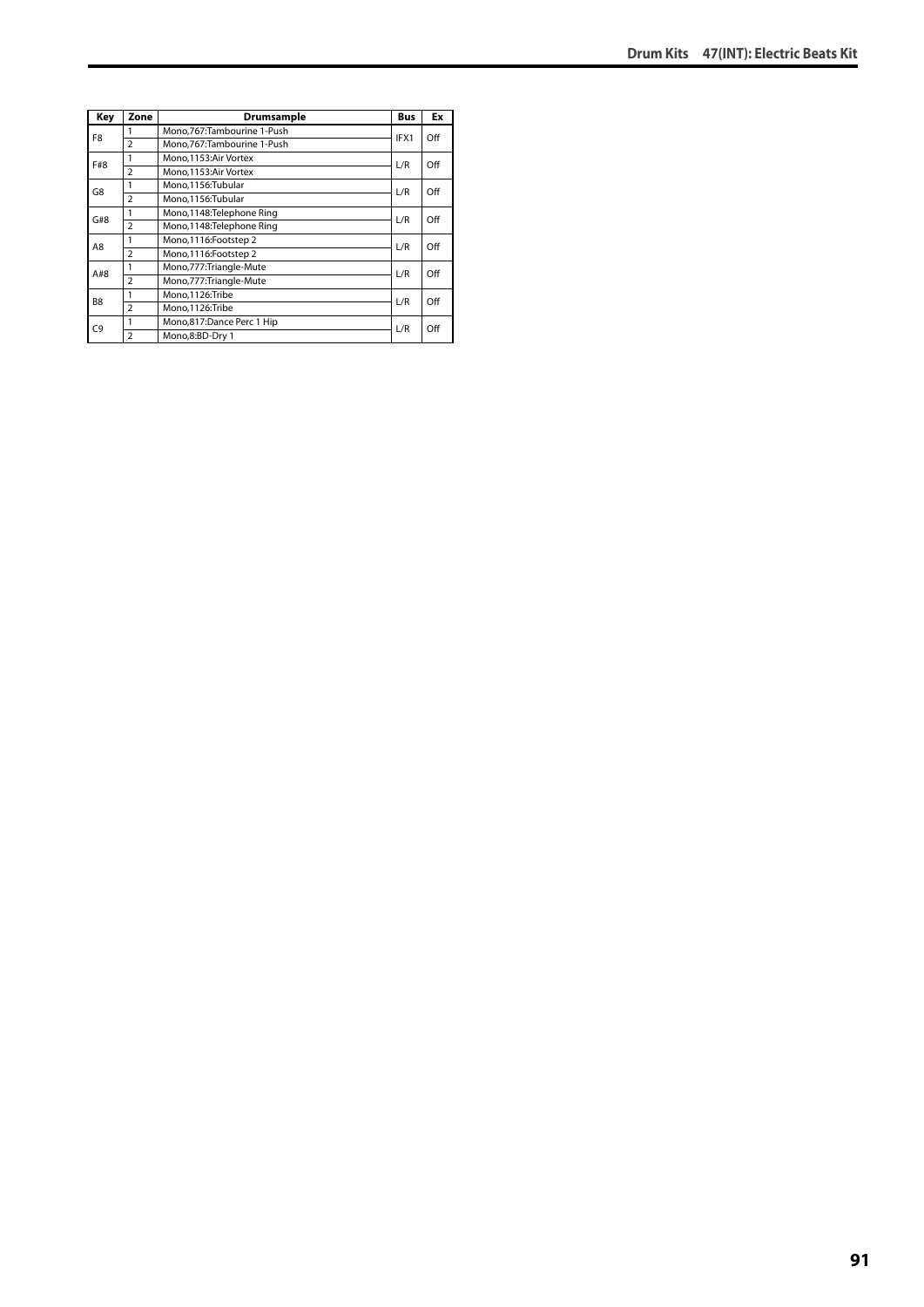| Key            | Zone           | Drumsample                   | <b>Bus</b> | Ex  |
|----------------|----------------|------------------------------|------------|-----|
| F8             |                | Mono, 767: Tambourine 1-Push | IFX1       | Off |
|                | $\overline{2}$ | Mono.767:Tambourine 1-Push   |            |     |
| F#8            | 1              | Mono, 1153: Air Vortex       |            | Off |
|                | $\overline{2}$ | Mono, 1153: Air Vortex       | L/R        |     |
| G8             | 1              | Mono,1156:Tubular            | L/R        | Off |
|                | $\overline{a}$ | Mono.1156:Tubular            |            |     |
| G#8            | 1              | Mono, 1148: Telephone Ring   | L/R        | Off |
|                | $\overline{2}$ | Mono, 1148: Telephone Ring   |            |     |
| A8             | 1              | Mono, 1116: Footstep 2       | L/R        | Off |
|                | $\overline{a}$ | Mono, 1116: Footstep 2       |            |     |
| A#8            | 1              | Mono, 777: Triangle-Mute     | L/R        | Off |
|                | $\overline{a}$ | Mono, 777: Triangle-Mute     |            |     |
| B <sub>8</sub> | 1              | Mono,1126:Tribe              | L/R        | Off |
|                | $\overline{a}$ | Mono, 1126: Tribe            |            |     |
| C9             | 1              | Mono,817:Dance Perc 1 Hip    | L/R        | Off |
|                | $\overline{a}$ | Mono,8:BD-Dry 1              |            |     |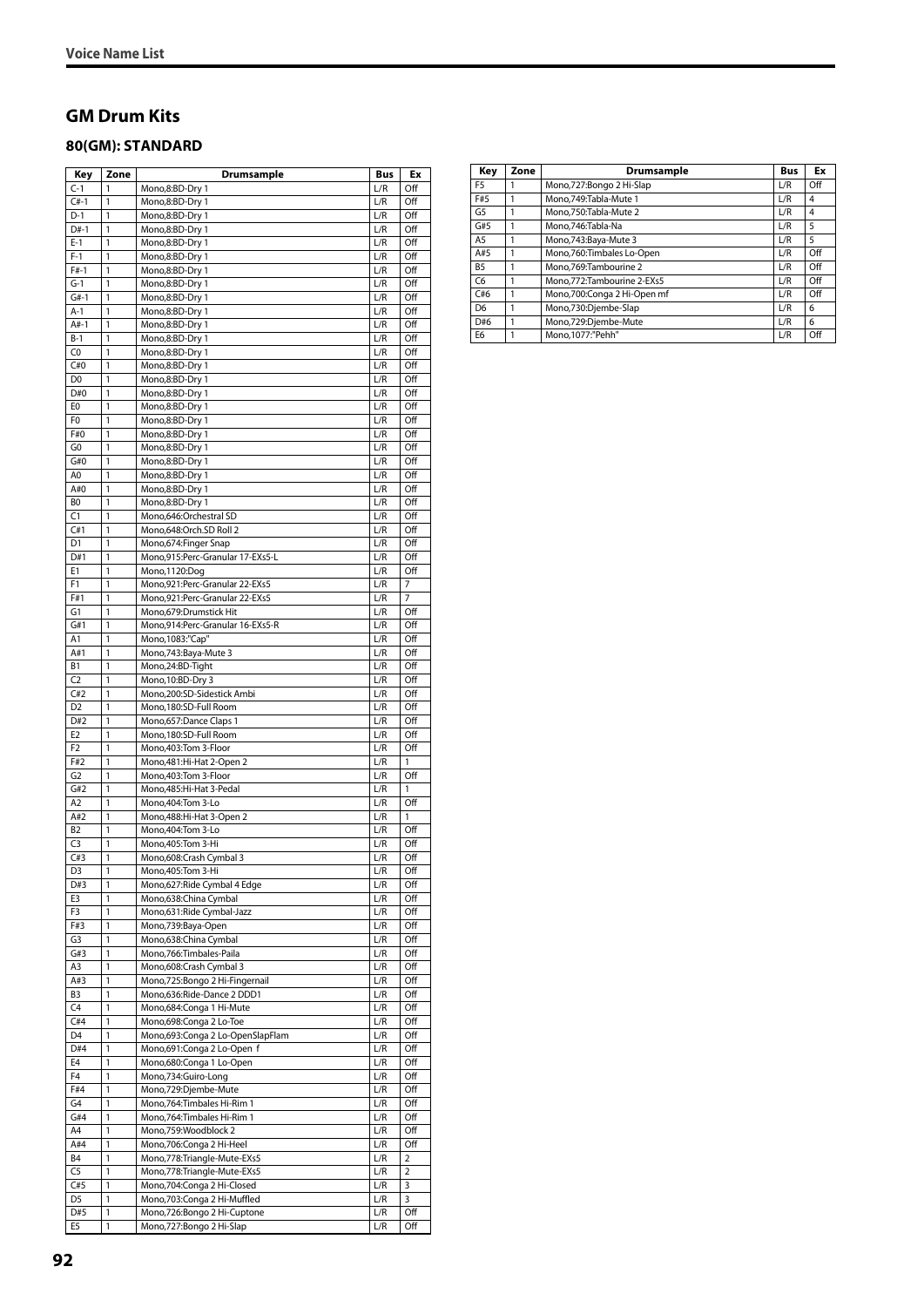### **GM Drum Kits**

 $\overline{a}$ 

#### **80(GM): STANDARD**

| Key            | Zone         | Drumsample                       | Bus | Еx           |
|----------------|--------------|----------------------------------|-----|--------------|
| $C-1$          | 1            | Mono,8:BD-Dry 1                  | L/R | Off          |
| $C#-1$         | 1            | Mono,8:BD-Dry 1                  | L/R | Off          |
| D-1            | 1            | Mono,8:BD-Dry 1                  | L/R | Off          |
| D#-1           | 1            | Mono,8:BD-Dry 1                  | L/R | Off          |
| $E-1$          | 1            | Mono,8:BD-Dry 1                  | L/R | Off          |
|                | $\mathbf{1}$ |                                  | L/R |              |
| $F-1$          |              | Mono,8:BD-Dry 1                  |     | Off          |
| $F#-1$         | 1            | Mono,8:BD-Dry 1                  | L/R | Off          |
| $G-1$          | 1            | Mono,8:BD-Dry 1                  | L/R | Off          |
| $G#-1$         | 1            | Mono,8:BD-Dry 1                  | L/R | Off          |
| A-1            | 1            | Mono,8:BD-Dry 1                  | L/R | Off          |
| $A#-1$         | 1            | Mono,8:BD-Dry 1                  | L/R | Off          |
| B-1            | 1            | Mono,8:BD-Dry 1                  | L/R | Off          |
| C <sub>0</sub> | $\mathbf{1}$ | Mono,8:BD-Dry 1                  | L/R | Off          |
| C#0            | 1            | Mono,8:BD-Dry 1                  | L/R | Off          |
| D <sub>0</sub> | 1            |                                  |     |              |
|                |              | Mono,8:BD-Dry 1                  | L/R | Off          |
| D#O            | 1            | Mono,8:BD-Dry 1                  | L/R | Off          |
| E <sub>0</sub> | 1            | Mono,8:BD-Dry 1                  | L/R | Off          |
| F <sub>0</sub> | 1            | Mono,8:BD-Dry 1                  | L/R | Off          |
| F#0            | 1            | Mono,8:BD-Dry 1                  | L/R | Off          |
| G0             | 1            | Mono,8:BD-Dry 1                  | L/R | Off          |
| G#0            | $\mathbf{1}$ | Mono,8:BD-Dry 1                  | L/R | Off          |
| A0             | 1            | Mono,8:BD-Dry 1                  | L/R | Off          |
| A#0            | 1            |                                  |     | Off          |
|                |              | Mono,8:BD-Dry 1                  | L/R |              |
| BO             | 1            | Mono,8:BD-Dry 1                  | L/R | Off          |
| C1             | 1            | Mono,646:Orchestral SD           | L/R | Off          |
| C#1            | 1            | Mono,648:Orch.SD Roll 2          | L/R | Off          |
| D1             | 1            | Mono,674: Finger Snap            | L/R | Off          |
| D#1            | $\mathbf{1}$ | Mono,915:Perc-Granular 17-EXs5-L | L/R | Off          |
| E1             | 1            | Mono, 1120:Dog                   | L/R | Off          |
| F1             | 1            | Mono,921:Perc-Granular 22-EXs5   | L/R | 7            |
| F#1            |              |                                  |     |              |
|                | 1            | Mono,921:Perc-Granular 22-EXs5   | L/R | 7            |
| G <sub>1</sub> | 1            | Mono,679:Drumstick Hit           | L/R | Off          |
| G#1            | 1            | Mono,914:Perc-Granular 16-EXs5-R | L/R | Off          |
| A1             | 1            | Mono, 1083:"Cap"                 | L/R | Off          |
| A#1            | 1            | Mono, 743: Baya-Mute 3           | L/R | Off          |
| В1             | $\mathbf{1}$ | Mono,24:BD-Tight                 | L/R | Off          |
| C <sub>2</sub> | 1            | Mono, 10:BD-Dry 3                | L/R | Off          |
| C#2            | 1            | Mono,200:SD-Sidestick Ambi       | L/R | Off          |
| D <sub>2</sub> |              |                                  |     |              |
|                | 1            | Mono, 180:SD-Full Room           | L/R | Off          |
| D#2            | 1            | Mono,657:Dance Claps 1           | L/R | Off          |
| E <sub>2</sub> | $\mathbf{1}$ | Mono, 180: SD-Full Room          | L/R | Off          |
| F2             | 1            | Mono, 403: Tom 3-Floor           | L/R | Off          |
| F#2            | 1            | Mono, 481: Hi-Hat 2-Open 2       | L/R | 1            |
| G <sub>2</sub> | 1            | Mono, 403: Tom 3-Floor           | L/R | Off          |
| G#2            | 1            | Mono, 485: Hi-Hat 3-Pedal        | L/R | $\mathbf{1}$ |
| A2             | 1            | Mono, 404: Tom 3-Lo              | L/R | Off          |
| A#2            | 1            | Mono, 488: Hi-Hat 3-Open 2       | L/R | 1            |
|                |              |                                  |     |              |
| B <sub>2</sub> | 1            | Mono, 404: Tom 3-Lo              | L/R | Off          |
| C3             | 1            | Mono, 405: Tom 3-Hi              | L/R | Off          |
| C#3            | 1            | Mono,608:Crash Cymbal 3          | L/R | Off          |
| D3             | 1            | Mono, 405: Tom 3-Hi              | L/R | Off          |
| D#3            | 1            | Mono,627: Ride Cymbal 4 Edge     | L/R | Off          |
| E3             | 1            | Mono,638:China Cymbal            | L/R | Off          |
| F3             | 1            | Mono,631:Ride Cymbal-Jazz        | L/R | Off          |
| F#3            | $\mathbf{1}$ | Mono,739:Baya-Open               | L/R | Off          |
|                | $\mathbf{1}$ | Mono,638:China Cymbal            |     |              |
| G3             |              |                                  | L/R | Off          |
| G#3            | 1            | Mono, 766: Timbales-Paila        | L/R | Off          |
| A3             | $\mathbf{1}$ | Mono,608:Crash Cymbal 3          | L/R | Off          |
| A#3            | 1            | Mono,725:Bongo 2 Hi-Fingernail   | L/R | Off          |
| B <sub>3</sub> | 1            | Mono,636:Ride-Dance 2 DDD1       | L/R | Off          |
| C4             | 1            | Mono,684: Conga 1 Hi-Mute        | L/R | Off          |
| C#4            | $\mathbf{1}$ | Mono,698:Conga 2 Lo-Toe          | L/R | Off          |
| D <sub>4</sub> | 1            | Mono,693:Conga 2 Lo-OpenSlapFlam | L/R | Off          |
| D#4            | 1            | Mono,691:Conga 2 Lo-Open f       | L/R | Off          |
|                |              |                                  |     |              |
| E4             | 1            | Mono,680:Conga 1 Lo-Open         | L/R | Off          |
| F <sub>4</sub> | 1            | Mono,734:Guiro-Long              | L/R | Off          |
| F#4            | $\mathbf{1}$ | Mono,729:Djembe-Mute             | L/R | Off          |
| G4             | 1            | Mono, 764: Timbales Hi-Rim 1     | L/R | Off          |
| G#4            | 1            | Mono, 764: Timbales Hi-Rim 1     | L/R | Off          |
| A4             | $\mathbf{1}$ | Mono,759:Woodblock 2             | L/R | Off          |
| A#4            | $\mathbf{1}$ | Mono,706:Conga 2 Hi-Heel         | L/R | Off          |
| B4             | 1            | Mono, 778: Triangle-Mute-EXs5    | L/R | 2            |
|                |              |                                  |     |              |
| C <sub>5</sub> | $\mathbf{1}$ | Mono, 778: Triangle-Mute-EXs5    | L/R | 2            |
| C#5            | 1            | Mono, 704: Conga 2 Hi-Closed     | L/R | 3            |
| D5             | 1            | Mono,703:Conga 2 Hi-Muffled      | L/R | 3            |
| D#5            | 1            | Mono,726:Bongo 2 Hi-Cuptone      | L/R | Off          |
| E5             | $\mathbf{1}$ | Mono, 727: Bongo 2 Hi-Slap       | L/R | Off          |

| Key            | Zone | Drumsample                  | <b>Bus</b> | Ex             |
|----------------|------|-----------------------------|------------|----------------|
| F <sub>5</sub> |      | Mono,727:Bongo 2 Hi-Slap    | L/R        | Off            |
| F#5            |      | Mono, 749: Tabla-Mute 1     | L/R        | 4              |
| G5             |      | Mono.750:Tabla-Mute 2       | L/R        | $\overline{4}$ |
| G#5            |      | Mono.746:Tabla-Na           | L/R        | 5              |
| A <sub>5</sub> |      | Mono, 743: Baya-Mute 3      | L/R        | 5              |
| A#5            |      | Mono,760:Timbales Lo-Open   | L/R        | Off            |
| <b>B5</b>      |      | Mono.769:Tambourine 2       | L/R        | Off            |
| C6             |      | Mono.772:Tambourine 2-EXs5  | L/R        | Off            |
| C#6            |      | Mono,700:Conga 2 Hi-Open mf | L/R        | Off            |
| D <sub>6</sub> |      | Mono,730:Djembe-Slap        | L/R        | 6              |
| D#6            |      | Mono,729:Djembe-Mute        | L/R        | 6              |
| E <sub>6</sub> |      | Mono.1077:"Pehh"            | L/R        | Off            |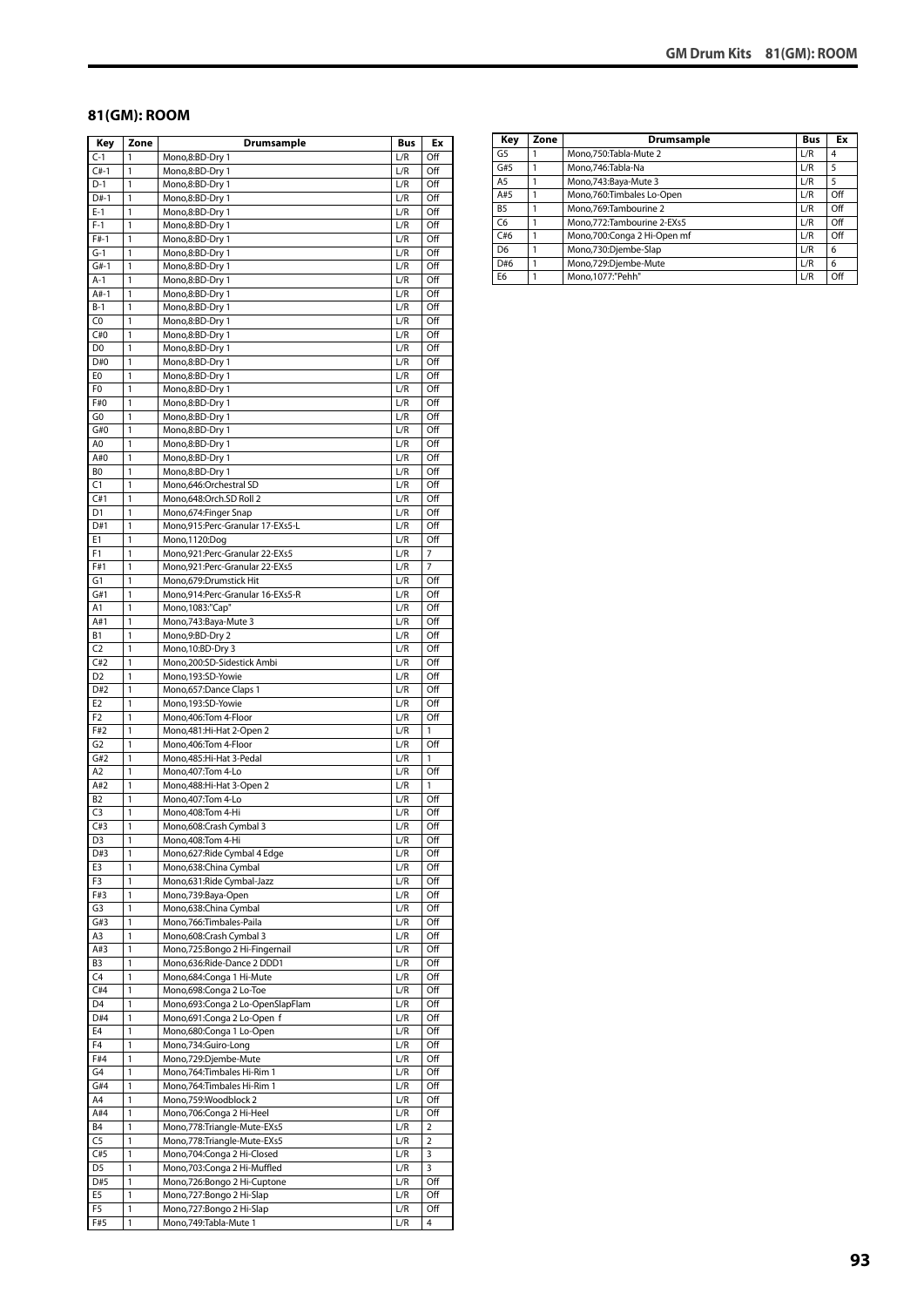#### **81(GM): ROOM**

| Key            | Zone         | <b>Drumsample</b>                | <b>Bus</b> | Ex             |
|----------------|--------------|----------------------------------|------------|----------------|
| $C-1$          | 1            | Mono,8:BD-Dry 1                  | L/R        | Off            |
| $C#-1$         | 1            | Mono,8:BD-Dry 1                  | L/R        | Off            |
| $D-1$          | 1            | Mono,8:BD-Dry 1                  | L/R        | Off            |
| $D#-1$         | 1            | Mono,8:BD-Dry 1                  | L/R        | Off            |
| $E-1$          | 1            | Mono,8:BD-Dry 1                  | L/R        | Off            |
| $F-1$          | 1            | Mono,8:BD-Dry 1                  | L/R        | Off            |
| $F#-1$         | 1            | Mono,8:BD-Dry 1                  | L/R        | Off            |
| $G-1$          | 1            | Mono,8:BD-Dry 1                  | L/R        | Off            |
| $G#-1$         | 1            | Mono,8:BD-Dry 1                  | L/R        | Off            |
| A-1            | 1            | Mono,8:BD-Dry 1                  | L/R        | Off            |
| $A#-1$         | 1            | Mono,8:BD-Dry 1                  | L/R        | Off            |
| $B-1$          | 1            | Mono,8:BD-Dry 1                  | L/R        | Off            |
| C0             | 1            | Mono,8:BD-Dry 1                  |            |                |
| C#0            | $\mathbf{1}$ |                                  | L/R<br>L/R | Off<br>Off     |
|                | 1            | Mono,8:BD-Dry 1                  |            |                |
| D <sub>0</sub> |              | Mono,8:BD-Dry 1                  | L/R        | Off            |
| D#0            | 1            | Mono,8:BD-Dry 1                  | L/R        | Off            |
| E0             | 1            | Mono,8:BD-Dry 1                  | L/R        | Off            |
| F0             | 1            | Mono,8:BD-Dry 1                  | L/R        | Off            |
| F#0            | 1            | Mono,8:BD-Dry 1                  | L/R        | Off            |
| G0             | 1            | Mono,8:BD-Dry 1                  | L/R        | Off            |
| G#0            | 1            | Mono,8:BD-Dry 1                  | L/R        | Off            |
| A0             | 1            | Mono,8:BD-Dry 1                  | L/R        | Off            |
| A#0            | 1            | Mono,8:BD-Dry 1                  | L/R        | Off            |
| BO             | 1            | Mono,8:BD-Dry 1                  | L/R        | Off            |
| C1             | 1            | Mono,646:Orchestral SD           | L/R        | Off            |
| C#1            | 1            | Mono,648:Orch.SD Roll 2          | L/R        | Off            |
| D1             | 1            | Mono, 674: Finger Snap           | L/R        | Off            |
| D#1            | 1            | Mono,915:Perc-Granular 17-EXs5-L | L/R        | Off            |
| Е1             | 1            | Mono,1120:Dog                    | L/R        | Off            |
| F1             | 1            | Mono, 921: Perc-Granular 22-EXs5 | L/R        | 7              |
| F#1            | 1            | Mono,921:Perc-Granular 22-EXs5   | L/R        | 7              |
| G1             | 1            | Mono,679:Drumstick Hit           | L/R        | Off            |
| G#1            | 1            | Mono,914:Perc-Granular 16-EXs5-R | L/R        | Off            |
| Α1             | 1            | Mono, 1083:"Cap"                 | L/R        | Off            |
| A#1            | 1            | Mono, 743: Baya-Mute 3           | L/R        | Off            |
| Β1             | 1            | Mono,9:BD-Dry 2                  | L/R        | Off            |
| C <sub>2</sub> | 1            | Mono, 10:BD-Dry 3                | L/R        | Off            |
| C#2            | 1            | Mono,200:SD-Sidestick Ambi       | L/R        | Off            |
| D <sub>2</sub> | 1            | Mono, 193: SD-Yowie              | L/R        | Off            |
| D#2            | 1            | Mono, 657: Dance Claps 1         | L/R        | Off            |
| E <sub>2</sub> | 1            | Mono,193:SD-Yowie                | L/R        | Off            |
| F <sub>2</sub> | 1            | Mono,406:Tom 4-Floor             | L/R        | Off            |
| F#2            | 1            | Mono, 481: Hi-Hat 2-Open 2       | L/R        | 1              |
| G <sub>2</sub> | 1            | Mono,406:Tom 4-Floor             | L/R        | Off            |
| G#2            | 1            |                                  | L/R        | 1              |
| A <sub>2</sub> | 1            | Mono, 485: Hi-Hat 3-Pedal        |            |                |
|                |              | Mono, 407: Tom 4-Lo              | L/R        | Off            |
| A#2            | 1            | Mono, 488: Hi-Hat 3-Open 2       | L/R        | 1              |
| B <sub>2</sub> | 1            | Mono, 407: Tom 4-Lo              | L/R        | Off            |
| C <sub>3</sub> | 1            | Mono, 408: Tom 4-Hi              | L/R        | Off            |
| C#3            | $\mathbf{1}$ | Mono,608:Crash Cymbal 3          | L/R        | Off            |
| D3             | 1            | Mono, 408: Tom 4-Hi              | L/R        | Off            |
| D#3            | 1            | Mono,627:Ride Cymbal 4 Edge      | L/R        | Off            |
| E3             | 1            | Mono,638:China Cymbal            | L/R        | Off            |
| F3             | 1            | Mono,631:Ride Cymbal-Jazz        | L/R        | Off            |
| F#3            | 1            | Mono,739:Baya-Open               | L/R        | Off            |
| G3             | 1            | Mono,638:China Cymbal            | L/R        | Off            |
| G#3            | 1            | Mono,766:Timbales-Paila          | L/R        | Off            |
| A3             | 1            | Mono,608:Crash Cymbal 3          | L/R        | Off            |
| A#3            | 1            | Mono,725:Bongo 2 Hi-Fingernail   | L/R        | Off            |
| B <sub>3</sub> | $\mathbf{1}$ | Mono,636:Ride-Dance 2 DDD1       | L/R        | Off            |
| C <sub>4</sub> | 1            | Mono,684:Conga 1 Hi-Mute         | L/R        | Off            |
| C#4            | 1            | Mono,698:Conga 2 Lo-Toe          | L/R        | Off            |
| D <sub>4</sub> | 1            | Mono,693:Conga 2 Lo-OpenSlapFlam | L/R        | Off            |
| D#4            | 1            | Mono,691:Conga 2 Lo-Open f       | L/R        | Off            |
| E4             | 1            | Mono,680:Conga 1 Lo-Open         | L/R        | Off            |
| F <sub>4</sub> | 1            | Mono,734:Guiro-Long              | L/R        | Off            |
| F#4            | 1            | Mono,729:Djembe-Mute             | L/R        | Off            |
| G4             | $\mathbf{1}$ | Mono, 764: Timbales Hi-Rim 1     | L/R        | Off            |
| G#4            | 1            | Mono, 764: Timbales Hi-Rim 1     | L/R        | Off            |
| A4             | 1            | Mono,759:Woodblock 2             | L/R        | Off            |
| A#4            | 1            | Mono,706:Conga 2 Hi-Heel         | L/R        | Off            |
| <b>B4</b>      | 1            | Mono,778:Triangle-Mute-EXs5      | L/R        | $\overline{2}$ |
| C <sub>5</sub> | 1            | Mono,778:Triangle-Mute-EXs5      | L/R        | $\overline{2}$ |
| C#5            | 1            | Mono,704:Conga 2 Hi-Closed       | L/R        | 3              |
| D <sub>5</sub> | $\mathbf{1}$ | Mono,703:Conga 2 Hi-Muffled      | L/R        | 3              |
| D#5            | 1            | Mono,726:Bongo 2 Hi-Cuptone      | L/R        | Off            |
| E5             | 1            | Mono,727:Bongo 2 Hi-Slap         | L/R        | Off            |
| F5             | 1            | Mono,727:Bongo 2 Hi-Slap         | L/R        | Off            |
| F#5            | 1            | Mono, 749: Tabla-Mute 1          | L/R        | 4              |
|                |              |                                  |            |                |

| Key            | Zone | Drumsample                  | <b>Bus</b> | Ex  |
|----------------|------|-----------------------------|------------|-----|
| G5             |      | Mono,750:Tabla-Mute 2       | L/R        | 4   |
| G#5            |      | Mono, 746: Tabla-Na         | L/R        | 5   |
| A <sub>5</sub> |      | Mono, 743: Baya-Mute 3      | L/R        | 5   |
| A#5            |      | Mono,760:Timbales Lo-Open   | L/R        | Off |
| B <sub>5</sub> |      | Mono.769:Tambourine 2       | L/R        | Off |
| C <sub>6</sub> |      | Mono,772:Tambourine 2-EXs5  | L/R        | Off |
| C#6            |      | Mono,700:Conga 2 Hi-Open mf | L/R        | Off |
| D <sub>6</sub> |      | Mono,730:Djembe-Slap        | L/R        | 6   |
| D#6            |      | Mono,729:Djembe-Mute        | L/R        | 6   |
| E <sub>6</sub> |      | Mono, 1077:"Pehh"           | L/R        | Off |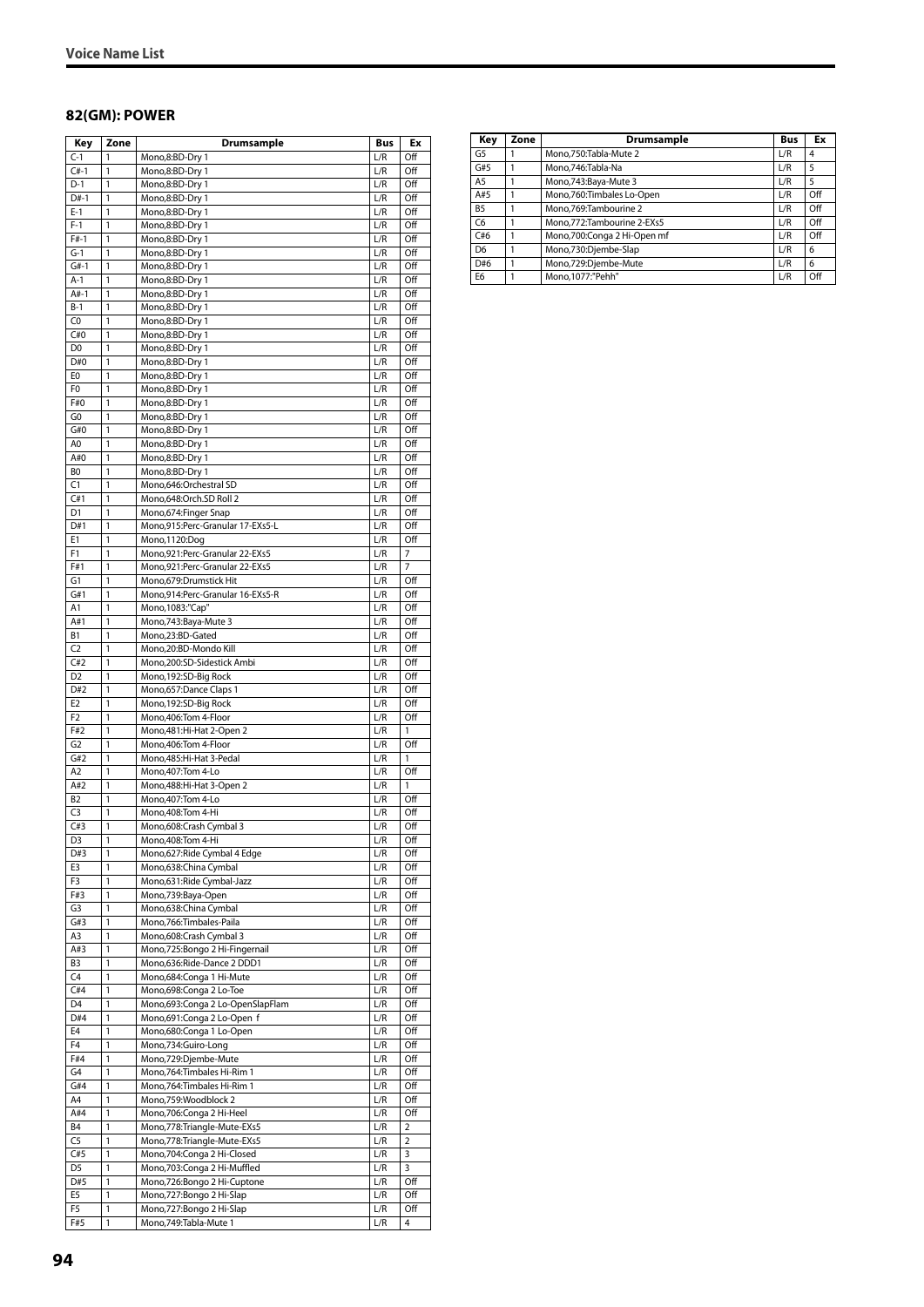#### **82(GM): POWER**

| Key                              | Zone         | Drumsample                                                   | Bus        | Еx             |
|----------------------------------|--------------|--------------------------------------------------------------|------------|----------------|
| $C-1$                            | 1            | Mono,8:BD-Dry 1                                              | L/R        | Off            |
| $C#-1$                           | 1            | Mono,8:BD-Dry 1                                              | L/R        | Off            |
| $D-1$                            | 1            | Mono,8:BD-Dry 1                                              | L/R        | Off            |
| $D#-1$                           | 1            | Mono,8:BD-Dry 1                                              | L/R        | Off            |
| $E-1$                            | 1            | Mono,8:BD-Dry 1                                              | L/R        | Off            |
| $F-1$                            | 1<br>1       | Mono,8:BD-Dry 1                                              | L/R        | Off            |
| $F#-1$<br>$G-1$                  | 1            | Mono,8:BD-Dry 1<br>Mono,8:BD-Dry 1                           | L/R<br>L/R | Off<br>Off     |
| $G#-1$                           | 1            | Mono,8:BD-Dry 1                                              | L/R        | Off            |
| $A-1$                            | 1            | Mono,8:BD-Dry 1                                              | L/R        | Off            |
| $A#-1$                           | 1            | Mono,8:BD-Dry 1                                              | L/R        | Off            |
| $B-1$                            | 1            | Mono,8:BD-Dry 1                                              | L/R        | Off            |
| C <sub>0</sub>                   | 1            | Mono,8:BD-Dry 1                                              | L/R        | Off            |
| C#0                              | 1            | Mono,8:BD-Dry 1                                              | L/R        | Off            |
| D <sub>0</sub>                   | 1            | Mono,8:BD-Dry 1                                              | L/R        | Off            |
| D#0                              | 1            | Mono,8:BD-Dry 1                                              | L/R        | Off            |
| E0<br>F <sub>0</sub>             | 1<br>1       | Mono,8:BD-Dry 1<br>Mono,8:BD-Dry 1                           | L/R<br>L/R | Off<br>Off     |
| F#0                              | 1            | Mono,8:BD-Dry 1                                              | L/R        | Off            |
| G0                               | 1            | Mono,8:BD-Dry 1                                              | L/R        | Off            |
| G#0                              | 1            | Mono,8:BD-Dry 1                                              | L/R        | Off            |
| A <sub>0</sub>                   | 1            | Mono,8:BD-Dry 1                                              | L/R        | Off            |
| A#0                              | 1            | Mono,8:BD-Dry 1                                              | L/R        | Off            |
| B <sub>0</sub>                   | 1            | Mono,8:BD-Dry 1                                              | L/R        | Off            |
| C <sub>1</sub>                   | 1            | Mono,646:Orchestral SD                                       | L/R        | Off            |
| C#1<br>D <sub>1</sub>            | 1<br>1       | Mono,648:Orch.SD Roll 2                                      | L/R<br>L/R | Off<br>Off     |
| D#1                              |              | Mono, 674: Finger Snap<br>Mono,915:Perc-Granular 17-EXs5-L   | L/R        | Off            |
| E1                               | 1<br>1       | Mono, 1120:Dog                                               | L/R        | Off            |
| F <sub>1</sub>                   | 1            | Mono,921:Perc-Granular 22-EXs5                               | L/R        | 7              |
| F#1                              | 1            | Mono.921:Perc-Granular 22-EXs5                               | L/R        | 7              |
| G1                               | 1            | Mono,679:Drumstick Hit                                       | L/R        | Off            |
| G#1                              | 1            | Mono,914:Perc-Granular 16-EXs5-R                             | L/R        | Off            |
| A1                               | 1            | Mono, 1083:"Cap"                                             | L/R        | Off            |
| A#1                              | 1            | Mono, 743: Baya-Mute 3                                       | L/R        | Off            |
| <b>B1</b>                        | 1            | Mono,23:BD-Gated                                             | L/R        | Off            |
| C <sub>2</sub>                   | 1            | Mono,20:BD-Mondo Kill                                        | L/R        | Off            |
| C#2<br>D <sub>2</sub>            | 1<br>1       | Mono,200:SD-Sidestick Ambi<br>Mono, 192: SD-Big Rock         | L/R<br>L/R | Off<br>Off     |
| D#2                              | 1            | Mono, 657: Dance Claps 1                                     | L/R        | Off            |
| E <sub>2</sub>                   | 1            | Mono, 192: SD-Big Rock                                       | L/R        | Off            |
| F <sub>2</sub>                   | 1            | Mono, 406: Tom 4-Floor                                       | L/R        | Off            |
| F#2                              | 1            | Mono, 481: Hi-Hat 2-Open 2                                   | L/R        | 1              |
| G <sub>2</sub>                   | 1            | Mono,406:Tom 4-Floor                                         | L/R        | Off            |
| G#2                              | 1            | Mono, 485: Hi-Hat 3-Pedal                                    | L/R        | 1              |
| A2                               | 1            | Mono, 407: Tom 4-Lo                                          | L/R        | Off            |
| A#2                              | 1            | Mono, 488: Hi-Hat 3-Open 2                                   | L/R        | 1              |
| B <sub>2</sub><br>C <sub>3</sub> | 1<br>1       | Mono, 407: Tom 4-Lo<br>Mono, 408: Tom 4-Hi                   | L/R<br>L/R | Off<br>Off     |
| C#3                              | $\mathbf{1}$ | Mono, 608: Crash Cymbal 3                                    | L/R        | Off            |
| D <sub>3</sub>                   | 1            | Mono, 408: Tom 4-Hi                                          | L/R        | Off            |
| D#3                              | 1            | Mono,627:Ride Cymbal 4 Edge                                  | L/R        | Off            |
| E3                               | 1            | Mono,638:China Cymbal                                        | L/R        | Off            |
| F3                               | 1            | Mono,631:Ride Cymbal-Jazz                                    | L/R        | Off            |
| F#3                              | 1            | Mono,739:Baya-Open                                           | L/R        | Off            |
| G3                               | $\mathbf{1}$ | Mono,638:China Cymbal                                        | L/R        | Off            |
| G#3<br>A3                        | 1<br>1       | Mono.766:Timbales-Paila                                      | L/R        | Off            |
| A#3                              | 1            | Mono,608:Crash Cymbal 3<br>Mono,725:Bongo 2 Hi-Fingernail    | L/R<br>L/R | Off<br>Off     |
| B <sub>3</sub>                   | 1            | Mono,636:Ride-Dance 2 DDD1                                   | L/R        | Off            |
| C4                               | 1            | Mono,684:Conga 1 Hi-Mute                                     | L/R        | Off            |
| C#4                              | 1            | Mono,698:Conga 2 Lo-Toe                                      | L/R        | Off            |
| D <sub>4</sub>                   | 1            | Mono,693:Conga 2 Lo-OpenSlapFlam                             | L/R        | Off            |
| D#4                              | $\mathbf{1}$ | Mono,691:Conga 2 Lo-Open f                                   | L/R        | Off            |
| E4                               | 1            | Mono,680:Conga 1 Lo-Open                                     | L/R        | Off            |
| F <sub>4</sub>                   | 1            | Mono,734:Guiro-Long                                          | L/R        | Off            |
| F#4<br>G <sub>4</sub>            | 1<br>1       | Mono,729:Djembe-Mute                                         | L/R        | Off            |
| G#4                              | 1            | Mono, 764: Timbales Hi-Rim 1<br>Mono, 764: Timbales Hi-Rim 1 | L/R<br>L/R | Off<br>Off     |
| A4                               | 1            | Mono,759:Woodblock 2                                         | L/R        | Off            |
| A#4                              | $\mathbf{1}$ | Mono,706:Conga 2 Hi-Heel                                     | L/R        | Off            |
| <b>B4</b>                        | 1            | Mono, 778: Triangle-Mute-EXs5                                | L/R        | $\overline{2}$ |
| C <sub>5</sub>                   | 1            | Mono, 778: Triangle-Mute-EXs5                                | L/R        | $\overline{2}$ |
| C#5                              | 1            | Mono, 704: Conga 2 Hi-Closed                                 | L/R        | 3              |
| D <sub>5</sub>                   | 1            | Mono, 703: Conga 2 Hi-Muffled                                | L/R        | 3              |
| D#5                              | 1            | Mono,726:Bongo 2 Hi-Cuptone                                  | L/R        | Off            |
| E <sub>5</sub>                   | 1            | Mono, 727: Bongo 2 Hi-Slap                                   | L/R        | Off            |
| F5                               | 1            | Mono, 727: Bongo 2 Hi-Slap                                   | L/R        | Off            |
| F#5                              | 1            | Mono, 749: Tabla-Mute 1                                      | L/R        | 4              |

| Key            | Zone | Drumsample                   | <b>Bus</b> | Ex  |
|----------------|------|------------------------------|------------|-----|
| G <sub>5</sub> |      | Mono,750:Tabla-Mute 2        | L/R        | 4   |
| G#5            |      | Mono,746:Tabla-Na            | L/R        | 5   |
| A <sub>5</sub> |      | Mono, 743: Baya-Mute 3       | L/R        | 5   |
| A#5            |      | Mono,760:Timbales Lo-Open    | L/R        | Off |
| <b>B5</b>      |      | Mono,769:Tambourine 2        | L/R        | Off |
| C <sub>6</sub> |      | Mono, 772: Tambourine 2-EXs5 | L/R        | Off |
| C#6            |      | Mono,700:Conga 2 Hi-Open mf  | L/R        | Off |
| D <sub>6</sub> |      | Mono,730:Djembe-Slap         | L/R        | 6   |
| D#6            |      | Mono,729:Djembe-Mute         | L/R        | 6   |
| E <sub>6</sub> |      | Mono.1077:"Pehh"             | L/R        | Off |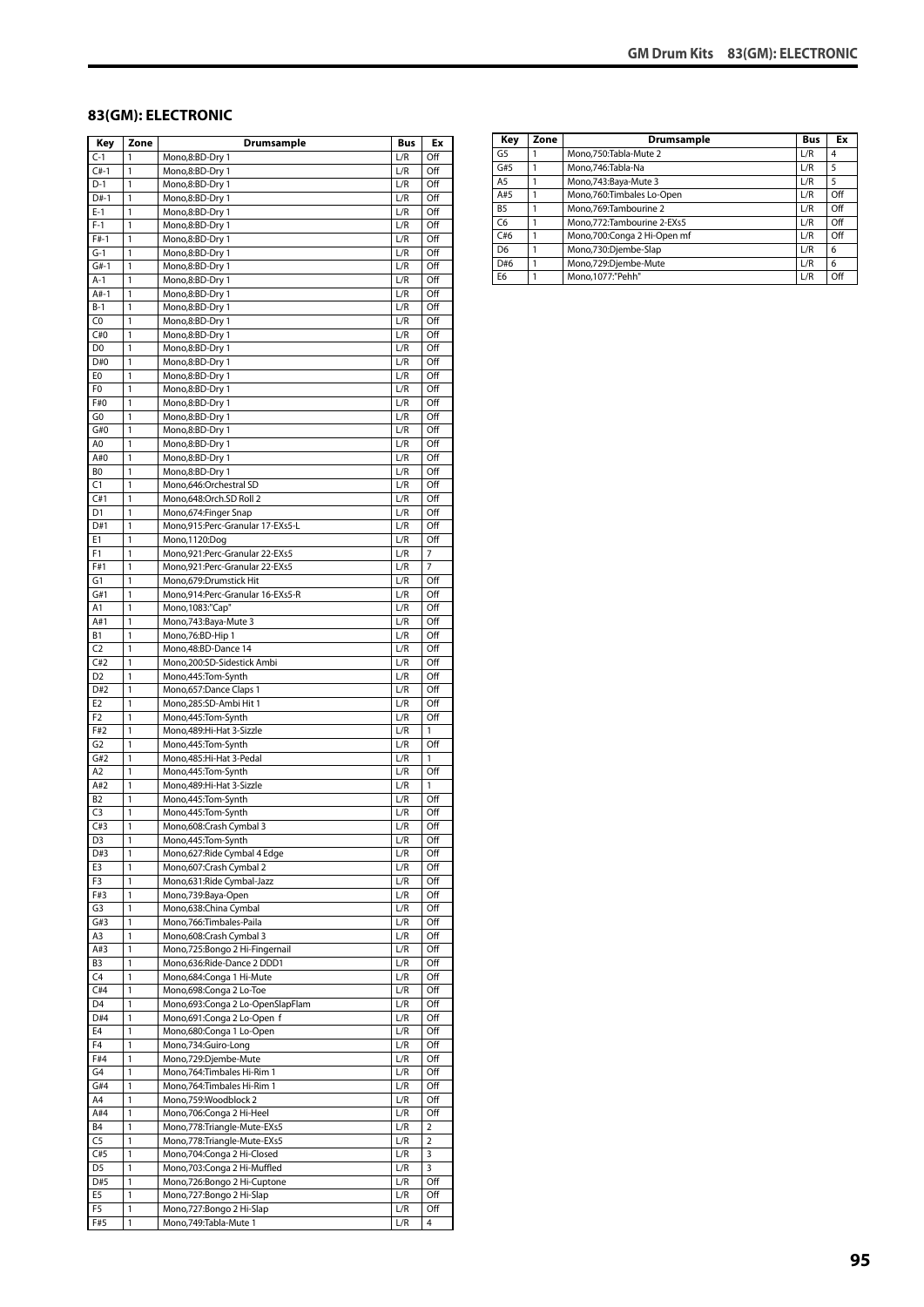#### **83(GM): ELECTRONIC**

| Key                              | Zone         | Drumsample                                                 | <b>Bus</b> | Ex         |
|----------------------------------|--------------|------------------------------------------------------------|------------|------------|
| $C-1$                            | 1            | Mono,8:BD-Dry 1                                            | L/R        | Off        |
| $C#-1$                           | 1            | Mono,8:BD-Dry 1                                            | L/R        | Off        |
| $D-1$                            | 1            | Mono,8:BD-Dry 1                                            | L/R        | Off        |
| D#-1                             | 1            | Mono,8:BD-Dry 1                                            | L/R        | Off        |
| $E-1$                            | 1            | Mono,8:BD-Dry 1                                            | L/R        | Off        |
| $F-1$                            | 1            | Mono,8:BD-Dry 1                                            | L/R        | Off        |
| $F#-1$<br>G-1                    | 1<br>1       | Mono,8:BD-Dry 1<br>Mono,8:BD-Dry 1                         | L/R<br>L/R | Off<br>Off |
| $G#-1$                           | 1            | Mono,8:BD-Dry 1                                            | L/R        | Off        |
| $A-1$                            | 1            | Mono,8:BD-Dry 1                                            | L/R        | Off        |
| $A#-1$                           | 1            | Mono,8:BD-Dry 1                                            | L/R        | Off        |
| $B-1$                            | 1            | Mono,8:BD-Dry 1                                            | L/R        | Off        |
| C <sub>0</sub>                   | 1            | Mono,8:BD-Dry 1                                            | L/R        | Off        |
| C#0                              | 1            | Mono,8:BD-Dry 1                                            | L/R        | Off        |
| D <sub>0</sub>                   | 1            | Mono,8:BD-Dry 1                                            | L/R        | Off        |
| D#0                              | $\mathbf{1}$ | Mono,8:BD-Dry 1                                            | L/R        | Off        |
| E0                               | 1            | Mono,8:BD-Dry 1                                            | L/R        | Off        |
| F0                               | 1            | Mono,8:BD-Dry 1                                            | L/R        | Off        |
| F#0                              | 1            | Mono,8:BD-Dry 1                                            | L/R        | Off        |
| G <sub>0</sub>                   | 1            | Mono,8:BD-Dry 1                                            | L/R        | Off        |
| G#0                              | 1            | Mono,8:BD-Dry 1                                            | L/R        | Off        |
| A0                               | 1            | Mono,8:BD-Dry 1                                            | L/R        | Off        |
| A#0<br>B <sub>0</sub>            | 1<br>1       | Mono,8:BD-Dry 1                                            | L/R        | Off        |
| C1                               | 1            | Mono,8:BD-Dry 1<br>Mono,646:Orchestral SD                  | L/R<br>L/R | Off<br>Off |
| C#1                              | 1            | Mono,648:Orch.SD Roll 2                                    | L/R        | Off        |
| D <sub>1</sub>                   | 1            | Mono, 674: Finger Snap                                     | L/R        | Off        |
| D#1                              | 1            | Mono,915:Perc-Granular 17-EXs5-L                           | L/R        | Off        |
| E1                               | 1            | Mono,1120:Dog                                              | L/R        | Off        |
| F1                               | 1            | Mono,921:Perc-Granular 22-EXs5                             | L/R        | 7          |
| F#1                              | $\mathbf{1}$ | Mono,921:Perc-Granular 22-EXs5                             | L/R        | 7          |
| G1                               | 1            | Mono,679:Drumstick Hit                                     | L/R        | Off        |
| G#1                              | 1            | Mono,914:Perc-Granular 16-EXs5-R                           | L/R        | Off        |
| A1                               | 1            | Mono, 1083: "Cap"                                          | L/R        | Off        |
| A#1                              | 1            | Mono,743:Baya-Mute 3                                       | L/R        | Off        |
| В1                               | 1            | Mono, 76: BD-Hip 1                                         | L/R        | Off        |
| C2                               | 1            | Mono, 48: BD-Dance 14                                      | L/R        | Off        |
| C#2                              | 1            | Mono,200:SD-Sidestick Ambi                                 | L/R        | Off        |
| D <sub>2</sub>                   | 1            | Mono,445:Tom-Synth                                         | L/R        | Off        |
| D#2                              | 1            | Mono, 657: Dance Claps 1                                   | L/R        | Off        |
| E <sub>2</sub><br>F <sub>2</sub> | 1<br>1       | Mono,285:SD-Ambi Hit 1                                     | L/R<br>L/R | Off<br>Off |
| F#2                              | 1            | Mono,445:Tom-Synth<br>Mono, 489: Hi-Hat 3-Sizzle           | L/R        | 1          |
| G <sub>2</sub>                   | 1            | Mono,445:Tom-Synth                                         | L/R        | Off        |
| G#2                              | 1            | Mono, 485: Hi-Hat 3-Pedal                                  | L/R        | 1          |
| A <sub>2</sub>                   | 1            | Mono,445:Tom-Synth                                         | L/R        | Off        |
| A#2                              | $\mathbf{1}$ | Mono, 489: Hi-Hat 3-Sizzle                                 | L/R        | 1          |
| <b>B2</b>                        | 1            | Mono, 445: Tom-Synth                                       | L/R        | Off        |
| C <sub>3</sub>                   | 1            | Mono, 445: Tom-Synth                                       | L/R        | Off        |
| C#3                              | 1            | Mono,608:Crash Cymbal 3                                    | L/R        | Off        |
| D3                               | 1            | Mono,445:Tom-Synth                                         | L/R        | Off        |
| D#3                              | 1            | Mono,627: Ride Cymbal 4 Edge                               | L/R        | Off        |
| E3                               | 1            | Mono,607:Crash Cymbal 2                                    | L/R        | Off        |
| F3                               | 1            | Mono,631:Ride Cymbal-Jazz                                  | L/R        | Off        |
| F#3                              | 1            | Mono,739:Baya-Open                                         | L/R        | Off        |
| G3                               | 1            | Mono,638:China Cymbal                                      | L/R        | Off        |
| G#3<br>A3                        | 1<br>1       | Mono,766:Timbales-Paila<br>Mono,608:Crash Cymbal 3         | L/R<br>L/R | Off<br>Off |
| A#3                              | 1            | Mono,725:Bongo 2 Hi-Fingernail                             | L/R        | Off        |
| B3                               | 1            | Mono,636:Ride-Dance 2 DDD1                                 | L/R        | Off        |
| C4                               | 1            | Mono, 684: Conga 1 Hi-Mute                                 | L/R        | Off        |
| C#4                              | $\mathbf{1}$ | Mono,698:Conga 2 Lo-Toe                                    | L/R        | Off        |
| D <sub>4</sub>                   | 1            | Mono,693:Conga 2 Lo-OpenSlapFlam                           | L/R        | Off        |
| D#4                              | 1            | Mono,691:Conga 2 Lo-Open f                                 | L/R        | Off        |
| E4                               | 1            | Mono,680:Conga 1 Lo-Open                                   | L/R        | Off        |
| F <sub>4</sub>                   | 1            | Mono,734:Guiro-Long                                        | L/R        | Off        |
| F#4                              | 1            | Mono,729:Djembe-Mute                                       | L/R        | Off        |
| G4                               | 1            | Mono, 764: Timbales Hi-Rim 1                               | L/R        | Off        |
| G#4                              | 1            | Mono, 764: Timbales Hi-Rim 1                               | L/R        | Off        |
| A4                               | 1            | Mono,759:Woodblock 2                                       | L/R        | Off        |
| A#4                              | 1            | Mono,706:Conga 2 Hi-Heel                                   | L/R        | Off        |
| <b>B4</b>                        | 1            | Mono,778:Triangle-Mute-EXs5                                | L/R        | 2          |
| C <sub>5</sub>                   | 1            | Mono,778:Triangle-Mute-EXs5                                | L/R        | 2          |
| C#5<br>D <sub>5</sub>            | 1<br>1       | Mono, 704: Conga 2 Hi-Closed                               | L/R        | 3          |
| D#5                              | 1            | Mono,703:Conga 2 Hi-Muffled<br>Mono,726:Bongo 2 Hi-Cuptone | L/R<br>L/R | 3<br>Off   |
| E5                               | 1            | Mono,727:Bongo 2 Hi-Slap                                   | L/R        | Off        |
| F5                               | 1            | Mono,727:Bongo 2 Hi-Slap                                   | L/R        | Off        |
| F#5                              | 1            | Mono,749:Tabla-Mute 1                                      | L/R        | 4          |
|                                  |              |                                                            |            |            |

| Key            | Zone | Drumsample                  | <b>Bus</b> | Ex  |
|----------------|------|-----------------------------|------------|-----|
| G5             |      | Mono.750:Tabla-Mute 2       | L/R        | 4   |
| G#5            |      | Mono, 746: Tabla-Na         | L/R        | 5   |
| A <sub>5</sub> |      | Mono, 743: Baya-Mute 3      | L/R        | 5   |
| A#5            |      | Mono,760:Timbales Lo-Open   | L/R        | Off |
| <b>B5</b>      |      | Mono, 769: Tambourine 2     | L/R        | Off |
| C6             |      | Mono.772:Tambourine 2-EXs5  | L/R        | Off |
| C#6            |      | Mono,700:Conga 2 Hi-Open mf | L/R        | Off |
| D <sub>6</sub> |      | Mono,730:Djembe-Slap        | L/R        | 6   |
| D#6            |      | Mono,729:Djembe-Mute        | L/R        | 6   |
| E <sub>6</sub> |      | Mono.1077:"Pehh"            | L/R        | Off |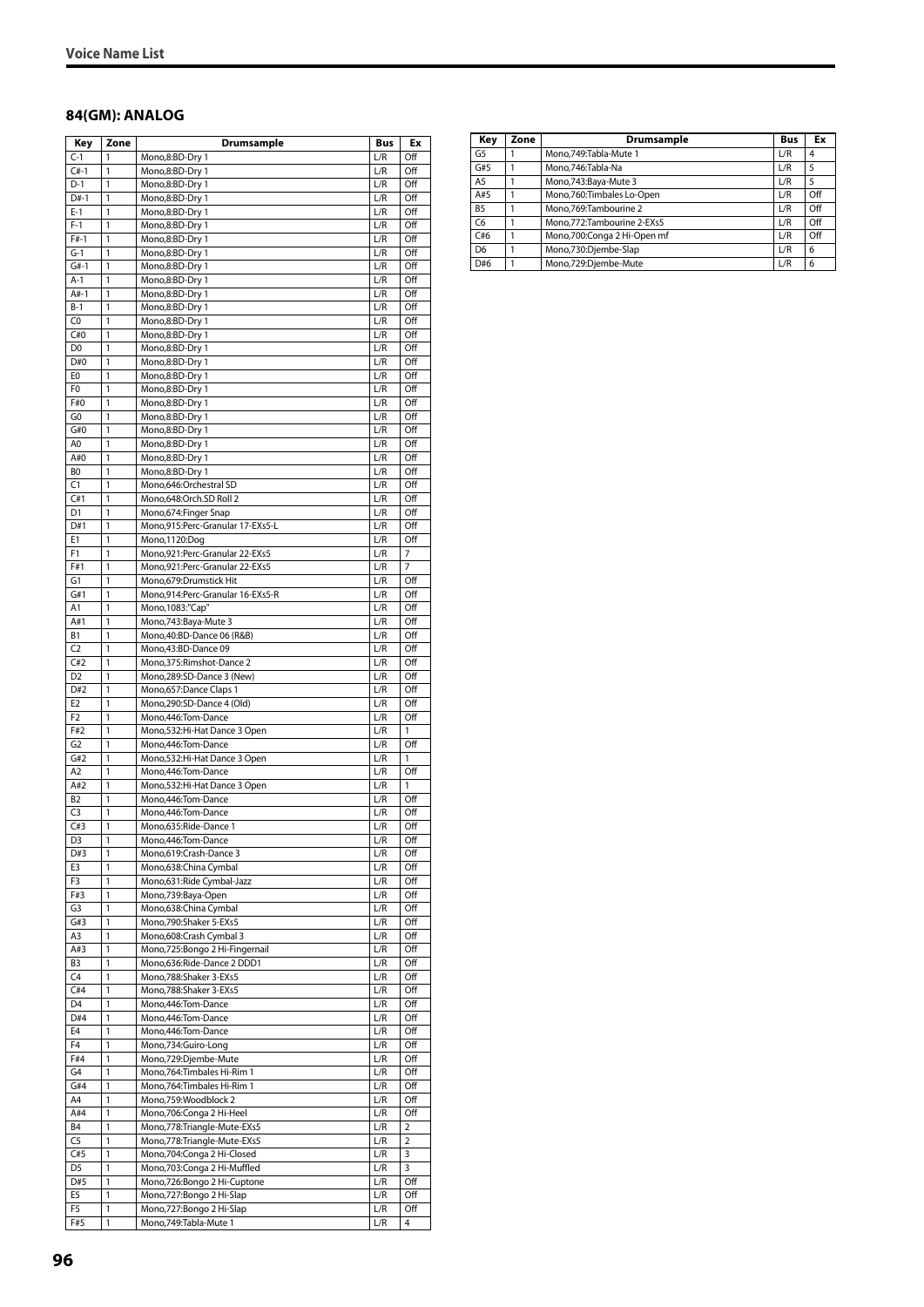#### **84(GM): ANALOG**

| Key                              | Zone         | Drumsample                                                   | Bus        | Ex             |
|----------------------------------|--------------|--------------------------------------------------------------|------------|----------------|
| $C-1$                            | 1            | Mono,8:BD-Dry 1                                              | L/R        | Off            |
| $C#-1$                           | 1            | Mono,8:BD-Dry 1                                              | L/R        | Off            |
| $D-1$                            | 1            | Mono,8:BD-Dry 1                                              | L/R        | Off            |
| $D#-1$                           | 1            | Mono,8:BD-Dry 1                                              | L/R        | Off            |
| $E-1$                            | 1            | Mono,8:BD-Dry 1                                              | L/R        | Off            |
| $F-1$                            | 1            | Mono,8:BD-Dry 1                                              | L/R        | Off            |
| $F#-1$                           | 1            | Mono,8:BD-Dry 1                                              | L/R        | Off            |
| $G-1$                            | 1            | Mono,8:BD-Dry 1                                              | L/R        | Off            |
| $G#-1$                           | 1            | Mono,8:BD-Dry 1                                              | L/R        | Off            |
| $A-1$<br>$A#-1$                  | 1<br>1       | Mono,8:BD-Dry 1                                              | L/R<br>L/R | Off<br>Off     |
| $B-1$                            | $\mathbf{1}$ | Mono,8:BD-Dry 1<br>Mono,8:BD-Dry 1                           | L/R        | Off            |
| C0                               | 1            | Mono,8:BD-Dry 1                                              | L/R        | Off            |
| C#0                              | 1            | Mono,8:BD-Dry 1                                              | L/R        | Off            |
| D <sub>0</sub>                   | 1            | Mono,8:BD-Dry 1                                              | L/R        | Off            |
| D#0                              | 1            | Mono,8:BD-Dry 1                                              | L/R        | Off            |
| E0                               | 1            | Mono,8:BD-Dry 1                                              | L/R        | Off            |
| F0                               | 1            | Mono,8:BD-Dry 1                                              | L/R        | Off            |
| F#0                              | 1            | Mono,8:BD-Dry 1                                              | L/R        | Off            |
| G <sub>0</sub>                   | 1            | Mono,8:BD-Dry 1                                              | L/R        | Off            |
| G#0                              | $\mathbf{1}$ | Mono,8:BD-Dry 1                                              | L/R        | Off            |
| A0                               | 1            | Mono,8:BD-Dry 1                                              | L/R        | Off            |
| A#0                              | 1            | Mono,8:BD-Dry 1                                              | L/R        | Off            |
| BO                               | 1            | Mono,8:BD-Dry 1                                              | L/R        | Off            |
| C1                               | 1            | Mono,646:Orchestral SD                                       | L/R        | Off            |
| C#1                              | 1            | Mono,648:Orch.SD Roll 2                                      | L/R        | Off            |
| D1                               | 1            | Mono, 674: Finger Snap                                       | L/R        | Off            |
| D#1                              | 1            | Mono,915:Perc-Granular 17-EXs5-L                             | L/R        | Off            |
| E1                               | 1            | Mono, 1120:Dog                                               | L/R        | Off            |
| F1                               | 1            | Mono,921:Perc-Granular 22-EXs5                               | L/R        | 7              |
| F#1                              | 1            | Mono,921:Perc-Granular 22-EXs5                               | L/R        | $\overline{7}$ |
| G1                               | 1            | Mono, 679: Drumstick Hit                                     | L/R        | Off            |
| G#1                              | 1            | Mono,914:Perc-Granular 16-EXs5-R                             | L/R        | Off            |
| A1                               | 1            | Mono, 1083:"Cap"                                             | L/R        | Off            |
| A#1                              | 1            | Mono, 743: Baya-Mute 3                                       | L/R        | Off            |
| В1                               | $\mathbf{1}$ | Mono, 40: BD-Dance 06 (R&B)                                  | L/R        | Off            |
| C <sub>2</sub>                   | 1            | Mono,43:BD-Dance 09                                          | L/R        | Off            |
| C#2                              | 1            | Mono, 375: Rimshot-Dance 2                                   | L/R        | Off            |
| D <sub>2</sub>                   | 1            | Mono,289:SD-Dance 3 (New)                                    | L/R        | Off            |
| D#2                              | 1            | Mono,657:Dance Claps 1                                       | L/R        | Off            |
| E <sub>2</sub><br>F <sub>2</sub> | 1            | Mono,290:SD-Dance 4 (Old)                                    | L/R<br>L/R | Off<br>Off     |
| F#2                              | 1<br>1       | Mono, 446: Tom-Dance<br>Mono,532:Hi-Hat Dance 3 Open         | L/R        | 1              |
| G <sub>2</sub>                   | 1            | Mono, 446: Tom-Dance                                         | L/R        | Off            |
| G#2                              | 1            | Mono, 532: Hi-Hat Dance 3 Open                               | L/R        | 1              |
| A2                               | 1            | Mono, 446: Tom-Dance                                         | L/R        | Off            |
| A#2                              | 1            | Mono,532:Hi-Hat Dance 3 Open                                 | L/R        | 1              |
| <b>B2</b>                        | 1            | Mono, 446: Tom-Dance                                         | L/R        | Off            |
| C <sub>3</sub>                   | 1            | Mono,446:Tom-Dance                                           | L/R        | Off            |
| C#3                              | 1            | Mono,635:Ride-Dance 1                                        | L/R        | Off            |
| D3                               | $\mathbf{1}$ | Mono, 446: Tom-Dance                                         | L/R        | Off            |
| D#3                              | 1            | Mono,619:Crash-Dance 3                                       | L/R        | Off            |
| E3                               | 1            | Mono,638:China Cymbal                                        | L/R        | Off            |
| F3                               | 1            | Mono,631:Ride Cymbal-Jazz                                    | L/R        | Off            |
| F#3                              | 1            | Mono,739:Baya-Open                                           | L/R        | Off            |
| G3                               | 1            | Mono,638:China Cymbal                                        | L/R        | Off            |
| G#3                              | 1            | Mono, 790: Shaker 5-EXs5                                     | L/R        | Off            |
| A3                               | 1            | Mono,608:Crash Cymbal 3                                      | L/R        | Off            |
| A#3                              | 1            | Mono,725:Bongo 2 Hi-Fingernail                               | L/R        | Off            |
| B3                               | 1            | Mono,636:Ride-Dance 2 DDD1                                   | L/R        | Off            |
| C4                               | 1            | Mono,788:Shaker 3-EXs5                                       | L/R        | Off            |
| C#4                              | 1            | Mono, 788: Shaker 3-EXs5                                     | L/R        | Off            |
| D <sub>4</sub>                   | 1            | Mono, 446: Tom-Dance                                         | L/R        | Off            |
| D#4                              | 1            | Mono, 446: Tom-Dance                                         | L/R        | Off            |
| E4                               | 1            | Mono, 446: Tom-Dance                                         | L/R        | Off            |
| F <sub>4</sub>                   | 1            | Mono,734:Guiro-Long                                          | L/R        | Off            |
| F#4                              | 1            | Mono,729:Djembe-Mute                                         | L/R        | Off            |
| G4<br>G#4                        | 1<br>1       | Mono, 764: Timbales Hi-Rim 1<br>Mono, 764: Timbales Hi-Rim 1 | L/R<br>L/R | Off<br>Off     |
| A4                               | 1            | Mono,759:Woodblock 2                                         | L/R        | Off            |
| A#4                              | 1            | Mono,706:Conga 2 Hi-Heel                                     | L/R        | Off            |
| Β4                               | 1            | Mono, 778: Triangle-Mute-EXs5                                | L/R        | 2              |
| C <sub>5</sub>                   | 1            | Mono, 778: Triangle-Mute-EXs5                                | L/R        | 2              |
| C#5                              | 1            | Mono, 704: Conga 2 Hi-Closed                                 | L/R        | 3              |
| D5                               | 1            | Mono,703:Conga 2 Hi-Muffled                                  | L/R        | 3              |
| D#5                              | 1            | Mono,726:Bongo 2 Hi-Cuptone                                  | L/R        | Off            |
| E5                               | 1            | Mono, 727: Bongo 2 Hi-Slap                                   | L/R        | Off            |
| F5                               | 1            | Mono, 727: Bongo 2 Hi-Slap                                   | L/R        | Off            |
| F#5                              | 1            | Mono, 749: Tabla-Mute 1                                      | L/R        | 4              |
|                                  |              |                                                              |            |                |

| Key            | Zone | <b>Drumsample</b>            | <b>Bus</b> | Ex  |
|----------------|------|------------------------------|------------|-----|
| G <sub>5</sub> |      | Mono, 749: Tabla-Mute 1      | L/R        | 4   |
| G#5            |      | Mono, 746: Tabla-Na          | L/R        | 5   |
| A <sub>5</sub> |      | Mono, 743: Baya-Mute 3       | L/R        | 5   |
| A#5            |      | Mono,760:Timbales Lo-Open    | L/R        | Off |
| <b>B5</b>      |      | Mono,769:Tambourine 2        | L/R        | Off |
| C6             |      | Mono, 772: Tambourine 2-EXs5 | L/R        | Off |
| C#6            |      | Mono,700:Conga 2 Hi-Open mf  | L/R        | Off |
| D <sub>6</sub> |      | Mono,730:Djembe-Slap         | L/R        | 6   |
| D#6            |      | Mono,729:Djembe-Mute         | L/R        | 6   |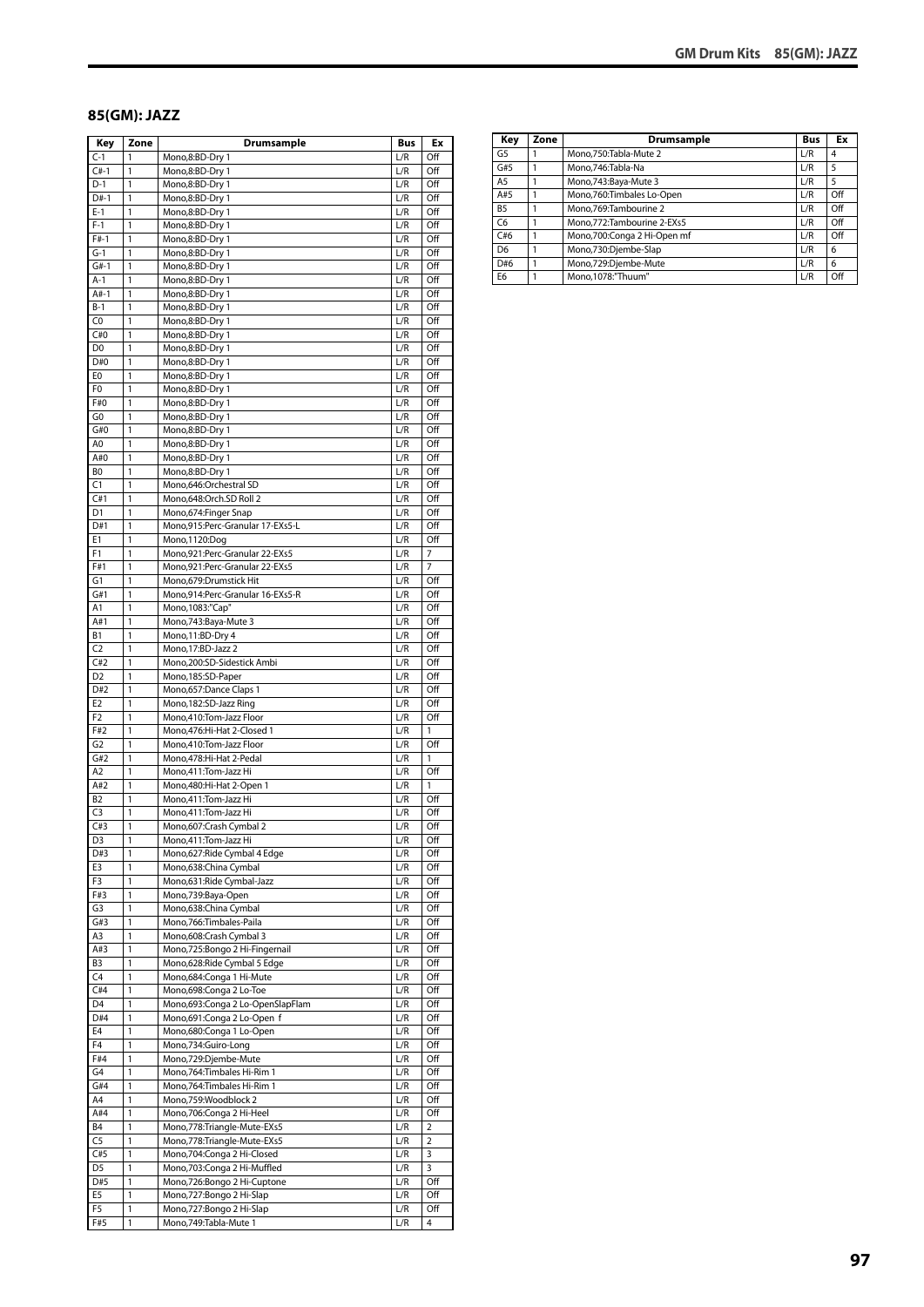#### **85(GM): JAZZ**

| Key                   | Zone              | Drumsample                                                     | Bus        | Ex             |
|-----------------------|-------------------|----------------------------------------------------------------|------------|----------------|
| $C-1$                 | 1                 | Mono,8:BD-Dry 1                                                | L/R        | Off            |
| $C#-1$                | 1                 | Mono,8:BD-Dry 1                                                | L/R        | Off            |
| $D-1$                 | 1                 | Mono,8:BD-Dry 1                                                | L/R        | Off            |
| D#-1<br>$E-1$         | 1<br>1            | Mono,8:BD-Dry 1                                                | L/R        | Off<br>Off     |
| $F-1$                 | 1                 | Mono,8:BD-Dry 1<br>Mono,8:BD-Dry 1                             | L/R<br>L/R | Off            |
| $F#-1$                | 1                 | Mono,8:BD-Dry 1                                                | L/R        | Off            |
| $G-1$                 | 1                 | Mono,8:BD-Dry 1                                                | L/R        | Off            |
| $G#-1$                | 1                 | Mono,8:BD-Dry 1                                                | L/R        | Off            |
| $A-1$                 | 1                 | Mono,8:BD-Dry 1                                                | L/R        | Off            |
| $A#-1$                | 1                 | Mono,8:BD-Dry 1                                                | L/R        | Off            |
| $B-1$                 | $\mathbf{1}$      | Mono,8:BD-Dry 1                                                | L/R        | Off            |
| C <sub>0</sub>        | $\mathbf{1}$      | Mono,8:BD-Dry 1                                                | L/R        | Off            |
| C#0                   | 1                 | Mono,8:BD-Dry 1                                                | L/R        | Off            |
| D <sub>0</sub>        | 1                 | Mono,8:BD-Dry 1                                                | L/R        | Off            |
| D#0<br>E0             | 1<br>1            | Mono,8:BD-Dry 1                                                | L/R<br>L/R | Off<br>Off     |
| F0                    | 1                 | Mono,8:BD-Dry 1<br>Mono,8:BD-Dry 1                             | L/R        | Off            |
| F#0                   | 1                 | Mono,8:BD-Dry 1                                                | L/R        | Off            |
| G0                    | 1                 | Mono,8:BD-Dry 1                                                | L/R        | Off            |
| G#0                   | 1                 | Mono,8:BD-Dry 1                                                | L/R        | Off            |
| A0                    | 1                 | Mono,8:BD-Dry 1                                                | L/R        | Off            |
| A#0                   | 1                 | Mono,8:BD-Dry 1                                                | L/R        | Off            |
| B <sub>0</sub>        | 1                 | Mono,8:BD-Dry 1                                                | L/R        | Off            |
| C1                    | 1                 | Mono,646:Orchestral SD                                         | L/R        | Off            |
| C#1                   | 1                 | Mono,648:Orch.SD Roll 2                                        | L/R        | Off            |
| D <sub>1</sub>        | 1                 | Mono, 674: Finger Snap                                         | L/R        | Off            |
| D#1<br>E1             | $\mathbf{1}$<br>1 | Mono,915:Perc-Granular 17-EXs5-L<br>Mono,1120:Dog              | L/R<br>L/R | Off<br>Off     |
| F1                    | 1                 | Mono,921:Perc-Granular 22-EXs5                                 | L/R        | 7              |
| F#1                   | 1                 | Mono,921:Perc-Granular 22-EXs5                                 | L/R        | 7              |
| G1                    | 1                 | Mono,679:Drumstick Hit                                         | L/R        | Off            |
| G#1                   | 1                 | Mono,914:Perc-Granular 16-EXs5-R                               | L/R        | Off            |
| Α1                    | 1                 | Mono, 1083:"Cap"                                               | L/R        | Off            |
| A#1                   | $\mathbf{1}$      | Mono, 743: Baya-Mute 3                                         | L/R        | Off            |
| B1                    | 1                 | Mono, 11:BD-Dry 4                                              | L/R        | Off            |
| C2                    | 1                 | Mono, 17:BD-Jazz 2                                             | L/R        | Off            |
| C#2                   | 1                 | Mono,200:SD-Sidestick Ambi                                     | L/R        | Off            |
| D <sub>2</sub>        | 1                 | Mono, 185: SD-Paper                                            | L/R        | Off            |
| D#2<br>E <sub>2</sub> | 1<br>1            | Mono, 657: Dance Claps 1<br>Mono, 182: SD-Jazz Ring            | L/R<br>L/R | Off<br>Off     |
| F <sub>2</sub>        | 1                 | Mono,410:Tom-Jazz Floor                                        | L/R        | Off            |
| F#2                   | $\mathbf{1}$      | Mono, 476: Hi-Hat 2-Closed 1                                   | L/R        | 1              |
| G <sub>2</sub>        | 1                 | Mono,410:Tom-Jazz Floor                                        | L/R        | Off            |
| G#2                   | 1                 | Mono,478:Hi-Hat 2-Pedal                                        | L/R        | 1              |
| A2                    | 1                 | Mono,411:Tom-Jazz Hi                                           | L/R        | Off            |
| A#2                   | 1                 | Mono, 480: Hi-Hat 2-Open 1                                     | L/R        | 1              |
| B2                    | 1                 | Mono,411:Tom-Jazz Hi                                           | L/R        | Off            |
| C3                    | 1                 | Mono,411:Tom-Jazz Hi                                           | L/R        | Off            |
| C#3                   | $\mathbf{1}$      | Mono,607:Crash Cymbal 2                                        | L/R        | Off            |
| D3<br>D#3             | 1<br>1            | Mono,411:Tom-Jazz Hi<br>Mono,627:Ride Cymbal 4 Edge            | L/R<br>L/R | Off<br>Off     |
| E3                    | 1                 | Mono,638:China Cymbal                                          | L/R        | Off            |
| F3                    | 1                 | Mono,631:Ride Cymbal-Jazz                                      | L/R        | Off            |
| F#3                   | 1                 | Mono,739:Baya-Open                                             | L/R        | Off            |
| G3                    | 1                 | Mono,638:China Cymbal                                          | L/R        | Off            |
| G#3                   | 1                 | Mono, 766: Timbales-Paila                                      | L/R        | Off            |
| A3                    | $\mathbf{1}$      | Mono,608:Crash Cymbal 3                                        | L/R        | Off            |
| A#3                   | 1                 | Mono,725:Bongo 2 Hi-Fingernail                                 | L/R        | Off            |
| B3                    | 1                 | Mono,628: Ride Cymbal 5 Edge                                   | L/R        | Off            |
| C4                    | 1                 | Mono,684:Conga 1 Hi-Mute                                       | L/R        | Off            |
| C#4                   | $\mathbf{1}$      | Mono,698:Conga 2 Lo-Toe                                        | L/R        | Off            |
| D <sub>4</sub><br>D#4 | 1<br>1            | Mono,693:Conga 2 Lo-OpenSlapFlam<br>Mono,691:Conga 2 Lo-Open f | L/R<br>L/R | Off<br>Off     |
| E4                    | 1                 | Mono,680:Conga 1 Lo-Open                                       | L/R        | Off            |
| F <sub>4</sub>        | $\mathbf{1}$      | Mono,734:Guiro-Long                                            | L/R        | Off            |
| F#4                   | 1                 | Mono,729:Djembe-Mute                                           | L/R        | Off            |
| G4                    | 1                 | Mono, 764: Timbales Hi-Rim 1                                   | L/R        | Off            |
| G#4                   | 1                 | Mono, 764: Timbales Hi-Rim 1                                   | L/R        | Off            |
| A4                    | 1                 | Mono,759:Woodblock 2                                           | L/R        | Off            |
| A#4                   | 1                 | Mono,706:Conga 2 Hi-Heel                                       | L/R        | Off            |
| <b>B4</b>             | 1                 | Mono,778:Triangle-Mute-EXs5                                    | L/R        | $\overline{2}$ |
| C <sub>5</sub>        | $\mathbf{1}$      | Mono,778:Triangle-Mute-EXs5                                    | L/R        | $\overline{2}$ |
| C#5                   | 1                 | Mono,704:Conga 2 Hi-Closed                                     | L/R        | 3              |
| D <sub>5</sub>        | 1                 | Mono,703:Conga 2 Hi-Muffled                                    | L/R        | 3              |
| D#5<br>E5             | 1<br>$\mathbf{1}$ | Mono,726:Bongo 2 Hi-Cuptone<br>Mono,727:Bongo 2 Hi-Slap        | L/R<br>L/R | Off<br>Off     |
| F5                    | $\mathbf{1}$      | Mono,727:Bongo 2 Hi-Slap                                       | L/R        | Off            |
| F#5                   | 1                 | Mono, 749: Tabla-Mute 1                                        | L/R        | 4              |

| Key            | Zone | Drumsample                  | <b>Bus</b> | Ex  |
|----------------|------|-----------------------------|------------|-----|
| G5             |      | Mono.750:Tabla-Mute 2       | L/R        | 4   |
| G#5            |      | Mono,746:Tabla-Na           | L/R        | 5   |
| A <sub>5</sub> |      | Mono, 743: Baya-Mute 3      | L/R        | 5   |
| A#5            |      | Mono,760:Timbales Lo-Open   | L/R        | Off |
| <b>B5</b>      |      | Mono, 769: Tambourine 2     | L/R        | Off |
| C6             |      | Mono.772:Tambourine 2-EXs5  | L/R        | Off |
| C#6            |      | Mono,700:Conga 2 Hi-Open mf | L/R        | Off |
| D <sub>6</sub> |      | Mono,730:Djembe-Slap        | L/R        | 6   |
| D#6            |      | Mono,729:Djembe-Mute        | L/R        | 6   |
| E <sub>6</sub> |      | Mono, 1078:"Thuum"          | L/R        | Off |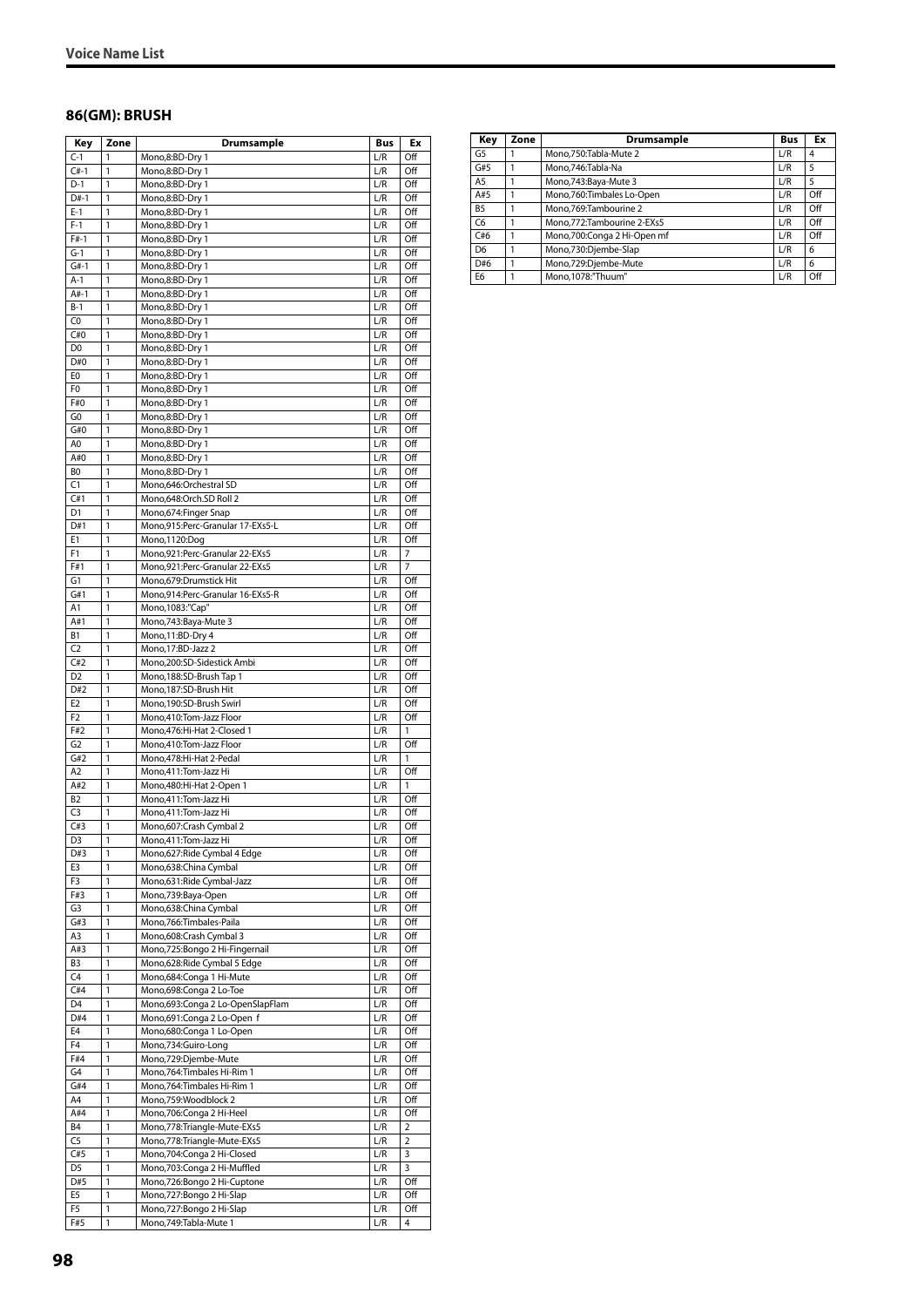#### **86(GM): BRUSH**

| Key                              | Zone         | Drumsample                                                  | Bus        | Ex             |
|----------------------------------|--------------|-------------------------------------------------------------|------------|----------------|
| $C-1$                            | 1            | Mono,8:BD-Dry 1                                             | L/R        | Off            |
| $C#-1$                           | 1            | Mono,8:BD-Dry 1                                             | L/R        | Off            |
| D-1                              | 1            | Mono,8:BD-Dry 1                                             | L/R        | Off            |
| D#-1                             | 1            | Mono,8:BD-Dry 1                                             | L/R        | Off            |
| $E-1$                            | 1            | Mono,8:BD-Dry 1                                             | L/R        | Off            |
| $F-1$                            | 1            | Mono,8:BD-Dry 1<br>Mono,8:BD-Dry 1                          | L/R        | Off            |
| $F#-1$<br>$G-1$                  | 1<br>1       | Mono,8:BD-Dry 1                                             | L/R<br>L/R | Off<br>Off     |
| $G#-1$                           | 1            | Mono,8:BD-Dry 1                                             | L/R        | Off            |
| $A-1$                            | 1            | Mono,8:BD-Dry 1                                             | L/R        | Off            |
| A#-1                             | 1            | Mono,8:BD-Dry 1                                             | L/R        | Off            |
| $B-1$                            | $\mathbf{1}$ | Mono,8:BD-Dry 1                                             | L/R        | Off            |
| C0                               | 1            | Mono,8:BD-Dry 1                                             | L/R        | Off            |
| C#0                              | 1            | Mono,8:BD-Dry 1                                             | L/R        | Off            |
| D <sub>0</sub>                   | 1            | Mono,8:BD-Dry 1                                             | L/R        | Off            |
| D#0                              | 1            | Mono,8:BD-Dry 1                                             | L/R        | Off            |
| E0                               | 1            | Mono,8:BD-Dry 1                                             | L/R        | Off            |
| F0                               | 1            | Mono,8:BD-Dry 1                                             | L/R        | Off            |
| F#0                              | 1            | Mono,8:BD-Dry 1                                             | L/R        | Off            |
| G <sub>0</sub>                   | 1            | Mono,8:BD-Dry 1                                             | L/R        | Off            |
| G#0                              | 1            | Mono,8:BD-Dry 1                                             | L/R        | Off            |
| A0                               | 1            | Mono,8:BD-Dry 1                                             | L/R        | Off            |
| A#0<br>BO                        | 1<br>1       | Mono,8:BD-Dry 1                                             | L/R        | Off            |
| C1                               | 1            | Mono,8:BD-Dry 1                                             | L/R<br>L/R | Off<br>Off     |
| C#1                              | 1            | Mono,646:Orchestral SD<br>Mono,648:Orch.SD Roll 2           | L/R        | Off            |
| D1                               | 1            | Mono, 674: Finger Snap                                      | L/R        | Off            |
| D#1                              | 1            | Mono,915:Perc-Granular 17-EXs5-L                            | L/R        | Off            |
| E1                               | 1            | Mono, 1120:Dog                                              | L/R        | Off            |
| F1                               | 1            | Mono,921:Perc-Granular 22-EXs5                              | L/R        | 7              |
| F#1                              | 1            | Mono,921:Perc-Granular 22-EXs5                              | L/R        | $\overline{7}$ |
| G1                               | 1            | Mono, 679: Drumstick Hit                                    | L/R        | Off            |
| G#1                              | 1            | Mono,914:Perc-Granular 16-EXs5-R                            | L/R        | Off            |
| A1                               | 1            | Mono, 1083:"Cap"                                            | L/R        | Off            |
| A#1                              | 1            | Mono, 743: Baya-Mute 3                                      | L/R        | Off            |
| В1                               | 1            | Mono, 11:BD-Dry 4                                           | L/R        | Off            |
| C <sub>2</sub>                   | 1            | Mono, 17:BD-Jazz 2                                          | L/R        | Off            |
| C#2                              | 1            | Mono,200:SD-Sidestick Ambi                                  | L/R        | Off            |
| D <sub>2</sub>                   | 1            | Mono, 188: SD-Brush Tap 1                                   | L/R        | Off            |
| D#2                              | 1            | Mono, 187: SD-Brush Hit                                     | L/R        | Off            |
| E <sub>2</sub><br>F <sub>2</sub> | 1            | Mono,190:SD-Brush Swirl                                     | L/R        | Off<br>Off     |
| F#2                              | 1<br>1       | Mono,410:Tom-Jazz Floor<br>Mono, 476: Hi-Hat 2-Closed 1     | L/R<br>L/R | 1              |
| G <sub>2</sub>                   | 1            | Mono,410:Tom-Jazz Floor                                     | L/R        | Off            |
| G#2                              | 1            | Mono, 478: Hi-Hat 2-Pedal                                   | L/R        | 1              |
| A2                               | 1            | Mono, 411: Tom-Jazz Hi                                      | L/R        | Off            |
| A#2                              | 1            | Mono, 480: Hi-Hat 2-Open 1                                  | L/R        | 1              |
| <b>B2</b>                        | 1            | Mono,411:Tom-Jazz Hi                                        | L/R        | Off            |
| C <sub>3</sub>                   | 1            | Mono,411:Tom-Jazz Hi                                        | L/R        | Off            |
| C#3                              | 1            | Mono,607:Crash Cymbal 2                                     | L/R        | Off            |
| D3                               | $\mathbf{1}$ | Mono, 411: Tom-Jazz Hi                                      | L/R        | Off            |
| D#3                              | 1            | Mono,627:Ride Cymbal 4 Edge                                 | L/R        | Off            |
| E3                               | 1            | Mono,638:China Cymbal                                       | L/R        | Off            |
| F3                               | 1            | Mono,631:Ride Cymbal-Jazz                                   | L/R        | Off            |
| F#3<br>G3                        | 1            | Mono,739:Baya-Open                                          | L/R        | Off            |
| G#3                              | 1            | Mono,638:China Cymbal                                       | L/R        | Off            |
| A3                               | 1<br>1       | Mono, 766: Timbales-Paila<br>Mono,608:Crash Cymbal 3        | L/R<br>L/R | Off<br>Off     |
| A#3                              | 1            | Mono,725:Bongo 2 Hi-Fingernail                              | L/R        | Off            |
| B3                               | 1            | Mono,628: Ride Cymbal 5 Edge                                | L/R        | Off            |
| C4                               | 1            | Mono,684: Conga 1 Hi-Mute                                   | L/R        | Off            |
| C#4                              | 1            | Mono,698:Conga 2 Lo-Toe                                     | L/R        | Off            |
| D <sub>4</sub>                   | 1            | Mono,693:Conga 2 Lo-OpenSlapFlam                            | L/R        | Off            |
| D#4                              | 1            | Mono,691:Conga 2 Lo-Open f                                  | L/R        | Off            |
| E4                               | 1            | Mono,680:Conga 1 Lo-Open                                    | L/R        | Off            |
| F <sub>4</sub>                   | 1            | Mono,734:Guiro-Long                                         | L/R        | Off            |
| F#4                              | 1            | Mono,729:Djembe-Mute                                        | L/R        | Off            |
| G4                               | 1            | Mono, 764: Timbales Hi-Rim 1                                | L/R        | Off            |
| G#4                              | 1            | Mono, 764: Timbales Hi-Rim 1                                | L/R        | Off            |
| A4                               | 1            | Mono,759:Woodblock 2                                        | L/R        | Off            |
| A#4                              | 1            | Mono, 706: Conga 2 Hi-Heel                                  | L/R        | Off            |
| B4<br>C <sub>5</sub>             | 1            | Mono, 778: Triangle-Mute-EXs5                               | L/R        | 2              |
| C#5                              | 1<br>1       | Mono, 778: Triangle-Mute-EXs5                               | L/R<br>L/R | 2<br>3         |
| D5                               | 1            | Mono, 704: Conga 2 Hi-Closed<br>Mono,703:Conga 2 Hi-Muffled | L/R        | 3              |
| D#5                              | 1            | Mono,726:Bongo 2 Hi-Cuptone                                 | L/R        | Off            |
| E5                               | 1            | Mono, 727: Bongo 2 Hi-Slap                                  | L/R        | Off            |
| F5                               | 1            | Mono, 727: Bongo 2 Hi-Slap                                  | L/R        | Off            |
| F#5                              | 1            | Mono, 749: Tabla-Mute 1                                     | L/R        | 4              |
|                                  |              |                                                             |            |                |

| Key            | Zone | <b>Drumsample</b>            | <b>Bus</b> | Ex  |
|----------------|------|------------------------------|------------|-----|
| G <sub>5</sub> |      | Mono,750:Tabla-Mute 2        | L/R        | 4   |
| G#5            |      | Mono, 746: Tabla-Na          | L/R        | 5   |
| A <sub>5</sub> |      | Mono, 743: Baya-Mute 3       | L/R        | 5   |
| A#5            |      | Mono,760:Timbales Lo-Open    | L/R        | Off |
| <b>B5</b>      |      | Mono.769:Tambourine 2        | L/R        | Off |
| C <sub>6</sub> |      | Mono, 772: Tambourine 2-EXs5 | L/R        | Off |
| C#6            |      | Mono,700:Conga 2 Hi-Open mf  | L/R        | Off |
| D <sub>6</sub> |      | Mono,730:Djembe-Slap         | L/R        | 6   |
| D#6            |      | Mono,729:Djembe-Mute         | L/R        | 6   |
| E <sub>6</sub> |      | Mono,1078:"Thuum"            | L/R        | Off |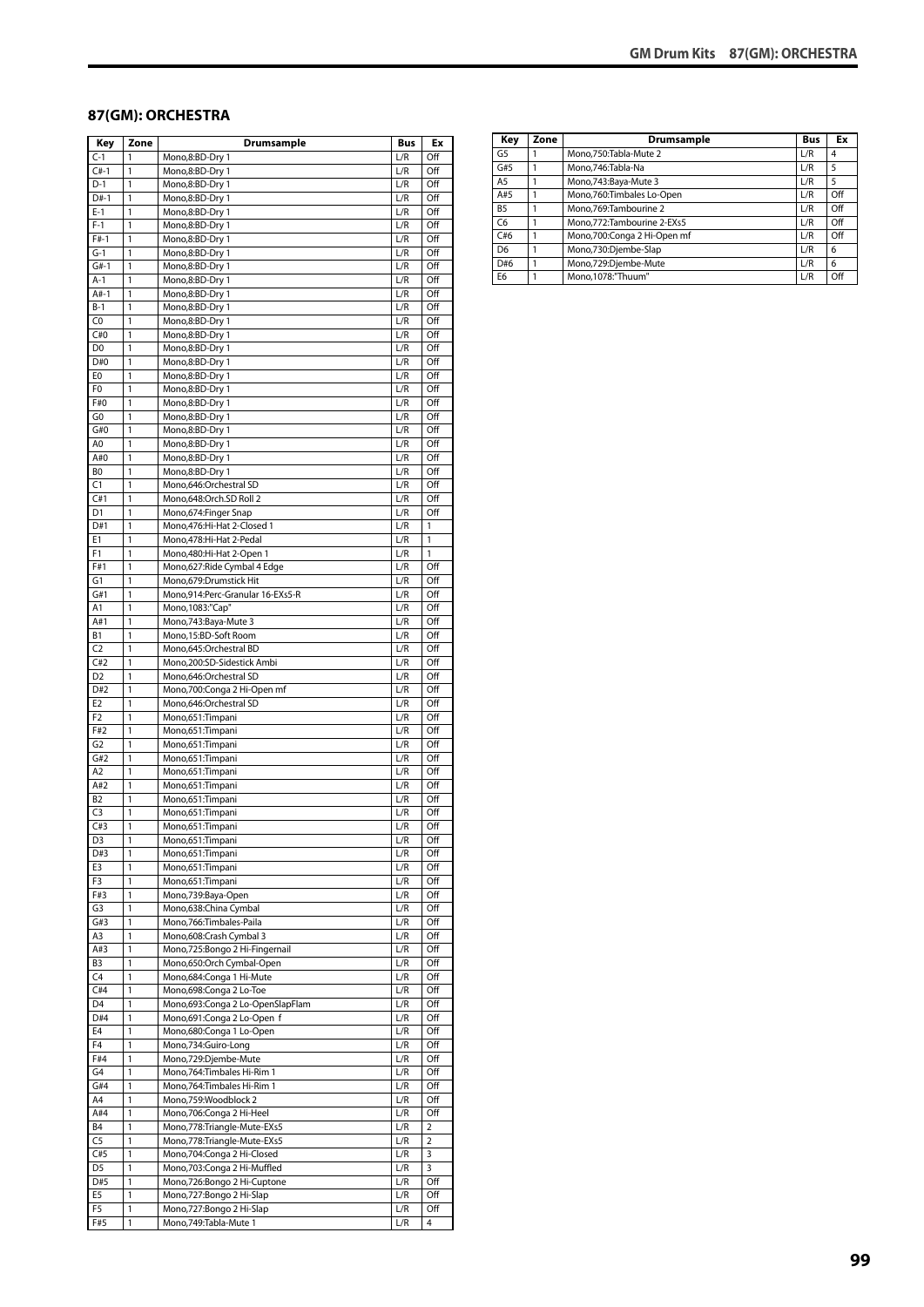#### **87(GM): ORCHESTRA**

| Key            | Zone         | <b>Drumsample</b>                              | <b>Bus</b> | Ex             |
|----------------|--------------|------------------------------------------------|------------|----------------|
| $C-1$          | 1            | Mono,8:BD-Dry 1                                | L/R        | Off            |
| $C#-1$         | 1            | Mono,8:BD-Dry 1                                | L/R        | Off            |
| $D-1$          | 1            | Mono,8:BD-Dry 1                                | L/R        | Off            |
| D#-1           | 1            | Mono,8:BD-Dry 1                                | L/R        | Off            |
| $E-1$          | 1            | Mono,8:BD-Dry 1                                | L/R        | Off            |
| $F-1$          | 1            | Mono,8:BD-Dry 1                                | L/R        | Off            |
| $F#-1$         | 1            | Mono,8:BD-Dry 1                                | L/R        | Off            |
| $G-1$          | 1            | Mono,8:BD-Dry 1                                | L/R        | Off            |
| $G#-1$         | 1            | Mono,8:BD-Dry 1                                | L/R        | Off            |
| $A-1$          | 1            | Mono,8:BD-Dry 1                                | L/R        | Off            |
| $A#-1$         | 1            | Mono,8:BD-Dry 1                                | L/R        | Off            |
| $B-1$          | 1            | Mono,8:BD-Dry 1                                | L/R        | Off            |
| C <sub>0</sub> | 1            | Mono,8:BD-Dry 1                                | L/R        | Off            |
| C#0            | 1            | Mono,8:BD-Dry 1                                | L/R        | Off            |
| D <sub>0</sub> | 1            | Mono,8:BD-Dry 1                                | L/R        | Off            |
| D#0            | 1            | Mono,8:BD-Dry 1                                | L/R        | Off            |
| E <sub>0</sub> | 1            | Mono,8:BD-Dry 1                                | L/R        | Off            |
| F0             | 1            | Mono,8:BD-Dry 1                                | L/R        | Off            |
| F#0            | 1            | Mono,8:BD-Dry 1                                | L/R        | Off            |
| G0             | 1            | Mono,8:BD-Dry 1                                | L/R        | Off            |
| G#0            | 1            | Mono,8:BD-Dry 1                                | L/R        | Off            |
| A0             | 1            | Mono,8:BD-Dry 1                                | L/R        | Off            |
| A#0            | 1            | Mono,8:BD-Dry 1                                | L/R        | Off            |
| BO             | 1            | Mono,8:BD-Dry 1                                | L/R        | Off            |
| C1             | 1            | Mono,646:Orchestral SD                         | L/R        | Off            |
| C#1            | 1            | Mono,648:Orch.SD Roll 2                        | L/R        | Off            |
| D1             | 1            | Mono, 674: Finger Snap                         | L/R        | Off            |
| D#1            | 1            | Mono, 476: Hi-Hat 2-Closed 1                   | L/R        | 1              |
| E1             | 1            | Mono, 478: Hi-Hat 2-Pedal                      | L/R        | 1              |
| F1             | 1            | Mono, 480: Hi-Hat 2-Open 1                     | L/R        | 1              |
| F#1            | 1            | Mono,627:Ride Cymbal 4 Edge                    | L/R        | Off            |
| G1             | 1            | Mono,679:Drumstick Hit                         | L/R        | Off            |
| G#1            | 1<br>1       | Mono,914:Perc-Granular 16-EXs5-R               | L/R        | Off            |
| Α1<br>A#1      | 1            | Mono, 1083:"Cap"<br>Mono, 743: Baya-Mute 3     | L/R<br>L/R | Off<br>Off     |
| Β1             | 1            |                                                |            | Off            |
| C <sub>2</sub> | 1            | Mono,15:BD-Soft Room<br>Mono,645:Orchestral BD | L/R<br>L/R | Off            |
| C#2            | 1            | Mono,200:SD-Sidestick Ambi                     | L/R        | Off            |
| D <sub>2</sub> | 1            | Mono,646:Orchestral SD                         | L/R        | Off            |
| D#2            | 1            | Mono,700:Conga 2 Hi-Open mf                    | L/R        | Off            |
| E <sub>2</sub> | 1            | Mono,646:Orchestral SD                         | L/R        | Off            |
| F <sub>2</sub> | 1            | Mono,651:Timpani                               | L/R        | Off            |
| F#2            | 1            | Mono,651:Timpani                               | L/R        | Off            |
| G <sub>2</sub> | 1            | Mono,651:Timpani                               | L/R        | Off            |
| G#2            | 1            | Mono,651:Timpani                               | L/R        | Off            |
| A <sub>2</sub> | 1            | Mono,651:Timpani                               | L/R        | Off            |
| A#2            | 1            | Mono,651:Timpani                               | L/R        | Off            |
| B <sub>2</sub> | 1            | Mono,651:Timpani                               | L/R        | Off            |
| C <sub>3</sub> | 1            | Mono,651:Timpani                               | L/R        | Off            |
| C#3            | 1            | Mono,651:Timpani                               | L/R        | Off            |
| D3             | 1            | Mono,651:Timpani                               | L/R        | Off            |
| D#3            | 1            | Mono,651:Timpani                               | L/R        | Off            |
| E3             | 1            | Mono,651:Timpani                               | L/R        | Off            |
| F3             | 1            | Mono,651:Timpani                               | L/R        | Off            |
| F#3            | 1            | Mono,739:Baya-Open                             | L/R        | Off            |
| G3             | 1            | Mono,638:China Cymbal                          | L/R        | Off            |
| G#3            | 1            | Mono,766:Timbales-Paila                        | L/R        | Off            |
| A3             | 1            | Mono,608:Crash Cymbal 3                        | L/R        | Off            |
| A#3            | 1            | Mono,725:Bongo 2 Hi-Fingernail                 | L/R        | Off            |
| B3             | $\mathbf{1}$ | Mono,650:Orch Cymbal-Open                      | L/R        | Off            |
| C <sub>4</sub> | 1            | Mono,684:Conga 1 Hi-Mute                       | L/R        | Off            |
| C#4            | 1            | Mono,698:Conga 2 Lo-Toe                        | L/R        | Off            |
| D4             | 1            | Mono,693:Conga 2 Lo-OpenSlapFlam               | L/R        | Off            |
| D#4            | 1            | Mono,691:Conga 2 Lo-Open f                     | L/R        | Off            |
| E4             | 1            | Mono,680:Conga 1 Lo-Open                       | L/R        | Off            |
| F4             | 1            | Mono,734:Guiro-Long                            | L/R        | Off            |
| F#4            | 1            | Mono,729:Djembe-Mute                           | L/R        | Off            |
| G4             | 1            | Mono, 764: Timbales Hi-Rim 1                   | L/R        | Off            |
| G#4            | 1            | Mono, 764: Timbales Hi-Rim 1                   | L/R        | Off            |
| A4             | 1            | Mono,759:Woodblock 2                           | L/R        | Off            |
| A#4            | 1            | Mono,706:Conga 2 Hi-Heel                       | L/R        | Off            |
| <b>B4</b>      | 1            | Mono,778:Triangle-Mute-EXs5                    | L/R        | $\overline{2}$ |
| C5             | 1            | Mono,778:Triangle-Mute-EXs5                    | L/R        | $\overline{2}$ |
| C#5            | 1            | Mono, 704: Conga 2 Hi-Closed                   | L/R        | 3              |
| D <sub>5</sub> | 1            | Mono,703:Conga 2 Hi-Muffled                    | L/R        | 3              |
| D#5            | 1            | Mono,726:Bongo 2 Hi-Cuptone                    | L/R        | Off            |
| E5             | 1            | Mono,727:Bongo 2 Hi-Slap                       | L/R        | Off            |
| F5             | 1            | Mono,727:Bongo 2 Hi-Slap                       | L/R        | Off            |
| F#5            | 1            | Mono, 749: Tabla-Mute 1                        | L/R        | 4              |

| Key            | Zone | Drumsample                   | <b>Bus</b> | Ex  |
|----------------|------|------------------------------|------------|-----|
| G <sub>5</sub> |      | Mono.750:Tabla-Mute 2        | L/R        | 4   |
| G#5            |      | Mono, 746: Tabla-Na          | L/R        | 5   |
| A <sub>5</sub> |      | Mono, 743: Baya-Mute 3       | L/R        | 5   |
| A#5            |      | Mono,760:Timbales Lo-Open    | L/R        | Off |
| B <sub>5</sub> |      | Mono.769:Tambourine 2        | L/R        | Off |
| C <sub>6</sub> |      | Mono, 772: Tambourine 2-EXs5 | L/R        | Off |
| C#6            |      | Mono,700:Conga 2 Hi-Open mf  | L/R        | Off |
| D <sub>6</sub> |      | Mono,730:Djembe-Slap         | L/R        | 6   |
| D#6            |      | Mono,729:Djembe-Mute         | L/R        | 6   |
| E <sub>6</sub> |      | Mono, 1078:"Thuum"           | L/R        | Off |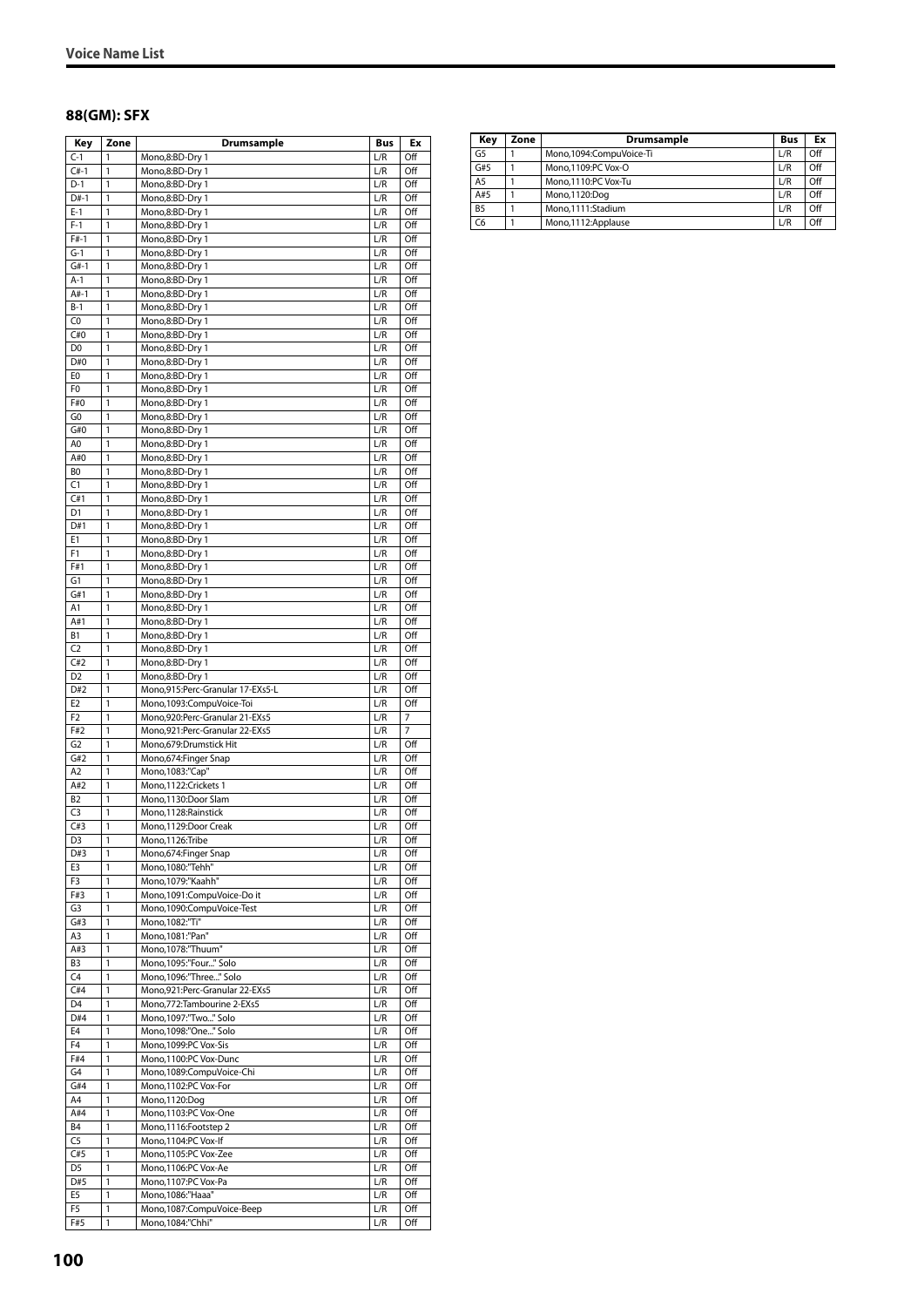#### **88(GM): SFX**

| Key                   | Zone              | Drumsample                                               | Bus        | Ex               |
|-----------------------|-------------------|----------------------------------------------------------|------------|------------------|
| $C-1$                 | 1                 | Mono,8:BD-Dry 1                                          | L/R        | Off              |
| $C#-1$                | 1                 | Mono,8:BD-Dry 1                                          | L/R        | Off              |
| $D-1$                 | 1                 | Mono,8:BD-Dry 1                                          | L/R        | Off              |
| $D#-1$<br>$E-1$       | 1<br>1            | Mono,8:BD-Dry 1<br>Mono,8:BD-Dry 1                       | L/R<br>L/R | Off<br>Off       |
| $F-1$                 | 1                 | Mono,8:BD-Dry 1                                          | L/R        | Off              |
| $F#-1$                | 1                 | Mono,8:BD-Dry 1                                          | L/R        | Off              |
| $G-1$                 | 1                 | Mono,8:BD-Dry 1                                          | L/R        | Off              |
| $G#-1$                | 1                 | Mono,8:BD-Dry 1                                          | L/R        | Off              |
| $A-1$                 | 1                 | Mono,8:BD-Dry 1                                          | L/R        | Off              |
| $A#-1$                | 1                 | Mono,8:BD-Dry 1                                          | L/R        | Off              |
| $B-1$                 | 1                 | Mono,8:BD-Dry 1                                          | L/R        | Off              |
| C0<br>C#0             | 1<br>$\mathbf{1}$ | Mono,8:BD-Dry 1<br>Mono,8:BD-Dry 1                       | L/R<br>L/R | Off<br>Off       |
| D <sub>0</sub>        | 1                 | Mono,8:BD-Dry 1                                          | L/R        | Off              |
| D#0                   | 1                 | Mono,8:BD-Dry 1                                          | L/R        | Off              |
| E0                    | 1                 | Mono,8:BD-Dry 1                                          | L/R        | Off              |
| F <sub>0</sub>        | 1                 | Mono,8:BD-Dry 1                                          | L/R        | Off              |
| F#0                   | 1                 | Mono,8:BD-Dry 1                                          | L/R        | Off              |
| G0                    | 1                 | Mono,8:BD-Dry 1                                          | L/R        | Off              |
| G#0                   | 1                 | Mono,8:BD-Dry 1                                          | L/R        | Off              |
| A0<br>A#0             | 1<br>1            | Mono,8:BD-Dry 1                                          | L/R<br>L/R | Off<br>Off       |
| BO                    | 1                 | Mono,8:BD-Dry 1<br>Mono,8:BD-Dry 1                       | L/R        | Off              |
| C1                    | 1                 | Mono,8:BD-Dry 1                                          | L/R        | Off              |
| C#1                   | 1                 | Mono,8:BD-Dry 1                                          | L/R        | Off              |
| D <sub>1</sub>        | 1                 | Mono,8:BD-Dry 1                                          | L/R        | Off              |
| D#1                   | 1                 | Mono,8:BD-Dry 1                                          | L/R        | Off              |
| E1                    | 1                 | Mono,8:BD-Dry 1                                          | L/R        | Off              |
| F1                    | 1                 | Mono,8:BD-Dry 1                                          | L/R        | Off              |
| F#1                   | 1                 | Mono,8:BD-Dry 1                                          | L/R        | Off              |
| G1                    | 1<br>1            | Mono,8:BD-Dry 1                                          | L/R        | Off              |
| G#1<br>A1             | 1                 | Mono,8:BD-Dry 1<br>Mono,8:BD-Dry 1                       | L/R<br>L/R | Off<br>Off       |
| A#1                   | 1                 | Mono,8:BD-Dry 1                                          | L/R        | Off              |
| В1                    | 1                 | Mono,8:BD-Dry 1                                          | L/R        | Off              |
| C <sub>2</sub>        | 1                 | Mono,8:BD-Dry 1                                          | L/R        | Off              |
| C#2                   | 1                 | Mono,8:BD-Dry 1                                          | L/R        | Off              |
| D <sub>2</sub>        | 1                 | Mono,8:BD-Dry 1                                          | L/R        | Off              |
| D#2                   | 1                 | Mono,915:Perc-Granular 17-EXs5-L                         | L/R        | Off              |
| E <sub>2</sub>        | 1                 | Mono,1093:CompuVoice-Toi                                 | L/R        | Off              |
| F <sub>2</sub>        | $\mathbf{1}$      | Mono, 920: Perc-Granular 21-EXs5                         | L/R        | 7                |
| F#2<br>G <sub>2</sub> | 1<br>1            | Mono,921:Perc-Granular 22-EXs5<br>Mono,679:Drumstick Hit | L/R<br>L/R | 7<br>Off         |
| G#2                   | 1                 | Mono,674:Finger Snap                                     | L/R        | Off              |
| A <sub>2</sub>        | 1                 | Mono, 1083:"Cap"                                         | L/R        | Off              |
| A#2                   | 1                 | Mono, 1122: Crickets 1                                   | L/R        | Off              |
| <b>B2</b>             | 1                 | Mono,1130:Door Slam                                      | L/R        | Off              |
| C <sub>3</sub>        | 1                 | Mono, 1128: Rainstick                                    | L/R        | Off              |
| C#3                   | 1                 | Mono,1129:Door Creak                                     | L/R        | Off              |
| D <sub>3</sub>        | 1                 | Mono, 1126: Tribe                                        | L/R        | Off              |
| D#3                   | 1                 | Mono,674: Finger Snap<br>Mono, 1080:"Tehh"               | L/R        | Off              |
| E3<br>F3              | $\mathbf{1}$<br>1 | Mono, 1079:"Kaahh"                                       | L/R<br>L/R | Off<br>Off       |
| F#3                   | 1                 | Mono, 1091: CompuVoice-Do it                             | L/R        | Off              |
| G3                    | 1                 | Mono,1090:CompuVoice-Test                                | L/R        | Off              |
| G#3                   | 1                 | Mono, 1082:"Ti"                                          | L/R        | Off              |
| A3                    | 1                 | Mono, 1081: "Pan"                                        | L/R        | Off              |
| A#3                   | 1                 | Mono, 1078:"Thuum"                                       | L/R        | Off              |
| B <sub>3</sub>        | 1                 | Mono, 1095:"Four" Solo                                   | L/R        | Off              |
| C4                    | 1                 | Mono, 1096:"Three" Solo                                  | L/R        | Off              |
| C#4                   | 1<br>1            | Mono,921:Perc-Granular 22-EXs5                           | L/R<br>L/R | Off              |
| D <sub>4</sub><br>D#4 | 1                 | Mono, 772: Tambourine 2-EXs5<br>Mono, 1097: "Two " Solo  | L/R        | Off<br>Off       |
| E4                    | 1                 | Mono,1098:"One" Solo                                     | L/R        | Off              |
| F4                    | 1                 | Mono, 1099:PC Vox-Sis                                    | L/R        | Off              |
| F#4                   | 1                 | Mono,1100:PC Vox-Dunc                                    | L/R        | Off              |
| G4                    | 1                 | Mono,1089:CompuVoice-Chi                                 | L/R        | Off              |
| G#4                   | 1                 | Mono, 1102:PC Vox-For                                    | L/R        | $\overline{Off}$ |
| A4                    | 1                 | Mono, 1120:Dog                                           | L/R        | Off              |
| A#4                   | 1                 | Mono, 1103:PC Vox-One                                    | L/R        | Off              |
| B4                    | 1                 | Mono, 1116: Footstep 2                                   | L/R        | Off              |
| C <sub>5</sub><br>C#5 | 1<br>1            | Mono, 1104:PC Vox-If<br>Mono,1105:PC Vox-Zee             | L/R<br>L/R | Off<br>Off       |
| D <sub>5</sub>        | 1                 | Mono, 1106:PC Vox-Ae                                     | L/R        | Off              |
| D#5                   | 1                 | Mono, 1107:PC Vox-Pa                                     | L/R        | Off              |
| E5                    | 1                 | Mono, 1086:"Haaa"                                        | L/R        | Off              |
| F5                    | 1                 | Mono,1087:CompuVoice-Beep                                | L/R        | Off              |
| F#5                   | 1                 | Mono,1084:"Chhi"                                         | L/R        | Off              |

| Key             | Zone | <b>Drumsample</b>       | <b>Bus</b> | Ex  |
|-----------------|------|-------------------------|------------|-----|
| G <sub>5</sub>  |      | Mono,1094:CompuVoice-Ti | L/R        | Off |
| G#5             |      | Mono,1109:PC Vox-O      | L/R        | Off |
| A <sub>5</sub>  |      | Mono.1110:PC Vox-Tu     | L/R        | Off |
| A#5             |      | Mono,1120:Dog           | L/R        | Off |
| B <sub>5</sub>  |      | Mono,1111:Stadium       | L/R        | Off |
| $\overline{C6}$ |      | Mono,1112:Applause      | L/R        | Off |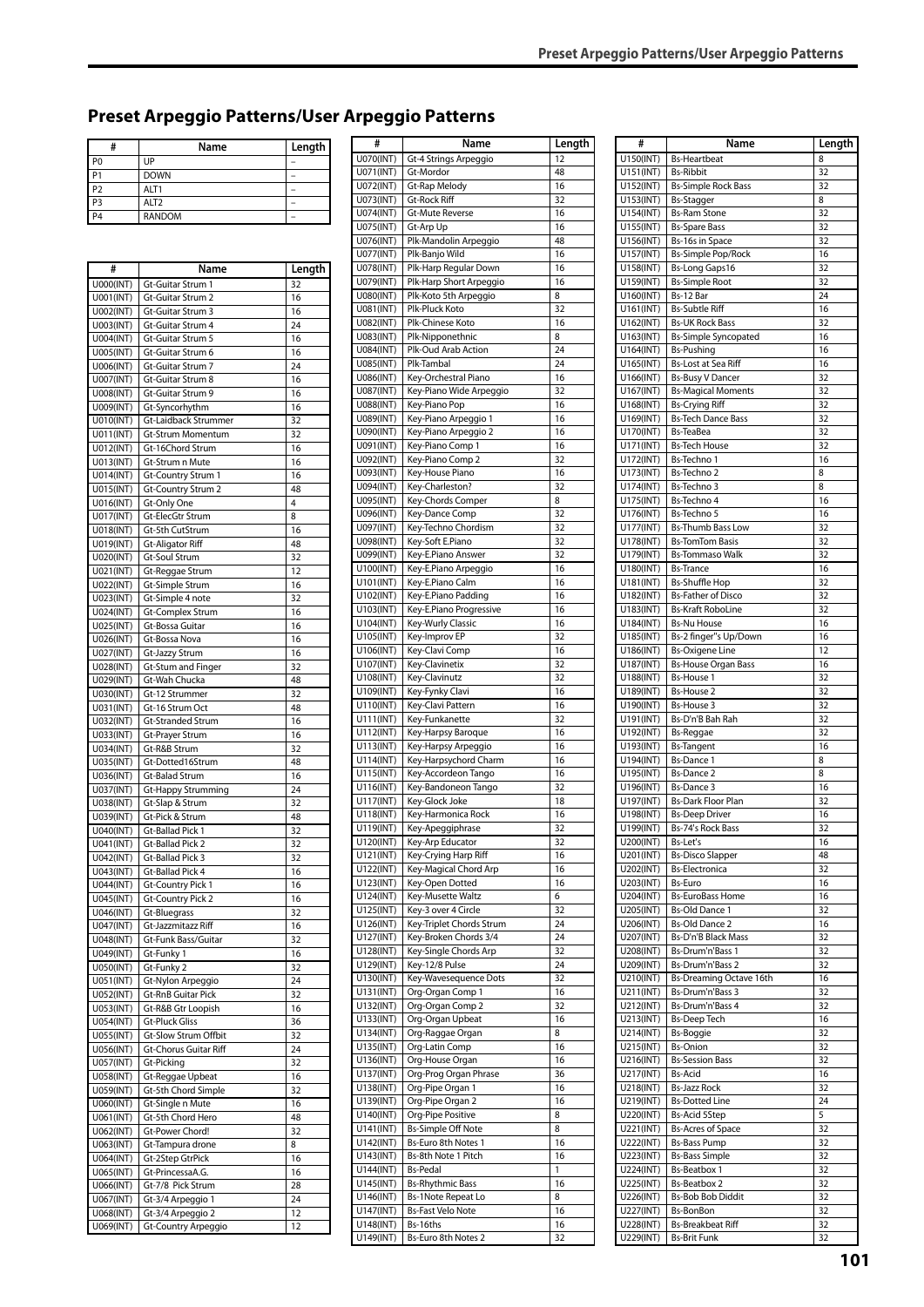# **Preset Arpeggio Patterns/User Arpeggio Patterns**

| #              | Name             | Length |
|----------------|------------------|--------|
| P <sub>0</sub> | UP               |        |
| I P            | <b>DOWN</b>      |        |
| P <sub>2</sub> | ALT <sub>1</sub> |        |
| P <sub>3</sub> | ALT <sub>2</sub> |        |
| l pa           | <b>RANDOM</b>    |        |

| #                      | Name                                     | Length   |
|------------------------|------------------------------------------|----------|
| U000(INT)              | Gt-Guitar Strum 1                        | 32       |
| U001(INT)              | Gt-Guitar Strum 2                        | 16       |
| U002(INT)<br>U003(INT) | Gt-Guitar Strum 3<br>Gt-Guitar Strum 4   | 16<br>24 |
| U004(INT)              | Gt-Guitar Strum 5                        | 16       |
| U005(INT)              | Gt-Guitar Strum 6                        | 16       |
| U006(INT)              | Gt-Guitar Strum 7                        | 24       |
| U007(INT)              | Gt-Guitar Strum 8                        | 16       |
| U008(INT)              | Gt-Guitar Strum 9                        | 16       |
| U009(INT)<br>U010(INT) | Gt-Syncorhythm<br>Gt-Laidback Strummer   | 16<br>32 |
| U011(INT)              | Gt-Strum Momentum                        | 32       |
| U012(INT)              | Gt-16Chord Strum                         | 16       |
| U013(INT)              | Gt-Strum n Mute                          | 16       |
| U014(INT)              | Gt-Country Strum 1                       | 16       |
| U015(INT)              | Gt-Country Strum 2                       | 48       |
| U016(INT)<br>U017(INT) | Gt-Only One<br>Gt-ElecGtr Strum          | 4<br>8   |
| U018(INT)              | Gt-5th CutStrum                          | 16       |
| U019(INT)              | <b>Gt-Aligator Riff</b>                  | 48       |
| U020(INT)              | <b>Gt-Soul Strum</b>                     | 32       |
| U021(INT)              | Gt-Reggae Strum                          | 12       |
| U022(INT)              | Gt-Simple Strum                          | 16       |
| U023(INT)              | Gt-Simple 4 note                         | 32       |
| U024(INT)<br>U025(INT) | Gt-Complex Strum<br>Gt-Bossa Guitar      | 16<br>16 |
| U026(INT)              | Gt-Bossa Nova                            | 16       |
| U027(INT)              | Gt-Jazzy Strum                           | 16       |
| U028(INT)              | Gt-Stum and Finger                       | 32       |
| U029(INT)              | Gt-Wah Chucka                            | 48       |
| U030(INT)              | Gt-12 Strummer                           | 32       |
| U031(INT)<br>U032(INT) | Gt-16 Strum Oct<br>Gt-Stranded Strum     | 48<br>16 |
| U033(INT)              | Gt-Prayer Strum                          | 16       |
| U034(INT)              | Gt-R&B Strum                             | 32       |
| U035(INT)              | Gt-Dotted16Strum                         | 48       |
| U036(INT)              | Gt-Balad Strum                           | 16       |
| U037(INT)              | Gt-Happy Strumming                       | 24       |
| U038(INT)<br>U039(INT) | Gt-Slap & Strum<br>Gt-Pick & Strum       | 32<br>48 |
| U040(INT)              | Gt-Ballad Pick 1                         | 32       |
| U041(INT)              | Gt-Ballad Pick 2                         | 32       |
| U042(INT)              | Gt-Ballad Pick 3                         | 32       |
| U043(INT)              | Gt-Ballad Pick 4                         | 16       |
| U044(INT)              | <b>Gt-Country Pick 1</b>                 | 16       |
| U045(INT)<br>U046(INT) | <b>Gt-Country Pick 2</b><br>Gt-Bluegrass | 16<br>32 |
| U047(INT)              | Gt-Jazzmitazz Riff                       | 16       |
| U048(INT)              | Gt-Funk Bass/Guitar                      | 32       |
| U049(INT)              | Gt-Funky 1                               | 16       |
| U050(INT)              | Gt-Funky 2                               | 32       |
| U051(INT)              | Gt-Nylon Arpeggio                        | 24       |
| U052(INT)<br>U053(INT) | Gt-RnB Guitar Pick<br>Gt-R&B Gtr Loopish | 32<br>16 |
| U054(INT)              | <b>Gt-Pluck Gliss</b>                    | 36       |
| U055(INT)              | Gt-Slow Strum Offbit                     | 32       |
| U056(INT)              | Gt-Chorus Guitar Riff                    | 24       |
| U057(INT)              | Gt-Picking                               | 32       |
| U058(INT)              | Gt-Reggae Upbeat                         | 16       |
| U059(INT)<br>U060(INT) | Gt-5th Chord Simple<br>Gt-Single n Mute  | 32<br>16 |
| U061(INT)              | Gt-5th Chord Hero                        | 48       |
| U062(INT)              | Gt-Power Chord!                          | 32       |
| U063(INT)              | Gt-Tampura drone                         | 8        |
| U064(INT)              | Gt-2Step GtrPick                         | 16       |
| U065(INT)              | Gt-PrincessaA.G.                         | 16       |
| U066(INT)              | Gt-7/8 Pick Strum                        | 28<br>24 |
| U067(INT)<br>U068(INT) | Gt-3/4 Arpeggio 1<br>Gt-3/4 Arpeggio 2   | 12       |
| U069(INT)              | Gt-Country Arpeggio                      | 12       |
|                        |                                          |          |

| #                      | Name                                            | Length   |
|------------------------|-------------------------------------------------|----------|
| U070(INT)              | Gt-4 Strings Arpeggio                           | 12       |
| U071(INT)              | Gt-Mordor                                       | 48       |
| U072(INT)              | Gt-Rap Melody                                   | 16       |
| U073(INT)              | <b>Gt-Rock Riff</b>                             | 32       |
| U074(INT)              | Gt-Mute Reverse                                 | 16       |
| U075(INT)              | Gt-Arp Up                                       | 16<br>48 |
| U076(INT)<br>U077(INT) | Plk-Mandolin Arpeggio<br>Plk-Banjo Wild         | 16       |
| U078(INT)              | Plk-Harp Regular Down                           | 16       |
| U079(INT)              | Plk-Harp Short Arpeggio                         | 16       |
| U080(INT)              | Plk-Koto 5th Arpeggio                           | 8        |
| U081(INT)              | Plk-Pluck Koto                                  | 32       |
| U082(INT)              | Plk-Chinese Koto                                | 16       |
| U083(INT)              | Plk-Nipponethnic                                | 8        |
| U084(INT)              | Plk-Oud Arab Action                             | 24       |
| U085(INT)              | Plk-Tambal                                      | 24       |
| U086(INT)<br>U087(INT) | Key-Orchestral Piano<br>Key-Piano Wide Arpeggio | 16<br>32 |
| U088(INT)              | Key-Piano Pop                                   | 16       |
| U089(INT)              | Key-Piano Arpeggio 1                            | 16       |
| U090(INT)              | Key-Piano Arpeggio 2                            | 16       |
| U091(INT)              | Key-Piano Comp 1                                | 16       |
| U092(INT)              | Key-Piano Comp 2                                | 32       |
| U093(INT)              | Key-House Piano                                 | 16       |
| U094(INT)              | Key-Charleston?                                 | 32       |
| U095(INT)              | Key-Chords Comper                               | 8        |
| U096(INT)              | Key-Dance Comp<br>Key-Techno Chordism           | 32<br>32 |
| U097(INT)<br>U098(INT) | Key-Soft E.Piano                                | 32       |
| U099(INT)              | Key-E.Piano Answer                              | 32       |
| U100(INT)              | Key-E.Piano Arpeggio                            | 16       |
| U101(INT)              | Key-E.Piano Calm                                | 16       |
| U102(INT)              | Key-E.Piano Padding                             | 16       |
| U103(INT)              | Key-E.Piano Progressive                         | 16       |
| U104(INT)              | Key-Wurly Classic                               | 16       |
| U105(INT)<br>U106(INT) | Key-Improv EP<br>Key-Clavi Comp                 | 32<br>16 |
| U107(INT)              | Key-Clavinetix                                  | 32       |
| U108(INT)              | Key-Clavinutz                                   | 32       |
| U109(INT)              | Key-Fynky Clavi                                 | 16       |
| U110(INT)              | Key-Clavi Pattern                               | 16       |
| U111(INT)              | Key-Funkanette                                  | 32       |
| U112(INT)              | Key-Harpsy Baroque                              | 16       |
| U113(INT)<br>U114(INT) | Key-Harpsy Arpeggio<br>Key-Harpsychord Charm    | 16<br>16 |
| U115(INT)              | Key-Accordeon Tango                             | 16       |
| U116(INT)              | Key-Bandoneon Tango                             | 32       |
| U117(INT)              | Key-Glock Joke                                  | 18       |
| U118(INT)              | Key-Harmonica Rock                              | 16       |
| U119(INT)              | Key-Apeggiphrase                                | 32       |
| U120(INT)              | Key-Arp Educator                                | 32       |
| U121(INT)<br>U122(INT) | Key-Crying Harp Riff<br>Key-Magical Chord Arp   | 16<br>16 |
| U123(INT)              | Key-Open Dotted                                 | 16       |
| U124(INT)              | Key-Musette Waltz                               | 6        |
| U125(INT)              | Key-3 over 4 Circle                             | 32       |
| U126(INT)              | Key-Triplet Chords Strum                        | 24       |
| U127(INT)              | Key-Broken Chords 3/4                           | 24       |
| U128(INT)              | Key-Single Chords Arp                           | 32       |
| U129(INT)              | Key-12/8 Pulse                                  | 24<br>32 |
| U130(INT)<br>U131(INT) | Key-Wavesequence Dots<br>Org-Organ Comp 1       | 16       |
| U132(INT)              | Org-Organ Comp 2                                | 32       |
| U133(INT)              | Org-Organ Upbeat                                | 16       |
| U134(INT)              | Org-Raggae Organ                                | 8        |
| U135(INT)              | Org-Latin Comp                                  | 16       |
| U136(INT)              | Org-House Organ                                 | 16       |
| U137(INT)<br>U138(INT) | Org-Prog Organ Phrase                           | 36<br>16 |
| U139(INT)              | Org-Pipe Organ 1<br>Org-Pipe Organ 2            | 16       |
| U140(INT)              | Org-Pipe Positive                               | 8        |
| U141(INT)              | <b>Bs-Simple Off Note</b>                       | 8        |
| U142(INT)              | Bs-Euro 8th Notes 1                             | 16       |
| U143(INT)              | Bs-8th Note 1 Pitch                             | 16       |
| U144(INT)              | <b>Bs-Pedal</b>                                 | 1        |
| U145(INT)<br>U146(INT) | <b>Bs-Rhythmic Bass</b><br>Bs-1Note Repeat Lo   | 16<br>8  |
| U147(INT)              | <b>Bs-Fast Velo Note</b>                        | 16       |
| U148(INT)              | Bs-16ths                                        | 16       |
| U149(INT)              | Bs-Euro 8th Notes 2                             | 32       |

| #                      | Name                                           | Length   |
|------------------------|------------------------------------------------|----------|
| U150(INT)              | <b>Bs-Heartbeat</b>                            | 8        |
| U151(INT)              | <b>Bs-Ribbit</b>                               | 32       |
| U152(INT)              | <b>Bs-Simple Rock Bass</b>                     | 32       |
| U153(INT)              | Bs-Stagger                                     | 8        |
| U154(INT)              | <b>Bs-Ram Stone</b>                            | 32       |
| U155(INT)              | <b>Bs-Spare Bass</b>                           | 32       |
| U156(INT)              | Bs-16s in Space                                | 32       |
| U157(INT)              | Bs-Simple Pop/Rock                             | 16       |
| U158(INT)              | <b>Bs-Long Gaps16</b>                          | 32       |
| U159(INT)              | <b>Bs-Simple Root</b>                          | 32       |
| U160(INT)              | Bs-12 Bar                                      | 24       |
| U161(INT)              | <b>Bs-Subtle Riff</b>                          | 16       |
| U162(INT)              | <b>Bs-UK Rock Bass</b>                         | 32       |
| U163(INT)              | <b>Bs-Simple Syncopated</b>                    | 16       |
| U164(INT)              | <b>Bs-Pushing</b>                              | 16<br>16 |
| U165(INT)<br>U166(INT) | Bs-Lost at Sea Riff<br><b>Bs-Busy V Dancer</b> | 32       |
| U167(INT)              | <b>Bs-Magical Moments</b>                      | 32       |
| U168(INT)              | <b>Bs-Crying Riff</b>                          | 32       |
| U169(INT)              | <b>Bs-Tech Dance Bass</b>                      | 32       |
| U170(INT)              | Bs-TeaBea                                      | 32       |
| U171(INT)              | <b>Bs-Tech House</b>                           | 32       |
| U172(INT)              | Bs-Techno 1                                    | 16       |
| U173(INT)              | Bs-Techno 2                                    | 8        |
| U174(INT)              | Bs-Techno 3                                    | 8        |
| U175(INT)              | Bs-Techno 4                                    | 16       |
| U176(INT)              | Bs-Techno 5                                    | 16       |
| U177(INT)              | <b>Bs-Thumb Bass Low</b>                       | 32       |
| U178(INT)              | <b>Bs-TomTom Basis</b>                         | 32       |
| U179(INT)              | <b>Bs-Tommaso Walk</b>                         | 32       |
| U180(INT)              | <b>Bs-Trance</b>                               | 16       |
| U181(INT)              | <b>Bs-Shuffle Hop</b>                          | 32       |
| U182(INT)              | <b>Bs-Father of Disco</b>                      | 32       |
| U183(INT)              | <b>Bs-Kraft RoboLine</b>                       | 32       |
| U184(INT)              | <b>Bs-Nu House</b>                             | 16       |
| U185(INT)              | Bs-2 finger"s Up/Down                          | 16       |
| U186(INT)              | <b>Bs-Oxigene Line</b>                         | 12       |
| U187(INT)              | <b>Bs-House Organ Bass</b>                     | 16       |
| U188(INT)              | <b>Bs-House 1</b>                              | 32       |
| U189(INT)              | <b>Bs-House 2</b>                              | 32       |
| U190(INT)              | Bs-House 3                                     | 32       |
| U191(INT)              | Bs-D'n'B Bah Rah                               | 32<br>32 |
| U192(INT)<br>U193(INT) | <b>Bs-Reggae</b><br><b>Bs-Tangent</b>          | 16       |
| U194(INT)              | <b>Bs-Dance 1</b>                              | 8        |
| U195(INT)              | <b>Bs-Dance 2</b>                              | 8        |
| U196(INT)              | <b>Bs-Dance 3</b>                              | 16       |
| U197(INT)              | <b>Bs-Dark Floor Plan</b>                      | 32       |
| U198(INT)              | <b>Bs-Deep Driver</b>                          | 16       |
| U199(INT)              | Bs-74's Rock Bass                              | 32       |
| U200(INT)              | Bs-Let's                                       | 16       |
| U201(INT)              | <b>Bs-Disco Slapper</b>                        | 48       |
| U202(INT)              | <b>Bs-Electronica</b>                          | 32       |
| U203(INT)              | Bs-Euro                                        | 16       |
| U204(INT)              | <b>Bs-EuroBass Home</b>                        | 16       |
| U205(INT)              | <b>Bs-Old Dance 1</b>                          | 32       |
| U206(INT)              | <b>Bs-Old Dance 2</b>                          | 16       |
| U207(INT)              | Bs-D'n'B Black Mass                            | 32       |
| U208(INT)              | Bs-Drum'n'Bass 1                               | 32       |
| U209(INT)              | Bs-Drum'n'Bass 2                               | 32       |
| U210(INT)              | Bs-Dreaming Octave 16th                        | 16       |
| U211(INT)              | Bs-Drum'n'Bass 3                               | 32       |
| U212(INT)              | Bs-Drum'n'Bass 4                               | 32       |
| U213(INT)              | <b>Bs-Deep Tech</b>                            | 16       |
| U214(INT)              | Bs-Boggie                                      | 32       |
| U215(INT)              | <b>Bs-Onion</b>                                | 32       |
| U216(INT)              | <b>Bs-Session Bass</b>                         | 32       |
| U217(INT)              | <b>Bs-Acid</b>                                 | 16       |
| U218(INT)              | Bs-Jazz Rock                                   | 32       |
| U219(INT)<br>U220(INT) | <b>Bs-Dotted Line</b><br><b>Bs-Acid 5Step</b>  | 24<br>5  |
| U221(INT)              | <b>Bs-Acres of Space</b>                       | 32       |
| U222(INT)              | <b>Bs-Bass Pump</b>                            | 32       |
| U223(INT)              | <b>Bs-Bass Simple</b>                          | 32       |
| U224(INT)              | <b>Bs-Beatbox 1</b>                            | 32       |
| U225(INT)              | Bs-Beatbox 2                                   | 32       |
| U226(INT)              | <b>Bs-Bob Bob Diddit</b>                       | 32       |
| U227(INT)              | Bs-BonBon                                      | 32       |
| U228(INT)              | <b>Bs-Breakbeat Riff</b>                       | 32       |
| U229(INT)              | <b>Bs-Brit Funk</b>                            | 32       |
|                        |                                                |          |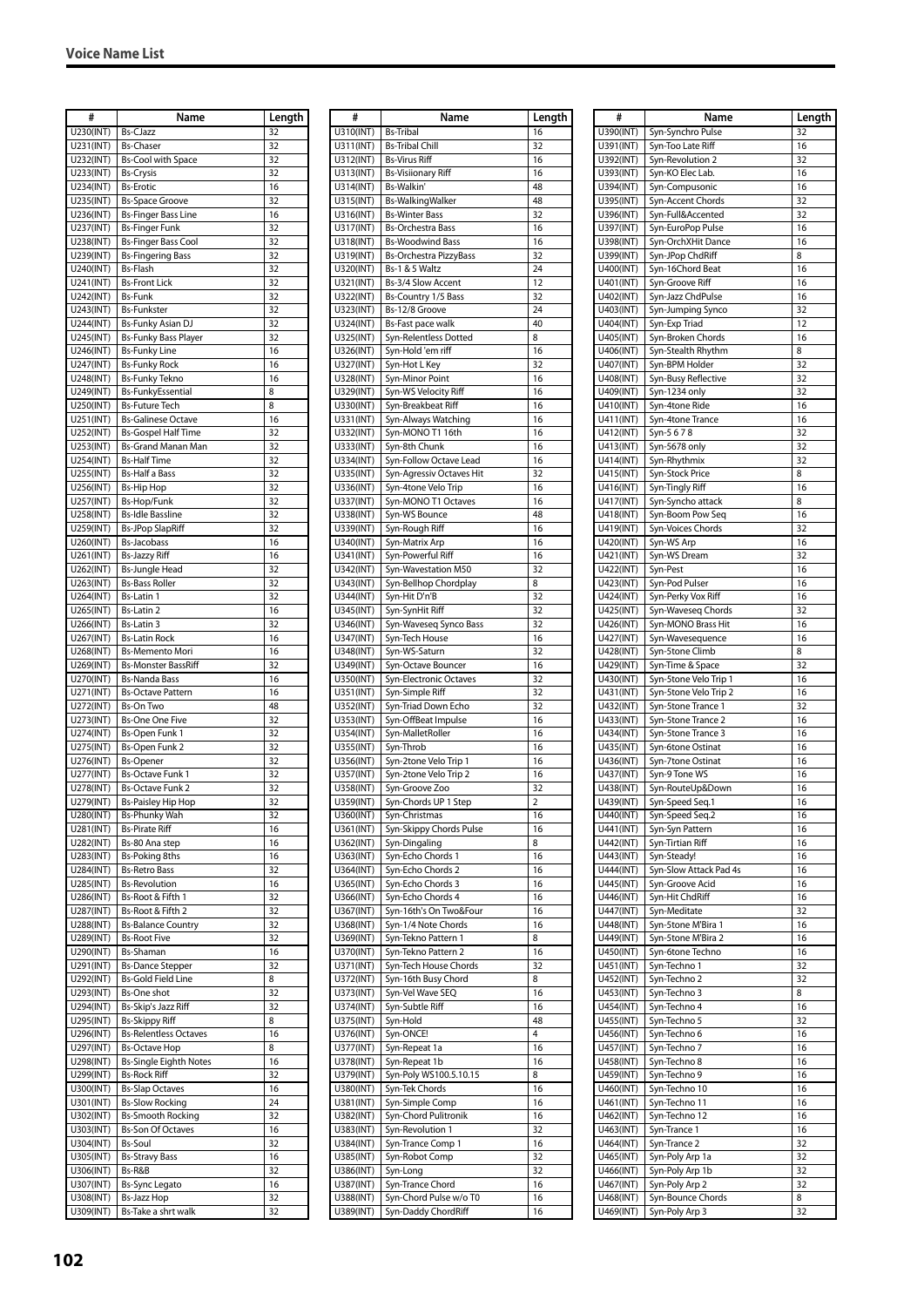| #                       | Name                          | Length          |
|-------------------------|-------------------------------|-----------------|
| U230(INT)               | <b>Bs-CJazz</b>               | 32              |
| $\overline{U}$ 231(INT) | <b>Bs-Chaser</b>              | 32              |
| U232(INT)               | <b>Bs-Cool with Space</b>     | 32              |
|                         |                               |                 |
| U233(INT)               | <b>Bs-Crysis</b>              | 32              |
| U234(INT)               | <b>Bs-Erotic</b>              | 16              |
| U235(INT)               | <b>Bs-Space Groove</b>        | 32              |
| U236(INT)               | <b>Bs-Finger Bass Line</b>    | 16              |
|                         |                               |                 |
| U237(INT)               | <b>Bs-Finger Funk</b>         | 32              |
| U238(INT)               | <b>Bs-Finger Bass Cool</b>    | 32              |
| U239(INT)               | <b>Bs-Fingering Bass</b>      | 32              |
| U240(INT)               | <b>Bs-Flash</b>               | 32              |
| U241(INT)               | <b>Bs-Front Lick</b>          | 32              |
|                         |                               |                 |
| U242(INT)               | <b>Bs-Funk</b>                | 32              |
| U243(INT)               | <b>Bs-Funkster</b>            | 32              |
| U244(INT)               | <b>Bs-Funky Asian DJ</b>      | 32              |
| U245(INT)               | <b>Bs-Funky Bass Player</b>   | 32              |
|                         | <b>Bs-Funky Line</b>          | 16              |
| U246(INT)               |                               |                 |
| U247(INT)               | <b>Bs-Funky Rock</b>          | 16              |
| U248(INT)               | <b>Bs-Funky Tekno</b>         | 16              |
| U249(INT)               | <b>Bs-FunkyEssential</b>      | 8               |
| U250(INT)               | <b>Bs-Future Tech</b>         | 8               |
|                         | <b>Bs-Galinese Octave</b>     |                 |
| U251(INT)               |                               | 16              |
| U252(INT)               | <b>Bs-Gospel Half Time</b>    | 32              |
| U253(INT)               | <b>Bs-Grand Manan Man</b>     | 32              |
| U254(INT)               | <b>Bs-Half Time</b>           | 32              |
| U255(INT)               | <b>Bs-Half a Bass</b>         | 32              |
|                         |                               |                 |
| U256(INT)               | <b>Bs-Hip Hop</b>             | 32              |
| U257(INT)               | Bs-Hop/Funk                   | 32              |
| U258(INT)               | <b>Bs-Idle Bassline</b>       | 32              |
| U259(INT)               | <b>Bs-JPop SlapRiff</b>       | 32              |
|                         |                               |                 |
| U260(INT)               | <b>Bs-Jacobass</b>            | 16              |
| U261(INT)               | <b>Bs-Jazzy Riff</b>          | 16              |
| U262(INT)               | <b>Bs-Jungle Head</b>         | 32              |
| U263(INT)               | <b>Bs-Bass Roller</b>         | 32              |
| U264(INT)               | <b>Bs-Latin 1</b>             | 32              |
|                         |                               |                 |
| U265(INT)               | <b>Bs-Latin 2</b>             | 16              |
| U266(INT)               | Bs-Latin 3                    | 32              |
| U267(INT)               | <b>Bs-Latin Rock</b>          | 16              |
| U268(INT)               | <b>Bs-Memento Mori</b>        | 16              |
|                         | <b>Bs-Monster BassRiff</b>    |                 |
| U269(INT)               |                               | 32              |
| U270(INT)               | <b>Bs-Nanda Bass</b>          | 16              |
| U271(INT)               | <b>Bs-Octave Pattern</b>      | 16              |
| U272(INT)               | Bs-On Two                     | 48              |
| U273(INT)               | <b>Bs-One One Five</b>        | 32              |
|                         |                               |                 |
| U274(INT)               | Bs-Open Funk 1                | 32              |
| U275(INT)               | Bs-Open Funk 2                | 32              |
| U276(INT)               | <b>Bs-Opener</b>              | 32              |
| U277(INT)               | <b>Bs-Octave Funk 1</b>       | 32              |
| U278(INT)               | <b>Bs-Octave Funk 2</b>       | 32              |
|                         |                               |                 |
| U279(INT)               | <b>Bs-Paisley Hip Hop</b>     | $\overline{32}$ |
| U280(INT)               | <b>Bs-Phunky Wah</b>          | 32              |
| U281(INT)               | <b>Bs-Pirate Riff</b>         | 16              |
| U282(INT)               | Bs-80 Ana step                | 16              |
|                         |                               |                 |
| U283(INT)               | Bs-Poking 8ths                | 16              |
| U284(INT)               | <b>Bs-Retro Bass</b>          | 32              |
| U285(INT)               | <b>Bs-Revolution</b>          | 16              |
| U286(INT)               | Bs-Root & Fifth 1             | 32              |
| U287(INT)               | Bs-Root & Fifth 2             | 32              |
|                         |                               | 32              |
| U288(INT)               | <b>Bs-Balance Country</b>     |                 |
| U289(INT)               | <b>Bs-Root Five</b>           | 32              |
| U290(INT)               | Bs-Shaman                     | 16              |
| U291(INT)               | <b>Bs-Dance Stepper</b>       | 32              |
| U292(INT)               | <b>Bs-Gold Field Line</b>     | 8               |
|                         |                               |                 |
| U293(INT)               | Bs-One shot                   | 32              |
| U294(INT)               | Bs-Skip's Jazz Riff           | 32              |
| U295(INT)               | Bs-Skippy Riff                | 8               |
| U296(INT)               | <b>Bs-Relentless Octaves</b>  | 16              |
| U297(INT)               | <b>Bs-Octave Hop</b>          | 8               |
|                         |                               |                 |
| U298(INT)               | <b>Bs-Single Eighth Notes</b> | 16              |
| U299(INT)               | Bs-Rock Riff                  | 32              |
| U300(INT)               | <b>Bs-Slap Octaves</b>        | 16              |
| U301(INT)               | <b>Bs-Slow Rocking</b>        | 24              |
| U302(INT)               |                               |                 |
|                         | <b>Bs-Smooth Rocking</b>      | 32              |
| U303(INT)               | <b>Bs-Son Of Octaves</b>      | 16              |
| U304(INT)               | <b>Bs-Soul</b>                | 32              |
| U305(INT)               | <b>Bs-Stravy Bass</b>         | 16              |
| U306(INT)               | Bs-R&B                        | 32              |
|                         |                               |                 |
| U307(INT)               | <b>Bs-Sync Legato</b>         | 16              |
| U308(INT)               | Bs-Jazz Hop                   | 32              |
| U309(INT)               | Bs-Take a shrt walk           | 32              |

| #                      | Name                                                     | Length   |
|------------------------|----------------------------------------------------------|----------|
| U310(INT)              | <b>Bs-Tribal</b>                                         | 16       |
| U311(INT)              | <b>Bs-Tribal Chill</b>                                   | 32       |
| U312(INT)              | <b>Bs-Virus Riff</b>                                     | 16       |
| U313(INT)              | <b>Bs-Visiionary Riff</b>                                | 16       |
| U314(INT)              | Bs-Walkin'                                               | 48       |
| U315(INT)              | Bs-WalkingWalker                                         | 48       |
| U316(INT)              | <b>Bs-Winter Bass</b>                                    | 32       |
| U317(INT)              | <b>Bs-Orchestra Bass</b>                                 | 16       |
| U318(INT)<br>U319(INT) | <b>Bs-Woodwind Bass</b><br><b>Bs-Orchestra PizzyBass</b> | 16<br>32 |
| U320(INT)              | Bs-1 & 5 Waltz                                           | 24       |
| U321(INT)              | Bs-3/4 Slow Accent                                       | 12       |
| U322(INT)              | Bs-Country 1/5 Bass                                      | 32       |
| U323(INT)              | Bs-12/8 Groove                                           | 24       |
| U324(INT)              | Bs-Fast pace walk                                        | 40       |
| U325(INT)              | Syn-Relentless Dotted                                    | 8        |
| U326(INT)              | Syn-Hold 'em riff                                        | 16       |
| U327(INT)              | Syn-Hot L Key                                            | 32       |
| U328(INT)              | Syn-Minor Point                                          | 16       |
| U329(INT)<br>U330(INT) | Syn-WS Velocity Riff<br>Syn-Breakbeat Riff               | 16<br>16 |
| U331(INT)              | Syn-Always Watching                                      | 16       |
| U332(INT)              | Syn-MONO T1 16th                                         | 16       |
| U333(INT)              | Syn-8th Chunk                                            | 16       |
| U334(INT)              | Syn-Follow Octave Lead                                   | 16       |
| U335(INT)              | Syn-Agressiv Octaves Hit                                 | 32       |
| U336(INT)              | Syn-4tone Velo Trip                                      | 16       |
| U337(INT)              | Syn-MONO T1 Octaves                                      | 16       |
| U338(INT)              | Syn-WS Bounce                                            | 48       |
| U339(INT)              | Syn-Rough Riff                                           | 16       |
| U340(INT)              | Syn-Matrix Arp                                           | 16       |
| U341(INT)              | Syn-Powerful Riff                                        | 16       |
| U342(INT)<br>U343(INT) | Syn-Wavestation M50<br>Syn-Bellhop Chordplay             | 32<br>8  |
| U344(INT)              | Syn-Hit D'n'B                                            | 32       |
| U345(INT)              | Syn-SynHit Riff                                          | 32       |
| U346(INT)              | Syn-Waveseq Synco Bass                                   | 32       |
| U347(INT)              | Syn-Tech House                                           | 16       |
| U348(INT)              | Syn-WS-Saturn                                            | 32       |
| U349(INT)              | Syn-Octave Bouncer                                       | 16       |
| U350(INT)              | Syn-Electronic Octaves                                   | 32       |
| U351(INT)              | Syn-Simple Riff                                          | 32<br>32 |
| U352(INT)<br>U353(INT) | Syn-Triad Down Echo<br>Syn-OffBeat Impulse               | 16       |
| U354(INT)              | Syn-MalletRoller                                         | 16       |
| U355(INT)              | Syn-Throb                                                | 16       |
| U356(INT)              | Syn-2tone Velo Trip 1                                    | 16       |
| U357(INT)              | Syn-2tone Velo Trip 2                                    | 16       |
| U358(INT)              | Syn-Groove Zoo                                           | 32       |
| U359(INT)              | Syn-Chords UP 1 Step                                     | 2        |
| U360(INT)              | Syn-Christmas                                            | 16       |
| U361(INT)              | Syn-Skippy Chords Pulse                                  | 16       |
| U362(INT)              | Syn-Dingaling                                            | 8        |
| U363(INT)              | Syn-Echo Chords 1                                        | 16       |
| U364(INT)<br>U365(INT) | Syn-Echo Chords 2<br>Syn-Echo Chords 3                   | 16<br>16 |
| U366(INT)              | Syn-Echo Chords 4                                        | 16       |
| U367(INT)              | Syn-16th's On Two&Four                                   | 16       |
| U368(INT)              | Syn-1/4 Note Chords                                      | 16       |
| U369(INT)              | Syn-Tekno Pattern 1                                      | 8        |
| U370(INT)              | Syn-Tekno Pattern 2                                      | 16       |
| U371(INT)              | Syn-Tech House Chords                                    | 32       |
| U372(INT)              | Syn-16th Busy Chord                                      | 8        |
| U373(INT)              | Syn-Vel Wave SEQ                                         | 16       |
| U374(INT)              | Syn-Subtle Riff                                          | 16<br>48 |
| U375(INT)<br>U376(INT) | Syn-Hold<br>Syn-ONCE!                                    | 4        |
| U377(INT)              | Syn-Repeat 1a                                            | 16       |
| U378(INT)              | Syn-Repeat 1b                                            | 16       |
| U379(INT)              | Syn-Poly WS100.5.10.15                                   | 8        |
| U380(INT)              | Syn-Tek Chords                                           | 16       |
| U381(INT)              | Syn-Simple Comp                                          | 16       |
| U382(INT)              | Syn-Chord Pulitronik                                     | 16       |
| U383(INT)              | Syn-Revolution 1                                         | 32       |
| U384(INT)              | Syn-Trance Comp 1                                        | 16       |
| U385(INT)              | Syn-Robot Comp<br>Syn-Long                               | 32<br>32 |
| U386(INT)<br>U387(INT) | Syn-Trance Chord                                         | 16       |
| U388(INT)              | Syn-Chord Pulse w/o T0                                   | 16       |
| U389(INT)              | Syn-Daddy ChordRiff                                      | 16       |

| #                      | Name                                      |          |
|------------------------|-------------------------------------------|----------|
|                        |                                           | Length   |
| U390(INT)<br>U391(INT) | Syn-Synchro Pulse<br>Syn-Too Late Riff    | 32<br>16 |
| U392(INT)              | Syn-Revolution 2                          | 32       |
| U393(INT)              | Syn-KO Elec Lab.                          | 16       |
| U394(INT)              | Syn-Compusonic                            | 16       |
| U395(INT)              | Syn-Accent Chords                         | 32       |
| U396(INT)              | Syn-Full&Accented                         | 32       |
| U397(INT)              | Syn-EuroPop Pulse                         | 16       |
| U398(INT)              | Syn-OrchXHit Dance                        | 16       |
| U399(INT)              | Syn-JPop ChdRiff                          | 8        |
| U400(INT)              | Syn-16Chord Beat                          | 16       |
| U401(INT)              | Syn-Groove Riff                           | 16       |
| U402(INT)              | Syn-Jazz ChdPulse                         | 16       |
| U403(INT)              | Syn-Jumping Synco                         | 32       |
| U404(INT)              | Syn-Exp Triad                             | 12       |
| U405(INT)              | Syn-Broken Chords                         | 16       |
| U406(INT)              | Syn-Stealth Rhythm                        | 8        |
| U407(INT)<br>U408(INT) | Syn-BPM Holder                            | 32<br>32 |
| U409(INT)              | Syn-Busy Reflective<br>Syn-1234 only      | 32       |
| U410(INT)              | Syn-4tone Ride                            | 16       |
| U411(INT)              | Syn-4tone Trance                          | 16       |
| U412(INT)              | Syn-5678                                  | 32       |
| U413(INT)              | Syn-5678 only                             | 32       |
| U414(INT)              | Syn-Rhythmix                              | 32       |
| U415(INT)              | Syn-Stock Price                           | 8        |
| U416(INT)              | Syn-Tingly Riff                           | 16       |
| U417(INT)              | Syn-Syncho attack                         | 8        |
| U418(INT)              | Syn-Boom Pow Seq                          | 16       |
| U419(INT)              | Syn-Voices Chords                         | 32       |
| U420(INT)              | Syn-WS Arp                                | 16       |
| U421(INT)              | Syn-WS Dream                              | 32       |
| U422(INT)              | Syn-Pest                                  | 16       |
| U423(INT)              | Syn-Pod Pulser                            | 16       |
| U424(INT)              | Syn-Perky Vox Riff                        | 16       |
| U425(INT)              | Syn-Waveseq Chords                        | 32       |
| U426(INT)              | Syn-MONO Brass Hit                        | 16       |
| U427(INT)              | Syn-Wavesequence                          | 16       |
| U428(INT)              | Syn-5tone Climb                           | 8        |
| U429(INT)<br>U430(INT) | Syn-Time & Space<br>Syn-5tone Velo Trip 1 | 32<br>16 |
| U431(INT)              | Syn-5tone Velo Trip 2                     | 16       |
| U432(INT)              | Syn-5tone Trance 1                        | 32       |
| U433(INT)              | Syn-5tone Trance 2                        | 16       |
| U434(INT)              | Syn-5tone Trance 3                        | 16       |
| U435(INT)              | Syn-6tone Ostinat                         | 16       |
| U436(INT)              | Syn-7tone Ostinat                         | 16       |
| U437(INT)              | Syn-9 Tone WS                             | 16       |
| U438(INT)              | Syn-RouteUp&Down                          | 16       |
| U439(INT)              | Syn-Speed Seq.1                           | 16       |
| U440(INT)              | Syn-Speed Seq.2                           | 16       |
| U441(INT)              | Syn-Syn Pattern                           | 16       |
| U442(INT)              | Syn-Tirtian Riff                          | 16       |
| U443(INT)              | Syn-Steady!                               | 16       |
| U444(INT)              | Syn-Slow Attack Pad 4s                    | 16       |
| U445(INT)              | Syn-Groove Acid                           | 16       |
| U446(INT)              | Syn-Hit ChdRiff                           | 16       |
| U447(INT)              | Syn-Meditate<br>Syn-5tone M'Bira 1        | 32       |
| U448(INT)<br>U449(INT) | Syn-5tone M'Bira 2                        | 16<br>16 |
| U450(INT)              | Syn-6tone Techno                          | 16       |
| U451(INT)              | Syn-Techno 1                              | 32       |
| U452(INT)              | Syn-Techno 2                              | 32       |
| U453(INT)              | Syn-Techno 3                              | 8        |
| <b>U454(INT)</b>       | Syn-Techno 4                              | 16       |
| U455(INT)              | Syn-Techno 5                              | 32       |
| U456(INT)              | Syn-Techno 6                              | 16       |
| U457(INT)              | Syn-Techno 7                              | 16       |
| U458(INT)              | Syn-Techno 8                              | 16       |
| U459(INT)              | Syn-Techno 9                              | 16       |
| U460(INT)              | Syn-Techno 10                             | 16       |
| U461(INT)              | Syn-Techno 11                             | 16       |
| U462(INT)              | Syn-Techno 12                             | 16       |
| U463(INT)              | Syn-Trance 1                              | 16       |
| U464(INT)              | Syn-Trance 2                              | 32       |
| U465(INT)              | Syn-Poly Arp 1a                           | 32       |
| U466(INT)              | Syn-Poly Arp 1b                           | 32<br>32 |
| U467(INT)<br>U468(INT) | Syn-Poly Arp 2<br>Syn-Bounce Chords       | 8        |
| U469(INT)              | Syn-Poly Arp 3                            | 32       |
|                        |                                           |          |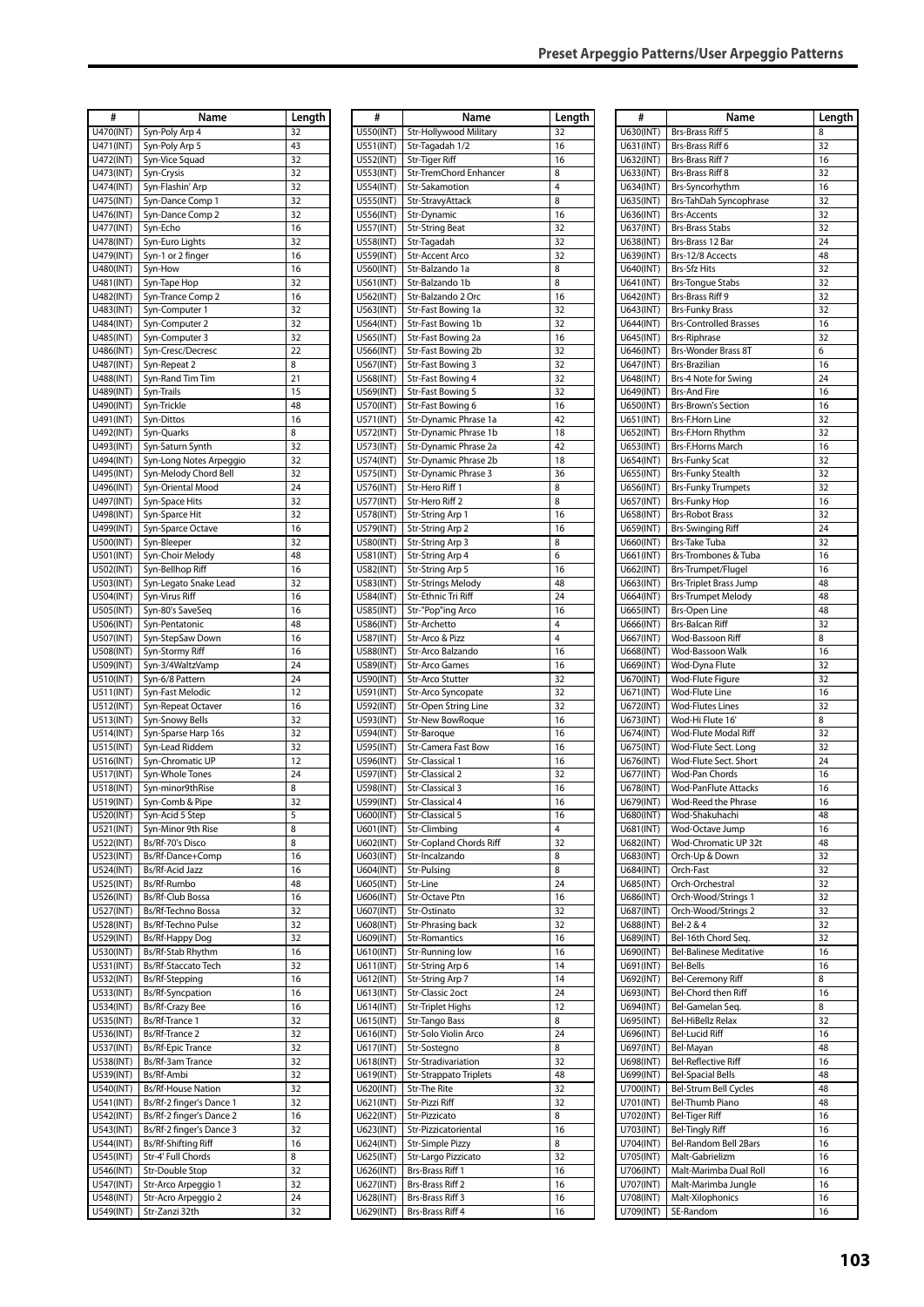| #                      | <b>Name</b>                       | Length   |
|------------------------|-----------------------------------|----------|
| U470(INT)              | Syn-Poly Arp 4                    | 32       |
| U471(INT)              | Syn-Poly Arp 5                    | 43       |
| U472(INT)              | Syn-Vice Squad                    | 32       |
| U473(INT)              | Syn-Crysis                        | 32       |
| U474(INT)              | Syn-Flashin' Arp                  | 32       |
| U475(INT)              | Syn-Dance Comp 1                  | 32       |
| U476(INT)              | Syn-Dance Comp 2                  | 32       |
| U477(INT)              | Syn-Echo                          | 16       |
| U478(INT)              | Syn-Euro Lights                   | 32       |
| U479(INT)              | Syn-1 or 2 finger                 | 16       |
| U480(INT)              | Syn-How                           | 16       |
| U481(INT)              | Syn-Tape Hop                      | 32       |
| U482(INT)              | Syn-Trance Comp 2                 | 16       |
| U483(INT)              | Syn-Computer 1                    | 32       |
| U484(INT)              | Syn-Computer 2                    | 32       |
| U485(INT)              | Syn-Computer 3                    | 32       |
| U486(INT)              | Syn-Cresc/Decresc                 | 22       |
| U487(INT)              | Syn-Repeat 2                      | 8        |
| U488(INT)              | Syn-Rand Tim Tim                  | 21       |
| U489(INT)              | Syn-Trails                        | 15       |
| U490(INT)              | Syn-Trickle                       | 48       |
| U491(INT)              | Syn-Dittos                        | 16       |
| U492(INT)              | Syn-Quarks                        | 8        |
| U493(INT)              | Syn-Saturn Synth                  | 32       |
| U494(INT)              | Syn-Long Notes Arpeggio           | 32       |
| U495(INT)              | Syn-Melody Chord Bell             | 32       |
| U496(INT)              | Syn-Oriental Mood                 | 24       |
| U497(INT)              | Syn-Space Hits                    | 32       |
| U498(INT)              | Syn-Sparce Hit                    | 32       |
| U499(INT)              | Syn-Sparce Octave                 | 16       |
| U500(INT)              | Syn-Bleeper                       | 32       |
| U501(INT)              | Syn-Choir Melody                  | 48       |
| U502(INT)              | Syn-Bellhop Riff                  | 16       |
| U503(INT)              | Syn-Legato Snake Lead             | 32       |
| U504(INT)              | Syn-Virus Riff                    | 16       |
| U505(INT)              | Syn-80's SaveSeq                  | 16       |
| U506(INT)              | Syn-Pentatonic                    | 48       |
| U507(INT)              | Syn-StepSaw Down                  | 16       |
| U508(INT)              | Syn-Stormy Riff                   | 16       |
| U509(INT)              | Syn-3/4WaltzVamp                  | 24       |
| U510(INT)              | Syn-6/8 Pattern                   | 24       |
| U511(INT)              | Syn-Fast Melodic                  | 12       |
| U512(INT)              | Syn-Repeat Octaver                | 16       |
| U513(INT)              | Syn-Snowy Bells                   | 32       |
| U514(INT)              | Syn-Sparse Harp 16s               | 32       |
| U515(INT)              | Syn-Lead Riddem                   | 32       |
| U516(INT)              | Syn-Chromatic UP                  | 12       |
| U517(INT)              | Syn-Whole Tones                   | 24       |
| U518(INT)              | Syn-minor9thRise                  | 8        |
| U519(INT)              | Syn-Comb & Pipe                   | 32       |
| U520(INT)              | Syn-Acid 5 Step                   | 5        |
| U521(INT)              | Syn-Minor 9th Rise                | 8        |
| U522(INT)              | Bs/Rf-70's Disco                  | 8        |
| U523(INT)              | Bs/Rf-Dance+Comp                  | 16       |
| U524(INT)              | <b>Bs/Rf-Acid Jazz</b>            | 16       |
| U525(INT)              | Bs/Rf-Rumbo                       | 48       |
| U526(INT)              | <b>Bs/Rf-Club Bossa</b>           | 16       |
| U527(INT)              | Bs/Rf-Techno Bossa                | 32       |
| U528(INT)              | Bs/Rf-Techno Pulse                | 32       |
| U529(INT)              | Bs/Rf-Happy Dog                   | 32       |
| U530(INT)              | Bs/Rf-Stab Rhythm                 | 16       |
| U531(INT)              | Bs/Rf-Staccato Tech               | 32       |
| U532(INT)              | Bs/Rf-Stepping                    | 16       |
| U533(INT)              | Bs/Rf-Syncpation                  | 16       |
| U534(INT)<br>U535(INT) | Bs/Rf-Crazy Bee<br>Bs/Rf-Trance 1 | 16<br>32 |
| U536(INT)              | Bs/Rf-Trance 2                    | 32       |
| U537(INT)              | <b>Bs/Rf-Epic Trance</b>          | 32       |
| U538(INT)              | Bs/Rf-3am Trance                  | 32       |
| U539(INT)              | Bs/Rf-Ambi                        | 32       |
| U540(INT)              | <b>Bs/Rf-House Nation</b>         | 32       |
| U541(INT)              | Bs/Rf-2 finger's Dance 1          | 32       |
| U542(INT)              | Bs/Rf-2 finger's Dance 2          | 16       |
| U543(INT)              | Bs/Rf-2 finger's Dance 3          | 32       |
| U544(INT)              | Bs/Rf-Shifting Riff               | 16       |
| U545(INT)              | Str-4' Full Chords                | 8        |
| U546(INT)              | Str-Double Stop                   | 32       |
| U547(INT)              | Str-Arco Arpeggio 1               | 32       |
| <b>U548(INT)</b>       | Str-Acro Arpeggio 2               | 24       |
| U549(INT)              | Str-Zanzi 32th                    | 32       |

| #                       | Name                                          | Length   |
|-------------------------|-----------------------------------------------|----------|
| U550(INT)               | Str-Hollywood Military                        | 32       |
| U551(INT)               | Str-Tagadah 1/2                               | 16       |
| U552(INT)<br>U553(INT)  | Str-Tiger Riff<br>Str-TremChord Enhancer      | 16<br>8  |
| U554(INT)               | Str-Sakamotion                                | 4        |
| U555(INT)               | Str-StravyAttack                              | 8        |
| U556(INT)               | Str-Dynamic                                   | 16       |
| U557(INT)               | <b>Str-String Beat</b>                        | 32       |
| U558(INT)<br>U559(INT)  | Str-Tagadah<br><b>Str-Accent Arco</b>         | 32<br>32 |
| U560(INT)               | Str-Balzando 1a                               | 8        |
| U561(INT)               | Str-Balzando 1b                               | 8        |
| U562(INT)               | Str-Balzando 2 Orc                            | 16       |
| U563(INT)<br>U564(INT)  | Str-Fast Bowing 1a<br>Str-Fast Bowing 1b      | 32<br>32 |
| U565(INT)               | Str-Fast Bowing 2a                            | 16       |
| U566(INT)               | Str-Fast Bowing 2b                            | 32       |
| U567(INT)               | Str-Fast Bowing 3                             | 32       |
| U568(INT)<br>U569(INT)  | Str-Fast Bowing 4<br>Str-Fast Bowing 5        | 32<br>32 |
| U570(INT)               | Str-Fast Bowing 6                             | 16       |
| U571(INT)               | Str-Dynamic Phrase 1a                         | 42       |
| U572(INT)               | Str-Dynamic Phrase 1b                         | 18       |
| $\overline{0573}$ (INT) | Str-Dynamic Phrase 2a                         | 42       |
| U574(INT)<br>U575(INT)  | Str-Dynamic Phrase 2b<br>Str-Dynamic Phrase 3 | 18<br>36 |
| U576(INT)               | Str-Hero Riff 1                               | 8        |
| U577(INT)               | Str-Hero Riff 2                               | 8        |
| U578(INT)               | Str-String Arp 1                              | 16       |
| U579(INT)               | Str-String Arp 2<br>Str-String Arp 3          | 16<br>8  |
| U580(INT)<br>U581(INT)  | Str-String Arp 4                              | 6        |
| U582(INT)               | Str-String Arp 5                              | 16       |
| U583(INT)               | <b>Str-Strings Melody</b>                     | 48       |
| U584(INT)               | Str-Ethnic Tri Riff                           | 24<br>16 |
| U585(INT)<br>U586(INT)  | Str-"Pop"ing Arco<br>Str-Archetto             | 4        |
| U587(INT)               | Str-Arco & Pizz                               | 4        |
| U588(INT)               | Str-Arco Balzando                             | 16       |
| U589(INT)               | <b>Str-Arco Games</b><br>Str-Arco Stutter     | 16<br>32 |
| U590(INT)<br>U591(INT)  | Str-Arco Syncopate                            | 32       |
| U592(INT)               | Str-Open String Line                          | 32       |
| U593(INT)               | <b>Str-New BowRoque</b>                       | 16       |
| U594(INT)               | Str-Baroque                                   | 16       |
| U595(INT)<br>U596(INT)  | Str-Camera Fast Bow<br>Str-Classical 1        | 16<br>16 |
| U597(INT)               | <b>Str-Classical 2</b>                        | 32       |
| U598(INT)               | <b>Str-Classical 3</b>                        | 16       |
| U599(INT)               | Str-Classical 4                               | 16       |
| U600(INT)<br>U601(INT)  | Str-Classical 5<br>Str-Climbing               | 16<br>4  |
| U602(INT)               | Str-Copland Chords Riff                       | 32       |
| U603(INT)               | Str-Incalzando                                | 8        |
| U604(INT)               | Str-Pulsing                                   | 8        |
| U605(INT)<br>U606(INT)  | Str-Line<br>Str-Octave Ptn                    | 24<br>16 |
| U607(INT)               | Str-Ostinato                                  | 32       |
| U608(INT)               | Str-Phrasing back                             | 32       |
| U609(INT)               | <b>Str-Romantics</b>                          | 16       |
| U610(INT)<br>U611(INT)  | Str-Running low<br>Str-String Arp 6           | 16<br>14 |
| U612(INT)               | Str-String Arp 7                              | 14       |
| U613(INT)               | Str-Classic 2oct                              | 24       |
| U614(INT)               | <b>Str-Triplet Highs</b>                      | 12       |
| U615(INT)<br>U616(INT)  | Str-Tango Bass<br>Str-Solo Violin Arco        | 8<br>24  |
| U617(INT)               | Str-Sostegno                                  | 8        |
| U618(INT)               | Str-Stradivariation                           | 32       |
| U619(INT)               | Str-Strappato Triplets                        | 48       |
| U620(INT)               | Str-The Rite                                  | 32       |
| U621(INT)<br>U622(INT)  | Str-Pizzi Riff<br>Str-Pizzicato               | 32<br>8  |
| U623(INT)               | Str-Pizzicatoriental                          | 16       |
| U624(INT)               | Str-Simple Pizzy                              | 8        |
| U625(INT)               | Str-Largo Pizzicato                           | 32       |
| U626(INT)<br>U627(INT)  | Brs-Brass Riff 1<br>Brs-Brass Riff 2          | 16<br>16 |
| U628(INT)               | Brs-Brass Riff 3                              | 16       |
| U629(INT)               | Brs-Brass Riff 4                              | 16       |

| #                      | Name                                                 |          |
|------------------------|------------------------------------------------------|----------|
|                        |                                                      | Length   |
| U630(INT)<br>U631(INT) | Brs-Brass Riff 5<br><b>Brs-Brass Riff 6</b>          | 8<br>32  |
| U632(INT)              | Brs-Brass Riff 7                                     | 16       |
| U633(INT)              | Brs-Brass Riff 8                                     | 32       |
| U634(INT)              | Brs-Syncorhythm                                      | 16       |
| U635(INT)              | Brs-TahDah Syncophrase                               | 32       |
| U636(INT)              | <b>Brs-Accents</b>                                   | 32       |
| U637(INT)              | <b>Brs-Brass Stabs</b>                               | 32       |
| U638(INT)              | Brs-Brass 12 Bar                                     | 24       |
| U639(INT)              | Brs-12/8 Accects                                     | 48       |
| U640(INT)              | <b>Brs-Sfz Hits</b>                                  | 32       |
| U641(INT)              | <b>Brs-Tongue Stabs</b>                              | 32       |
| U642(INT)              | Brs-Brass Riff 9                                     | 32       |
| U643(INT)              | <b>Brs-Funky Brass</b>                               | 32       |
| U644(INT)              | <b>Brs-Controlled Brasses</b>                        | 16       |
| U645(INT)              | <b>Brs-Riphrase</b>                                  | 32       |
| U646(INT)              | Brs-Wonder Brass 8T                                  | 6        |
| U647(INT)              | Brs-Brazilian                                        | 16       |
| U648(INT)              | Brs-4 Note for Swing                                 | 24       |
| U649(INT)              | <b>Brs-And Fire</b>                                  | 16       |
| U650(INT)              | <b>Brs-Brown's Section</b><br><b>Brs-F.Horn Line</b> | 16       |
| U651(INT)              | Brs-F.Horn Rhythm                                    | 32       |
| U652(INT)<br>U653(INT) | <b>Brs-F.Horns March</b>                             | 32<br>16 |
| U654(INT)              | <b>Brs-Funky Scat</b>                                | 32       |
| U655(INT)              | <b>Brs-Funky Stealth</b>                             | 32       |
| U656(INT)              | <b>Brs-Funky Trumpets</b>                            | 32       |
| U657(INT)              | <b>Brs-Funky Hop</b>                                 | 16       |
| U658(INT)              | <b>Brs-Robot Brass</b>                               | 32       |
| U659(INT)              | <b>Brs-Swinging Riff</b>                             | 24       |
| U660(INT)              | Brs-Take Tuba                                        | 32       |
| U661(INT)              | Brs-Trombones & Tuba                                 | 16       |
| U662(INT)              | Brs-Trumpet/Flugel                                   | 16       |
| U663(INT)              | <b>Brs-Triplet Brass Jump</b>                        | 48       |
| U664(INT)              | <b>Brs-Trumpet Melody</b>                            | 48       |
| U665(INT)              | <b>Brs-Open Line</b>                                 | 48       |
| U666(INT)              | Brs-Balcan Riff                                      | 32       |
| U667(INT)              | Wod-Bassoon Riff                                     | 8        |
| U668(INT)              | Wod-Bassoon Walk                                     | 16       |
| U669(INT)              | Wod-Dyna Flute                                       | 32       |
| U670(INT)              | Wod-Flute Figure                                     | 32       |
| U671(INT)              | Wod-Flute Line                                       | 16       |
| U672(INT)              | <b>Wod-Flutes Lines</b>                              | 32       |
| U673(INT)              | Wod-Hi Flute 16'<br>Wod-Flute Modal Riff             | 8        |
| U674(INT)<br>U675(INT) | Wod-Flute Sect. Long                                 | 32<br>32 |
| U676(INT)              | Wod-Flute Sect. Short                                | 24       |
| U677(INT)              | Wod-Pan Chords                                       | 16       |
| U678(INT)              | <b>Wod-PanFlute Attacks</b>                          | 16       |
| U679(INT)              | Wod-Reed the Phrase                                  | 16       |
| U680(INT)              | Wod-Shakuhachi                                       | 48       |
| U681(INT)              | Wod-Octave Jump                                      | 16       |
| U682(INT)              | Wod-Chromatic UP 32t                                 | 48       |
| U683(INT)              | Orch-Up & Down                                       | 32       |
| U684(INT)              | Orch-Fast                                            | 32       |
| U685(INT)              | Orch-Orchestral                                      | 32       |
| U686(INT)              | Orch-Wood/Strings 1                                  | 32       |
| U687(INT)              | Orch-Wood/Strings 2                                  | 32       |
| U688(INT)              | Bel-2 & 4                                            | 32       |
| U689(INT)              | Bel-16th Chord Seq.                                  | 32       |
| U690(INT)              | Bel-Balinese Meditative                              | 16       |
| U691(INT)              | <b>Bel-Bells</b>                                     | 16       |
| U692(INT)              | Bel-Ceremony Riff                                    | 8        |
| U693(INT)              | Bel-Chord then Riff                                  | 16       |
| U694(INT)              | Bel-Gamelan Seq.                                     | 8        |
| U695(INT)              | Bel-HiBellz Relax                                    | 32       |
| U696(INT)              | <b>Bel-Lucid Riff</b>                                | 16       |
| U697(INT)              | Bel-Mayan                                            | 48       |
| U698(INT)              | <b>Bel-Reflective Riff</b>                           | 16<br>48 |
| U699(INT)<br>U700(INT) | <b>Bel-Spacial Bells</b><br>Bel-Strum Bell Cycles    | 48       |
| U701(INT)              | Bel-Thumb Piano                                      | 48       |
| U702(INT)              | <b>Bel-Tiger Riff</b>                                | 16       |
| U703(INT)              | <b>Bel-Tingly Riff</b>                               | 16       |
| U704(INT)              | Bel-Random Bell 2Bars                                | 16       |
| U705(INT)              | Malt-Gabrielizm                                      | 16       |
| U706(INT)              | Malt-Marimba Dual Roll                               | 16       |
| U707(INT)              | Malt-Marimba Jungle                                  | 16       |
| U708(INT)              | Malt-Xilophonics                                     | 16       |
| U709(INT)              | SE-Random                                            | 16       |
|                        |                                                      |          |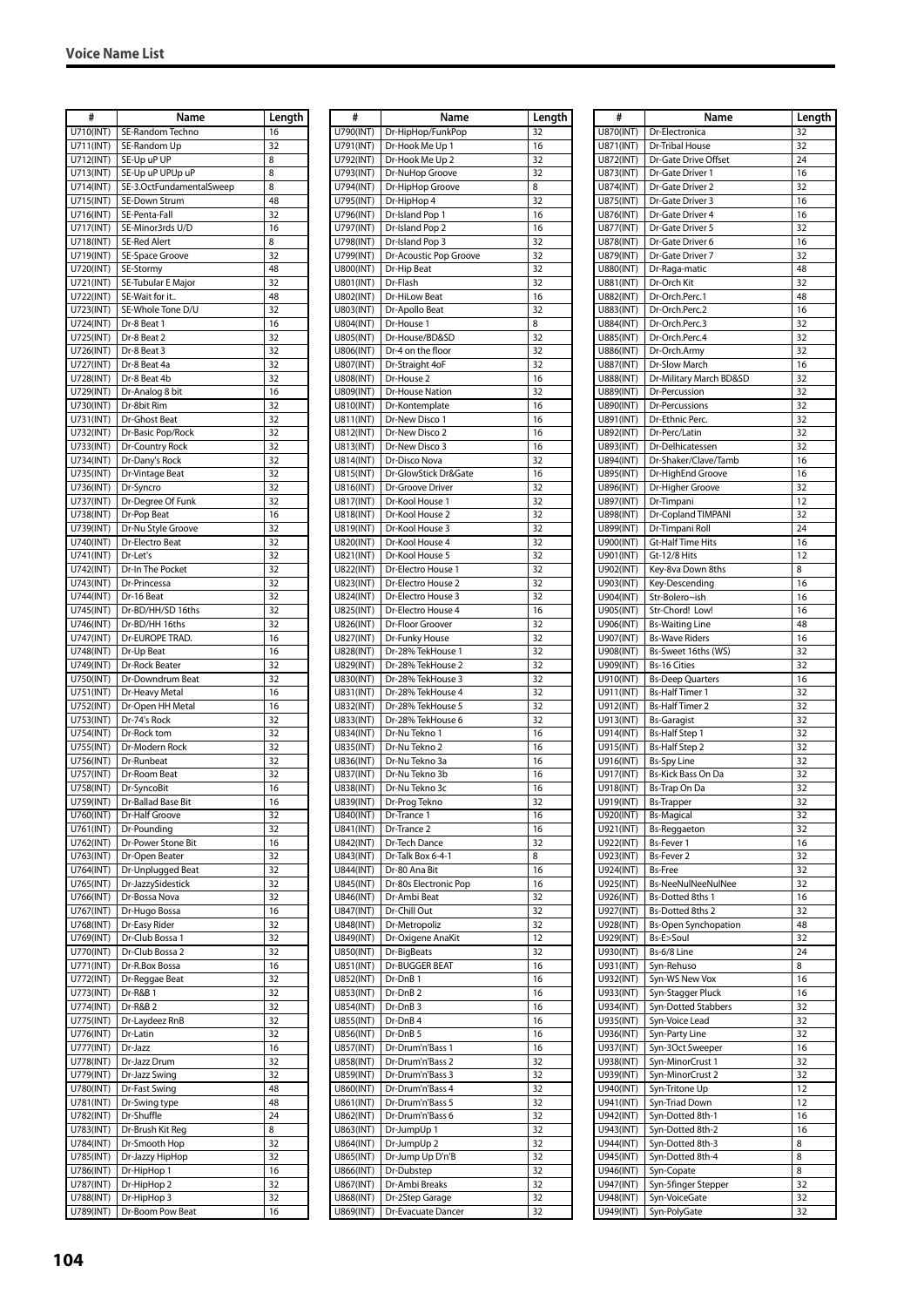| #                       | Name                     | Length |
|-------------------------|--------------------------|--------|
| U710(INT)               | SE-Random Techno         | 16     |
| U711(INT)               | SE-Random Up             | 32     |
| $\overline{U7}12$ (INT) | SE-Up uP UP              | 8      |
|                         |                          |        |
| U713(INT)               | SE-Up uP UPUp uP         | 8      |
| U714(INT)               | SE-3.OctFundamentalSweep | 8      |
| U715(INT)               | SE-Down Strum            | 48     |
| U716(INT)               | SE-Penta-Fall            | 32     |
|                         |                          |        |
| U717(INT)               | SE-Minor3rds U/D         | 16     |
| U718(INT)               | <b>SE-Red Alert</b>      | 8      |
| U719(INT)               | SE-Space Groove          | 32     |
| U720(INT)               | SE-Stormy                | 48     |
| U721(INT)               | SE-Tubular E Major       | 32     |
|                         |                          | 48     |
| U722(INT)               | SE-Wait for it           |        |
| U723(INT)               | SE-Whole Tone D/U        | 32     |
| U724(INT)               | Dr-8 Beat 1              | 16     |
| U725(INT)               | Dr-8 Beat 2              | 32     |
| U726(INT)               | Dr-8 Beat 3              | 32     |
|                         |                          |        |
| U727(INT)               | Dr-8 Beat 4a             | 32     |
| U728(INT)               | Dr-8 Beat 4b             | 32     |
| U729(INT)               | Dr-Analog 8 bit          | 16     |
| U730(INT)               | Dr-8bit Rim              | 32     |
| U731(INT)               | Dr-Ghost Beat            | 32     |
| U732(INT)               | Dr-Basic Pop/Rock        | 32     |
|                         |                          |        |
| U733(INT)               | Dr-Country Rock          | 32     |
| U734(INT)               | Dr-Dany's Rock           | 32     |
| U735(INT)               | Dr-Vintage Beat          | 32     |
| U736(INT)               | Dr-Syncro                | 32     |
| U737(INT)               | Dr-Degree Of Funk        | 32     |
|                         |                          |        |
| U738(INT)               | Dr-Pop Beat              | 16     |
| U739(INT)               | Dr-Nu Style Groove       | 32     |
| U740(INT)               | Dr-Electro Beat          | 32     |
| U741(INT)               | Dr-Let's                 | 32     |
|                         | Dr-In The Pocket         | 32     |
| U742(INT)               |                          |        |
| U743(INT)               | Dr-Princessa             | 32     |
| U744(INT)               | Dr-16 Beat               | 32     |
| U745(INT)               | Dr-BD/HH/SD 16ths        | 32     |
| U746(INT)               | Dr-BD/HH 16ths           | 32     |
| U747(INT)               | Dr-EUROPE TRAD.          | 16     |
|                         |                          |        |
| U748(INT)               | Dr-Up Beat               | 16     |
| U749(INT)               | Dr-Rock Beater           | 32     |
| U750(INT)               | Dr-Downdrum Beat         | 32     |
| U751(INT)               | Dr-Heavy Metal           | 16     |
| U752(INT)               | Dr-Open HH Metal         | 16     |
|                         |                          |        |
| U753(INT)               | Dr-74's Rock             | 32     |
| U754(INT)               | Dr-Rock tom              | 32     |
| U755(INT)               | Dr-Modern Rock           | 32     |
| U756(INT)               | Dr-Runbeat               | 32     |
| U757(INT)               | Dr-Room Beat             | 32     |
|                         |                          |        |
| U758(INT)               | Dr-SyncoBit              | 16     |
| U759(INT)               | Dr-Ballad Base Bit       | 16     |
| U760(INT)               | Dr-Half Groove           | 32     |
| U761(INT)               | Dr-Pounding              | 32     |
| U762(INT)               | Dr-Power Stone Bit       | 16     |
|                         |                          |        |
| U763(INT)               | Dr-Open Beater           | 32     |
| U764(INT)               | Dr-Unplugged Beat        | 32     |
| U765(INT)               | Dr-JazzySidestick        | 32     |
| U766(INT)               | Dr-Bossa Nova            | 32     |
| U767(INT)               | Dr-Hugo Bossa            | 16     |
| U768(INT)               | Dr-Easy Rider            | 32     |
|                         |                          |        |
| U769(INT)               | Dr-Club Bossa 1          | 32     |
| U770(INT)               | Dr-Club Bossa 2          | 32     |
| U771(INT)               | Dr-R.Box Bossa           | 16     |
| U772(INT)               | Dr-Reggae Beat           | 32     |
| U773(INT)               | Dr-R&B 1                 | 32     |
|                         |                          |        |
| U774(INT)               | Dr-R&B 2                 | 32     |
| U775(INT)               | Dr-Laydeez RnB           | 32     |
| U776(INT)               | Dr-Latin                 | 32     |
| U777(INT)               | Dr-Jazz                  | 16     |
| U778(INT)               | Dr-Jazz Drum             | 32     |
|                         |                          |        |
| U779(INT)               | Dr-Jazz Swing            | 32     |
| U780(INT)               | Dr-Fast Swing            | 48     |
| U781(INT)               | Dr-Swing type            | 48     |
| U782(INT)               | Dr-Shuffle               | 24     |
| U783(INT)               | Dr-Brush Kit Reg         | 8      |
| U784(INT)               | Dr-Smooth Hop            |        |
|                         |                          | 32     |
| U785(INT)               | Dr-Jazzy HipHop          | 32     |
| U786(INT)               | Dr-HipHop 1              | 16     |
| U787(INT)               | Dr-HipHop 2              | 32     |
| U788(INT)               | Dr-HipHop 3              | 32     |
|                         |                          |        |
| U789(INT)               | Dr-Boom Pow Beat         | 16     |

| #                      | Name                                   | Length   |
|------------------------|----------------------------------------|----------|
| U790(INT)<br>U791(INT) | Dr-HipHop/FunkPop<br>Dr-Hook Me Up 1   | 32<br>16 |
| U792(INT)              | Dr-Hook Me Up 2                        | 32       |
| U793(INT)              | Dr-NuHop Groove                        | 32       |
| U794(INT)              | Dr-HipHop Groove                       | 8        |
| U795(INT)              | Dr-HipHop 4                            | 32       |
| U796(INT)              | Dr-Island Pop 1                        | 16       |
| U797(INT)              | Dr-Island Pop 2                        | 16       |
| U798(INT)              | Dr-Island Pop 3                        | 32       |
| U799(INT)              | Dr-Acoustic Pop Groove                 | 32       |
| U800(INT)              | Dr-Hip Beat                            | 32       |
| U801(INT)              | Dr-Flash                               | 32       |
| U802(INT)              | Dr-HiLow Beat                          | 16       |
| U803(INT)              | Dr-Apollo Beat                         | 32       |
| U804(INT)              | Dr-House 1                             | 8        |
| U805(INT)              | Dr-House/BD&SD                         | 32       |
| U806(INT)              | Dr-4 on the floor                      | 32       |
| U807(INT)<br>U808(INT) | Dr-Straight 4oF<br>Dr-House 2          | 32<br>16 |
| U809(INT)              | Dr-House Nation                        | 32       |
| U810(INT)              | Dr-Kontemplate                         | 16       |
| U811(INT)              | Dr-New Disco 1                         | 16       |
| U812(INT)              | Dr-New Disco 2                         | 16       |
| U813(INT)              | Dr-New Disco 3                         | 16       |
| U814(INT)              | Dr-Disco Nova                          | 32       |
| U815(INT)              | Dr-GlowStick Dr&Gate                   | 16       |
| U816(INT)              | Dr-Groove Driver                       | 32       |
| U817(INT)              | Dr-Kool House 1                        | 32       |
| U818(INT)              | Dr-Kool House 2                        | 32       |
| U819(INT)              | Dr-Kool House 3                        | 32       |
| U820(INT)              | Dr-Kool House 4                        | 32       |
| U821(INT)              | Dr-Kool House 5                        | 32       |
| U822(INT)              | Dr-Electro House 1                     | 32       |
| U823(INT)              | Dr-Electro House 2                     | 32       |
| U824(INT)              | Dr-Electro House 3                     | 32       |
| U825(INT)              | Dr-Electro House 4                     | 16       |
| U826(INT)              | Dr-Floor Groover                       | 32       |
| U827(INT)              | Dr-Funky House                         | 32       |
| U828(INT)<br>U829(INT) | Dr-28% TekHouse 1<br>Dr-28% TekHouse 2 | 32       |
| U830(INT)              | Dr-28% TekHouse 3                      | 32<br>32 |
| U831(INT)              | Dr-28% TekHouse 4                      | 32       |
| U832(INT)              | Dr-28% TekHouse 5                      | 32       |
| U833(INT)              | Dr-28% TekHouse 6                      | 32       |
| U834(INT)              | Dr-Nu Tekno 1                          | 16       |
| U835(INT)              | Dr-Nu Tekno 2                          | 16       |
| U836(INT)              | Dr-Nu Tekno 3a                         | 16       |
| U837(INT)              | Dr-Nu Tekno 3b                         | 16       |
| U838(INT)              | Dr-Nu Tekno 3c                         | 16       |
| U839(INT)              | Dr-Prog Tekno                          | 32       |
| U840(INT)              | Dr-Trance 1                            | 16       |
| U841(INT)              | Dr-Trance 2                            | 16       |
| U842(INT)              | Dr-Tech Dance                          | 32       |
| U843(INT)              | Dr-Talk Box 6-4-1                      | 8        |
| U844(INT)              | Dr-80 Ana Bit                          | 16       |
| U845(INT)              | Dr-80s Electronic Pop                  | 16       |
| U846(INT)              | Dr-Ambi Beat                           | 32       |
| U847(INT)<br>U848(INT) | Dr-Chill Out                           | 32       |
| U849(INT)              | Dr-Metropoliz<br>Dr-Oxigene AnaKit     | 32<br>12 |
| U850(INT)              | Dr-BigBeats                            | 32       |
| U851(INT)              | Dr-BUGGER BEAT                         | 16       |
| U852(INT)              | Dr-DnB <sub>1</sub>                    | 16       |
| U853(INT)              | Dr-DnB <sub>2</sub>                    | 16       |
| U854(INT)              | Dr-DnB <sub>3</sub>                    | 16       |
| U855(INT)              | Dr-DnB 4                               | 16       |
| U856(INT)              | Dr-DnB 5                               | 16       |
| U857(INT)              | Dr-Drum'n'Bass 1                       | 16       |
| U858(INT)              | Dr-Drum'n'Bass 2                       | 32       |
| U859(INT)              | Dr-Drum'n'Bass 3                       | 32       |
| U860(INT)              | Dr-Drum'n'Bass 4                       | 32       |
| U861(INT)              | Dr-Drum'n'Bass 5                       | 32       |
| U862(INT)              | Dr-Drum'n'Bass 6                       | 32       |
| U863(INT)              | Dr-JumpUp 1                            | 32       |
| U864(INT)              | Dr-JumpUp <sub>2</sub>                 | 32       |
| U865(INT)              | Dr-Jump Up D'n'B                       | 32       |
| U866(INT)              | Dr-Dubstep                             | 32       |
| U867(INT)              | Dr-Ambi Breaks                         | 32       |
| U868(INT)              | Dr-2Step Garage                        | 32       |
| U869(INT)              | Dr-Evacuate Dancer                     | 32       |

| #                      | Name                                            |          |
|------------------------|-------------------------------------------------|----------|
|                        |                                                 | Length   |
| U870(INT)<br>U871(INT) | Dr-Electronica<br>Dr-Tribal House               | 32<br>32 |
| U872(INT)              | Dr-Gate Drive Offset                            | 24       |
| U873(INT)              | Dr-Gate Driver 1                                | 16       |
| U874(INT)              | Dr-Gate Driver 2                                | 32       |
| U875(INT)              | Dr-Gate Driver 3                                | 16       |
| U876(INT)              | Dr-Gate Driver 4                                | 16       |
| U877(INT)              | Dr-Gate Driver 5                                | 32       |
| U878(INT)              | Dr-Gate Driver 6                                | 16       |
| U879(INT)              | Dr-Gate Driver 7                                | 32       |
| U880(INT)              | Dr-Raga-matic                                   | 48       |
| U881(INT)              | Dr-Orch Kit                                     | 32       |
| U882(INT)              | Dr-Orch.Perc.1                                  | 48       |
| U883(INT)              | Dr-Orch.Perc.2                                  | 16       |
| U884(INT)              | Dr-Orch.Perc.3                                  | 32       |
| U885(INT)              | Dr-Orch.Perc.4                                  | 32       |
| U886(INT)              | Dr-Orch.Army                                    | 32       |
| U887(INT)              | Dr-Slow March                                   | 16       |
| U888(INT)              | Dr-Military March BD&SD                         | 32       |
| U889(INT)              | Dr-Percussion                                   | 32       |
| U890(INT)              | Dr-Percussions                                  | 32       |
| U891(INT)              | Dr-Ethnic Perc.                                 | 32       |
| U892(INT)              | Dr-Perc/Latin                                   | 32       |
| U893(INT)              | Dr-Delhicatessen                                | 32       |
| U894(INT)              | Dr-Shaker/Clave/Tamb                            | 16       |
| U895(INT)              | Dr-HighEnd Groove                               | 16       |
| U896(INT)              | Dr-Higher Groove                                | 32       |
| U897(INT)              | Dr-Timpani                                      | 12       |
| U898(INT)              | Dr-Copland TIMPANI                              | 32       |
| U899(INT)              | Dr-Timpani Roll                                 | 24       |
| U900(INT)              | Gt-Half Time Hits                               | 16       |
| U901(INT)              | Gt-12/8 Hits                                    | 12       |
| U902(INT)              | Key-8va Down 8ths                               | 8        |
| U903(INT)              | Key-Descending                                  | 16       |
| U904(INT)              | Str-Bolero~ish                                  | 16       |
| U905(INT)              | Str-Chord! Low!                                 | 16       |
| U906(INT)<br>U907(INT) | <b>Bs-Waiting Line</b><br><b>Bs-Wave Riders</b> | 48<br>16 |
| U908(INT)              | Bs-Sweet 16ths (WS)                             | 32       |
| U909(INT)              | <b>Bs-16 Cities</b>                             | 32       |
| U910(INT)              | <b>Bs-Deep Quarters</b>                         | 16       |
| U911(INT)              | <b>Bs-Half Timer 1</b>                          | 32       |
| U912(INT)              | <b>Bs-Half Timer 2</b>                          | 32       |
| U913(INT)              | <b>Bs-Garagist</b>                              | 32       |
| U914(INT)              | <b>Bs-Half Step 1</b>                           | 32       |
| U915(INT)              | <b>Bs-Half Step 2</b>                           | 32       |
| U916(INT)              | <b>Bs-Spy Line</b>                              | 32       |
| U917(INT)              | Bs-Kick Bass On Da                              | 32       |
| U918(INT)              | Bs-Trap On Da                                   | 32       |
| U919(INT)              | <b>Bs-Trapper</b>                               | 32       |
| U920(INT)              | <b>Bs-Magical</b>                               | 32       |
| U921(INT)              | Bs-Reggaeton                                    | 32       |
| U922(INT)              | Bs-Fever 1                                      | 16       |
| U923(INT)              | Bs-Fever 2                                      | 32       |
| U924(INT)              | Bs-Free                                         | 32       |
| U925(INT)<br>U926(INT) | Bs-NeeNulNeeNulNee<br>Bs-Dotted 8ths 1          | 32<br>16 |
| U927(INT)              | <b>Bs-Dotted 8ths 2</b>                         | 32       |
| U928(INT)              | <b>Bs-Open Synchopation</b>                     | 48       |
| U929(INT)              | Bs-E>Soul                                       | 32       |
| U930(INT)              | Bs-6/8 Line                                     | 24       |
| U931(INT)              | Syn-Rehuso                                      | 8        |
| U932(INT)              | Syn-WS New Vox                                  | 16       |
| U933(INT)              | Syn-Stagger Pluck                               | 16       |
| U934(INT)              | Syn-Dotted Stabbers                             | 32       |
| U935(INT)              | Syn-Voice Lead                                  | 32       |
| U936(INT)              | Syn-Party Line                                  | 32       |
| U937(INT)              | Syn-3Oct Sweeper                                | 16       |
| U938(INT)              | Syn-MinorCrust 1                                | 32       |
| U939(INT)              | Syn-MinorCrust 2                                | 32       |
| U940(INT)              | Syn-Tritone Up                                  | 12       |
| U941(INT)              | Syn-Triad Down                                  | 12       |
| U942(INT)              | Syn-Dotted 8th-1                                | 16       |
| U943(INT)              | Syn-Dotted 8th-2                                | 16       |
| U944(INT)              | Syn-Dotted 8th-3                                | 8        |
| U945(INT)              | Syn-Dotted 8th-4                                | 8        |
| U946(INT)              | Syn-Copate                                      | 8        |
| U947(INT)<br>U948(INT) | Syn-5finger Stepper<br>Syn-VoiceGate            | 32<br>32 |
| U949(INT)              | Syn-PolyGate                                    | 32       |
|                        |                                                 |          |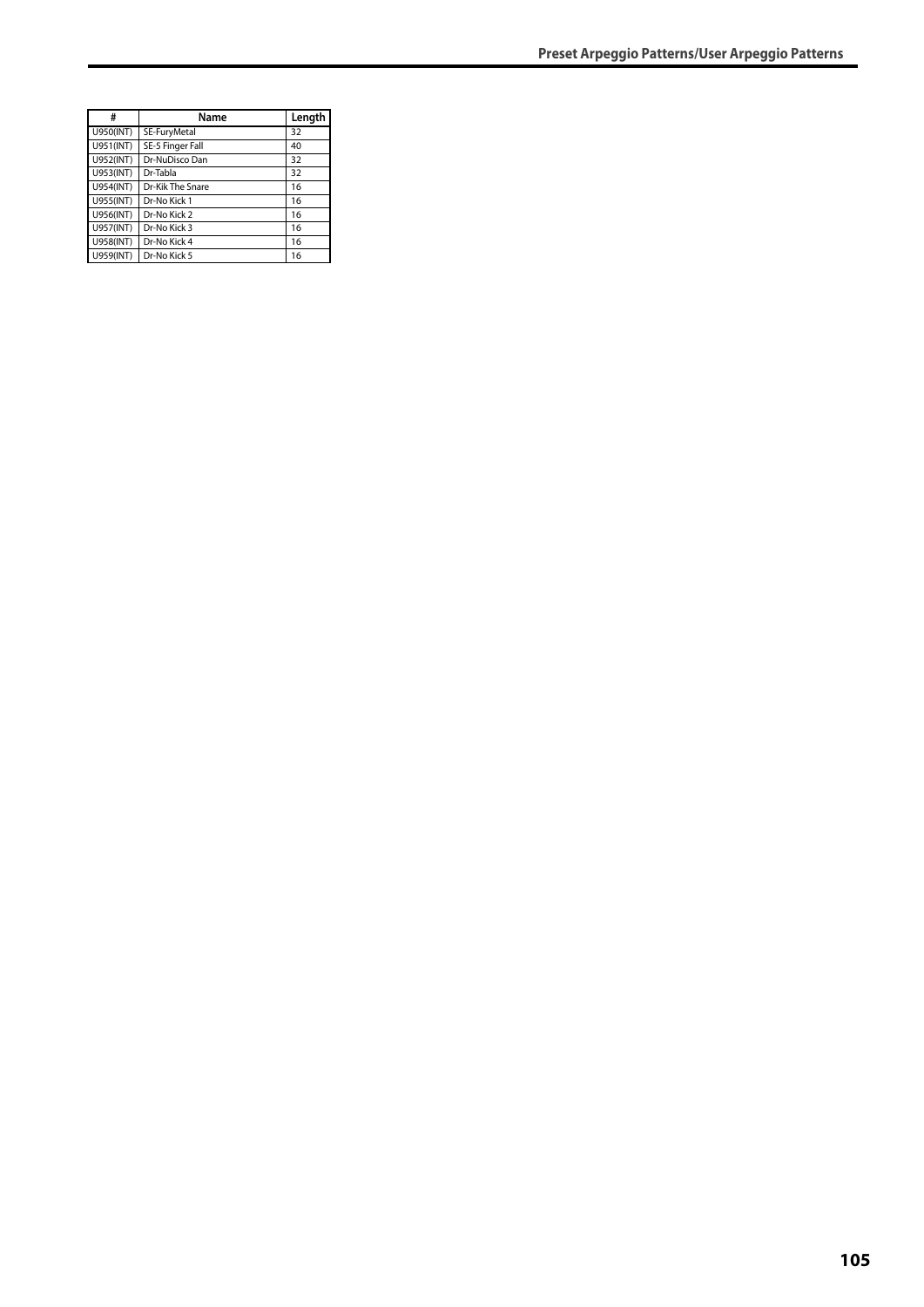| #         | Name             | Length |
|-----------|------------------|--------|
| U950(INT) | SE-FuryMetal     | 32     |
| U951(INT) | SE-5 Finger Fall | 40     |
| U952(INT) | Dr-NuDisco Dan   | 32     |
| U953(INT) | Dr-Tabla         | 32     |
| U954(INT) | Dr-Kik The Snare | 16     |
| U955(INT) | Dr-No Kick 1     | 16     |
| U956(INT) | Dr-No Kick 2     | 16     |
| U957(INT) | Dr-No Kick 3     | 16     |
| U958(INT) | Dr-No Kick 4     | 16     |
| U959(INT) | Dr-No Kick 5     | 16     |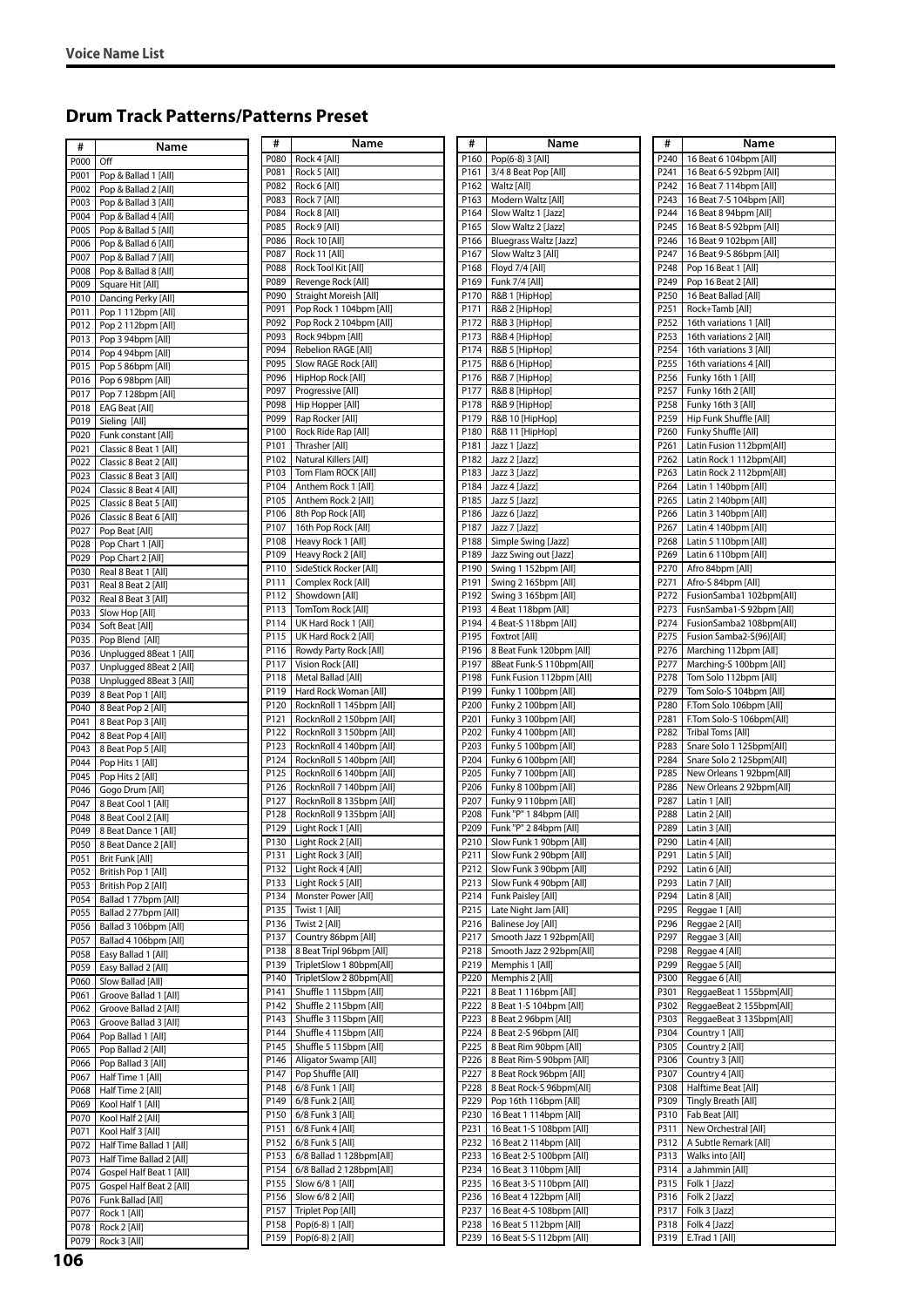## **Drum Track Patterns/Patterns Preset**

| #            | Name                                                 | #            | Name                                                 |
|--------------|------------------------------------------------------|--------------|------------------------------------------------------|
| P000         | Off                                                  | P080         | Rock 4 [All]                                         |
| P001         | Pop & Ballad 1 [All]                                 | P081         | Rock 5 [All]                                         |
| P002         | Pop & Ballad 2 [All]                                 | P082         | Rock 6 [All]                                         |
| P003         | Pop & Ballad 3 [All]                                 | P083         | Rock 7 [All]                                         |
| P004         | Pop & Ballad 4 [All]                                 | P084<br>P085 | Rock 8 [All]<br>Rock 9 [All]                         |
| P005         | Pop & Ballad 5 [All]                                 | P086         | Rock 10 [All]                                        |
| P006         | Pop & Ballad 6 [All]                                 | P087         | Rock 11 [All]                                        |
| P007         | Pop & Ballad 7 [All]                                 | P088         | Rock Tool Kit [All]                                  |
| P008         | Pop & Ballad 8 [All]                                 | P089         | Revenge Rock [All]                                   |
| P009<br>P010 | Square Hit [All]                                     | P090         | Straight Moreish [All]                               |
| P011         | Dancing Perky [All]<br>Pop 1 112bpm [All]            | P091         | Pop Rock 1 104bpm [All]                              |
| P012         | Pop 2 112bpm [All]                                   | P092         | Pop Rock 2 104bpm [All]                              |
| P013         | Pop 3 94bpm [All]                                    | P093         | Rock 94bpm [All]                                     |
| P014         | Pop 4 94bpm [All]                                    | P094         | Rebelion RAGE [All]                                  |
| P015         | Pop 5 86bpm [All]                                    | P095         | Slow RAGE Rock [All]                                 |
| P016         | Pop 6 98bpm [All]                                    | P096         | HipHop Rock [All]                                    |
| P017         | Pop 7 128bpm [All]                                   | P097         | Progressive [All]                                    |
| P018         | <b>EAG Beat [All]</b>                                | P098         | Hip Hopper [All]                                     |
| P019         | Sieling [All]                                        | P099         | Rap Rocker [All]                                     |
| P020         | Funk constant [All]                                  | P100         | Rock Ride Rap [All]                                  |
| P021         | Classic 8 Beat 1 [All]                               | P101         | Thrasher [All]                                       |
| P022         | Classic 8 Beat 2 [All]                               | P102         | Natural Killers [All]                                |
| P023         | Classic 8 Beat 3 [All]                               | P103         | Tom Flam ROCK [All]                                  |
| P024         | Classic 8 Beat 4 [All]                               | P104         | Anthem Rock 1 [All]                                  |
| P025         | Classic 8 Beat 5 [All]                               | P105         | Anthem Rock 2 [All]                                  |
| P026         | Classic 8 Beat 6 [All]                               | P106<br>P107 | 8th Pop Rock [All]                                   |
| P027         | Pop Beat [All]                                       | P108         | 16th Pop Rock [All]<br>Heavy Rock 1 [All]            |
| P028         | Pop Chart 1 [All]                                    | P109         | Heavy Rock 2 [All]                                   |
| P029<br>P030 | Pop Chart 2 [All]                                    | P110         | SideStick Rocker [All]                               |
| P031         | Real 8 Beat 1 [All]                                  | P111         | Complex Rock [All]                                   |
| P032         | Real 8 Beat 2 [All]<br>Real 8 Beat 3 [All]           | P112         | Showdown [All]                                       |
| P033         | Slow Hop [All]                                       | P113         | TomTom Rock [All]                                    |
| P034         | Soft Beat [All]                                      | P114         | UK Hard Rock 1 [All]                                 |
| P035         | Pop Blend [All]                                      | P115         | UK Hard Rock 2 [All]                                 |
| P036         | Unplugged 8Beat 1 [All]                              | P116         | Rowdy Party Rock [All]                               |
| P037         | Unplugged 8Beat 2 [All]                              | P117         | Vision Rock [All]                                    |
| P038         | Unplugged 8Beat 3 [All]                              | P118         | Metal Ballad [All]                                   |
| P039         | 8 Beat Pop 1 [All]                                   | P119         | Hard Rock Woman [All]                                |
| P040         | 8 Beat Pop 2 [All]                                   | P120         | RocknRoll 1 145bpm [All]                             |
| P041         | 8 Beat Pop 3 [All]                                   | P121         | RocknRoll 2 150bpm [All]                             |
| P042         | 8 Beat Pop 4 [All]                                   | P122         | RocknRoll 3 150bpm [All]                             |
| P043         | 8 Beat Pop 5 [All]                                   | P123         | RocknRoll 4 140bpm [All]                             |
| P044         | Pop Hits 1 [All]                                     | P124         | RocknRoll 5 140bpm [All]                             |
| P045         | Pop Hits 2 [All]                                     | P125         | RocknRoll 6 140bpm [All]                             |
| P046         | Gogo Drum [All]                                      | P126<br>P127 | RocknRoll 7 140bpm [All]<br>RocknRoll 8 135bpm [All] |
| P047         | 8 Beat Cool 1 [All]                                  | P128         | RocknRoll 9 135bpm [All]                             |
| P048         | 8 Beat Cool 2 [All]                                  | P129         | Light Rock 1 [All]                                   |
| P049<br>P050 | 8 Beat Dance 1 [All]<br>8 Beat Dance 2 [All]         | P130         | Light Rock 2 [All]                                   |
| P051         | Brit Funk [All]                                      | P131         | Light Rock 3 [All]                                   |
| P052         | British Pop 1 [All]                                  | P132         | Light Rock 4 [All]                                   |
| P053         | British Pop 2 [All]                                  | P133         | Light Rock 5 [All]                                   |
| P054         | Ballad 1 77bpm [All]                                 | P134         | Monster Power [All]                                  |
| P055         | Ballad 2 77bpm [All]                                 | P135         | Twist 1 [All]                                        |
| P056         | Ballad 3 106bpm [All]                                | P136         | Twist 2 [All]                                        |
| P057         | Ballad 4 106bpm [All]                                | P137         | Country 86bpm [All]                                  |
| P058         | Easy Ballad 1 [All]                                  | P138         | 8 Beat Tripl 96bpm [All]                             |
| P059         | Easy Ballad 2 [All]                                  | P139         | TripletSlow 1 80bpm[All]                             |
| P060         | Slow Ballad [All]                                    | P140         | TripletSlow 2 80bpm[All]                             |
| P061         | Groove Ballad 1 [All]                                | P141         | Shuffle 1 115bpm [All]                               |
| P062         | Groove Ballad 2 [All]                                | P142         | Shuffle 2 115bpm [All]                               |
| P063         | Groove Ballad 3 [All]                                | P143         | Shuffle 3 115bpm [All]                               |
| P064         | Pop Ballad 1 [All]                                   | P144         | Shuffle 4 115bpm [All]                               |
| P065         | Pop Ballad 2 [All]                                   | P145<br>P146 | Shuffle 5 115bpm [All]<br>Aligator Swamp [All]       |
| P066         | Pop Ballad 3 [All]                                   | P147         | Pop Shuffle [All]                                    |
| P067         | Half Time 1 [All]                                    | P148         | 6/8 Funk 1 [All]                                     |
| P068         | Half Time 2 [All]                                    | P149         | 6/8 Funk 2 [All]                                     |
| P069         | Kool Half 1 [All]                                    | P150         | 6/8 Funk 3 [All]                                     |
| P070         | Kool Half 2 [All]                                    | P151         | 6/8 Funk 4 [All]                                     |
| P071         | Kool Half 3 [All]                                    | P152         | 6/8 Funk 5 [All]                                     |
| P072<br>P073 | Half Time Ballad 1 [All]<br>Half Time Ballad 2 [All] | P153         | 6/8 Ballad 1 128bpm[All]                             |
| P074         | Gospel Half Beat 1 [All]                             | P154         | 6/8 Ballad 2 128bpm[All]                             |
| P075         | Gospel Half Beat 2 [All]                             | P155         | Slow 6/8 1 [All]                                     |
| P076         | Funk Ballad [All]                                    | P156         | Slow 6/8 2 [All]                                     |
| P077         | Rock 1 [All]                                         | P157         | Triplet Pop [All]                                    |
| P078         | Rock 2 [All]                                         | P158         | Pop(6-8) 1 [All]                                     |
| P079         | Rock 3 [All]                                         | P159         | Pop(6-8) 2 [All]                                     |
|              |                                                      |              |                                                      |

| Name        | #    | Name                      |
|-------------|------|---------------------------|
|             | P160 | Pop(6-8) 3 [All]          |
|             | P161 | 3/4 8 Beat Pop [All]      |
|             | P162 | Waltz [All]               |
|             | P163 | Modern Waltz [All]        |
|             | P164 | Slow Waltz 1 [Jazz]       |
|             | P165 | Slow Waltz 2 [Jazz]       |
|             | P166 | Bluegrass Waltz [Jazz]    |
|             | P167 | Slow Waltz 3 [All]        |
| All]        | P168 | Floyd 7/4 [All]           |
| [All]       | P169 | Funk 7/4 [All]            |
|             |      |                           |
| sh [All]    | P170 | R&B 1 [HipHop]            |
| 4bpm [All]  | P171 | R&B 2 [HipHop]            |
| 4bpm [All]  | P172 | R&B 3 [HipHop]            |
| All]        | P173 | R&B 4 [HipHop]            |
| E [All]     | P174 | R&B 5 [HipHop]            |
| ck [All]    | P175 | R&B 6 [HipHop]            |
| All]        | P176 | R&B 7 [HipHop]            |
| Ш           | P177 | R&B 8 [HipHop]            |
| JI)         | P178 | R&B 9 [HipHop]            |
| Ш           | P179 | R&B 10 [HipHop]           |
| [All]       | P180 | R&B 11 [HipHop]           |
|             | P181 | Jazz 1 [Jazz]             |
|             |      |                           |
| [All]       | P182 | Jazz 2 [Jazz]             |
| K[All]      | P183 | Jazz 3 [Jazz]             |
| 1 [All]     | P184 | Jazz 4 [Jazz]             |
| 2 [All]     | P185 | Jazz 5 [Jazz]             |
| All]        | P186 | Jazz 6 [Jazz]             |
| : [All]     | P187 | Jazz 7 [Jazz]             |
| [All]       | P188 | Simple Swing [Jazz]       |
| <b>AII</b>  | P189 | Jazz Swing out [Jazz]     |
| ter [All]   | P190 | Swing 1 152bpm [All]      |
| [All]       | P191 |                           |
|             |      | Swing 2 165bpm [All]      |
| IJ          | P192 | Swing 3 165bpm [All]      |
| [All]       | P193 | 4 Beat 118bpm [All]       |
| 1 [All]     | P194 | 4 Beat-S 118bpm [All]     |
| 2 [All]     | P195 | Foxtrot [All]             |
| ock [All]   | P196 | 8 Beat Funk 120bpm [All]  |
| IJ          | P197 | 8Beat Funk-S 110bpm[All]  |
| All]        | P198 | Funk Fusion 112bpm [All]  |
| man [All]   | P199 | Funky 1 100bpm [All]      |
| 15bpm [All] | P200 | Funky 2 100bpm [All]      |
| 50bpm [All] | P201 | Funky 3 100bpm [All]      |
| 60bpm [All] | P202 | Funky 4 100bpm [All]      |
|             |      |                           |
| 10bpm [All] | P203 | Funky 5 100bpm [All]      |
| 10bpm [All] | P204 | Funky 6 100bpm [All]      |
| 10bpm [All] | P205 | Funky 7 100bpm [All]      |
| 10bpm [All] | P206 | Funky 8 100bpm [All]      |
| 35bpm [All] | P207 | Funky 9 110bpm [All]      |
| 35bpm [All] | P208 | Funk "P" 1 84bpm [All]    |
| NI)         | P209 | Funk "P" 2 84bpm [All]    |
| ŃЩ          | P210 | Slow Funk 1 90bpm [All]   |
| ۸II)        | P211 | Slow Funk 2 90bpm [All]   |
| \ll]        | P212 | Slow Funk 3 90bpm [All]   |
| NI)         | P213 | Slow Funk 4 90bpm [All]   |
| r [All]     | P214 | Funk Paisley [All]        |
|             | P215 | Late Night Jam [All]      |
|             | P216 | <b>Balinese Joy [All]</b> |
| m [All]     | P217 | Smooth Jazz 1 92bpm[All]  |
| bpm [All]   | P218 |                           |
|             |      | Smooth Jazz 2 92bpm[All]  |
| 30bpm[All]  | P219 | Memphis 1 [All]           |
| 30bpm[All]  | P220 | Memphis 2 [All]           |
| pm [All]    | P221 | 8 Beat 1 116bpm [All]     |
| pm [All]    | P222 | 8 Beat 1-S 104bpm [All]   |
| pm [All]    | P223 | 8 Beat 2 96bpm [All]      |
| pm [All]    | P224 | 8 Beat 2-S 96bpm [All]    |
| pm [All]    | P225 | 8 Beat Rim 90bpm [All]    |
| p [All]     | P226 | 8 Beat Rim-S 90bpm [All]  |
| IJ          | P227 | 8 Beat Rock 96bpm [All]   |
| 1           | P228 | 8 Beat Rock-S 96bpm[All]  |
|             | P229 |                           |
| J           |      | Pop 16th 116bpm [All]     |
| l           | P230 | 16 Beat 1 114bpm [All]    |
| l           | P231 | 16 Beat 1-S 108bpm [All]  |
| 1           | P232 | 16 Beat 2 114bpm [All]    |
| 28bpm[All]  | P233 | 16 Beat 2-S 100bpm [All]  |
| 28bpm[All]  | P234 | 16 Beat 3 110bpm [All]    |
| J           | P235 | 16 Beat 3-S 110bpm [All]  |
| ]           | P236 | 16 Beat 4 122bpm [All]    |
| ŋ           | P237 | 16 Beat 4-S 108bpm [All]  |
| ]           | P238 | 16 Beat 5 112bpm [All]    |
| 1           | P239 | 16 Beat 5-S 112bpm [All]  |
|             |      |                           |

- 1

| Name                               | #                | Name                                             |
|------------------------------------|------------------|--------------------------------------------------|
| B [All]                            | P240             | 16 Beat 6 104bpm [All]                           |
| : Pop [All]                        | P241             | 16 Beat 6-S 92bpm [All]                          |
|                                    | P242             | 16 Beat 7 114bpm [All]                           |
| Valtz [All]<br>z 1 [Jazz]          | P243<br>P244     | 16 Beat 7-S 104bpm [All]                         |
| z 2 [Jazz]                         | P245             | 16 Beat 8 94bpm [All]<br>16 Beat 8-S 92bpm [All] |
| Waltz [Jazz]                       | P246             | 16 Beat 9 102bpm [All]                           |
| z 3 [All]                          | P247             | 16 Beat 9-S 86bpm [All]                          |
| [All]                              | P248             | Pop 16 Beat 1 [All]                              |
| All]                               | P249             | Pop 16 Beat 2 [All]                              |
| <b>OHop</b>                        | P250             | 16 Beat Ballad [All]                             |
| <b>OHop</b>                        | P251             | Rock+Tamb [All]                                  |
| <b>OHop</b>                        | P252             | 16th variations 1 [All]                          |
| эHop]                              | P253             | 16th variations 2 [All]                          |
| bHop]                              | P254             | 16th variations 3 [All]                          |
| <b>OHop</b><br><b>OHop</b>         | P255<br>P256     | 16th variations 4 [All]<br>Funky 16th 1 [All]    |
| <b>OHop</b>                        | P257             | Funky 16th 2 [All]                               |
| bHop]                              | P258             | Funky 16th 3 [All]                               |
| ipHop]                             | P259             | Hip Funk Shuffle [All]                           |
| ipHop]                             | P260             | Funky Shuffle [All]                              |
| ZJ                                 | P261             | Latin Fusion 112bpm[All]                         |
| z]                                 | P262             | Latin Rock 1 112bpm[All]                         |
| z]                                 | P263             | Latin Rock 2 112bpm[All]                         |
| z]                                 | P <sub>264</sub> | Latin 1 140bpm [All]                             |
| z]                                 | P265             | Latin 2 140bpm [All]                             |
| Z.<br>z]                           | P266<br>P267     | Latin 3 140bpm [All]<br>Latin 4 140bpm [All]     |
| ving [Jazz]                        | P268             | Latin 5 110bpm [All]                             |
| g out [Jazz]                       | P <sub>269</sub> | Latin 6 110bpm [All]                             |
| 52bpm [All]                        | P270             | Afro 84bpm [All]                                 |
| 65bpm [All]                        | P271             | Afro-S 84bpm [All]                               |
| 65bpm [All]                        | P272             | FusionSamba1 102bpm[All]                         |
| 3bpm [All]                         | P273             | FusnSamba1-S 92bpm [All]                         |
| 18bpm [All]                        | P274             | FusionSamba2 108bpm[All]                         |
| JI]                                | P275             | Fusion Samba2-S(96)[All]                         |
| hk 120bpm [All]                    | P276             | Marching 112bpm [All]                            |
| k-S 110bpm[All]<br>on 112bpm [All] | P277<br>P278     | Marching-S 100bpm [All]<br>Tom Solo 112bpm [All] |
| 00bpm [All]                        | P279             | Tom Solo-S 104bpm [All]                          |
| 00bpm [All]                        | P280             | F.Tom Solo 106bpm [All]                          |
| 00bpm [All]                        | P281             | F.Tom Solo-S 106bpm[All]                         |
| 00bpm [All]                        | P282             | Tribal Toms [All]                                |
| 00bpm [All]                        | P283             | Snare Solo 1 125bpm[All]                         |
| 00bpm [All]                        | P284             | Snare Solo 2 125bpm[All]                         |
| 00bpm [All]                        | P285             | New Orleans 1 92bpm[All]                         |
| 00bpm [All]<br>10bpm [All]         | P286<br>P287     | New Orleans 2 92bpm[All]                         |
| 84bpm [All]                        | P288             | Latin 1 [All]<br>Latin 2 [All]                   |
| : 84bpm [All]                      | P289             | Latin 3 [All]                                    |
| <1 90bpm [All]                     | P290             | Latin 4 [All]                                    |
| <2 90bpm [All]                     | P291             | Latin 5 [All]                                    |
| < 3 90bpm [All]                    | P292             | Latin 6 [All]                                    |
| <4 90bpm [All]                     | P293             | Latin 7 [All]                                    |
| ley [All]                          | P294             | Latin 8 [All]                                    |
| t Jam [All]                        | P295             | Reggae 1 [All]                                   |
| oy [All]<br>azz 1 92bpm[All]       | P296<br>P297     | Reggae 2 [All]<br>Reggae 3 [All]                 |
| azz 2 92bpm[All]                   | P298             | Reggae 4 [All]                                   |
| 1 [All]                            | P299             | Reggae 5 [All]                                   |
| 2 [All]                            | P300             | Reggae 6 [All]                                   |
| 16bpm [All]                        | P301             | ReggaeBeat 1 155bpm[All]                         |
| 104bpm [All]                       | P302             | ReggaeBeat 2 155bpm[All]                         |
| 6bpm [All]                         | P303             | ReggaeBeat 3 135bpm[All]                         |
| 96bpm [All]                        | P304             | Country 1 [All]                                  |
| n 90bpm [All]                      | P305             | Country 2 [All]                                  |
| n-S 90bpm [All]<br>ck 96bpm [All]  | P306<br>P307     | Country 3 [All]<br>Country 4 [All]               |
| ck-S 96bpm[All]                    | P308             | Halftime Beat [All]                              |
| 116bpm [All]                       | P309             | Tingly Breath [All]                              |
| 114bpm [All]                       | P310             | Fab Beat [All]                                   |
| S 108bpm [All]                     | P311             | New Orchestral [All]                             |
| 114bpm [All]                       | P312             | A Subtle Remark [All]                            |
| S 100bpm [All]                     | P313             | Walks into [All]                                 |
| 110bpm [All]                       | P314             | a Jahmmin [All]                                  |
| S 110bpm [All]                     | P315             | Folk 1 [Jazz]                                    |
| 122bpm [All]<br>S 108bpm [All]     | P316<br>P317     | Folk 2 [Jazz]<br>Folk 3 [Jazz]                   |
| 112bpm [All]                       | P318             | Folk 4 [Jazz]                                    |
| S 112bpm [All]                     | P319             | E.Trad 1 [All]                                   |
|                                    |                  |                                                  |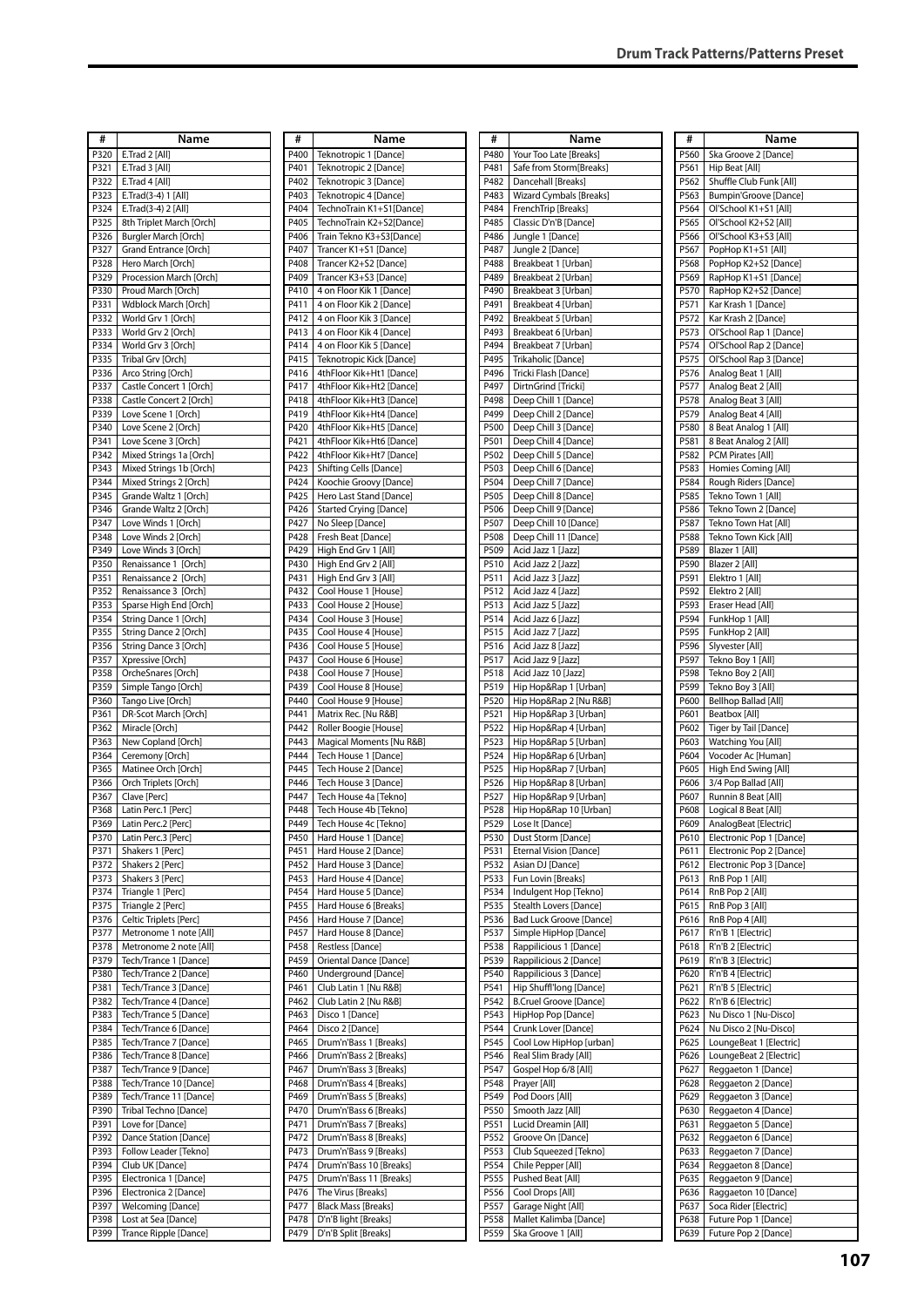| #    | Name                        | #    | Name                       | #    | Name                                         | #    | Name                            |
|------|-----------------------------|------|----------------------------|------|----------------------------------------------|------|---------------------------------|
| P320 | E.Trad 2 [All]              | P400 | Teknotropic 1 [Dance]      | P480 | Your Too Late [Breaks]                       | P560 | Ska Groove 2 [Dance]            |
|      |                             |      |                            |      |                                              |      |                                 |
| P321 | E.Trad 3 [All]              | P401 | Teknotropic 2 [Dance]      | P481 | Safe from Storm[Breaks]                      | P561 | Hip Beat [All]                  |
| P322 | E.Trad 4 [All]              | P402 | Teknotropic 3 [Dance]      | P482 | Dancehall [Breaks]                           | P562 | Shuffle Club Funk [All]         |
| P323 | E.Trad(3-4) 1 [All]         | P403 | Teknotropic 4 [Dance]      | P483 | Wizard Cymbals [Breaks]                      | P563 | Bumpin'Groove [Dance]           |
| P324 | E.Trad(3-4) 2 [All]         | P404 | TechnoTrain K1+S1[Dance]   | P484 | FrenchTrip [Breaks]                          | P564 | Ol'School K1+S1 [All]           |
| P325 | 8th Triplet March [Orch]    | P405 | TechnoTrain K2+S2[Dance]   | P485 | Classic D'n'B [Dance]                        | P565 | Ol'School K2+S2 [All]           |
| P326 | <b>Burgler March [Orch]</b> | P406 | Train Tekno K3+S3[Dance]   | P486 | Jungle 1 [Dance]                             | P566 | Ol'School K3+S3 [All]           |
| P327 | Grand Entrance [Orch]       | P407 | Trancer K1+S1 [Dance]      | P487 | Jungle 2 [Dance]                             | P567 | PopHop K1+S1 [All]              |
| P328 | Hero March [Orch]           | P408 | Trancer K2+S2 [Dance]      | P488 | Breakbeat 1 [Urban]                          | P568 | PopHop K2+S2 [Dance]            |
| P329 | Procession March [Orch]     | P409 | Trancer K3+S3 [Dance]      | P489 | Breakbeat 2 [Urban]                          | P569 | RapHop K1+S1 [Dance]            |
| P330 | Proud March [Orch]          | P410 | 4 on Floor Kik 1 [Dance]   | P490 | Breakbeat 3 [Urban]                          | P570 | RapHop K2+S2 [Dance]            |
| P331 | Wdblock March [Orch]        | P411 | 4 on Floor Kik 2 [Dance]   | P491 | Breakbeat 4 [Urban]                          | P571 | Kar Krash 1 [Dance]             |
| P332 | World Grv 1 [Orch]          | P412 | 4 on Floor Kik 3 [Dance]   | P492 | Breakbeat 5 [Urban]                          | P572 | Kar Krash 2 [Dance]             |
| P333 | World Grv 2 [Orch]          | P413 | 4 on Floor Kik 4 [Dance]   | P493 | Breakbeat 6 [Urban]                          | P573 | Ol'School Rap 1 [Dance]         |
| P334 | World Grv 3 [Orch]          | P414 | 4 on Floor Kik 5 [Dance]   | P494 | Breakbeat 7 [Urban]                          | P574 | Ol'School Rap 2 [Dance]         |
| P335 | Tribal Grv [Orch]           | P415 | Teknotropic Kick [Dance]   | P495 | Trikaholic [Dance]                           | P575 | Ol'School Rap 3 [Dance]         |
| P336 | Arco String [Orch]          | P416 | 4thFloor Kik+Ht1 [Dance]   | P496 | Tricki Flash [Dance]                         | P576 | Analog Beat 1 [All]             |
| P337 | Castle Concert 1 [Orch]     | P417 | 4thFloor Kik+Ht2 [Dance]   | P497 | DirtnGrind [Tricki]                          | P577 | Analog Beat 2 [All]             |
| P338 | Castle Concert 2 [Orch]     | P418 | 4thFloor Kik+Ht3 [Dance]   | P498 | Deep Chill 1 [Dance]                         | P578 | Analog Beat 3 [All]             |
| P339 | Love Scene 1 [Orch]         | P419 | 4thFloor Kik+Ht4 [Dance]   | P499 | Deep Chill 2 [Dance]                         | P579 | Analog Beat 4 [All]             |
| P340 | Love Scene 2 [Orch]         | P420 | 4thFloor Kik+Ht5 [Dance]   | P500 | Deep Chill 3 [Dance]                         | P580 | 8 Beat Analog 1 [All]           |
| P341 | Love Scene 3 [Orch]         | P421 | 4thFloor Kik+Ht6 [Dance]   | P501 |                                              |      | 8 Beat Analog 2 [All]           |
|      |                             | P422 |                            | P502 | Deep Chill 4 [Dance]<br>Deep Chill 5 [Dance] | P581 |                                 |
| P342 | Mixed Strings 1a [Orch]     |      | 4thFloor Kik+Ht7 [Dance]   |      |                                              | P582 | PCM Pirates [All]               |
| P343 | Mixed Strings 1b [Orch]     | P423 | Shifting Cells [Dance]     | P503 | Deep Chill 6 [Dance]                         | P583 | Homies Coming [All]             |
| P344 | Mixed Strings 2 [Orch]      | P424 | Koochie Groovy [Dance]     | P504 | Deep Chill 7 [Dance]                         | P584 | Rough Riders [Dance]            |
| P345 | Grande Waltz 1 [Orch]       | P425 | Hero Last Stand [Dance]    | P505 | Deep Chill 8 [Dance]                         | P585 | Tekno Town 1 [All]              |
| P346 | Grande Waltz 2 [Orch]       | P426 | Started Crying [Dance]     | P506 | Deep Chill 9 [Dance]                         | P586 | Tekno Town 2 [Dance]            |
| P347 | Love Winds 1 [Orch]         | P427 | No Sleep [Dance]           | P507 | Deep Chill 10 [Dance]                        | P587 | Tekno Town Hat [All]            |
| P348 | Love Winds 2 [Orch]         | P428 | Fresh Beat [Dance]         | P508 | Deep Chill 11 [Dance]                        | P588 | Tekno Town Kick [All]           |
| P349 | Love Winds 3 [Orch]         | P429 | High End Grv 1 [All]       | P509 | Acid Jazz 1 [Jazz]                           | P589 | Blazer 1 [All]                  |
| P350 | Renaissance 1 [Orch]        | P430 | High End Grv 2 [All]       | P510 | Acid Jazz 2 [Jazz]                           | P590 | Blazer 2 [All]                  |
| P351 | Renaissance 2 [Orch]        | P431 | High End Grv 3 [All]       | P511 | Acid Jazz 3 [Jazz]                           | P591 | Elektro 1 [All]                 |
| P352 | Renaissance 3 [Orch]        | P432 | Cool House 1 [House]       | P512 | Acid Jazz 4 [Jazz]                           | P592 | Elektro 2 [All]                 |
| P353 | Sparse High End [Orch]      | P433 | Cool House 2 [House]       | P513 | Acid Jazz 5 [Jazz]                           | P593 | Eraser Head [All]               |
| P354 | String Dance 1 [Orch]       | P434 | Cool House 3 [House]       | P514 | Acid Jazz 6 [Jazz]                           | P594 | FunkHop 1 [All]                 |
| P355 | String Dance 2 [Orch]       | P435 | Cool House 4 [House]       | P515 | Acid Jazz 7 [Jazz]                           | P595 | FunkHop 2 [All]                 |
| P356 | String Dance 3 [Orch]       | P436 | Cool House 5 [House]       | P516 | Acid Jazz 8 [Jazz]                           | P596 | Slyvester [All]                 |
| P357 | Xpressive [Orch]            | P437 | Cool House 6 [House]       | P517 | Acid Jazz 9 [Jazz]                           | P597 | Tekno Boy 1 [All]               |
| P358 | OrcheSnares [Orch]          | P438 | Cool House 7 [House]       | P518 | Acid Jazz 10 [Jazz]                          | P598 | Tekno Boy 2 [All]               |
| P359 | Simple Tango [Orch]         | P439 | Cool House 8 [House]       | P519 | Hip Hop&Rap 1 [Urban]                        | P599 | Tekno Boy 3 [All]               |
| P360 | Tango Live [Orch]           | P440 | Cool House 9 [House]       | P520 | Hip Hop&Rap 2 [Nu R&B]                       | P600 | Bellhop Ballad [All]            |
| P361 | DR-Scot March [Orch]        | P441 | Matrix Rec. [Nu R&B]       | P521 | Hip Hop&Rap 3 [Urban]                        | P601 | Beatbox [All]                   |
| P362 | Miracle [Orch]              | P442 | Roller Boogie [House]      | P522 | Hip Hop&Rap 4 [Urban]                        | P602 | Tiger by Tail [Dance]           |
| P363 | New Copland [Orch]          | P443 | Magical Moments [Nu R&B]   | P523 | Hip Hop&Rap 5 [Urban]                        | P603 | Watching You [All]              |
| P364 | Ceremony [Orch]             | P444 | Tech House 1 [Dance]       | P524 | Hip Hop&Rap 6 [Urban]                        | P604 | Vocoder Ac [Human]              |
|      | Matinee Orch [Orch]         | P445 | Tech House 2 [Dance]       |      |                                              |      |                                 |
| P365 |                             |      |                            | P525 | Hip Hop&Rap 7 [Urban]                        | P605 | High End Swing [All]            |
| P366 | Orch Triplets [Orch]        | P446 | Tech House 3 [Dance]       | P526 | Hip Hop&Rap 8 [Urban]                        | P606 | 3/4 Pop Ballad [All]            |
| P367 | Clave [Perc]                | P447 | Tech House 4a [Tekno]      | P527 | Hip Hop&Rap 9 [Urban]                        | P607 | Runnin 8 Beat [All]             |
| P368 | Latin Perc.1 [Perc]         | P448 | Tech House 4b [Tekno]      | P528 | Hip Hop&Rap 10 [Urban]                       | P608 | Logical 8 Beat [All]            |
| P369 | Latin Perc.2 [Perc]         | P449 | Tech House 4c [Tekno]      | P529 | Lose It [Dance]                              |      | P609 AnalogBeat [Electric]      |
| P370 | Latin Perc.3 [Perc]         | P450 | Hard House 1 [Dance]       | P530 | Dust Storm [Dance]                           |      | P610   Electronic Pop 1 [Dance] |
| P371 | Shakers 1 [Perc]            | P451 | Hard House 2 [Dance]       | P531 | <b>Eternal Vision [Dance]</b>                | P611 | Electronic Pop 2 [Dance]        |
| P372 | Shakers 2 [Perc]            | P452 | Hard House 3 [Dance]       | P532 | Asian DJ [Dance]                             |      | P612 Electronic Pop 3 [Dance]   |
| P373 | Shakers 3 [Perc]            | P453 | Hard House 4 [Dance]       |      | P533 Fun Lovin [Breaks]                      |      | P613 RnB Pop 1 [All]            |
| P374 | Triangle 1 [Perc]           | P454 | Hard House 5 [Dance]       | P534 | Indulgent Hop [Tekno]                        |      | P614 RnB Pop 2 [All]            |
| P375 | Triangle 2 [Perc]           | P455 | Hard House 6 [Breaks]      | P535 | Stealth Lovers [Dance]                       |      | P615   RnB Pop 3 [All]          |
| P376 | Celtic Triplets [Perc]      | P456 | Hard House 7 [Dance]       | P536 | Bad Luck Groove [Dance]                      | P616 | RnB Pop 4 [All]                 |
| P377 | Metronome 1 note [All]      | P457 | Hard House 8 [Dance]       |      | P537 Simple HipHop [Dance]                   | P617 | R'n'B 1 [Electric]              |
| P378 | Metronome 2 note [All]      | P458 | Restless [Dance]           |      | P538 Rappilicious 1 [Dance]                  |      | P618   R'n'B 2 [Electric]       |
| P379 | Tech/Trance 1 [Dance]       | P459 | Oriental Dance [Dance]     | P539 | Rappilicious 2 [Dance]                       | P619 | R'n'B 3 [Electric]              |
| P380 | Tech/Trance 2 [Dance]       | P460 | Underground [Dance]        | P540 | Rappilicious 3 [Dance]                       | P620 | R'n'B 4 [Electric]              |
| P381 | Tech/Trance 3 [Dance]       | P461 | Club Latin 1 [Nu R&B]      | P541 | Hip Shuffl'long [Dance]                      | P621 | R'n'B 5 [Electric]              |
| P382 | Tech/Trance 4 [Dance]       | P462 | Club Latin 2 [Nu R&B]      | P542 | <b>B.Cruel Groove [Dance]</b>                | P622 | R'n'B 6 [Electric]              |
| P383 | Tech/Trance 5 [Dance]       | P463 | Disco 1 [Dance]            | P543 | HipHop Pop [Dance]                           | P623 | Nu Disco 1 [Nu-Disco]           |
| P384 | Tech/Trance 6 [Dance]       | P464 | Disco 2 [Dance]            | P544 | Crunk Lover [Dance]                          | P624 | Nu Disco 2 [Nu-Disco]           |
| P385 | Tech/Trance 7 [Dance]       | P465 | Drum'n'Bass 1 [Breaks]     | P545 | Cool Low HipHop [urban]                      | P625 | LoungeBeat 1 [Electric]         |
| P386 | Tech/Trance 8 [Dance]       | P466 | Drum'n'Bass 2 [Breaks]     | P546 | Real Slim Brady [All]                        | P626 | LoungeBeat 2 [Electric]         |
| P387 | Tech/Trance 9 [Dance]       | P467 | Drum'n'Bass 3 [Breaks]     | P547 | Gospel Hop 6/8 [All]                         | P627 | Reggaeton 1 [Dance]             |
| P388 | Tech/Trance 10 [Dance]      | P468 | Drum'n'Bass 4 [Breaks]     | P548 | Prayer [All]                                 | P628 | Reggaeton 2 [Dance]             |
| P389 | Tech/Trance 11 [Dance]      | P469 | Drum'n'Bass 5 [Breaks]     | P549 | Pod Doors [All]                              | P629 | Reggaeton 3 [Dance]             |
| P390 | Tribal Techno [Dance]       | P470 | Drum'n'Bass 6 [Breaks]     | P550 | Smooth Jazz [All]                            | P630 | Reggaeton 4 [Dance]             |
| P391 | Love for [Dance]            | P471 | Drum'n'Bass 7 [Breaks]     | P551 | Lucid Dreamin [All]                          | P631 | Reggaeton 5 [Dance]             |
| P392 | Dance Station [Dance]       | P472 | Drum'n'Bass 8 [Breaks]     | P552 | Groove On [Dance]                            | P632 | Reggaeton 6 [Dance]             |
| P393 | Follow Leader [Tekno]       | P473 | Drum'n'Bass 9 [Breaks]     | P553 | Club Squeezed [Tekno]                        | P633 | Reggaeton 7 [Dance]             |
| P394 | Club UK [Dance]             | P474 | Drum'n'Bass 10 [Breaks]    | P554 | Chile Pepper [All]                           | P634 | Reggaeton 8 [Dance]             |
|      |                             |      |                            |      |                                              |      |                                 |
| P395 | Electronica 1 [Dance]       | P475 | Drum'n'Bass 11 [Breaks]    | P555 | Pushed Beat [All]                            | P635 | Reggaeton 9 [Dance]             |
| P396 | Electronica 2 [Dance]       | P476 | The Virus [Breaks]         | P556 | Cool Drops [All]                             | P636 | Raggaeton 10 [Dance]            |
| P397 | <b>Welcoming [Dance]</b>    | P477 | <b>Black Mass [Breaks]</b> | P557 | Garage Night [All]                           | P637 | Soca Rider [Electric]           |
| P398 | Lost at Sea [Dance]         | P478 | D'n'B light [Breaks]       | P558 | Mallet Kalimba [Dance]                       | P638 | Future Pop 1 [Dance]            |
| P399 | Trance Ripple [Dance]       | P479 | D'n'B Split [Breaks]       | P559 | Ska Groove 1 [All]                           | P639 | Future Pop 2 [Dance]            |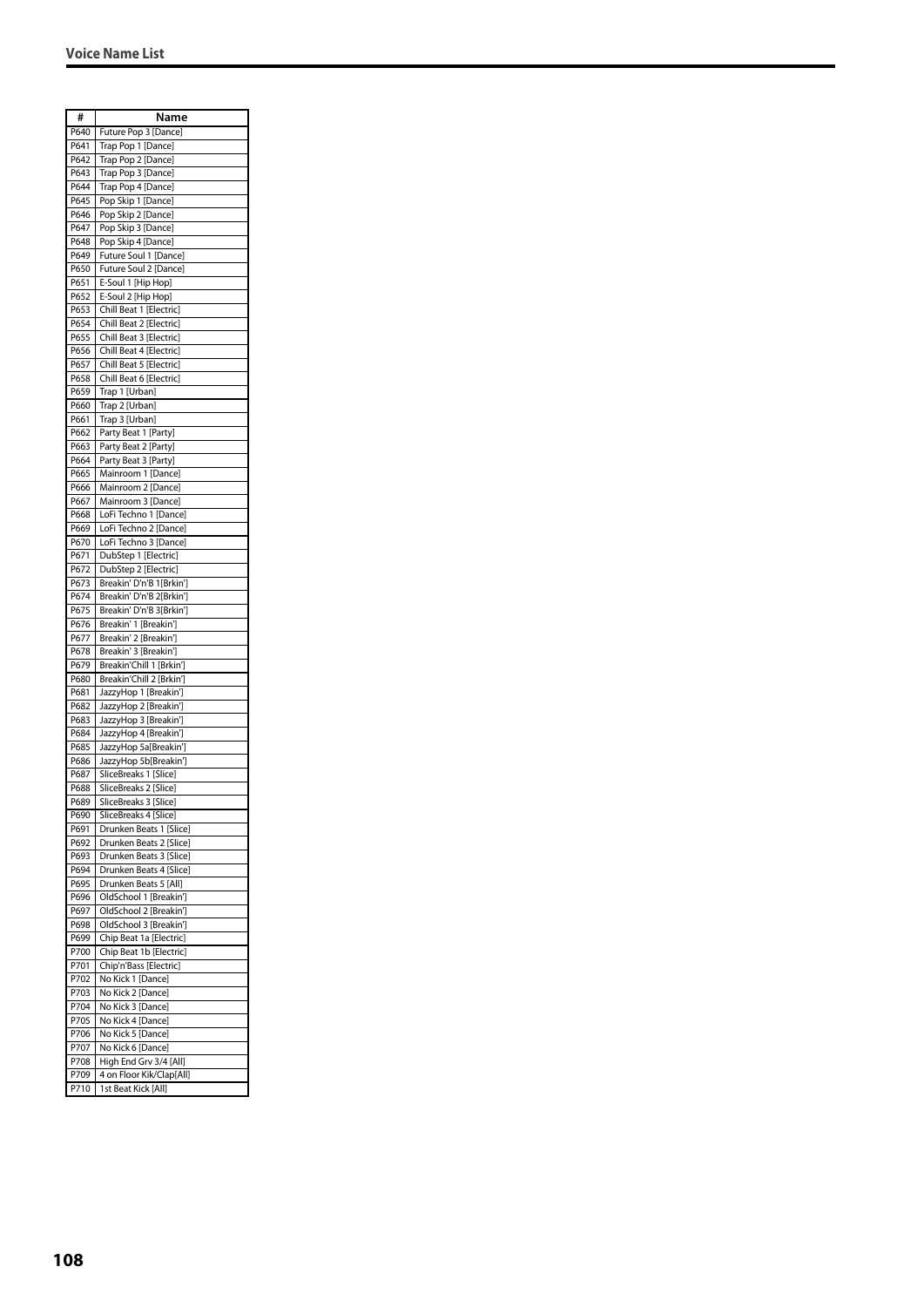| #            | Name                                                 |
|--------------|------------------------------------------------------|
| P640         | Future Pop 3 [Dance]                                 |
| P641         | Trap Pop 1 [Dance]                                   |
| P642         | Trap Pop 2 [Dance]                                   |
| P643         | Trap Pop 3 [Dance]                                   |
| P644         | Trap Pop 4 [Dance]                                   |
| P645<br>P646 | Pop Skip 1 [Dance]                                   |
| P647         | Pop Skip 2 [Dance]<br>Pop Skip 3 [Dance]             |
| P648         | Pop Skip 4 [Dance]                                   |
| P649         | Future Soul 1 [Dance]                                |
| P650         | Future Soul 2 [Dance]                                |
| P651         | E-Soul 1 [Hip Hop]                                   |
| P652         | E-Soul 2 [Hip Hop]                                   |
| P653         | Chill Beat 1 [Electric]                              |
| P654         | Chill Beat 2 [Electric]                              |
| P655<br>P656 | Chill Beat 3 [Electric]<br>Chill Beat 4 [Electric]   |
| P657         | Chill Beat 5 [Electric]                              |
| P658         | Chill Beat 6 [Electric]                              |
| P659         | Trap 1 [Urban]                                       |
| P660         | Trap 2 [Urban]                                       |
| P661         | Trap 3 [Urban]                                       |
| P662         | Party Beat 1 [Party]                                 |
| P663         | Party Beat 2 [Party]                                 |
| P664<br>P665 | Party Beat 3 [Party]<br>Mainroom 1 [Dance]           |
| P666         | Mainroom 2 [Dance]                                   |
| P667         | Mainroom 3 [Dance]                                   |
| P668         | LoFi Techno 1 [Dance]                                |
| P669         | LoFi Techno 2 [Dance]                                |
| P670         | LoFi Techno 3 [Dance]                                |
| P671         | DubStep 1 [Electric]                                 |
| P672         | DubStep 2 [Electric]                                 |
| P673<br>P674 | Breakin' D'n'B 1[Brkin']<br>Breakin' D'n'B 2[Brkin'] |
| P675         | Breakin' D'n'B 3[Brkin']                             |
| P676         | Breakin' 1 [Breakin']                                |
| P677         | Breakin' 2 [Breakin']                                |
| P678         | Breakin' 3 [Breakin']                                |
| P679         | Breakin'Chill 1 [Brkin']                             |
| P680<br>P681 | Breakin'Chill 2 [Brkin']<br>JazzyHop 1 [Breakin']    |
| P682         | JazzyHop 2 [Breakin']                                |
| P683         | JazzyHop 3 [Breakin']                                |
| P684         | JazzyHop 4 [Breakin']                                |
| P685         | JazzyHop 5a[Breakin']                                |
| P686         | JazzyHop 5b[Breakin']                                |
| P687         | SliceBreaks 1 [Slice]                                |
| P688<br>P689 | SliceBreaks 2 [Slice]<br>SliceBreaks 3 [Slice]       |
| P690         | SliceBreaks 4 [Slice]                                |
| P691         | Drunken Beats 1 [Slice]                              |
| P692         | Drunken Beats 2 [Slice]                              |
| P693         | Drunken Beats 3 [Slice]                              |
| P694         | Drunken Beats 4 [Slice]                              |
| P695         | Drunken Beats 5 [All]                                |
| P696<br>P697 | OldSchool 1 [Breakin']<br>OldSchool 2 [Breakin']     |
| P698         | OldSchool 3 [Breakin']                               |
| P699         | Chip Beat 1a [Electric]                              |
| P700         | Chip Beat 1b [Electric]                              |
| P701         | Chip'n'Bass [Electric]                               |
| P702         | No Kick 1 [Dance]                                    |
| P703         | No Kick 2 [Dance]                                    |
| P704         | No Kick 3 [Dance]                                    |
| P705<br>P706 | No Kick 4 [Dance]<br>No Kick 5 [Dance]               |
| P707         | No Kick 6 [Dance]                                    |
| P708         | High End Grv 3/4 [All]                               |
| P709         | 4 on Floor Kik/Clap[All]                             |
| P710         | 1st Beat Kick [All]                                  |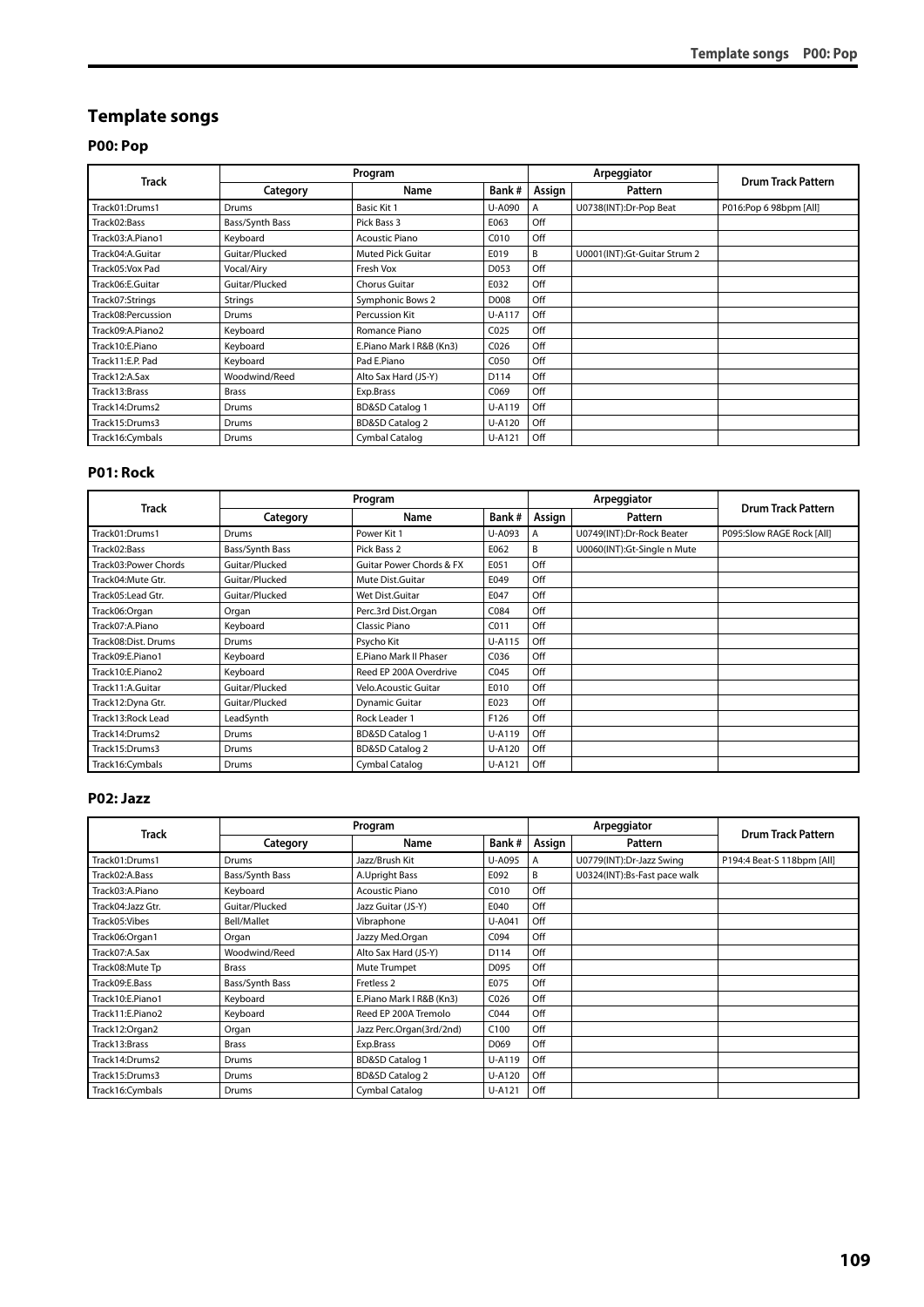# **Template songs**

## **P00: Pop**

|                    |                 | Program                    |                  |        | Arpeggiator                  | <b>Drum Track Pattern</b> |
|--------------------|-----------------|----------------------------|------------------|--------|------------------------------|---------------------------|
| <b>Track</b>       | Category        | Name                       | Bank#            | Assign | Pattern                      |                           |
| Track01:Drums1     | Drums           | Basic Kit 1                | U-A090           | A      | U0738(INT):Dr-Pop Beat       | P016:Pop 6 98bpm [All]    |
| Track02:Bass       | Bass/Synth Bass | Pick Bass 3                | E063             | Off    |                              |                           |
| Track03:A.Piano1   | Keyboard        | <b>Acoustic Piano</b>      | C010             | Off    |                              |                           |
| Track04:A.Guitar   | Guitar/Plucked  | Muted Pick Guitar          | E019             | B      | U0001(INT):Gt-Guitar Strum 2 |                           |
| Track05:Vox Pad    | Vocal/Airy      | Fresh Vox                  | D053             | Off    |                              |                           |
| Track06:E.Guitar   | Guitar/Plucked  | Chorus Guitar              | E032             | Off    |                              |                           |
| Track07:Strings    | <b>Strings</b>  | Symphonic Bows 2           | D008             | Off    |                              |                           |
| Track08:Percussion | Drums           | Percussion Kit             | U-A117           | Off    |                              |                           |
| Track09:A.Piano2   | Keyboard        | Romance Piano              | CO <sub>25</sub> | Off    |                              |                           |
| Track10:E.Piano    | Keyboard        | E.Piano Mark I R&B (Kn3)   | C <sub>026</sub> | Off    |                              |                           |
| Track11:E.P. Pad   | Keyboard        | Pad E.Piano                | C050             | Off    |                              |                           |
| Track12:A.Sax      | Woodwind/Reed   | Alto Sax Hard (JS-Y)       | D114             | Off    |                              |                           |
| Track13:Brass      | <b>Brass</b>    | Exp.Brass                  | C069             | Off    |                              |                           |
| Track14:Drums2     | <b>Drums</b>    | <b>BD&amp;SD Catalog 1</b> | U-A119           | Off    |                              |                           |
| Track15:Drums3     | <b>Drums</b>    | <b>BD&amp;SD Catalog 2</b> | U-A120           | Off    |                              |                           |
| Track16:Cymbals    | Drums           | Cymbal Catalog             | U-A121           | Off    |                              |                           |

#### **P01: Rock**

|                      |                 | Program                             |        |        | Arpeggiator                 | <b>Drum Track Pattern</b> |
|----------------------|-----------------|-------------------------------------|--------|--------|-----------------------------|---------------------------|
| Track                | Category        | Name                                | Bank#  | Assign | Pattern                     |                           |
| Track01:Drums1       | Drums           | Power Kit 1                         | U-A093 | A      | U0749(INT):Dr-Rock Beater   | P095:Slow RAGE Rock [All] |
| Track02:Bass         | Bass/Synth Bass | Pick Bass 2                         | E062   | B      | U0060(INT):Gt-Single n Mute |                           |
| Track03:Power Chords | Guitar/Plucked  | <b>Guitar Power Chords &amp; FX</b> | E051   | Off    |                             |                           |
| Track04: Mute Gtr.   | Guitar/Plucked  | Mute Dist.Guitar                    | E049   | Off    |                             |                           |
| Track05: Lead Gtr.   | Guitar/Plucked  | Wet Dist.Guitar                     | E047   | Off    |                             |                           |
| Track06:Organ        | Organ           | Perc.3rd Dist.Organ                 | C084   | Off    |                             |                           |
| Track07:A.Piano      | Keyboard        | Classic Piano                       | C011   | Off    |                             |                           |
| Track08:Dist. Drums  | Drums           | Psycho Kit                          | U-A115 | Off    |                             |                           |
| Track09:E.Piano1     | Keyboard        | E.Piano Mark II Phaser              | C036   | Off    |                             |                           |
| Track10:E.Piano2     | Keyboard        | Reed EP 200A Overdrive              | C045   | Off    |                             |                           |
| Track11:A.Guitar     | Guitar/Plucked  | Velo.Acoustic Guitar                | E010   | Off    |                             |                           |
| Track12:Dyna Gtr.    | Guitar/Plucked  | <b>Dynamic Guitar</b>               | E023   | Off    |                             |                           |
| Track13: Rock Lead   | LeadSynth       | Rock Leader 1                       | F126   | Off    |                             |                           |
| Track14:Drums2       | Drums           | <b>BD&amp;SD Catalog 1</b>          | U-A119 | Off    |                             |                           |
| Track15:Drums3       | Drums           | <b>BD&amp;SD Catalog 2</b>          | U-A120 | Off    |                             |                           |
| Track16:Cymbals      | Drums           | Cymbal Catalog                      | U-A121 | Off    |                             |                           |

#### **P02: Jazz**

|                   |                 | Program                    |                  |        | Arpeggiator                  | <b>Drum Track Pattern</b>  |
|-------------------|-----------------|----------------------------|------------------|--------|------------------------------|----------------------------|
| Track             | Category        | Name                       | Bank#            | Assign | Pattern                      |                            |
| Track01:Drums1    | Drums           | Jazz/Brush Kit             | U-A095           | A      | U0779(INT):Dr-Jazz Swing     | P194:4 Beat-S 118bpm [All] |
| Track02:A.Bass    | Bass/Synth Bass | A.Upright Bass             | E092             | B      | U0324(INT):Bs-Fast pace walk |                            |
| Track03:A.Piano   | Keyboard        | <b>Acoustic Piano</b>      | C010             | Off    |                              |                            |
| Track04:Jazz Gtr. | Guitar/Plucked  | Jazz Guitar (JS-Y)         | E040             | Off    |                              |                            |
| Track05:Vibes     | Bell/Mallet     | Vibraphone                 | U-A041           | Off    |                              |                            |
| Track06:Organ1    | Organ           | Jazzy Med.Organ            | C094             | Off    |                              |                            |
| Track07:A.Sax     | Woodwind/Reed   | Alto Sax Hard (JS-Y)       | D114             | Off    |                              |                            |
| Track08: Mute Tp  | <b>Brass</b>    | Mute Trumpet               | D095             | Off    |                              |                            |
| Track09:E.Bass    | Bass/Synth Bass | Fretless <sub>2</sub>      | E075             | Off    |                              |                            |
| Track10:E.Piano1  | Keyboard        | E.Piano Mark I R&B (Kn3)   | C <sub>026</sub> | Off    |                              |                            |
| Track11:E.Piano2  | Keyboard        | Reed EP 200A Tremolo       | C044             | Off    |                              |                            |
| Track12:Organ2    | Organ           | Jazz Perc.Organ(3rd/2nd)   | C100             | Off    |                              |                            |
| Track13:Brass     | <b>Brass</b>    | Exp.Brass                  | D069             | Off    |                              |                            |
| Track14:Drums2    | Drums           | <b>BD&amp;SD Catalog 1</b> | U-A119           | Off    |                              |                            |
| Track15:Drums3    | <b>Drums</b>    | <b>BD&amp;SD Catalog 2</b> | U-A120           | Off    |                              |                            |
| Track16:Cymbals   | <b>Drums</b>    | Cymbal Catalog             | U-A121           | Off    |                              |                            |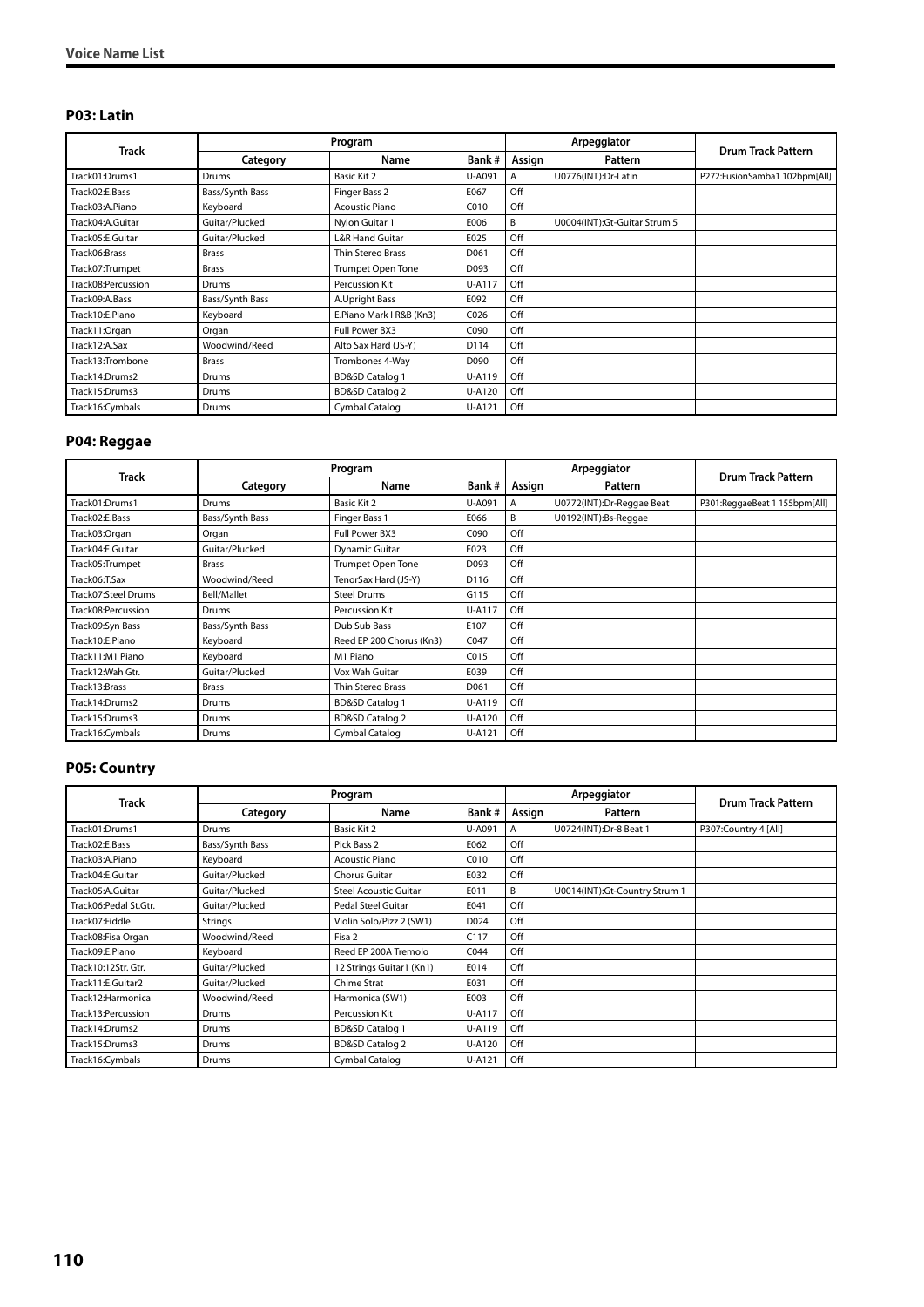#### **P03: Latin**

|                    |                 | Program                    |                  |        | Arpeggiator                  | <b>Drum Track Pattern</b>     |
|--------------------|-----------------|----------------------------|------------------|--------|------------------------------|-------------------------------|
| <b>Track</b>       | Category        | Name                       | Bank#            | Assign | Pattern                      |                               |
| Track01:Drums1     | Drums           | Basic Kit 2                | U-A091           | A      | U0776(INT):Dr-Latin          | P272:FusionSamba1 102bpm[All] |
| Track02:E.Bass     | Bass/Synth Bass | Finger Bass 2              | E067             | Off    |                              |                               |
| Track03:A.Piano    | Keyboard        | <b>Acoustic Piano</b>      | C010             | Off    |                              |                               |
| Track04:A.Guitar   | Guitar/Plucked  | Nylon Guitar 1             | E006             | B      | U0004(INT):Gt-Guitar Strum 5 |                               |
| Track05:E.Guitar   | Guitar/Plucked  | <b>L&amp;R Hand Guitar</b> | E025             | Off    |                              |                               |
| Track06:Brass      | Brass           | Thin Stereo Brass          | D <sub>061</sub> | Off    |                              |                               |
| Track07:Trumpet    | <b>Brass</b>    | <b>Trumpet Open Tone</b>   | D093             | Off    |                              |                               |
| Track08:Percussion | Drums           | Percussion Kit             | U-A117           | Off    |                              |                               |
| Track09:A.Bass     | Bass/Synth Bass | A.Upright Bass             | E092             | Off    |                              |                               |
| Track10:E.Piano    | Keyboard        | E.Piano Mark I R&B (Kn3)   | C <sub>026</sub> | Off    |                              |                               |
| Track11:Organ      | Organ           | Full Power BX3             | C090             | Off    |                              |                               |
| Track12:A.Sax      | Woodwind/Reed   | Alto Sax Hard (JS-Y)       | D114             | Off    |                              |                               |
| Track13:Trombone   | <b>Brass</b>    | Trombones 4-Way            | D090             | Off    |                              |                               |
| Track14:Drums2     | Drums           | <b>BD&amp;SD Catalog 1</b> | U-A119           | Off    |                              |                               |
| Track15:Drums3     | Drums           | <b>BD&amp;SD Catalog 2</b> | U-A120           | Off    |                              |                               |
| Track16:Cymbals    | Drums           | Cymbal Catalog             | U-A121           | Off    |                              |                               |

# **P04: Reggae**

| <b>Track</b>        |                 | Program                    |        |        | Arpeggiator               | <b>Drum Track Pattern</b>     |
|---------------------|-----------------|----------------------------|--------|--------|---------------------------|-------------------------------|
|                     | Category        | Name                       | Bank#  | Assign | Pattern                   |                               |
| Track01:Drums1      | Drums           | Basic Kit 2                | U-A091 | A      | U0772(INT):Dr-Reggae Beat | P301:ReggaeBeat 1 155bpm[All] |
| Track02:E.Bass      | Bass/Synth Bass | Finger Bass 1              | E066   | B      | U0192(INT):Bs-Reggae      |                               |
| Track03:Organ       | Organ           | Full Power BX3             | C090   | Off    |                           |                               |
| Track04:E.Guitar    | Guitar/Plucked  | <b>Dynamic Guitar</b>      | E023   | Off    |                           |                               |
| Track05:Trumpet     | <b>Brass</b>    | Trumpet Open Tone          | D093   | Off    |                           |                               |
| Track06:T.Sax       | Woodwind/Reed   | TenorSax Hard (JS-Y)       | D116   | Off    |                           |                               |
| Track07:Steel Drums | Bell/Mallet     | <b>Steel Drums</b>         | G115   | Off    |                           |                               |
| Track08:Percussion  | Drums           | Percussion Kit             | U-A117 | Off    |                           |                               |
| Track09:Syn Bass    | Bass/Synth Bass | Dub Sub Bass               | E107   | Off    |                           |                               |
| Track10:E.Piano     | Keyboard        | Reed EP 200 Chorus (Kn3)   | C047   | Off    |                           |                               |
| Track11:M1 Piano    | Keyboard        | M1 Piano                   | C015   | Off    |                           |                               |
| Track12: Wah Gtr.   | Guitar/Plucked  | Vox Wah Guitar             | E039   | Off    |                           |                               |
| Track13:Brass       | <b>Brass</b>    | Thin Stereo Brass          | D061   | Off    |                           |                               |
| Track14:Drums2      | Drums           | <b>BD&amp;SD Catalog 1</b> | U-A119 | Off    |                           |                               |
| Track15:Drums3      | Drums           | <b>BD&amp;SD Catalog 2</b> | U-A120 | Off    |                           |                               |
| Track16:Cymbals     | Drums           | Cymbal Catalog             | U-A121 | Off    |                           |                               |

#### **P05: Country**

|                       |                 | Program                      |        |        | Arpeggiator                   | <b>Drum Track Pattern</b> |
|-----------------------|-----------------|------------------------------|--------|--------|-------------------------------|---------------------------|
| <b>Track</b>          | Category        | Name                         | Bank#  | Assign | Pattern                       |                           |
| Track01:Drums1        | Drums           | Basic Kit 2                  | U-A091 | A      | U0724(INT):Dr-8 Beat 1        | P307:Country 4 [All]      |
| Track02:E.Bass        | Bass/Synth Bass | Pick Bass 2                  | E062   | Off    |                               |                           |
| Track03:A.Piano       | Keyboard        | <b>Acoustic Piano</b>        | C010   | Off    |                               |                           |
| Track04:E.Guitar      | Guitar/Plucked  | Chorus Guitar                | E032   | Off    |                               |                           |
| Track05:A.Guitar      | Guitar/Plucked  | <b>Steel Acoustic Guitar</b> | E011   | B      | U0014(INT):Gt-Country Strum 1 |                           |
| Track06:Pedal St.Gtr. | Guitar/Plucked  | Pedal Steel Guitar           | E041   | Off    |                               |                           |
| Track07:Fiddle        | Strings         | Violin Solo/Pizz 2 (SW1)     | D024   | Off    |                               |                           |
| Track08: Fisa Organ   | Woodwind/Reed   | Fisa 2                       | C117   | Off    |                               |                           |
| Track09:E.Piano       | Keyboard        | Reed EP 200A Tremolo         | C044   | Off    |                               |                           |
| Track10:12Str. Gtr.   | Guitar/Plucked  | 12 Strings Guitar1 (Kn1)     | E014   | Off    |                               |                           |
| Track11:E.Guitar2     | Guitar/Plucked  | Chime Strat                  | E031   | Off    |                               |                           |
| Track12: Harmonica    | Woodwind/Reed   | Harmonica (SW1)              | E003   | Off    |                               |                           |
| Track13:Percussion    | Drums           | Percussion Kit               | U-A117 | Off    |                               |                           |
| Track14:Drums2        | Drums           | <b>BD&amp;SD Catalog 1</b>   | U-A119 | Off    |                               |                           |
| Track15:Drums3        | Drums           | <b>BD&amp;SD Catalog 2</b>   | U-A120 | Off    |                               |                           |
| Track16:Cymbals       | Drums           | Cymbal Catalog               | U-A121 | Off    |                               |                           |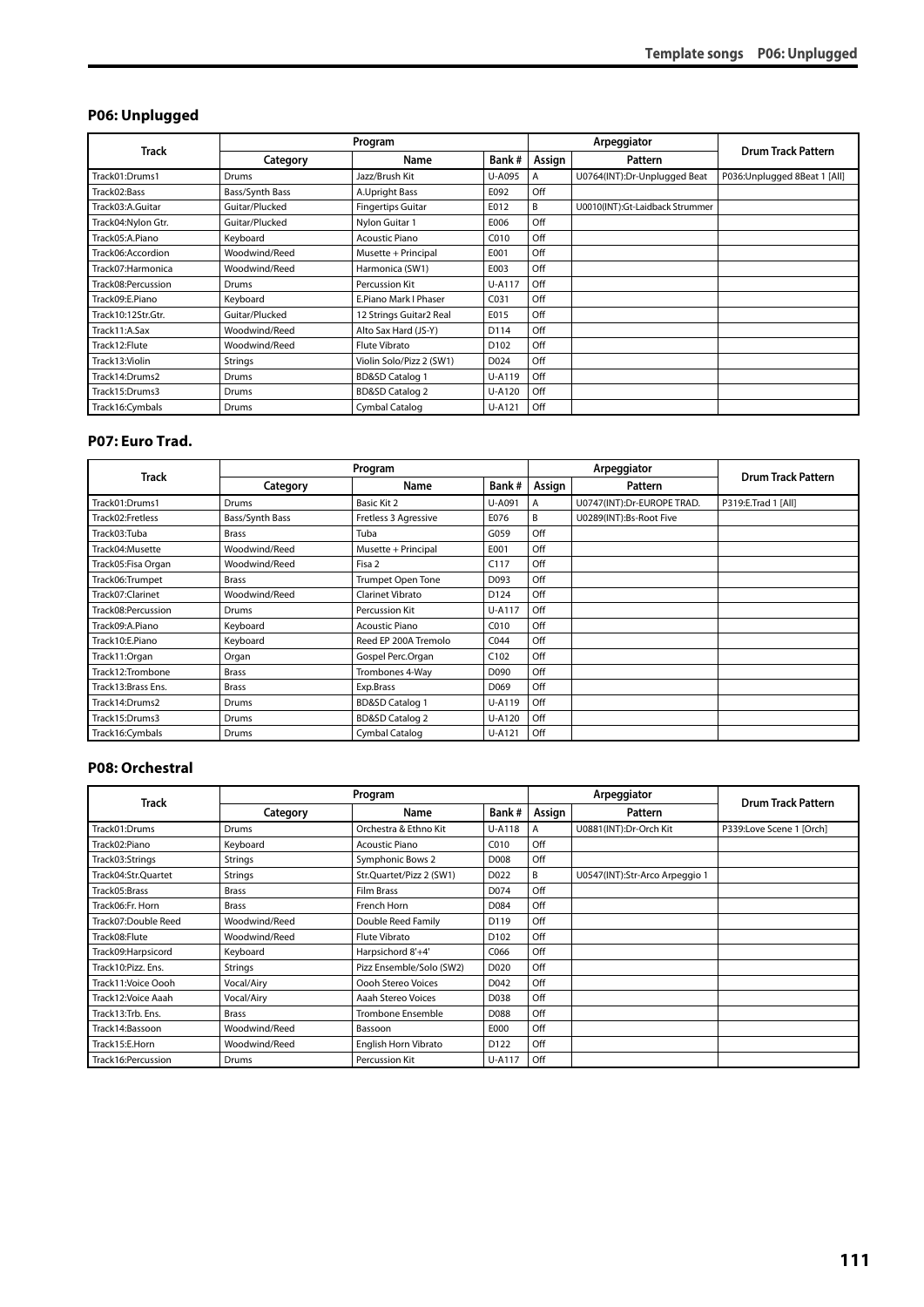## **P06: Unplugged**

|                    |                 | Program                    |        |        | Arpeggiator                     | <b>Drum Track Pattern</b>     |
|--------------------|-----------------|----------------------------|--------|--------|---------------------------------|-------------------------------|
| <b>Track</b>       | Category        | Name                       | Bank#  | Assign | Pattern                         |                               |
| Track01:Drums1     | Drums           | Jazz/Brush Kit             | U-A095 | A      | U0764(INT):Dr-Unplugged Beat    | P036: Unplugged 8Beat 1 [All] |
| Track02:Bass       | Bass/Synth Bass | A.Upright Bass             | E092   | Off    |                                 |                               |
| Track03:A.Guitar   | Guitar/Plucked  | <b>Fingertips Guitar</b>   | E012   | B      | U0010(INT):Gt-Laidback Strummer |                               |
| Track04:Nylon Gtr. | Guitar/Plucked  | Nylon Guitar 1             | E006   | Off    |                                 |                               |
| Track05:A.Piano    | Keyboard        | <b>Acoustic Piano</b>      | C010   | Off    |                                 |                               |
| Track06:Accordion  | Woodwind/Reed   | Musette + Principal        | E001   | Off    |                                 |                               |
| Track07: Harmonica | Woodwind/Reed   | Harmonica (SW1)            | E003   | Off    |                                 |                               |
| Track08:Percussion | <b>Drums</b>    | Percussion Kit             | U-A117 | Off    |                                 |                               |
| Track09:E.Piano    | Keyboard        | E.Piano Mark I Phaser      | C031   | Off    |                                 |                               |
| Track10:12Str.Gtr. | Guitar/Plucked  | 12 Strings Guitar2 Real    | E015   | Off    |                                 |                               |
| Track11:A.Sax      | Woodwind/Reed   | Alto Sax Hard (JS-Y)       | D114   | Off    |                                 |                               |
| Track12:Flute      | Woodwind/Reed   | <b>Flute Vibrato</b>       | D102   | Off    |                                 |                               |
| Track13: Violin    | Strings         | Violin Solo/Pizz 2 (SW1)   | D024   | Off    |                                 |                               |
| Track14:Drums2     | <b>Drums</b>    | <b>BD&amp;SD Catalog 1</b> | U-A119 | Off    |                                 |                               |
| Track15:Drums3     | <b>Drums</b>    | <b>BD&amp;SD Catalog 2</b> | U-A120 | Off    |                                 |                               |
| Track16:Cymbals    | <b>Drums</b>    | Cymbal Catalog             | U-A121 | Off    |                                 |                               |

#### **P07: Euro Trad.**

| <b>Track</b>       |                 | Program                    |                  |        | Arpeggiator                | <b>Drum Track Pattern</b> |
|--------------------|-----------------|----------------------------|------------------|--------|----------------------------|---------------------------|
|                    | Category        | Name                       | Bank#            | Assign | Pattern                    |                           |
| Track01:Drums1     | Drums           | Basic Kit 2                | U-A091           | A      | U0747(INT):Dr-EUROPE TRAD. | P319:E.Trad 1 [All]       |
| Track02:Fretless   | Bass/Synth Bass | Fretless 3 Agressive       | E076             | B      | U0289(INT):Bs-Root Five    |                           |
| Track03:Tuba       | <b>Brass</b>    | Tuba                       | G059             | Off    |                            |                           |
| Track04: Musette   | Woodwind/Reed   | Musette + Principal        | E001             | Off    |                            |                           |
| Track05:Fisa Organ | Woodwind/Reed   | Fisa 2                     | C117             | Off    |                            |                           |
| Track06:Trumpet    | <b>Brass</b>    | Trumpet Open Tone          | D093             | Off    |                            |                           |
| Track07:Clarinet   | Woodwind/Reed   | Clarinet Vibrato           | D124             | Off    |                            |                           |
| Track08:Percussion | Drums           | Percussion Kit             | U-A117           | Off    |                            |                           |
| Track09:A.Piano    | Keyboard        | <b>Acoustic Piano</b>      | C010             | Off    |                            |                           |
| Track10:E.Piano    | Keyboard        | Reed EP 200A Tremolo       | CO <sub>44</sub> | Off    |                            |                           |
| Track11:Organ      | Organ           | Gospel Perc.Organ          | C102             | Off    |                            |                           |
| Track12:Trombone   | Brass           | Trombones 4-Way            | D090             | Off    |                            |                           |
| Track13:Brass Ens. | <b>Brass</b>    | Exp.Brass                  | D069             | Off    |                            |                           |
| Track14:Drums2     | Drums           | <b>BD&amp;SD Catalog 1</b> | U-A119           | Off    |                            |                           |
| Track15:Drums3     | Drums           | <b>BD&amp;SD Catalog 2</b> | U-A120           | Off    |                            |                           |
| Track16:Cymbals    | Drums           | Cymbal Catalog             | U-A121           | Off    |                            |                           |

#### **P08: Orchestral**

| <b>Track</b>        |                | Program                  |                  |        | Arpeggiator                    | <b>Drum Track Pattern</b> |
|---------------------|----------------|--------------------------|------------------|--------|--------------------------------|---------------------------|
|                     | Category       | Name                     | Bank#            | Assign | Pattern                        |                           |
| Track01:Drums       | <b>Drums</b>   | Orchestra & Ethno Kit    | U-A118           | A      | U0881(INT):Dr-Orch Kit         | P339:Love Scene 1 [Orch]  |
| Track02:Piano       | Keyboard       | <b>Acoustic Piano</b>    | C010             | Off    |                                |                           |
| Track03:Strings     | Strings        | Symphonic Bows 2         | D008             | Off    |                                |                           |
| Track04:Str.Ouartet | <b>Strings</b> | Str.Quartet/Pizz 2 (SW1) | D022             | B      | U0547(INT):Str-Arco Arpeggio 1 |                           |
| Track05:Brass       | <b>Brass</b>   | Film Brass               | D074             | Off    |                                |                           |
| Track06:Fr. Horn    | <b>Brass</b>   | French Horn              | D084             | Off    |                                |                           |
| Track07:Double Reed | Woodwind/Reed  | Double Reed Family       | D119             | Off    |                                |                           |
| Track08:Flute       | Woodwind/Reed  | Flute Vibrato            | D <sub>102</sub> | Off    |                                |                           |
| Track09: Harpsicord | Keyboard       | Harpsichord 8'+4'        | C066             | Off    |                                |                           |
| Track10:Pizz. Ens.  | <b>Strings</b> | Pizz Ensemble/Solo (SW2) | D020             | Off    |                                |                           |
| Track11: Voice Oooh | Vocal/Airy     | Oooh Stereo Voices       | D042             | Off    |                                |                           |
| Track12: Voice Aaah | Vocal/Airy     | Aaah Stereo Voices       | D038             | Off    |                                |                           |
| Track13:Trb. Ens.   | <b>Brass</b>   | Trombone Ensemble        | D088             | Off    |                                |                           |
| Track14:Bassoon     | Woodwind/Reed  | Bassoon                  | E000             | Off    |                                |                           |
| Track15:E.Horn      | Woodwind/Reed  | English Horn Vibrato     | D122             | Off    |                                |                           |
| Track16:Percussion  | Drums          | Percussion Kit           | U-A117           | Off    |                                |                           |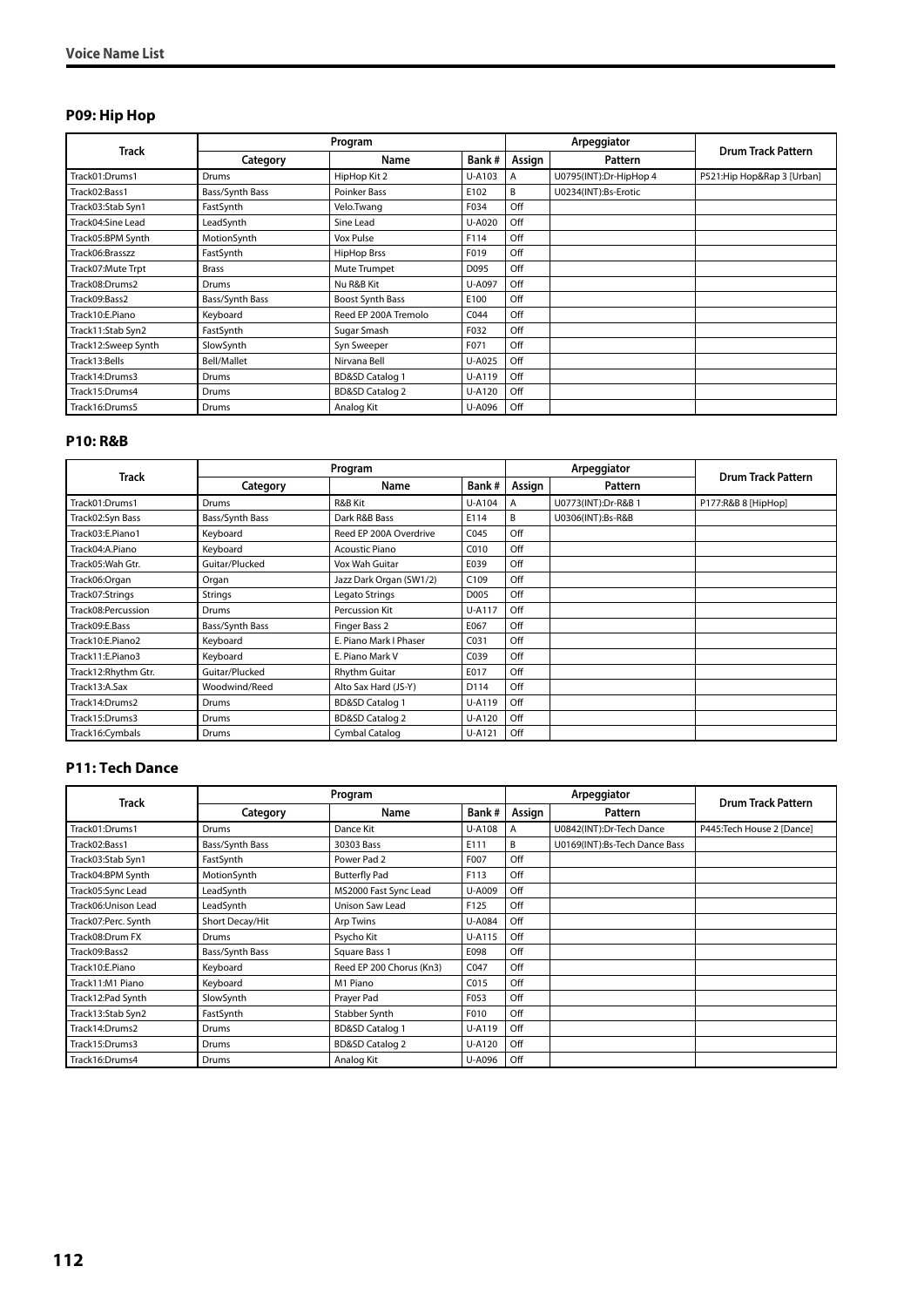#### **P09: Hip Hop**

|                     |                 | Program                    |        |                | Arpeggiator            | <b>Drum Track Pattern</b>  |
|---------------------|-----------------|----------------------------|--------|----------------|------------------------|----------------------------|
| <b>Track</b>        | Category        | Name                       | Bank#  | Assign         | Pattern                |                            |
| Track01:Drums1      | Drums           | HipHop Kit 2               | U-A103 | $\overline{A}$ | U0795(INT):Dr-HipHop 4 | P521:Hip Hop&Rap 3 [Urban] |
| Track02:Bass1       | Bass/Synth Bass | Poinker Bass               | E102   | B              | U0234(INT):Bs-Erotic   |                            |
| Track03:Stab Syn1   | FastSynth       | Velo.Twang                 | F034   | Off            |                        |                            |
| Track04:Sine Lead   | LeadSynth       | Sine Lead                  | U-A020 | Off            |                        |                            |
| Track05:BPM Synth   | MotionSynth     | Vox Pulse                  | F114   | Off            |                        |                            |
| Track06:Brasszz     | FastSynth       | <b>HipHop Brss</b>         | F019   | Off            |                        |                            |
| Track07: Mute Trpt  | <b>Brass</b>    | Mute Trumpet               | D095   | Off            |                        |                            |
| Track08:Drums2      | Drums           | Nu R&B Kit                 | U-A097 | Off            |                        |                            |
| Track09:Bass2       | Bass/Synth Bass | Boost Synth Bass           | E100   | Off            |                        |                            |
| Track10:E.Piano     | Keyboard        | Reed EP 200A Tremolo       | C044   | Off            |                        |                            |
| Track11:Stab Syn2   | FastSynth       | Sugar Smash                | F032   | Off            |                        |                            |
| Track12:Sweep Synth | SlowSynth       | Syn Sweeper                | F071   | Off            |                        |                            |
| Track13:Bells       | Bell/Mallet     | Nirvana Bell               | U-A025 | Off            |                        |                            |
| Track14:Drums3      | Drums           | <b>BD&amp;SD Catalog 1</b> | U-A119 | Off            |                        |                            |
| Track15:Drums4      | Drums           | <b>BD&amp;SD Catalog 2</b> | U-A120 | Off            |                        |                            |
| Track16:Drums5      | Drums           | Analog Kit                 | U-A096 | Off            |                        |                            |

#### **P10: R&B**

| <b>Track</b>        |                 | Program                    |        |        | Arpeggiator         | <b>Drum Track Pattern</b> |
|---------------------|-----------------|----------------------------|--------|--------|---------------------|---------------------------|
|                     | Category        | Name                       | Bank#  | Assign | Pattern             |                           |
| Track01:Drums1      | Drums           | R&B Kit                    | U-A104 | A      | U0773(INT):Dr-R&B 1 | P177:R&B 8 [HipHop]       |
| Track02:Syn Bass    | Bass/Synth Bass | Dark R&B Bass              | E114   | B      | U0306(INT):Bs-R&B   |                           |
| Track03:E.Piano1    | Keyboard        | Reed EP 200A Overdrive     | C045   | Off    |                     |                           |
| Track04:A.Piano     | Keyboard        | <b>Acoustic Piano</b>      | C010   | Off    |                     |                           |
| Track05: Wah Gtr.   | Guitar/Plucked  | Vox Wah Guitar             | E039   | Off    |                     |                           |
| Track06:Organ       | Organ           | Jazz Dark Organ (SW1/2)    | C109   | Off    |                     |                           |
| Track07:Strings     | Strings         | Legato Strings             | D005   | Off    |                     |                           |
| Track08:Percussion  | Drums           | Percussion Kit             | U-A117 | Off    |                     |                           |
| Track09:E.Bass      | Bass/Synth Bass | Finger Bass 2              | E067   | Off    |                     |                           |
| Track10:E.Piano2    | Keyboard        | E. Piano Mark I Phaser     | C031   | Off    |                     |                           |
| Track11:E.Piano3    | Keyboard        | E. Piano Mark V            | C039   | Off    |                     |                           |
| Track12:Rhythm Gtr. | Guitar/Plucked  | <b>Rhythm Guitar</b>       | E017   | Off    |                     |                           |
| Track13:A.Sax       | Woodwind/Reed   | Alto Sax Hard (JS-Y)       | D114   | Off    |                     |                           |
| Track14:Drums2      | Drums           | <b>BD&amp;SD Catalog 1</b> | U-A119 | Off    |                     |                           |
| Track15:Drums3      | Drums           | <b>BD&amp;SD Catalog 2</b> | U-A120 | Off    |                     |                           |
| Track16:Cymbals     | Drums           | Cymbal Catalog             | U-A121 | Off    |                     |                           |

#### **P11: Tech Dance**

|                     |                 | Program                    |        |                | Arpeggiator                   | <b>Drum Track Pattern</b>  |
|---------------------|-----------------|----------------------------|--------|----------------|-------------------------------|----------------------------|
| Track               | Category        | Name                       | Bank#  | Assign         | Pattern                       |                            |
| Track01:Drums1      | <b>Drums</b>    | Dance Kit                  | U-A108 | $\overline{A}$ | U0842(INT):Dr-Tech Dance      | P445: Tech House 2 [Dance] |
| Track02:Bass1       | Bass/Synth Bass | 30303 Bass                 | E111   | B              | U0169(INT):Bs-Tech Dance Bass |                            |
| Track03:Stab Syn1   | FastSynth       | Power Pad 2                | F007   | Off            |                               |                            |
| Track04:BPM Synth   | MotionSynth     | <b>Butterfly Pad</b>       | F113   | Off            |                               |                            |
| Track05:Sync Lead   | LeadSynth       | MS2000 Fast Sync Lead      | U-A009 | Off            |                               |                            |
| Track06:Unison Lead | LeadSynth       | Unison Saw Lead            | F125   | Off            |                               |                            |
| Track07:Perc. Synth | Short Decay/Hit | <b>Arp Twins</b>           | U-A084 | Off            |                               |                            |
| Track08:Drum FX     | Drums           | Psycho Kit                 | U-A115 | Off            |                               |                            |
| Track09:Bass2       | Bass/Synth Bass | Square Bass 1              | E098   | Off            |                               |                            |
| Track10:E.Piano     | Keyboard        | Reed EP 200 Chorus (Kn3)   | C047   | Off            |                               |                            |
| Track11:M1 Piano    | Keyboard        | M1 Piano                   | C015   | Off            |                               |                            |
| Track12:Pad Synth   | SlowSynth       | Prayer Pad                 | F053   | Off            |                               |                            |
| Track13:Stab Syn2   | FastSynth       | Stabber Synth              | F010   | Off            |                               |                            |
| Track14:Drums2      | Drums           | <b>BD&amp;SD Catalog 1</b> | U-A119 | Off            |                               |                            |
| Track15:Drums3      | Drums           | <b>BD&amp;SD Catalog 2</b> | U-A120 | Off            |                               |                            |
| Track16:Drums4      | Drums           | Analog Kit                 | U-A096 | Off            |                               |                            |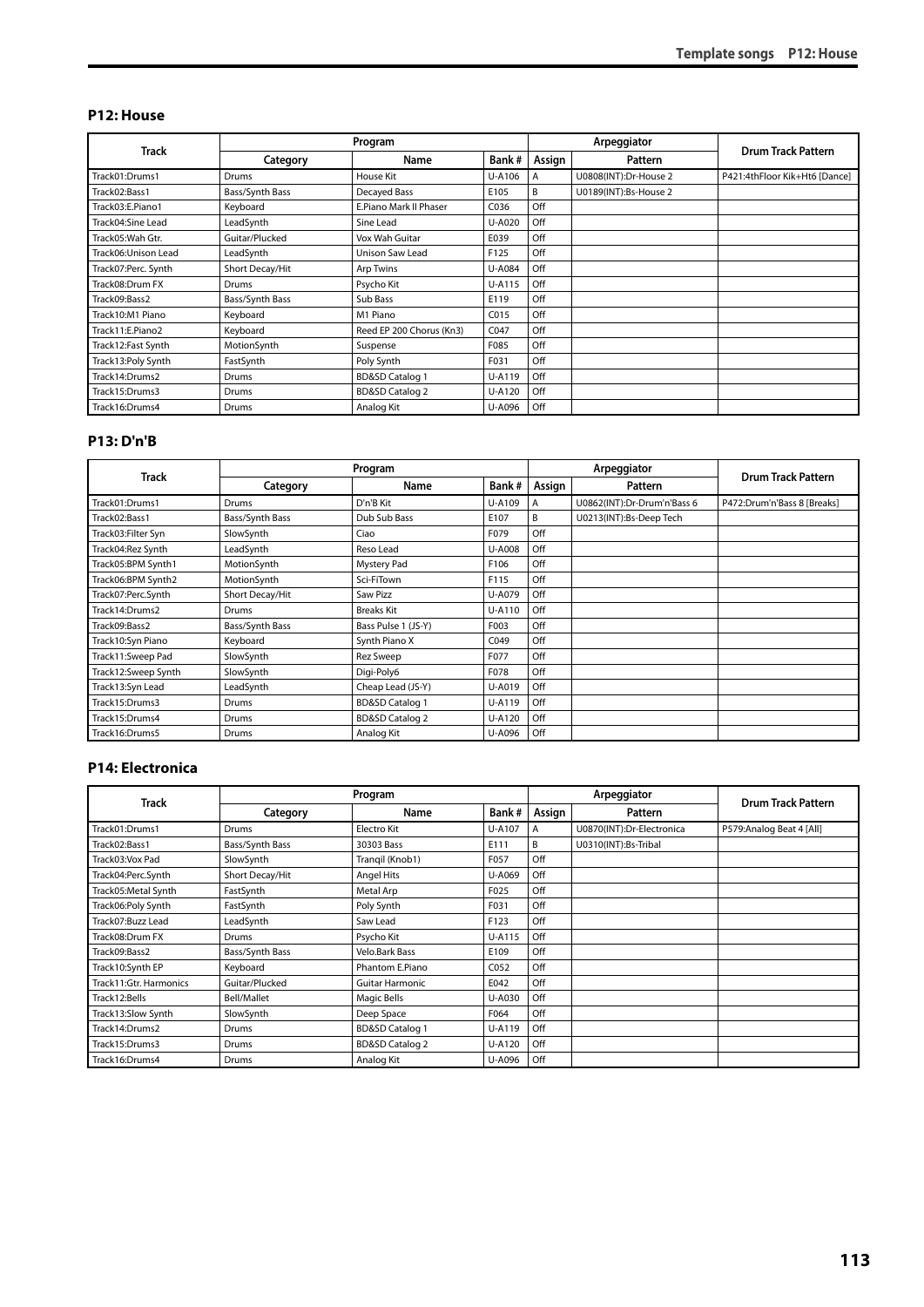#### **P12: House**

|                      |                 | Program                    |        |        | Arpeggiator           | <b>Drum Track Pattern</b>     |  |
|----------------------|-----------------|----------------------------|--------|--------|-----------------------|-------------------------------|--|
| <b>Track</b>         | Category        | Name                       | Bank#  | Assign | Pattern               |                               |  |
| Track01:Drums1       | Drums           | House Kit                  | U-A106 | Α      | U0808(INT):Dr-House 2 | P421:4thFloor Kik+Ht6 [Dance] |  |
| Track02:Bass1        | Bass/Synth Bass | Decayed Bass               | E105   | B      | U0189(INT):Bs-House 2 |                               |  |
| Track03:E.Piano1     | Keyboard        | E.Piano Mark II Phaser     | C036   | Off    |                       |                               |  |
| Track04:Sine Lead    | LeadSynth       | Sine Lead                  | U-A020 | Off    |                       |                               |  |
| Track05: Wah Gtr.    | Guitar/Plucked  | Vox Wah Guitar             | E039   | Off    |                       |                               |  |
| Track06: Unison Lead | LeadSynth       | Unison Saw Lead            | F125   | Off    |                       |                               |  |
| Track07:Perc. Synth  | Short Decay/Hit | Arp Twins                  | U-A084 | Off    |                       |                               |  |
| Track08:Drum FX      | Drums           | Psycho Kit                 | U-A115 | Off    |                       |                               |  |
| Track09:Bass2        | Bass/Synth Bass | Sub Bass                   | E119   | Off    |                       |                               |  |
| Track10:M1 Piano     | Keyboard        | M1 Piano                   | C015   | Off    |                       |                               |  |
| Track11:E.Piano2     | Keyboard        | Reed EP 200 Chorus (Kn3)   | C047   | Off    |                       |                               |  |
| Track12: Fast Synth  | MotionSynth     | Suspense                   | F085   | Off    |                       |                               |  |
| Track13:Poly Synth   | FastSynth       | Poly Synth                 | F031   | Off    |                       |                               |  |
| Track14:Drums2       | Drums           | <b>BD&amp;SD Catalog 1</b> | U-A119 | Off    |                       |                               |  |
| Track15:Drums3       | Drums           | <b>BD&amp;SD Catalog 2</b> | U-A120 | Off    |                       |                               |  |
| Track16:Drums4       | <b>Drums</b>    | Analog Kit                 | U-A096 | Off    |                       |                               |  |

#### **P13: D'n'B**

|                     |                 | Program                    |               |        | Arpeggiator                 | <b>Drum Track Pattern</b>   |  |
|---------------------|-----------------|----------------------------|---------------|--------|-----------------------------|-----------------------------|--|
| <b>Track</b>        | Category        | Name                       | Bank#         | Assign | Pattern                     |                             |  |
| Track01:Drums1      | Drums           | D'n'B Kit                  | U-A109        | A      | U0862(INT):Dr-Drum'n'Bass 6 | P472:Drum'n'Bass 8 [Breaks] |  |
| Track02:Bass1       | Bass/Synth Bass | Dub Sub Bass               | E107          | В      | U0213(INT):Bs-Deep Tech     |                             |  |
| Track03:Filter Syn  | SlowSynth       | Ciao                       | F079          | Off    |                             |                             |  |
| Track04:Rez Synth   | LeadSynth       | Reso Lead                  | <b>U-A008</b> | Off    |                             |                             |  |
| Track05:BPM Synth1  | MotionSynth     | Mystery Pad                | F106          | Off    |                             |                             |  |
| Track06:BPM Synth2  | MotionSynth     | Sci-FiTown                 | F115          | Off    |                             |                             |  |
| Track07:Perc.Synth  | Short Decay/Hit | Saw Pizz                   | U-A079        | Off    |                             |                             |  |
| Track14:Drums2      | Drums           | <b>Breaks Kit</b>          | U-A110        | Off    |                             |                             |  |
| Track09:Bass2       | Bass/Synth Bass | Bass Pulse 1 (JS-Y)        | F003          | Off    |                             |                             |  |
| Track10:Syn Piano   | Keyboard        | Synth Piano X              | C049          | Off    |                             |                             |  |
| Track11:Sweep Pad   | SlowSynth       | Rez Sweep                  | F077          | Off    |                             |                             |  |
| Track12:Sweep Synth | SlowSynth       | Digi-Poly6                 | F078          | Off    |                             |                             |  |
| Track13:Syn Lead    | LeadSynth       | Cheap Lead (JS-Y)          | U-A019        | Off    |                             |                             |  |
| Track15:Drums3      | Drums           | <b>BD&amp;SD Catalog 1</b> | U-A119        | Off    |                             |                             |  |
| Track15:Drums4      | Drums           | <b>BD&amp;SD Catalog 2</b> | U-A120        | Off    |                             |                             |  |
| Track16:Drums5      | Drums           | Analog Kit                 | U-A096        | Off    |                             |                             |  |

#### **P14: Electronica**

|                        |                 | Program                    |                  |        | Arpeggiator               | <b>Drum Track Pattern</b> |  |
|------------------------|-----------------|----------------------------|------------------|--------|---------------------------|---------------------------|--|
| <b>Track</b>           | Category        | Name                       | Bank#            | Assign | Pattern                   |                           |  |
| Track01:Drums1         | Drums           | Electro Kit                | U-A107           | A      | U0870(INT):Dr-Electronica | P579: Analog Beat 4 [All] |  |
| Track02:Bass1          | Bass/Synth Bass | 30303 Bass                 | E111             | B      | U0310(INT):Bs-Tribal      |                           |  |
| Track03:Vox Pad        | SlowSynth       | Trangil (Knob1)            | F057             | Off    |                           |                           |  |
| Track04:Perc.Synth     | Short Decay/Hit | <b>Angel Hits</b>          | U-A069           | Off    |                           |                           |  |
| Track05:Metal Synth    | FastSynth       | Metal Arp                  | F025             | Off    |                           |                           |  |
| Track06:Poly Synth     | FastSynth       | Poly Synth                 | F031             | Off    |                           |                           |  |
| Track07:Buzz Lead      | LeadSynth       | Saw Lead                   | F123             | Off    |                           |                           |  |
| Track08:Drum FX        | Drums           | Psycho Kit                 | U-A115           | Off    |                           |                           |  |
| Track09:Bass2          | Bass/Synth Bass | Velo.Bark Bass             | E109             | Off    |                           |                           |  |
| Track10:Synth EP       | Keyboard        | Phantom E.Piano            | C <sub>052</sub> | Off    |                           |                           |  |
| Track11:Gtr. Harmonics | Guitar/Plucked  | <b>Guitar Harmonic</b>     | E042             | Off    |                           |                           |  |
| Track12:Bells          | Bell/Mallet     | Magic Bells                | U-A030           | Off    |                           |                           |  |
| Track13:Slow Synth     | SlowSynth       | Deep Space                 | F064             | Off    |                           |                           |  |
| Track14:Drums2         | <b>Drums</b>    | <b>BD&amp;SD Catalog 1</b> | U-A119           | Off    |                           |                           |  |
| Track15:Drums3         | Drums           | <b>BD&amp;SD Catalog 2</b> | U-A120           | Off    |                           |                           |  |
| Track16:Drums4         | <b>Drums</b>    | Analog Kit                 | U-A096           | Off    |                           |                           |  |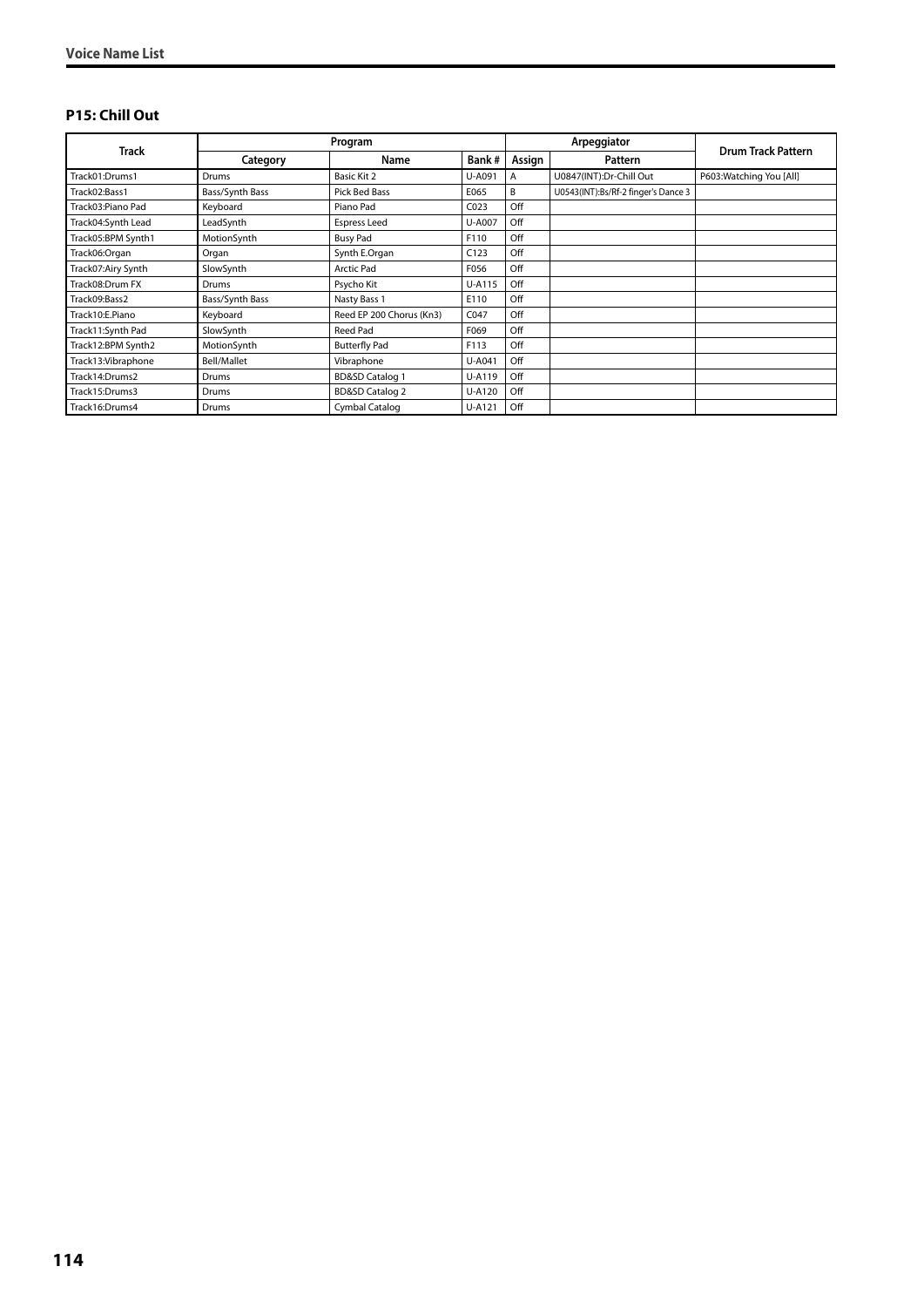#### **P15: Chill Out**

|                     |                 | Program                    |                  |     | Arpeggiator                         | <b>Drum Track Pattern</b> |  |
|---------------------|-----------------|----------------------------|------------------|-----|-------------------------------------|---------------------------|--|
| <b>Track</b>        | Category        | Name                       | Bank#<br>Assign  |     | Pattern                             |                           |  |
| Track01:Drums1      | <b>Drums</b>    | Basic Kit 2                | U-A091           | A   | U0847(INT):Dr-Chill Out             | P603: Watching You [All]  |  |
| Track02:Bass1       | Bass/Synth Bass | Pick Bed Bass              | E065             | B   | U0543(INT):Bs/Rf-2 finger's Dance 3 |                           |  |
| Track03:Piano Pad   | Keyboard        | Piano Pad                  | CO <sub>23</sub> | Off |                                     |                           |  |
| Track04:Synth Lead  | LeadSynth       | <b>Espress Leed</b>        | U-A007           | Off |                                     |                           |  |
| Track05:BPM Synth1  | MotionSynth     | <b>Busy Pad</b>            | F110             | Off |                                     |                           |  |
| Track06:Organ       | Organ           | Synth E.Organ              | C123             | Off |                                     |                           |  |
| Track07:Airy Synth  | SlowSynth       | <b>Arctic Pad</b>          | F056             | Off |                                     |                           |  |
| Track08:Drum FX     | Drums           | Psycho Kit                 | U-A115           | Off |                                     |                           |  |
| Track09:Bass2       | Bass/Synth Bass | Nasty Bass 1               | E110             | Off |                                     |                           |  |
| Track10:E.Piano     | Keyboard        | Reed EP 200 Chorus (Kn3)   | C047             | Off |                                     |                           |  |
| Track11:Synth Pad   | SlowSynth       | Reed Pad                   | F069             | Off |                                     |                           |  |
| Track12:BPM Synth2  | MotionSynth     | <b>Butterfly Pad</b>       | F113             | Off |                                     |                           |  |
| Track13: Vibraphone | Bell/Mallet     | Vibraphone                 | U-A041           | Off |                                     |                           |  |
| Track14:Drums2      | Drums           | <b>BD&amp;SD Catalog 1</b> | U-A119           | Off |                                     |                           |  |
| Track15:Drums3      | <b>Drums</b>    | <b>BD&amp;SD Catalog 2</b> | U-A120           | Off |                                     |                           |  |
| Track16:Drums4      | Drums           | Cymbal Catalog             | U-A121           | Off |                                     |                           |  |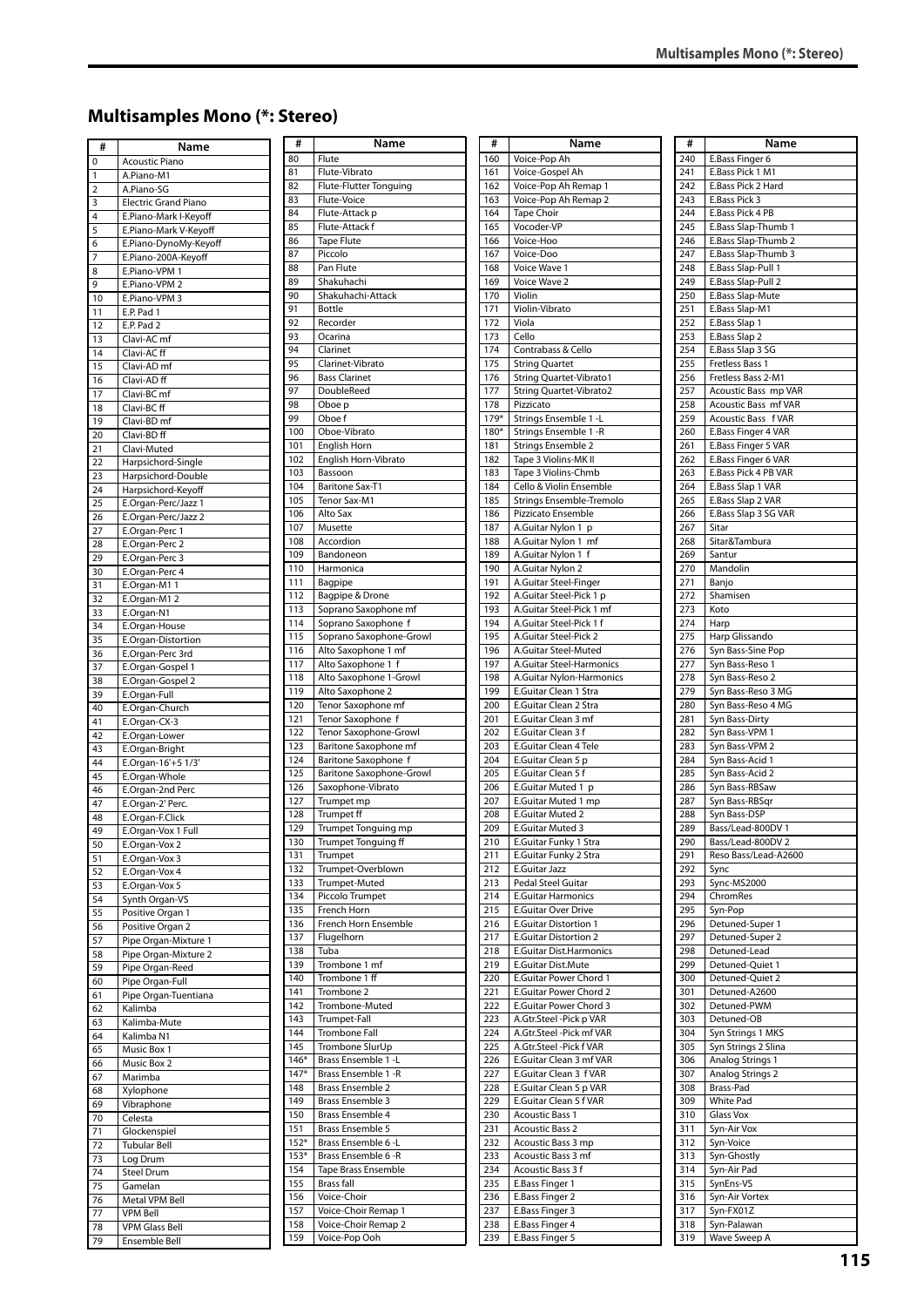# **Multisamples Mono (\*: Stereo)**

| #        | Name                               |
|----------|------------------------------------|
| 0        | <b>Acoustic Piano</b>              |
| 1        | A.Piano-M1                         |
| 2        | A.Piano-SG                         |
| 3        | <b>Electric Grand Piano</b>        |
| 4        | E.Piano-Mark I-Keyoff              |
| 5        | E.Piano-Mark V-Keyoff              |
| 6        | E.Piano-DynoMy-Keyoff              |
| 7        | E.Piano-200A-Keyoff                |
| 8        | E.Piano-VPM 1                      |
| 9        | E.Piano-VPM 2                      |
| 10       | E.Piano-VPM 3                      |
| 11       | E.P. Pad 1                         |
| 12       | E.P. Pad 2                         |
| 13       | Clavi-AC mf                        |
| 14       | Clavi-AC ff                        |
| 15       | Clavi-AD mf                        |
| 16       | Clavi-AD ff                        |
| 17       | Clavi-BC mf                        |
| 18       | Clavi-BC ff                        |
| 19       | Clavi-BD mf                        |
| 20       | Clavi-BD ff                        |
| 21       | Clavi-Muted                        |
| 22       | Harpsichord-Single                 |
| 23       | Harpsichord-Double                 |
| 24       | Harpsichord-Keyoff                 |
| 25       | E.Organ-Perc/Jazz 1                |
| 26       | E.Organ-Perc/Jazz 2                |
| 27<br>28 | E.Organ-Perc 1<br>E.Organ-Perc 2   |
| 29       | E.Organ-Perc 3                     |
| 30       | E.Organ-Perc 4                     |
| 31       | E.Organ-M1 1                       |
| 32       | E.Organ-M12                        |
| 33       | E.Organ-N1                         |
| 34       | E.Organ-House                      |
| 35       | E.Organ-Distortion                 |
| 36       | E.Organ-Perc 3rd                   |
| 37       | E.Organ-Gospel 1                   |
| 38       | E.Organ-Gospel 2                   |
| 39       | E.Organ-Full                       |
| 40       | E.Organ-Church                     |
| 41<br>42 | E.Organ-CX-3<br>E.Organ-Lower      |
| 43       | E.Organ-Bright                     |
| 44       | E.Organ-16'+5 1/3'                 |
| 45       | E.Organ-Whole                      |
| 46       | E.Organ-2nd Perc                   |
| 47       | E.Organ-2' Perc.                   |
| 48       | E.Organ-F.Click                    |
| 49       | E.Organ-Vox 1 Full                 |
| 50       | E.Organ-Vox 2                      |
| 51       | E.Organ-Vox 3                      |
| 52       | E.Organ-Vox 4                      |
| 53       | E.Organ-Vox 5                      |
| 54<br>55 | Synth Organ-VS<br>Positive Organ 1 |
| 56       | Positive Organ 2                   |
| 57       | Pipe Organ-Mixture 1               |
| 58       | Pipe Organ-Mixture 2               |
| 59       | Pipe Organ-Reed                    |
| 60       | Pipe Organ-Full                    |
| 61       | Pipe Organ-Tuentiana               |
| 62       | Kalimba                            |
| 63       | Kalimba-Mute                       |
| 64       | Kalimba N1                         |
| 65       | Music Box 1                        |
| 66<br>67 | Music Box 2<br>Marimba             |
| 68       | Xylophone                          |
| 69       | Vibraphone                         |
| 70       | Celesta                            |
| 71       | Glockenspiel                       |
| 72       | <b>Tubular Bell</b>                |
| 73       | Log Drum                           |
| 74       | Steel Drum                         |
| 75       | Gamelan                            |
| 76       | Metal VPM Bell                     |
| 77       | <b>VPM Bell</b>                    |
| 78       | <b>VPM Glass Bell</b>              |
| 79       | Ensemble Bell                      |

| #                | Name                              |
|------------------|-----------------------------------|
| 80               | Flute                             |
| 81               | Flute-Vibrato                     |
| 82               | Flute-Flutter Tonguing            |
| 83               | Flute-Voice                       |
| 84               | Flute-Attack p                    |
| 85               | Flute-Attack f                    |
| 86               | <b>Tape Flute</b>                 |
| 87               | Piccolo                           |
| 88               | Pan Flute                         |
| 89               | Shakuhachi                        |
| 90               | Shakuhachi-Attack                 |
| 91               | Bottle                            |
| 92               | Recorder                          |
| 93               | Ocarina                           |
| 94               | Clarinet                          |
| 95               | Clarinet-Vibrato                  |
| 96               | <b>Bass Clarinet</b>              |
| 97               | DoubleReed                        |
| 98               | Oboe p                            |
| 99               | Oboe f                            |
| 100              | Oboe-Vibrato                      |
| 101              | English Horn                      |
| 102              | English Horn-Vibrato              |
| 103              | Bassoon                           |
| 104              | <b>Baritone Sax-T1</b>            |
|                  |                                   |
| 105              | Tenor Sax-M1                      |
| 106              | Alto Sax                          |
| 107              | Musette                           |
| 108              | Accordion                         |
| 109              | Bandoneon                         |
| $\overline{1}10$ | Harmonica                         |
| 111              | Bagpipe                           |
| 112              | Bagpipe & Drone                   |
| 113              | Soprano Saxophone mf              |
| 114              | Soprano Saxophone f               |
| 115              | Soprano Saxophone-Growl           |
| 116              | Alto Saxophone 1 mf               |
| 117              | Alto Saxophone 1 f                |
| 118              | Alto Saxophone 1-Growl            |
| 119              | Alto Saxophone 2                  |
| 120              | Tenor Saxophone mf                |
| 121              | Tenor Saxophone f                 |
| 122              | Tenor Saxophone-Growl             |
| 123              | Baritone Saxophone mf             |
| 124              | Baritone Saxophone f              |
| 125              | Baritone Saxophone-Growl          |
| 126              | Saxophone-Vibrato                 |
| 127              | Trumpet mp                        |
| 128              | Trumpet ff                        |
| 129              | Trumpet Tonguing mp               |
| 130              | Trumpet Tonguing ff               |
| 131              | Trumpet                           |
| 132              | Trumpet-Overblown                 |
| 133              | Trumpet-Muted                     |
| 134              | Piccolo Trumpet                   |
| 135              | French Horn                       |
| 136              | French Horn Ensemble              |
| 137              | Flugelhorn                        |
| 138              | Tuba                              |
| 139              | Trombone 1 mf                     |
| 140              | Trombone 1 ff                     |
| 141              | Trombone 2                        |
| 142              | Trombone-Muted                    |
| 143              | Trumpet-Fall                      |
| 144              | Trombone Fall                     |
| 145              | Trombone SlurUp                   |
| $146*$           | Brass Ensemble 1 -L               |
| $147*$           | Brass Ensemble 1<br>-R            |
| 148              | Brass Ensemble 2                  |
| 149              | Brass Ensemble 3                  |
| 150              | Brass Ensemble 4                  |
| 151              | Brass Ensemble 5                  |
| $152*$           | Brass Ensemble 6 -L               |
| $153*$           | Brass Ensemble 6 -R               |
| 154              |                                   |
| 155              | Tape Brass Ensemble<br>Brass fall |
|                  |                                   |
| 156<br>157       | Voice-Choir                       |
|                  | Voice-Choir Remap 1               |
| 158              | Voice-Choir Remap 2               |
| 159              | Voice-Pop Ooh                     |

| $^-$ #       | Name                                                |
|--------------|-----------------------------------------------------|
| 160          | Voice-Pop Ah                                        |
| 161          | Voice-Gospel Ah                                     |
| 162          | Voice-Pop Ah Remap 1                                |
| 163<br>164   | Voice-Pop Ah Remap 2<br><b>Tape Choir</b>           |
| 165          | Vocoder-VP                                          |
| 166          | Voice-Hoo                                           |
| 167          | Voice-Doo                                           |
| 168          | Voice Wave 1                                        |
| 169<br>170   | Voice Wave 2<br>Violin                              |
| 171          | Violin-Vibrato                                      |
| 172          | Viola                                               |
| 173          | Cello                                               |
| 174<br>175   | Contrabass & Cello<br><b>String Quartet</b>         |
| 176          | String Quartet-Vibrato1                             |
| 177          | String Quartet-Vibrato2                             |
| 178          | Pizzicato                                           |
| 179*<br>180* | Strings Ensemble 1 -L<br>Strings Ensemble 1 -R      |
| 181          | <b>Strings Ensemble 2</b>                           |
| 182          | Tape 3 Violins-MK II                                |
| 183          | Tape 3 Violins-Chmb                                 |
| 184<br>185   | Cello & Violin Ensemble                             |
| 186          | Strings Ensemble-Tremolo<br>Pizzicato Ensemble      |
| 187          | A.Guitar Nylon 1<br>p                               |
| 188          | A.Guitar Nylon 1 mf                                 |
| 189<br>190   | A.Guitar Nylon 1<br>f                               |
| 191          | A.Guitar Nylon 2<br>A.Guitar Steel-Finger           |
| 192          | A.Guitar Steel-Pick 1 p                             |
| 193          | A.Guitar Steel-Pick 1 mf                            |
| 194<br>195   | A.Guitar Steel-Pick 1 f<br>A.Guitar Steel-Pick 2    |
| 196          | A.Guitar Steel-Muted                                |
| 197          | A.Guitar Steel-Harmonics                            |
| 198          | A.Guitar Nylon-Harmonics                            |
| 199          | E.Guitar Clean 1 Stra                               |
| 200<br>201   | E.Guitar Clean 2 Stra<br>E.Guitar Clean 3 mf        |
| 202          | E.Guitar Clean 3 f                                  |
| 203          | E.Guitar Clean 4 Tele                               |
| 204<br>205   | E.Guitar Clean 5 p<br>E.Guitar Clean 5 f            |
| 206          | <b>E.Guitar Muted 1</b><br>p                        |
| 207          | E.Guitar Muted 1 mp                                 |
| 208          | <b>E.Guitar Muted 2</b>                             |
| 209<br>210   | E.Guitar Muted 3<br>E.Guitar Funky 1 Stra           |
| 211          | E.Guitar Funky 2 Stra                               |
| 212          | E.Guitar Jazz                                       |
| 213          | Pedal Steel Guitar                                  |
| 214<br>215   | <b>E.Guitar Harmonics</b><br>E.Guitar Over Drive    |
| 216          | <b>E.Guitar Distortion 1</b>                        |
| 217          | <b>E.Guitar Distortion 2</b>                        |
| 218          | E.Guitar Dist.Harmonics                             |
| 219<br>220   | E.Guitar Dist.Mute<br>E.Guitar Power Chord 1        |
| 221          | E.Guitar Power Chord 2                              |
| 222          | E.Guitar Power Chord 3                              |
| 223          | A.Gtr.Steel -Pick p VAR                             |
| 224<br>225   | A.Gtr.Steel -Pick mf VAR<br>A.Gtr.Steel -Pick f VAR |
| 226          | E.Guitar Clean 3 mf VAR                             |
| 227          | E.Guitar Clean 3 f VAR                              |
| 228          | E.Guitar Clean 5 p VAR                              |
| 229<br>230   | E.Guitar Clean 5 f VAR                              |
| 231          | <b>Acoustic Bass 1</b><br><b>Acoustic Bass 2</b>    |
| 232          | Acoustic Bass 3 mp                                  |
| 233          | Acoustic Bass 3 mf                                  |
| 234          | Acoustic Bass 3 f                                   |
| 235<br>236   | E.Bass Finger 1<br>E.Bass Finger 2                  |
| 237          | E.Bass Finger 3                                     |
| 238          | E.Bass Finger 4                                     |
| 239          | E.Bass Finger 5                                     |

| #          | Name                                       |
|------------|--------------------------------------------|
| 240<br>241 | E.Bass Finger 6<br>E.Bass Pick 1 M1        |
| 242        | E.Bass Pick 2 Hard                         |
| 243        | E.Bass Pick 3                              |
| 244        | E.Bass Pick 4 PB                           |
| 245<br>246 | E.Bass Slap-Thumb 1<br>E.Bass Slap-Thumb 2 |
| 247        | E.Bass Slap-Thumb 3                        |
| 248        | E.Bass Slap-Pull 1                         |
| 249        | E.Bass Slap-Pull 2                         |
| 250<br>251 | <b>E.Bass Slap-Mute</b><br>E.Bass Slap-M1  |
| 252        | E.Bass Slap 1                              |
| 253        | E.Bass Slap 2                              |
| 254<br>255 | E.Bass Slap 3 SG<br>Fretless Bass 1        |
| 256        | Fretless Bass 2-M1                         |
| 257        | Acoustic Bass mp VAR                       |
| 258        | Acoustic Bass mf VAR                       |
| 259<br>260 | Acoustic Bass f VAR<br>E.Bass Finger 4 VAR |
| 261        | E.Bass Finger 5 VAR                        |
| 262        | E.Bass Finger 6 VAR                        |
| 263<br>264 | E.Bass Pick 4 PB VAR<br>E.Bass Slap 1 VAR  |
| 265        | E.Bass Slap 2 VAR                          |
| 266        | E.Bass Slap 3 SG VAR                       |
| 267        | Sitar                                      |
| 268<br>269 | Sitar&Tambura<br>Santur                    |
| 270        | Mandolin                                   |
| 271        | Banjo                                      |
| 272<br>273 | Shamisen<br>Koto                           |
| 274        | Harp                                       |
| 275        | Harp Glissando                             |
| 276<br>277 | Syn Bass-Sine Pop<br>Syn Bass-Reso 1       |
| 278        | Syn Bass-Reso 2                            |
| 279        | Syn Bass-Reso 3 MG                         |
| 280        | Syn Bass-Reso 4 MG                         |
| 281<br>282 | Syn Bass-Dirty<br>Syn Bass-VPM 1           |
| 283        | Syn Bass-VPM 2                             |
| 284        | Syn Bass-Acid 1                            |
| 285<br>286 | Syn Bass-Acid 2<br>Syn Bass-RBSaw          |
| 287        | Syn Bass-RBSqr                             |
| 288        | Syn Bass-DSP                               |
| 289<br>290 | Bass/Lead-800DV 1<br>Bass/Lead-800DV 2     |
| 291        | Reso Bass/Lead-A2600                       |
| 292        | Sync                                       |
| 293<br>294 | Sync-MS2000<br>ChromRes                    |
| 295        | Syn-Pop                                    |
| 296        | Detuned-Super 1                            |
| 297<br>298 | Detuned-Super 2<br>Detuned-Lead            |
| 299        | Detuned-Quiet 1                            |
| 300        | Detuned-Quiet 2                            |
| 301        | Detuned-A2600                              |
| 302<br>303 | Detuned-PWM<br>Detuned-OB                  |
| 304        | Syn Strings 1 MKS                          |
| 305        | Syn Strings 2 Slina                        |
| 306<br>307 | Analog Strings 1<br>Analog Strings 2       |
| 308        | Brass-Pad                                  |
| 309        | <b>White Pad</b>                           |
| 310<br>311 | <b>Glass Vox</b><br>Syn-Air Vox            |
| 312        | Syn-Voice                                  |
| 313        | Syn-Ghostly                                |
| 314        | Syn-Air Pad                                |
| 315<br>316 | SynEns-VS<br>Syn-Air Vortex                |
| 317        | Syn-FX01Z                                  |
| 318        | Syn-Palawan                                |
| 319        | Wave Sweep A                               |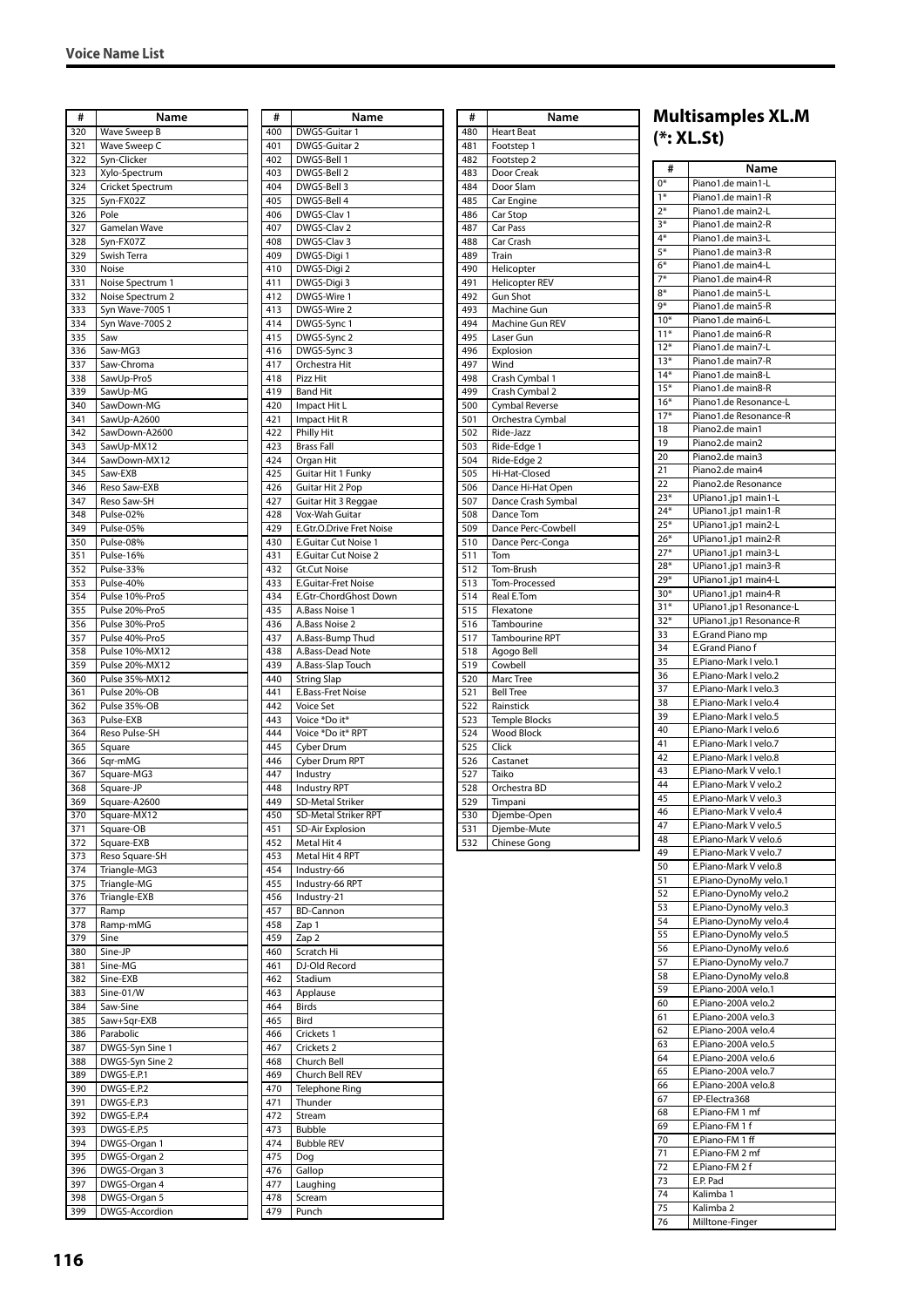| #          | Name                             |                                                      |
|------------|----------------------------------|------------------------------------------------------|
| 320        | Wave Sweep B                     | $\overline{\phantom{a}}$                             |
| 321        | Wave Sweep C                     |                                                      |
| 322        | Syn-Clicker                      | $\overline{\phantom{a}}$                             |
| 323        | Xylo-Spectrum                    | $\overline{\phantom{a}}$<br>$\overline{\phantom{a}}$ |
| 324        | Cricket Spectrum                 | $\overline{\phantom{a}}$                             |
| 325<br>326 | Syn-FX02Z<br>Pole                | $\overline{\phantom{a}}$                             |
| 327        | Gamelan Wave                     | $\overline{\phantom{a}}$                             |
| 328        | Syn-FX07Z                        | $\overline{\phantom{a}}$                             |
| 329        | Swish Terra                      | $\overline{\phantom{a}}$                             |
| 330        | Noise                            |                                                      |
| 331        | Noise Spectrum 1                 | $\overline{\phantom{a}}$                             |
| 332        | Noise Spectrum 2                 | $\overline{\phantom{a}}$                             |
| 333        | Syn Wave-700S 1                  | $\overline{\phantom{a}}$                             |
| 334        | Syn Wave-700S 2                  | $\overline{\phantom{a}}$                             |
| 335        | Saw                              |                                                      |
| 336        | Saw-MG3                          |                                                      |
| 337        | Saw-Chroma                       | $\overline{\phantom{a}}$                             |
| 338        | SawUp-Pro5                       | $\overline{\phantom{a}}$<br>$\overline{\phantom{a}}$ |
| 339        | SawUp-MG                         | $\overline{\phantom{a}}$                             |
| 340<br>341 | SawDown-MG<br>SawUp-A2600        | $\overline{\phantom{a}}$                             |
| 342        | SawDown-A2600                    | $\overline{\phantom{a}}$                             |
| 343        | SawUp-MX12                       | $\overline{\phantom{a}}$                             |
| 344        | SawDown-MX12                     | $\overline{\phantom{a}}$                             |
| 345        | Saw-EXB                          | $\overline{\phantom{a}}$                             |
| 346        | Reso Saw-EXB                     | $\overline{\phantom{a}}$                             |
| 347        | Reso Saw-SH                      | $\overline{\phantom{a}}$                             |
| 348        | Pulse-02%                        | $\overline{\phantom{a}}$                             |
| 349        | Pulse-05%                        | $\overline{\phantom{a}}$                             |
| 350        | Pulse-08%                        | $\overline{\phantom{a}}$                             |
| 351        | Pulse-16%                        |                                                      |
| 352        | Pulse-33%                        | $\overline{\phantom{a}}$                             |
| 353        | Pulse-40%                        | $\overline{\phantom{a}}$                             |
| 354        | Pulse 10%-Pro5                   | $\overline{\phantom{a}}$                             |
| 355        | Pulse 20%-Pro5                   | $\overline{\phantom{a}}$<br>$\overline{\phantom{a}}$ |
| 356<br>357 | Pulse 30%-Pro5<br>Pulse 40%-Pro5 | $\overline{\phantom{a}}$                             |
| 358        | Pulse 10%-MX12                   | $\overline{\phantom{a}}$                             |
| 359        | Pulse 20%-MX12                   | $\overline{\phantom{a}}$                             |
| 360        | Pulse 35%-MX12                   |                                                      |
| 361        | Pulse 20%-OB                     | $\overline{\phantom{a}}$                             |
| 362        | Pulse 35%-OB                     | $\overline{\phantom{a}}$                             |
| 363        | Pulse-EXB                        | $\overline{\phantom{a}}$                             |
| 364        | Reso Pulse-SH                    | $\overline{\phantom{a}}$                             |
| 365        | Square                           | $\overline{\phantom{a}}$                             |
| 366        | Sqr-mMG                          | $\overline{\phantom{a}}$<br>$\overline{\phantom{a}}$ |
| 367<br>368 | Square-MG3<br>Square-JP          | $\overline{\phantom{a}}$                             |
| 369        | Square-A2600                     | $\overline{\phantom{a}}$                             |
| 370        | Square-MX12                      | $\overline{\phantom{a}}$                             |
| 371        | Square-OB                        | $\overline{\phantom{a}}$                             |
| 372        | Square-EXB                       | $\overline{\phantom{a}}$                             |
| 373        | Reso Square-SH                   | $\overline{\phantom{a}}$                             |
| 374        | Triangle-MG3                     | $\overline{\phantom{a}}$                             |
| 375        | Triangle-MG                      | $\overline{\phantom{a}}$                             |
| 376        | Triangle-EXB                     | $\overline{\phantom{a}}$                             |
| 377        | Ramp                             | $\overline{\phantom{a}}$                             |
| 378        | Ramp-mMG                         | $\overline{\phantom{a}}$<br>$\overline{\phantom{a}}$ |
| 379        | Sine                             | $\overline{\phantom{a}}$                             |
| 380<br>381 | Sine-JP<br>Sine-MG               | $\overline{\phantom{a}}$                             |
| 382        | Sine-EXB                         | $\overline{\phantom{a}}$                             |
| 383        | Sine-01/W                        | $\overline{\phantom{a}}$                             |
| 384        | Saw-Sine                         | $\overline{\phantom{a}}$                             |
| 385        | Saw+Sqr-EXB                      | $\overline{\phantom{a}}$                             |
| 386        | Parabolic                        | $\overline{\phantom{a}}$                             |
| 387        | DWGS-Syn Sine 1                  | $\overline{\phantom{a}}$                             |
| 388        | DWGS-Syn Sine 2                  | $\overline{\phantom{a}}$                             |
| 389        | DWGS-E.P.1                       | $\overline{\phantom{a}}$                             |
| 390        | DWGS-E.P.2                       | $\overline{\phantom{a}}$                             |
| 391        | DWGS-E.P.3                       | $\overline{\phantom{a}}$                             |
| 392        | DWGS-E.P.4                       | $\overline{\phantom{a}}$<br>$\overline{\phantom{a}}$ |
| 393        | DWGS-E.P.5                       |                                                      |
| 394<br>395 | DWGS-Organ 1<br>DWGS-Organ 2     | $\overline{\phantom{a}}$<br>$\overline{\phantom{a}}$ |
| 396        | DWGS-Organ 3                     | $\overline{\phantom{a}}$                             |
| 397        | DWGS-Organ 4                     | $\overline{\phantom{a}}$                             |
| 398        | DWGS-Organ 5                     | $\overline{\phantom{a}}$                             |
| 399        | DWGS-Accordion                   |                                                      |
|            |                                  |                                                      |

| #          | Name                                    |
|------------|-----------------------------------------|
| 400        | DWGS-Guitar                             |
| 401        | DWGS-Guitar 2                           |
| 402        | DWGS-Bell 1                             |
| 403        | DWGS-Bell 2                             |
| 404<br>405 | DWGS-Bell 3<br>DWGS-Bell 4              |
| 406        | DWGS-Clav 1                             |
| 407        | DWGS-Clav 2                             |
| 408        | DWGS-Clav 3                             |
| 409        | DWGS-Digi 1                             |
| 410        | DWGS-Digi 2                             |
| 411<br>412 | DWGS-Digi 3<br>DWGS-Wire 1              |
| 413        | DWGS-Wire 2                             |
| 414        | DWGS-Sync 1                             |
| 415        | DWGS-Sync 2                             |
| 416        | DWGS-Sync 3                             |
| 417        | Orchestra Hit                           |
| 418<br>419 | Pizz Hit<br><b>Band Hit</b>             |
| 420        | Impact Hit L                            |
| 421        | Impact Hit R                            |
| 422        | <b>Philly Hit</b>                       |
| 423        | Brass Fall                              |
| 424        | Organ Hit                               |
| 425<br>426 | Guitar Hit 1 Funky                      |
| 427        | Guitar Hit 2 Pop<br>Guitar Hit 3 Reggae |
| 428        | Vox-Wah Guitar                          |
| 429        | E.Gtr.O.Drive Fret Noise                |
| 430        | E.Guitar Cut Noise 1                    |
| 431        | E.Guitar Cut Noise 2                    |
| 432<br>433 | Gt.Cut Noise<br>E.Guitar-Fret Noise     |
| 434        | E.Gtr-ChordGhost Down                   |
| 435        | A.Bass Noise 1                          |
| 436        | A.Bass Noise 2                          |
| 437        | A.Bass-Bump Thud                        |
| 438        | A.Bass-Dead Note                        |
| 439<br>440 | A.Bass-Slap Touch<br><b>String Slap</b> |
| 441        | E.Bass-Fret Noise                       |
| 442        | Voice Set                               |
| 443        | Voice *Do it*                           |
| 444        | Voice *Do it* RPT                       |
| 445<br>446 | Cyber Drum<br>Cyber Drum RPT            |
| 447        | Industry                                |
| 448        | Industry RPT                            |
| 449        | <b>SD-Metal Striker</b>                 |
| 450        | SD-Metal Striker RPT                    |
| 451        | <b>SD-Air Explosion</b>                 |
| 452<br>453 | Metal Hit 4                             |
| 454        | Metal Hit 4 RPT<br>Industry-66          |
| 455        | Industry-66 RPT                         |
| 456        | Industry-21                             |
| 457        | <b>BD-Cannon</b>                        |
| 458<br>459 | Zap 1<br>Zap <sub>2</sub>               |
| 460        | Scratch Hi                              |
| 461        | DJ-Old Record                           |
| 462        | Stadium                                 |
| 463        | Applause                                |
| 464        | <b>Birds</b>                            |
| 465<br>466 | Bird<br>Crickets 1                      |
| 467        | Crickets 2                              |
| 468        | Church Bell                             |
| 469        | Church Bell REV                         |
| 470        | Telephone Ring                          |
| 471        | Thunder                                 |
| 472<br>473 | Stream<br>Bubble                        |
| 474        | <b>Bubble REV</b>                       |
| 475        | Dog                                     |
| 476        | Gallop                                  |
| 477        | Laughing                                |
| 478<br>479 | Scream<br>Punch                         |
|            |                                         |

| #   | <b>Name</b>           |       | Multisam    |
|-----|-----------------------|-------|-------------|
| 480 | <b>Heart Beat</b>     |       | $(*:XL-St)$ |
| 481 | Footstep 1            |       |             |
| 482 | Footstep 2            | #     |             |
| 483 | Door Creak            |       |             |
| 484 | Door Slam             | $0*$  | Piano1.c    |
| 485 | Car Engine            | $1*$  | Piano1.c    |
| 486 | Car Stop              | $2*$  | Piano1.c    |
| 487 | Car Pass              | $3*$  | Piano1.c    |
| 488 | Car Crash             | $4*$  | Piano1.c    |
| 489 | Train                 | $5*$  | Piano1.c    |
| 490 | Helicopter            | $6*$  | Piano1.c    |
| 491 | <b>Helicopter REV</b> | $7*$  | Piano1.c    |
| 492 | <b>Gun Shot</b>       | $8*$  | Piano1.c    |
| 493 | Machine Gun           | 9*    | Piano1.c    |
| 494 | Machine Gun REV       | $10*$ | Piano1.c    |
| 495 | Laser Gun             | $11*$ | Piano1.c    |
| 496 | Explosion             | $12*$ | Piano1.c    |
| 497 | Wind                  | $13*$ | Piano1.c    |
| 498 | Crash Cymbal 1        | $14*$ | Piano1.c    |
| 499 | Crash Cymbal 2        | $15*$ | Piano1.c    |
| 500 | Cymbal Reverse        | $16*$ | Piano1.c    |
| 501 | Orchestra Cymbal      | $17*$ | Piano1.c    |
| 502 | Ride-Jazz             | 18    | Piano2.c    |
| 503 | Ride-Edge 1           | 19    | Piano2.c    |
| 504 | Ride-Edge 2           | 20    | Piano2.c    |
| 505 | Hi-Hat-Closed         | 21    | Piano2.c    |
| 506 | Dance Hi-Hat Open     | 22    | Piano2.c    |
| 507 | Dance Crash Symbal    | $23*$ | UPiano1     |
| 508 | Dance Tom             | $24*$ | UPiano1     |
| 509 | Dance Perc-Cowbell    | $25*$ | UPiano1     |
| 510 | Dance Perc-Conga      | $26*$ | UPiano1     |
| 511 | Tom                   | $27*$ | UPiano1     |
| 512 | Tom-Brush             | $28*$ | UPiano1     |
| 513 | Tom-Processed         | $29*$ | UPiano1     |
| 514 | Real E.Tom            | $30*$ | UPiano1     |
| 515 | Flexatone             | $31*$ | UPiano1     |
| 516 | Tambourine            | $32*$ | UPiano1     |
| 517 | <b>Tambourine RPT</b> | 33    | E.Grand     |
| 518 | Agogo Bell            | 34    | E.Grand     |
| 519 | Cowbell               | 35    | E.Piano-    |
| 520 | Marc Tree             | 36    | E.Piano-    |
| 521 | <b>Bell Tree</b>      | 37    | E.Piano-    |
| 522 | Rainstick             | 38    | E.Piano-    |
| 523 | <b>Temple Blocks</b>  | 39    | E.Piano-    |
| 524 | <b>Wood Block</b>     | 40    | E.Piano-    |
| 525 | Click                 | 41    | E.Piano-    |
| 526 | Castanet              | 42    | E.Piano-    |
| 527 | Taiko                 | 43    | E.Piano-    |
| 528 | Orchestra BD          | 44    | E.Piano-    |
| 529 | Timpani               | 45    | E.Piano-    |
| 530 | Djembe-Open           | 46    | E.Piano-    |
| 531 | Djembe-Mute           | 47    | E.Piano-    |
| 532 | <b>Chinese Gong</b>   | 48    | E.Piano-    |
|     |                       | 49    | E.Piano-    |
|     |                       | 50    | E.Piano-    |
|     |                       | 51    | E.Piano-    |

# **Multisamples XL.M**

| #<br>$0*$      | Name                                           |
|----------------|------------------------------------------------|
| $1*$           | Piano1.de main1-L<br>Piano1.de main1-R         |
| $2*$           | Piano1.de main2-L                              |
| $3*$           | Piano1.de main2-R                              |
| $4*$           | Piano1.de main3-L                              |
| 5*             | Piano1.de main3-R                              |
| $6*$<br>$7*$   | Piano1.de main4-L<br>Piano1.de main4-R         |
| $8*$           | Piano1.de main5-L                              |
| 9*             | Piano1.de main5-R                              |
| $10*$          | Piano1.de main6-L                              |
| $11*$          | Piano1.de main6-R                              |
| $12*$          | Piano1.de main7-L                              |
| $13*$          | Piano1.de main7-R                              |
| $14*$<br>$15*$ | Piano1.de main8-L<br>Piano1.de main8-R         |
| $16*$          | Piano1.de Resonance-L                          |
| $17*$          | Piano1.de Resonance-R                          |
| 18             | Piano2.de main1                                |
| 19             | Piano2.de main2                                |
| 20             | Piano2.de main3                                |
| 21<br>22       | Piano2.de main4<br>Piano2.de Resonance         |
| $23*$          | UPiano1.jp1 main1-L                            |
| $24*$          | UPiano1.jp1 main1-R                            |
| $25*$          | UPiano1.jp1 main2-L                            |
| $26*$          | UPiano1.jp1 main2-R                            |
| $27*$          | UPiano1.jp1 main3-L                            |
| $28*$<br>$29*$ | UPiano1.jp1 main3-R                            |
| $30*$          | UPiano1.jp1 main4-L<br>UPiano1.jp1 main4-R     |
| $31*$          | UPiano1.jp1 Resonance-L                        |
| $32*$          | UPiano1.jp1 Resonance-R                        |
| 33             | E.Grand Piano mp                               |
| 34             | E.Grand Piano f                                |
| 35             | E.Piano-Mark I velo.1                          |
| 36<br>37       | E.Piano-Mark I velo.2<br>E.Piano-Mark I velo.3 |
| 38             | E.Piano-Mark I velo.4                          |
| 39             | E.Piano-Mark I velo.5                          |
| 40             | E.Piano-Mark I velo.6                          |
| 41             | E.Piano-Mark I velo.7                          |
| 42<br>43       | E.Piano-Mark I velo.8<br>E.Piano-Mark V velo.1 |
| 44             | E.Piano-Mark V velo.2                          |
| 45             | E.Piano-Mark V velo.3                          |
| 46             | E.Piano-Mark V velo.4                          |
| 47             | E.Piano-Mark V velo.5                          |
| 48             | E.Piano-Mark V velo.6                          |
| 49<br>50       | E.Piano-Mark V velo.7<br>E.Piano-Mark V velo.8 |
| 51             | E.Piano-DynoMy velo.1                          |
| 52             | E.Piano-DynoMy velo.2                          |
| 53             | E.Piano-DynoMy velo.3                          |
| 54             | E.Piano-DynoMy velo.4                          |
| 55             | E.Piano-DynoMy velo.5                          |
| 56<br>57       | E.Piano-DynoMy velo.6<br>E.Piano-DynoMy velo.7 |
| 58             | E.Piano-DynoMy velo.8                          |
| 59             | E.Piano-200A velo.1                            |
| 60             | E.Piano-200A velo.2                            |
| 61             | E.Piano-200A velo.3                            |
| 62             | E.Piano-200A velo.4                            |
| 63<br>64       | E.Piano-200A velo.5<br>E.Piano-200A velo.6     |
| 65             | E.Piano-200A velo.7                            |
| 66             | E.Piano-200A velo.8                            |
| 67             | EP-Electra368                                  |
| 68             | E.Piano-FM 1 mf                                |
| 69             | E.Piano-FM 1 f                                 |
| 70<br>71       | E.Piano-FM <sub>1ff</sub><br>E.Piano-FM 2 mf   |
| 72             | E.Piano-FM 2 f                                 |
| 73             | E.P. Pad                                       |
| 74             | Kalimba 1                                      |
| 75             | Kalimba 2                                      |
| 76             | Milltone-Finger                                |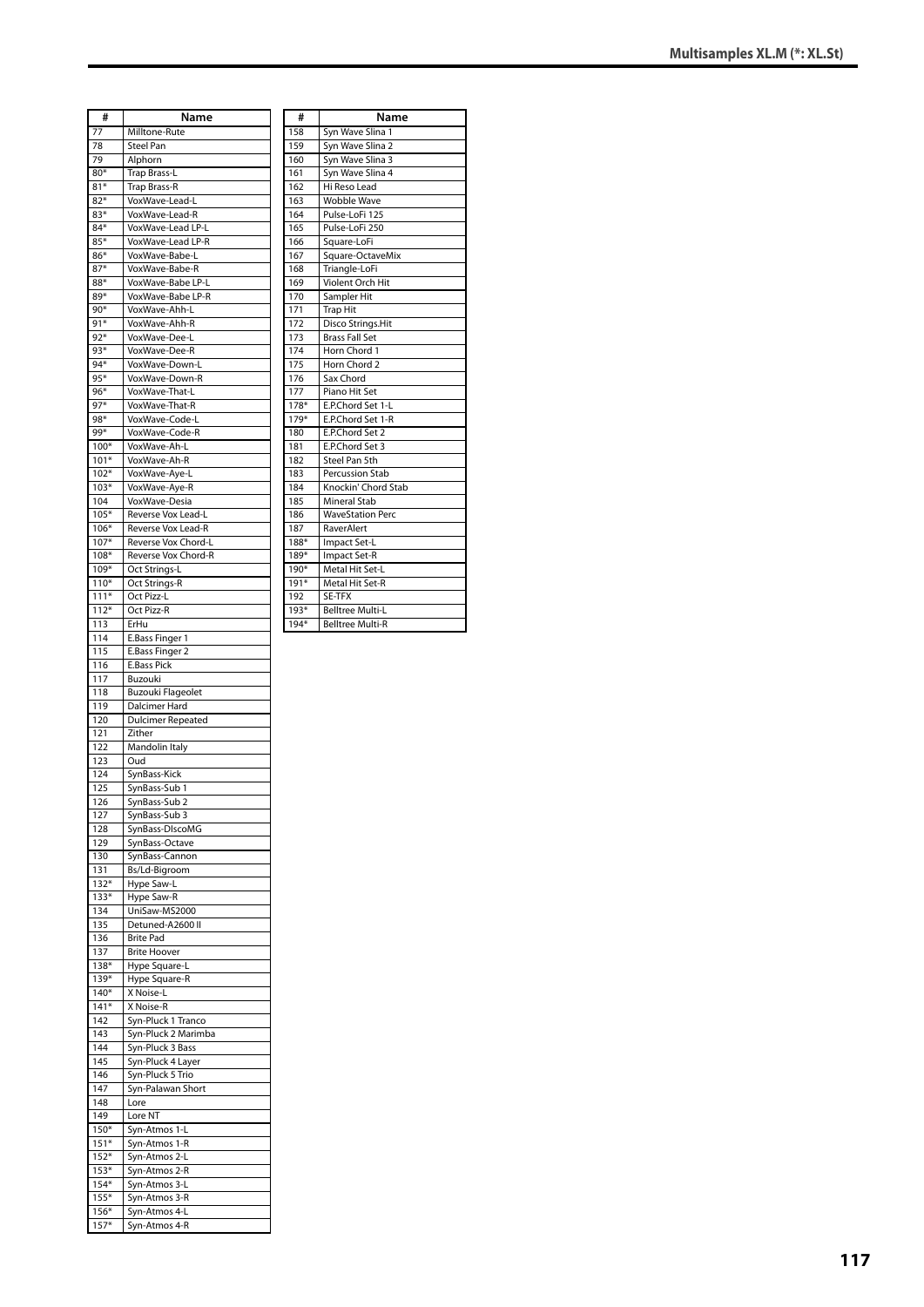| #                | Name                                       |
|------------------|--------------------------------------------|
| 77               | Milltone-Rute                              |
| 78               | Steel Pan                                  |
| 79               | Alphorn                                    |
| 80*              | Trap Brass-L                               |
| $81*$            | Trap Brass-R                               |
| $82*$<br>$83*$   | VoxWave-Lead-L                             |
| $84*$            | VoxWave-Lead-R<br>VoxWave-Lead LP-L        |
| $85*$            | VoxWave-Lead LP-R                          |
| 86*              | VoxWave-Babe-L                             |
| $87*$            | VoxWave-Babe-R                             |
| 88*              | VoxWave-Babe LP-L                          |
| 89*              | VoxWave-Babe LP-R                          |
| $90*$            | VoxWave-Ahh-L                              |
| $91*$            | VoxWave-Ahh-R                              |
| $92*$            | VoxWave-Dee-L                              |
| 93*              | VoxWave-Dee-R                              |
| 94*<br>$95*$     | VoxWave-Down-L                             |
| 96*              | VoxWave-Down-R<br>VoxWave-That-L           |
| $97*$            | VoxWave-That-R                             |
| 98*              | VoxWave-Code-L                             |
| 99*              | VoxWave-Code-R                             |
| $100*$           | VoxWave-Ah-L                               |
| $101*$           | VoxWave-Ah-R                               |
| $102*$           | VoxWave-Aye-L                              |
| $103*$           | VoxWave-Aye-R                              |
| 104              | VoxWave-Desia                              |
| $105*$           | Reverse Vox Lead-L                         |
| $106*$           | Reverse Vox Lead-R                         |
| $107*$<br>$108*$ | Reverse Vox Chord-L<br>Reverse Vox Chord-R |
| 109*             | Oct Strings-L                              |
| $110*$           | Oct Strings-R                              |
| $111*$           | Oct Pizz-L                                 |
| $112*$           | Oct Pizz-R                                 |
| 113              | ErHu                                       |
| 114              | E.Bass Finger 1                            |
| 115              | E.Bass Finger 2                            |
| 116              | <b>E.Bass Pick</b>                         |
| 117              | Buzouki                                    |
| 118              | <b>Buzouki Flageolet</b>                   |
| 119<br>120       | Dalcimer Hard<br><b>Dulcimer Repeated</b>  |
| 121              | Zither                                     |
| 122              | Mandolin Italy                             |
| 123              | Oud                                        |
| 124              | SynBass-Kick                               |
| 125              | SynBass-Sub 1                              |
| 126              | SynBass-Sub 2                              |
| 127              | SynBass-Sub 3                              |
| 128              | SynBass-DIscoMG                            |
| 129              | SynBass-Octave                             |
| 130              | SynBass-Cannon                             |
| 131<br>$132*$    | Bs/Ld-Bigroom<br>Hype Saw-L                |
| $133*$           | Hype Saw-R                                 |
| 134              | UniSaw-MS2000                              |
| 135              | Detuned-A2600 II                           |
| 136              | <b>Brite Pad</b>                           |
| 137              | <b>Brite Hoover</b>                        |
| $138*$           | Hype Square-L                              |
| 139*             | Hype Square-R                              |
| 140*<br>$141*$   | X Noise-L                                  |
|                  |                                            |
|                  | X Noise-R                                  |
| 142<br>143       | Syn-Pluck 1 Tranco                         |
| 144              | Syn-Pluck 2 Marimba<br>Syn-Pluck 3 Bass    |
| 145              | Syn-Pluck 4 Layer                          |
| 146              | Syn-Pluck 5 Trio                           |
| 147              | Syn-Palawan Short                          |
| 148              | Lore                                       |
| 149              | Lore NT                                    |
| $150*$           | Syn-Atmos 1-L                              |
| $151*$           | Syn-Atmos 1-R                              |
| $152*$           | Syn-Atmos 2-L                              |
| $153*$           | Syn-Atmos 2-R                              |
| $154*$<br>$155*$ | Syn-Atmos 3-L                              |
| $156*$           | Syn-Atmos 3-R<br>Syn-Atmos 4-L             |

| #      | Name                    |
|--------|-------------------------|
| 158    | Syn Wave Slina 1        |
| 159    | Syn Wave Slina 2        |
| 160    | Syn Wave Slina 3        |
| 161    | Syn Wave Slina 4        |
| 162    | Hi Reso Lead            |
| 163    | <b>Wobble Wave</b>      |
| 164    | Pulse-LoFi 125          |
| 165    | Pulse-LoFi 250          |
| 166    | Square-LoFi             |
| 167    | Square-OctaveMix        |
| 168    | Triangle-LoFi           |
| 169    | Violent Orch Hit        |
| 170    | Sampler Hit             |
| 171    | <b>Trap Hit</b>         |
| 172    | Disco Strings.Hit       |
| 173    | <b>Brass Fall Set</b>   |
| 174    | Horn Chord 1            |
| 175    | Horn Chord 2            |
| 176    | Sax Chord               |
| 177    | Piano Hit Set           |
| 178*   | E.P.Chord Set 1-L       |
| 179*   | E.P.Chord Set 1-R       |
| 180    | E.P.Chord Set 2         |
| 181    | E.P.Chord Set 3         |
| 182    | Steel Pan 5th           |
| 183    | Percussion Stab         |
| 184    | Knockin' Chord Stab     |
| 185    | <b>Mineral Stab</b>     |
| 186    | <b>WaveStation Perc</b> |
| 187    | RaverAlert              |
| 188*   | Impact Set-L            |
| 189*   | Impact Set-R            |
| 190*   | Metal Hit Set-L         |
| 191*   | Metal Hit Set-R         |
| 192    | SE-TFX                  |
| $193*$ | <b>Belltree Multi-L</b> |
| $194*$ | <b>Belltree Multi-R</b> |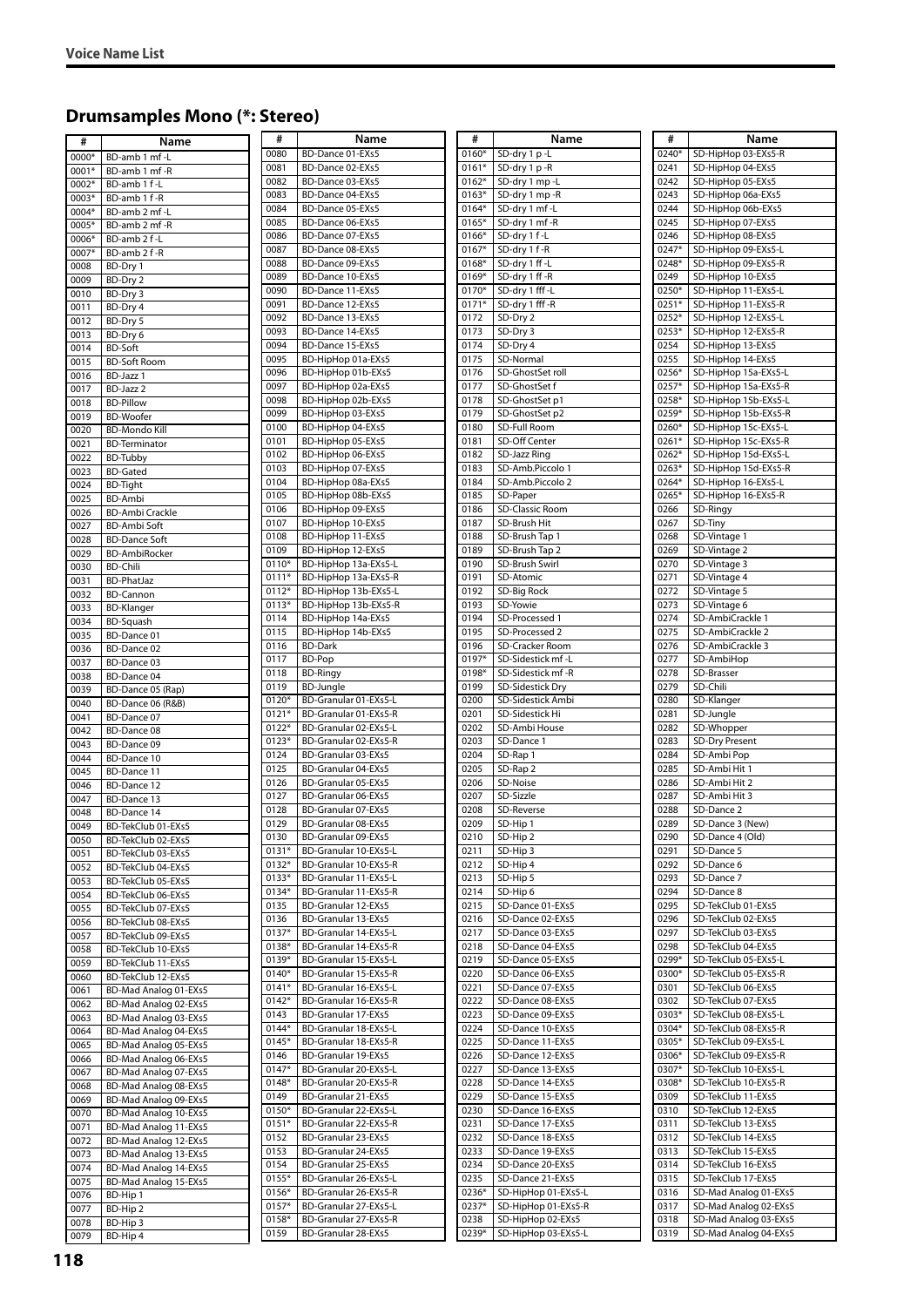# **Drumsamples Mono (\*: Stereo)**

| #     | Name                                   | #       | Name                  | #       | Name                | #     | Name                  |
|-------|----------------------------------------|---------|-----------------------|---------|---------------------|-------|-----------------------|
| 0000* | BD-amb 1 mf-L                          | 0080    | BD-Dance 01-EXs5      | $0160*$ | SD-dry 1 p -L       | 0240* | SD-HipHop 03-EXs5-R   |
| 0001* | BD-amb 1 mf -R                         | 0081    | BD-Dance 02-EXs5      | $0161*$ | SD-dry 1 p-R        | 0241  | SD-HipHop 04-EXs5     |
| 0002* | BD-amb 1 f-L                           | 0082    | BD-Dance 03-EXs5      | $0162*$ | SD-dry 1 mp-L       | 0242  | SD-HipHop 05-EXs5     |
| 0003* | BD-amb 1 f-R                           | 0083    | BD-Dance 04-EXs5      | $0163*$ | SD-dry 1 mp-R       | 0243  | SD-HipHop 06a-EXs5    |
|       | BD-amb 2 mf-L                          | 0084    | BD-Dance 05-EXs5      | 0164*   | SD-dry 1 mf-L       | 0244  | SD-HipHop 06b-EXs5    |
| 0004* |                                        | 0085    | BD-Dance 06-EXs5      | 0165*   | SD-dry 1 mf-R       | 0245  | SD-HipHop 07-EXs5     |
| 0005* | BD-amb 2 mf -R                         | 0086    | BD-Dance 07-EXs5      | 0166*   | SD-dry 1 f-L        | 0246  | SD-HipHop 08-EXs5     |
| 0006* | BD-amb 2 f-L                           | 0087    |                       | 0167*   | SD-dry 1 f-R        | 0247* | SD-HipHop 09-EXs5-L   |
| 0007* | BD-amb 2 f-R                           |         | BD-Dance 08-EXs5      |         |                     |       |                       |
| 0008  | BD-Dry 1                               | 0088    | BD-Dance 09-EXs5      | 0168*   | SD-dry 1 ff -L      | 0248* | SD-HipHop 09-EXs5-R   |
| 0009  | BD-Dry 2                               | 0089    | BD-Dance 10-EXs5      | 0169*   | SD-dry 1 ff -R      | 0249  | SD-HipHop 10-EXs5     |
| 0010  | BD-Dry 3                               | 0090    | BD-Dance 11-EXs5      | 0170*   | SD-dry 1 fff -L     | 0250* | SD-HipHop 11-EXs5-L   |
| 0011  | BD-Dry 4                               | 0091    | BD-Dance 12-EXs5      | 0171*   | SD-dry 1 fff -R     | 0251* | SD-HipHop 11-EXs5-R   |
| 0012  | BD-Dry 5                               | 0092    | BD-Dance 13-EXs5      | 0172    | SD-Dry 2            | 0252* | SD-HipHop 12-EXs5-L   |
| 0013  | BD-Dry 6                               | 0093    | BD-Dance 14-EXs5      | 0173    | SD-Dry 3            | 0253* | SD-HipHop 12-EXs5-R   |
| 0014  | <b>BD-Soft</b>                         | 0094    | BD-Dance 15-EXs5      | 0174    | SD-Dry 4            | 0254  | SD-HipHop 13-EXs5     |
| 0015  | <b>BD-Soft Room</b>                    | 0095    | BD-HipHop 01a-EXs5    | 0175    | SD-Normal           | 0255  | SD-HipHop 14-EXs5     |
| 0016  | BD-Jazz 1                              | 0096    | BD-HipHop 01b-EXs5    | 0176    | SD-GhostSet roll    | 0256* | SD-HipHop 15a-EXs5-L  |
| 0017  | BD-Jazz 2                              | 0097    | BD-HipHop 02a-EXs5    | 0177    | SD-GhostSet f       | 0257* | SD-HipHop 15a-EXs5-R  |
|       |                                        | 0098    | BD-HipHop 02b-EXs5    | 0178    | SD-GhostSet p1      | 0258* | SD-HipHop 15b-EXs5-L  |
| 0018  | <b>BD-Pillow</b>                       | 0099    | BD-HipHop 03-EXs5     | 0179    | SD-GhostSet p2      | 0259* | SD-HipHop 15b-EXs5-R  |
| 0019  | <b>BD-Woofer</b>                       | 0100    | BD-HipHop 04-EXs5     | 0180    | SD-Full Room        | 0260* | SD-HipHop 15c-EXs5-L  |
| 0020  | <b>BD-Mondo Kill</b>                   | 0101    | BD-HipHop 05-EXs5     | 0181    | SD-Off Center       | 0261* | SD-HipHop 15c-EXs5-R  |
| 0021  | <b>BD-Terminator</b>                   | 0102    | BD-HipHop 06-EXs5     | 0182    | SD-Jazz Ring        | 0262* | SD-HipHop 15d-EXs5-L  |
| 0022  | <b>BD-Tubby</b>                        |         |                       |         |                     |       |                       |
| 0023  | <b>BD-Gated</b>                        | 0103    | BD-HipHop 07-EXs5     | 0183    | SD-Amb.Piccolo 1    | 0263* | SD-HipHop 15d-EXs5-R  |
| 0024  | <b>BD-Tight</b>                        | 0104    | BD-HipHop 08a-EXs5    | 0184    | SD-Amb.Piccolo 2    | 0264* | SD-HipHop 16-EXs5-L   |
| 0025  | BD-Ambi                                | 0105    | BD-HipHop 08b-EXs5    | 0185    | SD-Paper            | 0265* | SD-HipHop 16-EXs5-R   |
| 0026  | <b>BD-Ambi Crackle</b>                 | 0106    | BD-HipHop 09-EXs5     | 0186    | SD-Classic Room     | 0266  | SD-Ringy              |
| 0027  | <b>BD-Ambi Soft</b>                    | 0107    | BD-HipHop 10-EXs5     | 0187    | SD-Brush Hit        | 0267  | SD-Tiny               |
| 0028  | <b>BD-Dance Soft</b>                   | 0108    | BD-HipHop 11-EXs5     | 0188    | SD-Brush Tap 1      | 0268  | SD-Vintage 1          |
| 0029  | <b>BD-AmbiRocker</b>                   | 0109    | BD-HipHop 12-EXs5     | 0189    | SD-Brush Tap 2      | 0269  | SD-Vintage 2          |
| 0030  | <b>BD-Chili</b>                        | 0110*   | BD-HipHop 13a-EXs5-L  | 0190    | SD-Brush Swirl      | 0270  | SD-Vintage 3          |
| 0031  | <b>BD-PhatJaz</b>                      | 0111*   | BD-HipHop 13a-EXs5-R  | 0191    | SD-Atomic           | 0271  | SD-Vintage 4          |
| 0032  | <b>BD-Cannon</b>                       | $0112*$ | BD-HipHop 13b-EXs5-L  | 0192    | SD-Big Rock         | 0272  | SD-Vintage 5          |
| 0033  | <b>BD-Klanger</b>                      | 0113*   | BD-HipHop 13b-EXs5-R  | 0193    | SD-Yowie            | 0273  | SD-Vintage 6          |
| 0034  | <b>BD-Squash</b>                       | 0114    | BD-HipHop 14a-EXs5    | 0194    | SD-Processed 1      | 0274  | SD-AmbiCrackle 1      |
|       |                                        | 0115    | BD-HipHop 14b-EXs5    | 0195    | SD-Processed 2      | 0275  | SD-AmbiCrackle 2      |
| 0035  | BD-Dance 01                            | 0116    | <b>BD-Dark</b>        | 0196    | SD-Cracker Room     | 0276  | SD-AmbiCrackle 3      |
| 0036  | <b>BD-Dance 02</b>                     | 0117    | BD-Pop                | 0197*   | SD-Sidestick mf-L   | 0277  | SD-AmbiHop            |
| 0037  | BD-Dance 03                            | 0118    | <b>BD-Ringy</b>       | 0198*   | SD-Sidestick mf -R  | 0278  | SD-Brasser            |
| 0038  | <b>BD-Dance 04</b>                     | 0119    | <b>BD-Jungle</b>      | 0199    | SD-Sidestick Dry    | 0279  | SD-Chili              |
| 0039  | BD-Dance 05 (Rap)<br>BD-Dance 06 (R&B) | 0120*   | BD-Granular 01-EXs5-L | 0200    | SD-Sidestick Ambi   | 0280  | SD-Klanger            |
| 0040  |                                        | $0121*$ | BD-Granular 01-EXs5-R | 0201    | SD-Sidestick Hi     | 0281  | SD-Jungle             |
| 0041  | BD-Dance 07                            | 0122*   | BD-Granular 02-EXs5-L | 0202    | SD-Ambi House       | 0282  | SD-Whopper            |
| 0042  | <b>BD-Dance 08</b>                     | 0123*   | BD-Granular 02-EXs5-R | 0203    | SD-Dance 1          | 0283  | SD-Dry Present        |
| 0043  | BD-Dance 09                            | 0124    | BD-Granular 03-EXs5   | 0204    | SD-Rap 1            | 0284  | SD-Ambi Pop           |
| 0044  | BD-Dance 10                            | 0125    | BD-Granular 04-EXs5   | 0205    | SD-Rap 2            | 0285  | SD-Ambi Hit 1         |
| 0045  | <b>BD-Dance 11</b>                     | 0126    | BD-Granular 05-EXs5   | 0206    | SD-Noise            | 0286  | SD-Ambi Hit 2         |
| 0046  | BD-Dance 12                            |         | BD-Granular 06-EXs5   |         | SD-Sizzle           |       | SD-Ambi Hit 3         |
| 0047  | <b>BD-Dance 13</b>                     | 0127    |                       | 0207    |                     | 0287  |                       |
| 0048  | <b>BD-Dance 14</b>                     | 0128    | BD-Granular 07-EXs5   | 0208    | SD-Reverse          | 0288  | SD-Dance 2            |
| 0049  | BD-TekClub 01-EXs5                     | 0129    | BD-Granular 08-EXs5   | 0209    | SD-Hip 1            | 0289  | SD-Dance 3 (New)      |
| 0050  | BD-TekClub 02-EXs5                     | 0130    | BD-Granular 09-EXs5   | 0210    | SD-Hip 2            | 0290  | SD-Dance 4 (Old)      |
| 0051  | BD-TekClub 03-EXs5                     | 0131*   | BD-Granular 10-EXs5-L | 0211    | SD-Hip 3            | 0291  | SD-Dance 5            |
| 0052  | BD-TekClub 04-EXs5                     | 0132*   | BD-Granular 10-EXs5-R | 0212    | SD-Hip 4            | 0292  | SD-Dance 6            |
| 0053  | BD-TekClub 05-EXs5                     | 0133*   | BD-Granular 11-EXs5-L | 0213    | SD-Hip 5            | 0293  | SD-Dance 7            |
| 0054  | BD-TekClub 06-EXs5                     | 0134*   | BD-Granular 11-EXs5-R | 0214    | SD-Hip 6            | 0294  | SD-Dance 8            |
| 0055  | BD-TekClub 07-EXs5                     | 0135    | BD-Granular 12-EXs5   | 0215    | SD-Dance 01-EXs5    | 0295  | SD-TekClub 01-EXs5    |
| 0056  | BD-TekClub 08-EXs5                     | 0136    | BD-Granular 13-EXs5   | 0216    | SD-Dance 02-EXs5    | 0296  | SD-TekClub 02-EXs5    |
| 0057  | BD-TekClub 09-EXs5                     | 0137*   | BD-Granular 14-EXs5-L | 0217    | SD-Dance 03-EXs5    | 0297  | SD-TekClub 03-EXs5    |
| 0058  | BD-TekClub 10-EXs5                     | 0138*   | BD-Granular 14-EXs5-R | 0218    | SD-Dance 04-EXs5    | 0298  | SD-TekClub 04-EXs5    |
| 0059  | BD-TekClub 11-EXs5                     | 0139*   | BD-Granular 15-EXs5-L | 0219    | SD-Dance 05-EXs5    | 0299* | SD-TekClub 05-EXs5-L  |
| 0060  | BD-TekClub 12-EXs5                     | 0140*   | BD-Granular 15-EXs5-R | 0220    | SD-Dance 06-EXs5    | 0300* | SD-TekClub 05-EXs5-R  |
| 0061  | BD-Mad Analog 01-EXs5                  | 0141*   | BD-Granular 16-EXs5-L | 0221    | SD-Dance 07-EXs5    | 0301  | SD-TekClub 06-EXs5    |
| 0062  | BD-Mad Analog 02-EXs5                  | 0142*   | BD-Granular 16-EXs5-R | 0222    | SD-Dance 08-EXs5    | 0302  | SD-TekClub 07-EXs5    |
| 0063  | BD-Mad Analog 03-EXs5                  | 0143    | BD-Granular 17-EXs5   | 0223    | SD-Dance 09-EXs5    | 0303* | SD-TekClub 08-EXs5-L  |
| 0064  | BD-Mad Analog 04-EXs5                  | 0144*   | BD-Granular 18-EXs5-L | 0224    | SD-Dance 10-EXs5    | 0304* | SD-TekClub 08-EXs5-R  |
| 0065  | BD-Mad Analog 05-EXs5                  | $0145*$ | BD-Granular 18-EXs5-R | 0225    | SD-Dance 11-EXs5    | 0305* | SD-TekClub 09-EXs5-L  |
| 0066  | BD-Mad Analog 06-EXs5                  | 0146    | BD-Granular 19-EXs5   | 0226    | SD-Dance 12-EXs5    | 0306* | SD-TekClub 09-EXs5-R  |
| 0067  | BD-Mad Analog 07-EXs5                  | 0147*   | BD-Granular 20-EXs5-L | 0227    | SD-Dance 13-EXs5    | 0307* | SD-TekClub 10-EXs5-L  |
| 0068  | BD-Mad Analog 08-EXs5                  | $0148*$ | BD-Granular 20-EXs5-R | 0228    | SD-Dance 14-EXs5    | 0308* | SD-TekClub 10-EXs5-R  |
| 0069  | BD-Mad Analog 09-EXs5                  | 0149    | BD-Granular 21-EXs5   | 0229    | SD-Dance 15-EXs5    | 0309  | SD-TekClub 11-EXs5    |
|       |                                        | 0150*   | BD-Granular 22-EXs5-L | 0230    | SD-Dance 16-EXs5    | 0310  | SD-TekClub 12-EXs5    |
| 0070  | BD-Mad Analog 10-EXs5                  | $0151*$ | BD-Granular 22-EXs5-R | 0231    | SD-Dance 17-EXs5    | 0311  | SD-TekClub 13-EXs5    |
| 0071  | BD-Mad Analog 11-EXs5                  | 0152    | BD-Granular 23-EXs5   | 0232    | SD-Dance 18-EXs5    | 0312  | SD-TekClub 14-EXs5    |
| 0072  | BD-Mad Analog 12-EXs5                  | 0153    | BD-Granular 24-EXs5   | 0233    | SD-Dance 19-EXs5    | 0313  | SD-TekClub 15-EXs5    |
| 0073  | BD-Mad Analog 13-EXs5                  | 0154    |                       | 0234    | SD-Dance 20-EXs5    | 0314  | SD-TekClub 16-EXs5    |
| 0074  | BD-Mad Analog 14-EXs5                  |         | BD-Granular 25-EXs5   |         |                     |       |                       |
| 0075  | BD-Mad Analog 15-EXs5                  | $0155*$ | BD-Granular 26-EXs5-L | 0235    | SD-Dance 21-EXs5    | 0315  | SD-TekClub 17-EXs5    |
| 0076  | BD-Hip 1                               | 0156*   | BD-Granular 26-EXs5-R | $0236*$ | SD-HipHop 01-EXs5-L | 0316  | SD-Mad Analog 01-EXs5 |
| 0077  | BD-Hip 2                               | $0157*$ | BD-Granular 27-EXs5-L | 0237*   | SD-HipHop 01-EXs5-R | 0317  | SD-Mad Analog 02-EXs5 |
| 0078  | BD-Hip 3                               | 0158*   | BD-Granular 27-EXs5-R | 0238    | SD-HipHop 02-EXs5   | 0318  | SD-Mad Analog 03-EXs5 |
| 0079  | BD-Hip 4                               | 0159    | BD-Granular 28-EXs5   | 0239*   | SD-HipHop 03-EXs5-L | 0319  | SD-Mad Analog 04-EXs5 |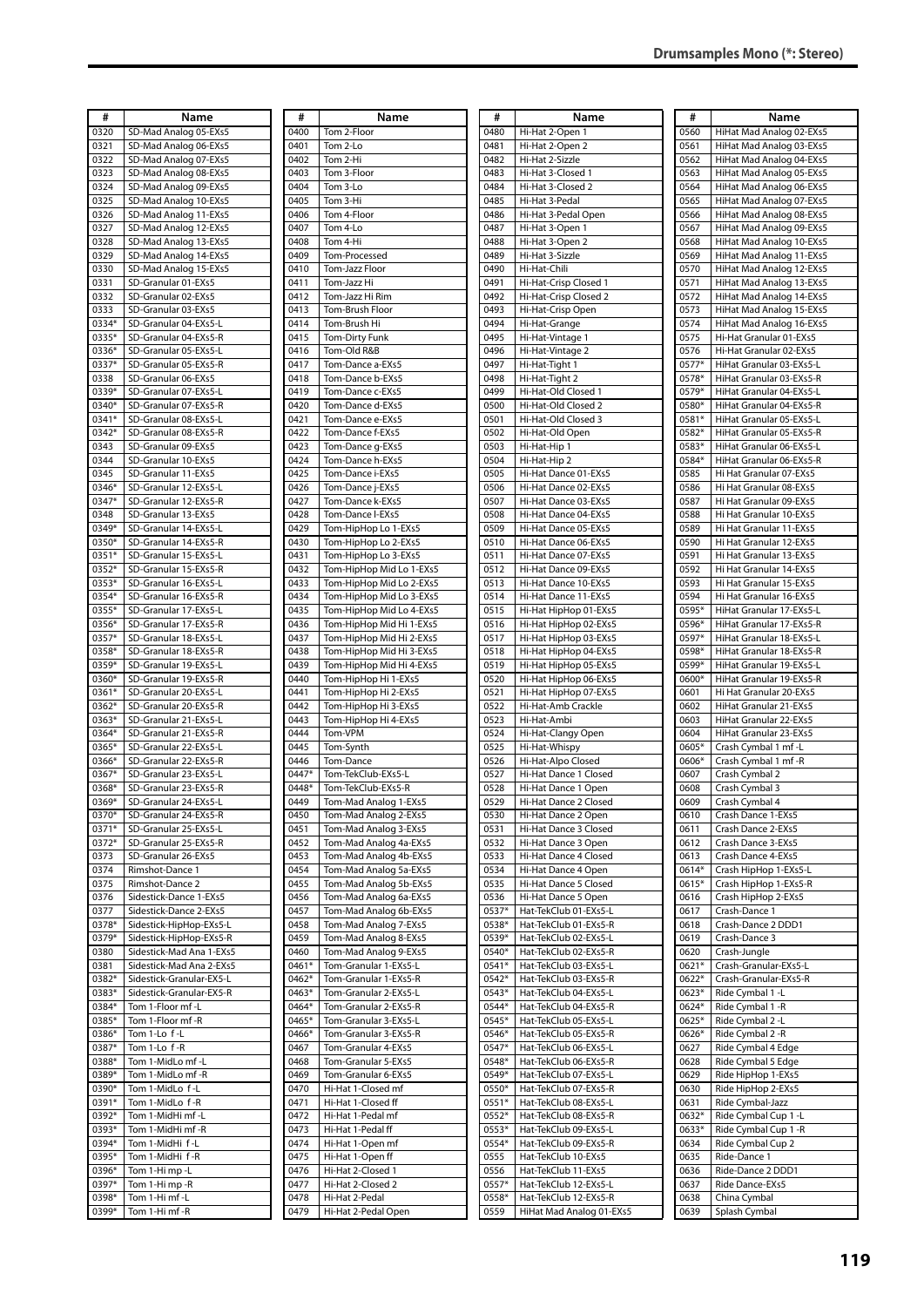| #              | Name                                                 |
|----------------|------------------------------------------------------|
| 0320<br>0321   | SD-Mad Analog 05-EXs5<br>SD-Mad Analog 06-EXs5       |
| 0322           | SD-Mad Analog 07-EXs5                                |
| 0323           | SD-Mad Analog 08-EXs5                                |
| 0324           | SD-Mad Analog 09-EXs5                                |
| 0325           | SD-Mad Analog 10-EXs5                                |
| 0326           | SD-Mad Analog 11-EXs5                                |
| 0327           | SD-Mad Analog 12-EXs5                                |
| 0328           | SD-Mad Analog 13-EXs5                                |
| 0329           | SD-Mad Analog 14-EXs5                                |
| 0330<br>0331   | SD-Mad Analog 15-EXs5<br>SD-Granular 01-EXs5         |
| 0332           | SD-Granular 02-EXs5                                  |
| 0333           | SD-Granular 03-EXs5                                  |
| 0334*          | SD-Granular 04-EXs5-L                                |
| 0335*          | SD-Granular 04-EXs5-R                                |
| 0336*          | SD-Granular 05-EXs5-L                                |
| 0337*          | SD-Granular 05-EXs5-R                                |
| 0338           | SD-Granular 06-EXs5                                  |
| 0339*          | SD-Granular 07-EXs5-L                                |
| 0340*          | SD-Granular 07-EXs5-R                                |
| 0341*          | SD-Granular 08-EXs5-L                                |
| 0342*          | SD-Granular 08-EXs5-R                                |
| 0343<br>0344   | SD-Granular 09-EXs5                                  |
| 0345           | SD-Granular 10-EXs5<br>SD-Granular 11-EXs5           |
| 0346*          | SD-Granular 12-EXs5-L                                |
| 0347*          | SD-Granular 12-EXs5-R                                |
| 0348           | SD-Granular 13-EXs5                                  |
| 0349*          | SD-Granular 14-EXs5-L                                |
| 0350*          | SD-Granular 14-EXs5-R                                |
| 0351*          | SD-Granular 15-EXs5-L                                |
| 0352*          | SD-Granular 15-EXs5-R                                |
| 0353*          | SD-Granular 16-EXs5-L                                |
| 0354*          | SD-Granular 16-EXs5-R                                |
| 0355*          | SD-Granular 17-EXs5-L                                |
| 0356*          | SD-Granular 17-EXs5-R                                |
| 0357*<br>0358* | SD-Granular 18-EXs5-L<br>SD-Granular 18-EXs5-R       |
| 0359*          | SD-Granular 19-EXs5-L                                |
| 0360*          | SD-Granular 19-EXs5-R                                |
| 0361*          | SD-Granular 20-EXs5-L                                |
| $0362*$        | SD-Granular 20-EXs5-R                                |
| 0363*          | SD-Granular 21-EXs5-L                                |
| 0364*          | SD-Granular 21-EXs5-R                                |
| 0365*          | SD-Granular 22-EXs5-L                                |
| 0366*          | SD-Granular 22-EXs5-R                                |
| 0367*          | SD-Granular 23-EXs5-L                                |
| 0368*          | SD-Granular 23-EXs5-R                                |
| 0369*<br>0370* | SD-Granular 24-EXs5-L<br>SD-Granular 24-EXs5-R       |
| 0371*          | SD-Granular 25-EXs5-L                                |
| 0372*          | SD-Granular 25-EXs5-R                                |
| 0373           | SD-Granular 26-EXs5                                  |
| 0374           | Rimshot-Dance 1                                      |
| 0375           | Rimshot-Dance 2                                      |
| 0376           | Sidestick-Dance 1-EXs5                               |
| 0377           | Sidestick-Dance 2-EXs5                               |
| 0378*          | Sidestick-HipHop-EXs5-L                              |
| 0379*          | Sidestick-HipHop-EXs5-R                              |
| 0380<br>0381   | Sidestick-Mad Ana 1-EXs5<br>Sidestick-Mad Ana 2-EXs5 |
| 0382*          | Sidestick-Granular-EX5-L                             |
| 0383*          | Sidestick-Granular-EX5-R                             |
| 0384*          | Tom 1-Floor mf -L                                    |
| 0385*          | Tom 1-Floor mf -R                                    |
| 0386*          | Tom 1-Lo f-L                                         |
| 0387*          | Tom 1-Lo f-R                                         |
| 0388*          | Tom 1-MidLo mf-L                                     |
| 0389*          | Tom 1-MidLo mf-R                                     |
| 0390*          | Tom 1-MidLo f-L                                      |
| 0391*          | Tom 1-MidLo f-R                                      |
| 0392*<br>0393* | Tom 1-MidHi mf -L<br>Tom 1-MidHi mf -R               |
| 0394*          | Tom 1-MidHi f-L                                      |
| 0395*          | Tom 1-MidHi f-R                                      |
| 0396*          | Tom 1-Hi mp -L                                       |
| 0397*          | Tom 1-Himp-R                                         |
| 0398*          | Tom 1-Hi mf -L                                       |

0399\* Tom 1-Hi mf -R

| #              | Name                                                 |
|----------------|------------------------------------------------------|
| 0400           | Tom 2-Floor                                          |
| 0401<br>0402   | Tom 2-Lo<br>Tom 2-Hi                                 |
| 0403           | Tom 3-Floor                                          |
| 0404           | Tom 3-Lo                                             |
| 0405           | Tom 3-Hi                                             |
| 0406           | Tom 4-Floor                                          |
| 0407<br>0408   | Tom 4-Lo<br>Tom 4-Hi                                 |
| 0409           | Tom-Processed                                        |
| 0410           | Tom-Jazz Floor                                       |
| 0411           | Tom-Jazz Hi                                          |
| 0412           | Tom-Jazz Hi Rim                                      |
| 0413           | Tom-Brush Floor                                      |
| 0414<br>0415   | Tom-Brush Hi<br>Tom-Dirty Funk                       |
| 0416           | Tom-Old R&B                                          |
| 0417           | Tom-Dance a-EXs5                                     |
| 0418           | Tom-Dance b-EXs5                                     |
| 0419           | Tom-Dance c-EXs5                                     |
| 0420<br>0421   | Tom-Dance d-EXs5<br>Tom-Dance e-EXs5                 |
| 0422           | Tom-Dance f-EXs5                                     |
| 0423           | Tom-Dance g-EXs5                                     |
| 0424           | Tom-Dance h-EXs5                                     |
| 0425           | Tom-Dance i-EXs5                                     |
| 0426<br>0427   | Tom-Dance j-EXs5                                     |
| 0428           | Tom-Dance k-EXs5<br>Tom-Dance I-EXs5                 |
| 0429           | Tom-HipHop Lo 1-EXs5                                 |
| 0430           | Tom-HipHop Lo 2-EXs5                                 |
| 0431           | Tom-HipHop Lo 3-EXs5                                 |
| 0432           | Tom-HipHop Mid Lo 1-EXs5                             |
| 0433<br>0434   | Tom-HipHop Mid Lo 2-EXs5<br>Tom-HipHop Mid Lo 3-EXs5 |
| 0435           | Tom-HipHop Mid Lo 4-EXs5                             |
| 0436           | Tom-HipHop Mid Hi 1-EXs5                             |
| 0437           | Tom-HipHop Mid Hi 2-EXs5                             |
| 0438           | Tom-HipHop Mid Hi 3-EXs5                             |
| 0439<br>0440   | Tom-HipHop Mid Hi 4-EXs5<br>Tom-HipHop Hi 1-EXs5     |
| 0441           | Tom-HipHop Hi 2-EXs5                                 |
| 0442           | Tom-HipHop Hi 3-EXs5                                 |
| 0443           | Tom-HipHop Hi 4-EXs5                                 |
| 0444           | Tom-VPM                                              |
| 0445<br>0446   | Tom-Synth<br>Tom-Dance                               |
| 0447*          | Tom-TekClub-EXs5-L                                   |
| $0448*$        | Tom-TekClub-EXs5-R                                   |
| 0449           | Tom-Mad Analog 1-EXs5                                |
| 0450<br>0451   | Tom-Mad Analog 2-EXs5                                |
| 0452           | Tom-Mad Analog 3-EXs5<br>Tom-Mad Analog 4a-EXs5      |
| 0453           | Tom-Mad Analog 4b-EXs5                               |
| 0454           | Tom-Mad Analog 5a-EXs5                               |
| 0455           | Tom-Mad Analog 5b-EXs5                               |
| 0456           | Tom-Mad Analog 6a-EXs5                               |
| 0457<br>0458   | Tom-Mad Analog 6b-EXs5<br>Tom-Mad Analog 7-EXs5      |
| 0459           | Tom-Mad Analog 8-EXs5                                |
| 0460           | Tom-Mad Analog 9-EXs5                                |
| 0461*          | Tom-Granular 1-EXs5-L                                |
| 0462*          | Tom-Granular 1-EXs5-R                                |
| 0463*<br>0464* | Tom-Granular 2-EXs5-L<br>Tom-Granular 2-EXs5-R       |
| 0465*          | Tom-Granular 3-EXs5-L                                |
| 0466*          | Tom-Granular 3-EXs5-R                                |
| 0467           | Tom-Granular 4-EXs5                                  |
| 0468           | Tom-Granular 5-EXs5                                  |
| 0469           | Tom-Granular 6-EXs5                                  |
| 0470<br>0471   | Hi-Hat 1-Closed mf<br>Hi-Hat 1-Closed ff             |
| 0472           | Hi-Hat 1-Pedal mf                                    |
| 0473           | Hi-Hat 1-Pedal ff                                    |
| 0474           | Hi-Hat 1-Open mf                                     |
| 0475           | Hi-Hat 1-Open ff                                     |
| 0476           | Hi-Hat 2-Closed 1                                    |
| 0477<br>0478   | Hi-Hat 2-Closed 2<br>Hi-Hat 2-Pedal                  |
| 0479           | Hi-Hat 2-Pedal Open                                  |

| #               | Name                                           |
|-----------------|------------------------------------------------|
| 0480            | Hi-Hat 2-Open 1                                |
| 0481<br>0482    | Hi-Hat 2-Open 2<br>Hi-Hat 2-Sizzle             |
| 0483            | Hi-Hat 3-Closed 1                              |
| 0484            | Hi-Hat 3-Closed 2                              |
| 0485            | Hi-Hat 3-Pedal                                 |
| 0486            | Hi-Hat 3-Pedal Open                            |
| 0487            | Hi-Hat 3-Open 1                                |
| 0488            | Hi-Hat 3-Open 2                                |
| 0489<br>0490    | Hi-Hat 3-Sizzle<br>Hi-Hat-Chili                |
| 0491            | Hi-Hat-Crisp Closed 1                          |
| 0492            | Hi-Hat-Crisp Closed 2                          |
| 0493            | Hi-Hat-Crisp Open                              |
| 0494            | Hi-Hat-Grange                                  |
| 0495<br>0496    | Hi-Hat-Vintage 1<br>Hi-Hat-Vintage 2           |
| 0497            | Hi-Hat-Tight 1                                 |
| 0498            | Hi-Hat-Tight 2                                 |
| 0499            | Hi-Hat-Old Closed 1                            |
| 0500            | Hi-Hat-Old Closed 2                            |
| 0501<br>0502    | Hi-Hat-Old Closed 3<br>Hi-Hat-Old Open         |
| 0503            | Hi-Hat-Hip 1                                   |
| 0504            | Hi-Hat-Hip 2                                   |
| 0505            | Hi-Hat Dance 01-EXs5                           |
| 0506            | Hi-Hat Dance 02-EXs5                           |
| 0507            | Hi-Hat Dance 03-EXs5                           |
| 0508<br>0509    | Hi-Hat Dance 04-EXs5<br>Hi-Hat Dance 05-EXs5   |
| 0510            | Hi-Hat Dance 06-EXs5                           |
| 0511            | Hi-Hat Dance 07-EXs5                           |
| 0512            | Hi-Hat Dance 09-EXs5                           |
| 0513            | Hi-Hat Dance 10-EXs5                           |
| 0514            | Hi-Hat Dance 11-EXs5                           |
| 0515<br>0516    | Hi-Hat HipHop 01-EXs5<br>Hi-Hat HipHop 02-EXs5 |
| 0517            | Hi-Hat HipHop 03-EXs5                          |
| 0518            | Hi-Hat HipHop 04-EXs5                          |
| 0519            | Hi-Hat HipHop 05-EXs5                          |
| 0520<br>0521    | Hi-Hat HipHop 06-EXs5<br>Hi-Hat HipHop 07-EXs5 |
| 0522            | Hi-Hat-Amb Crackle                             |
| 0523            | Hi-Hat-Ambi                                    |
| 0524            | Hi-Hat-Clangy Open                             |
| 0525<br>0526    | Hi-Hat-Whispy<br>Hi-Hat-Alpo Closed            |
| 0527            | Hi-Hat Dance 1 Closed                          |
| 0528            | Hi-Hat Dance 1 Open                            |
| 0529            | Hi-Hat Dance 2 Closed                          |
| 0530<br>0531    | Hi-Hat Dance 2 Open<br>Hi-Hat Dance 3 Closed   |
| 0532            | Hi-Hat Dance 3 Open                            |
| 0533            | Hi-Hat Dance 4 Closed                          |
| 0534            | Hi-Hat Dance 4 Open                            |
| 0535            | Hi-Hat Dance 5 Closed                          |
| 0536<br>0537*   | Hi-Hat Dance 5 Open<br>Hat-TekClub 01-EXs5-L   |
| 0538*           | Hat-TekClub 01-EXs5-R                          |
| 0539*           | Hat-TekClub 02-EXs5-L                          |
| 0540*           | Hat-TekClub 02-EXs5-R                          |
| 0541*           | Hat-TekClub 03-EXs5-L                          |
| 0542*<br>0543*  | Hat-TekClub 03-EXs5-R<br>Hat-TekClub 04-EXs5-L |
| $0544*$         | Hat-TekClub 04-EXs5-R                          |
| 0545*           | Hat-TekClub 05-EXs5-L                          |
| 0546*           | Hat-TekClub 05-EXs5-R                          |
| $0547*$         | Hat-TekClub 06-EXs5-L                          |
| 0548*<br>0549*  | Hat-TekClub 06-EXs5-R<br>Hat-TekClub 07-EXs5-L |
| 0550*           | Hat-TekClub 07-EXs5-R                          |
| $0551*$         | Hat-TekClub 08-EXs5-L                          |
| $0552*$         | Hat-TekClub 08-EXs5-R                          |
| 0553*           | Hat-TekClub 09-EXs5-L                          |
| $0554*$<br>0555 | Hat-TekClub 09-EXs5-R<br>Hat-TekClub 10-EXs5   |
| 0556            | Hat-TekClub 11-EXs5                            |
| 0557*           | Hat-TekClub 12-EXs5-L                          |
| 0558*           | Hat-TekClub 12-EXs5-R                          |
| 0559            | HiHat Mad Analog 01-EXs5                       |

| #              | Name                                                 |
|----------------|------------------------------------------------------|
| 0560           | HiHat Mad Analog 02-EXs5                             |
| 0561           | HiHat Mad Analog 03-EXs5                             |
| 0562           | HiHat Mad Analog 04-EXs5                             |
| 0563<br>0564   | HiHat Mad Analog 05-EXs5                             |
| 0565           | HiHat Mad Analog 06-EXs5<br>HiHat Mad Analog 07-EXs5 |
| 0566           | HiHat Mad Analog 08-EXs5                             |
| 0567           | HiHat Mad Analog 09-EXs5                             |
| 0568           | HiHat Mad Analog 10-EXs5                             |
| 0569           | HiHat Mad Analog 11-EXs5                             |
| 0570           | HiHat Mad Analog 12-EXs5                             |
| 0571           | HiHat Mad Analog 13-EXs5                             |
| 0572<br>0573   | HiHat Mad Analog 14-EXs5<br>HiHat Mad Analog 15-EXs5 |
| 0574           | HiHat Mad Analog 16-EXs5                             |
| 0575           | Hi-Hat Granular 01-EXs5                              |
| 0576           | Hi-Hat Granular 02-EXs5                              |
| 0577*          | HiHat Granular 03-EXs5-L                             |
| 0578*          | HiHat Granular 03-EXs5-R                             |
| 0579*          | HiHat Granular 04-EXs5-L                             |
| 0580*<br>0581* | HiHat Granular 04-EXs5-R<br>HiHat Granular 05-EXs5-L |
| 0582*          | HiHat Granular 05-EXs5-R                             |
| 0583*          | HiHat Granular 06-EXs5-L                             |
| 0584*          | HiHat Granular 06-EXs5-R                             |
| 0585           | Hi Hat Granular 07-EXs5                              |
| 0586           | Hi Hat Granular 08-EXs5                              |
| 0587           | Hi Hat Granular 09-EXs5                              |
| 0588           | Hi Hat Granular 10-EXs5                              |
| 0589<br>0590   | Hi Hat Granular 11-EXs5<br>Hi Hat Granular 12-EXs5   |
| 0591           | Hi Hat Granular 13-EXs5                              |
| 0592           | Hi Hat Granular 14-EXs5                              |
| 0593           | Hi Hat Granular 15-EXs5                              |
| 0594           | Hi Hat Granular 16-EXs5                              |
| 0595*          | HiHat Granular 17-EXs5-L                             |
| 0596*          | HiHat Granular 17-EXs5-R                             |
| 0597*<br>0598* | HiHat Granular 18-EXs5-L<br>HiHat Granular 18-EXs5-R |
| 0599*          | HiHat Granular 19-EXs5-L                             |
| 0600*          | HiHat Granular 19-EXs5-R                             |
| 0601           | Hi Hat Granular 20-EXs5                              |
| 0602           | HiHat Granular 21-EXs5                               |
| 0603           | HiHat Granular 22-EXs5                               |
| 0604           | HiHat Granular 23-EXs5                               |
| 0605*<br>0606* | Crash Cymbal 1 mf -L<br>Crash Cymbal 1 mf -R         |
| 0607           | Crash Cymbal 2                                       |
| 0608           | Crash Cymbal 3                                       |
| 0609           | Crash Cymbal 4                                       |
| 0610           | Crash Dance 1-EXs5                                   |
| 0611           | Crash Dance 2-EXs5                                   |
| 0612           | Crash Dance 3-EXs5                                   |
| 0613<br>0614*  | Crash Dance 4-EXs5<br>Crash HipHop 1-EXs5-L          |
| 0615*          | Crash HipHop 1-EXs5-R                                |
| 0616           | Crash HipHop 2-EXs5                                  |
| 0617           | Crash-Dance 1                                        |
| 0618           | Crash-Dance 2 DDD1                                   |
| 0619           | Crash-Dance 3                                        |
| 0620<br>0621*  | Crash-Jungle                                         |
| 0622*          | Crash-Granular-EXs5-L<br>Crash-Granular-EXs5-R       |
| 0623*          | Ride Cymbal 1 -L                                     |
| 0624*          | Ride Cymbal 1 -R                                     |
| 0625*          | Ride Cymbal 2 -L                                     |
| 0626*          | Ride Cymbal 2 - R                                    |
| 0627           | Ride Cymbal 4 Edge                                   |
| 0628           | Ride Cymbal 5 Edge                                   |
| 0629<br>0630   | Ride HipHop 1-EXs5<br>Ride HipHop 2-EXs5             |
| 0631           | Ride Cymbal-Jazz                                     |
| 0632*          | Ride Cymbal Cup 1 -L                                 |
| 0633*          | Ride Cymbal Cup 1 -R                                 |
| 0634           | Ride Cymbal Cup 2                                    |
| 0635           | Ride-Dance 1                                         |
| 0636           | Ride-Dance 2 DDD1                                    |
| 0637<br>0638   | Ride Dance-EXs5                                      |
| 0639           | China Cymbal<br>Splash Cymbal                        |
|                |                                                      |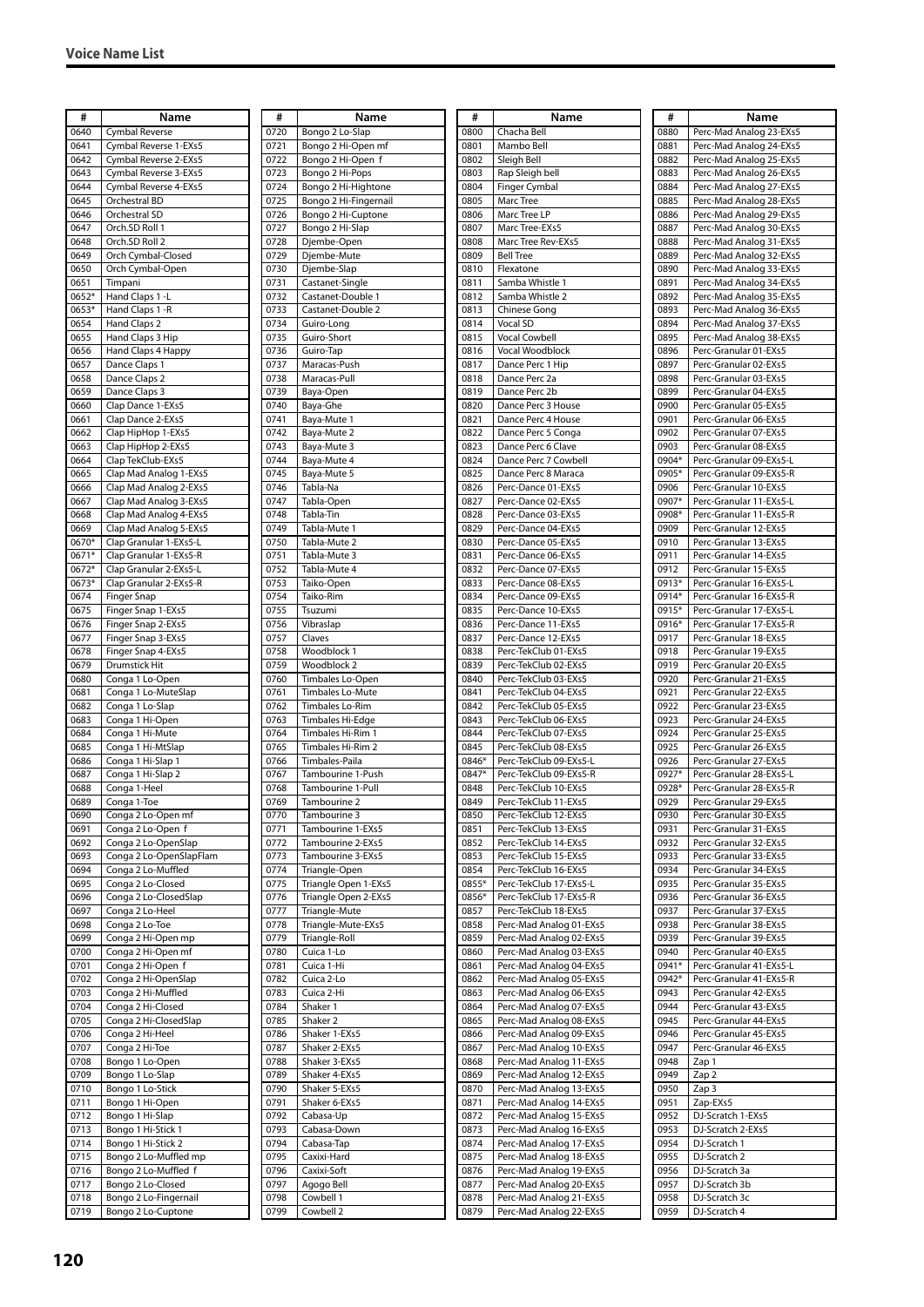| #            | Name                                      |
|--------------|-------------------------------------------|
| 0640         | <b>Cymbal Reverse</b>                     |
| 0641         | Cymbal Reverse 1-EXs5                     |
| 0642         | Cymbal Reverse 2-EXs5                     |
| 0643         | Cymbal Reverse 3-EXs5                     |
| 0644         | Cymbal Reverse 4-EXs5                     |
| 0645         | Orchestral BD                             |
| 0646         | Orchestral SD                             |
| 0647         | Orch.SD Roll 1                            |
| 0648<br>0649 | Orch.SD Roll 2<br>Orch Cymbal-Closed      |
| 0650         | Orch Cymbal-Open                          |
| 0651         | Timpani                                   |
| 0652*        | Hand Claps 1 -L                           |
| 0653*        | Hand Claps 1 -R                           |
| 0654         | Hand Claps 2                              |
| 0655         | Hand Claps 3 Hip                          |
| 0656         | Hand Claps 4 Happy                        |
| 0657         | Dance Claps 1                             |
| 0658         | Dance Claps 2                             |
| 0659         | Dance Claps 3                             |
| 0660         | Clap Dance 1-EXs5                         |
| 0661         | Clap Dance 2-EXs5                         |
| 0662         | Clap HipHop 1-EXs5                        |
| 0663         | Clap HipHop 2-EXs5                        |
| 0664         | Clap TekClub-EXs5                         |
| 0665         | Clap Mad Analog 1-EXs5                    |
| 0666         | Clap Mad Analog 2-EXs5                    |
| 0667         | Clap Mad Analog 3-EXs5                    |
| 0668         | Clap Mad Analog 4-EXs5                    |
| 0669         | Clap Mad Analog 5-EXs5                    |
| 0670*        | Clap Granular 1-EXs5-L                    |
| 0671*        | Clap Granular 1-EXs5-R                    |
| 0672*        | Clap Granular 2-EXs5-L                    |
| 0673*        | Clap Granular 2-EXs5-R                    |
| 0674         | Finger Snap                               |
| 0675         | Finger Snap 1-EXs5                        |
| 0676         | Finger Snap 2-EXs5                        |
| 0677         | Finger Snap 3-EXs5                        |
| 0678<br>0679 | Finger Snap 4-EXs5<br>Drumstick Hit       |
| 0680         | Conga 1 Lo-Open                           |
| 0681         | Conga 1 Lo-MuteSlap                       |
| 0682         | Conga 1 Lo-Slap                           |
| 0683         | Conga 1 Hi-Open                           |
| 0684         | Conga 1 Hi-Mute                           |
| 0685         | Conga 1 Hi-MtSlap                         |
| 0686         | Conga 1 Hi-Slap 1                         |
| 0687         | Conga 1 Hi-Slap 2                         |
| 0688         | Conga 1-Heel                              |
| 0689         | Conga 1-Toe                               |
| 0690         | Conga 2 Lo-Open mf                        |
| 0691         | Conga 2 Lo-Open f                         |
| 0692         | Conga 2 Lo-OpenSlap                       |
| 0693         | Conga 2 Lo-OpenSlapFlam                   |
| 0694         | Conga 2 Lo-Muffled                        |
| 0695         | Conga 2 Lo-Closed                         |
| 0696         | Conga 2 Lo-ClosedSlap                     |
| 0697         | Conga 2 Lo-Heel                           |
| 0698         | Conga 2 Lo-Toe                            |
| 0699         | Conga 2 Hi-Open mp                        |
| 0700         | Conga 2 Hi-Open mf                        |
| 0701         | Conga 2 Hi-Open f                         |
| 0702         | Conga 2 Hi-OpenSlap<br>Conga 2 Hi-Muffled |
| 0703<br>0704 | Conga 2 Hi-Closed                         |
| 0705         | Conga 2 Hi-ClosedSlap                     |
| 0706         | Conga 2 Hi-Heel                           |
| 0707         | Conga 2 Hi-Toe                            |
| 0708         | Bongo 1 Lo-Open                           |
| 0709         | Bongo 1 Lo-Slap                           |
| 0710         | Bongo 1 Lo-Stick                          |
| 0711         | Bongo 1 Hi-Open                           |
| 0712         | Bongo 1 Hi-Slap                           |
| 0713         | Bongo 1 Hi-Stick 1                        |
| 0714         | Bongo 1 Hi-Stick 2                        |
| 0715         | Bongo 2 Lo-Muffled mp                     |
| 0716         | Bongo 2 Lo-Muffled f                      |
| 0717         | Bongo 2 Lo-Closed                         |
| 0718         | Bongo 2 Lo-Fingernail                     |
|              | Bongo 2 Lo-Cuptone                        |

| #            | Name                                   |
|--------------|----------------------------------------|
| 0720         | Bongo 2 Lo-Slap                        |
| 0721         | Bongo 2 Hi-Open mf                     |
| 0722<br>0723 | Bongo 2 Hi-Open f                      |
| 0724         | Bongo 2 Hi-Pops<br>Bongo 2 Hi-Hightone |
| 0725         | Bongo 2 Hi-Fingernail                  |
| 0726         | Bongo 2 Hi-Cuptone                     |
| 0727         | Bongo 2 Hi-Slap                        |
| 0728         | Djembe-Open                            |
| 0729         | Djembe-Mute                            |
| 0730<br>0731 | Djembe-Slap<br>Castanet-Single         |
| 0732         | Castanet-Double 1                      |
| 0733         | Castanet-Double 2                      |
| 0734         | Guiro-Long                             |
| 0735         | Guiro-Short                            |
| 0736         | Guiro-Tap                              |
| 0737<br>0738 | Maracas-Push<br>Maracas-Pull           |
| 0739         | Baya-Open                              |
| 0740         | Baya-Ghe                               |
| 0741         | Baya-Mute 1                            |
| 0742         | Baya-Mute 2                            |
| 0743         | Baya-Mute 3                            |
| 0744<br>0745 | Baya-Mute 4<br>Baya-Mute 5             |
| 0746         | Tabla-Na                               |
| 0747         | Tabla-Open                             |
| 0748         | Tabla-Tin                              |
| 0749         | Tabla-Mute 1                           |
| 0750         | Tabla-Mute 2                           |
| 0751<br>0752 | Tabla-Mute 3<br>Tabla-Mute 4           |
| 0753         | Taiko-Open                             |
| 0754         | Taiko-Rim                              |
| 0755         | Tsuzumi                                |
| 0756         | Vibraslap                              |
| 0757         | Claves                                 |
| 0758<br>0759 | Woodblock 1<br>Woodblock 2             |
| 0760         | Timbales Lo-Open                       |
| 0761         | <b>Timbales Lo-Mute</b>                |
| 0762         | Timbales Lo-Rim                        |
| 0763         | Timbales Hi-Edge                       |
| 0764<br>0765 | Timbales Hi-Rim 1<br>Timbales Hi-Rim 2 |
| 0766         | Timbales-Paila                         |
| 0767         | Tambourine 1-Push                      |
| 0768         | Tambourine 1-Pull                      |
| 0769         | Tambourine 2                           |
| 0770         | Tambourine 3                           |
| 0771<br>0772 | Tambourine 1-EXs5<br>Tambourine 2-EXs5 |
| 0773         | Tambourine 3-EXs5                      |
| 0774         | Triangle-Open                          |
| 0775         | Triangle Open 1-EXs5                   |
| 0776         | Triangle Open 2-EXs5                   |
| 0777         | Triangle-Mute<br>Triangle-Mute-EXs5    |
| 0778<br>0779 | Triangle-Roll                          |
| 0780         | Cuica 1-Lo                             |
| 0781         | Cuica 1-Hi                             |
| 0782         | Cuica 2-Lo                             |
| 0783         | Cuica 2-Hi                             |
| 0784<br>0785 | Shaker 1<br>Shaker 2                   |
| 0786         | Shaker 1-EXs5                          |
| 0787         | Shaker 2-EXs5                          |
| 0788         | Shaker 3-EXs5                          |
| 0789         | Shaker 4-EXs5                          |
| 0790         | Shaker 5-EXs5                          |
| 0791<br>0792 | Shaker 6-EXs5<br>Cabasa-Up             |
| 0793         | Cabasa-Down                            |
| 0794         | Cabasa-Tap                             |
| 0795         | Caxixi-Hard                            |
| 0796         | Caxixi-Soft                            |
| 0797         | Agogo Bell                             |
| 0798<br>0799 | Cowbell 1<br>Cowbell 2                 |
|              |                                        |

| #             | Name                                               |
|---------------|----------------------------------------------------|
| 0800          | Chacha Bell                                        |
| 0801          | Mambo Bell                                         |
| 0802          | Sleigh Bell                                        |
| 0803          | Rap Sleigh bell                                    |
| 0804          | Finger Cymbal                                      |
| 0805          | Marc Tree                                          |
| 0806          | Marc Tree LP                                       |
| 0807          | Marc Tree-EXs5                                     |
| 0808          | Marc Tree Rev-EXs5                                 |
| 0809          | <b>Bell Tree</b>                                   |
| 0810          | Flexatone                                          |
| 0811          | Samba Whistle 1                                    |
| 0812          | Samba Whistle 2                                    |
| 0813          | Chinese Gong                                       |
| 0814          | Vocal SD                                           |
| 0815          | Vocal Cowbell                                      |
| 0816          | Vocal Woodblock                                    |
| 0817          | Dance Perc 1 Hip                                   |
| 0818<br>0819  | Dance Perc 2a<br>Dance Perc 2b                     |
| 0820          | Dance Perc 3 House                                 |
| 0821          | Dance Perc 4 House                                 |
| 0822          | Dance Perc 5 Conga                                 |
| 0823          | Dance Perc 6 Clave                                 |
| 0824          | Dance Perc 7 Cowbell                               |
| 0825          | Dance Perc 8 Maraca                                |
| 0826          | Perc-Dance 01-EXs5                                 |
| 0827          | Perc-Dance 02-EXs5                                 |
| 0828          | Perc-Dance 03-EXs5                                 |
| 0829          | Perc-Dance 04-EXs5                                 |
| 0830          | Perc-Dance 05-EXs5                                 |
| 0831          | Perc-Dance 06-EXs5                                 |
| 0832          | Perc-Dance 07-EXs5                                 |
| 0833<br>0834  | Perc-Dance 08-EXs5<br>Perc-Dance 09-EXs5           |
| 0835          | Perc-Dance 10-EXs5                                 |
| 0836          | Perc-Dance 11-EXs5                                 |
| 0837          | Perc-Dance 12-EXs5                                 |
| 0838          | Perc-TekClub 01-EXs5                               |
| 0839          | Perc-TekClub 02-EXs5                               |
| 0840          | Perc-TekClub 03-EXs5                               |
| 0841          | Perc-TekClub 04-EXs5                               |
| 0842          | Perc-TekClub 05-EXs5                               |
| 0843          | Perc-TekClub 06-EXs5                               |
| 0844          | Perc-TekClub 07-EXs5                               |
| 0845<br>0846* | Perc-TekClub 08-EXs5<br>Perc-TekClub 09-EXs5-L     |
| 0847*         | Perc-TekClub 09-EXs5-R                             |
| 0848          | Perc-TekClub 10-EXs5                               |
| 0849          | Perc-TekClub 11-EXs5                               |
| 0850          | Perc-TekClub 12-EXs5                               |
| 0851          | Perc-TekClub 13-EXs5                               |
| 0852          | Perc-TekClub 14-EXs5                               |
| 0853          | Perc-TekClub 15-EXs5                               |
| 0854          | Perc-TekClub 16-EXs5                               |
| $0855*$       | Perc-TekClub 17-EXs5-L                             |
| 0856*         | Perc-TekClub 17-EXs5-R                             |
| 0857          | Perc-TekClub 18-EXs5                               |
| 0858<br>0859  | Perc-Mad Analog 01-EXs5<br>Perc-Mad Analog 02-EXs5 |
| 0860          | Perc-Mad Analog 03-EXs5                            |
| 0861          | Perc-Mad Analog 04-EXs5                            |
| 0862          | Perc-Mad Analog 05-EXs5                            |
| 0863          | Perc-Mad Analog 06-EXs5                            |
| 0864          | Perc-Mad Analog 07-EXs5                            |
| 0865          | Perc-Mad Analog 08-EXs5                            |
| 0866          | Perc-Mad Analog 09-EXs5                            |
| 0867          | Perc-Mad Analog 10-EXs5                            |
| 0868          | Perc-Mad Analog 11-EXs5                            |
| 0869          | Perc-Mad Analog 12-EXs5                            |
| 0870          | Perc-Mad Analog 13-EXs5                            |
| 0871          | Perc-Mad Analog 14-EXs5                            |
| 0872<br>0873  | Perc-Mad Analog 15-EXs5<br>Perc-Mad Analog 16-EXs5 |
| 0874          | Perc-Mad Analog 17-EXs5                            |
| 0875          | Perc-Mad Analog 18-EXs5                            |
| 0876          | Perc-Mad Analog 19-EXs5                            |
| 0877          | Perc-Mad Analog 20-EXs5                            |
| 0878          | Perc-Mad Analog 21-EXs5                            |
| 0879          | Perc-Mad Analog 22-EXs5                            |

| #     | Name                    |
|-------|-------------------------|
|       |                         |
| 0880  | Perc-Mad Analog 23-EXs5 |
| 0881  | Perc-Mad Analog 24-EXs5 |
| 0882  | Perc-Mad Analog 25-EXs5 |
| 0883  | Perc-Mad Analog 26-EXs5 |
| 0884  | Perc-Mad Analog 27-EXs5 |
| 0885  | Perc-Mad Analog 28-EXs5 |
| 0886  | Perc-Mad Analog 29-EXs5 |
| 0887  | Perc-Mad Analog 30-EXs5 |
| 0888  | Perc-Mad Analog 31-EXs5 |
| 0889  | Perc-Mad Analog 32-EXs5 |
| 0890  | Perc-Mad Analog 33-EXs5 |
| 0891  | Perc-Mad Analog 34-EXs5 |
| 0892  | Perc-Mad Analog 35-EXs5 |
| 0893  | Perc-Mad Analog 36-EXs5 |
| 0894  | Perc-Mad Analog 37-EXs5 |
| 0895  | Perc-Mad Analog 38-EXs5 |
| 0896  | Perc-Granular 01-EXs5   |
| 0897  | Perc-Granular 02-EXs5   |
| 0898  | Perc-Granular 03-EXs5   |
| 0899  | Perc-Granular 04-EXs5   |
| 0900  | Perc-Granular 05-EXs5   |
| 0901  | Perc-Granular 06-EXs5   |
| 0902  | Perc-Granular 07-EXs5   |
| 0903  | Perc-Granular 08-EXs5   |
| 0904* | Perc-Granular 09-EXs5-L |
|       |                         |
| 0905* | Perc-Granular 09-EXs5-R |
| 0906  | Perc-Granular 10-EXs5   |
| 0907* | Perc-Granular 11-EXs5-L |
| 0908* | Perc-Granular 11-EXs5-R |
| 0909  | Perc-Granular 12-EXs5   |
| 0910  | Perc-Granular 13-EXs5   |
| 0911  | Perc-Granular 14-EXs5   |
| 0912  | Perc-Granular 15-EXs5   |
| 0913* | Perc-Granular 16-EXs5-L |
| 0914* | Perc-Granular 16-EXs5-R |
| 0915* | Perc-Granular 17-EXs5-L |
| 0916* | Perc-Granular 17-EXs5-R |
| 0917  | Perc-Granular 18-EXs5   |
| 0918  | Perc-Granular 19-EXs5   |
| 0919  | Perc-Granular 20-EXs5   |
| 0920  | Perc-Granular 21-EXs5   |
| 0921  | Perc-Granular 22-EXs5   |
| 0922  | Perc-Granular 23-EXs5   |
| 0923  | Perc-Granular 24-EXs5   |
| 0924  | Perc-Granular 25-EXs5   |
| 0925  | Perc-Granular 26-EXs5   |
| 0926  | Perc-Granular 27-EXs5   |
| 0927* | Perc-Granular 28-EXs5-L |
| 0928* | Perc-Granular 28-EXs5-R |
| 0929  | Perc-Granular 29-EXs5   |
| 0930  | Perc-Granular 30-EXs5   |
| 0931  | Perc-Granular 31-EXs5   |
| 0932  | Perc-Granular 32-EXs5   |
| 0933  | Perc-Granular 33-EXs5   |
| 0934  | Perc-Granular 34-EXs5   |
| 0935  | Perc-Granular 35-EXs5   |
| 0936  | Perc-Granular 36-EXs5   |
| 0937  | Perc-Granular 37-EXs5   |
| 0938  | Perc-Granular 38-EXs5   |
| 0939  | Perc-Granular 39-EXs5   |
| 0940  | Perc-Granular 40-EXs5   |
| 0941* | Perc-Granular 41-EXs5-L |
| 0942* | Perc-Granular 41-EXs5-R |
| 0943  | Perc-Granular 42-EXs5   |
| 0944  | Perc-Granular 43-EXs5   |
| 0945  | Perc-Granular 44-EXs5   |
| 0946  | Perc-Granular 45-EXs5   |
| 0947  | Perc-Granular 46-EXs5   |
| 0948  |                         |
| 0949  | Zap 1                   |
|       | Zap 2                   |
| 0950  | Zap 3                   |
| 0951  | Zap-EXs5                |
| 0952  | DJ-Scratch 1-EXs5       |
| 0953  | DJ-Scratch 2-EXs5       |
| 0954  | DJ-Scratch 1            |
| 0955  | DJ-Scratch 2            |
| 0956  | DJ-Scratch 3a           |
| 0957  | DJ-Scratch 3b           |
| 0958  | DJ-Scratch 3c           |
| 0959  | DJ-Scratch 4            |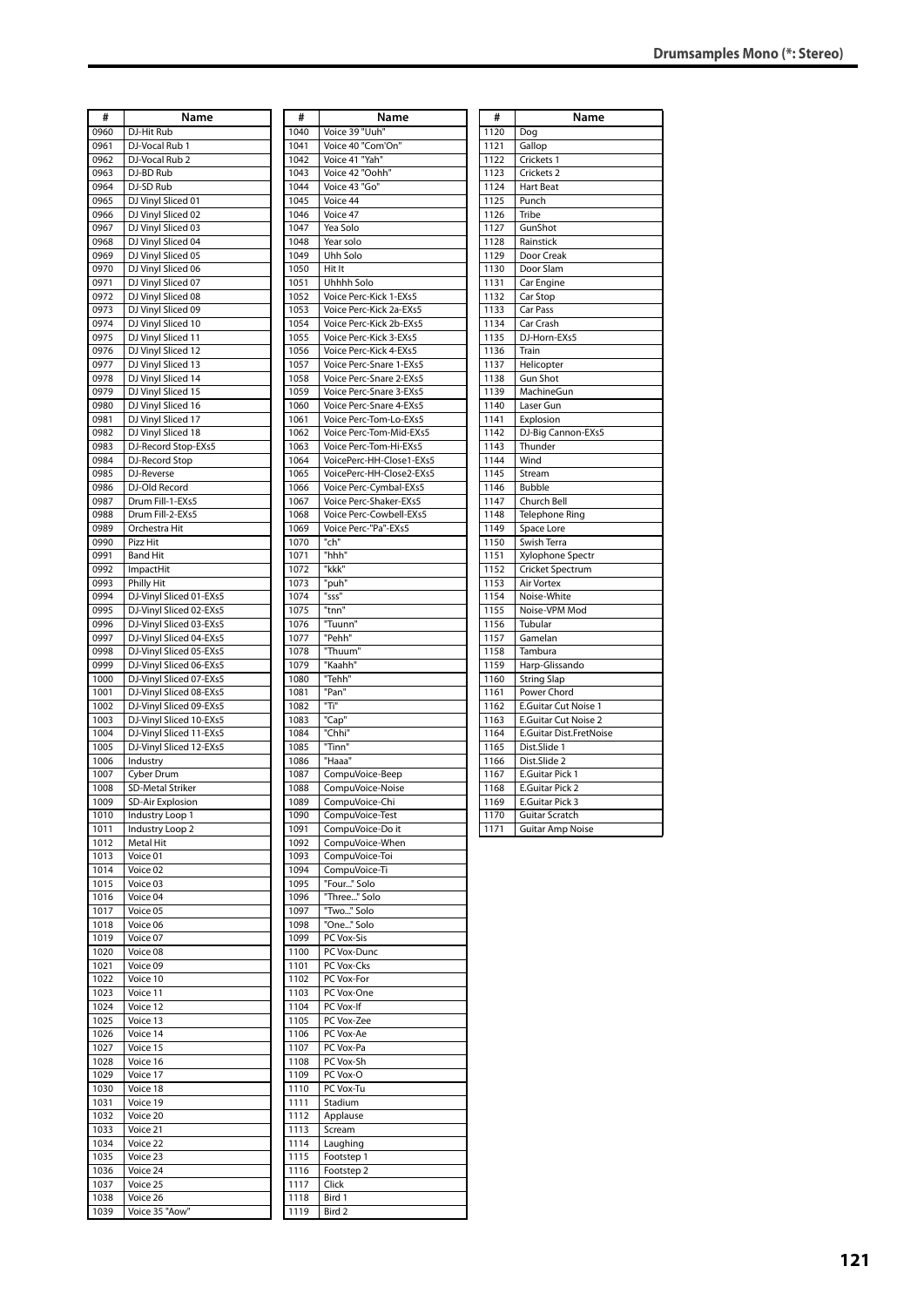| #            | Name                                |
|--------------|-------------------------------------|
| 0960         |                                     |
| 0961         | DJ-Hit Rub<br>DJ-Vocal Rub 1        |
| 0962         | DJ-Vocal Rub 2                      |
| 0963         | DJ-BD Rub                           |
| 0964         | DJ-SD Rub                           |
| 0965         | DJ Vinyl Sliced 01                  |
| 0966         | DJ Vinyl Sliced 02                  |
| 0967         | DJ Vinyl Sliced 03                  |
| 0968         | DJ Vinyl Sliced 04                  |
| 0969         | DJ Vinyl Sliced 05                  |
| 0970         | DJ Vinyl Sliced 06                  |
| 0971         | DJ Vinyl Sliced 07                  |
| 0972         | DJ Vinyl Sliced 08                  |
| 0973         | DJ Vinyl Sliced 09                  |
| 0974         | DJ Vinyl Sliced 10                  |
| 0975         | DJ Vinyl Sliced 11                  |
| 0976         | DJ Vinyl Sliced 12                  |
| 0977         | DJ Vinyl Sliced 13                  |
| 0978         | DJ Vinyl Sliced 14                  |
| 0979         | DJ Vinyl Sliced 15                  |
| 0980         | DJ Vinyl Sliced 16                  |
| 0981         | DJ Vinyl Sliced 17                  |
| 0982         | DJ Vinyl Sliced 18                  |
| 0983<br>0984 | DJ-Record Stop-EXs5                 |
| 0985         | DJ-Record Stop<br>DJ-Reverse        |
| 0986         | DJ-Old Record                       |
| 0987         | Drum Fill-1-EXs5                    |
| 0988         | Drum Fill-2-EXs5                    |
| 0989         | Orchestra Hit                       |
| 0990         | Pizz Hit                            |
| 0991         | <b>Band Hit</b>                     |
| 0992         | ImpactHit                           |
| 0993         | <b>Philly Hit</b>                   |
| 0994         | DJ-Vinyl Sliced 01-EXs5             |
| 0995         | DJ-Vinyl Sliced 02-EXs5             |
| 0996         | DJ-Vinyl Sliced 03-EXs5             |
| 0997         | DJ-Vinyl Sliced 04-EXs5             |
| 0998         | DJ-Vinyl Sliced 05-EXs5             |
| 0999         | DJ-Vinyl Sliced 06-EXs5             |
| 1000         | DJ-Vinyl Sliced 07-EXs5             |
| 1001         | DJ-Vinyl Sliced 08-EXs5             |
| 1002         | DJ-Vinyl Sliced 09-EXs5             |
| 1003         | DJ-Vinyl Sliced 10-EXs5             |
| 1004         | DJ-Vinyl Sliced 11-EXs5             |
| 1005<br>1006 | DJ-Vinyl Sliced 12-EXs5<br>Industry |
| 1007         | Cyber Drum                          |
| 1008         | <b>SD-Metal Striker</b>             |
| 1009         | SD-Air Explosion                    |
| 1010         | Industry Loop 1                     |
| 1011         | Industry Loop 2                     |
| 1012         | Metal Hit                           |
| 1013         | Voice 01                            |
| 1014         | Voice 02                            |
| 1015         | Voice 03                            |
| 1016         | Voice 04                            |
| 1017         | Voice 05                            |
| 1018         | Voice 06                            |
| 1019         | Voice 07                            |
| 1020         | Voice 08                            |
| 1021         | Voice 09                            |
| 1022         | Voice 10                            |
| 1023         | Voice 11                            |
| 1024<br>1025 | Voice 12<br>Voice 13                |
| 1026         | Voice 14                            |
| 1027         | Voice 15                            |
| 1028         | Voice 16                            |
| 1029         | Voice 17                            |
| 1030         | Voice 18                            |
| 1031         | Voice 19                            |
| 1032         | Voice 20                            |
| 1033         | Voice 21                            |
| 1034         | Voice 22                            |
| 1035         | Voice 23                            |
| 1036         | Voice 24                            |
| 1037         | Voice 25                            |
| 1038         | Voice 26                            |
| 1039         | Voice 35 "Aow"                      |

| #            | Name                                             |
|--------------|--------------------------------------------------|
| 1040         | Voice 39 "Uuh"                                   |
| 1041         | Voice 40 "Com'On"                                |
| 1042         | Voice 41 "Yah"                                   |
| 1043         | Voice 42 "Oohh"                                  |
| 1044         | Voice 43 "Go"                                    |
| 1045         | Voice 44                                         |
| 1046<br>1047 | Voice 47<br>Yea Solo                             |
| 1048         | Year solo                                        |
| 1049         | Uhh Solo                                         |
| 1050         | Hit It                                           |
| 1051         | Uhhhh Solo                                       |
| 1052         | Voice Perc-Kick 1-EXs5                           |
| 1053         | Voice Perc-Kick 2a-EXs5                          |
| 1054         | Voice Perc-Kick 2b-EXs5                          |
| 1055         | Voice Perc-Kick 3-EXs5                           |
| 1056         | Voice Perc-Kick 4-EXs5                           |
| 1057         | Voice Perc-Snare 1-EXs5                          |
| 1058         | Voice Perc-Snare 2-EXs5                          |
| 1059         | Voice Perc-Snare 3-EXs5                          |
| 1060         | Voice Perc-Snare 4-EXs5                          |
| 1061         | Voice Perc-Tom-Lo-EXs5                           |
| 1062         | Voice Perc-Tom-Mid-EXs5                          |
| 1063         | Voice Perc-Tom-Hi-EXs5                           |
| 1064         | VoicePerc-HH-Close1-EXs5                         |
| 1065<br>1066 | VoicePerc-HH-Close2-EXs5                         |
| 1067         | Voice Perc-Cymbal-EXs5<br>Voice Perc-Shaker-EXs5 |
| 1068         | Voice Perc-Cowbell-EXs5                          |
| 1069         | Voice Perc-"Pa"-EXs5                             |
| 1070         | "ch"                                             |
| 1071         | "hhh"                                            |
| 1072         | "kkk"                                            |
| 1073         | "puh"                                            |
| 1074         | "sss"                                            |
| 1075         | "tnn"                                            |
| 1076         | "Tuunn"                                          |
| 1077         | "Pehh"                                           |
| 1078         | "Thuum"                                          |
| 1079         | "Kaahh"                                          |
| 1080         | "Tehh"                                           |
| 1081         | "Pan"                                            |
| 1082         | "Ti"                                             |
| 1083         | "Cap"                                            |
| 1084         | "Chhi"                                           |
| 1085<br>1086 | "Tinn"<br>"Haaa"                                 |
| 1087         | CompuVoice-Beep                                  |
| 1088         | CompuVoice-Noise                                 |
| 1089         | CompuVoice-Chi                                   |
| 1090         | CompuVoice-Test                                  |
| 1091         | CompuVoice-Do it                                 |
| 1092         | CompuVoice-When                                  |
| 1093         | CompuVoice-Toi                                   |
| 1094         | CompuVoice-Ti                                    |
| 1095         | "Four" Solo                                      |
| 1096         | "Three" Solo                                     |
| 1097         | "Two" Solo                                       |
| 1098         | "One" Solo                                       |
| 1099         | PC Vox-Sis                                       |
| 1100         | PC Vox-Dunc                                      |
| 1101         | PC Vox-Cks                                       |
| 1102         | PC Vox-For                                       |
| 1103<br>1104 | PC Vox-One                                       |
| 1105         | PC Vox-If<br>PC Vox-Zee                          |
| 1106         | PC Vox-Ae                                        |
| 1107         | PC Vox-Pa                                        |
| 1108         | PC Vox-Sh                                        |
| 1109         | PC Vox-O                                         |
| 1110         | PC Vox-Tu                                        |
| 1111         | Stadium                                          |
| 1112         | Applause                                         |
| 1113         | Scream                                           |
| 1114         | Laughing                                         |
| 1115         | Footstep 1                                       |
| 1116         | Footstep 2                                       |
| 1117         | Click                                            |
| 1118         | Bird 1                                           |
| 1119         | Bird 2                                           |
|              |                                                  |

| #    | Name                        |
|------|-----------------------------|
| 1120 | Dog                         |
| 1121 | Gallop                      |
| 1122 | Crickets 1                  |
| 1123 | Crickets <sub>2</sub>       |
| 1124 | <b>Hart Beat</b>            |
| 1125 | Punch                       |
| 1126 | Tribe                       |
| 1127 | GunShot                     |
| 1128 | Rainstick                   |
| 1129 | Door Creak                  |
| 1130 | Door Slam                   |
| 1131 | Car Engine                  |
| 1132 | Car Stop                    |
| 1133 | Car Pass                    |
| 1134 | Car Crash                   |
| 1135 | DJ-Horn-EXs5                |
| 1136 | Train                       |
| 1137 | Helicopter                  |
| 1138 | <b>Gun Shot</b>             |
| 1139 | MachineGun                  |
| 1140 | Laser Gun                   |
| 1141 | Explosion                   |
| 1142 | DJ-Big Cannon-EXs5          |
| 1143 | Thunder                     |
| 1144 | Wind                        |
| 1145 | Stream                      |
| 1146 | <b>Bubble</b>               |
| 1147 | Church Bell                 |
| 1148 | <b>Telephone Ring</b>       |
| 1149 | Space Lore                  |
| 1150 | Swish Terra                 |
| 1151 | Xylophone Spectr            |
| 1152 | Cricket Spectrum            |
| 1153 | Air Vortex                  |
| 1154 | Noise-White                 |
| 1155 | Noise-VPM Mod               |
| 1156 | Tubular                     |
| 1157 | Gamelan                     |
| 1158 | Tambura                     |
| 1159 | Harp-Glissando              |
| 1160 | String Slap                 |
| 1161 | Power Chord                 |
| 1162 | <b>E.Guitar Cut Noise 1</b> |
| 1163 | E.Guitar Cut Noise 2        |
| 1164 | E.Guitar Dist.FretNoise     |
| 1165 | Dist.Slide 1                |
| 1166 | Dist.Slide 2                |
| 1167 | E.Guitar Pick 1             |
| 1168 | <b>E.Guitar Pick 2</b>      |
| 1169 | E.Guitar Pick 3             |
| 1170 | Guitar Scratch              |
| 1171 | <b>Guitar Amp Noise</b>     |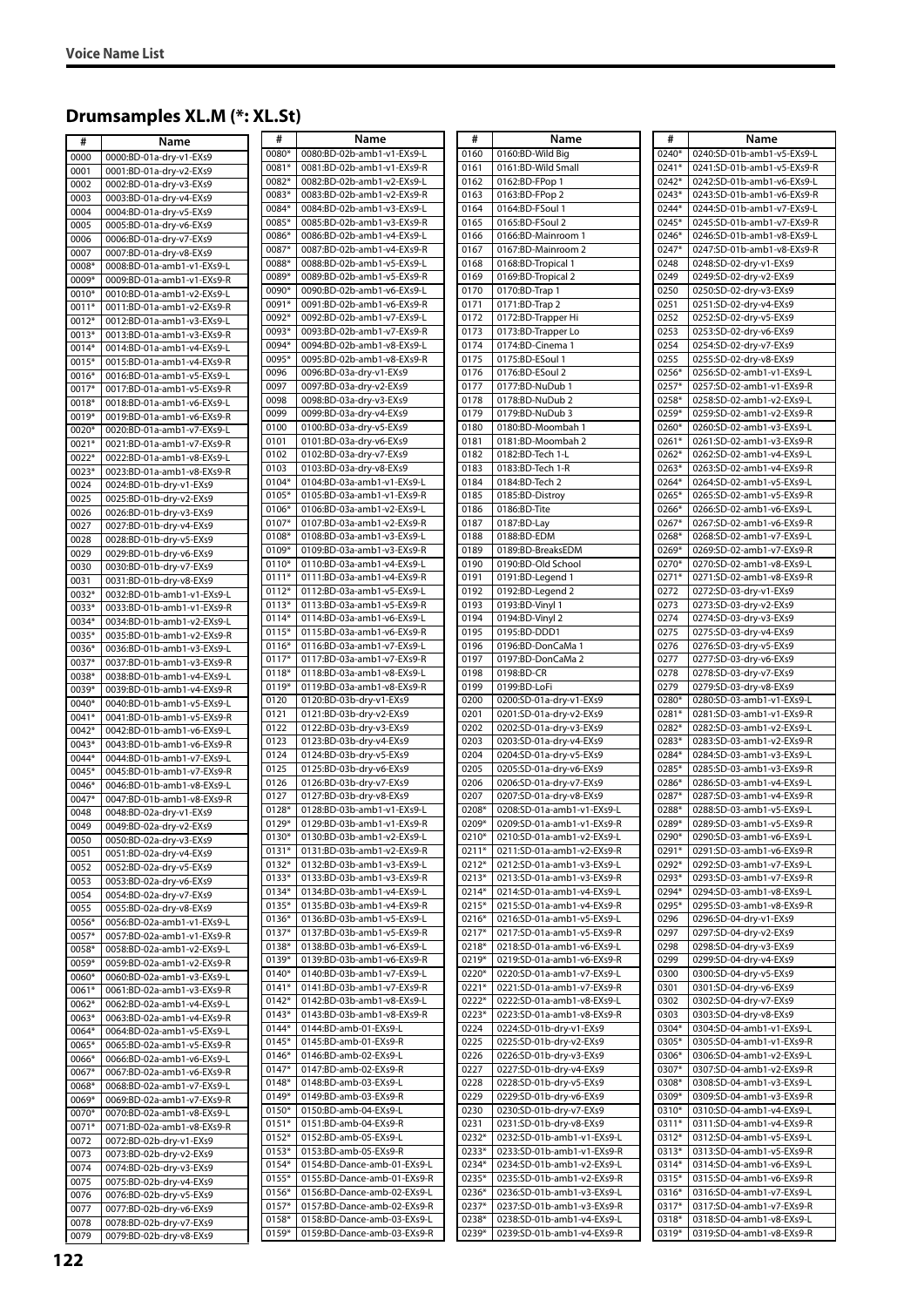## **Drumsamples XL.M (\*: XL.St)**

| #            | Name                       | #              | Name                        | #       | Name                       | #     | Name                       |
|--------------|----------------------------|----------------|-----------------------------|---------|----------------------------|-------|----------------------------|
| 0000         | 0000:BD-01a-dry-v1-EXs9    | 0080*          | 0080:BD-02b-amb1-v1-EXs9-L  | 0160    | 0160:BD-Wild Big           | 0240* | 0240:SD-01b-amb1-v5-EXs9-L |
| 0001         | 0001:BD-01a-dry-v2-EXs9    | 0081*          | 0081:BD-02b-amb1-v1-EXs9-R  | 0161    | 0161:BD-Wild Small         | 0241* | 0241:SD-01b-amb1-v5-EXs9-R |
| 0002         | 0002:BD-01a-dry-v3-EXs9    | 0082*          | 0082:BD-02b-amb1-v2-EXs9-L  | 0162    | 0162:BD-FPop 1             | 0242* | 0242:SD-01b-amb1-v6-EXs9-L |
| 0003         | 0003:BD-01a-dry-v4-EXs9    | 0083*          | 0083:BD-02b-amb1-v2-EXs9-R  | 0163    | 0163:BD-FPop 2             | 0243* | 0243:SD-01b-amb1-v6-EXs9-R |
| 0004         | 0004:BD-01a-dry-v5-EXs9    | 0084*          | 0084:BD-02b-amb1-v3-EXs9-L  | 0164    | 0164:BD-FSoul 1            | 0244* | 0244:SD-01b-amb1-v7-EXs9-L |
| 0005         | 0005:BD-01a-dry-v6-EXs9    | 0085*          | 0085:BD-02b-amb1-v3-EXs9-R  | 0165    | 0165:BD-FSoul 2            | 0245* | 0245:SD-01b-amb1-v7-EXs9-R |
|              | 0006:BD-01a-drv-v7-EXs9    | 0086*          | 0086:BD-02b-amb1-v4-EXs9-L  | 0166    | 0166:BD-Mainroom 1         | 0246* | 0246:SD-01b-amb1-v8-EXs9-L |
| 0006         |                            | 0087*          | 0087:BD-02b-amb1-v4-EXs9-R  | 0167    | 0167:BD-Mainroom 2         | 0247* | 0247:SD-01b-amb1-v8-EXs9-R |
| 0007         | 0007:BD-01a-dry-v8-EXs9    | 0088*          | 0088:BD-02b-amb1-v5-EXs9-L  | 0168    | 0168:BD-Tropical 1         | 0248  | 0248:SD-02-dry-v1-EXs9     |
| 0008*        | 0008:BD-01a-amb1-v1-EXs9-L | 0089*          | 0089:BD-02b-amb1-v5-EXs9-R  | 0169    | 0169:BD-Tropical 2         | 0249  | 0249:SD-02-dry-v2-EXs9     |
| 0009*        | 0009:BD-01a-amb1-v1-EXs9-R | 0090*          | 0090:BD-02b-amb1-v6-EXs9-L  | 0170    | 0170:BD-Trap 1             | 0250  | 0250:SD-02-drv-v3-EXs9     |
| 0010*        | 0010:BD-01a-amb1-v2-EXs9-L |                |                             | 0171    |                            | 0251  |                            |
| 0011*        | 0011:BD-01a-amb1-v2-EXs9-R | 0091*          | 0091:BD-02b-amb1-v6-EXs9-R  |         | 0171:BD-Trap 2             |       | 0251:SD-02-dry-v4-EXs9     |
| 0012*        | 0012:BD-01a-amb1-v3-EXs9-L | 0092*          | 0092:BD-02b-amb1-v7-EXs9-L  | 0172    | 0172:BD-Trapper Hi         | 0252  | 0252:SD-02-dry-v5-EXs9     |
| 0013*        | 0013:BD-01a-amb1-v3-EXs9-R | 0093*          | 0093:BD-02b-amb1-v7-EXs9-R  | 0173    | 0173:BD-Trapper Lo         | 0253  | 0253:SD-02-dry-v6-EXs9     |
| 0014*        | 0014:BD-01a-amb1-v4-EXs9-L | 0094*          | 0094:BD-02b-amb1-v8-EXs9-L  | 0174    | 0174:BD-Cinema 1           | 0254  | 0254:SD-02-dry-v7-EXs9     |
| 0015*        | 0015:BD-01a-amb1-v4-EXs9-R | 0095*          | 0095:BD-02b-amb1-v8-EXs9-R  | 0175    | 0175:BD-ESoul 1            | 0255  | 0255:SD-02-dry-v8-EXs9     |
| 0016*        | 0016:BD-01a-amb1-v5-EXs9-L | 0096           | 0096:BD-03a-dry-v1-EXs9     | 0176    | 0176:BD-ESoul 2            | 0256* | 0256:SD-02-amb1-v1-EXs9-L  |
| 0017*        | 0017:BD-01a-amb1-v5-EXs9-R | 0097           | 0097:BD-03a-dry-v2-EXs9     | 0177    | 0177:BD-NuDub 1            | 0257* | 0257:SD-02-amb1-v1-EXs9-R  |
| 0018*        | 0018:BD-01a-amb1-v6-EXs9-L | 0098           | 0098:BD-03a-dry-v3-EXs9     | 0178    | 0178:BD-NuDub 2            | 0258* | 0258:SD-02-amb1-v2-EXs9-L  |
| 0019*        | 0019:BD-01a-amb1-v6-EXs9-R | 0099           | 0099:BD-03a-dry-v4-EXs9     | 0179    | 0179:BD-NuDub 3            | 0259* | 0259:SD-02-amb1-v2-EXs9-R  |
| 0020*        | 0020:BD-01a-amb1-v7-EXs9-L | 0100           | 0100:BD-03a-dry-v5-EXs9     | 0180    | 0180:BD-Moombah 1          | 0260* | 0260:SD-02-amb1-v3-EXs9-L  |
| 0021*        | 0021:BD-01a-amb1-v7-EXs9-R | 0101           | 0101:BD-03a-dry-v6-EXs9     | 0181    | 0181:BD-Moombah 2          | 0261* | 0261:SD-02-amb1-v3-EXs9-R  |
| 0022*        | 0022:BD-01a-amb1-v8-EXs9-L | 0102           | 0102:BD-03a-dry-v7-EXs9     | 0182    | 0182:BD-Tech 1-L           | 0262* | 0262:SD-02-amb1-v4-EXs9-L  |
| 0023*        | 0023:BD-01a-amb1-v8-EXs9-R | 0103           | 0103:BD-03a-dry-v8-EXs9     | 0183    | 0183:BD-Tech 1-R           | 0263* | 0263:SD-02-amb1-v4-EXs9-R  |
| 0024         | 0024:BD-01b-dry-v1-EXs9    | 0104*          | 0104:BD-03a-amb1-v1-EXs9-L  | 0184    | 0184:BD-Tech 2             | 0264* | 0264:SD-02-amb1-v5-EXs9-L  |
| 0025         | 0025:BD-01b-dry-v2-EXs9    | 0105*          | 0105:BD-03a-amb1-v1-EXs9-R  | 0185    | 0185:BD-Distroy            | 0265* | 0265:SD-02-amb1-v5-EXs9-R  |
|              |                            | 0106*          | 0106:BD-03a-amb1-v2-EXs9-L  | 0186    | 0186:BD-Tite               | 0266* | 0266:SD-02-amb1-v6-EXs9-L  |
| 0026         | 0026:BD-01b-dry-v3-EXs9    | 0107*          | 0107:BD-03a-amb1-v2-EXs9-R  | 0187    | 0187:BD-Lay                | 0267* | 0267:SD-02-amb1-v6-EXs9-R  |
| 0027         | 0027:BD-01b-dry-v4-EXs9    | 0108*          | 0108:BD-03a-amb1-v3-EXs9-L  | 0188    | 0188:BD-EDM                | 0268* | 0268:SD-02-amb1-v7-EXs9-L  |
| 0028         | 0028:BD-01b-dry-v5-EXs9    | 0109*          | 0109:BD-03a-amb1-v3-EXs9-R  | 0189    | 0189:BD-BreaksEDM          | 0269* | 0269:SD-02-amb1-v7-EXs9-R  |
| 0029         | 0029:BD-01b-dry-v6-EXs9    | 0110*          | 0110:BD-03a-amb1-v4-EXs9-L  | 0190    | 0190:BD-Old School         | 0270* | 0270:SD-02-amb1-v8-EXs9-L  |
| 0030         | 0030:BD-01b-dry-v7-EXs9    |                |                             |         |                            |       |                            |
| 0031         | 0031:BD-01b-dry-v8-EXs9    | $0111*$        | 0111:BD-03a-amb1-v4-EXs9-R  | 0191    | 0191:BD-Legend 1           | 0271* | 0271:SD-02-amb1-v8-EXs9-R  |
| 0032*        | 0032:BD-01b-amb1-v1-EXs9-L | $0112*$        | 0112:BD-03a-amb1-v5-EXs9-L  | 0192    | 0192:BD-Legend 2           | 0272  | 0272:SD-03-dry-v1-EXs9     |
| 0033*        | 0033:BD-01b-amb1-v1-EXs9-R | $0113*$        | 0113:BD-03a-amb1-v5-EXs9-R  | 0193    | 0193:BD-Vinyl 1            | 0273  | 0273:SD-03-dry-v2-EXs9     |
| 0034*        | 0034:BD-01b-amb1-v2-EXs9-L | 0114*          | 0114:BD-03a-amb1-v6-EXs9-L  | 0194    | 0194:BD-Vinyl 2            | 0274  | 0274:SD-03-dry-v3-EXs9     |
| 0035*        | 0035:BD-01b-amb1-v2-EXs9-R | 0115*          | 0115:BD-03a-amb1-v6-EXs9-R  | 0195    | 0195:BD-DDD1               | 0275  | 0275:SD-03-dry-v4-EXs9     |
| 0036*        | 0036:BD-01b-amb1-v3-EXs9-L | 0116*          | 0116:BD-03a-amb1-v7-EXs9-L  | 0196    | 0196:BD-DonCaMa 1          | 0276  | 0276:SD-03-dry-v5-EXs9     |
| 0037*        | 0037:BD-01b-amb1-v3-EXs9-R | $0117*$        | 0117:BD-03a-amb1-v7-EXs9-R  | 0197    | 0197:BD-DonCaMa 2          | 0277  | 0277:SD-03-dry-v6-EXs9     |
| 0038*        | 0038:BD-01b-amb1-v4-EXs9-L | 0118*          | 0118:BD-03a-amb1-v8-EXs9-L  | 0198    | 0198:BD-CR                 | 0278  | 0278:SD-03-dry-v7-EXs9     |
| 0039*        | 0039:BD-01b-amb1-v4-EXs9-R | 0119*          | 0119:BD-03a-amb1-v8-EXs9-R  | 0199    | 0199:BD-LoFi               | 0279  | 0279:SD-03-dry-v8-EXs9     |
| 0040*        | 0040:BD-01b-amb1-v5-EXs9-L | 0120           | 0120:BD-03b-dry-v1-EXs9     | 0200    | 0200:SD-01a-dry-v1-EXs9    | 0280* | 0280:SD-03-amb1-v1-EXs9-L  |
| 0041*        | 0041:BD-01b-amb1-v5-EXs9-R | 0121           | 0121:BD-03b-dry-v2-EXs9     | 0201    | 0201:SD-01a-dry-v2-EXs9    | 0281* | 0281:SD-03-amb1-v1-EXs9-R  |
| 0042*        | 0042:BD-01b-amb1-v6-EXs9-L | 0122           | 0122:BD-03b-dry-v3-EXs9     | 0202    | 0202:SD-01a-dry-v3-EXs9    | 0282* | 0282:SD-03-amb1-v2-EXs9-L  |
| 0043*        | 0043:BD-01b-amb1-v6-EXs9-R | 0123           | 0123:BD-03b-dry-v4-EXs9     | 0203    | 0203:SD-01a-dry-v4-EXs9    | 0283* | 0283:SD-03-amb1-v2-EXs9-R  |
| 0044*        | 0044:BD-01b-amb1-v7-EXs9-L | 0124           | 0124:BD-03b-dry-v5-EXs9     | 0204    | 0204:SD-01a-dry-v5-EXs9    | 0284* | 0284:SD-03-amb1-v3-EXs9-L  |
| 0045*        | 0045:BD-01b-amb1-v7-EXs9-R | 0125           | 0125:BD-03b-dry-v6-EXs9     | 0205    | 0205:SD-01a-dry-v6-EXs9    | 0285* | 0285:SD-03-amb1-v3-EXs9-R  |
| 0046*        | 0046:BD-01b-amb1-v8-EXs9-L | 0126           | 0126:BD-03b-dry-v7-EXs9     | 0206    | 0206:SD-01a-dry-v7-EXs9    | 0286* | 0286:SD-03-amb1-v4-EXs9-L  |
| $0047*$      | 0047:BD-01b-amb1-v8-EXs9-R | 0127           | 0127:BD-03b-dry-v8-EXs9     | 0207    | 0207:SD-01a-dry-v8-EXs9    | 0287* | 0287:SD-03-amb1-v4-EXs9-R  |
|              |                            | 0128*          | 0128:BD-03b-amb1-v1-EXs9-L  | 0208*   | 0208:SD-01a-amb1-v1-EXs9-L | 0288* | 0288:SD-03-amb1-v5-EXs9-L  |
| 0048<br>0049 | 0048:BD-02a-dry-v1-EXs9    | 0129*          | 0129:BD-03b-amb1-v1-EXs9-R  | 0209*   | 0209:SD-01a-amb1-v1-EXs9-R | 0289* | 0289:SD-03-amb1-v5-EXs9-R  |
|              | 0049:BD-02a-dry-v2-EXs9    | 0130*          | 0130:BD-03b-amb1-v2-EXs9-L  | 0210*   | 0210:SD-01a-amb1-v2-EXs9-L | 0290* | 0290:SD-03-amb1-v6-EXs9-L  |
| 0050         | 0050:BD-02a-dry-v3-EXs9    | $0131*$        | 0131:BD-03b-amb1-v2-EXs9-R  | 0211*   | 0211:SD-01a-amb1-v2-EXs9-R | 0291* | 0291:SD-03-amb1-v6-EXs9-R  |
| 0051         | 0051:BD-02a-dry-v4-EXs9    | $0132*$        | 0132:BD-03b-amb1-v3-EXs9-L  | 0212*   | 0212:SD-01a-amb1-v3-EXs9-L | 0292* | 0292:SD-03-amb1-v7-EXs9-L  |
| 0052         | 0052:BD-02a-dry-v5-EXs9    |                | 0133:BD-03b-amb1-v3-EXs9-R  | $0213*$ | 0213:SD-01a-amb1-v3-EXs9-R | 0293* | 0293:SD-03-amb1-v7-EXs9-R  |
| 0053         | 0053:BD-02a-dry-v6-EXs9    | 0133*<br>0134* | 0134:BD-03b-amb1-v4-EXs9-L  | 0214*   | 0214:SD-01a-amb1-v4-EXs9-L | 0294* | 0294:SD-03-amb1-v8-EXs9-L  |
| 0054         | 0054:BD-02a-dry-v7-EXs9    |                |                             |         |                            | 0295* |                            |
| 0055         | 0055:BD-02a-dry-v8-EXs9    | 0135*          | 0135:BD-03b-amb1-v4-EXs9-R  | 0215*   | 0215:SD-01a-amb1-v4-EXs9-R |       | 0295:SD-03-amb1-v8-EXs9-R  |
| 0056*        | 0056:BD-02a-amb1-v1-EXs9-L | 0136*          | 0136:BD-03b-amb1-v5-EXs9-L  | 0216*   | 0216:SD-01a-amb1-v5-EXs9-L | 0296  | 0296:SD-04-dry-v1-EXs9     |
| 0057*        | 0057:BD-02a-amb1-v1-EXs9-R | 0137*          | 0137:BD-03b-amb1-v5-EXs9-R  | 0217*   | 0217:SD-01a-amb1-v5-EXs9-R | 0297  | 0297:SD-04-dry-v2-EXs9     |
| 0058*        | 0058:BD-02a-amb1-v2-EXs9-L | 0138*          | 0138:BD-03b-amb1-v6-EXs9-L  | 0218*   | 0218:SD-01a-amb1-v6-EXs9-L | 0298  | 0298:SD-04-dry-v3-EXs9     |
| 0059*        | 0059:BD-02a-amb1-v2-EXs9-R | 0139*          | 0139:BD-03b-amb1-v6-EXs9-R  | 0219*   | 0219:SD-01a-amb1-v6-EXs9-R | 0299  | 0299:SD-04-dry-v4-EXs9     |
| 0060*        | 0060:BD-02a-amb1-v3-EXs9-L | 0140*          | 0140:BD-03b-amb1-v7-EXs9-L  | 0220*   | 0220:SD-01a-amb1-v7-EXs9-L | 0300  | 0300:SD-04-dry-v5-EXs9     |
| 0061*        | 0061:BD-02a-amb1-v3-EXs9-R | $0141*$        | 0141:BD-03b-amb1-v7-EXs9-R  | 0221*   | 0221:SD-01a-amb1-v7-EXs9-R | 0301  | 0301:SD-04-dry-v6-EXs9     |
| 0062*        | 0062:BD-02a-amb1-v4-EXs9-L | 0142*          | 0142:BD-03b-amb1-v8-EXs9-L  | 0222*   | 0222:SD-01a-amb1-v8-EXs9-L | 0302  | 0302:SD-04-dry-v7-EXs9     |
| 0063*        | 0063:BD-02a-amb1-v4-EXs9-R | $0143*$        | 0143:BD-03b-amb1-v8-EXs9-R  | 0223*   | 0223:SD-01a-amb1-v8-EXs9-R | 0303  | 0303:SD-04-dry-v8-EXs9     |
| 0064*        | 0064:BD-02a-amb1-v5-EXs9-L | $0144*$        | 0144:BD-amb-01-EXs9-L       | 0224    | 0224:SD-01b-dry-v1-EXs9    | 0304* | 0304:SD-04-amb1-v1-EXs9-L  |
| 0065*        | 0065:BD-02a-amb1-v5-EXs9-R | $0145*$        | 0145:BD-amb-01-EXs9-R       | 0225    | 0225:SD-01b-dry-v2-EXs9    | 0305* | 0305:SD-04-amb1-v1-EXs9-R  |
| 0066*        | 0066:BD-02a-amb1-v6-EXs9-L | 0146*          | 0146:BD-amb-02-EXs9-L       | 0226    | 0226:SD-01b-dry-v3-EXs9    | 0306* | 0306:SD-04-amb1-v2-EXs9-L  |
| 0067*        | 0067:BD-02a-amb1-v6-EXs9-R | 0147*          | 0147:BD-amb-02-EXs9-R       | 0227    | 0227:SD-01b-dry-v4-EXs9    | 0307* | 0307:SD-04-amb1-v2-EXs9-R  |
| 0068*        | 0068:BD-02a-amb1-v7-EXs9-L | 0148*          | 0148:BD-amb-03-EXs9-L       | 0228    | 0228:SD-01b-dry-v5-EXs9    | 0308* | 0308:SD-04-amb1-v3-EXs9-L  |
| 0069*        | 0069:BD-02a-amb1-v7-EXs9-R | 0149*          | 0149:BD-amb-03-EXs9-R       | 0229    | 0229:SD-01b-dry-v6-EXs9    | 0309* | 0309:SD-04-amb1-v3-EXs9-R  |
| 0070*        | 0070:BD-02a-amb1-v8-EXs9-L | 0150*          | 0150:BD-amb-04-EXs9-L       | 0230    | 0230:SD-01b-dry-v7-EXs9    | 0310* | 0310:SD-04-amb1-v4-EXs9-L  |
|              |                            | $0151*$        | 0151:BD-amb-04-EXs9-R       | 0231    | 0231:SD-01b-dry-v8-EXs9    | 0311* | 0311:SD-04-amb1-v4-EXs9-R  |
| 0071*        | 0071:BD-02a-amb1-v8-EXs9-R | 0152*          | 0152:BD-amb-05-EXs9-L       | 0232*   | 0232:SD-01b-amb1-v1-EXs9-L | 0312* | 0312:SD-04-amb1-v5-EXs9-L  |
| 0072         | 0072:BD-02b-dry-v1-EXs9    | 0153*          | 0153:BD-amb-05-EXs9-R       | 0233*   | 0233:SD-01b-amb1-v1-EXs9-R | 0313* | 0313:SD-04-amb1-v5-EXs9-R  |
| 0073         | 0073:BD-02b-dry-v2-EXs9    | 0154*          | 0154:BD-Dance-amb-01-EXs9-L | 0234*   | 0234:SD-01b-amb1-v2-EXs9-L | 0314* | 0314:SD-04-amb1-v6-EXs9-L  |
| 0074         | 0074:BD-02b-dry-v3-EXs9    |                |                             |         |                            |       |                            |
| 0075         | 0075:BD-02b-dry-v4-EXs9    | 0155*          | 0155:BD-Dance-amb-01-EXs9-R | 0235*   | 0235:SD-01b-amb1-v2-EXs9-R | 0315* | 0315:SD-04-amb1-v6-EXs9-R  |
| 0076         | 0076:BD-02b-dry-v5-EXs9    | 0156*          | 0156:BD-Dance-amb-02-EXs9-L | 0236*   | 0236:SD-01b-amb1-v3-EXs9-L | 0316* | 0316:SD-04-amb1-v7-EXs9-L  |
| 0077         | 0077:BD-02b-dry-v6-EXs9    | 0157*          | 0157:BD-Dance-amb-02-EXs9-R | 0237*   | 0237:SD-01b-amb1-v3-EXs9-R | 0317* | 0317:SD-04-amb1-v7-EXs9-R  |
| 0078         | 0078:BD-02b-dry-v7-EXs9    | 0158*          | 0158:BD-Dance-amb-03-EXs9-L | 0238*   | 0238:SD-01b-amb1-v4-EXs9-L | 0318* | 0318:SD-04-amb1-v8-EXs9-L  |
| 0079         | 0079:BD-02b-dry-v8-EXs9    | 0159*          | 0159:BD-Dance-amb-03-EXs9-R | 0239*   | 0239:SD-01b-amb1-v4-EXs9-R | 0319* | 0319:SD-04-amb1-v8-EXs9-R  |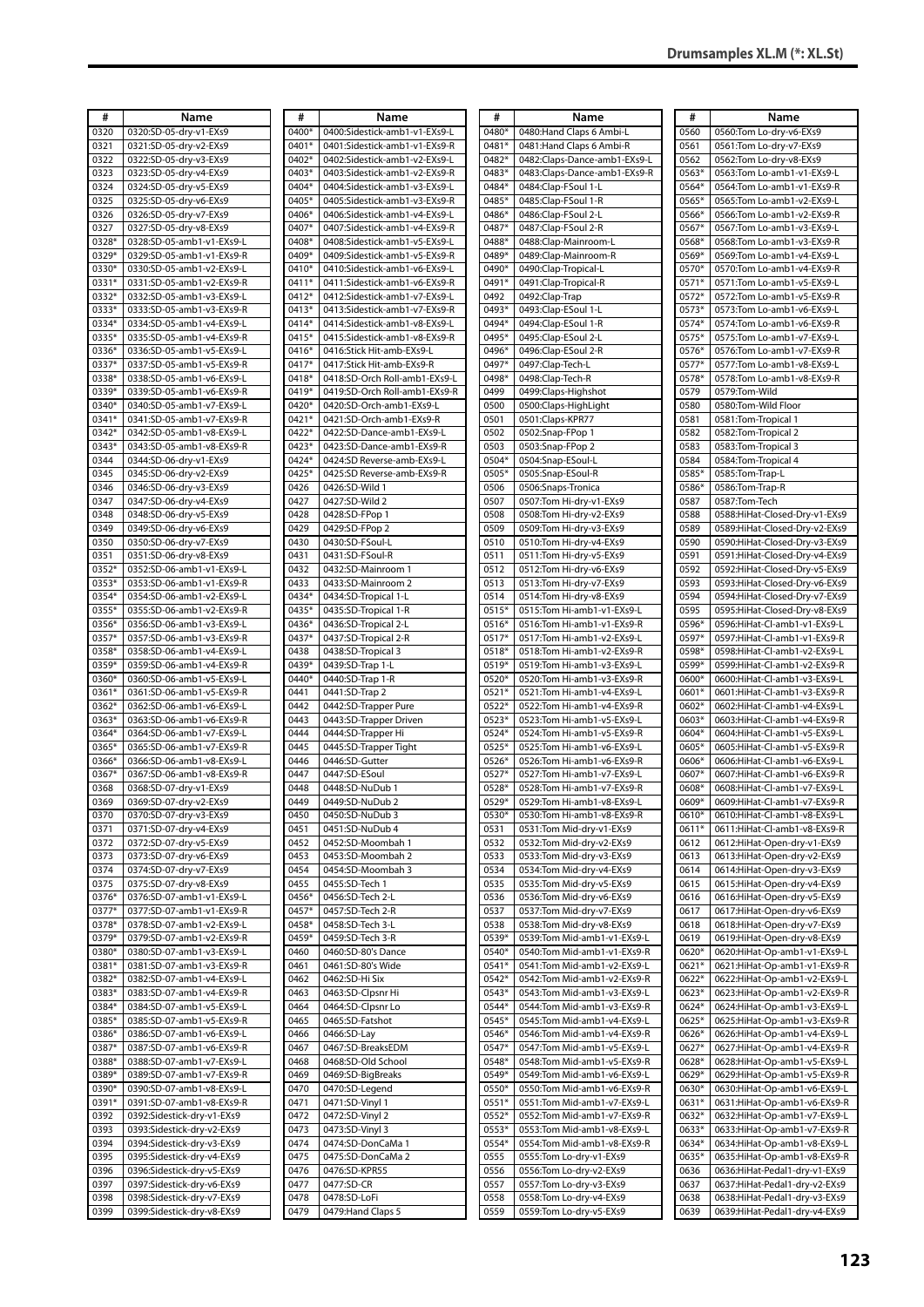| #     | Name                                                   | #            | Name                          | #     | Name                         | #     | Name                             |
|-------|--------------------------------------------------------|--------------|-------------------------------|-------|------------------------------|-------|----------------------------------|
| 0320  | 0320:SD-05-dry-v1-EXs9                                 | 0400*        | 0400:Sidestick-amb1-v1-EXs9-L | 0480* | 0480: Hand Claps 6 Ambi-L    | 0560  | 0560:Tom Lo-dry-v6-EXs9          |
| 0321  | 0321:SD-05-dry-v2-EXs9                                 | 0401*        | 0401:Sidestick-amb1-v1-EXs9-R | 0481* | 0481: Hand Claps 6 Ambi-R    | 0561  | 0561:Tom Lo-dry-v7-EXs9          |
|       |                                                        |              |                               |       |                              |       |                                  |
| 0322  | 0322:SD-05-dry-v3-EXs9                                 | 0402*        | 0402:Sidestick-amb1-v2-EXs9-L | 0482* | 0482:Claps-Dance-amb1-EXs9-L | 0562  | 0562:Tom Lo-dry-v8-EXs9          |
| 0323  | 0323:SD-05-dry-v4-EXs9                                 | 0403*        | 0403:Sidestick-amb1-v2-EXs9-R | 0483* | 0483:Claps-Dance-amb1-EXs9-R | 0563* | 0563:Tom Lo-amb1-v1-EXs9-L       |
| 0324  | 0324:SD-05-dry-v5-EXs9                                 | 0404*        | 0404:Sidestick-amb1-v3-EXs9-L | 0484* | 0484:Clap-FSoul 1-L          | 0564* | 0564:Tom Lo-amb1-v1-EXs9-R       |
| 0325  | 0325:SD-05-dry-v6-EXs9                                 | 0405*        | 0405:Sidestick-amb1-v3-EXs9-R | 0485* | 0485:Clap-FSoul 1-R          | 0565* | 0565:Tom Lo-amb1-v2-EXs9-L       |
| 0326  | 0326:SD-05-dry-v7-EXs9                                 | 0406*        | 0406:Sidestick-amb1-v4-EXs9-L | 0486* | 0486:Clap-FSoul 2-L          | 0566* | 0566:Tom Lo-amb1-v2-EXs9-R       |
| 0327  | 0327:SD-05-dry-v8-EXs9                                 | 0407*        | 0407:Sidestick-amb1-v4-EXs9-R | 0487* | 0487:Clap-FSoul 2-R          | 0567* | 0567:Tom Lo-amb1-v3-EXs9-L       |
| 0328* | 0328:SD-05-amb1-v1-EXs9-L                              | 0408*        | 0408:Sidestick-amb1-v5-EXs9-L | 0488* | 0488:Clap-Mainroom-L         | 0568* | 0568:Tom Lo-amb1-v3-EXs9-R       |
| 0329* | 0329:SD-05-amb1-v1-EXs9-R                              | 0409*        | 0409:Sidestick-amb1-v5-EXs9-R | 0489* | 0489:Clap-Mainroom-R         | 0569* | 0569:Tom Lo-amb1-v4-EXs9-L       |
| 0330* | 0330:SD-05-amb1-v2-EXs9-L                              | 0410*        | 0410:Sidestick-amb1-v6-EXs9-L | 0490* | 0490:Clap-Tropical-L         | 0570* | 0570:Tom Lo-amb1-v4-EXs9-R       |
| 0331* | 0331:SD-05-amb1-v2-EXs9-R                              | 0411*        | 0411:Sidestick-amb1-v6-EXs9-R | 0491* | 0491:Clap-Tropical-R         | 0571* | 0571:Tom Lo-amb1-v5-EXs9-L       |
| 0332* | 0332:SD-05-amb1-v3-EXs9-L                              | 0412*        | 0412:Sidestick-amb1-v7-EXs9-L | 0492  | 0492:Clap-Trap               | 0572* | 0572:Tom Lo-amb1-v5-EXs9-R       |
| 0333* | 0333:SD-05-amb1-v3-EXs9-R                              | 0413*        | 0413:Sidestick-amb1-v7-EXs9-R | 0493* | 0493:Clap-ESoul 1-L          | 0573* | 0573:Tom Lo-amb1-v6-EXs9-L       |
| 0334* | 0334:SD-05-amb1-v4-EXs9-L                              | 0414*        | 0414:Sidestick-amb1-v8-EXs9-L | 0494* | 0494:Clap-ESoul 1-R          | 0574* | 0574: Tom Lo-amb1-v6-EXs9-R      |
| 0335* | 0335:SD-05-amb1-v4-EXs9-R                              | 0415*        | 0415:Sidestick-amb1-v8-EXs9-R | 0495* | 0495:Clap-ESoul 2-L          | 0575* | 0575:Tom Lo-amb1-v7-EXs9-L       |
| 0336* | 0336:SD-05-amb1-v5-EXs9-L                              | 0416*        | 0416:Stick Hit-amb-EXs9-L     | 0496* | 0496:Clap-ESoul 2-R          | 0576* | 0576:Tom Lo-amb1-v7-EXs9-R       |
| 0337* | 0337:SD-05-amb1-v5-EXs9-R                              | 0417*        | 0417:Stick Hit-amb-EXs9-R     | 0497* | 0497:Clap-Tech-L             | 0577* | 0577:Tom Lo-amb1-v8-EXs9-L       |
| 0338* | 0338:SD-05-amb1-v6-EXs9-L                              | 0418*        | 0418:SD-Orch Roll-amb1-EXs9-L | 0498* | 0498:Clap-Tech-R             | 0578* | 0578:Tom Lo-amb1-v8-EXs9-R       |
| 0339* | 0339:SD-05-amb1-v6-EXs9-R                              | 0419*        | 0419:SD-Orch Roll-amb1-EXs9-R | 0499  | 0499:Claps-Highshot          | 0579  | 0579:Tom-Wild                    |
| 0340* | 0340:SD-05-amb1-v7-EXs9-L                              | 0420*        | 0420:SD-Orch-amb1-EXs9-L      | 0500  | 0500:Claps-HighLight         | 0580  | 0580:Tom-Wild Floor              |
| 0341* | 0341:SD-05-amb1-v7-EXs9-R                              | 0421*        | 0421:SD-Orch-amb1-EXs9-R      | 0501  | 0501:Claps-KPR77             | 0581  | 0581: Tom-Tropical 1             |
| 0342* | 0342:SD-05-amb1-v8-EXs9-L                              | 0422*        | 0422:SD-Dance-amb1-EXs9-L     | 0502  | 0502:Snap-FPop 1             | 0582  | 0582: Tom-Tropical 2             |
| 0343* | 0343:SD-05-amb1-v8-EXs9-R                              | 0423*        | 0423:SD-Dance-amb1-EXs9-R     | 0503  | 0503:Snap-FPop 2             | 0583  | 0583: Tom-Tropical 3             |
|       |                                                        |              |                               |       |                              |       |                                  |
| 0344  | 0344:SD-06-dry-v1-EXs9                                 | 0424*        | 0424:SD Reverse-amb-EXs9-L    | 0504* | 0504:Snap-ESoul-L            | 0584  | 0584: Tom-Tropical 4             |
| 0345  | 0345:SD-06-dry-v2-EXs9                                 | 0425*        | 0425:SD Reverse-amb-EXs9-R    | 0505* | 0505:Snap-ESoul-R            | 0585* | 0585:Tom-Trap-L                  |
| 0346  | 0346:SD-06-dry-v3-EXs9                                 | 0426         | 0426:SD-Wild 1                | 0506  | 0506:Snaps-Tronica           | 0586* | 0586:Tom-Trap-R                  |
| 0347  | 0347:SD-06-dry-v4-EXs9                                 | 0427         | 0427:SD-Wild 2                | 0507  | 0507:Tom Hi-dry-v1-EXs9      | 0587  | 0587:Tom-Tech                    |
| 0348  | 0348:SD-06-dry-v5-EXs9                                 | 0428         | 0428:SD-FPop 1                | 0508  | 0508:Tom Hi-dry-v2-EXs9      | 0588  | 0588:HiHat-Closed-Dry-v1-EXs9    |
| 0349  | 0349:SD-06-dry-v6-EXs9                                 | 0429         | 0429:SD-FPop 2                | 0509  | 0509:Tom Hi-dry-v3-EXs9      | 0589  | 0589:HiHat-Closed-Dry-v2-EXs9    |
| 0350  | 0350:SD-06-dry-v7-EXs9                                 | 0430         | 0430:SD-FSoul-L               | 0510  | 0510:Tom Hi-dry-v4-EXs9      | 0590  | 0590:HiHat-Closed-Dry-v3-EXs9    |
| 0351  | 0351:SD-06-dry-v8-EXs9                                 | 0431         | 0431:SD-FSoul-R               | 0511  | 0511: Tom Hi-dry-v5-EXs9     | 0591  | 0591:HiHat-Closed-Dry-v4-EXs9    |
| 0352* | 0352:SD-06-amb1-v1-EXs9-L                              | 0432         | 0432:SD-Mainroom 1            | 0512  | 0512:Tom Hi-dry-v6-EXs9      | 0592  | 0592:HiHat-Closed-Dry-v5-EXs9    |
| 0353* | 0353:SD-06-amb1-v1-EXs9-R                              | 0433         | 0433:SD-Mainroom 2            | 0513  | 0513:Tom Hi-dry-v7-EXs9      | 0593  | 0593:HiHat-Closed-Dry-v6-EXs9    |
| 0354* | 0354:SD-06-amb1-v2-EXs9-L                              | 0434*        | 0434:SD-Tropical 1-L          | 0514  | 0514: Tom Hi-dry-v8-EXs9     | 0594  | 0594:HiHat-Closed-Dry-v7-EXs9    |
| 0355* | 0355:SD-06-amb1-v2-EXs9-R                              | 0435*        | 0435:SD-Tropical 1-R          | 0515* | 0515:Tom Hi-amb1-v1-EXs9-L   | 0595  | 0595: Hi Hat-Closed-Dry-v8-EXs9  |
| 0356* | 0356:SD-06-amb1-v3-EXs9-L                              | 0436*        | 0436:SD-Tropical 2-L          | 0516* | 0516:Tom Hi-amb1-v1-EXs9-R   | 0596* | 0596:HiHat-Cl-amb1-v1-EXs9-L     |
| 0357* | 0357:SD-06-amb1-v3-EXs9-R                              | 0437*        | 0437:SD-Tropical 2-R          | 0517* | 0517:Tom Hi-amb1-v2-EXs9-L   | 0597* | 0597:HiHat-Cl-amb1-v1-EXs9-R     |
| 0358* | 0358:SD-06-amb1-v4-EXs9-L                              | 0438         | 0438:SD-Tropical 3            | 0518* | 0518:Tom Hi-amb1-v2-EXs9-R   | 0598* | 0598:HiHat-Cl-amb1-v2-EXs9-L     |
| 0359* | 0359:SD-06-amb1-v4-EXs9-R                              | 0439*        | 0439:SD-Trap 1-L              | 0519* | 0519:Tom Hi-amb1-v3-EXs9-L   | 0599* | 0599:HiHat-Cl-amb1-v2-EXs9-R     |
| 0360* | 0360:SD-06-amb1-v5-EXs9-L                              | 0440*        | 0440:SD-Trap 1-R              | 0520* | 0520:Tom Hi-amb1-v3-EXs9-R   | 0600* | 0600:HiHat-Cl-amb1-v3-EXs9-L     |
| 0361* | 0361:SD-06-amb1-v5-EXs9-R                              | 0441         | 0441:SD-Trap 2                | 0521* | 0521:Tom Hi-amb1-v4-EXs9-L   | 0601* | 0601:HiHat-Cl-amb1-v3-EXs9-R     |
| 0362* | 0362:SD-06-amb1-v6-EXs9-L                              | 0442         | 0442:SD-Trapper Pure          | 0522* | 0522:Tom Hi-amb1-v4-EXs9-R   | 0602* | 0602:HiHat-Cl-amb1-v4-EXs9-L     |
| 0363* | 0363:SD-06-amb1-v6-EXs9-R                              | 0443         | 0443:SD-Trapper Driven        | 0523* | 0523:Tom Hi-amb1-v5-EXs9-L   | 0603* | 0603:HiHat-Cl-amb1-v4-EXs9-R     |
| 0364* | 0364:SD-06-amb1-v7-EXs9-L                              | 0444         | 0444:SD-Trapper Hi            | 0524* | 0524:Tom Hi-amb1-v5-EXs9-R   | 0604* | 0604:HiHat-Cl-amb1-v5-EXs9-L     |
| 0365* | 0365:SD-06-amb1-v7-EXs9-R                              | 0445         | 0445:SD-Trapper Tight         | 0525* | 0525:Tom Hi-amb1-v6-EXs9-L   | 0605* | 0605:HiHat-Cl-amb1-v5-EXs9-R     |
| 0366* | 0366:SD-06-amb1-v8-EXs9-L                              | 0446         | 0446:SD-Gutter                | 0526* | 0526:Tom Hi-amb1-v6-EXs9-R   | 0606* | 0606:HiHat-Cl-amb1-v6-EXs9-L     |
| 0367* | 0367:SD-06-amb1-v8-EXs9-R                              | 0447         | 0447:SD-ESoul                 | 0527* | 0527:Tom Hi-amb1-v7-EXs9-L   | 0607* | 0607:HiHat-Cl-amb1-v6-EXs9-R     |
| 0368  | 0368:SD-07-dry-v1-EXs9                                 | 0448         | 0448:SD-NuDub 1               | 0528* | 0528:Tom Hi-amb1-v7-EXs9-R   | 0608* | 0608:HiHat-Cl-amb1-v7-EXs9-L     |
| 0369  | 0369:SD-07-drv-v2-EXs9                                 | 0449         | 0449:SD-NuDub 2               | 0529* | 0529:Tom Hi-amb1-v8-EXs9-L   | 0609* | 0609:HiHat-Cl-amb1-v7-EXs9-R     |
| 0370  | 0370:SD-07-dry-v3-EXs9                                 | 0450         | 0450:SD-NuDub 3               | 0530* | 0530:Tom Hi-amb1-v8-EXs9-R   | 0610* | 0610:HiHat-Cl-amb1-v8-EXs9-L     |
| 0371  | 0371:SD-07-dry-v4-EXs9                                 | 0451         | 0451:SD-NuDub 4               | 0531  | 0531:Tom Mid-dry-v1-EXs9     | 0611* | 0611:HiHat-Cl-amb1-v8-EXs9-R     |
| 0372  | 0372:SD-07-dry-v5-EXs9                                 | 0452         | 0452:SD-Moombah 1             | 0532  | 0532:Tom Mid-dry-v2-EXs9     | 0612  | 0612:HiHat-Open-dry-v1-EXs9      |
| 0373  | 0373:SD-07-dry-v6-EXs9                                 | 0453         | 0453:SD-Moombah 2             | 0533  | 0533:Tom Mid-dry-v3-EXs9     | 0613  | 0613:HiHat-Open-dry-v2-EXs9      |
| 0374  | 0374:SD-07-dry-v7-EXs9                                 | 0454         | 0454:SD-Moombah 3             | 0534  | 0534:Tom Mid-dry-v4-EXs9     | 0614  | 0614:HiHat-Open-dry-v3-EXs9      |
| 0375  | 0375:SD-07-dry-v8-EXs9                                 | 0455         | 0455:SD-Tech 1                | 0535  | 0535: Tom Mid-dry-v5-EXs9    | 0615  | 0615:HiHat-Open-dry-v4-EXs9      |
| 0376* | 0376:SD-07-amb1-v1-EXs9-L                              | 0456*        | 0456:SD-Tech 2-L              | 0536  | 0536:Tom Mid-dry-v6-EXs9     | 0616  | 0616: Hi Hat-Open-dry-v5-EXs9    |
| 0377* | 0377:SD-07-amb1-v1-EXs9-R                              | 0457*        | 0457:SD-Tech 2-R              | 0537  | 0537:Tom Mid-dry-v7-EXs9     | 0617  | 0617:HiHat-Open-dry-v6-EXs9      |
| 0378* | 0378:SD-07-amb1-v2-EXs9-L                              | 0458*        | 0458:SD-Tech 3-L              | 0538  | 0538:Tom Mid-dry-v8-EXs9     | 0618  | 0618: Hi Hat-Open-dry-v7-EXs9    |
| 0379* | 0379:SD-07-amb1-v2-EXs9-R                              | 0459*        | 0459:SD-Tech 3-R              | 0539* | 0539:Tom Mid-amb1-v1-EXs9-L  | 0619  | 0619:HiHat-Open-dry-v8-EXs9      |
| 0380* | 0380:SD-07-amb1-v3-EXs9-L                              | 0460         | 0460:SD-80's Dance            | 0540* | 0540:Tom Mid-amb1-v1-EXs9-R  | 0620* | 0620:HiHat-Op-amb1-v1-EXs9-L     |
| 0381* | 0381:SD-07-amb1-v3-EXs9-R                              | 0461         | 0461:SD-80's Wide             | 0541* | 0541:Tom Mid-amb1-v2-EXs9-L  | 0621* | 0621:HiHat-Op-amb1-v1-EXs9-R     |
| 0382* | 0382:SD-07-amb1-v4-EXs9-L                              | 0462         | 0462:SD-Hi Six                | 0542* | 0542:Tom Mid-amb1-v2-EXs9-R  | 0622* | 0622:HiHat-Op-amb1-v2-EXs9-L     |
| 0383* | 0383:SD-07-amb1-v4-EXs9-R                              | 0463         | 0463:SD-Clpsnr Hi             | 0543* | 0543: Tom Mid-amb1-v3-EXs9-L | 0623* | 0623:HiHat-Op-amb1-v2-EXs9-R     |
| 0384* | 0384:SD-07-amb1-v5-EXs9-L                              | 0464         | 0464:SD-Clpsnr Lo             | 0544* | 0544: Tom Mid-amb1-v3-EXs9-R | 0624* | 0624:HiHat-Op-amb1-v3-EXs9-L     |
| 0385* | 0385:SD-07-amb1-v5-EXs9-R                              | 0465         | 0465:SD-Fatshot               | 0545* | 0545: Tom Mid-amb1-v4-EXs9-L | 0625* | 0625:HiHat-Op-amb1-v3-EXs9-R     |
| 0386* | 0386:SD-07-amb1-v6-EXs9-L                              | 0466         | 0466:SD-Lay                   | 0546* | 0546:Tom Mid-amb1-v4-EXs9-R  | 0626* | 0626:HiHat-Op-amb1-v4-EXs9-L     |
| 0387* | 0387:SD-07-amb1-v6-EXs9-R                              | 0467         | 0467:SD-BreaksEDM             | 0547* | 0547:Tom Mid-amb1-v5-EXs9-L  | 0627* | 0627:HiHat-Op-amb1-v4-EXs9-R     |
| 0388* | 0388:SD-07-amb1-v7-EXs9-L                              | 0468         | 0468:SD-Old School            | 0548* | 0548:Tom Mid-amb1-v5-EXs9-R  | 0628* | 0628:HiHat-Op-amb1-v5-EXs9-L     |
| 0389* | 0389:SD-07-amb1-v7-EXs9-R                              |              | 0469:SD-BigBreaks             | 0549* | 0549:Tom Mid-amb1-v6-EXs9-L  | 0629* | 0629:HiHat-Op-amb1-v5-EXs9-R     |
| 0390* |                                                        | 0469         |                               | 0550* |                              | 0630* |                                  |
| 0391* | 0390:SD-07-amb1-v8-EXs9-L<br>0391:SD-07-amb1-v8-EXs9-R | 0470<br>0471 | 0470:SD-Legend                | 0551* | 0550:Tom Mid-amb1-v6-EXs9-R  | 0631* | 0630:HiHat-Op-amb1-v6-EXs9-L     |
|       |                                                        |              | 0471:SD-Vinyl 1               |       | 0551:Tom Mid-amb1-v7-EXs9-L  |       | 0631:HiHat-Op-amb1-v6-EXs9-R     |
| 0392  | 0392:Sidestick-dry-v1-EXs9                             | 0472         | 0472:SD-Vinyl 2               | 0552* | 0552:Tom Mid-amb1-v7-EXs9-R  | 0632* | 0632:HiHat-Op-amb1-v7-EXs9-L     |
| 0393  | 0393:Sidestick-dry-v2-EXs9                             | 0473         | 0473:SD-Vinyl 3               | 0553* | 0553: Tom Mid-amb1-v8-EXs9-L | 0633* | 0633:HiHat-Op-amb1-v7-EXs9-R     |
| 0394  | 0394:Sidestick-dry-v3-EXs9                             | 0474         | 0474:SD-DonCaMa 1             | 0554* | 0554: Tom Mid-amb1-v8-EXs9-R | 0634* | 0634:HiHat-Op-amb1-v8-EXs9-L     |
| 0395  | 0395:Sidestick-dry-v4-EXs9                             | 0475         | 0475:SD-DonCaMa 2             | 0555  | 0555:Tom Lo-dry-v1-EXs9      | 0635* | 0635:HiHat-Op-amb1-v8-EXs9-R     |
| 0396  | 0396:Sidestick-dry-v5-EXs9                             | 0476         | 0476:SD-KPR55                 | 0556  | 0556:Tom Lo-dry-v2-EXs9      | 0636  | 0636:HiHat-Pedal1-dry-v1-EXs9    |
| 0397  | 0397:Sidestick-dry-v6-EXs9                             | 0477         | 0477:SD-CR                    | 0557  | 0557:Tom Lo-dry-v3-EXs9      | 0637  | 0637:HiHat-Pedal1-dry-v2-EXs9    |
| 0398  | 0398:Sidestick-dry-v7-EXs9                             | 0478         | 0478:SD-LoFi                  | 0558  | 0558:Tom Lo-dry-v4-EXs9      | 0638  | 0638: Hi Hat-Pedal 1-dry-v3-EXs9 |
| 0399  | 0399:Sidestick-dry-v8-EXs9                             | 0479         | 0479: Hand Claps 5            | 0559  | 0559:Tom Lo-dry-v5-EXs9      | 0639  | 0639:HiHat-Pedal1-dry-v4-EXs9    |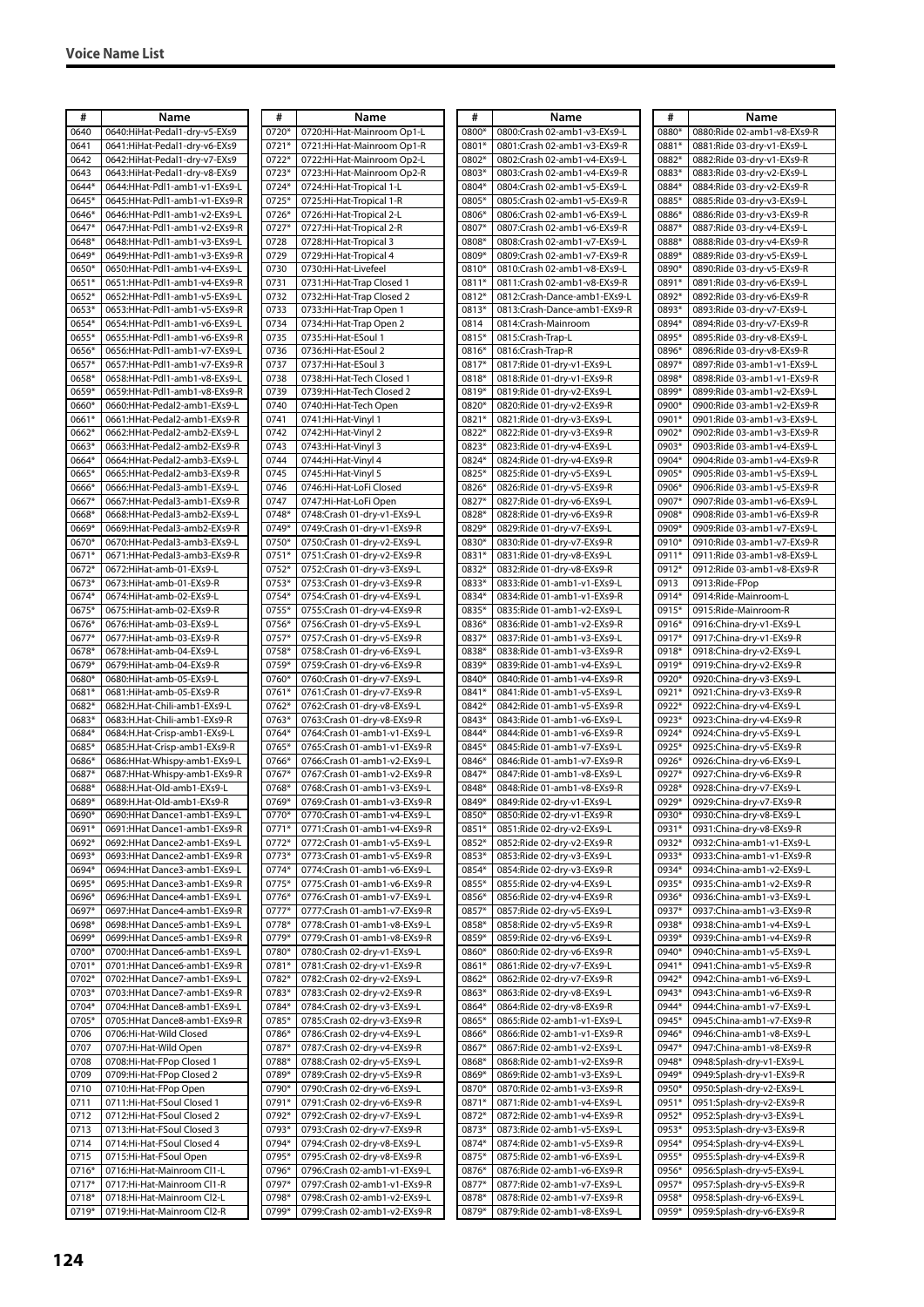| #              | Name                                                             | #              | Name                                                          | #              | Name                                                         | #              | Name                                                       |
|----------------|------------------------------------------------------------------|----------------|---------------------------------------------------------------|----------------|--------------------------------------------------------------|----------------|------------------------------------------------------------|
| 0640           | 0640:HiHat-Pedal1-dry-v5-EXs9                                    | 0720*          | 0720:Hi-Hat-Mainroom Op1-L                                    | 0800*          | 0800:Crash 02-amb1-v3-EXs9-L                                 | 0880*          | 0880:Ride 02-amb1-v8-EXs9-R                                |
| 0641<br>0642   | 0641:HiHat-Pedal1-dry-v6-EXs9<br>0642:HiHat-Pedal1-dry-v7-EXs9   | 0721<br>0722*  | 0721:Hi-Hat-Mainroom Op1-R<br>0722:Hi-Hat-Mainroom Op2-L      | 0801*<br>0802* | 0801:Crash 02-amb1-v3-EXs9-R<br>0802:Crash 02-amb1-v4-EXs9-L | 0881*<br>0882* | 0881:Ride 03-dry-v1-EXs9-L<br>0882:Ride 03-dry-v1-EXs9-R   |
| 0643           | 0643:HiHat-Pedal1-dry-v8-EXs9                                    | 0723*          | 0723:Hi-Hat-Mainroom Op2-R                                    | 0803*          | 0803:Crash 02-amb1-v4-EXs9-R                                 | 0883*          | 0883:Ride 03-dry-v2-EXs9-L                                 |
| 0644*          | 0644:HHat-Pdl1-amb1-v1-EXs9-L                                    | 0724*          | 0724:Hi-Hat-Tropical 1-L                                      | 0804*          | 0804:Crash 02-amb1-v5-EXs9-L                                 | 0884*          | 0884:Ride 03-dry-v2-EXs9-R                                 |
| 0645*          | 0645:HHat-Pdl1-amb1-v1-EXs9-R                                    | 0725*          | 0725:Hi-Hat-Tropical 1-R                                      | 0805*          | 0805:Crash 02-amb1-v5-EXs9-R                                 | 0885*          | 0885:Ride 03-dry-v3-EXs9-L                                 |
| 0646*          | 0646:HHat-Pdl1-amb1-v2-EXs9-L                                    | 0726*          | 0726:Hi-Hat-Tropical 2-L                                      | 0806*          | 0806:Crash 02-amb1-v6-EXs9-L                                 | 0886*          | 0886:Ride 03-dry-v3-EXs9-R                                 |
| 0647*          | 0647:HHat-Pdl1-amb1-v2-EXs9-R                                    | 0727*          | 0727:Hi-Hat-Tropical 2-R                                      | 0807*          | 0807:Crash 02-amb1-v6-EXs9-R                                 | 0887*          | 0887:Ride 03-dry-v4-EXs9-L                                 |
| 0648*          | 0648:HHat-Pdl1-amb1-v3-EXs9-L                                    | 0728           | 0728:Hi-Hat-Tropical 3                                        | 0808*          | 0808:Crash 02-amb1-v7-EXs9-L                                 | 0888*          | 0888:Ride 03-dry-v4-EXs9-R                                 |
| 0649*          | 0649:HHat-Pdl1-amb1-v3-EXs9-R                                    | 0729           | 0729:Hi-Hat-Tropical 4                                        | 0809*          | 0809:Crash 02-amb1-v7-EXs9-R                                 | 0889*          | 0889:Ride 03-dry-v5-EXs9-L                                 |
| 0650*          | 0650:HHat-Pdl1-amb1-v4-EXs9-L                                    | 0730           | 0730:Hi-Hat-Livefeel                                          | 0810*          | 0810:Crash 02-amb1-v8-EXs9-L                                 | 0890*          | 0890:Ride 03-dry-v5-EXs9-R                                 |
| 0651*          | 0651:HHat-Pdl1-amb1-v4-EXs9-R                                    | 0731           | 0731:Hi-Hat-Trap Closed 1                                     | 0811*          | 0811:Crash 02-amb1-v8-EXs9-R                                 | 0891*          | 0891:Ride 03-dry-v6-EXs9-L                                 |
| 0652*          | 0652:HHat-Pdl1-amb1-v5-EXs9-L                                    | 0732           | 0732:Hi-Hat-Trap Closed 2                                     | 0812*          | 0812:Crash-Dance-amb1-EXs9-L                                 | 0892*          | 0892:Ride 03-dry-v6-EXs9-R<br>0893:Ride 03-dry-v7-EXs9-L   |
| 0653*<br>0654* | 0653:HHat-Pdl1-amb1-v5-EXs9-R<br>0654:HHat-Pdl1-amb1-v6-EXs9-L   | 0733<br>0734   | 0733:Hi-Hat-Trap Open 1<br>0734:Hi-Hat-Trap Open 2            | 0813*<br>0814  | 0813:Crash-Dance-amb1-EXs9-R<br>0814:Crash-Mainroom          | 0893*<br>0894* | 0894:Ride 03-dry-v7-EXs9-R                                 |
| 0655*          | 0655:HHat-Pdl1-amb1-v6-EXs9-R                                    | 0735           | 0735:Hi-Hat-ESoul 1                                           | 0815*          | 0815:Crash-Trap-L                                            | 0895*          | 0895:Ride 03-dry-v8-EXs9-L                                 |
| 0656*          | 0656:HHat-Pdl1-amb1-v7-EXs9-L                                    | 0736           | 0736:Hi-Hat-ESoul 2                                           | 0816*          | 0816:Crash-Trap-R                                            | 0896*          | 0896:Ride 03-dry-v8-EXs9-R                                 |
| 0657*          | 0657:HHat-Pdl1-amb1-v7-EXs9-R                                    | 0737           | 0737:Hi-Hat-ESoul 3                                           | 0817*          | 0817:Ride 01-dry-v1-EXs9-L                                   | 0897*          | 0897:Ride 03-amb1-v1-EXs9-L                                |
| 0658*          | 0658:HHat-Pdl1-amb1-v8-EXs9-L                                    | 0738           | 0738:Hi-Hat-Tech Closed 1                                     | 0818*          | 0818: Ride 01-dry-v1-EXs9-R                                  | 0898*          | 0898:Ride 03-amb1-v1-EXs9-R                                |
| 0659*          | 0659:HHat-Pdl1-amb1-v8-EXs9-R                                    | 0739           | 0739:Hi-Hat-Tech Closed 2                                     | 0819*          | 0819:Ride 01-dry-v2-EXs9-L                                   | 0899*          | 0899:Ride 03-amb1-v2-EXs9-L                                |
| 0660*          | 0660:HHat-Pedal2-amb1-EXs9-L                                     | 0740           | 0740:Hi-Hat-Tech Open                                         | 0820*          | 0820:Ride 01-dry-v2-EXs9-R                                   | 0900*          | 0900:Ride 03-amb1-v2-EXs9-R                                |
| 0661*          | 0661:HHat-Pedal2-amb1-EXs9-R                                     | 0741           | 0741:Hi-Hat-Vinyl 1                                           | 0821*          | 0821:Ride 01-dry-v3-EXs9-L                                   | 0901*          | 0901:Ride 03-amb1-v3-EXs9-L                                |
| 0662*          | 0662:HHat-Pedal2-amb2-EXs9-L                                     | 0742           | 0742:Hi-Hat-Vinyl 2                                           | 0822*          | 0822:Ride 01-dry-v3-EXs9-R                                   | 0902*          | 0902:Ride 03-amb1-v3-EXs9-R                                |
| 0663           | 0663:HHat-Pedal2-amb2-EXs9-R                                     | 0743           | 0743:Hi-Hat-Vinvl 3                                           | 0823*          | 0823:Ride 01-dry-v4-EXs9-L                                   | 0903*          | 0903:Ride 03-amb1-v4-EXs9-L                                |
| 0664*<br>0665  | 0664:HHat-Pedal2-amb3-EXs9-L<br>0665:HHat-Pedal2-amb3-EXs9-R     | 0744<br>0745   | 0744:Hi-Hat-Vinyl 4<br>0745:Hi-Hat-Vinvl 5                    | 0824*<br>0825* | 0824:Ride 01-dry-v4-EXs9-R<br>0825:Ride 01-dry-v5-EXs9-L     | 0904*<br>0905* | 0904:Ride 03-amb1-v4-EXs9-R<br>0905:Ride 03-amb1-v5-EXs9-L |
| 0666*          | 0666:HHat-Pedal3-amb1-EXs9-L                                     | 0746           | 0746:Hi-Hat-LoFi Closed                                       | 0826*          | 0826:Ride 01-dry-v5-EXs9-R                                   | 0906*          | 0906:Ride 03-amb1-v5-EXs9-R                                |
| 0667*          | 0667:HHat-Pedal3-amb1-EXs9-R                                     | 0747           | 0747:Hi-Hat-LoFi Open                                         | 0827*          | 0827:Ride 01-dry-v6-EXs9-L                                   | 0907*          | 0907:Ride 03-amb1-v6-EXs9-L                                |
| 0668*          | 0668:HHat-Pedal3-amb2-EXs9-L                                     | 0748*          | 0748:Crash 01-dry-v1-EXs9-L                                   | 0828*          | 0828: Ride 01-dry-v6-EXs9-R                                  | 0908*          | 0908:Ride 03-amb1-v6-EXs9-R                                |
| $0669*$        | 0669:HHat-Pedal3-amb2-EXs9-R                                     | 0749*          | 0749:Crash 01-dry-v1-EXs9-R                                   | 0829*          | 0829:Ride 01-dry-v7-EXs9-L                                   | 0909*          | 0909:Ride 03-amb1-v7-EXs9-L                                |
| 0670*          | 0670:HHat-Pedal3-amb3-EXs9-L                                     | 0750*          | 0750:Crash 01-dry-v2-EXs9-L                                   | 0830*          | 0830:Ride 01-dry-v7-EXs9-R                                   | 0910*          | 0910:Ride 03-amb1-v7-EXs9-R                                |
| 0671*          | 0671:HHat-Pedal3-amb3-EXs9-R                                     | 0751*          | 0751:Crash 01-dry-v2-EXs9-R                                   | 0831*          | 0831:Ride 01-dry-v8-EXs9-L                                   | 0911*          | 0911:Ride 03-amb1-v8-EXs9-L                                |
| 0672*          | 0672:HiHat-amb-01-EXs9-L                                         | 0752*          | 0752:Crash 01-dry-v3-EXs9-L                                   | 0832*          | 0832:Ride 01-dry-v8-EXs9-R                                   | 0912*          | 0912:Ride 03-amb1-v8-EXs9-R                                |
| 0673*          | 0673:HiHat-amb-01-EXs9-R                                         | 0753*          | 0753:Crash 01-dry-v3-EXs9-R                                   | 0833*          | 0833:Ride 01-amb1-v1-EXs9-L                                  | 0913           | 0913:Ride-FPop                                             |
| 0674*          | 0674:HiHat-amb-02-EXs9-L                                         | 0754*          | 0754:Crash 01-dry-v4-EXs9-L                                   | 0834*          | 0834:Ride 01-amb1-v1-EXs9-R                                  | 0914*          | 0914:Ride-Mainroom-L                                       |
| 0675*          | 0675: Hi Hat-amb-02-EXs9-R                                       | 0755*          | 0755:Crash 01-dry-v4-EXs9-R                                   | 0835*          | 0835:Ride 01-amb1-v2-EXs9-L                                  | 0915*          | 0915: Ride-Mainroom-R                                      |
| 0676*<br>0677* | 0676:HiHat-amb-03-EXs9-L<br>0677:HiHat-amb-03-EXs9-R             | 0756*<br>0757* | 0756:Crash 01-dry-v5-EXs9-L<br>0757:Crash 01-dry-v5-EXs9-R    | 0836*<br>0837* | 0836:Ride 01-amb1-v2-EXs9-R                                  | 0916*<br>0917* | 0916:China-dry-v1-EXs9-L<br>0917:China-dry-v1-EXs9-R       |
| 0678*          | 0678:HiHat-amb-04-EXs9-L                                         | 0758*          | 0758:Crash 01-dry-v6-EXs9-L                                   | 0838*          | 0837:Ride 01-amb1-v3-EXs9-L<br>0838:Ride 01-amb1-v3-EXs9-R   | 0918*          | 0918:China-dry-v2-EXs9-L                                   |
| 0679*          | 0679:HiHat-amb-04-EXs9-R                                         | 0759*          | 0759:Crash 01-dry-v6-EXs9-R                                   | 0839*          | 0839:Ride 01-amb1-v4-EXs9-L                                  | 0919*          | 0919:China-dry-v2-EXs9-R                                   |
| 0680*          | 0680:HiHat-amb-05-EXs9-L                                         | 0760*          | 0760:Crash 01-dry-v7-EXs9-L                                   | 0840*          | 0840:Ride 01-amb1-v4-EXs9-R                                  | 0920*          | 0920:China-dry-v3-EXs9-L                                   |
| 0681           | 0681:HiHat-amb-05-EXs9-R                                         | 0761           | 0761:Crash 01-dry-v7-EXs9-R                                   | 0841*          | 0841:Ride 01-amb1-v5-EXs9-L                                  | 0921*          | 0921:China-dry-v3-EXs9-R                                   |
| 0682*          | 0682:H.Hat-Chili-amb1-EXs9-L                                     | 0762*          | 0762:Crash 01-dry-v8-EXs9-L                                   | 0842*          | 0842:Ride 01-amb1-v5-EXs9-R                                  | 0922*          | 0922:China-dry-v4-EXs9-L                                   |
| 0683*          | 0683:H.Hat-Chili-amb1-EXs9-R                                     | 0763*          | 0763:Crash 01-dry-v8-EXs9-R                                   | 0843*          | 0843:Ride 01-amb1-v6-EXs9-L                                  | 0923*          | 0923:China-dry-v4-EXs9-R                                   |
| 0684*          | 0684:H.Hat-Crisp-amb1-EXs9-L                                     | 0764*          | 0764:Crash 01-amb1-v1-EXs9-L                                  | 0844*          | 0844:Ride 01-amb1-v6-EXs9-R                                  | 0924*          | 0924:China-dry-v5-EXs9-L                                   |
| 0685*          | 0685:H.Hat-Crisp-amb1-EXs9-R                                     | 0765*          | 0765:Crash 01-amb1-v1-EXs9-R                                  | 0845*          | 0845:Ride 01-amb1-v7-EXs9-L                                  | 0925*          | 0925:China-dry-v5-EXs9-R                                   |
| 0686*          | 0686: HHat-Whispy-amb1-EXs9-L                                    | 0766*          | 0766:Crash 01-amb1-v2-EXs9-L                                  | 0846*          | 0846:Ride 01-amb1-v7-EXs9-R<br>0847:Ride 01-amb1-v8-EXs9-L   | 0926*          | 0926:China-dry-v6-EXs9-L                                   |
| 0687*<br>0688* | 0687: HHat-Whispy-amb1-EXs9-R<br>0688:H.Hat-Old-amb1-EXs9-L      | 0767*<br>0768* | 0767: Crash 01-amb1-v2-EXs9-R<br>0768:Crash 01-amb1-v3-EXs9-L | 0847*<br>0848* | 0848:Ride 01-amb1-v8-EXs9-R                                  | 0927*<br>0928* | 0927:China-dry-v6-EXs9-R<br>0928:China-dry-v7-EXs9-L       |
| 0689*          | 0689:H.Hat-Old-amb1-EXs9-R                                       | 0769*          | 0769:Crash 01-amb1-v3-EXs9-R                                  | 0849*          | 0849:Ride 02-dry-v1-EXs9-L                                   | 0929*          | 0929:China-dry-v7-EXs9-R                                   |
| 0690*          | 0690: HHat Dance 1-amb1-EXs9-L                                   | 0770*          | 0770:Crash 01-amb1-v4-EXs9-L                                  | 0850*          | 0850:Ride 02-dry-v1-EXs9-R                                   | 0930*          | 0930:China-dry-v8-EXs9-L                                   |
| 0691*          | 0691: HHat Dance1-amb1-EXs9-R                                    | 0771*          | 0771:Crash 01-amb1-v4-EXs9-R                                  | 0851*          | 0851:Ride 02-dry-v2-EXs9-L                                   | 0931*          | 0931:China-dry-v8-EXs9-R                                   |
| 0692*          | 0692:HHat Dance2-amb1-EXs9-L                                     | 0772*          | 0772:Crash 01-amb1-v5-EXs9-L                                  | 0852*          | 0852:Ride 02-dry-v2-EXs9-R                                   | 0932*          | 0932:China-amb1-v1-EXs9-L                                  |
| 0693*          | 0693: HHat Dance 2-amb1-EXs9-R                                   | 0773*          | 0773:Crash 01-amb1-v5-EXs9-R                                  | 0853*          | 0853:Ride 02-dry-v3-EXs9-L                                   | 0933*          | 0933:China-amb1-v1-EXs9-R                                  |
| 0694*          | 0694: HHat Dance 3-amb1-EXs9-L                                   | 0774*          | 0774:Crash 01-amb1-v6-EXs9-L                                  | 0854*          | 0854:Ride 02-dry-v3-EXs9-R                                   | 0934*          | 0934:China-amb1-v2-EXs9-L                                  |
| 0695*          | 0695: HHat Dance 3-amb1-EXs9-R                                   | 0775*          | 0775:Crash 01-amb1-v6-EXs9-R                                  | 0855*          | 0855:Ride 02-dry-v4-EXs9-L                                   | 0935*          | 0935:China-amb1-v2-EXs9-R                                  |
| 0696*          | 0696: HHat Dance 4-amb1-EXs9-L                                   | 0776*          | 0776:Crash 01-amb1-v7-EXs9-L                                  | 0856*          | 0856:Ride 02-dry-v4-EXs9-R                                   | 0936*          | 0936:China-amb1-v3-EXs9-L                                  |
| 0697*<br>0698* | 0697: HHat Dance 4-amb1-EXs9-R<br>0698: HHat Dance 5-amb1-EXs9-L | 0777*<br>0778* | 0777:Crash 01-amb1-v7-EXs9-R<br>0778:Crash 01-amb1-v8-EXs9-L  | 0857*<br>0858* | 0857:Ride 02-dry-v5-EXs9-L<br>0858:Ride 02-dry-v5-EXs9-R     | 0937*<br>0938* | 0937:China-amb1-v3-EXs9-R<br>0938:China-amb1-v4-EXs9-L     |
| 0699*          | 0699: HHat Dance 5-amb1-EXs9-R                                   | $0779*$        | 0779:Crash 01-amb1-v8-EXs9-R                                  | 0859*          | 0859:Ride 02-dry-v6-EXs9-L                                   | 0939*          | 0939:China-amb1-v4-EXs9-R                                  |
| 0700*          | 0700: HHat Dance 6-amb1-EXs9-L                                   | 0780*          | 0780:Crash 02-dry-v1-EXs9-L                                   | 0860*          | 0860:Ride 02-dry-v6-EXs9-R                                   | 0940*          | 0940:China-amb1-v5-EXs9-L                                  |
| 0701*          | 0701: HHat Dance 6-amb1-EXs9-R                                   | 0781*          | 0781:Crash 02-dry-v1-EXs9-R                                   | 0861*          | 0861:Ride 02-dry-v7-EXs9-L                                   | 0941*          | 0941:China-amb1-v5-EXs9-R                                  |
| 0702*          | 0702:HHat Dance7-amb1-EXs9-L                                     | 0782*          | 0782:Crash 02-dry-v2-EXs9-L                                   | 0862*          | 0862:Ride 02-dry-v7-EXs9-R                                   | 0942*          | 0942:China-amb1-v6-EXs9-L                                  |
| $0703*$        | 0703: HHat Dance 7-amb1-EXs9-R                                   | 0783*          | 0783:Crash 02-dry-v2-EXs9-R                                   | 0863*          | 0863:Ride 02-dry-v8-EXs9-L                                   | 0943*          | 0943:China-amb1-v6-EXs9-R                                  |
| 0704*          | 0704: HHat Dance 8-amb1-EXs9-L                                   | 0784*          | 0784:Crash 02-dry-v3-EXs9-L                                   | 0864*          | 0864:Ride 02-dry-v8-EXs9-R                                   | 0944*          | 0944:China-amb1-v7-EXs9-L                                  |
| 0705*          | 0705: HHat Dance 8-amb1-EXs9-R                                   | 0785*          | 0785:Crash 02-dry-v3-EXs9-R                                   | 0865*          | 0865:Ride 02-amb1-v1-EXs9-L                                  | 0945*          | 0945:China-amb1-v7-EXs9-R                                  |
| 0706           | 0706:Hi-Hat-Wild Closed                                          | 0786*          | 0786:Crash 02-dry-v4-EXs9-L                                   | 0866*          | 0866:Ride 02-amb1-v1-EXs9-R                                  | 0946*          | 0946:China-amb1-v8-EXs9-L                                  |
| 0707           | 0707:Hi-Hat-Wild Open                                            | 0787*          | 0787:Crash 02-dry-v4-EXs9-R                                   | 0867*          | 0867:Ride 02-amb1-v2-EXs9-L                                  | 0947*          | 0947:China-amb1-v8-EXs9-R                                  |
| 0708           | 0708:Hi-Hat-FPop Closed 1                                        | 0788*<br>0789* | 0788:Crash 02-dry-v5-EXs9-L                                   | 0868*<br>0869* | 0868:Ride 02-amb1-v2-EXs9-R                                  | 0948*<br>0949* | 0948:Splash-dry-v1-EXs9-L<br>0949:Splash-dry-v1-EXs9-R     |
| 0709<br>0710   | 0709:Hi-Hat-FPop Closed 2<br>0710:Hi-Hat-FPop Open               | 0790*          | 0789:Crash 02-dry-v5-EXs9-R<br>0790:Crash 02-dry-v6-EXs9-L    | 0870*          | 0869:Ride 02-amb1-v3-EXs9-L<br>0870:Ride 02-amb1-v3-EXs9-R   | 0950*          | 0950:Splash-dry-v2-EXs9-L                                  |
| 0711           | 0711:Hi-Hat-FSoul Closed 1                                       | 0791*          | 0791:Crash 02-dry-v6-EXs9-R                                   | 0871*          | 0871:Ride 02-amb1-v4-EXs9-L                                  | 0951*          | 0951:Splash-dry-v2-EXs9-R                                  |
| 0712           | 0712:Hi-Hat-FSoul Closed 2                                       | 0792*          | 0792:Crash 02-dry-v7-EXs9-L                                   | 0872*          | 0872:Ride 02-amb1-v4-EXs9-R                                  | 0952*          | 0952:Splash-dry-v3-EXs9-L                                  |
| 0713           | 0713:Hi-Hat-FSoul Closed 3                                       | 0793*          | 0793:Crash 02-dry-v7-EXs9-R                                   | 0873*          | 0873:Ride 02-amb1-v5-EXs9-L                                  | 0953*          | 0953:Splash-dry-v3-EXs9-R                                  |
| 0714           | 0714:Hi-Hat-FSoul Closed 4                                       | 0794*          | 0794:Crash 02-dry-v8-EXs9-L                                   | 0874*          | 0874:Ride 02-amb1-v5-EXs9-R                                  | 0954*          | 0954:Splash-dry-v4-EXs9-L                                  |
| 0715           | 0715:Hi-Hat-FSoul Open                                           | 0795*          | 0795:Crash 02-dry-v8-EXs9-R                                   | 0875*          | 0875:Ride 02-amb1-v6-EXs9-L                                  | 0955*          | 0955:Splash-dry-v4-EXs9-R                                  |
| 0716*          | 0716:Hi-Hat-Mainroom Cl1-L                                       | 0796*          | 0796:Crash 02-amb1-v1-EXs9-L                                  | 0876*          | 0876:Ride 02-amb1-v6-EXs9-R                                  | 0956*          | 0956:Splash-dry-v5-EXs9-L                                  |
| 0717*          | 0717:Hi-Hat-Mainroom Cl1-R                                       | 0797*          | 0797:Crash 02-amb1-v1-EXs9-R                                  | 0877*          | 0877:Ride 02-amb1-v7-EXs9-L                                  | 0957*          | 0957:Splash-dry-v5-EXs9-R                                  |
| $0718*$        | 0718:Hi-Hat-Mainroom Cl2-L                                       | 0798*          | 0798:Crash 02-amb1-v2-EXs9-L                                  | 0878*          | 0878:Ride 02-amb1-v7-EXs9-R                                  | 0958*          | 0958:Splash-dry-v6-EXs9-L                                  |
| 0719*          | 0719:Hi-Hat-Mainroom Cl2-R                                       | 0799*          | 0799:Crash 02-amb1-v2-EXs9-R                                  | 0879*          | 0879:Ride 02-amb1-v8-EXs9-L                                  | 0959*          | 0959:Splash-dry-v6-EXs9-R                                  |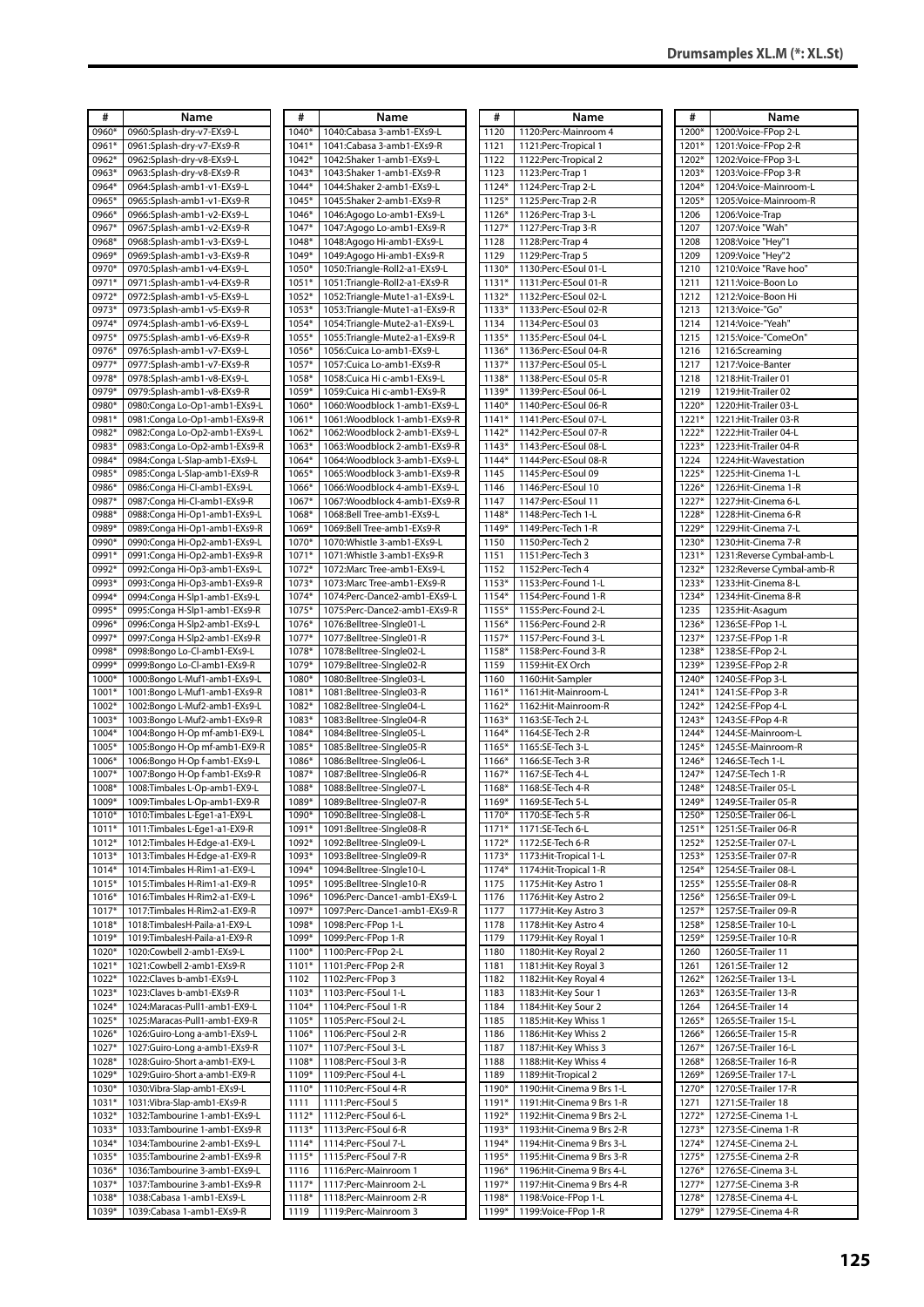| #                 | Name                           | #       | Name                            | #       | Name                       | #       | Name                       |
|-------------------|--------------------------------|---------|---------------------------------|---------|----------------------------|---------|----------------------------|
|                   |                                |         |                                 |         |                            |         |                            |
| 0960*             | 0960:Splash-dry-v7-EXs9-L      | 1040*   | 1040:Cabasa 3-amb1-EXs9-L       | 1120    | 1120: Perc-Mainroom 4      | 1200*   | 1200: Voice-FPop 2-L       |
| 0961              | 0961:Splash-dry-v7-EXs9-R      | $1041*$ | 1041:Cabasa 3-amb1-EXs9-R       | 1121    | 1121:Perc-Tropical 1       | 1201*   | 1201: Voice-FPop 2-R       |
| 0962*             | 0962:Splash-dry-v8-EXs9-L      | 1042*   | 1042:Shaker 1-amb1-EXs9-L       | 1122    | 1122: Perc-Tropical 2      | 1202*   | 1202: Voice-FPop 3-L       |
| 0963*             | 0963:Splash-dry-v8-EXs9-R      | 1043*   | 1043:Shaker 1-amb1-EXs9-R       | 1123    | 1123: Perc-Trap 1          | 1203*   | 1203: Voice-FPop 3-R       |
| 0964*             | 0964:Splash-amb1-v1-EXs9-L     | 1044*   | 1044:Shaker 2-amb1-EXs9-L       | 1124*   | 1124: Perc-Trap 2-L        | 1204*   | 1204: Voice-Mainroom-L     |
| 0965*             | 0965:Splash-amb1-v1-EXs9-R     | 1045*   | 1045:Shaker 2-amb1-EXs9-R       | 1125*   | 1125:Perc-Trap 2-R         | 1205*   | 1205: Voice-Mainroom-R     |
|                   |                                |         |                                 |         |                            |         |                            |
| 0966*             | 0966:Splash-amb1-v2-EXs9-L     | 1046*   | 1046:Agogo Lo-amb1-EXs9-L       | 1126*   | 1126:Perc-Trap 3-L         | 1206    | 1206: Voice-Trap           |
| 0967*             | 0967:Splash-amb1-v2-EXs9-R     | 1047*   | 1047:Agogo Lo-amb1-EXs9-R       | $1127*$ | 1127: Perc-Trap 3-R        | 1207    | 1207: Voice "Wah"          |
| 0968*             | 0968:Splash-amb1-v3-EXs9-L     | 1048*   | 1048: Agogo Hi-amb1-EXs9-L      | 1128    | 1128: Perc-Trap 4          | 1208    | 1208: Voice "Hey"1         |
| 0969*             | 0969:Splash-amb1-v3-EXs9-R     | 1049*   | 1049:Agogo Hi-amb1-EXs9-R       | 1129    | 1129: Perc-Trap 5          | 1209    | 1209: Voice "Hey" 2        |
| 0970*             | 0970:Splash-amb1-v4-EXs9-L     | 1050*   | 1050:Triangle-Roll2-a1-EXs9-L   | 1130*   | 1130:Perc-ESoul 01-L       | 1210    | 1210: Voice "Rave hoo"     |
| 0971*             | 0971:Splash-amb1-v4-EXs9-R     | 1051*   | 1051:Triangle-Roll2-a1-EXs9-R   | $1131*$ | 1131:Perc-ESoul 01-R       | 1211    | 1211: Voice-Boon Lo        |
| 0972*             | 0972:Splash-amb1-v5-EXs9-L     | 1052*   | 1052:Triangle-Mute1-a1-EXs9-L   | 1132*   | 1132:Perc-ESoul 02-L       | 1212    | 1212: Voice-Boon Hi        |
|                   |                                |         |                                 |         |                            |         |                            |
| 0973*             | 0973:Splash-amb1-v5-EXs9-R     | 1053*   | 1053: Triangle-Mute 1-a1-EXs9-R | 1133*   | 1133: Perc-ESoul 02-R      | 1213    | 1213: Voice-"Go"           |
| 0974*             | 0974:Splash-amb1-v6-EXs9-L     | 1054*   | 1054: Triangle-Mute2-a1-EXs9-L  | 1134    | 1134: Perc-ESoul 03        | 1214    | 1214: Voice-"Yeah"         |
| 0975*             | 0975:Splash-amb1-v6-EXs9-R     | 1055*   | 1055: Triangle-Mute 2-a1-EXs9-R | 1135*   | 1135:Perc-ESoul 04-L       | 1215    | 1215: Voice-"ComeOn"       |
| 0976*             | 0976:Splash-amb1-v7-EXs9-L     | 1056*   | 1056:Cuica Lo-amb1-EXs9-L       | $1136*$ | 1136: Perc-ESoul 04-R      | 1216    | 1216:Screaming             |
| 0977*             | 0977:Splash-amb1-v7-EXs9-R     | 1057*   | 1057:Cuica Lo-amb1-EXs9-R       | 1137*   | 1137:Perc-ESoul 05-L       | 1217    | 1217: Voice-Banter         |
| 0978*             | 0978:Splash-amb1-v8-EXs9-L     | 1058*   | 1058:Cuica Hi c-amb1-EXs9-L     | 1138*   | 1138:Perc-ESoul 05-R       | 1218    | 1218: Hit-Trailer 01       |
| 0979*             |                                | 1059*   |                                 |         |                            | 1219    |                            |
|                   | 0979:Splash-amb1-v8-EXs9-R     |         | 1059: Cuica Hi c-amb1-EXs9-R    | 1139*   | 1139:Perc-ESoul 06-L       |         | 1219: Hit-Trailer 02       |
| 0980*             | 0980:Conga Lo-Op1-amb1-EXs9-L  | 1060*   | 1060:Woodblock 1-amb1-EXs9-L    | $1140*$ | 1140:Perc-ESoul 06-R       | 1220*   | 1220: Hit-Trailer 03-L     |
| 0981              | 0981:Conga Lo-Op1-amb1-EXs9-R  | 1061*   | 1061:Woodblock 1-amb1-EXs9-R    | $1141*$ | 1141:Perc-ESoul 07-L       | 1221*   | 1221: Hit-Trailer 03-R     |
| 0982*             | 0982:Conga Lo-Op2-amb1-EXs9-L  | 1062*   | 1062:Woodblock 2-amb1-EXs9-L    | 1142*   | 1142:Perc-ESoul 07-R       | 1222*   | 1222: Hit-Trailer 04-L     |
| 0983*             | 0983:Conga Lo-Op2-amb1-EXs9-R  | $1063*$ | 1063: Woodblock 2-amb1-EXs9-R   | $1143*$ | 1143:Perc-ESoul 08-L       | 1223*   | 1223: Hit-Trailer 04-R     |
| 0984*             | 0984:Conga L-Slap-amb1-EXs9-L  | 1064*   | 1064: Woodblock 3-amb1-EXs9-L   | $1144*$ | 1144: Perc-ESoul 08-R      | 1224    | 1224: Hit-Wavestation      |
| 0985              | 0985:Conga L-Slap-amb1-EXs9-R  | 1065*   | 1065: Woodblock 3-amb1-EXs9-R   | 1145    | 1145:Perc-ESoul 09         | 1225*   | 1225: Hit-Cinema 1-L       |
| 0986*             | 0986:Conga Hi-Cl-amb1-EXs9-L   | 1066*   | 1066: Woodblock 4-amb1-EXs9-L   | 1146    | 1146:Perc-ESoul 10         | 1226*   | 1226: Hit-Cinema 1-R       |
|                   |                                |         |                                 |         |                            |         |                            |
| 0987*             | 0987:Conga Hi-Cl-amb1-EXs9-R   | 1067*   | 1067: Woodblock 4-amb1-EXs9-R   | 1147    | 1147: Perc-ESoul 11        | 1227*   | 1227: Hit-Cinema 6-L       |
| 0988              | 0988:Conga Hi-Op1-amb1-EXs9-L  | 1068*   | 1068:Bell Tree-amb1-EXs9-L      | 1148*   | 1148:Perc-Tech 1-L         | 1228*   | 1228: Hit-Cinema 6-R       |
| 0989 <sup>+</sup> | 0989:Conga Hi-Op1-amb1-EXs9-R  | 1069*   | 1069:Bell Tree-amb1-EXs9-R      | 1149*   | 1149: Perc-Tech 1-R        | 1229*   | 1229: Hit-Cinema 7-L       |
| 0990 <sup>+</sup> | 0990:Conga Hi-Op2-amb1-EXs9-L  | 1070*   | 1070: Whistle 3-amb1-EXs9-L     | 1150    | 1150:Perc-Tech 2           | 1230*   | 1230: Hit-Cinema 7-R       |
| 0991              | 0991:Conga Hi-Op2-amb1-EXs9-R  | 1071*   | 1071: Whistle 3-amb1-EXs9-R     | 1151    | 1151:Perc-Tech 3           | $1231*$ | 1231:Reverse Cymbal-amb-L  |
| 0992*             | 0992:Conga Hi-Op3-amb1-EXs9-L  | 1072*   | 1072: Marc Tree-amb1-EXs9-L     | 1152    | 1152:Perc-Tech 4           | 1232*   | 1232: Reverse Cymbal-amb-R |
| 0993*             | 0993:Conga Hi-Op3-amb1-EXs9-R  | 1073*   | 1073: Marc Tree-amb1-EXs9-R     | 1153*   | 1153: Perc-Found 1-L       | 1233*   | 1233: Hit-Cinema 8-L       |
| 0994*             | 0994:Conga H-Slp1-amb1-EXs9-L  | 1074*   | 1074:Perc-Dance2-amb1-EXs9-L    | 1154*   | 1154: Perc-Found 1-R       | 1234*   | 1234: Hit-Cinema 8-R       |
| 0995*             | 0995:Conga H-Slp1-amb1-EXs9-R  | 1075*   | 1075:Perc-Dance2-amb1-EXs9-R    | 1155*   | 1155: Perc-Found 2-L       | 1235    | 1235: Hit-Asagum           |
|                   |                                |         |                                 |         |                            |         |                            |
| 0996*             | 0996:Conga H-Slp2-amb1-EXs9-L  | 1076*   | 1076:Belltree-SIngle01-L        | 1156*   | 1156: Perc-Found 2-R       | 1236*   | 1236:SE-FPop 1-L           |
| 0997*             | 0997:Conga H-Slp2-amb1-EXs9-R  | 1077*   | 1077:Belltree-SIngle01-R        | 1157*   | 1157: Perc-Found 3-L       | 1237*   | 1237:SE-FPop 1-R           |
| 0998*             | 0998:Bongo Lo-Cl-amb1-EXs9-L   | 1078*   | 1078:Belltree-SIngle02-L        | 1158*   | 1158: Perc-Found 3-R       | 1238*   | 1238:SE-FPop 2-L           |
| 0999*             | 0999:Bongo Lo-Cl-amb1-EXs9-R   | 1079*   | 1079:Belltree-SIngle02-R        | 1159    | 1159: Hit-EX Orch          | 1239*   | 1239:SE-FPop 2-R           |
| 1000*             | 1000:Bongo L-Muf1-amb1-EXs9-L  | 1080*   | 1080:Belltree-SIngle03-L        | 1160    | 1160: Hit-Sampler          | 1240*   | 1240:SE-FPop 3-L           |
| 1001              | 1001:Bongo L-Muf1-amb1-EXs9-R  | 1081*   | 1081:Belltree-SIngle03-R        | 1161*   | 1161:Hit-Mainroom-L        | $1241*$ | 1241:SE-FPop 3-R           |
| 1002*             | 1002:Bongo L-Muf2-amb1-EXs9-L  | 1082*   | 1082:Belltree-SIngle04-L        | 1162*   | 1162: Hit-Mainroom-R       | 1242*   | 1242:SE-FPop 4-L           |
| 1003              | 1003:Bongo L-Muf2-amb1-EXs9-R  | 1083*   | 1083:Belltree-SIngle04-R        | 1163*   | 1163:SE-Tech 2-L           | 1243*   | 1243:SE-FPop 4-R           |
| 1004*             | 1004:Bongo H-Op mf-amb1-EX9-L  | 1084*   | 1084:Belltree-SIngle05-L        | 1164*   | 1164:SE-Tech 2-R           | 1244*   | 1244:SE-Mainroom-L         |
| 1005              | 1005:Bongo H-Op mf-amb1-EX9-R  | 1085*   | 1085:Belltree-SIngle05-R        | 1165*   | 1165:SE-Tech 3-L           | 1245*   | 1245:SE-Mainroom-R         |
| 1006              | 1006:Bongo H-Op f-amb1-EXs9-L  | 1086*   | 1086:Belltree-SIngle06-L        | 1166*   | 1166:SE-Tech 3-R           | 1246*   | 1246:SE-Tech 1-L           |
| 1007              | 1007:Bongo H-Op f-amb1-EXs9-R  | 1087*   | 1087:Belltree-SIngle06-R        | 1167*   | 1167:SE-Tech 4-L           | 1247*   | 1247:SE-Tech 1-R           |
| 1008*             |                                | 1088*   |                                 |         |                            | 1248*   |                            |
|                   | 1008:Timbales L-Op-amb1-EX9-L  |         | 1088:Belltree-SIngle07-L        | 1168*   | 1168:SE-Tech 4-R           |         | 1248:SE-Trailer 05-L       |
| 1009*             | 1009:Timbales L-Op-amb1-EX9-R  | 1089*   | 1089:Belltree-SIngle07-R        | 1169*   | 1169:SE-Tech 5-L           | 1249*   | 1249:SE-Trailer 05-R       |
| $1010*$           | 1010:Timbales L-Ege1-a1-EX9-L  | 1090*   | 1090:Belltree-SIngle08-L        | 1170*   | 1170:SE-Tech 5-R           | $1250*$ | 1250:SE-Trailer 06-L       |
| $1011*$           | 1011:Timbales L-Ege1-a1-EX9-R  | 1091*   | 1091:Belltree-SIngle08-R        | $1171*$ | 1171:SE-Tech 6-L           | $1251*$ | 1251:SE-Trailer 06-R       |
| 1012*             | 1012:Timbales H-Edge-a1-EX9-L  | 1092*   | 1092:Belltree-SIngle09-L        | 1172*   | 1172:SE-Tech 6-R           | 1252*   | 1252:SE-Trailer 07-L       |
| $1013*$           | 1013: Timbales H-Edge-a1-EX9-R | 1093*   | 1093:Belltree-SIngle09-R        | $1173*$ | 1173: Hit-Tropical 1-L     | $1253*$ | 1253:SE-Trailer 07-R       |
| 1014*             | 1014:Timbales H-Rim1-a1-EX9-L  | 1094*   | 1094:Belltree-SIngle10-L        | $1174*$ | 1174: Hit-Tropical 1-R     | 1254*   | 1254:SE-Trailer 08-L       |
| 1015*             | 1015: Timbales H-Rim1-a1-EX9-R | 1095*   | 1095:Belltree-SIngle10-R        | 1175    | 1175: Hit-Key Astro 1      | 1255*   | 1255:SE-Trailer 08-R       |
| 1016*             | 1016:Timbales H-Rim2-a1-EX9-L  | 1096*   | 1096:Perc-Dance1-amb1-EXs9-L    | 1176    | 1176: Hit-Key Astro 2      | 1256*   | 1256:SE-Trailer 09-L       |
| 1017*             | 1017: Timbales H-Rim2-a1-EX9-R | 1097*   | 1097:Perc-Dance1-amb1-EXs9-R    | 1177    | 1177: Hit-Key Astro 3      | 1257*   | 1257:SE-Trailer 09-R       |
| 1018*             | 1018:TimbalesH-Paila-a1-EX9-L  | 1098*   | 1098:Perc-FPop 1-L              | 1178    | 1178: Hit-Key Astro 4      | 1258*   | 1258:SE-Trailer 10-L       |
| 1019*             | 1019:TimbalesH-Paila-a1-EX9-R  | 1099*   | 1099:Perc-FPop 1-R              | 1179    | 1179: Hit-Key Royal 1      | 1259*   | 1259:SE-Trailer 10-R       |
|                   |                                |         |                                 |         |                            |         |                            |
| 1020*             | 1020:Cowbell 2-amb1-EXs9-L     | 1100*   | 1100:Perc-FPop 2-L              | 1180    | 1180: Hit-Key Royal 2      | 1260    | 1260:SE-Trailer 11         |
| $1021*$           | 1021:Cowbell 2-amb1-EXs9-R     | 1101*   | 1101:Perc-FPop 2-R              | 1181    | 1181: Hit-Key Royal 3      | 1261    | 1261:SE-Trailer 12         |
| 1022*             | 1022:Claves b-amb1-EXs9-L      | 1102    | 1102:Perc-FPop 3                | 1182    | 1182: Hit-Key Royal 4      | 1262*   | 1262:SE-Trailer 13-L       |
| 1023*             | 1023:Claves b-amb1-EXs9-R      | 1103*   | 1103:Perc-FSoul 1-L             | 1183    | 1183: Hit-Key Sour 1       | $1263*$ | 1263:SE-Trailer 13-R       |
| 1024*             | 1024: Maracas-Pull1-amb1-EX9-L | 1104*   | 1104:Perc-FSoul 1-R             | 1184    | 1184: Hit-Key Sour 2       | 1264    | 1264:SE-Trailer 14         |
| 1025*             | 1025: Maracas-Pull1-amb1-EX9-R | 1105*   | 1105:Perc-FSoul 2-L             | 1185    | 1185: Hit-Key Whiss 1      | 1265*   | 1265:SE-Trailer 15-L       |
| 1026*             | 1026:Guiro-Long a-amb1-EXs9-L  | 1106*   | 1106:Perc-FSoul 2-R             | 1186    | 1186: Hit-Key Whiss 2      | 1266*   | 1266:SE-Trailer 15-R       |
| 1027*             | 1027:Guiro-Long a-amb1-EXs9-R  | 1107*   | 1107:Perc-FSoul 3-L             | 1187    | 1187: Hit-Key Whiss 3      | 1267*   | 1267:SE-Trailer 16-L       |
| 1028*             | 1028:Guiro-Short a-amb1-EX9-L  | 1108*   | 1108:Perc-FSoul 3-R             | 1188    | 1188: Hit-Key Whiss 4      | 1268*   | 1268:SE-Trailer 16-R       |
| 1029*             | 1029:Guiro-Short a-amb1-EX9-R  | 1109*   | 1109:Perc-FSoul 4-L             | 1189    | 1189: Hit-Tropical 2       | 1269*   | 1269:SE-Trailer 17-L       |
| 1030*             | 1030: Vibra-Slap-amb1-EXs9-L   | 1110*   | 1110:Perc-FSoul 4-R             |         | 1190: Hit-Cinema 9 Brs 1-L | 1270*   | 1270:SE-Trailer 17-R       |
|                   |                                |         |                                 | 1190*   |                            |         |                            |
| 1031*             | 1031: Vibra-Slap-amb1-EXs9-R   | 1111    | 1111:Perc-FSoul 5               | 1191*   | 1191: Hit-Cinema 9 Brs 1-R | 1271    | 1271:SE-Trailer 18         |
| 1032*             | 1032:Tambourine 1-amb1-EXs9-L  | 1112*   | 1112:Perc-FSoul 6-L             | 1192*   | 1192: Hit-Cinema 9 Brs 2-L | 1272*   | 1272:SE-Cinema 1-L         |
| 1033*             | 1033:Tambourine 1-amb1-EXs9-R  | 1113*   | 1113:Perc-FSoul 6-R             | 1193*   | 1193: Hit-Cinema 9 Brs 2-R | 1273*   | 1273:SE-Cinema 1-R         |
| 1034*             | 1034:Tambourine 2-amb1-EXs9-L  | 1114*   | 1114:Perc-FSoul 7-L             | 1194*   | 1194: Hit-Cinema 9 Brs 3-L | 1274*   | 1274:SE-Cinema 2-L         |
| 1035*             | 1035:Tambourine 2-amb1-EXs9-R  | 1115*   | 1115:Perc-FSoul 7-R             | 1195*   | 1195: Hit-Cinema 9 Brs 3-R | 1275*   | 1275:SE-Cinema 2-R         |
| 1036*             | 1036:Tambourine 3-amb1-EXs9-L  | 1116    | 1116:Perc-Mainroom 1            | 1196*   | 1196: Hit-Cinema 9 Brs 4-L | 1276*   | 1276:SE-Cinema 3-L         |
| 1037*             | 1037:Tambourine 3-amb1-EXs9-R  | 1117*   | 1117:Perc-Mainroom 2-L          | 1197*   | 1197: Hit-Cinema 9 Brs 4-R | $1277*$ | 1277:SE-Cinema 3-R         |
| 1038*             | 1038:Cabasa 1-amb1-EXs9-L      | 1118*   | 1118: Perc-Mainroom 2-R         | 1198*   | 1198: Voice-FPop 1-L       | 1278*   | 1278:SE-Cinema 4-L         |
| 1039*             | 1039:Cabasa 1-amb1-EXs9-R      | 1119    | 1119:Perc-Mainroom 3            |         | 1199* 1199: Voice-FPop 1-R | 1279*   | 1279:SE-Cinema 4-R         |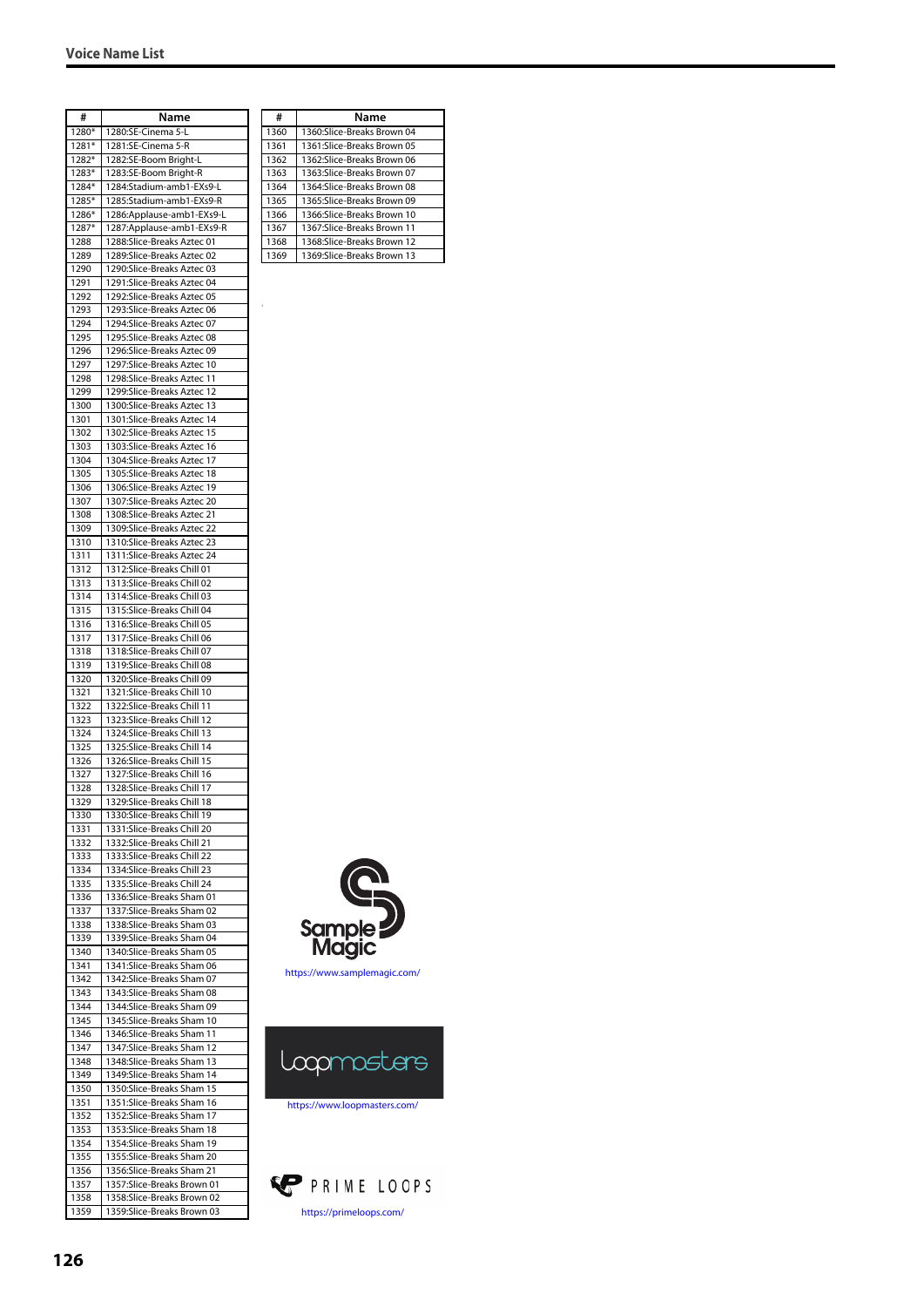| #     | Name                        |
|-------|-----------------------------|
| 1280* | 1280:SE-Cinema 5-L          |
| 1281* | 1281:SE-Cinema 5-R          |
| 1282* | 1282:SE-Boom Bright-L       |
| 1283* | 1283:SE-Boom Bright-R       |
| 1284* | 1284:Stadium-amb1-EXs9-L    |
| 1285* | 1285:Stadium-amb1-EXs9-R    |
| 1286* | 1286: Applause-amb1-EXs9-L  |
| 1287* | 1287: Applause-amb 1-EXs9-R |
| 1288  | 1288:Slice-Breaks Aztec 01  |
| 1289  | 1289:Slice-Breaks Aztec 02  |
| 1290  | 1290:Slice-Breaks Aztec 03  |
| 1291  | 1291:Slice-Breaks Aztec 04  |
| 1292  | 1292:Slice-Breaks Aztec 05  |
| 1293  | 1293:Slice-Breaks Aztec 06  |
| 1294  | 1294:Slice-Breaks Aztec 07  |
| 1295  | 1295:Slice-Breaks Aztec 08  |
| 1296  | 1296:Slice-Breaks Aztec 09  |
|       |                             |
| 1297  | 1297:Slice-Breaks Aztec 10  |
| 1298  | 1298:Slice-Breaks Aztec 11  |
| 1299  | 1299:Slice-Breaks Aztec 12  |
| 1300  | 1300:Slice-Breaks Aztec 13  |
| 1301  | 1301:Slice-Breaks Aztec 14  |
| 1302  | 1302:Slice-Breaks Aztec 15  |
| 1303  | 1303:Slice-Breaks Aztec 16  |
| 1304  | 1304:Slice-Breaks Aztec 17  |
| 1305  | 1305:Slice-Breaks Aztec 18  |
| 1306  | 1306:Slice-Breaks Aztec 19  |
| 1307  | 1307:Slice-Breaks Aztec 20  |
| 1308  | 1308:Slice-Breaks Aztec 21  |
| 1309  | 1309:Slice-Breaks Aztec 22  |
| 1310  | 1310:Slice-Breaks Aztec 23  |
| 1311  | 1311:Slice-Breaks Aztec 24  |
| 1312  | 1312:Slice-Breaks Chill 01  |
| 1313  | 1313:Slice-Breaks Chill 02  |
| 1314  | 1314:Slice-Breaks Chill 03  |
| 1315  | 1315:Slice-Breaks Chill 04  |
| 1316  | 1316:Slice-Breaks Chill 05  |
| 1317  | 1317:Slice-Breaks Chill 06  |
| 1318  | 1318:Slice-Breaks Chill 07  |
| 1319  | 1319:Slice-Breaks Chill 08  |
| 1320  | 1320:Slice-Breaks Chill 09  |
| 1321  | 1321:Slice-Breaks Chill 10  |
| 1322  | 1322:Slice-Breaks Chill 11  |
| 1323  | 1323:Slice-Breaks Chill 12  |
| 1324  | 1324:Slice-Breaks Chill 13  |
| 1325  | 1325: Slice-Breaks Chill 14 |
| 1326  | 1326:Slice-Breaks Chill 15  |
| 1327  | 1327:Slice-Breaks Chill 16  |
| 1328  | 1328:Slice-Breaks Chill 17  |
| 1329  |                             |
| 1330  | 1329:Slice-Breaks Chill 18  |
|       | 1330:Slice-Breaks Chill 19  |
| 1331  | 1331:Slice-Breaks Chill 20  |
| 1332  | 1332:Slice-Breaks Chill 21  |
| 1333  | 1333:Slice-Breaks Chill 22  |
| 1334  | 1334: Slice-Breaks Chill 23 |
| 1335  | 1335:Slice-Breaks Chill 24  |
| 1336  | 1336:Slice-Breaks Sham 01   |
| 1337  | 1337:Slice-Breaks Sham 02   |
| 1338  | 1338:Slice-Breaks Sham 03   |
| 1339  | 1339:Slice-Breaks Sham 04   |
| 1340  | 1340:Slice-Breaks Sham 05   |
| 1341  | 1341:Slice-Breaks Sham 06   |
| 1342  | 1342:Slice-Breaks Sham 07   |
| 1343  | 1343:Slice-Breaks Sham 08   |
| 1344  | 1344:Slice-Breaks Sham 09   |
| 1345  | 1345:Slice-Breaks Sham 10   |
| 1346  | 1346:Slice-Breaks Sham 11   |
| 1347  | 1347:Slice-Breaks Sham 12   |
| 1348  | 1348:Slice-Breaks Sham 13   |
| 1349  | 1349:Slice-Breaks Sham 14   |
| 1350  | 1350:Slice-Breaks Sham 15   |
| 1351  | 1351:Slice-Breaks Sham 16   |
| 1352  | 1352:Slice-Breaks Sham 17   |
| 1353  | 1353:Slice-Breaks Sham 18   |
| 1354  | 1354:Slice-Breaks Sham 19   |
| 1355  | 1355:Slice-Breaks Sham 20   |
| 1356  | 1356:Slice-Breaks Sham 21   |
| 1357  | 1357:Slice-Breaks Brown 01  |
| 1358  | 1358:Slice-Breaks Brown 02  |
| 1359  | 1359:Slice-Breaks Brown 03  |
|       |                             |

| #    | Name                        |
|------|-----------------------------|
| 1360 | 1360:Slice-Breaks Brown 04  |
| 1361 | 1361:Slice-Breaks Brown 05  |
| 1362 | 1362:Slice-Breaks Brown 06  |
| 1363 | 1363:Slice-Breaks Brown 07  |
| 1364 | 1364:Slice-Breaks Brown 08  |
| 1365 | 1365:Slice-Breaks Brown 09  |
| 1366 | 1366:Slice-Breaks Brown 10  |
| 1367 | 1367:Slice-Breaks Brown 11  |
| 1368 | 1368:Slice-Breaks Brown 12  |
| 1369 | 1369: Slice-Breaks Brown 13 |
|      |                             |
|      |                             |

3



<https://www.samplemagic.com/>



<https://www.loopmasters.com/>

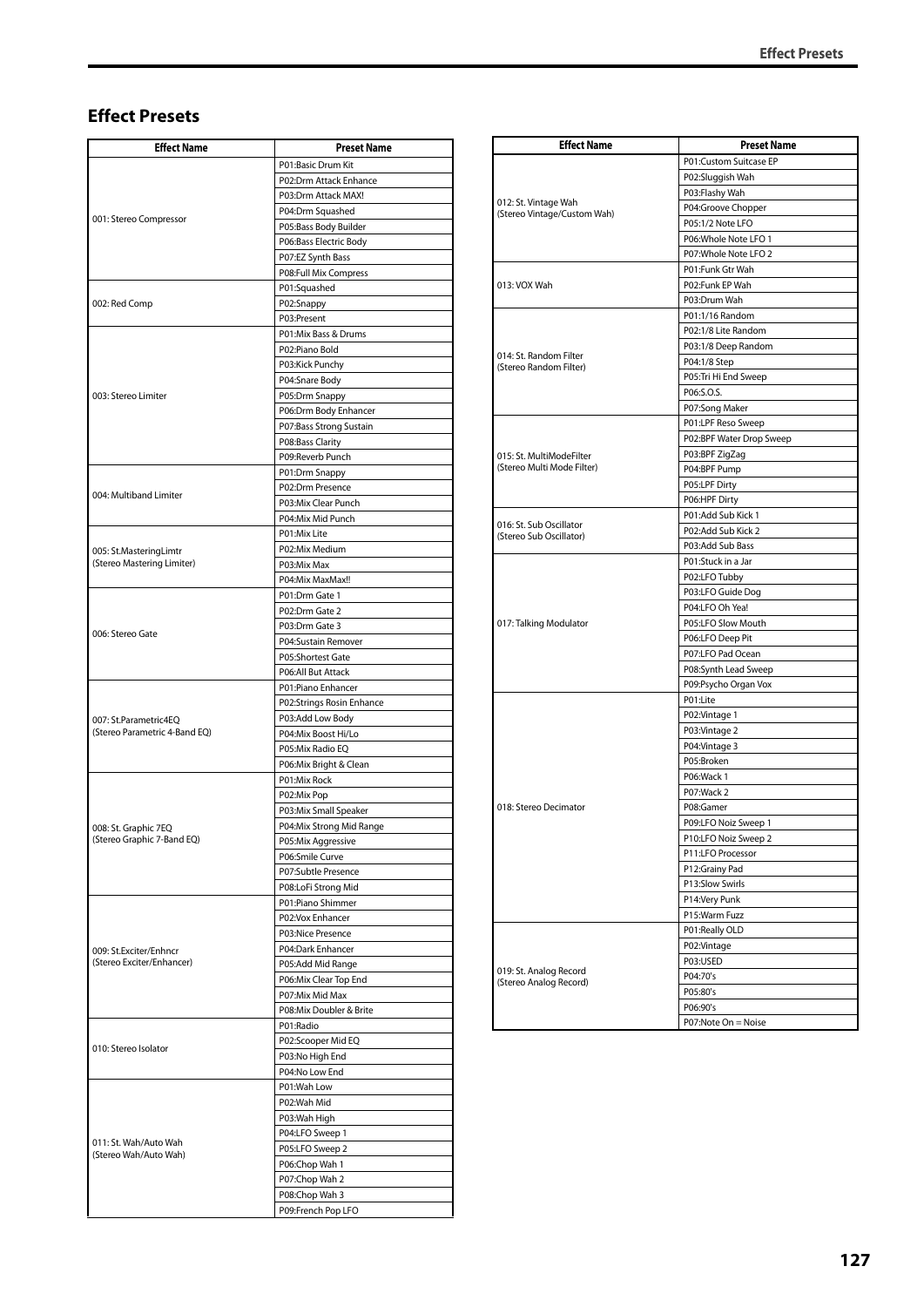## **Effect Presets**

| <b>Effect Name</b>                                   | <b>Preset Name</b>                    |
|------------------------------------------------------|---------------------------------------|
|                                                      | P01:Basic Drum Kit                    |
|                                                      | P02:Drm Attack Enhance                |
|                                                      | P03:Drm Attack MAX!                   |
| 001: Stereo Compressor                               | P04:Drm Squashed                      |
|                                                      | P05:Bass Body Builder                 |
|                                                      | P06:Bass Electric Body                |
|                                                      | P07:EZ Synth Bass                     |
|                                                      | P08:Full Mix Compress                 |
|                                                      | P01:Squashed                          |
| 002: Red Comp                                        | P02:Snappy                            |
|                                                      | P03:Present<br>P01:Mix Bass & Drums   |
|                                                      | P02:Piano Bold                        |
|                                                      | P03:Kick Punchy                       |
|                                                      | P04:Snare Body                        |
| 003: Stereo Limiter                                  | P05:Drm Snappy                        |
|                                                      | P06:Drm Body Enhancer                 |
|                                                      | P07:Bass Strong Sustain               |
|                                                      | P08:Bass Clarity                      |
|                                                      | P09:Reverb Punch                      |
|                                                      | P01:Drm Snappy                        |
| 004: Multiband Limiter                               | P02:Drm Presence                      |
|                                                      | P03:Mix Clear Punch                   |
|                                                      | P04:Mix Mid Punch                     |
|                                                      | P01:Mix Lite                          |
| 005: St.MasteringLimtr<br>(Stereo Mastering Limiter) | P02:Mix Medium                        |
|                                                      | P03:Mix Max                           |
|                                                      | P04:Mix MaxMax!!<br>P01:Drm Gate 1    |
|                                                      | P02:Drm Gate 2                        |
|                                                      | P03:Drm Gate 3                        |
| 006: Stereo Gate                                     | P04:Sustain Remover                   |
|                                                      | P05:Shortest Gate                     |
|                                                      | P06:All But Attack                    |
|                                                      | P01:Piano Enhancer                    |
|                                                      | P02:Strings Rosin Enhance             |
| 007: St.Parametric4EQ                                | P03:Add Low Body                      |
| (Stereo Parametric 4-Band EQ)                        | P04:Mix Boost Hi/Lo                   |
|                                                      | P05:Mix Radio EQ                      |
|                                                      | P06:Mix Bright & Clean                |
|                                                      | P01:Mix Rock                          |
|                                                      | P02:Mix Pop                           |
|                                                      | P03:Mix Small Speaker                 |
| 008: St. Graphic 7EQ<br>(Stereo Graphic 7-Band EQ)   | P04:Mix Strong Mid Range              |
|                                                      | P05:Mix Aggressive<br>P06:Smile Curve |
|                                                      | P07:Subtle Presence                   |
|                                                      | P08:LoFi Strong Mid                   |
|                                                      | P01:Piano Shimmer                     |
|                                                      | P02:Vox Enhancer                      |
|                                                      | P03:Nice Presence                     |
| 009: St.Exciter/Enhncr                               | P04:Dark Enhancer                     |
| (Stereo Exciter/Enhancer)                            | P05:Add Mid Range                     |
|                                                      | P06:Mix Clear Top End                 |
|                                                      | P07:Mix Mid Max                       |
|                                                      | P08:Mix Doubler & Brite               |
|                                                      | P01:Radio                             |
| 010: Stereo Isolator                                 | P02:Scooper Mid EQ<br>P03:No High End |
|                                                      | P04:No Low End                        |
|                                                      | P01:Wah Low                           |
|                                                      | P02:Wah Mid                           |
|                                                      | P03:Wah High                          |
|                                                      | P04:LFO Sweep 1                       |
| 011: St. Wah/Auto Wah<br>(Stereo Wah/Auto Wah)       | P05:LFO Sweep 2                       |
|                                                      | P06:Chop Wah 1                        |
|                                                      | P07:Chop Wah 2                        |
|                                                      | P08:Chop Wah 3                        |
|                                                      | P09:French Pop LFO                    |

| <b>Effect Name</b>                                  | <b>Preset Name</b>       |
|-----------------------------------------------------|--------------------------|
|                                                     | P01:Custom Suitcase EP   |
|                                                     | P02:Sluggish Wah         |
|                                                     | P03:Flashy Wah           |
| 012: St. Vintage Wah<br>(Stereo Vintage/Custom Wah) | P04:Groove Chopper       |
|                                                     | P05:1/2 Note LFO         |
|                                                     | P06: Whole Note LFO 1    |
|                                                     | P07: Whole Note LFO 2    |
|                                                     | P01:Funk Gtr Wah         |
| 013: VOX Wah                                        | P02:Funk EP Wah          |
|                                                     | P03:Drum Wah             |
|                                                     | P01:1/16 Random          |
|                                                     | P02:1/8 Lite Random      |
|                                                     | P03:1/8 Deep Random      |
| 014: St. Random Filter<br>(Stereo Random Filter)    | P04:1/8 Step             |
|                                                     | P05:Tri Hi End Sweep     |
|                                                     | P06:S.O.S.               |
|                                                     | P07:Song Maker           |
|                                                     | P01:LPF Reso Sweep       |
|                                                     | P02:BPF Water Drop Sweep |
| 015: St. MultiModeFilter                            | P03:BPF ZigZag           |
| (Stereo Multi Mode Filter)                          | P04:BPF Pump             |
|                                                     | P05:LPF Dirty            |
|                                                     | P06:HPF Dirty            |
|                                                     | P01:Add Sub Kick 1       |
| 016: St. Sub Oscillator                             | P02:Add Sub Kick 2       |
| (Stereo Sub Oscillator)                             | P03:Add Sub Bass         |
|                                                     | P01:Stuck in a Jar       |
|                                                     | P02:LFO Tubby            |
|                                                     | P03:LFO Guide Dog        |
|                                                     | P04:LFO Oh Yea!          |
| 017: Talking Modulator                              | P05:LFO Slow Mouth       |
|                                                     | P06:LFO Deep Pit         |
|                                                     | P07:LFO Pad Ocean        |
|                                                     | P08:Synth Lead Sweep     |
|                                                     | P09:Psycho Organ Vox     |
|                                                     | P01:Lite                 |
|                                                     |                          |
|                                                     | P02: Vintage 1           |
|                                                     | P03: Vintage 2           |
|                                                     | P04: Vintage 3           |
|                                                     | P05:Broken               |
|                                                     | P06:Wack 1               |
|                                                     | P07:Wack 2               |
| 018: Stereo Decimator                               | P08:Gamer                |
|                                                     | P09:LFO Noiz Sweep 1     |
|                                                     | P10:LFO Noiz Sweep 2     |
|                                                     | P11:LFO Processor        |
|                                                     | P12:Grainy Pad           |
|                                                     | P13:Slow Swirls          |
|                                                     | P14:Very Punk            |
|                                                     | P15:Warm Fuzz            |
|                                                     | P01:Really OLD           |
|                                                     | P02:Vintage              |
|                                                     | P03:USED                 |
| 019: St. Analog Record<br>(Stereo Analog Record)    | P04:70's                 |
|                                                     | P05:80's                 |
|                                                     | P06:90's                 |
|                                                     | P07:Note On = Noise      |
|                                                     |                          |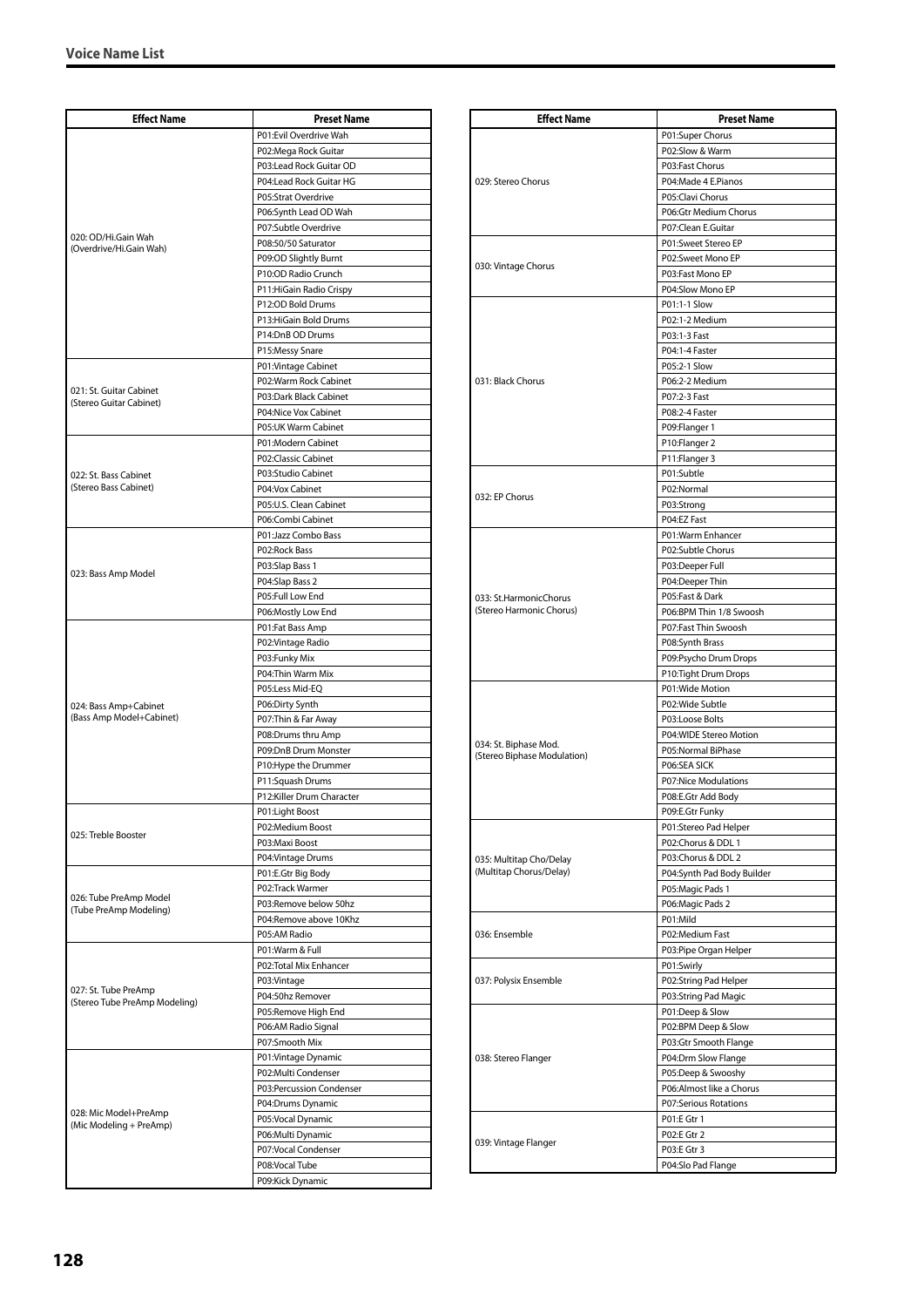| <b>Effect Name</b>                                    | <b>Preset Name</b>                              |
|-------------------------------------------------------|-------------------------------------------------|
|                                                       | P01:Evil Overdrive Wah                          |
|                                                       | P02:Mega Rock Guitar                            |
|                                                       | P03:Lead Rock Guitar OD                         |
|                                                       | P04:Lead Rock Guitar HG                         |
|                                                       | P05:Strat Overdrive                             |
|                                                       | P06:Synth Lead OD Wah                           |
| 020: OD/Hi.Gain Wah                                   | P07:Subtle Overdrive                            |
| (Overdrive/Hi.Gain Wah)                               | P08:50/50 Saturator                             |
|                                                       | P09:OD Slightly Burnt<br>P10:OD Radio Crunch    |
|                                                       | P11: HiGain Radio Crispy                        |
|                                                       | P12:OD Bold Drums                               |
|                                                       | P13: HiGain Bold Drums                          |
|                                                       | P14:DnB OD Drums                                |
|                                                       | P15:Messy Snare                                 |
|                                                       | P01: Vintage Cabinet                            |
| 021: St. Guitar Cabinet                               | P02:Warm Rock Cabinet                           |
| (Stereo Guitar Cabinet)                               | P03:Dark Black Cabinet                          |
|                                                       | P04:Nice Vox Cabinet<br>P05:UK Warm Cabinet     |
|                                                       | P01:Modern Cabinet                              |
|                                                       | P02:Classic Cabinet                             |
| 022: St. Bass Cabinet                                 | P03:Studio Cabinet                              |
| (Stereo Bass Cabinet)                                 | P04:Vox Cabinet                                 |
|                                                       | P05:U.S. Clean Cabinet                          |
|                                                       | P06:Combi Cabinet                               |
|                                                       | P01:Jazz Combo Bass                             |
|                                                       | P02:Rock Bass                                   |
| 023: Bass Amp Model                                   | P03:Slap Bass 1                                 |
|                                                       | P04:Slap Bass 2                                 |
|                                                       | P05:Full Low End                                |
|                                                       | P06:Mostly Low End<br>P01:Fat Bass Amp          |
|                                                       | P02: Vintage Radio                              |
|                                                       | P03:Funky Mix                                   |
|                                                       | P04: Thin Warm Mix                              |
|                                                       | P05:Less Mid-EQ                                 |
| 024: Bass Amp+Cabinet                                 | P06:Dirty Synth                                 |
| (Bass Amp Model+Cabinet)                              | P07: Thin & Far Away                            |
|                                                       | P08:Drums thru Amp                              |
|                                                       | P09:DnB Drum Monster<br>P10: Hype the Drummer   |
|                                                       | P11:Squash Drums                                |
|                                                       | P12:Killer Drum Character                       |
|                                                       | P01:Light Boost                                 |
|                                                       | P02:Medium Boost                                |
| 025: Treble Booster                                   | P03:Maxi Boost                                  |
|                                                       | P04: Vintage Drums                              |
|                                                       | P01:E.Gtr Big Body                              |
| 026: Tube PreAmp Model                                | P02:Track Warmer                                |
| (Tube PreAmp Modeling)                                | P03:Remove below 50hz<br>P04:Remove above 10Khz |
|                                                       | P05:AM Radio                                    |
|                                                       | P01:Warm & Full                                 |
|                                                       | P02:Total Mix Enhancer                          |
|                                                       | P03:Vintage                                     |
| 027: St. Tube PreAmp<br>(Stereo Tube PreAmp Modeling) | P04:50hz Remover                                |
|                                                       | P05:Remove High End                             |
|                                                       | P06:AM Radio Signal                             |
|                                                       | P07:Smooth Mix                                  |
|                                                       | P01:Vintage Dynamic                             |
|                                                       | P02:Multi Condenser                             |
|                                                       | P03:Percussion Condenser<br>P04:Drums Dynamic   |
| 028: Mic Model+PreAmp                                 | P05:Vocal Dynamic                               |
| (Mic Modeling + PreAmp)                               | P06:Multi Dynamic                               |
|                                                       | P07:Vocal Condenser                             |
|                                                       | P08:Vocal Tube                                  |
|                                                       | P09:Kick Dynamic                                |

| <b>Effect Name</b>          | <b>Preset Name</b>                        |
|-----------------------------|-------------------------------------------|
|                             | P01:Super Chorus                          |
|                             | P02:Slow & Warm                           |
|                             | P03:Fast Chorus                           |
| 029: Stereo Chorus          | P04:Made 4 E.Pianos                       |
|                             | P05:Clavi Chorus                          |
|                             | P06:Gtr Medium Chorus                     |
|                             | P07:Clean E.Guitar                        |
|                             | P01:Sweet Stereo EP                       |
| 030: Vintage Chorus         | P02:Sweet Mono EP                         |
|                             | P03:Fast Mono EP<br>P04:Slow Mono EP      |
|                             | P01:1-1 Slow                              |
|                             | P02:1-2 Medium                            |
|                             | P03:1-3 Fast                              |
|                             | P04:1-4 Faster                            |
|                             | P05:2-1 Slow                              |
| 031: Black Chorus           | P06:2-2 Medium                            |
|                             | P07:2-3 Fast                              |
|                             | P08:2-4 Faster                            |
|                             | P09:Flanger 1                             |
|                             | P10:Flanger 2                             |
|                             | P11:Flanger 3                             |
|                             | P01:Subtle                                |
| 032: EP Chorus              | P02:Normal                                |
|                             | P03:Strong<br>P04:EZ Fast                 |
|                             | P01:Warm Enhancer                         |
|                             | P02:Subtle Chorus                         |
|                             | P03:Deeper Full                           |
|                             | P04:Deeper Thin                           |
| 033: St.HarmonicChorus      | P05:Fast & Dark                           |
| (Stereo Harmonic Chorus)    | P06:BPM Thin 1/8 Swoosh                   |
|                             | P07:Fast Thin Swoosh                      |
|                             | P08:Synth Brass                           |
|                             | P09:Psycho Drum Drops                     |
|                             | P10:Tight Drum Drops                      |
|                             | P01:Wide Motion                           |
|                             | P02:Wide Subtle                           |
|                             | P03:Loose Bolts<br>P04:WIDE Stereo Motion |
| 034: St. Biphase Mod.       | P05:Normal BiPhase                        |
| (Stereo Biphase Modulation) | P06:SEA SICK                              |
|                             | P07:Nice Modulations                      |
|                             | P08:E.Gtr Add Body                        |
|                             | P09:E.Gtr Funky                           |
|                             | P01:Stereo Pad Helper                     |
|                             | P02:Chorus & DDL 1                        |
| 035: Multitap Cho/Delay     | P03:Chorus & DDL 2                        |
| (Multitap Chorus/Delay)     | P04:Synth Pad Body Builder                |
|                             | P05: Magic Pads 1                         |
|                             | P06: Magic Pads 2                         |
| 036: Ensemble               | P01:Mild<br>P02:Medium Fast               |
|                             | P03:Pipe Organ Helper                     |
|                             | P01:Swirly                                |
| 037: Polysix Ensemble       | P02:String Pad Helper                     |
|                             | P03:String Pad Magic                      |
|                             | P01:Deep & Slow                           |
|                             | P02:BPM Deep & Slow                       |
|                             | P03:Gtr Smooth Flange                     |
| 038: Stereo Flanger         | P04:Drm Slow Flange                       |
|                             | P05:Deep & Swooshy                        |
|                             | P06:Almost like a Chorus                  |
|                             | P07:Serious Rotations                     |
|                             | P01:E Gtr 1<br>P02:E Gtr 2                |
| 039: Vintage Flanger        | P03:E Gtr 3                               |
|                             | P04:Slo Pad Flange                        |
|                             |                                           |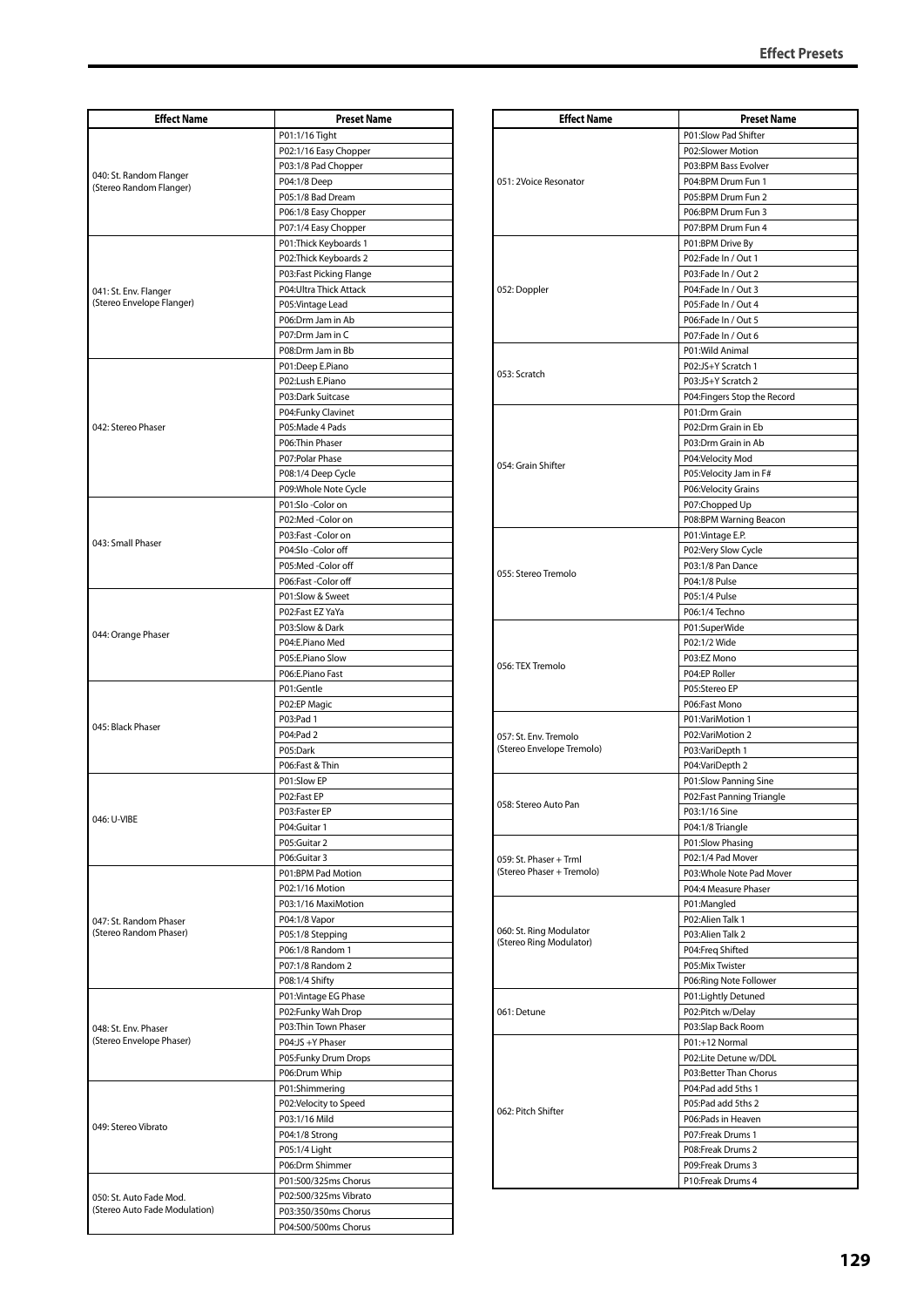| <b>Effect Name</b>                                       | <b>Preset Name</b>      |
|----------------------------------------------------------|-------------------------|
|                                                          | P01:1/16 Tight          |
|                                                          | P02:1/16 Easy Chopper   |
|                                                          | P03:1/8 Pad Chopper     |
| 040: St. Random Flanger                                  | P04:1/8 Deep            |
| (Stereo Random Flanger)                                  | P05:1/8 Bad Dream       |
|                                                          | P06:1/8 Easy Chopper    |
|                                                          | P07:1/4 Easy Chopper    |
|                                                          | P01: Thick Keyboards 1  |
|                                                          | P02:Thick Keyboards 2   |
|                                                          | P03:Fast Picking Flange |
| 041: St. Env. Flanger                                    | P04: Ultra Thick Attack |
| (Stereo Envelope Flanger)                                | P05: Vintage Lead       |
|                                                          | P06:Drm Jam in Ab       |
|                                                          | P07:Drm Jam in C        |
|                                                          | P08:Drm Jam in Bb       |
|                                                          | P01:Deep E.Piano        |
|                                                          | P02:Lush E.Piano        |
|                                                          | P03:Dark Suitcase       |
|                                                          | P04:Funky Clavinet      |
| 042: Stereo Phaser                                       | P05:Made 4 Pads         |
|                                                          | P06:Thin Phaser         |
|                                                          | P07: Polar Phase        |
|                                                          | P08:1/4 Deep Cycle      |
|                                                          | P09: Whole Note Cycle   |
|                                                          | P01:Slo-Color on        |
|                                                          | P02:Med-Color on        |
|                                                          | P03:Fast -Color on      |
| 043: Small Phaser                                        | P04:Slo-Color off       |
|                                                          | P05:Med-Color off       |
|                                                          | P06:Fast -Color off     |
|                                                          | P01:Slow & Sweet        |
|                                                          | P02:Fast EZ YaYa        |
|                                                          | P03:Slow & Dark         |
| 044: Orange Phaser                                       | P04:E.Piano Med         |
|                                                          | P05:E.Piano Slow        |
|                                                          | P06:E.Piano Fast        |
|                                                          | P01:Gentle              |
|                                                          | P02:EP Magic            |
| 045: Black Phaser                                        | P03:Pad 1               |
|                                                          | P04:Pad 2               |
|                                                          | P05:Dark                |
|                                                          | P06:Fast & Thin         |
|                                                          | P01:Slow EP             |
|                                                          | P02:Fast EP             |
| 046: U-VIBE                                              | P03:Faster EP           |
|                                                          | P04:Guitar 1            |
|                                                          | P05:Guitar 2            |
|                                                          | P06:Guitar 3            |
|                                                          | P01:BPM Pad Motion      |
| 047: St. Random Phaser<br>(Stereo Random Phaser)         | P02:1/16 Motion         |
|                                                          | P03:1/16 MaxiMotion     |
|                                                          | P04:1/8 Vapor           |
|                                                          | P05:1/8 Stepping        |
|                                                          | P06:1/8 Random 1        |
|                                                          | P07:1/8 Random 2        |
|                                                          | P08:1/4 Shifty          |
|                                                          | P01: Vintage EG Phase   |
| 048: St. Env. Phaser<br>(Stereo Envelope Phaser)         | P02:Funky Wah Drop      |
|                                                          | P03:Thin Town Phaser    |
|                                                          | P04:JS +Y Phaser        |
|                                                          | P05:Funky Drum Drops    |
|                                                          | P06:Drum Whip           |
| 049: Stereo Vibrato                                      | P01:Shimmering          |
|                                                          | P02:Velocity to Speed   |
|                                                          | P03:1/16 Mild           |
|                                                          | P04:1/8 Strong          |
|                                                          | P05:1/4 Light           |
|                                                          | P06:Drm Shimmer         |
|                                                          | P01:500/325ms Chorus    |
| 050: St. Auto Fade Mod.<br>(Stereo Auto Fade Modulation) | P02:500/325ms Vibrato   |
|                                                          | P03:350/350ms Chorus    |
|                                                          | P04:500/500ms Chorus    |

| P01:Slow Pad Shifter<br>P02:Slower Motion<br>P03:BPM Bass Evolver<br>P04:BPM Drum Fun 1<br>051: 2Voice Resonator<br>P05:BPM Drum Fun 2<br>P06:BPM Drum Fun 3<br>P07:BPM Drum Fun 4<br>P01:BPM Drive By<br>P02:Fade In / Out 1<br>P03:Fade In / Out 2<br>P04:Fade In / Out 3<br>052: Doppler<br>P05:Fade In / Out 4<br>P06:Fade In / Out 5<br>P07:Fade In / Out 6<br>P01:Wild Animal<br>P02:JS+Y Scratch 1<br>053: Scratch<br>P03:JS+Y Scratch 2<br>P04: Fingers Stop the Record<br>P01:Drm Grain<br>P02:Drm Grain in Eb<br>P03:Drm Grain in Ab<br>P04:Velocity Mod<br>054: Grain Shifter<br>P05:Velocity Jam in F#<br>P06:Velocity Grains<br>P07:Chopped Up<br>P08:BPM Warning Beacon<br>P01:Vintage E.P.<br>P02:Very Slow Cycle<br>P03:1/8 Pan Dance<br>055: Stereo Tremolo<br>P04:1/8 Pulse<br>P05:1/4 Pulse<br>P06:1/4 Techno<br>P01:SuperWide<br>P02:1/2 Wide<br>P03:EZ Mono<br>056: TEX Tremolo<br>P04:EP Roller<br>P05:Stereo EP<br>P06:Fast Mono<br>P01:VariMotion 1<br>P02:VariMotion 2<br>057: St. Env. Tremolo<br>(Stereo Envelope Tremolo)<br>P03:VariDepth 1<br>P04: VariDepth 2<br>P01:Slow Panning Sine<br>P02:Fast Panning Triangle<br>058: Stereo Auto Pan<br>P03:1/16 Sine<br>P04:1/8 Triangle<br>P01:Slow Phasing<br>P02:1/4 Pad Mover<br>059: St. Phaser + Trml<br>(Stereo Phaser + Tremolo)<br>P03: Whole Note Pad Mover<br>P04:4 Measure Phaser<br>P01:Mangled<br>P02:Alien Talk 1<br>060: St. Ring Modulator<br>P03:Alien Talk 2<br>(Stereo Ring Modulator)<br>P04:Freq Shifted<br>P05:Mix Twister<br>P06:Ring Note Follower<br>P01:Lightly Detuned<br>061: Detune<br>P02:Pitch w/Delay<br>P03:Slap Back Room<br>P01:+12 Normal<br>P02:Lite Detune w/DDL<br>P03:Better Than Chorus | <b>Effect Name</b> | <b>Preset Name</b> |
|----------------------------------------------------------------------------------------------------------------------------------------------------------------------------------------------------------------------------------------------------------------------------------------------------------------------------------------------------------------------------------------------------------------------------------------------------------------------------------------------------------------------------------------------------------------------------------------------------------------------------------------------------------------------------------------------------------------------------------------------------------------------------------------------------------------------------------------------------------------------------------------------------------------------------------------------------------------------------------------------------------------------------------------------------------------------------------------------------------------------------------------------------------------------------------------------------------------------------------------------------------------------------------------------------------------------------------------------------------------------------------------------------------------------------------------------------------------------------------------------------------------------------------------------------------------------------------------------------------------------------------------------------------------------------------------------------------|--------------------|--------------------|
|                                                                                                                                                                                                                                                                                                                                                                                                                                                                                                                                                                                                                                                                                                                                                                                                                                                                                                                                                                                                                                                                                                                                                                                                                                                                                                                                                                                                                                                                                                                                                                                                                                                                                                          |                    |                    |
|                                                                                                                                                                                                                                                                                                                                                                                                                                                                                                                                                                                                                                                                                                                                                                                                                                                                                                                                                                                                                                                                                                                                                                                                                                                                                                                                                                                                                                                                                                                                                                                                                                                                                                          |                    |                    |
|                                                                                                                                                                                                                                                                                                                                                                                                                                                                                                                                                                                                                                                                                                                                                                                                                                                                                                                                                                                                                                                                                                                                                                                                                                                                                                                                                                                                                                                                                                                                                                                                                                                                                                          |                    |                    |
|                                                                                                                                                                                                                                                                                                                                                                                                                                                                                                                                                                                                                                                                                                                                                                                                                                                                                                                                                                                                                                                                                                                                                                                                                                                                                                                                                                                                                                                                                                                                                                                                                                                                                                          |                    |                    |
|                                                                                                                                                                                                                                                                                                                                                                                                                                                                                                                                                                                                                                                                                                                                                                                                                                                                                                                                                                                                                                                                                                                                                                                                                                                                                                                                                                                                                                                                                                                                                                                                                                                                                                          |                    |                    |
|                                                                                                                                                                                                                                                                                                                                                                                                                                                                                                                                                                                                                                                                                                                                                                                                                                                                                                                                                                                                                                                                                                                                                                                                                                                                                                                                                                                                                                                                                                                                                                                                                                                                                                          |                    |                    |
|                                                                                                                                                                                                                                                                                                                                                                                                                                                                                                                                                                                                                                                                                                                                                                                                                                                                                                                                                                                                                                                                                                                                                                                                                                                                                                                                                                                                                                                                                                                                                                                                                                                                                                          |                    |                    |
|                                                                                                                                                                                                                                                                                                                                                                                                                                                                                                                                                                                                                                                                                                                                                                                                                                                                                                                                                                                                                                                                                                                                                                                                                                                                                                                                                                                                                                                                                                                                                                                                                                                                                                          |                    |                    |
|                                                                                                                                                                                                                                                                                                                                                                                                                                                                                                                                                                                                                                                                                                                                                                                                                                                                                                                                                                                                                                                                                                                                                                                                                                                                                                                                                                                                                                                                                                                                                                                                                                                                                                          |                    |                    |
|                                                                                                                                                                                                                                                                                                                                                                                                                                                                                                                                                                                                                                                                                                                                                                                                                                                                                                                                                                                                                                                                                                                                                                                                                                                                                                                                                                                                                                                                                                                                                                                                                                                                                                          |                    |                    |
|                                                                                                                                                                                                                                                                                                                                                                                                                                                                                                                                                                                                                                                                                                                                                                                                                                                                                                                                                                                                                                                                                                                                                                                                                                                                                                                                                                                                                                                                                                                                                                                                                                                                                                          |                    |                    |
|                                                                                                                                                                                                                                                                                                                                                                                                                                                                                                                                                                                                                                                                                                                                                                                                                                                                                                                                                                                                                                                                                                                                                                                                                                                                                                                                                                                                                                                                                                                                                                                                                                                                                                          |                    |                    |
|                                                                                                                                                                                                                                                                                                                                                                                                                                                                                                                                                                                                                                                                                                                                                                                                                                                                                                                                                                                                                                                                                                                                                                                                                                                                                                                                                                                                                                                                                                                                                                                                                                                                                                          |                    |                    |
|                                                                                                                                                                                                                                                                                                                                                                                                                                                                                                                                                                                                                                                                                                                                                                                                                                                                                                                                                                                                                                                                                                                                                                                                                                                                                                                                                                                                                                                                                                                                                                                                                                                                                                          |                    |                    |
|                                                                                                                                                                                                                                                                                                                                                                                                                                                                                                                                                                                                                                                                                                                                                                                                                                                                                                                                                                                                                                                                                                                                                                                                                                                                                                                                                                                                                                                                                                                                                                                                                                                                                                          |                    |                    |
|                                                                                                                                                                                                                                                                                                                                                                                                                                                                                                                                                                                                                                                                                                                                                                                                                                                                                                                                                                                                                                                                                                                                                                                                                                                                                                                                                                                                                                                                                                                                                                                                                                                                                                          |                    |                    |
|                                                                                                                                                                                                                                                                                                                                                                                                                                                                                                                                                                                                                                                                                                                                                                                                                                                                                                                                                                                                                                                                                                                                                                                                                                                                                                                                                                                                                                                                                                                                                                                                                                                                                                          |                    |                    |
|                                                                                                                                                                                                                                                                                                                                                                                                                                                                                                                                                                                                                                                                                                                                                                                                                                                                                                                                                                                                                                                                                                                                                                                                                                                                                                                                                                                                                                                                                                                                                                                                                                                                                                          |                    |                    |
|                                                                                                                                                                                                                                                                                                                                                                                                                                                                                                                                                                                                                                                                                                                                                                                                                                                                                                                                                                                                                                                                                                                                                                                                                                                                                                                                                                                                                                                                                                                                                                                                                                                                                                          |                    |                    |
|                                                                                                                                                                                                                                                                                                                                                                                                                                                                                                                                                                                                                                                                                                                                                                                                                                                                                                                                                                                                                                                                                                                                                                                                                                                                                                                                                                                                                                                                                                                                                                                                                                                                                                          |                    |                    |
|                                                                                                                                                                                                                                                                                                                                                                                                                                                                                                                                                                                                                                                                                                                                                                                                                                                                                                                                                                                                                                                                                                                                                                                                                                                                                                                                                                                                                                                                                                                                                                                                                                                                                                          |                    |                    |
|                                                                                                                                                                                                                                                                                                                                                                                                                                                                                                                                                                                                                                                                                                                                                                                                                                                                                                                                                                                                                                                                                                                                                                                                                                                                                                                                                                                                                                                                                                                                                                                                                                                                                                          |                    |                    |
|                                                                                                                                                                                                                                                                                                                                                                                                                                                                                                                                                                                                                                                                                                                                                                                                                                                                                                                                                                                                                                                                                                                                                                                                                                                                                                                                                                                                                                                                                                                                                                                                                                                                                                          |                    |                    |
|                                                                                                                                                                                                                                                                                                                                                                                                                                                                                                                                                                                                                                                                                                                                                                                                                                                                                                                                                                                                                                                                                                                                                                                                                                                                                                                                                                                                                                                                                                                                                                                                                                                                                                          |                    |                    |
|                                                                                                                                                                                                                                                                                                                                                                                                                                                                                                                                                                                                                                                                                                                                                                                                                                                                                                                                                                                                                                                                                                                                                                                                                                                                                                                                                                                                                                                                                                                                                                                                                                                                                                          |                    |                    |
|                                                                                                                                                                                                                                                                                                                                                                                                                                                                                                                                                                                                                                                                                                                                                                                                                                                                                                                                                                                                                                                                                                                                                                                                                                                                                                                                                                                                                                                                                                                                                                                                                                                                                                          |                    |                    |
|                                                                                                                                                                                                                                                                                                                                                                                                                                                                                                                                                                                                                                                                                                                                                                                                                                                                                                                                                                                                                                                                                                                                                                                                                                                                                                                                                                                                                                                                                                                                                                                                                                                                                                          |                    |                    |
|                                                                                                                                                                                                                                                                                                                                                                                                                                                                                                                                                                                                                                                                                                                                                                                                                                                                                                                                                                                                                                                                                                                                                                                                                                                                                                                                                                                                                                                                                                                                                                                                                                                                                                          |                    |                    |
|                                                                                                                                                                                                                                                                                                                                                                                                                                                                                                                                                                                                                                                                                                                                                                                                                                                                                                                                                                                                                                                                                                                                                                                                                                                                                                                                                                                                                                                                                                                                                                                                                                                                                                          |                    |                    |
|                                                                                                                                                                                                                                                                                                                                                                                                                                                                                                                                                                                                                                                                                                                                                                                                                                                                                                                                                                                                                                                                                                                                                                                                                                                                                                                                                                                                                                                                                                                                                                                                                                                                                                          |                    |                    |
|                                                                                                                                                                                                                                                                                                                                                                                                                                                                                                                                                                                                                                                                                                                                                                                                                                                                                                                                                                                                                                                                                                                                                                                                                                                                                                                                                                                                                                                                                                                                                                                                                                                                                                          |                    |                    |
|                                                                                                                                                                                                                                                                                                                                                                                                                                                                                                                                                                                                                                                                                                                                                                                                                                                                                                                                                                                                                                                                                                                                                                                                                                                                                                                                                                                                                                                                                                                                                                                                                                                                                                          |                    |                    |
|                                                                                                                                                                                                                                                                                                                                                                                                                                                                                                                                                                                                                                                                                                                                                                                                                                                                                                                                                                                                                                                                                                                                                                                                                                                                                                                                                                                                                                                                                                                                                                                                                                                                                                          |                    |                    |
|                                                                                                                                                                                                                                                                                                                                                                                                                                                                                                                                                                                                                                                                                                                                                                                                                                                                                                                                                                                                                                                                                                                                                                                                                                                                                                                                                                                                                                                                                                                                                                                                                                                                                                          |                    |                    |
|                                                                                                                                                                                                                                                                                                                                                                                                                                                                                                                                                                                                                                                                                                                                                                                                                                                                                                                                                                                                                                                                                                                                                                                                                                                                                                                                                                                                                                                                                                                                                                                                                                                                                                          |                    |                    |
|                                                                                                                                                                                                                                                                                                                                                                                                                                                                                                                                                                                                                                                                                                                                                                                                                                                                                                                                                                                                                                                                                                                                                                                                                                                                                                                                                                                                                                                                                                                                                                                                                                                                                                          |                    |                    |
|                                                                                                                                                                                                                                                                                                                                                                                                                                                                                                                                                                                                                                                                                                                                                                                                                                                                                                                                                                                                                                                                                                                                                                                                                                                                                                                                                                                                                                                                                                                                                                                                                                                                                                          |                    |                    |
|                                                                                                                                                                                                                                                                                                                                                                                                                                                                                                                                                                                                                                                                                                                                                                                                                                                                                                                                                                                                                                                                                                                                                                                                                                                                                                                                                                                                                                                                                                                                                                                                                                                                                                          |                    |                    |
|                                                                                                                                                                                                                                                                                                                                                                                                                                                                                                                                                                                                                                                                                                                                                                                                                                                                                                                                                                                                                                                                                                                                                                                                                                                                                                                                                                                                                                                                                                                                                                                                                                                                                                          |                    |                    |
|                                                                                                                                                                                                                                                                                                                                                                                                                                                                                                                                                                                                                                                                                                                                                                                                                                                                                                                                                                                                                                                                                                                                                                                                                                                                                                                                                                                                                                                                                                                                                                                                                                                                                                          |                    |                    |
|                                                                                                                                                                                                                                                                                                                                                                                                                                                                                                                                                                                                                                                                                                                                                                                                                                                                                                                                                                                                                                                                                                                                                                                                                                                                                                                                                                                                                                                                                                                                                                                                                                                                                                          |                    |                    |
|                                                                                                                                                                                                                                                                                                                                                                                                                                                                                                                                                                                                                                                                                                                                                                                                                                                                                                                                                                                                                                                                                                                                                                                                                                                                                                                                                                                                                                                                                                                                                                                                                                                                                                          |                    |                    |
|                                                                                                                                                                                                                                                                                                                                                                                                                                                                                                                                                                                                                                                                                                                                                                                                                                                                                                                                                                                                                                                                                                                                                                                                                                                                                                                                                                                                                                                                                                                                                                                                                                                                                                          |                    |                    |
|                                                                                                                                                                                                                                                                                                                                                                                                                                                                                                                                                                                                                                                                                                                                                                                                                                                                                                                                                                                                                                                                                                                                                                                                                                                                                                                                                                                                                                                                                                                                                                                                                                                                                                          |                    |                    |
|                                                                                                                                                                                                                                                                                                                                                                                                                                                                                                                                                                                                                                                                                                                                                                                                                                                                                                                                                                                                                                                                                                                                                                                                                                                                                                                                                                                                                                                                                                                                                                                                                                                                                                          |                    |                    |
|                                                                                                                                                                                                                                                                                                                                                                                                                                                                                                                                                                                                                                                                                                                                                                                                                                                                                                                                                                                                                                                                                                                                                                                                                                                                                                                                                                                                                                                                                                                                                                                                                                                                                                          |                    |                    |
|                                                                                                                                                                                                                                                                                                                                                                                                                                                                                                                                                                                                                                                                                                                                                                                                                                                                                                                                                                                                                                                                                                                                                                                                                                                                                                                                                                                                                                                                                                                                                                                                                                                                                                          |                    |                    |
|                                                                                                                                                                                                                                                                                                                                                                                                                                                                                                                                                                                                                                                                                                                                                                                                                                                                                                                                                                                                                                                                                                                                                                                                                                                                                                                                                                                                                                                                                                                                                                                                                                                                                                          |                    |                    |
|                                                                                                                                                                                                                                                                                                                                                                                                                                                                                                                                                                                                                                                                                                                                                                                                                                                                                                                                                                                                                                                                                                                                                                                                                                                                                                                                                                                                                                                                                                                                                                                                                                                                                                          |                    |                    |
|                                                                                                                                                                                                                                                                                                                                                                                                                                                                                                                                                                                                                                                                                                                                                                                                                                                                                                                                                                                                                                                                                                                                                                                                                                                                                                                                                                                                                                                                                                                                                                                                                                                                                                          |                    |                    |
|                                                                                                                                                                                                                                                                                                                                                                                                                                                                                                                                                                                                                                                                                                                                                                                                                                                                                                                                                                                                                                                                                                                                                                                                                                                                                                                                                                                                                                                                                                                                                                                                                                                                                                          |                    |                    |
|                                                                                                                                                                                                                                                                                                                                                                                                                                                                                                                                                                                                                                                                                                                                                                                                                                                                                                                                                                                                                                                                                                                                                                                                                                                                                                                                                                                                                                                                                                                                                                                                                                                                                                          |                    |                    |
|                                                                                                                                                                                                                                                                                                                                                                                                                                                                                                                                                                                                                                                                                                                                                                                                                                                                                                                                                                                                                                                                                                                                                                                                                                                                                                                                                                                                                                                                                                                                                                                                                                                                                                          |                    |                    |
|                                                                                                                                                                                                                                                                                                                                                                                                                                                                                                                                                                                                                                                                                                                                                                                                                                                                                                                                                                                                                                                                                                                                                                                                                                                                                                                                                                                                                                                                                                                                                                                                                                                                                                          |                    |                    |
|                                                                                                                                                                                                                                                                                                                                                                                                                                                                                                                                                                                                                                                                                                                                                                                                                                                                                                                                                                                                                                                                                                                                                                                                                                                                                                                                                                                                                                                                                                                                                                                                                                                                                                          |                    |                    |
|                                                                                                                                                                                                                                                                                                                                                                                                                                                                                                                                                                                                                                                                                                                                                                                                                                                                                                                                                                                                                                                                                                                                                                                                                                                                                                                                                                                                                                                                                                                                                                                                                                                                                                          |                    |                    |
|                                                                                                                                                                                                                                                                                                                                                                                                                                                                                                                                                                                                                                                                                                                                                                                                                                                                                                                                                                                                                                                                                                                                                                                                                                                                                                                                                                                                                                                                                                                                                                                                                                                                                                          |                    |                    |
|                                                                                                                                                                                                                                                                                                                                                                                                                                                                                                                                                                                                                                                                                                                                                                                                                                                                                                                                                                                                                                                                                                                                                                                                                                                                                                                                                                                                                                                                                                                                                                                                                                                                                                          |                    |                    |
|                                                                                                                                                                                                                                                                                                                                                                                                                                                                                                                                                                                                                                                                                                                                                                                                                                                                                                                                                                                                                                                                                                                                                                                                                                                                                                                                                                                                                                                                                                                                                                                                                                                                                                          | 062: Pitch Shifter |                    |
|                                                                                                                                                                                                                                                                                                                                                                                                                                                                                                                                                                                                                                                                                                                                                                                                                                                                                                                                                                                                                                                                                                                                                                                                                                                                                                                                                                                                                                                                                                                                                                                                                                                                                                          |                    |                    |
|                                                                                                                                                                                                                                                                                                                                                                                                                                                                                                                                                                                                                                                                                                                                                                                                                                                                                                                                                                                                                                                                                                                                                                                                                                                                                                                                                                                                                                                                                                                                                                                                                                                                                                          |                    |                    |
|                                                                                                                                                                                                                                                                                                                                                                                                                                                                                                                                                                                                                                                                                                                                                                                                                                                                                                                                                                                                                                                                                                                                                                                                                                                                                                                                                                                                                                                                                                                                                                                                                                                                                                          |                    |                    |
| P04:Pad add 5ths 1                                                                                                                                                                                                                                                                                                                                                                                                                                                                                                                                                                                                                                                                                                                                                                                                                                                                                                                                                                                                                                                                                                                                                                                                                                                                                                                                                                                                                                                                                                                                                                                                                                                                                       |                    |                    |
| P05:Pad add 5ths 2                                                                                                                                                                                                                                                                                                                                                                                                                                                                                                                                                                                                                                                                                                                                                                                                                                                                                                                                                                                                                                                                                                                                                                                                                                                                                                                                                                                                                                                                                                                                                                                                                                                                                       |                    |                    |
| P06:Pads in Heaven                                                                                                                                                                                                                                                                                                                                                                                                                                                                                                                                                                                                                                                                                                                                                                                                                                                                                                                                                                                                                                                                                                                                                                                                                                                                                                                                                                                                                                                                                                                                                                                                                                                                                       |                    |                    |
| P07:Freak Drums 1                                                                                                                                                                                                                                                                                                                                                                                                                                                                                                                                                                                                                                                                                                                                                                                                                                                                                                                                                                                                                                                                                                                                                                                                                                                                                                                                                                                                                                                                                                                                                                                                                                                                                        |                    |                    |
| P08:Freak Drums 2                                                                                                                                                                                                                                                                                                                                                                                                                                                                                                                                                                                                                                                                                                                                                                                                                                                                                                                                                                                                                                                                                                                                                                                                                                                                                                                                                                                                                                                                                                                                                                                                                                                                                        |                    |                    |
| P09:Freak Drums 3                                                                                                                                                                                                                                                                                                                                                                                                                                                                                                                                                                                                                                                                                                                                                                                                                                                                                                                                                                                                                                                                                                                                                                                                                                                                                                                                                                                                                                                                                                                                                                                                                                                                                        |                    |                    |
| P10:Freak Drums 4                                                                                                                                                                                                                                                                                                                                                                                                                                                                                                                                                                                                                                                                                                                                                                                                                                                                                                                                                                                                                                                                                                                                                                                                                                                                                                                                                                                                                                                                                                                                                                                                                                                                                        |                    |                    |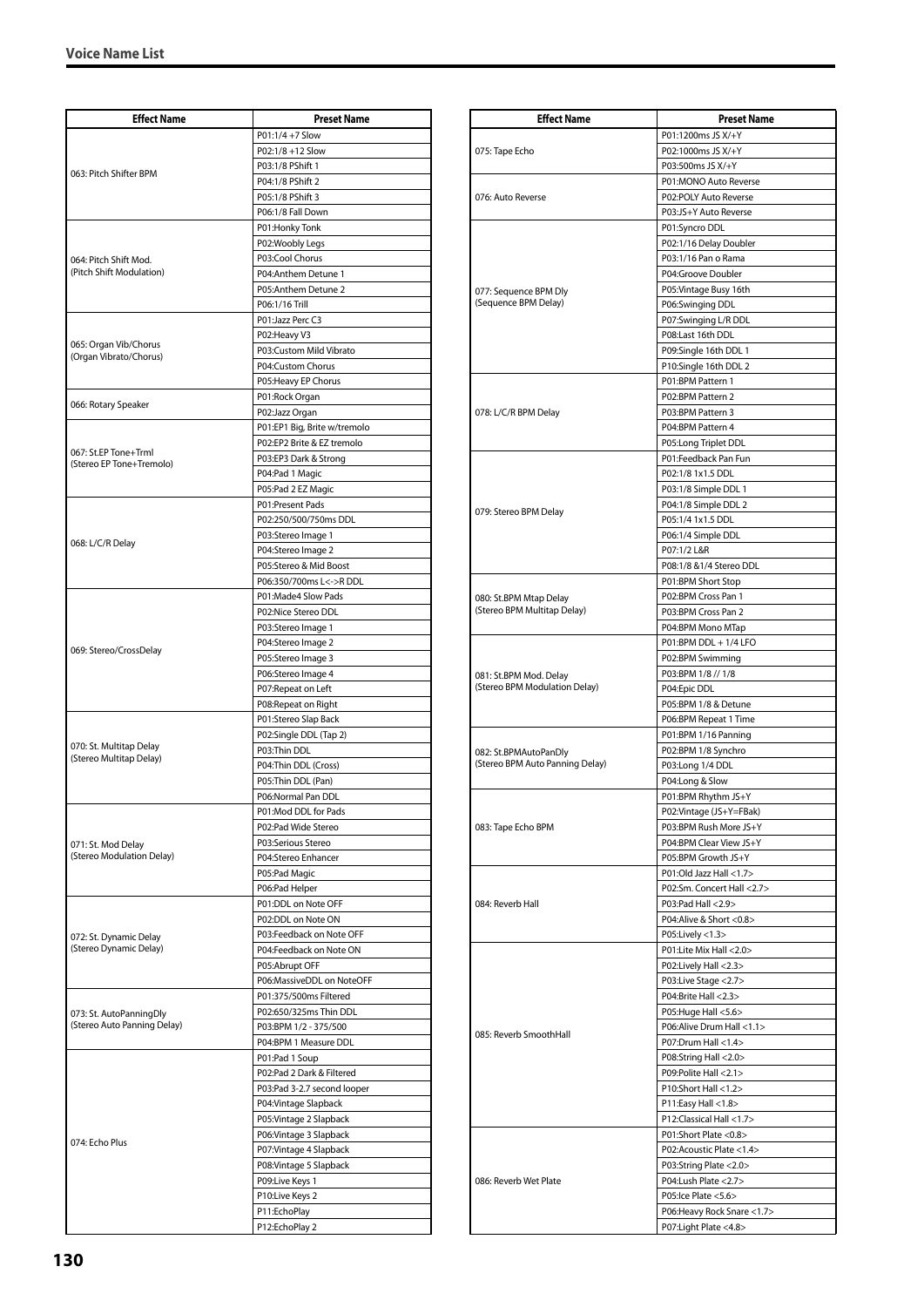| <b>Effect Name</b>                               | <b>Preset Name</b>                                   |
|--------------------------------------------------|------------------------------------------------------|
|                                                  | P01:1/4 +7 Slow                                      |
| 063: Pitch Shifter BPM                           | P02:1/8 +12 Slow                                     |
|                                                  | P03:1/8 PShift 1                                     |
|                                                  | P04:1/8 PShift 2                                     |
|                                                  | P05:1/8 PShift 3                                     |
|                                                  | P06:1/8 Fall Down                                    |
|                                                  | P01:Honky Tonk                                       |
|                                                  | P02:Woobly Legs                                      |
| 064: Pitch Shift Mod.                            | P03:Cool Chorus                                      |
| (Pitch Shift Modulation)                         | P04:Anthem Detune 1                                  |
|                                                  | P05:Anthem Detune 2                                  |
|                                                  | P06:1/16 Trill                                       |
|                                                  | P01:Jazz Perc C3                                     |
| 065: Organ Vib/Chorus                            | P02:Heavy V3                                         |
| (Organ Vibrato/Chorus)                           | P03:Custom Mild Vibrato<br>P04:Custom Chorus         |
|                                                  |                                                      |
|                                                  | P05:Heavy EP Chorus<br>P01:Rock Organ                |
| 066: Rotary Speaker                              | P02:Jazz Organ                                       |
|                                                  | P01:EP1 Big, Brite w/tremolo                         |
|                                                  | P02:EP2 Brite & EZ tremolo                           |
| 067: St.EP Tone+Trml                             | P03:EP3 Dark & Strong                                |
| (Stereo EP Tone+Tremolo)                         | P04:Pad 1 Magic                                      |
|                                                  | P05:Pad 2 EZ Magic                                   |
|                                                  | P01:Present Pads                                     |
|                                                  | P02:250/500/750ms DDL                                |
|                                                  | P03:Stereo Image 1                                   |
| 068: L/C/R Delay                                 | P04:Stereo Image 2                                   |
|                                                  | P05:Stereo & Mid Boost                               |
|                                                  | P06:350/700ms L<->RDDL                               |
|                                                  | P01:Made4 Slow Pads                                  |
|                                                  | P02:Nice Stereo DDL                                  |
|                                                  | P03:Stereo Image 1                                   |
| 069: Stereo/CrossDelay                           | P04:Stereo Image 2                                   |
|                                                  | P05:Stereo Image 3                                   |
|                                                  | P06:Stereo Image 4                                   |
|                                                  | P07:Repeat on Left                                   |
|                                                  | P08: Repeat on Right                                 |
|                                                  | P01:Stereo Slap Back                                 |
| 070: St. Multitap Delay                          | P02:Single DDL (Tap 2)                               |
| (Stereo Multitap Delay)                          | P03:Thin DDL<br>P04:Thin DDL (Cross)                 |
|                                                  | P05:Thin DDL (Pan)                                   |
|                                                  | P06:Normal Pan DDL                                   |
|                                                  | P01:Mod DDL for Pads                                 |
|                                                  | P02:Pad Wide Stereo                                  |
| 071: St. Mod Delay                               | P03:Serious Stereo                                   |
| (Stereo Modulation Delay)                        | P04:Stereo Enhancer                                  |
|                                                  | P05:Pad Magic                                        |
|                                                  | P06:Pad Helper                                       |
|                                                  | P01:DDL on Note OFF                                  |
| 072: St. Dynamic Delay<br>(Stereo Dynamic Delay) | P02:DDL on Note ON                                   |
|                                                  | P03:Feedback on Note OFF                             |
|                                                  | P04:Feedback on Note ON                              |
|                                                  | P05:Abrupt OFF                                       |
|                                                  | P06:MassiveDDL on NoteOFF                            |
|                                                  | P01:375/500ms Filtered                               |
| 073: St. AutoPanningDly                          | P02:650/325ms Thin DDL                               |
| (Stereo Auto Panning Delay)                      | P03:BPM 1/2 - 375/500                                |
|                                                  | P04:BPM 1 Measure DDL                                |
|                                                  | P01:Pad 1 Soup                                       |
| 074: Echo Plus                                   | P02:Pad 2 Dark & Filtered                            |
|                                                  | P03:Pad 3-2.7 second looper<br>P04: Vintage Slapback |
|                                                  | P05: Vintage 2 Slapback                              |
|                                                  | P06: Vintage 3 Slapback                              |
|                                                  | P07: Vintage 4 Slapback                              |
|                                                  | P08: Vintage 5 Slapback                              |
|                                                  | P09:Live Keys 1                                      |
|                                                  | P10:Live Keys 2                                      |
|                                                  | P11:EchoPlay                                         |
|                                                  | P12:EchoPlay 2                                       |

| <b>Effect Name</b>                                      | <b>Preset Name</b>                                  |
|---------------------------------------------------------|-----------------------------------------------------|
|                                                         | P01:1200ms JS X/+Y                                  |
| 075: Tape Echo                                          | P02:1000ms JS X/+Y                                  |
|                                                         | P03:500ms JS X/+Y                                   |
|                                                         | P01:MONO Auto Reverse                               |
| 076: Auto Reverse                                       | P02:POLY Auto Reverse                               |
|                                                         | P03:JS+Y Auto Reverse                               |
|                                                         | P01:Syncro DDL                                      |
|                                                         | P02:1/16 Delay Doubler                              |
|                                                         | P03:1/16 Pan o Rama                                 |
|                                                         | P04:Groove Doubler                                  |
| 077: Sequence BPM Dly                                   | P05: Vintage Busy 16th                              |
| (Sequence BPM Delay)                                    | P06:Swinging DDL                                    |
|                                                         | P07:Swinging L/R DDL                                |
|                                                         | P08:Last 16th DDL                                   |
|                                                         | P09:Single 16th DDL 1                               |
|                                                         | P10:Single 16th DDL 2                               |
|                                                         | P01:BPM Pattern 1                                   |
|                                                         | P02:BPM Pattern 2                                   |
| 078: L/C/R BPM Delay                                    | P03:BPM Pattern 3                                   |
|                                                         | P04:BPM Pattern 4                                   |
|                                                         | P05:Long Triplet DDL                                |
|                                                         | P01:Feedback Pan Fun                                |
|                                                         | P02:1/8 1x1.5 DDL                                   |
|                                                         | P03:1/8 Simple DDL 1                                |
| 079: Stereo BPM Delay                                   | P04:1/8 Simple DDL 2                                |
|                                                         | P05:1/4 1x1.5 DDL                                   |
|                                                         | P06:1/4 Simple DDL                                  |
|                                                         | P07:1/2 L&R                                         |
|                                                         | P08:1/8 &1/4 Stereo DDL                             |
|                                                         | P01:BPM Short Stop                                  |
| 080: St.BPM Mtap Delay<br>(Stereo BPM Multitap Delay)   | P02:BPM Cross Pan 1                                 |
|                                                         | P03:BPM Cross Pan 2                                 |
|                                                         | P04:BPM Mono MTap                                   |
|                                                         | P01:BPM DDL + 1/4 LFO<br>P02:BPM Swimming           |
|                                                         | P03:BPM 1/8 // 1/8                                  |
| 081: St.BPM Mod. Delay<br>(Stereo BPM Modulation Delay) | P04:Epic DDL                                        |
|                                                         | P05:BPM 1/8 & Detune                                |
|                                                         | P06:BPM Repeat 1 Time                               |
|                                                         | P01:BPM 1/16 Panning                                |
| 082: St.BPMAutoPanDly                                   | P02:BPM 1/8 Synchro                                 |
| (Stereo BPM Auto Panning Delay)                         | P03:Long 1/4 DDL                                    |
|                                                         | P04:Long & Slow                                     |
|                                                         | P01:BPM Rhythm JS+Y                                 |
|                                                         | P02:Vintage (JS+Y=FBak)                             |
| 083: Tape Echo BPM                                      | P03:BPM Rush More JS+Y                              |
|                                                         | P04:BPM Clear View JS+Y                             |
|                                                         | P05:BPM Growth JS+Y                                 |
|                                                         | P01:Old Jazz Hall <1.7>                             |
|                                                         | P02:Sm. Concert Hall <2.7>                          |
| 084: Reverb Hall                                        | P03:Pad Hall <2.9>                                  |
|                                                         | P04:Alive & Short <0.8>                             |
|                                                         | P05:Lively <1.3>                                    |
| 085: Reverb SmoothHall                                  | P01:Lite Mix Hall <2.0>                             |
|                                                         | P02:Lively Hall <2.3>                               |
|                                                         | P03:Live Stage <2.7>                                |
|                                                         | P04:Brite Hall <2.3>                                |
|                                                         | P05: Huge Hall < 5.6 ><br>P06:Alive Drum Hall <1.1> |
|                                                         | P07:Drum Hall <1.4>                                 |
|                                                         |                                                     |
|                                                         | P08:String Hall <2.0><br>P09:Polite Hall <2.1>      |
|                                                         | P10:Short Hall <1.2>                                |
|                                                         | P11:Easy Hall <1.8>                                 |
|                                                         | P12:Classical Hall <1.7>                            |
|                                                         | P01:Short Plate <0.8>                               |
|                                                         | P02:Acoustic Plate <1.4>                            |
| 086: Reverb Wet Plate                                   | P03:String Plate <2.0>                              |
|                                                         | P04:Lush Plate <2.7>                                |
|                                                         | P05:Ice Plate <5.6>                                 |
|                                                         | P06:Heavy Rock Snare <1.7>                          |
|                                                         | P07:Light Plate <4.8>                               |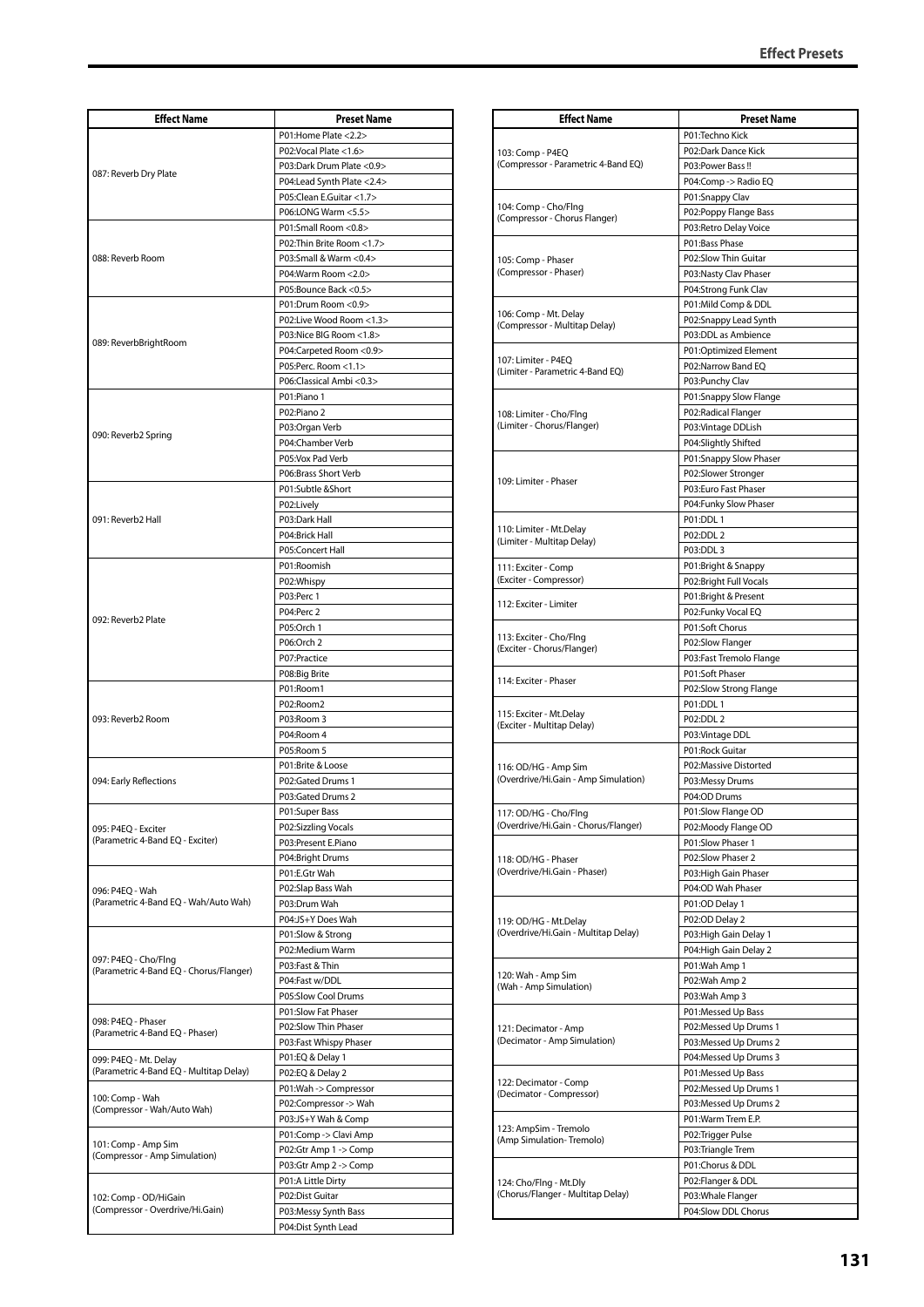| <b>Effect Name</b>                                              | <b>Preset Name</b>                              |
|-----------------------------------------------------------------|-------------------------------------------------|
|                                                                 | P01:Home Plate <2.2>                            |
| 087: Reverb Dry Plate                                           | P02:Vocal Plate <1.6>                           |
|                                                                 | P03:Dark Drum Plate < 0.9>                      |
|                                                                 | P04:Lead Synth Plate <2.4>                      |
|                                                                 | P05:Clean E.Guitar <1.7>                        |
|                                                                 | P06:LONG Warm <5.5>                             |
|                                                                 | P01:Small Room <0.8>                            |
|                                                                 | P02: Thin Brite Room <1.7>                      |
| 088: Reverb Room                                                | P03:Small & Warm <0.4>                          |
|                                                                 | P04: Warm Room < 2.0>                           |
|                                                                 | P05:Bounce Back <0.5>                           |
|                                                                 | P01:Drum Room <0.9><br>P02:Live Wood Room <1.3> |
|                                                                 | P03:Nice BIG Room <1.8>                         |
| 089: ReverbBrightRoom                                           | P04:Carpeted Room <0.9>                         |
|                                                                 | P05:Perc. Room <1.1>                            |
|                                                                 | P06:Classical Ambi <0.3>                        |
|                                                                 | P01:Piano 1                                     |
|                                                                 | P02:Piano 2                                     |
| 090: Reverb2 Spring                                             | P03:Organ Verb                                  |
|                                                                 | P04:Chamber Verb                                |
|                                                                 | P05:Vox Pad Verb                                |
|                                                                 | P06:Brass Short Verb                            |
|                                                                 | P01:Subtle &Short                               |
| 091: Reverb2 Hall                                               | P02:Lively<br>P03:Dark Hall                     |
|                                                                 | P04:Brick Hall                                  |
|                                                                 | P05:Concert Hall                                |
|                                                                 | P01:Roomish                                     |
|                                                                 | P02:Whispy                                      |
|                                                                 | P03:Perc 1                                      |
| 092: Reverb2 Plate                                              | P04:Perc 2                                      |
|                                                                 | P05:Orch 1                                      |
|                                                                 | P06:Orch 2                                      |
|                                                                 | P07:Practice                                    |
|                                                                 | P08:Big Brite                                   |
|                                                                 | P01:Room1                                       |
| 093: Reverb2 Room                                               | P02:Room2                                       |
|                                                                 | P03:Room 3<br>P04:Room 4                        |
|                                                                 | P05:Room 5                                      |
|                                                                 | P01:Brite & Loose                               |
| 094: Early Reflections                                          | P02:Gated Drums 1                               |
|                                                                 | P03:Gated Drums 2                               |
|                                                                 | P01:Super Bass                                  |
| 095: P4EQ - Exciter                                             | P02:Sizzling Vocals                             |
| (Parametric 4-Band EQ - Exciter)                                | P03:Present E.Piano                             |
|                                                                 | P04:Bright Drums                                |
|                                                                 | P01:E.Gtr Wah<br>P02:Slap Bass Wah              |
| 096: P4EQ - Wah<br>(Parametric 4-Band EQ - Wah/Auto Wah)        | P03:Drum Wah                                    |
|                                                                 | P04:JS+Y Does Wah                               |
|                                                                 | P01:Slow & Strong                               |
| 097: P4EQ - Cho/Flng<br>(Parametric 4-Band EQ - Chorus/Flanger) | P02:Medium Warm                                 |
|                                                                 | P03:Fast & Thin                                 |
|                                                                 | P04:Fast w/DDL                                  |
|                                                                 | P05:Slow Cool Drums                             |
| 098: P4EQ - Phaser                                              | P01:Slow Fat Phaser                             |
| (Parametric 4-Band EQ - Phaser)                                 | P02:Slow Thin Phaser                            |
|                                                                 | P03:Fast Whispy Phaser                          |
| 099: P4EQ - Mt. Delay                                           | P01:EQ & Delay 1                                |
| (Parametric 4-Band EQ - Multitap Delay)                         | P02:EQ & Delay 2                                |
| 100: Comp - Wah<br>(Compressor - Wah/Auto Wah)                  | P01: Wah -> Compressor                          |
|                                                                 | P02:Compressor -> Wah<br>P03:JS+Y Wah & Comp    |
|                                                                 | P01:Comp -> Clavi Amp                           |
| 101: Comp - Amp Sim                                             | P02:Gtr Amp 1 -> Comp                           |
| (Compressor - Amp Simulation)                                   | P03:Gtr Amp 2 -> Comp                           |
|                                                                 | P01:A Little Dirty                              |
| 102: Comp - OD/HiGain                                           | P02:Dist Guitar                                 |
| (Compressor - Overdrive/Hi.Gain)                                | P03:Messy Synth Bass                            |
|                                                                 | P04:Dist Synth Lead                             |

| <b>Effect Name</b>                                            | <b>Preset Name</b>                            |
|---------------------------------------------------------------|-----------------------------------------------|
| 103: Comp - P4EQ<br>(Compressor - Parametric 4-Band EQ)       | P01:Techno Kick                               |
|                                                               | P02:Dark Dance Kick                           |
|                                                               | P03:Power Bass!!                              |
|                                                               | P04:Comp -> Radio EQ                          |
| 104: Comp - Cho/Flng                                          | P01:Snappy Clav                               |
| (Compressor - Chorus Flanger)                                 | P02:Poppy Flange Bass                         |
|                                                               | P03:Retro Delay Voice                         |
|                                                               | P01:Bass Phase                                |
| 105: Comp - Phaser                                            | P02:Slow Thin Guitar                          |
| (Compressor - Phaser)                                         | P03:Nasty Clav Phaser                         |
|                                                               | P04:Strong Funk Clav                          |
| 106: Comp - Mt. Delay                                         | P01:Mild Comp & DDL                           |
| (Compressor - Multitap Delay)                                 | P02:Snappy Lead Synth                         |
|                                                               | P03:DDL as Ambience                           |
| 107: Limiter - P4EQ                                           | P01:Optimized Element                         |
| (Limiter - Parametric 4-Band EQ)                              | P02:Narrow Band EQ                            |
|                                                               | P03:Punchy Clav                               |
|                                                               | P01:Snappy Slow Flange<br>P02:Radical Flanger |
| 108: Limiter - Cho/Flng<br>(Limiter - Chorus/Flanger)         |                                               |
|                                                               | P03: Vintage DDLish<br>P04:Slightly Shifted   |
|                                                               |                                               |
|                                                               | P01:Snappy Slow Phaser<br>P02:Slower Stronger |
| 109: Limiter - Phaser                                         | P03:Euro Fast Phaser                          |
|                                                               | P04:Funky Slow Phaser                         |
|                                                               | P01:DDL1                                      |
| 110: Limiter - Mt.Delay                                       | P02:DDL 2                                     |
| (Limiter - Multitap Delay)                                    | P03:DDL 3                                     |
|                                                               | P01:Bright & Snappy                           |
| 111: Exciter - Comp<br>(Exciter - Compressor)                 | P02:Bright Full Vocals                        |
|                                                               | P01:Bright & Present                          |
| 112: Exciter - Limiter                                        | P02:Funky Vocal EQ                            |
|                                                               | P01:Soft Chorus                               |
| 113: Exciter - Cho/Flng                                       | P02:Slow Flanger                              |
| (Exciter - Chorus/Flanger)                                    | P03:Fast Tremolo Flange                       |
|                                                               | P01:Soft Phaser                               |
| 114: Exciter - Phaser                                         | P02:Slow Strong Flange                        |
|                                                               | P01:DDL1                                      |
| 115: Exciter - Mt.Delay                                       | P02:DDL 2                                     |
| (Exciter - Multitap Delay)                                    | P03:Vintage DDL                               |
|                                                               | P01:Rock Guitar                               |
| 116: OD/HG - Amp Sim                                          | P02:Massive Distorted                         |
| (Overdrive/Hi.Gain - Amp Simulation)                          | P03:Messy Drums                               |
|                                                               | P04:OD Drums                                  |
| 117: OD/HG - Cho/Flng                                         | P01:Slow Flange OD                            |
| (Overdrive/Hi.Gain - Chorus/Flanger)                          | P02:Moody Flange OD                           |
|                                                               | P01:Slow Phaser 1                             |
| 118: OD/HG - Phaser                                           | P02:Slow Phaser 2                             |
| (Overdrive/Hi.Gain - Phaser)                                  | P03: High Gain Phaser                         |
|                                                               | P04:OD Wah Phaser                             |
| 119: OD/HG - Mt.Delay<br>(Overdrive/Hi.Gain - Multitap Delay) | P01:OD Delay 1                                |
|                                                               | P02:OD Delay 2                                |
|                                                               | P03:High Gain Delay 1                         |
|                                                               | P04: High Gain Delay 2                        |
|                                                               | P01:Wah Amp 1                                 |
| 120: Wah - Amp Sim<br>(Wah - Amp Simulation)                  | P02:Wah Amp 2                                 |
|                                                               | P03:Wah Amp 3                                 |
|                                                               | P01:Messed Up Bass                            |
| 121: Decimator - Amp<br>(Decimator - Amp Simulation)          | P02:Messed Up Drums 1                         |
|                                                               | P03:Messed Up Drums 2                         |
|                                                               | P04:Messed Up Drums 3                         |
| 122: Decimator - Comp<br>(Decimator - Compressor)             | P01:Messed Up Bass                            |
|                                                               | P02:Messed Up Drums 1                         |
|                                                               | P03:Messed Up Drums 2                         |
| 123: AmpSim - Tremolo<br>(Amp Simulation-Tremolo)             | P01:Warm Trem E.P.                            |
|                                                               | P02:Trigger Pulse                             |
|                                                               | P03:Triangle Trem                             |
|                                                               | P01:Chorus & DDL                              |
| 124: Cho/Flng - Mt.Dly                                        | P02:Flanger & DDL                             |
| (Chorus/Flanger - Multitap Delay)                             | P03:Whale Flanger                             |
|                                                               | P04:Slow DDL Chorus                           |
|                                                               |                                               |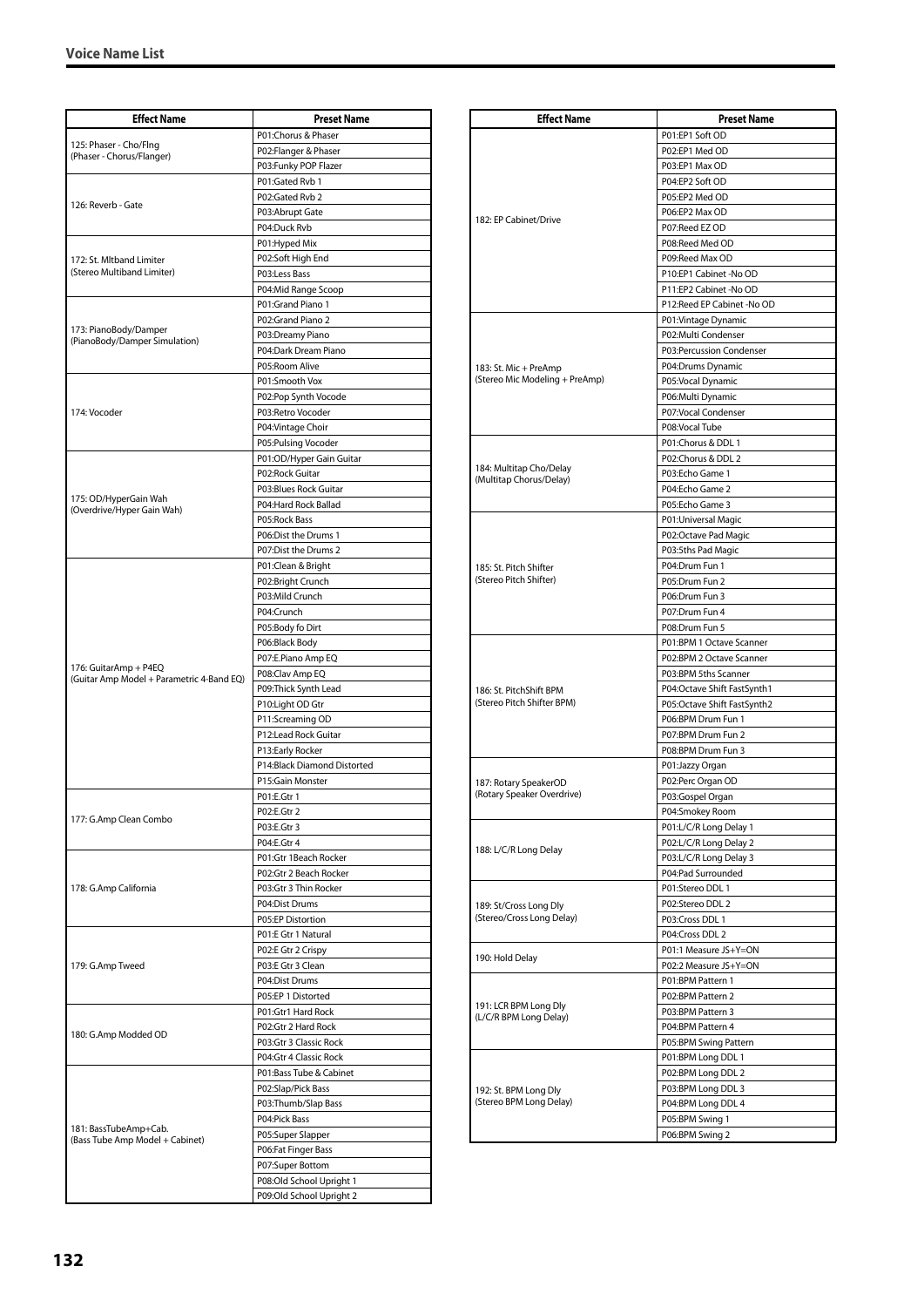| <b>Effect Name</b>                                                 | <b>Preset Name</b>          |
|--------------------------------------------------------------------|-----------------------------|
|                                                                    | P01:Chorus & Phaser         |
| 125: Phaser - Cho/Flng<br>(Phaser - Chorus/Flanger)                |                             |
|                                                                    | P02:Flanger & Phaser        |
|                                                                    | P03:Funky POP Flazer        |
|                                                                    | P01:Gated Rvb 1             |
| 126: Reverb - Gate                                                 | P02:Gated Rvb 2             |
|                                                                    | P03:Abrupt Gate             |
|                                                                    | P04:Duck Rvb                |
|                                                                    | P01: Hyped Mix              |
| 172: St. Mltband Limiter                                           | P02:Soft High End           |
| (Stereo Multiband Limiter)                                         | P03:Less Bass               |
|                                                                    | P04:Mid Range Scoop         |
|                                                                    | P01:Grand Piano 1           |
|                                                                    | P02:Grand Piano 2           |
| 173: PianoBody/Damper<br>(PianoBody/Damper Simulation)             | P03:Dreamy Piano            |
|                                                                    | P04:Dark Dream Piano        |
|                                                                    | P05:Room Alive              |
|                                                                    | P01:Smooth Vox              |
|                                                                    | P02:Pop Synth Vocode        |
| 174: Vocoder                                                       | P03:Retro Vocoder           |
|                                                                    | P04: Vintage Choir          |
|                                                                    | P05:Pulsing Vocoder         |
|                                                                    | P01:OD/Hyper Gain Guitar    |
|                                                                    | P02:Rock Guitar             |
|                                                                    | P03:Blues Rock Guitar       |
| 175: OD/HyperGain Wah                                              | P04:Hard Rock Ballad        |
| (Overdrive/Hyper Gain Wah)                                         | P05:Rock Bass               |
|                                                                    |                             |
|                                                                    | P06:Dist the Drums 1        |
|                                                                    | P07:Dist the Drums 2        |
|                                                                    | P01:Clean & Bright          |
|                                                                    | P02:Bright Crunch           |
|                                                                    | P03:Mild Crunch             |
|                                                                    | P04:Crunch                  |
|                                                                    | P05:Body fo Dirt            |
|                                                                    | P06:Black Body              |
|                                                                    | P07:E.Piano Amp EQ          |
| 176: GuitarAmp + P4EQ<br>(Guitar Amp Model + Parametric 4-Band EQ) | P08:Clav Amp EQ             |
|                                                                    | P09:Thick Synth Lead        |
|                                                                    | P10:Light OD Gtr            |
|                                                                    | P11:Screaming OD            |
|                                                                    | P12:Lead Rock Guitar        |
|                                                                    | P13:Early Rocker            |
|                                                                    | P14:Black Diamond Distorted |
|                                                                    | P15:Gain Monster            |
|                                                                    | P01:E.Gtr 1                 |
|                                                                    | P02:E.Gtr 2                 |
| 177: G.Amp Clean Combo                                             | P03:E.Gtr 3                 |
|                                                                    | P04:E.Gtr 4                 |
|                                                                    | P01:Gtr 1Beach Rocker       |
| 178: G.Amp California                                              | P02:Gtr 2 Beach Rocker      |
|                                                                    | P03:Gtr 3 Thin Rocker       |
|                                                                    | P04:Dist Drums              |
|                                                                    | P05:EP Distortion           |
|                                                                    | P01:E Gtr 1 Natural         |
| 179: G.Amp Tweed                                                   | P02:E Gtr 2 Crispy          |
|                                                                    | P03:E Gtr 3 Clean           |
|                                                                    |                             |
|                                                                    | P04:Dist Drums              |
|                                                                    | P05:EP 1 Distorted          |
|                                                                    | P01:Gtr1 Hard Rock          |
| 180: G.Amp Modded OD                                               | P02:Gtr 2 Hard Rock         |
|                                                                    | P03:Gtr 3 Classic Rock      |
| 181: BassTubeAmp+Cab.<br>(Bass Tube Amp Model + Cabinet)           | P04:Gtr 4 Classic Rock      |
|                                                                    | P01:Bass Tube & Cabinet     |
|                                                                    | P02:Slap/Pick Bass          |
|                                                                    | P03:Thumb/Slap Bass         |
|                                                                    | P04:Pick Bass               |
|                                                                    | P05:Super Slapper           |
|                                                                    | P06:Fat Finger Bass         |
|                                                                    | P07:Super Bottom            |
|                                                                    | P08:Old School Upright 1    |
|                                                                    | P09:Old School Upright 2    |

| <b>Effect Name</b>                                  | <b>Preset Name</b>                          |
|-----------------------------------------------------|---------------------------------------------|
|                                                     | P01:EP1 Soft OD                             |
|                                                     | P02:EP1 Med OD                              |
|                                                     | P03:EP1 Max OD                              |
|                                                     | P04:EP2 Soft OD                             |
|                                                     | P05:EP2 Med OD                              |
| 182: EP Cabinet/Drive                               | P06:EP2 Max OD                              |
|                                                     | P07:Reed EZ OD                              |
|                                                     | P08:Reed Med OD                             |
|                                                     | P09:Reed Max OD                             |
|                                                     | P10:EP1 Cabinet -No OD                      |
|                                                     | P11:EP2 Cabinet -No OD                      |
|                                                     | P12:Reed EP Cabinet -No OD                  |
|                                                     | P01: Vintage Dynamic<br>P02:Multi Condenser |
|                                                     | P03:Percussion Condenser                    |
| 183: St. Mic + PreAmp                               | P04:Drums Dynamic                           |
| (Stereo Mic Modeling + PreAmp)                      | P05:Vocal Dynamic                           |
|                                                     | P06: Multi Dynamic                          |
|                                                     | P07:Vocal Condenser                         |
|                                                     | P08: Vocal Tube                             |
|                                                     | P01:Chorus & DDL 1                          |
|                                                     | P02:Chorus & DDL 2                          |
| 184: Multitap Cho/Delay<br>(Multitap Chorus/Delay)  | P03:Echo Game 1                             |
|                                                     | P04:Echo Game 2                             |
|                                                     | P05:Echo Game 3                             |
|                                                     | P01: Universal Magic                        |
|                                                     | P02:Octave Pad Magic                        |
|                                                     | P03:5ths Pad Magic                          |
| 185: St. Pitch Shifter<br>(Stereo Pitch Shifter)    | P04:Drum Fun 1<br>P05:Drum Fun 2            |
|                                                     | P06:Drum Fun 3                              |
|                                                     | P07:Drum Fun 4                              |
|                                                     | P08:Drum Fun 5                              |
|                                                     | P01:BPM 1 Octave Scanner                    |
|                                                     | P02:BPM 2 Octave Scanner                    |
|                                                     | P03:BPM 5ths Scanner                        |
| 186: St. PitchShift BPM                             | P04:Octave Shift FastSynth1                 |
| (Stereo Pitch Shifter BPM)                          | P05:Octave Shift FastSynth2                 |
|                                                     | P06:BPM Drum Fun 1                          |
|                                                     | P07:BPM Drum Fun 2                          |
|                                                     | P08:BPM Drum Fun 3                          |
|                                                     | P01:Jazzy Organ                             |
| 187: Rotary SpeakerOD<br>(Rotary Speaker Overdrive) | P02:Perc Organ OD<br>P03:Gospel Organ       |
|                                                     | P04:Smokey Room                             |
|                                                     | P01:L/C/R Long Delay 1                      |
| 188: L/C/R Long Delay                               | P02:L/C/R Long Delay 2                      |
|                                                     | P03:L/C/R Long Delay 3                      |
|                                                     | P04:Pad Surrounded                          |
| 189: St/Cross Long Dly<br>(Stereo/Cross Long Delay) | P01:Stereo DDL 1                            |
|                                                     | P02:Stereo DDL 2                            |
|                                                     | P03:Cross DDL 1                             |
|                                                     | P04:Cross DDL 2                             |
| 190: Hold Delay                                     | P01:1 Measure JS+Y=ON                       |
|                                                     | P02:2 Measure JS+Y=ON                       |
| 191: LCR BPM Long Dly<br>(L/C/R BPM Long Delay)     | P01:BPM Pattern 1                           |
|                                                     | P02:BPM Pattern 2                           |
|                                                     | P03:BPM Pattern 3<br>P04:BPM Pattern 4      |
|                                                     | P05:BPM Swing Pattern                       |
| 192: St. BPM Long Dly<br>(Stereo BPM Long Delay)    | P01:BPM Long DDL 1                          |
|                                                     | P02:BPM Long DDL 2                          |
|                                                     | P03:BPM Long DDL 3                          |
|                                                     | P04:BPM Long DDL 4                          |
|                                                     | P05:BPM Swing 1                             |
|                                                     | P06:BPM Swing 2                             |
|                                                     |                                             |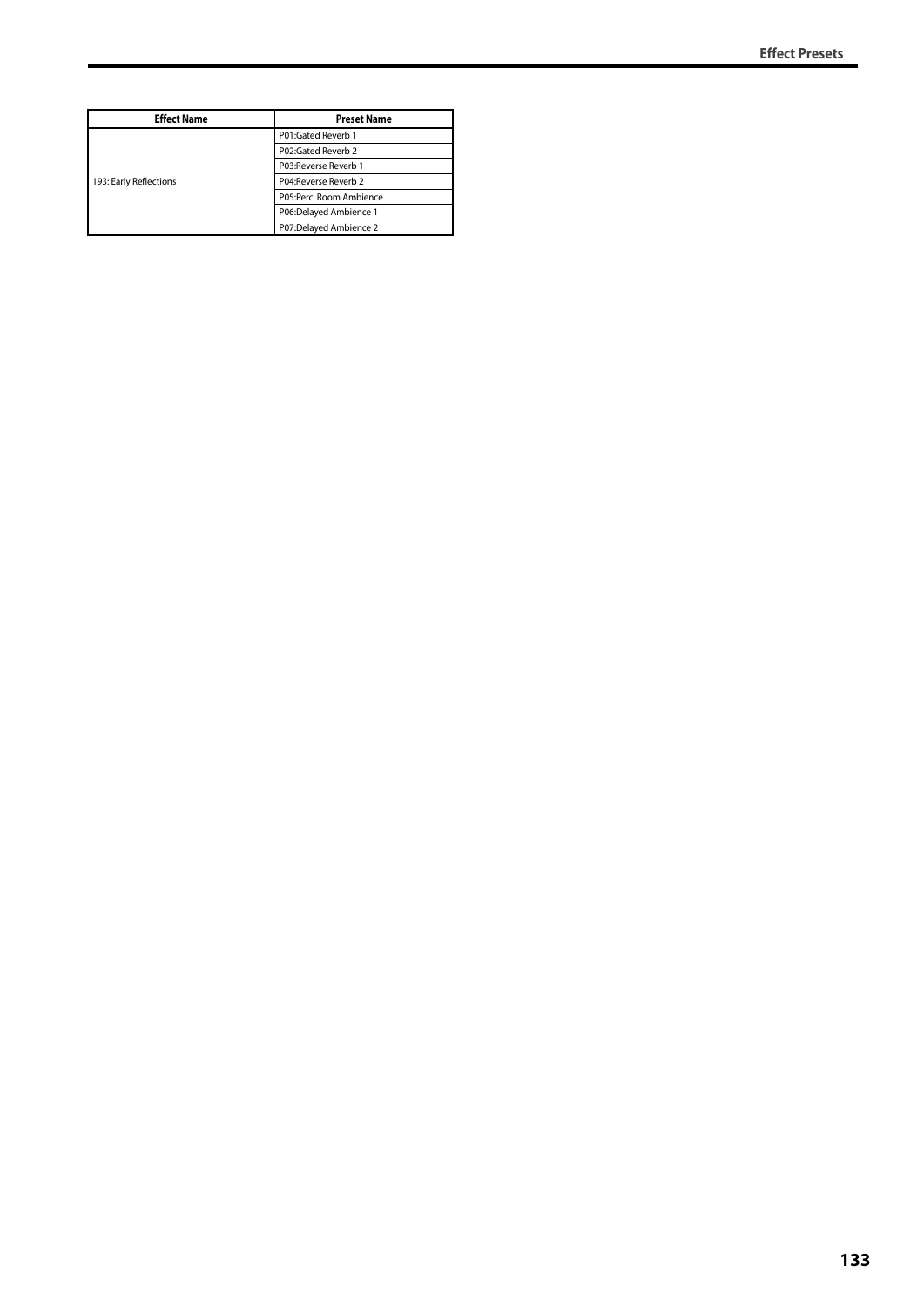| <b>Effect Name</b>     | <b>Preset Name</b>      |
|------------------------|-------------------------|
| 193: Early Reflections | P01:Gated Reverb 1      |
|                        | P02:Gated Reverb 2      |
|                        | P03: Reverse Reverb 1   |
|                        | P04: Reverse Reverb 2   |
|                        | P05:Perc. Room Ambience |
|                        | P06:Delayed Ambience 1  |
|                        | P07:Delayed Ambience 2  |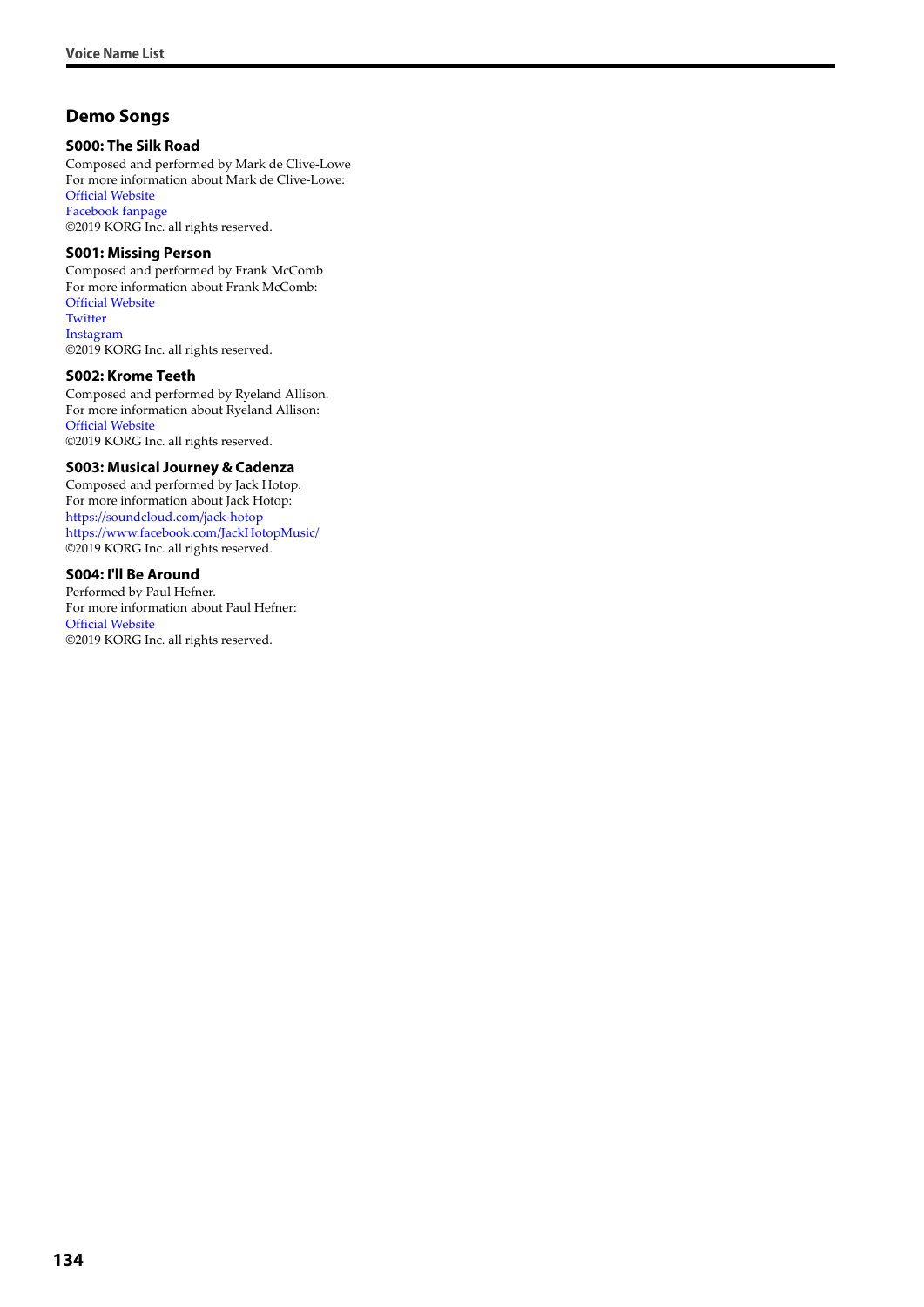## **Demo Songs**

#### **S000: The Silk Road**

Composed and performed by Mark de Clive-Lowe For more information about Mark de Clive-Lowe: [Official Website](http://www.mdcl.tv/) [Facebook fanpage](https://www.facebook.com/MdCLmusic) ©2019 KORG Inc. all rights reserved.

#### **S001: Missing Person**

Composed and performed by Frank McComb For more information about Frank McComb: [Official Website](http://www.frankmccomb.info/) **[Twitter](https://twitter.com/MrFrankMcComb)** [Instagram](https://www.instagram.com/frankmccomb/) ©2019 KORG Inc. all rights reserved.

#### **S002: Krome Teeth**

Composed and performed by Ryeland Allison. For more information about Ryeland Allison: [Official Website](http://www.ryelandallison.com/) ©2019 KORG Inc. all rights reserved.

#### **S003: Musical Journey & Cadenza**

Composed and performed by Jack Hotop. For more information about Jack Hotop: <https://soundcloud.com/jack-hotop> <https://www.facebook.com/JackHotopMusic/> ©2019 KORG Inc. all rights reserved.

#### **S004: I'll Be Around**

Performed by Paul Hefner. For more information about Paul Hefner: [Official Website](http://www.paulhefnerproductions.com) ©2019 KORG Inc. all rights reserved.